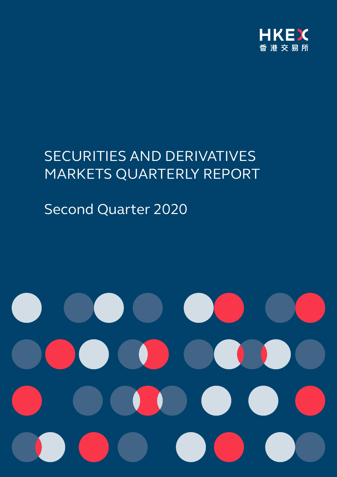

# SECURITIES AND DERIVATIVES MARKETS QUARTERLY REPORT

# Second Quarter 2020

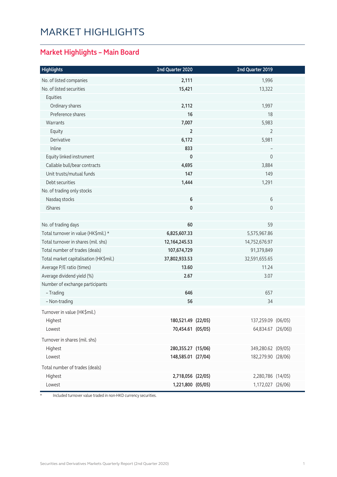# MARKET HIGHLIGHTS

### **Market Highlights – Main Board**

| <b>Highlights</b>                      | 2nd Quarter 2020   | 2nd Quarter 2019   |  |
|----------------------------------------|--------------------|--------------------|--|
| No. of listed companies                | 2,111              | 1,996              |  |
| No. of listed securities               | 15,421             | 13,322             |  |
| Equities                               |                    |                    |  |
| Ordinary shares                        | 2,112              | 1,997              |  |
| Preference shares                      | 16                 | 18                 |  |
| Warrants                               | 7,007              | 5,983              |  |
| Equity                                 | $\overline{2}$     | 2                  |  |
| Derivative                             | 6,172              | 5,981              |  |
| Inline                                 | 833                |                    |  |
| Equity linked instrument               | $\mathbf 0$        | $\overline{0}$     |  |
| Callable bull/bear contracts           | 4,695              | 3,884              |  |
| Unit trusts/mutual funds               | 147                | 149                |  |
| Debt securities                        | 1,444              | 1,291              |  |
| No. of trading only stocks             |                    |                    |  |
| Nasdaq stocks                          | 6                  | 6                  |  |
| <b>iShares</b>                         | $\mathbf 0$        | $\overline{0}$     |  |
| No. of trading days                    | 60                 | 59                 |  |
| Total turnover in value (HK\$mil.) *   | 6,825,607.33       | 5,575,967.86       |  |
| Total turnover in shares (mil. shs)    | 12, 164, 245. 53   | 14,752,676.97      |  |
| Total number of trades (deals)         | 107,674,729        | 91,379,849         |  |
| Total market capitalisation (HK\$mil.) | 37,802,933.53      | 32,591,655.65      |  |
| Average P/E ratio (times)              | 13.60              | 11.24              |  |
| Average dividend yield (%)             | 2.67               | 3.07               |  |
| Number of exchange participants        |                    |                    |  |
| - Trading                              | 646                | 657                |  |
| - Non-trading                          | 56                 | 34                 |  |
| Turnover in value (HK\$mil.)           |                    |                    |  |
| Highest                                | 180,521.49 (22/05) | 137,259.09 (06/05) |  |
| Lowest                                 | 70,454.61 (05/05)  | 64,834.67 (26/06)) |  |
| Turnover in shares (mil. shs)          |                    |                    |  |
| Highest                                | 280,355.27 (15/06) | 349,280.62 (09/05) |  |
| Lowest                                 | 148,585.01 (27/04) | 182,279.90 (28/06) |  |
| Total number of trades (deals)         |                    |                    |  |
| Highest                                | 2,718,056 (22/05)  | 2,280,786 (14/05)  |  |
| Lowest                                 | 1,221,800 (05/05)  | 1,172,027 (26/06)  |  |

\* Included turnover value traded in non-HKD currency securities.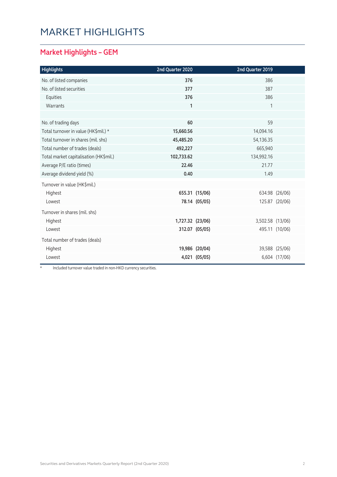# MARKET HIGHLIGHTS

### **Market Highlights – GEM**

| <b>Highlights</b>                      | 2nd Quarter 2020 |                | 2nd Quarter 2019 |                |
|----------------------------------------|------------------|----------------|------------------|----------------|
| No. of listed companies                | 376              |                | 386              |                |
| No. of listed securities               | 377              |                | 387              |                |
| Equities                               | 376              |                | 386              |                |
| Warrants                               | $\mathbf{1}$     |                | 1                |                |
|                                        |                  |                |                  |                |
| No. of trading days                    | 60               |                | 59               |                |
| Total turnover in value (HK\$mil.) *   | 15,660.56        |                | 14,094.16        |                |
| Total turnover in shares (mil. shs)    | 45,485.20        |                | 54,136.35        |                |
| Total number of trades (deals)         | 492,227          |                | 665,940          |                |
| Total market capitalisation (HK\$mil.) | 102,733.62       |                | 134,992.16       |                |
| Average P/E ratio (times)              | 22.46            |                | 21.77            |                |
| Average dividend yield (%)             | 0.40             |                | 1.49             |                |
| Turnover in value (HK\$mil.)           |                  |                |                  |                |
| Highest                                |                  | 655.31 (15/06) |                  | 634.98 (26/06) |
| Lowest                                 |                  | 78.14 (05/05)  |                  | 125.87 (20/06) |
| Turnover in shares (mil. shs)          |                  |                |                  |                |
| Highest                                | 1,727.32 (23/06) |                | 3,502.58 (13/06) |                |
| Lowest                                 |                  | 312.07 (05/05) |                  | 495.11 (10/06) |
| Total number of trades (deals)         |                  |                |                  |                |
| Highest                                |                  | 19,986 (20/04) |                  | 39,588 (25/06) |
| Lowest                                 |                  | 4,021 (05/05)  |                  | 6,604 (17/06)  |

\* Included turnover value traded in non-HKD currency securities.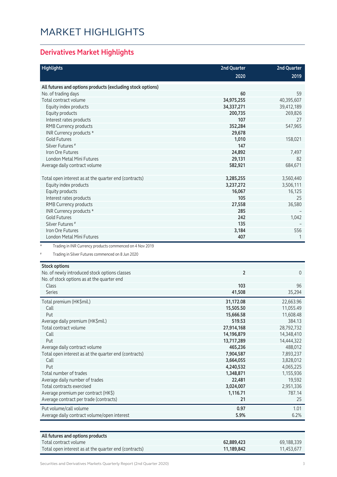# MARKET HIGHLIGHTS

### **Derivatives Market Highlights**

| <b>Highlights</b>                                                    | 2nd Quarter    | 2nd Quarter    |
|----------------------------------------------------------------------|----------------|----------------|
|                                                                      | 2020           | 2019           |
| All futures and options products (excluding stock options)           |                |                |
| No. of trading days                                                  | 60             | 59             |
| Total contract volume                                                | 34,975,255     | 40,395,607     |
| Equity index products                                                | 34,337,271     | 39,412,189     |
| Equity products                                                      | 200,735        | 269,826        |
| Interest rates products                                              | 107            | 27             |
|                                                                      |                |                |
| RMB Currency products                                                | 352,284        | 547,965        |
| INR Currency products *                                              | 29,678         |                |
| <b>Gold Futures</b>                                                  | 1,010          | 158,021        |
| Silver Futures <sup>#</sup>                                          | 147            |                |
| Iron Ore Futures                                                     | 24,892         | 7,497          |
| London Metal Mini Futures                                            | 29,131         | 82             |
| Average daily contract volume                                        | 582,921        | 684,671        |
| Total open interest as at the quarter end (contracts)                | 3,285,255      | 3,560,440      |
| Equity index products                                                | 3,237,272      | 3,506,111      |
| Equity products                                                      | 16,067         | 16,125         |
| Interest rates products                                              | 105            | 25             |
| RMB Currency products                                                | 27,558         | 36,580         |
|                                                                      |                |                |
| INR Currency products *                                              | 285            |                |
| <b>Gold Futures</b>                                                  | 242            | 1,042          |
| Silver Futures <sup>#</sup>                                          | 135            |                |
| Iron Ore Futures                                                     | 3,184          | 556            |
| London Metal Mini Futures                                            | 407            | 1              |
| $^\star$<br>Trading in INR Currency products commenced on 4 Nov 2019 |                |                |
| #<br>Trading in Silver Futures commenced on 8 Jun 2020               |                |                |
| <b>Stock options</b>                                                 | $\overline{2}$ | $\overline{0}$ |
| No. of newly introduced stock options classes                        |                |                |
| No. of stock options as at the quarter end                           |                |                |
| Class<br><b>Series</b>                                               | 103            | 96             |
|                                                                      | 41,508         | 35,294         |
| Total premium (HK\$mil.)                                             | 31,172.08      | 22,663.96      |
| Call                                                                 | 15,505.50      | 11,055.49      |
| Put                                                                  | 15,666.58      | 11,608.48      |
| Average daily premium (HK\$mil.)                                     | 519.53         | 384.13         |
| Total contract volume                                                | 27,914,168     | 28,792,732     |
| Call                                                                 | 14,196,879     | 14,348,410     |
| Put                                                                  | 13,717,289     | 14,444,322     |
| Average daily contract volume                                        | 465,236        | 488,012        |
| Total open interest as at the quarter end (contracts)                | 7,904,587      | 7,893,237      |
| Call                                                                 | 3,664,055      | 3,828,012      |
| Put                                                                  | 4,240,532      | 4,065,225      |
| Total number of trades                                               | 1,348,871      | 1,155,936      |
| Average daily number of trades                                       | 22,481         | 19,592         |
| Total contracts exercised                                            | 3,024,007      | 2,951,336      |
| Average premium per contract (HK\$)                                  | 1,116.71       | 787.14         |
| Average contract per trade (contracts)                               | 21             | 25             |
| Put volume/call volume                                               | 0.97           | 1.01           |
| Average daily contract volume/open interest                          | 5.9%           | 6.2%           |

| All futures and options products                      |            |            |
|-------------------------------------------------------|------------|------------|
| Total contract volume                                 | 62.889.423 | 69.188.339 |
| Total open interest as at the quarter end (contracts) | 11.189.842 | 11.453.677 |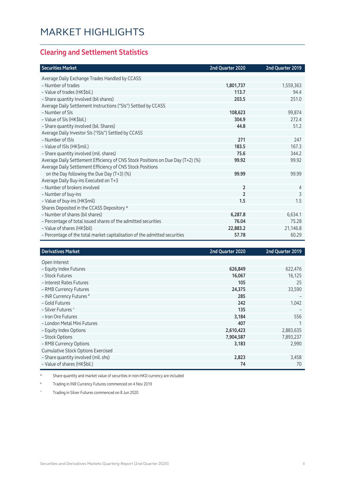### **Clearing and Settlement Statistics**

| <b>Securities Market</b>                                                        | 2nd Quarter 2020 | 2nd Quarter 2019 |
|---------------------------------------------------------------------------------|------------------|------------------|
| Average Daily Exchange Trades Handled by CCASS                                  |                  |                  |
| - Number of trades                                                              | 1,801,737        | 1,559,363        |
| - Value of trades (HK\$bil.)                                                    | 113.7            | 94.4             |
| - Share quantity Involved (bil shares)                                          | 203.5            | 251.0            |
| Average Daily Settlement Instructions ("SIs") Settled by CCASS                  |                  |                  |
| - Number of SIs                                                                 | 108,623          | 99,874           |
| - Value of SIs (HK\$bil.)                                                       | 304.9            | 272.4            |
| - Share quantity involved (bil. Shares)                                         | 44.8             | 51.2             |
| Average Daily Investor SIs ("ISIs") Settled by CCASS                            |                  |                  |
| - Number of ISIs                                                                | 271              | 247              |
| - Value of ISIs (HK\$mil.)                                                      | 183.5            | 167.3            |
| - Share quantity involved (mil. shares)                                         | 75.6             | 344.2            |
| Average Daily Settlement Efficiency of CNS Stock Positions on Due Day (T+2) (%) | 99.92            | 99.92            |
| Average Daily Settlement Efficiency of CNS Stock Positions                      |                  |                  |
| on the Day following the Due Day (T+3) (%)                                      | 99.99            | 99.99            |
| Average Daily Buy-ins Executed on T+3                                           |                  |                  |
| - Number of brokers involved                                                    | $\overline{2}$   | 4                |
| - Number of buy-ins                                                             | $\overline{2}$   | 3                |
| - Value of buy-ins (HK\$mil)                                                    | 1.5              | 1.5              |
| Shares Deposited in the CCASS Depository *                                      |                  |                  |
| - Number of shares (bil shares)                                                 | 6,287.8          | 6,634.1          |
| - Percentage of total issued shares of the admitted securities                  | 76.04            | 75.28            |
| - Value of shares (HK\$bil)                                                     | 22,883.2         | 21,146.8         |
| - Percentage of the total market capitalisation of the admitted securities      | 57.78            | 60.29            |

| <b>Derivatives Market</b>                 | 2nd Quarter 2020 | 2nd Quarter 2019 |
|-------------------------------------------|------------------|------------------|
| Open Interest                             |                  |                  |
| - Equity Index Futures                    | 626,849          | 622,476          |
| - Stock Futures                           | 16,067           | 16,125           |
| - Interest Rates Futures                  | 105              | 25               |
| - RMB Currency Futures                    | 24,375           | 33,590           |
| - INR Currency Futures #                  | 285              |                  |
| - Gold Futures                            | 242              | 1,042            |
| - Silver Futures ^                        | 135              |                  |
| - Iron Ore Futures                        | 3,184            | 556              |
| - London Metal Mini Futures               | 407              |                  |
| - Equity Index Options                    | 2,610,423        | 2,883,635        |
| - Stock Options                           | 7,904,587        | 7,893,237        |
| - RMB Currency Options                    | 3,183            | 2,990            |
| <b>Cumulative Stock Options Exercised</b> |                  |                  |
| - Share quantity involved (mil. shs)      | 2,823            | 3,458            |
| - Value of shares (HK\$bil.)              | 74               | 70               |

Share quantity and market value of securities in non-HKD currency are included

# Trading in INR Currency Futures commenced on 4 Nov 2019

^ Trading in Silver Futures commenced on 8 Jun 2020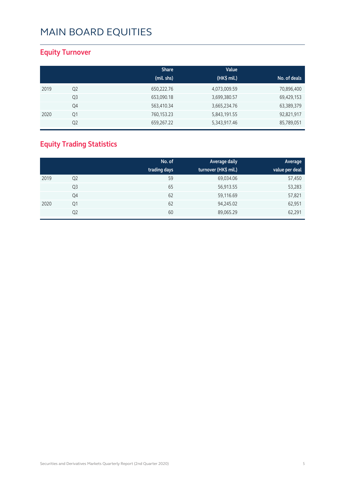### **Equity Turnover**

|      |                | <b>Share</b> | Value        |              |
|------|----------------|--------------|--------------|--------------|
|      |                | (mil. shs)   | (HK\$ mil.)  | No. of deals |
| 2019 | Q <sub>2</sub> | 650,222.76   | 4,073,009.59 | 70,896,400   |
|      | Q <sub>3</sub> | 653,090.18   | 3,699,380.57 | 69,429,153   |
|      | Q4             | 563,410.34   | 3,665,234.76 | 63,389,379   |
| 2020 | Q1             | 760,153.23   | 5,843,191.55 | 92,821,917   |
|      | Q <sub>2</sub> | 659,267.22   | 5,343,917.46 | 85,789,051   |

### **Equity Trading Statistics**

|      |                | No. of       | Average daily        | Average        |
|------|----------------|--------------|----------------------|----------------|
|      |                | trading days | turnover (HK\$ mil.) | value per deal |
| 2019 | Q <sub>2</sub> | 59           | 69,034.06            | 57,450         |
|      | Q3             | 65           | 56,913.55            | 53,283         |
|      | Q4             | 62           | 59,116.69            | 57,821         |
| 2020 | Q1             | 62           | 94,245.02            | 62,951         |
|      | Q <sub>2</sub> | 60           | 89,065.29            | 62,291         |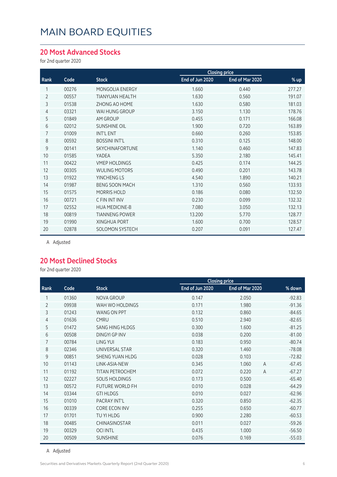#### **20 Most Advanced Stocks**

for 2nd quarter 2020

|                |       |                        | <b>Closing price</b> |                 |        |
|----------------|-------|------------------------|----------------------|-----------------|--------|
| Rank           | Code  | <b>Stock</b>           | End of Jun 2020      | End of Mar 2020 | % up   |
|                | 00276 | MONGOLIA ENERGY        | 1.660                | 0.440           | 277.27 |
| $\overline{2}$ | 00557 | <b>TIANYUAN HEALTH</b> | 1.630                | 0.560           | 191.07 |
| 3              | 01538 | ZHONG AO HOME          | 1.630                | 0.580           | 181.03 |
| $\overline{4}$ | 03321 | WAI HUNG GROUP         | 3.150                | 1.130           | 178.76 |
| 5              | 01849 | AM GROUP               | 0.455                | 0.171           | 166.08 |
| 6              | 02012 | <b>SUNSHINE OIL</b>    | 1.900                | 0.720           | 163.89 |
| 7              | 01009 | <b>INT'L ENT</b>       | 0.660                | 0.260           | 153.85 |
| 8              | 00592 | <b>BOSSINI INT'L</b>   | 0.310                | 0.125           | 148.00 |
| 9              | 00141 | SKYCHINAFORTUNE        | 1.140                | 0.460           | 147.83 |
| 10             | 01585 | YADEA                  | 5.350                | 2.180           | 145.41 |
| 11             | 00422 | <b>VMEP HOLDINGS</b>   | 0.425                | 0.174           | 144.25 |
| 12             | 00305 | <b>WULING MOTORS</b>   | 0.490                | 0.201           | 143.78 |
| 13             | 01922 | YINCHENG LS            | 4.540                | 1.890           | 140.21 |
| 14             | 01987 | <b>BENG SOON MACH</b>  | 1.310                | 0.560           | 133.93 |
| 15             | 01575 | <b>MORRIS HOLD</b>     | 0.186                | 0.080           | 132.50 |
| 16             | 00721 | C FIN INT INV          | 0.230                | 0.099           | 132.32 |
| 17             | 02552 | <b>HUA MEDICINE-B</b>  | 7.080                | 3.050           | 132.13 |
| 18             | 00819 | <b>TIANNENG POWER</b>  | 13.200               | 5.770           | 128.77 |
| 19             | 01990 | <b>XINGHUA PORT</b>    | 1.600                | 0.700           | 128.57 |
| 20             | 02878 | <b>SOLOMON SYSTECH</b> | 0.207                | 0.091           | 127.47 |
|                |       |                        |                      |                 |        |

A Adjusted

#### **20 Most Declined Stocks**

for 2nd quarter 2020

|                |       |                        |                 | <b>Closing price</b>    |          |
|----------------|-------|------------------------|-----------------|-------------------------|----------|
| Rank           | Code  | <b>Stock</b>           | End of Jun 2020 | End of Mar 2020         | % down   |
| 1              | 01360 | NOVA GROUP             | 0.147           | 2.050                   | $-92.83$ |
| $\overline{2}$ | 09938 | WAH WO HOLDINGS        | 0.171           | 1.980                   | $-91.36$ |
| 3              | 01243 | <b>WANG ON PPT</b>     | 0.132           | 0.860                   | $-84.65$ |
| 4              | 01636 | <b>CMRU</b>            | 0.510           | 2.940                   | $-82.65$ |
| 5              | 01472 | <b>SANG HING HLDGS</b> | 0.300           | 1.600                   | $-81.25$ |
| 6              | 00508 | DINGYI GP INV          | 0.038           | 0.200                   | $-81.00$ |
| 7              | 00784 | LING YUI               | 0.183           | 0.950                   | $-80.74$ |
| 8              | 02346 | UNIVERSAL STAR         | 0.320           | 1.460                   | $-78.08$ |
| 9              | 00851 | SHENG YUAN HI DG       | 0.028           | 0.103                   | $-72.82$ |
| 10             | 01143 | LINK-ASIA-NEW          | 0.345           | 1.060<br>A              | $-67.45$ |
| 11             | 01192 | <b>TITAN PETROCHEM</b> | 0.072           | 0.220<br>$\overline{A}$ | $-67.27$ |
| 12             | 02227 | <b>SOLIS HOLDINGS</b>  | 0.173           | 0.500                   | $-65.40$ |
| 13             | 00572 | <b>FUTURE WORLD FH</b> | 0.010           | 0.028                   | $-64.29$ |
| 14             | 03344 | <b>GTI HLDGS</b>       | 0.010           | 0.027                   | $-62.96$ |
| 15             | 01010 | PACRAY INT'L           | 0.320           | 0.850                   | $-62.35$ |
| 16             | 00339 | <b>CORE ECON INV</b>   | 0.255           | 0.650                   | $-60.77$ |
| 17             | 01701 | TU YI HLDG             | 0.900           | 2.280                   | $-60.53$ |
| 18             | 00485 | <b>CHINASINOSTAR</b>   | 0.011           | 0.027                   | $-59.26$ |
| 19             | 00329 | <b>OCI INTL</b>        | 0.435           | 1.000                   | $-56.50$ |
| 20             | 00509 | <b>SUNSHINE</b>        | 0.076           | 0.169                   | $-55.03$ |

A Adjusted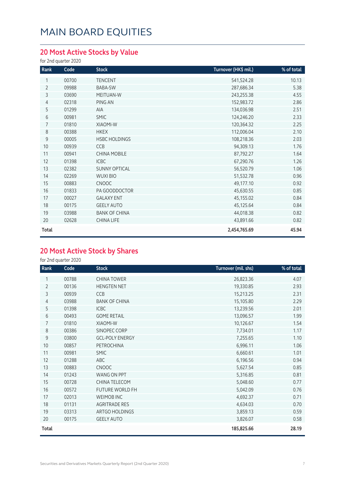### **20 Most Active Stocks by Value**

for 2nd quarter 2020

| Rank           | Code  | <b>Stock</b>         | Turnover (HK\$ mil.) | % of total |
|----------------|-------|----------------------|----------------------|------------|
| 1              | 00700 | <b>TENCENT</b>       | 541,524.28           | 10.13      |
| $\overline{2}$ | 09988 | BABA-SW              | 287,686.34           | 5.38       |
| 3              | 03690 | MEITUAN-W            | 243,255.38           | 4.55       |
| 4              | 02318 | PING AN              | 152,983.72           | 2.86       |
| 5              | 01299 | AIA                  | 134,036.98           | 2.51       |
| 6              | 00981 | <b>SMIC</b>          | 124,246.20           | 2.33       |
| $\overline{7}$ | 01810 | <b>XIAOMI-W</b>      | 120,364.32           | 2.25       |
| 8              | 00388 | <b>HKEX</b>          | 112,006.04           | 2.10       |
| 9              | 00005 | <b>HSBC HOLDINGS</b> | 108,218.36           | 2.03       |
| 10             | 00939 | CCB                  | 94,309.13            | 1.76       |
| 11             | 00941 | <b>CHINA MOBILE</b>  | 87,792.27            | 1.64       |
| 12             | 01398 | ICBC                 | 67,290.76            | 1.26       |
| 13             | 02382 | <b>SUNNY OPTICAL</b> | 56,520.79            | 1.06       |
| 14             | 02269 | <b>WUXI BIO</b>      | 51,532.78            | 0.96       |
| 15             | 00883 | <b>CNOOC</b>         | 49,177.10            | 0.92       |
| 16             | 01833 | PA GOODDOCTOR        | 45,630.55            | 0.85       |
| 17             | 00027 | <b>GALAXY ENT</b>    | 45,155.02            | 0.84       |
| 18             | 00175 | <b>GEELY AUTO</b>    | 45,125.64            | 0.84       |
| 19             | 03988 | <b>BANK OF CHINA</b> | 44,018.38            | 0.82       |
| 20             | 02628 | <b>CHINA LIFE</b>    | 43,891.66            | 0.82       |
| Total          |       |                      | 2,454,765.69         | 45.94      |

### **20 Most Active Stock by Shares**

for 2nd quarter 2020

| Rank           | Code  | <b>Stock</b>           | Turnover (mil. shs) | % of total |
|----------------|-------|------------------------|---------------------|------------|
| 1              | 00788 | <b>CHINA TOWER</b>     | 26,823.36           | 4.07       |
| $\overline{2}$ | 00136 | <b>HENGTEN NET</b>     | 19,330.85           | 2.93       |
| 3              | 00939 | CCB                    | 15,213.25           | 2.31       |
| 4              | 03988 | <b>BANK OF CHINA</b>   | 15,105.80           | 2.29       |
| 5              | 01398 | <b>ICBC</b>            | 13,239.56           | 2.01       |
| 6              | 00493 | <b>GOME RETAIL</b>     | 13,096.57           | 1.99       |
| $\overline{7}$ | 01810 | XIAOMI-W               | 10,126.67           | 1.54       |
| 8              | 00386 | SINOPEC CORP           | 7,734.01            | 1.17       |
| 9              | 03800 | <b>GCL-POLY ENERGY</b> | 7,255.65            | 1.10       |
| 10             | 00857 | PETROCHINA             | 6,996.11            | 1.06       |
| 11             | 00981 | <b>SMIC</b>            | 6,660.61            | 1.01       |
| 12             | 01288 | ABC                    | 6,196.56            | 0.94       |
| 13             | 00883 | CNOOC                  | 5,627.54            | 0.85       |
| 14             | 01243 | WANG ON PPT            | 5,316.85            | 0.81       |
| 15             | 00728 | CHINA TELECOM          | 5,048.60            | 0.77       |
| 16             | 00572 | FUTURE WORLD FH        | 5,042.09            | 0.76       |
| 17             | 02013 | <b>WEIMOB INC</b>      | 4,692.37            | 0.71       |
| 18             | 01131 | <b>AGRITRADE RES</b>   | 4,634.03            | 0.70       |
| 19             | 03313 | ARTGO HOLDINGS         | 3,859.13            | 0.59       |
| 20             | 00175 | <b>GEELY AUTO</b>      | 3,826.07            | 0.58       |
| Total          |       |                        | 185,825.66          | 28.19      |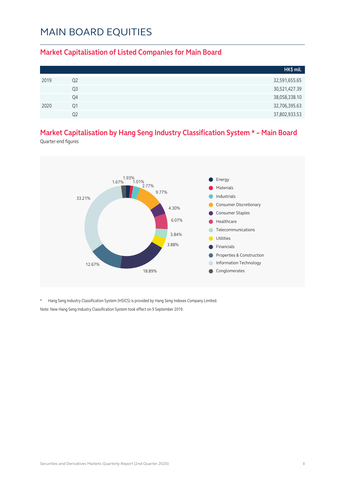#### **Market Capitalisation of Listed Companies for Main Board**

|      |                | HK\$ mil.     |
|------|----------------|---------------|
| 2019 | Q <sub>2</sub> | 32,591,655.65 |
|      | Q <sub>3</sub> | 30,521,427.39 |
|      | Q4             | 38,058,338.10 |
| 2020 | O1             | 32,706,395.63 |
|      | O2             | 37,802,933.53 |

### **Market Capitalisation by Hang Seng Industry Classification System \* – Main Board**

Quarter-end figures



\* Hang Seng Industry Classification System (HSICS) is provided by Hang Seng Indexes Company Limited. Note: New Hang Seng Industry Classification System took effect on 9 September 2019.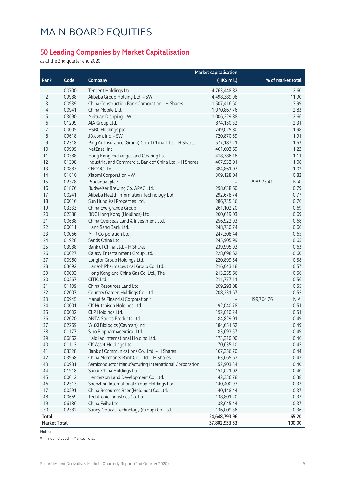#### **50 Leading Companies by Market Capitalisation**

as at the 2nd quarter end 2020

|                     |       |                                                         | <b>Market capitalisation</b> |                    |
|---------------------|-------|---------------------------------------------------------|------------------------------|--------------------|
| Rank                | Code  | Company                                                 | (HK\$ mil.)                  | % of market total  |
| 1                   | 00700 | Tencent Holdings Ltd.                                   | 4,763,448.82                 | 12.60              |
| 2                   | 09988 | Alibaba Group Holding Ltd. - SW                         | 4,498,389.98                 | 11.90              |
| 3                   | 00939 | China Construction Bank Corporation - H Shares          | 1,507,416.60                 | 3.99               |
| 4                   | 00941 | China Mobile Ltd.                                       | 1,070,867.76                 | 2.83               |
| 5                   | 03690 | Meituan Dianping - W                                    | 1,006,229.88                 | 2.66               |
| 6                   | 01299 | AIA Group Ltd.                                          | 874,150.32                   | 2.31               |
| 7                   | 00005 | <b>HSBC Holdings plc</b>                                | 749,025.80                   | 1.98               |
| 8                   | 09618 | JD.com, Inc. - SW                                       | 720,870.59                   | 1.91               |
| $\mathsf 9$         | 02318 | Ping An Insurance (Group) Co. of China, Ltd. - H Shares | 577,187.21                   | 1.53               |
| 10                  | 09999 | NetEase, Inc.                                           | 461,603.69                   | 1.22               |
| 11                  | 00388 | Hong Kong Exchanges and Clearing Ltd.                   | 418,386.18                   | 1.11               |
| 12                  | 01398 | Industrial and Commercial Bank of China Ltd. - H Shares | 407,932.01                   | 1.08               |
| 13                  | 00883 | CNOOC Ltd.                                              | 384,861.07                   | 1.02               |
| 14                  | 01810 | Xiaomi Corporation - W                                  | 309,128.04                   | 0.82               |
| 15                  | 02378 | Prudential plc *                                        |                              | 298,975.41<br>N.A. |
| 16                  | 01876 | Budweiser Brewing Co. APAC Ltd.                         | 298,638.60                   | 0.79               |
| 17                  | 00241 | Alibaba Health Information Technology Ltd.              | 292,678.74                   | 0.77               |
| 18                  | 00016 | Sun Hung Kai Properties Ltd.                            | 286,735.36                   | 0.76               |
| 19                  | 03333 | China Evergrande Group                                  | 261,102.20                   | 0.69               |
| 20                  | 02388 | BOC Hong Kong (Holdings) Ltd.                           | 260,619.03                   | 0.69               |
| 21                  | 00688 | China Overseas Land & Investment Ltd.                   | 256,922.93                   | 0.68               |
| 22                  | 00011 | Hang Seng Bank Ltd.                                     | 248,730.74                   | 0.66               |
| 23                  | 00066 | MTR Corporation Ltd.                                    | 247,308.44                   | 0.65               |
| 24                  | 01928 | Sands China Ltd.                                        | 245,905.99                   | 0.65               |
| 25                  | 03988 | Bank of China Ltd. - H Shares                           | 239,995.93                   | 0.63               |
| 26                  | 00027 | Galaxy Entertainment Group Ltd.                         | 228,698.62                   | 0.60               |
| 27                  | 00960 | Longfor Group Holdings Ltd.                             | 220,899.54                   | 0.58               |
| 28                  | 03692 | Hansoh Pharmaceutical Group Co. Ltd.                    | 216,043.18                   | 0.57               |
| 29                  | 00003 | Hong Kong and China Gas Co. Ltd., The                   | 213,255.66                   | 0.56               |
| 30                  | 00267 | CITIC Ltd.                                              | 211,777.11                   | 0.56               |
| 31                  | 01109 | China Resources Land Ltd.                               | 209,293.08                   | 0.55               |
| 32                  | 02007 | Country Garden Holdings Co. Ltd.                        | 208,231.67                   | 0.55               |
| 33                  | 00945 | Manulife Financial Corporation *                        |                              | N.A.<br>199,764.76 |
| 34                  | 00001 | CK Hutchison Holdings Ltd.                              | 192,040.78                   | 0.51               |
| 35                  | 00002 | CLP Holdings Ltd.                                       | 192,010.24                   | 0.51               |
| 36                  | 02020 | ANTA Sports Products Ltd.                               | 184,829.01                   | 0.49               |
| 37                  | 02269 | WuXi Biologics (Cayman) Inc.                            | 184,651.62                   | 0.49               |
| 38                  | 01177 | Sino Biopharmaceutical Ltd.                             | 183,693.57                   | 0.49               |
| 39                  | 06862 | Haidilao International Holding Ltd.                     | 173,310.00                   | 0.46               |
| 40                  | 01113 | CK Asset Holdings Ltd.                                  | 170,635.10                   | 0.45               |
| 41                  | 03328 | Bank of Communications Co., Ltd. - H Shares             | 167,356.70                   | 0.44               |
| 42                  | 03968 | China Merchants Bank Co., Ltd. - H Shares               | 163,665.63                   | 0.43               |
| 43                  | 00981 | Semiconductor Manufacturing International Corporation   | 152,903.34                   | 0.40               |
| 44                  | 01918 | Sunac China Holdings Ltd.                               | 151,021.02                   | 0.40               |
| 45                  | 00012 | Henderson Land Development Co. Ltd.                     | 142,336.78                   | 0.38               |
| 46                  | 02313 | Shenzhou International Group Holdings Ltd.              | 140,400.97                   | 0.37               |
| 47                  | 00291 | China Resources Beer (Holdings) Co. Ltd.                | 140,148.44                   | 0.37               |
| 48                  | 00669 | Techtronic Industries Co. Ltd.                          | 138,801.20                   | 0.37               |
| 49                  | 06186 | China Feihe Ltd.                                        | 138,645.44                   | 0.37               |
| 50                  | 02382 | Sunny Optical Technology (Group) Co. Ltd.               | 136,009.36                   | 0.36               |
| Total               |       |                                                         | 24,648,793.96                | 65.20              |
| <b>Market Total</b> |       |                                                         | 37,802,933.53                | 100.00             |

Notes:

\* not included in Market Total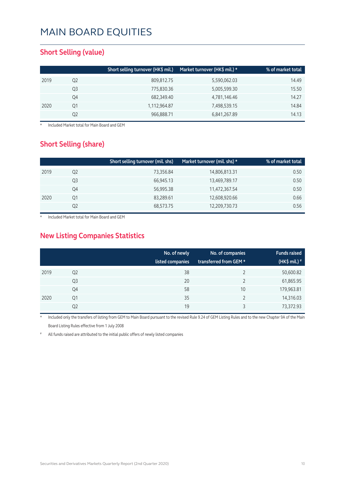#### **Short Selling (value)**

|    | Short selling turnover (HK\$ mil.) | Market turnover (HK\$ mil.) * | % of market total |
|----|------------------------------------|-------------------------------|-------------------|
| Q2 | 809,812.75                         | 5,590,062.03                  | 14.49             |
| Q3 | 775,830.36                         | 5,005,599.30                  | 15.50             |
| Q4 | 682,349.40                         | 4,781,146.46                  | 14.27             |
| Q1 | 1,112,964.87                       | 7,498,539.15                  | 14.84             |
| Q2 | 966,888.71                         | 6,841,267.89                  | 14.13             |
|    |                                    |                               |                   |

**Included Market total for Main Board and GEM** 

#### **Short Selling (share)**

|      |                | Short selling turnover (mil. shs) | Market turnover (mil. shs) * | % of market total |
|------|----------------|-----------------------------------|------------------------------|-------------------|
| 2019 | Q2             | 73,356.84                         | 14,806,813.31                | 0.50              |
|      | Q <sub>3</sub> | 66,945.13                         | 13,469,789.17                | 0.50              |
|      | Q4             | 56,995.38                         | 11,472,367.54                | 0.50              |
| 2020 | Q1             | 83,289.61                         | 12,608,920.66                | 0.66              |
|      | Q2             | 68,573.75                         | 12,209,730.73                | 0.56              |

Included Market total for Main Board and GEM

### **New Listing Companies Statistics**

|      |                | No. of newly<br>listed companies | No. of companies<br>transferred from GEM * | <b>Funds raised</b><br>(HK\$ mil.) $*$ |
|------|----------------|----------------------------------|--------------------------------------------|----------------------------------------|
| 2019 | Q <sub>2</sub> | 38                               |                                            | 50,600.82                              |
|      | Q3             | 20                               |                                            | 61,865.95                              |
|      | Q4             | 58                               | 10                                         | 179,963.81                             |
| 2020 | Q1             | 35                               |                                            | 14,316.03                              |
|      | Q2             | 19                               | 3                                          | 73,372.93                              |

Included only the transfers of listing from GEM to Main Board pursuant to the revised Rule 9.24 of GEM Listing Rules and to the new Chapter 9A of the Main Board Listing Rules effective from 1 July 2008

All funds raised are attributed to the initial public offers of newly listed companies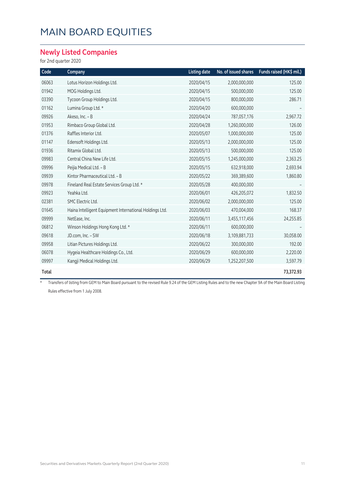#### **Newly Listed Companies**

for 2nd quarter 2020

| Code  | Company                                                 | <b>Listing date</b> | No. of issued shares | Funds raised (HK\$ mil.) |
|-------|---------------------------------------------------------|---------------------|----------------------|--------------------------|
| 06063 | Lotus Horizon Holdings Ltd.                             | 2020/04/15          | 2,000,000,000        | 125.00                   |
| 01942 | MOG Holdings Ltd.                                       | 2020/04/15          | 500,000,000          | 125.00                   |
| 03390 | Tycoon Group Holdings Ltd.                              | 2020/04/15          | 800,000,000          | 286.71                   |
| 01162 | Lumina Group Ltd. *                                     | 2020/04/20          | 600,000,000          |                          |
| 09926 | Akeso, Inc. - B                                         | 2020/04/24          | 787,057,176          | 2,967.72                 |
| 01953 | Rimbaco Group Global Ltd.                               | 2020/04/28          | 1,260,000,000        | 126.00                   |
| 01376 | Raffles Interior Ltd.                                   | 2020/05/07          | 1,000,000,000        | 125.00                   |
| 01147 | Edensoft Holdings Ltd.                                  | 2020/05/13          | 2,000,000,000        | 125.00                   |
| 01936 | Ritamix Global Ltd.                                     | 2020/05/13          | 500,000,000          | 125.00                   |
| 09983 | Central China New Life Ltd.                             | 2020/05/15          | 1,245,000,000        | 2,363.25                 |
| 09996 | Peijia Medical Ltd. - B                                 | 2020/05/15          | 632,918,000          | 2,693.94                 |
| 09939 | Kintor Pharmaceutical Ltd. - B                          | 2020/05/22          | 369,389,600          | 1,860.80                 |
| 09978 | Fineland Real Estate Services Group Ltd. *              | 2020/05/28          | 400,000,000          |                          |
| 09923 | Yeahka Ltd.                                             | 2020/06/01          | 426,205,072          | 1,832.50                 |
| 02381 | SMC Electric Ltd.                                       | 2020/06/02          | 2,000,000,000        | 125.00                   |
| 01645 | Haina Intelligent Equipment International Holdings Ltd. | 2020/06/03          | 470,004,000          | 168.37                   |
| 09999 | NetEase, Inc.                                           | 2020/06/11          | 3,455,117,456        | 24,255.85                |
| 06812 | Winson Holdings Hong Kong Ltd. *                        | 2020/06/11          | 600,000,000          |                          |
| 09618 | JD.com, Inc. - SW                                       | 2020/06/18          | 3,109,881,733        | 30,058.00                |
| 09958 | Litian Pictures Holdings Ltd.                           | 2020/06/22          | 300,000,000          | 192.00                   |
| 06078 | Hygeia Healthcare Holdings Co., Ltd.                    | 2020/06/29          | 600,000,000          | 2,220.00                 |
| 09997 | Kangji Medical Holdings Ltd.                            | 2020/06/29          | 1,252,207,500        | 3,597.79                 |
| Total |                                                         |                     |                      | 73,372.93                |

\* Transfers of listing from GEM to Main Board pursuant to the revised Rule 9.24 of the GEM Listing Rules and to the new Chapter 9A of the Main Board Listing Rules effective from 1 July 2008.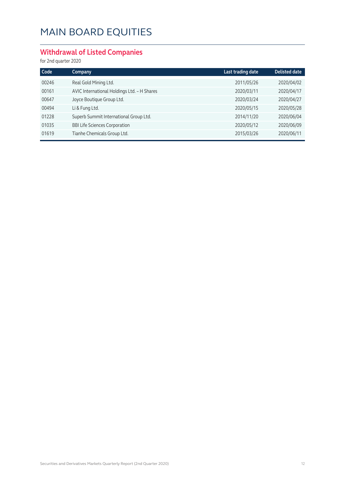### **Withdrawal of Listed Companies**

for 2nd quarter 2020

| Code  | Company                                     | Last trading date | <b>Delisted date</b> |
|-------|---------------------------------------------|-------------------|----------------------|
| 00246 | Real Gold Mining Ltd.                       | 2011/05/26        | 2020/04/02           |
| 00161 | AVIC International Holdings Ltd. - H Shares | 2020/03/11        | 2020/04/17           |
| 00647 | Joyce Boutique Group Ltd.                   | 2020/03/24        | 2020/04/27           |
| 00494 | Li & Fung Ltd.                              | 2020/05/15        | 2020/05/28           |
| 01228 | Superb Summit International Group Ltd.      | 2014/11/20        | 2020/06/04           |
| 01035 | <b>BBI Life Sciences Corporation</b>        | 2020/05/12        | 2020/06/09           |
| 01619 | Tianhe Chemicals Group Ltd.                 | 2015/03/26        | 2020/06/11           |
|       |                                             |                   |                      |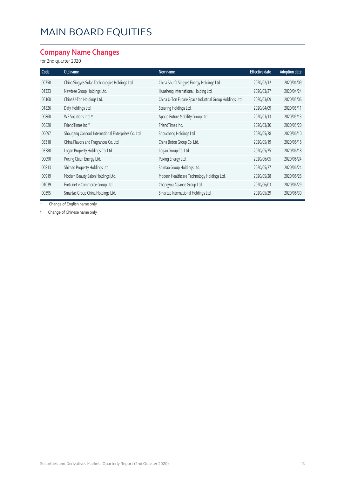### **Company Name Changes**

#### for 2nd quarter 2020

| Code  | Old name                                            | New name                                                | <b>Effective date</b> | <b>Adoption date</b> |
|-------|-----------------------------------------------------|---------------------------------------------------------|-----------------------|----------------------|
| 00750 | China Singyes Solar Technologies Holdings Ltd.      | China Shuifa Singyes Energy Holdings Ltd.               | 2020/02/12            | 2020/04/09           |
| 01323 | Newtree Group Holdings Ltd.                         | Huasheng International Holding Ltd.                     | 2020/03/27            | 2020/04/24           |
| 06168 | China U-Ton Holdings Ltd.                           | China U-Ton Future Space Industrial Group Holdings Ltd. | 2020/03/09            | 2020/05/06           |
| 01826 | Dafy Holdings Ltd.                                  | Steering Holdings Ltd.                                  | 2020/04/09            | 2020/05/11           |
| 00860 | WE Solutions Ltd. *                                 | Apollo Future Mobility Group Ltd.                       | 2020/03/13            | 2020/05/13           |
| 06820 | FriendTimes Inc <sup>#</sup>                        | FriendTimes Inc.                                        | 2020/03/30            | 2020/05/20           |
| 00697 | Shougang Concord International Enterprises Co. Ltd. | Shoucheng Holdings Ltd.                                 | 2020/05/28            | 2020/06/10           |
| 03318 | China Flavors and Fragrances Co. Ltd.               | China Boton Group Co. Ltd.                              | 2020/05/19            | 2020/06/16           |
| 03380 | Logan Property Holdings Co. Ltd.                    | Logan Group Co. Ltd.                                    | 2020/05/25            | 2020/06/18           |
| 00090 | Puxing Clean Energy Ltd.                            | Puxing Energy Ltd.                                      | 2020/06/05            | 2020/06/24           |
| 00813 | Shimao Property Holdings Ltd.                       | Shimao Group Holdings Ltd.                              | 2020/05/27            | 2020/06/24           |
| 00919 | Modern Beauty Salon Holdings Ltd.                   | Modern Healthcare Technology Holdings Ltd.              | 2020/05/28            | 2020/06/26           |
| 01039 | Fortunet e-Commerce Group Ltd.                      | Changyou Alliance Group Ltd.                            | 2020/06/03            | 2020/06/29           |
| 00395 | Smartac Group China Holdings Ltd.                   | Smartac International Holdings Ltd.                     | 2020/05/29            | 2020/06/30           |

\* Change of English name only

# Change of Chinese name only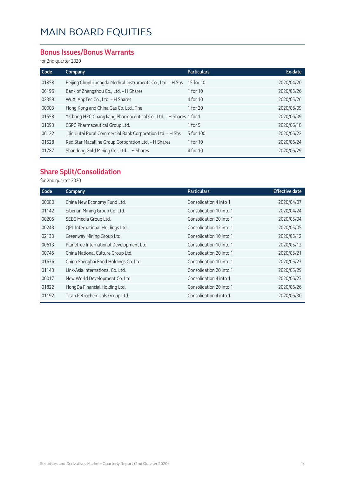#### **Bonus Issues/Bonus Warrants**

for 2nd quarter 2020

| Code  | Company                                                            | <b>Particulars</b> | Ex-date    |
|-------|--------------------------------------------------------------------|--------------------|------------|
| 01858 | Beijing Chunlizhengda Medical Instruments Co., Ltd. - H Shs        | 15 for 10          | 2020/04/20 |
| 06196 | Bank of Zhengzhou Co., Ltd. - H Shares                             | 1 for 10           | 2020/05/26 |
| 02359 | WuXi AppTec Co., Ltd. - H Shares                                   | 4 for 10           | 2020/05/26 |
| 00003 | Hong Kong and China Gas Co. Ltd., The                              | 1 for 20           | 2020/06/09 |
| 01558 | YiChang HEC ChangJiang Pharmaceutical Co., Ltd. - H Shares 1 for 1 |                    | 2020/06/09 |
| 01093 | CSPC Pharmaceutical Group Ltd.                                     | 1 for $5$          | 2020/06/18 |
| 06122 | Jilin Jiutai Rural Commercial Bank Corporation Ltd. - H Shs        | 5 for 100          | 2020/06/22 |
| 01528 | Red Star Macalline Group Corporation Ltd. - H Shares               | 1 for 10           | 2020/06/24 |
| 01787 | Shandong Gold Mining Co., Ltd. - H Shares                          | 4 for 10           | 2020/06/29 |
|       |                                                                    |                    |            |

#### **Share Split/Consolidation**

for 2nd quarter 2020

| Code  | Company                                  | <b>Particulars</b>      | <b>Effective date</b> |
|-------|------------------------------------------|-------------------------|-----------------------|
| 00080 | China New Economy Fund Ltd.              | Consolidation 4 into 1  | 2020/04/07            |
| 01142 | Siberian Mining Group Co. Ltd.           | Consolidation 10 into 1 | 2020/04/24            |
| 00205 | SEEC Media Group Ltd.                    | Consolidation 20 into 1 | 2020/05/04            |
| 00243 | QPL International Holdings Ltd.          | Consolidation 12 into 1 | 2020/05/05            |
| 02133 | Greenway Mining Group Ltd.               | Consolidation 10 into 1 | 2020/05/12            |
| 00613 | Planetree International Development Ltd. | Consolidation 10 into 1 | 2020/05/12            |
| 00745 | China National Culture Group Ltd.        | Consolidation 20 into 1 | 2020/05/21            |
| 01676 | China Shenghai Food Holdings Co. Ltd.    | Consolidation 10 into 1 | 2020/05/27            |
| 01143 | Link-Asia International Co. Ltd.         | Consolidation 20 into 1 | 2020/05/29            |
| 00017 | New World Development Co. Ltd.           | Consolidation 4 into 1  | 2020/06/23            |
| 01822 | HongDa Financial Holding Ltd.            | Consolidation 20 into 1 | 2020/06/26            |
| 01192 | Titan Petrochemicals Group Ltd.          | Consolidation 4 into 1  | 2020/06/30            |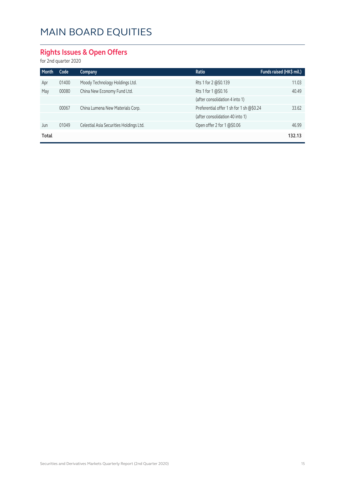### **Rights Issues & Open Offers**

for 2nd quarter 2020

| Month | Code  | <b>Company</b>                          | Ratio                                    | Funds raised (HK\$ mil.) |
|-------|-------|-----------------------------------------|------------------------------------------|--------------------------|
| Apr   | 01400 | Moody Technology Holdings Ltd.          | Rts 1 for 2 @\$0.139                     | 11.03                    |
| May   | 00080 | China New Economy Fund Ltd.             | Rts 1 for 1 @\$0.16                      | 40.49                    |
|       |       |                                         | (after consolidation 4 into 1)           |                          |
|       | 00067 | China Lumena New Materials Corp.        | Preferential offer 1 sh for 1 sh @\$0.24 | 33.62                    |
|       |       |                                         | (after consolidation 40 into 1)          |                          |
| Jun   | 01049 | Celestial Asia Securities Holdings Ltd. | Open offer 2 for $1 \times 50.06$        | 46.99                    |
| Total |       |                                         |                                          | 132.13                   |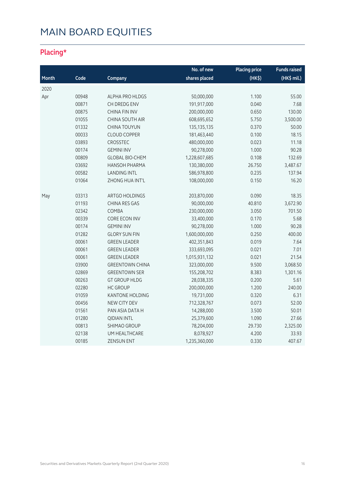### **Placing\***

|       |       |                        | No. of new    | <b>Placing price</b> | <b>Funds raised</b> |
|-------|-------|------------------------|---------------|----------------------|---------------------|
| Month | Code  | Company                | shares placed | $(HK\$               | (HK\$ mil.)         |
| 2020  |       |                        |               |                      |                     |
| Apr   | 00948 | ALPHA PRO HLDGS        | 50,000,000    | 1.100                | 55.00               |
|       | 00871 | CH DREDG ENV           | 191,917,000   | 0.040                | 7.68                |
|       | 00875 | CHINA FIN INV          | 200,000,000   | 0.650                | 130.00              |
|       | 01055 | CHINA SOUTH AIR        | 608,695,652   | 5.750                | 3,500.00            |
|       | 01332 | <b>CHINA TOUYUN</b>    | 135, 135, 135 | 0.370                | 50.00               |
|       | 00033 | <b>CLOUD COPPER</b>    | 181,463,440   | 0.100                | 18.15               |
|       | 03893 | CROSSTEC               | 480,000,000   | 0.023                | 11.18               |
|       | 00174 | <b>GEMINI INV</b>      | 90,278,000    | 1.000                | 90.28               |
|       | 00809 | <b>GLOBAL BIO-CHEM</b> | 1,228,607,685 | 0.108                | 132.69              |
|       | 03692 | <b>HANSOH PHARMA</b>   | 130,380,000   | 26.750               | 3,487.67            |
|       | 00582 | <b>LANDING INTL</b>    | 586,978,800   | 0.235                | 137.94              |
|       | 01064 | ZHONG HUA INT'L        | 108,000,000   | 0.150                | 16.20               |
| May   | 03313 | ARTGO HOLDINGS         | 203,870,000   | 0.090                | 18.35               |
|       | 01193 | <b>CHINA RES GAS</b>   | 90,000,000    | 40.810               | 3,672.90            |
|       | 02342 | COMBA                  | 230,000,000   | 3.050                | 701.50              |
|       | 00339 | CORE ECON INV          | 33,400,000    | 0.170                | 5.68                |
|       | 00174 | <b>GEMINI INV</b>      | 90,278,000    | 1.000                | 90.28               |
|       | 01282 | <b>GLORY SUN FIN</b>   | 1,600,000,000 | 0.250                | 400.00              |
|       | 00061 | <b>GREEN LEADER</b>    | 402,351,843   | 0.019                | 7.64                |
|       | 00061 | <b>GREEN LEADER</b>    | 333,693,095   | 0.021                | 7.01                |
|       | 00061 | <b>GREEN LEADER</b>    | 1,015,931,132 | 0.021                | 21.54               |
|       | 03900 | <b>GREENTOWN CHINA</b> | 323,000,000   | 9.500                | 3,068.50            |
|       | 02869 | <b>GREENTOWN SER</b>   | 155,208,702   | 8.383                | 1,301.16            |
|       | 00263 | <b>GT GROUP HLDG</b>   | 28,038,335    | 0.200                | 5.61                |
|       | 02280 | <b>HC GROUP</b>        | 200,000,000   | 1.200                | 240.00              |
|       | 01059 | <b>KANTONE HOLDING</b> | 19,731,000    | 0.320                | 6.31                |
|       | 00456 | NEW CITY DEV           | 712,328,767   | 0.073                | 52.00               |
|       | 01561 | PAN ASIA DATA H        | 14,288,000    | 3.500                | 50.01               |
|       | 01280 | <b>QIDIAN INTL</b>     | 25,379,600    | 1.090                | 27.66               |
|       | 00813 | SHIMAO GROUP           | 78,204,000    | 29.730               | 2,325.00            |
|       | 02138 | UM HEALTHCARE          | 8,078,927     | 4.200                | 33.93               |
|       | 00185 | <b>ZENSUN ENT</b>      | 1,235,360,000 | 0.330                | 407.67              |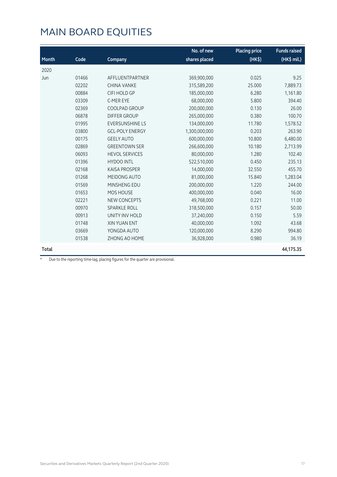|       |       |                        | No. of new    | <b>Placing price</b> | <b>Funds raised</b> |
|-------|-------|------------------------|---------------|----------------------|---------------------|
| Month | Code  | Company                | shares placed | (HK\$)               | (HK\$ mil.)         |
| 2020  |       |                        |               |                      |                     |
| Jun   | 01466 | AFFLUENTPARTNER        | 369,900,000   | 0.025                | 9.25                |
|       | 02202 | <b>CHINA VANKE</b>     | 315,589,200   | 25.000               | 7,889.73            |
|       | 00884 | <b>CIFI HOLD GP</b>    | 185,000,000   | 6.280                | 1,161.80            |
|       | 03309 | C-MER EYE              | 68,000,000    | 5.800                | 394.40              |
|       | 02369 | COOLPAD GROUP          | 200,000,000   | 0.130                | 26.00               |
|       | 06878 | <b>DIFFER GROUP</b>    | 265,000,000   | 0.380                | 100.70              |
|       | 01995 | <b>EVERSUNSHINE LS</b> | 134,000,000   | 11.780               | 1,578.52            |
|       | 03800 | <b>GCL-POLY ENERGY</b> | 1,300,000,000 | 0.203                | 263.90              |
|       | 00175 | <b>GEELY AUTO</b>      | 600,000,000   | 10.800               | 6,480.00            |
|       | 02869 | <b>GREENTOWN SER</b>   | 266,600,000   | 10.180               | 2,713.99            |
|       | 06093 | <b>HEVOL SERVICES</b>  | 80,000,000    | 1.280                | 102.40              |
|       | 01396 | <b>HYDOO INTL</b>      | 522,510,000   | 0.450                | 235.13              |
|       | 02168 | <b>KAISA PROSPER</b>   | 14,000,000    | 32.550               | 455.70              |
|       | 01268 | MEIDONG AUTO           | 81,000,000    | 15.840               | 1,283.04            |
|       | 01569 | MINSHENG EDU           | 200,000,000   | 1.220                | 244.00              |
|       | 01653 | MOS HOUSE              | 400,000,000   | 0.040                | 16.00               |
|       | 02221 | <b>NEW CONCEPTS</b>    | 49,768,000    | 0.221                | 11.00               |
|       | 00970 | <b>SPARKLE ROLL</b>    | 318,500,000   | 0.157                | 50.00               |
|       | 00913 | UNITY INV HOLD         | 37,240,000    | 0.150                | 5.59                |
|       | 01748 | <b>XIN YUAN ENT</b>    | 40,000,000    | 1.092                | 43.68               |
|       | 03669 | YONGDA AUTO            | 120,000,000   | 8.290                | 994.80              |
|       | 01538 | ZHONG AO HOME          | 36,928,000    | 0.980                | 36.19               |
| Total |       |                        |               |                      | 44,175.35           |

\* Due to the reporting time-lag, placing figures for the quarter are provisional.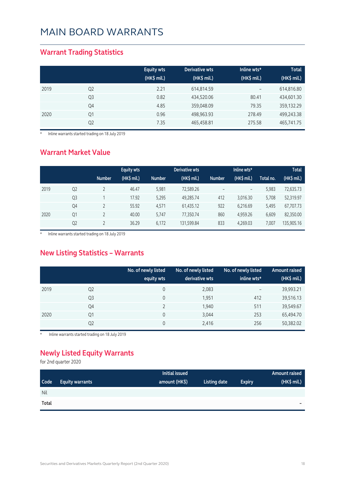#### **Warrant Trading Statistics**

|      |                | <b>Equity wts</b><br>$(HK$$ mil.) | Derivative wts<br>(HK\$ mil.) | Inline wts*<br>(HK\$ mil.) | <b>Total</b><br>(HK\$ mil.) |
|------|----------------|-----------------------------------|-------------------------------|----------------------------|-----------------------------|
| 2019 | Q <sub>2</sub> | 2.21                              | 614,814.59                    | $\overline{\phantom{m}}$   | 614,816.80                  |
|      | Q <sub>3</sub> | 0.82                              | 434,520.06                    | 80.41                      | 434,601.30                  |
|      | Q4             | 4.85                              | 359,048.09                    | 79.35                      | 359,132.29                  |
| 2020 | Q1             | 0.96                              | 498,963.93                    | 278.49                     | 499,243.38                  |
|      | Q <sub>2</sub> | 7.35                              | 465,458.81                    | 275.58                     | 465,741.75                  |

\* Inline warrants started trading on 18 July 2019

#### **Warrant Market Value**

|      |                |               | <b>Equity wts</b> |               | Derivative wts |               | Inline wts*       |           | <b>Total</b> |
|------|----------------|---------------|-------------------|---------------|----------------|---------------|-------------------|-----------|--------------|
|      |                | <b>Number</b> | $(HK$$ mil.)      | <b>Number</b> | (HK\$ mil.)    | <b>Number</b> | (HK\$ mil.)       | Total no. | (HK\$ mil.)  |
| 2019 | Q <sub>2</sub> |               | 46.47             | 5.981         | 72,589.26      |               | $\qquad \qquad -$ | 5,983     | 72,635.73    |
|      | Q <sub>3</sub> |               | 17.92             | 5,295         | 49,285.74      | 412           | 3,016.30          | 5,708     | 52,319.97    |
|      | Q4             |               | 55.92             | 4,571         | 61,435.12      | 922           | 6,216.69          | 5,495     | 67,707.73    |
| 2020 | Q1             |               | 40.00             | 5,747         | 77,350.74      | 860           | 4.959.26          | 6,609     | 82,350.00    |
|      | Q <sub>2</sub> |               | 36.29             | 6,172         | 131,599.84     | 833           | 4,269.03          | 7.007     | 135,905.16   |

\* Inline warrants started trading on 18 July 2019

#### **New Listing Statistics – Warrants**

|      |                | No. of newly listed<br>equity wts | No. of newly listed<br>derivative wts | No. of newly listed<br>inline wts* | <b>Amount raised</b><br>(HK\$ mil.) |
|------|----------------|-----------------------------------|---------------------------------------|------------------------------------|-------------------------------------|
| 2019 | Q <sub>2</sub> | 0                                 | 2,083                                 | $\overline{\phantom{0}}$           | 39,993.21                           |
|      | Q <sub>3</sub> | 0                                 | 1,951                                 | 412                                | 39,516.13                           |
|      | Q4             |                                   | 1,940                                 | 511                                | 39,549.67                           |
| 2020 | Q1             | 0                                 | 3,044                                 | 253                                | 65,494.70                           |
|      | Q <sub>2</sub> | 0                                 | 2,416                                 | 256                                | 50,382.02                           |

Inline warrants started trading on 18 July 2019

### **Newly Listed Equity Warrants**

for 2nd quarter 2020

|            |                        | Initial issued |              |               | Amount raised |
|------------|------------------------|----------------|--------------|---------------|---------------|
| Code       | <b>Equity warrants</b> | amount (HK\$)  | Listing date | <b>Expiry</b> | (HK\$ mil.)   |
| <b>Nil</b> |                        |                |              |               |               |
| Total      |                        |                |              |               | $\sim$        |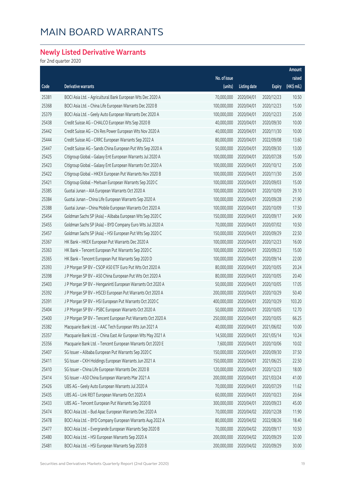### **Newly Listed Derivative Warrants**

for 2nd quarter 2020

|       |                                                              |              |                     |               | Amount      |
|-------|--------------------------------------------------------------|--------------|---------------------|---------------|-------------|
|       |                                                              | No. of issue |                     |               | raised      |
| Code  | Derivative warrants                                          | (units)      | <b>Listing date</b> | <b>Expiry</b> | (HK\$ mil.) |
| 25381 | BOCI Asia Ltd. - Agricultural Bank European Wts Dec 2020 A   | 70,000,000   | 2020/04/01          | 2020/12/23    | 10.50       |
| 25368 | BOCI Asia Ltd. - China Life European Warrants Dec 2020 B     | 100,000,000  | 2020/04/01          | 2020/12/23    | 15.00       |
| 25379 | BOCI Asia Ltd. - Geely Auto European Warrants Dec 2020 A     | 100,000,000  | 2020/04/01          | 2020/12/23    | 25.00       |
| 25438 | Credit Suisse AG - CHALCO European Wts Sep 2020 B            | 40,000,000   | 2020/04/01          | 2020/09/30    | 10.00       |
| 25442 | Credit Suisse AG - Chi Res Power European Wts Nov 2020 A     | 40,000,000   | 2020/04/01          | 2020/11/30    | 10.00       |
| 25444 | Credit Suisse AG - CRRC European Warrants Sep 2022 A         | 80,000,000   | 2020/04/01          | 2022/09/08    | 13.60       |
| 25447 | Credit Suisse AG - Sands China European Put Wts Sep 2020 A   | 50,000,000   | 2020/04/01          | 2020/09/30    | 13.00       |
| 25425 | Citigroup Global - Galaxy Ent European Warrants Jul 2020 A   | 100,000,000  | 2020/04/01          | 2020/07/28    | 15.00       |
| 25423 | Citigroup Global - Galaxy Ent European Warrants Oct 2020 A   | 100,000,000  | 2020/04/01          | 2020/10/12    | 25.00       |
| 25422 | Citigroup Global - HKEX European Put Warrants Nov 2020 B     | 100,000,000  | 2020/04/01          | 2020/11/30    | 25.00       |
| 25421 | Citigroup Global - Meituan European Warrants Sep 2020 C      | 100,000,000  | 2020/04/01          | 2020/09/03    | 15.00       |
| 25385 | Guotai Junan - AIA European Warrants Oct 2020 A              | 100,000,000  | 2020/04/01          | 2020/10/09    | 29.10       |
| 25384 | Guotai Junan - China Life European Warrants Sep 2020 A       | 100,000,000  | 2020/04/01          | 2020/09/28    | 21.90       |
| 25388 | Guotai Junan - China Mobile European Warrants Oct 2020 A     | 100,000,000  | 2020/04/01          | 2020/10/09    | 17.50       |
| 25454 | Goldman Sachs SP (Asia) - Alibaba European Wts Sep 2020 C    | 150,000,000  | 2020/04/01          | 2020/09/17    | 24.90       |
| 25455 | Goldman Sachs SP (Asia) - BYD Company Euro Wts Jul 2020 A    | 70,000,000   | 2020/04/01          | 2020/07/02    | 10.50       |
| 25457 | Goldman Sachs SP (Asia) - HSI European Put Wts Sep 2020 C    | 150,000,000  | 2020/04/01          | 2020/09/29    | 22.50       |
| 25367 | HK Bank - HKEX European Put Warrants Dec 2020 A              | 100,000,000  | 2020/04/01          | 2020/12/23    | 16.00       |
| 25363 | HK Bank - Tencent European Put Warrants Sep 2020 C           | 100,000,000  | 2020/04/01          | 2020/09/23    | 15.00       |
| 25365 | HK Bank - Tencent European Put Warrants Sep 2020 D           | 100,000,000  | 2020/04/01          | 2020/09/14    | 22.00       |
| 25393 | J P Morgan SP BV - CSOP A50 ETF Euro Put Wts Oct 2020 A      | 80,000,000   | 2020/04/01          | 2020/10/05    | 20.24       |
| 25398 | J P Morgan SP BV - A50 China European Put Wts Oct 2020 A     | 80,000,000   | 2020/04/01          | 2020/10/05    | 20.40       |
| 25403 | J P Morgan SP BV - Henganintl European Warrants Oct 2020 A   | 50,000,000   | 2020/04/01          | 2020/10/05    | 17.05       |
| 25392 | J P Morgan SP BV - HSCEI European Put Warrants Oct 2020 A    | 200,000,000  | 2020/04/01          | 2020/10/29    | 50.40       |
| 25391 | J P Morgan SP BV - HSI European Put Warrants Oct 2020 C      | 400,000,000  | 2020/04/01          | 2020/10/29    | 103.20      |
| 25404 | J P Morgan SP BV - PSBC European Warrants Oct 2020 A         | 50,000,000   | 2020/04/01          | 2020/10/05    | 12.70       |
| 25400 | J P Morgan SP BV - Tencent European Put Warrants Oct 2020 A  | 250,000,000  | 2020/04/01          | 2020/10/05    | 66.25       |
| 25382 | Macquarie Bank Ltd. - AAC Tech European Wts Jun 2021 A       | 40,000,000   | 2020/04/01          | 2021/06/02    | 10.00       |
| 25357 | Macquarie Bank Ltd. - China East Air European Wts May 2021 A | 14,500,000   | 2020/04/01          | 2021/05/14    | 10.24       |
| 25356 | Macquarie Bank Ltd. - Tencent European Warrants Oct 2020 E   | 7,600,000    | 2020/04/01          | 2020/10/06    | 10.02       |
| 25407 | SG Issuer - Alibaba European Put Warrants Sep 2020 C         | 150,000,000  | 2020/04/01          | 2020/09/30    | 37.50       |
| 25411 | SG Issuer - CKH Holdings European Warrants Jun 2021 A        | 150,000,000  | 2020/04/01          | 2021/06/25    | 22.50       |
| 25410 | SG Issuer - China Life European Warrants Dec 2020 B          | 120,000,000  | 2020/04/01          | 2020/12/23    | 18.00       |
| 25414 | SG Issuer - A50 China European Warrants Mar 2021 A           | 200,000,000  | 2020/04/01          | 2021/03/24    | 41.00       |
| 25426 | UBS AG - Geely Auto European Warrants Jul 2020 A             | 70,000,000   | 2020/04/01          | 2020/07/29    | 11.62       |
| 25435 | UBS AG - Link REIT European Warrants Oct 2020 A              | 60,000,000   | 2020/04/01          | 2020/10/23    | 20.64       |
| 25433 | UBS AG - Tencent European Put Warrants Sep 2020 B            | 300,000,000  | 2020/04/01          | 2020/09/23    | 45.00       |
| 25474 | BOCI Asia Ltd. - Bud Apac European Warrants Dec 2020 A       | 70,000,000   | 2020/04/02          | 2020/12/28    | 11.90       |
| 25478 | BOCI Asia Ltd. - BYD Company European Warrants Aug 2022 A    | 80,000,000   | 2020/04/02          | 2022/08/26    | 18.40       |
| 25477 | BOCI Asia Ltd. - Evergrande European Warrants Sep 2020 B     | 70,000,000   | 2020/04/02          | 2020/09/17    | 10.50       |
| 25480 | BOCI Asia Ltd. - HSI European Warrants Sep 2020 A            | 200,000,000  | 2020/04/02          | 2020/09/29    | 32.00       |
| 25481 | BOCI Asia Ltd. - HSI European Warrants Sep 2020 B            | 200,000,000  | 2020/04/02          | 2020/09/29    | 30.00       |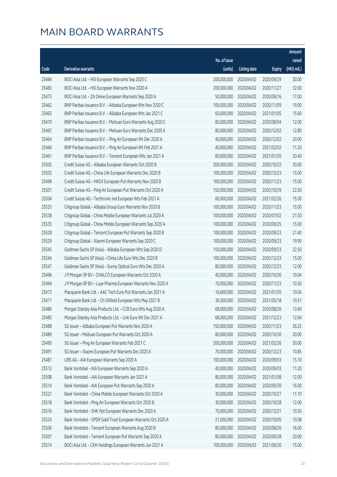|       |                                                              |              |                       |               | Amount      |
|-------|--------------------------------------------------------------|--------------|-----------------------|---------------|-------------|
|       |                                                              | No. of issue |                       |               | raised      |
| Code  | Derivative warrants                                          | (units)      | <b>Listing date</b>   | <b>Expiry</b> | (HK\$ mil.) |
| 25484 | BOCI Asia Ltd. - HSI European Warrants Sep 2020 C            | 200,000,000  | 2020/04/02            | 2020/09/29    | 30.00       |
| 25483 | BOCI Asia Ltd. - HSI European Warrants Nov 2020 A            | 200,000,000  | 2020/04/02            | 2020/11/27    | 32.00       |
| 25473 | BOCI Asia Ltd. - ZA Onine European Warrants Sep 2020 A       | 50,000,000   | 2020/04/02            | 2020/09/16    | 17.00       |
| 25462 | BNP Paribas Issuance B.V. - Alibaba European Wts Nov 2020 C  | 100,000,000  | 2020/04/02            | 2020/11/09    | 19.00       |
| 25463 | BNP Paribas Issuance B.V. - Alibaba European Wts Jan 2021 C  | 60,000,000   | 2020/04/02            | 2021/01/05    | 15.60       |
| 25470 | BNP Paribas Issuance B.V. - Meituan Euro Warrants Aug 2020 C | 80,000,000   | 2020/04/02            | 2020/08/04    | 12.00       |
| 25467 | BNP Paribas Issuance B.V. - Meituan Euro Warrants Dec 2020 A | 80,000,000   | 2020/04/02            | 2020/12/02    | 12.80       |
| 25464 | BNP Paribas Issuance B.V. - Ping An European Wt Dec 2020 A   | 40,000,000   | 2020/04/02            | 2020/12/02    | 20.00       |
| 25466 | BNP Paribas Issuance B.V. - Ping An European Wt Feb 2021 A   | 40,000,000   | 2020/04/02            | 2021/02/02    | 11.20       |
| 25461 | BNP Paribas Issuance B.V. - Tencent European Wts Jan 2021 A  | 60,000,000   | 2020/04/02            | 2021/01/05    | 20.40       |
| 25505 | Credit Suisse AG - Alibaba European Warrants Oct 2020 B      | 200,000,000  | 2020/04/02            | 2020/10/22    | 30.00       |
| 25502 | Credit Suisse AG - China Life European Warrants Dec 2020 B   | 100,000,000  | 2020/04/02            | 2020/12/23    | 15.00       |
| 25498 | Credit Suisse AG - HKEX European Put Warrants Nov 2020 B     | 100,000,000  | 2020/04/02            | 2020/11/23    | 15.00       |
| 25501 | Credit Suisse AG - Ping An European Put Warrants Oct 2020 A  | 150,000,000  | 2020/04/02            | 2020/10/29    | 22.50       |
| 25504 | Credit Suisse AG - Techtronic Ind European Wts Feb 2021 A    | 60,000,000   | 2020/04/02            | 2021/02/26    | 15.00       |
| 25525 | Citigroup Global - Alibaba Group Euro Warrants Nov 2020 B    | 100,000,000  | 2020/04/02            | 2020/11/23    | 15.00       |
| 25538 | Citigroup Global - China Mobile European Warrants Jul 2020 A | 100,000,000  | 2020/04/02            | 2020/07/02    | 21.50       |
| 25535 | Citigroup Global - China Mobile European Warrants Sep 2020 A | 100,000,000  | 2020/04/02            | 2020/09/25    | 15.00       |
| 25528 | Citigroup Global - Tencent European Put Warrants Sep 2020 B  | 100,000,000  | 2020/04/02            | 2020/09/23    | 21.40       |
| 25529 | Citigroup Global - Xiaomi European Warrants Sep 2020 C       | 100,000,000  | 2020/04/02            | 2020/09/23    | 19.90       |
| 25545 | Goldman Sachs SP (Asia) - Alibaba European Wts Sep 2020 D    | 150,000,000  | 2020/04/02            | 2020/09/23    | 22.50       |
| 25544 | Goldman Sachs SP (Asia) - China Life Euro Wts Dec 2020 B     | 100,000,000  | 2020/04/02            | 2020/12/23    | 15.00       |
| 25547 | Goldman Sachs SP (Asia) - Sunny Optical Euro Wts Dec 2020 A  | 80,000,000   | 2020/04/02            | 2020/12/23    | 12.00       |
| 25496 | J P Morgan SP BV - CHALCO European Warrants Oct 2020 A       | 40,000,000   | 2020/04/02            | 2020/10/30    | 10.04       |
| 25494 | J P Morgan SP BV - Luye Pharma European Warrants Nov 2020 A  | 70,000,000   | 2020/04/02            | 2020/11/23    | 10.50       |
| 25472 | Macquarie Bank Ltd. - AAC Tech Euro Put Warrants Jan 2021 A  | 16,600,000   | 2020/04/02            | 2021/01/05    | 10.04       |
| 25471 | Macquarie Bank Ltd. - Ch Oilfield European Wts May 2021 B    |              | 36,500,000 2020/04/02 | 2021/05/18    | 10.51       |
| 25486 | Morgan Stanley Asia Products Ltd. - CCB Euro Wts Aug 2020 A  | 68,000,000   | 2020/04/02            | 2020/08/26    | 13.60       |
| 25485 | Morgan Stanley Asia Products Ltd. - Link Euro Wt Dec 2021 A  | 68,000,000   | 2020/04/02            | 2021/12/23    | 12.04       |
| 25488 | SG Issuer - Alibaba European Put Warrants Nov 2020 A         | 150,000,000  | 2020/04/02            | 2020/11/23    | 26.25       |
| 25489 | SG Issuer - Meituan European Put Warrants Oct 2020 A         | 80,000,000   | 2020/04/02            | 2020/10/30    | 20.00       |
| 25490 | SG Issuer - Ping An European Warrants Feb 2021 C             | 200,000,000  | 2020/04/02            | 2021/02/26    | 50.00       |
| 25491 | SG Issuer - Xiaomi European Put Warrants Dec 2020 A          | 70,000,000   | 2020/04/02            | 2020/12/23    | 10.85       |
| 25487 | UBS AG - AIA European Warrants Sep 2020 A                    | 100,000,000  | 2020/04/02            | 2020/09/03    | 15.10       |
| 25512 | Bank Vontobel - AIA European Warrants Sep 2020 A             | 40,000,000   | 2020/04/02            | 2020/09/03    | 11.20       |
| 25508 | Bank Vontobel - AIA European Warrants Jan 2021 A             | 80,000,000   | 2020/04/02            | 2021/01/08    | 12.00       |
| 25514 | Bank Vontobel - AIA European Put Warrants Sep 2020 A         | 80,000,000   | 2020/04/02            | 2020/09/30    | 16.00       |
| 25521 | Bank Vontobel - China Mobile European Warrants Oct 2020 A    | 30,000,000   | 2020/04/02            | 2020/10/27    | 11.10       |
| 25518 | Bank Vontobel - Ping An European Warrants Oct 2020 B         | 30,000,000   | 2020/04/02            | 2020/10/28    | 12.00       |
| 25516 | Bank Vontobel - SHK Ppt European Warrants Dec 2020 A         | 70,000,000   | 2020/04/02            | 2020/12/21    | 10.50       |
| 25524 | Bank Vontobel - SPDR Gold Trust European Warrants Oct 2020 A | 21,000,000   | 2020/04/02            | 2020/10/05    | 10.08       |
| 25506 | Bank Vontobel - Tencent European Warrants Aug 2020 B         | 80,000,000   | 2020/04/02            | 2020/08/26    | 16.00       |
| 25507 | Bank Vontobel - Tencent European Put Warrants Sep 2020 A     | 80,000,000   | 2020/04/02            | 2020/09/28    | 20.00       |
| 25574 | BOCI Asia Ltd. - CKH Holdings European Warrants Jun 2021 A   | 100,000,000  | 2020/04/03            | 2021/06/30    | 15.00       |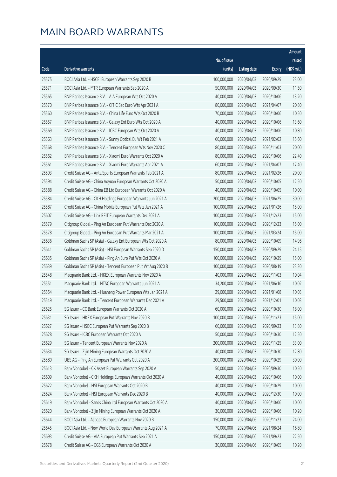|       |                                                              |              |                       |               | Amount      |
|-------|--------------------------------------------------------------|--------------|-----------------------|---------------|-------------|
|       |                                                              | No. of issue |                       |               | raised      |
| Code  | Derivative warrants                                          | (units)      | <b>Listing date</b>   | <b>Expiry</b> | (HK\$ mil.) |
| 25575 | BOCI Asia Ltd. - HSCEI European Warrants Sep 2020 B          | 100,000,000  | 2020/04/03            | 2020/09/29    | 23.00       |
| 25571 | BOCI Asia Ltd. - MTR European Warrants Sep 2020 A            | 50,000,000   | 2020/04/03            | 2020/09/30    | 11.50       |
| 25565 | BNP Paribas Issuance B.V. - AIA European Wts Oct 2020 A      | 40,000,000   | 2020/04/03            | 2020/10/06    | 13.20       |
| 25570 | BNP Paribas Issuance B.V. - CITIC Sec Euro Wts Apr 2021 A    | 80,000,000   | 2020/04/03            | 2021/04/07    | 20.80       |
| 25560 | BNP Paribas Issuance B.V. - China Life Euro Wts Oct 2020 B   | 70,000,000   | 2020/04/03            | 2020/10/06    | 10.50       |
| 25557 | BNP Paribas Issuance B.V. - Galaxy Ent Euro Wts Oct 2020 A   | 40,000,000   | 2020/04/03            | 2020/10/06    | 13.60       |
| 25569 | BNP Paribas Issuance B.V. - ICBC European Wts Oct 2020 A     | 40,000,000   | 2020/04/03            | 2020/10/06    | 10.80       |
| 25563 | BNP Paribas Issuance B.V. - Sunny Optical Eu Wt Feb 2021 A   | 60,000,000   | 2020/04/03            | 2021/02/02    | 15.60       |
| 25568 | BNP Paribas Issuance B.V. - Tencent European Wts Nov 2020 C  | 80,000,000   | 2020/04/03            | 2020/11/03    | 20.00       |
| 25562 | BNP Paribas Issuance B.V. - Xiaomi Euro Warrants Oct 2020 A  | 80,000,000   | 2020/04/03            | 2020/10/06    | 22.40       |
| 25561 | BNP Paribas Issuance B.V. - Xiaomi Euro Warrants Apr 2021 A  | 60,000,000   | 2020/04/03            | 2021/04/07    | 17.40       |
| 25593 | Credit Suisse AG - Anta Sports European Warrants Feb 2021 A  | 80,000,000   | 2020/04/03            | 2021/02/26    | 20.00       |
| 25594 | Credit Suisse AG - China Aoyuan European Warrants Oct 2020 A | 50,000,000   | 2020/04/03            | 2020/10/05    | 12.50       |
| 25588 | Credit Suisse AG - China EB Ltd European Warrants Oct 2020 A | 40,000,000   | 2020/04/03            | 2020/10/05    | 10.00       |
| 25584 | Credit Suisse AG - CKH Holdings European Warrants Jun 2021 A | 200,000,000  | 2020/04/03            | 2021/06/25    | 30.00       |
| 25587 | Credit Suisse AG - China Mobile European Put Wts Jan 2021 A  | 100,000,000  | 2020/04/03            | 2021/01/26    | 15.00       |
| 25607 | Credit Suisse AG - Link REIT European Warrants Dec 2021 A    | 100,000,000  | 2020/04/03            | 2021/12/23    | 15.00       |
| 25579 | Citigroup Global - Ping An European Put Warrants Dec 2020 A  | 100,000,000  | 2020/04/03            | 2020/12/23    | 15.00       |
| 25578 | Citigroup Global - Ping An European Put Warrants Mar 2021 A  | 100,000,000  | 2020/04/03            | 2021/03/24    | 15.00       |
| 25636 | Goldman Sachs SP (Asia) - Galaxy Ent European Wts Oct 2020 A | 80,000,000   | 2020/04/03            | 2020/10/09    | 14.96       |
| 25641 | Goldman Sachs SP (Asia) - HSI European Warrants Sep 2020 D   | 150,000,000  | 2020/04/03            | 2020/09/29    | 24.15       |
| 25635 | Goldman Sachs SP (Asia) - Ping An Euro Put Wts Oct 2020 A    | 100,000,000  | 2020/04/03            | 2020/10/29    | 15.00       |
| 25639 | Goldman Sachs SP (Asia) - Tencent European Put Wt Aug 2020 B | 100,000,000  | 2020/04/03            | 2020/08/19    | 23.30       |
| 25548 | Macquarie Bank Ltd. - HKEX European Warrants Nov 2020 A      | 40,000,000   | 2020/04/03            | 2020/11/03    | 10.04       |
| 25551 | Macquarie Bank Ltd. - HTSC European Warrants Jun 2021 A      | 34,200,000   | 2020/04/03            | 2021/06/16    | 10.02       |
| 25554 | Macquarie Bank Ltd. - Huaneng Power European Wts Jan 2021 A  | 29,000,000   | 2020/04/03            | 2021/01/08    | 10.03       |
| 25549 | Macquarie Bank Ltd. - Tencent European Warrants Dec 2021 A   |              | 29,500,000 2020/04/03 | 2021/12/01    | 10.03       |
| 25625 | SG Issuer - CC Bank European Warrants Oct 2020 A             | 60,000,000   | 2020/04/03            | 2020/10/30    | 18.00       |
| 25631 | SG Issuer - HKEX European Put Warrants Nov 2020 B            | 100,000,000  | 2020/04/03            | 2020/11/23    | 15.00       |
| 25627 | SG Issuer - HSBC European Put Warrants Sep 2020 B            | 60,000,000   | 2020/04/03            | 2020/09/23    | 13.80       |
| 25628 | SG Issuer - ICBC European Warrants Oct 2020 A                | 50,000,000   | 2020/04/03            | 2020/10/30    | 12.50       |
| 25629 | SG Issuer - Tencent European Warrants Nov 2020 A             | 200,000,000  | 2020/04/03            | 2020/11/25    | 33.00       |
| 25634 | SG Issuer - Zijin Mining European Warrants Oct 2020 A        | 40,000,000   | 2020/04/03            | 2020/10/30    | 12.80       |
| 25580 | UBS AG - Ping An European Put Warrants Oct 2020 A            | 200,000,000  | 2020/04/03            | 2020/10/29    | 30.00       |
| 25613 | Bank Vontobel - CK Asset European Warrants Sep 2020 A        | 50,000,000   | 2020/04/03            | 2020/09/30    | 10.50       |
| 25609 | Bank Vontobel - CKH Holdings European Warrants Oct 2020 A    | 40,000,000   | 2020/04/03            | 2020/10/06    | 10.00       |
| 25622 | Bank Vontobel - HSI European Warrants Oct 2020 B             | 40,000,000   | 2020/04/03            | 2020/10/29    | 10.00       |
| 25624 | Bank Vontobel - HSI European Warrants Dec 2020 B             | 40,000,000   | 2020/04/03            | 2020/12/30    | 10.00       |
| 25619 | Bank Vontobel - Sands China Ltd European Warrants Oct 2020 A | 40,000,000   | 2020/04/03            | 2020/10/06    | 10.00       |
| 25620 | Bank Vontobel - Zijin Mining European Warrants Oct 2020 A    | 30,000,000   | 2020/04/03            | 2020/10/06    | 10.20       |
| 25644 | BOCI Asia Ltd. - Alibaba European Warrants Nov 2020 B        | 150,000,000  | 2020/04/06            | 2020/11/23    | 24.00       |
| 25645 | BOCI Asia Ltd. - New World Dev European Warrants Aug 2021 A  | 70,000,000   | 2020/04/06            | 2021/08/24    | 16.80       |
| 25693 | Credit Suisse AG - AIA European Put Warrants Sep 2021 A      | 150,000,000  | 2020/04/06            | 2021/09/23    | 22.50       |
| 25678 | Credit Suisse AG - CGS European Warrants Oct 2020 A          | 30,000,000   | 2020/04/06            | 2020/10/05    | 10.20       |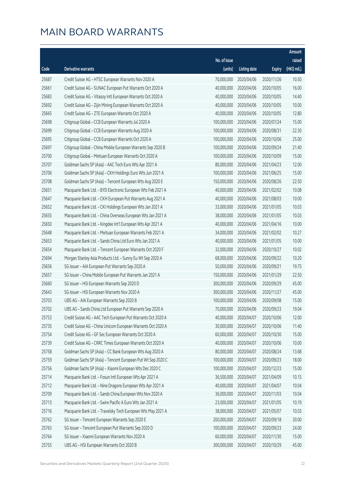|       |                                                              |                        |                     |               | Amount      |
|-------|--------------------------------------------------------------|------------------------|---------------------|---------------|-------------|
|       |                                                              | No. of issue           |                     |               | raised      |
| Code  | Derivative warrants                                          | (units)                | <b>Listing date</b> | <b>Expiry</b> | (HK\$ mil.) |
| 25687 | Credit Suisse AG - HTSC European Warrants Nov 2020 A         | 70,000,000             | 2020/04/06          | 2020/11/26    | 10.50       |
| 25661 | Credit Suisse AG - SUNAC European Put Warrants Oct 2020 A    | 40,000,000             | 2020/04/06          | 2020/10/05    | 16.00       |
| 25683 | Credit Suisse AG - Vitasoy Intl European Warrants Oct 2020 A | 40,000,000             | 2020/04/06          | 2020/10/05    | 14.40       |
| 25692 | Credit Suisse AG - Zijin Mining European Warrants Oct 2020 A | 40,000,000             | 2020/04/06          | 2020/10/05    | 10.00       |
| 25665 | Credit Suisse AG - ZTE European Warrants Oct 2020 A          | 40,000,000             | 2020/04/06          | 2020/10/05    | 12.80       |
| 25698 | Citigroup Global - CCB European Warrants Jul 2020 A          | 100,000,000            | 2020/04/06          | 2020/07/24    | 15.00       |
| 25699 | Citigroup Global - CCB European Warrants Aug 2020 A          | 100,000,000            | 2020/04/06          | 2020/08/31    | 22.30       |
| 25695 | Citigroup Global - CCB European Warrants Oct 2020 A          | 100,000,000            | 2020/04/06          | 2020/10/06    | 25.00       |
| 25697 | Citigroup Global - China Mobile European Warrants Sep 2020 B | 100,000,000            | 2020/04/06          | 2020/09/24    | 21.40       |
| 25700 | Citigroup Global - Meituan European Warrants Oct 2020 A      | 100,000,000            | 2020/04/06          | 2020/10/09    | 15.00       |
| 25707 | Goldman Sachs SP (Asia) - AAC Tech Euro Wts Apr 2021 A       | 80,000,000             | 2020/04/06          | 2021/04/23    | 12.00       |
| 25706 | Goldman Sachs SP (Asia) - CKH Holdings Euro Wts Jun 2021 A   | 100,000,000            | 2020/04/06          | 2021/06/25    | 15.00       |
| 25708 | Goldman Sachs SP (Asia) - Tencent European Wts Aug 2020 E    | 150,000,000            | 2020/04/06          | 2020/08/26    | 22.50       |
| 25651 | Macquarie Bank Ltd. - BYD Electronic European Wts Feb 2021 A | 40,000,000             | 2020/04/06          | 2021/02/02    | 10.08       |
| 25647 | Macquarie Bank Ltd. - CKH European Put Warrants Aug 2021 A   | 40,000,000             | 2020/04/06          | 2021/08/03    | 10.00       |
| 25652 | Macquarie Bank Ltd. - CKI Holdings European Wts Jan 2021 A   | 33,000,000             | 2020/04/06          | 2021/01/05    | 10.03       |
| 25655 | Macquarie Bank Ltd. - China Overseas European Wts Jan 2021 A | 38,000,000             | 2020/04/06          | 2021/01/05    | 10.03       |
| 25650 | Macquarie Bank Ltd. - Kingdee Int'l European Wts Apr 2021 A  | 40,000,000             | 2020/04/06          | 2021/04/16    | 10.00       |
| 25648 | Macquarie Bank Ltd. - Meituan European Warrants Feb 2021 A   | 34,000,000             | 2020/04/06          | 2021/02/02    | 10.27       |
| 25653 | Macquarie Bank Ltd. - Sands China Ltd Euro Wts Jan 2021 A    | 40,000,000             | 2020/04/06          | 2021/01/05    | 10.00       |
| 25654 | Macquarie Bank Ltd. - Tencent European Warrants Oct 2020 F   | 32,000,000             | 2020/04/06          | 2020/10/27    | 10.02       |
| 25694 | Morgan Stanley Asia Products Ltd. - Sunny Eu Wt Sep 2020 A   | 68,000,000             | 2020/04/06          | 2020/09/22    | 10.20       |
| 25656 | SG Issuer - AIA European Put Warrants Sep 2020 A             | 50,000,000             | 2020/04/06          | 2020/09/21    | 19.75       |
| 25657 | SG Issuer - China Mobile European Put Warrants Jan 2021 A    | 150,000,000            | 2020/04/06          | 2021/01/29    | 22.50       |
| 25660 | SG Issuer - HSI European Warrants Sep 2020 D                 | 300,000,000            | 2020/04/06          | 2020/09/29    | 45.00       |
| 25643 | SG Issuer - HSI European Warrants Nov 2020 A                 | 300,000,000            | 2020/04/06          | 2020/11/27    | 45.00       |
| 25703 | UBS AG - AIA European Warrants Sep 2020 B                    | 100,000,000 2020/04/06 |                     | 2020/09/08    | 15.00       |
| 25702 | UBS AG - Sands China Ltd European Put Warrants Sep 2020 A    | 70,000,000             | 2020/04/06          | 2020/09/23    | 19.04       |
| 25753 | Credit Suisse AG - AAC Tech European Put Warrants Oct 2020 A | 40,000,000             | 2020/04/07          | 2020/10/06    | 12.00       |
| 25735 | Credit Suisse AG - China Unicom European Warrants Oct 2020 A | 30,000,000             | 2020/04/07          | 2020/10/06    | 11.40       |
| 25754 | Credit Suisse AG - GF Sec European Warrants Oct 2020 A       | 60,000,000             | 2020/04/07          | 2020/10/30    | 15.00       |
| 25739 | Credit Suisse AG - CRRC Times European Warrants Oct 2020 A   | 40,000,000             | 2020/04/07          | 2020/10/06    | 10.00       |
| 25758 | Goldman Sachs SP (Asia) - CC Bank European Wts Aug 2020 A    | 80,000,000             | 2020/04/07          | 2020/08/24    | 13.68       |
| 25759 | Goldman Sachs SP (Asia) - Tencent European Put Wt Sep 2020 C | 100,000,000            | 2020/04/07          | 2020/09/23    | 18.00       |
| 25756 | Goldman Sachs SP (Asia) - Xiaomi European Wts Dec 2020 C     | 100,000,000            | 2020/04/07          | 2020/12/23    | 15.00       |
| 25714 | Macquarie Bank Ltd. - Fosun Intl European Wts Apr 2021 A     | 36,500,000             | 2020/04/07          | 2021/04/09    | 10.15       |
| 25712 | Macquarie Bank Ltd. - Nine Dragons European Wts Apr 2021 A   | 40,000,000             | 2020/04/07          | 2021/04/07    | 10.04       |
| 25709 | Macquarie Bank Ltd. - Sands China European Wts Nov 2020 A    | 36,000,000             | 2020/04/07          | 2020/11/03    | 10.04       |
| 25713 | Macquarie Bank Ltd. - Swire Pacific A Euro Wts Jan 2021 A    | 23,000,000             | 2020/04/07          | 2021/01/05    | 10.19       |
| 25716 | Macquarie Bank Ltd. - Travelsky Tech European Wts May 2021 A | 38,000,000             | 2020/04/07          | 2021/05/07    | 10.03       |
| 25762 | SG Issuer - Tencent European Warrants Sep 2020 E             | 200,000,000            | 2020/04/07          | 2020/09/18    | 30.00       |
| 25763 | SG Issuer - Tencent European Put Warrants Sep 2020 D         | 100,000,000            | 2020/04/07          | 2020/09/23    | 24.00       |
| 25764 | SG Issuer - Xiaomi European Warrants Nov 2020 A              | 60,000,000             | 2020/04/07          | 2020/11/30    | 15.00       |
| 25755 | UBS AG - HSI European Warrants Oct 2020 B                    | 300,000,000            | 2020/04/07          | 2020/10/29    | 45.00       |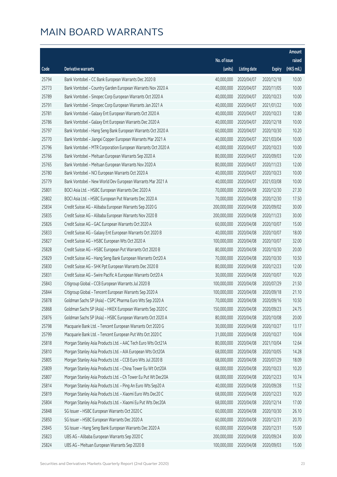|       |                                                               |              |                     |               | Amount      |
|-------|---------------------------------------------------------------|--------------|---------------------|---------------|-------------|
|       |                                                               | No. of issue |                     |               | raised      |
| Code  | Derivative warrants                                           | (units)      | <b>Listing date</b> | <b>Expiry</b> | (HK\$ mil.) |
| 25794 | Bank Vontobel - CC Bank European Warrants Dec 2020 B          | 40,000,000   | 2020/04/07          | 2020/12/18    | 10.00       |
| 25773 | Bank Vontobel - Country Garden European Warrants Nov 2020 A   | 40,000,000   | 2020/04/07          | 2020/11/05    | 10.00       |
| 25789 | Bank Vontobel - Sinopec Corp European Warrants Oct 2020 A     | 40,000,000   | 2020/04/07          | 2020/10/23    | 10.00       |
| 25791 | Bank Vontobel - Sinopec Corp European Warrants Jan 2021 A     | 40,000,000   | 2020/04/07          | 2021/01/22    | 10.00       |
| 25781 | Bank Vontobel - Galaxy Ent European Warrants Oct 2020 A       | 40,000,000   | 2020/04/07          | 2020/10/23    | 12.80       |
| 25786 | Bank Vontobel - Galaxy Ent European Warrants Dec 2020 A       | 40,000,000   | 2020/04/07          | 2020/12/18    | 10.00       |
| 25797 | Bank Vontobel - Hang Seng Bank European Warrants Oct 2020 A   | 60,000,000   | 2020/04/07          | 2020/10/30    | 10.20       |
| 25770 | Bank Vontobel - Jiangxi Copper European Warrants Mar 2021 A   | 40,000,000   | 2020/04/07          | 2021/03/04    | 10.00       |
| 25796 | Bank Vontobel - MTR Corporation European Warrants Oct 2020 A  | 40,000,000   | 2020/04/07          | 2020/10/23    | 10.00       |
| 25766 | Bank Vontobel - Meituan European Warrants Sep 2020 A          | 80,000,000   | 2020/04/07          | 2020/09/03    | 12.00       |
| 25765 | Bank Vontobel - Meituan European Warrants Nov 2020 A          | 80,000,000   | 2020/04/07          | 2020/11/23    | 12.00       |
| 25780 | Bank Vontobel - NCI European Warrants Oct 2020 A              | 40,000,000   | 2020/04/07          | 2020/10/23    | 10.00       |
| 25779 | Bank Vontobel - New World Dev European Warrants Mar 2021 A    | 40,000,000   | 2020/04/07          | 2021/03/08    | 10.00       |
| 25801 | BOCI Asia Ltd. - HSBC European Warrants Dec 2020 A            | 70,000,000   | 2020/04/08          | 2020/12/30    | 27.30       |
| 25802 | BOCI Asia Ltd. - HSBC European Put Warrants Dec 2020 A        | 70,000,000   | 2020/04/08          | 2020/12/30    | 17.50       |
| 25834 | Credit Suisse AG - Alibaba European Warrants Sep 2020 G       | 200,000,000  | 2020/04/08          | 2020/09/02    | 30.00       |
| 25835 | Credit Suisse AG - Alibaba European Warrants Nov 2020 B       | 200,000,000  | 2020/04/08          | 2020/11/23    | 30.00       |
| 25826 | Credit Suisse AG - GAC European Warrants Oct 2020 A           | 60,000,000   | 2020/04/08          | 2020/10/07    | 15.00       |
| 25833 | Credit Suisse AG - Galaxy Ent European Warrants Oct 2020 B    | 40,000,000   | 2020/04/08          | 2020/10/07    | 18.00       |
| 25827 | Credit Suisse AG - HSBC European Wts Oct 2020 A               | 100,000,000  | 2020/04/08          | 2020/10/07    | 32.00       |
| 25828 | Credit Suisse AG - HSBC European Put Warrants Oct 2020 B      | 80,000,000   | 2020/04/08          | 2020/10/30    | 20.00       |
| 25829 | Credit Suisse AG - Hang Seng Bank European Warrants Oct20 A   | 70,000,000   | 2020/04/08          | 2020/10/30    | 10.50       |
| 25830 | Credit Suisse AG - SHK Ppt European Warrants Dec 2020 B       | 80,000,000   | 2020/04/08          | 2020/12/23    | 12.00       |
| 25831 | Credit Suisse AG - Swire Pacific A European Warrants Oct20 A  | 30,000,000   | 2020/04/08          | 2020/10/07    | 10.20       |
| 25843 | Citigroup Global - CCB European Warrants Jul 2020 B           | 100,000,000  | 2020/04/08          | 2020/07/29    | 21.50       |
| 25844 | Citigroup Global - Tencent European Warrants Sep 2020 A       | 100,000,000  | 2020/04/08          | 2020/09/18    | 21.10       |
| 25878 | Goldman Sachs SP (Asia) - CSPC Pharma Euro Wts Sep 2020 A     | 70,000,000   | 2020/04/08          | 2020/09/16    | 10.50       |
| 25868 | Goldman Sachs SP (Asia) - HKEX European Warrants Sep 2020 C   | 150,000,000  | 2020/04/08          | 2020/09/23    | 24.75       |
| 25876 | Goldman Sachs SP (Asia) - HSBC European Warrants Oct 2020 A   | 80,000,000   | 2020/04/08          | 2020/10/08    | 20.00       |
| 25798 | Macquarie Bank Ltd. - Tencent European Warrants Oct 2020 G    | 30,000,000   | 2020/04/08          | 2020/10/27    | 13.17       |
| 25799 | Macquarie Bank Ltd. - Tencent European Put Wts Oct 2020 C     | 31,000,000   | 2020/04/08          | 2020/10/27    | 10.04       |
| 25818 | Morgan Stanley Asia Products Ltd. - AAC Tech Euro Wts Oct21A  | 80,000,000   | 2020/04/08          | 2021/10/04    | 12.64       |
| 25810 | Morgan Stanley Asia Products Ltd. - AIA European Wts Oct20A   | 68,000,000   | 2020/04/08          | 2020/10/05    | 14.28       |
| 25805 | Morgan Stanley Asia Products Ltd. - CCB Euro Wts Jul 2020 B   | 68,000,000   | 2020/04/08          | 2020/07/29    | 18.09       |
| 25809 | Morgan Stanley Asia Products Ltd. - China Tower Eu Wt Oct20A  | 68,000,000   | 2020/04/08          | 2020/10/23    | 10.20       |
| 25807 | Morgan Stanley Asia Products Ltd. - Ch Tower Eu Put Wt Dec20A | 68,000,000   | 2020/04/08          | 2020/12/23    | 10.74       |
| 25814 | Morgan Stanley Asia Products Ltd. - Ping An Euro Wts Sep20 A  | 40,000,000   | 2020/04/08          | 2020/09/28    | 11.52       |
| 25819 | Morgan Stanley Asia Products Ltd. - Xiaomi Euro Wts Dec20 C   | 68,000,000   | 2020/04/08          | 2020/12/23    | 10.20       |
| 25804 | Morgan Stanley Asia Products Ltd. - Xiaomi Eu Put Wts Dec20A  | 68,000,000   | 2020/04/08          | 2020/12/14    | 17.00       |
| 25848 | SG Issuer - HSBC European Warrants Oct 2020 C                 | 60,000,000   | 2020/04/08          | 2020/10/30    | 26.10       |
| 25850 | SG Issuer - HSBC European Warrants Dec 2020 A                 | 60,000,000   | 2020/04/08          | 2020/12/31    | 20.70       |
| 25845 | SG Issuer - Hang Seng Bank European Warrants Dec 2020 A       | 60,000,000   | 2020/04/08          | 2020/12/31    | 15.00       |
| 25823 | UBS AG - Alibaba European Warrants Sep 2020 C                 | 200,000,000  | 2020/04/08          | 2020/09/24    | 30.00       |
| 25824 | UBS AG - Meituan European Warrants Sep 2020 B                 | 100,000,000  | 2020/04/08          | 2020/09/03    | 15.00       |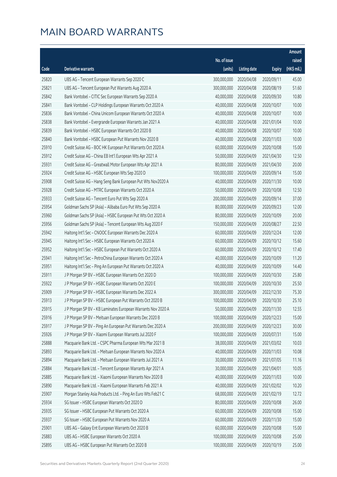|       |                                                              |                        |                     |               | Amount      |
|-------|--------------------------------------------------------------|------------------------|---------------------|---------------|-------------|
|       |                                                              | No. of issue           |                     |               | raised      |
| Code  | <b>Derivative warrants</b>                                   | (units)                | <b>Listing date</b> | <b>Expiry</b> | (HK\$ mil.) |
| 25820 | UBS AG - Tencent European Warrants Sep 2020 C                | 300,000,000            | 2020/04/08          | 2020/09/11    | 45.00       |
| 25821 | UBS AG - Tencent European Put Warrants Aug 2020 A            | 300,000,000            | 2020/04/08          | 2020/08/19    | 51.60       |
| 25842 | Bank Vontobel - CITIC Sec European Warrants Sep 2020 A       | 40,000,000             | 2020/04/08          | 2020/09/30    | 10.80       |
| 25841 | Bank Vontobel - CLP Holdings European Warrants Oct 2020 A    | 40,000,000             | 2020/04/08          | 2020/10/07    | 10.00       |
| 25836 | Bank Vontobel - China Unicom European Warrants Oct 2020 A    | 40,000,000             | 2020/04/08          | 2020/10/07    | 10.00       |
| 25838 | Bank Vontobel - Evergrande European Warrants Jan 2021 A      | 40,000,000             | 2020/04/08          | 2021/01/04    | 10.00       |
| 25839 | Bank Vontobel - HSBC European Warrants Oct 2020 B            | 40,000,000             | 2020/04/08          | 2020/10/07    | 10.00       |
| 25840 | Bank Vontobel - HSBC European Put Warrants Nov 2020 B        | 40,000,000             | 2020/04/08          | 2020/11/03    | 10.00       |
| 25910 | Credit Suisse AG - BOC HK European Put Warrants Oct 2020 A   | 60,000,000             | 2020/04/09          | 2020/10/08    | 15.00       |
| 25912 | Credit Suisse AG - China EB Int'l European Wts Apr 2021 A    | 50,000,000             | 2020/04/09          | 2021/04/30    | 12.50       |
| 25931 | Credit Suisse AG - Greatwall Motor European Wts Apr 2021 A   | 80,000,000             | 2020/04/09          | 2021/04/30    | 20.00       |
| 25924 | Credit Suisse AG - HSBC European Wts Sep 2020 D              | 100,000,000            | 2020/04/09          | 2020/09/14    | 15.00       |
| 25908 | Credit Suisse AG - Hang Seng Bank European Put Wts Nov2020 A | 40,000,000             | 2020/04/09          | 2020/11/30    | 10.00       |
| 25928 | Credit Suisse AG - MTRC European Warrants Oct 2020 A         | 50,000,000             | 2020/04/09          | 2020/10/08    | 12.50       |
| 25933 | Credit Suisse AG - Tencent Euro Put Wts Sep 2020 A           | 200,000,000            | 2020/04/09          | 2020/09/14    | 37.00       |
| 25954 | Goldman Sachs SP (Asia) - Alibaba Euro Put Wts Sep 2020 A    | 80,000,000             | 2020/04/09          | 2020/09/23    | 12.00       |
| 25960 | Goldman Sachs SP (Asia) - HSBC European Put Wts Oct 2020 A   | 80,000,000             | 2020/04/09          | 2020/10/09    | 20.00       |
| 25956 | Goldman Sachs SP (Asia) - Tencent European Wts Aug 2020 F    | 150,000,000            | 2020/04/09          | 2020/08/27    | 22.50       |
| 25942 | Haitong Int'l Sec - CNOOC European Warrants Dec 2020 A       | 60,000,000             | 2020/04/09          | 2020/12/24    | 12.00       |
| 25945 | Haitong Int'l Sec - HSBC European Warrants Oct 2020 A        | 60,000,000             | 2020/04/09          | 2020/10/12    | 15.60       |
| 25952 | Haitong Int'l Sec - HSBC European Put Warrants Oct 2020 A    | 60,000,000             | 2020/04/09          | 2020/10/12    | 17.40       |
| 25941 | Haitong Int'l Sec - PetroChina European Warrants Oct 2020 A  | 40,000,000             | 2020/04/09          | 2020/10/09    | 11.20       |
| 25951 | Haitong Int'l Sec - Ping An European Put Warrants Oct 2020 A | 40,000,000             | 2020/04/09          | 2020/10/09    | 14.40       |
| 25911 | J P Morgan SP BV - HSBC European Warrants Oct 2020 D         | 100,000,000            | 2020/04/09          | 2020/10/30    | 25.80       |
| 25922 | J P Morgan SP BV - HSBC European Warrants Oct 2020 E         | 100,000,000            | 2020/04/09          | 2020/10/30    | 25.50       |
| 25909 | J P Morgan SP BV - HSBC European Warrants Dec 2022 A         | 300,000,000            | 2020/04/09          | 2022/12/30    | 75.30       |
| 25913 | J P Morgan SP BV - HSBC European Put Warrants Oct 2020 B     | 100,000,000 2020/04/09 |                     | 2020/10/30    | 25.10       |
| 25915 | J P Morgan SP BV - KB Laminates European Warrants Nov 2020 A | 50,000,000             | 2020/04/09          | 2020/11/30    | 12.55       |
| 25916 | J P Morgan SP BV - Meituan European Warrants Dec 2020 B      | 100,000,000            | 2020/04/09          | 2020/12/23    | 15.00       |
| 25917 | J P Morgan SP BV - Ping An European Put Warrants Dec 2020 A  | 200,000,000            | 2020/04/09          | 2020/12/23    | 30.00       |
| 25926 | J P Morgan SP BV - Xiaomi European Warrants Jul 2020 F       | 100,000,000            | 2020/04/09          | 2020/07/31    | 15.00       |
| 25888 | Macquarie Bank Ltd. - CSPC Pharma European Wts Mar 2021 B    | 38,000,000             | 2020/04/09          | 2021/03/02    | 10.03       |
| 25893 | Macquarie Bank Ltd. - Meituan European Warrants Nov 2020 A   | 40,000,000             | 2020/04/09          | 2020/11/03    | 10.08       |
| 25894 | Macquarie Bank Ltd. - Meituan European Warrants Jul 2021 A   | 30,000,000             | 2020/04/09          | 2021/07/05    | 11.16       |
| 25884 | Macquarie Bank Ltd. - Tencent European Warrants Apr 2021 A   | 30,000,000             | 2020/04/09          | 2021/04/01    | 10.05       |
| 25885 | Macquarie Bank Ltd. - Xiaomi European Warrants Nov 2020 B    | 40,000,000             | 2020/04/09          | 2020/11/03    | 10.00       |
| 25890 | Macquarie Bank Ltd. - Xiaomi European Warrants Feb 2021 A    | 40,000,000             | 2020/04/09          | 2021/02/02    | 10.20       |
| 25907 | Morgan Stanley Asia Products Ltd. - Ping An Euro Wts Feb21 C | 68,000,000             | 2020/04/09          | 2021/02/19    | 12.72       |
| 25934 | SG Issuer - HSBC European Warrants Oct 2020 D                | 80,000,000             | 2020/04/09          | 2020/10/08    | 26.00       |
| 25935 | SG Issuer - HSBC European Put Warrants Oct 2020 A            | 60,000,000             | 2020/04/09          | 2020/10/08    | 15.00       |
| 25937 | SG Issuer - HSBC European Put Warrants Nov 2020 A            | 60,000,000             | 2020/04/09          | 2020/11/30    | 15.00       |
| 25901 | UBS AG - Galaxy Ent European Warrants Oct 2020 B             | 60,000,000             | 2020/04/09          | 2020/10/08    | 15.00       |
| 25883 | UBS AG - HSBC European Warrants Oct 2020 A                   | 100,000,000            | 2020/04/09          | 2020/10/08    | 25.00       |
| 25895 | UBS AG - HSBC European Put Warrants Oct 2020 B               | 100,000,000            | 2020/04/09          | 2020/10/19    | 25.00       |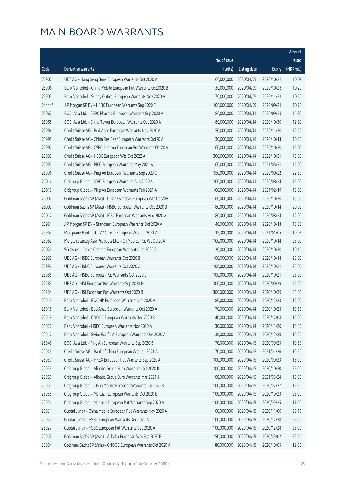|        |                                                              |              |                       |               | Amount      |
|--------|--------------------------------------------------------------|--------------|-----------------------|---------------|-------------|
|        |                                                              | No. of issue |                       |               | raised      |
| Code   | Derivative warrants                                          | (units)      | <b>Listing date</b>   | <b>Expiry</b> | (HK\$ mil.) |
| 25902  | UBS AG - Hang Seng Bank European Warrants Oct 2020 A         | 60,000,000   | 2020/04/09            | 2020/10/22    | 10.02       |
| 25906  | Bank Vontobel - China Mobile European Put Warrants Oct2020 B | 30,000,000   | 2020/04/09            | 2020/10/28    | 10.20       |
| 25903  | Bank Vontobel - Sunny Optical European Warrants Nov 2020 A   | 70,000,000   | 2020/04/09            | 2020/11/23    | 10.50       |
| 24444# | J P Morgan SP BV - HSBC European Warrants Sep 2020 E         | 100,000,000  | 2020/04/09            | 2020/09/21    | 10.70       |
| 25967  | BOCI Asia Ltd. - CSPC Pharma European Warrants Sep 2020 A    | 80,000,000   | 2020/04/14            | 2020/09/23    | 16.80       |
| 25965  | BOCI Asia Ltd. - China Tower European Warrants Oct 2020 A    | 80,000,000   | 2020/04/14            | 2020/10/30    | 12.80       |
| 25994  | Credit Suisse AG - Bud Apac European Warrants Nov 2020 A     | 50,000,000   | 2020/04/14            | 2020/11/30    | 12.50       |
| 25995  | Credit Suisse AG - China Res Beer European Warrants Oct20 A  | 30,000,000   | 2020/04/14            | 2020/10/13    | 10.20       |
| 25997  | Credit Suisse AG - CSPC Pharma European Put Warrants Oct20 A | 60,000,000   | 2020/04/14            | 2020/10/30    | 15.00       |
| 25992  | Credit Suisse AG - HSBC European Wts Oct 2022 A              | 300,000,000  | 2020/04/14            | 2022/10/31    | 75.00       |
| 25993  | Credit Suisse AG - PICC European Warrants May 2021 A         | 60,000,000   | 2020/04/14            | 2021/05/31    | 15.00       |
| 25996  | Credit Suisse AG - Ping An European Warrants Sep 2020 C      | 150,000,000  | 2020/04/14            | 2020/09/22    | 22.50       |
| 26014  | Citigroup Global - ICBC European Warrants Aug 2020 A         | 100,000,000  | 2020/04/14            | 2020/08/24    | 15.00       |
| 26013  | Citigroup Global - Ping An European Warrants Feb 2021 A      | 100,000,000  | 2020/04/14            | 2021/02/19    | 15.00       |
| 26007  | Goldman Sachs SP (Asia) - China Overseas European Wts Oct20A | 60,000,000   | 2020/04/14            | 2020/10/30    | 15.00       |
| 26003  | Goldman Sachs SP (Asia) - HSBC European Warrants Oct 2020 B  | 80,000,000   | 2020/04/14            | 2020/10/14    | 20.00       |
| 26012  | Goldman Sachs SP (Asia) - ICBC European Warrants Aug 2020 A  | 80,000,000   | 2020/04/14            | 2020/08/24    | 12.00       |
| 25981  | J P Morgan SP BV - Stanchart European Warrants Oct 2020 A    | 40,000,000   | 2020/04/14            | 2020/10/13    | 15.56       |
| 25964  | Macquarie Bank Ltd. - AAC Tech European Wts Jan 2021 A       | 19,300,000   | 2020/04/14            | 2021/01/05    | 10.02       |
| 25962  | Morgan Stanley Asia Products Ltd. - Ch Mob Eu Put Wt Oct20A  | 100,000,000  | 2020/04/14            | 2020/10/14    | 25.00       |
| 26024  | SG Issuer - Conch Cement European Warrants Oct 2020 A        | 20,000,000   | 2020/04/14            | 2020/10/30    | 10.40       |
| 25988  | UBS AG - HSBC European Warrants Oct 2020 B                   | 100,000,000  | 2020/04/14            | 2020/10/14    | 25.00       |
| 25990  | UBS AG - HSBC European Warrants Oct 2020 C                   | 100,000,000  | 2020/04/14            | 2020/10/21    | 25.00       |
| 25986  | UBS AG - HSBC European Put Warrants Oct 2020 C               | 100,000,000  | 2020/04/14            | 2020/10/21    | 25.00       |
| 25983  | UBS AG - HSI European Put Warrants Sep 2020 H                | 300,000,000  | 2020/04/14            | 2020/09/29    | 45.00       |
| 25984  | UBS AG - HSI European Put Warrants Oct 2020 B                | 300,000,000  | 2020/04/14            | 2020/10/29    | 45.00       |
| 26019  | Bank Vontobel - BOC HK European Warrants Dec 2020 A          |              | 80,000,000 2020/04/14 | 2020/12/23    | 12.00       |
| 26015  | Bank Vontobel - Bud Apac European Warrants Oct 2020 A        | 70,000,000   | 2020/04/14            | 2020/10/23    | 10.50       |
| 26018  | Bank Vontobel - CNOOC European Warrants Dec 2020 B           | 40,000,000   | 2020/04/14            | 2020/12/04    | 10.00       |
| 26020  | Bank Vontobel - HSBC European Warrants Nov 2020 A            | 30,000,000   | 2020/04/14            | 2020/11/26    | 10.80       |
| 26017  | Bank Vontobel - Swire Pacific A European Warrants Dec 2020 A | 30,000,000   | 2020/04/14            | 2020/12/28    | 10.20       |
| 26046  | BOCI Asia Ltd. - Ping An European Warrants Sep 2020 B        | 70,000,000   | 2020/04/15            | 2020/09/25    | 10.50       |
| 26049  | Credit Suisse AG - Bank of China European Wts Jan 2021 A     | 70,000,000   | 2020/04/15            | 2021/01/26    | 10.50       |
| 26050  | Credit Suisse AG - HKEX European Put Warrants Sep 2020 A     | 100,000,000  | 2020/04/15            | 2020/09/23    | 15.00       |
| 26059  | Citigroup Global - Alibaba Group Euro Warrants Oct 2020 B    | 100,000,000  | 2020/04/15            | 2020/10/30    | 25.00       |
| 26060  | Citigroup Global - Alibaba Group Euro Warrants Mar 2021 A    | 100,000,000  | 2020/04/15            | 2021/03/24    | 15.00       |
| 26061  | Citigroup Global - China Mobile European Warrants Jul 2020 B | 100,000,000  | 2020/04/15            | 2020/07/27    | 15.00       |
| 26058  | Citigroup Global - Meituan European Warrants Oct 2020 B      | 100,000,000  | 2020/04/15            | 2020/10/23    | 25.00       |
| 26056  | Citigroup Global - Meituan European Put Warrants Sep 2020 A  | 100,000,000  | 2020/04/15            | 2020/09/25    | 17.00       |
| 26031  | Guotai Junan - China Mobile European Put Warrants Nov 2020 A | 100,000,000  | 2020/04/15            | 2020/11/06    | 26.10       |
| 26025  | Guotai Junan - HSBC European Warrants Dec 2020 A             | 100,000,000  | 2020/04/15            | 2020/12/28    | 25.00       |
| 26027  | Guotai Junan - HSBC European Put Warrants Dec 2020 A         | 100,000,000  | 2020/04/15            | 2020/12/28    | 25.00       |
| 26063  | Goldman Sachs SP (Asia) - Alibaba European Wts Sep 2020 E    | 150,000,000  | 2020/04/15            | 2020/09/02    | 22.50       |
| 26064  | Goldman Sachs SP (Asia) - CNOOC European Warrants Oct 2020 A | 80,000,000   | 2020/04/15            | 2020/10/05    | 12.00       |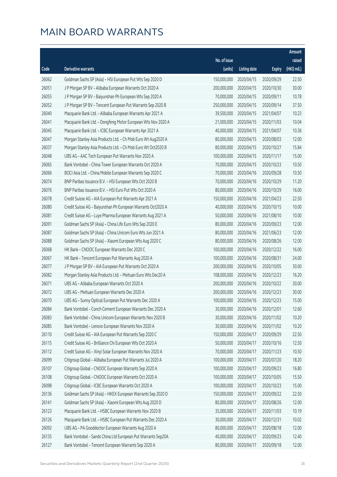|                |                                                                                                                |                            |                          |                          | Amount         |
|----------------|----------------------------------------------------------------------------------------------------------------|----------------------------|--------------------------|--------------------------|----------------|
|                |                                                                                                                | No. of issue               |                          |                          | raised         |
| Code           | <b>Derivative warrants</b>                                                                                     | (units)                    | <b>Listing date</b>      | <b>Expiry</b>            | (HK\$ mil.)    |
| 26062          | Goldman Sachs SP (Asia) - HSI European Put Wts Sep 2020 D                                                      | 150,000,000                | 2020/04/15               | 2020/09/29               | 22.50          |
| 26051          | J P Morgan SP BV - Alibaba European Warrants Oct 2020 A                                                        | 200,000,000                | 2020/04/15               | 2020/10/30               | 30.00          |
| 26055          | J P Morgan SP BV - Baiyunshan Ph European Wts Sep 2020 A                                                       | 70,000,000                 | 2020/04/15               | 2020/09/11               | 10.78          |
| 26052          | J P Morgan SP BV - Tencent European Put Warrants Sep 2020 B                                                    | 250,000,000                | 2020/04/15               | 2020/09/14               | 37.50          |
| 26040          | Macquarie Bank Ltd. - Alibaba European Warrants Apr 2021 A                                                     | 39,500,000                 | 2020/04/15               | 2021/04/07               | 10.23          |
| 26041          | Macquarie Bank Ltd. - Dongfeng Motor European Wts Nov 2020 A                                                   | 21,000,000                 | 2020/04/15               | 2020/11/03               | 10.04          |
| 26045          | Macquarie Bank Ltd. - ICBC European Warrants Apr 2021 A                                                        | 40,000,000                 | 2020/04/15               | 2021/04/07               | 10.36          |
| 26047          | Morgan Stanley Asia Products Ltd. - Ch Mob Euro Wt Aug2020 A                                                   | 80,000,000                 | 2020/04/15               | 2020/08/03               | 12.00          |
| 26037          | Morgan Stanley Asia Products Ltd. - Ch Mob Euro Wt Oct2020 B                                                   | 80,000,000                 | 2020/04/15               | 2020/10/27               | 15.84          |
| 26048          | UBS AG - AAC Tech European Put Warrants Nov 2020 A                                                             | 100,000,000                | 2020/04/15               | 2020/11/17               | 15.00          |
| 26065          | Bank Vontobel - China Tower European Warrants Oct 2020 A                                                       | 70,000,000                 | 2020/04/15               | 2020/10/23               | 10.50          |
| 26066          | BOCI Asia Ltd. - China Mobile European Warrants Sep 2020 C                                                     | 70,000,000                 | 2020/04/16               | 2020/09/28               | 10.50          |
| 26074          | BNP Paribas Issuance B.V. - HSI European Wts Oct 2020 B                                                        | 70,000,000                 | 2020/04/16               | 2020/10/29               | 11.20          |
| 26076          | BNP Paribas Issuance B.V. - HSI Euro Put Wts Oct 2020 A                                                        | 80,000,000                 | 2020/04/16               | 2020/10/29               | 16.00          |
| 26078          | Credit Suisse AG - AIA European Put Warrants Apr 2021 A                                                        | 150,000,000                | 2020/04/16               | 2021/04/23               | 22.50          |
| 26080          | Credit Suisse AG - Baiyunshan Ph European Warrants Oct2020 A                                                   | 40,000,000                 | 2020/04/16               | 2020/10/15               | 10.00          |
| 26081          | Credit Suisse AG - Luye Pharma European Warrants Aug 2021 A                                                    | 50,000,000                 | 2020/04/16               | 2021/08/10               | 10.00          |
| 26091          | Goldman Sachs SP (Asia) - China Life Euro Wts Sep 2020 E                                                       | 80,000,000                 | 2020/04/16               | 2020/09/23               | 12.00          |
| 26087          | Goldman Sachs SP (Asia) - China Unicom Euro Wts Jun 2021 A                                                     | 80,000,000                 | 2020/04/16               | 2021/06/23               | 12.00          |
| 26088          | Goldman Sachs SP (Asia) - Xiaomi European Wts Aug 2020 C                                                       | 80,000,000                 | 2020/04/16               | 2020/08/26               | 12.00          |
| 26068          | HK Bank - CNOOC European Warrants Dec 2020 C                                                                   | 100,000,000                | 2020/04/16               | 2020/12/22               | 16.00          |
| 26067          | HK Bank - Tencent European Put Warrants Aug 2020 A                                                             | 100,000,000                | 2020/04/16               | 2020/08/31               | 24.00          |
| 26077          | J P Morgan SP BV - AIA European Put Warrants Oct 2020 A                                                        | 200,000,000                | 2020/04/16               | 2020/10/05               | 30.00          |
| 26082          | Morgan Stanley Asia Products Ltd. - Meituan Euro Wts Dec20 A                                                   | 108,000,000                | 2020/04/16               | 2020/12/23               | 16.20          |
| 26071          | UBS AG - Alibaba European Warrants Oct 2020 A                                                                  | 200,000,000                | 2020/04/16               | 2020/10/22               | 30.00          |
| 26072          | UBS AG - Meituan European Warrants Dec 2020 A                                                                  | 200,000,000                | 2020/04/16               | 2020/12/23               | 30.00          |
| 26070          | UBS AG - Sunny Optical European Put Warrants Dec 2020 A                                                        |                            | 100,000,000 2020/04/16   | 2020/12/23               | 15.00          |
| 26084          | Bank Vontobel - Conch Cement European Warrants Dec 2020 A                                                      | 30,000,000                 | 2020/04/16               | 2020/12/01               | 12.60          |
| 26083          | Bank Vontobel - China Unicom European Warrants Nov 2020 B                                                      | 30,000,000                 | 2020/04/16               | 2020/11/02               | 10.20          |
| 26085          | Bank Vontobel - Lenovo European Warrants Nov 2020 A                                                            | 30,000,000                 | 2020/04/16               | 2020/11/02               | 10.20          |
| 26110          | Credit Suisse AG - AIA European Put Warrants Sep 2020 C                                                        | 150,000,000                | 2020/04/17               | 2020/09/29               | 22.50          |
| 26115          | Credit Suisse AG - Brilliance Chi European Wts Oct 2020 A                                                      | 50,000,000<br>70,000,000   | 2020/04/17               | 2020/10/16               | 12.50          |
| 26112          | Credit Suisse AG - Xinyi Solar European Warrants Nov 2020 A                                                    |                            | 2020/04/17               | 2020/11/23               | 10.50          |
| 26099<br>26107 | Citigroup Global - Alibaba European Put Warrants Jul 2020 A                                                    | 100,000,000<br>100,000,000 | 2020/04/17               | 2020/07/20               | 18.20<br>16.80 |
| 26108          | Citigroup Global - CNOOC European Warrants Sep 2020 A<br>Citigroup Global - CNOOC European Warrants Oct 2020 A | 100,000,000                | 2020/04/17<br>2020/04/17 | 2020/09/23<br>2020/10/05 | 15.50          |
| 26098          | Citigroup Global - ICBC European Warrants Oct 2020 A                                                           | 100,000,000                | 2020/04/17               | 2020/10/23               | 15.00          |
| 26136          | Goldman Sachs SP (Asia) - HKEX European Warrants Sep 2020 D                                                    | 150,000,000                | 2020/04/17               | 2020/09/22               | 22.50          |
| 26141          | Goldman Sachs SP (Asia) - Xiaomi European Wts Aug 2020 D                                                       | 80,000,000                 | 2020/04/17               | 2020/08/26               | 12.00          |
| 26123          | Macquarie Bank Ltd. - HSBC European Warrants Nov 2020 B                                                        | 35,000,000                 | 2020/04/17               | 2020/11/03               | 10.19          |
| 26126          | Macquarie Bank Ltd. - HSBC European Put Warrants Dec 2020 A                                                    | 30,000,000                 | 2020/04/17               | 2020/12/31               | 10.02          |
| 26092          | UBS AG - PA Gooddoctor European Warrants Aug 2020 A                                                            | 80,000,000                 | 2020/04/17               | 2020/08/18               | 12.00          |
| 26135          | Bank Vontobel - Sands China Ltd European Put Warrants Sep20A                                                   | 40,000,000                 | 2020/04/17               | 2020/09/23               | 12.40          |
| 26127          | Bank Vontobel - Tencent European Warrants Sep 2020 A                                                           | 80,000,000                 | 2020/04/17               | 2020/09/18               | 12.00          |
|                |                                                                                                                |                            |                          |                          |                |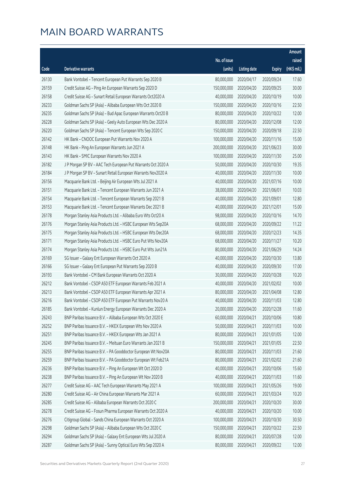|       |                                                              |              |                       |               | Amount      |
|-------|--------------------------------------------------------------|--------------|-----------------------|---------------|-------------|
|       |                                                              | No. of issue |                       |               | raised      |
| Code  | Derivative warrants                                          | (units)      | <b>Listing date</b>   | <b>Expiry</b> | (HK\$ mil.) |
| 26130 | Bank Vontobel - Tencent European Put Warrants Sep 2020 B     | 80,000,000   | 2020/04/17            | 2020/09/24    | 17.60       |
| 26159 | Credit Suisse AG - Ping An European Warrants Sep 2020 D      | 150,000,000  | 2020/04/20            | 2020/09/25    | 30.00       |
| 26158 | Credit Suisse AG - Sunart Retail European Warrants Oct2020 A | 40,000,000   | 2020/04/20            | 2020/10/19    | 10.00       |
| 26233 | Goldman Sachs SP (Asia) - Alibaba European Wts Oct 2020 B    | 150,000,000  | 2020/04/20            | 2020/10/16    | 22.50       |
| 26235 | Goldman Sachs SP (Asia) - Bud Apac European Warrants Oct20 B | 80,000,000   | 2020/04/20            | 2020/10/22    | 12.00       |
| 26228 | Goldman Sachs SP (Asia) - Geely Auto European Wts Dec 2020 A | 80,000,000   | 2020/04/20            | 2020/12/08    | 12.00       |
| 26220 | Goldman Sachs SP (Asia) - Tencent European Wts Sep 2020 C    | 150,000,000  | 2020/04/20            | 2020/09/18    | 22.50       |
| 26142 | HK Bank - CNOOC European Put Warrants Nov 2020 A             | 100,000,000  | 2020/04/20            | 2020/11/16    | 15.00       |
| 26148 | HK Bank - Ping An European Warrants Jun 2021 A               | 200,000,000  | 2020/04/20            | 2021/06/23    | 30.00       |
| 26143 | HK Bank - SMIC European Warrants Nov 2020 A                  | 100,000,000  | 2020/04/20            | 2020/11/30    | 25.00       |
| 26182 | J P Morgan SP BV - AAC Tech European Put Warrants Oct 2020 A | 50,000,000   | 2020/04/20            | 2020/10/30    | 19.35       |
| 26184 | J P Morgan SP BV - Sunart Retail European Warrants Nov2020 A | 40,000,000   | 2020/04/20            | 2020/11/30    | 10.00       |
| 26156 | Macquarie Bank Ltd. - Beijing Air European Wts Jul 2021 A    | 40,000,000   | 2020/04/20            | 2021/07/16    | 10.00       |
| 26151 | Macquarie Bank Ltd. - Tencent European Warrants Jun 2021 A   | 38,000,000   | 2020/04/20            | 2021/06/01    | 10.03       |
| 26154 | Macquarie Bank Ltd. - Tencent European Warrants Sep 2021 B   | 40,000,000   | 2020/04/20            | 2021/09/01    | 12.80       |
| 26153 | Macquarie Bank Ltd. - Tencent European Warrants Dec 2021 B   | 40,000,000   | 2020/04/20            | 2021/12/01    | 15.00       |
| 26178 | Morgan Stanley Asia Products Ltd. - Alibaba Euro Wts Oct20 A | 98,000,000   | 2020/04/20            | 2020/10/16    | 14.70       |
| 26176 | Morgan Stanley Asia Products Ltd. - HSBC European Wts Sep20A | 68,000,000   | 2020/04/20            | 2020/09/22    | 11.22       |
| 26175 | Morgan Stanley Asia Products Ltd. - HSBC European Wts Dec20A | 68,000,000   | 2020/04/20            | 2020/12/23    | 14.35       |
| 26171 | Morgan Stanley Asia Products Ltd. - HSBC Euro Put Wts Nov20A | 68,000,000   | 2020/04/20            | 2020/11/27    | 10.20       |
| 26174 | Morgan Stanley Asia Products Ltd. - HSBC Euro Put Wts Jun21A | 80,000,000   | 2020/04/20            | 2021/06/29    | 14.24       |
| 26169 | SG Issuer - Galaxy Ent European Warrants Oct 2020 A          | 40,000,000   | 2020/04/20            | 2020/10/30    | 13.80       |
| 26166 | SG Issuer - Galaxy Ent European Put Warrants Sep 2020 B      | 40,000,000   | 2020/04/20            | 2020/09/30    | 17.00       |
| 26193 | Bank Vontobel - CM Bank European Warrants Oct 2020 A         | 30,000,000   | 2020/04/20            | 2020/10/28    | 10.20       |
| 26212 | Bank Vontobel - CSOP A50 ETF European Warrants Feb 2021 A    | 40,000,000   | 2020/04/20            | 2021/02/02    | 10.00       |
| 26213 | Bank Vontobel - CSOP A50 ETF European Warrants Apr 2021 A    | 80,000,000   | 2020/04/20            | 2021/04/08    | 12.80       |
| 26216 | Bank Vontobel - CSOP A50 ETF European Put Warrants Nov20 A   |              | 40,000,000 2020/04/20 | 2020/11/03    | 12.80       |
| 26185 | Bank Vontobel - Kunlun Energy European Warrants Dec 2020 A   | 20,000,000   | 2020/04/20            | 2020/12/28    | 11.60       |
| 26243 | BNP Paribas Issuance B.V. - Alibaba European Wts Oct 2020 E  | 60,000,000   | 2020/04/21            | 2020/10/06    | 10.80       |
| 26252 | BNP Paribas Issuance B.V. - HKEX European Wts Nov 2020 A     | 50,000,000   | 2020/04/21            | 2020/11/03    | 10.00       |
| 26251 | BNP Paribas Issuance B.V. - HKEX European Wts Jan 2021 A     | 80,000,000   | 2020/04/21            | 2021/01/05    | 12.00       |
| 26245 | BNP Paribas Issuance B.V. - Meituan Euro Warrants Jan 2021 B | 150,000,000  | 2020/04/21            | 2021/01/05    | 22.50       |
| 26255 | BNP Paribas Issuance B.V. - PA Gooddoctor European Wt Nov20A | 80,000,000   | 2020/04/21            | 2020/11/03    | 21.60       |
| 26259 | BNP Paribas Issuance B.V. - PA Gooddoctor European Wt Feb21A | 80,000,000   | 2020/04/21            | 2021/02/02    | 21.60       |
| 26236 | BNP Paribas Issuance B.V. - Ping An European Wt Oct 2020 D   | 40,000,000   | 2020/04/21            | 2020/10/06    | 15.60       |
| 26238 | BNP Paribas Issuance B.V. - Ping An European Wt Nov 2020 B   | 40,000,000   | 2020/04/21            | 2020/11/03    | 11.60       |
| 26277 | Credit Suisse AG - AAC Tech European Warrants May 2021 A     | 100,000,000  | 2020/04/21            | 2021/05/26    | 19.00       |
| 26280 | Credit Suisse AG - Air China European Warrants Mar 2021 A    | 60,000,000   | 2020/04/21            | 2021/03/24    | 10.20       |
| 26285 | Credit Suisse AG - Alibaba European Warrants Oct 2020 C      | 200,000,000  | 2020/04/21            | 2020/10/20    | 30.00       |
| 26278 | Credit Suisse AG - Fosun Pharma European Warrants Oct 2020 A | 40,000,000   | 2020/04/21            | 2020/10/20    | 10.00       |
| 26276 | Citigroup Global - Sands China European Warrants Oct 2020 A  | 100,000,000  | 2020/04/21            | 2020/10/30    | 30.50       |
| 26298 | Goldman Sachs SP (Asia) - Alibaba European Wts Oct 2020 C    | 150,000,000  | 2020/04/21            | 2020/10/22    | 22.50       |
| 26294 | Goldman Sachs SP (Asia) - Galaxy Ent European Wts Jul 2020 A | 80,000,000   | 2020/04/21            | 2020/07/28    | 12.00       |
| 26287 | Goldman Sachs SP (Asia) - Sunny Optical Euro Wts Sep 2020 A  | 80,000,000   | 2020/04/21            | 2020/09/22    | 12.00       |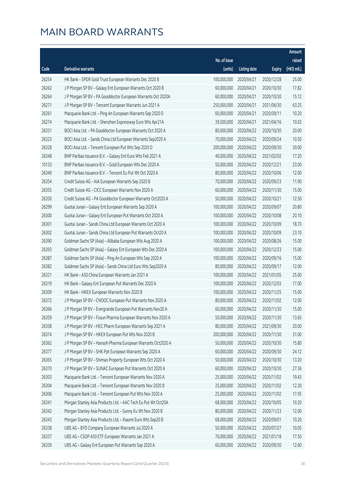|       |                                                               |              |                       |               | Amount      |
|-------|---------------------------------------------------------------|--------------|-----------------------|---------------|-------------|
|       |                                                               | No. of issue |                       |               | raised      |
| Code  | Derivative warrants                                           | (units)      | <b>Listing date</b>   | <b>Expiry</b> | (HK\$ mil.) |
| 26254 | HK Bank - SPDR Gold Trust European Warrants Dec 2020 B        | 100,000,000  | 2020/04/21            | 2020/12/28    | 25.00       |
| 26262 | J P Morgan SP BV - Galaxy Ent European Warrants Oct 2020 B    | 60,000,000   | 2020/04/21            | 2020/10/30    | 17.82       |
| 26264 | J P Morgan SP BV - PA Gooddoctor European Warrants Oct 2020A  | 60,000,000   | 2020/04/21            | 2020/10/30    | 15.12       |
| 26271 | J P Morgan SP BV - Tencent European Warrants Jun 2021 A       | 250,000,000  | 2020/04/21            | 2021/06/30    | 63.25       |
| 26261 | Macquarie Bank Ltd. - Ping An European Warrants Sep 2020 D    | 60,000,000   | 2020/04/21            | 2020/09/11    | 10.20       |
| 26274 | Macquarie Bank Ltd. - Shenzhen Expressway Euro Wts Apr21A     | 39,500,000   | 2020/04/21            | 2021/04/16    | 10.03       |
| 26331 | BOCI Asia Ltd. - PA Gooddoctor European Warrants Oct 2020 A   | 80,000,000   | 2020/04/22            | 2020/10/30    | 20.00       |
| 26323 | BOCI Asia Ltd. - Sands China Ltd European Warrants Sep2020 A  | 70,000,000   | 2020/04/22            | 2020/09/24    | 10.50       |
| 26328 | BOCI Asia Ltd. - Tencent European Put Wts Sep 2020 D          | 200,000,000  | 2020/04/22            | 2020/09/30    | 30.00       |
| 26348 | BNP Paribas Issuance B.V. - Galaxy Ent Euro Wts Feb 2021 A    | 40,000,000   | 2020/04/22            | 2021/02/02    | 17.20       |
| 10133 | BNP Paribas Issuance B.V. - Gold European Wts Dec 2020 A      | 50,000,000   | 2020/04/22            | 2020/12/21    | 23.00       |
| 26349 | BNP Paribas Issuance B.V. - Tencent Eu Put Wt Oct 2020 A      | 80,000,000   | 2020/04/22            | 2020/10/06    | 12.00       |
| 26354 | Credit Suisse AG - AIA European Warrants Sep 2020 B           | 70,000,000   | 2020/04/22            | 2020/09/23    | 11.90       |
| 26355 | Credit Suisse AG - CICC European Warrants Nov 2020 A          | 60,000,000   | 2020/04/22            | 2020/11/30    | 15.00       |
| 26350 | Credit Suisse AG - PA Gooddoctor European Warrants Oct2020 A  | 50,000,000   | 2020/04/22            | 2020/10/21    | 12.50       |
| 26299 | Guotai Junan - Galaxy Ent European Warrants Sep 2020 A        | 100,000,000  | 2020/04/22            | 2020/09/07    | 20.80       |
| 26300 | Guotai Junan - Galaxy Ent European Put Warrants Oct 2020 A    | 100,000,000  | 2020/04/22            | 2020/10/08    | 20.10       |
| 26301 | Guotai Junan - Sands China Ltd European Warrants Oct 2020 A   | 100,000,000  | 2020/04/22            | 2020/10/09    | 18.70       |
| 26302 | Guotai Junan - Sands China Ltd European Put Warrants Oct20 A  | 100,000,000  | 2020/04/22            | 2020/10/09    | 23.10       |
| 26390 | Goldman Sachs SP (Asia) - Alibaba European Wts Aug 2020 A     | 100,000,000  | 2020/04/22            | 2020/08/26    | 15.00       |
| 26393 | Goldman Sachs SP (Asia) - Galaxy Ent European Wts Dec 2020 A  | 100,000,000  | 2020/04/22            | 2020/12/23    | 15.00       |
| 26387 | Goldman Sachs SP (Asia) - Ping An European Wts Sep 2020 A     | 100,000,000  | 2020/04/22            | 2020/09/16    | 15.00       |
| 26382 | Goldman Sachs SP (Asia) - Sands China Ltd Euro Wts Sep2020 A  | 80,000,000   | 2020/04/22            | 2020/09/17    | 12.00       |
| 26321 | HK Bank - A50 China European Warrants Jan 2021 A              | 100,000,000  | 2020/04/22            | 2021/01/05    | 25.00       |
| 26319 | HK Bank - Galaxy Ent European Put Warrants Dec 2020 A         | 100,000,000  | 2020/04/22            | 2020/12/03    | 17.00       |
| 26309 | HK Bank - HKEX European Warrants Nov 2020 B                   | 100,000,000  | 2020/04/22            | 2020/11/25    | 15.00       |
| 26372 | J P Morgan SP BV - CNOOC European Put Warrants Nov 2020 A     |              | 80,000,000 2020/04/22 | 2020/11/02    | 12.00       |
| 26366 | J P Morgan SP BV - Evergrande European Put Warrants Nov20 A   | 60,000,000   | 2020/04/22            | 2020/11/30    | 15.00       |
| 26359 | J P Morgan SP BV - Fosun Pharma European Warrants Nov 2020 A  | 50,000,000   | 2020/04/22            | 2020/11/30    | 13.65       |
| 26358 | J P Morgan SP BV - HEC Pharm European Warrants Sep 2021 A     | 80,000,000   | 2020/04/22            | 2021/09/30    | 20.00       |
| 26374 | J P Morgan SP BV - HKEX European Put Wts Nov 2020 B           | 200,000,000  | 2020/04/22            | 2020/11/30    | 31.00       |
| 26362 | J P Morgan SP BV - Hansoh Pharma European Warrants Oct2020 A  | 50,000,000   | 2020/04/22            | 2020/10/30    | 15.80       |
| 26377 | J P Morgan SP BV - SHK Ppt European Warrants Sep 2020 A       | 60,000,000   | 2020/04/22            | 2020/09/30    | 24.12       |
| 26365 | J P Morgan SP BV - Shimao Property European Wts Oct 2020 A    | 50,000,000   | 2020/04/22            | 2020/10/30    | 13.20       |
| 26370 | J P Morgan SP BV - SUNAC European Put Warrants Oct 2020 A     | 60,000,000   | 2020/04/22            | 2020/10/30    | 27.36       |
| 26303 | Macquarie Bank Ltd. - Tencent European Warrants Nov 2020 A    | 25,000,000   | 2020/04/22            | 2020/11/02    | 19.43       |
| 26304 | Macquarie Bank Ltd. - Tencent European Warrants Nov 2020 B    | 25,000,000   | 2020/04/22            | 2020/11/02    | 12.30       |
| 26306 | Macquarie Bank Ltd. - Tencent European Put Wts Nov 2020 A     | 25,000,000   | 2020/04/22            | 2020/11/02    | 17.95       |
| 26341 | Morgan Stanley Asia Products Ltd. - AAC Tech Eu Put Wt Oct20A | 68,000,000   | 2020/04/22            | 2020/10/05    | 10.20       |
| 26342 | Morgan Stanley Asia Products Ltd. - Sunny Eu Wt Nov 2020 B    | 80,000,000   | 2020/04/22            | 2020/11/23    | 12.00       |
| 26343 | Morgan Stanley Asia Products Ltd. - Xiaomi Euro Wts Sep20 B   | 68,000,000   | 2020/04/22            | 2020/09/01    | 10.20       |
| 26338 | UBS AG - BYD Company European Warrants Jul 2020 A             | 50,000,000   | 2020/04/22            | 2020/07/27    | 10.05       |
| 26337 | UBS AG - CSOP A50 ETF European Warrants Jan 2021 A            | 70,000,000   | 2020/04/22            | 2021/01/18    | 17.50       |
| 26339 | UBS AG - Galaxy Ent European Put Warrants Sep 2020 A          | 60,000,000   | 2020/04/22            | 2020/09/30    | 12.60       |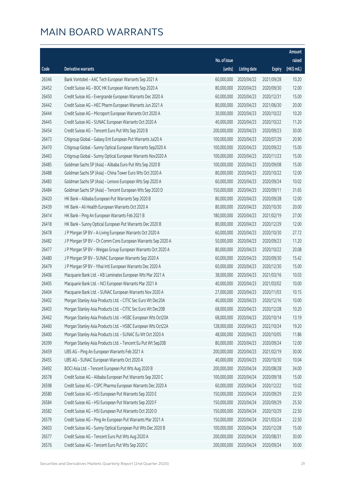|       |                                                              |              |                       |               | Amount      |
|-------|--------------------------------------------------------------|--------------|-----------------------|---------------|-------------|
|       |                                                              | No. of issue |                       |               | raised      |
| Code  | <b>Derivative warrants</b>                                   | (units)      | <b>Listing date</b>   | <b>Expiry</b> | (HK\$ mil.) |
| 26346 | Bank Vontobel - AAC Tech European Warrants Sep 2021 A        | 60,000,000   | 2020/04/22            | 2021/09/28    | 10.20       |
| 26452 | Credit Suisse AG - BOC HK European Warrants Sep 2020 A       | 80,000,000   | 2020/04/23            | 2020/09/30    | 12.00       |
| 26450 | Credit Suisse AG - Evergrande European Warrants Dec 2020 A   | 60,000,000   | 2020/04/23            | 2020/12/31    | 15.00       |
| 26442 | Credit Suisse AG - HEC Pharm European Warrants Jun 2021 A    | 80,000,000   | 2020/04/23            | 2021/06/30    | 20.00       |
| 26444 | Credit Suisse AG - Microport European Warrants Oct 2020 A    | 30,000,000   | 2020/04/23            | 2020/10/22    | 10.20       |
| 26445 | Credit Suisse AG - SUNAC European Warrants Oct 2020 A        | 40,000,000   | 2020/04/23            | 2020/10/22    | 11.20       |
| 26454 | Credit Suisse AG - Tencent Euro Put Wts Sep 2020 B           | 200,000,000  | 2020/04/23            | 2020/09/23    | 30.00       |
| 26473 | Citigroup Global - Galaxy Ent European Put Warrants Jul20 A  | 100,000,000  | 2020/04/23            | 2020/07/29    | 20.90       |
| 26470 | Citigroup Global - Sunny Optical European Warrants Sep2020 A | 100,000,000  | 2020/04/23            | 2020/09/22    | 15.00       |
| 26463 | Citigroup Global - Sunny Optical European Warrants Nov2020 A | 100,000,000  | 2020/04/23            | 2020/11/23    | 15.00       |
| 26485 | Goldman Sachs SP (Asia) - Alibaba Euro Put Wts Sep 2020 B    | 100,000,000  | 2020/04/23            | 2020/09/08    | 15.00       |
| 26488 | Goldman Sachs SP (Asia) - China Tower Euro Wts Oct 2020 A    | 80,000,000   | 2020/04/23            | 2020/10/22    | 12.00       |
| 26483 | Goldman Sachs SP (Asia) - Lenovo European Wts Sep 2020 A     | 60,000,000   | 2020/04/23            | 2020/09/24    | 10.02       |
| 26484 | Goldman Sachs SP (Asia) - Tencent European Wts Sep 2020 D    | 150,000,000  | 2020/04/23            | 2020/09/11    | 31.65       |
| 26420 | HK Bank - Alibaba European Put Warrants Sep 2020 B           | 80,000,000   | 2020/04/23            | 2020/09/28    | 12.00       |
| 26439 | HK Bank - Ali Health European Warrants Oct 2020 A            | 80,000,000   | 2020/04/23            | 2020/10/30    | 20.00       |
| 26414 | HK Bank - Ping An European Warrants Feb 2021 B               | 180,000,000  | 2020/04/23            | 2021/02/19    | 27.00       |
| 26418 | HK Bank - Sunny Optical European Put Warrants Dec 2020 B     | 80,000,000   | 2020/04/23            | 2020/12/29    | 12.00       |
| 26478 | J P Morgan SP BV - A-Living European Warrants Oct 2020 A     | 60,000,000   | 2020/04/23            | 2020/10/30    | 27.72       |
| 26482 | J P Morgan SP BV - Ch Comm Cons European Warrants Sep 2020 A | 50,000,000   | 2020/04/23            | 2020/09/23    | 11.20       |
| 26477 | J P Morgan SP BV - Weigao Group European Warrants Oct 2020 A | 80,000,000   | 2020/04/23            | 2020/10/22    | 20.08       |
| 26480 | J P Morgan SP BV - SUNAC European Warrants Sep 2020 A        | 60,000,000   | 2020/04/23            | 2020/09/30    | 15.42       |
| 26479 | J P Morgan SP BV - Yihai Intl European Warrants Dec 2020 A   | 60,000,000   | 2020/04/23            | 2020/12/30    | 15.00       |
| 26406 | Macquarie Bank Ltd. - KB Laminates European Wts Mar 2021 A   | 38,000,000   | 2020/04/23            | 2021/03/16    | 10.03       |
| 26405 | Macquarie Bank Ltd. - NCI European Warrants Mar 2021 A       | 40,000,000   | 2020/04/23            | 2021/03/02    | 10.00       |
| 26404 | Macquarie Bank Ltd. - SUNAC European Warrants Nov 2020 A     | 27,000,000   | 2020/04/23            | 2020/11/03    | 10.15       |
| 26402 | Morgan Stanley Asia Products Ltd. - CITIC Sec Euro Wt Dec20A |              | 40,000,000 2020/04/23 | 2020/12/16    | 10.00       |
| 26403 | Morgan Stanley Asia Products Ltd. - CITIC Sec Euro Wt Dec20B | 68,000,000   | 2020/04/23            | 2020/12/28    | 10.20       |
| 26462 | Morgan Stanley Asia Products Ltd. - HSBC European Wts Oct20A | 68,000,000   | 2020/04/23            | 2020/10/14    | 13.19       |
| 26460 | Morgan Stanley Asia Products Ltd. - HSBC European Wts Oct22A | 128,000,000  | 2020/04/23            | 2022/10/24    | 19.20       |
| 26400 | Morgan Stanley Asia Products Ltd. - SUNAC Eu Wt Oct 2020 A   | 48,000,000   | 2020/04/23            | 2020/10/05    | 11.86       |
| 26399 | Morgan Stanley Asia Products Ltd. - Tencent Eu Put Wt Sep20B | 80,000,000   | 2020/04/23            | 2020/09/24    | 12.00       |
| 26459 | UBS AG - Ping An European Warrants Feb 2021 A                | 200,000,000  | 2020/04/23            | 2021/02/19    | 30.00       |
| 26455 | UBS AG - SUNAC European Warrants Oct 2020 A                  | 40,000,000   | 2020/04/23            | 2020/10/30    | 10.04       |
| 26492 | BOCI Asia Ltd. - Tencent European Put Wts Aug 2020 B         | 200,000,000  | 2020/04/24            | 2020/08/28    | 34.00       |
| 26578 | Credit Suisse AG - Alibaba European Put Warrants Sep 2020 C  | 100,000,000  | 2020/04/24            | 2020/09/18    | 15.00       |
| 26598 | Credit Suisse AG - CSPC Pharma European Warrants Dec 2020 A  | 60,000,000   | 2020/04/24            | 2020/12/22    | 10.02       |
| 26580 | Credit Suisse AG - HSI European Put Warrants Sep 2020 E      | 150,000,000  | 2020/04/24            | 2020/09/29    | 22.50       |
| 26584 | Credit Suisse AG - HSI European Put Warrants Sep 2020 F      | 150,000,000  | 2020/04/24            | 2020/09/29    | 25.50       |
| 26582 | Credit Suisse AG - HSI European Put Warrants Oct 2020 D      | 150,000,000  | 2020/04/24            | 2020/10/29    | 22.50       |
| 26579 | Credit Suisse AG - Ping An European Put Warrants Mar 2021 A  | 150,000,000  | 2020/04/24            | 2021/03/24    | 22.50       |
| 26603 | Credit Suisse AG - Sunny Optical European Put Wts Dec 2020 B | 100,000,000  | 2020/04/24            | 2020/12/28    | 15.00       |
| 26577 | Credit Suisse AG - Tencent Euro Put Wts Aug 2020 A           | 200,000,000  | 2020/04/24            | 2020/08/31    | 30.00       |
| 26576 | Credit Suisse AG - Tencent Euro Put Wts Sep 2020 C           | 200,000,000  | 2020/04/24            | 2020/09/24    | 30.00       |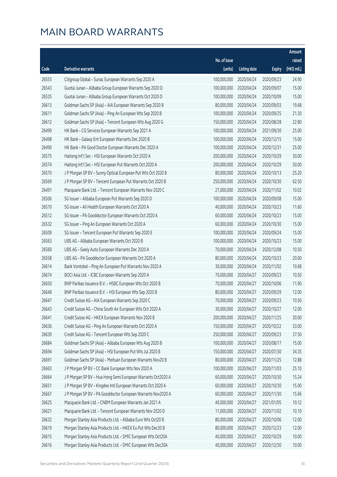|       |                                                              |              |                       |               | Amount      |
|-------|--------------------------------------------------------------|--------------|-----------------------|---------------|-------------|
|       |                                                              | No. of issue |                       |               | raised      |
| Code  | <b>Derivative warrants</b>                                   | (units)      | <b>Listing date</b>   | <b>Expiry</b> | (HK\$ mil.) |
| 26555 | Citigroup Global - Sunac European Warrants Sep 2020 A        | 100,000,000  | 2020/04/24            | 2020/09/23    | 24.90       |
| 26543 | Guotai Junan - Alibaba Group European Warrants Sep 2020 D    | 100,000,000  | 2020/04/24            | 2020/09/07    | 15.00       |
| 26535 | Guotai Junan - Alibaba Group European Warrants Oct 2020 D    | 100,000,000  | 2020/04/24            | 2020/10/09    | 15.00       |
| 26613 | Goldman Sachs SP (Asia) - AIA European Warrants Sep 2020 B   | 80,000,000   | 2020/04/24            | 2020/09/03    | 19.68       |
| 26611 | Goldman Sachs SP (Asia) - Ping An European Wts Sep 2020 B    | 100,000,000  | 2020/04/24            | 2020/09/25    | 21.30       |
| 26612 | Goldman Sachs SP (Asia) - Tencent European Wts Aug 2020 G    | 150,000,000  | 2020/04/24            | 2020/08/28    | 22.80       |
| 26499 | HK Bank - CG Services European Warrants Sep 2021 A           | 100,000,000  | 2020/04/24            | 2021/09/30    | 25.00       |
| 26498 | HK Bank - Galaxy Ent European Warrants Dec 2020 B            | 100,000,000  | 2020/04/24            | 2020/12/15    | 15.00       |
| 26490 | HK Bank - PA Good Doctor European Warrants Dec 2020 A        | 100,000,000  | 2020/04/24            | 2020/12/31    | 25.00       |
| 26575 | Haitong Int'l Sec - HSI European Warrants Oct 2020 A         | 200,000,000  | 2020/04/24            | 2020/10/29    | 30.00       |
| 26574 | Haitong Int'l Sec - HSI European Put Warrants Oct 2020 A     | 200,000,000  | 2020/04/24            | 2020/10/29    | 50.00       |
| 26570 | J P Morgan SP BV - Sunny Optical European Put Wts Oct 2020 B | 80,000,000   | 2020/04/24            | 2020/10/13    | 25.20       |
| 26569 | J P Morgan SP BV - Tencent European Put Warrants Oct 2020 B  | 250,000,000  | 2020/04/24            | 2020/10/30    | 62.50       |
| 26491 | Macquarie Bank Ltd. - Tencent European Warrants Nov 2020 C   | 27,000,000   | 2020/04/24            | 2020/11/02    | 10.02       |
| 26506 | SG Issuer - Alibaba European Put Warrants Sep 2020 D         | 100,000,000  | 2020/04/24            | 2020/09/08    | 15.00       |
| 26510 | SG Issuer - Ali Health European Warrants Oct 2020 A          | 40,000,000   | 2020/04/24            | 2020/10/23    | 11.60       |
| 26512 | SG Issuer - PA Gooddoctor European Warrants Oct 2020 A       | 60,000,000   | 2020/04/24            | 2020/10/23    | 15.00       |
| 26532 | SG Issuer - Ping An European Warrants Oct 2020 A             | 60,000,000   | 2020/04/24            | 2020/10/30    | 15.00       |
| 26509 | SG Issuer - Tencent European Put Warrants Sep 2020 E         | 100,000,000  | 2020/04/24            | 2020/09/24    | 15.00       |
| 26563 | UBS AG - Alibaba European Warrants Oct 2020 B                | 100,000,000  | 2020/04/24            | 2020/10/23    | 15.00       |
| 26560 | UBS AG - Geely Auto European Warrants Dec 2020 A             | 70,000,000   | 2020/04/24            | 2020/12/08    | 10.50       |
| 26558 | UBS AG - PA Gooddoctor European Warrants Oct 2020 A          | 80,000,000   | 2020/04/24            | 2020/10/23    | 20.00       |
| 26614 | Bank Vontobel - Ping An European Put Warrants Nov 2020 A     | 30,000,000   | 2020/04/24            | 2020/11/02    | 10.68       |
| 26674 | BOCI Asia Ltd. - ICBC European Warrants Sep 2020 A           | 70,000,000   | 2020/04/27            | 2020/09/23    | 10.50       |
| 26650 | BNP Paribas Issuance B.V. - HSBC European Wts Oct 2020 B     | 70,000,000   | 2020/04/27            | 2020/10/06    | 11.90       |
| 26648 | BNP Paribas Issuance B.V. - HSI European Wts Sep 2020 B      | 80,000,000   | 2020/04/27            | 2020/09/29    | 12.00       |
| 26647 | Credit Suisse AG - AIA European Warrants Sep 2020 C          |              | 70,000,000 2020/04/27 | 2020/09/23    | 10.50       |
| 26643 | Credit Suisse AG - China South Air European Wts Oct 2020 A   | 30,000,000   | 2020/04/27            | 2020/10/27    | 12.00       |
| 26641 | Credit Suisse AG - HKEX European Warrants Nov 2020 B         | 200,000,000  | 2020/04/27            | 2020/11/25    | 30.00       |
| 26636 | Credit Suisse AG - Ping An European Warrants Oct 2020 A      | 150,000,000  | 2020/04/27            | 2020/10/22    | 33.00       |
| 26639 | Credit Suisse AG - Tencent European Wts Sep 2020 C           | 250,000,000  | 2020/04/27            | 2020/09/23    | 37.50       |
| 26684 | Goldman Sachs SP (Asia) - Alibaba European Wts Aug 2020 B    | 100,000,000  | 2020/04/27            | 2020/08/17    | 15.00       |
| 26694 | Goldman Sachs SP (Asia) - HSI European Put Wts Jul 2020 B    | 150,000,000  | 2020/04/27            | 2020/07/30    | 34.35       |
| 26691 | Goldman Sachs SP (Asia) - Meituan European Warrants Nov20 B  | 80,000,000   | 2020/04/27            | 2020/11/25    | 12.88       |
| 26663 | J P Morgan SP BV - CC Bank European Wts Nov 2020 A           | 100,000,000  | 2020/04/27            | 2020/11/03    | 25.10       |
| 26664 | J P Morgan SP BV - Hua Hong Semi European Warrants Oct2020 A | 60,000,000   | 2020/04/27            | 2020/10/30    | 15.24       |
| 26651 | J P Morgan SP BV - Kingdee Intl European Warrants Oct 2020 A | 60,000,000   | 2020/04/27            | 2020/10/30    | 15.00       |
| 26667 | J P Morgan SP BV - PA Gooddoctor European Warrants Nov2020 A | 60,000,000   | 2020/04/27            | 2020/11/30    | 15.66       |
| 26625 | Macquarie Bank Ltd. - CNBM European Warrants Jan 2021 A      | 40,000,000   | 2020/04/27            | 2021/01/05    | 10.12       |
| 26621 | Macquarie Bank Ltd. - Tencent European Warrants Nov 2020 D   | 11,000,000   | 2020/04/27            | 2020/11/02    | 10.10       |
| 26632 | Morgan Stanley Asia Products Ltd. - Alibaba Euro Wts Oct20 B | 80,000,000   | 2020/04/27            | 2020/10/06    | 12.00       |
| 26619 | Morgan Stanley Asia Products Ltd. - HKEX Eu Put Wts Dec20 B  | 80,000,000   | 2020/04/27            | 2020/12/23    | 12.00       |
| 26615 | Morgan Stanley Asia Products Ltd. - SMIC European Wts Oct20A | 40,000,000   | 2020/04/27            | 2020/10/29    | 10.00       |
| 26616 | Morgan Stanley Asia Products Ltd. - SMIC European Wts Dec20A | 40,000,000   | 2020/04/27            | 2020/12/30    | 10.00       |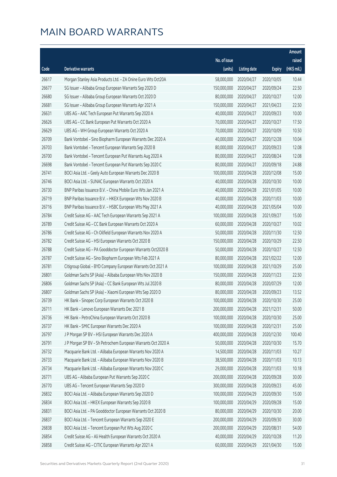|       |                                                              |                        |                     |               | Amount      |
|-------|--------------------------------------------------------------|------------------------|---------------------|---------------|-------------|
|       |                                                              | No. of issue           |                     |               | raised      |
| Code  | Derivative warrants                                          | (units)                | <b>Listing date</b> | <b>Expiry</b> | (HK\$ mil.) |
| 26617 | Morgan Stanley Asia Products Ltd. - ZA Onine Euro Wts Oct20A | 58,000,000             | 2020/04/27          | 2020/10/05    | 10.44       |
| 26677 | SG Issuer - Alibaba Group European Warrants Sep 2020 D       | 150,000,000            | 2020/04/27          | 2020/09/24    | 22.50       |
| 26680 | SG Issuer - Alibaba Group European Warrants Oct 2020 D       | 80,000,000             | 2020/04/27          | 2020/10/27    | 12.00       |
| 26681 | SG Issuer - Alibaba Group European Warrants Apr 2021 A       | 150,000,000            | 2020/04/27          | 2021/04/23    | 22.50       |
| 26631 | UBS AG - AAC Tech European Put Warrants Sep 2020 A           | 40,000,000             | 2020/04/27          | 2020/09/23    | 10.00       |
| 26626 | UBS AG - CC Bank European Put Warrants Oct 2020 A            | 70,000,000             | 2020/04/27          | 2020/10/27    | 17.50       |
| 26629 | UBS AG - WH Group European Warrants Oct 2020 A               | 70,000,000             | 2020/04/27          | 2020/10/09    | 10.50       |
| 26709 | Bank Vontobel - Sino Biopharm European Warrants Dec 2020 A   | 40,000,000             | 2020/04/27          | 2020/12/28    | 10.04       |
| 26703 | Bank Vontobel - Tencent European Warrants Sep 2020 B         | 80,000,000             | 2020/04/27          | 2020/09/23    | 12.08       |
| 26700 | Bank Vontobel - Tencent European Put Warrants Aug 2020 A     | 80,000,000             | 2020/04/27          | 2020/08/24    | 12.08       |
| 26698 | Bank Vontobel - Tencent European Put Warrants Sep 2020 C     | 80,000,000             | 2020/04/27          | 2020/09/18    | 24.88       |
| 26741 | BOCI Asia Ltd. - Geely Auto European Warrants Dec 2020 B     | 100,000,000            | 2020/04/28          | 2020/12/08    | 15.00       |
| 26746 | BOCI Asia Ltd. - SUNAC European Warrants Oct 2020 A          | 40,000,000             | 2020/04/28          | 2020/10/30    | 10.00       |
| 26730 | BNP Paribas Issuance B.V. - China Mobile Euro Wts Jan 2021 A | 40,000,000             | 2020/04/28          | 2021/01/05    | 10.00       |
| 26719 | BNP Paribas Issuance B.V. - HKEX European Wts Nov 2020 B     | 40,000,000             | 2020/04/28          | 2020/11/03    | 10.00       |
| 26716 | BNP Paribas Issuance B.V. - HSBC European Wts May 2021 A     | 40,000,000             | 2020/04/28          | 2021/05/04    | 10.00       |
| 26784 | Credit Suisse AG - AAC Tech European Warrants Sep 2021 A     | 100,000,000            | 2020/04/28          | 2021/09/27    | 15.00       |
| 26789 | Credit Suisse AG - CC Bank European Warrants Oct 2020 A      | 60,000,000             | 2020/04/28          | 2020/10/27    | 10.02       |
| 26786 | Credit Suisse AG - Ch Oilfield European Warrants Nov 2020 A  | 50,000,000             | 2020/04/28          | 2020/11/30    | 12.50       |
| 26782 | Credit Suisse AG - HSI European Warrants Oct 2020 B          | 150,000,000            | 2020/04/28          | 2020/10/29    | 22.50       |
| 26788 | Credit Suisse AG - PA Gooddoctor European Warrants Oct2020 B | 50,000,000             | 2020/04/28          | 2020/10/27    | 12.50       |
| 26787 | Credit Suisse AG - Sino Biopharm European Wts Feb 2021 A     | 80,000,000             | 2020/04/28          | 2021/02/22    | 12.00       |
| 26781 | Citigroup Global - BYD Company European Warrants Oct 2021 A  | 100,000,000            | 2020/04/28          | 2021/10/29    | 25.00       |
| 26801 | Goldman Sachs SP (Asia) - Alibaba European Wts Nov 2020 B    | 150,000,000            | 2020/04/28          | 2020/11/23    | 22.50       |
| 26806 | Goldman Sachs SP (Asia) - CC Bank European Wts Jul 2020 B    | 80,000,000             | 2020/04/28          | 2020/07/29    | 12.00       |
| 26807 | Goldman Sachs SP (Asia) - Xiaomi European Wts Sep 2020 D     | 80,000,000             | 2020/04/28          | 2020/09/23    | 13.52       |
| 26739 | HK Bank - Sinopec Corp European Warrants Oct 2020 B          | 100,000,000 2020/04/28 |                     | 2020/10/30    | 25.00       |
| 26711 | HK Bank - Lenovo European Warrants Dec 2021 B                | 200,000,000            | 2020/04/28          | 2021/12/31    | 50.00       |
| 26736 | HK Bank - PetroChina European Warrants Oct 2020 B            | 100,000,000            | 2020/04/28          | 2020/10/30    | 25.00       |
| 26737 | HK Bank - SMIC European Warrants Dec 2020 A                  | 100,000,000            | 2020/04/28          | 2020/12/31    | 25.00       |
| 26797 | J P Morgan SP BV - HSI European Warrants Dec 2020 A          | 400,000,000            | 2020/04/28          | 2020/12/30    | 100.40      |
| 26791 | J P Morgan SP BV - Sh Petrochem European Warrants Oct 2020 A | 50,000,000             | 2020/04/28          | 2020/10/30    | 15.70       |
| 26732 | Macquarie Bank Ltd. - Alibaba European Warrants Nov 2020 A   | 14,500,000             | 2020/04/28          | 2020/11/03    | 10.27       |
| 26733 | Macquarie Bank Ltd. - Alibaba European Warrants Nov 2020 B   | 38,500,000             | 2020/04/28          | 2020/11/03    | 10.13       |
| 26734 | Macquarie Bank Ltd. - Alibaba European Warrants Nov 2020 C   | 29,000,000             | 2020/04/28          | 2020/11/03    | 10.18       |
| 26771 | UBS AG - Alibaba European Put Warrants Sep 2020 C            | 200,000,000            | 2020/04/28          | 2020/09/28    | 30.00       |
| 26770 | UBS AG - Tencent European Warrants Sep 2020 D                | 300,000,000            | 2020/04/28          | 2020/09/23    | 45.00       |
| 26832 | BOCI Asia Ltd. - Alibaba European Warrants Sep 2020 D        | 100,000,000            | 2020/04/29          | 2020/09/30    | 15.00       |
| 26834 | BOCI Asia Ltd. - HKEX European Warrants Sep 2020 B           | 100,000,000            | 2020/04/29          | 2020/09/28    | 15.00       |
| 26831 | BOCI Asia Ltd. - PA Gooddoctor European Warrants Oct 2020 B  | 80,000,000             | 2020/04/29          | 2020/10/30    | 20.00       |
| 26837 | BOCI Asia Ltd. - Tencent European Warrants Sep 2020 E        | 200,000,000            | 2020/04/29          | 2020/09/30    | 30.00       |
| 26838 | BOCI Asia Ltd. - Tencent European Put Wts Aug 2020 C         | 200,000,000            | 2020/04/29          | 2020/08/31    | 54.00       |
| 26854 | Credit Suisse AG - Ali Health European Warrants Oct 2020 A   | 40,000,000             | 2020/04/29          | 2020/10/28    | 11.20       |
| 26858 | Credit Suisse AG - CITIC European Warrants Apr 2021 A        | 60,000,000             | 2020/04/29          | 2021/04/30    | 15.00       |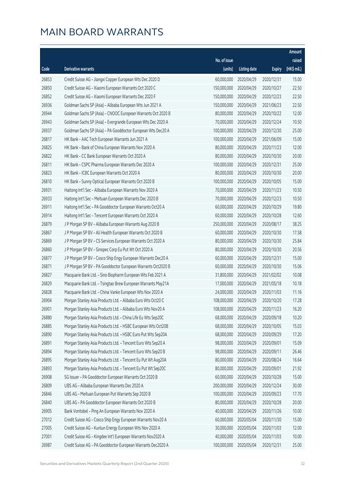|       |                                                              |                        |                     |               | Amount      |
|-------|--------------------------------------------------------------|------------------------|---------------------|---------------|-------------|
|       |                                                              | No. of issue           |                     |               | raised      |
| Code  | <b>Derivative warrants</b>                                   | (units)                | <b>Listing date</b> | <b>Expiry</b> | (HK\$ mil.) |
| 26853 | Credit Suisse AG - Jiangxi Copper European Wts Dec 2020 D    | 60,000,000             | 2020/04/29          | 2020/12/31    | 15.00       |
| 26850 | Credit Suisse AG - Xiaomi European Warrants Oct 2020 C       | 150,000,000            | 2020/04/29          | 2020/10/27    | 22.50       |
| 26852 | Credit Suisse AG - Xiaomi European Warrants Dec 2020 F       | 150,000,000            | 2020/04/29          | 2020/12/23    | 22.50       |
| 26936 | Goldman Sachs SP (Asia) - Alibaba European Wts Jun 2021 A    | 150,000,000            | 2020/04/29          | 2021/06/23    | 22.50       |
| 26944 | Goldman Sachs SP (Asia) - CNOOC European Warrants Oct 2020 B | 80,000,000             | 2020/04/29          | 2020/10/22    | 12.00       |
| 26943 | Goldman Sachs SP (Asia) - Evergrande European Wts Dec 2020 A | 70,000,000             | 2020/04/29          | 2020/12/24    | 10.50       |
| 26937 | Goldman Sachs SP (Asia) - PA Gooddoctor European Wts Dec20 A | 100,000,000            | 2020/04/29          | 2020/12/30    | 25.00       |
| 26817 | HK Bank - AAC Tech European Warrants Jun 2021 A              | 100,000,000            | 2020/04/29          | 2021/06/09    | 15.00       |
| 26825 | HK Bank - Bank of China European Warrants Nov 2020 A         | 80,000,000             | 2020/04/29          | 2020/11/23    | 12.00       |
| 26822 | HK Bank - CC Bank European Warrants Oct 2020 A               | 80,000,000             | 2020/04/29          | 2020/10/30    | 20.00       |
| 26811 | HK Bank - CSPC Pharma European Warrants Dec 2020 A           | 100,000,000            | 2020/04/29          | 2020/12/31    | 25.00       |
| 26823 | HK Bank - ICBC European Warrants Oct 2020 A                  | 80,000,000             | 2020/04/29          | 2020/10/30    | 20.00       |
| 26810 | HK Bank - Sunny Optical European Warrants Oct 2020 B         | 100,000,000            | 2020/04/29          | 2020/10/05    | 15.00       |
| 26931 | Haitong Int'l Sec - Alibaba European Warrants Nov 2020 A     | 70,000,000             | 2020/04/29          | 2020/11/23    | 10.50       |
| 26933 | Haitong Int'l Sec - Meituan European Warrants Dec 2020 B     | 70,000,000             | 2020/04/29          | 2020/12/23    | 10.50       |
| 26911 | Haitong Int'l Sec - PA Gooddoctor European Warrants Oct20 A  | 60,000,000             | 2020/04/29          | 2020/10/29    | 19.80       |
| 26914 | Haitong Int'l Sec - Tencent European Warrants Oct 2020 A     | 60,000,000             | 2020/04/29          | 2020/10/28    | 12.60       |
| 26879 | J P Morgan SP BV - Alibaba European Warrants Aug 2020 B      | 250,000,000            | 2020/04/29          | 2020/08/17    | 38.25       |
| 26867 | J P Morgan SP BV - Ali Health European Warrants Oct 2020 B   | 60,000,000             | 2020/04/29          | 2020/10/30    | 17.58       |
| 26869 | J P Morgan SP BV - CS Services European Warrants Oct 2020 A  | 80,000,000             | 2020/04/29          | 2020/10/30    | 25.84       |
| 26860 | J P Morgan SP BV - Sinopec Corp Eu Put Wt Oct 2020 A         | 80,000,000             | 2020/04/29          | 2020/10/30    | 20.56       |
| 26877 | J P Morgan SP BV - Cosco Ship Engy European Warrants Dec20 A | 60,000,000             | 2020/04/29          | 2020/12/31    | 15.00       |
| 26871 | J P Morgan SP BV - PA Gooddoctor European Warrants Oct2020 B | 60,000,000             | 2020/04/29          | 2020/10/30    | 15.06       |
| 26827 | Macquarie Bank Ltd. - Sino Biopharm European Wts Feb 2021 A  | 31,800,000             | 2020/04/29          | 2021/02/02    | 10.08       |
| 26829 | Macquarie Bank Ltd. - Tsingtao Brew European Warrants May21A | 17,000,000             | 2020/04/29          | 2021/05/18    | 10.18       |
| 26828 | Macquarie Bank Ltd. - China Vanke European Wts Nov 2020 A    | 24,000,000             | 2020/04/29          | 2020/11/03    | 11.16       |
| 26904 | Morgan Stanley Asia Products Ltd. - Alibaba Euro Wts Oct20 C | 108,000,000 2020/04/29 |                     | 2020/10/20    | 17.28       |
| 26901 | Morgan Stanley Asia Products Ltd. - Alibaba Euro Wts Nov20 A | 108,000,000            | 2020/04/29          | 2020/11/23    | 16.20       |
| 26880 | Morgan Stanley Asia Products Ltd. - China Life Eu Wts Sep20C | 68,000,000             | 2020/04/29          | 2020/09/18    | 10.20       |
| 26885 | Morgan Stanley Asia Products Ltd. - HSBC European Wts Oct20B | 68,000,000             | 2020/04/29          | 2020/10/05    | 15.03       |
| 26890 | Morgan Stanley Asia Products Ltd. - HSBC Euro Put Wts Sep20A | 68,000,000             | 2020/04/29          | 2020/09/29    | 17.20       |
| 26891 | Morgan Stanley Asia Products Ltd. - Tencent Euro Wts Sep20 A | 98,000,000             | 2020/04/29          | 2020/09/01    | 15.09       |
| 26894 | Morgan Stanley Asia Products Ltd. - Tencent Euro Wts Sep20 B | 98,000,000             | 2020/04/29          | 2020/09/11    | 26.46       |
| 26895 | Morgan Stanley Asia Products Ltd. - Tencent Eu Put Wt Aug20A | 80,000,000             | 2020/04/29          | 2020/08/24    | 16.64       |
| 26893 | Morgan Stanley Asia Products Ltd. - Tencent Eu Put Wt Sep20C | 80,000,000             | 2020/04/29          | 2020/09/01    | 21.92       |
| 26908 | SG Issuer - PA Gooddoctor European Warrants Oct 2020 B       | 60,000,000             | 2020/04/29          | 2020/10/28    | 15.00       |
| 26809 | UBS AG - Alibaba European Warrants Dec 2020 A                | 200,000,000            | 2020/04/29          | 2020/12/24    | 30.00       |
| 26846 | UBS AG - Meituan European Put Warrants Sep 2020 B            | 100,000,000            | 2020/04/29          | 2020/09/23    | 17.70       |
| 26840 | UBS AG - PA Gooddoctor European Warrants Oct 2020 B          | 80,000,000             | 2020/04/29          | 2020/10/28    | 20.00       |
| 26905 | Bank Vontobel - Ping An European Warrants Nov 2020 A         | 40,000,000             | 2020/04/29          | 2020/11/26    | 10.00       |
| 27012 | Credit Suisse AG - Cosco Ship Engy European Warrants Nov20 A | 60,000,000             | 2020/05/04          | 2020/11/30    | 15.00       |
| 27005 | Credit Suisse AG - Kunlun Energy European Wts Nov 2020 A     | 30,000,000             | 2020/05/04          | 2020/11/03    | 12.00       |
| 27001 | Credit Suisse AG - Kingdee Int'l European Warrants Nov2020 A | 40,000,000             | 2020/05/04          | 2020/11/03    | 10.00       |
| 26987 | Credit Suisse AG - PA Gooddoctor European Warrants Dec2020 A | 100,000,000            | 2020/05/04          | 2020/12/31    | 25.00       |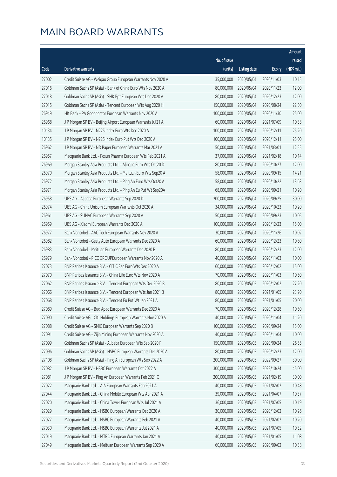|       |                                                              |              |                       |               | Amount      |
|-------|--------------------------------------------------------------|--------------|-----------------------|---------------|-------------|
|       |                                                              | No. of issue |                       |               | raised      |
| Code  | <b>Derivative warrants</b>                                   | (units)      | <b>Listing date</b>   | <b>Expiry</b> | (HK\$ mil.) |
| 27002 | Credit Suisse AG - Weigao Group European Warrants Nov 2020 A | 35,000,000   | 2020/05/04            | 2020/11/03    | 10.15       |
| 27016 | Goldman Sachs SP (Asia) - Bank of China Euro Wts Nov 2020 A  | 80,000,000   | 2020/05/04            | 2020/11/23    | 12.00       |
| 27018 | Goldman Sachs SP (Asia) - SHK Ppt European Wts Dec 2020 A    | 80,000,000   | 2020/05/04            | 2020/12/23    | 12.00       |
| 27015 | Goldman Sachs SP (Asia) - Tencent European Wts Aug 2020 H    | 150,000,000  | 2020/05/04            | 2020/08/24    | 22.50       |
| 26949 | HK Bank - PA Gooddoctor European Warrants Nov 2020 A         | 100,000,000  | 2020/05/04            | 2020/11/30    | 25.00       |
| 26968 | J P Morgan SP BV - Beijing Airport European Warrants Jul21 A | 60,000,000   | 2020/05/04            | 2021/07/09    | 10.38       |
| 10134 | J P Morgan SP BV - N225 Index Euro Wts Dec 2020 A            | 100,000,000  | 2020/05/04            | 2020/12/11    | 25.20       |
| 10135 | J P Morgan SP BV - N225 Index Euro Put Wts Dec 2020 A        | 100,000,000  | 2020/05/04            | 2020/12/11    | 25.00       |
| 26962 | J P Morgan SP BV - ND Paper European Warrants Mar 2021 A     | 50,000,000   | 2020/05/04            | 2021/03/01    | 12.55       |
| 26957 | Macquarie Bank Ltd. - Fosun Pharma European Wts Feb 2021 A   | 37,000,000   | 2020/05/04            | 2021/02/18    | 10.14       |
| 26969 | Morgan Stanley Asia Products Ltd. - Alibaba Euro Wts Oct20 D | 80,000,000   | 2020/05/04            | 2020/10/27    | 12.00       |
| 26970 | Morgan Stanley Asia Products Ltd. - Meituan Euro Wts Sep20 A | 58,000,000   | 2020/05/04            | 2020/09/15    | 14.21       |
| 26972 | Morgan Stanley Asia Products Ltd. - Ping An Euro Wts Oct20 A | 58,000,000   | 2020/05/04            | 2020/10/22    | 13.63       |
| 26971 | Morgan Stanley Asia Products Ltd. - Ping An Eu Put Wt Sep20A | 68,000,000   | 2020/05/04            | 2020/09/21    | 10.20       |
| 26958 | UBS AG - Alibaba European Warrants Sep 2020 D                | 200,000,000  | 2020/05/04            | 2020/09/25    | 30.00       |
| 26974 | UBS AG - China Unicom European Warrants Oct 2020 A           | 34,000,000   | 2020/05/04            | 2020/10/23    | 10.20       |
| 26961 | UBS AG - SUNAC European Warrants Sep 2020 A                  | 50,000,000   | 2020/05/04            | 2020/09/23    | 10.05       |
| 26959 | UBS AG - Xiaomi European Warrants Dec 2020 A                 | 100,000,000  | 2020/05/04            | 2020/12/23    | 15.00       |
| 26977 | Bank Vontobel - AAC Tech European Warrants Nov 2020 A        | 30,000,000   | 2020/05/04            | 2020/11/26    | 10.02       |
| 26982 | Bank Vontobel - Geely Auto European Warrants Dec 2020 A      | 60,000,000   | 2020/05/04            | 2020/12/23    | 10.80       |
| 26983 | Bank Vontobel - Meituan European Warrants Dec 2020 B         | 80,000,000   | 2020/05/04            | 2020/12/23    | 12.00       |
| 26979 | Bank Vontobel - PICC GROUPEuropean Warrants Nov 2020 A       | 40,000,000   | 2020/05/04            | 2020/11/03    | 10.00       |
| 27073 | BNP Paribas Issuance B.V. - CITIC Sec Euro Wts Dec 2020 A    | 60,000,000   | 2020/05/05            | 2020/12/02    | 15.00       |
| 27070 | BNP Paribas Issuance B.V. - China Life Euro Wts Nov 2020 A   | 70,000,000   | 2020/05/05            | 2020/11/03    | 10.50       |
| 27062 | BNP Paribas Issuance B.V. - Tencent European Wts Dec 2020 B  | 80,000,000   | 2020/05/05            | 2020/12/02    | 27.20       |
| 27066 | BNP Paribas Issuance B.V. - Tencent European Wts Jan 2021 B  | 80,000,000   | 2020/05/05            | 2021/01/05    | 23.20       |
| 27068 | BNP Paribas Issuance B.V. - Tencent Eu Put Wt Jan 2021 A     |              | 80,000,000 2020/05/05 | 2021/01/05    | 20.00       |
| 27089 | Credit Suisse AG - Bud Apac European Warrants Dec 2020 A     | 70,000,000   | 2020/05/05            | 2020/12/28    | 10.50       |
| 27090 | Credit Suisse AG - CKI Holdings European Warrants Nov 2020 A | 40,000,000   | 2020/05/05            | 2020/11/04    | 11.20       |
| 27088 | Credit Suisse AG - SMIC European Warrants Sep 2020 B         | 100,000,000  | 2020/05/05            | 2020/09/24    | 15.00       |
| 27091 | Credit Suisse AG - Zijin Mining European Warrants Nov 2020 A | 40,000,000   | 2020/05/05            | 2020/11/04    | 10.00       |
| 27099 | Goldman Sachs SP (Asia) - Alibaba European Wts Sep 2020 F    | 150,000,000  | 2020/05/05            | 2020/09/24    | 26.55       |
| 27096 | Goldman Sachs SP (Asia) - HSBC European Warrants Dec 2020 A  | 80,000,000   | 2020/05/05            | 2020/12/23    | 12.00       |
| 27108 | Goldman Sachs SP (Asia) - Ping An European Wts Sep 2022 A    | 200,000,000  | 2020/05/05            | 2022/09/27    | 30.00       |
| 27082 | J P Morgan SP BV - HSBC European Warrants Oct 2022 A         | 300,000,000  | 2020/05/05            | 2022/10/24    | 45.00       |
| 27081 | J P Morgan SP BV - Ping An European Warrants Feb 2021 C      | 200,000,000  | 2020/05/05            | 2021/02/19    | 30.00       |
| 27022 | Macquarie Bank Ltd. - AIA European Warrants Feb 2021 A       | 40,000,000   | 2020/05/05            | 2021/02/02    | 10.48       |
| 27044 | Macquarie Bank Ltd. - China Mobile European Wts Apr 2021 A   | 39,000,000   | 2020/05/05            | 2021/04/07    | 10.37       |
| 27020 | Macquarie Bank Ltd. - China Tower European Wts Jul 2021 A    | 36,000,000   | 2020/05/05            | 2021/07/05    | 10.19       |
| 27029 | Macquarie Bank Ltd. - HSBC European Warrants Dec 2020 A      | 30,000,000   | 2020/05/05            | 2020/12/02    | 10.26       |
| 27027 | Macquarie Bank Ltd. - HSBC European Warrants Feb 2021 A      | 40,000,000   | 2020/05/05            | 2021/02/02    | 10.20       |
| 27030 | Macquarie Bank Ltd. - HSBC European Warrants Jul 2021 A      | 40,000,000   | 2020/05/05            | 2021/07/05    | 10.32       |
| 27019 | Macquarie Bank Ltd. - MTRC European Warrants Jan 2021 A      | 40,000,000   | 2020/05/05            | 2021/01/05    | 11.08       |
| 27049 | Macquarie Bank Ltd. - Meituan European Warrants Sep 2020 A   | 60,000,000   | 2020/05/05            | 2020/09/02    | 10.38       |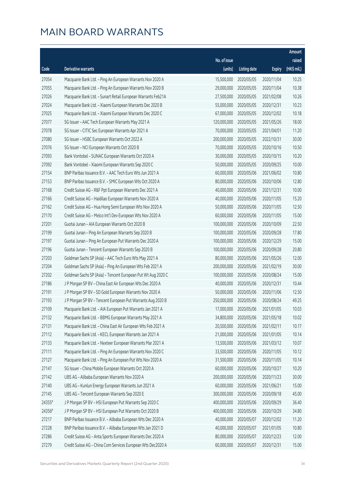|        |                                                              |              |                        |               | Amount      |
|--------|--------------------------------------------------------------|--------------|------------------------|---------------|-------------|
|        |                                                              | No. of issue |                        |               | raised      |
| Code   | Derivative warrants                                          | (units)      | <b>Listing date</b>    | <b>Expiry</b> | (HK\$ mil.) |
| 27054  | Macquarie Bank Ltd. - Ping An European Warrants Nov 2020 A   | 15,500,000   | 2020/05/05             | 2020/11/04    | 10.25       |
| 27055  | Macquarie Bank Ltd. - Ping An European Warrants Nov 2020 B   | 29,000,000   | 2020/05/05             | 2020/11/04    | 10.38       |
| 27026  | Macquarie Bank Ltd. - Sunart Retail European Warrants Feb21A | 27,500,000   | 2020/05/05             | 2021/02/08    | 10.26       |
| 27024  | Macquarie Bank Ltd. - Xiaomi European Warrants Dec 2020 B    | 55,000,000   | 2020/05/05             | 2020/12/31    | 10.23       |
| 27025  | Macquarie Bank Ltd. - Xiaomi European Warrants Dec 2020 C    | 67,000,000   | 2020/05/05             | 2020/12/02    | 10.18       |
| 27077  | SG Issuer - AAC Tech European Warrants May 2021 A            | 120,000,000  | 2020/05/05             | 2021/05/26    | 18.00       |
| 27078  | SG Issuer - CITIC Sec European Warrants Apr 2021 A           | 70,000,000   | 2020/05/05             | 2021/04/01    | 11.20       |
| 27080  | SG Issuer - HSBC European Warrants Oct 2022 A                | 200,000,000  | 2020/05/05             | 2022/10/31    | 30.00       |
| 27076  | SG Issuer - NCI European Warrants Oct 2020 B                 | 70,000,000   | 2020/05/05             | 2020/10/16    | 10.50       |
| 27093  | Bank Vontobel - SUNAC European Warrants Oct 2020 A           | 30,000,000   | 2020/05/05             | 2020/10/15    | 10.20       |
| 27092  | Bank Vontobel - Xiaomi European Warrants Sep 2020 C          | 50,000,000   | 2020/05/05             | 2020/09/25    | 10.00       |
| 27154  | BNP Paribas Issuance B.V. - AAC Tech Euro Wts Jun 2021 A     | 60,000,000   | 2020/05/06             | 2021/06/02    | 10.80       |
| 27153  | BNP Paribas Issuance B.V. - SMIC European Wts Oct 2020 A     | 80,000,000   | 2020/05/06             | 2020/10/06    | 12.80       |
| 27168  | Credit Suisse AG - R&F Ppt European Warrants Dec 2021 A      | 40,000,000   | 2020/05/06             | 2021/12/31    | 10.00       |
| 27166  | Credit Suisse AG - Haidilao European Warrants Nov 2020 A     | 40,000,000   | 2020/05/06             | 2020/11/05    | 15.20       |
| 27162  | Credit Suisse AG - Hua Hong Semi European Wts Nov 2020 A     | 50,000,000   | 2020/05/06             | 2020/11/05    | 12.50       |
| 27170  | Credit Suisse AG - Melco Int'l Dev European Wts Nov 2020 A   | 60,000,000   | 2020/05/06             | 2020/11/05    | 15.00       |
| 27201  | Guotai Junan - AIA European Warrants Oct 2020 B              | 100,000,000  | 2020/05/06             | 2020/10/09    | 22.50       |
| 27199  | Guotai Junan - Ping An European Warrants Sep 2020 B          | 100,000,000  | 2020/05/06             | 2020/09/28    | 17.80       |
| 27197  | Guotai Junan - Ping An European Put Warrants Dec 2020 A      | 100,000,000  | 2020/05/06             | 2020/12/29    | 15.00       |
| 27196  | Guotai Junan - Tencent European Warrants Sep 2020 B          | 100,000,000  | 2020/05/06             | 2020/09/28    | 20.80       |
| 27203  | Goldman Sachs SP (Asia) - AAC Tech Euro Wts May 2021 A       | 80,000,000   | 2020/05/06             | 2021/05/26    | 12.00       |
| 27204  | Goldman Sachs SP (Asia) - Ping An European Wts Feb 2021 A    | 200,000,000  | 2020/05/06             | 2021/02/19    | 30.00       |
| 27202  | Goldman Sachs SP (Asia) - Tencent European Put Wt Aug 2020 C | 100,000,000  | 2020/05/06             | 2020/08/24    | 15.00       |
| 27186  | J P Morgan SP BV - China East Air European Wts Dec 2020 A    | 40,000,000   | 2020/05/06             | 2020/12/31    | 10.44       |
| 27191  | J P Morgan SP BV - SD Gold European Warrants Nov 2020 A      | 50,000,000   | 2020/05/06             | 2020/11/06    | 12.50       |
| 27193  | J P Morgan SP BV - Tencent European Put Warrants Aug 2020 B  |              | 250,000,000 2020/05/06 | 2020/08/24    | 49.25       |
| 27109  | Macquarie Bank Ltd. - AIA European Put Warrants Jan 2021 A   | 17,000,000   | 2020/05/06             | 2021/01/05    | 10.03       |
| 27132  | Macquarie Bank Ltd. - BBMG European Warrants May 2021 A      | 34,800,000   | 2020/05/06             | 2021/05/18    | 10.02       |
| 27131  | Macquarie Bank Ltd. - China East Air European Wts Feb 2021 A | 20,500,000   | 2020/05/06             | 2021/02/11    | 10.17       |
| 27112  | Macquarie Bank Ltd. - KECL European Warrants Jan 2021 A      | 21,000,000   | 2020/05/06             | 2021/01/05    | 10.14       |
| 27133  | Macquarie Bank Ltd. - Nexteer European Warrants Mar 2021 A   | 13,500,000   | 2020/05/06             | 2021/03/12    | 10.07       |
| 27111  | Macquarie Bank Ltd. - Ping An European Warrants Nov 2020 C   | 33,500,000   | 2020/05/06             | 2020/11/05    | 10.12       |
| 27127  | Macquarie Bank Ltd. - Ping An European Put Wts Nov 2020 A    | 31,500,000   | 2020/05/06             | 2020/11/05    | 10.14       |
| 27147  | SG Issuer - China Mobile European Warrants Oct 2020 A        | 60,000,000   | 2020/05/06             | 2020/10/27    | 10.20       |
| 27142  | UBS AG - Alibaba European Warrants Nov 2020 A                | 200,000,000  | 2020/05/06             | 2020/11/23    | 30.00       |
| 27140  | UBS AG - Kunlun Energy European Warrants Jun 2021 A          | 60,000,000   | 2020/05/06             | 2021/06/21    | 15.00       |
| 27145  | UBS AG - Tencent European Warrants Sep 2020 E                | 300,000,000  | 2020/05/06             | 2020/09/18    | 45.00       |
| 24355# | J P Morgan SP BV - HSI European Put Warrants Sep 2020 C      | 400,000,000  | 2020/05/06             | 2020/09/29    | 36.40       |
| 24356# | J P Morgan SP BV - HSI European Put Warrants Oct 2020 B      | 400,000,000  | 2020/05/06             | 2020/10/29    | 34.80       |
| 27217  | BNP Paribas Issuance B.V. - Alibaba European Wts Dec 2020 A  | 40,000,000   | 2020/05/07             | 2020/12/02    | 11.20       |
| 27228  | BNP Paribas Issuance B.V. - Alibaba European Wts Jan 2021 D  | 40,000,000   | 2020/05/07             | 2021/01/05    | 10.80       |
| 27286  | Credit Suisse AG - Anta Sports European Warrants Dec 2020 A  | 80,000,000   | 2020/05/07             | 2020/12/23    | 12.00       |
| 27279  | Credit Suisse AG - China Com Services European Wts Dec2020 A | 60,000,000   | 2020/05/07             | 2020/12/31    | 15.00       |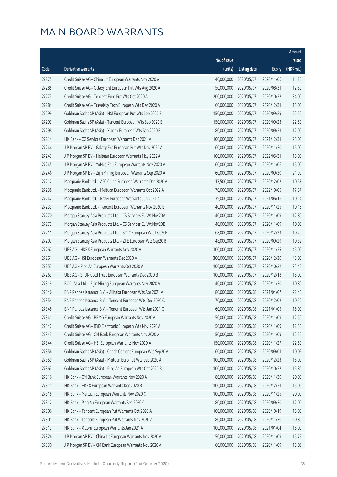|       |                                                              |              |                       |               | Amount      |
|-------|--------------------------------------------------------------|--------------|-----------------------|---------------|-------------|
|       |                                                              | No. of issue |                       |               | raised      |
| Code  | <b>Derivative warrants</b>                                   | (units)      | <b>Listing date</b>   | <b>Expiry</b> | (HK\$ mil.) |
| 27275 | Credit Suisse AG - China Lit European Warrants Nov 2020 A    | 40,000,000   | 2020/05/07            | 2020/11/06    | 11.20       |
| 27285 | Credit Suisse AG - Galaxy Ent European Put Wts Aug 2020 A    | 50,000,000   | 2020/05/07            | 2020/08/31    | 12.50       |
| 27273 | Credit Suisse AG - Tencent Euro Put Wts Oct 2020 A           | 200,000,000  | 2020/05/07            | 2020/10/22    | 34.00       |
| 27284 | Credit Suisse AG - Travelsky Tech European Wts Dec 2020 A    | 60,000,000   | 2020/05/07            | 2020/12/31    | 15.00       |
| 27299 | Goldman Sachs SP (Asia) - HSI European Put Wts Sep 2020 E    | 150,000,000  | 2020/05/07            | 2020/09/29    | 22.50       |
| 27293 | Goldman Sachs SP (Asia) - Tencent European Wts Sep 2020 E    | 150,000,000  | 2020/05/07            | 2020/09/23    | 22.50       |
| 27298 | Goldman Sachs SP (Asia) - Xiaomi European Wts Sep 2020 E     | 80,000,000   | 2020/05/07            | 2020/09/23    | 12.00       |
| 27214 | HK Bank - CG Services European Warrants Dec 2021 A           | 100,000,000  | 2020/05/07            | 2021/12/31    | 25.00       |
| 27244 | J P Morgan SP BV - Galaxy Ent European Put Wts Nov 2020 A    | 60,000,000   | 2020/05/07            | 2020/11/30    | 15.06       |
| 27247 | J P Morgan SP BV - Meituan European Warrants May 2022 A      | 100,000,000  | 2020/05/07            | 2022/05/31    | 15.00       |
| 27245 | J P Morgan SP BV - YuHua Edu European Warrants Nov 2020 A    | 60,000,000   | 2020/05/07            | 2020/11/06    | 15.00       |
| 27246 | J P Morgan SP BV - Zijin Mining European Warrants Sep 2020 A | 60,000,000   | 2020/05/07            | 2020/09/30    | 21.90       |
| 27212 | Macquarie Bank Ltd. - A50 China European Warrants Dec 2020 A | 17,500,000   | 2020/05/07            | 2020/12/02    | 10.57       |
| 27238 | Macquarie Bank Ltd. - Meituan European Warrants Oct 2022 A   | 70,000,000   | 2020/05/07            | 2022/10/05    | 17.57       |
| 27242 | Macquarie Bank Ltd. - Razer European Warrants Jun 2021 A     | 39,000,000   | 2020/05/07            | 2021/06/16    | 10.14       |
| 27233 | Macquarie Bank Ltd. - Tencent European Warrants Nov 2020 E   | 40,000,000   | 2020/05/07            | 2020/11/25    | 10.16       |
| 27270 | Morgan Stanley Asia Products Ltd. - CS Services Eu Wt Nov20A | 40,000,000   | 2020/05/07            | 2020/11/09    | 12.80       |
| 27272 | Morgan Stanley Asia Products Ltd. - CS Services Eu Wt Nov20B | 40,000,000   | 2020/05/07            | 2020/11/09    | 10.00       |
| 27211 | Morgan Stanley Asia Products Ltd. - SMIC European Wts Dec20B | 68,000,000   | 2020/05/07            | 2020/12/23    | 10.20       |
| 27207 | Morgan Stanley Asia Products Ltd. - ZTE European Wts Sep20 B | 48,000,000   | 2020/05/07            | 2020/09/29    | 10.32       |
| 27267 | UBS AG - HKEX European Warrants Nov 2020 A                   | 300,000,000  | 2020/05/07            | 2020/11/25    | 45.00       |
| 27261 | UBS AG - HSI European Warrants Dec 2020 A                    | 300,000,000  | 2020/05/07            | 2020/12/30    | 45.00       |
| 27253 | UBS AG - Ping An European Warrants Oct 2020 A                | 100,000,000  | 2020/05/07            | 2020/10/22    | 23.40       |
| 27263 | UBS AG - SPDR Gold Trust European Warrants Dec 2020 B        | 100,000,000  | 2020/05/07            | 2020/12/18    | 15.00       |
| 27319 | BOCI Asia Ltd. - Zijin Mining European Warrants Nov 2020 A   | 40,000,000   | 2020/05/08            | 2020/11/30    | 10.80       |
| 27346 | BNP Paribas Issuance B.V. - Alibaba European Wts Apr 2021 A  | 80,000,000   | 2020/05/08            | 2021/04/07    | 22.40       |
| 27354 | BNP Paribas Issuance B.V. - Tencent European Wts Dec 2020 C  |              | 70,000,000 2020/05/08 | 2020/12/02    | 10.50       |
| 27348 | BNP Paribas Issuance B.V. - Tencent European Wts Jan 2021 C  | 60,000,000   | 2020/05/08            | 2021/01/05    | 15.00       |
| 27341 | Credit Suisse AG - BBMG European Warrants Nov 2020 A         | 50,000,000   | 2020/05/08            | 2020/11/09    | 12.50       |
| 27342 | Credit Suisse AG - BYD Electronic European Wts Nov 2020 A    | 50,000,000   | 2020/05/08            | 2020/11/09    | 12.50       |
| 27343 | Credit Suisse AG - CM Bank European Warrants Nov 2020 A      | 50,000,000   | 2020/05/08            | 2020/11/09    | 12.50       |
| 27344 | Credit Suisse AG - HSI European Warrants Nov 2020 A          | 150,000,000  | 2020/05/08            | 2020/11/27    | 22.50       |
| 27356 | Goldman Sachs SP (Asia) - Conch Cement European Wts Sep20 A  | 60,000,000   | 2020/05/08            | 2020/09/01    | 10.02       |
| 27359 | Goldman Sachs SP (Asia) - Meituan Euro Put Wts Dec 2020 A    | 100,000,000  | 2020/05/08            | 2020/12/23    | 15.00       |
| 27363 | Goldman Sachs SP (Asia) - Ping An European Wts Oct 2020 B    | 100,000,000  | 2020/05/08            | 2020/10/22    | 15.80       |
| 27316 | HK Bank - CM Bank European Warrants Nov 2020 A               | 80,000,000   | 2020/05/08            | 2020/11/30    | 20.00       |
| 27311 | HK Bank - HKEX European Warrants Dec 2020 B                  | 100,000,000  | 2020/05/08            | 2020/12/23    | 15.00       |
| 27318 | HK Bank - Meituan European Warrants Nov 2020 C               | 100,000,000  | 2020/05/08            | 2020/11/25    | 20.00       |
| 27312 | HK Bank - Ping An European Warrants Sep 2020 C               | 80,000,000   | 2020/05/08            | 2020/09/30    | 12.00       |
| 27306 | HK Bank - Tencent European Put Warrants Oct 2020 A           | 100,000,000  | 2020/05/08            | 2020/10/19    | 15.00       |
| 27301 | HK Bank - Tencent European Put Warrants Nov 2020 A           | 80,000,000   | 2020/05/08            | 2020/11/30    | 20.80       |
| 27313 | HK Bank - Xiaomi European Warrants Jan 2021 A                | 100,000,000  | 2020/05/08            | 2021/01/04    | 15.00       |
| 27326 | J P Morgan SP BV - China Lit European Warrants Nov 2020 A    | 50,000,000   | 2020/05/08            | 2020/11/09    | 15.75       |
| 27330 | J P Morgan SP BV - CM Bank European Warrants Nov 2020 A      | 60,000,000   | 2020/05/08            | 2020/11/09    | 15.06       |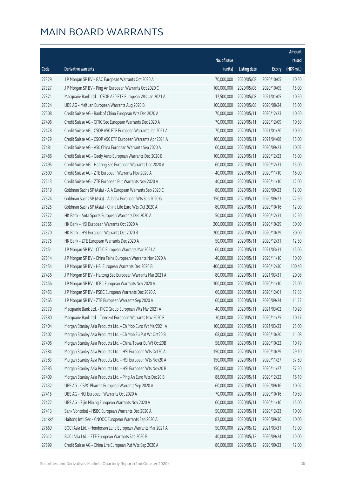|        |                                                              |              |                       |               | Amount      |
|--------|--------------------------------------------------------------|--------------|-----------------------|---------------|-------------|
|        |                                                              | No. of issue |                       |               | raised      |
| Code   | <b>Derivative warrants</b>                                   | (units)      | <b>Listing date</b>   | <b>Expiry</b> | (HK\$ mil.) |
| 27329  | J P Morgan SP BV - GAC European Warrants Oct 2020 A          | 70,000,000   | 2020/05/08            | 2020/10/05    | 10.50       |
| 27327  | J P Morgan SP BV - Ping An European Warrants Oct 2020 C      | 100,000,000  | 2020/05/08            | 2020/10/05    | 15.00       |
| 27321  | Macquarie Bank Ltd. - CSOP A50 ETF European Wts Jan 2021 A   | 17,500,000   | 2020/05/08            | 2021/01/05    | 10.50       |
| 27324  | UBS AG - Meituan European Warrants Aug 2020 B                | 100,000,000  | 2020/05/08            | 2020/08/24    | 15.00       |
| 27508  | Credit Suisse AG - Bank of China European Wts Dec 2020 A     | 70,000,000   | 2020/05/11            | 2020/12/23    | 10.50       |
| 27496  | Credit Suisse AG - CITIC Sec European Warrants Dec 2020 A    | 70,000,000   | 2020/05/11            | 2020/12/09    | 10.50       |
| 27478  | Credit Suisse AG - CSOP A50 ETF European Warrants Jan 2021 A | 70,000,000   | 2020/05/11            | 2021/01/26    | 10.50       |
| 27479  | Credit Suisse AG - CSOP A50 ETF European Warrants Apr 2021 A | 100,000,000  | 2020/05/11            | 2021/04/08    | 15.00       |
| 27481  | Credit Suisse AG - A50 China European Warrants Sep 2020 A    | 60,000,000   | 2020/05/11            | 2020/09/23    | 10.02       |
| 27486  | Credit Suisse AG - Geely Auto European Warrants Dec 2020 B   | 100,000,000  | 2020/05/11            | 2020/12/23    | 15.00       |
| 27495  | Credit Suisse AG - Haitong Sec European Warrants Dec 2020 A  | 60,000,000   | 2020/05/11            | 2020/12/31    | 15.00       |
| 27509  | Credit Suisse AG - ZTE European Warrants Nov 2020 A          | 40,000,000   | 2020/05/11            | 2020/11/10    | 16.00       |
| 27513  | Credit Suisse AG - ZTE European Put Warrants Nov 2020 A      | 40,000,000   | 2020/05/11            | 2020/11/10    | 12.00       |
| 27519  | Goldman Sachs SP (Asia) - AIA European Warrants Sep 2020 C   | 80,000,000   | 2020/05/11            | 2020/09/23    | 12.00       |
| 27524  | Goldman Sachs SP (Asia) - Alibaba European Wts Sep 2020 G    | 150,000,000  | 2020/05/11            | 2020/09/23    | 22.50       |
| 27525  | Goldman Sachs SP (Asia) - China Life Euro Wts Oct 2020 A     | 80,000,000   | 2020/05/11            | 2020/10/16    | 12.00       |
| 27372  | HK Bank - Anta Sports European Warrants Dec 2020 A           | 50,000,000   | 2020/05/11            | 2020/12/31    | 12.50       |
| 27365  | HK Bank - HSI European Warrants Oct 2020 A                   | 200,000,000  | 2020/05/11            | 2020/10/29    | 30.00       |
| 27370  | HK Bank - HSI European Warrants Oct 2020 B                   | 200,000,000  | 2020/05/11            | 2020/10/29    | 30.00       |
| 27375  | HK Bank - ZTE European Warrants Dec 2020 A                   | 50,000,000   | 2020/05/11            | 2020/12/31    | 12.50       |
| 27451  | J P Morgan SP BV - CITIC European Warrants Mar 2021 A        | 60,000,000   | 2020/05/11            | 2021/03/31    | 15.06       |
| 27514  | J P Morgan SP BV - China Feihe European Warrants Nov 2020 A  | 40,000,000   | 2020/05/11            | 2020/11/10    | 10.00       |
| 27454  | J P Morgan SP BV - HSI European Warrants Dec 2020 B          | 400,000,000  | 2020/05/11            | 2020/12/30    | 100.40      |
| 27436  | J P Morgan SP BV - Haitong Sec European Warrants Mar 2021 A  | 80,000,000   | 2020/05/11            | 2021/03/31    | 20.08       |
| 27456  | J P Morgan SP BV - ICBC European Warrants Nov 2020 A         | 100,000,000  | 2020/05/11            | 2020/11/10    | 25.00       |
| 27453  | J P Morgan SP BV - PSBC European Warrants Dec 2020 A         | 60,000,000   | 2020/05/11            | 2020/12/01    | 17.88       |
| 27465  | J P Morgan SP BV - ZTE European Warrants Sep 2020 A          |              | 60,000,000 2020/05/11 | 2020/09/24    | 11.22       |
| 27379  | Macquarie Bank Ltd. - PICC Group European Wts Mar 2021 A     | 40,000,000   | 2020/05/11            | 2021/03/02    | 10.20       |
| 27380  | Macquarie Bank Ltd. - Tencent European Warrants Nov 2020 F   | 30,000,000   | 2020/05/11            | 2020/11/25    | 10.17       |
| 27404  | Morgan Stanley Asia Products Ltd. - Ch Mob Euro Wt Mar2021 A | 100,000,000  | 2020/05/11            | 2021/03/23    | 25.00       |
| 27402  | Morgan Stanley Asia Products Ltd. - Ch Mob Eu Put Wt Oct20 B | 68,000,000   | 2020/05/11            | 2020/10/20    | 11.08       |
| 27406  | Morgan Stanley Asia Products Ltd. - China Tower Eu Wt Oct20B | 58,000,000   | 2020/05/11            | 2020/10/22    | 10.79       |
| 27384  | Morgan Stanley Asia Products Ltd. - HSI European Wts Oct20 A | 150,000,000  | 2020/05/11            | 2020/10/29    | 29.10       |
| 27383  | Morgan Stanley Asia Products Ltd. - HSI European Wts Nov20 A | 150,000,000  | 2020/05/11            | 2020/11/27    | 37.50       |
| 27385  | Morgan Stanley Asia Products Ltd. - HSI European Wts Nov20 B | 150,000,000  | 2020/05/11            | 2020/11/27    | 37.50       |
| 27409  | Morgan Stanley Asia Products Ltd. - Ping An Euro Wts Dec20 B | 88,000,000   | 2020/05/11            | 2020/12/22    | 16.10       |
| 27432  | UBS AG - CSPC Pharma European Warrants Sep 2020 A            | 60,000,000   | 2020/05/11            | 2020/09/16    | 10.02       |
| 27415  | UBS AG - NCI European Warrants Oct 2020 A                    | 70,000,000   | 2020/05/11            | 2020/10/16    | 10.50       |
| 27422  | UBS AG - Zijin Mining European Warrants Nov 2020 A           | 60,000,000   | 2020/05/11            | 2020/11/16    | 15.00       |
| 27413  | Bank Vontobel - HSBC European Warrants Dec 2020 A            | 50,000,000   | 2020/05/11            | 2020/12/23    | 10.00       |
| 24188# | Haitong Int'l Sec - CNOOC European Warrants Sep 2020 A       | 82,000,000   | 2020/05/11            | 2020/09/30    | 10.00       |
| 27669  | BOCI Asia Ltd. - Henderson Land European Warrants Mar 2021 A | 50,000,000   | 2020/05/12            | 2021/03/31    | 13.00       |
| 27612  | BOCI Asia Ltd. - ZTE European Warrants Sep 2020 B            | 40,000,000   | 2020/05/12            | 2020/09/24    | 10.00       |
| 27599  | Credit Suisse AG - China Life European Put Wts Sep 2020 A    | 80,000,000   | 2020/05/12            | 2020/09/23    | 12.00       |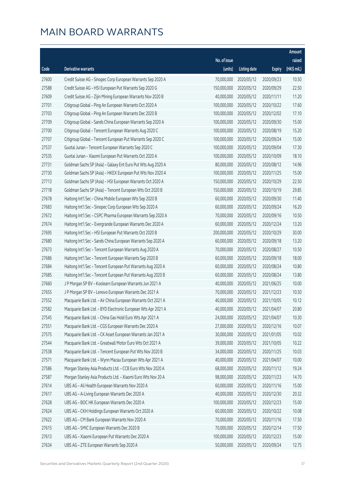|       |                                                              |              |                       |               | Amount      |
|-------|--------------------------------------------------------------|--------------|-----------------------|---------------|-------------|
|       |                                                              | No. of issue |                       |               | raised      |
| Code  | <b>Derivative warrants</b>                                   | (units)      | <b>Listing date</b>   | <b>Expiry</b> | (HK\$ mil.) |
| 27600 | Credit Suisse AG - Sinopec Corp European Warrants Sep 2020 A | 70,000,000   | 2020/05/12            | 2020/09/23    | 10.50       |
| 27588 | Credit Suisse AG - HSI European Put Warrants Sep 2020 G      | 150,000,000  | 2020/05/12            | 2020/09/29    | 22.50       |
| 27609 | Credit Suisse AG - Zijin Mining European Warrants Nov 2020 B | 40,000,000   | 2020/05/12            | 2020/11/11    | 11.20       |
| 27701 | Citigroup Global - Ping An European Warrants Oct 2020 A      | 100,000,000  | 2020/05/12            | 2020/10/22    | 17.60       |
| 27703 | Citigroup Global - Ping An European Warrants Dec 2020 B      | 100,000,000  | 2020/05/12            | 2020/12/02    | 17.10       |
| 27709 | Citigroup Global - Sands China European Warrants Sep 2020 A  | 100,000,000  | 2020/05/12            | 2020/09/30    | 15.00       |
| 27700 | Citigroup Global - Tencent European Warrants Aug 2020 C      | 100,000,000  | 2020/05/12            | 2020/08/19    | 15.20       |
| 27707 | Citigroup Global - Tencent European Put Warrants Sep 2020 C  | 100,000,000  | 2020/05/12            | 2020/09/24    | 15.00       |
| 27537 | Guotai Junan - Tencent European Warrants Sep 2020 C          | 100,000,000  | 2020/05/12            | 2020/09/04    | 17.30       |
| 27535 | Guotai Junan - Xiaomi European Put Warrants Oct 2020 A       | 100,000,000  | 2020/05/12            | 2020/10/09    | 18.10       |
| 27731 | Goldman Sachs SP (Asia) - Galaxy Ent Euro Put Wts Aug 2020 A | 80,000,000   | 2020/05/12            | 2020/08/12    | 14.96       |
| 27730 | Goldman Sachs SP (Asia) - HKEX European Put Wts Nov 2020 A   | 100,000,000  | 2020/05/12            | 2020/11/25    | 15.00       |
| 27713 | Goldman Sachs SP (Asia) - HSI European Warrants Oct 2020 A   | 150,000,000  | 2020/05/12            | 2020/10/29    | 22.50       |
| 27718 | Goldman Sachs SP (Asia) - Tencent European Wts Oct 2020 B    | 150,000,000  | 2020/05/12            | 2020/10/19    | 29.85       |
| 27678 | Haitong Int'l Sec - China Mobile European Wts Sep 2020 B     | 60,000,000   | 2020/05/12            | 2020/09/30    | 11.40       |
| 27683 | Haitong Int'l Sec - Sinopec Corp European Wts Sep 2020 A     | 60,000,000   | 2020/05/12            | 2020/09/24    | 16.20       |
| 27672 | Haitong Int'l Sec - CSPC Pharma European Warrants Sep 2020 A | 70,000,000   | 2020/05/12            | 2020/09/16    | 10.50       |
| 27674 | Haitong Int'l Sec - Evergrande European Warrants Dec 2020 A  | 60,000,000   | 2020/05/12            | 2020/12/24    | 13.20       |
| 27695 | Haitong Int'l Sec - HSI European Put Warrants Oct 2020 B     | 200,000,000  | 2020/05/12            | 2020/10/29    | 30.00       |
| 27680 | Haitong Int'l Sec - Sands China European Warrants Sep 2020 A | 60,000,000   | 2020/05/12            | 2020/09/18    | 13.20       |
| 27673 | Haitong Int'l Sec - Tencent European Warrants Aug 2020 A     | 70,000,000   | 2020/05/12            | 2020/08/27    | 10.50       |
| 27686 | Haitong Int'l Sec - Tencent European Warrants Sep 2020 B     | 60,000,000   | 2020/05/12            | 2020/09/18    | 18.00       |
| 27684 | Haitong Int'l Sec - Tencent European Put Warrants Aug 2020 A | 60,000,000   | 2020/05/12            | 2020/08/24    | 10.80       |
| 27685 | Haitong Int'l Sec - Tencent European Put Warrants Aug 2020 B | 60,000,000   | 2020/05/12            | 2020/08/24    | 13.80       |
| 27660 | J P Morgan SP BV - Koolearn European Warrants Jun 2021 A     | 40,000,000   | 2020/05/12            | 2021/06/25    | 10.00       |
| 27655 | J P Morgan SP BV - Lenovo European Warrants Dec 2021 A       | 70,000,000   | 2020/05/12            | 2021/12/23    | 10.50       |
| 27552 | Macquarie Bank Ltd. - Air China European Warrants Oct 2021 A |              | 40,000,000 2020/05/12 | 2021/10/05    | 10.12       |
| 27582 | Macquarie Bank Ltd. - BYD Electronic European Wts Apr 2021 A | 40,000,000   | 2020/05/12            | 2021/04/07    | 20.80       |
| 27545 | Macquarie Bank Ltd. - China Gas Hold Euro Wts Apr 2021 A     | 24,000,000   | 2020/05/12            | 2021/04/07    | 10.30       |
| 27551 | Macquarie Bank Ltd. - CGS European Warrants Dec 2020 A       | 27,000,000   | 2020/05/12            | 2020/12/16    | 10.07       |
| 27575 | Macquarie Bank Ltd. - CK Asset European Warrants Jan 2021 A  | 30,000,000   | 2020/05/12            | 2021/01/05    | 10.02       |
| 27544 | Macquarie Bank Ltd. - Greatwall Motor Euro Wts Oct 2021 A    | 39,000,000   | 2020/05/12            | 2021/10/05    | 10.22       |
| 27538 | Macquarie Bank Ltd. - Tencent European Put Wts Nov 2020 B    | 34,000,000   | 2020/05/12            | 2020/11/25    | 10.03       |
| 27571 | Macquarie Bank Ltd. - Wynn Macau European Wts Apr 2021 A     | 40,000,000   | 2020/05/12            | 2021/04/07    | 10.00       |
| 27586 | Morgan Stanley Asia Products Ltd. - CCB Euro Wts Nov 2020 A  | 68,000,000   | 2020/05/12            | 2020/11/12    | 19.24       |
| 27587 | Morgan Stanley Asia Products Ltd. - Xiaomi Euro Wts Nov 20 A | 98,000,000   | 2020/05/12            | 2020/11/23    | 14.70       |
| 27614 | UBS AG - Ali Health European Warrants Nov 2020 A             | 60,000,000   | 2020/05/12            | 2020/11/16    | 15.00       |
| 27617 | UBS AG - A-Living European Warrants Dec 2020 A               | 40,000,000   | 2020/05/12            | 2020/12/30    | 20.32       |
| 27628 | UBS AG - BOC HK European Warrants Dec 2020 A                 | 100,000,000  | 2020/05/12            | 2020/12/23    | 15.00       |
| 27624 | UBS AG - CKH Holdings European Warrants Oct 2020 A           | 60,000,000   | 2020/05/12            | 2020/10/22    | 10.08       |
| 27622 | UBS AG - CM Bank European Warrants Nov 2020 A                | 70,000,000   | 2020/05/12            | 2020/11/16    | 17.50       |
| 27615 | UBS AG - SMIC European Warrants Dec 2020 B                   | 70,000,000   | 2020/05/12            | 2020/12/14    | 17.50       |
| 27613 | UBS AG - Xiaomi European Put Warrants Dec 2020 A             | 100,000,000  | 2020/05/12            | 2020/12/23    | 15.00       |
| 27634 | UBS AG - ZTE European Warrants Sep 2020 A                    | 50,000,000   | 2020/05/12            | 2020/09/24    | 12.75       |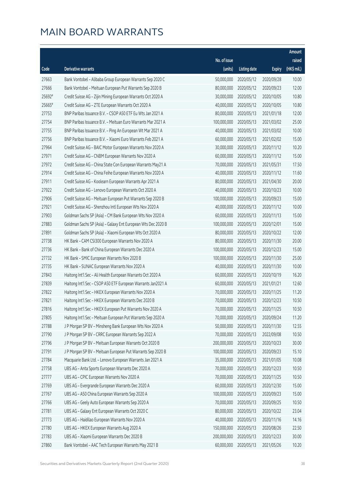|        |                                                              |              |                       |               | Amount      |
|--------|--------------------------------------------------------------|--------------|-----------------------|---------------|-------------|
|        |                                                              | No. of issue |                       |               | raised      |
| Code   | <b>Derivative warrants</b>                                   | (units)      | <b>Listing date</b>   | <b>Expiry</b> | (HK\$ mil.) |
| 27663  | Bank Vontobel - Alibaba Group European Warrants Sep 2020 C   | 50,000,000   | 2020/05/12            | 2020/09/28    | 10.00       |
| 27666  | Bank Vontobel - Meituan European Put Warrants Sep 2020 B     | 80,000,000   | 2020/05/12            | 2020/09/23    | 12.00       |
| 25692# | Credit Suisse AG - Zijin Mining European Warrants Oct 2020 A | 30,000,000   | 2020/05/12            | 2020/10/05    | 10.80       |
| 25665# | Credit Suisse AG - ZTE European Warrants Oct 2020 A          | 40,000,000   | 2020/05/12            | 2020/10/05    | 10.80       |
| 27753  | BNP Paribas Issuance B.V. - CSOP A50 ETF Eu Wts Jan 2021 A   | 80,000,000   | 2020/05/13            | 2021/01/18    | 12.00       |
| 27754  | BNP Paribas Issuance B.V. - Meituan Euro Warrants Mar 2021 A | 100,000,000  | 2020/05/13            | 2021/03/02    | 25.00       |
| 27755  | BNP Paribas Issuance B.V. - Ping An European Wt Mar 2021 A   | 40,000,000   | 2020/05/13            | 2021/03/02    | 10.00       |
| 27756  | BNP Paribas Issuance B.V. - Xiaomi Euro Warrants Feb 2021 A  | 60,000,000   | 2020/05/13            | 2021/02/02    | 15.00       |
| 27964  | Credit Suisse AG - BAIC Motor European Warrants Nov 2020 A   | 30,000,000   | 2020/05/13            | 2020/11/12    | 10.20       |
| 27971  | Credit Suisse AG - CNBM European Warrants Nov 2020 A         | 60,000,000   | 2020/05/13            | 2020/11/12    | 15.00       |
| 27972  | Credit Suisse AG - China State Con European Warrants May21 A | 70,000,000   | 2020/05/13            | 2021/05/31    | 17.50       |
| 27914  | Credit Suisse AG - China Feihe European Warrants Nov 2020 A  | 40,000,000   | 2020/05/13            | 2020/11/12    | 11.60       |
| 27911  | Credit Suisse AG - Koolearn European Warrants Apr 2021 A     | 80,000,000   | 2020/05/13            | 2021/04/30    | 20.00       |
| 27922  | Credit Suisse AG - Lenovo European Warrants Oct 2020 A       | 40,000,000   | 2020/05/13            | 2020/10/23    | 10.00       |
| 27906  | Credit Suisse AG - Meituan European Put Warrants Sep 2020 B  | 100,000,000  | 2020/05/13            | 2020/09/23    | 15.00       |
| 27921  | Credit Suisse AG - Shenzhou Intl European Wts Nov 2020 A     | 40,000,000   | 2020/05/13            | 2020/11/12    | 10.00       |
| 27903  | Goldman Sachs SP (Asia) - CM Bank European Wts Nov 2020 A    | 60,000,000   | 2020/05/13            | 2020/11/13    | 15.00       |
| 27883  | Goldman Sachs SP (Asia) - Galaxy Ent European Wts Dec 2020 B | 100,000,000  | 2020/05/13            | 2020/12/01    | 15.00       |
| 27891  | Goldman Sachs SP (Asia) - Xiaomi European Wts Oct 2020 A     | 80,000,000   | 2020/05/13            | 2020/10/22    | 12.00       |
| 27738  | HK Bank - CAM CSI300 European Warrants Nov 2020 A            | 80,000,000   | 2020/05/13            | 2020/11/30    | 20.00       |
| 27736  | HK Bank - Bank of China European Warrants Dec 2020 A         | 100,000,000  | 2020/05/13            | 2020/12/23    | 15.00       |
| 27732  | HK Bank - SMIC European Warrants Nov 2020 B                  | 100,000,000  | 2020/05/13            | 2020/11/30    | 25.00       |
| 27735  | HK Bank - SUNAC European Warrants Nov 2020 A                 | 40,000,000   | 2020/05/13            | 2020/11/30    | 10.00       |
| 27843  | Haitong Int'l Sec - Ali Health European Warrants Oct 2020 A  | 60,000,000   | 2020/05/13            | 2020/10/19    | 16.20       |
| 27839  | Haitong Int'l Sec - CSOP A50 ETF European Warrants Jan2021 A | 60,000,000   | 2020/05/13            | 2021/01/21    | 12.60       |
| 27822  | Haitong Int'l Sec - HKEX European Warrants Nov 2020 A        | 70,000,000   | 2020/05/13            | 2020/11/25    | 11.20       |
| 27821  | Haitong Int'l Sec - HKEX European Warrants Dec 2020 B        |              | 70,000,000 2020/05/13 | 2020/12/23    | 10.50       |
| 27816  | Haitong Int'l Sec - HKEX European Put Warrants Nov 2020 A    | 70,000,000   | 2020/05/13            | 2020/11/25    | 10.50       |
| 27805  | Haitong Int'l Sec - Meituan European Put Warrants Sep 2020 A | 70,000,000   | 2020/05/13            | 2020/09/24    | 11.20       |
| 27788  | J P Morgan SP BV - Minsheng Bank European Wts Nov 2020 A     | 50,000,000   | 2020/05/13            | 2020/11/30    | 12.55       |
| 27790  | J P Morgan SP BV - CRRC European Warrants Sep 2022 A         | 70,000,000   | 2020/05/13            | 2022/09/08    | 10.50       |
| 27796  | J P Morgan SP BV - Meituan European Warrants Oct 2020 B      | 200,000,000  | 2020/05/13            | 2020/10/23    | 30.00       |
| 27791  | J P Morgan SP BV - Meituan European Put Warrants Sep 2020 B  | 100,000,000  | 2020/05/13            | 2020/09/23    | 15.10       |
| 27784  | Macquarie Bank Ltd. - Lenovo European Warrants Jan 2021 A    | 35,000,000   | 2020/05/13            | 2021/01/05    | 10.08       |
| 27758  | UBS AG - Anta Sports European Warrants Dec 2020 A            | 70,000,000   | 2020/05/13            | 2020/12/23    | 10.50       |
| 27777  | UBS AG - CPIC European Warrants Nov 2020 A                   | 70,000,000   | 2020/05/13            | 2020/11/25    | 10.50       |
| 27769  | UBS AG - Evergrande European Warrants Dec 2020 A             | 60,000,000   | 2020/05/13            | 2020/12/30    | 15.00       |
| 27767  | UBS AG - A50 China European Warrants Sep 2020 A              | 100,000,000  | 2020/05/13            | 2020/09/23    | 15.00       |
| 27766  | UBS AG - Geely Auto European Warrants Sep 2020 A             | 70,000,000   | 2020/05/13            | 2020/09/25    | 10.50       |
| 27781  | UBS AG - Galaxy Ent European Warrants Oct 2020 C             | 80,000,000   | 2020/05/13            | 2020/10/22    | 23.04       |
| 27773  | UBS AG - Haidilao European Warrants Nov 2020 A               | 40,000,000   | 2020/05/13            | 2020/11/16    | 14.16       |
| 27780  | UBS AG - HKEX European Warrants Aug 2020 A                   | 150,000,000  | 2020/05/13            | 2020/08/26    | 22.50       |
| 27783  | UBS AG - Xiaomi European Warrants Dec 2020 B                 | 200,000,000  | 2020/05/13            | 2020/12/23    | 30.00       |
| 27860  | Bank Vontobel - AAC Tech European Warrants May 2021 B        | 60,000,000   | 2020/05/13            | 2021/05/26    | 10.20       |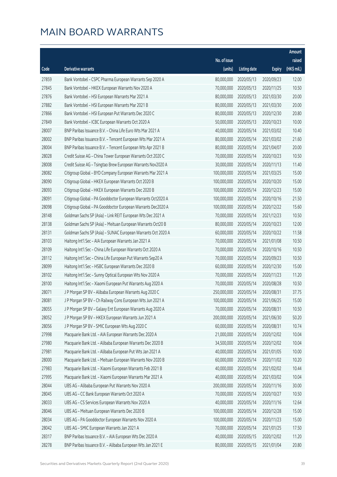|       |                                                              |                        |                     |               | Amount      |
|-------|--------------------------------------------------------------|------------------------|---------------------|---------------|-------------|
|       |                                                              | No. of issue           |                     |               | raised      |
| Code  | Derivative warrants                                          | (units)                | <b>Listing date</b> | <b>Expiry</b> | (HK\$ mil.) |
| 27859 | Bank Vontobel - CSPC Pharma European Warrants Sep 2020 A     | 80,000,000             | 2020/05/13          | 2020/09/23    | 12.00       |
| 27845 | Bank Vontobel - HKEX European Warrants Nov 2020 A            | 70,000,000             | 2020/05/13          | 2020/11/25    | 10.50       |
| 27876 | Bank Vontobel - HSI European Warrants Mar 2021 A             | 80,000,000             | 2020/05/13          | 2021/03/30    | 20.00       |
| 27882 | Bank Vontobel - HSI European Warrants Mar 2021 B             | 80,000,000             | 2020/05/13          | 2021/03/30    | 20.00       |
| 27866 | Bank Vontobel - HSI European Put Warrants Dec 2020 C         | 80,000,000             | 2020/05/13          | 2020/12/30    | 20.80       |
| 27849 | Bank Vontobel - ICBC European Warrants Oct 2020 A            | 50,000,000             | 2020/05/13          | 2020/10/23    | 10.00       |
| 28007 | BNP Paribas Issuance B.V. - China Life Euro Wts Mar 2021 A   | 40,000,000             | 2020/05/14          | 2021/03/02    | 10.40       |
| 28002 | BNP Paribas Issuance B.V. - Tencent European Wts Mar 2021 A  | 80,000,000             | 2020/05/14          | 2021/03/02    | 21.60       |
| 28004 | BNP Paribas Issuance B.V. - Tencent European Wts Apr 2021 B  | 80,000,000             | 2020/05/14          | 2021/04/07    | 20.00       |
| 28028 | Credit Suisse AG - China Tower European Warrants Oct 2020 C  | 70,000,000             | 2020/05/14          | 2020/10/23    | 10.50       |
| 28008 | Credit Suisse AG - Tsingtao Brew European Warrants Nov2020 A | 30,000,000             | 2020/05/14          | 2020/11/13    | 11.40       |
| 28082 | Citigroup Global - BYD Company European Warrants Mar 2021 A  | 100,000,000            | 2020/05/14          | 2021/03/25    | 15.00       |
| 28090 | Citigroup Global - HKEX European Warrants Oct 2020 B         | 100,000,000            | 2020/05/14          | 2020/10/20    | 15.00       |
| 28093 | Citigroup Global - HKEX European Warrants Dec 2020 B         | 100,000,000            | 2020/05/14          | 2020/12/23    | 15.00       |
| 28091 | Citigroup Global - PA Gooddoctor European Warrants Oct2020 A | 100,000,000            | 2020/05/14          | 2020/10/16    | 21.50       |
| 28098 | Citigroup Global - PA Gooddoctor European Warrants Dec2020 A | 100,000,000            | 2020/05/14          | 2020/12/22    | 15.60       |
| 28148 | Goldman Sachs SP (Asia) - Link REIT European Wts Dec 2021 A  | 70,000,000             | 2020/05/14          | 2021/12/23    | 10.50       |
| 28138 | Goldman Sachs SP (Asia) - Meituan European Warrants Oct20 B  | 80,000,000             | 2020/05/14          | 2020/10/23    | 12.00       |
| 28131 | Goldman Sachs SP (Asia) - SUNAC European Warrants Oct 2020 A | 60,000,000             | 2020/05/14          | 2020/10/22    | 11.58       |
| 28103 | Haitong Int'l Sec - AIA European Warrants Jan 2021 A         | 70,000,000             | 2020/05/14          | 2021/01/08    | 10.50       |
| 28109 | Haitong Int'l Sec - China Life European Warrants Oct 2020 A  | 70,000,000             | 2020/05/14          | 2020/10/16    | 10.50       |
| 28112 | Haitong Int'l Sec - China Life European Put Warrants Sep20 A | 70,000,000             | 2020/05/14          | 2020/09/23    | 10.50       |
| 28099 | Haitong Int'l Sec - HSBC European Warrants Dec 2020 B        | 60,000,000             | 2020/05/14          | 2020/12/30    | 15.00       |
| 28102 | Haitong Int'l Sec - Sunny Optical European Wts Nov 2020 A    | 70,000,000             | 2020/05/14          | 2020/11/23    | 11.20       |
| 28100 | Haitong Int'l Sec - Xiaomi European Put Warrants Aug 2020 A  | 70,000,000             | 2020/05/14          | 2020/08/28    | 10.50       |
| 28071 | J P Morgan SP BV - Alibaba European Warrants Aug 2020 C      | 250,000,000            | 2020/05/14          | 2020/08/31    | 37.75       |
| 28081 | J P Morgan SP BV - Ch Railway Cons European Wts Jun 2021 A   | 100,000,000 2020/05/14 |                     | 2021/06/25    | 15.00       |
| 28055 | J P Morgan SP BV - Galaxy Ent European Warrants Aug 2020 A   | 70,000,000             | 2020/05/14          | 2020/08/31    | 10.50       |
| 28052 | J P Morgan SP BV - HKEX European Warrants Jun 2021 A         | 200,000,000            | 2020/05/14          | 2021/06/30    | 50.20       |
| 28056 | J P Morgan SP BV - SMIC European Wts Aug 2020 C              | 60,000,000             | 2020/05/14          | 2020/08/31    | 10.74       |
| 27998 | Macquarie Bank Ltd. - AIA European Warrants Dec 2020 A       | 21,000,000             | 2020/05/14          | 2020/12/02    | 10.04       |
| 27980 | Macquarie Bank Ltd. - Alibaba European Warrants Dec 2020 B   | 34,500,000             | 2020/05/14          | 2020/12/02    | 10.04       |
| 27981 | Macquarie Bank Ltd. - Alibaba European Put Wts Jan 2021 A    | 40,000,000             | 2020/05/14          | 2021/01/05    | 10.00       |
| 28000 | Macquarie Bank Ltd. - Meituan European Warrants Nov 2020 B   | 60,000,000             | 2020/05/14          | 2020/11/02    | 10.20       |
| 27983 | Macquarie Bank Ltd. - Xiaomi European Warrants Feb 2021 B    | 40,000,000             | 2020/05/14          | 2021/02/02    | 10.44       |
| 27995 | Macquarie Bank Ltd. - Xiaomi European Warrants Mar 2021 A    | 40,000,000             | 2020/05/14          | 2021/03/02    | 10.04       |
| 28044 | UBS AG - Alibaba European Put Warrants Nov 2020 A            | 200,000,000            | 2020/05/14          | 2020/11/16    | 30.00       |
| 28045 | UBS AG - CC Bank European Warrants Oct 2020 A                | 70,000,000             | 2020/05/14          | 2020/10/27    | 10.50       |
| 28033 | UBS AG - CS Services European Warrants Nov 2020 A            | 40,000,000             | 2020/05/14          | 2020/11/16    | 12.64       |
| 28046 | UBS AG - Meituan European Warrants Dec 2020 B                | 100,000,000            | 2020/05/14          | 2020/12/28    | 15.00       |
| 28034 | UBS AG - PA Gooddoctor European Warrants Nov 2020 A          | 100,000,000            | 2020/05/14          | 2020/11/23    | 15.00       |
| 28042 | UBS AG - SMIC European Warrants Jan 2021 A                   | 70,000,000             | 2020/05/14          | 2021/01/25    | 17.50       |
| 28317 | BNP Paribas Issuance B.V. - AIA European Wts Dec 2020 A      | 40,000,000             | 2020/05/15          | 2020/12/02    | 11.20       |
| 28278 | BNP Paribas Issuance B.V. - Alibaba European Wts Jan 2021 E  | 80,000,000             | 2020/05/15          | 2021/01/04    | 20.80       |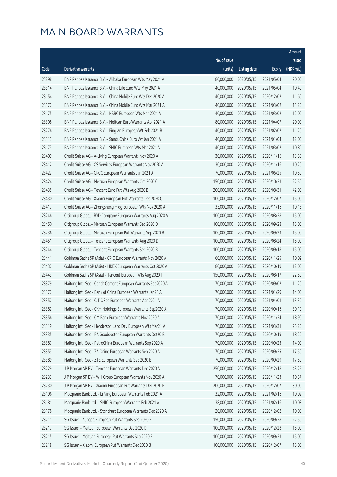|       |                                                              |              |                       |               | Amount      |
|-------|--------------------------------------------------------------|--------------|-----------------------|---------------|-------------|
|       |                                                              | No. of issue |                       |               | raised      |
| Code  | <b>Derivative warrants</b>                                   | (units)      | <b>Listing date</b>   | <b>Expiry</b> | (HK\$ mil.) |
| 28298 | BNP Paribas Issuance B.V. - Alibaba European Wts May 2021 A  | 80,000,000   | 2020/05/15            | 2021/05/04    | 20.00       |
| 28314 | BNP Paribas Issuance B.V. - China Life Euro Wts May 2021 A   | 40,000,000   | 2020/05/15            | 2021/05/04    | 10.40       |
| 28154 | BNP Paribas Issuance B.V. - China Mobile Euro Wts Dec 2020 A | 40,000,000   | 2020/05/15            | 2020/12/02    | 11.60       |
| 28172 | BNP Paribas Issuance B.V. - China Mobile Euro Wts Mar 2021 A | 40,000,000   | 2020/05/15            | 2021/03/02    | 11.20       |
| 28175 | BNP Paribas Issuance B.V. - HSBC European Wts Mar 2021 A     | 40,000,000   | 2020/05/15            | 2021/03/02    | 12.00       |
| 28308 | BNP Paribas Issuance B.V. - Meituan Euro Warrants Apr 2021 A | 80,000,000   | 2020/05/15            | 2021/04/07    | 20.00       |
| 28276 | BNP Paribas Issuance B.V. - Ping An European Wt Feb 2021 B   | 40,000,000   | 2020/05/15            | 2021/02/02    | 11.20       |
| 28313 | BNP Paribas Issuance B.V. - Sands China Euro Wt Jan 2021 A   | 40,000,000   | 2020/05/15            | 2021/01/04    | 12.00       |
| 28173 | BNP Paribas Issuance B.V. - SMIC European Wts Mar 2021 A     | 40,000,000   | 2020/05/15            | 2021/03/02    | 10.80       |
| 28409 | Credit Suisse AG - A-Living European Warrants Nov 2020 A     | 30,000,000   | 2020/05/15            | 2020/11/16    | 13.50       |
| 28412 | Credit Suisse AG - CS Services European Warrants Nov 2020 A  | 30,000,000   | 2020/05/15            | 2020/11/16    | 10.20       |
| 28422 | Credit Suisse AG - CRCC European Warrants Jun 2021 A         | 70,000,000   | 2020/05/15            | 2021/06/25    | 10.50       |
| 28424 | Credit Suisse AG - Meituan European Warrants Oct 2020 C      | 150,000,000  | 2020/05/15            | 2020/10/23    | 22.50       |
| 28435 | Credit Suisse AG - Tencent Euro Put Wts Aug 2020 B           | 200,000,000  | 2020/05/15            | 2020/08/31    | 42.00       |
| 28430 | Credit Suisse AG - Xiaomi European Put Warrants Dec 2020 C   | 100,000,000  | 2020/05/15            | 2020/12/07    | 15.00       |
| 28417 | Credit Suisse AG - Zhongsheng Hldg European Wts Nov 2020 A   | 35,000,000   | 2020/05/15            | 2020/11/16    | 10.15       |
| 28246 | Citigroup Global - BYD Company European Warrants Aug 2020 A  | 100,000,000  | 2020/05/15            | 2020/08/28    | 15.00       |
| 28450 | Citigroup Global - Meituan European Warrants Sep 2020 D      | 100,000,000  | 2020/05/15            | 2020/09/28    | 15.00       |
| 28236 | Citigroup Global - Meituan European Put Warrants Sep 2020 B  | 100,000,000  | 2020/05/15            | 2020/09/23    | 15.00       |
| 28451 | Citigroup Global - Tencent European Warrants Aug 2020 D      | 100,000,000  | 2020/05/15            | 2020/08/24    | 15.00       |
| 28244 | Citigroup Global - Tencent European Warrants Sep 2020 B      | 100,000,000  | 2020/05/15            | 2020/09/18    | 15.00       |
| 28441 | Goldman Sachs SP (Asia) - CPIC European Warrants Nov 2020 A  | 60,000,000   | 2020/05/15            | 2020/11/25    | 10.02       |
| 28437 | Goldman Sachs SP (Asia) - HKEX European Warrants Oct 2020 A  | 80,000,000   | 2020/05/15            | 2020/10/19    | 12.00       |
| 28443 | Goldman Sachs SP (Asia) - Tencent European Wts Aug 2020 I    | 150,000,000  | 2020/05/15            | 2020/08/17    | 22.50       |
| 28379 | Haitong Int'l Sec - Conch Cement European Warrants Sep2020 A | 70,000,000   | 2020/05/15            | 2020/09/02    | 11.20       |
| 28377 | Haitong Int'l Sec - Bank of China European Warrants Jan21 A  | 70,000,000   | 2020/05/15            | 2021/01/29    | 14.00       |
| 28352 | Haitong Int'l Sec - CITIC Sec European Warrants Apr 2021 A   |              | 70,000,000 2020/05/15 | 2021/04/01    | 13.30       |
| 28382 | Haitong Int'l Sec - CKH Holdings European Warrants Sep2020 A | 70,000,000   | 2020/05/15            | 2020/09/16    | 30.10       |
| 28356 | Haitong Int'l Sec - CM Bank European Warrants Nov 2020 A     | 70,000,000   | 2020/05/15            | 2020/11/24    | 18.90       |
| 28319 | Haitong Int'l Sec - Henderson Land Dev European Wts Mar21 A  | 70,000,000   | 2020/05/15            | 2021/03/31    | 25.20       |
| 28335 | Haitong Int'l Sec - PA Gooddoctor European Warrants Oct20 B  | 70,000,000   | 2020/05/15            | 2020/10/19    | 18.20       |
| 28387 | Haitong Int'l Sec - PetroChina European Warrants Sep 2020 A  | 70,000,000   | 2020/05/15            | 2020/09/23    | 14.00       |
| 28353 | Haitong Int'l Sec - ZA Onine European Warrants Sep 2020 A    | 70,000,000   | 2020/05/15            | 2020/09/25    | 17.50       |
| 28389 | Haitong Int'l Sec - ZTE European Warrants Sep 2020 B         | 70,000,000   | 2020/05/15            | 2020/09/29    | 17.50       |
| 28229 | J P Morgan SP BV - Tencent European Warrants Dec 2020 A      | 250,000,000  | 2020/05/15            | 2020/12/18    | 43.25       |
| 28233 | J P Morgan SP BV - WH Group European Warrants Nov 2020 A     | 70,000,000   | 2020/05/15            | 2020/11/23    | 10.57       |
| 28230 | J P Morgan SP BV - Xiaomi European Put Warrants Dec 2020 B   | 200,000,000  | 2020/05/15            | 2020/12/07    | 30.00       |
| 28196 | Macquarie Bank Ltd. - Li Ning European Warrants Feb 2021 A   | 32,000,000   | 2020/05/15            | 2021/02/16    | 10.02       |
| 28181 | Macquarie Bank Ltd. - SMIC European Warrants Feb 2021 A      | 38,000,000   | 2020/05/15            | 2021/02/16    | 10.03       |
| 28178 | Macquarie Bank Ltd. - Stanchart European Warrants Dec 2020 A | 20,000,000   | 2020/05/15            | 2020/12/02    | 10.00       |
| 28211 | SG Issuer - Alibaba European Put Warrants Sep 2020 E         | 150,000,000  | 2020/05/15            | 2020/09/28    | 22.50       |
| 28217 | SG Issuer - Meituan European Warrants Dec 2020 D             | 100,000,000  | 2020/05/15            | 2020/12/28    | 15.00       |
| 28215 | SG Issuer - Meituan European Put Warrants Sep 2020 B         | 100,000,000  | 2020/05/15            | 2020/09/23    | 15.00       |
| 28218 | SG Issuer - Xiaomi European Put Warrants Dec 2020 B          | 100,000,000  | 2020/05/15            | 2020/12/07    | 15.00       |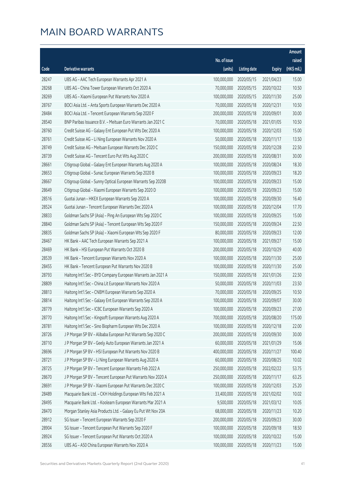|       |                                                              |                        |                     |               | Amount      |
|-------|--------------------------------------------------------------|------------------------|---------------------|---------------|-------------|
|       |                                                              | No. of issue           |                     |               | raised      |
| Code  | <b>Derivative warrants</b>                                   | (units)                | <b>Listing date</b> | <b>Expiry</b> | (HK\$ mil.) |
| 28247 | UBS AG - AAC Tech European Warrants Apr 2021 A               | 100,000,000            | 2020/05/15          | 2021/04/23    | 15.00       |
| 28268 | UBS AG - China Tower European Warrants Oct 2020 A            | 70,000,000             | 2020/05/15          | 2020/10/22    | 10.50       |
| 28269 | UBS AG - Xiaomi European Put Warrants Nov 2020 A             | 100,000,000            | 2020/05/15          | 2020/11/30    | 25.00       |
| 28767 | BOCI Asia Ltd. - Anta Sports European Warrants Dec 2020 A    | 70,000,000             | 2020/05/18          | 2020/12/31    | 10.50       |
| 28484 | BOCI Asia Ltd. - Tencent European Warrants Sep 2020 F        | 200,000,000            | 2020/05/18          | 2020/09/01    | 30.00       |
| 28540 | BNP Paribas Issuance B.V. - Meituan Euro Warrants Jan 2021 C | 70,000,000             | 2020/05/18          | 2021/01/05    | 10.50       |
| 28760 | Credit Suisse AG - Galaxy Ent European Put Wts Dec 2020 A    | 100,000,000            | 2020/05/18          | 2020/12/03    | 15.00       |
| 28761 | Credit Suisse AG - Li Ning European Warrants Nov 2020 A      | 50,000,000             | 2020/05/18          | 2020/11/17    | 13.50       |
| 28749 | Credit Suisse AG - Meituan European Warrants Dec 2020 C      | 150,000,000            | 2020/05/18          | 2020/12/28    | 22.50       |
| 28739 | Credit Suisse AG - Tencent Euro Put Wts Aug 2020 C           | 200,000,000            | 2020/05/18          | 2020/08/31    | 30.00       |
| 28661 | Citigroup Global - Galaxy Ent European Warrants Aug 2020 A   | 100,000,000            | 2020/05/18          | 2020/08/24    | 18.30       |
| 28653 | Citigroup Global - Sunac European Warrants Sep 2020 B        | 100,000,000            | 2020/05/18          | 2020/09/23    | 18.20       |
| 28667 | Citigroup Global - Sunny Optical European Warrants Sep 2020B | 100,000,000            | 2020/05/18          | 2020/09/23    | 15.00       |
| 28649 | Citigroup Global - Xiaomi European Warrants Sep 2020 D       | 100,000,000            | 2020/05/18          | 2020/09/23    | 15.00       |
| 28516 | Guotai Junan - HKEX European Warrants Sep 2020 A             | 100,000,000            | 2020/05/18          | 2020/09/30    | 16.40       |
| 28524 | Guotai Junan - Tencent European Warrants Dec 2020 A          | 100,000,000            | 2020/05/18          | 2020/12/04    | 17.70       |
| 28833 | Goldman Sachs SP (Asia) - Ping An European Wts Sep 2020 C    | 100,000,000            | 2020/05/18          | 2020/09/25    | 15.00       |
| 28840 | Goldman Sachs SP (Asia) - Tencent European Wts Sep 2020 F    | 150,000,000            | 2020/05/18          | 2020/09/24    | 22.50       |
| 28835 | Goldman Sachs SP (Asia) - Xiaomi European Wts Sep 2020 F     | 80,000,000             | 2020/05/18          | 2020/09/23    | 12.00       |
| 28467 | HK Bank - AAC Tech European Warrants Sep 2021 A              | 100,000,000            | 2020/05/18          | 2021/09/27    | 15.00       |
| 28469 | HK Bank - HSI European Put Warrants Oct 2020 B               | 200,000,000            | 2020/05/18          | 2020/10/29    | 40.00       |
| 28539 | HK Bank - Tencent European Warrants Nov 2020 A               | 100,000,000            | 2020/05/18          | 2020/11/30    | 25.00       |
| 28455 | HK Bank - Tencent European Put Warrants Nov 2020 B           | 100,000,000            | 2020/05/18          | 2020/11/30    | 25.00       |
| 28793 | Haitong Int'l Sec - BYD Company European Warrants Jan 2021 A | 150,000,000            | 2020/05/18          | 2021/01/26    | 22.50       |
| 28809 | Haitong Int'l Sec - China Lit European Warrants Nov 2020 A   | 50,000,000             | 2020/05/18          | 2020/11/03    | 23.50       |
| 28813 | Haitong Int'l Sec - CNBM European Warrants Sep 2020 A        | 70,000,000             | 2020/05/18          | 2020/09/25    | 10.50       |
| 28814 | Haitong Int'l Sec - Galaxy Ent European Warrants Sep 2020 A  | 100,000,000 2020/05/18 |                     | 2020/09/07    | 30.00       |
| 28779 | Haitong Int'l Sec - ICBC European Warrants Sep 2020 A        | 100,000,000            | 2020/05/18          | 2020/09/23    | 27.00       |
| 28770 | Haitong Int'l Sec - Kingsoft European Warrants Aug 2020 A    | 700,000,000            | 2020/05/18          | 2020/08/20    | 175.00      |
| 28781 | Haitong Int'l Sec - Sino Biopharm European Wts Dec 2020 A    | 100,000,000            | 2020/05/18          | 2020/12/18    | 22.00       |
| 28726 | J P Morgan SP BV - Alibaba European Put Warrants Sep 2020 C  | 200,000,000            | 2020/05/18          | 2020/09/30    | 30.00       |
| 28710 | J P Morgan SP BV - Geely Auto European Warrants Jan 2021 A   | 60,000,000             | 2020/05/18          | 2021/01/29    | 15.06       |
| 28696 | J P Morgan SP BV - HSI European Put Warrants Nov 2020 B      | 400,000,000            | 2020/05/18          | 2020/11/27    | 100.40      |
| 28721 | J P Morgan SP BV - Li Ning European Warrants Aug 2020 A      | 60,000,000             | 2020/05/18          | 2020/08/25    | 10.02       |
| 28725 | J P Morgan SP BV - Tencent European Warrants Feb 2022 A      | 250,000,000            | 2020/05/18          | 2022/02/22    | 53.75       |
| 28670 | J P Morgan SP BV - Tencent European Put Warrants Nov 2020 A  | 250,000,000            | 2020/05/18          | 2020/11/17    | 63.25       |
| 28691 | J P Morgan SP BV - Xiaomi European Put Warrants Dec 2020 C   | 100,000,000            | 2020/05/18          | 2020/12/03    | 25.20       |
| 28489 | Macquarie Bank Ltd. - CKH Holdings European Wts Feb 2021 A   | 33,400,000             | 2020/05/18          | 2021/02/02    | 10.02       |
| 28495 | Macquarie Bank Ltd. - Koolearn European Warrants Mar 2021 A  | 9,500,000              | 2020/05/18          | 2021/03/12    | 10.05       |
| 28470 | Morgan Stanley Asia Products Ltd. - Galaxy Eu Put Wt Nov 20A | 68,000,000             | 2020/05/18          | 2020/11/23    | 10.20       |
| 28912 | SG Issuer - Tencent European Warrants Sep 2020 F             | 200,000,000            | 2020/05/18          | 2020/09/23    | 30.00       |
| 28904 | SG Issuer - Tencent European Put Warrants Sep 2020 F         | 100,000,000            | 2020/05/18          | 2020/09/18    | 18.50       |
| 28924 | SG Issuer - Tencent European Put Warrants Oct 2020 A         | 100,000,000            | 2020/05/18          | 2020/10/22    | 15.00       |
| 28556 | UBS AG - A50 China European Warrants Nov 2020 A              | 100,000,000            | 2020/05/18          | 2020/11/23    | 15.00       |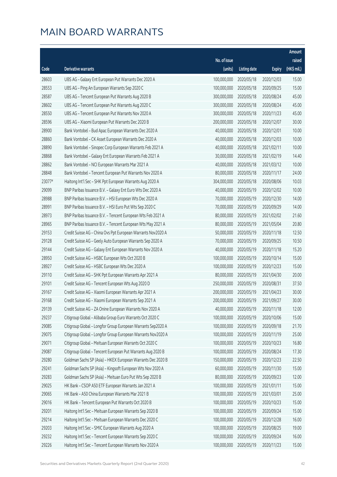|        |                                                              |                        |                     |               | Amount      |
|--------|--------------------------------------------------------------|------------------------|---------------------|---------------|-------------|
|        |                                                              | No. of issue           |                     |               | raised      |
| Code   | Derivative warrants                                          | (units)                | <b>Listing date</b> | <b>Expiry</b> | (HK\$ mil.) |
| 28603  | UBS AG - Galaxy Ent European Put Warrants Dec 2020 A         | 100,000,000            | 2020/05/18          | 2020/12/03    | 15.00       |
| 28553  | UBS AG - Ping An European Warrants Sep 2020 C                | 100,000,000            | 2020/05/18          | 2020/09/25    | 15.00       |
| 28587  | UBS AG - Tencent European Put Warrants Aug 2020 B            | 300,000,000            | 2020/05/18          | 2020/08/24    | 45.00       |
| 28602  | UBS AG - Tencent European Put Warrants Aug 2020 C            | 300,000,000            | 2020/05/18          | 2020/08/24    | 45.00       |
| 28550  | UBS AG - Tencent European Put Warrants Nov 2020 A            | 300,000,000            | 2020/05/18          | 2020/11/23    | 45.00       |
| 28596  | UBS AG - Xiaomi European Put Warrants Dec 2020 B             | 200,000,000            | 2020/05/18          | 2020/12/07    | 30.00       |
| 28900  | Bank Vontobel - Bud Apac European Warrants Dec 2020 A        | 40,000,000             | 2020/05/18          | 2020/12/01    | 10.00       |
| 28860  | Bank Vontobel - CK Asset European Warrants Dec 2020 A        | 40,000,000             | 2020/05/18          | 2020/12/03    | 10.00       |
| 28890  | Bank Vontobel - Sinopec Corp European Warrants Feb 2021 A    | 40,000,000             | 2020/05/18          | 2021/02/11    | 10.00       |
| 28868  | Bank Vontobel - Galaxy Ent European Warrants Feb 2021 A      | 30,000,000             | 2020/05/18          | 2021/02/19    | 14.40       |
| 28862  | Bank Vontobel - NCI European Warrants Mar 2021 A             | 40,000,000             | 2020/05/18          | 2021/03/12    | 10.00       |
| 28848  | Bank Vontobel - Tencent European Put Warrants Nov 2020 A     | 80,000,000             | 2020/05/18          | 2020/11/17    | 24.00       |
| 23077# | Haitong Int'l Sec - SHK Ppt European Warrants Aug 2020 A     | 304,000,000            | 2020/05/18          | 2020/08/06    | 10.03       |
| 29099  | BNP Paribas Issuance B.V. - Galaxy Ent Euro Wts Dec 2020 A   | 40,000,000             | 2020/05/19          | 2020/12/02    | 10.00       |
| 28988  | BNP Paribas Issuance B.V. - HSI European Wts Dec 2020 A      | 70,000,000             | 2020/05/19          | 2020/12/30    | 14.00       |
| 28991  | BNP Paribas Issuance B.V. - HSI Euro Put Wts Sep 2020 C      | 70,000,000             | 2020/05/19          | 2020/09/29    | 14.00       |
| 28973  | BNP Paribas Issuance B.V. - Tencent European Wts Feb 2021 A  | 80,000,000             | 2020/05/19          | 2021/02/02    | 21.60       |
| 28965  | BNP Paribas Issuance B.V. - Tencent European Wts May 2021 A  | 80,000,000             | 2020/05/19          | 2021/05/04    | 20.80       |
| 29153  | Credit Suisse AG - China Ovs Ppt European Warrants Nov2020 A | 50,000,000             | 2020/05/19          | 2020/11/18    | 12.50       |
| 29128  | Credit Suisse AG - Geely Auto European Warrants Sep 2020 A   | 70,000,000             | 2020/05/19          | 2020/09/25    | 10.50       |
| 29144  | Credit Suisse AG - Galaxy Ent European Warrants Nov 2020 A   | 40,000,000             | 2020/05/19          | 2020/11/18    | 15.20       |
| 28950  | Credit Suisse AG - HSBC European Wts Oct 2020 B              | 100,000,000            | 2020/05/19          | 2020/10/14    | 15.00       |
| 28927  | Credit Suisse AG - HSBC European Wts Dec 2020 A              | 100,000,000            | 2020/05/19          | 2020/12/23    | 15.00       |
| 29110  | Credit Suisse AG - SHK Ppt European Warrants Apr 2021 A      | 80,000,000             | 2020/05/19          | 2021/04/30    | 20.00       |
| 29101  | Credit Suisse AG - Tencent European Wts Aug 2020 D           | 250,000,000            | 2020/05/19          | 2020/08/31    | 37.50       |
| 29167  | Credit Suisse AG - Xiaomi European Warrants Apr 2021 A       | 200,000,000            | 2020/05/19          | 2021/04/23    | 30.00       |
| 29168  | Credit Suisse AG - Xiaomi European Warrants Sep 2021 A       | 200,000,000 2020/05/19 |                     | 2021/09/27    | 30.00       |
| 29139  | Credit Suisse AG - ZA Onine European Warrants Nov 2020 A     | 40,000,000             | 2020/05/19          | 2020/11/18    | 12.00       |
| 29237  | Citigroup Global - Alibaba Group Euro Warrants Oct 2020 C    | 100,000,000            | 2020/05/19          | 2020/10/06    | 15.00       |
| 29085  | Citigroup Global - Longfor Group European Warrants Sep2020 A | 100,000,000            | 2020/05/19          | 2020/09/18    | 21.70       |
| 29075  | Citigroup Global - Longfor Group European Warrants Nov2020 A | 100,000,000            | 2020/05/19          | 2020/11/19    | 25.00       |
| 29071  | Citigroup Global - Meituan European Warrants Oct 2020 C      | 100,000,000            | 2020/05/19          | 2020/10/23    | 16.80       |
| 29087  | Citigroup Global - Tencent European Put Warrants Aug 2020 B  | 100,000,000            | 2020/05/19          | 2020/08/24    | 17.30       |
| 29280  | Goldman Sachs SP (Asia) - HKEX European Warrants Dec 2020 B  | 150,000,000            | 2020/05/19          | 2020/12/23    | 22.50       |
| 29241  | Goldman Sachs SP (Asia) - Kingsoft European Wts Nov 2020 A   | 60,000,000             | 2020/05/19          | 2020/11/30    | 15.00       |
| 29283  | Goldman Sachs SP (Asia) - Meituan Euro Put Wts Sep 2020 B    | 80,000,000             | 2020/05/19          | 2020/09/23    | 12.00       |
| 29025  | HK Bank - CSOP A50 ETF European Warrants Jan 2021 A          | 100,000,000            | 2020/05/19          | 2021/01/11    | 15.00       |
| 29065  | HK Bank - A50 China European Warrants Mar 2021 B             | 100,000,000            | 2020/05/19          | 2021/03/01    | 25.00       |
| 29016  | HK Bank - Tencent European Put Warrants Oct 2020 B           | 100,000,000            | 2020/05/19          | 2020/10/23    | 15.00       |
| 29201  | Haitong Int'l Sec - Meituan European Warrants Sep 2020 B     | 100,000,000            | 2020/05/19          | 2020/09/24    | 15.00       |
| 29214  | Haitong Int'l Sec - Meituan European Warrants Dec 2020 C     | 100,000,000            | 2020/05/19          | 2020/12/28    | 16.00       |
| 29203  | Haitong Int'l Sec - SMIC European Warrants Aug 2020 A        | 100,000,000            | 2020/05/19          | 2020/08/25    | 19.00       |
| 29232  | Haitong Int'l Sec - Tencent European Warrants Sep 2020 C     | 100,000,000            | 2020/05/19          | 2020/09/24    | 16.00       |
| 29226  | Haitong Int'l Sec - Tencent European Warrants Nov 2020 A     | 100,000,000            | 2020/05/19          | 2020/11/23    | 15.00       |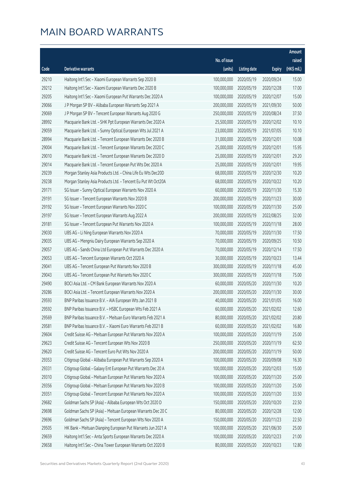|       |                                                              |              |                       |               | Amount      |
|-------|--------------------------------------------------------------|--------------|-----------------------|---------------|-------------|
|       |                                                              | No. of issue |                       |               | raised      |
| Code  | Derivative warrants                                          | (units)      | <b>Listing date</b>   | <b>Expiry</b> | (HK\$ mil.) |
| 29210 | Haitong Int'l Sec - Xiaomi European Warrants Sep 2020 B      | 100,000,000  | 2020/05/19            | 2020/09/24    | 15.00       |
| 29212 | Haitong Int'l Sec - Xiaomi European Warrants Dec 2020 B      | 100,000,000  | 2020/05/19            | 2020/12/28    | 17.00       |
| 29205 | Haitong Int'l Sec - Xiaomi European Put Warrants Dec 2020 A  | 100,000,000  | 2020/05/19            | 2020/12/07    | 15.00       |
| 29066 | J P Morgan SP BV - Alibaba European Warrants Sep 2021 A      | 200,000,000  | 2020/05/19            | 2021/09/30    | 50.00       |
| 29069 | J P Morgan SP BV - Tencent European Warrants Aug 2020 G      | 250,000,000  | 2020/05/19            | 2020/08/24    | 37.50       |
| 28992 | Macquarie Bank Ltd. - SHK Ppt European Warrants Dec 2020 A   | 25,500,000   | 2020/05/19            | 2020/12/02    | 10.10       |
| 29059 | Macquarie Bank Ltd. - Sunny Optical European Wts Jul 2021 A  | 23,000,000   | 2020/05/19            | 2021/07/05    | 10.10       |
| 28994 | Macquarie Bank Ltd. - Tencent European Warrants Dec 2020 B   | 31,000,000   | 2020/05/19            | 2020/12/01    | 10.08       |
| 29004 | Macquarie Bank Ltd. - Tencent European Warrants Dec 2020 C   | 25,000,000   | 2020/05/19            | 2020/12/01    | 15.95       |
| 29010 | Macquarie Bank Ltd. - Tencent European Warrants Dec 2020 D   | 25,000,000   | 2020/05/19            | 2020/12/01    | 29.20       |
| 29014 | Macquarie Bank Ltd. - Tencent European Put Wts Dec 2020 A    | 25,000,000   | 2020/05/19            | 2020/12/01    | 19.95       |
| 29239 | Morgan Stanley Asia Products Ltd. - China Life Eu Wts Dec20D | 68,000,000   | 2020/05/19            | 2020/12/30    | 10.20       |
| 29238 | Morgan Stanley Asia Products Ltd. - Tencent Eu Put Wt Oct20A | 68,000,000   | 2020/05/19            | 2020/10/22    | 10.20       |
| 29171 | SG Issuer - Sunny Optical European Warrants Nov 2020 A       | 60,000,000   | 2020/05/19            | 2020/11/30    | 15.30       |
| 29191 | SG Issuer - Tencent European Warrants Nov 2020 B             | 200,000,000  | 2020/05/19            | 2020/11/23    | 30.00       |
| 29192 | SG Issuer - Tencent European Warrants Nov 2020 C             | 100,000,000  | 2020/05/19            | 2020/11/30    | 25.00       |
| 29197 | SG Issuer - Tencent European Warrants Aug 2022 A             | 200,000,000  | 2020/05/19            | 2022/08/25    | 32.00       |
| 29181 | SG Issuer - Tencent European Put Warrants Nov 2020 A         | 100,000,000  | 2020/05/19            | 2020/11/18    | 28.00       |
| 29030 | UBS AG - Li Ning European Warrants Nov 2020 A                | 70,000,000   | 2020/05/19            | 2020/11/30    | 17.50       |
| 29035 | UBS AG - Mengniu Dairy European Warrants Sep 2020 A          | 70,000,000   | 2020/05/19            | 2020/09/25    | 10.50       |
| 29057 | UBS AG - Sands China Ltd European Put Warrants Dec 2020 A    | 70,000,000   | 2020/05/19            | 2020/12/14    | 17.50       |
| 29053 | UBS AG - Tencent European Warrants Oct 2020 A                | 30,000,000   | 2020/05/19            | 2020/10/23    | 13.44       |
| 29041 | UBS AG - Tencent European Put Warrants Nov 2020 B            | 300,000,000  | 2020/05/19            | 2020/11/18    | 45.00       |
| 29043 | UBS AG - Tencent European Put Warrants Nov 2020 C            | 300,000,000  | 2020/05/19            | 2020/11/18    | 75.00       |
| 29490 | BOCI Asia Ltd. - CM Bank European Warrants Nov 2020 A        | 60,000,000   | 2020/05/20            | 2020/11/30    | 10.20       |
| 29286 | BOCI Asia Ltd. - Tencent European Warrants Nov 2020 A        | 200,000,000  | 2020/05/20            | 2020/11/30    | 30.00       |
| 29593 | BNP Paribas Issuance B.V. - AIA European Wts Jan 2021 B      |              | 40,000,000 2020/05/20 | 2021/01/05    | 16.00       |
| 29592 | BNP Paribas Issuance B.V. - HSBC European Wts Feb 2021 A     | 60,000,000   | 2020/05/20            | 2021/02/02    | 12.60       |
| 29569 | BNP Paribas Issuance B.V. - Meituan Euro Warrants Feb 2021 A | 80,000,000   | 2020/05/20            | 2021/02/02    | 20.80       |
| 29581 | BNP Paribas Issuance B.V. - Xiaomi Euro Warrants Feb 2021 B  | 60,000,000   | 2020/05/20            | 2021/02/02    | 16.80       |
| 29604 | Credit Suisse AG - Meituan European Put Warrants Nov 2020 A  | 100,000,000  | 2020/05/20            | 2020/11/19    | 25.00       |
| 29623 | Credit Suisse AG - Tencent European Wts Nov 2020 B           | 250,000,000  | 2020/05/20            | 2020/11/19    | 62.50       |
| 29620 | Credit Suisse AG - Tencent Euro Put Wts Nov 2020 A           | 200,000,000  | 2020/05/20            | 2020/11/19    | 50.00       |
| 29353 | Citigroup Global - Alibaba European Put Warrants Sep 2020 A  | 100,000,000  | 2020/05/20            | 2020/09/08    | 16.30       |
| 29331 | Citigroup Global - Galaxy Ent European Put Warrants Dec 20 A | 100,000,000  | 2020/05/20            | 2020/12/03    | 15.00       |
| 29310 | Citigroup Global - Meituan European Put Warrants Nov 2020 A  | 100,000,000  | 2020/05/20            | 2020/11/20    | 25.00       |
| 29356 | Citigroup Global - Meituan European Put Warrants Nov 2020 B  | 100,000,000  | 2020/05/20            | 2020/11/20    | 25.00       |
| 29351 | Citigroup Global - Tencent European Put Warrants Nov 2020 A  | 100,000,000  | 2020/05/20            | 2020/11/20    | 33.50       |
| 29682 | Goldman Sachs SP (Asia) - Alibaba European Wts Oct 2020 D    | 150,000,000  | 2020/05/20            | 2020/10/20    | 22.50       |
| 29698 | Goldman Sachs SP (Asia) - Meituan European Warrants Dec 20 C | 80,000,000   | 2020/05/20            | 2020/12/28    | 12.00       |
| 29696 | Goldman Sachs SP (Asia) - Tencent European Wts Nov 2020 A    | 150,000,000  | 2020/05/20            | 2020/11/23    | 22.50       |
| 29505 | HK Bank - Meituan Dianping European Put Warrants Jun 2021 A  | 100,000,000  | 2020/05/20            | 2021/06/30    | 25.00       |
| 29659 | Haitong Int'l Sec - Anta Sports European Warrants Dec 2020 A | 100,000,000  | 2020/05/20            | 2020/12/23    | 21.00       |
| 29658 | Haitong Int'l Sec - China Tower European Warrants Oct 2020 B | 80,000,000   | 2020/05/20            | 2020/10/23    | 12.80       |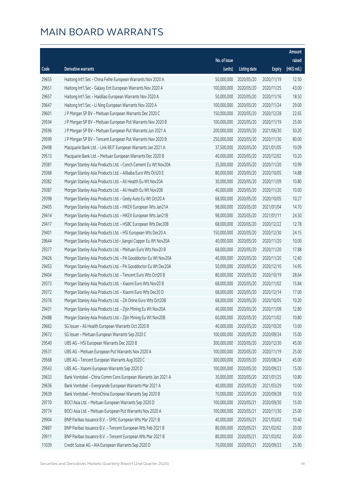|       |                                                                |              |                       |               | Amount      |
|-------|----------------------------------------------------------------|--------------|-----------------------|---------------|-------------|
|       |                                                                | No. of issue |                       |               | raised      |
| Code  | Derivative warrants                                            | (units)      | <b>Listing date</b>   | <b>Expiry</b> | (HK\$ mil.) |
| 29655 | Haitong Int'l Sec - China Feihe European Warrants Nov 2020 A   | 50,000,000   | 2020/05/20            | 2020/11/19    | 12.50       |
| 29651 | Haitong Int'l Sec - Galaxy Ent European Warrants Nov 2020 A    | 100,000,000  | 2020/05/20            | 2020/11/25    | 43.00       |
| 29657 | Haitong Int'l Sec - Haidilao European Warrants Nov 2020 A      | 50,000,000   | 2020/05/20            | 2020/11/16    | 18.50       |
| 29647 | Haitong Int'l Sec - Li Ning European Warrants Nov 2020 A       | 100,000,000  | 2020/05/20            | 2020/11/24    | 29.00       |
| 29601 | J P Morgan SP BV - Meituan European Warrants Dec 2020 C        | 150,000,000  | 2020/05/20            | 2020/12/28    | 22.65       |
| 29594 | J P Morgan SP BV - Meituan European Put Warrants Nov 2020 B    | 100,000,000  | 2020/05/20            | 2020/11/19    | 25.00       |
| 29596 | J P Morgan SP BV - Meituan European Put Warrants Jun 2021 A    | 200,000,000  | 2020/05/20            | 2021/06/30    | 50.20       |
| 29599 | J P Morgan SP BV - Tencent European Put Warrants Nov 2020 B    | 250,000,000  | 2020/05/20            | 2020/11/30    | 80.00       |
| 29498 | Macquarie Bank Ltd. - Link REIT European Warrants Jan 2021 A   | 37,500,000   | 2020/05/20            | 2021/01/05    | 10.09       |
| 29513 | Macquarie Bank Ltd. - Meituan European Warrants Dec 2020 B     | 40,000,000   | 2020/05/20            | 2020/12/02    | 10.20       |
| 29381 | Morgan Stanley Asia Products Ltd. - Conch Cement Eu Wt Nov20A  | 35,000,000   | 2020/05/20            | 2020/11/20    | 10.99       |
| 29368 | Morgan Stanley Asia Products Ltd. - Alibaba Euro Wts Oct20 E   | 80,000,000   | 2020/05/20            | 2020/10/05    | 14.88       |
| 29382 | Morgan Stanley Asia Products Ltd. - Ali Health Eu Wt Nov20A    | 30,000,000   | 2020/05/20            | 2020/11/09    | 10.80       |
| 29387 | Morgan Stanley Asia Products Ltd. - Ali Health Eu Wt Nov20B    | 40,000,000   | 2020/05/20            | 2020/11/20    | 10.00       |
| 29398 | Morgan Stanley Asia Products Ltd. - Geely Auto Eu Wt Oct20 A   | 68,000,000   | 2020/05/20            | 2020/10/05    | 10.27       |
| 29405 | Morgan Stanley Asia Products Ltd. - HKEX European Wts Jan21A   | 98,000,000   | 2020/05/20            | 2021/01/04    | 14.70       |
| 29414 | Morgan Stanley Asia Products Ltd. - HKEX European Wts Jan21B   | 98,000,000   | 2020/05/20            | 2021/01/11    | 24.50       |
| 29417 | Morgan Stanley Asia Products Ltd. - HSBC European Wts Dec20B   | 68,000,000   | 2020/05/20            | 2020/12/22    | 12.78       |
| 29401 | Morgan Stanley Asia Products Ltd. - HSI European Wts Dec20 A   | 150,000,000  | 2020/05/20            | 2020/12/30    | 24.15       |
| 29644 | Morgan Stanley Asia Products Ltd - Jiangxi Copper Eu Wt Nov20A | 40,000,000   | 2020/05/20            | 2020/11/20    | 10.00       |
| 29377 | Morgan Stanley Asia Products Ltd. - Meituan Euro Wts Nov20 B   | 68,000,000   | 2020/05/20            | 2020/11/20    | 17.88       |
| 29426 | Morgan Stanley Asia Products Ltd. - PA Gooddoctor Eu Wt Nov20A | 40,000,000   | 2020/05/20            | 2020/11/20    | 12.40       |
| 29453 | Morgan Stanley Asia Products Ltd. - PA Gooddoctor Eu Wt Dec20A | 50,000,000   | 2020/05/20            | 2020/12/10    | 14.95       |
| 29404 | Morgan Stanley Asia Products Ltd. - Tencent Euro Wts Oct20 B   | 80,000,000   | 2020/05/20            | 2020/10/19    | 28.64       |
| 29373 | Morgan Stanley Asia Products Ltd. - Xiaomi Euro Wts Nov20 B    | 68,000,000   | 2020/05/20            | 2020/11/02    | 15.84       |
| 29372 | Morgan Stanley Asia Products Ltd. - Xiaomi Euro Wts Dec20 D    | 68,000,000   | 2020/05/20            | 2020/12/14    | 17.00       |
| 29376 | Morgan Stanley Asia Products Ltd. - ZA Onine Euro Wts Oct20B   |              | 68,000,000 2020/05/20 | 2020/10/05    | 10.20       |
| 29431 | Morgan Stanley Asia Products Ltd. - Zijin Mining Eu Wt Nov20A  | 40,000,000   | 2020/05/20            | 2020/11/09    | 12.80       |
| 29488 | Morgan Stanley Asia Products Ltd. - Zijin Mining Eu Wt Nov20B  | 60,000,000   | 2020/05/20            | 2020/11/02    | 10.80       |
| 29663 | SG Issuer - Ali Health European Warrants Oct 2020 B            | 40,000,000   | 2020/05/20            | 2020/10/20    | 13.00       |
| 29672 | SG Issuer - Meituan European Warrants Sep 2020 C               | 100,000,000  | 2020/05/20            | 2020/09/24    | 15.00       |
| 29540 | UBS AG - HSI European Warrants Dec 2020 B                      | 300,000,000  | 2020/05/20            | 2020/12/30    | 45.00       |
| 29531 | UBS AG - Meituan European Put Warrants Nov 2020 A              | 100,000,000  | 2020/05/20            | 2020/11/19    | 25.00       |
| 29568 | UBS AG - Tencent European Warrants Aug 2020 C                  | 300,000,000  | 2020/05/20            | 2020/08/24    | 45.00       |
| 29543 | UBS AG - Xiaomi European Warrants Sep 2020 D                   | 100,000,000  | 2020/05/20            | 2020/09/23    | 15.00       |
| 29633 | Bank Vontobel - China Comm Cons European Warrants Jan 2021 A   | 30,000,000   | 2020/05/20            | 2021/01/25    | 10.80       |
| 29636 | Bank Vontobel - Evergrande European Warrants Mar 2021 A        | 40,000,000   | 2020/05/20            | 2021/03/29    | 10.00       |
| 29639 | Bank Vontobel - PetroChina European Warrants Sep 2020 B        | 70,000,000   | 2020/05/20            | 2020/09/28    | 10.50       |
| 29770 | BOCI Asia Ltd. - Meituan European Warrants Sep 2020 D          | 100,000,000  | 2020/05/21            | 2020/09/30    | 15.00       |
| 29774 | BOCI Asia Ltd. - Meituan European Put Warrants Nov 2020 A      | 100,000,000  | 2020/05/21            | 2020/11/30    | 25.00       |
| 29904 | BNP Paribas Issuance B.V. - SMIC European Wts Mar 2021 B       | 40,000,000   | 2020/05/21            | 2021/03/02    | 10.40       |
| 29887 | BNP Paribas Issuance B.V. - Tencent European Wts Feb 2021 B    | 80,000,000   | 2020/05/21            | 2021/02/02    | 20.00       |
| 29911 | BNP Paribas Issuance B.V. - Tencent European Wts Mar 2021 B    | 80,000,000   | 2020/05/21            | 2021/03/02    | 20.00       |
| 11039 | Credit Suisse AG - AIA European Warrants Sep 2020 D            | 70,000,000   | 2020/05/21            | 2020/09/23    | 25.90       |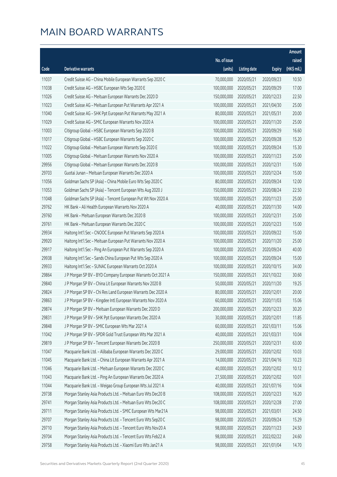|       |                                                              |              |                       |               | Amount      |
|-------|--------------------------------------------------------------|--------------|-----------------------|---------------|-------------|
|       |                                                              | No. of issue |                       |               | raised      |
| Code  | <b>Derivative warrants</b>                                   | (units)      | <b>Listing date</b>   | <b>Expiry</b> | (HK\$ mil.) |
| 11037 | Credit Suisse AG - China Mobile European Warrants Sep 2020 C | 70,000,000   | 2020/05/21            | 2020/09/23    | 10.50       |
| 11038 | Credit Suisse AG - HSBC European Wts Sep 2020 E              | 100,000,000  | 2020/05/21            | 2020/09/29    | 17.00       |
| 11026 | Credit Suisse AG - Meituan European Warrants Dec 2020 D      | 150,000,000  | 2020/05/21            | 2020/12/23    | 22.50       |
| 11023 | Credit Suisse AG - Meituan European Put Warrants Apr 2021 A  | 100,000,000  | 2020/05/21            | 2021/04/30    | 25.00       |
| 11040 | Credit Suisse AG - SHK Ppt European Put Warrants May 2021 A  | 80,000,000   | 2020/05/21            | 2021/05/31    | 20.00       |
| 11029 | Credit Suisse AG - SMIC European Warrants Nov 2020 A         | 100,000,000  | 2020/05/21            | 2020/11/20    | 25.00       |
| 11003 | Citigroup Global - HSBC European Warrants Sep 2020 B         | 100,000,000  | 2020/05/21            | 2020/09/29    | 16.60       |
| 11017 | Citigroup Global - HSBC European Warrants Sep 2020 C         | 100,000,000  | 2020/05/21            | 2020/09/28    | 15.20       |
| 11022 | Citigroup Global - Meituan European Warrants Sep 2020 E      | 100,000,000  | 2020/05/21            | 2020/09/24    | 15.30       |
| 11005 | Citigroup Global - Meituan European Warrants Nov 2020 A      | 100,000,000  | 2020/05/21            | 2020/11/23    | 25.00       |
| 29956 | Citigroup Global - Meituan European Warrants Dec 2020 B      | 100,000,000  | 2020/05/21            | 2020/12/31    | 15.00       |
| 29703 | Guotai Junan - Meituan European Warrants Dec 2020 A          | 100,000,000  | 2020/05/21            | 2020/12/24    | 15.00       |
| 11056 | Goldman Sachs SP (Asia) - China Mobile Euro Wts Sep 2020 C   | 80,000,000   | 2020/05/21            | 2020/09/24    | 12.00       |
| 11053 | Goldman Sachs SP (Asia) - Tencent European Wts Aug 2020 J    | 150,000,000  | 2020/05/21            | 2020/08/24    | 22.50       |
| 11048 | Goldman Sachs SP (Asia) - Tencent European Put Wt Nov 2020 A | 100,000,000  | 2020/05/21            | 2020/11/23    | 25.00       |
| 29762 | HK Bank - Ali Health European Warrants Nov 2020 A            | 40,000,000   | 2020/05/21            | 2020/11/30    | 14.00       |
| 29760 | HK Bank - Meituan European Warrants Dec 2020 B               | 100,000,000  | 2020/05/21            | 2020/12/31    | 25.00       |
| 29761 | HK Bank - Meituan European Warrants Dec 2020 C               | 100,000,000  | 2020/05/21            | 2020/12/23    | 15.00       |
| 29934 | Haitong Int'l Sec - CNOOC European Put Warrants Sep 2020 A   | 100,000,000  | 2020/05/21            | 2020/09/22    | 15.00       |
| 29920 | Haitong Int'l Sec - Meituan European Put Warrants Nov 2020 A | 100,000,000  | 2020/05/21            | 2020/11/20    | 25.00       |
| 29917 | Haitong Int'l Sec - Ping An European Put Warrants Sep 2020 A | 100,000,000  | 2020/05/21            | 2020/09/24    | 40.00       |
| 29938 | Haitong Int'l Sec - Sands China European Put Wts Sep 2020 A  | 100,000,000  | 2020/05/21            | 2020/09/24    | 15.00       |
| 29933 | Haitong Int'l Sec - SUNAC European Warrants Oct 2020 A       | 100,000,000  | 2020/05/21            | 2020/10/15    | 34.00       |
| 29864 | J P Morgan SP BV - BYD Company European Warrants Oct 2021 A  | 150,000,000  | 2020/05/21            | 2021/10/22    | 30.60       |
| 29840 | J P Morgan SP BV - China Lit European Warrants Nov 2020 B    | 50,000,000   | 2020/05/21            | 2020/11/20    | 19.25       |
| 29824 | J P Morgan SP BV - Chi Res Land European Warrants Dec 2020 A | 80,000,000   | 2020/05/21            | 2020/12/01    | 20.00       |
| 29863 | J P Morgan SP BV - Kingdee Intl European Warrants Nov 2020 A |              | 60,000,000 2020/05/21 | 2020/11/03    | 15.06       |
| 29874 | J P Morgan SP BV - Meituan European Warrants Dec 2020 D      | 200,000,000  | 2020/05/21            | 2020/12/23    | 30.20       |
| 29831 | J P Morgan SP BV - SHK Ppt European Warrants Dec 2020 A      | 30,000,000   | 2020/05/21            | 2020/12/01    | 11.85       |
| 29848 | J P Morgan SP BV - SMIC European Wts Mar 2021 A              | 60,000,000   | 2020/05/21            | 2021/03/11    | 15.06       |
| 11042 | J P Morgan SP BV - SPDR Gold Trust European Wts Mar 2021 A   | 40,000,000   | 2020/05/21            | 2021/03/31    | 10.04       |
| 29819 | J P Morgan SP BV - Tencent European Warrants Dec 2020 B      | 250,000,000  | 2020/05/21            | 2020/12/31    | 63.00       |
| 11047 | Macquarie Bank Ltd. - Alibaba European Warrants Dec 2020 C   | 29,000,000   | 2020/05/21            | 2020/12/02    | 10.03       |
| 11045 | Macquarie Bank Ltd. - China Lit European Warrants Apr 2021 A | 14,000,000   | 2020/05/21            | 2021/04/16    | 10.23       |
| 11046 | Macquarie Bank Ltd. - Meituan European Warrants Dec 2020 C   | 40,000,000   | 2020/05/21            | 2020/12/02    | 10.12       |
| 11043 | Macquarie Bank Ltd. - Ping An European Warrants Dec 2020 A   | 27,500,000   | 2020/05/21            | 2020/12/02    | 10.01       |
| 11044 | Macquarie Bank Ltd. - Weigao Group European Wts Jul 2021 A   | 40,000,000   | 2020/05/21            | 2021/07/16    | 10.04       |
| 29738 | Morgan Stanley Asia Products Ltd. - Meituan Euro Wts Dec20 B | 108,000,000  | 2020/05/21            | 2020/12/23    | 16.20       |
| 29741 | Morgan Stanley Asia Products Ltd. - Meituan Euro Wts Dec20 C | 108,000,000  | 2020/05/21            | 2020/12/28    | 27.00       |
| 29711 | Morgan Stanley Asia Products Ltd. - SMIC European Wts Mar21A | 98,000,000   | 2020/05/21            | 2021/03/01    | 24.50       |
| 29707 | Morgan Stanley Asia Products Ltd. - Tencent Euro Wts Sep20 C | 98,000,000   | 2020/05/21            | 2020/09/24    | 15.29       |
| 29710 | Morgan Stanley Asia Products Ltd. - Tencent Euro Wts Nov20 A | 98,000,000   | 2020/05/21            | 2020/11/23    | 24.50       |
| 29704 | Morgan Stanley Asia Products Ltd. - Tencent Euro Wts Feb22 A | 98,000,000   | 2020/05/21            | 2022/02/22    | 24.60       |
| 29758 | Morgan Stanley Asia Products Ltd. - Xiaomi Euro Wts Jan21 A  | 98,000,000   | 2020/05/21            | 2021/01/04    | 14.70       |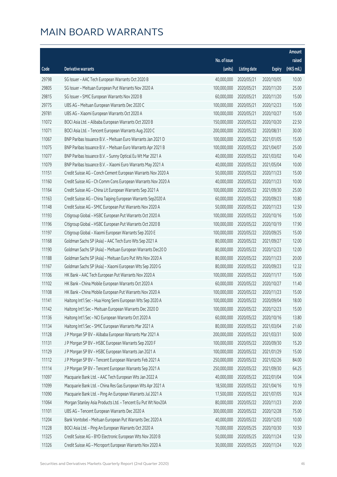|       |                                                              |                        |                     |               | Amount      |
|-------|--------------------------------------------------------------|------------------------|---------------------|---------------|-------------|
|       |                                                              | No. of issue           |                     |               | raised      |
| Code  | Derivative warrants                                          | (units)                | <b>Listing date</b> | <b>Expiry</b> | (HK\$ mil.) |
| 29798 | SG Issuer - AAC Tech European Warrants Oct 2020 B            | 40,000,000             | 2020/05/21          | 2020/10/05    | 10.00       |
| 29805 | SG Issuer - Meituan European Put Warrants Nov 2020 A         | 100,000,000            | 2020/05/21          | 2020/11/20    | 25.00       |
| 29815 | SG Issuer - SMIC European Warrants Nov 2020 B                | 60,000,000             | 2020/05/21          | 2020/11/20    | 15.00       |
| 29775 | UBS AG - Meituan European Warrants Dec 2020 C                | 100,000,000            | 2020/05/21          | 2020/12/23    | 15.00       |
| 29781 | UBS AG - Xiaomi European Warrants Oct 2020 A                 | 100,000,000            | 2020/05/21          | 2020/10/27    | 15.00       |
| 11072 | BOCI Asia Ltd. - Alibaba European Warrants Oct 2020 B        | 150,000,000            | 2020/05/22          | 2020/10/20    | 22.50       |
| 11071 | BOCI Asia Ltd. - Tencent European Warrants Aug 2020 C        | 200,000,000            | 2020/05/22          | 2020/08/31    | 30.00       |
| 11067 | BNP Paribas Issuance B.V. - Meituan Euro Warrants Jan 2021 D | 100,000,000            | 2020/05/22          | 2021/01/05    | 15.00       |
| 11075 | BNP Paribas Issuance B.V. - Meituan Euro Warrants Apr 2021 B | 100,000,000            | 2020/05/22          | 2021/04/07    | 25.00       |
| 11077 | BNP Paribas Issuance B.V. - Sunny Optical Eu Wt Mar 2021 A   | 40,000,000             | 2020/05/22          | 2021/03/02    | 10.40       |
| 11079 | BNP Paribas Issuance B.V. - Xiaomi Euro Warrants May 2021 A  | 40,000,000             | 2020/05/22          | 2021/05/04    | 10.00       |
| 11151 | Credit Suisse AG - Conch Cement European Warrants Nov 2020 A | 50,000,000             | 2020/05/22          | 2020/11/23    | 15.00       |
| 11160 | Credit Suisse AG - Ch Comm Cons European Warrants Nov 2020 A | 40,000,000             | 2020/05/22          | 2020/11/23    | 10.00       |
| 11164 | Credit Suisse AG - China Lit European Warrants Sep 2021 A    | 100,000,000            | 2020/05/22          | 2021/09/30    | 25.00       |
| 11163 | Credit Suisse AG - China Taiping European Warrants Sep2020 A | 60,000,000             | 2020/05/22          | 2020/09/23    | 10.80       |
| 11148 | Credit Suisse AG - SMIC European Put Warrants Nov 2020 A     | 50,000,000             | 2020/05/22          | 2020/11/23    | 12.50       |
| 11193 | Citigroup Global - HSBC European Put Warrants Oct 2020 A     | 100,000,000            | 2020/05/22          | 2020/10/16    | 15.00       |
| 11196 | Citigroup Global - HSBC European Put Warrants Oct 2020 B     | 100,000,000            | 2020/05/22          | 2020/10/19    | 17.90       |
| 11197 | Citigroup Global - Xiaomi European Warrants Sep 2020 E       | 100,000,000            | 2020/05/22          | 2020/09/25    | 15.00       |
| 11168 | Goldman Sachs SP (Asia) - AAC Tech Euro Wts Sep 2021 A       | 80,000,000             | 2020/05/22          | 2021/09/27    | 12.00       |
| 11190 | Goldman Sachs SP (Asia) - Meituan European Warrants Dec20 D  | 80,000,000             | 2020/05/22          | 2020/12/23    | 12.00       |
| 11188 | Goldman Sachs SP (Asia) - Meituan Euro Put Wts Nov 2020 A    | 80,000,000             | 2020/05/22          | 2020/11/23    | 20.00       |
| 11167 | Goldman Sachs SP (Asia) - Xiaomi European Wts Sep 2020 G     | 80,000,000             | 2020/05/22          | 2020/09/23    | 12.32       |
| 11106 | HK Bank - AAC Tech European Put Warrants Nov 2020 A          | 100,000,000            | 2020/05/22          | 2020/11/17    | 15.00       |
| 11102 | HK Bank - China Mobile European Warrants Oct 2020 A          | 60,000,000             | 2020/05/22          | 2020/10/27    | 11.40       |
| 11108 | HK Bank - China Mobile European Put Warrants Nov 2020 A      | 100,000,000            | 2020/05/22          | 2020/11/23    | 15.00       |
| 11141 | Haitong Int'l Sec - Hua Hong Semi European Wts Sep 2020 A    | 100,000,000 2020/05/22 |                     | 2020/09/04    | 18.00       |
| 11142 | Haitong Int'l Sec - Meituan European Warrants Dec 2020 D     | 100,000,000            | 2020/05/22          | 2020/12/23    | 15.00       |
| 11136 | Haitong Int'l Sec - NCI European Warrants Oct 2020 A         | 60,000,000             | 2020/05/22          | 2020/10/16    | 13.80       |
| 11134 | Haitong Int'l Sec - SMIC European Warrants Mar 2021 A        | 80,000,000             | 2020/05/22          | 2021/03/04    | 21.60       |
| 11128 | J P Morgan SP BV - Alibaba European Warrants Mar 2021 A      | 200,000,000            | 2020/05/22          | 2021/03/31    | 50.00       |
| 11131 | J P Morgan SP BV - HSBC European Warrants Sep 2020 F         | 100,000,000            | 2020/05/22          | 2020/09/30    | 15.20       |
| 11129 | J P Morgan SP BV - HSBC European Warrants Jan 2021 A         | 100,000,000            | 2020/05/22          | 2021/01/29    | 15.00       |
| 11112 | J P Morgan SP BV - Tencent European Warrants Feb 2021 A      | 250,000,000            | 2020/05/22          | 2021/02/26    | 84.00       |
| 11114 | J P Morgan SP BV - Tencent European Warrants Sep 2021 A      | 250,000,000            | 2020/05/22          | 2021/09/30    | 64.25       |
| 11097 | Macquarie Bank Ltd. - AAC Tech European Wts Jan 2022 A       | 40,000,000             | 2020/05/22          | 2022/01/04    | 10.04       |
| 11099 | Macquarie Bank Ltd. - China Res Gas European Wts Apr 2021 A  | 18,500,000             | 2020/05/22          | 2021/04/16    | 10.19       |
| 11090 | Macquarie Bank Ltd. - Ping An European Warrants Jul 2021 A   | 17,500,000             | 2020/05/22          | 2021/07/05    | 10.24       |
| 11064 | Morgan Stanley Asia Products Ltd. - Tencent Eu Put Wt Nov20A | 80,000,000             | 2020/05/22          | 2020/11/23    | 20.00       |
| 11101 | UBS AG - Tencent European Warrants Dec 2020 A                | 300,000,000            | 2020/05/22          | 2020/12/28    | 75.00       |
| 11204 | Bank Vontobel - Meituan European Put Warrants Dec 2020 A     | 40,000,000             | 2020/05/22          | 2020/12/03    | 10.00       |
| 11228 | BOCI Asia Ltd. - Ping An European Warrants Oct 2020 A        | 70,000,000             | 2020/05/25          | 2020/10/30    | 10.50       |
| 11325 | Credit Suisse AG - BYD Electronic European Wts Nov 2020 B    | 50,000,000             | 2020/05/25          | 2020/11/24    | 12.50       |
| 11326 | Credit Suisse AG - Microport European Warrants Nov 2020 A    | 30,000,000             | 2020/05/25          | 2020/11/24    | 10.20       |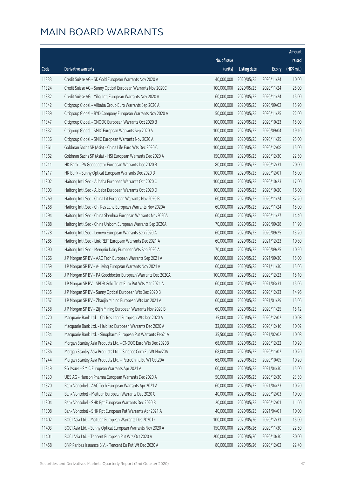|       |                                                               |              |                       |               | Amount      |
|-------|---------------------------------------------------------------|--------------|-----------------------|---------------|-------------|
|       |                                                               | No. of issue |                       |               | raised      |
| Code  | Derivative warrants                                           | (units)      | <b>Listing date</b>   | <b>Expiry</b> | (HK\$ mil.) |
| 11333 | Credit Suisse AG - SD Gold European Warrants Nov 2020 A       | 40,000,000   | 2020/05/25            | 2020/11/24    | 10.00       |
| 11324 | Credit Suisse AG - Sunny Optical European Warrants Nov 2020C  | 100,000,000  | 2020/05/25            | 2020/11/24    | 25.00       |
| 11332 | Credit Suisse AG - Yihai Intl European Warrants Nov 2020 A    | 60,000,000   | 2020/05/25            | 2020/11/24    | 15.00       |
| 11342 | Citigroup Global - Alibaba Group Euro Warrants Sep 2020 A     | 100,000,000  | 2020/05/25            | 2020/09/02    | 15.90       |
| 11339 | Citigroup Global - BYD Company European Warrants Nov 2020 A   | 50,000,000   | 2020/05/25            | 2020/11/25    | 22.00       |
| 11347 | Citigroup Global - CNOOC European Warrants Oct 2020 B         | 100,000,000  | 2020/05/25            | 2020/10/23    | 15.00       |
| 11337 | Citigroup Global - SMIC European Warrants Sep 2020 A          | 100,000,000  | 2020/05/25            | 2020/09/04    | 19.10       |
| 11336 | Citigroup Global - SMIC European Warrants Nov 2020 A          | 100,000,000  | 2020/05/25            | 2020/11/25    | 25.00       |
| 11361 | Goldman Sachs SP (Asia) - China Life Euro Wts Dec 2020 C      | 100,000,000  | 2020/05/25            | 2020/12/08    | 15.00       |
| 11362 | Goldman Sachs SP (Asia) - HSI European Warrants Dec 2020 A    | 150,000,000  | 2020/05/25            | 2020/12/30    | 22.50       |
| 11211 | HK Bank - PA Gooddoctor European Warrants Dec 2020 B          | 80,000,000   | 2020/05/25            | 2020/12/31    | 20.00       |
| 11217 | HK Bank - Sunny Optical European Warrants Dec 2020 D          | 100,000,000  | 2020/05/25            | 2020/12/01    | 15.00       |
| 11302 | Haitong Int'l Sec - Alibaba European Warrants Oct 2020 C      | 100,000,000  | 2020/05/25            | 2020/10/23    | 17.00       |
| 11303 | Haitong Int'l Sec - Alibaba European Warrants Oct 2020 D      | 100,000,000  | 2020/05/25            | 2020/10/20    | 16.00       |
| 11269 | Haitong Int'l Sec - China Lit European Warrants Nov 2020 B    | 60,000,000   | 2020/05/25            | 2020/11/24    | 37.20       |
| 11268 | Haitong Int'l Sec - Chi Res Land European Warrants Nov 2020A  | 60,000,000   | 2020/05/25            | 2020/11/24    | 15.00       |
| 11294 | Haitong Int'l Sec - China Shenhua European Warrants Nov2020A  | 60,000,000   | 2020/05/25            | 2020/11/27    | 14.40       |
| 11288 | Haitong Int'l Sec - China Unicom European Warrants Sep 2020A  | 70,000,000   | 2020/05/25            | 2020/09/28    | 11.90       |
| 11278 | Haitong Int'l Sec - Lenovo European Warrants Sep 2020 A       | 60,000,000   | 2020/05/25            | 2020/09/25    | 13.20       |
| 11285 | Haitong Int'l Sec - Link REIT European Warrants Dec 2021 A    | 60,000,000   | 2020/05/25            | 2021/12/23    | 10.80       |
| 11290 | Haitong Int'l Sec - Mengniu Dairy European Wts Sep 2020 A     | 70,000,000   | 2020/05/25            | 2020/09/25    | 10.50       |
| 11266 | J P Morgan SP BV - AAC Tech European Warrants Sep 2021 A      | 100,000,000  | 2020/05/25            | 2021/09/30    | 15.00       |
| 11259 | J P Morgan SP BV - A-Living European Warrants Nov 2021 A      | 60,000,000   | 2020/05/25            | 2021/11/30    | 15.06       |
| 11265 | J P Morgan SP BV - PA Gooddoctor European Warrants Dec 2020A  | 100,000,000  | 2020/05/25            | 2020/12/23    | 15.10       |
| 11254 | J P Morgan SP BV - SPDR Gold Trust Euro Put Wts Mar 2021 A    | 60,000,000   | 2020/05/25            | 2021/03/31    | 15.06       |
| 11235 | J P Morgan SP BV - Sunny Optical European Wts Dec 2020 B      | 80,000,000   | 2020/05/25            | 2020/12/23    | 14.96       |
| 11257 | J P Morgan SP BV - Zhaojin Mining European Wts Jan 2021 A     |              | 60,000,000 2020/05/25 | 2021/01/29    | 15.06       |
| 11258 | J P Morgan SP BV - Zijin Mining European Warrants Nov 2020 B  | 60,000,000   | 2020/05/25            | 2020/11/25    | 15.12       |
| 11220 | Macquarie Bank Ltd. - Chi Res Land European Wts Dec 2020 A    | 35,000,000   | 2020/05/25            | 2020/12/02    | 10.08       |
| 11227 | Macquarie Bank Ltd. - Haidilao European Warrants Dec 2020 A   | 32,000,000   | 2020/05/25            | 2020/12/16    | 10.02       |
| 11234 | Macquarie Bank Ltd. - Sinopharm European Put Warrants Feb21A  | 35,500,000   | 2020/05/25            | 2021/02/02    | 10.08       |
| 11242 | Morgan Stanley Asia Products Ltd. - CNOOC Euro Wts Dec 2020B  | 68,000,000   | 2020/05/25            | 2020/12/22    | 10.20       |
| 11236 | Morgan Stanley Asia Products Ltd. - Sinopec Corp Eu Wt Nov20A | 68,000,000   | 2020/05/25            | 2020/11/02    | 10.20       |
| 11244 | Morgan Stanley Asia Products Ltd. - PetroChina Eu Wt Oct20A   | 68,000,000   | 2020/05/25            | 2020/10/05    | 10.20       |
| 11349 | SG Issuer - SMIC European Warrants Apr 2021 A                 | 60,000,000   | 2020/05/25            | 2021/04/30    | 15.00       |
| 11230 | UBS AG - Hansoh Pharma European Warrants Dec 2020 A           | 50,000,000   | 2020/05/25            | 2020/12/30    | 23.30       |
| 11320 | Bank Vontobel - AAC Tech European Warrants Apr 2021 A         | 60,000,000   | 2020/05/25            | 2021/04/23    | 10.20       |
| 11322 | Bank Vontobel - Meituan European Warrants Dec 2020 C          | 40,000,000   | 2020/05/25            | 2020/12/03    | 10.00       |
| 11304 | Bank Vontobel - SHK Ppt European Warrants Dec 2020 B          | 20,000,000   | 2020/05/25            | 2020/12/01    | 11.60       |
| 11308 | Bank Vontobel - SHK Ppt European Put Warrants Apr 2021 A      | 40,000,000   | 2020/05/25            | 2021/04/01    | 10.00       |
| 11402 | BOCI Asia Ltd. - Meituan European Warrants Dec 2020 D         | 100,000,000  | 2020/05/26            | 2020/12/31    | 15.00       |
| 11403 | BOCI Asia Ltd. - Sunny Optical European Warrants Nov 2020 A   | 150,000,000  | 2020/05/26            | 2020/11/30    | 22.50       |
| 11401 | BOCI Asia Ltd. - Tencent European Put Wts Oct 2020 A          | 200,000,000  | 2020/05/26            | 2020/10/30    | 30.00       |
| 11458 | BNP Paribas Issuance B.V. - Tencent Eu Put Wt Dec 2020 A      | 80,000,000   | 2020/05/26            | 2020/12/02    | 22.40       |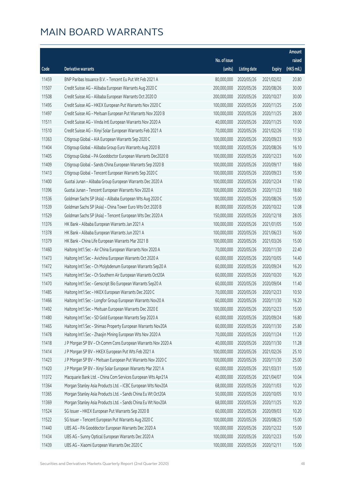|       |                                                              |              |                       |               | Amount      |
|-------|--------------------------------------------------------------|--------------|-----------------------|---------------|-------------|
|       |                                                              | No. of issue |                       |               | raised      |
| Code  | <b>Derivative warrants</b>                                   | (units)      | <b>Listing date</b>   | <b>Expiry</b> | (HK\$ mil.) |
| 11459 | BNP Paribas Issuance B.V. - Tencent Eu Put Wt Feb 2021 A     | 80,000,000   | 2020/05/26            | 2021/02/02    | 20.80       |
| 11507 | Credit Suisse AG - Alibaba European Warrants Aug 2020 C      | 200,000,000  | 2020/05/26            | 2020/08/26    | 30.00       |
| 11508 | Credit Suisse AG - Alibaba European Warrants Oct 2020 D      | 200,000,000  | 2020/05/26            | 2020/10/27    | 30.00       |
| 11495 | Credit Suisse AG - HKEX European Put Warrants Nov 2020 C     | 100,000,000  | 2020/05/26            | 2020/11/25    | 25.00       |
| 11497 | Credit Suisse AG - Meituan European Put Warrants Nov 2020 B  | 100,000,000  | 2020/05/26            | 2020/11/25    | 28.00       |
| 11511 | Credit Suisse AG - Vinda Intl European Warrants Nov 2020 A   | 40,000,000   | 2020/05/26            | 2020/11/25    | 10.00       |
| 11510 | Credit Suisse AG - Xinyi Solar European Warrants Feb 2021 A  | 70,000,000   | 2020/05/26            | 2021/02/26    | 17.50       |
| 11363 | Citigroup Global - AIA European Warrants Sep 2020 C          | 100,000,000  | 2020/05/26            | 2020/09/23    | 19.50       |
| 11404 | Citigroup Global - Alibaba Group Euro Warrants Aug 2020 B    | 100,000,000  | 2020/05/26            | 2020/08/26    | 16.10       |
| 11405 | Citigroup Global - PA Gooddoctor European Warrants Dec2020 B | 100,000,000  | 2020/05/26            | 2020/12/23    | 16.00       |
| 11409 | Citigroup Global - Sands China European Warrants Sep 2020 B  | 100,000,000  | 2020/05/26            | 2020/09/17    | 18.60       |
| 11413 | Citigroup Global - Tencent European Warrants Sep 2020 C      | 100,000,000  | 2020/05/26            | 2020/09/23    | 15.90       |
| 11400 | Guotai Junan - Alibaba Group European Warrants Dec 2020 A    | 100,000,000  | 2020/05/26            | 2020/12/24    | 17.60       |
| 11396 | Guotai Junan - Tencent European Warrants Nov 2020 A          | 100,000,000  | 2020/05/26            | 2020/11/23    | 18.60       |
| 11536 | Goldman Sachs SP (Asia) - Alibaba European Wts Aug 2020 C    | 100,000,000  | 2020/05/26            | 2020/08/26    | 15.00       |
| 11539 | Goldman Sachs SP (Asia) - China Tower Euro Wts Oct 2020 B    | 80,000,000   | 2020/05/26            | 2020/10/22    | 12.08       |
| 11529 | Goldman Sachs SP (Asia) - Tencent European Wts Dec 2020 A    | 150,000,000  | 2020/05/26            | 2020/12/18    | 28.05       |
| 11376 | HK Bank - Alibaba European Warrants Jan 2021 A               | 100,000,000  | 2020/05/26            | 2021/01/05    | 15.00       |
| 11378 | HK Bank - Alibaba European Warrants Jun 2021 A               | 100,000,000  | 2020/05/26            | 2021/06/23    | 16.00       |
| 11379 | HK Bank - China Life European Warrants Mar 2021 B            | 100,000,000  | 2020/05/26            | 2021/03/26    | 15.00       |
| 11460 | Haitong Int'l Sec - Air China European Warrants Nov 2020 A   | 70,000,000   | 2020/05/26            | 2020/11/30    | 22.40       |
| 11473 | Haitong Int'l Sec - Avichina European Warrants Oct 2020 A    | 60,000,000   | 2020/05/26            | 2020/10/05    | 14.40       |
| 11472 | Haitong Int'l Sec - Ch Molybdenum European Warrants Sep20 A  | 60,000,000   | 2020/05/26            | 2020/09/24    | 16.20       |
| 11475 | Haitong Int'l Sec - Ch Southern Air European Warrants Oct20A | 60,000,000   | 2020/05/26            | 2020/10/20    | 16.20       |
| 11470 | Haitong Int'l Sec - Genscript Bio European Warrants Sep20 A  | 60,000,000   | 2020/05/26            | 2020/09/04    | 11.40       |
| 11485 | Haitong Int'l Sec - HKEX European Warrants Dec 2020 C        | 70,000,000   | 2020/05/26            | 2020/12/23    | 10.50       |
| 11466 | Haitong Int'l Sec - Longfor Group European Warrants Nov20 A  |              | 60,000,000 2020/05/26 | 2020/11/30    | 16.20       |
| 11492 | Haitong Int'l Sec - Meituan European Warrants Dec 2020 E     | 100,000,000  | 2020/05/26            | 2020/12/23    | 15.00       |
| 11480 | Haitong Int'l Sec - SD Gold European Warrants Sep 2020 A     | 60,000,000   | 2020/05/26            | 2020/09/24    | 16.80       |
| 11465 | Haitong Int'l Sec - Shimao Property European Warrants Nov20A | 60,000,000   | 2020/05/26            | 2020/11/30    | 25.80       |
| 11478 | Haitong Int'l Sec - Zhaojin Mining European Wts Nov 2020 A   | 70,000,000   | 2020/05/26            | 2020/11/24    | 11.20       |
| 11418 | J P Morgan SP BV - Ch Comm Cons European Warrants Nov 2020 A | 40,000,000   | 2020/05/26            | 2020/11/30    | 11.28       |
| 11414 | J P Morgan SP BV - HKEX European Put Wts Feb 2021 A          | 100,000,000  | 2020/05/26            | 2021/02/26    | 25.10       |
| 11423 | J P Morgan SP BV - Meituan European Put Warrants Nov 2020 C  | 100,000,000  | 2020/05/26            | 2020/11/30    | 25.00       |
| 11420 | J P Morgan SP BV - Xinyi Solar European Warrants Mar 2021 A  | 60,000,000   | 2020/05/26            | 2021/03/31    | 15.00       |
| 11372 | Macquarie Bank Ltd. - China Com Services European Wts Apr21A | 40,000,000   | 2020/05/26            | 2021/04/07    | 10.04       |
| 11364 | Morgan Stanley Asia Products Ltd. - ICBC European Wts Nov20A | 68,000,000   | 2020/05/26            | 2020/11/03    | 10.20       |
| 11365 | Morgan Stanley Asia Products Ltd. - Sands China Eu Wt Oct20A | 50,000,000   | 2020/05/26            | 2020/10/05    | 10.10       |
| 11369 | Morgan Stanley Asia Products Ltd. - Sands China Eu Wt Nov20A | 68,000,000   | 2020/05/26            | 2020/11/25    | 10.20       |
| 11524 | SG Issuer - HKEX European Put Warrants Sep 2020 B            | 60,000,000   | 2020/05/26            | 2020/09/03    | 10.20       |
| 11522 | SG Issuer - Tencent European Put Warrants Aug 2020 C         | 100,000,000  | 2020/05/26            | 2020/08/25    | 15.00       |
| 11440 | UBS AG - PA Gooddoctor European Warrants Dec 2020 A          | 100,000,000  | 2020/05/26            | 2020/12/22    | 15.00       |
| 11434 | UBS AG - Sunny Optical European Warrants Dec 2020 A          | 100,000,000  | 2020/05/26            | 2020/12/23    | 15.00       |
| 11439 | UBS AG - Xiaomi European Warrants Dec 2020 C                 | 100,000,000  | 2020/05/26            | 2020/12/11    | 15.00       |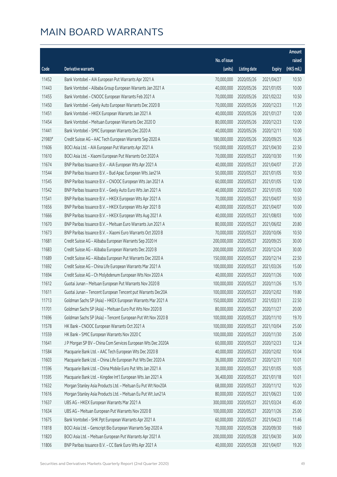|        |                                                              |                        |                     |               | Amount      |
|--------|--------------------------------------------------------------|------------------------|---------------------|---------------|-------------|
|        |                                                              | No. of issue           |                     |               | raised      |
| Code   | <b>Derivative warrants</b>                                   | (units)                | <b>Listing date</b> | <b>Expiry</b> | (HK\$ mil.) |
| 11452  | Bank Vontobel - AIA European Put Warrants Apr 2021 A         | 70,000,000             | 2020/05/26          | 2021/04/27    | 10.50       |
| 11443  | Bank Vontobel - Alibaba Group European Warrants Jan 2021 A   | 40,000,000             | 2020/05/26          | 2021/01/05    | 10.00       |
| 11455  | Bank Vontobel - CNOOC European Warrants Feb 2021 A           | 70,000,000             | 2020/05/26          | 2021/02/22    | 10.50       |
| 11450  | Bank Vontobel - Geely Auto European Warrants Dec 2020 B      | 70,000,000             | 2020/05/26          | 2020/12/23    | 11.20       |
| 11451  | Bank Vontobel - HKEX European Warrants Jan 2021 A            | 40,000,000             | 2020/05/26          | 2021/01/27    | 12.00       |
| 11454  | Bank Vontobel - Meituan European Warrants Dec 2020 D         | 80,000,000             | 2020/05/26          | 2020/12/23    | 12.00       |
| 11441  | Bank Vontobel - SMIC European Warrants Dec 2020 A            | 40,000,000             | 2020/05/26          | 2020/12/11    | 10.00       |
| 21983# | Credit Suisse AG - AAC Tech European Warrants Sep 2020 A     | 180,000,000            | 2020/05/26          | 2020/09/25    | 10.26       |
| 11606  | BOCI Asia Ltd. - AIA European Put Warrants Apr 2021 A        | 150,000,000            | 2020/05/27          | 2021/04/30    | 22.50       |
| 11610  | BOCI Asia Ltd. - Xiaomi European Put Warrants Oct 2020 A     | 70,000,000             | 2020/05/27          | 2020/10/30    | 11.90       |
| 11674  | BNP Paribas Issuance B.V. - AIA European Wts Apr 2021 A      | 40,000,000             | 2020/05/27          | 2021/04/07    | 27.20       |
| 11544  | BNP Paribas Issuance B.V. - Bud Apac European Wts Jan21A     | 50,000,000             | 2020/05/27          | 2021/01/05    | 10.50       |
| 11545  | BNP Paribas Issuance B.V. - CNOOC European Wts Jan 2021 A    | 60,000,000             | 2020/05/27          | 2021/01/05    | 12.00       |
| 11542  | BNP Paribas Issuance B.V. - Geely Auto Euro Wts Jan 2021 A   | 40,000,000             | 2020/05/27          | 2021/01/05    | 10.00       |
| 11541  | BNP Paribas Issuance B.V. - HKEX European Wts Apr 2021 A     | 70,000,000             | 2020/05/27          | 2021/04/07    | 10.50       |
| 11656  | BNP Paribas Issuance B.V. - HKEX European Wts Apr 2021 B     | 40,000,000             | 2020/05/27          | 2021/04/07    | 10.00       |
| 11666  | BNP Paribas Issuance B.V. - HKEX European Wts Aug 2021 A     | 40,000,000             | 2020/05/27          | 2021/08/03    | 10.00       |
| 11670  | BNP Paribas Issuance B.V. - Meituan Euro Warrants Jun 2021 A | 80,000,000             | 2020/05/27          | 2021/06/02    | 20.80       |
| 11673  | BNP Paribas Issuance B.V. - Xiaomi Euro Warrants Oct 2020 B  | 70,000,000             | 2020/05/27          | 2020/10/06    | 10.50       |
| 11681  | Credit Suisse AG - Alibaba European Warrants Sep 2020 H      | 200,000,000            | 2020/05/27          | 2020/09/25    | 30.00       |
| 11683  | Credit Suisse AG - Alibaba European Warrants Dec 2020 B      | 200,000,000            | 2020/05/27          | 2020/12/24    | 30.00       |
| 11689  | Credit Suisse AG - Alibaba European Put Warrants Dec 2020 A  | 150,000,000            | 2020/05/27          | 2020/12/14    | 22.50       |
| 11692  | Credit Suisse AG - China Life European Warrants Mar 2021 A   | 100,000,000            | 2020/05/27          | 2021/03/26    | 15.00       |
| 11694  | Credit Suisse AG - Ch Molybdenum European Wts Nov 2020 A     | 40,000,000             | 2020/05/27          | 2020/11/26    | 10.00       |
| 11612  | Guotai Junan - Meituan European Put Warrants Nov 2020 B      | 100,000,000            | 2020/05/27          | 2020/11/26    | 15.70       |
| 11611  | Guotai Junan - Tencent European Tencent put Warrants Dec20A  | 100,000,000            | 2020/05/27          | 2020/12/02    | 19.80       |
| 11713  | Goldman Sachs SP (Asia) - HKEX European Warrants Mar 2021 A  | 150,000,000 2020/05/27 |                     | 2021/03/31    | 22.50       |
| 11701  | Goldman Sachs SP (Asia) - Meituan Euro Put Wts Nov 2020 B    | 80,000,000             | 2020/05/27          | 2020/11/27    | 20.00       |
| 11696  | Goldman Sachs SP (Asia) - Tencent European Put Wt Nov 2020 B | 100,000,000            | 2020/05/27          | 2020/11/10    | 19.70       |
| 11578  | HK Bank - CNOOC European Warrants Oct 2021 A                 | 100,000,000            | 2020/05/27          | 2021/10/04    | 25.00       |
| 11559  | HK Bank - SMIC European Warrants Nov 2020 C                  | 100,000,000            | 2020/05/27          | 2020/11/30    | 25.00       |
| 11641  | J P Morgan SP BV - China Com Services European Wts Dec 2020A | 60,000,000             | 2020/05/27          | 2020/12/23    | 12.24       |
| 11584  | Macquarie Bank Ltd. - AAC Tech European Wts Dec 2020 B       | 40,000,000             | 2020/05/27          | 2020/12/02    | 10.04       |
| 11603  | Macquarie Bank Ltd. - China Life European Put Wts Dec 2020 A | 36,000,000             | 2020/05/27          | 2020/12/31    | 10.01       |
| 11596  | Macquarie Bank Ltd. - China Mobile Euro Put Wts Jan 2021 A   | 30,000,000             | 2020/05/27          | 2021/01/05    | 10.05       |
| 11595  | Macquarie Bank Ltd. - Kingdee Int'l European Wts Jan 2021 A  | 36,400,000             | 2020/05/27          | 2021/01/18    | 10.01       |
| 11632  | Morgan Stanley Asia Products Ltd. - Meituan Eu Put Wt Nov20A | 68,000,000             | 2020/05/27          | 2020/11/12    | 10.20       |
| 11616  | Morgan Stanley Asia Products Ltd. - Meituan Eu Put Wt Jun21A | 80,000,000             | 2020/05/27          | 2021/06/23    | 12.00       |
| 11637  | UBS AG - HKEX European Warrants Mar 2021 A                   | 300,000,000            | 2020/05/27          | 2021/03/24    | 45.00       |
| 11634  | UBS AG - Meituan European Put Warrants Nov 2020 B            | 100,000,000            | 2020/05/27          | 2020/11/26    | 25.00       |
| 11675  | Bank Vontobel - SHK Ppt European Warrants Apr 2021 A         | 60,000,000             | 2020/05/27          | 2021/04/23    | 11.46       |
| 11818  | BOCI Asia Ltd. - Genscript Bio European Warrants Sep 2020 A  | 70,000,000             | 2020/05/28          | 2020/09/30    | 19.60       |
| 11820  | BOCI Asia Ltd. - Meituan European Put Warrants Apr 2021 A    | 200,000,000            | 2020/05/28          | 2021/04/30    | 34.00       |
| 11806  | BNP Paribas Issuance B.V. - CC Bank Euro Wts Apr 2021 A      | 40,000,000             | 2020/05/28          | 2021/04/07    | 19.20       |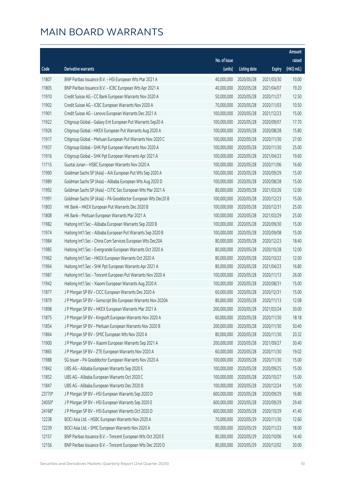|        |                                                              |              |                       |               | Amount      |
|--------|--------------------------------------------------------------|--------------|-----------------------|---------------|-------------|
|        |                                                              | No. of issue |                       |               | raised      |
| Code   | Derivative warrants                                          | (units)      | <b>Listing date</b>   | <b>Expiry</b> | (HK\$ mil.) |
| 11807  | BNP Paribas Issuance B.V. - HSI European Wts Mar 2021 A      | 40,000,000   | 2020/05/28            | 2021/03/30    | 10.00       |
| 11805  | BNP Paribas Issuance B.V. - ICBC European Wts Apr 2021 A     | 40,000,000   | 2020/05/28            | 2021/04/07    | 19.20       |
| 11910  | Credit Suisse AG - CC Bank European Warrants Nov 2020 A      | 50,000,000   | 2020/05/28            | 2020/11/27    | 12.50       |
| 11902  | Credit Suisse AG - ICBC European Warrants Nov 2020 A         | 70,000,000   | 2020/05/28            | 2020/11/03    | 10.50       |
| 11901  | Credit Suisse AG - Lenovo European Warrants Dec 2021 A       | 100,000,000  | 2020/05/28            | 2021/12/23    | 15.00       |
| 11922  | Citigroup Global - Galaxy Ent European Put Warrants Sep20 A  | 100,000,000  | 2020/05/28            | 2020/09/07    | 17.70       |
| 11926  | Citigroup Global - HKEX European Put Warrants Aug 2020 A     | 100,000,000  | 2020/05/28            | 2020/08/28    | 15.80       |
| 11917  | Citigroup Global - Meituan European Put Warrants Nov 2020 C  | 100,000,000  | 2020/05/28            | 2020/11/30    | 27.00       |
| 11937  | Citigroup Global - SHK Ppt European Warrants Nov 2020 A      | 100,000,000  | 2020/05/28            | 2020/11/30    | 25.00       |
| 11916  | Citigroup Global - SHK Ppt European Warrants Apr 2021 A      | 100,000,000  | 2020/05/28            | 2021/04/23    | 19.60       |
| 11715  | Guotai Junan - HSBC European Warrants Nov 2020 A             | 100,000,000  | 2020/05/28            | 2020/11/06    | 16.60       |
| 11990  | Goldman Sachs SP (Asia) - AIA European Put Wts Sep 2020 A    | 100,000,000  | 2020/05/28            | 2020/09/29    | 15.00       |
| 11989  | Goldman Sachs SP (Asia) - Alibaba European Wts Aug 2020 D    | 100,000,000  | 2020/05/28            | 2020/08/28    | 15.00       |
| 11992  | Goldman Sachs SP (Asia) - CITIC Sec European Wts Mar 2021 A  | 80,000,000   | 2020/05/28            | 2021/03/26    | 12.00       |
| 11991  | Goldman Sachs SP (Asia) - PA Gooddoctor European Wts Dec20 B | 100,000,000  | 2020/05/28            | 2020/12/23    | 15.00       |
| 11803  | HK Bank - HKEX European Put Warrants Dec 2020 B              | 100,000,000  | 2020/05/28            | 2020/12/31    | 25.00       |
| 11808  | HK Bank - Meituan European Warrants Mar 2021 A               | 100,000,000  | 2020/05/28            | 2021/03/29    | 25.00       |
| 11982  | Haitong Int'l Sec - Alibaba European Warrants Sep 2020 B     | 100,000,000  | 2020/05/28            | 2020/09/30    | 15.00       |
| 11974  | Haitong Int'l Sec - Alibaba European Put Warrants Sep 2020 B | 100,000,000  | 2020/05/28            | 2020/09/08    | 15.00       |
| 11984  | Haitong Int'l Sec - China Com Services European Wts Dec20A   | 80,000,000   | 2020/05/28            | 2020/12/23    | 18.40       |
| 11985  | Haitong Int'l Sec - Evergrande European Warrants Oct 2020 A  | 80,000,000   | 2020/05/28            | 2020/10/28    | 12.00       |
| 11962  | Haitong Int'l Sec - HKEX European Warrants Oct 2020 A        | 80,000,000   | 2020/05/28            | 2020/10/22    | 12.00       |
| 11964  | Haitong Int'l Sec - SHK Ppt European Warrants Apr 2021 A     | 80,000,000   | 2020/05/28            | 2021/04/23    | 16.80       |
| 11987  | Haitong Int'l Sec - Tencent European Put Warrants Nov 2020 A | 100,000,000  | 2020/05/28            | 2020/11/13    | 26.00       |
| 11942  | Haitong Int'l Sec - Xiaomi European Warrants Aug 2020 A      | 100,000,000  | 2020/05/28            | 2020/08/31    | 15.00       |
| 11877  | J P Morgan SP BV - CICC European Warrants Dec 2020 A         | 60,000,000   | 2020/05/28            | 2020/12/31    | 15.00       |
| 11879  | J P Morgan SP BV - Genscript Bio European Warrants Nov 2020A |              | 80,000,000 2020/05/28 | 2020/11/13    | 12.08       |
| 11898  | J P Morgan SP BV - HKEX European Warrants Mar 2021 A         | 200,000,000  | 2020/05/28            | 2021/03/24    | 30.00       |
| 11875  | J P Morgan SP BV - Kingsoft European Warrants Nov 2020 A     | 60,000,000   | 2020/05/28            | 2020/11/30    | 18.18       |
| 11854  | J P Morgan SP BV - Meituan European Warrants Nov 2020 B      | 200,000,000  | 2020/05/28            | 2020/11/30    | 50.40       |
| 11864  | J P Morgan SP BV - SMIC European Wts Nov 2020 A              | 80,000,000   | 2020/05/28            | 2020/11/30    | 20.32       |
| 11900  | J P Morgan SP BV - Xiaomi European Warrants Sep 2021 A       | 200,000,000  | 2020/05/28            | 2021/09/27    | 30.40       |
| 11865  | J P Morgan SP BV - ZTE European Warrants Nov 2020 A          | 60,000,000   | 2020/05/28            | 2020/11/30    | 19.02       |
| 11988  | SG Issuer - PA Gooddoctor European Warrants Nov 2020 A       | 100,000,000  | 2020/05/28            | 2020/11/30    | 15.00       |
| 11842  | UBS AG - Alibaba European Warrants Sep 2020 E                | 100,000,000  | 2020/05/28            | 2020/09/25    | 15.00       |
| 11852  | UBS AG - Alibaba European Warrants Oct 2020 C                | 100,000,000  | 2020/05/28            | 2020/10/27    | 15.00       |
| 11847  | UBS AG - Alibaba European Warrants Dec 2020 B                | 100,000,000  | 2020/05/28            | 2020/12/24    | 15.00       |
| 23770# | J P Morgan SP BV - HSI European Warrants Sep 2020 D          | 600,000,000  | 2020/05/28            | 2020/09/29    | 16.80       |
| 24050# | J P Morgan SP BV - HSI European Warrants Sep 2020 E          | 600,000,000  | 2020/05/28            | 2020/09/29    | 29.40       |
| 24168# | J P Morgan SP BV - HSI European Warrants Oct 2020 D          | 600,000,000  | 2020/05/28            | 2020/10/29    | 41.40       |
| 12238  | BOCI Asia Ltd. - HSBC European Warrants Nov 2020 A           | 70,000,000   | 2020/05/29            | 2020/11/30    | 12.60       |
| 12239  | BOCI Asia Ltd. - SMIC European Warrants Nov 2020 A           | 100,000,000  | 2020/05/29            | 2020/11/23    | 18.00       |
| 12157  | BNP Paribas Issuance B.V. - Tencent European Wts Oct 2020 E  | 80,000,000   | 2020/05/29            | 2020/10/06    | 14.40       |
| 12156  | BNP Paribas Issuance B.V. - Tencent European Wts Dec 2020 D  | 80,000,000   | 2020/05/29            | 2020/12/02    | 20.00       |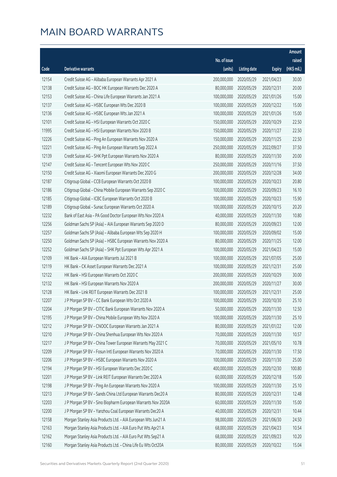|       |                                                              |                        |                     |               | Amount      |
|-------|--------------------------------------------------------------|------------------------|---------------------|---------------|-------------|
|       |                                                              | No. of issue           |                     |               | raised      |
| Code  | Derivative warrants                                          | (units)                | <b>Listing date</b> | <b>Expiry</b> | (HK\$ mil.) |
| 12154 | Credit Suisse AG - Alibaba European Warrants Apr 2021 A      | 200,000,000            | 2020/05/29          | 2021/04/23    | 30.00       |
| 12138 | Credit Suisse AG - BOC HK European Warrants Dec 2020 A       | 80,000,000             | 2020/05/29          | 2020/12/31    | 20.00       |
| 12153 | Credit Suisse AG - China Life European Warrants Jan 2021 A   | 100,000,000            | 2020/05/29          | 2021/01/26    | 15.00       |
| 12137 | Credit Suisse AG - HSBC European Wts Dec 2020 B              | 100,000,000            | 2020/05/29          | 2020/12/22    | 15.00       |
| 12136 | Credit Suisse AG - HSBC European Wts Jan 2021 A              | 100,000,000            | 2020/05/29          | 2021/01/26    | 15.00       |
| 12101 | Credit Suisse AG - HSI European Warrants Oct 2020 C          | 150,000,000            | 2020/05/29          | 2020/10/29    | 22.50       |
| 11995 | Credit Suisse AG - HSI European Warrants Nov 2020 B          | 150,000,000            | 2020/05/29          | 2020/11/27    | 22.50       |
| 12226 | Credit Suisse AG - Ping An European Warrants Nov 2020 A      | 150,000,000            | 2020/05/29          | 2020/11/25    | 22.50       |
| 12221 | Credit Suisse AG - Ping An European Warrants Sep 2022 A      | 250,000,000            | 2020/05/29          | 2022/09/27    | 37.50       |
| 12139 | Credit Suisse AG - SHK Ppt European Warrants Nov 2020 A      | 80,000,000             | 2020/05/29          | 2020/11/30    | 20.00       |
| 12147 | Credit Suisse AG - Tencent European Wts Nov 2020 C           | 250,000,000            | 2020/05/29          | 2020/11/16    | 37.50       |
| 12150 | Credit Suisse AG - Xiaomi European Warrants Dec 2020 G       | 200,000,000            | 2020/05/29          | 2020/12/28    | 34.00       |
| 12187 | Citigroup Global - CCB European Warrants Oct 2020 B          | 100,000,000            | 2020/05/29          | 2020/10/23    | 20.80       |
| 12186 | Citigroup Global - China Mobile European Warrants Sep 2020 C | 100,000,000            | 2020/05/29          | 2020/09/23    | 16.10       |
| 12185 | Citigroup Global - ICBC European Warrants Oct 2020 B         | 100,000,000            | 2020/05/29          | 2020/10/23    | 15.90       |
| 12189 | Citigroup Global - Sunac European Warrants Oct 2020 A        | 100,000,000            | 2020/05/29          | 2020/10/15    | 20.20       |
| 12232 | Bank of East Asia - PA Good Doctor European Wts Nov 2020 A   | 40,000,000             | 2020/05/29          | 2020/11/30    | 10.80       |
| 12256 | Goldman Sachs SP (Asia) - AIA European Warrants Sep 2020 D   | 80,000,000             | 2020/05/29          | 2020/09/23    | 12.00       |
| 12257 | Goldman Sachs SP (Asia) - Alibaba European Wts Sep 2020 H    | 100,000,000            | 2020/05/29          | 2020/09/02    | 15.00       |
| 12250 | Goldman Sachs SP (Asia) - HSBC European Warrants Nov 2020 A  | 80,000,000             | 2020/05/29          | 2020/11/25    | 12.00       |
| 12252 | Goldman Sachs SP (Asia) - SHK Ppt European Wts Apr 2021 A    | 100,000,000            | 2020/05/29          | 2021/04/23    | 15.00       |
| 12109 | HK Bank - AIA European Warrants Jul 2021 B                   | 100,000,000            | 2020/05/29          | 2021/07/05    | 25.00       |
| 12119 | HK Bank - CK Asset European Warrants Dec 2021 A              | 100,000,000            | 2020/05/29          | 2021/12/31    | 25.00       |
| 12122 | HK Bank - HSI European Warrants Oct 2020 C                   | 200,000,000            | 2020/05/29          | 2020/10/29    | 30.00       |
| 12132 | HK Bank - HSI European Warrants Nov 2020 A                   | 200,000,000            | 2020/05/29          | 2020/11/27    | 30.00       |
| 12128 | HK Bank - Link REIT European Warrants Dec 2021 B             | 100,000,000            | 2020/05/29          | 2021/12/31    | 25.00       |
| 12207 | J P Morgan SP BV - CC Bank European Wts Oct 2020 A           | 100,000,000 2020/05/29 |                     | 2020/10/30    | 25.10       |
| 12204 | J P Morgan SP BV - CITIC Bank European Warrants Nov 2020 A   | 50,000,000             | 2020/05/29          | 2020/11/30    | 12.50       |
| 12195 | J P Morgan SP BV - China Mobile European Wts Nov 2020 A      | 100,000,000            | 2020/05/29          | 2020/11/30    | 25.10       |
| 12212 | J P Morgan SP BV - CNOOC European Warrants Jan 2021 A        | 80,000,000             | 2020/05/29          | 2021/01/22    | 12.00       |
| 12210 | J P Morgan SP BV - China Shenhua European Wts Nov 2020 A     | 70,000,000             | 2020/05/29          | 2020/11/30    | 10.57       |
| 12217 | J P Morgan SP BV - China Tower European Warrants May 2021 C  | 70,000,000             | 2020/05/29          | 2021/05/10    | 10.78       |
| 12209 | J P Morgan SP BV - Fosun Intl European Warrants Nov 2020 A   | 70,000,000             | 2020/05/29          | 2020/11/30    | 17.50       |
| 12206 | J P Morgan SP BV - HSBC European Warrants Nov 2020 A         | 100,000,000            | 2020/05/29          | 2020/11/30    | 25.00       |
| 12194 | J P Morgan SP BV - HSI European Warrants Dec 2020 C          | 400,000,000            | 2020/05/29          | 2020/12/30    | 100.80      |
| 12201 | J P Morgan SP BV - Link REIT European Warrants Dec 2020 A    | 60,000,000             | 2020/05/29          | 2020/12/18    | 15.00       |
| 12198 | J P Morgan SP BV - Ping An European Warrants Nov 2020 A      | 100,000,000            | 2020/05/29          | 2020/11/30    | 25.10       |
| 12213 | J P Morgan SP BV - Sands China Ltd European Warrants Dec20 A | 80,000,000             | 2020/05/29          | 2020/12/31    | 12.48       |
| 12203 | J P Morgan SP BV - Sino Biopharm European Warrants Nov 2020A | 60,000,000             | 2020/05/29          | 2020/11/30    | 15.00       |
| 12200 | J P Morgan SP BV - Yanzhou Coal European Warrants Dec20 A    | 40,000,000             | 2020/05/29          | 2020/12/31    | 10.44       |
| 12158 | Morgan Stanley Asia Products Ltd. - AIA European Wts Jun21 A | 98,000,000             | 2020/05/29          | 2021/06/30    | 24.50       |
| 12163 | Morgan Stanley Asia Products Ltd. - AIA Euro Put Wts Apr21 A | 68,000,000             | 2020/05/29          | 2021/04/23    | 10.54       |
| 12162 | Morgan Stanley Asia Products Ltd. - AIA Euro Put Wts Sep21 A | 68,000,000             | 2020/05/29          | 2021/09/23    | 10.20       |
| 12160 | Morgan Stanley Asia Products Ltd. - China Life Eu Wts Oct20A | 80,000,000             | 2020/05/29          | 2020/10/22    | 15.04       |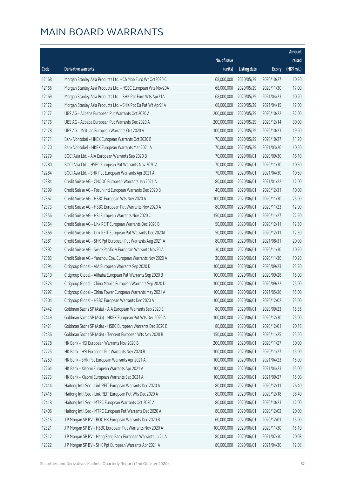|       |                                                              |                        |                     |               | Amount      |
|-------|--------------------------------------------------------------|------------------------|---------------------|---------------|-------------|
|       |                                                              | No. of issue           |                     |               | raised      |
| Code  | Derivative warrants                                          | (units)                | <b>Listing date</b> | <b>Expiry</b> | (HK\$ mil.) |
| 12168 | Morgan Stanley Asia Products Ltd. - Ch Mob Euro Wt Oct2020 C | 68,000,000             | 2020/05/29          | 2020/10/27    | 10.20       |
| 12166 | Morgan Stanley Asia Products Ltd. - HSBC European Wts Nov20A | 68,000,000             | 2020/05/29          | 2020/11/30    | 17.00       |
| 12169 | Morgan Stanley Asia Products Ltd. - SHK Ppt Euro Wts Apr21A  | 68,000,000             | 2020/05/29          | 2021/04/23    | 10.20       |
| 12172 | Morgan Stanley Asia Products Ltd. - SHK Ppt Eu Put Wt Apr21A | 68,000,000             | 2020/05/29          | 2021/04/15    | 17.00       |
| 12177 | UBS AG - Alibaba European Put Warrants Oct 2020 A            | 200,000,000            | 2020/05/29          | 2020/10/22    | 32.00       |
| 12176 | UBS AG - Alibaba European Put Warrants Dec 2020 A            | 200,000,000            | 2020/05/29          | 2020/12/14    | 30.00       |
| 12178 | UBS AG - Meituan European Warrants Oct 2020 A                | 100,000,000            | 2020/05/29          | 2020/10/23    | 19.60       |
| 12171 | Bank Vontobel - HKEX European Warrants Oct 2020 B            | 70,000,000             | 2020/05/29          | 2020/10/27    | 11.20       |
| 12170 | Bank Vontobel - HKEX European Warrants Mar 2021 A            | 70,000,000             | 2020/05/29          | 2021/03/26    | 10.50       |
| 12279 | BOCI Asia Ltd. - AIA European Warrants Sep 2020 B            | 70,000,000             | 2020/06/01          | 2020/09/30    | 16.10       |
| 12280 | BOCI Asia Ltd. - HSBC European Put Warrants Nov 2020 A       | 70,000,000             | 2020/06/01          | 2020/11/30    | 10.50       |
| 12284 | BOCI Asia Ltd. - SHK Ppt European Warrants Apr 2021 A        | 70,000,000             | 2020/06/01          | 2021/04/30    | 10.50       |
| 12384 | Credit Suisse AG - CNOOC European Warrants Jan 2021 A        | 80,000,000             | 2020/06/01          | 2021/01/22    | 12.00       |
| 12399 | Credit Suisse AG - Fosun Intl European Warrants Dec 2020 B   | 40,000,000             | 2020/06/01          | 2020/12/31    | 10.00       |
| 12367 | Credit Suisse AG - HSBC European Wts Nov 2020 A              | 100,000,000            | 2020/06/01          | 2020/11/30    | 25.00       |
| 12373 | Credit Suisse AG - HSBC European Put Warrants Nov 2020 A     | 80,000,000             | 2020/06/01          | 2020/11/23    | 12.00       |
| 12356 | Credit Suisse AG - HSI European Warrants Nov 2020 C          | 150,000,000            | 2020/06/01          | 2020/11/27    | 22.50       |
| 12364 | Credit Suisse AG - Link REIT European Warrants Dec 2020 B    | 50,000,000             | 2020/06/01          | 2020/12/11    | 12.50       |
| 12366 | Credit Suisse AG - Link REIT European Put Warrants Dec 2020A | 50,000,000             | 2020/06/01          | 2020/12/11    | 12.50       |
| 12381 | Credit Suisse AG - SHK Ppt European Put Warrants Aug 2021 A  | 80,000,000             | 2020/06/01          | 2021/08/31    | 20.00       |
| 12392 | Credit Suisse AG - Swire Pacific A European Warrants Nov20 A | 30,000,000             | 2020/06/01          | 2020/11/30    | 10.20       |
| 12383 | Credit Suisse AG - Yanzhou Coal European Warrants Nov 2020 A | 30,000,000             | 2020/06/01          | 2020/11/30    | 10.20       |
| 12294 | Citigroup Global - AIA European Warrants Sep 2020 D          | 100,000,000            | 2020/06/01          | 2020/09/23    | 23.20       |
| 12310 | Citigroup Global - Alibaba European Put Warrants Sep 2020 B  | 100,000,000            | 2020/06/01          | 2020/09/28    | 15.00       |
| 12323 | Citigroup Global - China Mobile European Warrants Sep 2020 D | 100,000,000            | 2020/06/01          | 2020/09/22    | 25.00       |
| 12297 | Citigroup Global - China Tower European Warrants May 2021 A  | 100,000,000            | 2020/06/01          | 2021/05/26    | 15.00       |
| 12304 | Citigroup Global - HSBC European Warrants Dec 2020 A         | 100,000,000 2020/06/01 |                     | 2020/12/02    | 25.00       |
| 12442 | Goldman Sachs SP (Asia) - AIA European Warrants Sep 2020 E   | 80,000,000             | 2020/06/01          | 2020/09/23    | 15.36       |
| 12449 | Goldman Sachs SP (Asia) - HKEX European Put Wts Dec 2020 A   | 100,000,000            | 2020/06/01          | 2020/12/30    | 25.00       |
| 12421 | Goldman Sachs SP (Asia) - HSBC European Warrants Dec 2020 B  | 80,000,000             | 2020/06/01          | 2020/12/01    | 20.16       |
| 12436 | Goldman Sachs SP (Asia) - Tencent European Wts Nov 2020 B    | 150,000,000            | 2020/06/01          | 2020/11/25    | 25.50       |
| 12278 | HK Bank - HSI European Warrants Nov 2020 B                   | 200,000,000            | 2020/06/01          | 2020/11/27    | 30.00       |
| 12275 | HK Bank - HSI European Put Warrants Nov 2020 B               | 100,000,000            | 2020/06/01          | 2020/11/27    | 15.00       |
| 12259 | HK Bank - SHK Ppt European Warrants Apr 2021 A               | 100,000,000            | 2020/06/01          | 2021/04/23    | 15.00       |
| 12264 | HK Bank - Xiaomi European Warrants Apr 2021 A                | 100,000,000            | 2020/06/01          | 2021/04/23    | 15.00       |
| 12273 | HK Bank - Xiaomi European Warrants Sep 2021 A                | 100,000,000            | 2020/06/01          | 2021/09/27    | 15.00       |
| 12414 | Haitong Int'l Sec - Link REIT European Warrants Dec 2020 A   | 80,000,000             | 2020/06/01          | 2020/12/11    | 26.40       |
| 12415 | Haitong Int'l Sec - Link REIT European Put Wts Dec 2020 A    | 80,000,000             | 2020/06/01          | 2020/12/18    | 38.40       |
| 12418 | Haitong Int'l Sec - MTRC European Warrants Oct 2020 A        | 80,000,000             | 2020/06/01          | 2020/10/23    | 12.00       |
| 12406 | Haitong Int'l Sec - MTRC European Put Warrants Dec 2020 A    | 80,000,000             | 2020/06/01          | 2020/12/02    | 20.00       |
| 12315 | J P Morgan SP BV - BOC HK European Warrants Dec 2020 B       | 60,000,000             | 2020/06/01          | 2020/12/01    | 15.00       |
| 12321 | J P Morgan SP BV - HSBC European Put Warrants Nov 2020 A     | 100,000,000            | 2020/06/01          | 2020/11/30    | 15.10       |
| 12312 | J P Morgan SP BV - Hang Seng Bank European Warrants Jul21 A  | 80,000,000             | 2020/06/01          | 2021/07/30    | 20.08       |
| 12322 | J P Morgan SP BV - SHK Ppt European Warrants Apr 2021 A      | 80,000,000             | 2020/06/01          | 2021/04/30    | 12.08       |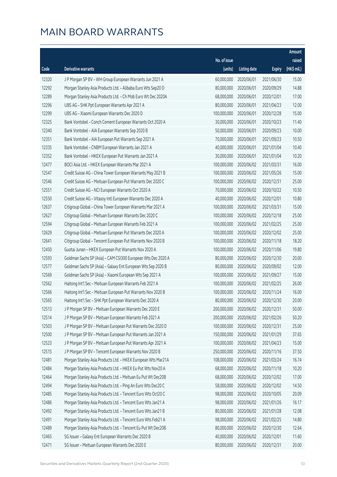|       |                                                              |              |                       |               | Amount      |
|-------|--------------------------------------------------------------|--------------|-----------------------|---------------|-------------|
|       |                                                              | No. of issue |                       |               | raised      |
| Code  | Derivative warrants                                          | (units)      | <b>Listing date</b>   | <b>Expiry</b> | (HK\$ mil.) |
| 12320 | J P Morgan SP BV - WH Group European Warrants Jun 2021 A     | 60,000,000   | 2020/06/01            | 2021/06/30    | 15.00       |
| 12292 | Morgan Stanley Asia Products Ltd. - Alibaba Euro Wts Sep20 D | 80,000,000   | 2020/06/01            | 2020/09/29    | 14.88       |
| 12289 | Morgan Stanley Asia Products Ltd. - Ch Mob Euro Wt Dec 2020A | 68,000,000   | 2020/06/01            | 2020/12/01    | 17.00       |
| 12296 | UBS AG - SHK Ppt European Warrants Apr 2021 A                | 80,000,000   | 2020/06/01            | 2021/04/23    | 12.00       |
| 12299 | UBS AG - Xiaomi European Warrants Dec 2020 D                 | 100,000,000  | 2020/06/01            | 2020/12/28    | 15.00       |
| 12325 | Bank Vontobel - Conch Cement European Warrants Oct 2020 A    | 30,000,000   | 2020/06/01            | 2020/10/23    | 11.40       |
| 12340 | Bank Vontobel - AIA European Warrants Sep 2020 B             | 50,000,000   | 2020/06/01            | 2020/09/23    | 10.00       |
| 12351 | Bank Vontobel - AIA European Put Warrants Sep 2021 A         | 70,000,000   | 2020/06/01            | 2021/09/23    | 10.50       |
| 12335 | Bank Vontobel - CNBM European Warrants Jan 2021 A            | 40,000,000   | 2020/06/01            | 2021/01/04    | 10.40       |
| 12352 | Bank Vontobel - HKEX European Put Warrants Jan 2021 A        | 30,000,000   | 2020/06/01            | 2021/01/04    | 10.20       |
| 12477 | BOCI Asia Ltd. - HKEX European Warrants Mar 2021 A           | 100,000,000  | 2020/06/02            | 2021/03/31    | 16.00       |
| 12547 | Credit Suisse AG - China Tower European Warrants May 2021 B  | 100,000,000  | 2020/06/02            | 2021/05/26    | 15.00       |
| 12546 | Credit Suisse AG - Meituan European Put Warrants Dec 2020 C  | 100,000,000  | 2020/06/02            | 2020/12/31    | 25.00       |
| 12551 | Credit Suisse AG - NCI European Warrants Oct 2020 A          | 70,000,000   | 2020/06/02            | 2020/10/22    | 10.50       |
| 12550 | Credit Suisse AG - Vitasoy Intl European Warrants Dec 2020 A | 40,000,000   | 2020/06/02            | 2020/12/01    | 10.80       |
| 12637 | Citigroup Global - China Tower European Warrants Mar 2021 A  | 100,000,000  | 2020/06/02            | 2021/03/31    | 15.00       |
| 12627 | Citigroup Global - Meituan European Warrants Dec 2020 C      | 100,000,000  | 2020/06/02            | 2020/12/18    | 25.00       |
| 12594 | Citigroup Global - Meituan European Warrants Feb 2021 A      | 100,000,000  | 2020/06/02            | 2021/02/25    | 25.00       |
| 12629 | Citigroup Global - Meituan European Put Warrants Dec 2020 A  | 100,000,000  | 2020/06/02            | 2020/12/02    | 25.00       |
| 12641 | Citigroup Global - Tencent European Put Warrants Nov 2020 B  | 100,000,000  | 2020/06/02            | 2020/11/18    | 18.20       |
| 12450 | Guotai Junan - HKEX European Put Warrants Nov 2020 A         | 100,000,000  | 2020/06/02            | 2020/11/06    | 19.80       |
| 12593 | Goldman Sachs SP (Asia) - CAM CSI300 European Wts Dec 2020 A | 80,000,000   | 2020/06/02            | 2020/12/30    | 20.00       |
| 12577 | Goldman Sachs SP (Asia) - Galaxy Ent European Wts Sep 2020 B | 80,000,000   | 2020/06/02            | 2020/09/02    | 12.00       |
| 12569 | Goldman Sachs SP (Asia) - Xiaomi European Wts Sep 2021 A     | 100,000,000  | 2020/06/02            | 2021/09/27    | 15.00       |
| 12562 | Haitong Int'l Sec - Meituan European Warrants Feb 2021 A     | 100,000,000  | 2020/06/02            | 2021/02/25    | 26.00       |
| 12566 | Haitong Int'l Sec - Meituan European Put Warrants Nov 2020 B | 100,000,000  | 2020/06/02            | 2020/11/24    | 16.00       |
| 12565 | Haitong Int'l Sec - SHK Ppt European Warrants Dec 2020 A     |              | 80,000,000 2020/06/02 | 2020/12/30    | 20.00       |
| 12513 | J P Morgan SP BV - Meituan European Warrants Dec 2020 E      | 200,000,000  | 2020/06/02            | 2020/12/31    | 50.00       |
| 12514 | J P Morgan SP BV - Meituan European Warrants Feb 2021 A      | 200,000,000  | 2020/06/02            | 2021/02/26    | 50.20       |
| 12503 | J P Morgan SP BV - Meituan European Put Warrants Dec 2020 D  | 100,000,000  | 2020/06/02            | 2020/12/31    | 25.00       |
| 12500 | J P Morgan SP BV - Meituan European Put Warrants Jan 2021 A  | 150,000,000  | 2020/06/02            | 2021/01/29    | 37.65       |
| 12523 | J P Morgan SP BV - Meituan European Put Warrants Apr 2021 A  | 100,000,000  | 2020/06/02            | 2021/04/23    | 15.00       |
| 12515 | J P Morgan SP BV - Tencent European Warrants Nov 2020 B      | 250,000,000  | 2020/06/02            | 2020/11/16    | 37.50       |
| 12481 | Morgan Stanley Asia Products Ltd. - HKEX European Wts Mar21A | 108,000,000  | 2020/06/02            | 2021/03/24    | 16.74       |
| 12484 | Morgan Stanley Asia Products Ltd. - HKEX Eu Put Wts Nov20 A  | 68,000,000   | 2020/06/02            | 2020/11/18    | 10.20       |
| 12464 | Morgan Stanley Asia Products Ltd. - Meituan Eu Put Wt Dec20B | 68,000,000   | 2020/06/02            | 2020/12/02    | 17.00       |
| 12494 | Morgan Stanley Asia Products Ltd. - Ping An Euro Wts Dec20 C | 58,000,000   | 2020/06/02            | 2020/12/02    | 14.50       |
| 12485 | Morgan Stanley Asia Products Ltd. - Tencent Euro Wts Oct20 C | 98,000,000   | 2020/06/02            | 2020/10/05    | 20.09       |
| 12486 | Morgan Stanley Asia Products Ltd. - Tencent Euro Wts Jan21 A | 98,000,000   | 2020/06/02            | 2021/01/26    | 16.17       |
| 12492 | Morgan Stanley Asia Products Ltd. - Tencent Euro Wts Jan21 B | 80,000,000   | 2020/06/02            | 2021/01/28    | 12.08       |
| 12491 | Morgan Stanley Asia Products Ltd. - Tencent Euro Wts Feb21 A | 98,000,000   | 2020/06/02            | 2021/02/25    | 14.80       |
| 12489 | Morgan Stanley Asia Products Ltd. - Tencent Eu Put Wt Dec20B | 80,000,000   | 2020/06/02            | 2020/12/30    | 12.64       |
| 12465 | SG Issuer - Galaxy Ent European Warrants Dec 2020 B          | 40,000,000   | 2020/06/02            | 2020/12/01    | 11.60       |
| 12471 | SG Issuer - Meituan European Warrants Dec 2020 E             | 80,000,000   | 2020/06/02            | 2020/12/31    | 20.00       |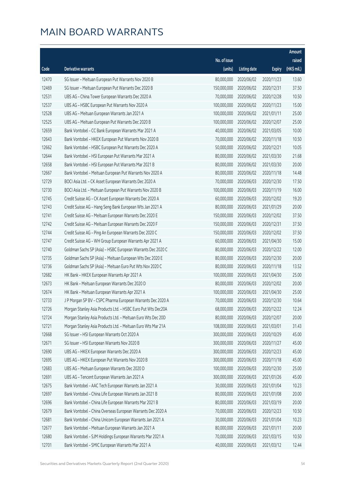|       |                                                              |              |                       |               | Amount      |
|-------|--------------------------------------------------------------|--------------|-----------------------|---------------|-------------|
|       |                                                              | No. of issue |                       |               | raised      |
| Code  | <b>Derivative warrants</b>                                   | (units)      | <b>Listing date</b>   | <b>Expiry</b> | (HK\$ mil.) |
| 12470 | SG Issuer - Meituan European Put Warrants Nov 2020 B         | 80,000,000   | 2020/06/02            | 2020/11/23    | 13.60       |
| 12469 | SG Issuer - Meituan European Put Warrants Dec 2020 B         | 150,000,000  | 2020/06/02            | 2020/12/31    | 37.50       |
| 12531 | UBS AG - China Tower European Warrants Dec 2020 A            | 70,000,000   | 2020/06/02            | 2020/12/28    | 10.50       |
| 12537 | UBS AG - HSBC European Put Warrants Nov 2020 A               | 100,000,000  | 2020/06/02            | 2020/11/23    | 15.00       |
| 12528 | UBS AG - Meituan European Warrants Jan 2021 A                | 100,000,000  | 2020/06/02            | 2021/01/11    | 25.00       |
| 12525 | UBS AG - Meituan European Put Warrants Dec 2020 B            | 100,000,000  | 2020/06/02            | 2020/12/07    | 25.00       |
| 12659 | Bank Vontobel - CC Bank European Warrants Mar 2021 A         | 40,000,000   | 2020/06/02            | 2021/03/05    | 10.00       |
| 12643 | Bank Vontobel - HKEX European Put Warrants Nov 2020 B        | 70,000,000   | 2020/06/02            | 2020/11/18    | 10.50       |
| 12662 | Bank Vontobel - HSBC European Put Warrants Dec 2020 A        | 50,000,000   | 2020/06/02            | 2020/12/21    | 10.05       |
| 12644 | Bank Vontobel - HSI European Put Warrants Mar 2021 A         | 80,000,000   | 2020/06/02            | 2021/03/30    | 21.68       |
| 12658 | Bank Vontobel - HSI European Put Warrants Mar 2021 B         | 80,000,000   | 2020/06/02            | 2021/03/30    | 20.00       |
| 12667 | Bank Vontobel - Meituan European Put Warrants Nov 2020 A     | 80,000,000   | 2020/06/02            | 2020/11/18    | 14.48       |
| 12729 | BOCI Asia Ltd. - CK Asset European Warrants Dec 2020 A       | 70,000,000   | 2020/06/03            | 2020/12/30    | 17.50       |
| 12730 | BOCI Asia Ltd. - Meituan European Put Warrants Nov 2020 B    | 100,000,000  | 2020/06/03            | 2020/11/19    | 16.00       |
| 12745 | Credit Suisse AG - CK Asset European Warrants Dec 2020 A     | 60,000,000   | 2020/06/03            | 2020/12/02    | 19.20       |
| 12743 | Credit Suisse AG - Hang Seng Bank European Wts Jan 2021 A    | 80,000,000   | 2020/06/03            | 2021/01/29    | 20.00       |
| 12741 | Credit Suisse AG - Meituan European Warrants Dec 2020 E      | 150,000,000  | 2020/06/03            | 2020/12/02    | 37.50       |
| 12742 | Credit Suisse AG - Meituan European Warrants Dec 2020 F      | 150,000,000  | 2020/06/03            | 2020/12/31    | 37.50       |
| 12744 | Credit Suisse AG - Ping An European Warrants Dec 2020 C      | 150,000,000  | 2020/06/03            | 2020/12/02    | 37.50       |
| 12747 | Credit Suisse AG - WH Group European Warrants Apr 2021 A     | 60,000,000   | 2020/06/03            | 2021/04/30    | 15.00       |
| 12740 | Goldman Sachs SP (Asia) - HSBC European Warrants Dec 2020 C  | 80,000,000   | 2020/06/03            | 2020/12/22    | 12.00       |
| 12735 | Goldman Sachs SP (Asia) - Meituan European Wts Dec 2020 E    | 80,000,000   | 2020/06/03            | 2020/12/30    | 20.00       |
| 12736 | Goldman Sachs SP (Asia) - Meituan Euro Put Wts Nov 2020 C    | 80,000,000   | 2020/06/03            | 2020/11/18    | 13.52       |
| 12682 | HK Bank - HKEX European Warrants Apr 2021 A                  | 100,000,000  | 2020/06/03            | 2021/04/30    | 25.00       |
| 12673 | HK Bank - Meituan European Warrants Dec 2020 D               | 80,000,000   | 2020/06/03            | 2020/12/02    | 20.00       |
| 12674 | HK Bank - Meituan European Warrants Apr 2021 A               | 100,000,000  | 2020/06/03            | 2021/04/30    | 25.00       |
| 12733 | J P Morgan SP BV - CSPC Pharma European Warrants Dec 2020 A  |              | 70,000,000 2020/06/03 | 2020/12/30    | 10.64       |
| 12726 | Morgan Stanley Asia Products Ltd. - HSBC Euro Put Wts Dec20A | 68,000,000   | 2020/06/03            | 2020/12/22    | 12.24       |
| 12724 | Morgan Stanley Asia Products Ltd. - Meituan Euro Wts Dec 20D | 80,000,000   | 2020/06/03            | 2020/12/07    | 20.00       |
| 12721 | Morgan Stanley Asia Products Ltd. - Meituan Euro Wts Mar 21A | 108,000,000  | 2020/06/03            | 2021/03/01    | 31.43       |
| 12668 | SG Issuer - HSI European Warrants Oct 2020 A                 | 300,000,000  | 2020/06/03            | 2020/10/29    | 45.00       |
| 12671 | SG Issuer - HSI European Warrants Nov 2020 B                 | 300,000,000  | 2020/06/03            | 2020/11/27    | 45.00       |
| 12690 | UBS AG - HKEX European Warrants Dec 2020 A                   | 300,000,000  | 2020/06/03            | 2020/12/23    | 45.00       |
| 12695 | UBS AG - HKEX European Put Warrants Nov 2020 B               | 300,000,000  | 2020/06/03            | 2020/11/18    | 45.00       |
| 12683 | UBS AG - Meituan European Warrants Dec 2020 D                | 100,000,000  | 2020/06/03            | 2020/12/30    | 25.00       |
| 12691 | UBS AG - Tencent European Warrants Jan 2021 A                | 300,000,000  | 2020/06/03            | 2021/01/26    | 45.00       |
| 12675 | Bank Vontobel - AAC Tech European Warrants Jan 2021 A        | 30,000,000   | 2020/06/03            | 2021/01/04    | 10.23       |
| 12697 | Bank Vontobel - China Life European Warrants Jan 2021 B      | 80,000,000   | 2020/06/03            | 2021/01/08    | 20.00       |
| 12696 | Bank Vontobel - China Life European Warrants Mar 2021 B      | 80,000,000   | 2020/06/03            | 2021/03/19    | 20.00       |
| 12679 | Bank Vontobel - China Overseas European Warrants Dec 2020 A  | 70,000,000   | 2020/06/03            | 2020/12/23    | 10.50       |
| 12681 | Bank Vontobel - China Unicom European Warrants Jan 2021 A    | 30,000,000   | 2020/06/03            | 2021/01/04    | 10.23       |
| 12677 | Bank Vontobel - Meituan European Warrants Jan 2021 A         | 80,000,000   | 2020/06/03            | 2021/01/11    | 20.00       |
| 12680 | Bank Vontobel - SJM Holdings European Warrants Mar 2021 A    | 70,000,000   | 2020/06/03            | 2021/03/15    | 10.50       |
| 12701 | Bank Vontobel - SMIC European Warrants Mar 2021 A            | 40,000,000   | 2020/06/03            | 2021/03/12    | 12.44       |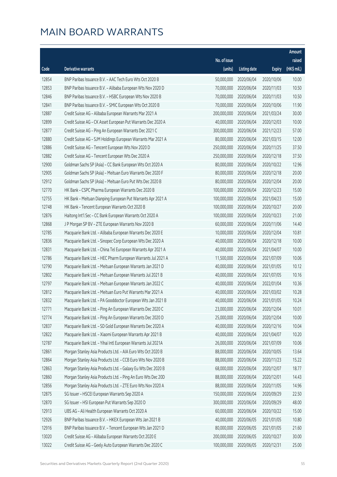|       |                                                              |              |                       |               | Amount      |
|-------|--------------------------------------------------------------|--------------|-----------------------|---------------|-------------|
|       |                                                              | No. of issue |                       |               | raised      |
| Code  | <b>Derivative warrants</b>                                   | (units)      | <b>Listing date</b>   | <b>Expiry</b> | (HK\$ mil.) |
| 12854 | BNP Paribas Issuance B.V. - AAC Tech Euro Wts Oct 2020 B     | 50,000,000   | 2020/06/04            | 2020/10/06    | 10.00       |
| 12853 | BNP Paribas Issuance B.V. - Alibaba European Wts Nov 2020 D  | 70,000,000   | 2020/06/04            | 2020/11/03    | 10.50       |
| 12846 | BNP Paribas Issuance B.V. - HSBC European Wts Nov 2020 B     | 70,000,000   | 2020/06/04            | 2020/11/03    | 10.50       |
| 12841 | BNP Paribas Issuance B.V. - SMIC European Wts Oct 2020 B     | 70,000,000   | 2020/06/04            | 2020/10/06    | 11.90       |
| 12887 | Credit Suisse AG - Alibaba European Warrants Mar 2021 A      | 200,000,000  | 2020/06/04            | 2021/03/24    | 30.00       |
| 12899 | Credit Suisse AG - CK Asset European Put Warrants Dec 2020 A | 40,000,000   | 2020/06/04            | 2020/12/03    | 10.00       |
| 12877 | Credit Suisse AG - Ping An European Warrants Dec 2021 C      | 300,000,000  | 2020/06/04            | 2021/12/23    | 57.00       |
| 12880 | Credit Suisse AG - SJM Holdings European Warrants Mar 2021 A | 80,000,000   | 2020/06/04            | 2021/03/15    | 12.00       |
| 12886 | Credit Suisse AG - Tencent European Wts Nov 2020 D           | 250,000,000  | 2020/06/04            | 2020/11/25    | 37.50       |
| 12882 | Credit Suisse AG - Tencent European Wts Dec 2020 A           | 250,000,000  | 2020/06/04            | 2020/12/18    | 37.50       |
| 12900 | Goldman Sachs SP (Asia) - CC Bank European Wts Oct 2020 A    | 80,000,000   | 2020/06/04            | 2020/10/22    | 12.96       |
| 12905 | Goldman Sachs SP (Asia) - Meituan Euro Warrants Dec 2020 F   | 80,000,000   | 2020/06/04            | 2020/12/18    | 20.00       |
| 12912 | Goldman Sachs SP (Asia) - Meituan Euro Put Wts Dec 2020 B    | 80,000,000   | 2020/06/04            | 2020/12/04    | 20.00       |
| 12770 | HK Bank - CSPC Pharma European Warrants Dec 2020 B           | 100,000,000  | 2020/06/04            | 2020/12/23    | 15.00       |
| 12755 | HK Bank - Meituan Dianping European Put Warrants Apr 2021 A  | 100,000,000  | 2020/06/04            | 2021/04/23    | 15.00       |
| 12748 | HK Bank - Tencent European Warrants Oct 2020 B               | 100,000,000  | 2020/06/04            | 2020/10/27    | 20.00       |
| 12876 | Haitong Int'l Sec - CC Bank European Warrants Oct 2020 A     | 100,000,000  | 2020/06/04            | 2020/10/23    | 21.00       |
| 12868 | J P Morgan SP BV - ZTE European Warrants Nov 2020 B          | 60,000,000   | 2020/06/04            | 2020/11/06    | 14.40       |
| 12785 | Macquarie Bank Ltd. - Alibaba European Warrants Dec 2020 E   | 10,000,000   | 2020/06/04            | 2020/12/04    | 10.81       |
| 12836 | Macquarie Bank Ltd. - Sinopec Corp European Wts Dec 2020 A   | 40,000,000   | 2020/06/04            | 2020/12/18    | 10.00       |
| 12831 | Macquarie Bank Ltd. - China Tel European Warrants Apr 2021 A | 40,000,000   | 2020/06/04            | 2021/04/07    | 10.00       |
| 12786 | Macquarie Bank Ltd. - HEC Pharm European Warrants Jul 2021 A | 11,500,000   | 2020/06/04            | 2021/07/09    | 10.06       |
| 12790 | Macquarie Bank Ltd. - Meituan European Warrants Jan 2021 D   | 40,000,000   | 2020/06/04            | 2021/01/05    | 10.12       |
| 12802 | Macquarie Bank Ltd. - Meituan European Warrants Jul 2021 B   | 40,000,000   | 2020/06/04            | 2021/07/05    | 10.16       |
| 12797 | Macquarie Bank Ltd. - Meituan European Warrants Jan 2022 C   | 40,000,000   | 2020/06/04            | 2022/01/04    | 10.36       |
| 12812 | Macquarie Bank Ltd. - Meituan Euro Put Warrants Mar 2021 A   | 40,000,000   | 2020/06/04            | 2021/03/02    | 10.28       |
| 12832 | Macquarie Bank Ltd. - PA Gooddoctor European Wts Jan 2021 B  |              | 40,000,000 2020/06/04 | 2021/01/05    | 10.24       |
| 12771 | Macquarie Bank Ltd. - Ping An European Warrants Dec 2020 C   | 23,000,000   | 2020/06/04            | 2020/12/04    | 10.01       |
| 12774 | Macquarie Bank Ltd. - Ping An European Warrants Dec 2020 D   | 25,000,000   | 2020/06/04            | 2020/12/04    | 10.00       |
| 12837 | Macquarie Bank Ltd. - SD Gold European Warrants Dec 2020 A   | 40,000,000   | 2020/06/04            | 2020/12/16    | 10.04       |
| 12822 | Macquarie Bank Ltd. - Xiaomi European Warrants Apr 2021 B    | 40,000,000   | 2020/06/04            | 2021/04/07    | 10.20       |
| 12787 | Macquarie Bank Ltd. - Yihai Intl European Warrants Jul 2021A | 26,000,000   | 2020/06/04            | 2021/07/09    | 10.06       |
| 12861 | Morgan Stanley Asia Products Ltd. - AIA Euro Wts Oct 2020 B  | 88,000,000   | 2020/06/04            | 2020/10/05    | 13.64       |
| 12864 | Morgan Stanley Asia Products Ltd. - CCB Euro Wts Nov 2020 B  | 88,000,000   | 2020/06/04            | 2020/11/23    | 15.22       |
| 12863 | Morgan Stanley Asia Products Ltd. - Galaxy Eu Wts Dec 2020 B | 68,000,000   | 2020/06/04            | 2020/12/07    | 18.77       |
| 12860 | Morgan Stanley Asia Products Ltd. - Ping An Euro Wts Dec 20D | 88,000,000   | 2020/06/04            | 2020/12/01    | 14.43       |
| 12856 | Morgan Stanley Asia Products Ltd. - ZTE Euro Wts Nov 2020 A  | 88,000,000   | 2020/06/04            | 2020/11/05    | 14.96       |
| 12875 | SG Issuer - HSCEI European Warrants Sep 2020 A               | 150,000,000  | 2020/06/04            | 2020/09/29    | 22.50       |
| 12870 | SG Issuer - HSI European Put Warrants Sep 2020 D             | 300,000,000  | 2020/06/04            | 2020/09/29    | 48.00       |
| 12913 | UBS AG - Ali Health European Warrants Oct 2020 A             | 60,000,000   | 2020/06/04            | 2020/10/22    | 15.00       |
| 12926 | BNP Paribas Issuance B.V. - HKEX European Wts Jan 2021 B     | 40,000,000   | 2020/06/05            | 2021/01/05    | 10.80       |
| 12916 | BNP Paribas Issuance B.V. - Tencent European Wts Jan 2021 D  | 80,000,000   | 2020/06/05            | 2021/01/05    | 21.60       |
| 13020 | Credit Suisse AG - Alibaba European Warrants Oct 2020 E      | 200,000,000  | 2020/06/05            | 2020/10/27    | 30.00       |
| 13022 | Credit Suisse AG - Geely Auto European Warrants Dec 2020 C   | 100,000,000  | 2020/06/05            | 2020/12/31    | 25.00       |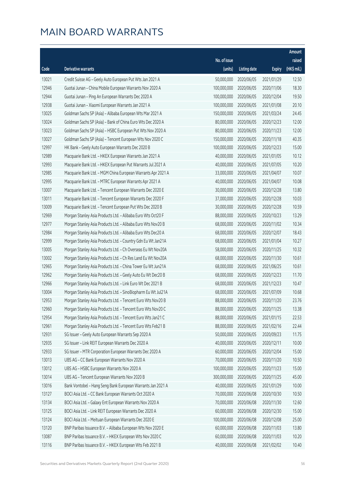|       |                                                               |              |                       |               | Amount      |
|-------|---------------------------------------------------------------|--------------|-----------------------|---------------|-------------|
|       |                                                               | No. of issue |                       |               | raised      |
| Code  | Derivative warrants                                           | (units)      | <b>Listing date</b>   | <b>Expiry</b> | (HK\$ mil.) |
| 13021 | Credit Suisse AG - Geely Auto European Put Wts Jan 2021 A     | 50,000,000   | 2020/06/05            | 2021/01/29    | 12.50       |
| 12946 | Guotai Junan - China Mobile European Warrants Nov 2020 A      | 100,000,000  | 2020/06/05            | 2020/11/06    | 18.30       |
| 12944 | Guotai Junan - Ping An European Warrants Dec 2020 A           | 100,000,000  | 2020/06/05            | 2020/12/04    | 19.50       |
| 12938 | Guotai Junan - Xiaomi European Warrants Jan 2021 A            | 100,000,000  | 2020/06/05            | 2021/01/08    | 20.10       |
| 13025 | Goldman Sachs SP (Asia) - Alibaba European Wts Mar 2021 A     | 150,000,000  | 2020/06/05            | 2021/03/24    | 24.45       |
| 13024 | Goldman Sachs SP (Asia) - Bank of China Euro Wts Dec 2020 A   | 80,000,000   | 2020/06/05            | 2020/12/23    | 12.00       |
| 13023 | Goldman Sachs SP (Asia) - HSBC European Put Wts Nov 2020 A    | 80,000,000   | 2020/06/05            | 2020/11/23    | 12.00       |
| 13027 | Goldman Sachs SP (Asia) - Tencent European Wts Nov 2020 C     | 150,000,000  | 2020/06/05            | 2020/11/18    | 40.35       |
| 12997 | HK Bank - Geely Auto European Warrants Dec 2020 B             | 100,000,000  | 2020/06/05            | 2020/12/23    | 15.00       |
| 12989 | Macquarie Bank Ltd. - HKEX European Warrants Jan 2021 A       | 40,000,000   | 2020/06/05            | 2021/01/05    | 10.12       |
| 12993 | Macquarie Bank Ltd. - HKEX European Put Warrants Jul 2021 A   | 40,000,000   | 2020/06/05            | 2021/07/05    | 10.20       |
| 12985 | Macquarie Bank Ltd. - MGM China European Warrants Apr 2021 A  | 33,000,000   | 2020/06/05            | 2021/04/07    | 10.07       |
| 12995 | Macquarie Bank Ltd. - MTRC European Warrants Apr 2021 A       | 40,000,000   | 2020/06/05            | 2021/04/07    | 10.08       |
| 13007 | Macquarie Bank Ltd. - Tencent European Warrants Dec 2020 E    | 30,000,000   | 2020/06/05            | 2020/12/28    | 13.80       |
| 13011 | Macquarie Bank Ltd. - Tencent European Warrants Dec 2020 F    | 37,000,000   | 2020/06/05            | 2020/12/28    | 10.03       |
| 13009 | Macquarie Bank Ltd. - Tencent European Put Wts Dec 2020 B     | 30,000,000   | 2020/06/05            | 2020/12/28    | 10.59       |
| 12969 | Morgan Stanley Asia Products Ltd. - Alibaba Euro Wts Oct20 F  | 88,000,000   | 2020/06/05            | 2020/10/23    | 13.29       |
| 12977 | Morgan Stanley Asia Products Ltd. - Alibaba Euro Wts Nov20 B  | 68,000,000   | 2020/06/05            | 2020/11/02    | 10.34       |
| 12984 | Morgan Stanley Asia Products Ltd. - Alibaba Euro Wts Dec20 A  | 68,000,000   | 2020/06/05            | 2020/12/07    | 18.43       |
| 12999 | Morgan Stanley Asia Products Ltd. - Country Gdn Eu Wt Jan21A  | 68,000,000   | 2020/06/05            | 2021/01/04    | 10.27       |
| 13005 | Morgan Stanley Asia Products Ltd. - Ch Overseas Eu Wt Nov20A  | 58,000,000   | 2020/06/05            | 2020/11/25    | 10.32       |
| 13002 | Morgan Stanley Asia Products Ltd. - Ch Res Land Eu Wt Nov20A  | 68,000,000   | 2020/06/05            | 2020/11/30    | 10.61       |
| 12965 | Morgan Stanley Asia Products Ltd. - China Tower Eu Wt Jun21A  | 68,000,000   | 2020/06/05            | 2021/06/25    | 10.61       |
| 12962 | Morgan Stanley Asia Products Ltd. - Geely Auto Eu Wt Dec20 B  | 68,000,000   | 2020/06/05            | 2020/12/23    | 11.70       |
| 12966 | Morgan Stanley Asia Products Ltd. - Link Euro Wt Dec 2021 B   | 68,000,000   | 2020/06/05            | 2021/12/23    | 10.47       |
| 13004 | Morgan Stanley Asia Products Ltd. - SinoBiopharm Eu Wt Jul21A | 68,000,000   | 2020/06/05            | 2021/07/09    | 10.68       |
| 12953 | Morgan Stanley Asia Products Ltd. - Tencent Euro Wts Nov20 B  |              | 88,000,000 2020/06/05 | 2020/11/20    | 23.76       |
| 12960 | Morgan Stanley Asia Products Ltd. - Tencent Euro Wts Nov20 C  | 88,000,000   | 2020/06/05            | 2020/11/25    | 13.38       |
| 12954 | Morgan Stanley Asia Products Ltd. - Tencent Euro Wts Jan21 C  | 88,000,000   | 2020/06/05            | 2021/01/15    | 22.53       |
| 12961 | Morgan Stanley Asia Products Ltd. - Tencent Euro Wts Feb21 B  | 88,000,000   | 2020/06/05            | 2021/02/16    | 22.44       |
| 12931 | SG Issuer - Geely Auto European Warrants Sep 2020 A           | 50,000,000   | 2020/06/05            | 2020/09/23    | 11.75       |
| 12935 | SG Issuer - Link REIT European Warrants Dec 2020 A            | 40,000,000   | 2020/06/05            | 2020/12/11    | 10.00       |
| 12933 | SG Issuer - MTR Corporation European Warrants Dec 2020 A      | 60,000,000   | 2020/06/05            | 2020/12/04    | 15.00       |
| 13013 | UBS AG - CC Bank European Warrants Nov 2020 A                 | 70,000,000   | 2020/06/05            | 2020/11/20    | 10.50       |
| 13012 | UBS AG - HSBC European Warrants Nov 2020 A                    | 100,000,000  | 2020/06/05            | 2020/11/23    | 15.00       |
| 13014 | UBS AG - Tencent European Warrants Nov 2020 B                 | 300,000,000  | 2020/06/05            | 2020/11/25    | 45.00       |
| 13016 | Bank Vontobel - Hang Seng Bank European Warrants Jan 2021 A   | 40,000,000   | 2020/06/05            | 2021/01/29    | 10.00       |
| 13127 | BOCI Asia Ltd. - CC Bank European Warrants Oct 2020 A         | 70,000,000   | 2020/06/08            | 2020/10/30    | 10.50       |
| 13134 | BOCI Asia Ltd. - Galaxy Ent European Warrants Nov 2020 A      | 70,000,000   | 2020/06/08            | 2020/11/30    | 12.60       |
| 13125 | BOCI Asia Ltd. - Link REIT European Warrants Dec 2020 A       | 60,000,000   | 2020/06/08            | 2020/12/30    | 15.00       |
| 13124 | BOCI Asia Ltd. - Meituan European Warrants Dec 2020 E         | 100,000,000  | 2020/06/08            | 2020/12/08    | 25.00       |
| 13120 | BNP Paribas Issuance B.V. - Alibaba European Wts Nov 2020 E   | 60,000,000   | 2020/06/08            | 2020/11/03    | 13.80       |
| 13087 | BNP Paribas Issuance B.V. - HKEX European Wts Nov 2020 C      | 60,000,000   | 2020/06/08            | 2020/11/03    | 10.20       |
| 13116 | BNP Paribas Issuance B.V. - HKEX European Wts Feb 2021 B      | 40,000,000   | 2020/06/08            | 2021/02/02    | 10.40       |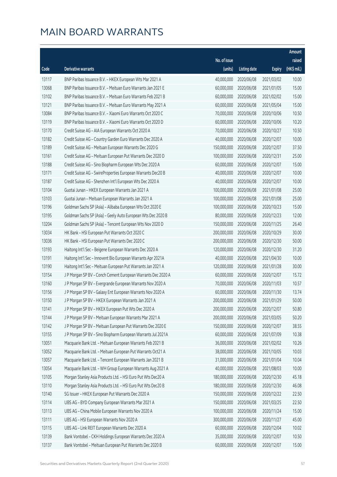|       |                                                              |                        |                     |               | Amount      |
|-------|--------------------------------------------------------------|------------------------|---------------------|---------------|-------------|
|       |                                                              | No. of issue           |                     |               | raised      |
| Code  | Derivative warrants                                          | (units)                | <b>Listing date</b> | <b>Expiry</b> | (HK\$ mil.) |
| 13117 | BNP Paribas Issuance B.V. - HKEX European Wts Mar 2021 A     | 40,000,000             | 2020/06/08          | 2021/03/02    | 10.00       |
| 13068 | BNP Paribas Issuance B.V. - Meituan Euro Warrants Jan 2021 E | 60,000,000             | 2020/06/08          | 2021/01/05    | 15.00       |
| 13102 | BNP Paribas Issuance B.V. - Meituan Euro Warrants Feb 2021 B | 60,000,000             | 2020/06/08          | 2021/02/02    | 15.00       |
| 13121 | BNP Paribas Issuance B.V. - Meituan Euro Warrants May 2021 A | 60,000,000             | 2020/06/08          | 2021/05/04    | 15.00       |
| 13084 | BNP Paribas Issuance B.V. - Xiaomi Euro Warrants Oct 2020 C  | 70,000,000             | 2020/06/08          | 2020/10/06    | 10.50       |
| 13119 | BNP Paribas Issuance B.V. - Xiaomi Euro Warrants Oct 2020 D  | 60,000,000             | 2020/06/08          | 2020/10/06    | 10.20       |
| 13170 | Credit Suisse AG - AIA European Warrants Oct 2020 A          | 70,000,000             | 2020/06/08          | 2020/10/27    | 10.50       |
| 13182 | Credit Suisse AG - Country Garden Euro Warrants Dec 2020 A   | 40,000,000             | 2020/06/08          | 2020/12/07    | 10.00       |
| 13189 | Credit Suisse AG - Meituan European Warrants Dec 2020 G      | 150,000,000            | 2020/06/08          | 2020/12/07    | 37.50       |
| 13161 | Credit Suisse AG - Meituan European Put Warrants Dec 2020 D  | 100,000,000            | 2020/06/08          | 2020/12/31    | 25.00       |
| 13188 | Credit Suisse AG - Sino Biopharm European Wts Dec 2020 A     | 60,000,000             | 2020/06/08          | 2020/12/07    | 15.00       |
| 13171 | Credit Suisse AG - SwireProperties European Warrants Dec20 B | 40,000,000             | 2020/06/08          | 2020/12/07    | 10.00       |
| 13187 | Credit Suisse AG - Shenzhen Int'l European Wts Dec 2020 A    | 40,000,000             | 2020/06/08          | 2020/12/07    | 10.00       |
| 13104 | Guotai Junan - HKEX European Warrants Jan 2021 A             | 100,000,000            | 2020/06/08          | 2021/01/08    | 25.00       |
| 13103 | Guotai Junan - Meituan European Warrants Jan 2021 A          | 100,000,000            | 2020/06/08          | 2021/01/08    | 25.00       |
| 13196 | Goldman Sachs SP (Asia) - Alibaba European Wts Oct 2020 E    | 100,000,000            | 2020/06/08          | 2020/10/23    | 15.00       |
| 13195 | Goldman Sachs SP (Asia) - Geely Auto European Wts Dec 2020 B | 80,000,000             | 2020/06/08          | 2020/12/23    | 12.00       |
| 13204 | Goldman Sachs SP (Asia) - Tencent European Wts Nov 2020 D    | 150,000,000            | 2020/06/08          | 2020/11/25    | 26.40       |
| 13034 | HK Bank - HSI European Put Warrants Oct 2020 C               | 200,000,000            | 2020/06/08          | 2020/10/29    | 30.00       |
| 13036 | HK Bank - HSI European Put Warrants Dec 2020 C               | 200,000,000            | 2020/06/08          | 2020/12/30    | 50.00       |
| 13193 | Haitong Int'l Sec - Beigene European Warrants Dec 2020 A     | 120,000,000            | 2020/06/08          | 2020/12/30    | 31.20       |
| 13191 | Haitong Int'l Sec - Innovent Bio European Warrants Apr 2021A | 40,000,000             | 2020/06/08          | 2021/04/30    | 10.00       |
| 13190 | Haitong Int'l Sec - Meituan European Put Warrants Jan 2021 A | 120,000,000            | 2020/06/08          | 2021/01/28    | 30.00       |
| 13154 | J P Morgan SP BV - Conch Cement European Warrants Dec 2020 A | 60,000,000             | 2020/06/08          | 2020/12/07    | 15.72       |
| 13160 | J P Morgan SP BV - Evergrande European Warrants Nov 2020 A   | 70,000,000             | 2020/06/08          | 2020/11/03    | 10.57       |
| 13156 | J P Morgan SP BV - Galaxy Ent European Warrants Nov 2020 A   | 60,000,000             | 2020/06/08          | 2020/11/30    | 13.74       |
| 13150 | J P Morgan SP BV - HKEX European Warrants Jan 2021 A         | 200,000,000 2020/06/08 |                     | 2021/01/29    | 50.00       |
| 13141 | J P Morgan SP BV - HKEX European Put Wts Dec 2020 A          | 200,000,000            | 2020/06/08          | 2020/12/07    | 50.80       |
| 13144 | J P Morgan SP BV - Meituan European Warrants Mar 2021 A      | 200,000,000            | 2020/06/08          | 2021/03/05    | 50.20       |
| 13142 | J P Morgan SP BV - Meituan European Put Warrants Dec 2020 E  | 150,000,000            | 2020/06/08          | 2020/12/07    | 38.55       |
| 13155 | J P Morgan SP BV - Sino Biopharm European Warrants Jul 2021A | 60,000,000             | 2020/06/08          | 2021/07/09    | 10.38       |
| 13051 | Macquarie Bank Ltd. - Meituan European Warrants Feb 2021 B   | 36,000,000             | 2020/06/08          | 2021/02/02    | 10.26       |
| 13052 | Macquarie Bank Ltd. - Meituan European Put Warrants Oct21 A  | 38,000,000             | 2020/06/08          | 2021/10/05    | 10.03       |
| 13057 | Macquarie Bank Ltd. - Tencent European Warrants Jan 2021 B   | 31,000,000             | 2020/06/08          | 2021/01/04    | 10.04       |
| 13054 | Macquarie Bank Ltd. - WH Group European Warrants Aug 2021 A  | 40,000,000             | 2020/06/08          | 2021/08/03    | 10.00       |
| 13105 | Morgan Stanley Asia Products Ltd. - HSI Euro Put Wts Dec20 A | 180,000,000            | 2020/06/08          | 2020/12/30    | 45.18       |
| 13110 | Morgan Stanley Asia Products Ltd. - HSI Euro Put Wts Dec20 B | 180,000,000            | 2020/06/08          | 2020/12/30    | 46.08       |
| 13140 | SG Issuer - HKEX European Put Warrants Dec 2020 A            | 150,000,000            | 2020/06/08          | 2020/12/22    | 22.50       |
| 13114 | UBS AG - BYD Company European Warrants Mar 2021 A            | 150,000,000            | 2020/06/08          | 2021/03/25    | 22.50       |
| 13113 | UBS AG - China Mobile European Warrants Nov 2020 A           | 100,000,000            | 2020/06/08          | 2020/11/24    | 15.00       |
| 13111 | UBS AG - HSI European Warrants Nov 2020 A                    | 300,000,000            | 2020/06/08          | 2020/11/27    | 45.00       |
| 13115 | UBS AG - Link REIT European Warrants Dec 2020 A              | 60,000,000             | 2020/06/08          | 2020/12/04    | 10.02       |
| 13139 | Bank Vontobel - CKH Holdings European Warrants Dec 2020 A    | 35,000,000             | 2020/06/08          | 2020/12/07    | 10.50       |
| 13137 | Bank Vontobel - Meituan European Put Warrants Dec 2020 B     | 60,000,000             | 2020/06/08          | 2020/12/07    | 15.00       |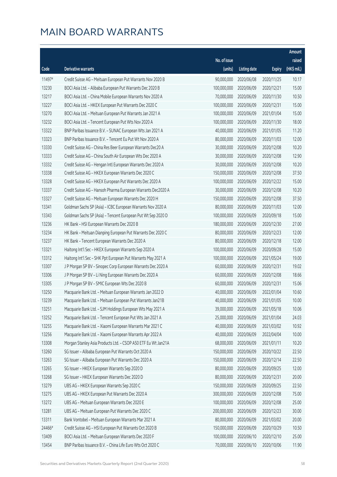|        |                                                               |              |                       |               | Amount      |
|--------|---------------------------------------------------------------|--------------|-----------------------|---------------|-------------|
|        |                                                               | No. of issue |                       |               | raised      |
| Code   | Derivative warrants                                           | (units)      | <b>Listing date</b>   | <b>Expiry</b> | (HK\$ mil.) |
| 11497# | Credit Suisse AG - Meituan European Put Warrants Nov 2020 B   | 90,000,000   | 2020/06/08            | 2020/11/25    | 10.17       |
| 13230  | BOCI Asia Ltd. - Alibaba European Put Warrants Dec 2020 B     | 100,000,000  | 2020/06/09            | 2020/12/21    | 15.00       |
| 13217  | BOCI Asia Ltd. - China Mobile European Warrants Nov 2020 A    | 70,000,000   | 2020/06/09            | 2020/11/30    | 10.50       |
| 13227  | BOCI Asia Ltd. - HKEX European Put Warrants Dec 2020 C        | 100,000,000  | 2020/06/09            | 2020/12/31    | 15.00       |
| 13270  | BOCI Asia Ltd. - Meituan European Put Warrants Jan 2021 A     | 100,000,000  | 2020/06/09            | 2021/01/04    | 15.00       |
| 13232  | BOCI Asia Ltd. - Tencent European Put Wts Nov 2020 A          | 100,000,000  | 2020/06/09            | 2020/11/30    | 18.00       |
| 13322  | BNP Paribas Issuance B.V. - SUNAC European Wts Jan 2021 A     | 40,000,000   | 2020/06/09            | 2021/01/05    | 11.20       |
| 13323  | BNP Paribas Issuance B.V. - Tencent Eu Put Wt Nov 2020 A      | 80,000,000   | 2020/06/09            | 2020/11/03    | 12.00       |
| 13330  | Credit Suisse AG - China Res Beer European Warrants Dec20 A   | 30,000,000   | 2020/06/09            | 2020/12/08    | 10.20       |
| 13333  | Credit Suisse AG - China South Air European Wts Dec 2020 A    | 30,000,000   | 2020/06/09            | 2020/12/08    | 12.90       |
| 13332  | Credit Suisse AG - Hengan Intl European Warrants Dec 2020 A   | 30,000,000   | 2020/06/09            | 2020/12/08    | 10.20       |
| 13338  | Credit Suisse AG - HKEX European Warrants Dec 2020 C          | 150,000,000  | 2020/06/09            | 2020/12/08    | 37.50       |
| 13328  | Credit Suisse AG - HKEX European Put Warrants Dec 2020 A      | 100,000,000  | 2020/06/09            | 2020/12/22    | 15.00       |
| 13337  | Credit Suisse AG - Hansoh Pharma European Warrants Dec2020 A  | 30,000,000   | 2020/06/09            | 2020/12/08    | 10.20       |
| 13327  | Credit Suisse AG - Meituan European Warrants Dec 2020 H       | 150,000,000  | 2020/06/09            | 2020/12/08    | 37.50       |
| 13341  | Goldman Sachs SP (Asia) - ICBC European Warrants Nov 2020 A   | 80,000,000   | 2020/06/09            | 2020/11/03    | 12.00       |
| 13343  | Goldman Sachs SP (Asia) - Tencent European Put Wt Sep 2020 D  | 100,000,000  | 2020/06/09            | 2020/09/18    | 15.00       |
| 13236  | HK Bank - HSI European Warrants Dec 2020 B                    | 180,000,000  | 2020/06/09            | 2020/12/30    | 27.00       |
| 13234  | HK Bank - Meituan Dianping European Put Warrants Dec 2020 C   | 80,000,000   | 2020/06/09            | 2020/12/23    | 12.00       |
| 13237  | HK Bank - Tencent European Warrants Dec 2020 A                | 80,000,000   | 2020/06/09            | 2020/12/18    | 12.00       |
| 13321  | Haitong Int'l Sec - HKEX European Warrants Sep 2020 A         | 100,000,000  | 2020/06/09            | 2020/09/28    | 15.00       |
| 13312  | Haitong Int'l Sec - SHK Ppt European Put Warrants May 2021 A  | 100,000,000  | 2020/06/09            | 2021/05/24    | 19.00       |
| 13307  | J P Morgan SP BV - Sinopec Corp European Warrants Dec 2020 A  | 60,000,000   | 2020/06/09            | 2020/12/31    | 19.02       |
| 13306  | J P Morgan SP BV - Li Ning European Warrants Dec 2020 A       | 60,000,000   | 2020/06/09            | 2020/12/08    | 18.66       |
| 13305  | J P Morgan SP BV - SMIC European Wts Dec 2020 B               | 60,000,000   | 2020/06/09            | 2020/12/31    | 15.06       |
| 13250  | Macquarie Bank Ltd. - Meituan European Warrants Jan 2022 D    | 40,000,000   | 2020/06/09            | 2022/01/04    | 10.60       |
| 13239  | Macquarie Bank Ltd. - Meituan European Put Warrants Jan21B    |              | 40,000,000 2020/06/09 | 2021/01/05    | 10.00       |
| 13251  | Macquarie Bank Ltd. - SJM Holdings European Wts May 2021 A    | 39,000,000   | 2020/06/09            | 2021/05/18    | 10.06       |
| 13252  | Macquarie Bank Ltd. - Tencent European Put Wts Jan 2021 A     | 25,000,000   | 2020/06/09            | 2021/01/04    | 24.03       |
| 13255  | Macquarie Bank Ltd. - Xiaomi European Warrants Mar 2021 C     | 40,000,000   | 2020/06/09            | 2021/03/02    | 10.92       |
| 13256  | Macquarie Bank Ltd. - Xiaomi European Warrants Apr 2022 A     | 40,000,000   | 2020/06/09            | 2022/04/04    | 10.00       |
| 13308  | Morgan Stanley Asia Products Ltd. - CSOP A50 ETF Eu Wt Jan21A | 68,000,000   | 2020/06/09            | 2021/01/11    | 10.20       |
| 13260  | SG Issuer - Alibaba European Put Warrants Oct 2020 A          | 150,000,000  | 2020/06/09            | 2020/10/22    | 22.50       |
| 13263  | SG Issuer - Alibaba European Put Warrants Dec 2020 A          | 150,000,000  | 2020/06/09            | 2020/12/14    | 22.50       |
| 13265  | SG Issuer - HKEX European Warrants Sep 2020 D                 | 80,000,000   | 2020/06/09            | 2020/09/25    | 12.00       |
| 13268  | SG Issuer - HKEX European Warrants Dec 2020 D                 | 80,000,000   | 2020/06/09            | 2020/12/31    | 20.00       |
| 13279  | UBS AG - HKEX European Warrants Sep 2020 C                    | 150,000,000  | 2020/06/09            | 2020/09/25    | 22.50       |
| 13275  | UBS AG - HKEX European Put Warrants Dec 2020 A                | 300,000,000  | 2020/06/09            | 2020/12/08    | 75.00       |
| 13272  | UBS AG - Meituan European Warrants Dec 2020 E                 | 100,000,000  | 2020/06/09            | 2020/12/08    | 25.00       |
| 13281  | UBS AG - Meituan European Put Warrants Dec 2020 C             | 200,000,000  | 2020/06/09            | 2020/12/23    | 30.00       |
| 13311  | Bank Vontobel - Meituan European Warrants Mar 2021 A          | 80,000,000   | 2020/06/09            | 2021/03/02    | 20.00       |
| 24466# | Credit Suisse AG - HSI European Put Warrants Oct 2020 B       | 150,000,000  | 2020/06/09            | 2020/10/29    | 10.50       |
| 13409  | BOCI Asia Ltd. - Meituan European Warrants Dec 2020 F         | 100,000,000  | 2020/06/10            | 2020/12/10    | 25.00       |
| 13454  | BNP Paribas Issuance B.V. - China Life Euro Wts Oct 2020 C    | 70,000,000   | 2020/06/10            | 2020/10/06    | 11.90       |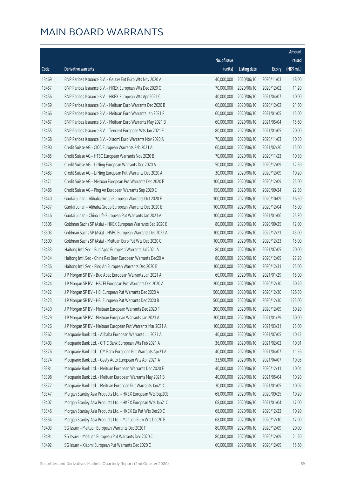|       |                                                              |              |                        |               | Amount      |
|-------|--------------------------------------------------------------|--------------|------------------------|---------------|-------------|
|       |                                                              | No. of issue |                        |               | raised      |
| Code  | <b>Derivative warrants</b>                                   | (units)      | <b>Listing date</b>    | <b>Expiry</b> | (HK\$ mil.) |
| 13469 | BNP Paribas Issuance B.V. - Galaxy Ent Euro Wts Nov 2020 A   | 40,000,000   | 2020/06/10             | 2020/11/03    | 18.00       |
| 13457 | BNP Paribas Issuance B.V. - HKEX European Wts Dec 2020 C     | 70,000,000   | 2020/06/10             | 2020/12/02    | 11.20       |
| 13456 | BNP Paribas Issuance B.V. - HKEX European Wts Apr 2021 C     | 40,000,000   | 2020/06/10             | 2021/04/07    | 10.00       |
| 13459 | BNP Paribas Issuance B.V. - Meituan Euro Warrants Dec 2020 B | 60,000,000   | 2020/06/10             | 2020/12/02    | 21.60       |
| 13466 | BNP Paribas Issuance B.V. - Meituan Euro Warrants Jan 2021 F | 60,000,000   | 2020/06/10             | 2021/01/05    | 15.00       |
| 13467 | BNP Paribas Issuance B.V. - Meituan Euro Warrants May 2021 B | 60,000,000   | 2020/06/10             | 2021/05/04    | 15.60       |
| 13455 | BNP Paribas Issuance B.V. - Tencent European Wts Jan 2021 E  | 80,000,000   | 2020/06/10             | 2021/01/05    | 20.00       |
| 13468 | BNP Paribas Issuance B.V. - Xiaomi Euro Warrants Nov 2020 A  | 70,000,000   | 2020/06/10             | 2020/11/03    | 10.50       |
| 13490 | Credit Suisse AG - CICC European Warrants Feb 2021 A         | 60,000,000   | 2020/06/10             | 2021/02/26    | 15.00       |
| 13485 | Credit Suisse AG - HTSC European Warrants Nov 2020 B         | 70,000,000   | 2020/06/10             | 2020/11/23    | 10.50       |
| 13473 | Credit Suisse AG - Li Ning European Warrants Dec 2020 A      | 50,000,000   | 2020/06/10             | 2020/12/09    | 12.50       |
| 13483 | Credit Suisse AG - Li Ning European Put Warrants Dec 2020 A  | 30,000,000   | 2020/06/10             | 2020/12/09    | 10.20       |
| 13471 | Credit Suisse AG - Meituan European Put Warrants Dec 2020 E  | 100,000,000  | 2020/06/10             | 2020/12/09    | 25.00       |
| 13486 | Credit Suisse AG - Ping An European Warrants Sep 2020 E      | 150,000,000  | 2020/06/10             | 2020/09/24    | 22.50       |
| 13440 | Guotai Junan - Alibaba Group European Warrants Oct 2020 E    | 100,000,000  | 2020/06/10             | 2020/10/09    | 16.50       |
| 13437 | Guotai Junan - Alibaba Group European Warrants Dec 2020 B    | 100,000,000  | 2020/06/10             | 2020/12/04    | 15.00       |
| 13446 | Guotai Junan - China Life European Put Warrants Jan 2021 A   | 100,000,000  | 2020/06/10             | 2021/01/06    | 25.30       |
| 13505 | Goldman Sachs SP (Asia) - HKEX European Warrants Sep 2020 E  | 80,000,000   | 2020/06/10             | 2020/09/25    | 12.00       |
| 13503 | Goldman Sachs SP (Asia) - HSBC European Warrants Dec 2022 A  | 300,000,000  | 2020/06/10             | 2022/12/21    | 45.00       |
| 13509 | Goldman Sachs SP (Asia) - Meituan Euro Put Wts Dec 2020 C    | 100,000,000  | 2020/06/10             | 2020/12/23    | 15.00       |
| 13433 | Haitong Int'l Sec - Bud Apac European Warrants Jul 2021 A    | 80,000,000   | 2020/06/10             | 2021/07/05    | 20.00       |
| 13434 | Haitong Int'l Sec - China Res Beer European Warrants Dec20 A | 80,000,000   | 2020/06/10             | 2020/12/09    | 27.20       |
| 13436 | Haitong Int'l Sec - Ping An European Warrants Dec 2020 B     | 100,000,000  | 2020/06/10             | 2020/12/31    | 25.00       |
| 13432 | J P Morgan SP BV - Bud Apac European Warrants Jan 2021 A     | 60,000,000   | 2020/06/10             | 2021/01/29    | 15.00       |
| 13424 | J P Morgan SP BV - HSCEI European Put Warrants Dec 2020 A    | 200,000,000  | 2020/06/10             | 2020/12/30    | 50.20       |
| 13422 | J P Morgan SP BV - HSI European Put Warrants Dec 2020 A      | 500,000,000  | 2020/06/10             | 2020/12/30    | 126.50      |
| 13423 | J P Morgan SP BV - HSI European Put Warrants Dec 2020 B      |              | 500,000,000 2020/06/10 | 2020/12/30    | 125.00      |
| 13430 | J P Morgan SP BV - Meituan European Warrants Dec 2020 F      | 200,000,000  | 2020/06/10             | 2020/12/09    | 50.20       |
| 13429 | J P Morgan SP BV - Meituan European Warrants Jan 2021 A      | 200,000,000  | 2020/06/10             | 2021/01/29    | 50.00       |
| 13426 | J P Morgan SP BV - Meituan European Put Warrants Mar 2021 A  | 100,000,000  | 2020/06/10             | 2021/03/31    | 25.00       |
| 13362 | Macquarie Bank Ltd. - Alibaba European Warrants Jul 2021 A   | 40,000,000   | 2020/06/10             | 2021/07/05    | 10.12       |
| 13403 | Macquarie Bank Ltd. - CITIC Bank European Wts Feb 2021 A     | 36,000,000   | 2020/06/10             | 2021/02/02    | 10.01       |
| 13376 | Macquarie Bank Ltd. - CM Bank European Put Warrants Apr21 A  | 40,000,000   | 2020/06/10             | 2021/04/07    | 11.56       |
| 13374 | Macquarie Bank Ltd. - Geely Auto European Wts Apr 2021 A     | 33,500,000   | 2020/06/10             | 2021/04/07    | 10.05       |
| 13381 | Macquarie Bank Ltd. - Meituan European Warrants Dec 2020 E   | 40,000,000   | 2020/06/10             | 2020/12/11    | 10.04       |
| 13398 | Macquarie Bank Ltd. - Meituan European Warrants May 2021 B   | 40,000,000   | 2020/06/10             | 2021/05/04    | 10.20       |
| 13377 | Macquarie Bank Ltd. - Meituan European Put Warrants Jan21 C  | 30,000,000   | 2020/06/10             | 2021/01/05    | 10.02       |
| 13347 | Morgan Stanley Asia Products Ltd. - HKEX European Wts Sep20B | 68,000,000   | 2020/06/10             | 2020/09/25    | 10.20       |
| 13407 | Morgan Stanley Asia Products Ltd. - HKEX European Wts Jan21C | 68,000,000   | 2020/06/10             | 2021/01/04    | 17.00       |
| 13346 | Morgan Stanley Asia Products Ltd. - HKEX Eu Put Wts Dec20 C  | 68,000,000   | 2020/06/10             | 2020/12/22    | 10.20       |
| 13354 | Morgan Stanley Asia Products Ltd. - Meituan Euro Wts Dec20 E | 68,000,000   | 2020/06/10             | 2020/12/10    | 17.00       |
| 13493 | SG Issuer - Meituan European Warrants Dec 2020 F             | 80,000,000   | 2020/06/10             | 2020/12/09    | 20.00       |
| 13491 | SG Issuer - Meituan European Put Warrants Dec 2020 C         | 80,000,000   | 2020/06/10             | 2020/12/09    | 21.20       |
| 13492 | SG Issuer - Xiaomi European Put Warrants Dec 2020 C          | 60,000,000   | 2020/06/10             | 2020/12/09    | 15.60       |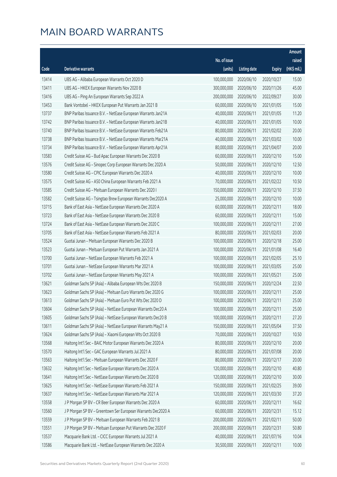|       |                                                              |                        |                     |               | Amount      |
|-------|--------------------------------------------------------------|------------------------|---------------------|---------------|-------------|
|       |                                                              | No. of issue           |                     |               | raised      |
| Code  | Derivative warrants                                          | (units)                | <b>Listing date</b> | <b>Expiry</b> | (HK\$ mil.) |
| 13414 | UBS AG - Alibaba European Warrants Oct 2020 D                | 100,000,000            | 2020/06/10          | 2020/10/27    | 15.00       |
| 13411 | UBS AG - HKEX European Warrants Nov 2020 B                   | 300,000,000            | 2020/06/10          | 2020/11/26    | 45.00       |
| 13416 | UBS AG - Ping An European Warrants Sep 2022 A                | 200,000,000            | 2020/06/10          | 2022/09/27    | 30.00       |
| 13453 | Bank Vontobel - HKEX European Put Warrants Jan 2021 B        | 60,000,000             | 2020/06/10          | 2021/01/05    | 15.00       |
| 13737 | BNP Paribas Issuance B.V. - NetEase European Warrants Jan21A | 40,000,000             | 2020/06/11          | 2021/01/05    | 11.20       |
| 13742 | BNP Paribas Issuance B.V. - NetEase European Warrants Jan21B | 40,000,000             | 2020/06/11          | 2021/01/05    | 10.00       |
| 13740 | BNP Paribas Issuance B.V. - NetEase European Warrants Feb21A | 80,000,000             | 2020/06/11          | 2021/02/02    | 20.00       |
| 13738 | BNP Paribas Issuance B.V. - NetEase European Warrants Mar21A | 40,000,000             | 2020/06/11          | 2021/03/02    | 10.00       |
| 13734 | BNP Paribas Issuance B.V. - NetEase European Warrants Apr21A | 80,000,000             | 2020/06/11          | 2021/04/07    | 20.00       |
| 13583 | Credit Suisse AG - Bud Apac European Warrants Dec 2020 B     | 60,000,000             | 2020/06/11          | 2020/12/10    | 15.00       |
| 13576 | Credit Suisse AG - Sinopec Corp European Warrants Dec 2020 A | 50,000,000             | 2020/06/11          | 2020/12/10    | 12.50       |
| 13580 | Credit Suisse AG - CPIC European Warrants Dec 2020 A         | 40,000,000             | 2020/06/11          | 2020/12/10    | 10.00       |
| 13575 | Credit Suisse AG - A50 China European Warrants Feb 2021 A    | 70,000,000             | 2020/06/11          | 2021/02/22    | 10.50       |
| 13585 | Credit Suisse AG - Meituan European Warrants Dec 2020 I      | 150,000,000            | 2020/06/11          | 2020/12/10    | 37.50       |
| 13582 | Credit Suisse AG - Tsingtao Brew European Warrants Dec2020 A | 25,000,000             | 2020/06/11          | 2020/12/10    | 10.00       |
| 13715 | Bank of East Asia - NetEase European Warrants Dec 2020 A     | 60,000,000             | 2020/06/11          | 2020/12/11    | 18.00       |
| 13723 | Bank of East Asia - NetEase European Warrants Dec 2020 B     | 60,000,000             | 2020/06/11          | 2020/12/11    | 15.00       |
| 13724 | Bank of East Asia - NetEase European Warrants Dec 2020 C     | 100,000,000            | 2020/06/11          | 2020/12/11    | 27.00       |
| 13705 | Bank of East Asia - NetEase European Warrants Feb 2021 A     | 80,000,000             | 2020/06/11          | 2021/02/03    | 20.00       |
| 13524 | Guotai Junan - Meituan European Warrants Dec 2020 B          | 100,000,000            | 2020/06/11          | 2020/12/18    | 25.00       |
| 13523 | Guotai Junan - Meituan European Put Warrants Jan 2021 A      | 100,000,000            | 2020/06/11          | 2021/01/08    | 16.40       |
| 13700 | Guotai Junan - NetEase European Warrants Feb 2021 A          | 100,000,000            | 2020/06/11          | 2021/02/05    | 25.10       |
| 13701 | Guotai Junan - NetEase European Warrants Mar 2021 A          | 100,000,000            | 2020/06/11          | 2021/03/05    | 25.00       |
| 13702 | Guotai Junan - NetEase European Warrants May 2021 A          | 100,000,000            | 2020/06/11          | 2021/05/21    | 25.00       |
| 13621 | Goldman Sachs SP (Asia) - Alibaba European Wts Dec 2020 B    | 150,000,000            | 2020/06/11          | 2020/12/24    | 22.50       |
| 13623 | Goldman Sachs SP (Asia) - Meituan Euro Warrants Dec 2020 G   | 100,000,000            | 2020/06/11          | 2020/12/11    | 25.00       |
| 13613 | Goldman Sachs SP (Asia) - Meituan Euro Put Wts Dec 2020 D    | 100,000,000 2020/06/11 |                     | 2020/12/11    | 25.00       |
| 13604 | Goldman Sachs SP (Asia) - NetEase European Warrants Dec20 A  | 100,000,000            | 2020/06/11          | 2020/12/11    | 25.00       |
| 13605 | Goldman Sachs SP (Asia) - NetEase European Warrants Dec20 B  | 100,000,000            | 2020/06/11          | 2020/12/11    | 27.20       |
| 13611 | Goldman Sachs SP (Asia) - NetEase European Warrants May21 A  | 150,000,000            | 2020/06/11          | 2021/05/04    | 37.50       |
| 13624 | Goldman Sachs SP (Asia) - Xiaomi European Wts Oct 2020 B     | 70,000,000             | 2020/06/11          | 2020/10/27    | 10.50       |
| 13568 | Haitong Int'l Sec - BAIC Motor European Warrants Dec 2020 A  | 80,000,000             | 2020/06/11          | 2020/12/10    | 20.00       |
| 13570 | Haitong Int'l Sec - GAC European Warrants Jul 2021 A         | 80,000,000             | 2020/06/11          | 2021/07/08    | 20.00       |
| 13563 | Haitong Int'l Sec - Meituan European Warrants Dec 2020 F     | 80,000,000             | 2020/06/11          | 2020/12/17    | 20.00       |
| 13632 | Haitong Int'l Sec - NetEase European Warrants Dec 2020 A     | 120,000,000            | 2020/06/11          | 2020/12/10    | 40.80       |
| 13641 | Haitong Int'l Sec - NetEase European Warrants Dec 2020 B     | 120,000,000            | 2020/06/11          | 2020/12/10    | 30.00       |
| 13625 | Haitong Int'l Sec - NetEase European Warrants Feb 2021 A     | 150,000,000            | 2020/06/11          | 2021/02/25    | 39.00       |
| 13637 | Haitong Int'l Sec - NetEase European Warrants Mar 2021 A     | 120,000,000            | 2020/06/11          | 2021/03/30    | 37.20       |
| 13558 | J P Morgan SP BV - CR Beer European Warrants Dec 2020 A      | 60,000,000             | 2020/06/11          | 2020/12/11    | 16.62       |
| 13560 | J P Morgan SP BV - Greentown Ser European Warrants Dec2020 A | 60,000,000             | 2020/06/11          | 2020/12/31    | 15.12       |
| 13559 | J P Morgan SP BV - Meituan European Warrants Feb 2021 B      | 200,000,000            | 2020/06/11          | 2021/02/11    | 50.00       |
| 13551 | J P Morgan SP BV - Meituan European Put Warrants Dec 2020 F  | 200,000,000            | 2020/06/11          | 2020/12/31    | 50.80       |
| 13537 | Macquarie Bank Ltd. - CICC European Warrants Jul 2021 A      | 40,000,000             | 2020/06/11          | 2021/07/16    | 10.04       |
| 13586 | Macquarie Bank Ltd. - NetEase European Warrants Dec 2020 A   | 30,500,000             | 2020/06/11          | 2020/12/11    | 10.00       |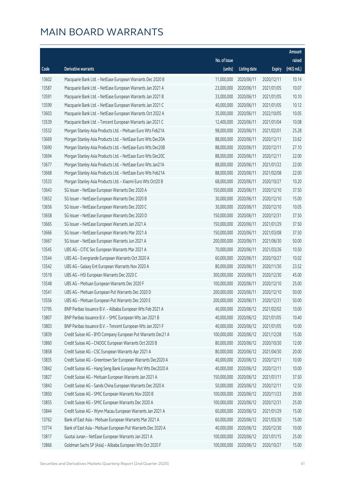|       |                                                              |                        |                     |               | Amount      |
|-------|--------------------------------------------------------------|------------------------|---------------------|---------------|-------------|
|       |                                                              | No. of issue           |                     |               | raised      |
| Code  | Derivative warrants                                          | (units)                | <b>Listing date</b> | <b>Expiry</b> | (HK\$ mil.) |
| 13602 | Macquarie Bank Ltd. - NetEase European Warrants Dec 2020 B   | 11,000,000             | 2020/06/11          | 2020/12/11    | 10.14       |
| 13587 | Macquarie Bank Ltd. - NetEase European Warrants Jan 2021 A   | 23,000,000             | 2020/06/11          | 2021/01/05    | 10.07       |
| 13591 | Macquarie Bank Ltd. - NetEase European Warrants Jan 2021 B   | 33,000,000             | 2020/06/11          | 2021/01/05    | 10.10       |
| 13599 | Macquarie Bank Ltd. - NetEase European Warrants Jan 2021 C   | 40,000,000             | 2020/06/11          | 2021/01/05    | 10.12       |
| 13603 | Macquarie Bank Ltd. - NetEase European Warrants Oct 2022 A   | 35,000,000             | 2020/06/11          | 2022/10/05    | 10.05       |
| 13539 | Macquarie Bank Ltd. - Tencent European Warrants Jan 2021 C   | 12,400,000             | 2020/06/11          | 2021/01/04    | 10.08       |
| 13532 | Morgan Stanley Asia Products Ltd. - Meituan Euro Wts Feb21A  | 98,000,000             | 2020/06/11          | 2021/02/01    | 25.28       |
| 13669 | Morgan Stanley Asia Products Ltd. - NetEase Euro Wts Dec20A  | 88,000,000             | 2020/06/11          | 2020/12/11    | 33.62       |
| 13690 | Morgan Stanley Asia Products Ltd. - NetEase Euro Wts Dec20B  | 88,000,000             | 2020/06/11          | 2020/12/11    | 27.10       |
| 13694 | Morgan Stanley Asia Products Ltd. - NetEase Euro Wts Dec20C  | 88,000,000             | 2020/06/11          | 2020/12/11    | 22.00       |
| 13677 | Morgan Stanley Asia Products Ltd. - NetEase Euro Wts Jan21A  | 88,000,000             | 2020/06/11          | 2021/01/22    | 22.00       |
| 13668 | Morgan Stanley Asia Products Ltd. - NetEase Euro Wts Feb21A  | 88,000,000             | 2020/06/11          | 2021/02/08    | 22.00       |
| 13533 | Morgan Stanley Asia Products Ltd. - Xiaomi Euro Wts Oct20 B  | 68,000,000             | 2020/06/11          | 2020/10/27    | 10.20       |
| 13643 | SG Issuer - NetEase European Warrants Dec 2020 A             | 150,000,000            | 2020/06/11          | 2020/12/10    | 37.50       |
| 13652 | SG Issuer - NetEase European Warrants Dec 2020 B             | 30,000,000             | 2020/06/11          | 2020/12/10    | 15.00       |
| 13656 | SG Issuer - NetEase European Warrants Dec 2020 C             | 30,000,000             | 2020/06/11          | 2020/12/10    | 10.05       |
| 13658 | SG Issuer - NetEase European Warrants Dec 2020 D             | 150,000,000            | 2020/06/11          | 2020/12/31    | 37.50       |
| 13665 | SG Issuer - NetEase European Warrants Jan 2021 A             | 150,000,000            | 2020/06/11          | 2021/01/29    | 37.50       |
| 13666 | SG Issuer - NetEase European Warrants Mar 2021 A             | 150,000,000            | 2020/06/11          | 2021/03/08    | 37.50       |
| 13667 | SG Issuer - NetEase European Warrants Jun 2021 A             | 200,000,000            | 2020/06/11          | 2021/06/30    | 50.00       |
| 13545 | UBS AG - CITIC Sec European Warrants Mar 2021 A              | 70,000,000             | 2020/06/11          | 2021/03/26    | 10.50       |
| 13544 | UBS AG - Evergrande European Warrants Oct 2020 A             | 60,000,000             | 2020/06/11          | 2020/10/27    | 10.02       |
| 13542 | UBS AG - Galaxy Ent European Warrants Nov 2020 A             | 80,000,000             | 2020/06/11          | 2020/11/30    | 23.52       |
| 13519 | UBS AG - HSI European Warrants Dec 2020 C                    | 300,000,000            | 2020/06/11          | 2020/12/30    | 45.00       |
| 13548 | UBS AG - Meituan European Warrants Dec 2020 F                | 100,000,000            | 2020/06/11          | 2020/12/10    | 25.00       |
| 13541 | UBS AG - Meituan European Put Warrants Dec 2020 D            | 200,000,000            | 2020/06/11          | 2020/12/10    | 50.00       |
| 13556 | UBS AG - Meituan European Put Warrants Dec 2020 E            | 200,000,000 2020/06/11 |                     | 2020/12/31    | 50.00       |
| 13795 | BNP Paribas Issuance B.V. - Alibaba European Wts Feb 2021 A  | 40,000,000             | 2020/06/12          | 2021/02/02    | 10.00       |
| 13807 | BNP Paribas Issuance B.V. - SMIC European Wts Jan 2021 B     | 40,000,000             | 2020/06/12          | 2021/01/05    | 10.40       |
| 13803 | BNP Paribas Issuance B.V. - Tencent European Wts Jan 2021 F  | 40,000,000             | 2020/06/12          | 2021/01/05    | 10.00       |
| 13839 | Credit Suisse AG - BYD Company European Put Warrants Dec21 A | 100,000,000            | 2020/06/12          | 2021/12/28    | 15.00       |
| 13860 | Credit Suisse AG - CNOOC European Warrants Oct 2020 B        | 80,000,000             | 2020/06/12          | 2020/10/30    | 12.00       |
| 13858 | Credit Suisse AG - CSC European Warrants Apr 2021 A          | 80,000,000             | 2020/06/12          | 2021/04/30    | 20.00       |
| 13835 | Credit Suisse AG - Greentown Ser European Warrants Dec2020 A | 40,000,000             | 2020/06/12          | 2020/12/11    | 10.00       |
| 13842 | Credit Suisse AG - Hang Seng Bank European Put Wts Dec2020 A | 40,000,000             | 2020/06/12          | 2020/12/11    | 10.00       |
| 13827 | Credit Suisse AG - Meituan European Warrants Jan 2021 A      | 150,000,000            | 2020/06/12          | 2021/01/11    | 37.50       |
| 13843 | Credit Suisse AG - Sands China European Warrants Dec 2020 A  | 50,000,000             | 2020/06/12          | 2020/12/11    | 12.50       |
| 13850 | Credit Suisse AG - SMIC European Warrants Nov 2020 B         | 100,000,000            | 2020/06/12          | 2020/11/23    | 29.00       |
| 13855 | Credit Suisse AG - SMIC European Warrants Dec 2020 A         | 100,000,000            | 2020/06/12          | 2020/12/31    | 25.00       |
| 13844 | Credit Suisse AG - Wynn Macau European Warrants Jan 2021 A   | 60,000,000             | 2020/06/12          | 2021/01/29    | 15.00       |
| 13762 | Bank of East Asia - Meituan European Warrants Mar 2021 A     | 60,000,000             | 2020/06/12          | 2021/03/30    | 15.00       |
| 13774 | Bank of East Asia - Meituan European Put Warrants Dec 2020 A | 40,000,000             | 2020/06/12          | 2020/12/30    | 10.00       |
| 13817 | Guotai Junan - NetEase European Warrants Jan 2021 A          | 100,000,000            | 2020/06/12          | 2021/01/15    | 25.00       |
| 13866 | Goldman Sachs SP (Asia) - Alibaba European Wts Oct 2020 F    | 100,000,000            | 2020/06/12          | 2020/10/27    | 15.00       |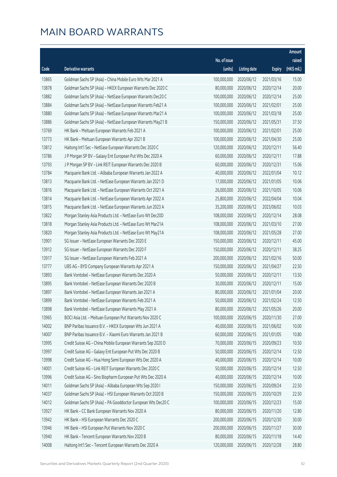|       |                                                              |              |                       |               | Amount      |
|-------|--------------------------------------------------------------|--------------|-----------------------|---------------|-------------|
|       |                                                              | No. of issue |                       |               | raised      |
| Code  | Derivative warrants                                          | (units)      | <b>Listing date</b>   | <b>Expiry</b> | (HK\$ mil.) |
| 13865 | Goldman Sachs SP (Asia) - China Mobile Euro Wts Mar 2021 A   | 100,000,000  | 2020/06/12            | 2021/03/16    | 15.00       |
| 13878 | Goldman Sachs SP (Asia) - HKEX European Warrants Dec 2020 C  | 80,000,000   | 2020/06/12            | 2020/12/14    | 20.00       |
| 13882 | Goldman Sachs SP (Asia) - NetEase European Warrants Dec20 C  | 100,000,000  | 2020/06/12            | 2020/12/14    | 25.00       |
| 13884 | Goldman Sachs SP (Asia) - NetEase European Warrants Feb21 A  | 100,000,000  | 2020/06/12            | 2021/02/01    | 25.00       |
| 13880 | Goldman Sachs SP (Asia) - NetEase European Warrants Mar21 A  | 100,000,000  | 2020/06/12            | 2021/03/18    | 25.00       |
| 13886 | Goldman Sachs SP (Asia) - NetEase European Warrants May21 B  | 150,000,000  | 2020/06/12            | 2021/05/31    | 37.50       |
| 13769 | HK Bank - Meituan European Warrants Feb 2021 A               | 100,000,000  | 2020/06/12            | 2021/02/01    | 25.00       |
| 13773 | HK Bank - Meituan European Warrants Apr 2021 B               | 100,000,000  | 2020/06/12            | 2021/04/30    | 25.00       |
| 13812 | Haitong Int'l Sec - NetEase European Warrants Dec 2020 C     | 120,000,000  | 2020/06/12            | 2020/12/11    | 56.40       |
| 13786 | J P Morgan SP BV - Galaxy Ent European Put Wts Dec 2020 A    | 60,000,000   | 2020/06/12            | 2020/12/11    | 17.88       |
| 13793 | J P Morgan SP BV - Link REIT European Warrants Dec 2020 B    | 60,000,000   | 2020/06/12            | 2020/12/31    | 15.06       |
| 13784 | Macquarie Bank Ltd. - Alibaba European Warrants Jan 2022 A   | 40,000,000   | 2020/06/12            | 2022/01/04    | 10.12       |
| 13813 | Macquarie Bank Ltd. - NetEase European Warrants Jan 2021 D   | 17,000,000   | 2020/06/12            | 2021/01/05    | 10.06       |
| 13816 | Macquarie Bank Ltd. - NetEase European Warrants Oct 2021 A   | 26,000,000   | 2020/06/12            | 2021/10/05    | 10.06       |
| 13814 | Macquarie Bank Ltd. - NetEase European Warrants Apr 2022 A   | 25,800,000   | 2020/06/12            | 2022/04/04    | 10.04       |
| 13815 | Macquarie Bank Ltd. - NetEase European Warrants Jun 2023 A   | 35,200,000   | 2020/06/12            | 2023/06/02    | 10.03       |
| 13822 | Morgan Stanley Asia Products Ltd. - NetEase Euro Wt Dec20D   | 108,000,000  | 2020/06/12            | 2020/12/14    | 28.08       |
| 13818 | Morgan Stanley Asia Products Ltd. - NetEase Euro Wt Mar21A   | 108,000,000  | 2020/06/12            | 2021/03/10    | 27.00       |
| 13820 | Morgan Stanley Asia Products Ltd. - NetEase Euro Wt May21A   | 108,000,000  | 2020/06/12            | 2021/05/28    | 27.00       |
| 13901 | SG Issuer - NetEase European Warrants Dec 2020 E             | 150,000,000  | 2020/06/12            | 2020/12/11    | 45.00       |
| 13912 | SG Issuer - NetEase European Warrants Dec 2020 F             | 150,000,000  | 2020/06/12            | 2020/12/11    | 38.25       |
| 13917 | SG Issuer - NetEase European Warrants Feb 2021 A             | 200,000,000  | 2020/06/12            | 2021/02/16    | 50.00       |
| 13777 | UBS AG - BYD Company European Warrants Apr 2021 A            | 150,000,000  | 2020/06/12            | 2021/04/27    | 22.50       |
| 13893 | Bank Vontobel - NetEase European Warrants Dec 2020 A         | 50,000,000   | 2020/06/12            | 2020/12/11    | 13.50       |
| 13895 | Bank Vontobel - NetEase European Warrants Dec 2020 B         | 30,000,000   | 2020/06/12            | 2020/12/11    | 15.00       |
| 13897 | Bank Vontobel - NetEase European Warrants Jan 2021 A         | 80,000,000   | 2020/06/12            | 2021/01/04    | 20.00       |
| 13899 | Bank Vontobel - NetEase European Warrants Feb 2021 A         |              | 50,000,000 2020/06/12 | 2021/02/24    | 12.50       |
| 13898 | Bank Vontobel - NetEase European Warrants May 2021 A         | 80,000,000   | 2020/06/12            | 2021/05/26    | 20.00       |
| 13965 | BOCI Asia Ltd. - Meituan European Put Warrants Nov 2020 C    | 100,000,000  | 2020/06/15            | 2020/11/30    | 27.00       |
| 14002 | BNP Paribas Issuance B.V. - HKEX European Wts Jun 2021 A     | 40,000,000   | 2020/06/15            | 2021/06/02    | 10.00       |
| 14007 | BNP Paribas Issuance B.V. - Xiaomi Euro Warrants Jan 2021 B  | 60,000,000   | 2020/06/15            | 2021/01/05    | 10.80       |
| 13995 | Credit Suisse AG - China Mobile European Warrants Sep 2020 D | 70,000,000   | 2020/06/15            | 2020/09/23    | 10.50       |
| 13997 | Credit Suisse AG - Galaxy Ent European Put Wts Dec 2020 B    | 50,000,000   | 2020/06/15            | 2020/12/14    | 12.50       |
| 13998 | Credit Suisse AG - Hua Hong Semi European Wts Dec 2020 A     | 40,000,000   | 2020/06/15            | 2020/12/14    | 10.00       |
| 14001 | Credit Suisse AG - Link REIT European Warrants Dec 2020 C    | 50,000,000   | 2020/06/15            | 2020/12/14    | 12.50       |
| 13996 | Credit Suisse AG - Sino Biopharm European Put Wts Dec 2020 A | 40,000,000   | 2020/06/15            | 2020/12/14    | 10.00       |
| 14011 | Goldman Sachs SP (Asia) - Alibaba European Wts Sep 2020 I    | 150,000,000  | 2020/06/15            | 2020/09/24    | 22.50       |
| 14037 | Goldman Sachs SP (Asia) - HSI European Warrants Oct 2020 B   | 150,000,000  | 2020/06/15            | 2020/10/29    | 22.50       |
| 14012 | Goldman Sachs SP (Asia) - PA Gooddoctor European Wts Dec20 C | 100,000,000  | 2020/06/15            | 2020/12/23    | 15.00       |
| 13927 | HK Bank - CC Bank European Warrants Nov 2020 A               | 80,000,000   | 2020/06/15            | 2020/11/20    | 12.80       |
| 13942 | HK Bank - HSI European Warrants Dec 2020 C                   | 200,000,000  | 2020/06/15            | 2020/12/30    | 30.00       |
| 13946 | HK Bank - HSI European Put Warrants Nov 2020 C               | 200,000,000  | 2020/06/15            | 2020/11/27    | 30.00       |
| 13940 | HK Bank - Tencent European Warrants Nov 2020 B               | 80,000,000   | 2020/06/15            | 2020/11/18    | 14.40       |
| 14008 | Haitong Int'l Sec - Tencent European Warrants Dec 2020 A     | 120,000,000  | 2020/06/15            | 2020/12/28    | 28.80       |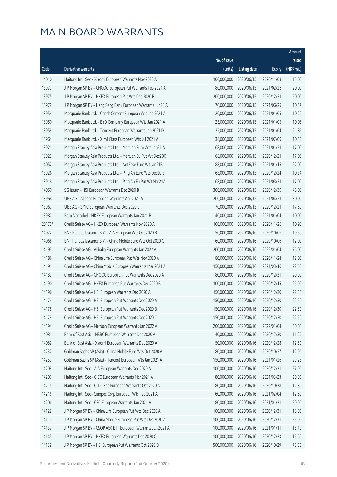|        |                                                              |                        |                     |               | Amount      |
|--------|--------------------------------------------------------------|------------------------|---------------------|---------------|-------------|
|        |                                                              | No. of issue           |                     |               | raised      |
| Code   | Derivative warrants                                          | (units)                | <b>Listing date</b> | <b>Expiry</b> | (HK\$ mil.) |
| 14010  | Haitong Int'l Sec - Xiaomi European Warrants Nov 2020 A      | 100,000,000            | 2020/06/15          | 2020/11/03    | 15.00       |
| 13977  | J P Morgan SP BV - CNOOC European Put Warrants Feb 2021 A    | 80,000,000             | 2020/06/15          | 2021/02/26    | 20.00       |
| 13975  | J P Morgan SP BV - HKEX European Put Wts Dec 2020 B          | 200,000,000            | 2020/06/15          | 2020/12/31    | 50.00       |
| 13979  | J P Morgan SP BV - Hang Seng Bank European Warrants Jun21 A  | 70,000,000             | 2020/06/15          | 2021/06/25    | 10.57       |
| 13954  | Macquarie Bank Ltd. - Conch Cement European Wts Jan 2021 A   | 20,000,000             | 2020/06/15          | 2021/01/05    | 10.20       |
| 13950  | Macquarie Bank Ltd. - BYD Company European Wts Jan 2021 A    | 25,000,000             | 2020/06/15          | 2021/01/05    | 10.05       |
| 13959  | Macquarie Bank Ltd. - Tencent European Warrants Jan 2021 D   | 25,000,000             | 2020/06/15          | 2021/01/04    | 21.85       |
| 13964  | Macquarie Bank Ltd. - Xinyi Glass European Wts Jul 2021 A    | 34,000,000             | 2020/06/15          | 2021/07/09    | 10.13       |
| 13921  | Morgan Stanley Asia Products Ltd. - Meituan Euro Wts Jan21 A | 68,000,000             | 2020/06/15          | 2021/01/21    | 17.00       |
| 13923  | Morgan Stanley Asia Products Ltd. - Meituan Eu Put Wt Dec20C | 68,000,000             | 2020/06/15          | 2020/12/21    | 17.00       |
| 14052  | Morgan Stanley Asia Products Ltd. - NetEase Euro Wt Jan21B   | 88,000,000             | 2020/06/15          | 2021/01/15    | 22.00       |
| 13926  | Morgan Stanley Asia Products Ltd. - Ping An Euro Wts Dec20 E | 68,000,000             | 2020/06/15          | 2020/12/24    | 10.34       |
| 13918  | Morgan Stanley Asia Products Ltd. - Ping An Eu Put Wt Mar21A | 68,000,000             | 2020/06/15          | 2021/03/31    | 17.00       |
| 14050  | SG Issuer - HSI European Warrants Dec 2020 B                 | 300,000,000            | 2020/06/15          | 2020/12/30    | 45.00       |
| 13968  | UBS AG - Alibaba European Warrants Apr 2021 A                | 200,000,000            | 2020/06/15          | 2021/04/23    | 30.00       |
| 13967  | UBS AG - SMIC European Warrants Dec 2020 C                   | 70,000,000             | 2020/06/15          | 2020/12/21    | 17.50       |
| 13987  | Bank Vontobel - HKEX European Warrants Jan 2021 B            | 40,000,000             | 2020/06/15          | 2021/01/04    | 10.00       |
| 20172# | Credit Suisse AG - HKEX European Warrants Nov 2020 A         | 100,000,000            | 2020/06/15          | 2020/11/26    | 10.90       |
| 14072  | BNP Paribas Issuance B.V. - AIA European Wts Oct 2020 B      | 50,000,000             | 2020/06/16          | 2020/10/06    | 10.50       |
| 14068  | BNP Paribas Issuance B.V. - China Mobile Euro Wts Oct 2020 C | 60,000,000             | 2020/06/16          | 2020/10/06    | 12.00       |
| 14193  | Credit Suisse AG - Alibaba European Warrants Jan 2022 A      | 200,000,000            | 2020/06/16          | 2022/01/04    | 76.00       |
| 14186  | Credit Suisse AG - China Life European Put Wts Nov 2020 A    | 80,000,000             | 2020/06/16          | 2020/11/24    | 12.00       |
| 14191  | Credit Suisse AG - China Mobile European Warrants Mar 2021 A | 150,000,000            | 2020/06/16          | 2021/03/16    | 22.50       |
| 14183  | Credit Suisse AG - CNOOC European Put Warrants Dec 2020 A    | 80,000,000             | 2020/06/16          | 2020/12/31    | 20.00       |
| 14190  | Credit Suisse AG - HKEX European Put Warrants Dec 2020 B     | 100,000,000            | 2020/06/16          | 2020/12/15    | 25.00       |
| 14196  | Credit Suisse AG - HSI European Warrants Dec 2020 A          | 150,000,000            | 2020/06/16          | 2020/12/30    | 22.50       |
| 14174  | Credit Suisse AG - HSI European Put Warrants Dec 2020 A      | 150,000,000 2020/06/16 |                     | 2020/12/30    | 22.50       |
| 14175  | Credit Suisse AG - HSI European Put Warrants Dec 2020 B      | 150,000,000            | 2020/06/16          | 2020/12/30    | 22.50       |
| 14179  | Credit Suisse AG - HSI European Put Warrants Dec 2020 C      | 150,000,000            | 2020/06/16          | 2020/12/30    | 22.50       |
| 14194  | Credit Suisse AG - Meituan European Warrants Jan 2022 A      | 200,000,000            | 2020/06/16          | 2022/01/04    | 60.00       |
| 14081  | Bank of East Asia - HSBC European Warrants Dec 2020 A        | 40,000,000             | 2020/06/16          | 2020/12/30    | 11.20       |
| 14082  | Bank of East Asia - Xiaomi European Warrants Dec 2020 A      | 50,000,000             | 2020/06/16          | 2020/12/28    | 12.50       |
| 14237  | Goldman Sachs SP (Asia) - China Mobile Euro Wts Oct 2020 A   | 80,000,000             | 2020/06/16          | 2020/10/27    | 12.00       |
| 14259  | Goldman Sachs SP (Asia) - Tencent European Wts Jan 2021 A    | 150,000,000            | 2020/06/16          | 2021/01/26    | 29.25       |
| 14208  | Haitong Int'l Sec - AIA European Warrants Dec 2020 A         | 100,000,000            | 2020/06/16          | 2020/12/21    | 27.00       |
| 14206  | Haitong Int'l Sec - CICC European Warrants Mar 2021 A        | 80,000,000             | 2020/06/16          | 2021/03/23    | 20.00       |
| 14215  | Haitong Int'l Sec - CITIC Sec European Warrants Oct 2020 A   | 80,000,000             | 2020/06/16          | 2020/10/28    | 12.80       |
| 14216  | Haitong Int'l Sec - Sinopec Corp European Wts Feb 2021 A     | 60,000,000             | 2020/06/16          | 2021/02/04    | 12.60       |
| 14204  | Haitong Int'l Sec - CSC European Warrants Jan 2021 A         | 80,000,000             | 2020/06/16          | 2021/01/21    | 20.00       |
| 14122  | J P Morgan SP BV - China Life European Put Wts Dec 2020 A    | 100,000,000            | 2020/06/16          | 2020/12/31    | 18.00       |
| 14110  | J P Morgan SP BV - China Mobile European Put Wts Dec 2020 A  | 100,000,000            | 2020/06/16          | 2020/12/31    | 25.00       |
| 14137  | JP Morgan SP BV - CSOP A50 ETF European Warrants Jan 2021 A  | 100,000,000            | 2020/06/16          | 2021/01/11    | 15.10       |
| 14145  | J P Morgan SP BV - HKEX European Warrants Dec 2020 C         | 100,000,000            | 2020/06/16          | 2020/12/23    | 15.60       |
| 14139  | J P Morgan SP BV - HSI European Put Warrants Oct 2020 D      | 500,000,000            | 2020/06/16          | 2020/10/29    | 75.50       |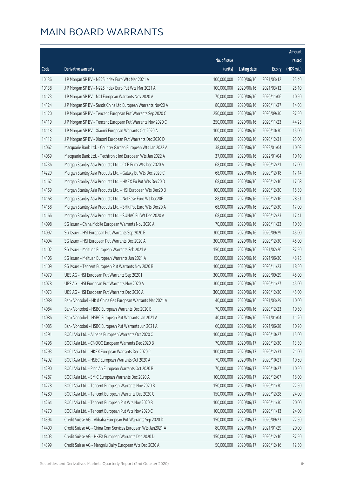| No. of issue<br>raised<br>(HK\$ mil.)<br>(units)<br>Code<br><b>Derivative warrants</b><br><b>Listing date</b><br><b>Expiry</b><br>100,000,000<br>10136<br>J P Morgan SP BV - N225 Index Euro Wts Mar 2021 A<br>2020/06/16<br>2021/03/12<br>25.40<br>25.10<br>10138<br>J P Morgan SP BV - N225 Index Euro Put Wts Mar 2021 A<br>100,000,000<br>2020/06/16<br>2021/03/12<br>14123<br>70,000,000<br>10.50<br>J P Morgan SP BV - NCI European Warrants Nov 2020 A<br>2020/06/16<br>2020/11/06<br>14.08<br>14124<br>J P Morgan SP BV - Sands China Ltd European Warrants Nov20 A<br>80,000,000<br>2020/06/16<br>2020/11/27<br>14120<br>250,000,000<br>J P Morgan SP BV - Tencent European Put Warrants Sep 2020 C<br>2020/06/16<br>2020/09/30<br>37.50<br>44.25<br>14119<br>J P Morgan SP BV - Tencent European Put Warrants Nov 2020 C<br>250,000,000<br>2020/06/16<br>2020/11/23<br>14118<br>100,000,000<br>J P Morgan SP BV - Xiaomi European Warrants Oct 2020 A<br>2020/06/16<br>2020/10/30<br>15.00<br>14112<br>J P Morgan SP BV - Xiaomi European Put Warrants Dec 2020 D<br>100,000,000<br>2020/06/16<br>2020/12/31<br>25.00<br>14062<br>38,000,000<br>10.03<br>Macquarie Bank Ltd. - Country Garden European Wts Jan 2022 A<br>2020/06/16<br>2022/01/04<br>14059<br>Macquarie Bank Ltd. - Techtronic Ind European Wts Jan 2022 A<br>37,000,000<br>2020/06/16<br>2022/01/04<br>10.10<br>14236<br>68,000,000<br>Morgan Stanley Asia Products Ltd. - CCB Euro Wts Dec 2020 A<br>2020/06/16<br>2020/12/21<br>17.00<br>14229<br>Morgan Stanley Asia Products Ltd. - Galaxy Eu Wts Dec 2020 C<br>68,000,000<br>2020/06/16<br>2020/12/18<br>17.14<br>14162<br>68,000,000<br>Morgan Stanley Asia Products Ltd. - HKEX Eu Put Wts Dec20 D<br>2020/06/16<br>2020/12/16<br>17.68<br>14159<br>100,000,000<br>15.30<br>Morgan Stanley Asia Products Ltd. - HSI European Wts Dec20 B<br>2020/06/16<br>2020/12/30<br>14168<br>88,000,000<br>28.51<br>Morgan Stanley Asia Products Ltd. - NetEase Euro Wt Dec20E<br>2020/06/16<br>2020/12/16<br>68,000,000<br>14158<br>Morgan Stanley Asia Products Ltd. - SHK Ppt Euro Wts Dec20 A<br>2020/06/16<br>2020/12/30<br>17.00<br>14166<br>68,000,000<br>Morgan Stanley Asia Products Ltd. - SUNAC Eu Wt Dec 2020 A<br>2020/06/16<br>2020/12/23<br>17.41<br>70,000,000<br>14098<br>SG Issuer - China Mobile European Warrants Nov 2020 A<br>2020/06/16<br>2020/11/23<br>10.50<br>14092<br>300,000,000<br>45.00<br>SG Issuer - HSI European Put Warrants Sep 2020 E<br>2020/06/16<br>2020/09/29<br>14094<br>300,000,000<br>45.00<br>SG Issuer - HSI European Put Warrants Dec 2020 A<br>2020/06/16<br>2020/12/30<br>14102<br>SG Issuer - Meituan European Warrants Feb 2021 A<br>150,000,000<br>2020/06/16<br>2021/02/26<br>37.50<br>48.75<br>14106<br>SG Issuer - Meituan European Warrants Jun 2021 A<br>150,000,000<br>2020/06/16<br>2021/06/30<br>100,000,000<br>18.50<br>14109<br>SG Issuer - Tencent European Put Warrants Nov 2020 B<br>2020/06/16<br>2020/11/23<br>300,000,000<br>14079<br>UBS AG - HSI European Put Warrants Sep 2020 I<br>2020/06/16<br>2020/09/29<br>45.00<br>14078<br>300,000,000<br>UBS AG - HSI European Put Warrants Nov 2020 A<br>2020/06/16<br>2020/11/27<br>45.00<br>14073<br>300,000,000<br>UBS AG - HSI European Put Warrants Dec 2020 A<br>2020/06/16<br>2020/12/30<br>45.00<br>14089<br>Bank Vontobel - HK & China Gas European Warrants Mar 2021 A<br>40,000,000 2020/06/16<br>2021/03/29<br>10.00<br>14084<br>Bank Vontobel - HSBC European Warrants Dec 2020 B<br>70,000,000<br>2020/06/16<br>2020/12/23<br>10.50<br>14086<br>40,000,000<br>11.20<br>Bank Vontobel - HSBC European Put Warrants Jan 2021 A<br>2020/06/16<br>2021/01/04<br>Bank Vontobel - HSBC European Put Warrants Jun 2021 A<br>60,000,000<br>2020/06/16<br>10.20<br>14085<br>2021/06/28<br>14291<br>BOCI Asia Ltd. - Alibaba European Warrants Oct 2020 C<br>100,000,000<br>2020/06/17<br>2020/10/27<br>15.00<br>14296<br>70,000,000<br>13.30<br>BOCI Asia Ltd. - CNOOC European Warrants Dec 2020 B<br>2020/06/17<br>2020/12/30<br>14293<br>100,000,000<br>21.00<br>BOCI Asia Ltd. - HKEX European Warrants Dec 2020 C<br>2020/06/17<br>2020/12/31<br>14292<br>BOCI Asia Ltd. - HSBC European Warrants Oct 2020 A<br>70,000,000<br>10.50<br>2020/06/17<br>2020/10/21<br>14290<br>BOCI Asia Ltd. - Ping An European Warrants Oct 2020 B<br>70,000,000<br>2020/06/17<br>2020/10/27<br>10.50<br>100,000,000<br>14287<br>BOCI Asia Ltd. - SMIC European Warrants Dec 2020 A<br>2020/06/17<br>2020/12/07<br>18.00<br>14278<br>150,000,000<br>22.50<br>BOCI Asia Ltd. - Tencent European Warrants Nov 2020 B<br>2020/06/17<br>2020/11/30<br>BOCI Asia Ltd. - Tencent European Warrants Dec 2020 C<br>150,000,000<br>24.00<br>14280<br>2020/06/17<br>2020/12/28<br>14264<br>BOCI Asia Ltd. - Tencent European Put Wts Nov 2020 B<br>100,000,000<br>20.00<br>2020/06/17<br>2020/11/30<br>100,000,000<br>14270<br>BOCI Asia Ltd. - Tencent European Put Wts Nov 2020 C<br>2020/06/17<br>2020/11/13<br>24.00<br>14394<br>150,000,000<br>22.50<br>Credit Suisse AG - Alibaba European Put Warrants Sep 2020 D<br>2020/06/17<br>2020/09/23<br>Credit Suisse AG - China Com Services European Wts Jan2021 A<br>80,000,000<br>14400<br>2020/06/17<br>2021/01/29<br>20.00 |       |                                                      |             |            |            | Amount |
|-------------------------------------------------------------------------------------------------------------------------------------------------------------------------------------------------------------------------------------------------------------------------------------------------------------------------------------------------------------------------------------------------------------------------------------------------------------------------------------------------------------------------------------------------------------------------------------------------------------------------------------------------------------------------------------------------------------------------------------------------------------------------------------------------------------------------------------------------------------------------------------------------------------------------------------------------------------------------------------------------------------------------------------------------------------------------------------------------------------------------------------------------------------------------------------------------------------------------------------------------------------------------------------------------------------------------------------------------------------------------------------------------------------------------------------------------------------------------------------------------------------------------------------------------------------------------------------------------------------------------------------------------------------------------------------------------------------------------------------------------------------------------------------------------------------------------------------------------------------------------------------------------------------------------------------------------------------------------------------------------------------------------------------------------------------------------------------------------------------------------------------------------------------------------------------------------------------------------------------------------------------------------------------------------------------------------------------------------------------------------------------------------------------------------------------------------------------------------------------------------------------------------------------------------------------------------------------------------------------------------------------------------------------------------------------------------------------------------------------------------------------------------------------------------------------------------------------------------------------------------------------------------------------------------------------------------------------------------------------------------------------------------------------------------------------------------------------------------------------------------------------------------------------------------------------------------------------------------------------------------------------------------------------------------------------------------------------------------------------------------------------------------------------------------------------------------------------------------------------------------------------------------------------------------------------------------------------------------------------------------------------------------------------------------------------------------------------------------------------------------------------------------------------------------------------------------------------------------------------------------------------------------------------------------------------------------------------------------------------------------------------------------------------------------------------------------------------------------------------------------------------------------------------------------------------------------------------------------------------------------------------------------------------------------------------------------------------------------------------------------------------------------------------------------------------------------------------------------------------------------------------------------------------------------------------------------------------------------------------------------------------------------------------------------------------------------------------------------------------------------------------------------------------------------------------------------------------------------------------------------------------------------------------------------------------------------------------------------------------------------------------------------------------------------------------------------------------------------------------------------------------------------------------------------------------------------------------------------------------------------------------------------------------------------------|-------|------------------------------------------------------|-------------|------------|------------|--------|
|                                                                                                                                                                                                                                                                                                                                                                                                                                                                                                                                                                                                                                                                                                                                                                                                                                                                                                                                                                                                                                                                                                                                                                                                                                                                                                                                                                                                                                                                                                                                                                                                                                                                                                                                                                                                                                                                                                                                                                                                                                                                                                                                                                                                                                                                                                                                                                                                                                                                                                                                                                                                                                                                                                                                                                                                                                                                                                                                                                                                                                                                                                                                                                                                                                                                                                                                                                                                                                                                                                                                                                                                                                                                                                                                                                                                                                                                                                                                                                                                                                                                                                                                                                                                                                                                                                                                                                                                                                                                                                                                                                                                                                                                                                                                                                                                                                                                                                                                                                                                                                                                                                                                                                                                                                                                                                       |       |                                                      |             |            |            |        |
|                                                                                                                                                                                                                                                                                                                                                                                                                                                                                                                                                                                                                                                                                                                                                                                                                                                                                                                                                                                                                                                                                                                                                                                                                                                                                                                                                                                                                                                                                                                                                                                                                                                                                                                                                                                                                                                                                                                                                                                                                                                                                                                                                                                                                                                                                                                                                                                                                                                                                                                                                                                                                                                                                                                                                                                                                                                                                                                                                                                                                                                                                                                                                                                                                                                                                                                                                                                                                                                                                                                                                                                                                                                                                                                                                                                                                                                                                                                                                                                                                                                                                                                                                                                                                                                                                                                                                                                                                                                                                                                                                                                                                                                                                                                                                                                                                                                                                                                                                                                                                                                                                                                                                                                                                                                                                                       |       |                                                      |             |            |            |        |
|                                                                                                                                                                                                                                                                                                                                                                                                                                                                                                                                                                                                                                                                                                                                                                                                                                                                                                                                                                                                                                                                                                                                                                                                                                                                                                                                                                                                                                                                                                                                                                                                                                                                                                                                                                                                                                                                                                                                                                                                                                                                                                                                                                                                                                                                                                                                                                                                                                                                                                                                                                                                                                                                                                                                                                                                                                                                                                                                                                                                                                                                                                                                                                                                                                                                                                                                                                                                                                                                                                                                                                                                                                                                                                                                                                                                                                                                                                                                                                                                                                                                                                                                                                                                                                                                                                                                                                                                                                                                                                                                                                                                                                                                                                                                                                                                                                                                                                                                                                                                                                                                                                                                                                                                                                                                                                       |       |                                                      |             |            |            |        |
|                                                                                                                                                                                                                                                                                                                                                                                                                                                                                                                                                                                                                                                                                                                                                                                                                                                                                                                                                                                                                                                                                                                                                                                                                                                                                                                                                                                                                                                                                                                                                                                                                                                                                                                                                                                                                                                                                                                                                                                                                                                                                                                                                                                                                                                                                                                                                                                                                                                                                                                                                                                                                                                                                                                                                                                                                                                                                                                                                                                                                                                                                                                                                                                                                                                                                                                                                                                                                                                                                                                                                                                                                                                                                                                                                                                                                                                                                                                                                                                                                                                                                                                                                                                                                                                                                                                                                                                                                                                                                                                                                                                                                                                                                                                                                                                                                                                                                                                                                                                                                                                                                                                                                                                                                                                                                                       |       |                                                      |             |            |            |        |
|                                                                                                                                                                                                                                                                                                                                                                                                                                                                                                                                                                                                                                                                                                                                                                                                                                                                                                                                                                                                                                                                                                                                                                                                                                                                                                                                                                                                                                                                                                                                                                                                                                                                                                                                                                                                                                                                                                                                                                                                                                                                                                                                                                                                                                                                                                                                                                                                                                                                                                                                                                                                                                                                                                                                                                                                                                                                                                                                                                                                                                                                                                                                                                                                                                                                                                                                                                                                                                                                                                                                                                                                                                                                                                                                                                                                                                                                                                                                                                                                                                                                                                                                                                                                                                                                                                                                                                                                                                                                                                                                                                                                                                                                                                                                                                                                                                                                                                                                                                                                                                                                                                                                                                                                                                                                                                       |       |                                                      |             |            |            |        |
|                                                                                                                                                                                                                                                                                                                                                                                                                                                                                                                                                                                                                                                                                                                                                                                                                                                                                                                                                                                                                                                                                                                                                                                                                                                                                                                                                                                                                                                                                                                                                                                                                                                                                                                                                                                                                                                                                                                                                                                                                                                                                                                                                                                                                                                                                                                                                                                                                                                                                                                                                                                                                                                                                                                                                                                                                                                                                                                                                                                                                                                                                                                                                                                                                                                                                                                                                                                                                                                                                                                                                                                                                                                                                                                                                                                                                                                                                                                                                                                                                                                                                                                                                                                                                                                                                                                                                                                                                                                                                                                                                                                                                                                                                                                                                                                                                                                                                                                                                                                                                                                                                                                                                                                                                                                                                                       |       |                                                      |             |            |            |        |
|                                                                                                                                                                                                                                                                                                                                                                                                                                                                                                                                                                                                                                                                                                                                                                                                                                                                                                                                                                                                                                                                                                                                                                                                                                                                                                                                                                                                                                                                                                                                                                                                                                                                                                                                                                                                                                                                                                                                                                                                                                                                                                                                                                                                                                                                                                                                                                                                                                                                                                                                                                                                                                                                                                                                                                                                                                                                                                                                                                                                                                                                                                                                                                                                                                                                                                                                                                                                                                                                                                                                                                                                                                                                                                                                                                                                                                                                                                                                                                                                                                                                                                                                                                                                                                                                                                                                                                                                                                                                                                                                                                                                                                                                                                                                                                                                                                                                                                                                                                                                                                                                                                                                                                                                                                                                                                       |       |                                                      |             |            |            |        |
|                                                                                                                                                                                                                                                                                                                                                                                                                                                                                                                                                                                                                                                                                                                                                                                                                                                                                                                                                                                                                                                                                                                                                                                                                                                                                                                                                                                                                                                                                                                                                                                                                                                                                                                                                                                                                                                                                                                                                                                                                                                                                                                                                                                                                                                                                                                                                                                                                                                                                                                                                                                                                                                                                                                                                                                                                                                                                                                                                                                                                                                                                                                                                                                                                                                                                                                                                                                                                                                                                                                                                                                                                                                                                                                                                                                                                                                                                                                                                                                                                                                                                                                                                                                                                                                                                                                                                                                                                                                                                                                                                                                                                                                                                                                                                                                                                                                                                                                                                                                                                                                                                                                                                                                                                                                                                                       |       |                                                      |             |            |            |        |
|                                                                                                                                                                                                                                                                                                                                                                                                                                                                                                                                                                                                                                                                                                                                                                                                                                                                                                                                                                                                                                                                                                                                                                                                                                                                                                                                                                                                                                                                                                                                                                                                                                                                                                                                                                                                                                                                                                                                                                                                                                                                                                                                                                                                                                                                                                                                                                                                                                                                                                                                                                                                                                                                                                                                                                                                                                                                                                                                                                                                                                                                                                                                                                                                                                                                                                                                                                                                                                                                                                                                                                                                                                                                                                                                                                                                                                                                                                                                                                                                                                                                                                                                                                                                                                                                                                                                                                                                                                                                                                                                                                                                                                                                                                                                                                                                                                                                                                                                                                                                                                                                                                                                                                                                                                                                                                       |       |                                                      |             |            |            |        |
|                                                                                                                                                                                                                                                                                                                                                                                                                                                                                                                                                                                                                                                                                                                                                                                                                                                                                                                                                                                                                                                                                                                                                                                                                                                                                                                                                                                                                                                                                                                                                                                                                                                                                                                                                                                                                                                                                                                                                                                                                                                                                                                                                                                                                                                                                                                                                                                                                                                                                                                                                                                                                                                                                                                                                                                                                                                                                                                                                                                                                                                                                                                                                                                                                                                                                                                                                                                                                                                                                                                                                                                                                                                                                                                                                                                                                                                                                                                                                                                                                                                                                                                                                                                                                                                                                                                                                                                                                                                                                                                                                                                                                                                                                                                                                                                                                                                                                                                                                                                                                                                                                                                                                                                                                                                                                                       |       |                                                      |             |            |            |        |
|                                                                                                                                                                                                                                                                                                                                                                                                                                                                                                                                                                                                                                                                                                                                                                                                                                                                                                                                                                                                                                                                                                                                                                                                                                                                                                                                                                                                                                                                                                                                                                                                                                                                                                                                                                                                                                                                                                                                                                                                                                                                                                                                                                                                                                                                                                                                                                                                                                                                                                                                                                                                                                                                                                                                                                                                                                                                                                                                                                                                                                                                                                                                                                                                                                                                                                                                                                                                                                                                                                                                                                                                                                                                                                                                                                                                                                                                                                                                                                                                                                                                                                                                                                                                                                                                                                                                                                                                                                                                                                                                                                                                                                                                                                                                                                                                                                                                                                                                                                                                                                                                                                                                                                                                                                                                                                       |       |                                                      |             |            |            |        |
|                                                                                                                                                                                                                                                                                                                                                                                                                                                                                                                                                                                                                                                                                                                                                                                                                                                                                                                                                                                                                                                                                                                                                                                                                                                                                                                                                                                                                                                                                                                                                                                                                                                                                                                                                                                                                                                                                                                                                                                                                                                                                                                                                                                                                                                                                                                                                                                                                                                                                                                                                                                                                                                                                                                                                                                                                                                                                                                                                                                                                                                                                                                                                                                                                                                                                                                                                                                                                                                                                                                                                                                                                                                                                                                                                                                                                                                                                                                                                                                                                                                                                                                                                                                                                                                                                                                                                                                                                                                                                                                                                                                                                                                                                                                                                                                                                                                                                                                                                                                                                                                                                                                                                                                                                                                                                                       |       |                                                      |             |            |            |        |
|                                                                                                                                                                                                                                                                                                                                                                                                                                                                                                                                                                                                                                                                                                                                                                                                                                                                                                                                                                                                                                                                                                                                                                                                                                                                                                                                                                                                                                                                                                                                                                                                                                                                                                                                                                                                                                                                                                                                                                                                                                                                                                                                                                                                                                                                                                                                                                                                                                                                                                                                                                                                                                                                                                                                                                                                                                                                                                                                                                                                                                                                                                                                                                                                                                                                                                                                                                                                                                                                                                                                                                                                                                                                                                                                                                                                                                                                                                                                                                                                                                                                                                                                                                                                                                                                                                                                                                                                                                                                                                                                                                                                                                                                                                                                                                                                                                                                                                                                                                                                                                                                                                                                                                                                                                                                                                       |       |                                                      |             |            |            |        |
|                                                                                                                                                                                                                                                                                                                                                                                                                                                                                                                                                                                                                                                                                                                                                                                                                                                                                                                                                                                                                                                                                                                                                                                                                                                                                                                                                                                                                                                                                                                                                                                                                                                                                                                                                                                                                                                                                                                                                                                                                                                                                                                                                                                                                                                                                                                                                                                                                                                                                                                                                                                                                                                                                                                                                                                                                                                                                                                                                                                                                                                                                                                                                                                                                                                                                                                                                                                                                                                                                                                                                                                                                                                                                                                                                                                                                                                                                                                                                                                                                                                                                                                                                                                                                                                                                                                                                                                                                                                                                                                                                                                                                                                                                                                                                                                                                                                                                                                                                                                                                                                                                                                                                                                                                                                                                                       |       |                                                      |             |            |            |        |
|                                                                                                                                                                                                                                                                                                                                                                                                                                                                                                                                                                                                                                                                                                                                                                                                                                                                                                                                                                                                                                                                                                                                                                                                                                                                                                                                                                                                                                                                                                                                                                                                                                                                                                                                                                                                                                                                                                                                                                                                                                                                                                                                                                                                                                                                                                                                                                                                                                                                                                                                                                                                                                                                                                                                                                                                                                                                                                                                                                                                                                                                                                                                                                                                                                                                                                                                                                                                                                                                                                                                                                                                                                                                                                                                                                                                                                                                                                                                                                                                                                                                                                                                                                                                                                                                                                                                                                                                                                                                                                                                                                                                                                                                                                                                                                                                                                                                                                                                                                                                                                                                                                                                                                                                                                                                                                       |       |                                                      |             |            |            |        |
|                                                                                                                                                                                                                                                                                                                                                                                                                                                                                                                                                                                                                                                                                                                                                                                                                                                                                                                                                                                                                                                                                                                                                                                                                                                                                                                                                                                                                                                                                                                                                                                                                                                                                                                                                                                                                                                                                                                                                                                                                                                                                                                                                                                                                                                                                                                                                                                                                                                                                                                                                                                                                                                                                                                                                                                                                                                                                                                                                                                                                                                                                                                                                                                                                                                                                                                                                                                                                                                                                                                                                                                                                                                                                                                                                                                                                                                                                                                                                                                                                                                                                                                                                                                                                                                                                                                                                                                                                                                                                                                                                                                                                                                                                                                                                                                                                                                                                                                                                                                                                                                                                                                                                                                                                                                                                                       |       |                                                      |             |            |            |        |
|                                                                                                                                                                                                                                                                                                                                                                                                                                                                                                                                                                                                                                                                                                                                                                                                                                                                                                                                                                                                                                                                                                                                                                                                                                                                                                                                                                                                                                                                                                                                                                                                                                                                                                                                                                                                                                                                                                                                                                                                                                                                                                                                                                                                                                                                                                                                                                                                                                                                                                                                                                                                                                                                                                                                                                                                                                                                                                                                                                                                                                                                                                                                                                                                                                                                                                                                                                                                                                                                                                                                                                                                                                                                                                                                                                                                                                                                                                                                                                                                                                                                                                                                                                                                                                                                                                                                                                                                                                                                                                                                                                                                                                                                                                                                                                                                                                                                                                                                                                                                                                                                                                                                                                                                                                                                                                       |       |                                                      |             |            |            |        |
|                                                                                                                                                                                                                                                                                                                                                                                                                                                                                                                                                                                                                                                                                                                                                                                                                                                                                                                                                                                                                                                                                                                                                                                                                                                                                                                                                                                                                                                                                                                                                                                                                                                                                                                                                                                                                                                                                                                                                                                                                                                                                                                                                                                                                                                                                                                                                                                                                                                                                                                                                                                                                                                                                                                                                                                                                                                                                                                                                                                                                                                                                                                                                                                                                                                                                                                                                                                                                                                                                                                                                                                                                                                                                                                                                                                                                                                                                                                                                                                                                                                                                                                                                                                                                                                                                                                                                                                                                                                                                                                                                                                                                                                                                                                                                                                                                                                                                                                                                                                                                                                                                                                                                                                                                                                                                                       |       |                                                      |             |            |            |        |
|                                                                                                                                                                                                                                                                                                                                                                                                                                                                                                                                                                                                                                                                                                                                                                                                                                                                                                                                                                                                                                                                                                                                                                                                                                                                                                                                                                                                                                                                                                                                                                                                                                                                                                                                                                                                                                                                                                                                                                                                                                                                                                                                                                                                                                                                                                                                                                                                                                                                                                                                                                                                                                                                                                                                                                                                                                                                                                                                                                                                                                                                                                                                                                                                                                                                                                                                                                                                                                                                                                                                                                                                                                                                                                                                                                                                                                                                                                                                                                                                                                                                                                                                                                                                                                                                                                                                                                                                                                                                                                                                                                                                                                                                                                                                                                                                                                                                                                                                                                                                                                                                                                                                                                                                                                                                                                       |       |                                                      |             |            |            |        |
|                                                                                                                                                                                                                                                                                                                                                                                                                                                                                                                                                                                                                                                                                                                                                                                                                                                                                                                                                                                                                                                                                                                                                                                                                                                                                                                                                                                                                                                                                                                                                                                                                                                                                                                                                                                                                                                                                                                                                                                                                                                                                                                                                                                                                                                                                                                                                                                                                                                                                                                                                                                                                                                                                                                                                                                                                                                                                                                                                                                                                                                                                                                                                                                                                                                                                                                                                                                                                                                                                                                                                                                                                                                                                                                                                                                                                                                                                                                                                                                                                                                                                                                                                                                                                                                                                                                                                                                                                                                                                                                                                                                                                                                                                                                                                                                                                                                                                                                                                                                                                                                                                                                                                                                                                                                                                                       |       |                                                      |             |            |            |        |
|                                                                                                                                                                                                                                                                                                                                                                                                                                                                                                                                                                                                                                                                                                                                                                                                                                                                                                                                                                                                                                                                                                                                                                                                                                                                                                                                                                                                                                                                                                                                                                                                                                                                                                                                                                                                                                                                                                                                                                                                                                                                                                                                                                                                                                                                                                                                                                                                                                                                                                                                                                                                                                                                                                                                                                                                                                                                                                                                                                                                                                                                                                                                                                                                                                                                                                                                                                                                                                                                                                                                                                                                                                                                                                                                                                                                                                                                                                                                                                                                                                                                                                                                                                                                                                                                                                                                                                                                                                                                                                                                                                                                                                                                                                                                                                                                                                                                                                                                                                                                                                                                                                                                                                                                                                                                                                       |       |                                                      |             |            |            |        |
|                                                                                                                                                                                                                                                                                                                                                                                                                                                                                                                                                                                                                                                                                                                                                                                                                                                                                                                                                                                                                                                                                                                                                                                                                                                                                                                                                                                                                                                                                                                                                                                                                                                                                                                                                                                                                                                                                                                                                                                                                                                                                                                                                                                                                                                                                                                                                                                                                                                                                                                                                                                                                                                                                                                                                                                                                                                                                                                                                                                                                                                                                                                                                                                                                                                                                                                                                                                                                                                                                                                                                                                                                                                                                                                                                                                                                                                                                                                                                                                                                                                                                                                                                                                                                                                                                                                                                                                                                                                                                                                                                                                                                                                                                                                                                                                                                                                                                                                                                                                                                                                                                                                                                                                                                                                                                                       |       |                                                      |             |            |            |        |
|                                                                                                                                                                                                                                                                                                                                                                                                                                                                                                                                                                                                                                                                                                                                                                                                                                                                                                                                                                                                                                                                                                                                                                                                                                                                                                                                                                                                                                                                                                                                                                                                                                                                                                                                                                                                                                                                                                                                                                                                                                                                                                                                                                                                                                                                                                                                                                                                                                                                                                                                                                                                                                                                                                                                                                                                                                                                                                                                                                                                                                                                                                                                                                                                                                                                                                                                                                                                                                                                                                                                                                                                                                                                                                                                                                                                                                                                                                                                                                                                                                                                                                                                                                                                                                                                                                                                                                                                                                                                                                                                                                                                                                                                                                                                                                                                                                                                                                                                                                                                                                                                                                                                                                                                                                                                                                       |       |                                                      |             |            |            |        |
|                                                                                                                                                                                                                                                                                                                                                                                                                                                                                                                                                                                                                                                                                                                                                                                                                                                                                                                                                                                                                                                                                                                                                                                                                                                                                                                                                                                                                                                                                                                                                                                                                                                                                                                                                                                                                                                                                                                                                                                                                                                                                                                                                                                                                                                                                                                                                                                                                                                                                                                                                                                                                                                                                                                                                                                                                                                                                                                                                                                                                                                                                                                                                                                                                                                                                                                                                                                                                                                                                                                                                                                                                                                                                                                                                                                                                                                                                                                                                                                                                                                                                                                                                                                                                                                                                                                                                                                                                                                                                                                                                                                                                                                                                                                                                                                                                                                                                                                                                                                                                                                                                                                                                                                                                                                                                                       |       |                                                      |             |            |            |        |
|                                                                                                                                                                                                                                                                                                                                                                                                                                                                                                                                                                                                                                                                                                                                                                                                                                                                                                                                                                                                                                                                                                                                                                                                                                                                                                                                                                                                                                                                                                                                                                                                                                                                                                                                                                                                                                                                                                                                                                                                                                                                                                                                                                                                                                                                                                                                                                                                                                                                                                                                                                                                                                                                                                                                                                                                                                                                                                                                                                                                                                                                                                                                                                                                                                                                                                                                                                                                                                                                                                                                                                                                                                                                                                                                                                                                                                                                                                                                                                                                                                                                                                                                                                                                                                                                                                                                                                                                                                                                                                                                                                                                                                                                                                                                                                                                                                                                                                                                                                                                                                                                                                                                                                                                                                                                                                       |       |                                                      |             |            |            |        |
|                                                                                                                                                                                                                                                                                                                                                                                                                                                                                                                                                                                                                                                                                                                                                                                                                                                                                                                                                                                                                                                                                                                                                                                                                                                                                                                                                                                                                                                                                                                                                                                                                                                                                                                                                                                                                                                                                                                                                                                                                                                                                                                                                                                                                                                                                                                                                                                                                                                                                                                                                                                                                                                                                                                                                                                                                                                                                                                                                                                                                                                                                                                                                                                                                                                                                                                                                                                                                                                                                                                                                                                                                                                                                                                                                                                                                                                                                                                                                                                                                                                                                                                                                                                                                                                                                                                                                                                                                                                                                                                                                                                                                                                                                                                                                                                                                                                                                                                                                                                                                                                                                                                                                                                                                                                                                                       |       |                                                      |             |            |            |        |
|                                                                                                                                                                                                                                                                                                                                                                                                                                                                                                                                                                                                                                                                                                                                                                                                                                                                                                                                                                                                                                                                                                                                                                                                                                                                                                                                                                                                                                                                                                                                                                                                                                                                                                                                                                                                                                                                                                                                                                                                                                                                                                                                                                                                                                                                                                                                                                                                                                                                                                                                                                                                                                                                                                                                                                                                                                                                                                                                                                                                                                                                                                                                                                                                                                                                                                                                                                                                                                                                                                                                                                                                                                                                                                                                                                                                                                                                                                                                                                                                                                                                                                                                                                                                                                                                                                                                                                                                                                                                                                                                                                                                                                                                                                                                                                                                                                                                                                                                                                                                                                                                                                                                                                                                                                                                                                       |       |                                                      |             |            |            |        |
|                                                                                                                                                                                                                                                                                                                                                                                                                                                                                                                                                                                                                                                                                                                                                                                                                                                                                                                                                                                                                                                                                                                                                                                                                                                                                                                                                                                                                                                                                                                                                                                                                                                                                                                                                                                                                                                                                                                                                                                                                                                                                                                                                                                                                                                                                                                                                                                                                                                                                                                                                                                                                                                                                                                                                                                                                                                                                                                                                                                                                                                                                                                                                                                                                                                                                                                                                                                                                                                                                                                                                                                                                                                                                                                                                                                                                                                                                                                                                                                                                                                                                                                                                                                                                                                                                                                                                                                                                                                                                                                                                                                                                                                                                                                                                                                                                                                                                                                                                                                                                                                                                                                                                                                                                                                                                                       |       |                                                      |             |            |            |        |
|                                                                                                                                                                                                                                                                                                                                                                                                                                                                                                                                                                                                                                                                                                                                                                                                                                                                                                                                                                                                                                                                                                                                                                                                                                                                                                                                                                                                                                                                                                                                                                                                                                                                                                                                                                                                                                                                                                                                                                                                                                                                                                                                                                                                                                                                                                                                                                                                                                                                                                                                                                                                                                                                                                                                                                                                                                                                                                                                                                                                                                                                                                                                                                                                                                                                                                                                                                                                                                                                                                                                                                                                                                                                                                                                                                                                                                                                                                                                                                                                                                                                                                                                                                                                                                                                                                                                                                                                                                                                                                                                                                                                                                                                                                                                                                                                                                                                                                                                                                                                                                                                                                                                                                                                                                                                                                       |       |                                                      |             |            |            |        |
|                                                                                                                                                                                                                                                                                                                                                                                                                                                                                                                                                                                                                                                                                                                                                                                                                                                                                                                                                                                                                                                                                                                                                                                                                                                                                                                                                                                                                                                                                                                                                                                                                                                                                                                                                                                                                                                                                                                                                                                                                                                                                                                                                                                                                                                                                                                                                                                                                                                                                                                                                                                                                                                                                                                                                                                                                                                                                                                                                                                                                                                                                                                                                                                                                                                                                                                                                                                                                                                                                                                                                                                                                                                                                                                                                                                                                                                                                                                                                                                                                                                                                                                                                                                                                                                                                                                                                                                                                                                                                                                                                                                                                                                                                                                                                                                                                                                                                                                                                                                                                                                                                                                                                                                                                                                                                                       |       |                                                      |             |            |            |        |
|                                                                                                                                                                                                                                                                                                                                                                                                                                                                                                                                                                                                                                                                                                                                                                                                                                                                                                                                                                                                                                                                                                                                                                                                                                                                                                                                                                                                                                                                                                                                                                                                                                                                                                                                                                                                                                                                                                                                                                                                                                                                                                                                                                                                                                                                                                                                                                                                                                                                                                                                                                                                                                                                                                                                                                                                                                                                                                                                                                                                                                                                                                                                                                                                                                                                                                                                                                                                                                                                                                                                                                                                                                                                                                                                                                                                                                                                                                                                                                                                                                                                                                                                                                                                                                                                                                                                                                                                                                                                                                                                                                                                                                                                                                                                                                                                                                                                                                                                                                                                                                                                                                                                                                                                                                                                                                       |       |                                                      |             |            |            |        |
|                                                                                                                                                                                                                                                                                                                                                                                                                                                                                                                                                                                                                                                                                                                                                                                                                                                                                                                                                                                                                                                                                                                                                                                                                                                                                                                                                                                                                                                                                                                                                                                                                                                                                                                                                                                                                                                                                                                                                                                                                                                                                                                                                                                                                                                                                                                                                                                                                                                                                                                                                                                                                                                                                                                                                                                                                                                                                                                                                                                                                                                                                                                                                                                                                                                                                                                                                                                                                                                                                                                                                                                                                                                                                                                                                                                                                                                                                                                                                                                                                                                                                                                                                                                                                                                                                                                                                                                                                                                                                                                                                                                                                                                                                                                                                                                                                                                                                                                                                                                                                                                                                                                                                                                                                                                                                                       |       |                                                      |             |            |            |        |
|                                                                                                                                                                                                                                                                                                                                                                                                                                                                                                                                                                                                                                                                                                                                                                                                                                                                                                                                                                                                                                                                                                                                                                                                                                                                                                                                                                                                                                                                                                                                                                                                                                                                                                                                                                                                                                                                                                                                                                                                                                                                                                                                                                                                                                                                                                                                                                                                                                                                                                                                                                                                                                                                                                                                                                                                                                                                                                                                                                                                                                                                                                                                                                                                                                                                                                                                                                                                                                                                                                                                                                                                                                                                                                                                                                                                                                                                                                                                                                                                                                                                                                                                                                                                                                                                                                                                                                                                                                                                                                                                                                                                                                                                                                                                                                                                                                                                                                                                                                                                                                                                                                                                                                                                                                                                                                       |       |                                                      |             |            |            |        |
|                                                                                                                                                                                                                                                                                                                                                                                                                                                                                                                                                                                                                                                                                                                                                                                                                                                                                                                                                                                                                                                                                                                                                                                                                                                                                                                                                                                                                                                                                                                                                                                                                                                                                                                                                                                                                                                                                                                                                                                                                                                                                                                                                                                                                                                                                                                                                                                                                                                                                                                                                                                                                                                                                                                                                                                                                                                                                                                                                                                                                                                                                                                                                                                                                                                                                                                                                                                                                                                                                                                                                                                                                                                                                                                                                                                                                                                                                                                                                                                                                                                                                                                                                                                                                                                                                                                                                                                                                                                                                                                                                                                                                                                                                                                                                                                                                                                                                                                                                                                                                                                                                                                                                                                                                                                                                                       |       |                                                      |             |            |            |        |
|                                                                                                                                                                                                                                                                                                                                                                                                                                                                                                                                                                                                                                                                                                                                                                                                                                                                                                                                                                                                                                                                                                                                                                                                                                                                                                                                                                                                                                                                                                                                                                                                                                                                                                                                                                                                                                                                                                                                                                                                                                                                                                                                                                                                                                                                                                                                                                                                                                                                                                                                                                                                                                                                                                                                                                                                                                                                                                                                                                                                                                                                                                                                                                                                                                                                                                                                                                                                                                                                                                                                                                                                                                                                                                                                                                                                                                                                                                                                                                                                                                                                                                                                                                                                                                                                                                                                                                                                                                                                                                                                                                                                                                                                                                                                                                                                                                                                                                                                                                                                                                                                                                                                                                                                                                                                                                       |       |                                                      |             |            |            |        |
|                                                                                                                                                                                                                                                                                                                                                                                                                                                                                                                                                                                                                                                                                                                                                                                                                                                                                                                                                                                                                                                                                                                                                                                                                                                                                                                                                                                                                                                                                                                                                                                                                                                                                                                                                                                                                                                                                                                                                                                                                                                                                                                                                                                                                                                                                                                                                                                                                                                                                                                                                                                                                                                                                                                                                                                                                                                                                                                                                                                                                                                                                                                                                                                                                                                                                                                                                                                                                                                                                                                                                                                                                                                                                                                                                                                                                                                                                                                                                                                                                                                                                                                                                                                                                                                                                                                                                                                                                                                                                                                                                                                                                                                                                                                                                                                                                                                                                                                                                                                                                                                                                                                                                                                                                                                                                                       |       |                                                      |             |            |            |        |
|                                                                                                                                                                                                                                                                                                                                                                                                                                                                                                                                                                                                                                                                                                                                                                                                                                                                                                                                                                                                                                                                                                                                                                                                                                                                                                                                                                                                                                                                                                                                                                                                                                                                                                                                                                                                                                                                                                                                                                                                                                                                                                                                                                                                                                                                                                                                                                                                                                                                                                                                                                                                                                                                                                                                                                                                                                                                                                                                                                                                                                                                                                                                                                                                                                                                                                                                                                                                                                                                                                                                                                                                                                                                                                                                                                                                                                                                                                                                                                                                                                                                                                                                                                                                                                                                                                                                                                                                                                                                                                                                                                                                                                                                                                                                                                                                                                                                                                                                                                                                                                                                                                                                                                                                                                                                                                       |       |                                                      |             |            |            |        |
|                                                                                                                                                                                                                                                                                                                                                                                                                                                                                                                                                                                                                                                                                                                                                                                                                                                                                                                                                                                                                                                                                                                                                                                                                                                                                                                                                                                                                                                                                                                                                                                                                                                                                                                                                                                                                                                                                                                                                                                                                                                                                                                                                                                                                                                                                                                                                                                                                                                                                                                                                                                                                                                                                                                                                                                                                                                                                                                                                                                                                                                                                                                                                                                                                                                                                                                                                                                                                                                                                                                                                                                                                                                                                                                                                                                                                                                                                                                                                                                                                                                                                                                                                                                                                                                                                                                                                                                                                                                                                                                                                                                                                                                                                                                                                                                                                                                                                                                                                                                                                                                                                                                                                                                                                                                                                                       |       |                                                      |             |            |            |        |
|                                                                                                                                                                                                                                                                                                                                                                                                                                                                                                                                                                                                                                                                                                                                                                                                                                                                                                                                                                                                                                                                                                                                                                                                                                                                                                                                                                                                                                                                                                                                                                                                                                                                                                                                                                                                                                                                                                                                                                                                                                                                                                                                                                                                                                                                                                                                                                                                                                                                                                                                                                                                                                                                                                                                                                                                                                                                                                                                                                                                                                                                                                                                                                                                                                                                                                                                                                                                                                                                                                                                                                                                                                                                                                                                                                                                                                                                                                                                                                                                                                                                                                                                                                                                                                                                                                                                                                                                                                                                                                                                                                                                                                                                                                                                                                                                                                                                                                                                                                                                                                                                                                                                                                                                                                                                                                       |       |                                                      |             |            |            |        |
|                                                                                                                                                                                                                                                                                                                                                                                                                                                                                                                                                                                                                                                                                                                                                                                                                                                                                                                                                                                                                                                                                                                                                                                                                                                                                                                                                                                                                                                                                                                                                                                                                                                                                                                                                                                                                                                                                                                                                                                                                                                                                                                                                                                                                                                                                                                                                                                                                                                                                                                                                                                                                                                                                                                                                                                                                                                                                                                                                                                                                                                                                                                                                                                                                                                                                                                                                                                                                                                                                                                                                                                                                                                                                                                                                                                                                                                                                                                                                                                                                                                                                                                                                                                                                                                                                                                                                                                                                                                                                                                                                                                                                                                                                                                                                                                                                                                                                                                                                                                                                                                                                                                                                                                                                                                                                                       |       |                                                      |             |            |            |        |
|                                                                                                                                                                                                                                                                                                                                                                                                                                                                                                                                                                                                                                                                                                                                                                                                                                                                                                                                                                                                                                                                                                                                                                                                                                                                                                                                                                                                                                                                                                                                                                                                                                                                                                                                                                                                                                                                                                                                                                                                                                                                                                                                                                                                                                                                                                                                                                                                                                                                                                                                                                                                                                                                                                                                                                                                                                                                                                                                                                                                                                                                                                                                                                                                                                                                                                                                                                                                                                                                                                                                                                                                                                                                                                                                                                                                                                                                                                                                                                                                                                                                                                                                                                                                                                                                                                                                                                                                                                                                                                                                                                                                                                                                                                                                                                                                                                                                                                                                                                                                                                                                                                                                                                                                                                                                                                       |       |                                                      |             |            |            |        |
|                                                                                                                                                                                                                                                                                                                                                                                                                                                                                                                                                                                                                                                                                                                                                                                                                                                                                                                                                                                                                                                                                                                                                                                                                                                                                                                                                                                                                                                                                                                                                                                                                                                                                                                                                                                                                                                                                                                                                                                                                                                                                                                                                                                                                                                                                                                                                                                                                                                                                                                                                                                                                                                                                                                                                                                                                                                                                                                                                                                                                                                                                                                                                                                                                                                                                                                                                                                                                                                                                                                                                                                                                                                                                                                                                                                                                                                                                                                                                                                                                                                                                                                                                                                                                                                                                                                                                                                                                                                                                                                                                                                                                                                                                                                                                                                                                                                                                                                                                                                                                                                                                                                                                                                                                                                                                                       |       |                                                      |             |            |            |        |
|                                                                                                                                                                                                                                                                                                                                                                                                                                                                                                                                                                                                                                                                                                                                                                                                                                                                                                                                                                                                                                                                                                                                                                                                                                                                                                                                                                                                                                                                                                                                                                                                                                                                                                                                                                                                                                                                                                                                                                                                                                                                                                                                                                                                                                                                                                                                                                                                                                                                                                                                                                                                                                                                                                                                                                                                                                                                                                                                                                                                                                                                                                                                                                                                                                                                                                                                                                                                                                                                                                                                                                                                                                                                                                                                                                                                                                                                                                                                                                                                                                                                                                                                                                                                                                                                                                                                                                                                                                                                                                                                                                                                                                                                                                                                                                                                                                                                                                                                                                                                                                                                                                                                                                                                                                                                                                       |       |                                                      |             |            |            |        |
|                                                                                                                                                                                                                                                                                                                                                                                                                                                                                                                                                                                                                                                                                                                                                                                                                                                                                                                                                                                                                                                                                                                                                                                                                                                                                                                                                                                                                                                                                                                                                                                                                                                                                                                                                                                                                                                                                                                                                                                                                                                                                                                                                                                                                                                                                                                                                                                                                                                                                                                                                                                                                                                                                                                                                                                                                                                                                                                                                                                                                                                                                                                                                                                                                                                                                                                                                                                                                                                                                                                                                                                                                                                                                                                                                                                                                                                                                                                                                                                                                                                                                                                                                                                                                                                                                                                                                                                                                                                                                                                                                                                                                                                                                                                                                                                                                                                                                                                                                                                                                                                                                                                                                                                                                                                                                                       | 14403 | Credit Suisse AG - HKEX European Warrants Dec 2020 D | 150,000,000 | 2020/06/17 | 2020/12/16 | 37.50  |
| Credit Suisse AG - Mengniu Dairy European Wts Dec 2020 A<br>14399<br>50,000,000<br>2020/06/17<br>2020/12/16<br>12.50                                                                                                                                                                                                                                                                                                                                                                                                                                                                                                                                                                                                                                                                                                                                                                                                                                                                                                                                                                                                                                                                                                                                                                                                                                                                                                                                                                                                                                                                                                                                                                                                                                                                                                                                                                                                                                                                                                                                                                                                                                                                                                                                                                                                                                                                                                                                                                                                                                                                                                                                                                                                                                                                                                                                                                                                                                                                                                                                                                                                                                                                                                                                                                                                                                                                                                                                                                                                                                                                                                                                                                                                                                                                                                                                                                                                                                                                                                                                                                                                                                                                                                                                                                                                                                                                                                                                                                                                                                                                                                                                                                                                                                                                                                                                                                                                                                                                                                                                                                                                                                                                                                                                                                                  |       |                                                      |             |            |            |        |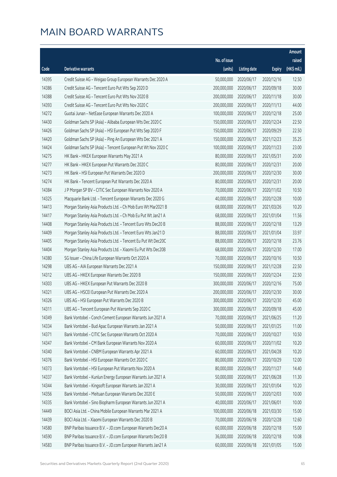|       |                                                              |                        |                     |               | Amount      |
|-------|--------------------------------------------------------------|------------------------|---------------------|---------------|-------------|
|       |                                                              | No. of issue           |                     |               | raised      |
| Code  | Derivative warrants                                          | (units)                | <b>Listing date</b> | <b>Expiry</b> | (HK\$ mil.) |
| 14395 | Credit Suisse AG - Weigao Group European Warrants Dec 2020 A | 50,000,000             | 2020/06/17          | 2020/12/16    | 12.50       |
| 14386 | Credit Suisse AG - Tencent Euro Put Wts Sep 2020 D           | 200,000,000            | 2020/06/17          | 2020/09/18    | 30.00       |
| 14388 | Credit Suisse AG - Tencent Euro Put Wts Nov 2020 B           | 200,000,000            | 2020/06/17          | 2020/11/18    | 30.00       |
| 14393 | Credit Suisse AG - Tencent Euro Put Wts Nov 2020 C           | 200,000,000            | 2020/06/17          | 2020/11/13    | 44.00       |
| 14272 | Guotai Junan - NetEase European Warrants Dec 2020 A          | 100,000,000            | 2020/06/17          | 2020/12/18    | 25.00       |
| 14430 | Goldman Sachs SP (Asia) - Alibaba European Wts Dec 2020 C    | 150,000,000            | 2020/06/17          | 2020/12/24    | 22.50       |
| 14426 | Goldman Sachs SP (Asia) - HSI European Put Wts Sep 2020 F    | 150,000,000            | 2020/06/17          | 2020/09/29    | 22.50       |
| 14420 | Goldman Sachs SP (Asia) - Ping An European Wts Dec 2021 A    | 150,000,000            | 2020/06/17          | 2021/12/23    | 35.25       |
| 14424 | Goldman Sachs SP (Asia) - Tencent European Put Wt Nov 2020 C | 100,000,000            | 2020/06/17          | 2020/11/23    | 23.00       |
| 14275 | HK Bank - HKEX European Warrants May 2021 A                  | 80,000,000             | 2020/06/17          | 2021/05/31    | 20.00       |
| 14277 | HK Bank - HKEX European Put Warrants Dec 2020 C              | 80,000,000             | 2020/06/17          | 2020/12/31    | 20.00       |
| 14273 | HK Bank - HSI European Put Warrants Dec 2020 D               | 200,000,000            | 2020/06/17          | 2020/12/30    | 30.00       |
| 14274 | HK Bank - Tencent European Put Warrants Dec 2020 A           | 80,000,000             | 2020/06/17          | 2020/12/31    | 20.00       |
| 14384 | J P Morgan SP BV - CITIC Sec European Warrants Nov 2020 A    | 70,000,000             | 2020/06/17          | 2020/11/02    | 10.50       |
| 14325 | Macquarie Bank Ltd. - Tencent European Warrants Dec 2020 G   | 40,000,000             | 2020/06/17          | 2020/12/28    | 10.00       |
| 14413 | Morgan Stanley Asia Products Ltd. - Ch Mob Euro Wt Mar2021 B | 68,000,000             | 2020/06/17          | 2021/03/26    | 10.20       |
| 14417 | Morgan Stanley Asia Products Ltd. - Ch Mob Eu Put Wt Jan21 A | 68,000,000             | 2020/06/17          | 2021/01/04    | 11.56       |
| 14408 | Morgan Stanley Asia Products Ltd. - Tencent Euro Wts Dec20 B | 88,000,000             | 2020/06/17          | 2020/12/18    | 13.29       |
| 14409 | Morgan Stanley Asia Products Ltd. - Tencent Euro Wts Jan21 D | 88,000,000             | 2020/06/17          | 2021/01/04    | 33.97       |
| 14405 | Morgan Stanley Asia Products Ltd. - Tencent Eu Put Wt Dec20C | 88,000,000             | 2020/06/17          | 2020/12/18    | 23.76       |
| 14404 | Morgan Stanley Asia Products Ltd. - Xiaomi Eu Put Wts Dec20B | 68,000,000             | 2020/06/17          | 2020/12/30    | 17.00       |
| 14380 | SG Issuer - China Life European Warrants Oct 2020 A          | 70,000,000             | 2020/06/17          | 2020/10/16    | 10.50       |
| 14298 | UBS AG - AIA European Warrants Dec 2021 A                    | 150,000,000            | 2020/06/17          | 2021/12/28    | 22.50       |
| 14312 | UBS AG - HKEX European Warrants Dec 2020 B                   | 150,000,000            | 2020/06/17          | 2020/12/24    | 22.50       |
| 14303 | UBS AG - HKEX European Put Warrants Dec 2020 B               | 300,000,000            | 2020/06/17          | 2020/12/16    | 75.00       |
| 14321 | UBS AG - HSCEI European Put Warrants Dec 2020 A              | 200,000,000            | 2020/06/17          | 2020/12/30    | 30.00       |
| 14326 | UBS AG - HSI European Put Warrants Dec 2020 B                | 300,000,000 2020/06/17 |                     | 2020/12/30    | 45.00       |
| 14311 | UBS AG - Tencent European Put Warrants Sep 2020 C            | 300,000,000            | 2020/06/17          | 2020/09/18    | 45.00       |
| 14349 | Bank Vontobel - Conch Cement European Warrants Jun 2021 A    | 70,000,000             | 2020/06/17          | 2021/06/25    | 11.20       |
| 14334 | Bank Vontobel - Bud Apac European Warrants Jan 2021 A        | 50,000,000             | 2020/06/17          | 2021/01/25    | 11.00       |
| 14371 | Bank Vontobel - CITIC Sec European Warrants Oct 2020 A       | 70,000,000             | 2020/06/17          | 2020/10/27    | 10.50       |
| 14347 | Bank Vontobel - CM Bank European Warrants Nov 2020 A         | 60,000,000             | 2020/06/17          | 2020/11/02    | 10.20       |
| 14340 | Bank Vontobel - CNBM European Warrants Apr 2021 A            | 60,000,000             | 2020/06/17          | 2021/04/28    | 10.20       |
| 14376 | Bank Vontobel - HSI European Warrants Oct 2020 C             | 80,000,000             | 2020/06/17          | 2020/10/29    | 12.00       |
| 14373 | Bank Vontobel - HSI European Put Warrants Nov 2020 A         | 80,000,000             | 2020/06/17          | 2020/11/27    | 14.40       |
| 14337 | Bank Vontobel - Kunlun Energy European Warrants Jun 2021 A   | 50,000,000             | 2020/06/17          | 2021/06/28    | 11.30       |
| 14344 | Bank Vontobel - Kingsoft European Warrants Jan 2021 A        | 30,000,000             | 2020/06/17          | 2021/01/04    | 10.20       |
| 14356 | Bank Vontobel - Meituan European Warrants Dec 2020 E         | 50,000,000             | 2020/06/17          | 2020/12/03    | 10.00       |
| 14335 | Bank Vontobel - Sino Biopharm European Warrants Jun 2021 A   | 40,000,000             | 2020/06/17          | 2021/06/01    | 10.00       |
| 14449 | BOCI Asia Ltd. - China Mobile European Warrants Mar 2021 A   | 100,000,000            | 2020/06/18          | 2021/03/30    | 15.00       |
| 14439 | BOCI Asia Ltd. - Xiaomi European Warrants Dec 2020 B         | 70,000,000             | 2020/06/18          | 2020/12/28    | 12.60       |
| 14580 | BNP Paribas Issuance B.V. - JD.com European Warrants Dec20 A | 60,000,000             | 2020/06/18          | 2020/12/18    | 15.00       |
| 14590 | BNP Paribas Issuance B.V. - JD.com European Warrants Dec20 B | 36,000,000             | 2020/06/18          | 2020/12/18    | 10.08       |
| 14583 | BNP Paribas Issuance B.V. - JD.com European Warrants Jan21 A | 60,000,000             | 2020/06/18          | 2021/01/05    | 15.00       |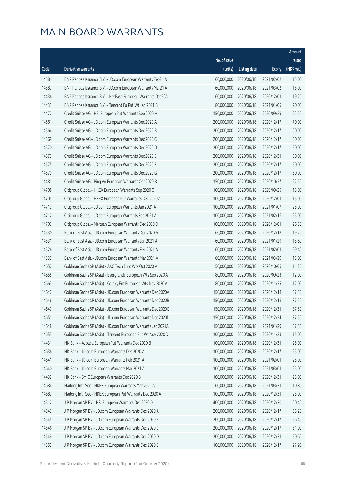|       |                                                              |                        |                     |               | Amount      |
|-------|--------------------------------------------------------------|------------------------|---------------------|---------------|-------------|
|       |                                                              | No. of issue           |                     |               | raised      |
| Code  | <b>Derivative warrants</b>                                   | (units)                | <b>Listing date</b> | <b>Expiry</b> | (HK\$ mil.) |
| 14584 | BNP Paribas Issuance B.V. - JD.com European Warrants Feb21 A | 60,000,000             | 2020/06/18          | 2021/02/02    | 15.00       |
| 14587 | BNP Paribas Issuance B.V. - JD.com European Warrants Mar21 A | 60,000,000             | 2020/06/18          | 2021/03/02    | 15.00       |
| 14436 | BNP Paribas Issuance B.V. - NetEase European Warrants Dec20A | 60,000,000             | 2020/06/18          | 2020/12/03    | 19.20       |
| 14433 | BNP Paribas Issuance B.V. - Tencent Eu Put Wt Jan 2021 B     | 80,000,000             | 2020/06/18          | 2021/01/05    | 20.00       |
| 14472 | Credit Suisse AG - HSI European Put Warrants Sep 2020 H      | 150,000,000            | 2020/06/18          | 2020/09/29    | 22.50       |
| 14561 | Credit Suisse AG - JD.com European Warrants Dec 2020 A       | 200,000,000            | 2020/06/18          | 2020/12/17    | 70.00       |
| 14564 | Credit Suisse AG - JD.com European Warrants Dec 2020 B       | 200,000,000            | 2020/06/18          | 2020/12/17    | 60.00       |
| 14569 | Credit Suisse AG - JD.com European Warrants Dec 2020 C       | 200,000,000            | 2020/06/18          | 2020/12/17    | 50.00       |
| 14570 | Credit Suisse AG - JD.com European Warrants Dec 2020 D       | 200,000,000            | 2020/06/18          | 2020/12/17    | 50.00       |
| 14573 | Credit Suisse AG - JD.com European Warrants Dec 2020 E       | 200,000,000            | 2020/06/18          | 2020/12/31    | 50.00       |
| 14575 | Credit Suisse AG - JD.com European Warrants Dec 2020 F       | 200,000,000            | 2020/06/18          | 2020/12/17    | 50.00       |
| 14579 | Credit Suisse AG - JD.com European Warrants Dec 2020 G       | 200,000,000            | 2020/06/18          | 2020/12/17    | 50.00       |
| 14481 | Credit Suisse AG - Ping An European Warrants Oct 2020 B      | 150,000,000            | 2020/06/18          | 2020/10/27    | 22.50       |
| 14708 | Citigroup Global - HKEX European Warrants Sep 2020 C         | 100,000,000            | 2020/06/18          | 2020/09/25    | 15.00       |
| 14703 | Citigroup Global - HKEX European Put Warrants Dec 2020 A     | 100,000,000            | 2020/06/18          | 2020/12/01    | 15.00       |
| 14713 | Citigroup Global - JD.com European Warrants Jan 2021 A       | 100,000,000            | 2020/06/18          | 2021/01/07    | 25.00       |
| 14712 | Citigroup Global - JD.com European Warrants Feb 2021 A       | 100,000,000            | 2020/06/18          | 2021/02/16    | 25.00       |
| 14707 | Citigroup Global - Meituan European Warrants Dec 2020 D      | 100,000,000            | 2020/06/18          | 2020/12/01    | 26.50       |
| 14530 | Bank of East Asia - JD.com European Warrants Dec 2020 A      | 60,000,000             | 2020/06/18          | 2020/12/18    | 19.20       |
| 14531 | Bank of East Asia - JD.com European Warrants Jan 2021 A      | 60,000,000             | 2020/06/18          | 2021/01/29    | 15.60       |
| 14526 | Bank of East Asia - JD.com European Warrants Feb 2021 A      | 60,000,000             | 2020/06/18          | 2021/02/03    | 29.40       |
| 14532 | Bank of East Asia - JD.com European Warrants Mar 2021 A      | 60,000,000             | 2020/06/18          | 2021/03/30    | 15.00       |
| 14652 | Goldman Sachs SP (Asia) - AAC Tech Euro Wts Oct 2020 A       | 50,000,000             | 2020/06/18          | 2020/10/05    | 11.25       |
| 14655 | Goldman Sachs SP (Asia) - Evergrande European Wts Sep 2020 A | 80,000,000             | 2020/06/18          | 2020/09/23    | 12.00       |
| 14663 | Goldman Sachs SP (Asia) - Galaxy Ent European Wts Nov 2020 A | 80,000,000             | 2020/06/18          | 2020/11/25    | 12.00       |
| 14642 | Goldman Sachs SP (Asia) - JD.com European Warrants Dec 2020A | 150,000,000            | 2020/06/18          | 2020/12/18    | 37.50       |
| 14646 | Goldman Sachs SP (Asia) - JD.com European Warrants Dec 2020B | 150,000,000 2020/06/18 |                     | 2020/12/18    | 37.50       |
| 14647 | Goldman Sachs SP (Asia) - JD.com European Warrants Dec 2020C | 150,000,000            | 2020/06/18          | 2020/12/31    | 37.50       |
| 14651 | Goldman Sachs SP (Asia) - JD.com European Warrants Dec 2020D | 150,000,000            | 2020/06/18          | 2020/12/24    | 37.50       |
| 14648 | Goldman Sachs SP (Asia) - JD.com European Warrants Jan 2021A | 150,000,000            | 2020/06/18          | 2021/01/29    | 37.50       |
| 14653 | Goldman Sachs SP (Asia) - Tencent European Put Wt Nov 2020 D | 100,000,000            | 2020/06/18          | 2020/11/23    | 15.00       |
| 14431 | HK Bank - Alibaba European Put Warrants Dec 2020 B           | 100,000,000            | 2020/06/18          | 2020/12/31    | 25.00       |
| 14636 | HK Bank - JD.com European Warrants Dec 2020 A                | 100,000,000            | 2020/06/18          | 2020/12/17    | 25.00       |
| 14641 | HK Bank - JD.com European Warrants Feb 2021 A                | 100,000,000            | 2020/06/18          | 2021/02/01    | 25.00       |
| 14640 | HK Bank - JD.com European Warrants Mar 2021 A                | 100,000,000            | 2020/06/18          | 2021/03/01    | 25.00       |
| 14432 | HK Bank - SMIC European Warrants Dec 2020 B                  | 100,000,000            | 2020/06/18          | 2020/12/31    | 25.00       |
| 14684 | Haitong Int'l Sec - HKEX European Warrants Mar 2021 A        | 60,000,000             | 2020/06/18          | 2021/03/31    | 10.80       |
| 14683 | Haitong Int'l Sec - HKEX European Put Warrants Dec 2020 A    | 100,000,000            | 2020/06/18          | 2020/12/31    | 25.00       |
| 14512 | J P Morgan SP BV - HSI European Warrants Dec 2020 D          | 400,000,000            | 2020/06/18          | 2020/12/30    | 60.40       |
| 14543 | J P Morgan SP BV - JD.com European Warrants Dec 2020 A       | 200,000,000            | 2020/06/18          | 2020/12/17    | 65.20       |
| 14545 | J P Morgan SP BV - JD.com European Warrants Dec 2020 B       | 200,000,000            | 2020/06/18          | 2020/12/17    | 56.40       |
| 14546 | J P Morgan SP BV - JD.com European Warrants Dec 2020 C       | 200,000,000            | 2020/06/18          | 2020/12/17    | 51.00       |
| 14549 | J P Morgan SP BV - JD.com European Warrants Dec 2020 D       | 200,000,000            | 2020/06/18          | 2020/12/31    | 50.60       |
| 14552 | J P Morgan SP BV - JD.com European Warrants Dec 2020 E       | 100,000,000            | 2020/06/18          | 2020/12/17    | 27.90       |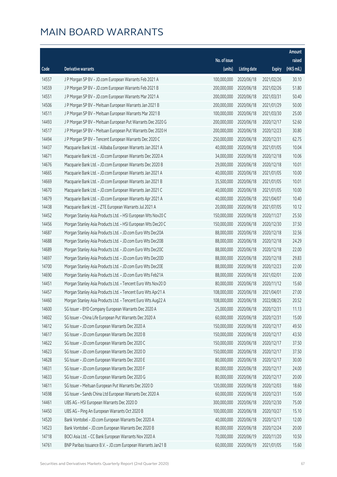|       |                                                              |                        |                     |               | Amount      |
|-------|--------------------------------------------------------------|------------------------|---------------------|---------------|-------------|
|       |                                                              | No. of issue           |                     |               | raised      |
| Code  | <b>Derivative warrants</b>                                   | (units)                | <b>Listing date</b> | <b>Expiry</b> | (HK\$ mil.) |
| 14557 | J P Morgan SP BV - JD.com European Warrants Feb 2021 A       | 100,000,000            | 2020/06/18          | 2021/02/26    | 30.10       |
| 14559 | J P Morgan SP BV - JD.com European Warrants Feb 2021 B       | 200,000,000            | 2020/06/18          | 2021/02/26    | 51.80       |
| 14551 | J P Morgan SP BV - JD.com European Warrants Mar 2021 A       | 200,000,000            | 2020/06/18          | 2021/03/31    | 50.40       |
| 14506 | J P Morgan SP BV - Meituan European Warrants Jan 2021 B      | 200,000,000            | 2020/06/18          | 2021/01/29    | 50.00       |
| 14511 | J P Morgan SP BV - Meituan European Warrants Mar 2021 B      | 100,000,000            | 2020/06/18          | 2021/03/30    | 25.00       |
| 14493 | J P Morgan SP BV - Meituan European Put Warrants Dec 2020 G  | 200,000,000            | 2020/06/18          | 2020/12/17    | 52.60       |
| 14517 | J P Morgan SP BV - Meituan European Put Warrants Dec 2020 H  | 200,000,000            | 2020/06/18          | 2020/12/23    | 30.80       |
| 14494 | J P Morgan SP BV - Tencent European Warrants Dec 2020 C      | 250,000,000            | 2020/06/18          | 2020/12/31    | 62.75       |
| 14437 | Macquarie Bank Ltd. - Alibaba European Warrants Jan 2021 A   | 40,000,000             | 2020/06/18          | 2021/01/05    | 10.04       |
| 14671 | Macquarie Bank Ltd. - JD.com European Warrants Dec 2020 A    | 34,000,000             | 2020/06/18          | 2020/12/18    | 10.06       |
| 14676 | Macquarie Bank Ltd. - JD.com European Warrants Dec 2020 B    | 29,000,000             | 2020/06/18          | 2020/12/18    | 10.01       |
| 14665 | Macquarie Bank Ltd. - JD.com European Warrants Jan 2021 A    | 40,000,000             | 2020/06/18          | 2021/01/05    | 10.00       |
| 14669 | Macquarie Bank Ltd. - JD.com European Warrants Jan 2021 B    | 35,500,000             | 2020/06/18          | 2021/01/05    | 10.01       |
| 14670 | Macquarie Bank Ltd. - JD.com European Warrants Jan 2021 C    | 40,000,000             | 2020/06/18          | 2021/01/05    | 10.00       |
| 14679 | Macquarie Bank Ltd. - JD.com European Warrants Apr 2021 A    | 40,000,000             | 2020/06/18          | 2021/04/07    | 10.40       |
| 14438 | Macquarie Bank Ltd. - ZTE European Warrants Jul 2021 A       | 20,000,000             | 2020/06/18          | 2021/07/05    | 10.12       |
| 14452 | Morgan Stanley Asia Products Ltd. - HSI European Wts Nov20 C | 150,000,000            | 2020/06/18          | 2020/11/27    | 25.50       |
| 14456 | Morgan Stanley Asia Products Ltd. - HSI European Wts Dec20 C | 150,000,000            | 2020/06/18          | 2020/12/30    | 37.50       |
| 14687 | Morgan Stanley Asia Products Ltd. - JD.com Euro Wts Dec20A   | 88,000,000             | 2020/06/18          | 2020/12/18    | 32.56       |
| 14688 | Morgan Stanley Asia Products Ltd. - JD.com Euro Wts Dec20B   | 88,000,000             | 2020/06/18          | 2020/12/18    | 24.29       |
| 14689 | Morgan Stanley Asia Products Ltd. - JD.com Euro Wts Dec20C   | 88,000,000             | 2020/06/18          | 2020/12/18    | 22.00       |
| 14697 | Morgan Stanley Asia Products Ltd. - JD.com Euro Wts Dec20D   | 88,000,000             | 2020/06/18          | 2020/12/18    | 29.83       |
| 14700 | Morgan Stanley Asia Products Ltd. - JD.com Euro Wts Dec20E   | 88,000,000             | 2020/06/18          | 2020/12/23    | 22.00       |
| 14690 | Morgan Stanley Asia Products Ltd. - JD.com Euro Wts Feb21A   | 88,000,000             | 2020/06/18          | 2021/02/01    | 22.00       |
| 14451 | Morgan Stanley Asia Products Ltd. - Tencent Euro Wts Nov20 D | 80,000,000             | 2020/06/18          | 2020/11/12    | 15.60       |
| 14457 | Morgan Stanley Asia Products Ltd. - Tencent Euro Wts Apr21 A | 108,000,000            | 2020/06/18          | 2021/04/01    | 27.00       |
| 14460 | Morgan Stanley Asia Products Ltd. - Tencent Euro Wts Aug22 A | 108,000,000 2020/06/18 |                     | 2022/08/25    | 20.52       |
| 14600 | SG Issuer - BYD Company European Warrants Dec 2020 A         | 25,000,000             | 2020/06/18          | 2020/12/31    | 11.13       |
| 14602 | SG Issuer - China Life European Put Warrants Dec 2020 A      | 60,000,000             | 2020/06/18          | 2020/12/31    | 15.00       |
| 14612 | SG Issuer - JD.com European Warrants Dec 2020 A              | 150,000,000            | 2020/06/18          | 2020/12/17    | 49.50       |
| 14617 | SG Issuer - JD.com European Warrants Dec 2020 B              | 150,000,000            | 2020/06/18          | 2020/12/17    | 43.50       |
| 14622 | SG Issuer - JD.com European Warrants Dec 2020 C              | 150,000,000            | 2020/06/18          | 2020/12/17    | 37.50       |
| 14623 | SG Issuer - JD.com European Warrants Dec 2020 D              | 150,000,000            | 2020/06/18          | 2020/12/17    | 37.50       |
| 14628 | SG Issuer - JD.com European Warrants Dec 2020 E              | 80,000,000             | 2020/06/18          | 2020/12/17    | 30.00       |
| 14631 | SG Issuer - JD.com European Warrants Dec 2020 F              | 80,000,000             | 2020/06/18          | 2020/12/17    | 24.00       |
| 14633 | SG Issuer - JD.com European Warrants Dec 2020 G              | 80,000,000             | 2020/06/18          | 2020/12/17    | 20.00       |
| 14611 | SG Issuer - Meituan European Put Warrants Dec 2020 D         | 120,000,000            | 2020/06/18          | 2020/12/03    | 18.60       |
| 14598 | SG Issuer - Sands China Ltd European Warrants Dec 2020 A     | 60,000,000             | 2020/06/18          | 2020/12/31    | 15.00       |
| 14461 | UBS AG - HSI European Warrants Dec 2020 D                    | 300,000,000            | 2020/06/18          | 2020/12/30    | 75.00       |
| 14450 | UBS AG - Ping An European Warrants Oct 2020 B                | 100,000,000            | 2020/06/18          | 2020/10/27    | 15.10       |
| 14520 | Bank Vontobel - JD.com European Warrants Dec 2020 A          | 40,000,000             | 2020/06/18          | 2020/12/17    | 12.00       |
| 14523 | Bank Vontobel - JD.com European Warrants Dec 2020 B          | 80,000,000             | 2020/06/18          | 2020/12/24    | 20.00       |
| 14718 | BOCI Asia Ltd. - CC Bank European Warrants Nov 2020 A        | 70,000,000             | 2020/06/19          | 2020/11/20    | 10.50       |
| 14761 | BNP Paribas Issuance B.V. - JD.com European Warrants Jan21 B | 60,000,000             | 2020/06/19          | 2021/01/05    | 15.60       |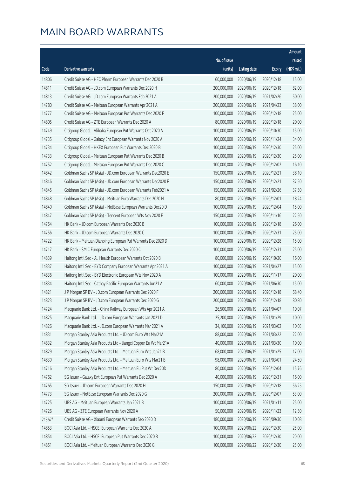|        |                                                                |                        |                     |               | Amount      |
|--------|----------------------------------------------------------------|------------------------|---------------------|---------------|-------------|
|        |                                                                | No. of issue           |                     |               | raised      |
| Code   | <b>Derivative warrants</b>                                     | (units)                | <b>Listing date</b> | <b>Expiry</b> | (HK\$ mil.) |
| 14806  | Credit Suisse AG - HEC Pharm European Warrants Dec 2020 B      | 60,000,000             | 2020/06/19          | 2020/12/18    | 15.00       |
| 14811  | Credit Suisse AG - JD.com European Warrants Dec 2020 H         | 200,000,000            | 2020/06/19          | 2020/12/18    | 82.00       |
| 14813  | Credit Suisse AG - JD.com European Warrants Feb 2021 A         | 200,000,000            | 2020/06/19          | 2021/02/26    | 50.00       |
| 14780  | Credit Suisse AG - Meituan European Warrants Apr 2021 A        | 200,000,000            | 2020/06/19          | 2021/04/23    | 38.00       |
| 14777  | Credit Suisse AG - Meituan European Put Warrants Dec 2020 F    | 100,000,000            | 2020/06/19          | 2020/12/18    | 25.00       |
| 14805  | Credit Suisse AG - ZTE European Warrants Dec 2020 A            | 80,000,000             | 2020/06/19          | 2020/12/18    | 20.00       |
| 14749  | Citigroup Global - Alibaba European Put Warrants Oct 2020 A    | 100,000,000            | 2020/06/19          | 2020/10/30    | 15.00       |
| 14735  | Citigroup Global - Galaxy Ent European Warrants Nov 2020 A     | 100,000,000            | 2020/06/19          | 2020/11/24    | 34.00       |
| 14734  | Citigroup Global - HKEX European Put Warrants Dec 2020 B       | 100,000,000            | 2020/06/19          | 2020/12/30    | 25.00       |
| 14733  | Citigroup Global - Meituan European Put Warrants Dec 2020 B    | 100,000,000            | 2020/06/19          | 2020/12/30    | 25.00       |
| 14752  | Citigroup Global - Meituan European Put Warrants Dec 2020 C    | 100,000,000            | 2020/06/19          | 2020/12/02    | 16.10       |
| 14842  | Goldman Sachs SP (Asia) - JD.com European Warrants Dec2020 E   | 150,000,000            | 2020/06/19          | 2020/12/21    | 38.10       |
| 14846  | Goldman Sachs SP (Asia) - JD.com European Warrants Dec2020 F   | 150,000,000            | 2020/06/19          | 2020/12/21    | 37.50       |
| 14845  | Goldman Sachs SP (Asia) - JD.com European Warrants Feb2021 A   | 150,000,000            | 2020/06/19          | 2021/02/26    | 37.50       |
| 14848  | Goldman Sachs SP (Asia) - Meituan Euro Warrants Dec 2020 H     | 80,000,000             | 2020/06/19          | 2020/12/01    | 18.24       |
| 14840  | Goldman Sachs SP (Asia) - NetEase European Warrants Dec20 D    | 100,000,000            | 2020/06/19          | 2020/12/04    | 15.00       |
| 14847  | Goldman Sachs SP (Asia) - Tencent European Wts Nov 2020 E      | 150,000,000            | 2020/06/19          | 2020/11/16    | 22.50       |
| 14754  | HK Bank - JD.com European Warrants Dec 2020 B                  | 100,000,000            | 2020/06/19          | 2020/12/18    | 26.00       |
| 14756  | HK Bank - JD.com European Warrants Dec 2020 C                  | 100,000,000            | 2020/06/19          | 2020/12/31    | 25.00       |
| 14722  | HK Bank - Meituan Dianping European Put Warrants Dec 2020 D    | 100,000,000            | 2020/06/19          | 2020/12/28    | 15.00       |
| 14717  | HK Bank - SMIC European Warrants Dec 2020 C                    | 100,000,000            | 2020/06/19          | 2020/12/31    | 25.00       |
| 14839  | Haitong Int'l Sec - Ali Health European Warrants Oct 2020 B    | 80,000,000             | 2020/06/19          | 2020/10/20    | 16.00       |
| 14837  | Haitong Int'l Sec - BYD Company European Warrants Apr 2021 A   | 100,000,000            | 2020/06/19          | 2021/04/27    | 15.00       |
| 14836  | Haitong Int'l Sec - BYD Electronic European Wts Nov 2020 A     | 100,000,000            | 2020/06/19          | 2020/11/17    | 20.00       |
| 14834  | Haitong Int'l Sec - Cathay Pacific European Warrants Jun21 A   | 60,000,000             | 2020/06/19          | 2021/06/30    | 15.00       |
| 14821  | J P Morgan SP BV - JD.com European Warrants Dec 2020 F         | 200,000,000            | 2020/06/19          | 2020/12/18    | 68.40       |
| 14823  | J P Morgan SP BV - JD.com European Warrants Dec 2020 G         | 200,000,000 2020/06/19 |                     | 2020/12/18    | 80.80       |
| 14724  | Macquarie Bank Ltd. - China Railway European Wts Apr 2021 A    | 26,500,000             | 2020/06/19          | 2021/04/07    | 10.07       |
| 14825  | Macquarie Bank Ltd. - JD.com European Warrants Jan 2021 D      | 25,200,000             | 2020/06/19          | 2021/01/29    | 10.00       |
| 14826  | Macquarie Bank Ltd. - JD.com European Warrants Mar 2021 A      | 34,100,000             | 2020/06/19          | 2021/03/02    | 10.03       |
| 14831  | Morgan Stanley Asia Products Ltd. - JD.com Euro Wts Mar21A     | 88,000,000             | 2020/06/19          | 2021/03/22    | 22.00       |
| 14832  | Morgan Stanley Asia Products Ltd - Jiangxi Copper Eu Wt Mar21A | 40,000,000             | 2020/06/19          | 2021/03/30    | 10.00       |
| 14829  | Morgan Stanley Asia Products Ltd. - Meituan Euro Wts Jan21 B   | 68,000,000             | 2020/06/19          | 2021/01/25    | 17.00       |
| 14830  | Morgan Stanley Asia Products Ltd. - Meituan Euro Wts Mar21 B   | 98,000,000             | 2020/06/19          | 2021/03/01    | 24.50       |
| 14716  | Morgan Stanley Asia Products Ltd. - Meituan Eu Put Wt Dec20D   | 80,000,000             | 2020/06/19          | 2020/12/04    | 15.76       |
| 14762  | SG Issuer - Galaxy Ent European Put Warrants Dec 2020 A        | 40,000,000             | 2020/06/19          | 2020/12/31    | 16.00       |
| 14765  | SG Issuer - JD.com European Warrants Dec 2020 H                | 150,000,000            | 2020/06/19          | 2020/12/18    | 56.25       |
| 14773  | SG Issuer - NetEase European Warrants Dec 2020 G               | 200,000,000            | 2020/06/19          | 2020/12/07    | 53.00       |
| 14725  | UBS AG - Meituan European Warrants Jan 2021 B                  | 100,000,000            | 2020/06/19          | 2021/01/11    | 25.00       |
| 14726  | UBS AG - ZTE European Warrants Nov 2020 A                      | 50,000,000             | 2020/06/19          | 2020/11/23    | 12.50       |
| 21367# | Credit Suisse AG - Xiaomi European Warrants Sep 2020 D         | 180,000,000            | 2020/06/19          | 2020/09/30    | 10.08       |
| 14853  | BOCI Asia Ltd. - HSCEI European Warrants Dec 2020 A            | 100,000,000            | 2020/06/22          | 2020/12/30    | 25.00       |
| 14854  | BOCI Asia Ltd. - HSCEI European Put Warrants Dec 2020 B        | 100,000,000            | 2020/06/22          | 2020/12/30    | 20.00       |
| 14851  | BOCI Asia Ltd. - Meituan European Warrants Dec 2020 G          | 100,000,000            | 2020/06/22          | 2020/12/30    | 25.00       |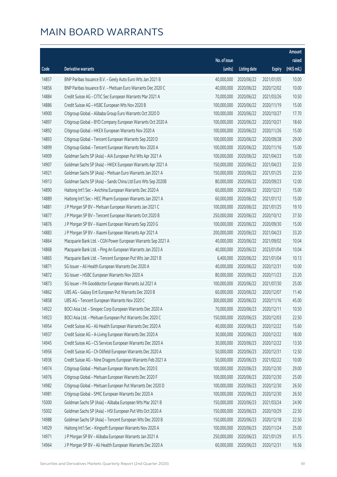|       |                                                              |                        |                     |               | Amount      |
|-------|--------------------------------------------------------------|------------------------|---------------------|---------------|-------------|
|       |                                                              | No. of issue           |                     |               | raised      |
| Code  | <b>Derivative warrants</b>                                   | (units)                | <b>Listing date</b> | <b>Expiry</b> | (HK\$ mil.) |
| 14857 | BNP Paribas Issuance B.V. - Geely Auto Euro Wts Jan 2021 B   | 40,000,000             | 2020/06/22          | 2021/01/05    | 10.00       |
| 14856 | BNP Paribas Issuance B.V. - Meituan Euro Warrants Dec 2020 C | 40,000,000             | 2020/06/22          | 2020/12/02    | 10.00       |
| 14884 | Credit Suisse AG - CITIC Sec European Warrants Mar 2021 A    | 70,000,000             | 2020/06/22          | 2021/03/26    | 10.50       |
| 14886 | Credit Suisse AG - HSBC European Wts Nov 2020 B              | 100,000,000            | 2020/06/22          | 2020/11/19    | 15.00       |
| 14900 | Citigroup Global - Alibaba Group Euro Warrants Oct 2020 D    | 100,000,000            | 2020/06/22          | 2020/10/27    | 17.70       |
| 14897 | Citigroup Global - BYD Company European Warrants Oct 2020 A  | 100,000,000            | 2020/06/22          | 2020/10/21    | 18.60       |
| 14892 | Citigroup Global - HKEX European Warrants Nov 2020 A         | 100,000,000            | 2020/06/22          | 2020/11/26    | 15.00       |
| 14893 | Citigroup Global - Tencent European Warrants Sep 2020 D      | 100,000,000            | 2020/06/22          | 2020/09/28    | 29.00       |
| 14899 | Citigroup Global - Tencent European Warrants Nov 2020 A      | 100,000,000            | 2020/06/22          | 2020/11/16    | 15.00       |
| 14909 | Goldman Sachs SP (Asia) - AIA European Put Wts Apr 2021 A    | 100,000,000            | 2020/06/22          | 2021/04/23    | 15.00       |
| 14907 | Goldman Sachs SP (Asia) - HKEX European Warrants Apr 2021 A  | 150,000,000            | 2020/06/22          | 2021/04/23    | 22.50       |
| 14921 | Goldman Sachs SP (Asia) - Meituan Euro Warrants Jan 2021 A   | 150,000,000            | 2020/06/22          | 2021/01/25    | 22.50       |
| 14913 | Goldman Sachs SP (Asia) - Sands China Ltd Euro Wts Sep 2020B | 80,000,000             | 2020/06/22          | 2020/09/23    | 12.00       |
| 14890 | Haitong Int'l Sec - Avichina European Warrants Dec 2020 A    | 60,000,000             | 2020/06/22          | 2020/12/21    | 15.00       |
| 14889 | Haitong Int'l Sec - HEC Pharm European Warrants Jan 2021 A   | 60,000,000             | 2020/06/22          | 2021/01/12    | 15.00       |
| 14881 | J P Morgan SP BV - Meituan European Warrants Jan 2021 C      | 100,000,000            | 2020/06/22          | 2021/01/25    | 19.10       |
| 14877 | J P Morgan SP BV - Tencent European Warrants Oct 2020 B      | 250,000,000            | 2020/06/22          | 2020/10/12    | 37.50       |
| 14876 | J P Morgan SP BV - Xiaomi European Warrants Sep 2020 G       | 100,000,000            | 2020/06/22          | 2020/09/30    | 15.00       |
| 14883 | J P Morgan SP BV - Xiaomi European Warrants Apr 2021 A       | 200,000,000            | 2020/06/22          | 2021/04/23    | 33.20       |
| 14864 | Macquarie Bank Ltd. - CGN Power European Warrants Sep 2021 A | 40,000,000             | 2020/06/22          | 2021/09/02    | 10.04       |
| 14868 | Macquarie Bank Ltd. - Ping An European Warrants Jan 2023 A   | 40,000,000             | 2020/06/22          | 2023/01/04    | 10.04       |
| 14865 | Macquarie Bank Ltd. - Tencent European Put Wts Jan 2021 B    | 6,400,000              | 2020/06/22          | 2021/01/04    | 10.13       |
| 14871 | SG Issuer - Ali Health European Warrants Dec 2020 A          | 40,000,000             | 2020/06/22          | 2020/12/31    | 10.00       |
| 14872 | SG Issuer - HSBC European Warrants Nov 2020 A                | 80,000,000             | 2020/06/22          | 2020/11/23    | 23.20       |
| 14873 | SG Issuer - PA Gooddoctor European Warrants Jul 2021 A       | 100,000,000            | 2020/06/22          | 2021/07/30    | 25.00       |
| 14862 | UBS AG - Galaxy Ent European Put Warrants Dec 2020 B         | 60,000,000             | 2020/06/22          | 2020/12/07    | 11.40       |
| 14858 | UBS AG - Tencent European Warrants Nov 2020 C                | 300,000,000 2020/06/22 |                     | 2020/11/16    | 45.00       |
| 14922 | BOCI Asia Ltd. - Sinopec Corp European Warrants Dec 2020 A   | 70,000,000             | 2020/06/23          | 2020/12/11    | 10.50       |
| 14923 | BOCI Asia Ltd. - Meituan European Put Warrants Dec 2020 C    | 150,000,000            | 2020/06/23          | 2020/12/03    | 22.50       |
| 14954 | Credit Suisse AG - Ali Health European Warrants Dec 2020 A   | 40,000,000             | 2020/06/23          | 2020/12/22    | 15.60       |
| 14937 | Credit Suisse AG - A-Living European Warrants Dec 2020 A     | 30,000,000             | 2020/06/23          | 2020/12/22    | 18.00       |
| 14945 | Credit Suisse AG - CS Services European Warrants Dec 2020 A  | 30,000,000             | 2020/06/23          | 2020/12/22    | 13.50       |
| 14956 | Credit Suisse AG - Ch Oilfield European Warrants Dec 2020 A  | 50,000,000             | 2020/06/23          | 2020/12/31    | 12.50       |
| 14936 | Credit Suisse AG - Nine Dragons European Warrants Feb 2021 A | 50,000,000             | 2020/06/23          | 2021/02/22    | 10.00       |
| 14974 | Citigroup Global - Meituan European Warrants Dec 2020 E      | 100,000,000            | 2020/06/23          | 2020/12/30    | 29.00       |
| 14976 | Citigroup Global - Meituan European Warrants Dec 2020 F      | 100,000,000            | 2020/06/23          | 2020/12/30    | 25.00       |
| 14982 | Citigroup Global - Meituan European Put Warrants Dec 2020 D  | 100,000,000            | 2020/06/23          | 2020/12/30    | 26.50       |
| 14981 | Citigroup Global - SMIC European Warrants Dec 2020 A         | 100,000,000            | 2020/06/23          | 2020/12/30    | 26.50       |
| 15000 | Goldman Sachs SP (Asia) - Alibaba European Wts Mar 2021 B    | 150,000,000            | 2020/06/23          | 2021/03/24    | 24.90       |
| 15002 | Goldman Sachs SP (Asia) - HSI European Put Wts Oct 2020 A    | 150,000,000            | 2020/06/23          | 2020/10/29    | 22.50       |
| 14988 | Goldman Sachs SP (Asia) - Tencent European Wts Dec 2020 B    | 150,000,000            | 2020/06/23          | 2020/12/18    | 22.50       |
| 14929 | Haitong Int'l Sec - Kingsoft European Warrants Nov 2020 A    | 100,000,000            | 2020/06/23          | 2020/11/24    | 25.00       |
| 14971 | J P Morgan SP BV - Alibaba European Warrants Jan 2021 A      | 250,000,000            | 2020/06/23          | 2021/01/29    | 61.75       |
| 14964 | J P Morgan SP BV - Ali Health European Warrants Dec 2020 A   | 60,000,000             | 2020/06/23          | 2020/12/31    | 16.56       |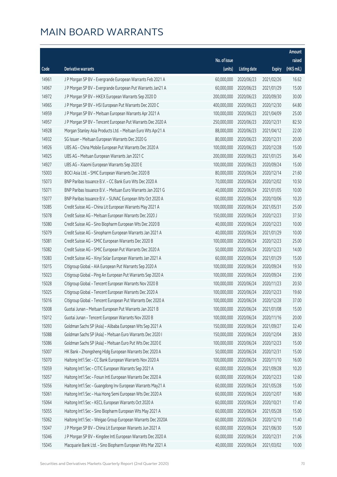|       |                                                              |                        |                     |               | Amount      |
|-------|--------------------------------------------------------------|------------------------|---------------------|---------------|-------------|
|       |                                                              | No. of issue           |                     |               | raised      |
| Code  | Derivative warrants                                          | (units)                | <b>Listing date</b> | <b>Expiry</b> | (HK\$ mil.) |
| 14961 | J P Morgan SP BV - Evergrande European Warrants Feb 2021 A   | 60,000,000             | 2020/06/23          | 2021/02/26    | 16.62       |
| 14967 | J P Morgan SP BV - Evergrande European Put Warrants Jan21 A  | 60,000,000             | 2020/06/23          | 2021/01/29    | 15.00       |
| 14972 | J P Morgan SP BV - HKEX European Warrants Sep 2020 D         | 200,000,000            | 2020/06/23          | 2020/09/30    | 30.00       |
| 14965 | J P Morgan SP BV - HSI European Put Warrants Dec 2020 C      | 400,000,000            | 2020/06/23          | 2020/12/30    | 64.80       |
| 14959 | J P Morgan SP BV - Meituan European Warrants Apr 2021 A      | 100,000,000            | 2020/06/23          | 2021/04/09    | 25.00       |
| 14957 | J P Morgan SP BV - Tencent European Put Warrants Dec 2020 A  | 250,000,000            | 2020/06/23          | 2020/12/31    | 82.50       |
| 14928 | Morgan Stanley Asia Products Ltd. - Meituan Euro Wts Apr21 A | 88,000,000             | 2020/06/23          | 2021/04/12    | 22.00       |
| 14932 | SG Issuer - Meituan European Warrants Dec 2020 G             | 80,000,000             | 2020/06/23          | 2020/12/31    | 20.00       |
| 14926 | UBS AG - China Mobile European Put Warrants Dec 2020 A       | 100,000,000            | 2020/06/23          | 2020/12/28    | 15.00       |
| 14925 | UBS AG - Meituan European Warrants Jan 2021 C                | 200,000,000            | 2020/06/23          | 2021/01/25    | 36.40       |
| 14927 | UBS AG - Xiaomi European Warrants Sep 2020 E                 | 100,000,000            | 2020/06/23          | 2020/09/24    | 15.00       |
| 15003 | BOCI Asia Ltd. - SMIC European Warrants Dec 2020 B           | 80,000,000             | 2020/06/24          | 2020/12/14    | 21.60       |
| 15073 | BNP Paribas Issuance B.V. - CC Bank Euro Wts Dec 2020 A      | 70,000,000             | 2020/06/24          | 2020/12/02    | 10.50       |
| 15071 | BNP Paribas Issuance B.V. - Meituan Euro Warrants Jan 2021 G | 40,000,000             | 2020/06/24          | 2021/01/05    | 10.00       |
| 15077 | BNP Paribas Issuance B.V. - SUNAC European Wts Oct 2020 A    | 60,000,000             | 2020/06/24          | 2020/10/06    | 10.20       |
| 15085 | Credit Suisse AG - China Lit European Warrants May 2021 A    | 100,000,000            | 2020/06/24          | 2021/05/31    | 25.00       |
| 15078 | Credit Suisse AG - Meituan European Warrants Dec 2020 J      | 150,000,000            | 2020/06/24          | 2020/12/23    | 37.50       |
| 15080 | Credit Suisse AG - Sino Biopharm European Wts Dec 2020 B     | 40,000,000             | 2020/06/24          | 2020/12/23    | 10.00       |
| 15079 | Credit Suisse AG - Sinopharm European Warrants Jan 2021 A    | 40,000,000             | 2020/06/24          | 2021/01/29    | 10.00       |
| 15081 | Credit Suisse AG - SMIC European Warrants Dec 2020 B         | 100,000,000            | 2020/06/24          | 2020/12/23    | 25.00       |
| 15082 | Credit Suisse AG - SMIC European Put Warrants Dec 2020 A     | 50,000,000             | 2020/06/24          | 2020/12/23    | 14.00       |
| 15083 | Credit Suisse AG - Xinyi Solar European Warrants Jan 2021 A  | 60,000,000             | 2020/06/24          | 2021/01/29    | 15.00       |
| 15015 | Citigroup Global - AIA European Put Warrants Sep 2020 A      | 100,000,000            | 2020/06/24          | 2020/09/24    | 19.50       |
| 15023 | Citigroup Global - Ping An European Put Warrants Sep 2020 A  | 100,000,000            | 2020/06/24          | 2020/09/24    | 23.90       |
| 15028 | Citigroup Global - Tencent European Warrants Nov 2020 B      | 100,000,000            | 2020/06/24          | 2020/11/23    | 20.50       |
| 15025 | Citigroup Global - Tencent European Warrants Dec 2020 A      | 100,000,000            | 2020/06/24          | 2020/12/23    | 19.60       |
| 15016 | Citigroup Global - Tencent European Put Warrants Dec 2020 A  | 100,000,000 2020/06/24 |                     | 2020/12/28    | 37.00       |
| 15008 | Guotai Junan - Meituan European Put Warrants Jan 2021 B      | 100,000,000            | 2020/06/24          | 2021/01/08    | 15.00       |
| 15012 | Guotai Junan - Tencent European Warrants Nov 2020 B          | 100,000,000            | 2020/06/24          | 2020/11/16    | 20.00       |
| 15093 | Goldman Sachs SP (Asia) - Alibaba European Wts Sep 2021 A    | 150,000,000            | 2020/06/24          | 2021/09/27    | 32.40       |
| 15088 | Goldman Sachs SP (Asia) - Meituan Euro Warrants Dec 2020 I   | 150,000,000            | 2020/06/24          | 2020/12/04    | 28.50       |
| 15086 | Goldman Sachs SP (Asia) - Meituan Euro Put Wts Dec 2020 E    | 100,000,000            | 2020/06/24          | 2020/12/23    | 15.00       |
| 15007 | HK Bank - Zhongsheng Hldg European Warrants Dec 2020 A       | 50,000,000             | 2020/06/24          | 2020/12/31    | 15.00       |
| 15070 | Haitong Int'l Sec - CC Bank European Warrants Nov 2020 A     | 100,000,000            | 2020/06/24          | 2020/11/10    | 16.00       |
| 15059 | Haitong Int'l Sec - CITIC European Warrants Sep 2021 A       | 60,000,000             | 2020/06/24          | 2021/09/28    | 10.20       |
| 15057 | Haitong Int'l Sec - Fosun Intl European Warrants Dec 2020 A  | 60,000,000             | 2020/06/24          | 2020/12/23    | 12.60       |
| 15056 | Haitong Int'l Sec - Guangdong Inv European Warrants May21 A  | 60,000,000             | 2020/06/24          | 2021/05/28    | 15.00       |
| 15061 | Haitong Int'l Sec - Hua Hong Semi European Wts Dec 2020 A    | 60,000,000             | 2020/06/24          | 2020/12/07    | 16.80       |
| 15064 | Haitong Int'l Sec - KECL European Warrants Oct 2020 A        | 60,000,000             | 2020/06/24          | 2020/10/21    | 17.40       |
| 15055 | Haitong Int'l Sec - Sino Biopharm European Wts May 2021 A    | 60,000,000             | 2020/06/24          | 2021/05/28    | 15.00       |
| 15062 | Haitong Int'l Sec - Weigao Group European Warrants Dec 2020A | 60,000,000             | 2020/06/24          | 2020/12/10    | 11.40       |
| 15047 | J P Morgan SP BV - China Lit European Warrants Jun 2021 A    | 60,000,000             | 2020/06/24          | 2021/06/30    | 15.00       |
| 15046 | J P Morgan SP BV - Kingdee Intl European Warrants Dec 2020 A | 60,000,000             | 2020/06/24          | 2020/12/31    | 21.06       |
| 15045 | Macquarie Bank Ltd. - Sino Biopharm European Wts Mar 2021 A  | 40,000,000             | 2020/06/24          | 2021/03/02    | 10.00       |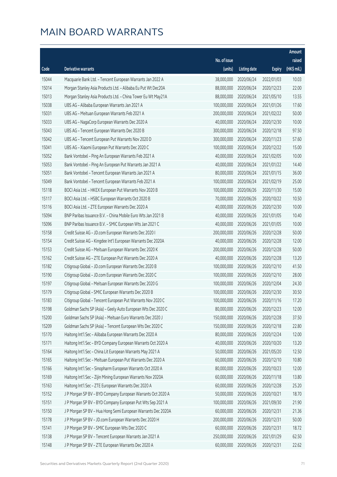|       |                                                              |                        |                     |               | Amount      |
|-------|--------------------------------------------------------------|------------------------|---------------------|---------------|-------------|
|       |                                                              | No. of issue           |                     |               | raised      |
| Code  | Derivative warrants                                          | (units)                | <b>Listing date</b> | <b>Expiry</b> | (HK\$ mil.) |
| 15044 | Macquarie Bank Ltd. - Tencent European Warrants Jan 2022 A   | 38,000,000             | 2020/06/24          | 2022/01/03    | 10.03       |
| 15014 | Morgan Stanley Asia Products Ltd. - Alibaba Eu Put Wt Dec20A | 88,000,000             | 2020/06/24          | 2020/12/23    | 22.00       |
| 15013 | Morgan Stanley Asia Products Ltd. - China Tower Eu Wt May21A | 88,000,000             | 2020/06/24          | 2021/05/10    | 13.55       |
| 15038 | UBS AG - Alibaba European Warrants Jan 2021 A                | 100,000,000            | 2020/06/24          | 2021/01/26    | 17.60       |
| 15031 | UBS AG - Meituan European Warrants Feb 2021 A                | 200,000,000            | 2020/06/24          | 2021/02/22    | 50.00       |
| 15033 | UBS AG - NagaCorp European Warrants Dec 2020 A               | 40,000,000             | 2020/06/24          | 2020/12/30    | 10.00       |
| 15043 | UBS AG - Tencent European Warrants Dec 2020 B                | 300,000,000            | 2020/06/24          | 2020/12/18    | 97.50       |
| 15042 | UBS AG - Tencent European Put Warrants Nov 2020 D            | 300,000,000            | 2020/06/24          | 2020/11/23    | 57.60       |
| 15041 | UBS AG - Xiaomi European Put Warrants Dec 2020 C             | 100,000,000            | 2020/06/24          | 2020/12/22    | 15.00       |
| 15052 | Bank Vontobel - Ping An European Warrants Feb 2021 A         | 40,000,000             | 2020/06/24          | 2021/02/05    | 10.00       |
| 15053 | Bank Vontobel - Ping An European Put Warrants Jan 2021 A     | 40,000,000             | 2020/06/24          | 2021/01/22    | 14.40       |
| 15051 | Bank Vontobel - Tencent European Warrants Jan 2021 A         | 80,000,000             | 2020/06/24          | 2021/01/15    | 36.00       |
| 15049 | Bank Vontobel - Tencent European Warrants Feb 2021 A         | 100,000,000            | 2020/06/24          | 2021/02/19    | 25.00       |
| 15118 | BOCI Asia Ltd. - HKEX European Put Warrants Nov 2020 B       | 100,000,000            | 2020/06/26          | 2020/11/30    | 15.00       |
| 15117 | BOCI Asia Ltd. - HSBC European Warrants Oct 2020 B           | 70,000,000             | 2020/06/26          | 2020/10/22    | 10.50       |
| 15116 | BOCI Asia Ltd. - ZTE European Warrants Dec 2020 A            | 40,000,000             | 2020/06/26          | 2020/12/30    | 10.00       |
| 15094 | BNP Paribas Issuance B.V. - China Mobile Euro Wts Jan 2021 B | 40,000,000             | 2020/06/26          | 2021/01/05    | 10.40       |
| 15096 | BNP Paribas Issuance B.V. - SMIC European Wts Jan 2021 C     | 40,000,000             | 2020/06/26          | 2021/01/05    | 10.00       |
| 15158 | Credit Suisse AG - JD.com European Warrants Dec 2020 I       | 200,000,000            | 2020/06/26          | 2020/12/28    | 50.00       |
| 15154 | Credit Suisse AG - Kingdee Int'l European Warrants Dec 2020A | 40,000,000             | 2020/06/26          | 2020/12/28    | 12.00       |
| 15153 | Credit Suisse AG - Meituan European Warrants Dec 2020 K      | 200,000,000            | 2020/06/26          | 2020/12/28    | 50.00       |
| 15162 | Credit Suisse AG - ZTE European Put Warrants Dec 2020 A      | 40,000,000             | 2020/06/26          | 2020/12/28    | 13.20       |
| 15182 | Citigroup Global - JD.com European Warrants Dec 2020 B       | 100,000,000            | 2020/06/26          | 2020/12/10    | 41.50       |
| 15190 | Citigroup Global - JD.com European Warrants Dec 2020 C       | 100,000,000            | 2020/06/26          | 2020/12/10    | 28.00       |
| 15197 | Citigroup Global - Meituan European Warrants Dec 2020 G      | 100,000,000            | 2020/06/26          | 2020/12/04    | 24.30       |
| 15179 | Citigroup Global - SMIC European Warrants Dec 2020 B         | 100,000,000            | 2020/06/26          | 2020/12/30    | 30.50       |
| 15183 | Citigroup Global - Tencent European Put Warrants Nov 2020 C  | 100,000,000 2020/06/26 |                     | 2020/11/16    | 17.20       |
| 15198 | Goldman Sachs SP (Asia) - Geely Auto European Wts Dec 2020 C | 80,000,000             | 2020/06/26          | 2020/12/23    | 12.00       |
| 15200 | Goldman Sachs SP (Asia) - Meituan Euro Warrants Dec 2020 J   | 150,000,000            | 2020/06/26          | 2020/12/28    | 37.50       |
| 15209 | Goldman Sachs SP (Asia) - Tencent European Wts Dec 2020 C    | 150,000,000            | 2020/06/26          | 2020/12/18    | 22.80       |
| 15170 | Haitong Int'l Sec - Alibaba European Warrants Dec 2020 A     | 80,000,000             | 2020/06/26          | 2020/12/24    | 12.00       |
| 15171 | Haitong Int'l Sec - BYD Company European Warrants Oct 2020 A | 40,000,000             | 2020/06/26          | 2020/10/20    | 13.20       |
| 15164 | Haitong Int'l Sec - China Lit European Warrants May 2021 A   | 50,000,000             | 2020/06/26          | 2021/05/20    | 12.50       |
| 15165 | Haitong Int'l Sec - Meituan European Put Warrants Dec 2020 A | 60,000,000             | 2020/06/26          | 2020/12/10    | 10.80       |
| 15166 | Haitong Int'l Sec - Sinopharm European Warrants Oct 2020 A   | 80,000,000             | 2020/06/26          | 2020/10/23    | 12.00       |
| 15169 | Haitong Int'l Sec - Zijin Mining European Warrants Nov 2020A | 60,000,000             | 2020/06/26          | 2020/11/18    | 13.80       |
| 15163 | Haitong Int'l Sec - ZTE European Warrants Dec 2020 A         | 60,000,000             | 2020/06/26          | 2020/12/28    | 25.20       |
| 15152 | J P Morgan SP BV - BYD Company European Warrants Oct 2020 A  | 50,000,000             | 2020/06/26          | 2020/10/21    | 18.70       |
| 15151 | J P Morgan SP BV - BYD Company European Put Wts Sep 2021 A   | 100,000,000            | 2020/06/26          | 2021/09/30    | 21.90       |
| 15150 | J P Morgan SP BV - Hua Hong Semi European Warrants Dec 2020A | 60,000,000             | 2020/06/26          | 2020/12/31    | 21.36       |
| 15178 | J P Morgan SP BV - JD.com European Warrants Dec 2020 H       | 200,000,000            | 2020/06/26          | 2020/12/31    | 50.00       |
| 15141 | J P Morgan SP BV - SMIC European Wts Dec 2020 C              | 60,000,000             | 2020/06/26          | 2020/12/31    | 18.72       |
| 15138 | J P Morgan SP BV - Tencent European Warrants Jan 2021 A      | 250,000,000            | 2020/06/26          | 2021/01/29    | 62.50       |
| 15148 | J P Morgan SP BV - ZTE European Warrants Dec 2020 A          | 60,000,000             | 2020/06/26          | 2020/12/31    | 22.62       |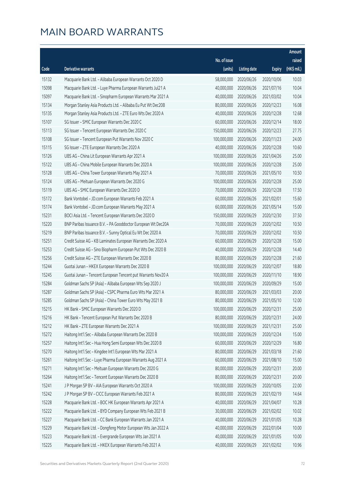|       |                                                              |              |                       |               | Amount      |
|-------|--------------------------------------------------------------|--------------|-----------------------|---------------|-------------|
|       |                                                              | No. of issue |                       |               | raised      |
| Code  | Derivative warrants                                          | (units)      | <b>Listing date</b>   | <b>Expiry</b> | (HK\$ mil.) |
| 15132 | Macquarie Bank Ltd. - Alibaba European Warrants Oct 2020 D   | 58,000,000   | 2020/06/26            | 2020/10/06    | 10.03       |
| 15098 | Macquarie Bank Ltd. - Luye Pharma European Warrants Jul21 A  | 40,000,000   | 2020/06/26            | 2021/07/16    | 10.04       |
| 15097 | Macquarie Bank Ltd. - Sinopharm European Warrants Mar 2021 A | 40,000,000   | 2020/06/26            | 2021/03/02    | 10.04       |
| 15134 | Morgan Stanley Asia Products Ltd. - Alibaba Eu Put Wt Dec20B | 80,000,000   | 2020/06/26            | 2020/12/23    | 16.08       |
| 15135 | Morgan Stanley Asia Products Ltd. - ZTE Euro Wts Dec 2020 A  | 40,000,000   | 2020/06/26            | 2020/12/28    | 12.68       |
| 15107 | SG Issuer - SMIC European Warrants Dec 2020 C                | 60,000,000   | 2020/06/26            | 2020/12/14    | 18.00       |
| 15113 | SG Issuer - Tencent European Warrants Dec 2020 C             | 150,000,000  | 2020/06/26            | 2020/12/23    | 27.75       |
| 15108 | SG Issuer - Tencent European Put Warrants Nov 2020 C         | 100,000,000  | 2020/06/26            | 2020/11/23    | 24.00       |
| 15115 | SG Issuer - ZTE European Warrants Dec 2020 A                 | 40,000,000   | 2020/06/26            | 2020/12/28    | 10.60       |
| 15126 | UBS AG - China Lit European Warrants Apr 2021 A              | 100,000,000  | 2020/06/26            | 2021/04/26    | 25.00       |
| 15122 | UBS AG - China Mobile European Warrants Dec 2020 A           | 100,000,000  | 2020/06/26            | 2020/12/28    | 25.00       |
| 15128 | UBS AG - China Tower European Warrants May 2021 A            | 70,000,000   | 2020/06/26            | 2021/05/10    | 10.50       |
| 15124 | UBS AG - Meituan European Warrants Dec 2020 G                | 100,000,000  | 2020/06/26            | 2020/12/28    | 25.00       |
| 15119 | UBS AG - SMIC European Warrants Dec 2020 D                   | 70,000,000   | 2020/06/26            | 2020/12/28    | 17.50       |
| 15172 | Bank Vontobel - JD.com European Warrants Feb 2021 A          | 60,000,000   | 2020/06/26            | 2021/02/01    | 15.60       |
| 15174 | Bank Vontobel - JD.com European Warrants May 2021 A          | 60,000,000   | 2020/06/26            | 2021/05/14    | 15.00       |
| 15231 | BOCI Asia Ltd. - Tencent European Warrants Dec 2020 D        | 150,000,000  | 2020/06/29            | 2020/12/30    | 37.50       |
| 15220 | BNP Paribas Issuance B.V. - PA Gooddoctor European Wt Dec20A | 70,000,000   | 2020/06/29            | 2020/12/02    | 10.50       |
| 15219 | BNP Paribas Issuance B.V. - Sunny Optical Eu Wt Dec 2020 A   | 70,000,000   | 2020/06/29            | 2020/12/02    | 10.50       |
| 15251 | Credit Suisse AG - KB Laminates European Warrants Dec 2020 A | 60,000,000   | 2020/06/29            | 2020/12/28    | 15.00       |
| 15253 | Credit Suisse AG - Sino Biopharm European Put Wts Dec 2020 B | 40,000,000   | 2020/06/29            | 2020/12/28    | 14.40       |
| 15256 | Credit Suisse AG - ZTE European Warrants Dec 2020 B          | 80,000,000   | 2020/06/29            | 2020/12/28    | 21.60       |
| 15244 | Guotai Junan - HKEX European Warrants Dec 2020 B             | 100,000,000  | 2020/06/29            | 2020/12/07    | 18.80       |
| 15245 | Guotai Junan - Tencent European Tencent put Warrants Nov20 A | 100,000,000  | 2020/06/29            | 2020/11/10    | 18.90       |
| 15284 | Goldman Sachs SP (Asia) - Alibaba European Wts Sep 2020 J    | 100,000,000  | 2020/06/29            | 2020/09/29    | 15.00       |
| 15287 | Goldman Sachs SP (Asia) - CSPC Pharma Euro Wts Mar 2021 A    | 80,000,000   | 2020/06/29            | 2021/03/03    | 20.00       |
| 15285 | Goldman Sachs SP (Asia) - China Tower Euro Wts May 2021 B    |              | 80,000,000 2020/06/29 | 2021/05/10    | 12.00       |
| 15215 | HK Bank - SMIC European Warrants Dec 2020 D                  | 100,000,000  | 2020/06/29            | 2020/12/31    | 25.00       |
| 15216 | HK Bank - Tencent European Put Warrants Dec 2020 B           | 80,000,000   | 2020/06/29            | 2020/12/31    | 24.00       |
| 15212 | HK Bank - ZTE European Warrants Dec 2021 A                   | 100,000,000  | 2020/06/29            | 2021/12/31    | 25.00       |
| 15272 | Haitong Int'l Sec - Alibaba European Warrants Dec 2020 B     | 100,000,000  | 2020/06/29            | 2020/12/24    | 15.00       |
| 15257 | Haitong Int'l Sec - Hua Hong Semi European Wts Dec 2020 B    | 60,000,000   | 2020/06/29            | 2020/12/29    | 16.80       |
| 15270 | Haitong Int'l Sec - Kingdee Int'l European Wts Mar 2021 A    | 80,000,000   | 2020/06/29            | 2021/03/18    | 21.60       |
| 15261 | Haitong Int'l Sec - Luye Pharma European Warrants Aug 2021 A | 60,000,000   | 2020/06/29            | 2021/08/10    | 15.00       |
| 15271 | Haitong Int'l Sec - Meituan European Warrants Dec 2020 G     | 80,000,000   | 2020/06/29            | 2020/12/31    | 20.00       |
| 15264 | Haitong Int'l Sec - Tencent European Warrants Dec 2020 B     | 80,000,000   | 2020/06/29            | 2020/12/31    | 20.00       |
| 15241 | J P Morgan SP BV - AIA European Warrants Oct 2020 A          | 100,000,000  | 2020/06/29            | 2020/10/05    | 22.00       |
| 15242 | J P Morgan SP BV - CICC European Warrants Feb 2021 A         | 80,000,000   | 2020/06/29            | 2021/02/19    | 14.64       |
| 15228 | Macquarie Bank Ltd. - BOC HK European Warrants Apr 2021 A    | 40,000,000   | 2020/06/29            | 2021/04/07    | 10.28       |
| 15222 | Macquarie Bank Ltd. - BYD Company European Wts Feb 2021 B    | 30,000,000   | 2020/06/29            | 2021/02/02    | 10.02       |
| 15227 | Macquarie Bank Ltd. - CC Bank European Warrants Jan 2021 A   | 40,000,000   | 2020/06/29            | 2021/01/05    | 10.28       |
| 15229 | Macquarie Bank Ltd. - Dongfeng Motor European Wts Jan 2022 A | 40,000,000   | 2020/06/29            | 2022/01/04    | 10.00       |
| 15223 | Macquarie Bank Ltd. - Evergrande European Wts Jan 2021 A     | 40,000,000   | 2020/06/29            | 2021/01/05    | 10.00       |
| 15225 | Macquarie Bank Ltd. - HKEX European Warrants Feb 2021 A      | 40,000,000   | 2020/06/29            | 2021/02/02    | 10.96       |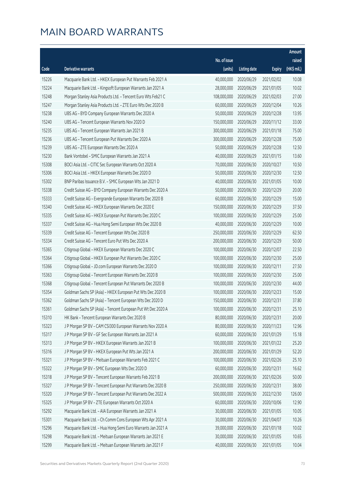|       |                                                              |                        |                     |               | Amount      |
|-------|--------------------------------------------------------------|------------------------|---------------------|---------------|-------------|
|       |                                                              | No. of issue           |                     |               | raised      |
| Code  | Derivative warrants                                          | (units)                | <b>Listing date</b> | <b>Expiry</b> | (HK\$ mil.) |
| 15226 | Macquarie Bank Ltd. - HKEX European Put Warrants Feb 2021 A  | 40,000,000             | 2020/06/29          | 2021/02/02    | 10.08       |
| 15224 | Macquarie Bank Ltd. - Kingsoft European Warrants Jan 2021 A  | 28,000,000             | 2020/06/29          | 2021/01/05    | 10.02       |
| 15248 | Morgan Stanley Asia Products Ltd. - Tencent Euro Wts Feb21 C | 108,000,000            | 2020/06/29          | 2021/02/03    | 27.00       |
| 15247 | Morgan Stanley Asia Products Ltd. - ZTE Euro Wts Dec 2020 B  | 60,000,000             | 2020/06/29          | 2020/12/04    | 10.26       |
| 15238 | UBS AG - BYD Company European Warrants Dec 2020 A            | 50,000,000             | 2020/06/29          | 2020/12/28    | 13.95       |
| 15240 | UBS AG - Tencent European Warrants Nov 2020 D                | 150,000,000            | 2020/06/29          | 2020/11/12    | 33.00       |
| 15235 | UBS AG - Tencent European Warrants Jan 2021 B                | 300,000,000            | 2020/06/29          | 2021/01/18    | 75.00       |
| 15236 | UBS AG - Tencent European Put Warrants Dec 2020 A            | 300,000,000            | 2020/06/29          | 2020/12/28    | 75.00       |
| 15239 | UBS AG - ZTE European Warrants Dec 2020 A                    | 50,000,000             | 2020/06/29          | 2020/12/28    | 12.50       |
| 15230 | Bank Vontobel - SMIC European Warrants Jan 2021 A            | 40,000,000             | 2020/06/29          | 2021/01/15    | 13.60       |
| 15308 | BOCI Asia Ltd. - CITIC Sec European Warrants Oct 2020 A      | 70,000,000             | 2020/06/30          | 2020/10/27    | 10.50       |
| 15306 | BOCI Asia Ltd. - HKEX European Warrants Dec 2020 D           | 50,000,000             | 2020/06/30          | 2020/12/30    | 12.50       |
| 15302 | BNP Paribas Issuance B.V. - SMIC European Wts Jan 2021 D     | 40,000,000             | 2020/06/30          | 2021/01/05    | 10.00       |
| 15338 | Credit Suisse AG - BYD Company European Warrants Dec 2020 A  | 50,000,000             | 2020/06/30          | 2020/12/29    | 20.00       |
| 15333 | Credit Suisse AG - Evergrande European Warrants Dec 2020 B   | 60,000,000             | 2020/06/30          | 2020/12/29    | 15.00       |
| 15340 | Credit Suisse AG - HKEX European Warrants Dec 2020 E         | 150,000,000            | 2020/06/30          | 2020/12/29    | 37.50       |
| 15335 | Credit Suisse AG - HKEX European Put Warrants Dec 2020 C     | 100,000,000            | 2020/06/30          | 2020/12/29    | 25.00       |
| 15337 | Credit Suisse AG - Hua Hong Semi European Wts Dec 2020 B     | 40,000,000             | 2020/06/30          | 2020/12/29    | 10.00       |
| 15339 | Credit Suisse AG - Tencent European Wts Dec 2020 B           | 250,000,000            | 2020/06/30          | 2020/12/29    | 62.50       |
| 15334 | Credit Suisse AG - Tencent Euro Put Wts Dec 2020 A           | 200,000,000            | 2020/06/30          | 2020/12/29    | 50.00       |
| 15365 | Citigroup Global - HKEX European Warrants Dec 2020 C         | 100,000,000            | 2020/06/30          | 2020/12/07    | 22.50       |
| 15364 | Citigroup Global - HKEX European Put Warrants Dec 2020 C     | 100,000,000            | 2020/06/30          | 2020/12/30    | 25.00       |
| 15366 | Citigroup Global - JD.com European Warrants Dec 2020 D       | 100,000,000            | 2020/06/30          | 2020/12/11    | 27.50       |
| 15363 | Citigroup Global - Tencent European Warrants Dec 2020 B      | 100,000,000            | 2020/06/30          | 2020/12/30    | 25.00       |
| 15368 | Citigroup Global - Tencent European Put Warrants Dec 2020 B  | 100,000,000            | 2020/06/30          | 2020/12/30    | 44.00       |
| 15354 | Goldman Sachs SP (Asia) - HKEX European Put Wts Dec 2020 B   | 100,000,000            | 2020/06/30          | 2020/12/23    | 15.00       |
| 15362 | Goldman Sachs SP (Asia) - Tencent European Wts Dec 2020 D    | 150,000,000 2020/06/30 |                     | 2020/12/31    | 37.80       |
| 15361 | Goldman Sachs SP (Asia) - Tencent European Put Wt Dec 2020 A | 100,000,000            | 2020/06/30          | 2020/12/31    | 25.10       |
| 15310 | HK Bank - Tencent European Warrants Dec 2020 B               | 80,000,000             | 2020/06/30          | 2020/12/31    | 20.00       |
| 15323 | J P Morgan SP BV - CAM CSI300 European Warrants Nov 2020 A   | 80,000,000             | 2020/06/30          | 2020/11/23    | 12.96       |
| 15317 | J P Morgan SP BV - GF Sec European Warrants Jan 2021 A       | 60,000,000             | 2020/06/30          | 2021/01/29    | 15.18       |
| 15313 | J P Morgan SP BV - HKEX European Warrants Jan 2021 B         | 100,000,000            | 2020/06/30          | 2021/01/22    | 25.20       |
| 15316 | J P Morgan SP BV - HKEX European Put Wts Jan 2021 A          | 200,000,000            | 2020/06/30          | 2021/01/29    | 52.20       |
| 15321 | J P Morgan SP BV - Meituan European Warrants Feb 2021 C      | 100,000,000            | 2020/06/30          | 2021/02/26    | 25.10       |
| 15322 | J P Morgan SP BV - SMIC European Wts Dec 2020 D              | 60,000,000             | 2020/06/30          | 2020/12/31    | 16.62       |
| 15318 | J P Morgan SP BV - Tencent European Warrants Feb 2021 B      | 200,000,000            | 2020/06/30          | 2021/02/26    | 50.00       |
| 15327 | J P Morgan SP BV - Tencent European Put Warrants Dec 2020 B  | 250,000,000            | 2020/06/30          | 2020/12/31    | 38.00       |
| 15320 | J P Morgan SP BV - Tencent European Put Warrants Dec 2022 A  | 500,000,000            | 2020/06/30          | 2022/12/30    | 126.00      |
| 15325 | J P Morgan SP BV - ZTE European Warrants Oct 2020 A          | 60,000,000             | 2020/06/30          | 2020/10/06    | 12.90       |
| 15292 | Macquarie Bank Ltd. - AIA European Warrants Jan 2021 A       | 30,000,000             | 2020/06/30          | 2021/01/05    | 10.05       |
| 15301 | Macquarie Bank Ltd. - Ch Comm Cons European Wts Apr 2021 A   | 30,000,000             | 2020/06/30          | 2021/04/07    | 10.26       |
| 15296 | Macquarie Bank Ltd. - Hua Hong Semi Euro Warrants Jan 2021 A | 39,000,000             | 2020/06/30          | 2021/01/18    | 10.02       |
| 15298 | Macquarie Bank Ltd. - Meituan European Warrants Jan 2021 E   | 30,000,000             | 2020/06/30          | 2021/01/05    | 10.65       |
| 15299 | Macquarie Bank Ltd. - Meituan European Warrants Jan 2021 F   | 40,000,000             | 2020/06/30          | 2021/01/05    | 10.04       |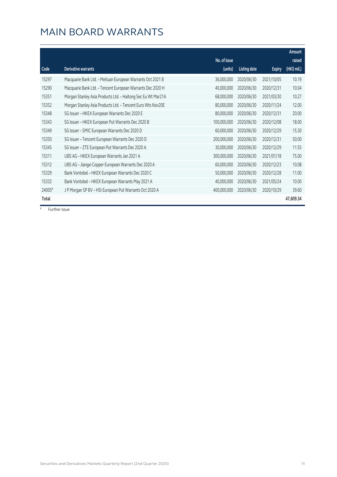|        |                                                              |              |                     |               | Amount      |
|--------|--------------------------------------------------------------|--------------|---------------------|---------------|-------------|
|        |                                                              | No. of issue |                     |               | raised      |
| Code   | Derivative warrants                                          | (units)      | <b>Listing date</b> | <b>Expiry</b> | (HK\$ mil.) |
| 15297  | Macquarie Bank Ltd. - Meituan European Warrants Oct 2021 B   | 36,000,000   | 2020/06/30          | 2021/10/05    | 10.19       |
| 15290  | Macquarie Bank Ltd. - Tencent European Warrants Dec 2020 H   | 40,000,000   | 2020/06/30          | 2020/12/31    | 10.04       |
| 15351  | Morgan Stanley Asia Products Ltd. - Haitong Sec Eu Wt Mar21A | 68,000,000   | 2020/06/30          | 2021/03/30    | 10.27       |
| 15352  | Morgan Stanley Asia Products Ltd. - Tencent Euro Wts Nov20E  | 80,000,000   | 2020/06/30          | 2020/11/24    | 12.00       |
| 15348  | SG Issuer - HKEX European Warrants Dec 2020 E                | 80,000,000   | 2020/06/30          | 2020/12/31    | 20.00       |
| 15343  | SG Issuer - HKEX European Put Warrants Dec 2020 B            | 100,000,000  | 2020/06/30          | 2020/12/08    | 18.00       |
| 15349  | SG Issuer - SMIC European Warrants Dec 2020 D                | 60,000,000   | 2020/06/30          | 2020/12/29    | 15.30       |
| 15350  | SG Issuer - Tencent European Warrants Dec 2020 D             | 200,000,000  | 2020/06/30          | 2020/12/31    | 50.00       |
| 15345  | SG Issuer - ZTE European Put Warrants Dec 2020 A             | 30,000,000   | 2020/06/30          | 2020/12/29    | 11.55       |
| 15311  | UBS AG - HKEX European Warrants Jan 2021 A                   | 300,000,000  | 2020/06/30          | 2021/01/18    | 75.00       |
| 15312  | UBS AG - Jiangxi Copper European Warrants Dec 2020 A         | 60,000,000   | 2020/06/30          | 2020/12/23    | 10.08       |
| 15329  | Bank Vontobel - HKEX European Warrants Dec 2020 C            | 50,000,000   | 2020/06/30          | 2020/12/28    | 11.00       |
| 15332  | Bank Vontobel - HKEX European Warrants May 2021 A            | 40,000,000   | 2020/06/30          | 2021/05/24    | 10.00       |
| 24005# | J P Morgan SP BV - HSI European Put Warrants Oct 2020 A      | 400,000,000  | 2020/06/30          | 2020/10/29    | 39.60       |
| Total  |                                                              |              |                     |               | 47,609.34   |

# Further issue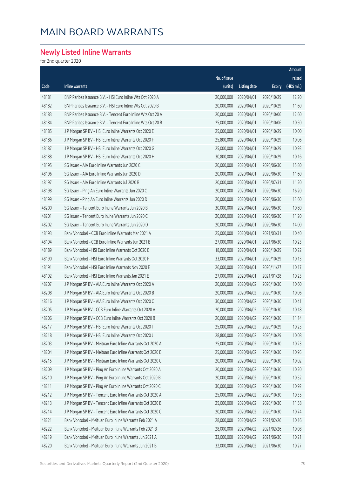### **Newly Listed Inline Warrants**

for 2nd quarter 2020

|       |                                                              |              |                     |               | Amount      |
|-------|--------------------------------------------------------------|--------------|---------------------|---------------|-------------|
|       |                                                              | No. of issue |                     |               | raised      |
| Code  | Inline warrants                                              | (units)      | <b>Listing date</b> | <b>Expiry</b> | (HK\$ mil.) |
| 48181 | BNP Paribas Issuance B.V. - HSI Euro Inline Wts Oct 2020 A   | 20,000,000   | 2020/04/01          | 2020/10/29    | 12.20       |
| 48182 | BNP Paribas Issuance B.V. - HSI Euro Inline Wts Oct 2020 B   | 20,000,000   | 2020/04/01          | 2020/10/29    | 11.60       |
| 48183 | BNP Paribas Issuance B.V. - Tencent Euro Inline Wts Oct 20 A | 20,000,000   | 2020/04/01          | 2020/10/06    | 12.60       |
| 48184 | BNP Paribas Issuance B.V. - Tencent Euro Inline Wts Oct 20 B | 25,000,000   | 2020/04/01          | 2020/10/06    | 10.50       |
| 48185 | J P Morgan SP BV - HSI Euro Inline Warrants Oct 2020 E       | 25,000,000   | 2020/04/01          | 2020/10/29    | 10.00       |
| 48186 | J P Morgan SP BV - HSI Euro Inline Warrants Oct 2020 F       | 25,800,000   | 2020/04/01          | 2020/10/29    | 10.06       |
| 48187 | J P Morgan SP BV - HSI Euro Inline Warrants Oct 2020 G       | 25,000,000   | 2020/04/01          | 2020/10/29    | 10.93       |
| 48188 | J P Morgan SP BV - HSI Euro Inline Warrants Oct 2020 H       | 30,800,000   | 2020/04/01          | 2020/10/29    | 10.16       |
| 48195 | SG Issuer - AIA Euro Inline Warrants Jun 2020 C              | 20,000,000   | 2020/04/01          | 2020/06/30    | 15.80       |
| 48196 | SG Issuer - AIA Euro Inline Warrants Jun 2020 D              | 20,000,000   | 2020/04/01          | 2020/06/30    | 11.60       |
| 48197 | SG Issuer - AIA Euro Inline Warrants Jul 2020 B              | 20,000,000   | 2020/04/01          | 2020/07/31    | 11.20       |
| 48198 | SG Issuer - Ping An Euro Inline Warrants Jun 2020 C          | 20,000,000   | 2020/04/01          | 2020/06/30    | 16.20       |
| 48199 | SG Issuer - Ping An Euro Inline Warrants Jun 2020 D          | 20,000,000   | 2020/04/01          | 2020/06/30    | 13.60       |
| 48200 | SG Issuer - Tencent Euro Inline Warrants Jun 2020 B          | 30,000,000   | 2020/04/01          | 2020/06/30    | 10.80       |
| 48201 | SG Issuer - Tencent Euro Inline Warrants Jun 2020 C          | 20,000,000   | 2020/04/01          | 2020/06/30    | 11.20       |
| 48202 | SG Issuer - Tencent Euro Inline Warrants Jun 2020 D          | 20,000,000   | 2020/04/01          | 2020/06/30    | 14.00       |
| 48193 | Bank Vontobel - CCB Euro Inline Warrants Mar 2021 A          | 25,000,000   | 2020/04/01          | 2021/03/31    | 10.40       |
| 48194 | Bank Vontobel - CCB Euro Inline Warrants Jun 2021 B          | 27,000,000   | 2020/04/01          | 2021/06/30    | 10.23       |
| 48189 | Bank Vontobel - HSI Euro Inline Warrants Oct 2020 E          | 18,000,000   | 2020/04/01          | 2020/10/29    | 10.22       |
| 48190 | Bank Vontobel - HSI Euro Inline Warrants Oct 2020 F          | 33,000,000   | 2020/04/01          | 2020/10/29    | 10.13       |
| 48191 | Bank Vontobel - HSI Euro Inline Warrants Nov 2020 E          | 26,000,000   | 2020/04/01          | 2020/11/27    | 10.17       |
| 48192 | Bank Vontobel - HSI Euro Inline Warrants Jan 2021 E          | 27,000,000   | 2020/04/01          | 2021/01/28    | 10.23       |
| 48207 | J P Morgan SP BV - AIA Euro Inline Warrants Oct 2020 A       | 20,000,000   | 2020/04/02          | 2020/10/30    | 10.60       |
| 48208 | J P Morgan SP BV - AIA Euro Inline Warrants Oct 2020 B       | 20,000,000   | 2020/04/02          | 2020/10/30    | 10.06       |
| 48216 | J P Morgan SP BV - AIA Euro Inline Warrants Oct 2020 C       | 30,000,000   | 2020/04/02          | 2020/10/30    | 10.41       |
| 48205 | J P Morgan SP BV - CCB Euro Inline Warrants Oct 2020 A       | 20,000,000   | 2020/04/02          | 2020/10/30    | 10.18       |
| 48206 | J P Morgan SP BV - CCB Euro Inline Warrants Oct 2020 B       | 20,000,000   | 2020/04/02          | 2020/10/30    | 11.14       |
| 48217 | J P Morgan SP BV - HSI Euro Inline Warrants Oct 2020 I       | 25,000,000   | 2020/04/02          | 2020/10/29    | 10.23       |
| 48218 | J P Morgan SP BV - HSI Euro Inline Warrants Oct 2020 J       | 28,800,000   | 2020/04/02          | 2020/10/29    | 10.08       |
| 48203 | J P Morgan SP BV - Meituan Euro Inline Warrants Oct 2020 A   | 25,000,000   | 2020/04/02          | 2020/10/30    | 10.23       |
| 48204 | J P Morgan SP BV - Meituan Euro Inline Warrants Oct 2020 B   | 25,000,000   | 2020/04/02          | 2020/10/30    | 10.95       |
| 48215 | J P Morgan SP BV - Meituan Euro Inline Warrants Oct 2020 C   | 20,000,000   | 2020/04/02          | 2020/10/30    | 10.02       |
| 48209 | J P Morgan SP BV - Ping An Euro Inline Warrants Oct 2020 A   | 20,000,000   | 2020/04/02          | 2020/10/30    | 10.20       |
| 48210 | J P Morgan SP BV - Ping An Euro Inline Warrants Oct 2020 B   | 20,000,000   | 2020/04/02          | 2020/10/30    | 10.52       |
| 48211 | J P Morgan SP BV - Ping An Euro Inline Warrants Oct 2020 C   | 30,000,000   | 2020/04/02          | 2020/10/30    | 10.92       |
| 48212 | J P Morgan SP BV - Tencent Euro Inline Warrants Oct 2020 A   | 25,000,000   | 2020/04/02          | 2020/10/30    | 10.35       |
| 48213 | J P Morgan SP BV - Tencent Euro Inline Warrants Oct 2020 B   | 25,000,000   | 2020/04/02          | 2020/10/30    | 11.58       |
| 48214 | J P Morgan SP BV - Tencent Euro Inline Warrants Oct 2020 C   | 20,000,000   | 2020/04/02          | 2020/10/30    | 10.74       |
| 48221 | Bank Vontobel - Meituan Euro Inline Warrants Feb 2021 A      | 28,000,000   | 2020/04/02          | 2021/02/26    | 10.16       |
| 48222 | Bank Vontobel - Meituan Euro Inline Warrants Feb 2021 B      | 28,000,000   | 2020/04/02          | 2021/02/26    | 10.08       |
| 48219 | Bank Vontobel - Meituan Euro Inline Warrants Jun 2021 A      | 32,000,000   | 2020/04/02          | 2021/06/30    | 10.21       |
| 48220 | Bank Vontobel - Meituan Euro Inline Warrants Jun 2021 B      | 32,000,000   | 2020/04/02          | 2021/06/30    | 10.27       |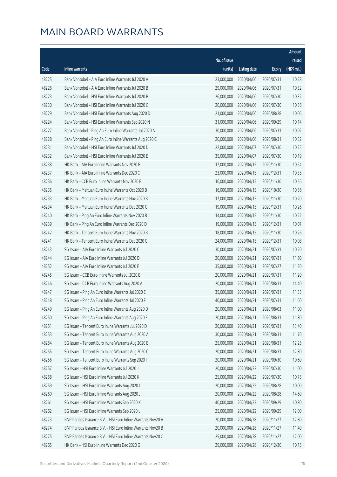|       |                                                              |              |                       |               | Amount      |
|-------|--------------------------------------------------------------|--------------|-----------------------|---------------|-------------|
|       |                                                              | No. of issue |                       |               | raised      |
| Code  | <b>Inline warrants</b>                                       | (units)      | <b>Listing date</b>   | <b>Expiry</b> | (HK\$ mil.) |
| 48225 | Bank Vontobel - AIA Euro Inline Warrants Jul 2020 A          | 23,000,000   | 2020/04/06            | 2020/07/31    | 10.28       |
| 48226 | Bank Vontobel - AIA Euro Inline Warrants Jul 2020 B          | 29,000,000   | 2020/04/06            | 2020/07/31    | 10.32       |
| 48223 | Bank Vontobel - HSI Euro Inline Warrants Jul 2020 B          | 26,000,000   | 2020/04/06            | 2020/07/30    | 10.32       |
| 48230 | Bank Vontobel - HSI Euro Inline Warrants Jul 2020 C          | 20,000,000   | 2020/04/06            | 2020/07/30    | 10.36       |
| 48229 | Bank Vontobel - HSI Euro Inline Warrants Aug 2020 D          | 21,000,000   | 2020/04/06            | 2020/08/28    | 10.06       |
| 48224 | Bank Vontobel - HSI Euro Inline Warrants Sep 2020 N          | 31,000,000   | 2020/04/06            | 2020/09/29    | 10.14       |
| 48227 | Bank Vontobel - Ping An Euro Inline Warrants Jul 2020 A      | 30,000,000   | 2020/04/06            | 2020/07/31    | 10.02       |
| 48228 | Bank Vontobel - Ping An Euro Inline Warrants Aug 2020 C      | 20,000,000   | 2020/04/06            | 2020/08/31    | 10.32       |
| 48231 | Bank Vontobel - HSI Euro Inline Warrants Jul 2020 D          | 22,000,000   | 2020/04/07            | 2020/07/30    | 10.25       |
| 48232 | Bank Vontobel - HSI Euro Inline Warrants Jul 2020 E          | 35,000,000   | 2020/04/07            | 2020/07/30    | 10.19       |
| 48238 | HK Bank - AIA Euro Inline Warrants Nov 2020 B                | 17,000,000   | 2020/04/15            | 2020/11/30    | 10.54       |
| 48237 | HK Bank - AIA Euro Inline Warrants Dec 2020 C                | 23,000,000   | 2020/04/15            | 2020/12/31    | 10.35       |
| 48236 | HK Bank - CCB Euro Inline Warrants Nov 2020 B                | 16,000,000   | 2020/04/15            | 2020/11/30    | 10.56       |
| 48235 | HK Bank - Meituan Euro Inline Warrants Oct 2020 B            | 16,000,000   | 2020/04/15            | 2020/10/30    | 10.56       |
| 48233 | HK Bank - Meituan Euro Inline Warrants Nov 2020 B            | 17,000,000   | 2020/04/15            | 2020/11/30    | 10.20       |
| 48234 | HK Bank - Meituan Euro Inline Warrants Dec 2020 C            | 19,000,000   | 2020/04/15            | 2020/12/31    | 10.26       |
| 48240 | HK Bank - Ping An Euro Inline Warrants Nov 2020 B            | 14,000,000   | 2020/04/15            | 2020/11/30    | 10.22       |
| 48239 | HK Bank - Ping An Euro Inline Warrants Dec 2020 D            | 19,000,000   | 2020/04/15            | 2020/12/31    | 10.07       |
| 48242 | HK Bank - Tencent Euro Inline Warrants Nov 2020 B            | 18,000,000   | 2020/04/15            | 2020/11/30    | 10.26       |
| 48241 | HK Bank - Tencent Euro Inline Warrants Dec 2020 C            | 24,000,000   | 2020/04/15            | 2020/12/31    | 10.08       |
| 48243 | SG Issuer - AIA Euro Inline Warrants Jul 2020 C              | 30,000,000   | 2020/04/21            | 2020/07/31    | 10.20       |
| 48244 | SG Issuer - AIA Euro Inline Warrants Jul 2020 D              | 20,000,000   | 2020/04/21            | 2020/07/31    | 11.60       |
| 48252 | SG Issuer - AIA Euro Inline Warrants Jul 2020 E              | 35,000,000   | 2020/04/21            | 2020/07/27    | 11.20       |
| 48245 | SG Issuer - CCB Euro Inline Warrants Jul 2020 B              | 20,000,000   | 2020/04/21            | 2020/07/31    | 11.20       |
| 48246 | SG Issuer - CCB Euro Inline Warrants Aug 2020 A              | 20,000,000   | 2020/04/21            | 2020/08/31    | 14.40       |
| 48247 | SG Issuer - Ping An Euro Inline Warrants Jul 2020 E          | 35,000,000   | 2020/04/21            | 2020/07/31    | 11.55       |
| 48248 | SG Issuer - Ping An Euro Inline Warrants Jul 2020 F          |              | 40,000,000 2020/04/21 | 2020/07/31    | 11.60       |
| 48249 | SG Issuer - Ping An Euro Inline Warrants Aug 2020 D          | 20,000,000   | 2020/04/21            | 2020/08/03    | 11.00       |
| 48250 | SG Issuer - Ping An Euro Inline Warrants Aug 2020 E          | 20,000,000   | 2020/04/21            | 2020/08/31    | 11.80       |
| 48251 | SG Issuer - Tencent Euro Inline Warrants Jul 2020 D          | 20,000,000   | 2020/04/21            | 2020/07/31    | 13.40       |
| 48253 | SG Issuer - Tencent Euro Inline Warrants Aug 2020 A          | 30,000,000   | 2020/04/21            | 2020/08/31    | 11.70       |
| 48254 | SG Issuer - Tencent Euro Inline Warrants Aug 2020 B          | 25,000,000   | 2020/04/21            | 2020/08/31    | 12.25       |
| 48255 | SG Issuer - Tencent Euro Inline Warrants Aug 2020 C          | 20,000,000   | 2020/04/21            | 2020/08/31    | 12.80       |
| 48256 | SG Issuer - Tencent Euro Inline Warrants Sep 2020 I          | 20,000,000   | 2020/04/21            | 2020/09/30    | 10.60       |
| 48257 | SG Issuer - HSI Euro Inline Warrants Jul 2020 J              | 20,000,000   | 2020/04/22            | 2020/07/30    | 11.00       |
| 48258 | SG Issuer - HSI Euro Inline Warrants Jul 2020 K              | 25,000,000   | 2020/04/22            | 2020/07/30    | 10.75       |
| 48259 | SG Issuer - HSI Euro Inline Warrants Aug 2020 I              | 20,000,000   | 2020/04/22            | 2020/08/28    | 10.00       |
| 48260 | SG Issuer - HSI Euro Inline Warrants Aug 2020 J              | 20,000,000   | 2020/04/22            | 2020/08/28    | 14.60       |
| 48261 | SG Issuer - HSI Euro Inline Warrants Sep 2020 K              | 40,000,000   | 2020/04/22            | 2020/09/29    | 10.80       |
| 48262 | SG Issuer - HSI Euro Inline Warrants Sep 2020 L              | 25,000,000   | 2020/04/22            | 2020/09/29    | 12.00       |
| 48273 | BNP Paribas Issuance B.V. - HSI Euro Inline Warrants Nov20 A | 20,000,000   | 2020/04/28            | 2020/11/27    | 12.80       |
| 48274 | BNP Paribas Issuance B.V. - HSI Euro Inline Warrants Nov20 B | 20,000,000   | 2020/04/28            | 2020/11/27    | 11.40       |
| 48275 | BNP Paribas Issuance B.V. - HSI Euro Inline Warrants Nov20 C | 25,000,000   | 2020/04/28            | 2020/11/27    | 12.00       |
| 48265 | HK Bank - HSI Euro Inline Warrants Dec 2020 G                | 29,000,000   | 2020/04/28            | 2020/12/30    | 10.15       |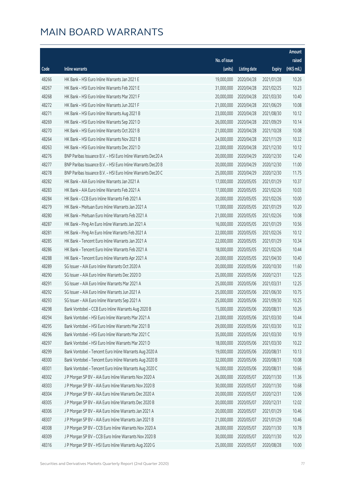|       |                                                              |              |                       |               | Amount      |
|-------|--------------------------------------------------------------|--------------|-----------------------|---------------|-------------|
|       |                                                              | No. of issue |                       |               | raised      |
| Code  | Inline warrants                                              | (units)      | <b>Listing date</b>   | <b>Expiry</b> | (HK\$ mil.) |
| 48266 | HK Bank - HSI Euro Inline Warrants Jan 2021 E                | 19,000,000   | 2020/04/28            | 2021/01/28    | 10.26       |
| 48267 | HK Bank - HSI Euro Inline Warrants Feb 2021 E                | 31,000,000   | 2020/04/28            | 2021/02/25    | 10.23       |
| 48268 | HK Bank - HSI Euro Inline Warrants Mar 2021 F                | 20,000,000   | 2020/04/28            | 2021/03/30    | 10.40       |
| 48272 | HK Bank - HSI Euro Inline Warrants Jun 2021 F                | 21,000,000   | 2020/04/28            | 2021/06/29    | 10.08       |
| 48271 | HK Bank - HSI Euro Inline Warrants Aug 2021 B                | 23,000,000   | 2020/04/28            | 2021/08/30    | 10.12       |
| 48269 | HK Bank - HSI Euro Inline Warrants Sep 2021 D                | 26,000,000   | 2020/04/28            | 2021/09/29    | 10.14       |
| 48270 | HK Bank - HSI Euro Inline Warrants Oct 2021 B                | 21,000,000   | 2020/04/28            | 2021/10/28    | 10.08       |
| 48264 | HK Bank - HSI Euro Inline Warrants Nov 2021 B                | 24,000,000   | 2020/04/28            | 2021/11/29    | 10.32       |
| 48263 | HK Bank - HSI Euro Inline Warrants Dec 2021 D                | 22,000,000   | 2020/04/28            | 2021/12/30    | 10.12       |
| 48276 | BNP Paribas Issuance B.V. - HSI Euro Inline Warrants Dec20 A | 20,000,000   | 2020/04/29            | 2020/12/30    | 12.40       |
| 48277 | BNP Paribas Issuance B.V. - HSI Euro Inline Warrants Dec20 B | 20,000,000   | 2020/04/29            | 2020/12/30    | 11.00       |
| 48278 | BNP Paribas Issuance B.V. - HSI Euro Inline Warrants Dec20 C | 25,000,000   | 2020/04/29            | 2020/12/30    | 11.75       |
| 48282 | HK Bank - AIA Euro Inline Warrants Jan 2021 A                | 17,000,000   | 2020/05/05            | 2021/01/29    | 10.37       |
| 48283 | HK Bank - AIA Euro Inline Warrants Feb 2021 A                | 17,000,000   | 2020/05/05            | 2021/02/26    | 10.03       |
| 48284 | HK Bank - CCB Euro Inline Warrants Feb 2021 A                | 20,000,000   | 2020/05/05            | 2021/02/26    | 10.00       |
| 48279 | HK Bank - Meituan Euro Inline Warrants Jan 2021 A            | 17,000,000   | 2020/05/05            | 2021/01/29    | 10.20       |
| 48280 | HK Bank - Meituan Euro Inline Warrants Feb 2021 A            | 21,000,000   | 2020/05/05            | 2021/02/26    | 10.08       |
| 48287 | HK Bank - Ping An Euro Inline Warrants Jan 2021 A            | 16,000,000   | 2020/05/05            | 2021/01/29    | 10.56       |
| 48281 | HK Bank - Ping An Euro Inline Warrants Feb 2021 A            | 22,000,000   | 2020/05/05            | 2021/02/26    | 10.12       |
| 48285 | HK Bank - Tencent Euro Inline Warrants Jan 2021 A            | 22,000,000   | 2020/05/05            | 2021/01/29    | 10.34       |
| 48286 | HK Bank - Tencent Euro Inline Warrants Feb 2021 A            | 18,000,000   | 2020/05/05            | 2021/02/26    | 10.44       |
| 48288 | HK Bank - Tencent Euro Inline Warrants Apr 2021 A            | 20,000,000   | 2020/05/05            | 2021/04/30    | 10.40       |
| 48289 | SG Issuer - AIA Euro Inline Warrants Oct 2020 A              | 20,000,000   | 2020/05/06            | 2020/10/30    | 11.60       |
| 48290 | SG Issuer - AIA Euro Inline Warrants Dec 2020 D              | 25,000,000   | 2020/05/06            | 2020/12/31    | 12.25       |
| 48291 | SG Issuer - AIA Euro Inline Warrants Mar 2021 A              | 25,000,000   | 2020/05/06            | 2021/03/31    | 12.25       |
| 48292 | SG Issuer - AIA Euro Inline Warrants Jun 2021 A              | 25,000,000   | 2020/05/06            | 2021/06/30    | 10.75       |
| 48293 | SG Issuer - AIA Euro Inline Warrants Sep 2021 A              |              | 25,000,000 2020/05/06 | 2021/09/30    | 10.25       |
| 48298 | Bank Vontobel - CCB Euro Inline Warrants Aug 2020 B          | 15,000,000   | 2020/05/06            | 2020/08/31    | 10.26       |
| 48294 | Bank Vontobel - HSI Euro Inline Warrants Mar 2021 A          | 23,000,000   | 2020/05/06            | 2021/03/30    | 10.44       |
| 48295 | Bank Vontobel - HSI Euro Inline Warrants Mar 2021 B          | 29,000,000   | 2020/05/06            | 2021/03/30    | 10.32       |
| 48296 | Bank Vontobel - HSI Euro Inline Warrants Mar 2021 C          | 35,000,000   | 2020/05/06            | 2021/03/30    | 10.19       |
| 48297 | Bank Vontobel - HSI Euro Inline Warrants Mar 2021 D          | 18,000,000   | 2020/05/06            | 2021/03/30    | 10.22       |
| 48299 | Bank Vontobel - Tencent Euro Inline Warrants Aug 2020 A      | 19,000,000   | 2020/05/06            | 2020/08/31    | 10.13       |
| 48300 | Bank Vontobel - Tencent Euro Inline Warrants Aug 2020 B      | 32,000,000   | 2020/05/06            | 2020/08/31    | 10.08       |
| 48301 | Bank Vontobel - Tencent Euro Inline Warrants Aug 2020 C      | 16,000,000   | 2020/05/06            | 2020/08/31    | 10.66       |
| 48302 | J P Morgan SP BV - AIA Euro Inline Warrants Nov 2020 A       | 26,000,000   | 2020/05/07            | 2020/11/30    | 11.36       |
| 48303 | J P Morgan SP BV - AIA Euro Inline Warrants Nov 2020 B       | 30,000,000   | 2020/05/07            | 2020/11/30    | 10.68       |
| 48304 | J P Morgan SP BV - AIA Euro Inline Warrants Dec 2020 A       | 20,000,000   | 2020/05/07            | 2020/12/31    | 12.06       |
| 48305 | J P Morgan SP BV - AIA Euro Inline Warrants Dec 2020 B       | 20,000,000   | 2020/05/07            | 2020/12/31    | 12.02       |
| 48306 | J P Morgan SP BV - AIA Euro Inline Warrants Jan 2021 A       | 20,000,000   | 2020/05/07            | 2021/01/29    | 10.46       |
| 48307 | J P Morgan SP BV - AIA Euro Inline Warrants Jan 2021 B       | 21,000,000   | 2020/05/07            | 2021/01/29    | 10.46       |
| 48308 | J P Morgan SP BV - CCB Euro Inline Warrants Nov 2020 A       | 28,000,000   | 2020/05/07            | 2020/11/30    | 10.78       |
| 48309 | J P Morgan SP BV - CCB Euro Inline Warrants Nov 2020 B       | 30,000,000   | 2020/05/07            | 2020/11/30    | 10.20       |
| 48316 | J P Morgan SP BV - HSI Euro Inline Warrants Aug 2020 G       | 25,000,000   | 2020/05/07            | 2020/08/28    | 10.00       |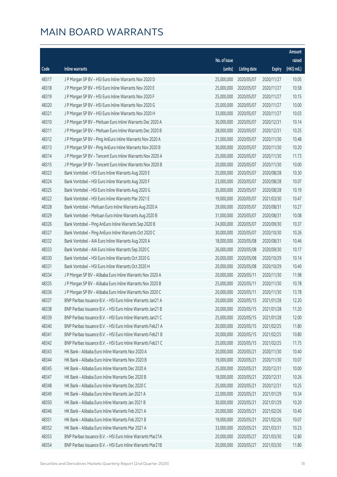|       |                                                              |              |                       |               | Amount      |
|-------|--------------------------------------------------------------|--------------|-----------------------|---------------|-------------|
|       |                                                              | No. of issue |                       |               | raised      |
| Code  | Inline warrants                                              | (units)      | <b>Listing date</b>   | <b>Expiry</b> | (HK\$ mil.) |
| 48317 | J P Morgan SP BV - HSI Euro Inline Warrants Nov 2020 D       | 25,000,000   | 2020/05/07            | 2020/11/27    | 10.05       |
| 48318 | J P Morgan SP BV - HSI Euro Inline Warrants Nov 2020 E       | 25,000,000   | 2020/05/07            | 2020/11/27    | 10.58       |
| 48319 | J P Morgan SP BV - HSI Euro Inline Warrants Nov 2020 F       | 25,000,000   | 2020/05/07            | 2020/11/27    | 10.15       |
| 48320 | J P Morgan SP BV - HSI Euro Inline Warrants Nov 2020 G       | 25,000,000   | 2020/05/07            | 2020/11/27    | 10.00       |
| 48321 | J P Morgan SP BV - HSI Euro Inline Warrants Nov 2020 H       | 33,000,000   | 2020/05/07            | 2020/11/27    | 10.03       |
| 48310 | J P Morgan SP BV - Meituan Euro Inline Warrants Dec 2020 A   | 30,000,000   | 2020/05/07            | 2020/12/31    | 10.14       |
| 48311 | J P Morgan SP BV - Meituan Euro Inline Warrants Dec 2020 B   | 28,000,000   | 2020/05/07            | 2020/12/31    | 10.25       |
| 48312 | J P Morgan SP BV - Ping AnEuro Inline Warrants Nov 2020 A    | 21,000,000   | 2020/05/07            | 2020/11/30    | 10.48       |
| 48313 | J P Morgan SP BV - Ping AnEuro Inline Warrants Nov 2020 B    | 30,000,000   | 2020/05/07            | 2020/11/30    | 10.20       |
| 48314 | J P Morgan SP BV - Tencent Euro Inline Warrants Nov 2020 A   | 25,000,000   | 2020/05/07            | 2020/11/30    | 11.73       |
| 48315 | J P Morgan SP BV - Tencent Euro Inline Warrants Nov 2020 B   | 20,000,000   | 2020/05/07            | 2020/11/30    | 10.00       |
| 48323 | Bank Vontobel - HSI Euro Inline Warrants Aug 2020 E          | 25,000,000   | 2020/05/07            | 2020/08/28    | 10.30       |
| 48324 | Bank Vontobel - HSI Euro Inline Warrants Aug 2020 F          | 23,000,000   | 2020/05/07            | 2020/08/28    | 10.07       |
| 48325 | Bank Vontobel - HSI Euro Inline Warrants Aug 2020 G          | 35,000,000   | 2020/05/07            | 2020/08/28    | 10.19       |
| 48322 | Bank Vontobel - HSI Euro Inline Warrants Mar 2021 E          | 19,000,000   | 2020/05/07            | 2021/03/30    | 10.47       |
| 48328 | Bank Vontobel - Meituan Euro Inline Warrants Aug 2020 A      | 29,000,000   | 2020/05/07            | 2020/08/31    | 10.27       |
| 48329 | Bank Vontobel - Meituan Euro Inline Warrants Aug 2020 B      | 31,000,000   | 2020/05/07            | 2020/08/31    | 10.08       |
| 48326 | Bank Vontobel - Ping AnEuro Inline Warrants Sep 2020 B       | 24,000,000   | 2020/05/07            | 2020/09/30    | 10.37       |
| 48327 | Bank Vontobel - Ping AnEuro Inline Warrants Oct 2020 C       | 30,000,000   | 2020/05/07            | 2020/10/30    | 10.26       |
| 48332 | Bank Vontobel - AIA Euro Inline Warrants Aug 2020 A          | 18,000,000   | 2020/05/08            | 2020/08/31    | 10.46       |
| 48333 | Bank Vontobel - AIA Euro Inline Warrants Sep 2020 C          | 26,000,000   | 2020/05/08            | 2020/09/30    | 10.17       |
| 48330 | Bank Vontobel - HSI Euro Inline Warrants Oct 2020 G          | 20,000,000   | 2020/05/08            | 2020/10/29    | 10.14       |
| 48331 | Bank Vontobel - HSI Euro Inline Warrants Oct 2020 H          | 20,000,000   | 2020/05/08            | 2020/10/29    | 10.40       |
| 48334 | J P Morgan SP BV - Alibaba Euro Inline Warrants Nov 2020 A   | 20,000,000   | 2020/05/11            | 2020/11/30    | 11.98       |
| 48335 | J P Morgan SP BV - Alibaba Euro Inline Warrants Nov 2020 B   | 25,000,000   | 2020/05/11            | 2020/11/30    | 10.78       |
| 48336 | J P Morgan SP BV - Alibaba Euro Inline Warrants Nov 2020 C   | 20,000,000   | 2020/05/11            | 2020/11/30    | 13.78       |
| 48337 | BNP Paribas Issuance B.V. - HSI Euro Inline Warrants Jan21 A |              | 20,000,000 2020/05/15 | 2021/01/28    | 12.20       |
| 48338 | BNP Paribas Issuance B.V. - HSI Euro Inline Warrants Jan21 B | 20,000,000   | 2020/05/15            | 2021/01/28    | 11.20       |
| 48339 | BNP Paribas Issuance B.V. - HSI Euro Inline Warrants Jan21 C | 25,000,000   | 2020/05/15            | 2021/01/28    | 12.00       |
| 48340 | BNP Paribas Issuance B.V. - HSI Euro Inline Warrants Feb21 A | 20,000,000   | 2020/05/15            | 2021/02/25    | 11.80       |
| 48341 | BNP Paribas Issuance B.V. - HSI Euro Inline Warrants Feb21 B | 20,000,000   | 2020/05/15            | 2021/02/25    | 10.80       |
| 48342 | BNP Paribas Issuance B.V. - HSI Euro Inline Warrants Feb21 C | 25,000,000   | 2020/05/15            | 2021/02/25    | 11.75       |
| 48343 | HK Bank - Alibaba Euro Inline Warrants Nov 2020 A            | 20,000,000   | 2020/05/21            | 2020/11/30    | 10.40       |
| 48344 | HK Bank - Alibaba Euro Inline Warrants Nov 2020 B            | 19,000,000   | 2020/05/21            | 2020/11/30    | 10.07       |
| 48345 | HK Bank - Alibaba Euro Inline Warrants Dec 2020 A            | 25,000,000   | 2020/05/21            | 2020/12/31    | 10.00       |
| 48347 | HK Bank - Alibaba Euro Inline Warrants Dec 2020 B            | 18,000,000   | 2020/05/21            | 2020/12/31    | 10.26       |
| 48348 | HK Bank - Alibaba Euro Inline Warrants Dec 2020 C            | 25,000,000   | 2020/05/21            | 2020/12/31    | 10.25       |
| 48349 | HK Bank - Alibaba Euro Inline Warrants Jan 2021 A            | 22,000,000   | 2020/05/21            | 2021/01/29    | 10.34       |
| 48350 | HK Bank - Alibaba Euro Inline Warrants Jan 2021 B            | 30,000,000   | 2020/05/21            | 2021/01/29    | 10.20       |
| 48346 | HK Bank - Alibaba Euro Inline Warrants Feb 2021 A            | 20,000,000   | 2020/05/21            | 2021/02/26    | 10.40       |
| 48351 | HK Bank - Alibaba Euro Inline Warrants Feb 2021 B            | 19,000,000   | 2020/05/21            | 2021/02/26    | 10.07       |
| 48352 | HK Bank - Alibaba Euro Inline Warrants Mar 2021 A            | 33,000,000   | 2020/05/21            | 2021/03/31    | 10.23       |
| 48353 | BNP Paribas Issuance B.V. - HSI Euro Inline Warrants Mar21A  | 20,000,000   | 2020/05/27            | 2021/03/30    | 12.80       |
| 48354 | BNP Paribas Issuance B.V. - HSI Euro Inline Warrants Mar21B  | 20,000,000   | 2020/05/27            | 2021/03/30    | 11.80       |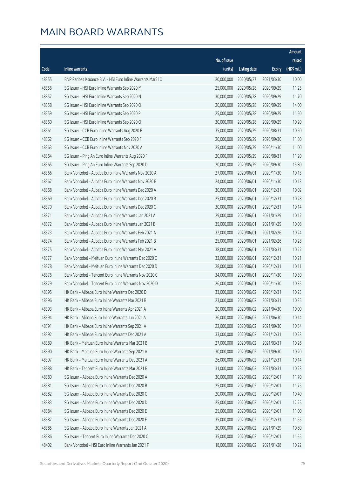|       |                                                             |              |                       |               | Amount      |
|-------|-------------------------------------------------------------|--------------|-----------------------|---------------|-------------|
|       |                                                             | No. of issue |                       |               | raised      |
| Code  | Inline warrants                                             | (units)      | <b>Listing date</b>   | <b>Expiry</b> | (HK\$ mil.) |
| 48355 | BNP Paribas Issuance B.V. - HSI Euro Inline Warrants Mar21C | 20,000,000   | 2020/05/27            | 2021/03/30    | 10.00       |
| 48356 | SG Issuer - HSI Euro Inline Warrants Sep 2020 M             | 25,000,000   | 2020/05/28            | 2020/09/29    | 11.25       |
| 48357 | SG Issuer - HSI Euro Inline Warrants Sep 2020 N             | 30,000,000   | 2020/05/28            | 2020/09/29    | 11.70       |
| 48358 | SG Issuer - HSI Euro Inline Warrants Sep 2020 O             | 20,000,000   | 2020/05/28            | 2020/09/29    | 14.00       |
| 48359 | SG Issuer - HSI Euro Inline Warrants Sep 2020 P             | 25,000,000   | 2020/05/28            | 2020/09/29    | 11.50       |
| 48360 | SG Issuer - HSI Euro Inline Warrants Sep 2020 Q             | 30,000,000   | 2020/05/28            | 2020/09/29    | 10.20       |
| 48361 | SG Issuer - CCB Euro Inline Warrants Aug 2020 B             | 35,000,000   | 2020/05/29            | 2020/08/31    | 10.50       |
| 48362 | SG Issuer - CCB Euro Inline Warrants Sep 2020 F             | 20,000,000   | 2020/05/29            | 2020/09/30    | 11.80       |
| 48363 | SG Issuer - CCB Euro Inline Warrants Nov 2020 A             | 25,000,000   | 2020/05/29            | 2020/11/30    | 11.00       |
| 48364 | SG Issuer - Ping An Euro Inline Warrants Aug 2020 F         | 20,000,000   | 2020/05/29            | 2020/08/31    | 11.20       |
| 48365 | SG Issuer - Ping An Euro Inline Warrants Sep 2020 D         | 20,000,000   | 2020/05/29            | 2020/09/30    | 15.80       |
| 48366 | Bank Vontobel - Alibaba Euro Inline Warrants Nov 2020 A     | 27,000,000   | 2020/06/01            | 2020/11/30    | 10.13       |
| 48367 | Bank Vontobel - Alibaba Euro Inline Warrants Nov 2020 B     | 24,000,000   | 2020/06/01            | 2020/11/30    | 10.13       |
| 48368 | Bank Vontobel - Alibaba Euro Inline Warrants Dec 2020 A     | 30,000,000   | 2020/06/01            | 2020/12/31    | 10.02       |
| 48369 | Bank Vontobel - Alibaba Euro Inline Warrants Dec 2020 B     | 25,000,000   | 2020/06/01            | 2020/12/31    | 10.28       |
| 48370 | Bank Vontobel - Alibaba Euro Inline Warrants Dec 2020 C     | 30,000,000   | 2020/06/01            | 2020/12/31    | 10.14       |
| 48371 | Bank Vontobel - Alibaba Euro Inline Warrants Jan 2021 A     | 29,000,000   | 2020/06/01            | 2021/01/29    | 10.12       |
| 48372 | Bank Vontobel - Alibaba Euro Inline Warrants Jan 2021 B     | 35,000,000   | 2020/06/01            | 2021/01/29    | 10.08       |
| 48373 | Bank Vontobel - Alibaba Euro Inline Warrants Feb 2021 A     | 32,000,000   | 2020/06/01            | 2021/02/26    | 10.24       |
| 48374 | Bank Vontobel - Alibaba Euro Inline Warrants Feb 2021 B     | 25,000,000   | 2020/06/01            | 2021/02/26    | 10.28       |
| 48375 | Bank Vontobel - Alibaba Euro Inline Warrants Mar 2021 A     | 38,000,000   | 2020/06/01            | 2021/03/31    | 10.22       |
| 48377 | Bank Vontobel - Meituan Euro Inline Warrants Dec 2020 C     | 32,000,000   | 2020/06/01            | 2020/12/31    | 10.21       |
| 48378 | Bank Vontobel - Meituan Euro Inline Warrants Dec 2020 D     | 28,000,000   | 2020/06/01            | 2020/12/31    | 10.11       |
| 48376 | Bank Vontobel - Tencent Euro Inline Warrants Nov 2020 C     | 34,000,000   | 2020/06/01            | 2020/11/30    | 10.30       |
| 48379 | Bank Vontobel - Tencent Euro Inline Warrants Nov 2020 D     | 26,000,000   | 2020/06/01            | 2020/11/30    | 10.35       |
| 48395 | HK Bank - Alibaba Euro Inline Warrants Dec 2020 D           | 33,000,000   | 2020/06/02            | 2020/12/31    | 10.23       |
| 48396 | HK Bank - Alibaba Euro Inline Warrants Mar 2021 B           |              | 23,000,000 2020/06/02 | 2021/03/31    | 10.35       |
| 48393 | HK Bank - Alibaba Euro Inline Warrants Apr 2021 A           | 20,000,000   | 2020/06/02            | 2021/04/30    | 10.00       |
| 48394 | HK Bank - Alibaba Euro Inline Warrants Jun 2021 A           | 26,000,000   | 2020/06/02            | 2021/06/30    | 10.14       |
| 48391 | HK Bank - Alibaba Euro Inline Warrants Sep 2021 A           | 22,000,000   | 2020/06/02            | 2021/09/30    | 10.34       |
| 48392 | HK Bank - Alibaba Euro Inline Warrants Dec 2021 A           | 33,000,000   | 2020/06/02            | 2021/12/31    | 10.23       |
| 48389 | HK Bank - Meituan Euro Inline Warrants Mar 2021 B           | 27,000,000   | 2020/06/02            | 2021/03/31    | 10.26       |
| 48390 | HK Bank - Meituan Euro Inline Warrants Sep 2021 A           | 30,000,000   | 2020/06/02            | 2021/09/30    | 10.20       |
| 48397 | HK Bank - Meituan Euro Inline Warrants Dec 2021 A           | 26,000,000   | 2020/06/02            | 2021/12/31    | 10.14       |
| 48388 | HK Bank - Tencent Euro Inline Warrants Mar 2021 B           | 31,000,000   | 2020/06/02            | 2021/03/31    | 10.23       |
| 48380 | SG Issuer - Alibaba Euro Inline Warrants Dec 2020 A         | 30,000,000   | 2020/06/02            | 2020/12/01    | 11.70       |
| 48381 | SG Issuer - Alibaba Euro Inline Warrants Dec 2020 B         | 25,000,000   | 2020/06/02            | 2020/12/01    | 11.75       |
| 48382 | SG Issuer - Alibaba Euro Inline Warrants Dec 2020 C         | 20,000,000   | 2020/06/02            | 2020/12/01    | 10.40       |
| 48383 | SG Issuer - Alibaba Euro Inline Warrants Dec 2020 D         | 25,000,000   | 2020/06/02            | 2020/12/01    | 12.25       |
| 48384 | SG Issuer - Alibaba Euro Inline Warrants Dec 2020 E         | 25,000,000   | 2020/06/02            | 2020/12/01    | 11.00       |
| 48387 | SG Issuer - Alibaba Euro Inline Warrants Dec 2020 F         | 35,000,000   | 2020/06/02            | 2020/12/31    | 11.55       |
| 48385 | SG Issuer - Alibaba Euro Inline Warrants Jan 2021 A         | 30,000,000   | 2020/06/02            | 2021/01/29    | 10.80       |
| 48386 | SG Issuer - Tencent Euro Inline Warrants Dec 2020 C         | 35,000,000   | 2020/06/02            | 2020/12/01    | 11.55       |
| 48402 | Bank Vontobel - HSI Euro Inline Warrants Jan 2021 F         | 18,000,000   | 2020/06/02            | 2021/01/28    | 10.22       |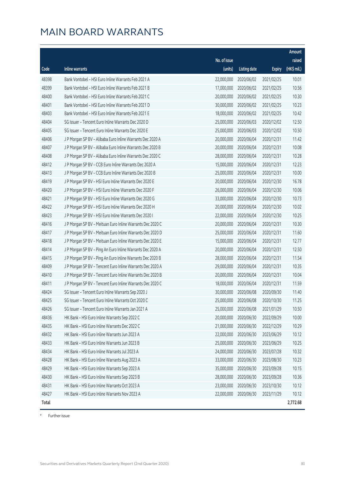|       |                                                            |              |                       |               | Amount      |
|-------|------------------------------------------------------------|--------------|-----------------------|---------------|-------------|
|       |                                                            | No. of issue |                       |               | raised      |
| Code  | <b>Inline warrants</b>                                     | (units)      | <b>Listing date</b>   | <b>Expiry</b> | (HK\$ mil.) |
| 48398 | Bank Vontobel - HSI Euro Inline Warrants Feb 2021 A        | 22,000,000   | 2020/06/02            | 2021/02/25    | 10.01       |
| 48399 | Bank Vontobel - HSI Euro Inline Warrants Feb 2021 B        | 17,000,000   | 2020/06/02            | 2021/02/25    | 10.56       |
| 48400 | Bank Vontobel - HSI Euro Inline Warrants Feb 2021 C        | 20,000,000   | 2020/06/02            | 2021/02/25    | 10.30       |
| 48401 | Bank Vontobel - HSI Euro Inline Warrants Feb 2021 D        | 30,000,000   | 2020/06/02            | 2021/02/25    | 10.23       |
| 48403 | Bank Vontobel - HSI Euro Inline Warrants Feb 2021 E        | 18,000,000   | 2020/06/02            | 2021/02/25    | 10.42       |
| 48404 | SG Issuer - Tencent Euro Inline Warrants Dec 2020 D        | 25,000,000   | 2020/06/03            | 2020/12/02    | 12.50       |
| 48405 | SG Issuer - Tencent Euro Inline Warrants Dec 2020 E        | 25,000,000   | 2020/06/03            | 2020/12/02    | 10.50       |
| 48406 | J P Morgan SP BV - Alibaba Euro Inline Warrants Dec 2020 A | 20,000,000   | 2020/06/04            | 2020/12/31    | 11.42       |
| 48407 | J P Morgan SP BV - Alibaba Euro Inline Warrants Dec 2020 B | 20,000,000   | 2020/06/04            | 2020/12/31    | 10.08       |
| 48408 | J P Morgan SP BV - Alibaba Euro Inline Warrants Dec 2020 C | 28,000,000   | 2020/06/04            | 2020/12/31    | 10.28       |
| 48412 | J P Morgan SP BV - CCB Euro Inline Warrants Dec 2020 A     | 15,000,000   | 2020/06/04            | 2020/12/31    | 12.23       |
| 48413 | J P Morgan SP BV - CCB Euro Inline Warrants Dec 2020 B     | 25,000,000   | 2020/06/04            | 2020/12/31    | 10.00       |
| 48419 | J P Morgan SP BV - HSI Euro Inline Warrants Dec 2020 E     | 20,000,000   | 2020/06/04            | 2020/12/30    | 16.78       |
| 48420 | J P Morgan SP BV - HSI Euro Inline Warrants Dec 2020 F     | 26,000,000   | 2020/06/04            | 2020/12/30    | 10.06       |
| 48421 | J P Morgan SP BV - HSI Euro Inline Warrants Dec 2020 G     | 33,000,000   | 2020/06/04            | 2020/12/30    | 10.73       |
| 48422 | J P Morgan SP BV - HSI Euro Inline Warrants Dec 2020 H     | 20,000,000   | 2020/06/04            | 2020/12/30    | 10.02       |
| 48423 | J P Morgan SP BV - HSI Euro Inline Warrants Dec 2020 I     | 22,000,000   | 2020/06/04            | 2020/12/30    | 10.25       |
| 48416 | J P Morgan SP BV - Meituan Euro Inline Warrants Dec 2020 C | 20,000,000   | 2020/06/04            | 2020/12/31    | 10.30       |
| 48417 | J P Morgan SP BV - Meituan Euro Inline Warrants Dec 2020 D | 25,000,000   | 2020/06/04            | 2020/12/31    | 11.60       |
| 48418 | J P Morgan SP BV - Meituan Euro Inline Warrants Dec 2020 E | 15,000,000   | 2020/06/04            | 2020/12/31    | 12.77       |
| 48414 | J P Morgan SP BV - Ping An Euro Inline Warrants Dec 2020 A | 20,000,000   | 2020/06/04            | 2020/12/31    | 12.50       |
| 48415 | J P Morgan SP BV - Ping An Euro Inline Warrants Dec 2020 B | 28,000,000   | 2020/06/04            | 2020/12/31    | 11.54       |
| 48409 | J P Morgan SP BV - Tencent Euro Inline Warrants Dec 2020 A | 29,000,000   | 2020/06/04            | 2020/12/31    | 10.35       |
| 48410 | J P Morgan SP BV - Tencent Euro Inline Warrants Dec 2020 B | 20,000,000   | 2020/06/04            | 2020/12/31    | 10.04       |
| 48411 | J P Morgan SP BV - Tencent Euro Inline Warrants Dec 2020 C | 18,000,000   | 2020/06/04            | 2020/12/31    | 11.59       |
| 48424 | SG Issuer - Tencent Euro Inline Warrants Sep 2020 J        | 30,000,000   | 2020/06/08            | 2020/09/30    | 11.40       |
| 48425 | SG Issuer - Tencent Euro Inline Warrants Oct 2020 C        |              | 25,000,000 2020/06/08 | 2020/10/30    | 11.25       |
| 48426 | SG Issuer - Tencent Euro Inline Warrants Jan 2021 A        | 25,000,000   | 2020/06/08            | 2021/01/29    | 10.50       |
| 48436 | HK Bank - HSI Euro Inline Warrants Sep 2022 C              | 20,000,000   | 2020/06/30            | 2022/09/29    | 10.00       |
| 48435 | HK Bank - HSI Euro Inline Warrants Dec 2022 C              | 21,000,000   | 2020/06/30            | 2022/12/29    | 10.29       |
| 48432 | HK Bank - HSI Euro Inline Warrants Jun 2023 A              | 22,000,000   | 2020/06/30            | 2023/06/29    | 10.12       |
| 48433 | HK Bank - HSI Euro Inline Warrants Jun 2023 B              | 25,000,000   | 2020/06/30            | 2023/06/29    | 10.25       |
| 48434 | HK Bank - HSI Euro Inline Warrants Jul 2023 A              | 24,000,000   | 2020/06/30            | 2023/07/28    | 10.32       |
| 48428 | HK Bank - HSI Euro Inline Warrants Aug 2023 A              | 33,000,000   | 2020/06/30            | 2023/08/30    | 10.23       |
| 48429 | HK Bank - HSI Euro Inline Warrants Sep 2023 A              | 35,000,000   | 2020/06/30            | 2023/09/28    | 10.15       |
| 48430 | HK Bank - HSI Euro Inline Warrants Sep 2023 B              | 28,000,000   | 2020/06/30            | 2023/09/28    | 10.36       |
| 48431 | HK Bank - HSI Euro Inline Warrants Oct 2023 A              | 23,000,000   | 2020/06/30            | 2023/10/30    | 10.12       |
| 48427 | HK Bank - HSI Euro Inline Warrants Nov 2023 A              | 22,000,000   | 2020/06/30            | 2023/11/29    | 10.12       |
| Total |                                                            |              |                       |               | 2,772.68    |

# Further issue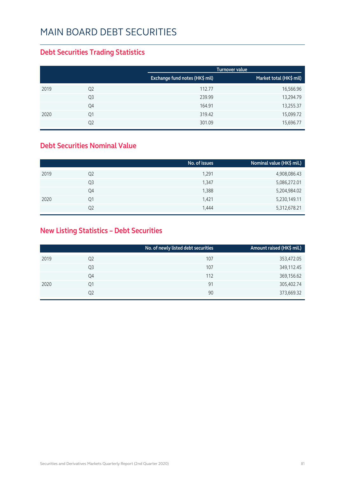### **Debt Securities Trading Statistics**

|      |                |                                | Turnover value          |
|------|----------------|--------------------------------|-------------------------|
|      |                | Exchange fund notes (HK\$ mil) | Market total (HK\$ mil) |
| 2019 | Q <sub>2</sub> | 112.77                         | 16,566.96               |
|      | Q <sub>3</sub> | 239.99                         | 13,294.79               |
|      | Q4             | 164.91                         | 13,255.37               |
| 2020 | Q1             | 319.42                         | 15,099.72               |
|      | Q2             | 301.09                         | 15,696.77               |

#### **Debt Securities Nominal Value**

|                | No. of issues | Nominal value (HK\$ mil.) |
|----------------|---------------|---------------------------|
| Q <sub>2</sub> | 1,291         | 4,908,086.43              |
| Q3             | 1,347         | 5,086,272.01              |
| Q4             | 1,388         | 5,204,984.02              |
| Q1             | 1,421         | 5,230,149.11              |
| Q2             | 1,444         | 5,312,678.21              |
|                |               |                           |

### **New Listing Statistics – Debt Securities**

|      |                | No. of newly listed debt securities | Amount raised (HK\$ mil.) |
|------|----------------|-------------------------------------|---------------------------|
| 2019 | Q <sub>2</sub> | 107                                 | 353,472.05                |
|      | Q3             | 107                                 | 349,112.45                |
|      | Q4             | 112                                 | 369,156.62                |
| 2020 | Q1             | 91                                  | 305,402.74                |
|      | Q <sub>2</sub> | 90                                  | 373,669.32                |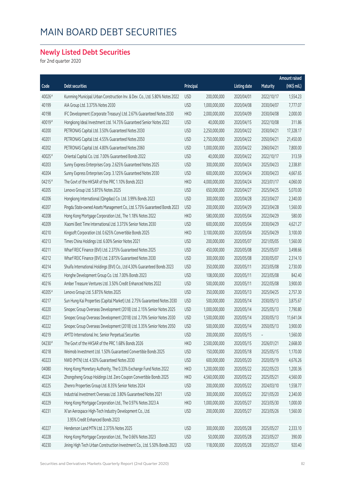### **Newly Listed Debt Securities**

for 2nd quarter 2020

|        |                                                                             |            |               |                     |            | <b>Amount raised</b> |
|--------|-----------------------------------------------------------------------------|------------|---------------|---------------------|------------|----------------------|
| Code   | <b>Debt securities</b>                                                      | Principal  |               | <b>Listing date</b> | Maturity   | (HK\$ mil.)          |
| 40026# | Kunming Municipal Urban Construction Inv. & Dev. Co., Ltd. 5.80% Notes 2022 | <b>USD</b> | 200,000,000   | 2020/04/01          | 2022/10/17 | 1,554.23             |
| 40199  | AIA Group Ltd. 3.375% Notes 2030                                            | <b>USD</b> | 1,000,000,000 | 2020/04/08          | 2030/04/07 | 7,777.07             |
| 40198  | IFC Development (Corporate Treasury) Ltd. 2.67% Guaranteed Notes 2030       | <b>HKD</b> | 2,000,000,000 | 2020/04/09          | 2030/04/08 | 2,000.00             |
| 40019# | Hongkong Ideal Investment Ltd. 14.75% Guaranteed Senior Notes 2022          | <b>USD</b> | 40,000,000    | 2020/04/15          | 2022/10/08 | 311.86               |
| 40200  | PETRONAS Capital Ltd. 3.50% Guaranteed Notes 2030                           | <b>USD</b> | 2,250,000,000 | 2020/04/22          | 2030/04/21 | 17,328.17            |
| 40201  | PETRONAS Capital Ltd. 4.55% Guaranteed Notes 2050                           | <b>USD</b> | 2,750,000,000 | 2020/04/22          | 2050/04/21 | 21,450.00            |
| 40202  | PETRONAS Capital Ltd. 4.80% Guaranteed Notes 2060                           | <b>USD</b> | 1,000,000,000 | 2020/04/22          | 2060/04/21 | 7,800.00             |
| 40025# | Oriental Capital Co. Ltd. 7.00% Guaranteed Bonds 2022                       | <b>USD</b> | 40,000,000    | 2020/04/22          | 2022/10/17 | 313.59               |
| 40203  | Sunny Express Enterprises Corp. 2.625% Guaranteed Notes 2025                | <b>USD</b> | 300,000,000   | 2020/04/24          | 2025/04/23 | 2,338.81             |
| 40204  | Sunny Express Enterprises Corp. 3.125% Guaranteed Notes 2030                | <b>USD</b> | 600,000,000   | 2020/04/24          | 2030/04/23 | 4,667.65             |
| 04215# | The Govt of the HKSAR of the PRC 1.10% Bonds 2023                           | <b>HKD</b> | 4,000,000,000 | 2020/04/24          | 2023/01/17 | 4,060.00             |
| 40205  | Lenovo Group Ltd. 5.875% Notes 2025                                         | <b>USD</b> | 650,000,000   | 2020/04/27          | 2025/04/25 | 5,070.00             |
| 40206  | Hongkong International (Qingdao) Co. Ltd. 3.99% Bonds 2023                  | <b>USD</b> | 300,000,000   | 2020/04/28          | 2023/04/27 | 2,340.00             |
| 40207  | Pingdu State-owned Assets Management Co., Ltd. 5.75% Guaranteed Bonds 2023  | <b>USD</b> | 200,000,000   | 2020/04/29          | 2023/04/28 | 1,560.00             |
| 40208  | Hong Kong Mortgage Corporation Ltd., The 1.18% Notes 2022                   | <b>HKD</b> | 580,000,000   | 2020/05/04          | 2022/04/29 | 580.00               |
| 40209  | Xiaomi Best Time International Ltd. 3.375% Senior Notes 2030                | <b>USD</b> | 600,000,000   | 2020/05/04          | 2030/04/29 | 4,621.27             |
| 40210  | Kingsoft Corporation Ltd. 0.625% Convertible Bonds 2025                     | <b>HKD</b> | 3,100,000,000 | 2020/05/04          | 2025/04/29 | 3,100.00             |
| 40213  | Times China Holdings Ltd. 6.00% Senior Notes 2021                           | <b>USD</b> | 200,000,000   | 2020/05/07          | 2021/05/05 | 1,560.00             |
| 40211  | Wharf REIC Finance (BVI) Ltd. 2.375% Guaranteed Notes 2025                  | <b>USD</b> | 450,000,000   | 2020/05/08          | 2025/05/07 | 3,498.66             |
| 40212  | Wharf REIC Finance (BVI) Ltd. 2.875% Guaranteed Notes 2030                  | <b>USD</b> | 300,000,000   | 2020/05/08          | 2030/05/07 | 2,314.10             |
| 40214  | Shuifa International Holdings (BVI) Co., Ltd 4.30% Guaranteed Bonds 2023    | <b>USD</b> | 350,000,000   | 2020/05/11          | 2023/05/08 | 2,730.00             |
| 40215  | Honghe Development Group Co. Ltd. 7.00% Bonds 2023                          | <b>USD</b> | 108,000,000   | 2020/05/11          | 2023/05/08 | 842.40               |
| 40216  | Amber Treasure Ventures Ltd. 3.50% Credit Enhanced Notes 2022               | <b>USD</b> | 500,000,000   | 2020/05/11          | 2022/05/08 | 3,900.00             |
| 40205# | Lenovo Group Ltd. 5.875% Notes 2025                                         | <b>USD</b> | 350,000,000   | 2020/05/13          | 2025/04/25 | 2,757.30             |
| 40217  | Sun Hung Kai Properties (Capital Market) Ltd. 2.75% Guaranteed Notes 2030   | <b>USD</b> | 500,000,000   | 2020/05/14          | 2030/05/13 | 3,875.67             |
| 40220  | Sinopec Group Overseas Development (2018) Ltd. 2.15% Senior Notes 2025      | <b>USD</b> | 1,000,000,000 | 2020/05/14          | 2025/05/13 | 7,790.80             |
| 40221  | Sinopec Group Overseas Development (2018) Ltd. 2.70% Senior Notes 2030      | <b>USD</b> | 1,500,000,000 | 2020/05/14          | 2030/05/13 | 11,641.04            |
| 40222  | Sinopec Group Overseas Development (2018) Ltd. 3.35% Senior Notes 2050      | <b>USD</b> | 500,000,000   | 2020/05/14          | 2050/05/13 | 3,900.00             |
| 40219  | AMTD International Inc. Senior Perpetual Securities                         | <b>USD</b> | 200,000,000   | 2020/05/15          |            | 1,560.00             |
| 04230# | The Govt of the HKSAR of the PRC 1.68% Bonds 2026                           | <b>HKD</b> | 2,500,000,000 | 2020/05/15          | 2026/01/21 | 2,668.00             |
| 40218  | Weimob Investment Ltd. 1.50% Guaranteed Convertible Bonds 2025              | <b>USD</b> | 150,000,000   | 2020/05/18          | 2025/05/15 | 1,170.00             |
| 40223  | NWD (MTN) Ltd. 4.50% Guaranteed Notes 2030                                  | <b>USD</b> | 600,000,000   | 2020/05/20          | 2020/05/19 | 4,676.26             |
| 04080  | Hong Kong Monetary Authority, The 0.33% Exchange Fund Notes 2022            | <b>HKD</b> | 1,200,000,000 | 2020/05/22          | 2022/05/23 | 1,200.36             |
| 40224  | Zhongsheng Group Holdings Ltd. Zero Coupon Convertible Bonds 2025           | <b>HKD</b> | 4,560,000,000 | 2020/05/22          | 2025/05/21 | 4,560.00             |
| 40225  | Zhenro Properties Group Ltd. 8.35% Senior Notes 2024                        | <b>USD</b> | 200,000,000   | 2020/05/22          | 2024/03/10 | 1,558.77             |
| 40226  | Industrial Investment Overseas Ltd. 3.80% Guaranteed Notes 2021             | <b>USD</b> | 300,000,000   | 2020/05/22          | 2021/05/20 | 2,340.00             |
| 40229  | Hong Kong Mortgage Corporation Ltd., The 0.97% Notes 2023 A                 | <b>HKD</b> | 1,000,000,000 | 2020/05/27          | 2023/05/30 | 1,000.00             |
| 40231  | Xi'an Aerospace High-Tech Industry Development Co., Ltd.                    | <b>USD</b> | 200,000,000   | 2020/05/27          | 2023/05/26 | 1,560.00             |
|        | 3.95% Credit Enhanced Bonds 2023                                            |            |               |                     |            |                      |
| 40227  | Henderson Land MTN Ltd. 2.375% Notes 2025                                   | <b>USD</b> | 300,000,000   | 2020/05/28          | 2025/05/27 | 2,333.10             |
| 40228  | Hong Kong Mortgage Corporation Ltd., The 0.66% Notes 2023                   | <b>USD</b> | 50,000,000    | 2020/05/28          | 2023/05/27 | 390.00               |
| 40230  | Jining High Tech Urban Construction Investment Co., Ltd. 5.50% Bonds 2023   | <b>USD</b> | 118,000,000   | 2020/05/28          | 2023/05/27 | 920.40               |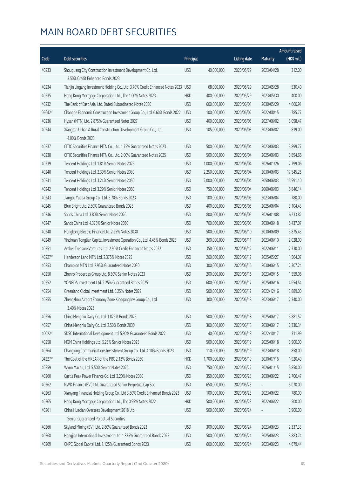|        |                                                                               |            |               |                     |            | <b>Amount raised</b> |
|--------|-------------------------------------------------------------------------------|------------|---------------|---------------------|------------|----------------------|
| Code   | <b>Debt securities</b>                                                        | Principal  |               | <b>Listing date</b> | Maturity   | (HK\$ mil.)          |
| 40233  | Shouguang City Construction Investment Development Co. Ltd.                   | <b>USD</b> | 40,000,000    | 2020/05/29          | 2023/04/28 | 312.00               |
|        | 3.50% Credit Enhanced Bonds 2023                                              |            |               |                     |            |                      |
| 40234  | Tianjin Lingang Investment Holding Co., Ltd. 3.70% Credit Enhanced Notes 2023 | <b>USD</b> | 68,000,000    | 2020/05/29          | 2023/05/28 | 530.40               |
| 40235  | Hong Kong Mortgage Corporation Ltd., The 1.00% Notes 2023                     | <b>HKD</b> | 400,000,000   | 2020/05/29          | 2023/05/30 | 400.00               |
| 40232  | The Bank of East Asia, Ltd. Dated Subordinated Notes 2030                     | <b>USD</b> | 600,000,000   | 2020/06/01          | 2030/05/29 | 4,660.91             |
| 05642# | Changde Economic Construction Investment Group Co., Ltd. 6.60% Bonds 2022     | <b>USD</b> | 100,000,000   | 2020/06/02          | 2022/08/15 | 785.77               |
| 40236  | Hysan (MTN) Ltd. 2.875% Guaranteed Notes 2027                                 | <b>USD</b> | 400,000,000   | 2020/06/03          | 2027/06/02 | 3,098.47             |
| 40244  | Xiangtan Urban & Rural Construction Development Group Co., Ltd.               | <b>USD</b> | 105,000,000   | 2020/06/03          | 2023/06/02 | 819.00               |
|        | 4.00% Bonds 2023                                                              |            |               |                     |            |                      |
| 40237  | CITIC Securities Finance MTN Co., Ltd. 1.75% Guaranteed Notes 2023            | <b>USD</b> | 500,000,000   | 2020/06/04          | 2023/06/03 | 3,899.77             |
| 40238  | CITIC Securities Finance MTN Co., Ltd. 2.00% Guaranteed Notes 2025            | <b>USD</b> | 500,000,000   | 2020/06/04          | 2025/06/03 | 3,894.66             |
| 40239  | Tencent Holdings Ltd. 1.81% Senior Notes 2026                                 | <b>USD</b> | 1,000,000,000 | 2020/06/04          | 2026/01/26 | 7,799.06             |
| 40240  | Tencent Holdings Ltd. 2.39% Senior Notes 2030                                 | <b>USD</b> | 2,250,000,000 | 2020/06/04          | 2030/06/03 | 17,545.25            |
| 40241  | Tencent Holdings Ltd. 3.24% Senior Notes 2050                                 | <b>USD</b> | 2,000,000,000 | 2020/06/04          | 2050/06/03 | 15,591.10            |
| 40242  | Tencent Holdings Ltd. 3.29% Senior Notes 2060                                 | <b>USD</b> | 750,000,000   | 2020/06/04          | 2060/06/03 | 5,846.14             |
| 40243  | Jiangsu Yueda Group Co., Ltd. 5.70% Bonds 2023                                | <b>USD</b> | 100,000,000   | 2020/06/05          | 2023/06/04 | 780.00               |
| 40245  | Blue Bright Ltd. 2.50% Guaranteed Bonds 2025                                  | <b>USD</b> | 400,000,000   | 2020/06/05          | 2025/06/04 | 3,104.43             |
| 40246  | Sands China Ltd. 3.80% Senior Notes 2026                                      | <b>USD</b> | 800,000,000   | 2020/06/05          | 2026/01/08 | 6,233.82             |
| 40247  | Sands China Ltd. 4.375% Senior Notes 2030                                     | <b>USD</b> | 700,000,000   | 2020/06/05          | 2030/06/18 | 5,437.07             |
| 40248  | Hongkong Electric Finance Ltd. 2.25% Notes 2030                               | <b>USD</b> | 500,000,000   | 2020/06/10          | 2030/06/09 | 3,875.43             |
| 40249  | Yinchuan Tonglian Capital Investment Operation Co., Ltd. 4.45% Bonds 2023     | <b>USD</b> | 260,000,000   | 2020/06/11          | 2023/06/10 | 2,028.00             |
| 40251  | Amber Treasure Ventures Ltd. 2.90% Credit Enhanced Notes 2022                 | <b>USD</b> | 350,000,000   | 2020/06/12          | 2022/06/11 | 2,730.00             |
| 40227# | Henderson Land MTN Ltd. 2.375% Notes 2025                                     | <b>USD</b> | 200,000,000   | 2020/06/12          | 2025/05/27 | 1,564.07             |
| 40253  | Champion MTN Ltd. 2.95% Guaranteed Notes 2030                                 | <b>USD</b> | 300,000,000   | 2020/06/16          | 2030/06/15 | 2,307.24             |
| 40250  | Zhenro Properties Group Ltd. 8.30% Senior Notes 2023                          | <b>USD</b> | 200,000,000   | 2020/06/16          | 2023/09/15 | 1,559.06             |
| 40252  | YONGDA Investment Ltd. 2.25% Guaranteed Bonds 2025                            | <b>USD</b> | 600,000,000   | 2020/06/17          | 2025/06/16 | 4,654.54             |
| 40254  | Greenland Global Investment Ltd. 6.25% Notes 2022                             | <b>USD</b> | 500,000,000   | 2020/06/17          | 2022/12/16 | 3,889.00             |
| 40255  | Zhengzhou Airport Economy Zone Xinggang Inv Group Co., Ltd.                   | <b>USD</b> | 300,000,000   | 2020/06/18          | 2023/06/17 | 2,340.00             |
|        | 3.40% Notes 2023                                                              |            |               |                     |            |                      |
| 40256  | China Mengniu Dairy Co. Ltd. 1.875% Bonds 2025                                | <b>USD</b> | 500,000,000   | 2020/06/18          | 2025/06/17 | 3,881.52             |
| 40257  | China Mengniu Dairy Co. Ltd. 2.50% Bonds 2030                                 | <b>USD</b> | 300,000,000   | 2020/06/18          | 2030/06/17 | 2,330.34             |
| 40022# | SDSC International Development Ltd. 5.90% Guaranteed Bonds 2022               | <b>USD</b> | 40,000,000    | 2020/06/18          | 2022/10/17 | 311.99               |
| 40258  | MGM China Holdings Ltd. 5.25% Senior Notes 2025                               | <b>USD</b> | 500,000,000   | 2020/06/19          | 2025/06/18 | 3,900.00             |
| 40264  | Changxing Communications Investment Group Co., Ltd. 4.10% Bonds 2023          | <b>USD</b> | 110,000,000   | 2020/06/19          | 2023/06/18 | 858.00               |
| 04227# | The Govt of the HKSAR of the PRC 2.13% Bonds 2030                             | <b>HKD</b> | 1,700,000,000 | 2020/06/19          | 2030/07/16 | 1,920.49             |
| 40259  | Wynn Macau, Ltd. 5.50% Senior Notes 2026                                      | <b>USD</b> | 750,000,000   | 2020/06/22          | 2026/01/15 | 5,850.00             |
| 40260  | Castle Peak Power Finance Co. Ltd. 2.20% Notes 2030                           | <b>USD</b> | 350,000,000   | 2020/06/23          | 2030/06/22 | 2,706.47             |
| 40262  | NWD Finance (BVI) Ltd. Guaranteed Senior Perpetual Cap Sec                    | <b>USD</b> | 650,000,000   | 2020/06/23          |            | 5,070.00             |
| 40263  | Xianyang Financial Holding Group Co., Ltd 3.80% Credit Enhanced Bonds 2023    | <b>USD</b> | 100,000,000   | 2020/06/23          | 2023/06/22 | 780.00               |
| 40265  | Hong Kong Mortgage Corporation Ltd., The 0.95% Notes 2022                     | <b>HKD</b> | 500,000,000   | 2020/06/23          | 2022/06/22 | 500.00               |
| 40261  | China Huadian Overseas Development 2018 Ltd.                                  | <b>USD</b> | 500,000,000   | 2020/06/24          |            | 3,900.00             |
|        | Senior Guaranteed Perpetual Securities                                        |            |               |                     |            |                      |
| 40266  | Skyland Mining (BVI) Ltd. 2.80% Guaranteed Bonds 2023                         | <b>USD</b> | 300,000,000   | 2020/06/24          | 2023/06/23 | 2,337.33             |
| 40268  | Hengjian International Investment Ltd. 1.875% Guaranteed Bonds 2025           | <b>USD</b> | 500,000,000   | 2020/06/24          | 2025/06/23 | 3,883.74             |
| 40269  | CNPC Global Capital Ltd. 1.125% Guaranteed Bonds 2023                         | <b>USD</b> | 600,000,000   | 2020/06/24          | 2023/06/23 | 4,679.44             |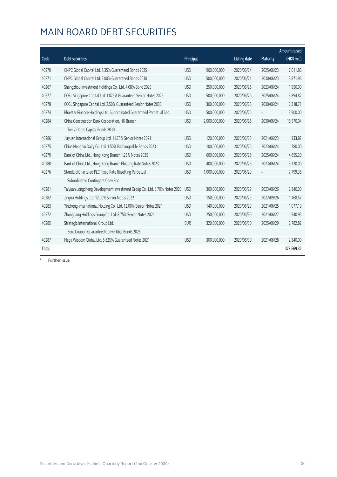|       |                                                                           |            |               |                     |                 | <b>Amount raised</b> |
|-------|---------------------------------------------------------------------------|------------|---------------|---------------------|-----------------|----------------------|
| Code  | <b>Debt securities</b>                                                    | Principal  |               | <b>Listing date</b> | <b>Maturity</b> | (HK\$ mil.)          |
| 40270 | CNPC Global Capital Ltd. 1.35% Guaranteed Bonds 2025                      | <b>USD</b> | 900,000,000   | 2020/06/24          | 2025/06/23      | 7,011.86             |
| 40271 | CNPC Global Capital Ltd. 2.00% Guaranteed Bonds 2030                      | <b>USD</b> | 500,000,000   | 2020/06/24          | 2030/06/23      | 3,871.96             |
| 40267 | Shengzhou Investment Holdings Co., Ltd. 4.08% Bond 2023                   | <b>USD</b> | 250,000,000   | 2020/06/26          | 2023/06/24      | 1,950.00             |
| 40277 | COSL Singapore Capital Ltd. 1.875% Guaranteed Senior Notes 2025           | <b>USD</b> | 500,000,000   | 2020/06/26          | 2025/06/24      | 3,894.82             |
| 40278 | COSL Singapore Capital Ltd. 2.50% Guaranteed Senior Notes 2030            | <b>USD</b> | 300,000,000   | 2020/06/26          | 2030/06/24      | 2,318.71             |
| 40274 | Bluestar Finance Holdings Ltd. Subordinated Guaranteed Perpetual Sec.     | <b>USD</b> | 500,000,000   | 2020/06/26          |                 | 3,900.00             |
| 40284 | China Construction Bank Corporation, HK Branch                            | <b>USD</b> | 2,000,000,000 | 2020/06/26          | 2030/06/24      | 15,570.04            |
|       | Tier 2 Dated Capital Bonds 2030                                           |            |               |                     |                 |                      |
| 40286 | Jiayuan International Group Ltd. 11.75% Senior Notes 2021                 | <b>USD</b> | 120,000,000   | 2020/06/26          | 2021/06/23      | 933.87               |
| 40275 | China Mengniu Dairy Co. Ltd. 1.50% Exchangeable Bonds 2023                | <b>USD</b> | 100,000,000   | 2020/06/26          | 2023/06/24      | 780.00               |
| 40279 | Bank of China Ltd., Hong Kong Branch 1.25% Notes 2025                     | <b>USD</b> | 600,000,000   | 2020/06/26          | 2025/06/24      | 4,655.20             |
| 40280 | Bank of China Ltd., Hong Kong Branch Floating Rate Notes 2023             | <b>USD</b> | 400,000,000   | 2020/06/26          | 2023/06/24      | 3,120.00             |
| 40276 | Standard Chartered PLC Fixed Rate Resetting Perpetual                     | <b>USD</b> | 1,000,000,000 | 2020/06/29          |                 | 7,799.38             |
|       | Subordinated Contingent Conv Sec                                          |            |               |                     |                 |                      |
| 40281 | Taiyuan Longcheng Development Investment Group Co., Ltd. 3.70% Notes 2023 | <b>USD</b> | 300,000,000   | 2020/06/29          | 2023/06/26      | 2,340.00             |
| 40282 | Jingrui Holdings Ltd. 12.00% Senior Notes 2022                            | <b>USD</b> | 150,000,000   | 2020/06/29          | 2022/09/26      | 1,168.57             |
| 40283 | Yincheng International Holding Co., Ltd. 12.00% Senior Notes 2021         | <b>USD</b> | 140,000,000   | 2020/06/29          | 2021/06/25      | 1,077.19             |
| 40272 | Zhongliang Holdings Group Co. Ltd. 8.75% Senior Notes 2021                | <b>USD</b> | 250,000,000   | 2020/06/30          | 2021/06/27      | 1,940.95             |
| 40285 | Strategic International Group Ltd.                                        | <b>EUR</b> | 320,000,000   | 2020/06/30          | 2025/06/29      | 2,782.82             |
|       | Zero Coupon Guaranteed Convertible Bonds 2025                             |            |               |                     |                 |                      |
| 40287 | Mega Wisdom Global Ltd. 5.625% Guaranteed Notes 2021                      | <b>USD</b> | 300,000,000   | 2020/06/30          | 2021/06/28      | 2,340.00             |
| Total |                                                                           |            |               |                     |                 | 373,669.32           |

# Further issue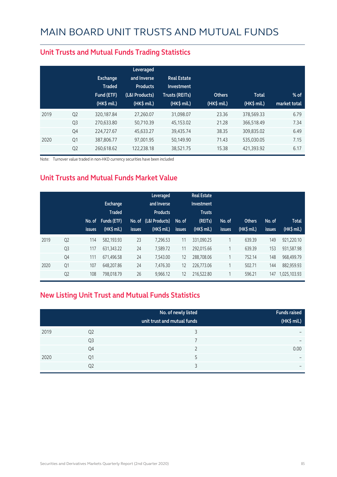|      |                | <b>Exchange</b><br><b>Traded</b><br>Fund (ETF)<br>$(HK\$ mil.) | Leveraged<br>and Inverse<br><b>Products</b><br>(L&I Products)<br>(HK\$ mil.) | <b>Real Estate</b><br>Investment<br><b>Trusts (REITs)</b><br>$(HK$$ mil.) | <b>Others</b><br>$(HK\$ mil.) | <b>Total</b><br>$(HK\$ mil.) | $%$ of<br>market total |
|------|----------------|----------------------------------------------------------------|------------------------------------------------------------------------------|---------------------------------------------------------------------------|-------------------------------|------------------------------|------------------------|
| 2019 | Q <sub>2</sub> | 320,187.84                                                     | 27.260.07                                                                    | 31,098.07                                                                 | 23.36                         | 378,569.33                   | 6.79                   |
|      | Q <sub>3</sub> | 270,633.80                                                     | 50.710.39                                                                    | 45,153.02                                                                 | 21.28                         | 366,518.49                   | 7.34                   |
|      | Q4             | 224,727.67                                                     | 45,633.27                                                                    | 39,435.74                                                                 | 38.35                         | 309,835.02                   | 6.49                   |
| 2020 | Q1             | 387,806.77                                                     | 97,001.95                                                                    | 50,149.90                                                                 | 71.43                         | 535,030.05                   | 7.15                   |
|      | Q <sub>2</sub> | 260,618.62                                                     | 122,238.18                                                                   | 38,521.75                                                                 | 15.38                         | 421,393.92                   | 6.17                   |

#### **Unit Trusts and Mutual Funds Trading Statistics**

Note: Turnover value traded in non-HKD currency securities have been included

#### **Unit Trusts and Mutual Funds Market Value**

|      |                | No. of<br><b>issues</b> | Exchange<br><b>Traded</b><br>Funds (ETF)<br>$(HK$$ mil.) | <b>issues</b> | Leveraged<br>and Inverse<br><b>Products</b><br>No. of (L&I Products)<br>$(HK$$ mil.) | No. of<br><b>issues</b> | <b>Real Estate</b><br>Investment<br><b>Trusts</b><br>(REITs)<br>(HK\$ mil.) | No. of<br><b>issues</b> | <b>Others</b><br>(HK\$ mil.) | No. of<br><b>issues</b> | <b>Total</b><br>(HK\$ mil.) |
|------|----------------|-------------------------|----------------------------------------------------------|---------------|--------------------------------------------------------------------------------------|-------------------------|-----------------------------------------------------------------------------|-------------------------|------------------------------|-------------------------|-----------------------------|
| 2019 | Q <sub>2</sub> | 114                     | 582.193.93                                               | 23            | 7.296.53                                                                             | 11                      | 331.090.25                                                                  |                         | 639.39                       | 149                     | 921.220.10                  |
|      | Q <sub>3</sub> | 117                     | 631,343.22                                               | 24            | 7,589.72                                                                             | 11                      | 292,015.66                                                                  |                         | 639.39                       | 153                     | 931,587.98                  |
|      | Q4             | 111                     | 671,496.58                                               | 24            | 7.543.00                                                                             | 12                      | 288,708.06                                                                  |                         | 752.14                       | 148                     | 968.499.79                  |
| 2020 | Q <sub>1</sub> | 107                     | 648,207.86                                               | 24            | 7.476.30                                                                             | 12                      | 226,773.06                                                                  |                         | 502.71                       | 144                     | 882,959.93                  |
|      | Q <sub>2</sub> | 108                     | 798,018.79                                               | 26            | 9,966.12                                                                             | 12                      | 216,522.80                                                                  |                         | 596.21                       | 147                     | 1,025,103.93                |

#### **New Listing Unit Trust and Mutual Funds Statistics**

|      |                | No. of newly listed<br>unit trust and mutual funds | <b>Funds raised</b><br>(HK\$ mil.) |
|------|----------------|----------------------------------------------------|------------------------------------|
| 2019 | Q <sub>2</sub> |                                                    | $\overline{\phantom{0}}$           |
|      | Q <sub>3</sub> |                                                    | $\overline{\phantom{0}}$           |
|      | Q4             |                                                    | 0.00                               |
| 2020 | Q1             |                                                    | $\overline{\phantom{0}}$           |
|      | Q <sub>2</sub> |                                                    | $\overline{\phantom{0}}$           |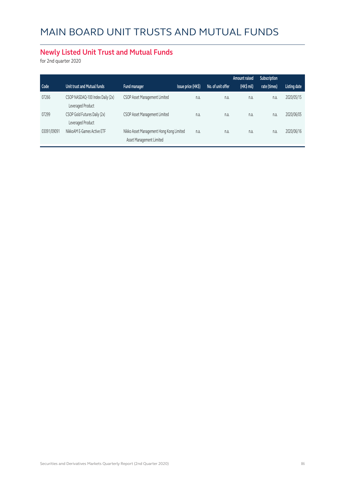### **Newly Listed Unit Trust and Mutual Funds**

for 2nd quarter 2020

|             |                                                       |                                                                      |                    |                   | Amount raised | Subscription |                     |
|-------------|-------------------------------------------------------|----------------------------------------------------------------------|--------------------|-------------------|---------------|--------------|---------------------|
| Code        | Unit trust and Mutual funds                           | Fund manager                                                         | Issue price (HK\$) | No. of unit offer | (HK\$ mil)    | rate (times) | <b>Listing date</b> |
| 07266       | CSOP NASDAQ-100 Index Daily (2x)<br>Leveraged Product | CSOP Asset Management Limited                                        | n.a.               | n.a.              | n.a.          | n.a.         | 2020/05/15          |
| 07299       | CSOP Gold Futures Daily (2x)<br>Leveraged Product     | CSOP Asset Management Limited                                        | n.a.               | n.a.              | n.a.          | n.a.         | 2020/06/05          |
| 03091/09091 | NikkoAM E-Games Active ETF                            | Nikko Asset Management Hong Kong Limited<br>Asset Management Limited | n.a.               | n.a.              | n.a.          | n.a.         | 2020/06/16          |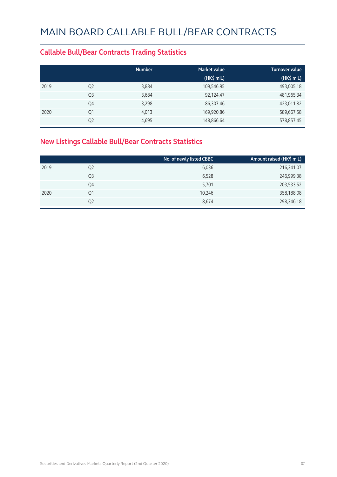#### **Callable Bull/Bear Contracts Trading Statistics**

|      |                | <b>Number</b> | <b>Market value</b> | <b>Turnover value</b> |
|------|----------------|---------------|---------------------|-----------------------|
|      |                |               | $(HK$$ mil.)        | (HK\$ mil.)           |
| 2019 | Q <sub>2</sub> | 3,884         | 109,546.95          | 493,005.18            |
|      | Q <sub>3</sub> | 3,684         | 92,124.47           | 481,965.34            |
|      | Q4             | 3,298         | 86,307.46           | 423,011.82            |
| 2020 | Q1             | 4,013         | 169,920.86          | 589,667.58            |
|      | Q <sub>2</sub> | 4,695         | 148,866.64          | 578,857.45            |

### **New Listings Callable Bull/Bear Contracts Statistics**

|      |                | No. of newly listed CBBC | Amount raised (HK\$ mil.) |
|------|----------------|--------------------------|---------------------------|
| 2019 | Q <sub>2</sub> | 6,036                    | 216,341.07                |
|      | Q3             | 6,528                    | 246,999.38                |
|      | Q4             | 5,701                    | 203,533.52                |
| 2020 | Q1             | 10,246                   | 358,188.08                |
|      | Q2             | 8,674                    | 298,346.18                |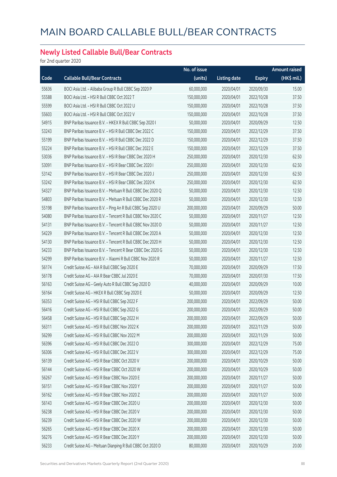### **Newly Listed Callable Bull/Bear Contracts**

for 2nd quarter 2020

|       |                                                            | No. of issue |                     |               | <b>Amount raised</b> |
|-------|------------------------------------------------------------|--------------|---------------------|---------------|----------------------|
| Code  | <b>Callable Bull/Bear Contracts</b>                        | (units)      | <b>Listing date</b> | <b>Expiry</b> | (HK\$ mil.)          |
| 55636 | BOCI Asia Ltd. - Alibaba Group R Bull CBBC Sep 2020 P      | 60,000,000   | 2020/04/01          | 2020/09/30    | 15.00                |
| 55588 | BOCI Asia Ltd. - HSI R Bull CBBC Oct 2022 T                | 150,000,000  | 2020/04/01          | 2022/10/28    | 37.50                |
| 55599 | BOCI Asia Ltd. - HSI R Bull CBBC Oct 2022 U                | 150,000,000  | 2020/04/01          | 2022/10/28    | 37.50                |
| 55603 | BOCI Asia Ltd. - HSI R Bull CBBC Oct 2022 V                | 150,000,000  | 2020/04/01          | 2022/10/28    | 37.50                |
| 54915 | BNP Paribas Issuance B.V. - HKEX R Bull CBBC Sep 2020 I    | 50,000,000   | 2020/04/01          | 2020/09/29    | 12.50                |
| 53243 | BNP Paribas Issuance B.V. - HSI R Bull CBBC Dec 2022 C     | 150,000,000  | 2020/04/01          | 2022/12/29    | 37.50                |
| 55199 | BNP Paribas Issuance B.V. - HSI R Bull CBBC Dec 2022 D     | 150,000,000  | 2020/04/01          | 2022/12/29    | 37.50                |
| 55224 | BNP Paribas Issuance B.V. - HSI R Bull CBBC Dec 2022 E     | 150,000,000  | 2020/04/01          | 2022/12/29    | 37.50                |
| 53036 | BNP Paribas Issuance B.V. - HSI R Bear CBBC Dec 2020 H     | 250,000,000  | 2020/04/01          | 2020/12/30    | 62.50                |
| 53091 | BNP Paribas Issuance B.V. - HSI R Bear CBBC Dec 2020 I     | 250,000,000  | 2020/04/01          | 2020/12/30    | 62.50                |
| 53142 | BNP Paribas Issuance B.V. - HSI R Bear CBBC Dec 2020 J     | 250,000,000  | 2020/04/01          | 2020/12/30    | 62.50                |
| 53242 | BNP Paribas Issuance B.V. - HSI R Bear CBBC Dec 2020 K     | 250,000,000  | 2020/04/01          | 2020/12/30    | 62.50                |
| 54327 | BNP Paribas Issuance B.V. - Meituan R Bull CBBC Dec 2020 Q | 50,000,000   | 2020/04/01          | 2020/12/30    | 12.50                |
| 54803 | BNP Paribas Issuance B.V. - Meituan R Bull CBBC Dec 2020 R | 50,000,000   | 2020/04/01          | 2020/12/30    | 12.50                |
| 55198 | BNP Paribas Issuance B.V. - Ping An R Bull CBBC Sep 2020 U | 200,000,000  | 2020/04/01          | 2020/09/29    | 50.00                |
| 54080 | BNP Paribas Issuance B.V. - Tencent R Bull CBBC Nov 2020 C | 50,000,000   | 2020/04/01          | 2020/11/27    | 12.50                |
| 54131 | BNP Paribas Issuance B.V. - Tencent R Bull CBBC Nov 2020 D | 50,000,000   | 2020/04/01          | 2020/11/27    | 12.50                |
| 54229 | BNP Paribas Issuance B.V. - Tencent R Bull CBBC Dec 2020 A | 50,000,000   | 2020/04/01          | 2020/12/30    | 12.50                |
| 54130 | BNP Paribas Issuance B.V. - Tencent R Bull CBBC Dec 2020 H | 50,000,000   | 2020/04/01          | 2020/12/30    | 12.50                |
| 54233 | BNP Paribas Issuance B.V. - Tencent R Bear CBBC Dec 2020 G | 50,000,000   | 2020/04/01          | 2020/12/30    | 12.50                |
| 54299 | BNP Paribas Issuance B.V. - Xiaomi R Bull CBBC Nov 2020 R  | 50,000,000   | 2020/04/01          | 2020/11/27    | 12.50                |
| 56174 | Credit Suisse AG - AIA R Bull CBBC Sep 2020 E              | 70,000,000   | 2020/04/01          | 2020/09/29    | 17.50                |
| 56178 | Credit Suisse AG - AIA R Bear CBBC Jul 2020 E              | 70,000,000   | 2020/04/01          | 2020/07/30    | 17.50                |
| 56163 | Credit Suisse AG - Geely Auto R Bull CBBC Sep 2020 D       | 40,000,000   | 2020/04/01          | 2020/09/29    | 10.00                |
| 56164 | Credit Suisse AG - HKEX R Bull CBBC Sep 2020 E             | 50,000,000   | 2020/04/01          | 2020/09/29    | 12.50                |
| 56353 | Credit Suisse AG - HSI R Bull CBBC Sep 2022 F              | 200,000,000  | 2020/04/01          | 2022/09/29    | 50.00                |
| 56416 | Credit Suisse AG - HSI R Bull CBBC Sep 2022 G              | 200,000,000  | 2020/04/01          | 2022/09/29    | 50.00                |
| 56458 | Credit Suisse AG - HSI R Bull CBBC Sep 2022 H              | 200,000,000  | 2020/04/01          | 2022/09/29    | 50.00                |
| 56311 | Credit Suisse AG - HSI R Bull CBBC Nov 2022 K              | 200,000,000  | 2020/04/01          | 2022/11/29    | 50.00                |
| 56299 | Credit Suisse AG - HSI R Bull CBBC Nov 2022 M              | 200,000,000  | 2020/04/01          | 2022/11/29    | 50.00                |
| 56396 | Credit Suisse AG - HSI R Bull CBBC Dec 2022 O              | 300,000,000  | 2020/04/01          | 2022/12/29    | 75.00                |
| 56306 | Credit Suisse AG - HSI R Bull CBBC Dec 2022 V              | 300,000,000  | 2020/04/01          | 2022/12/29    | 75.00                |
| 56139 | Credit Suisse AG - HSI R Bear CBBC Oct 2020 V              | 200,000,000  | 2020/04/01          | 2020/10/29    | 50.00                |
| 56144 | Credit Suisse AG - HSI R Bear CBBC Oct 2020 W              | 200,000,000  | 2020/04/01          | 2020/10/29    | 50.00                |
| 56267 | Credit Suisse AG - HSI R Bear CBBC Nov 2020 E              | 200,000,000  | 2020/04/01          | 2020/11/27    | 50.00                |
| 56151 | Credit Suisse AG - HSI R Bear CBBC Nov 2020 Y              | 200,000,000  | 2020/04/01          | 2020/11/27    | 50.00                |
| 56162 | Credit Suisse AG - HSI R Bear CBBC Nov 2020 Z              | 200,000,000  | 2020/04/01          | 2020/11/27    | 50.00                |
| 56143 | Credit Suisse AG - HSI R Bear CBBC Dec 2020 U              | 200,000,000  | 2020/04/01          | 2020/12/30    | 50.00                |
| 56238 | Credit Suisse AG - HSI R Bear CBBC Dec 2020 V              | 200,000,000  | 2020/04/01          | 2020/12/30    | 50.00                |
| 56239 | Credit Suisse AG - HSI R Bear CBBC Dec 2020 W              | 200,000,000  | 2020/04/01          | 2020/12/30    | 50.00                |
| 56265 | Credit Suisse AG - HSI R Bear CBBC Dec 2020 X              | 200,000,000  | 2020/04/01          | 2020/12/30    | 50.00                |
| 56276 | Credit Suisse AG - HSI R Bear CBBC Dec 2020 Y              | 200,000,000  | 2020/04/01          | 2020/12/30    | 50.00                |
| 56233 | Credit Suisse AG - Meituan Dianping R Bull CBBC Oct 2020 D | 80,000,000   | 2020/04/01          | 2020/10/29    | 20.00                |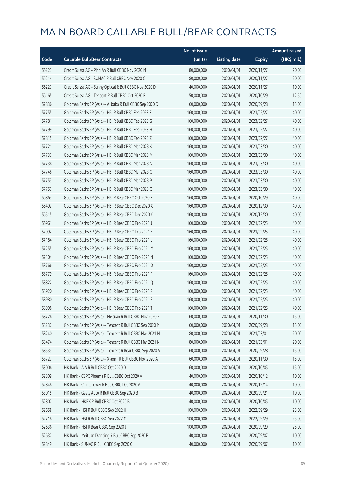|       |                                                          | No. of issue |                     |               | <b>Amount raised</b> |
|-------|----------------------------------------------------------|--------------|---------------------|---------------|----------------------|
| Code  | <b>Callable Bull/Bear Contracts</b>                      | (units)      | <b>Listing date</b> | <b>Expiry</b> | (HK\$ mil.)          |
| 56223 | Credit Suisse AG - Ping An R Bull CBBC Nov 2020 M        | 80,000,000   | 2020/04/01          | 2020/11/27    | 20.00                |
| 56214 | Credit Suisse AG - SUNAC R Bull CBBC Nov 2020 C          | 80,000,000   | 2020/04/01          | 2020/11/27    | 20.00                |
| 56227 | Credit Suisse AG - Sunny Optical R Bull CBBC Nov 2020 D  | 40,000,000   | 2020/04/01          | 2020/11/27    | 10.00                |
| 56165 | Credit Suisse AG - Tencent R Bull CBBC Oct 2020 F        | 50,000,000   | 2020/04/01          | 2020/10/29    | 12.50                |
| 57836 | Goldman Sachs SP (Asia) - Alibaba R Bull CBBC Sep 2020 D | 60,000,000   | 2020/04/01          | 2020/09/28    | 15.00                |
| 57755 | Goldman Sachs SP (Asia) - HSI R Bull CBBC Feb 2023 F     | 160,000,000  | 2020/04/01          | 2023/02/27    | 40.00                |
| 57781 | Goldman Sachs SP (Asia) - HSI R Bull CBBC Feb 2023 G     | 160,000,000  | 2020/04/01          | 2023/02/27    | 40.00                |
| 57799 | Goldman Sachs SP (Asia) - HSI R Bull CBBC Feb 2023 H     | 160,000,000  | 2020/04/01          | 2023/02/27    | 40.00                |
| 57815 | Goldman Sachs SP (Asia) - HSI R Bull CBBC Feb 2023 Z     | 160,000,000  | 2020/04/01          | 2023/02/27    | 40.00                |
| 57721 | Goldman Sachs SP (Asia) - HSI R Bull CBBC Mar 2023 K     | 160,000,000  | 2020/04/01          | 2023/03/30    | 40.00                |
| 57737 | Goldman Sachs SP (Asia) - HSI R Bull CBBC Mar 2023 M     | 160,000,000  | 2020/04/01          | 2023/03/30    | 40.00                |
| 57738 | Goldman Sachs SP (Asia) - HSI R Bull CBBC Mar 2023 N     | 160,000,000  | 2020/04/01          | 2023/03/30    | 40.00                |
| 57748 | Goldman Sachs SP (Asia) - HSI R Bull CBBC Mar 2023 O     | 160,000,000  | 2020/04/01          | 2023/03/30    | 40.00                |
| 57753 | Goldman Sachs SP (Asia) - HSI R Bull CBBC Mar 2023 P     | 160,000,000  | 2020/04/01          | 2023/03/30    | 40.00                |
| 57757 | Goldman Sachs SP (Asia) - HSI R Bull CBBC Mar 2023 Q     | 160,000,000  | 2020/04/01          | 2023/03/30    | 40.00                |
| 56863 | Goldman Sachs SP (Asia) - HSI R Bear CBBC Oct 2020 Z     | 160,000,000  | 2020/04/01          | 2020/10/29    | 40.00                |
| 56492 | Goldman Sachs SP (Asia) - HSI R Bear CBBC Dec 2020 X     | 160,000,000  | 2020/04/01          | 2020/12/30    | 40.00                |
| 56515 | Goldman Sachs SP (Asia) - HSI R Bear CBBC Dec 2020 Y     | 160,000,000  | 2020/04/01          | 2020/12/30    | 40.00                |
| 56961 | Goldman Sachs SP (Asia) - HSI R Bear CBBC Feb 2021 J     | 160,000,000  | 2020/04/01          | 2021/02/25    | 40.00                |
| 57092 | Goldman Sachs SP (Asia) - HSI R Bear CBBC Feb 2021 K     | 160,000,000  | 2020/04/01          | 2021/02/25    | 40.00                |
| 57184 | Goldman Sachs SP (Asia) - HSI R Bear CBBC Feb 2021 L     | 160,000,000  | 2020/04/01          | 2021/02/25    | 40.00                |
| 57255 | Goldman Sachs SP (Asia) - HSI R Bear CBBC Feb 2021 M     | 160,000,000  | 2020/04/01          | 2021/02/25    | 40.00                |
| 57304 | Goldman Sachs SP (Asia) - HSI R Bear CBBC Feb 2021 N     | 160,000,000  | 2020/04/01          | 2021/02/25    | 40.00                |
| 58766 | Goldman Sachs SP (Asia) - HSI R Bear CBBC Feb 2021 O     | 160,000,000  | 2020/04/01          | 2021/02/25    | 40.00                |
| 58779 | Goldman Sachs SP (Asia) - HSI R Bear CBBC Feb 2021 P     | 160,000,000  | 2020/04/01          | 2021/02/25    | 40.00                |
| 58822 | Goldman Sachs SP (Asia) - HSI R Bear CBBC Feb 2021 Q     | 160,000,000  | 2020/04/01          | 2021/02/25    | 40.00                |
| 58920 | Goldman Sachs SP (Asia) - HSI R Bear CBBC Feb 2021 R     | 160,000,000  | 2020/04/01          | 2021/02/25    | 40.00                |
| 58980 | Goldman Sachs SP (Asia) - HSI R Bear CBBC Feb 2021 S     | 160,000,000  | 2020/04/01          | 2021/02/25    | 40.00                |
| 58998 | Goldman Sachs SP (Asia) - HSI R Bear CBBC Feb 2021 T     | 160,000,000  | 2020/04/01          | 2021/02/25    | 40.00                |
| 58726 | Goldman Sachs SP (Asia) - Meituan R Bull CBBC Nov 2020 E | 60,000,000   | 2020/04/01          | 2020/11/30    | 15.00                |
| 58237 | Goldman Sachs SP (Asia) - Tencent R Bull CBBC Sep 2020 M | 60,000,000   | 2020/04/01          | 2020/09/28    | 15.00                |
| 58240 | Goldman Sachs SP (Asia) - Tencent R Bull CBBC Mar 2021 M | 80,000,000   | 2020/04/01          | 2021/03/01    | 20.00                |
| 58474 | Goldman Sachs SP (Asia) - Tencent R Bull CBBC Mar 2021 N | 80,000,000   | 2020/04/01          | 2021/03/01    | 20.00                |
| 58533 | Goldman Sachs SP (Asia) - Tencent R Bear CBBC Sep 2020 A | 60,000,000   | 2020/04/01          | 2020/09/28    | 15.00                |
| 58727 | Goldman Sachs SP (Asia) - Xiaomi R Bull CBBC Nov 2020 A  | 60,000,000   | 2020/04/01          | 2020/11/30    | 15.00                |
| 53006 | HK Bank - AIA R Bull CBBC Oct 2020 D                     | 60,000,000   | 2020/04/01          | 2020/10/05    | 15.00                |
| 52809 | HK Bank - CSPC Pharma R Bull CBBC Oct 2020 A             | 40,000,000   | 2020/04/01          | 2020/10/12    | 10.00                |
| 52848 | HK Bank - China Tower R Bull CBBC Dec 2020 A             | 40,000,000   | 2020/04/01          | 2020/12/14    | 10.00                |
| 53015 | HK Bank - Geely Auto R Bull CBBC Sep 2020 B              | 40,000,000   | 2020/04/01          | 2020/09/21    | 10.00                |
| 52807 | HK Bank - HKEX R Bull CBBC Oct 2020 B                    | 40,000,000   | 2020/04/01          | 2020/10/05    | 10.00                |
| 52658 | HK Bank - HSI R Bull CBBC Sep 2022 H                     | 100,000,000  | 2020/04/01          | 2022/09/29    | 25.00                |
| 52718 | HK Bank - HSI R Bull CBBC Sep 2022 M                     | 100,000,000  | 2020/04/01          | 2022/09/29    | 25.00                |
| 52636 | HK Bank - HSI R Bear CBBC Sep 2020 J                     | 100,000,000  | 2020/04/01          | 2020/09/29    | 25.00                |
| 52637 | HK Bank - Meituan Dianping R Bull CBBC Sep 2020 B        | 40,000,000   | 2020/04/01          | 2020/09/07    | 10.00                |
| 52849 | HK Bank - SUNAC R Bull CBBC Sep 2020 C                   | 40,000,000   | 2020/04/01          | 2020/09/07    | 10.00                |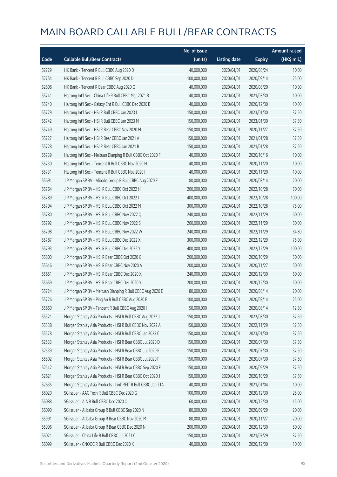|       |                                                              | No. of issue |                     |               | <b>Amount raised</b> |
|-------|--------------------------------------------------------------|--------------|---------------------|---------------|----------------------|
| Code  | <b>Callable Bull/Bear Contracts</b>                          | (units)      | <b>Listing date</b> | <b>Expiry</b> | $(HK$$ mil.)         |
| 52729 | HK Bank - Tencent R Bull CBBC Aug 2020 D                     | 40,000,000   | 2020/04/01          | 2020/08/24    | 10.00                |
| 52754 | HK Bank - Tencent R Bull CBBC Sep 2020 D                     | 100,000,000  | 2020/04/01          | 2020/09/14    | 25.00                |
| 52808 | HK Bank - Tencent R Bear CBBC Aug 2020 Q                     | 40,000,000   | 2020/04/01          | 2020/08/20    | 10.00                |
| 55741 | Haitong Int'l Sec - China Life R Bull CBBC Mar 2021 B        | 40,000,000   | 2020/04/01          | 2021/03/30    | 10.00                |
| 55740 | Haitong Int'l Sec - Galaxy Ent R Bull CBBC Dec 2020 B        | 40,000,000   | 2020/04/01          | 2020/12/30    | 10.00                |
| 55729 | Haitong Int'l Sec - HSI R Bull CBBC Jan 2023 L               | 150,000,000  | 2020/04/01          | 2023/01/30    | 37.50                |
| 55742 | Haitong Int'l Sec - HSI R Bull CBBC Jan 2023 M               | 150,000,000  | 2020/04/01          | 2023/01/30    | 37.50                |
| 55749 | Haitong Int'l Sec - HSI R Bear CBBC Nov 2020 M               | 150,000,000  | 2020/04/01          | 2020/11/27    | 37.50                |
| 55727 | Haitong Int'l Sec - HSI R Bear CBBC Jan 2021 A               | 150,000,000  | 2020/04/01          | 2021/01/28    | 37.50                |
| 55728 | Haitong Int'l Sec - HSI R Bear CBBC Jan 2021 B               | 150,000,000  | 2020/04/01          | 2021/01/28    | 37.50                |
| 55739 | Haitong Int'l Sec - Meituan Dianping R Bull CBBC Oct 2020 F  | 40,000,000   | 2020/04/01          | 2020/10/16    | 10.00                |
| 55730 | Haitong Int'l Sec - Tencent R Bull CBBC Nov 2020 H           | 40,000,000   | 2020/04/01          | 2020/11/20    | 10.00                |
| 55731 | Haitong Int'l Sec - Tencent R Bull CBBC Nov 2020 I           | 40,000,000   | 2020/04/01          | 2020/11/20    | 10.00                |
| 55691 | J P Morgan SP BV - Alibaba Group R Bull CBBC Aug 2020 E      | 80,000,000   | 2020/04/01          | 2020/08/14    | 20.00                |
| 55764 | J P Morgan SP BV - HSI R Bull CBBC Oct 2022 H                | 200,000,000  | 2020/04/01          | 2022/10/28    | 50.00                |
| 55789 | J P Morgan SP BV - HSI R Bull CBBC Oct 2022 I                | 400,000,000  | 2020/04/01          | 2022/10/28    | 100.00               |
| 55794 | J P Morgan SP BV - HSI R Bull CBBC Oct 2022 M                | 300,000,000  | 2020/04/01          | 2022/10/28    | 75.00                |
| 55780 | J P Morgan SP BV - HSI R Bull CBBC Nov 2022 Q                | 240,000,000  | 2020/04/01          | 2022/11/29    | 60.00                |
| 55792 | J P Morgan SP BV - HSI R Bull CBBC Nov 2022 S                | 200,000,000  | 2020/04/01          | 2022/11/29    | 50.00                |
| 55798 | J P Morgan SP BV - HSI R Bull CBBC Nov 2022 W                | 240,000,000  | 2020/04/01          | 2022/11/29    | 64.80                |
| 55787 | J P Morgan SP BV - HSI R Bull CBBC Dec 2022 X                | 300,000,000  | 2020/04/01          | 2022/12/29    | 75.00                |
| 55793 | J P Morgan SP BV - HSI R Bull CBBC Dec 2022 Y                | 400,000,000  | 2020/04/01          | 2022/12/29    | 100.00               |
| 55800 | J P Morgan SP BV - HSI R Bear CBBC Oct 2020 G                | 200,000,000  | 2020/04/01          | 2020/10/29    | 50.00                |
| 55646 | J P Morgan SP BV - HSI R Bear CBBC Nov 2020 A                | 200,000,000  | 2020/04/01          | 2020/11/27    | 50.00                |
| 55651 | J P Morgan SP BV - HSI R Bear CBBC Dec 2020 X                | 240,000,000  | 2020/04/01          | 2020/12/30    | 60.00                |
| 55659 | J P Morgan SP BV - HSI R Bear CBBC Dec 2020 Y                | 200,000,000  | 2020/04/01          | 2020/12/30    | 50.00                |
| 55724 | J P Morgan SP BV - Meituan Dianping R Bull CBBC Aug 2020 E   | 80,000,000   | 2020/04/01          | 2020/08/14    | 20.00                |
| 55726 | J P Morgan SP BV - Ping An R Bull CBBC Aug 2020 E            | 100,000,000  | 2020/04/01          | 2020/08/14    | 25.00                |
| 55660 | J P Morgan SP BV - Tencent R Bull CBBC Aug 2020 I            | 50,000,000   | 2020/04/01          | 2020/08/14    | 12.50                |
| 55521 | Morgan Stanley Asia Products - HSI R Bull CBBC Aug 2022 J    | 150,000,000  | 2020/04/01          | 2022/08/30    | 37.50                |
| 55538 | Morgan Stanley Asia Products - HSI R Bull CBBC Nov 2022 A    | 150,000,000  | 2020/04/01          | 2022/11/29    | 37.50                |
| 55578 | Morgan Stanley Asia Products - HSI R Bull CBBC Jan 2023 C    | 150,000,000  | 2020/04/01          | 2023/01/30    | 37.50                |
| 52533 | Morgan Stanley Asia Products - HSI R Bear CBBC Jul 2020 D    | 150,000,000  | 2020/04/01          | 2020/07/30    | 37.50                |
| 52539 | Morgan Stanley Asia Products - HSI R Bear CBBC Jul 2020 E    | 150,000,000  | 2020/04/01          | 2020/07/30    | 37.50                |
| 55502 | Morgan Stanley Asia Products - HSI R Bear CBBC Jul 2020 F    | 150,000,000  | 2020/04/01          | 2020/07/30    | 37.50                |
| 52542 | Morgan Stanley Asia Products - HSI R Bear CBBC Sep 2020 F    | 150,000,000  | 2020/04/01          | 2020/09/29    | 37.50                |
| 52621 | Morgan Stanley Asia Products - HSI R Bear CBBC Oct 2020 J    | 150,000,000  | 2020/04/01          | 2020/10/29    | 37.50                |
| 52635 | Morgan Stanley Asia Products - Link REIT R Bull CBBC Jan 21A | 40,000,000   | 2020/04/01          | 2021/01/04    | 10.00                |
| 56020 | SG Issuer - AAC Tech R Bull CBBC Dec 2020 G                  | 100,000,000  | 2020/04/01          | 2020/12/30    | 25.00                |
| 56088 | SG Issuer - AIA R Bull CBBC Dec 2020 O                       | 60,000,000   | 2020/04/01          | 2020/12/30    | 15.00                |
| 56090 | SG Issuer - Alibaba Group R Bull CBBC Sep 2020 N             | 80,000,000   | 2020/04/01          | 2020/09/29    | 20.00                |
| 55991 | SG Issuer - Alibaba Group R Bear CBBC Nov 2020 M             | 80,000,000   | 2020/04/01          | 2020/11/27    | 20.00                |
| 55996 | SG Issuer - Alibaba Group R Bear CBBC Dec 2020 N             | 200,000,000  | 2020/04/01          | 2020/12/30    | 50.00                |
| 56021 | SG Issuer - China Life R Bull CBBC Jul 2021 C                | 150,000,000  | 2020/04/01          | 2021/07/29    | 37.50                |
| 56099 | SG Issuer - CNOOC R Bull CBBC Dec 2020 K                     | 40,000,000   | 2020/04/01          | 2020/12/30    | 10.00                |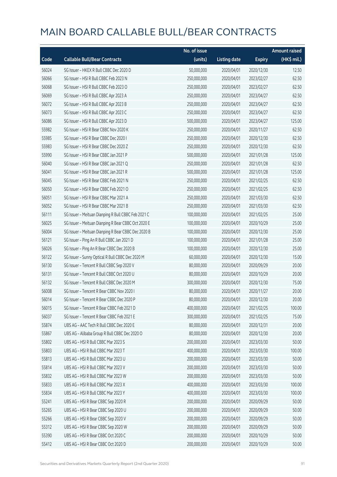|       |                                                     | No. of issue |                     |               | <b>Amount raised</b> |
|-------|-----------------------------------------------------|--------------|---------------------|---------------|----------------------|
| Code  | <b>Callable Bull/Bear Contracts</b>                 | (units)      | <b>Listing date</b> | <b>Expiry</b> | (HK\$ mil.)          |
| 56024 | SG Issuer - HKEX R Bull CBBC Dec 2020 D             | 50,000,000   | 2020/04/01          | 2020/12/30    | 12.50                |
| 56066 | SG Issuer - HSI R Bull CBBC Feb 2023 N              | 250,000,000  | 2020/04/01          | 2023/02/27    | 62.50                |
| 56068 | SG Issuer - HSI R Bull CBBC Feb 2023 O              | 250,000,000  | 2020/04/01          | 2023/02/27    | 62.50                |
| 56069 | SG Issuer - HSI R Bull CBBC Apr 2023 A              | 250,000,000  | 2020/04/01          | 2023/04/27    | 62.50                |
| 56072 | SG Issuer - HSI R Bull CBBC Apr 2023 B              | 250,000,000  | 2020/04/01          | 2023/04/27    | 62.50                |
| 56073 | SG Issuer - HSI R Bull CBBC Apr 2023 C              | 250,000,000  | 2020/04/01          | 2023/04/27    | 62.50                |
| 56086 | SG Issuer - HSI R Bull CBBC Apr 2023 D              | 500,000,000  | 2020/04/01          | 2023/04/27    | 125.00               |
| 55982 | SG Issuer - HSI R Bear CBBC Nov 2020 K              | 250,000,000  | 2020/04/01          | 2020/11/27    | 62.50                |
| 55985 | SG Issuer - HSI R Bear CBBC Dec 2020 I              | 250,000,000  | 2020/04/01          | 2020/12/30    | 62.50                |
| 55983 | SG Issuer - HSI R Bear CBBC Dec 2020 Z              | 250,000,000  | 2020/04/01          | 2020/12/30    | 62.50                |
| 55990 | SG Issuer - HSI R Bear CBBC Jan 2021 P              | 500,000,000  | 2020/04/01          | 2021/01/28    | 125.00               |
| 56040 | SG Issuer - HSI R Bear CBBC Jan 2021 Q              | 250,000,000  | 2020/04/01          | 2021/01/28    | 62.50                |
| 56041 | SG Issuer - HSI R Bear CBBC Jan 2021 R              | 500,000,000  | 2020/04/01          | 2021/01/28    | 125.00               |
| 56045 | SG Issuer - HSI R Bear CBBC Feb 2021 N              | 250,000,000  | 2020/04/01          | 2021/02/25    | 62.50                |
| 56050 | SG Issuer - HSI R Bear CBBC Feb 2021 O              | 250,000,000  | 2020/04/01          | 2021/02/25    | 62.50                |
| 56051 | SG Issuer - HSI R Bear CBBC Mar 2021 A              | 250,000,000  | 2020/04/01          | 2021/03/30    | 62.50                |
| 56052 | SG Issuer - HSI R Bear CBBC Mar 2021 B              | 250,000,000  | 2020/04/01          | 2021/03/30    | 62.50                |
| 56111 | SG Issuer - Meituan Dianping R Bull CBBC Feb 2021 C | 100,000,000  | 2020/04/01          | 2021/02/25    | 25.00                |
| 56025 | SG Issuer - Meituan Dianping R Bear CBBC Oct 2020 E | 100,000,000  | 2020/04/01          | 2020/10/29    | 25.00                |
| 56004 | SG Issuer - Meituan Dianping R Bear CBBC Dec 2020 B | 100,000,000  | 2020/04/01          | 2020/12/30    | 25.00                |
| 56121 | SG Issuer - Ping An R Bull CBBC Jan 2021 D          | 100,000,000  | 2020/04/01          | 2021/01/28    | 25.00                |
| 56026 | SG Issuer - Ping An R Bear CBBC Dec 2020 B          | 100,000,000  | 2020/04/01          | 2020/12/30    | 25.00                |
| 56122 | SG Issuer - Sunny Optical R Bull CBBC Dec 2020 M    | 60,000,000   | 2020/04/01          | 2020/12/30    | 15.00                |
| 56130 | SG Issuer - Tencent R Bull CBBC Sep 2020 V          | 80,000,000   | 2020/04/01          | 2020/09/29    | 20.00                |
| 56131 | SG Issuer - Tencent R Bull CBBC Oct 2020 U          | 80,000,000   | 2020/04/01          | 2020/10/29    | 20.00                |
| 56132 | SG Issuer - Tencent R Bull CBBC Dec 2020 M          | 300,000,000  | 2020/04/01          | 2020/12/30    | 75.00                |
| 56008 | SG Issuer - Tencent R Bear CBBC Nov 2020 I          | 80,000,000   | 2020/04/01          | 2020/11/27    | 20.00                |
| 56014 | SG Issuer – Tencent R Bear CBBC Dec 2020 P          | 80,000,000   | 2020/04/01          | 2020/12/30    | 20.00                |
| 56015 | SG Issuer - Tencent R Bear CBBC Feb 2021 D          | 400,000,000  | 2020/04/01          | 2021/02/25    | 100.00               |
| 56037 | SG Issuer - Tencent R Bear CBBC Feb 2021 E          | 300,000,000  | 2020/04/01          | 2021/02/25    | 75.00                |
| 55874 | UBS AG - AAC Tech R Bull CBBC Dec 2020 E            | 80,000,000   | 2020/04/01          | 2020/12/31    | 20.00                |
| 55867 | UBS AG - Alibaba Group R Bull CBBC Dec 2020 O       | 80,000,000   | 2020/04/01          | 2020/12/30    | 20.00                |
| 55802 | UBS AG - HSI R Bull CBBC Mar 2023 S                 | 200,000,000  | 2020/04/01          | 2023/03/30    | 50.00                |
| 55803 | UBS AG - HSI R Bull CBBC Mar 2023 T                 | 400,000,000  | 2020/04/01          | 2023/03/30    | 100.00               |
| 55813 | UBS AG - HSI R Bull CBBC Mar 2023 U                 | 200,000,000  | 2020/04/01          | 2023/03/30    | 50.00                |
| 55814 | UBS AG - HSI R Bull CBBC Mar 2023 V                 | 200,000,000  | 2020/04/01          | 2023/03/30    | 50.00                |
| 55832 | UBS AG - HSI R Bull CBBC Mar 2023 W                 | 200,000,000  | 2020/04/01          | 2023/03/30    | 50.00                |
| 55833 | UBS AG - HSI R Bull CBBC Mar 2023 X                 | 400,000,000  | 2020/04/01          | 2023/03/30    | 100.00               |
| 55834 | UBS AG - HSI R Bull CBBC Mar 2023 Y                 | 400,000,000  | 2020/04/01          | 2023/03/30    | 100.00               |
| 55241 | UBS AG - HSI R Bear CBBC Sep 2020 R                 | 200,000,000  | 2020/04/01          | 2020/09/29    | 50.00                |
| 55265 | UBS AG - HSI R Bear CBBC Sep 2020 U                 | 200,000,000  | 2020/04/01          | 2020/09/29    | 50.00                |
| 55266 | UBS AG - HSI R Bear CBBC Sep 2020 V                 | 200,000,000  | 2020/04/01          | 2020/09/29    | 50.00                |
| 55312 | UBS AG - HSI R Bear CBBC Sep 2020 W                 | 200,000,000  | 2020/04/01          | 2020/09/29    | 50.00                |
| 55390 | UBS AG - HSI R Bear CBBC Oct 2020 C                 | 200,000,000  | 2020/04/01          | 2020/10/29    | 50.00                |
| 55412 | UBS AG - HSI R Bear CBBC Oct 2020 D                 | 200,000,000  | 2020/04/01          | 2020/10/29    | 50.00                |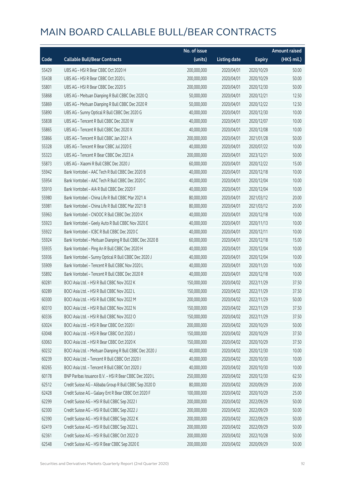|       |                                                          | No. of issue |                     |               | <b>Amount raised</b> |
|-------|----------------------------------------------------------|--------------|---------------------|---------------|----------------------|
| Code  | <b>Callable Bull/Bear Contracts</b>                      | (units)      | <b>Listing date</b> | <b>Expiry</b> | (HK\$ mil.)          |
| 55429 | UBS AG - HSI R Bear CBBC Oct 2020 H                      | 200,000,000  | 2020/04/01          | 2020/10/29    | 50.00                |
| 55438 | UBS AG - HSI R Bear CBBC Oct 2020 L                      | 200,000,000  | 2020/04/01          | 2020/10/29    | 50.00                |
| 55801 | UBS AG - HSI R Bear CBBC Dec 2020 S                      | 200,000,000  | 2020/04/01          | 2020/12/30    | 50.00                |
| 55868 | UBS AG - Meituan Dianping R Bull CBBC Dec 2020 Q         | 50,000,000   | 2020/04/01          | 2020/12/21    | 12.50                |
| 55869 | UBS AG - Meituan Dianping R Bull CBBC Dec 2020 R         | 50,000,000   | 2020/04/01          | 2020/12/22    | 12.50                |
| 55890 | UBS AG - Sunny Optical R Bull CBBC Dec 2020 G            | 40,000,000   | 2020/04/01          | 2020/12/30    | 10.00                |
| 55838 | UBS AG - Tencent R Bull CBBC Dec 2020 W                  | 40,000,000   | 2020/04/01          | 2020/12/07    | 10.00                |
| 55865 | UBS AG - Tencent R Bull CBBC Dec 2020 X                  | 40,000,000   | 2020/04/01          | 2020/12/08    | 10.00                |
| 55866 | UBS AG - Tencent R Bull CBBC Jan 2021 A                  | 200,000,000  | 2020/04/01          | 2021/01/28    | 50.00                |
| 55328 | UBS AG - Tencent R Bear CBBC Jul 2020 E                  | 40,000,000   | 2020/04/01          | 2020/07/22    | 10.00                |
| 55323 | UBS AG - Tencent R Bear CBBC Dec 2023 A                  | 200,000,000  | 2020/04/01          | 2023/12/21    | 50.00                |
| 55873 | UBS AG - Xiaomi R Bull CBBC Dec 2020 J                   | 60,000,000   | 2020/04/01          | 2020/12/22    | 15.00                |
| 55942 | Bank Vontobel - AAC Tech R Bull CBBC Dec 2020 B          | 40,000,000   | 2020/04/01          | 2020/12/18    | 10.00                |
| 55954 | Bank Vontobel - AAC Tech R Bull CBBC Dec 2020 C          | 40,000,000   | 2020/04/01          | 2020/12/04    | 10.00                |
| 55910 | Bank Vontobel - AIA R Bull CBBC Dec 2020 F               | 40,000,000   | 2020/04/01          | 2020/12/04    | 10.00                |
| 55980 | Bank Vontobel - China Life R Bull CBBC Mar 2021 A        | 80,000,000   | 2020/04/01          | 2021/03/12    | 20.00                |
| 55981 | Bank Vontobel - China Life R Bull CBBC Mar 2021 B        | 80,000,000   | 2020/04/01          | 2021/03/12    | 20.00                |
| 55963 | Bank Vontobel - CNOOC R Bull CBBC Dec 2020 K             | 40,000,000   | 2020/04/01          | 2020/12/18    | 10.00                |
| 55923 | Bank Vontobel - Geely Auto R Bull CBBC Nov 2020 E        | 40,000,000   | 2020/04/01          | 2020/11/13    | 10.00                |
| 55922 | Bank Vontobel - ICBC R Bull CBBC Dec 2020 C              | 40,000,000   | 2020/04/01          | 2020/12/11    | 10.00                |
| 55924 | Bank Vontobel - Meituan Dianping R Bull CBBC Dec 2020 B  | 60,000,000   | 2020/04/01          | 2020/12/18    | 15.00                |
| 55935 | Bank Vontobel - Ping An R Bull CBBC Dec 2020 H           | 40,000,000   | 2020/04/01          | 2020/12/04    | 10.00                |
| 55936 | Bank Vontobel - Sunny Optical R Bull CBBC Dec 2020 J     | 40,000,000   | 2020/04/01          | 2020/12/04    | 10.00                |
| 55909 | Bank Vontobel - Tencent R Bull CBBC Nov 2020 L           | 40,000,000   | 2020/04/01          | 2020/11/20    | 10.00                |
| 55892 | Bank Vontobel - Tencent R Bull CBBC Dec 2020 R           | 40,000,000   | 2020/04/01          | 2020/12/18    | 10.00                |
| 60281 | BOCI Asia Ltd. - HSI R Bull CBBC Nov 2022 K              | 150,000,000  | 2020/04/02          | 2022/11/29    | 37.50                |
| 60289 | BOCI Asia Ltd. - HSI R Bull CBBC Nov 2022 L              | 150,000,000  | 2020/04/02          | 2022/11/29    | 37.50                |
| 60300 | BOCI Asia Ltd. - HSI R Bull CBBC Nov 2022 M              | 200,000,000  | 2020/04/02          | 2022/11/29    | 50.00                |
| 60310 | BOCI Asia Ltd. - HSI R Bull CBBC Nov 2022 N              | 150,000,000  | 2020/04/02          | 2022/11/29    | 37.50                |
| 60336 | BOCI Asia Ltd. - HSI R Bull CBBC Nov 2022 O              | 150,000,000  | 2020/04/02          | 2022/11/29    | 37.50                |
| 63024 | BOCI Asia Ltd. - HSI R Bear CBBC Oct 2020 I              | 200,000,000  | 2020/04/02          | 2020/10/29    | 50.00                |
| 63048 | BOCI Asia Ltd. - HSI R Bear CBBC Oct 2020 J              | 150,000,000  | 2020/04/02          | 2020/10/29    | 37.50                |
| 63063 | BOCI Asia Ltd. - HSI R Bear CBBC Oct 2020 K              | 150,000,000  | 2020/04/02          | 2020/10/29    | 37.50                |
| 60232 | BOCI Asia Ltd. - Meituan Dianping R Bull CBBC Dec 2020 J | 40,000,000   | 2020/04/02          | 2020/12/30    | 10.00                |
| 60239 | BOCI Asia Ltd. - Tencent R Bull CBBC Oct 2020 I          | 40,000,000   | 2020/04/02          | 2020/10/30    | 10.00                |
| 60265 | BOCI Asia Ltd. - Tencent R Bull CBBC Oct 2020 J          | 40,000,000   | 2020/04/02          | 2020/10/30    | 10.00                |
| 60178 | BNP Paribas Issuance B.V. - HSI R Bear CBBC Dec 2020 L   | 250,000,000  | 2020/04/02          | 2020/12/30    | 62.50                |
| 62512 | Credit Suisse AG - Alibaba Group R Bull CBBC Sep 2020 D  | 80,000,000   | 2020/04/02          | 2020/09/29    | 20.00                |
| 62428 | Credit Suisse AG - Galaxy Ent R Bear CBBC Oct 2020 F     | 100,000,000  | 2020/04/02          | 2020/10/29    | 25.00                |
| 62299 | Credit Suisse AG - HSI R Bull CBBC Sep 2022 I            | 200,000,000  | 2020/04/02          | 2022/09/29    | 50.00                |
| 62300 | Credit Suisse AG - HSI R Bull CBBC Sep 2022 J            | 200,000,000  | 2020/04/02          | 2022/09/29    | 50.00                |
| 62390 | Credit Suisse AG - HSI R Bull CBBC Sep 2022 K            | 200,000,000  | 2020/04/02          | 2022/09/29    | 50.00                |
| 62419 | Credit Suisse AG - HSI R Bull CBBC Sep 2022 L            | 200,000,000  | 2020/04/02          | 2022/09/29    | 50.00                |
| 62361 | Credit Suisse AG - HSI R Bull CBBC Oct 2022 D            | 200,000,000  | 2020/04/02          | 2022/10/28    | 50.00                |
| 62548 | Credit Suisse AG - HSI R Bear CBBC Sep 2020 E            | 200,000,000  | 2020/04/02          | 2020/09/29    | 50.00                |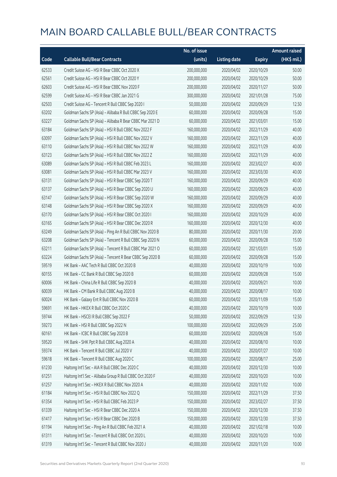|       |                                                          | No. of issue |                     |               | <b>Amount raised</b> |
|-------|----------------------------------------------------------|--------------|---------------------|---------------|----------------------|
| Code  | <b>Callable Bull/Bear Contracts</b>                      | (units)      | <b>Listing date</b> | <b>Expiry</b> | (HK\$ mil.)          |
| 62533 | Credit Suisse AG - HSI R Bear CBBC Oct 2020 X            | 200,000,000  | 2020/04/02          | 2020/10/29    | 50.00                |
| 62561 | Credit Suisse AG - HSI R Bear CBBC Oct 2020 Y            | 200,000,000  | 2020/04/02          | 2020/10/29    | 50.00                |
| 62603 | Credit Suisse AG - HSI R Bear CBBC Nov 2020 F            | 200,000,000  | 2020/04/02          | 2020/11/27    | 50.00                |
| 62599 | Credit Suisse AG - HSI R Bear CBBC Jan 2021 G            | 300,000,000  | 2020/04/02          | 2021/01/28    | 75.00                |
| 62503 | Credit Suisse AG - Tencent R Bull CBBC Sep 2020 I        | 50,000,000   | 2020/04/02          | 2020/09/29    | 12.50                |
| 63202 | Goldman Sachs SP (Asia) - Alibaba R Bull CBBC Sep 2020 E | 60,000,000   | 2020/04/02          | 2020/09/28    | 15.00                |
| 63227 | Goldman Sachs SP (Asia) - Alibaba R Bear CBBC Mar 2021 D | 60,000,000   | 2020/04/02          | 2021/03/01    | 15.00                |
| 63184 | Goldman Sachs SP (Asia) - HSI R Bull CBBC Nov 2022 F     | 160,000,000  | 2020/04/02          | 2022/11/29    | 40.00                |
| 63097 | Goldman Sachs SP (Asia) - HSI R Bull CBBC Nov 2022 V     | 160,000,000  | 2020/04/02          | 2022/11/29    | 40.00                |
| 63110 | Goldman Sachs SP (Asia) - HSI R Bull CBBC Nov 2022 W     | 160,000,000  | 2020/04/02          | 2022/11/29    | 40.00                |
| 63123 | Goldman Sachs SP (Asia) - HSI R Bull CBBC Nov 2022 Z     | 160,000,000  | 2020/04/02          | 2022/11/29    | 40.00                |
| 63089 | Goldman Sachs SP (Asia) - HSI R Bull CBBC Feb 2023 L     | 160,000,000  | 2020/04/02          | 2023/02/27    | 40.00                |
| 63081 | Goldman Sachs SP (Asia) - HSI R Bull CBBC Mar 2023 V     | 160,000,000  | 2020/04/02          | 2023/03/30    | 40.00                |
| 63131 | Goldman Sachs SP (Asia) - HSI R Bear CBBC Sep 2020 T     | 160,000,000  | 2020/04/02          | 2020/09/29    | 40.00                |
| 63137 | Goldman Sachs SP (Asia) - HSI R Bear CBBC Sep 2020 U     | 160,000,000  | 2020/04/02          | 2020/09/29    | 40.00                |
| 63147 | Goldman Sachs SP (Asia) - HSI R Bear CBBC Sep 2020 W     | 160,000,000  | 2020/04/02          | 2020/09/29    | 40.00                |
| 63148 | Goldman Sachs SP (Asia) - HSI R Bear CBBC Sep 2020 X     | 160,000,000  | 2020/04/02          | 2020/09/29    | 40.00                |
| 63170 | Goldman Sachs SP (Asia) - HSI R Bear CBBC Oct 2020 I     | 160,000,000  | 2020/04/02          | 2020/10/29    | 40.00                |
| 63165 | Goldman Sachs SP (Asia) - HSI R Bear CBBC Dec 2020 R     | 160,000,000  | 2020/04/02          | 2020/12/30    | 40.00                |
| 63249 | Goldman Sachs SP (Asia) - Ping An R Bull CBBC Nov 2020 B | 80,000,000   | 2020/04/02          | 2020/11/30    | 20.00                |
| 63208 | Goldman Sachs SP (Asia) - Tencent R Bull CBBC Sep 2020 N | 60,000,000   | 2020/04/02          | 2020/09/28    | 15.00                |
| 63211 | Goldman Sachs SP (Asia) - Tencent R Bull CBBC Mar 2021 O | 60,000,000   | 2020/04/02          | 2021/03/01    | 15.00                |
| 63224 | Goldman Sachs SP (Asia) - Tencent R Bear CBBC Sep 2020 B | 60,000,000   | 2020/04/02          | 2020/09/28    | 15.00                |
| 59519 | HK Bank - AAC Tech R Bull CBBC Oct 2020 B                | 40,000,000   | 2020/04/02          | 2020/10/19    | 10.00                |
| 60155 | HK Bank - CC Bank R Bull CBBC Sep 2020 B                 | 60,000,000   | 2020/04/02          | 2020/09/28    | 15.00                |
| 60006 | HK Bank - China Life R Bull CBBC Sep 2020 B              | 40,000,000   | 2020/04/02          | 2020/09/21    | 10.00                |
| 60039 | HK Bank - CM Bank R Bull CBBC Aug 2020 B                 | 40,000,000   | 2020/04/02          | 2020/08/17    | 10.00                |
| 60024 | HK Bank - Galaxy Ent R Bull CBBC Nov 2020 B              | 60,000,000   | 2020/04/02          | 2020/11/09    | 15.00                |
| 59691 | HK Bank - HKEX R Bull CBBC Oct 2020 C                    | 40,000,000   | 2020/04/02          | 2020/10/19    | 10.00                |
| 59744 | HK Bank - HSCEI R Bull CBBC Sep 2022 F                   | 50,000,000   | 2020/04/02          | 2022/09/29    | 12.50                |
| 59273 | HK Bank - HSI R Bull CBBC Sep 2022 N                     | 100,000,000  | 2020/04/02          | 2022/09/29    | 25.00                |
| 60161 | HK Bank - ICBC R Bull CBBC Sep 2020 B                    | 60,000,000   | 2020/04/02          | 2020/09/28    | 15.00                |
| 59520 | HK Bank - SHK Ppt R Bull CBBC Aug 2020 A                 | 40,000,000   | 2020/04/02          | 2020/08/10    | 10.00                |
| 59374 | HK Bank - Tencent R Bull CBBC Jul 2020 V                 | 40,000,000   | 2020/04/02          | 2020/07/27    | 10.00                |
| 59618 | HK Bank - Tencent R Bull CBBC Aug 2020 C                 | 100,000,000  | 2020/04/02          | 2020/08/17    | 25.00                |
| 61230 | Haitong Int'l Sec - AIA R Bull CBBC Dec 2020 C           | 40,000,000   | 2020/04/02          | 2020/12/30    | 10.00                |
| 61251 | Haitong Int'l Sec - Alibaba Group R Bull CBBC Oct 2020 F | 40,000,000   | 2020/04/02          | 2020/10/20    | 10.00                |
| 61257 | Haitong Int'l Sec - HKEX R Bull CBBC Nov 2020 A          | 40,000,000   | 2020/04/02          | 2020/11/02    | 10.00                |
| 61184 | Haitong Int'l Sec - HSI R Bull CBBC Nov 2022 Q           | 150,000,000  | 2020/04/02          | 2022/11/29    | 37.50                |
| 61354 | Haitong Int'l Sec - HSI R Bull CBBC Feb 2023 P           | 150,000,000  | 2020/04/02          | 2023/02/27    | 37.50                |
| 61339 | Haitong Int'l Sec - HSI R Bear CBBC Dec 2020 A           | 150,000,000  | 2020/04/02          | 2020/12/30    | 37.50                |
| 61417 | Haitong Int'l Sec - HSI R Bear CBBC Dec 2020 B           | 150,000,000  | 2020/04/02          | 2020/12/30    | 37.50                |
| 61194 | Haitong Int'l Sec - Ping An R Bull CBBC Feb 2021 A       | 40,000,000   | 2020/04/02          | 2021/02/18    | 10.00                |
| 61311 | Haitong Int'l Sec - Tencent R Bull CBBC Oct 2020 L       | 40,000,000   | 2020/04/02          | 2020/10/20    | 10.00                |
| 61319 | Haitong Int'l Sec - Tencent R Bull CBBC Nov 2020 J       | 40,000,000   | 2020/04/02          | 2020/11/20    | 10.00                |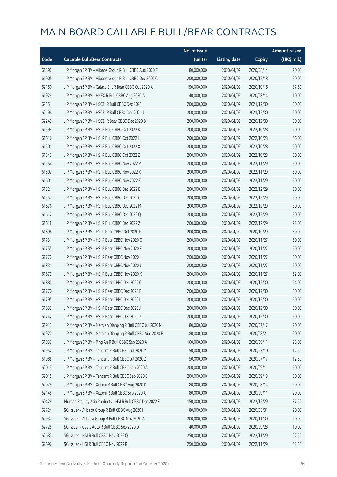|       |                                                            | No. of issue |                     |               | Amount raised |
|-------|------------------------------------------------------------|--------------|---------------------|---------------|---------------|
| Code  | <b>Callable Bull/Bear Contracts</b>                        | (units)      | <b>Listing date</b> | <b>Expiry</b> | (HK\$ mil.)   |
| 61892 | J P Morgan SP BV - Alibaba Group R Bull CBBC Aug 2020 F    | 80,000,000   | 2020/04/02          | 2020/08/14    | 20.00         |
| 61905 | J P Morgan SP BV - Alibaba Group R Bull CBBC Dec 2020 C    | 200,000,000  | 2020/04/02          | 2020/12/18    | 50.00         |
| 62150 | J P Morgan SP BV - Galaxy Ent R Bear CBBC Oct 2020 A       | 150,000,000  | 2020/04/02          | 2020/10/16    | 37.50         |
| 61929 | J P Morgan SP BV - HKEX R Bull CBBC Aug 2020 A             | 40,000,000   | 2020/04/02          | 2020/08/14    | 10.00         |
| 62151 | J P Morgan SP BV - HSCEI R Bull CBBC Dec 2021 I            | 200,000,000  | 2020/04/02          | 2021/12/30    | 50.00         |
| 62198 | J P Morgan SP BV - HSCEI R Bull CBBC Dec 2021 J            | 200,000,000  | 2020/04/02          | 2021/12/30    | 50.00         |
| 62249 | J P Morgan SP BV - HSCEI R Bear CBBC Dec 2020 B            | 200,000,000  | 2020/04/02          | 2020/12/30    | 50.00         |
| 61599 | J P Morgan SP BV - HSI R Bull CBBC Oct 2022 K              | 200,000,000  | 2020/04/02          | 2022/10/28    | 50.00         |
| 61616 | J P Morgan SP BV - HSI R Bull CBBC Oct 2022 L              | 200,000,000  | 2020/04/02          | 2022/10/28    | 66.00         |
| 61501 | J P Morgan SP BV - HSI R Bull CBBC Oct 2022 X              | 200,000,000  | 2020/04/02          | 2022/10/28    | 50.00         |
| 61543 | J P Morgan SP BV - HSI R Bull CBBC Oct 2022 Z              | 200,000,000  | 2020/04/02          | 2022/10/28    | 50.00         |
| 61554 | J P Morgan SP BV - HSI R Bull CBBC Nov 2022 R              | 200,000,000  | 2020/04/02          | 2022/11/29    | 50.00         |
| 61502 | J P Morgan SP BV - HSI R Bull CBBC Nov 2022 X              | 200,000,000  | 2020/04/02          | 2022/11/29    | 50.00         |
| 61601 | J P Morgan SP BV - HSI R Bull CBBC Nov 2022 Z              | 200,000,000  | 2020/04/02          | 2022/11/29    | 50.00         |
| 61521 | J P Morgan SP BV - HSI R Bull CBBC Dec 2022 B              | 200,000,000  | 2020/04/02          | 2022/12/29    | 50.00         |
| 61557 | J P Morgan SP BV - HSI R Bull CBBC Dec 2022 C              | 200,000,000  | 2020/04/02          | 2022/12/29    | 50.00         |
| 61676 | J P Morgan SP BV - HSI R Bull CBBC Dec 2022 M              | 200,000,000  | 2020/04/02          | 2022/12/29    | 80.00         |
| 61612 | J P Morgan SP BV - HSI R Bull CBBC Dec 2022 Q              | 200,000,000  | 2020/04/02          | 2022/12/29    | 50.00         |
| 61618 | J P Morgan SP BV - HSI R Bull CBBC Dec 2022 Z              | 200,000,000  | 2020/04/02          | 2022/12/29    | 72.00         |
| 61698 | J P Morgan SP BV - HSI R Bear CBBC Oct 2020 H              | 200,000,000  | 2020/04/02          | 2020/10/29    | 50.00         |
| 61731 | J P Morgan SP BV - HSI R Bear CBBC Nov 2020 C              | 200,000,000  | 2020/04/02          | 2020/11/27    | 50.00         |
| 61755 | J P Morgan SP BV - HSI R Bear CBBC Nov 2020 F              | 200,000,000  | 2020/04/02          | 2020/11/27    | 50.00         |
| 61772 | J P Morgan SP BV - HSI R Bear CBBC Nov 2020 I              | 200,000,000  | 2020/04/02          | 2020/11/27    | 50.00         |
| 61831 | J P Morgan SP BV - HSI R Bear CBBC Nov 2020 J              | 200,000,000  | 2020/04/02          | 2020/11/27    | 50.00         |
| 61879 | J P Morgan SP BV - HSI R Bear CBBC Nov 2020 K              | 200,000,000  | 2020/04/02          | 2020/11/27    | 52.00         |
| 61883 | J P Morgan SP BV - HSI R Bear CBBC Dec 2020 C              | 200,000,000  | 2020/04/02          | 2020/12/30    | 54.00         |
| 61770 | J P Morgan SP BV - HSI R Bear CBBC Dec 2020 F              | 200,000,000  | 2020/04/02          | 2020/12/30    | 50.00         |
| 61795 | J P Morgan SP BV - HSI R Bear CBBC Dec 2020 I              | 200,000,000  | 2020/04/02          | 2020/12/30    | 50.00         |
| 61833 | J P Morgan SP BV - HSI R Bear CBBC Dec 2020 J              | 200,000,000  | 2020/04/02          | 2020/12/30    | 50.00         |
| 61742 | J P Morgan SP BV - HSI R Bear CBBC Dec 2020 Z              | 200,000,000  | 2020/04/02          | 2020/12/30    | 50.00         |
| 61913 | J P Morgan SP BV - Meituan Dianping R Bull CBBC Jul 2020 N | 80,000,000   | 2020/04/02          | 2020/07/17    | 20.00         |
| 61927 | J P Morgan SP BV - Meituan Dianping R Bull CBBC Aug 2020 F | 80,000,000   | 2020/04/02          | 2020/08/21    | 20.00         |
| 61937 | J P Morgan SP BV - Ping An R Bull CBBC Sep 2020 A          | 100,000,000  | 2020/04/02          | 2020/09/11    | 25.00         |
| 61952 | J P Morgan SP BV - Tencent R Bull CBBC Jul 2020 Y          | 50,000,000   | 2020/04/02          | 2020/07/10    | 12.50         |
| 61985 | J P Morgan SP BV - Tencent R Bull CBBC Jul 2020 Z          | 50,000,000   | 2020/04/02          | 2020/07/17    | 12.50         |
| 62013 | J P Morgan SP BV - Tencent R Bull CBBC Sep 2020 A          | 200,000,000  | 2020/04/02          | 2020/09/11    | 50.00         |
| 62015 | J P Morgan SP BV - Tencent R Bull CBBC Sep 2020 B          | 200,000,000  | 2020/04/02          | 2020/09/18    | 50.00         |
| 62079 | J P Morgan SP BV - Xiaomi R Bull CBBC Aug 2020 D           | 80,000,000   | 2020/04/02          | 2020/08/14    | 20.00         |
| 62148 | J P Morgan SP BV - Xiaomi R Bull CBBC Sep 2020 A           | 80,000,000   | 2020/04/02          | 2020/09/11    | 20.00         |
| 60429 | Morgan Stanley Asia Products - HSI R Bull CBBC Dec 2022 F  | 150,000,000  | 2020/04/02          | 2022/12/29    | 37.50         |
| 62724 | SG Issuer - Alibaba Group R Bull CBBC Aug 2020 I           | 80,000,000   | 2020/04/02          | 2020/08/31    | 20.00         |
| 62937 | SG Issuer - Alibaba Group R Bull CBBC Nov 2020 A           | 200,000,000  | 2020/04/02          | 2020/11/30    | 50.00         |
| 62725 | SG Issuer - Geely Auto R Bull CBBC Sep 2020 D              | 40,000,000   | 2020/04/02          | 2020/09/28    | 10.00         |
| 62683 | SG Issuer - HSI R Bull CBBC Nov 2022 Q                     | 250,000,000  | 2020/04/02          | 2022/11/29    | 62.50         |
| 62696 | SG Issuer - HSI R Bull CBBC Nov 2022 R                     | 250,000,000  | 2020/04/02          | 2022/11/29    | 62.50         |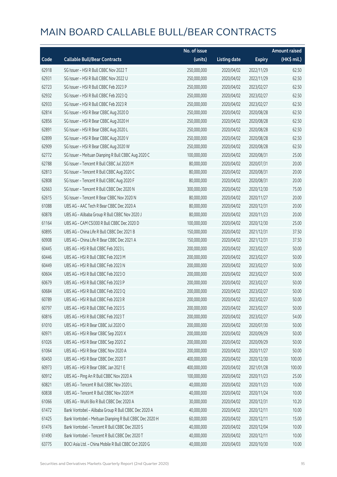|       |                                                         | No. of issue |                     |               | <b>Amount raised</b> |
|-------|---------------------------------------------------------|--------------|---------------------|---------------|----------------------|
| Code  | <b>Callable Bull/Bear Contracts</b>                     | (units)      | <b>Listing date</b> | <b>Expiry</b> | (HK\$ mil.)          |
| 62918 | SG Issuer - HSI R Bull CBBC Nov 2022 T                  | 250,000,000  | 2020/04/02          | 2022/11/29    | 62.50                |
| 62931 | SG Issuer - HSI R Bull CBBC Nov 2022 U                  | 250,000,000  | 2020/04/02          | 2022/11/29    | 62.50                |
| 62723 | SG Issuer - HSI R Bull CBBC Feb 2023 P                  | 250,000,000  | 2020/04/02          | 2023/02/27    | 62.50                |
| 62932 | SG Issuer - HSI R Bull CBBC Feb 2023 Q                  | 250,000,000  | 2020/04/02          | 2023/02/27    | 62.50                |
| 62933 | SG Issuer - HSI R Bull CBBC Feb 2023 R                  | 250,000,000  | 2020/04/02          | 2023/02/27    | 62.50                |
| 62814 | SG Issuer - HSI R Bear CBBC Aug 2020 D                  | 250,000,000  | 2020/04/02          | 2020/08/28    | 62.50                |
| 62856 | SG Issuer - HSI R Bear CBBC Aug 2020 H                  | 250,000,000  | 2020/04/02          | 2020/08/28    | 62.50                |
| 62891 | SG Issuer - HSI R Bear CBBC Aug 2020 L                  | 250,000,000  | 2020/04/02          | 2020/08/28    | 62.50                |
| 62899 | SG Issuer - HSI R Bear CBBC Aug 2020 V                  | 250,000,000  | 2020/04/02          | 2020/08/28    | 62.50                |
| 62909 | SG Issuer - HSI R Bear CBBC Aug 2020 W                  | 250,000,000  | 2020/04/02          | 2020/08/28    | 62.50                |
| 62772 | SG Issuer - Meituan Dianping R Bull CBBC Aug 2020 C     | 100,000,000  | 2020/04/02          | 2020/08/31    | 25.00                |
| 62788 | SG Issuer - Tencent R Bull CBBC Jul 2020 M              | 80,000,000   | 2020/04/02          | 2020/07/31    | 20.00                |
| 62813 | SG Issuer - Tencent R Bull CBBC Aug 2020 C              | 80,000,000   | 2020/04/02          | 2020/08/31    | 20.00                |
| 62808 | SG Issuer - Tencent R Bull CBBC Aug 2020 F              | 80,000,000   | 2020/04/02          | 2020/08/31    | 20.00                |
| 62663 | SG Issuer - Tencent R Bull CBBC Dec 2020 N              | 300,000,000  | 2020/04/02          | 2020/12/30    | 75.00                |
| 62615 | SG Issuer - Tencent R Bear CBBC Nov 2020 N              | 80,000,000   | 2020/04/02          | 2020/11/27    | 20.00                |
| 61088 | UBS AG - AAC Tech R Bear CBBC Dec 2020 A                | 80,000,000   | 2020/04/02          | 2020/12/31    | 20.00                |
| 60878 | UBS AG - Alibaba Group R Bull CBBC Nov 2020 J           | 80,000,000   | 2020/04/02          | 2020/11/23    | 20.00                |
| 61164 | UBS AG - CAM CSI300 R Bull CBBC Dec 2020 D              | 100,000,000  | 2020/04/02          | 2020/12/30    | 25.00                |
| 60895 | UBS AG - China Life R Bull CBBC Dec 2021 B              | 150,000,000  | 2020/04/02          | 2021/12/31    | 37.50                |
| 60908 | UBS AG - China Life R Bear CBBC Dec 2021 A              | 150,000,000  | 2020/04/02          | 2021/12/31    | 37.50                |
| 60445 | UBS AG - HSI R Bull CBBC Feb 2023 L                     | 200,000,000  | 2020/04/02          | 2023/02/27    | 50.00                |
| 60446 | UBS AG - HSI R Bull CBBC Feb 2023 M                     | 200,000,000  | 2020/04/02          | 2023/02/27    | 50.00                |
| 60449 | UBS AG - HSI R Bull CBBC Feb 2023 N                     | 200,000,000  | 2020/04/02          | 2023/02/27    | 50.00                |
| 60604 | UBS AG - HSI R Bull CBBC Feb 2023 O                     | 200,000,000  | 2020/04/02          | 2023/02/27    | 50.00                |
| 60679 | UBS AG - HSI R Bull CBBC Feb 2023 P                     | 200,000,000  | 2020/04/02          | 2023/02/27    | 50.00                |
| 60684 | UBS AG - HSI R Bull CBBC Feb 2023 Q                     | 200,000,000  | 2020/04/02          | 2023/02/27    | 50.00                |
| 60789 | UBS AG - HSI R Bull CBBC Feb 2023 R                     | 200,000,000  | 2020/04/02          | 2023/02/27    | 50.00                |
| 60797 | UBS AG - HSI R Bull CBBC Feb 2023 S                     | 200,000,000  | 2020/04/02          | 2023/02/27    | 50.00                |
| 60816 | UBS AG - HSI R Bull CBBC Feb 2023 T                     | 200,000,000  | 2020/04/02          | 2023/02/27    | 54.00                |
| 61010 | UBS AG - HSI R Bear CBBC Jul 2020 O                     | 200,000,000  | 2020/04/02          | 2020/07/30    | 50.00                |
| 60971 | UBS AG - HSI R Bear CBBC Sep 2020 X                     | 200,000,000  | 2020/04/02          | 2020/09/29    | 50.00                |
| 61026 | UBS AG - HSI R Bear CBBC Sep 2020 Z                     | 200,000,000  | 2020/04/02          | 2020/09/29    | 50.00                |
| 61064 | UBS AG - HSI R Bear CBBC Nov 2020 A                     | 200,000,000  | 2020/04/02          | 2020/11/27    | 50.00                |
| 60450 | UBS AG - HSI R Bear CBBC Dec 2020 T                     | 400,000,000  | 2020/04/02          | 2020/12/30    | 100.00               |
| 60973 | UBS AG - HSI R Bear CBBC Jan 2021 E                     | 400,000,000  | 2020/04/02          | 2021/01/28    | 100.00               |
| 60912 | UBS AG - Ping An R Bull CBBC Nov 2020 A                 | 100,000,000  | 2020/04/02          | 2020/11/23    | 25.00                |
| 60821 | UBS AG - Tencent R Bull CBBC Nov 2020 L                 | 40,000,000   | 2020/04/02          | 2020/11/23    | 10.00                |
| 60838 | UBS AG - Tencent R Bull CBBC Nov 2020 M                 | 40,000,000   | 2020/04/02          | 2020/11/24    | 10.00                |
| 61066 | UBS AG - WuXi Bio R Bull CBBC Dec 2020 A                | 30,000,000   | 2020/04/02          | 2020/12/31    | 10.20                |
| 61472 | Bank Vontobel - Alibaba Group R Bull CBBC Dec 2020 A    | 40,000,000   | 2020/04/02          | 2020/12/11    | 10.00                |
| 61425 | Bank Vontobel - Meituan Dianping R Bull CBBC Dec 2020 H | 60,000,000   | 2020/04/02          | 2020/12/11    | 15.00                |
| 61476 | Bank Vontobel - Tencent R Bull CBBC Dec 2020 S          | 40,000,000   | 2020/04/02          | 2020/12/04    | 10.00                |
| 61490 | Bank Vontobel - Tencent R Bull CBBC Dec 2020 T          | 40,000,000   | 2020/04/02          | 2020/12/11    | 10.00                |
| 63775 | BOCI Asia Ltd. - China Mobile R Bull CBBC Oct 2020 G    | 40,000,000   | 2020/04/03          | 2020/10/30    | 10.00                |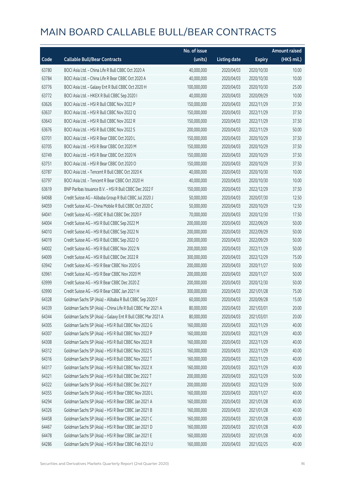|       |                                                             | No. of issue |                     |               | <b>Amount raised</b> |
|-------|-------------------------------------------------------------|--------------|---------------------|---------------|----------------------|
| Code  | <b>Callable Bull/Bear Contracts</b>                         | (units)      | <b>Listing date</b> | <b>Expiry</b> | (HK\$ mil.)          |
| 63780 | BOCI Asia Ltd. - China Life R Bull CBBC Oct 2020 A          | 40,000,000   | 2020/04/03          | 2020/10/30    | 10.00                |
| 63784 | BOCI Asia Ltd. - China Life R Bear CBBC Oct 2020 A          | 40,000,000   | 2020/04/03          | 2020/10/30    | 10.00                |
| 63776 | BOCI Asia Ltd. - Galaxy Ent R Bull CBBC Oct 2020 H          | 100,000,000  | 2020/04/03          | 2020/10/30    | 25.00                |
| 63772 | BOCI Asia Ltd. - HKEX R Bull CBBC Sep 2020 I                | 40,000,000   | 2020/04/03          | 2020/09/29    | 10.00                |
| 63626 | BOCI Asia Ltd. - HSI R Bull CBBC Nov 2022 P                 | 150,000,000  | 2020/04/03          | 2022/11/29    | 37.50                |
| 63637 | BOCI Asia Ltd. - HSI R Bull CBBC Nov 2022 Q                 | 150,000,000  | 2020/04/03          | 2022/11/29    | 37.50                |
| 63643 | BOCI Asia Ltd. - HSI R Bull CBBC Nov 2022 R                 | 150,000,000  | 2020/04/03          | 2022/11/29    | 37.50                |
| 63676 | BOCI Asia Ltd. - HSI R Bull CBBC Nov 2022 S                 | 200,000,000  | 2020/04/03          | 2022/11/29    | 50.00                |
| 63701 | BOCI Asia Ltd. - HSI R Bear CBBC Oct 2020 L                 | 150,000,000  | 2020/04/03          | 2020/10/29    | 37.50                |
| 63705 | BOCI Asia Ltd. - HSI R Bear CBBC Oct 2020 M                 | 150,000,000  | 2020/04/03          | 2020/10/29    | 37.50                |
| 63749 | BOCI Asia Ltd. - HSI R Bear CBBC Oct 2020 N                 | 150,000,000  | 2020/04/03          | 2020/10/29    | 37.50                |
| 63751 | BOCI Asia Ltd. - HSI R Bear CBBC Oct 2020 O                 | 150,000,000  | 2020/04/03          | 2020/10/29    | 37.50                |
| 63787 | BOCI Asia Ltd. - Tencent R Bull CBBC Oct 2020 K             | 40,000,000   | 2020/04/03          | 2020/10/30    | 10.00                |
| 63797 | BOCI Asia Ltd. - Tencent R Bear CBBC Oct 2020 H             | 40,000,000   | 2020/04/03          | 2020/10/30    | 10.00                |
| 63619 | BNP Paribas Issuance B.V. - HSI R Bull CBBC Dec 2022 F      | 150,000,000  | 2020/04/03          | 2022/12/29    | 37.50                |
| 64068 | Credit Suisse AG - Alibaba Group R Bull CBBC Jul 2020 J     | 50,000,000   | 2020/04/03          | 2020/07/30    | 12.50                |
| 64059 | Credit Suisse AG - China Mobile R Bull CBBC Oct 2020 C      | 50,000,000   | 2020/04/03          | 2020/10/29    | 12.50                |
| 64041 | Credit Suisse AG - HSBC R Bull CBBC Dec 2020 F              | 70,000,000   | 2020/04/03          | 2020/12/30    | 17.50                |
| 64004 | Credit Suisse AG - HSI R Bull CBBC Sep 2022 M               | 200,000,000  | 2020/04/03          | 2022/09/29    | 50.00                |
| 64010 | Credit Suisse AG - HSI R Bull CBBC Sep 2022 N               | 200,000,000  | 2020/04/03          | 2022/09/29    | 50.00                |
| 64019 | Credit Suisse AG - HSI R Bull CBBC Sep 2022 O               | 200,000,000  | 2020/04/03          | 2022/09/29    | 50.00                |
| 64002 | Credit Suisse AG - HSI R Bull CBBC Nov 2022 N               | 200,000,000  | 2020/04/03          | 2022/11/29    | 50.00                |
| 64009 | Credit Suisse AG - HSI R Bull CBBC Dec 2022 R               | 300,000,000  | 2020/04/03          | 2022/12/29    | 75.00                |
| 63942 | Credit Suisse AG - HSI R Bear CBBC Nov 2020 G               | 200,000,000  | 2020/04/03          | 2020/11/27    | 50.00                |
| 63961 | Credit Suisse AG - HSI R Bear CBBC Nov 2020 M               | 200,000,000  | 2020/04/03          | 2020/11/27    | 50.00                |
| 63999 | Credit Suisse AG - HSI R Bear CBBC Dec 2020 Z               | 200,000,000  | 2020/04/03          | 2020/12/30    | 50.00                |
| 63990 | Credit Suisse AG - HSI R Bear CBBC Jan 2021 H               | 300,000,000  | 2020/04/03          | 2021/01/28    | 75.00                |
| 64328 | Goldman Sachs SP (Asia) - Alibaba R Bull CBBC Sep 2020 F    | 60,000,000   | 2020/04/03          | 2020/09/28    | 15.00                |
| 64339 | Goldman Sachs SP (Asia) - China Life R Bull CBBC Mar 2021 A | 80,000,000   | 2020/04/03          | 2021/03/01    | 20.00                |
| 64344 | Goldman Sachs SP (Asia) - Galaxy Ent R Bull CBBC Mar 2021 A | 80,000,000   | 2020/04/03          | 2021/03/01    | 20.00                |
| 64305 | Goldman Sachs SP (Asia) - HSI R Bull CBBC Nov 2022 G        | 160,000,000  | 2020/04/03          | 2022/11/29    | 40.00                |
| 64307 | Goldman Sachs SP (Asia) - HSI R Bull CBBC Nov 2022 P        | 160,000,000  | 2020/04/03          | 2022/11/29    | 40.00                |
| 64308 | Goldman Sachs SP (Asia) - HSI R Bull CBBC Nov 2022 R        | 160,000,000  | 2020/04/03          | 2022/11/29    | 40.00                |
| 64312 | Goldman Sachs SP (Asia) - HSI R Bull CBBC Nov 2022 S        | 160,000,000  | 2020/04/03          | 2022/11/29    | 40.00                |
| 64316 | Goldman Sachs SP (Asia) - HSI R Bull CBBC Nov 2022 T        | 160,000,000  | 2020/04/03          | 2022/11/29    | 40.00                |
| 64317 | Goldman Sachs SP (Asia) - HSI R Bull CBBC Nov 2022 X        | 160,000,000  | 2020/04/03          | 2022/11/29    | 40.00                |
| 64321 | Goldman Sachs SP (Asia) - HSI R Bull CBBC Dec 2022 T        | 200,000,000  | 2020/04/03          | 2022/12/29    | 50.00                |
| 64322 | Goldman Sachs SP (Asia) - HSI R Bull CBBC Dec 2022 Y        | 200,000,000  | 2020/04/03          | 2022/12/29    | 50.00                |
| 64355 | Goldman Sachs SP (Asia) - HSI R Bear CBBC Nov 2020 L        | 160,000,000  | 2020/04/03          | 2020/11/27    | 40.00                |
| 64294 | Goldman Sachs SP (Asia) - HSI R Bear CBBC Jan 2021 A        | 160,000,000  | 2020/04/03          | 2021/01/28    | 40.00                |
| 64326 | Goldman Sachs SP (Asia) - HSI R Bear CBBC Jan 2021 B        | 160,000,000  | 2020/04/03          | 2021/01/28    | 40.00                |
| 64458 | Goldman Sachs SP (Asia) - HSI R Bear CBBC Jan 2021 C        | 160,000,000  | 2020/04/03          | 2021/01/28    | 40.00                |
| 64467 | Goldman Sachs SP (Asia) - HSI R Bear CBBC Jan 2021 D        | 160,000,000  | 2020/04/03          | 2021/01/28    | 40.00                |
| 64478 | Goldman Sachs SP (Asia) - HSI R Bear CBBC Jan 2021 E        | 160,000,000  | 2020/04/03          | 2021/01/28    | 40.00                |
| 64286 | Goldman Sachs SP (Asia) - HSI R Bear CBBC Feb 2021 U        | 160,000,000  | 2020/04/03          | 2021/02/25    | 40.00                |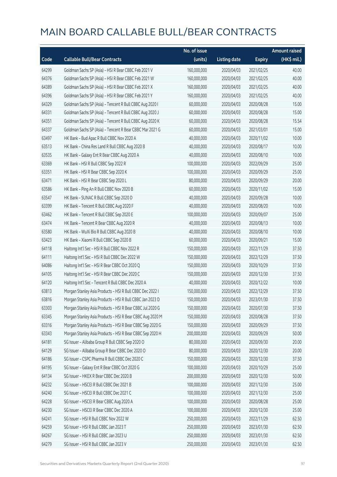|       |                                                           | No. of issue |                     |               | <b>Amount raised</b> |
|-------|-----------------------------------------------------------|--------------|---------------------|---------------|----------------------|
| Code  | <b>Callable Bull/Bear Contracts</b>                       | (units)      | <b>Listing date</b> | <b>Expiry</b> | (HK\$ mil.)          |
| 64299 | Goldman Sachs SP (Asia) - HSI R Bear CBBC Feb 2021 V      | 160,000,000  | 2020/04/03          | 2021/02/25    | 40.00                |
| 64376 | Goldman Sachs SP (Asia) - HSI R Bear CBBC Feb 2021 W      | 160,000,000  | 2020/04/03          | 2021/02/25    | 40.00                |
| 64389 | Goldman Sachs SP (Asia) - HSI R Bear CBBC Feb 2021 X      | 160,000,000  | 2020/04/03          | 2021/02/25    | 40.00                |
| 64396 | Goldman Sachs SP (Asia) - HSI R Bear CBBC Feb 2021 Y      | 160,000,000  | 2020/04/03          | 2021/02/25    | 40.00                |
| 64329 | Goldman Sachs SP (Asia) - Tencent R Bull CBBC Aug 2020 I  | 60,000,000   | 2020/04/03          | 2020/08/28    | 15.00                |
| 64331 | Goldman Sachs SP (Asia) - Tencent R Bull CBBC Aug 2020 J  | 60,000,000   | 2020/04/03          | 2020/08/28    | 15.00                |
| 64351 | Goldman Sachs SP (Asia) - Tencent R Bull CBBC Aug 2020 K  | 60,000,000   | 2020/04/03          | 2020/08/28    | 15.54                |
| 64337 | Goldman Sachs SP (Asia) - Tencent R Bear CBBC Mar 2021 G  | 60,000,000   | 2020/04/03          | 2021/03/01    | 15.00                |
| 63497 | HK Bank - Bud Apac R Bull CBBC Nov 2020 A                 | 40,000,000   | 2020/04/03          | 2020/11/02    | 10.00                |
| 63513 | HK Bank - China Res Land R Bull CBBC Aug 2020 B           | 40,000,000   | 2020/04/03          | 2020/08/17    | 10.00                |
| 63535 | HK Bank - Galaxy Ent R Bear CBBC Aug 2020 A               | 40,000,000   | 2020/04/03          | 2020/08/10    | 10.00                |
| 63369 | HK Bank - HSI R Bull CBBC Sep 2022 R                      | 100,000,000  | 2020/04/03          | 2022/09/29    | 25.00                |
| 63351 | HK Bank - HSI R Bear CBBC Sep 2020 K                      | 100,000,000  | 2020/04/03          | 2020/09/29    | 25.00                |
| 63471 | HK Bank - HSI R Bear CBBC Sep 2020 L                      | 80,000,000   | 2020/04/03          | 2020/09/29    | 20.00                |
| 63586 | HK Bank - Ping An R Bull CBBC Nov 2020 B                  | 60,000,000   | 2020/04/03          | 2020/11/02    | 15.00                |
| 63547 | HK Bank - SUNAC R Bull CBBC Sep 2020 D                    | 40,000,000   | 2020/04/03          | 2020/09/28    | 10.00                |
| 63399 | HK Bank - Tencent R Bull CBBC Aug 2020 F                  | 40,000,000   | 2020/04/03          | 2020/08/20    | 10.00                |
| 63462 | HK Bank - Tencent R Bull CBBC Sep 2020 E                  | 100,000,000  | 2020/04/03          | 2020/09/07    | 25.00                |
| 63474 | HK Bank - Tencent R Bear CBBC Aug 2020 R                  | 40,000,000   | 2020/04/03          | 2020/08/13    | 10.00                |
| 63580 | HK Bank - WuXi Bio R Bull CBBC Aug 2020 B                 | 40,000,000   | 2020/04/03          | 2020/08/10    | 10.00                |
| 63423 | HK Bank - Xiaomi R Bull CBBC Sep 2020 B                   | 60,000,000   | 2020/04/03          | 2020/09/21    | 15.00                |
| 64118 | Haitong Int'l Sec - HSI R Bull CBBC Nov 2022 R            | 150,000,000  | 2020/04/03          | 2022/11/29    | 37.50                |
| 64111 | Haitong Int'l Sec - HSI R Bull CBBC Dec 2022 W            | 150,000,000  | 2020/04/03          | 2022/12/29    | 37.50                |
| 64086 | Haitong Int'l Sec - HSI R Bear CBBC Oct 2020 Q            | 150,000,000  | 2020/04/03          | 2020/10/29    | 37.50                |
| 64105 | Haitong Int'l Sec - HSI R Bear CBBC Dec 2020 C            | 150,000,000  | 2020/04/03          | 2020/12/30    | 37.50                |
| 64120 | Haitong Int'l Sec - Tencent R Bull CBBC Dec 2020 A        | 40,000,000   | 2020/04/03          | 2020/12/22    | 10.00                |
| 63813 | Morgan Stanley Asia Products - HSI R Bull CBBC Dec 2022 I | 150,000,000  | 2020/04/03          | 2022/12/29    | 37.50                |
| 63816 | Morgan Stanley Asia Products - HSI R Bull CBBC Jan 2023 D | 150,000,000  | 2020/04/03          | 2023/01/30    | 37.50                |
| 63303 | Morgan Stanley Asia Products - HSI R Bear CBBC Jul 2020 G | 150,000,000  | 2020/04/03          | 2020/07/30    | 37.50                |
| 63345 | Morgan Stanley Asia Products - HSI R Bear CBBC Aug 2020 M | 150,000,000  | 2020/04/03          | 2020/08/28    | 37.50                |
| 63316 | Morgan Stanley Asia Products - HSI R Bear CBBC Sep 2020 G | 150,000,000  | 2020/04/03          | 2020/09/29    | 37.50                |
| 63343 | Morgan Stanley Asia Products - HSI R Bear CBBC Sep 2020 H | 200,000,000  | 2020/04/03          | 2020/09/29    | 50.00                |
| 64181 | SG Issuer - Alibaba Group R Bull CBBC Sep 2020 O          | 80,000,000   | 2020/04/03          | 2020/09/30    | 20.00                |
| 64129 | SG Issuer - Alibaba Group R Bear CBBC Dec 2020 O          | 80,000,000   | 2020/04/03          | 2020/12/30    | 20.00                |
| 64186 | SG Issuer - CSPC Pharma R Bull CBBC Dec 2020 C            | 150,000,000  | 2020/04/03          | 2020/12/30    | 37.50                |
| 64195 | SG Issuer - Galaxy Ent R Bear CBBC Oct 2020 G             | 100,000,000  | 2020/04/03          | 2020/10/29    | 25.00                |
| 64134 | SG Issuer - HKEX R Bear CBBC Dec 2020 B                   | 200,000,000  | 2020/04/03          | 2020/12/30    | 50.00                |
| 64232 | SG Issuer - HSCEI R Bull CBBC Dec 2021 B                  | 100,000,000  | 2020/04/03          | 2021/12/30    | 25.00                |
| 64240 | SG Issuer - HSCEI R Bull CBBC Dec 2021 C                  | 100,000,000  | 2020/04/03          | 2021/12/30    | 25.00                |
| 64228 | SG Issuer - HSCEI R Bear CBBC Aug 2020 A                  | 100,000,000  | 2020/04/03          | 2020/08/28    | 25.00                |
| 64230 | SG Issuer - HSCEI R Bear CBBC Dec 2020 A                  | 100,000,000  | 2020/04/03          | 2020/12/30    | 25.00                |
| 64241 | SG Issuer - HSI R Bull CBBC Nov 2022 W                    | 250,000,000  | 2020/04/03          | 2022/11/29    | 62.50                |
| 64259 | SG Issuer - HSI R Bull CBBC Jan 2023 T                    | 250,000,000  | 2020/04/03          | 2023/01/30    | 62.50                |
| 64267 | SG Issuer - HSI R Bull CBBC Jan 2023 U                    | 250,000,000  | 2020/04/03          | 2023/01/30    | 62.50                |
| 64279 | SG Issuer - HSI R Bull CBBC Jan 2023 V                    | 250,000,000  | 2020/04/03          | 2023/01/30    | 62.50                |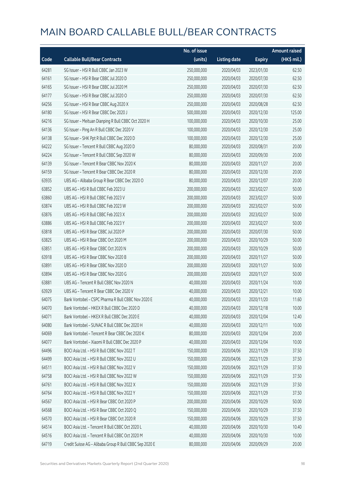|       |                                                         | No. of issue |                     |               | <b>Amount raised</b> |
|-------|---------------------------------------------------------|--------------|---------------------|---------------|----------------------|
| Code  | <b>Callable Bull/Bear Contracts</b>                     | (units)      | <b>Listing date</b> | <b>Expiry</b> | (HK\$ mil.)          |
| 64281 | SG Issuer - HSI R Bull CBBC Jan 2023 W                  | 250,000,000  | 2020/04/03          | 2023/01/30    | 62.50                |
| 64161 | SG Issuer - HSI R Bear CBBC Jul 2020 D                  | 250,000,000  | 2020/04/03          | 2020/07/30    | 62.50                |
| 64165 | SG Issuer - HSI R Bear CBBC Jul 2020 M                  | 250,000,000  | 2020/04/03          | 2020/07/30    | 62.50                |
| 64177 | SG Issuer - HSI R Bear CBBC Jul 2020 O                  | 250,000,000  | 2020/04/03          | 2020/07/30    | 62.50                |
| 64256 | SG Issuer - HSI R Bear CBBC Aug 2020 X                  | 250,000,000  | 2020/04/03          | 2020/08/28    | 62.50                |
| 64180 | SG Issuer - HSI R Bear CBBC Dec 2020 J                  | 500,000,000  | 2020/04/03          | 2020/12/30    | 125.00               |
| 64216 | SG Issuer - Meituan Dianping R Bull CBBC Oct 2020 H     | 100,000,000  | 2020/04/03          | 2020/10/30    | 25.00                |
| 64136 | SG Issuer - Ping An R Bull CBBC Dec 2020 V              | 100,000,000  | 2020/04/03          | 2020/12/30    | 25.00                |
| 64138 | SG Issuer - SHK Ppt R Bull CBBC Dec 2020 D              | 100,000,000  | 2020/04/03          | 2020/12/30    | 25.00                |
| 64222 | SG Issuer - Tencent R Bull CBBC Aug 2020 D              | 80,000,000   | 2020/04/03          | 2020/08/31    | 20.00                |
| 64224 | SG Issuer - Tencent R Bull CBBC Sep 2020 W              | 80,000,000   | 2020/04/03          | 2020/09/30    | 20.00                |
| 64139 | SG Issuer - Tencent R Bear CBBC Nov 2020 K              | 80,000,000   | 2020/04/03          | 2020/11/27    | 20.00                |
| 64159 | SG Issuer - Tencent R Bear CBBC Dec 2020 R              | 80,000,000   | 2020/04/03          | 2020/12/30    | 20.00                |
| 63935 | UBS AG - Alibaba Group R Bear CBBC Dec 2020 O           | 80,000,000   | 2020/04/03          | 2020/12/07    | 20.00                |
| 63852 | UBS AG - HSI R Bull CBBC Feb 2023 U                     | 200,000,000  | 2020/04/03          | 2023/02/27    | 50.00                |
| 63860 | UBS AG - HSI R Bull CBBC Feb 2023 V                     | 200,000,000  | 2020/04/03          | 2023/02/27    | 50.00                |
| 63874 | UBS AG - HSI R Bull CBBC Feb 2023 W                     | 200,000,000  | 2020/04/03          | 2023/02/27    | 50.00                |
| 63876 | UBS AG - HSI R Bull CBBC Feb 2023 X                     | 200,000,000  | 2020/04/03          | 2023/02/27    | 50.00                |
| 63886 | UBS AG - HSI R Bull CBBC Feb 2023 Y                     | 200,000,000  | 2020/04/03          | 2023/02/27    | 50.00                |
| 63818 | UBS AG - HSI R Bear CBBC Jul 2020 P                     | 200,000,000  | 2020/04/03          | 2020/07/30    | 50.00                |
| 63825 | UBS AG - HSI R Bear CBBC Oct 2020 M                     | 200,000,000  | 2020/04/03          | 2020/10/29    | 50.00                |
| 63851 | UBS AG - HSI R Bear CBBC Oct 2020 N                     | 200,000,000  | 2020/04/03          | 2020/10/29    | 50.00                |
| 63918 | UBS AG - HSI R Bear CBBC Nov 2020 B                     | 200,000,000  | 2020/04/03          | 2020/11/27    | 50.00                |
| 63891 | UBS AG - HSI R Bear CBBC Nov 2020 D                     | 200,000,000  | 2020/04/03          | 2020/11/27    | 50.00                |
| 63894 | UBS AG - HSI R Bear CBBC Nov 2020 G                     | 200,000,000  | 2020/04/03          | 2020/11/27    | 50.00                |
| 63881 | UBS AG - Tencent R Bull CBBC Nov 2020 N                 | 40,000,000   | 2020/04/03          | 2020/11/24    | 10.00                |
| 63929 | UBS AG - Tencent R Bear CBBC Dec 2020 V                 | 40,000,000   | 2020/04/03          | 2020/12/21    | 10.00                |
| 64075 | Bank Vontobel – CSPC Pharma R Bull CBBC Nov 2020 E      | 40,000,000   | 2020/04/03          | 2020/11/20    | 11.60                |
| 64070 | Bank Vontobel - HKEX R Bull CBBC Dec 2020 D             | 40,000,000   | 2020/04/03          | 2020/12/18    | 10.00                |
| 64071 | Bank Vontobel - HKEX R Bull CBBC Dec 2020 E             | 40,000,000   | 2020/04/03          | 2020/12/04    | 12.40                |
| 64080 | Bank Vontobel - SUNAC R Bull CBBC Dec 2020 H            | 40,000,000   | 2020/04/03          | 2020/12/11    | 10.00                |
| 64069 | Bank Vontobel - Tencent R Bear CBBC Dec 2020 K          | 80,000,000   | 2020/04/03          | 2020/12/04    | 20.00                |
| 64077 | Bank Vontobel - Xiaomi R Bull CBBC Dec 2020 P           | 40,000,000   | 2020/04/03          | 2020/12/04    | 10.00                |
| 64496 | BOCI Asia Ltd. - HSI R Bull CBBC Nov 2022 T             | 150,000,000  | 2020/04/06          | 2022/11/29    | 37.50                |
| 64499 | BOCI Asia Ltd. - HSI R Bull CBBC Nov 2022 U             | 150,000,000  | 2020/04/06          | 2022/11/29    | 37.50                |
| 64511 | BOCI Asia Ltd. - HSI R Bull CBBC Nov 2022 V             | 150,000,000  | 2020/04/06          | 2022/11/29    | 37.50                |
| 64758 | BOCI Asia Ltd. - HSI R Bull CBBC Nov 2022 W             | 150,000,000  | 2020/04/06          | 2022/11/29    | 37.50                |
| 64761 | BOCI Asia Ltd. - HSI R Bull CBBC Nov 2022 X             | 150,000,000  | 2020/04/06          | 2022/11/29    | 37.50                |
| 64764 | BOCI Asia Ltd. - HSI R Bull CBBC Nov 2022 Y             | 150,000,000  | 2020/04/06          | 2022/11/29    | 37.50                |
| 64567 | BOCI Asia Ltd. - HSI R Bear CBBC Oct 2020 P             | 200,000,000  | 2020/04/06          | 2020/10/29    | 50.00                |
| 64568 | BOCI Asia Ltd. - HSI R Bear CBBC Oct 2020 Q             | 150,000,000  | 2020/04/06          | 2020/10/29    | 37.50                |
| 64570 | BOCI Asia Ltd. - HSI R Bear CBBC Oct 2020 R             | 150,000,000  | 2020/04/06          | 2020/10/29    | 37.50                |
| 64514 | BOCI Asia Ltd. - Tencent R Bull CBBC Oct 2020 L         | 40,000,000   | 2020/04/06          | 2020/10/30    | 10.40                |
| 64516 | BOCI Asia Ltd. - Tencent R Bull CBBC Oct 2020 M         | 40,000,000   | 2020/04/06          | 2020/10/30    | 10.00                |
| 64719 | Credit Suisse AG - Alibaba Group R Bull CBBC Sep 2020 E | 80,000,000   | 2020/04/06          | 2020/09/29    | 20.00                |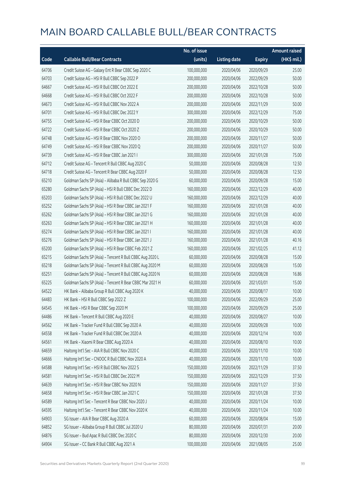|       |                                                          | No. of issue |                     |               | <b>Amount raised</b> |
|-------|----------------------------------------------------------|--------------|---------------------|---------------|----------------------|
| Code  | <b>Callable Bull/Bear Contracts</b>                      | (units)      | <b>Listing date</b> | <b>Expiry</b> | (HK\$ mil.)          |
| 64706 | Credit Suisse AG - Galaxy Ent R Bear CBBC Sep 2020 C     | 100,000,000  | 2020/04/06          | 2020/09/29    | 25.00                |
| 64703 | Credit Suisse AG - HSI R Bull CBBC Sep 2022 P            | 200,000,000  | 2020/04/06          | 2022/09/29    | 50.00                |
| 64667 | Credit Suisse AG - HSI R Bull CBBC Oct 2022 E            | 200,000,000  | 2020/04/06          | 2022/10/28    | 50.00                |
| 64668 | Credit Suisse AG - HSI R Bull CBBC Oct 2022 F            | 200,000,000  | 2020/04/06          | 2022/10/28    | 50.00                |
| 64673 | Credit Suisse AG - HSI R Bull CBBC Nov 2022 A            | 200,000,000  | 2020/04/06          | 2022/11/29    | 50.00                |
| 64701 | Credit Suisse AG - HSI R Bull CBBC Dec 2022 Y            | 300,000,000  | 2020/04/06          | 2022/12/29    | 75.00                |
| 64755 | Credit Suisse AG - HSI R Bear CBBC Oct 2020 D            | 200,000,000  | 2020/04/06          | 2020/10/29    | 50.00                |
| 64722 | Credit Suisse AG - HSI R Bear CBBC Oct 2020 Z            | 200,000,000  | 2020/04/06          | 2020/10/29    | 50.00                |
| 64748 | Credit Suisse AG - HSI R Bear CBBC Nov 2020 O            | 200,000,000  | 2020/04/06          | 2020/11/27    | 50.00                |
| 64749 | Credit Suisse AG - HSI R Bear CBBC Nov 2020 Q            | 200,000,000  | 2020/04/06          | 2020/11/27    | 50.00                |
| 64739 | Credit Suisse AG - HSI R Bear CBBC Jan 2021 I            | 300,000,000  | 2020/04/06          | 2021/01/28    | 75.00                |
| 64712 | Credit Suisse AG - Tencent R Bull CBBC Aug 2020 C        | 50,000,000   | 2020/04/06          | 2020/08/28    | 12.50                |
| 64718 | Credit Suisse AG - Tencent R Bear CBBC Aug 2020 F        | 50,000,000   | 2020/04/06          | 2020/08/28    | 12.50                |
| 65210 | Goldman Sachs SP (Asia) - Alibaba R Bull CBBC Sep 2020 G | 60,000,000   | 2020/04/06          | 2020/09/28    | 15.00                |
| 65280 | Goldman Sachs SP (Asia) - HSI R Bull CBBC Dec 2022 D     | 160,000,000  | 2020/04/06          | 2022/12/29    | 40.00                |
| 65203 | Goldman Sachs SP (Asia) - HSI R Bull CBBC Dec 2022 U     | 160,000,000  | 2020/04/06          | 2022/12/29    | 40.00                |
| 65252 | Goldman Sachs SP (Asia) - HSI R Bear CBBC Jan 2021 F     | 160,000,000  | 2020/04/06          | 2021/01/28    | 40.00                |
| 65262 | Goldman Sachs SP (Asia) - HSI R Bear CBBC Jan 2021 G     | 160,000,000  | 2020/04/06          | 2021/01/28    | 40.00                |
| 65263 | Goldman Sachs SP (Asia) - HSI R Bear CBBC Jan 2021 H     | 160,000,000  | 2020/04/06          | 2021/01/28    | 40.00                |
| 65274 | Goldman Sachs SP (Asia) - HSI R Bear CBBC Jan 2021 I     | 160,000,000  | 2020/04/06          | 2021/01/28    | 40.00                |
| 65276 | Goldman Sachs SP (Asia) - HSI R Bear CBBC Jan 2021 J     | 160,000,000  | 2020/04/06          | 2021/01/28    | 40.16                |
| 65200 | Goldman Sachs SP (Asia) - HSI R Bear CBBC Feb 2021 Z     | 160,000,000  | 2020/04/06          | 2021/02/25    | 41.12                |
| 65215 | Goldman Sachs SP (Asia) - Tencent R Bull CBBC Aug 2020 L | 60,000,000   | 2020/04/06          | 2020/08/28    | 15.00                |
| 65218 | Goldman Sachs SP (Asia) - Tencent R Bull CBBC Aug 2020 M | 60,000,000   | 2020/04/06          | 2020/08/28    | 15.00                |
| 65251 | Goldman Sachs SP (Asia) - Tencent R Bull CBBC Aug 2020 N | 60,000,000   | 2020/04/06          | 2020/08/28    | 16.86                |
| 65225 | Goldman Sachs SP (Asia) - Tencent R Bear CBBC Mar 2021 H | 60,000,000   | 2020/04/06          | 2021/03/01    | 15.00                |
| 64522 | HK Bank - Alibaba Group R Bull CBBC Aug 2020 K           | 40,000,000   | 2020/04/06          | 2020/08/17    | 10.00                |
| 64483 | HK Bank - HSI R Bull CBBC Sep 2022 Z                     | 100,000,000  | 2020/04/06          | 2022/09/29    | 25.00                |
| 64545 | HK Bank - HSI R Bear CBBC Sep 2020 M                     | 100,000,000  | 2020/04/06          | 2020/09/29    | 25.00                |
| 64486 | HK Bank - Tencent R Bull CBBC Aug 2020 E                 | 40,000,000   | 2020/04/06          | 2020/08/27    | 10.00                |
| 64562 | HK Bank - Tracker Fund R Bull CBBC Sep 2020 A            | 40,000,000   | 2020/04/06          | 2020/09/28    | 10.00                |
| 64558 | HK Bank - Tracker Fund R Bull CBBC Dec 2020 A            | 40,000,000   | 2020/04/06          | 2020/12/14    | 10.00                |
| 64561 | HK Bank - Xiaomi R Bear CBBC Aug 2020 A                  | 40,000,000   | 2020/04/06          | 2020/08/10    | 10.00                |
| 64659 | Haitong Int'l Sec - AIA R Bull CBBC Nov 2020 C           | 40,000,000   | 2020/04/06          | 2020/11/10    | 10.00                |
| 64666 | Haitong Int'l Sec - CNOOC R Bull CBBC Nov 2020 A         | 40,000,000   | 2020/04/06          | 2020/11/10    | 10.00                |
| 64588 | Haitong Int'l Sec - HSI R Bull CBBC Nov 2022 S           | 150,000,000  | 2020/04/06          | 2022/11/29    | 37.50                |
| 64581 | Haitong Int'l Sec - HSI R Bull CBBC Dec 2022 M           | 150,000,000  | 2020/04/06          | 2022/12/29    | 37.50                |
| 64639 | Haitong Int'l Sec - HSI R Bear CBBC Nov 2020 N           | 150,000,000  | 2020/04/06          | 2020/11/27    | 37.50                |
| 64658 | Haitong Int'l Sec - HSI R Bear CBBC Jan 2021 C           | 150,000,000  | 2020/04/06          | 2021/01/28    | 37.50                |
| 64589 | Haitong Int'l Sec - Tencent R Bear CBBC Nov 2020 J       | 40,000,000   | 2020/04/06          | 2020/11/24    | 10.00                |
| 64595 | Haitong Int'l Sec - Tencent R Bear CBBC Nov 2020 K       | 40,000,000   | 2020/04/06          | 2020/11/24    | 10.00                |
| 64903 | SG Issuer - AIA R Bear CBBC Aug 2020 A                   | 60,000,000   | 2020/04/06          | 2020/08/04    | 15.00                |
| 64852 | SG Issuer - Alibaba Group R Bull CBBC Jul 2020 U         | 80,000,000   | 2020/04/06          | 2020/07/31    | 20.00                |
| 64876 | SG Issuer - Bud Apac R Bull CBBC Dec 2020 C              | 80,000,000   | 2020/04/06          | 2020/12/30    | 20.00                |
| 64904 | SG Issuer - CC Bank R Bull CBBC Aug 2021 A               | 100,000,000  | 2020/04/06          | 2021/08/05    | 25.00                |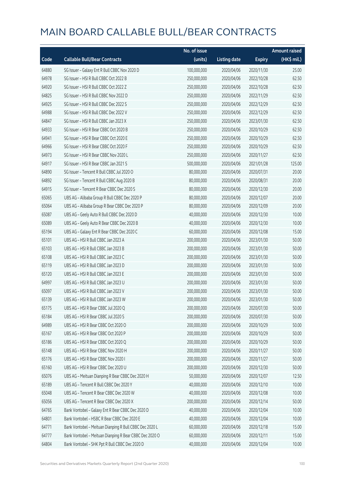|       |                                                         | No. of issue |                     |               | <b>Amount raised</b> |
|-------|---------------------------------------------------------|--------------|---------------------|---------------|----------------------|
| Code  | <b>Callable Bull/Bear Contracts</b>                     | (units)      | <b>Listing date</b> | <b>Expiry</b> | (HK\$ mil.)          |
| 64880 | SG Issuer - Galaxy Ent R Bull CBBC Nov 2020 D           | 100,000,000  | 2020/04/06          | 2020/11/30    | 25.00                |
| 64978 | SG Issuer - HSI R Bull CBBC Oct 2022 B                  | 250,000,000  | 2020/04/06          | 2022/10/28    | 62.50                |
| 64920 | SG Issuer - HSI R Bull CBBC Oct 2022 Z                  | 250,000,000  | 2020/04/06          | 2022/10/28    | 62.50                |
| 64825 | SG Issuer - HSI R Bull CBBC Nov 2022 D                  | 250,000,000  | 2020/04/06          | 2022/11/29    | 62.50                |
| 64925 | SG Issuer - HSI R Bull CBBC Dec 2022 S                  | 250,000,000  | 2020/04/06          | 2022/12/29    | 62.50                |
| 64988 | SG Issuer - HSI R Bull CBBC Dec 2022 V                  | 250,000,000  | 2020/04/06          | 2022/12/29    | 62.50                |
| 64847 | SG Issuer - HSI R Bull CBBC Jan 2023 X                  | 250,000,000  | 2020/04/06          | 2023/01/30    | 62.50                |
| 64933 | SG Issuer - HSI R Bear CBBC Oct 2020 B                  | 250,000,000  | 2020/04/06          | 2020/10/29    | 62.50                |
| 64941 | SG Issuer - HSI R Bear CBBC Oct 2020 E                  | 250,000,000  | 2020/04/06          | 2020/10/29    | 62.50                |
| 64966 | SG Issuer - HSI R Bear CBBC Oct 2020 F                  | 250,000,000  | 2020/04/06          | 2020/10/29    | 62.50                |
| 64973 | SG Issuer - HSI R Bear CBBC Nov 2020 L                  | 250,000,000  | 2020/04/06          | 2020/11/27    | 62.50                |
| 64917 | SG Issuer - HSI R Bear CBBC Jan 2021 S                  | 500,000,000  | 2020/04/06          | 2021/01/28    | 125.00               |
| 64890 | SG Issuer - Tencent R Bull CBBC Jul 2020 O              | 80,000,000   | 2020/04/06          | 2020/07/31    | 20.00                |
| 64892 | SG Issuer - Tencent R Bull CBBC Aug 2020 B              | 80,000,000   | 2020/04/06          | 2020/08/31    | 20.00                |
| 64915 | SG Issuer - Tencent R Bear CBBC Dec 2020 S              | 80,000,000   | 2020/04/06          | 2020/12/30    | 20.00                |
| 65065 | UBS AG - Alibaba Group R Bull CBBC Dec 2020 P           | 80,000,000   | 2020/04/06          | 2020/12/07    | 20.00                |
| 65064 | UBS AG - Alibaba Group R Bear CBBC Dec 2020 P           | 80,000,000   | 2020/04/06          | 2020/12/09    | 20.00                |
| 65087 | UBS AG - Geely Auto R Bull CBBC Dec 2020 D              | 40,000,000   | 2020/04/06          | 2020/12/30    | 10.00                |
| 65089 | UBS AG - Geely Auto R Bear CBBC Dec 2020 B              | 40,000,000   | 2020/04/06          | 2020/12/30    | 10.00                |
| 65194 | UBS AG - Galaxy Ent R Bear CBBC Dec 2020 C              | 60,000,000   | 2020/04/06          | 2020/12/08    | 15.00                |
| 65101 | UBS AG - HSI R Bull CBBC Jan 2023 A                     | 200,000,000  | 2020/04/06          | 2023/01/30    | 50.00                |
| 65103 | UBS AG - HSI R Bull CBBC Jan 2023 B                     | 200,000,000  | 2020/04/06          | 2023/01/30    | 50.00                |
| 65108 | UBS AG - HSI R Bull CBBC Jan 2023 C                     | 200,000,000  | 2020/04/06          | 2023/01/30    | 50.00                |
| 65119 | UBS AG - HSI R Bull CBBC Jan 2023 D                     | 200,000,000  | 2020/04/06          | 2023/01/30    | 50.00                |
| 65120 | UBS AG - HSI R Bull CBBC Jan 2023 E                     | 200,000,000  | 2020/04/06          | 2023/01/30    | 50.00                |
| 64997 | UBS AG - HSI R Bull CBBC Jan 2023 U                     | 200,000,000  | 2020/04/06          | 2023/01/30    | 50.00                |
| 65097 | UBS AG - HSI R Bull CBBC Jan 2023 V                     | 200,000,000  | 2020/04/06          | 2023/01/30    | 50.00                |
| 65139 | UBS AG - HSI R Bull CBBC Jan 2023 W                     | 200,000,000  | 2020/04/06          | 2023/01/30    | 50.00                |
| 65175 | UBS AG - HSI R Bear CBBC Jul 2020 Q                     | 200,000,000  | 2020/04/06          | 2020/07/30    | 50.00                |
| 65184 | UBS AG - HSI R Bear CBBC Jul 2020 S                     | 200,000,000  | 2020/04/06          | 2020/07/30    | 50.00                |
| 64989 | UBS AG - HSI R Bear CBBC Oct 2020 O                     | 200,000,000  | 2020/04/06          | 2020/10/29    | 50.00                |
| 65167 | UBS AG - HSI R Bear CBBC Oct 2020 P                     | 200,000,000  | 2020/04/06          | 2020/10/29    | 50.00                |
| 65186 | UBS AG - HSI R Bear CBBC Oct 2020 Q                     | 200,000,000  | 2020/04/06          | 2020/10/29    | 50.00                |
| 65148 | UBS AG - HSI R Bear CBBC Nov 2020 H                     | 200,000,000  | 2020/04/06          | 2020/11/27    | 50.00                |
| 65176 | UBS AG - HSI R Bear CBBC Nov 2020 I                     | 200,000,000  | 2020/04/06          | 2020/11/27    | 50.00                |
| 65160 | UBS AG - HSI R Bear CBBC Dec 2020 U                     | 200,000,000  | 2020/04/06          | 2020/12/30    | 50.00                |
| 65076 | UBS AG - Meituan Dianping R Bear CBBC Dec 2020 H        | 50,000,000   | 2020/04/06          | 2020/12/07    | 12.50                |
| 65189 | UBS AG - Tencent R Bull CBBC Dec 2020 Y                 | 40,000,000   | 2020/04/06          | 2020/12/10    | 10.00                |
| 65048 | UBS AG - Tencent R Bear CBBC Dec 2020 W                 | 40,000,000   | 2020/04/06          | 2020/12/08    | 10.00                |
| 65056 | UBS AG - Tencent R Bear CBBC Dec 2020 X                 | 200,000,000  | 2020/04/06          | 2020/12/14    | 50.00                |
| 64765 | Bank Vontobel - Galaxy Ent R Bear CBBC Dec 2020 D       | 40,000,000   | 2020/04/06          | 2020/12/04    | 10.00                |
| 64801 | Bank Vontobel - HSBC R Bear CBBC Dec 2020 E             | 40,000,000   | 2020/04/06          | 2020/12/04    | 10.00                |
| 64771 | Bank Vontobel - Meituan Dianping R Bull CBBC Dec 2020 L | 60,000,000   | 2020/04/06          | 2020/12/18    | 15.00                |
| 64777 | Bank Vontobel - Meituan Dianping R Bear CBBC Dec 2020 O | 60,000,000   | 2020/04/06          | 2020/12/11    | 15.00                |
| 64804 | Bank Vontobel - SHK Ppt R Bull CBBC Dec 2020 D          | 40,000,000   | 2020/04/06          | 2020/12/04    | 10.00                |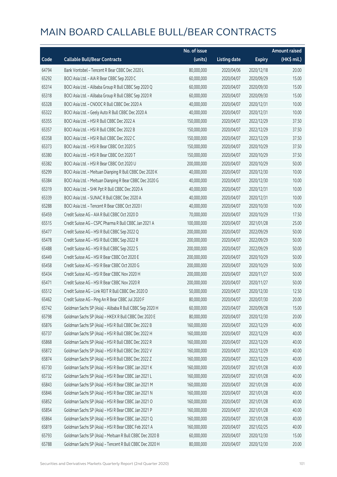|       |                                                          | No. of issue |                     |               | <b>Amount raised</b> |
|-------|----------------------------------------------------------|--------------|---------------------|---------------|----------------------|
| Code  | <b>Callable Bull/Bear Contracts</b>                      | (units)      | <b>Listing date</b> | <b>Expiry</b> | (HK\$ mil.)          |
| 64794 | Bank Vontobel - Tencent R Bear CBBC Dec 2020 L           | 80,000,000   | 2020/04/06          | 2020/12/18    | 20.00                |
| 65292 | BOCI Asia Ltd. - AIA R Bear CBBC Sep 2020 C              | 60,000,000   | 2020/04/07          | 2020/09/29    | 15.00                |
| 65314 | BOCI Asia Ltd. - Alibaba Group R Bull CBBC Sep 2020 Q    | 60,000,000   | 2020/04/07          | 2020/09/30    | 15.00                |
| 65318 | BOCI Asia Ltd. - Alibaba Group R Bull CBBC Sep 2020 R    | 60,000,000   | 2020/04/07          | 2020/09/30    | 15.00                |
| 65328 | BOCI Asia Ltd. - CNOOC R Bull CBBC Dec 2020 A            | 40,000,000   | 2020/04/07          | 2020/12/31    | 10.00                |
| 65322 | BOCI Asia Ltd. - Geely Auto R Bull CBBC Dec 2020 A       | 40,000,000   | 2020/04/07          | 2020/12/31    | 10.00                |
| 65355 | BOCI Asia Ltd. - HSI R Bull CBBC Dec 2022 A              | 150,000,000  | 2020/04/07          | 2022/12/29    | 37.50                |
| 65357 | BOCI Asia Ltd. - HSI R Bull CBBC Dec 2022 B              | 150,000,000  | 2020/04/07          | 2022/12/29    | 37.50                |
| 65358 | BOCI Asia Ltd. - HSI R Bull CBBC Dec 2022 C              | 150,000,000  | 2020/04/07          | 2022/12/29    | 37.50                |
| 65373 | BOCI Asia Ltd. - HSI R Bear CBBC Oct 2020 S              | 150,000,000  | 2020/04/07          | 2020/10/29    | 37.50                |
| 65380 | BOCI Asia Ltd. - HSI R Bear CBBC Oct 2020 T              | 150,000,000  | 2020/04/07          | 2020/10/29    | 37.50                |
| 65382 | BOCI Asia Ltd. - HSI R Bear CBBC Oct 2020 U              | 200,000,000  | 2020/04/07          | 2020/10/29    | 50.00                |
| 65299 | BOCI Asia Ltd. - Meituan Dianping R Bull CBBC Dec 2020 K | 40,000,000   | 2020/04/07          | 2020/12/30    | 10.00                |
| 65384 | BOCI Asia Ltd. - Meituan Dianping R Bear CBBC Dec 2020 G | 40,000,000   | 2020/04/07          | 2020/12/30    | 10.00                |
| 65319 | BOCI Asia Ltd. - SHK Ppt R Bull CBBC Dec 2020 A          | 40,000,000   | 2020/04/07          | 2020/12/31    | 10.00                |
| 65339 | BOCI Asia Ltd. - SUNAC R Bull CBBC Dec 2020 A            | 40,000,000   | 2020/04/07          | 2020/12/31    | 10.00                |
| 65288 | BOCI Asia Ltd. - Tencent R Bear CBBC Oct 2020 I          | 40,000,000   | 2020/04/07          | 2020/10/30    | 10.00                |
| 65459 | Credit Suisse AG - AIA R Bull CBBC Oct 2020 D            | 70,000,000   | 2020/04/07          | 2020/10/29    | 17.50                |
| 65515 | Credit Suisse AG - CSPC Pharma R Bull CBBC Jan 2021 A    | 100,000,000  | 2020/04/07          | 2021/01/28    | 25.00                |
| 65477 | Credit Suisse AG - HSI R Bull CBBC Sep 2022 Q            | 200,000,000  | 2020/04/07          | 2022/09/29    | 50.00                |
| 65478 | Credit Suisse AG - HSI R Bull CBBC Sep 2022 R            | 200,000,000  | 2020/04/07          | 2022/09/29    | 50.00                |
| 65488 | Credit Suisse AG - HSI R Bull CBBC Sep 2022 S            | 200,000,000  | 2020/04/07          | 2022/09/29    | 50.00                |
| 65449 | Credit Suisse AG - HSI R Bear CBBC Oct 2020 E            | 200,000,000  | 2020/04/07          | 2020/10/29    | 50.00                |
| 65458 | Credit Suisse AG - HSI R Bear CBBC Oct 2020 G            | 200,000,000  | 2020/04/07          | 2020/10/29    | 50.00                |
| 65434 | Credit Suisse AG - HSI R Bear CBBC Nov 2020 H            | 200,000,000  | 2020/04/07          | 2020/11/27    | 50.00                |
| 65471 | Credit Suisse AG - HSI R Bear CBBC Nov 2020 R            | 200,000,000  | 2020/04/07          | 2020/11/27    | 50.00                |
| 65512 | Credit Suisse AG - Link REIT R Bull CBBC Dec 2020 D      | 50,000,000   | 2020/04/07          | 2020/12/30    | 12.50                |
| 65462 | Credit Suisse AG - Ping An R Bear CBBC Jul 2020 F        | 80,000,000   | 2020/04/07          | 2020/07/30    | 20.00                |
| 65742 | Goldman Sachs SP (Asia) - Alibaba R Bull CBBC Sep 2020 H | 60,000,000   | 2020/04/07          | 2020/09/28    | 15.00                |
| 65798 | Goldman Sachs SP (Asia) - HKEX R Bull CBBC Dec 2020 E    | 80,000,000   | 2020/04/07          | 2020/12/30    | 20.00                |
| 65876 | Goldman Sachs SP (Asia) - HSI R Bull CBBC Dec 2022 B     | 160,000,000  | 2020/04/07          | 2022/12/29    | 40.00                |
| 65737 | Goldman Sachs SP (Asia) - HSI R Bull CBBC Dec 2022 H     | 160,000,000  | 2020/04/07          | 2022/12/29    | 40.00                |
| 65868 | Goldman Sachs SP (Asia) - HSI R Bull CBBC Dec 2022 R     | 160,000,000  | 2020/04/07          | 2022/12/29    | 40.00                |
| 65872 | Goldman Sachs SP (Asia) - HSI R Bull CBBC Dec 2022 V     | 160,000,000  | 2020/04/07          | 2022/12/29    | 40.00                |
| 65874 | Goldman Sachs SP (Asia) - HSI R Bull CBBC Dec 2022 Z     | 160,000,000  | 2020/04/07          | 2022/12/29    | 40.00                |
| 65730 | Goldman Sachs SP (Asia) - HSI R Bear CBBC Jan 2021 K     | 160,000,000  | 2020/04/07          | 2021/01/28    | 40.00                |
| 65732 | Goldman Sachs SP (Asia) - HSI R Bear CBBC Jan 2021 L     | 160,000,000  | 2020/04/07          | 2021/01/28    | 40.00                |
| 65843 | Goldman Sachs SP (Asia) - HSI R Bear CBBC Jan 2021 M     | 160,000,000  | 2020/04/07          | 2021/01/28    | 40.00                |
| 65846 | Goldman Sachs SP (Asia) - HSI R Bear CBBC Jan 2021 N     | 160,000,000  | 2020/04/07          | 2021/01/28    | 40.00                |
| 65852 | Goldman Sachs SP (Asia) - HSI R Bear CBBC Jan 2021 O     | 160,000,000  | 2020/04/07          | 2021/01/28    | 40.00                |
| 65854 | Goldman Sachs SP (Asia) - HSI R Bear CBBC Jan 2021 P     | 160,000,000  | 2020/04/07          | 2021/01/28    | 40.00                |
| 65864 | Goldman Sachs SP (Asia) - HSI R Bear CBBC Jan 2021 Q     | 160,000,000  | 2020/04/07          | 2021/01/28    | 40.00                |
| 65819 | Goldman Sachs SP (Asia) - HSI R Bear CBBC Feb 2021 A     | 160,000,000  | 2020/04/07          | 2021/02/25    | 40.00                |
| 65793 | Goldman Sachs SP (Asia) - Meituan R Bull CBBC Dec 2020 B | 60,000,000   | 2020/04/07          | 2020/12/30    | 15.00                |
| 65788 | Goldman Sachs SP (Asia) - Tencent R Bull CBBC Dec 2020 H | 80,000,000   | 2020/04/07          | 2020/12/30    | 20.00                |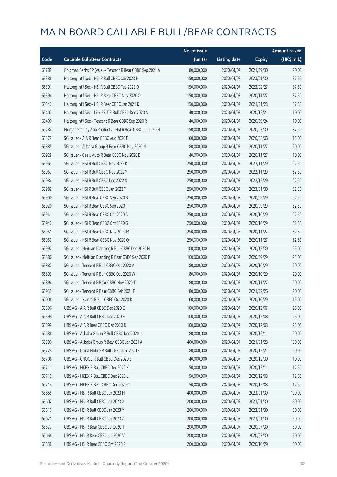|       |                                                           | No. of issue |                     |               | <b>Amount raised</b> |
|-------|-----------------------------------------------------------|--------------|---------------------|---------------|----------------------|
| Code  | <b>Callable Bull/Bear Contracts</b>                       | (units)      | <b>Listing date</b> | <b>Expiry</b> | (HK\$ mil.)          |
| 65789 | Goldman Sachs SP (Asia) - Tencent R Bear CBBC Sep 2021 A  | 80,000,000   | 2020/04/07          | 2021/09/30    | 20.00                |
| 65386 | Haitong Int'l Sec - HSI R Bull CBBC Jan 2023 N            | 150,000,000  | 2020/04/07          | 2023/01/30    | 37.50                |
| 65391 | Haitong Int'l Sec - HSI R Bull CBBC Feb 2023 Q            | 150,000,000  | 2020/04/07          | 2023/02/27    | 37.50                |
| 65394 | Haitong Int'l Sec - HSI R Bear CBBC Nov 2020 O            | 150,000,000  | 2020/04/07          | 2020/11/27    | 37.50                |
| 65547 | Haitong Int'l Sec - HSI R Bear CBBC Jan 2021 D            | 150,000,000  | 2020/04/07          | 2021/01/28    | 37.50                |
| 65407 | Haitong Int'l Sec - Link REIT R Bull CBBC Dec 2020 A      | 40,000,000   | 2020/04/07          | 2020/12/21    | 10.00                |
| 65400 | Haitong Int'l Sec - Tencent R Bear CBBC Sep 2020 R        | 40,000,000   | 2020/04/07          | 2020/09/24    | 10.00                |
| 65284 | Morgan Stanley Asia Products - HSI R Bear CBBC Jul 2020 H | 150,000,000  | 2020/04/07          | 2020/07/30    | 37.50                |
| 65879 | SG Issuer - AIA R Bear CBBC Aug 2020 B                    | 60,000,000   | 2020/04/07          | 2020/08/06    | 15.00                |
| 65885 | SG Issuer - Alibaba Group R Bear CBBC Nov 2020 N          | 80,000,000   | 2020/04/07          | 2020/11/27    | 20.00                |
| 65928 | SG Issuer - Geely Auto R Bear CBBC Nov 2020 B             | 40,000,000   | 2020/04/07          | 2020/11/27    | 10.00                |
| 65963 | SG Issuer - HSI R Bull CBBC Nov 2022 K                    | 250,000,000  | 2020/04/07          | 2022/11/29    | 62.50                |
| 65967 | SG Issuer - HSI R Bull CBBC Nov 2022 Y                    | 250,000,000  | 2020/04/07          | 2022/11/29    | 62.50                |
| 65984 | SG Issuer - HSI R Bull CBBC Dec 2022 X                    | 250,000,000  | 2020/04/07          | 2022/12/29    | 62.50                |
| 65989 | SG Issuer - HSI R Bull CBBC Jan 2023 Y                    | 250,000,000  | 2020/04/07          | 2023/01/30    | 62.50                |
| 65900 | SG Issuer - HSI R Bear CBBC Sep 2020 B                    | 250,000,000  | 2020/04/07          | 2020/09/29    | 62.50                |
| 65920 | SG Issuer - HSI R Bear CBBC Sep 2020 F                    | 250,000,000  | 2020/04/07          | 2020/09/29    | 62.50                |
| 65941 | SG Issuer - HSI R Bear CBBC Oct 2020 A                    | 250,000,000  | 2020/04/07          | 2020/10/29    | 62.50                |
| 65942 | SG Issuer - HSI R Bear CBBC Oct 2020 G                    | 250,000,000  | 2020/04/07          | 2020/10/29    | 62.50                |
| 65951 | SG Issuer - HSI R Bear CBBC Nov 2020 M                    | 250,000,000  | 2020/04/07          | 2020/11/27    | 62.50                |
| 65952 | SG Issuer - HSI R Bear CBBC Nov 2020 Q                    | 250,000,000  | 2020/04/07          | 2020/11/27    | 62.50                |
| 65992 | SG Issuer - Meituan Dianping R Bull CBBC Dec 2020 N       | 100,000,000  | 2020/04/07          | 2020/12/30    | 25.00                |
| 65886 | SG Issuer - Meituan Dianping R Bear CBBC Sep 2020 F       | 100,000,000  | 2020/04/07          | 2020/09/29    | 25.00                |
| 65887 | SG Issuer - Tencent R Bull CBBC Oct 2020 V                | 80,000,000   | 2020/04/07          | 2020/10/29    | 20.00                |
| 65893 | SG Issuer - Tencent R Bull CBBC Oct 2020 W                | 80,000,000   | 2020/04/07          | 2020/10/29    | 20.00                |
| 65894 | SG Issuer - Tencent R Bear CBBC Nov 2020 T                | 80,000,000   | 2020/04/07          | 2020/11/27    | 20.00                |
| 65933 | SG Issuer - Tencent R Bear CBBC Feb 2021 F                | 80,000,000   | 2020/04/07          | 2021/02/26    | 20.00                |
| 66006 | SG Issuer - Xiaomi R Bull CBBC Oct 2020 D                 | 60,000,000   | 2020/04/07          | 2020/10/29    | 15.00                |
| 65596 | UBS AG - AIA R Bull CBBC Dec 2020 E                       | 100,000,000  | 2020/04/07          | 2020/12/07    | 25.00                |
| 65598 | UBS AG - AIA R Bull CBBC Dec 2020 F                       | 100,000,000  | 2020/04/07          | 2020/12/08    | 25.00                |
| 65599 | UBS AG - AIA R Bear CBBC Dec 2020 D                       | 100,000,000  | 2020/04/07          | 2020/12/08    | 25.00                |
| 65686 | UBS AG - Alibaba Group R Bull CBBC Dec 2020 Q             | 80,000,000   | 2020/04/07          | 2020/12/11    | 20.00                |
| 65590 | UBS AG - Alibaba Group R Bear CBBC Jan 2021 A             | 400,000,000  | 2020/04/07          | 2021/01/28    | 100.00               |
| 65728 | UBS AG - China Mobile R Bull CBBC Dec 2020 E              | 80,000,000   | 2020/04/07          | 2020/12/21    | 20.00                |
| 65706 | UBS AG - CNOOC R Bull CBBC Dec 2020 E                     | 40,000,000   | 2020/04/07          | 2020/12/30    | 10.00                |
| 65711 | UBS AG - HKEX R Bull CBBC Dec 2020 K                      | 50,000,000   | 2020/04/07          | 2020/12/11    | 12.50                |
| 65712 | UBS AG - HKEX R Bull CBBC Dec 2020 L                      | 50,000,000   | 2020/04/07          | 2020/12/08    | 12.50                |
| 65714 | UBS AG - HKEX R Bear CBBC Dec 2020 C                      | 50,000,000   | 2020/04/07          | 2020/12/08    | 12.50                |
| 65655 | UBS AG - HSI R Bull CBBC Jan 2023 H                       | 400,000,000  | 2020/04/07          | 2023/01/30    | 100.00               |
| 65602 | UBS AG - HSI R Bull CBBC Jan 2023 X                       | 200,000,000  | 2020/04/07          | 2023/01/30    | 50.00                |
| 65617 | UBS AG - HSI R Bull CBBC Jan 2023 Y                       | 200,000,000  | 2020/04/07          | 2023/01/30    | 50.00                |
| 65621 | UBS AG - HSI R Bull CBBC Jan 2023 Z                       | 200,000,000  | 2020/04/07          | 2023/01/30    | 50.00                |
| 65577 | UBS AG - HSI R Bear CBBC Jul 2020 T                       | 200,000,000  | 2020/04/07          | 2020/07/30    | 50.00                |
| 65666 | UBS AG - HSI R Bear CBBC Jul 2020 V                       | 200,000,000  | 2020/04/07          | 2020/07/30    | 50.00                |
| 65558 | UBS AG - HSI R Bear CBBC Oct 2020 R                       | 200,000,000  | 2020/04/07          | 2020/10/29    | 50.00                |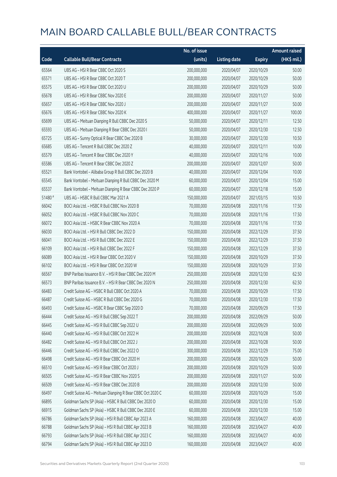|         |                                                            | No. of issue |                     |               | <b>Amount raised</b> |
|---------|------------------------------------------------------------|--------------|---------------------|---------------|----------------------|
| Code    | <b>Callable Bull/Bear Contracts</b>                        | (units)      | <b>Listing date</b> | <b>Expiry</b> | (HK\$ mil.)          |
| 65564   | UBS AG - HSI R Bear CBBC Oct 2020 S                        | 200,000,000  | 2020/04/07          | 2020/10/29    | 50.00                |
| 65571   | UBS AG - HSI R Bear CBBC Oct 2020 T                        | 200,000,000  | 2020/04/07          | 2020/10/29    | 50.00                |
| 65575   | UBS AG - HSI R Bear CBBC Oct 2020 U                        | 200,000,000  | 2020/04/07          | 2020/10/29    | 50.00                |
| 65678   | UBS AG - HSI R Bear CBBC Nov 2020 E                        | 200,000,000  | 2020/04/07          | 2020/11/27    | 50.00                |
| 65657   | UBS AG - HSI R Bear CBBC Nov 2020 J                        | 200,000,000  | 2020/04/07          | 2020/11/27    | 50.00                |
| 65676   | UBS AG - HSI R Bear CBBC Nov 2020 K                        | 400,000,000  | 2020/04/07          | 2020/11/27    | 100.00               |
| 65699   | UBS AG - Meituan Dianping R Bull CBBC Dec 2020 S           | 50,000,000   | 2020/04/07          | 2020/12/11    | 12.50                |
| 65593   | UBS AG - Meituan Dianping R Bear CBBC Dec 2020 I           | 50,000,000   | 2020/04/07          | 2020/12/30    | 12.50                |
| 65725   | UBS AG - Sunny Optical R Bear CBBC Dec 2020 B              | 30,000,000   | 2020/04/07          | 2020/12/30    | 10.50                |
| 65685   | UBS AG - Tencent R Bull CBBC Dec 2020 Z                    | 40,000,000   | 2020/04/07          | 2020/12/11    | 10.00                |
| 65579   | UBS AG - Tencent R Bear CBBC Dec 2020 Y                    | 40,000,000   | 2020/04/07          | 2020/12/16    | 10.00                |
| 65586   | UBS AG - Tencent R Bear CBBC Dec 2020 Z                    | 200,000,000  | 2020/04/07          | 2020/12/07    | 50.00                |
| 65521   | Bank Vontobel - Alibaba Group R Bull CBBC Dec 2020 B       | 40,000,000   | 2020/04/07          | 2020/12/04    | 10.00                |
| 65545   | Bank Vontobel - Meituan Dianping R Bull CBBC Dec 2020 M    | 60,000,000   | 2020/04/07          | 2020/12/04    | 15.00                |
| 65537   | Bank Vontobel - Meituan Dianping R Bear CBBC Dec 2020 P    | 60,000,000   | 2020/04/07          | 2020/12/18    | 15.00                |
| 51480 # | UBS AG - HSBC R Bull CBBC Mar 2021 A                       | 150,000,000  | 2020/04/07          | 2021/03/15    | 10.50                |
| 66042   | BOCI Asia Ltd. - HSBC R Bull CBBC Nov 2020 B               | 70,000,000   | 2020/04/08          | 2020/11/16    | 17.50                |
| 66052   | BOCI Asia Ltd. - HSBC R Bull CBBC Nov 2020 C               | 70,000,000   | 2020/04/08          | 2020/11/16    | 17.50                |
| 66072   | BOCI Asia Ltd. - HSBC R Bear CBBC Nov 2020 A               | 70,000,000   | 2020/04/08          | 2020/11/16    | 17.50                |
| 66030   | BOCI Asia Ltd. - HSI R Bull CBBC Dec 2022 D                | 150,000,000  | 2020/04/08          | 2022/12/29    | 37.50                |
| 66041   | BOCI Asia Ltd. - HSI R Bull CBBC Dec 2022 E                | 150,000,000  | 2020/04/08          | 2022/12/29    | 37.50                |
| 66109   | BOCI Asia Ltd. - HSI R Bull CBBC Dec 2022 F                | 150,000,000  | 2020/04/08          | 2022/12/29    | 37.50                |
| 66089   | BOCI Asia Ltd. - HSI R Bear CBBC Oct 2020 V                | 150,000,000  | 2020/04/08          | 2020/10/29    | 37.50                |
| 66102   | BOCI Asia Ltd. - HSI R Bear CBBC Oct 2020 W                | 150,000,000  | 2020/04/08          | 2020/10/29    | 37.50                |
| 66567   | BNP Paribas Issuance B.V. - HSI R Bear CBBC Dec 2020 M     | 250,000,000  | 2020/04/08          | 2020/12/30    | 62.50                |
| 66573   | BNP Paribas Issuance B.V. - HSI R Bear CBBC Dec 2020 N     | 250,000,000  | 2020/04/08          | 2020/12/30    | 62.50                |
| 66483   | Credit Suisse AG - HSBC R Bull CBBC Oct 2020 A             | 70,000,000   | 2020/04/08          | 2020/10/29    | 17.50                |
| 66487   | Credit Suisse AG – HSBC R Bull CBBC Dec 2020 G             | 70,000,000   | 2020/04/08          | 2020/12/30    | 17.50                |
| 66493   | Credit Suisse AG - HSBC R Bear CBBC Sep 2020 D             | 70,000,000   | 2020/04/08          | 2020/09/29    | 17.50                |
| 66444   | Credit Suisse AG - HSI R Bull CBBC Sep 2022 T              | 200,000,000  | 2020/04/08          | 2022/09/29    | 50.00                |
| 66445   | Credit Suisse AG - HSI R Bull CBBC Sep 2022 U              | 200,000,000  | 2020/04/08          | 2022/09/29    | 50.00                |
| 66440   | Credit Suisse AG - HSI R Bull CBBC Oct 2022 H              | 200,000,000  | 2020/04/08          | 2022/10/28    | 50.00                |
| 66482   | Credit Suisse AG - HSI R Bull CBBC Oct 2022 J              | 200,000,000  | 2020/04/08          | 2022/10/28    | 50.00                |
| 66446   | Credit Suisse AG - HSI R Bull CBBC Dec 2022 O              | 300,000,000  | 2020/04/08          | 2022/12/29    | 75.00                |
| 66498   | Credit Suisse AG - HSI R Bear CBBC Oct 2020 H              | 200,000,000  | 2020/04/08          | 2020/10/29    | 50.00                |
| 66510   | Credit Suisse AG - HSI R Bear CBBC Oct 2020 J              | 200,000,000  | 2020/04/08          | 2020/10/29    | 50.00                |
| 66505   | Credit Suisse AG - HSI R Bear CBBC Nov 2020 S              | 200,000,000  | 2020/04/08          | 2020/11/27    | 50.00                |
| 66509   | Credit Suisse AG - HSI R Bear CBBC Dec 2020 B              | 200,000,000  | 2020/04/08          | 2020/12/30    | 50.00                |
| 66497   | Credit Suisse AG - Meituan Dianping R Bear CBBC Oct 2020 C | 60,000,000   | 2020/04/08          | 2020/10/29    | 15.00                |
| 66895   | Goldman Sachs SP (Asia) - HSBC R Bull CBBC Dec 2020 D      | 60,000,000   | 2020/04/08          | 2020/12/30    | 15.00                |
| 66915   | Goldman Sachs SP (Asia) - HSBC R Bull CBBC Dec 2020 E      | 60,000,000   | 2020/04/08          | 2020/12/30    | 15.00                |
| 66786   | Goldman Sachs SP (Asia) - HSI R Bull CBBC Apr 2023 A       | 160,000,000  | 2020/04/08          | 2023/04/27    | 40.00                |
| 66788   | Goldman Sachs SP (Asia) - HSI R Bull CBBC Apr 2023 B       | 160,000,000  | 2020/04/08          | 2023/04/27    | 40.00                |
| 66793   | Goldman Sachs SP (Asia) - HSI R Bull CBBC Apr 2023 C       | 160,000,000  | 2020/04/08          | 2023/04/27    | 40.00                |
| 66794   | Goldman Sachs SP (Asia) - HSI R Bull CBBC Apr 2023 D       | 160,000,000  | 2020/04/08          | 2023/04/27    | 40.00                |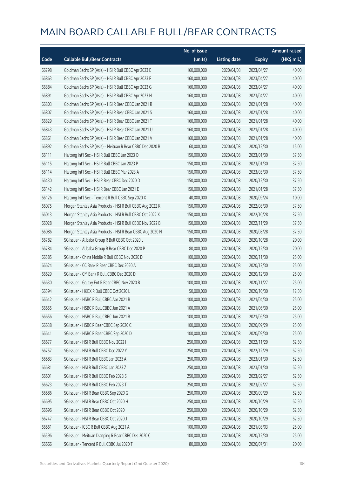|       |                                                           | No. of issue |                     |               | <b>Amount raised</b> |
|-------|-----------------------------------------------------------|--------------|---------------------|---------------|----------------------|
| Code  | <b>Callable Bull/Bear Contracts</b>                       | (units)      | <b>Listing date</b> | <b>Expiry</b> | $(HK\$ mil.)         |
| 66798 | Goldman Sachs SP (Asia) - HSI R Bull CBBC Apr 2023 E      | 160,000,000  | 2020/04/08          | 2023/04/27    | 40.00                |
| 66863 | Goldman Sachs SP (Asia) - HSI R Bull CBBC Apr 2023 F      | 160,000,000  | 2020/04/08          | 2023/04/27    | 40.00                |
| 66884 | Goldman Sachs SP (Asia) - HSI R Bull CBBC Apr 2023 G      | 160,000,000  | 2020/04/08          | 2023/04/27    | 40.00                |
| 66891 | Goldman Sachs SP (Asia) - HSI R Bull CBBC Apr 2023 H      | 160,000,000  | 2020/04/08          | 2023/04/27    | 40.00                |
| 66803 | Goldman Sachs SP (Asia) - HSI R Bear CBBC Jan 2021 R      | 160,000,000  | 2020/04/08          | 2021/01/28    | 40.00                |
| 66807 | Goldman Sachs SP (Asia) - HSI R Bear CBBC Jan 2021 S      | 160,000,000  | 2020/04/08          | 2021/01/28    | 40.00                |
| 66829 | Goldman Sachs SP (Asia) - HSI R Bear CBBC Jan 2021 T      | 160,000,000  | 2020/04/08          | 2021/01/28    | 40.00                |
| 66843 | Goldman Sachs SP (Asia) - HSI R Bear CBBC Jan 2021 U      | 160,000,000  | 2020/04/08          | 2021/01/28    | 40.00                |
| 66861 | Goldman Sachs SP (Asia) - HSI R Bear CBBC Jan 2021 V      | 160,000,000  | 2020/04/08          | 2021/01/28    | 40.00                |
| 66892 | Goldman Sachs SP (Asia) - Meituan R Bear CBBC Dec 2020 B  | 60,000,000   | 2020/04/08          | 2020/12/30    | 15.00                |
| 66111 | Haitong Int'l Sec - HSI R Bull CBBC Jan 2023 O            | 150,000,000  | 2020/04/08          | 2023/01/30    | 37.50                |
| 66115 | Haitong Int'l Sec - HSI R Bull CBBC Jan 2023 P            | 150,000,000  | 2020/04/08          | 2023/01/30    | 37.50                |
| 66114 | Haitong Int'l Sec - HSI R Bull CBBC Mar 2023 A            | 150,000,000  | 2020/04/08          | 2023/03/30    | 37.50                |
| 66430 | Haitong Int'l Sec - HSI R Bear CBBC Dec 2020 D            | 150,000,000  | 2020/04/08          | 2020/12/30    | 37.50                |
| 66142 | Haitong Int'l Sec - HSI R Bear CBBC Jan 2021 E            | 150,000,000  | 2020/04/08          | 2021/01/28    | 37.50                |
| 66126 | Haitong Int'l Sec - Tencent R Bull CBBC Sep 2020 X        | 40,000,000   | 2020/04/08          | 2020/09/24    | 10.00                |
| 66075 | Morgan Stanley Asia Products - HSI R Bull CBBC Aug 2022 K | 150,000,000  | 2020/04/08          | 2022/08/30    | 37.50                |
| 66013 | Morgan Stanley Asia Products - HSI R Bull CBBC Oct 2022 X | 150,000,000  | 2020/04/08          | 2022/10/28    | 37.50                |
| 66028 | Morgan Stanley Asia Products - HSI R Bull CBBC Nov 2022 B | 150,000,000  | 2020/04/08          | 2022/11/29    | 37.50                |
| 66086 | Morgan Stanley Asia Products - HSI R Bear CBBC Aug 2020 N | 150,000,000  | 2020/04/08          | 2020/08/28    | 37.50                |
| 66782 | SG Issuer - Alibaba Group R Bull CBBC Oct 2020 L          | 80,000,000   | 2020/04/08          | 2020/10/28    | 20.00                |
| 66784 | SG Issuer - Alibaba Group R Bear CBBC Dec 2020 P          | 80,000,000   | 2020/04/08          | 2020/12/30    | 20.00                |
| 66585 | SG Issuer - China Mobile R Bull CBBC Nov 2020 D           | 100,000,000  | 2020/04/08          | 2020/11/30    | 25.00                |
| 66624 | SG Issuer - CC Bank R Bear CBBC Dec 2020 A                | 100,000,000  | 2020/04/08          | 2020/12/30    | 25.00                |
| 66629 | SG Issuer - CM Bank R Bull CBBC Dec 2020 D                | 100,000,000  | 2020/04/08          | 2020/12/30    | 25.00                |
| 66630 | SG Issuer - Galaxy Ent R Bear CBBC Nov 2020 B             | 100,000,000  | 2020/04/08          | 2020/11/27    | 25.00                |
| 66594 | SG Issuer - HKEX R Bull CBBC Oct 2020 L                   | 50,000,000   | 2020/04/08          | 2020/10/30    | 12.50                |
| 66642 | SG Issuer - HSBC R Bull CBBC Apr 2021 B                   | 100,000,000  | 2020/04/08          | 2021/04/30    | 25.00                |
| 66655 | SG Issuer - HSBC R Bull CBBC Jun 2021 A                   | 100,000,000  | 2020/04/08          | 2021/06/30    | 25.00                |
| 66656 | SG Issuer - HSBC R Bull CBBC Jun 2021 B                   | 100,000,000  | 2020/04/08          | 2021/06/30    | 25.00                |
| 66638 | SG Issuer - HSBC R Bear CBBC Sep 2020 C                   | 100,000,000  | 2020/04/08          | 2020/09/29    | 25.00                |
| 66641 | SG Issuer - HSBC R Bear CBBC Sep 2020 D                   | 100,000,000  | 2020/04/08          | 2020/09/30    | 25.00                |
| 66677 | SG Issuer - HSI R Bull CBBC Nov 2022 I                    | 250,000,000  | 2020/04/08          | 2022/11/29    | 62.50                |
| 66757 | SG Issuer - HSI R Bull CBBC Dec 2022 Y                    | 250,000,000  | 2020/04/08          | 2022/12/29    | 62.50                |
| 66683 | SG Issuer - HSI R Bull CBBC Jan 2023 A                    | 250,000,000  | 2020/04/08          | 2023/01/30    | 62.50                |
| 66681 | SG Issuer - HSI R Bull CBBC Jan 2023 Z                    | 250,000,000  | 2020/04/08          | 2023/01/30    | 62.50                |
| 66601 | SG Issuer - HSI R Bull CBBC Feb 2023 S                    | 250,000,000  | 2020/04/08          | 2023/02/27    | 62.50                |
| 66623 | SG Issuer - HSI R Bull CBBC Feb 2023 T                    | 250,000,000  | 2020/04/08          | 2023/02/27    | 62.50                |
| 66686 | SG Issuer - HSI R Bear CBBC Sep 2020 G                    | 250,000,000  | 2020/04/08          | 2020/09/29    | 62.50                |
| 66695 | SG Issuer - HSI R Bear CBBC Oct 2020 H                    | 250,000,000  | 2020/04/08          | 2020/10/29    | 62.50                |
| 66696 | SG Issuer - HSI R Bear CBBC Oct 2020 I                    | 250,000,000  | 2020/04/08          | 2020/10/29    | 62.50                |
| 66747 | SG Issuer - HSI R Bear CBBC Oct 2020 J                    | 250,000,000  | 2020/04/08          | 2020/10/29    | 62.50                |
| 66661 | SG Issuer - ICBC R Bull CBBC Aug 2021 A                   | 100,000,000  | 2020/04/08          | 2021/08/03    | 25.00                |
| 66596 | SG Issuer - Meituan Dianping R Bear CBBC Dec 2020 C       | 100,000,000  | 2020/04/08          | 2020/12/30    | 25.00                |
| 66666 | SG Issuer - Tencent R Bull CBBC Jul 2020 T                | 80,000,000   | 2020/04/08          | 2020/07/31    | 20.00                |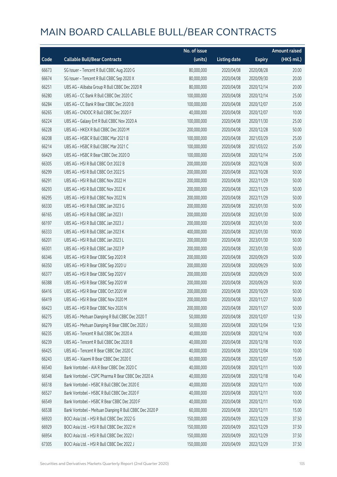|       |                                                         | No. of issue |                     |               | <b>Amount raised</b> |
|-------|---------------------------------------------------------|--------------|---------------------|---------------|----------------------|
| Code  | <b>Callable Bull/Bear Contracts</b>                     | (units)      | <b>Listing date</b> | <b>Expiry</b> | (HK\$ mil.)          |
| 66673 | SG Issuer - Tencent R Bull CBBC Aug 2020 G              | 80,000,000   | 2020/04/08          | 2020/08/28    | 20.00                |
| 66674 | SG Issuer - Tencent R Bull CBBC Sep 2020 X              | 80,000,000   | 2020/04/08          | 2020/09/30    | 20.00                |
| 66251 | UBS AG - Alibaba Group R Bull CBBC Dec 2020 R           | 80,000,000   | 2020/04/08          | 2020/12/14    | 20.00                |
| 66280 | UBS AG - CC Bank R Bull CBBC Dec 2020 C                 | 100,000,000  | 2020/04/08          | 2020/12/14    | 25.00                |
| 66284 | UBS AG - CC Bank R Bear CBBC Dec 2020 B                 | 100,000,000  | 2020/04/08          | 2020/12/07    | 25.00                |
| 66265 | UBS AG - CNOOC R Bull CBBC Dec 2020 F                   | 40,000,000   | 2020/04/08          | 2020/12/07    | 10.00                |
| 66224 | UBS AG - Galaxy Ent R Bull CBBC Nov 2020 A              | 100,000,000  | 2020/04/08          | 2020/11/30    | 25.00                |
| 66228 | UBS AG - HKEX R Bull CBBC Dec 2020 M                    | 200,000,000  | 2020/04/08          | 2020/12/28    | 50.00                |
| 66208 | UBS AG - HSBC R Bull CBBC Mar 2021 B                    | 100,000,000  | 2020/04/08          | 2021/03/29    | 25.00                |
| 66214 | UBS AG - HSBC R Bull CBBC Mar 2021 C                    | 100,000,000  | 2020/04/08          | 2021/03/22    | 25.00                |
| 66429 | UBS AG - HSBC R Bear CBBC Dec 2020 D                    | 100,000,000  | 2020/04/08          | 2020/12/14    | 25.00                |
| 66305 | UBS AG - HSI R Bull CBBC Oct 2022 B                     | 200,000,000  | 2020/04/08          | 2022/10/28    | 50.00                |
| 66299 | UBS AG - HSI R Bull CBBC Oct 2022 S                     | 200,000,000  | 2020/04/08          | 2022/10/28    | 50.00                |
| 66291 | UBS AG - HSI R Bull CBBC Nov 2022 H                     | 200,000,000  | 2020/04/08          | 2022/11/29    | 50.00                |
| 66293 | UBS AG - HSI R Bull CBBC Nov 2022 K                     | 200,000,000  | 2020/04/08          | 2022/11/29    | 50.00                |
| 66295 | UBS AG - HSI R Bull CBBC Nov 2022 N                     | 200,000,000  | 2020/04/08          | 2022/11/29    | 50.00                |
| 66330 | UBS AG - HSI R Bull CBBC Jan 2023 G                     | 200,000,000  | 2020/04/08          | 2023/01/30    | 50.00                |
| 66165 | UBS AG - HSI R Bull CBBC Jan 2023 I                     | 200,000,000  | 2020/04/08          | 2023/01/30    | 50.00                |
| 66197 | UBS AG - HSI R Bull CBBC Jan 2023 J                     | 200,000,000  | 2020/04/08          | 2023/01/30    | 50.00                |
| 66333 | UBS AG - HSI R Bull CBBC Jan 2023 K                     | 400,000,000  | 2020/04/08          | 2023/01/30    | 100.00               |
| 66201 | UBS AG - HSI R Bull CBBC Jan 2023 L                     | 200,000,000  | 2020/04/08          | 2023/01/30    | 50.00                |
| 66301 | UBS AG - HSI R Bull CBBC Jan 2023 P                     | 200,000,000  | 2020/04/08          | 2023/01/30    | 50.00                |
| 66346 | UBS AG - HSI R Bear CBBC Sep 2020 R                     | 200,000,000  | 2020/04/08          | 2020/09/29    | 50.00                |
| 66350 | UBS AG - HSI R Bear CBBC Sep 2020 U                     | 200,000,000  | 2020/04/08          | 2020/09/29    | 50.00                |
| 66377 | UBS AG - HSI R Bear CBBC Sep 2020 V                     | 200,000,000  | 2020/04/08          | 2020/09/29    | 50.00                |
| 66388 | UBS AG - HSI R Bear CBBC Sep 2020 W                     | 200,000,000  | 2020/04/08          | 2020/09/29    | 50.00                |
| 66416 | UBS AG - HSI R Bear CBBC Oct 2020 W                     | 200,000,000  | 2020/04/08          | 2020/10/29    | 50.00                |
| 66419 | UBS AG - HSLR Bear CBBC Nov 2020 M                      | 200,000,000  | 2020/04/08          | 2020/11/27    | 50.00                |
| 66423 | UBS AG - HSI R Bear CBBC Nov 2020 N                     | 200,000,000  | 2020/04/08          | 2020/11/27    | 50.00                |
| 66275 | UBS AG - Meituan Dianping R Bull CBBC Dec 2020 T        | 50,000,000   | 2020/04/08          | 2020/12/07    | 12.50                |
| 66279 | UBS AG - Meituan Dianping R Bear CBBC Dec 2020 J        | 50,000,000   | 2020/04/08          | 2020/12/04    | 12.50                |
| 66235 | UBS AG - Tencent R Bull CBBC Dec 2020 A                 | 40,000,000   | 2020/04/08          | 2020/12/14    | 10.00                |
| 66239 | UBS AG - Tencent R Bull CBBC Dec 2020 B                 | 40,000,000   | 2020/04/08          | 2020/12/18    | 10.00                |
| 66425 | UBS AG - Tencent R Bear CBBC Dec 2020 C                 | 40,000,000   | 2020/04/08          | 2020/12/04    | 10.00                |
| 66243 | UBS AG - Xiaomi R Bear CBBC Dec 2020 E                  | 60,000,000   | 2020/04/08          | 2020/12/07    | 15.00                |
| 66540 | Bank Vontobel - AIA R Bear CBBC Dec 2020 C              | 40,000,000   | 2020/04/08          | 2020/12/11    | 10.00                |
| 66548 | Bank Vontobel - CSPC Pharma R Bear CBBC Dec 2020 A      | 40,000,000   | 2020/04/08          | 2020/12/18    | 10.40                |
| 66518 | Bank Vontobel - HSBC R Bull CBBC Dec 2020 E             | 40,000,000   | 2020/04/08          | 2020/12/11    | 10.00                |
| 66527 | Bank Vontobel - HSBC R Bull CBBC Dec 2020 F             | 40,000,000   | 2020/04/08          | 2020/12/11    | 10.00                |
| 66549 | Bank Vontobel - HSBC R Bear CBBC Dec 2020 F             | 40,000,000   | 2020/04/08          | 2020/12/11    | 10.00                |
| 66538 | Bank Vontobel - Meituan Dianping R Bull CBBC Dec 2020 P | 60,000,000   | 2020/04/08          | 2020/12/11    | 15.00                |
| 66920 | BOCI Asia Ltd. - HSI R Bull CBBC Dec 2022 G             | 150,000,000  | 2020/04/09          | 2022/12/29    | 37.50                |
| 66929 | BOCI Asia Ltd. - HSI R Bull CBBC Dec 2022 H             | 150,000,000  | 2020/04/09          | 2022/12/29    | 37.50                |
| 66954 | BOCI Asia Ltd. - HSI R Bull CBBC Dec 2022 I             | 150,000,000  | 2020/04/09          | 2022/12/29    | 37.50                |
| 67305 | BOCI Asia Ltd. - HSI R Bull CBBC Dec 2022 J             | 150,000,000  | 2020/04/09          | 2022/12/29    | 37.50                |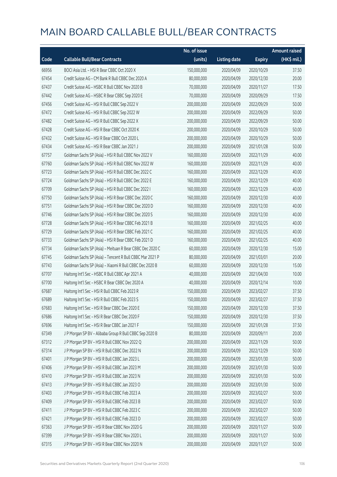|       |                                                          | No. of issue |                     |               | <b>Amount raised</b> |
|-------|----------------------------------------------------------|--------------|---------------------|---------------|----------------------|
| Code  | <b>Callable Bull/Bear Contracts</b>                      | (units)      | <b>Listing date</b> | <b>Expiry</b> | (HK\$ mil.)          |
| 66956 | BOCI Asia Ltd. - HSI R Bear CBBC Oct 2020 X              | 150,000,000  | 2020/04/09          | 2020/10/29    | 37.50                |
| 67454 | Credit Suisse AG - CM Bank R Bull CBBC Dec 2020 A        | 80,000,000   | 2020/04/09          | 2020/12/30    | 20.00                |
| 67437 | Credit Suisse AG - HSBC R Bull CBBC Nov 2020 B           | 70,000,000   | 2020/04/09          | 2020/11/27    | 17.50                |
| 67442 | Credit Suisse AG - HSBC R Bear CBBC Sep 2020 E           | 70,000,000   | 2020/04/09          | 2020/09/29    | 17.50                |
| 67456 | Credit Suisse AG - HSI R Bull CBBC Sep 2022 V            | 200,000,000  | 2020/04/09          | 2022/09/29    | 50.00                |
| 67472 | Credit Suisse AG - HSI R Bull CBBC Sep 2022 W            | 200,000,000  | 2020/04/09          | 2022/09/29    | 50.00                |
| 67482 | Credit Suisse AG - HSI R Bull CBBC Sep 2022 X            | 200,000,000  | 2020/04/09          | 2022/09/29    | 50.00                |
| 67428 | Credit Suisse AG - HSI R Bear CBBC Oct 2020 K            | 200,000,000  | 2020/04/09          | 2020/10/29    | 50.00                |
| 67432 | Credit Suisse AG - HSI R Bear CBBC Oct 2020 L            | 200,000,000  | 2020/04/09          | 2020/10/29    | 50.00                |
| 67434 | Credit Suisse AG - HSI R Bear CBBC Jan 2021 J            | 200,000,000  | 2020/04/09          | 2021/01/28    | 50.00                |
| 67757 | Goldman Sachs SP (Asia) - HSI R Bull CBBC Nov 2022 V     | 160,000,000  | 2020/04/09          | 2022/11/29    | 40.00                |
| 67760 | Goldman Sachs SP (Asia) - HSI R Bull CBBC Nov 2022 W     | 160,000,000  | 2020/04/09          | 2022/11/29    | 40.00                |
| 67723 | Goldman Sachs SP (Asia) - HSI R Bull CBBC Dec 2022 C     | 160,000,000  | 2020/04/09          | 2022/12/29    | 40.00                |
| 67724 | Goldman Sachs SP (Asia) - HSI R Bull CBBC Dec 2022 E     | 160,000,000  | 2020/04/09          | 2022/12/29    | 40.00                |
| 67709 | Goldman Sachs SP (Asia) - HSI R Bull CBBC Dec 2022 I     | 160,000,000  | 2020/04/09          | 2022/12/29    | 40.00                |
| 67750 | Goldman Sachs SP (Asia) - HSI R Bear CBBC Dec 2020 C     | 160,000,000  | 2020/04/09          | 2020/12/30    | 40.00                |
| 67751 | Goldman Sachs SP (Asia) - HSI R Bear CBBC Dec 2020 D     | 160,000,000  | 2020/04/09          | 2020/12/30    | 40.00                |
| 67746 | Goldman Sachs SP (Asia) - HSI R Bear CBBC Dec 2020 S     | 160,000,000  | 2020/04/09          | 2020/12/30    | 40.00                |
| 67728 | Goldman Sachs SP (Asia) - HSI R Bear CBBC Feb 2021 B     | 160,000,000  | 2020/04/09          | 2021/02/25    | 40.00                |
| 67729 | Goldman Sachs SP (Asia) - HSI R Bear CBBC Feb 2021 C     | 160,000,000  | 2020/04/09          | 2021/02/25    | 40.00                |
| 67733 | Goldman Sachs SP (Asia) - HSI R Bear CBBC Feb 2021 D     | 160,000,000  | 2020/04/09          | 2021/02/25    | 40.00                |
| 67734 | Goldman Sachs SP (Asia) - Meituan R Bear CBBC Dec 2020 C | 60,000,000   | 2020/04/09          | 2020/12/30    | 15.00                |
| 67745 | Goldman Sachs SP (Asia) - Tencent R Bull CBBC Mar 2021 P | 80,000,000   | 2020/04/09          | 2021/03/01    | 20.00                |
| 67743 | Goldman Sachs SP (Asia) - Xiaomi R Bull CBBC Dec 2020 B  | 60,000,000   | 2020/04/09          | 2020/12/30    | 15.00                |
| 67707 | Haitong Int'l Sec - HSBC R Bull CBBC Apr 2021 A          | 40,000,000   | 2020/04/09          | 2021/04/30    | 10.00                |
| 67700 | Haitong Int'l Sec - HSBC R Bear CBBC Dec 2020 A          | 40,000,000   | 2020/04/09          | 2020/12/14    | 10.00                |
| 67687 | Haitong Int'l Sec - HSI R Bull CBBC Feb 2023 R           | 150,000,000  | 2020/04/09          | 2023/02/27    | 37.50                |
| 67689 | Haitong Int'l Sec - HSI R Bull CBBC Feb 2023 S           | 150,000,000  | 2020/04/09          | 2023/02/27    | 37.50                |
| 67683 | Haitong Int'l Sec - HSI R Bear CBBC Dec 2020 E           | 150,000,000  | 2020/04/09          | 2020/12/30    | 37.50                |
| 67686 | Haitong Int'l Sec - HSI R Bear CBBC Dec 2020 F           | 150,000,000  | 2020/04/09          | 2020/12/30    | 37.50                |
| 67696 | Haitong Int'l Sec - HSI R Bear CBBC Jan 2021 F           | 150,000,000  | 2020/04/09          | 2021/01/28    | 37.50                |
| 67349 | J P Morgan SP BV - Alibaba Group R Bull CBBC Sep 2020 B  | 80,000,000   | 2020/04/09          | 2020/09/11    | 20.00                |
| 67312 | J P Morgan SP BV - HSI R Bull CBBC Nov 2022 Q            | 200,000,000  | 2020/04/09          | 2022/11/29    | 50.00                |
| 67314 | J P Morgan SP BV - HSI R Bull CBBC Dec 2022 N            | 200,000,000  | 2020/04/09          | 2022/12/29    | 50.00                |
| 67401 | J P Morgan SP BV - HSI R Bull CBBC Jan 2023 L            | 200,000,000  | 2020/04/09          | 2023/01/30    | 50.00                |
| 67406 | J P Morgan SP BV - HSI R Bull CBBC Jan 2023 M            | 200,000,000  | 2020/04/09          | 2023/01/30    | 50.00                |
| 67410 | J P Morgan SP BV - HSI R Bull CBBC Jan 2023 N            | 200,000,000  | 2020/04/09          | 2023/01/30    | 50.00                |
| 67413 | J P Morgan SP BV - HSI R Bull CBBC Jan 2023 O            | 200,000,000  | 2020/04/09          | 2023/01/30    | 50.00                |
| 67403 | J P Morgan SP BV - HSI R Bull CBBC Feb 2023 A            | 200,000,000  | 2020/04/09          | 2023/02/27    | 50.00                |
| 67409 | J P Morgan SP BV - HSI R Bull CBBC Feb 2023 B            | 200,000,000  | 2020/04/09          | 2023/02/27    | 50.00                |
| 67411 | J P Morgan SP BV - HSI R Bull CBBC Feb 2023 C            | 200,000,000  | 2020/04/09          | 2023/02/27    | 50.00                |
| 67421 | J P Morgan SP BV - HSI R Bull CBBC Feb 2023 D            | 200,000,000  | 2020/04/09          | 2023/02/27    | 50.00                |
| 67363 | J P Morgan SP BV - HSI R Bear CBBC Nov 2020 G            | 200,000,000  | 2020/04/09          | 2020/11/27    | 50.00                |
| 67399 | J P Morgan SP BV - HSI R Bear CBBC Nov 2020 L            | 200,000,000  | 2020/04/09          | 2020/11/27    | 50.00                |
| 67315 | J P Morgan SP BV - HSI R Bear CBBC Nov 2020 N            | 200,000,000  | 2020/04/09          | 2020/11/27    | 50.00                |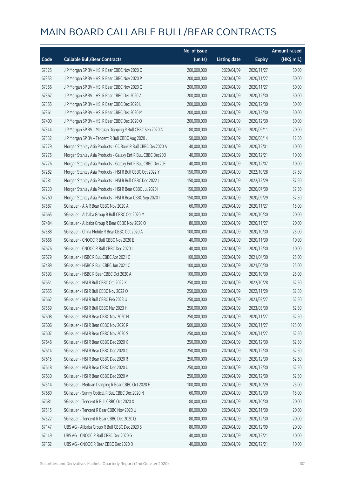|       |                                                              | No. of issue |                     |               | <b>Amount raised</b> |
|-------|--------------------------------------------------------------|--------------|---------------------|---------------|----------------------|
| Code  | <b>Callable Bull/Bear Contracts</b>                          | (units)      | <b>Listing date</b> | <b>Expiry</b> | (HK\$ mil.)          |
| 67325 | J P Morgan SP BV - HSI R Bear CBBC Nov 2020 O                | 200,000,000  | 2020/04/09          | 2020/11/27    | 50.00                |
| 67353 | J P Morgan SP BV - HSI R Bear CBBC Nov 2020 P                | 200,000,000  | 2020/04/09          | 2020/11/27    | 50.00                |
| 67356 | J P Morgan SP BV - HSI R Bear CBBC Nov 2020 Q                | 200,000,000  | 2020/04/09          | 2020/11/27    | 50.00                |
| 67367 | J P Morgan SP BV - HSI R Bear CBBC Dec 2020 A                | 200,000,000  | 2020/04/09          | 2020/12/30    | 50.00                |
| 67355 | JP Morgan SP BV - HSIR Bear CBBC Dec 2020 L                  | 200,000,000  | 2020/04/09          | 2020/12/30    | 50.00                |
| 67361 | J P Morgan SP BV - HSI R Bear CBBC Dec 2020 M                | 200,000,000  | 2020/04/09          | 2020/12/30    | 50.00                |
| 67400 | J P Morgan SP BV - HSI R Bear CBBC Dec 2020 O                | 200,000,000  | 2020/04/09          | 2020/12/30    | 50.00                |
| 67344 | J P Morgan SP BV - Meituan Dianping R Bull CBBC Sep 2020 A   | 80,000,000   | 2020/04/09          | 2020/09/11    | 20.00                |
| 67332 | J P Morgan SP BV - Tencent R Bull CBBC Aug 2020 J            | 50,000,000   | 2020/04/09          | 2020/08/14    | 12.50                |
| 67279 | Morgan Stanley Asia Products - CC Bank R Bull CBBC Dec2020 A | 40,000,000   | 2020/04/09          | 2020/12/01    | 10.00                |
| 67275 | Morgan Stanley Asia Products - Galaxy Ent R Bull CBBC Dec20D | 40,000,000   | 2020/04/09          | 2020/12/21    | 10.00                |
| 67276 | Morgan Stanley Asia Products - Galaxy Ent R Bull CBBC Dec20E | 40,000,000   | 2020/04/09          | 2020/12/07    | 10.00                |
| 67282 | Morgan Stanley Asia Products - HSI R Bull CBBC Oct 2022 Y    | 150,000,000  | 2020/04/09          | 2022/10/28    | 37.50                |
| 67281 | Morgan Stanley Asia Products - HSI R Bull CBBC Dec 2022 J    | 150,000,000  | 2020/04/09          | 2022/12/29    | 37.50                |
| 67230 | Morgan Stanley Asia Products - HSI R Bear CBBC Jul 2020 I    | 150,000,000  | 2020/04/09          | 2020/07/30    | 37.50                |
| 67260 | Morgan Stanley Asia Products - HSI R Bear CBBC Sep 2020 I    | 150,000,000  | 2020/04/09          | 2020/09/29    | 37.50                |
| 67587 | SG Issuer - AIA R Bear CBBC Nov 2020 A                       | 60,000,000   | 2020/04/09          | 2020/11/27    | 15.00                |
| 67665 | SG Issuer - Alibaba Group R Bull CBBC Oct 2020 M             | 80,000,000   | 2020/04/09          | 2020/10/30    | 20.00                |
| 67484 | SG Issuer - Alibaba Group R Bear CBBC Nov 2020 O             | 80,000,000   | 2020/04/09          | 2020/11/27    | 20.00                |
| 67588 | SG Issuer - China Mobile R Bear CBBC Oct 2020 A              | 100,000,000  | 2020/04/09          | 2020/10/30    | 25.00                |
| 67666 | SG Issuer - CNOOC R Bull CBBC Nov 2020 E                     | 40,000,000   | 2020/04/09          | 2020/11/30    | 10.00                |
| 67676 | SG Issuer - CNOOC R Bull CBBC Dec 2020 L                     | 40,000,000   | 2020/04/09          | 2020/12/30    | 10.00                |
| 67679 | SG Issuer - HSBC R Bull CBBC Apr 2021 C                      | 100,000,000  | 2020/04/09          | 2021/04/30    | 25.00                |
| 67489 | SG Issuer - HSBC R Bull CBBC Jun 2021 C                      | 100,000,000  | 2020/04/09          | 2021/06/30    | 25.00                |
| 67593 | SG Issuer - HSBC R Bear CBBC Oct 2020 A                      | 100,000,000  | 2020/04/09          | 2020/10/30    | 25.00                |
| 67651 | SG Issuer - HSI R Bull CBBC Oct 2022 K                       | 250,000,000  | 2020/04/09          | 2022/10/28    | 62.50                |
| 67655 | SG Issuer - HSI R Bull CBBC Nov 2022 O                       | 250,000,000  | 2020/04/09          | 2022/11/29    | 62.50                |
| 67662 | SG Issuer - HSI R Bull CBBC Feb 2023 U                       | 250,000,000  | 2020/04/09          | 2023/02/27    | 62.50                |
| 67559 | SG Issuer - HSI R Bull CBBC Mar 2023 H                       | 250,000,000  | 2020/04/09          | 2023/03/30    | 62.50                |
| 67608 | SG Issuer - HSI R Bear CBBC Nov 2020 H                       | 250,000,000  | 2020/04/09          | 2020/11/27    | 62.50                |
| 67606 | SG Issuer - HSI R Bear CBBC Nov 2020 R                       | 500,000,000  | 2020/04/09          | 2020/11/27    | 125.00               |
| 67607 | SG Issuer - HSI R Bear CBBC Nov 2020 S                       | 250,000,000  | 2020/04/09          | 2020/11/27    | 62.50                |
| 67646 | SG Issuer - HSI R Bear CBBC Dec 2020 K                       | 250,000,000  | 2020/04/09          | 2020/12/30    | 62.50                |
| 67614 | SG Issuer - HSI R Bear CBBC Dec 2020 Q                       | 250,000,000  | 2020/04/09          | 2020/12/30    | 62.50                |
| 67615 | SG Issuer - HSI R Bear CBBC Dec 2020 R                       | 250,000,000  | 2020/04/09          | 2020/12/30    | 62.50                |
| 67618 | SG Issuer - HSI R Bear CBBC Dec 2020 U                       | 250,000,000  | 2020/04/09          | 2020/12/30    | 62.50                |
| 67630 | SG Issuer - HSI R Bear CBBC Dec 2020 V                       | 250,000,000  | 2020/04/09          | 2020/12/30    | 62.50                |
| 67514 | SG Issuer - Meituan Dianping R Bear CBBC Oct 2020 F          | 100,000,000  | 2020/04/09          | 2020/10/29    | 25.00                |
| 67680 | SG Issuer - Sunny Optical R Bull CBBC Dec 2020 N             | 60,000,000   | 2020/04/09          | 2020/12/30    | 15.00                |
| 67681 | SG Issuer - Tencent R Bull CBBC Oct 2020 X                   | 80,000,000   | 2020/04/09          | 2020/10/30    | 20.00                |
| 67515 | SG Issuer - Tencent R Bear CBBC Nov 2020 U                   | 80,000,000   | 2020/04/09          | 2020/11/30    | 20.00                |
| 67522 | SG Issuer - Tencent R Bear CBBC Dec 2020 Q                   | 80,000,000   | 2020/04/09          | 2020/12/30    | 20.00                |
| 67147 | UBS AG - Alibaba Group R Bull CBBC Dec 2020 S                | 80,000,000   | 2020/04/09          | 2020/12/09    | 20.00                |
| 67149 | UBS AG - CNOOC R Bull CBBC Dec 2020 G                        | 40,000,000   | 2020/04/09          | 2020/12/21    | 10.00                |
| 67162 | UBS AG - CNOOC R Bear CBBC Dec 2020 D                        | 40,000,000   | 2020/04/09          | 2020/12/21    | 10.00                |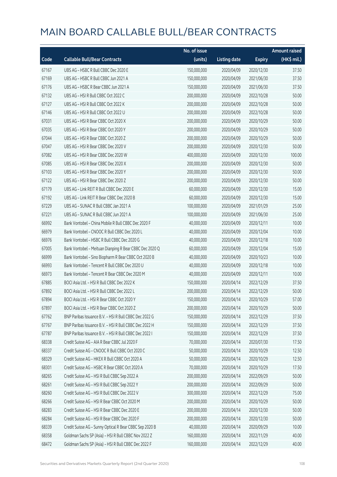|       |                                                         | No. of issue |                     |               | <b>Amount raised</b> |
|-------|---------------------------------------------------------|--------------|---------------------|---------------|----------------------|
| Code  | <b>Callable Bull/Bear Contracts</b>                     | (units)      | <b>Listing date</b> | <b>Expiry</b> | (HK\$ mil.)          |
| 67167 | UBS AG - HSBC R Bull CBBC Dec 2020 E                    | 150,000,000  | 2020/04/09          | 2020/12/30    | 37.50                |
| 67169 | UBS AG - HSBC R Bull CBBC Jun 2021 A                    | 150,000,000  | 2020/04/09          | 2021/06/30    | 37.50                |
| 67176 | UBS AG - HSBC R Bear CBBC Jun 2021 A                    | 150,000,000  | 2020/04/09          | 2021/06/30    | 37.50                |
| 67132 | UBS AG - HSI R Bull CBBC Oct 2022 C                     | 200,000,000  | 2020/04/09          | 2022/10/28    | 50.00                |
| 67127 | UBS AG - HSI R Bull CBBC Oct 2022 K                     | 200,000,000  | 2020/04/09          | 2022/10/28    | 50.00                |
| 67146 | UBS AG - HSI R Bull CBBC Oct 2022 U                     | 200,000,000  | 2020/04/09          | 2022/10/28    | 50.00                |
| 67031 | UBS AG - HSI R Bear CBBC Oct 2020 X                     | 200,000,000  | 2020/04/09          | 2020/10/29    | 50.00                |
| 67035 | UBS AG - HSI R Bear CBBC Oct 2020 Y                     | 200,000,000  | 2020/04/09          | 2020/10/29    | 50.00                |
| 67044 | UBS AG - HSI R Bear CBBC Oct 2020 Z                     | 200,000,000  | 2020/04/09          | 2020/10/29    | 50.00                |
| 67047 | UBS AG - HSI R Bear CBBC Dec 2020 V                     | 200,000,000  | 2020/04/09          | 2020/12/30    | 50.00                |
| 67082 | UBS AG - HSI R Bear CBBC Dec 2020 W                     | 400,000,000  | 2020/04/09          | 2020/12/30    | 100.00               |
| 67085 | UBS AG - HSI R Bear CBBC Dec 2020 X                     | 200,000,000  | 2020/04/09          | 2020/12/30    | 50.00                |
| 67103 | UBS AG - HSI R Bear CBBC Dec 2020 Y                     | 200,000,000  | 2020/04/09          | 2020/12/30    | 50.00                |
| 67122 | UBS AG - HSI R Bear CBBC Dec 2020 Z                     | 200,000,000  | 2020/04/09          | 2020/12/30    | 50.00                |
| 67179 | UBS AG - Link REIT R Bull CBBC Dec 2020 E               | 60,000,000   | 2020/04/09          | 2020/12/30    | 15.00                |
| 67192 | UBS AG - Link REIT R Bear CBBC Dec 2020 B               | 60,000,000   | 2020/04/09          | 2020/12/30    | 15.00                |
| 67229 | UBS AG - SUNAC R Bull CBBC Jan 2021 A                   | 100,000,000  | 2020/04/09          | 2021/01/29    | 25.00                |
| 67221 | UBS AG - SUNAC R Bull CBBC Jun 2021 A                   | 100,000,000  | 2020/04/09          | 2021/06/30    | 25.00                |
| 66992 | Bank Vontobel - China Mobile R Bull CBBC Dec 2020 F     | 40,000,000   | 2020/04/09          | 2020/12/11    | 10.00                |
| 66979 | Bank Vontobel - CNOOC R Bull CBBC Dec 2020 L            | 40,000,000   | 2020/04/09          | 2020/12/04    | 10.00                |
| 66976 | Bank Vontobel - HSBC R Bull CBBC Dec 2020 G             | 40,000,000   | 2020/04/09          | 2020/12/18    | 10.00                |
| 67005 | Bank Vontobel - Meituan Dianping R Bear CBBC Dec 2020 Q | 60,000,000   | 2020/04/09          | 2020/12/04    | 15.00                |
| 66999 | Bank Vontobel - Sino Biopharm R Bear CBBC Oct 2020 B    | 40,000,000   | 2020/04/09          | 2020/10/23    | 10.00                |
| 66993 | Bank Vontobel - Tencent R Bull CBBC Dec 2020 U          | 40,000,000   | 2020/04/09          | 2020/12/18    | 10.00                |
| 66973 | Bank Vontobel - Tencent R Bear CBBC Dec 2020 M          | 40,000,000   | 2020/04/09          | 2020/12/11    | 10.00                |
| 67885 | BOCI Asia Ltd. - HSI R Bull CBBC Dec 2022 K             | 150,000,000  | 2020/04/14          | 2022/12/29    | 37.50                |
| 67892 | BOCI Asia Ltd. - HSI R Bull CBBC Dec 2022 L             | 200,000,000  | 2020/04/14          | 2022/12/29    | 50.00                |
| 67894 | BOCI Asia Ltd. - HSI R Bear CBBC Oct 2020 Y             | 150,000,000  | 2020/04/14          | 2020/10/29    | 57.00                |
| 67897 | BOCI Asia Ltd. - HSI R Bear CBBC Oct 2020 Z             | 200,000,000  | 2020/04/14          | 2020/10/29    | 50.00                |
| 67762 | BNP Paribas Issuance B.V. - HSI R Bull CBBC Dec 2022 G  | 150,000,000  | 2020/04/14          | 2022/12/29    | 37.50                |
| 67767 | BNP Paribas Issuance B.V. - HSI R Bull CBBC Dec 2022 H  | 150,000,000  | 2020/04/14          | 2022/12/29    | 37.50                |
| 67787 | BNP Paribas Issuance B.V. - HSI R Bull CBBC Dec 2022 I  | 150,000,000  | 2020/04/14          | 2022/12/29    | 37.50                |
| 68338 | Credit Suisse AG - AIA R Bear CBBC Jul 2020 F           | 70,000,000   | 2020/04/14          | 2020/07/30    | 17.50                |
| 68337 | Credit Suisse AG - CNOOC R Bull CBBC Oct 2020 C         | 50,000,000   | 2020/04/14          | 2020/10/29    | 12.50                |
| 68329 | Credit Suisse AG - HKEX R Bull CBBC Oct 2020 A          | 50,000,000   | 2020/04/14          | 2020/10/29    | 12.50                |
| 68301 | Credit Suisse AG - HSBC R Bear CBBC Oct 2020 A          | 70,000,000   | 2020/04/14          | 2020/10/29    | 17.50                |
| 68265 | Credit Suisse AG - HSI R Bull CBBC Sep 2022 A           | 200,000,000  | 2020/04/14          | 2022/09/29    | 50.00                |
| 68261 | Credit Suisse AG - HSI R Bull CBBC Sep 2022 Y           | 200,000,000  | 2020/04/14          | 2022/09/29    | 50.00                |
| 68260 | Credit Suisse AG - HSI R Bull CBBC Dec 2022 V           | 300,000,000  | 2020/04/14          | 2022/12/29    | 75.00                |
| 68266 | Credit Suisse AG - HSI R Bear CBBC Oct 2020 M           | 200,000,000  | 2020/04/14          | 2020/10/29    | 50.00                |
| 68283 | Credit Suisse AG - HSI R Bear CBBC Dec 2020 E           | 200,000,000  | 2020/04/14          | 2020/12/30    | 50.00                |
| 68284 | Credit Suisse AG - HSI R Bear CBBC Dec 2020 F           | 200,000,000  | 2020/04/14          | 2020/12/30    | 50.00                |
| 68339 | Credit Suisse AG - Sunny Optical R Bear CBBC Sep 2020 B | 40,000,000   | 2020/04/14          | 2020/09/29    | 10.00                |
| 68358 | Goldman Sachs SP (Asia) - HSI R Bull CBBC Nov 2022 Z    | 160,000,000  | 2020/04/14          | 2022/11/29    | 40.00                |
| 68472 | Goldman Sachs SP (Asia) - HSI R Bull CBBC Dec 2022 F    | 160,000,000  | 2020/04/14          | 2022/12/29    | 40.00                |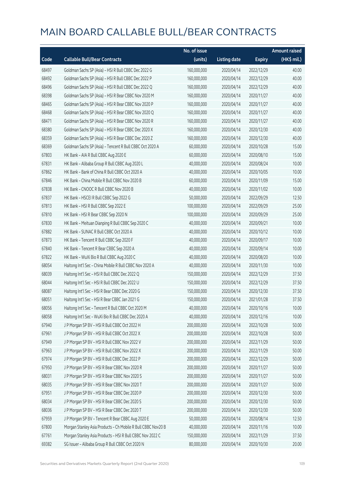|       |                                                              | No. of issue |                     |               | <b>Amount raised</b> |
|-------|--------------------------------------------------------------|--------------|---------------------|---------------|----------------------|
| Code  | <b>Callable Bull/Bear Contracts</b>                          | (units)      | <b>Listing date</b> | <b>Expiry</b> | (HK\$ mil.)          |
| 68497 | Goldman Sachs SP (Asia) - HSI R Bull CBBC Dec 2022 G         | 160,000,000  | 2020/04/14          | 2022/12/29    | 40.00                |
| 68492 | Goldman Sachs SP (Asia) - HSI R Bull CBBC Dec 2022 P         | 160,000,000  | 2020/04/14          | 2022/12/29    | 40.00                |
| 68496 | Goldman Sachs SP (Asia) - HSI R Bull CBBC Dec 2022 Q         | 160,000,000  | 2020/04/14          | 2022/12/29    | 40.00                |
| 68398 | Goldman Sachs SP (Asia) - HSI R Bear CBBC Nov 2020 M         | 160,000,000  | 2020/04/14          | 2020/11/27    | 40.00                |
| 68465 | Goldman Sachs SP (Asia) - HSI R Bear CBBC Nov 2020 P         | 160,000,000  | 2020/04/14          | 2020/11/27    | 40.00                |
| 68468 | Goldman Sachs SP (Asia) - HSI R Bear CBBC Nov 2020 Q         | 160,000,000  | 2020/04/14          | 2020/11/27    | 40.00                |
| 68471 | Goldman Sachs SP (Asia) - HSI R Bear CBBC Nov 2020 R         | 160,000,000  | 2020/04/14          | 2020/11/27    | 40.00                |
| 68380 | Goldman Sachs SP (Asia) - HSI R Bear CBBC Dec 2020 X         | 160,000,000  | 2020/04/14          | 2020/12/30    | 40.00                |
| 68359 | Goldman Sachs SP (Asia) - HSI R Bear CBBC Dec 2020 Z         | 160,000,000  | 2020/04/14          | 2020/12/30    | 40.00                |
| 68369 | Goldman Sachs SP (Asia) - Tencent R Bull CBBC Oct 2020 A     | 60,000,000   | 2020/04/14          | 2020/10/28    | 15.00                |
| 67803 | HK Bank - AIA R Bull CBBC Aug 2020 E                         | 60,000,000   | 2020/04/14          | 2020/08/10    | 15.00                |
| 67831 | HK Bank - Alibaba Group R Bull CBBC Aug 2020 L               | 40,000,000   | 2020/04/14          | 2020/08/24    | 10.00                |
| 67862 | HK Bank - Bank of China R Bull CBBC Oct 2020 A               | 40,000,000   | 2020/04/14          | 2020/10/05    | 10.00                |
| 67846 | HK Bank - China Mobile R Bull CBBC Nov 2020 B                | 60,000,000   | 2020/04/14          | 2020/11/09    | 15.00                |
| 67838 | HK Bank - CNOOC R Bull CBBC Nov 2020 B                       | 40,000,000   | 2020/04/14          | 2020/11/02    | 10.00                |
| 67837 | HK Bank - HSCEI R Bull CBBC Sep 2022 G                       | 50,000,000   | 2020/04/14          | 2022/09/29    | 12.50                |
| 67813 | HK Bank - HSI R Bull CBBC Sep 2022 E                         | 100,000,000  | 2020/04/14          | 2022/09/29    | 25.00                |
| 67810 | HK Bank - HSI R Bear CBBC Sep 2020 N                         | 100,000,000  | 2020/04/14          | 2020/09/29    | 25.00                |
| 67830 | HK Bank - Meituan Dianping R Bull CBBC Sep 2020 C            | 40,000,000   | 2020/04/14          | 2020/09/21    | 10.00                |
| 67882 | HK Bank - SUNAC R Bull CBBC Oct 2020 A                       | 40,000,000   | 2020/04/14          | 2020/10/12    | 10.00                |
| 67873 | HK Bank - Tencent R Bull CBBC Sep 2020 F                     | 40,000,000   | 2020/04/14          | 2020/09/17    | 10.00                |
| 67840 | HK Bank - Tencent R Bear CBBC Sep 2020 A                     | 40,000,000   | 2020/04/14          | 2020/09/14    | 10.00                |
| 67822 | HK Bank - WuXi Bio R Bull CBBC Aug 2020 C                    | 40,000,000   | 2020/04/14          | 2020/08/20    | 10.00                |
| 68054 | Haitong Int'l Sec - China Mobile R Bull CBBC Nov 2020 A      | 40,000,000   | 2020/04/14          | 2020/11/30    | 10.00                |
| 68039 | Haitong Int'l Sec - HSI R Bull CBBC Dec 2022 Q               | 150,000,000  | 2020/04/14          | 2022/12/29    | 37.50                |
| 68044 | Haitong Int'l Sec - HSI R Bull CBBC Dec 2022 U               | 150,000,000  | 2020/04/14          | 2022/12/29    | 37.50                |
| 68087 | Haitong Int'l Sec - HSI R Bear CBBC Dec 2020 G               | 150,000,000  | 2020/04/14          | 2020/12/30    | 37.50                |
| 68051 | Haitong Int'l Sec - HSI R Bear CBBC Jan 2021 G               | 150,000,000  | 2020/04/14          | 2021/01/28    | 37.50                |
| 68056 | Haitong Int'l Sec - Tencent R Bull CBBC Oct 2020 M           | 40,000,000   | 2020/04/14          | 2020/10/16    | 10.00                |
| 68058 | Haitong Int'l Sec - WuXi Bio R Bull CBBC Dec 2020 A          | 40,000,000   | 2020/04/14          | 2020/12/16    | 10.00                |
| 67940 | J P Morgan SP BV - HSI R Bull CBBC Oct 2022 H                | 200,000,000  | 2020/04/14          | 2022/10/28    | 50.00                |
| 67961 | J P Morgan SP BV - HSI R Bull CBBC Oct 2022 X                | 200,000,000  | 2020/04/14          | 2022/10/28    | 50.00                |
| 67949 | J P Morgan SP BV - HSI R Bull CBBC Nov 2022 V                | 200,000,000  | 2020/04/14          | 2022/11/29    | 50.00                |
| 67963 | J P Morgan SP BV - HSI R Bull CBBC Nov 2022 X                | 200,000,000  | 2020/04/14          | 2022/11/29    | 50.00                |
| 67974 | J P Morgan SP BV - HSI R Bull CBBC Dec 2022 P                | 200,000,000  | 2020/04/14          | 2022/12/29    | 50.00                |
| 67950 | J P Morgan SP BV - HSI R Bear CBBC Nov 2020 R                | 200,000,000  | 2020/04/14          | 2020/11/27    | 50.00                |
| 68031 | J P Morgan SP BV - HSI R Bear CBBC Nov 2020 S                | 200,000,000  | 2020/04/14          | 2020/11/27    | 50.00                |
| 68035 | J P Morgan SP BV - HSI R Bear CBBC Nov 2020 T                | 200,000,000  | 2020/04/14          | 2020/11/27    | 50.00                |
| 67951 | J P Morgan SP BV - HSI R Bear CBBC Dec 2020 P                | 200,000,000  | 2020/04/14          | 2020/12/30    | 50.00                |
| 68034 | J P Morgan SP BV - HSI R Bear CBBC Dec 2020 S                | 200,000,000  | 2020/04/14          | 2020/12/30    | 50.00                |
| 68036 | J P Morgan SP BV - HSI R Bear CBBC Dec 2020 T                | 200,000,000  | 2020/04/14          | 2020/12/30    | 50.00                |
| 67959 | J P Morgan SP BV - Tencent R Bear CBBC Aug 2020 E            | 50,000,000   | 2020/04/14          | 2020/08/14    | 12.50                |
| 67800 | Morgan Stanley Asia Products - Ch Mobile R Bull CBBC Nov20 B | 40,000,000   | 2020/04/14          | 2020/11/16    | 10.00                |
| 67761 | Morgan Stanley Asia Products - HSI R Bull CBBC Nov 2022 C    | 150,000,000  | 2020/04/14          | 2022/11/29    | 37.50                |
| 69382 | SG Issuer - Alibaba Group R Bull CBBC Oct 2020 N             | 80,000,000   | 2020/04/14          | 2020/10/30    | 20.00                |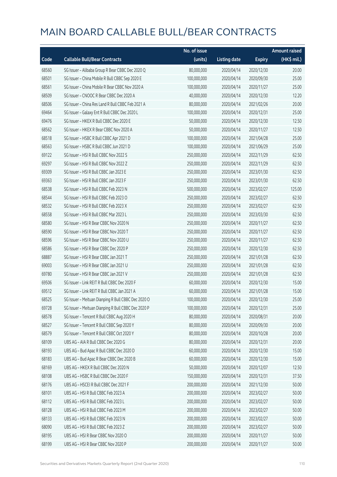|       |                                                     | No. of issue |                     |               | <b>Amount raised</b> |
|-------|-----------------------------------------------------|--------------|---------------------|---------------|----------------------|
| Code  | <b>Callable Bull/Bear Contracts</b>                 | (units)      | <b>Listing date</b> | <b>Expiry</b> | (HK\$ mil.)          |
| 68560 | SG Issuer - Alibaba Group R Bear CBBC Dec 2020 Q    | 80,000,000   | 2020/04/14          | 2020/12/30    | 20.00                |
| 68501 | SG Issuer - China Mobile R Bull CBBC Sep 2020 E     | 100,000,000  | 2020/04/14          | 2020/09/30    | 25.00                |
| 68561 | SG Issuer - China Mobile R Bear CBBC Nov 2020 A     | 100,000,000  | 2020/04/14          | 2020/11/27    | 25.00                |
| 68509 | SG Issuer - CNOOC R Bear CBBC Dec 2020 A            | 40,000,000   | 2020/04/14          | 2020/12/30    | 12.20                |
| 68506 | SG Issuer - China Res Land R Bull CBBC Feb 2021 A   | 80,000,000   | 2020/04/14          | 2021/02/26    | 20.00                |
| 69464 | SG Issuer - Galaxy Ent R Bull CBBC Dec 2020 L       | 100,000,000  | 2020/04/14          | 2020/12/31    | 25.00                |
| 69476 | SG Issuer - HKEX R Bull CBBC Dec 2020 E             | 50,000,000   | 2020/04/14          | 2020/12/30    | 12.50                |
| 68562 | SG Issuer - HKEX R Bear CBBC Nov 2020 A             | 50,000,000   | 2020/04/14          | 2020/11/27    | 12.50                |
| 68518 | SG Issuer - HSBC R Bull CBBC Apr 2021 D             | 100,000,000  | 2020/04/14          | 2021/04/28    | 25.00                |
| 68563 | SG Issuer - HSBC R Bull CBBC Jun 2021 D             | 100,000,000  | 2020/04/14          | 2021/06/29    | 25.00                |
| 69122 | SG Issuer - HSI R Bull CBBC Nov 2022 S              | 250,000,000  | 2020/04/14          | 2022/11/29    | 62.50                |
| 69297 | SG Issuer - HSI R Bull CBBC Nov 2022 Z              | 250,000,000  | 2020/04/14          | 2022/11/29    | 62.50                |
| 69309 | SG Issuer - HSI R Bull CBBC Jan 2023 E              | 250,000,000  | 2020/04/14          | 2023/01/30    | 62.50                |
| 69363 | SG Issuer - HSI R Bull CBBC Jan 2023 F              | 250,000,000  | 2020/04/14          | 2023/01/30    | 62.50                |
| 68538 | SG Issuer - HSI R Bull CBBC Feb 2023 N              | 500,000,000  | 2020/04/14          | 2023/02/27    | 125.00               |
| 68544 | SG Issuer - HSI R Bull CBBC Feb 2023 O              | 250,000,000  | 2020/04/14          | 2023/02/27    | 62.50                |
| 68532 | SG Issuer - HSI R Bull CBBC Feb 2023 X              | 250,000,000  | 2020/04/14          | 2023/02/27    | 62.50                |
| 68558 | SG Issuer - HSI R Bull CBBC Mar 2023 L              | 250,000,000  | 2020/04/14          | 2023/03/30    | 62.50                |
| 68580 | SG Issuer - HSI R Bear CBBC Nov 2020 N              | 250,000,000  | 2020/04/14          | 2020/11/27    | 62.50                |
| 68590 | SG Issuer - HSI R Bear CBBC Nov 2020 T              | 250,000,000  | 2020/04/14          | 2020/11/27    | 62.50                |
| 68596 | SG Issuer - HSI R Bear CBBC Nov 2020 U              | 250,000,000  | 2020/04/14          | 2020/11/27    | 62.50                |
| 68586 | SG Issuer - HSI R Bear CBBC Dec 2020 P              | 250,000,000  | 2020/04/14          | 2020/12/30    | 62.50                |
| 68887 | SG Issuer - HSI R Bear CBBC Jan 2021 T              | 250,000,000  | 2020/04/14          | 2021/01/28    | 62.50                |
| 69003 | SG Issuer - HSI R Bear CBBC Jan 2021 U              | 250,000,000  | 2020/04/14          | 2021/01/28    | 62.50                |
| 69780 | SG Issuer - HSI R Bear CBBC Jan 2021 V              | 250,000,000  | 2020/04/14          | 2021/01/28    | 62.50                |
| 69506 | SG Issuer - Link REIT R Bull CBBC Dec 2020 F        | 60,000,000   | 2020/04/14          | 2020/12/30    | 15.00                |
| 69512 | SG Issuer - Link REIT R Bull CBBC Jan 2021 A        | 60,000,000   | 2020/04/14          | 2021/01/28    | 15.00                |
| 68525 | SG Issuer - Meituan Dianping R Bull CBBC Dec 2020 O | 100,000,000  | 2020/04/14          | 2020/12/30    | 25.00                |
| 69728 | SG Issuer - Meituan Dianping R Bull CBBC Dec 2020 P | 100,000,000  | 2020/04/14          | 2020/12/31    | 25.00                |
| 68578 | SG Issuer - Tencent R Bull CBBC Aug 2020 H          | 80,000,000   | 2020/04/14          | 2020/08/31    | 20.00                |
| 68527 | SG Issuer - Tencent R Bull CBBC Sep 2020 Y          | 80,000,000   | 2020/04/14          | 2020/09/30    | 20.00                |
| 68579 | SG Issuer - Tencent R Bull CBBC Oct 2020 Y          | 80,000,000   | 2020/04/14          | 2020/10/28    | 20.00                |
| 68109 | UBS AG - AIA R Bull CBBC Dec 2020 G                 | 80,000,000   | 2020/04/14          | 2020/12/31    | 20.00                |
| 68193 | UBS AG - Bud Apac R Bull CBBC Dec 2020 D            | 60,000,000   | 2020/04/14          | 2020/12/30    | 15.00                |
| 68183 | UBS AG - Bud Apac R Bear CBBC Dec 2020 B            | 60,000,000   | 2020/04/14          | 2020/12/30    | 15.00                |
| 68169 | UBS AG - HKEX R Bull CBBC Dec 2020 N                | 50,000,000   | 2020/04/14          | 2020/12/07    | 12.50                |
| 68108 | UBS AG - HSBC R Bull CBBC Dec 2020 F                | 150,000,000  | 2020/04/14          | 2020/12/31    | 37.50                |
| 68176 | UBS AG - HSCEI R Bull CBBC Dec 2021 F               | 200,000,000  | 2020/04/14          | 2021/12/30    | 50.00                |
| 68101 | UBS AG - HSI R Bull CBBC Feb 2023 A                 | 200,000,000  | 2020/04/14          | 2023/02/27    | 50.00                |
| 68112 | UBS AG - HSI R Bull CBBC Feb 2023 L                 | 200,000,000  | 2020/04/14          | 2023/02/27    | 50.00                |
| 68128 | UBS AG - HSI R Bull CBBC Feb 2023 M                 | 200,000,000  | 2020/04/14          | 2023/02/27    | 50.00                |
| 68133 | UBS AG - HSI R Bull CBBC Feb 2023 N                 | 200,000,000  | 2020/04/14          | 2023/02/27    | 50.00                |
| 68090 | UBS AG - HSI R Bull CBBC Feb 2023 Z                 | 200,000,000  | 2020/04/14          | 2023/02/27    | 50.00                |
| 68195 | UBS AG - HSI R Bear CBBC Nov 2020 O                 | 200,000,000  | 2020/04/14          | 2020/11/27    | 50.00                |
| 68199 | UBS AG - HSI R Bear CBBC Nov 2020 P                 | 200,000,000  | 2020/04/14          | 2020/11/27    | 50.00                |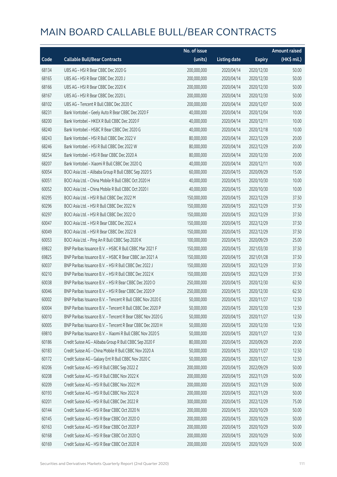|       |                                                            | No. of issue |                     |               | <b>Amount raised</b> |
|-------|------------------------------------------------------------|--------------|---------------------|---------------|----------------------|
| Code  | <b>Callable Bull/Bear Contracts</b>                        | (units)      | <b>Listing date</b> | <b>Expiry</b> | (HK\$ mil.)          |
| 68134 | UBS AG - HSI R Bear CBBC Dec 2020 G                        | 200,000,000  | 2020/04/14          | 2020/12/30    | 50.00                |
| 68165 | UBS AG - HSI R Bear CBBC Dec 2020 J                        | 200,000,000  | 2020/04/14          | 2020/12/30    | 50.00                |
| 68166 | UBS AG - HSI R Bear CBBC Dec 2020 K                        | 200,000,000  | 2020/04/14          | 2020/12/30    | 50.00                |
| 68167 | UBS AG - HSI R Bear CBBC Dec 2020 L                        | 200,000,000  | 2020/04/14          | 2020/12/30    | 50.00                |
| 68102 | UBS AG - Tencent R Bull CBBC Dec 2020 C                    | 200,000,000  | 2020/04/14          | 2020/12/07    | 50.00                |
| 68231 | Bank Vontobel - Geely Auto R Bear CBBC Dec 2020 F          | 40,000,000   | 2020/04/14          | 2020/12/04    | 10.00                |
| 68200 | Bank Vontobel - HKEX R Bull CBBC Dec 2020 F                | 40,000,000   | 2020/04/14          | 2020/12/11    | 10.00                |
| 68240 | Bank Vontobel - HSBC R Bear CBBC Dec 2020 G                | 40,000,000   | 2020/04/14          | 2020/12/18    | 10.00                |
| 68243 | Bank Vontobel - HSI R Bull CBBC Dec 2022 V                 | 80,000,000   | 2020/04/14          | 2022/12/29    | 20.00                |
| 68246 | Bank Vontobel - HSI R Bull CBBC Dec 2022 W                 | 80,000,000   | 2020/04/14          | 2022/12/29    | 20.00                |
| 68254 | Bank Vontobel - HSI R Bear CBBC Dec 2020 A                 | 80,000,000   | 2020/04/14          | 2020/12/30    | 20.00                |
| 68207 | Bank Vontobel - Xiaomi R Bull CBBC Dec 2020 Q              | 40,000,000   | 2020/04/14          | 2020/12/11    | 10.00                |
| 60054 | BOCI Asia Ltd. - Alibaba Group R Bull CBBC Sep 2020 S      | 60,000,000   | 2020/04/15          | 2020/09/29    | 15.00                |
| 60051 | BOCI Asia Ltd. - China Mobile R Bull CBBC Oct 2020 H       | 40,000,000   | 2020/04/15          | 2020/10/30    | 10.00                |
| 60052 | BOCI Asia Ltd. - China Mobile R Bull CBBC Oct 2020 I       | 40,000,000   | 2020/04/15          | 2020/10/30    | 10.00                |
| 60295 | BOCI Asia Ltd. - HSI R Bull CBBC Dec 2022 M                | 150,000,000  | 2020/04/15          | 2022/12/29    | 37.50                |
| 60296 | BOCI Asia Ltd. - HSI R Bull CBBC Dec 2022 N                | 150,000,000  | 2020/04/15          | 2022/12/29    | 37.50                |
| 60297 | BOCI Asia Ltd. - HSI R Bull CBBC Dec 2022 O                | 150,000,000  | 2020/04/15          | 2022/12/29    | 37.50                |
| 60047 | BOCI Asia Ltd. - HSI R Bear CBBC Dec 2022 A                | 150,000,000  | 2020/04/15          | 2022/12/29    | 37.50                |
| 60049 | BOCI Asia Ltd. - HSI R Bear CBBC Dec 2022 B                | 150,000,000  | 2020/04/15          | 2022/12/29    | 37.50                |
| 60053 | BOCI Asia Ltd. - Ping An R Bull CBBC Sep 2020 K            | 100,000,000  | 2020/04/15          | 2020/09/29    | 25.00                |
| 69822 | BNP Paribas Issuance B.V. - HSBC R Bull CBBC Mar 2021 F    | 150,000,000  | 2020/04/15          | 2021/03/30    | 37.50                |
| 69825 | BNP Paribas Issuance B.V. - HSBC R Bear CBBC Jan 2021 A    | 150,000,000  | 2020/04/15          | 2021/01/28    | 37.50                |
| 60037 | BNP Paribas Issuance B.V. - HSI R Bull CBBC Dec 2022 J     | 150,000,000  | 2020/04/15          | 2022/12/29    | 37.50                |
| 60210 | BNP Paribas Issuance B.V. - HSI R Bull CBBC Dec 2022 K     | 150,000,000  | 2020/04/15          | 2022/12/29    | 37.50                |
| 60038 | BNP Paribas Issuance B.V. - HSI R Bear CBBC Dec 2020 O     | 250,000,000  | 2020/04/15          | 2020/12/30    | 62.50                |
| 60046 | BNP Paribas Issuance B.V. - HSI R Bear CBBC Dec 2020 P     | 250,000,000  | 2020/04/15          | 2020/12/30    | 62.50                |
| 60002 | RNP Paribas Issuance R V - Tencent R Bull CRBC Nov 2020 F  | 50,000,000   | 2020/04/15          | 2020/11/27    | 12.50                |
| 60004 | BNP Paribas Issuance B.V. - Tencent R Bull CBBC Dec 2020 P | 50,000,000   | 2020/04/15          | 2020/12/30    | 12.50                |
| 60010 | BNP Paribas Issuance B.V. - Tencent R Bear CBBC Nov 2020 G | 50,000,000   | 2020/04/15          | 2020/11/27    | 12.50                |
| 60005 | BNP Paribas Issuance B.V. - Tencent R Bear CBBC Dec 2020 H | 50,000,000   | 2020/04/15          | 2020/12/30    | 12.50                |
| 69810 | BNP Paribas Issuance B.V. - Xiaomi R Bull CBBC Nov 2020 S  | 50,000,000   | 2020/04/15          | 2020/11/27    | 12.50                |
| 60186 | Credit Suisse AG - Alibaba Group R Bull CBBC Sep 2020 F    | 80,000,000   | 2020/04/15          | 2020/09/29    | 20.00                |
| 60183 | Credit Suisse AG - China Mobile R Bull CBBC Nov 2020 A     | 50,000,000   | 2020/04/15          | 2020/11/27    | 12.50                |
| 60172 | Credit Suisse AG - Galaxy Ent R Bull CBBC Nov 2020 C       | 50,000,000   | 2020/04/15          | 2020/11/27    | 12.50                |
| 60206 | Credit Suisse AG - HSI R Bull CBBC Sep 2022 Z              | 200,000,000  | 2020/04/15          | 2022/09/29    | 50.00                |
| 60208 | Credit Suisse AG - HSI R Bull CBBC Nov 2022 K              | 200,000,000  | 2020/04/15          | 2022/11/29    | 50.00                |
| 60209 | Credit Suisse AG - HSI R Bull CBBC Nov 2022 M              | 200,000,000  | 2020/04/15          | 2022/11/29    | 50.00                |
| 60193 | Credit Suisse AG - HSI R Bull CBBC Nov 2022 R              | 200,000,000  | 2020/04/15          | 2022/11/29    | 50.00                |
| 60201 | Credit Suisse AG - HSI R Bull CBBC Dec 2022 R              | 300,000,000  | 2020/04/15          | 2022/12/29    | 75.00                |
| 60144 | Credit Suisse AG - HSI R Bear CBBC Oct 2020 N              | 200,000,000  | 2020/04/15          | 2020/10/29    | 50.00                |
| 60145 | Credit Suisse AG - HSI R Bear CBBC Oct 2020 O              | 200,000,000  | 2020/04/15          | 2020/10/29    | 50.00                |
| 60163 | Credit Suisse AG - HSI R Bear CBBC Oct 2020 P              | 200,000,000  | 2020/04/15          | 2020/10/29    | 50.00                |
| 60168 | Credit Suisse AG - HSI R Bear CBBC Oct 2020 Q              | 200,000,000  | 2020/04/15          | 2020/10/29    | 50.00                |
| 60169 | Credit Suisse AG - HSI R Bear CBBC Oct 2020 R              | 200,000,000  | 2020/04/15          | 2020/10/29    | 50.00                |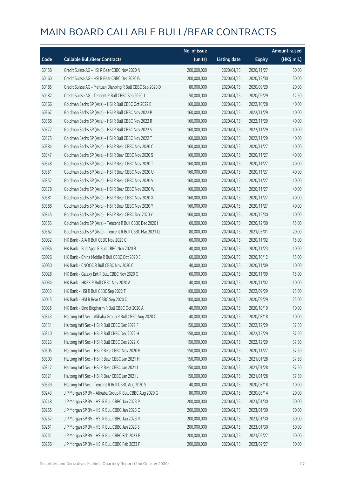|       |                                                            | No. of issue |                     |               | <b>Amount raised</b>  |
|-------|------------------------------------------------------------|--------------|---------------------|---------------|-----------------------|
| Code  | <b>Callable Bull/Bear Contracts</b>                        | (units)      | <b>Listing date</b> | <b>Expiry</b> | $(HK\frac{1}{2}mil.)$ |
| 60158 | Credit Suisse AG - HSI R Bear CBBC Nov 2020 N              | 200,000,000  | 2020/04/15          | 2020/11/27    | 50.00                 |
| 60160 | Credit Suisse AG - HSI R Bear CBBC Dec 2020 G              | 200,000,000  | 2020/04/15          | 2020/12/30    | 50.00                 |
| 60185 | Credit Suisse AG - Meituan Dianping R Bull CBBC Sep 2020 D | 80,000,000   | 2020/04/15          | 2020/09/29    | 20.00                 |
| 60182 | Credit Suisse AG - Tencent R Bull CBBC Sep 2020 J          | 50,000,000   | 2020/04/15          | 2020/09/29    | 12.50                 |
| 60366 | Goldman Sachs SP (Asia) - HSI R Bull CBBC Oct 2022 B       | 160,000,000  | 2020/04/15          | 2022/10/28    | 40.00                 |
| 60367 | Goldman Sachs SP (Asia) - HSI R Bull CBBC Nov 2022 P       | 160,000,000  | 2020/04/15          | 2022/11/29    | 40.00                 |
| 60368 | Goldman Sachs SP (Asia) - HSI R Bull CBBC Nov 2022 R       | 160,000,000  | 2020/04/15          | 2022/11/29    | 40.00                 |
| 60372 | Goldman Sachs SP (Asia) - HSI R Bull CBBC Nov 2022 S       | 160,000,000  | 2020/04/15          | 2022/11/29    | 40.00                 |
| 60375 | Goldman Sachs SP (Asia) - HSI R Bull CBBC Nov 2022 T       | 160,000,000  | 2020/04/15          | 2022/11/29    | 40.00                 |
| 60384 | Goldman Sachs SP (Asia) - HSI R Bear CBBC Nov 2020 C       | 160,000,000  | 2020/04/15          | 2020/11/27    | 40.00                 |
| 60347 | Goldman Sachs SP (Asia) - HSI R Bear CBBC Nov 2020 S       | 160,000,000  | 2020/04/15          | 2020/11/27    | 40.00                 |
| 60348 | Goldman Sachs SP (Asia) - HSI R Bear CBBC Nov 2020 T       | 160,000,000  | 2020/04/15          | 2020/11/27    | 40.00                 |
| 60351 | Goldman Sachs SP (Asia) - HSI R Bear CBBC Nov 2020 U       | 160,000,000  | 2020/04/15          | 2020/11/27    | 40.00                 |
| 60352 | Goldman Sachs SP (Asia) - HSI R Bear CBBC Nov 2020 V       | 160,000,000  | 2020/04/15          | 2020/11/27    | 40.00                 |
| 60378 | Goldman Sachs SP (Asia) - HSI R Bear CBBC Nov 2020 W       | 160,000,000  | 2020/04/15          | 2020/11/27    | 40.00                 |
| 60381 | Goldman Sachs SP (Asia) - HSI R Bear CBBC Nov 2020 X       | 160,000,000  | 2020/04/15          | 2020/11/27    | 40.00                 |
| 60388 | Goldman Sachs SP (Asia) - HSI R Bear CBBC Nov 2020 Y       | 160,000,000  | 2020/04/15          | 2020/11/27    | 40.00                 |
| 60345 | Goldman Sachs SP (Asia) - HSI R Bear CBBC Dec 2020 Y       | 160,000,000  | 2020/04/15          | 2020/12/30    | 40.00                 |
| 60353 | Goldman Sachs SP (Asia) - Tencent R Bull CBBC Dec 2020 I   | 60,000,000   | 2020/04/15          | 2020/12/30    | 15.00                 |
| 60362 | Goldman Sachs SP (Asia) - Tencent R Bull CBBC Mar 2021 Q   | 80,000,000   | 2020/04/15          | 2021/03/01    | 20.00                 |
| 60032 | HK Bank - AIA R Bull CBBC Nov 2020 C                       | 60,000,000   | 2020/04/15          | 2020/11/02    | 15.00                 |
| 60036 | HK Bank - Bud Apac R Bull CBBC Nov 2020 B                  | 40,000,000   | 2020/04/15          | 2020/11/23    | 10.00                 |
| 60026 | HK Bank - China Mobile R Bull CBBC Oct 2020 E              | 60,000,000   | 2020/04/15          | 2020/10/12    | 15.00                 |
| 60030 | HK Bank - CNOOC R Bull CBBC Nov 2020 C                     | 40,000,000   | 2020/04/15          | 2020/11/09    | 10.00                 |
| 60028 | HK Bank - Galaxy Ent R Bull CBBC Nov 2020 C                | 60,000,000   | 2020/04/15          | 2020/11/09    | 15.00                 |
| 60034 | HK Bank - HKEX R Bull CBBC Nov 2020 A                      | 40,000,000   | 2020/04/15          | 2020/11/02    | 10.00                 |
| 60033 | HK Bank - HSI R Bull CBBC Sep 2022 T                       | 100,000,000  | 2020/04/15          | 2022/09/29    | 25.00                 |
| 60015 | HK Bank - HSI R Bear CBBC Sep 2020 O                       | 100,000,000  | 2020/04/15          | 2020/09/29    | 25.00                 |
| 60035 | HK Bank - Sino Biopharm R Bull CBBC Oct 2020 A             | 40,000,000   | 2020/04/15          | 2020/10/19    | 10.00                 |
| 60343 | Haitong Int'l Sec - Alibaba Group R Bull CBBC Aug 2020 C   | 40,000,000   | 2020/04/15          | 2020/08/18    | 10.00                 |
| 60331 | Haitong Int'l Sec - HSI R Bull CBBC Dec 2022 F             | 150,000,000  | 2020/04/15          | 2022/12/29    | 37.50                 |
| 60340 | Haitong Int'l Sec - HSI R Bull CBBC Dec 2022 H             | 150,000,000  | 2020/04/15          | 2022/12/29    | 37.50                 |
| 60323 | Haitong Int'l Sec - HSI R Bull CBBC Dec 2022 X             | 150,000,000  | 2020/04/15          | 2022/12/29    | 37.50                 |
| 60305 | Haitong Int'l Sec - HSI R Bear CBBC Nov 2020 P             | 150,000,000  | 2020/04/15          | 2020/11/27    | 37.50                 |
| 60309 | Haitong Int'l Sec - HSI R Bear CBBC Jan 2021 H             | 150,000,000  | 2020/04/15          | 2021/01/28    | 37.50                 |
| 60317 | Haitong Int'l Sec - HSI R Bear CBBC Jan 2021 I             | 150,000,000  | 2020/04/15          | 2021/01/28    | 37.50                 |
| 60321 | Haitong Int'l Sec - HSI R Bear CBBC Jan 2021 J             | 150,000,000  | 2020/04/15          | 2021/01/28    | 37.50                 |
| 60339 | Haitong Int'l Sec - Tencent R Bull CBBC Aug 2020 S         | 40,000,000   | 2020/04/15          | 2020/08/18    | 10.00                 |
| 60243 | J P Morgan SP BV - Alibaba Group R Bull CBBC Aug 2020 G    | 80,000,000   | 2020/04/15          | 2020/08/14    | 20.00                 |
| 60248 | J P Morgan SP BV - HSI R Bull CBBC Jan 2023 P              | 200,000,000  | 2020/04/15          | 2023/01/30    | 50.00                 |
| 60255 | J P Morgan SP BV - HSI R Bull CBBC Jan 2023 Q              | 200,000,000  | 2020/04/15          | 2023/01/30    | 50.00                 |
| 60257 | J P Morgan SP BV - HSI R Bull CBBC Jan 2023 R              | 200,000,000  | 2020/04/15          | 2023/01/30    | 50.00                 |
| 60261 | J P Morgan SP BV - HSI R Bull CBBC Jan 2023 S              | 200,000,000  | 2020/04/15          | 2023/01/30    | 50.00                 |
| 60251 | J P Morgan SP BV - HSI R Bull CBBC Feb 2023 E              | 200,000,000  | 2020/04/15          | 2023/02/27    | 50.00                 |
| 60256 | J P Morgan SP BV - HSI R Bull CBBC Feb 2023 F              | 200,000,000  | 2020/04/15          | 2023/02/27    | 50.00                 |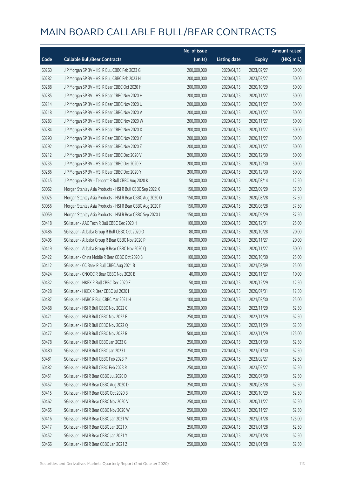|       |                                                           | No. of issue |                     |               | <b>Amount raised</b> |
|-------|-----------------------------------------------------------|--------------|---------------------|---------------|----------------------|
| Code  | <b>Callable Bull/Bear Contracts</b>                       | (units)      | <b>Listing date</b> | <b>Expiry</b> | (HK\$ mil.)          |
| 60260 | J P Morgan SP BV - HSI R Bull CBBC Feb 2023 G             | 200,000,000  | 2020/04/15          | 2023/02/27    | 50.00                |
| 60282 | J P Morgan SP BV - HSI R Bull CBBC Feb 2023 H             | 200,000,000  | 2020/04/15          | 2023/02/27    | 50.00                |
| 60288 | J P Morgan SP BV - HSI R Bear CBBC Oct 2020 H             | 200,000,000  | 2020/04/15          | 2020/10/29    | 50.00                |
| 60285 | J P Morgan SP BV - HSI R Bear CBBC Nov 2020 H             | 200,000,000  | 2020/04/15          | 2020/11/27    | 50.00                |
| 60214 | J P Morgan SP BV - HSI R Bear CBBC Nov 2020 U             | 200,000,000  | 2020/04/15          | 2020/11/27    | 50.00                |
| 60218 | J P Morgan SP BV - HSI R Bear CBBC Nov 2020 V             | 200,000,000  | 2020/04/15          | 2020/11/27    | 50.00                |
| 60283 | J P Morgan SP BV - HSI R Bear CBBC Nov 2020 W             | 200,000,000  | 2020/04/15          | 2020/11/27    | 50.00                |
| 60284 | J P Morgan SP BV - HSI R Bear CBBC Nov 2020 X             | 200,000,000  | 2020/04/15          | 2020/11/27    | 50.00                |
| 60290 | J P Morgan SP BV - HSI R Bear CBBC Nov 2020 Y             | 200,000,000  | 2020/04/15          | 2020/11/27    | 50.00                |
| 60292 | J P Morgan SP BV - HSI R Bear CBBC Nov 2020 Z             | 200,000,000  | 2020/04/15          | 2020/11/27    | 50.00                |
| 60212 | J P Morgan SP BV - HSI R Bear CBBC Dec 2020 V             | 200,000,000  | 2020/04/15          | 2020/12/30    | 50.00                |
| 60235 | J P Morgan SP BV - HSI R Bear CBBC Dec 2020 X             | 200,000,000  | 2020/04/15          | 2020/12/30    | 50.00                |
| 60286 | J P Morgan SP BV - HSI R Bear CBBC Dec 2020 Y             | 200,000,000  | 2020/04/15          | 2020/12/30    | 50.00                |
| 60245 | J P Morgan SP BV - Tencent R Bull CBBC Aug 2020 K         | 50,000,000   | 2020/04/15          | 2020/08/14    | 12.50                |
| 60062 | Morgan Stanley Asia Products - HSI R Bull CBBC Sep 2022 X | 150,000,000  | 2020/04/15          | 2022/09/29    | 37.50                |
| 60025 | Morgan Stanley Asia Products - HSI R Bear CBBC Aug 2020 O | 150,000,000  | 2020/04/15          | 2020/08/28    | 37.50                |
| 60056 | Morgan Stanley Asia Products - HSI R Bear CBBC Aug 2020 P | 150,000,000  | 2020/04/15          | 2020/08/28    | 37.50                |
| 60059 | Morgan Stanley Asia Products - HSI R Bear CBBC Sep 2020 J | 150,000,000  | 2020/04/15          | 2020/09/29    | 37.50                |
| 60418 | SG Issuer - AAC Tech R Bull CBBC Dec 2020 H               | 100,000,000  | 2020/04/15          | 2020/12/31    | 25.00                |
| 60486 | SG Issuer - Alibaba Group R Bull CBBC Oct 2020 O          | 80,000,000   | 2020/04/15          | 2020/10/28    | 20.00                |
| 60405 | SG Issuer - Alibaba Group R Bear CBBC Nov 2020 P          | 80,000,000   | 2020/04/15          | 2020/11/27    | 20.00                |
| 60419 | SG Issuer - Alibaba Group R Bear CBBC Nov 2020 Q          | 200,000,000  | 2020/04/15          | 2020/11/27    | 50.00                |
| 60422 | SG Issuer - China Mobile R Bear CBBC Oct 2020 B           | 100,000,000  | 2020/04/15          | 2020/10/30    | 25.00                |
| 60412 | SG Issuer - CC Bank R Bull CBBC Aug 2021 B                | 100,000,000  | 2020/04/15          | 2021/08/09    | 25.00                |
| 60424 | SG Issuer - CNOOC R Bear CBBC Nov 2020 B                  | 40,000,000   | 2020/04/15          | 2020/11/27    | 10.00                |
| 60432 | SG Issuer - HKEX R Bull CBBC Dec 2020 F                   | 50,000,000   | 2020/04/15          | 2020/12/29    | 12.50                |
| 60428 | SG Issuer - HKEX R Bear CBBC Jul 2020 I                   | 50,000,000   | 2020/04/15          | 2020/07/31    | 12.50                |
| 60487 | SG Issuer – HSBC R Bull CBBC Mar 2021 H                   | 100,000,000  | 2020/04/15          | 2021/03/30    | 25.00                |
| 60468 | SG Issuer - HSI R Bull CBBC Nov 2022 C                    | 250,000,000  | 2020/04/15          | 2022/11/29    | 62.50                |
| 60471 | SG Issuer - HSI R Bull CBBC Nov 2022 F                    | 250,000,000  | 2020/04/15          | 2022/11/29    | 62.50                |
| 60473 | SG Issuer - HSI R Bull CBBC Nov 2022 Q                    | 250,000,000  | 2020/04/15          | 2022/11/29    | 62.50                |
| 60477 | SG Issuer - HSI R Bull CBBC Nov 2022 R                    | 500,000,000  | 2020/04/15          | 2022/11/29    | 125.00               |
| 60478 | SG Issuer - HSI R Bull CBBC Jan 2023 G                    | 250,000,000  | 2020/04/15          | 2023/01/30    | 62.50                |
| 60480 | SG Issuer - HSI R Bull CBBC Jan 2023 I                    | 250,000,000  | 2020/04/15          | 2023/01/30    | 62.50                |
| 60481 | SG Issuer - HSI R Bull CBBC Feb 2023 P                    | 250,000,000  | 2020/04/15          | 2023/02/27    | 62.50                |
| 60482 | SG Issuer - HSI R Bull CBBC Feb 2023 R                    | 250,000,000  | 2020/04/15          | 2023/02/27    | 62.50                |
| 60451 | SG Issuer - HSI R Bear CBBC Jul 2020 D                    | 250,000,000  | 2020/04/15          | 2020/07/30    | 62.50                |
| 60457 | SG Issuer - HSI R Bear CBBC Aug 2020 D                    | 250,000,000  | 2020/04/15          | 2020/08/28    | 62.50                |
| 60415 | SG Issuer - HSI R Bear CBBC Oct 2020 B                    | 250,000,000  | 2020/04/15          | 2020/10/29    | 62.50                |
| 60462 | SG Issuer - HSI R Bear CBBC Nov 2020 V                    | 250,000,000  | 2020/04/15          | 2020/11/27    | 62.50                |
| 60465 | SG Issuer - HSI R Bear CBBC Nov 2020 W                    | 250,000,000  | 2020/04/15          | 2020/11/27    | 62.50                |
| 60416 | SG Issuer - HSI R Bear CBBC Jan 2021 W                    | 500,000,000  | 2020/04/15          | 2021/01/28    | 125.00               |
| 60417 | SG Issuer - HSI R Bear CBBC Jan 2021 X                    | 250,000,000  | 2020/04/15          | 2021/01/28    | 62.50                |
| 60452 | SG Issuer - HSI R Bear CBBC Jan 2021 Y                    | 250,000,000  | 2020/04/15          | 2021/01/28    | 62.50                |
| 60466 | SG Issuer - HSI R Bear CBBC Jan 2021 Z                    | 250,000,000  | 2020/04/15          | 2021/01/28    | 62.50                |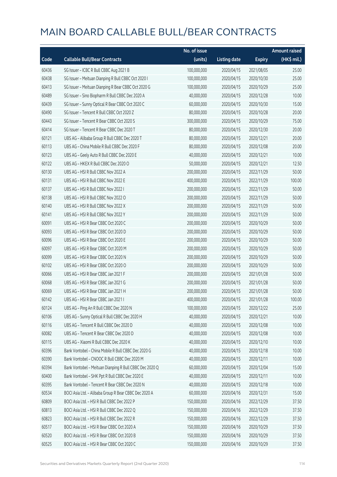|       |                                                         | No. of issue |                     |               | <b>Amount raised</b> |
|-------|---------------------------------------------------------|--------------|---------------------|---------------|----------------------|
| Code  | <b>Callable Bull/Bear Contracts</b>                     | (units)      | <b>Listing date</b> | <b>Expiry</b> | (HK\$ mil.)          |
| 60436 | SG Issuer - ICBC R Bull CBBC Aug 2021 B                 | 100,000,000  | 2020/04/15          | 2021/08/05    | 25.00                |
| 60438 | SG Issuer - Meituan Dianping R Bull CBBC Oct 2020 I     | 100,000,000  | 2020/04/15          | 2020/10/30    | 25.00                |
| 60413 | SG Issuer - Meituan Dianping R Bear CBBC Oct 2020 G     | 100,000,000  | 2020/04/15          | 2020/10/29    | 25.00                |
| 60489 | SG Issuer - Sino Biopharm R Bull CBBC Dec 2020 A        | 40,000,000   | 2020/04/15          | 2020/12/28    | 10.00                |
| 60439 | SG Issuer - Sunny Optical R Bear CBBC Oct 2020 C        | 60,000,000   | 2020/04/15          | 2020/10/30    | 15.00                |
| 60490 | SG Issuer - Tencent R Bull CBBC Oct 2020 Z              | 80,000,000   | 2020/04/15          | 2020/10/28    | 20.00                |
| 60443 | SG Issuer - Tencent R Bear CBBC Oct 2020 S              | 300,000,000  | 2020/04/15          | 2020/10/29    | 75.00                |
| 60414 | SG Issuer - Tencent R Bear CBBC Dec 2020 T              | 80,000,000   | 2020/04/15          | 2020/12/30    | 20.00                |
| 60121 | UBS AG - Alibaba Group R Bull CBBC Dec 2020 T           | 80,000,000   | 2020/04/15          | 2020/12/21    | 20.00                |
| 60113 | UBS AG - China Mobile R Bull CBBC Dec 2020 F            | 80,000,000   | 2020/04/15          | 2020/12/08    | 20.00                |
| 60123 | UBS AG - Geely Auto R Bull CBBC Dec 2020 E              | 40,000,000   | 2020/04/15          | 2020/12/21    | 10.00                |
| 60122 | UBS AG - HKEX R Bull CBBC Dec 2020 O                    | 50,000,000   | 2020/04/15          | 2020/12/21    | 12.50                |
| 60130 | UBS AG - HSI R Bull CBBC Nov 2022 A                     | 200,000,000  | 2020/04/15          | 2022/11/29    | 50.00                |
| 60131 | UBS AG - HSI R Bull CBBC Nov 2022 E                     | 400,000,000  | 2020/04/15          | 2022/11/29    | 100.00               |
| 60137 | UBS AG - HSI R Bull CBBC Nov 2022 I                     | 200,000,000  | 2020/04/15          | 2022/11/29    | 50.00                |
| 60138 | UBS AG - HSI R Bull CBBC Nov 2022 O                     | 200,000,000  | 2020/04/15          | 2022/11/29    | 50.00                |
| 60140 | UBS AG - HSI R Bull CBBC Nov 2022 X                     | 200,000,000  | 2020/04/15          | 2022/11/29    | 50.00                |
| 60141 | UBS AG - HSI R Bull CBBC Nov 2022 Y                     | 200,000,000  | 2020/04/15          | 2022/11/29    | 50.00                |
| 60091 | UBS AG - HSI R Bear CBBC Oct 2020 C                     | 200,000,000  | 2020/04/15          | 2020/10/29    | 50.00                |
| 60093 | UBS AG - HSI R Bear CBBC Oct 2020 D                     | 200,000,000  | 2020/04/15          | 2020/10/29    | 50.00                |
| 60096 | UBS AG - HSI R Bear CBBC Oct 2020 E                     | 200,000,000  | 2020/04/15          | 2020/10/29    | 50.00                |
| 60097 | UBS AG - HSI R Bear CBBC Oct 2020 M                     | 200,000,000  | 2020/04/15          | 2020/10/29    | 50.00                |
| 60099 | UBS AG - HSI R Bear CBBC Oct 2020 N                     | 200,000,000  | 2020/04/15          | 2020/10/29    | 50.00                |
| 60102 | UBS AG - HSI R Bear CBBC Oct 2020 O                     | 200,000,000  | 2020/04/15          | 2020/10/29    | 50.00                |
| 60066 | UBS AG - HSI R Bear CBBC Jan 2021 F                     | 200,000,000  | 2020/04/15          | 2021/01/28    | 50.00                |
| 60068 | UBS AG - HSI R Bear CBBC Jan 2021 G                     | 200,000,000  | 2020/04/15          | 2021/01/28    | 50.00                |
| 60069 | UBS AG - HSI R Bear CBBC Jan 2021 H                     | 200,000,000  | 2020/04/15          | 2021/01/28    | 50.00                |
| 60142 | UBS AG - HSI R Bear CBBC Jan 2021 I                     | 400,000,000  | 2020/04/15          | 2021/01/28    | 100.00               |
| 60124 | UBS AG - Ping An R Bull CBBC Dec 2020 N                 | 100,000,000  | 2020/04/15          | 2020/12/22    | 25.00                |
| 60106 | UBS AG - Sunny Optical R Bull CBBC Dec 2020 H           | 40,000,000   | 2020/04/15          | 2020/12/21    | 10.00                |
| 60116 | UBS AG - Tencent R Bull CBBC Dec 2020 D                 | 40,000,000   | 2020/04/15          | 2020/12/08    | 10.00                |
| 60082 | UBS AG - Tencent R Bear CBBC Dec 2020 D                 | 40,000,000   | 2020/04/15          | 2020/12/08    | 10.00                |
| 60115 | UBS AG - Xiaomi R Bull CBBC Dec 2020 K                  | 40,000,000   | 2020/04/15          | 2020/12/10    | 10.00                |
| 60396 | Bank Vontobel - China Mobile R Bull CBBC Dec 2020 G     | 40,000,000   | 2020/04/15          | 2020/12/18    | 10.00                |
| 60390 | Bank Vontobel - CNOOC R Bull CBBC Dec 2020 M            | 40,000,000   | 2020/04/15          | 2020/12/11    | 10.00                |
| 60394 | Bank Vontobel - Meituan Dianping R Bull CBBC Dec 2020 Q | 60,000,000   | 2020/04/15          | 2020/12/04    | 15.00                |
| 60400 | Bank Vontobel - SHK Ppt R Bull CBBC Dec 2020 E          | 40,000,000   | 2020/04/15          | 2020/12/11    | 10.00                |
| 60395 | Bank Vontobel - Tencent R Bear CBBC Dec 2020 N          | 40,000,000   | 2020/04/15          | 2020/12/18    | 10.00                |
| 60534 | BOCI Asia Ltd. - Alibaba Group R Bear CBBC Dec 2020 A   | 60,000,000   | 2020/04/16          | 2020/12/31    | 15.00                |
| 60809 | BOCI Asia Ltd. - HSI R Bull CBBC Dec 2022 P             | 150,000,000  | 2020/04/16          | 2022/12/29    | 37.50                |
| 60813 | BOCI Asia Ltd. - HSI R Bull CBBC Dec 2022 Q             | 150,000,000  | 2020/04/16          | 2022/12/29    | 37.50                |
| 60823 | BOCI Asia Ltd. - HSI R Bull CBBC Dec 2022 R             | 150,000,000  | 2020/04/16          | 2022/12/29    | 37.50                |
| 60517 | BOCI Asia Ltd. - HSI R Bear CBBC Oct 2020 A             | 150,000,000  | 2020/04/16          | 2020/10/29    | 37.50                |
| 60520 | BOCI Asia Ltd. - HSI R Bear CBBC Oct 2020 B             | 150,000,000  | 2020/04/16          | 2020/10/29    | 37.50                |
| 60525 | BOCI Asia Ltd. - HSI R Bear CBBC Oct 2020 C             | 150,000,000  | 2020/04/16          | 2020/10/29    | 37.50                |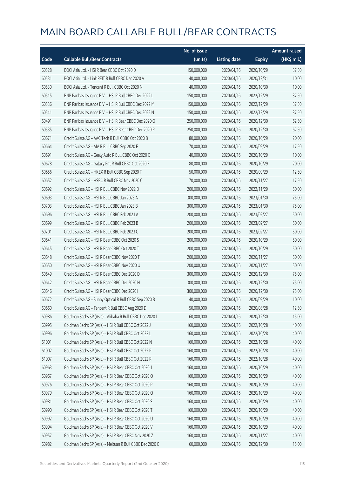|       |                                                          | No. of issue |                     |               | <b>Amount raised</b>  |
|-------|----------------------------------------------------------|--------------|---------------------|---------------|-----------------------|
| Code  | <b>Callable Bull/Bear Contracts</b>                      | (units)      | <b>Listing date</b> | <b>Expiry</b> | $(HK\frac{1}{2}mil.)$ |
| 60528 | BOCI Asia Ltd. - HSI R Bear CBBC Oct 2020 D              | 150,000,000  | 2020/04/16          | 2020/10/29    | 37.50                 |
| 60531 | BOCI Asia Ltd. - Link REIT R Bull CBBC Dec 2020 A        | 40,000,000   | 2020/04/16          | 2020/12/31    | 10.00                 |
| 60530 | BOCI Asia Ltd. - Tencent R Bull CBBC Oct 2020 N          | 40,000,000   | 2020/04/16          | 2020/10/30    | 10.00                 |
| 60515 | BNP Paribas Issuance B.V. - HSI R Bull CBBC Dec 2022 L   | 150,000,000  | 2020/04/16          | 2022/12/29    | 37.50                 |
| 60536 | BNP Paribas Issuance B.V. - HSI R Bull CBBC Dec 2022 M   | 150,000,000  | 2020/04/16          | 2022/12/29    | 37.50                 |
| 60541 | BNP Paribas Issuance B.V. - HSI R Bull CBBC Dec 2022 N   | 150,000,000  | 2020/04/16          | 2022/12/29    | 37.50                 |
| 60491 | BNP Paribas Issuance B.V. - HSI R Bear CBBC Dec 2020 Q   | 250,000,000  | 2020/04/16          | 2020/12/30    | 62.50                 |
| 60535 | BNP Paribas Issuance B.V. - HSI R Bear CBBC Dec 2020 R   | 250,000,000  | 2020/04/16          | 2020/12/30    | 62.50                 |
| 60671 | Credit Suisse AG - AAC Tech R Bull CBBC Oct 2020 B       | 80,000,000   | 2020/04/16          | 2020/10/29    | 20.00                 |
| 60664 | Credit Suisse AG - AIA R Bull CBBC Sep 2020 F            | 70,000,000   | 2020/04/16          | 2020/09/29    | 17.50                 |
| 60691 | Credit Suisse AG - Geely Auto R Bull CBBC Oct 2020 C     | 40,000,000   | 2020/04/16          | 2020/10/29    | 10.00                 |
| 60678 | Credit Suisse AG - Galaxy Ent R Bull CBBC Oct 2020 F     | 80,000,000   | 2020/04/16          | 2020/10/29    | 20.00                 |
| 60656 | Credit Suisse AG - HKEX R Bull CBBC Sep 2020 F           | 50,000,000   | 2020/04/16          | 2020/09/29    | 12.50                 |
| 60652 | Credit Suisse AG - HSBC R Bull CBBC Nov 2020 C           | 70,000,000   | 2020/04/16          | 2020/11/27    | 17.50                 |
| 60692 | Credit Suisse AG - HSI R Bull CBBC Nov 2022 D            | 200,000,000  | 2020/04/16          | 2022/11/29    | 50.00                 |
| 60693 | Credit Suisse AG - HSI R Bull CBBC Jan 2023 A            | 300,000,000  | 2020/04/16          | 2023/01/30    | 75.00                 |
| 60703 | Credit Suisse AG - HSI R Bull CBBC Jan 2023 B            | 300,000,000  | 2020/04/16          | 2023/01/30    | 75.00                 |
| 60696 | Credit Suisse AG - HSI R Bull CBBC Feb 2023 A            | 200,000,000  | 2020/04/16          | 2023/02/27    | 50.00                 |
| 60699 | Credit Suisse AG - HSI R Bull CBBC Feb 2023 B            | 200,000,000  | 2020/04/16          | 2023/02/27    | 50.00                 |
| 60701 | Credit Suisse AG - HSI R Bull CBBC Feb 2023 C            | 200,000,000  | 2020/04/16          | 2023/02/27    | 50.00                 |
| 60641 | Credit Suisse AG - HSI R Bear CBBC Oct 2020 S            | 200,000,000  | 2020/04/16          | 2020/10/29    | 50.00                 |
| 60645 | Credit Suisse AG - HSI R Bear CBBC Oct 2020 T            | 200,000,000  | 2020/04/16          | 2020/10/29    | 50.00                 |
| 60648 | Credit Suisse AG - HSI R Bear CBBC Nov 2020 T            | 200,000,000  | 2020/04/16          | 2020/11/27    | 50.00                 |
| 60650 | Credit Suisse AG - HSI R Bear CBBC Nov 2020 U            | 200,000,000  | 2020/04/16          | 2020/11/27    | 50.00                 |
| 60649 | Credit Suisse AG - HSI R Bear CBBC Dec 2020 D            | 300,000,000  | 2020/04/16          | 2020/12/30    | 75.00                 |
| 60642 | Credit Suisse AG - HSI R Bear CBBC Dec 2020 H            | 300,000,000  | 2020/04/16          | 2020/12/30    | 75.00                 |
| 60646 | Credit Suisse AG - HSI R Bear CBBC Dec 2020 I            | 300,000,000  | 2020/04/16          | 2020/12/30    | 75.00                 |
| 60672 | Credit Suisse AG - Sunny Optical R Bull CBBC Sep 2020 B  | 40,000,000   | 2020/04/16          | 2020/09/29    | 10.00                 |
| 60660 | Credit Suisse AG - Tencent R Bull CBBC Aug 2020 D        | 50,000,000   | 2020/04/16          | 2020/08/28    | 12.50                 |
| 60986 | Goldman Sachs SP (Asia) - Alibaba R Bull CBBC Dec 2020 I | 60,000,000   | 2020/04/16          | 2020/12/30    | 15.00                 |
| 60995 | Goldman Sachs SP (Asia) - HSI R Bull CBBC Oct 2022 J     | 160,000,000  | 2020/04/16          | 2022/10/28    | 40.00                 |
| 60996 | Goldman Sachs SP (Asia) - HSI R Bull CBBC Oct 2022 L     | 160,000,000  | 2020/04/16          | 2022/10/28    | 40.00                 |
| 61001 | Goldman Sachs SP (Asia) - HSI R Bull CBBC Oct 2022 N     | 160,000,000  | 2020/04/16          | 2022/10/28    | 40.00                 |
| 61002 | Goldman Sachs SP (Asia) - HSI R Bull CBBC Oct 2022 P     | 160,000,000  | 2020/04/16          | 2022/10/28    | 40.00                 |
| 61007 | Goldman Sachs SP (Asia) - HSI R Bull CBBC Oct 2022 R     | 160,000,000  | 2020/04/16          | 2022/10/28    | 40.00                 |
| 60963 | Goldman Sachs SP (Asia) - HSI R Bear CBBC Oct 2020 J     | 160,000,000  | 2020/04/16          | 2020/10/29    | 40.00                 |
| 60967 | Goldman Sachs SP (Asia) - HSI R Bear CBBC Oct 2020 O     | 160,000,000  | 2020/04/16          | 2020/10/29    | 40.00                 |
| 60976 | Goldman Sachs SP (Asia) - HSI R Bear CBBC Oct 2020 P     | 160,000,000  | 2020/04/16          | 2020/10/29    | 40.00                 |
| 60979 | Goldman Sachs SP (Asia) - HSI R Bear CBBC Oct 2020 Q     | 160,000,000  | 2020/04/16          | 2020/10/29    | 40.00                 |
| 60981 | Goldman Sachs SP (Asia) - HSI R Bear CBBC Oct 2020 S     | 160,000,000  | 2020/04/16          | 2020/10/29    | 40.00                 |
| 60990 | Goldman Sachs SP (Asia) - HSI R Bear CBBC Oct 2020 T     | 160,000,000  | 2020/04/16          | 2020/10/29    | 40.00                 |
| 60992 | Goldman Sachs SP (Asia) - HSI R Bear CBBC Oct 2020 U     | 160,000,000  | 2020/04/16          | 2020/10/29    | 40.00                 |
| 60994 | Goldman Sachs SP (Asia) - HSI R Bear CBBC Oct 2020 V     | 160,000,000  | 2020/04/16          | 2020/10/29    | 40.00                 |
| 60957 | Goldman Sachs SP (Asia) - HSI R Bear CBBC Nov 2020 Z     | 160,000,000  | 2020/04/16          | 2020/11/27    | 40.00                 |
| 60982 | Goldman Sachs SP (Asia) - Meituan R Bull CBBC Dec 2020 C | 60,000,000   | 2020/04/16          | 2020/12/30    | 15.00                 |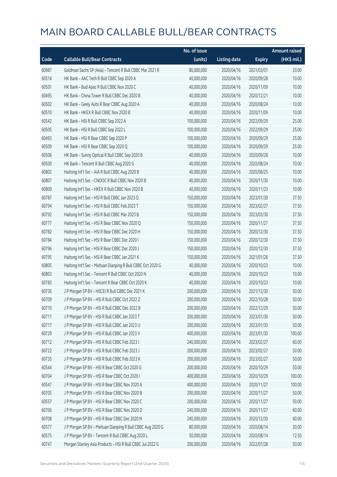|       |                                                             | No. of issue |                     |               | <b>Amount raised</b> |
|-------|-------------------------------------------------------------|--------------|---------------------|---------------|----------------------|
| Code  | <b>Callable Bull/Bear Contracts</b>                         | (units)      | <b>Listing date</b> | <b>Expiry</b> | (HK\$ mil.)          |
| 60987 | Goldman Sachs SP (Asia) - Tencent R Bull CBBC Mar 2021 R    | 80,000,000   | 2020/04/16          | 2021/03/01    | 20.00                |
| 60514 | HK Bank - AAC Tech R Bull CBBC Sep 2020 A                   | 40,000,000   | 2020/04/16          | 2020/09/28    | 10.00                |
| 60501 | HK Bank - Bud Apac R Bull CBBC Nov 2020 C                   | 40,000,000   | 2020/04/16          | 2020/11/09    | 10.00                |
| 60495 | HK Bank - China Tower R Bull CBBC Dec 2020 B                | 40,000,000   | 2020/04/16          | 2020/12/21    | 10.00                |
| 60502 | HK Bank - Geely Auto R Bear CBBC Aug 2020 A                 | 40,000,000   | 2020/04/16          | 2020/08/24    | 10.00                |
| 60510 | HK Bank - HKEX R Bull CBBC Nov 2020 B                       | 40,000,000   | 2020/04/16          | 2020/11/09    | 10.00                |
| 60542 | HK Bank - HSI R Bull CBBC Sep 2022 A                        | 100,000,000  | 2020/04/16          | 2022/09/29    | 25.00                |
| 60505 | HK Bank - HSI R Bull CBBC Sep 2022 L                        | 100,000,000  | 2020/04/16          | 2022/09/29    | 25.00                |
| 60493 | HK Bank - HSI R Bear CBBC Sep 2020 P                        | 100,000,000  | 2020/04/16          | 2020/09/29    | 25.00                |
| 60509 | HK Bank - HSI R Bear CBBC Sep 2020 Q                        | 100,000,000  | 2020/04/16          | 2020/09/29    | 25.00                |
| 60506 | HK Bank - Sunny Optical R Bull CBBC Sep 2020 B              | 40,000,000   | 2020/04/16          | 2020/09/28    | 10.00                |
| 60500 | HK Bank - Tencent R Bull CBBC Aug 2020 G                    | 40,000,000   | 2020/04/16          | 2020/08/24    | 10.00                |
| 60802 | Haitong Int'l Sec - AIA R Bull CBBC Aug 2020 B              | 40,000,000   | 2020/04/16          | 2020/08/25    | 10.00                |
| 60807 | Haitong Int'l Sec - CNOOC R Bull CBBC Nov 2020 B            | 40,000,000   | 2020/04/16          | 2020/11/30    | 10.00                |
| 60800 | Haitong Int'l Sec - HKEX R Bull CBBC Nov 2020 B             | 40,000,000   | 2020/04/16          | 2020/11/23    | 10.00                |
| 60787 | Haitong Int'l Sec - HSI R Bull CBBC Jan 2023 Q              | 150,000,000  | 2020/04/16          | 2023/01/30    | 37.50                |
| 60794 | Haitong Int'l Sec - HSI R Bull CBBC Feb 2023 T              | 150,000,000  | 2020/04/16          | 2023/02/27    | 37.50                |
| 60792 | Haitong Int'l Sec - HSI R Bull CBBC Mar 2023 B              | 150,000,000  | 2020/04/16          | 2023/03/30    | 37.50                |
| 60777 | Haitong Int'l Sec - HSI R Bear CBBC Nov 2020 Q              | 150,000,000  | 2020/04/16          | 2020/11/27    | 37.50                |
| 60782 | Haitong Int'l Sec - HSI R Bear CBBC Dec 2020 H              | 150,000,000  | 2020/04/16          | 2020/12/30    | 37.50                |
| 60784 | Haitong Int'l Sec - HSI R Bear CBBC Dec 2020 I              | 150,000,000  | 2020/04/16          | 2020/12/30    | 37.50                |
| 60796 | Haitong Int'l Sec - HSI R Bear CBBC Dec 2020 J              | 150,000,000  | 2020/04/16          | 2020/12/30    | 37.50                |
| 60795 | Haitong Int'l Sec - HSI R Bear CBBC Jan 2021 K              | 150,000,000  | 2020/04/16          | 2021/01/28    | 37.50                |
| 60805 | Haitong Int'l Sec - Meituan Dianping R Bull CBBC Oct 2020 G | 40,000,000   | 2020/04/16          | 2020/10/23    | 10.00                |
| 60803 | Haitong Int'l Sec - Tencent R Bull CBBC Oct 2020 N          | 40,000,000   | 2020/04/16          | 2020/10/23    | 10.00                |
| 60783 | Haitong Int'l Sec - Tencent R Bear CBBC Oct 2020 K          | 40,000,000   | 2020/04/16          | 2020/10/23    | 10.00                |
| 60736 | J P Morgan SP BV - HSCEI R Bull CBBC Dec 2021 K             | 200,000,000  | 2020/04/16          | 2021/12/30    | 50.00                |
| 60709 | J P Morgan SP BV - HSI R Bull CBBC Oct 2022 Z               | 200,000,000  | 2020/04/16          | 2022/10/28    | 50.00                |
| 60710 | J P Morgan SP BV - HSI R Bull CBBC Dec 2022 B               | 200,000,000  | 2020/04/16          | 2022/12/29    | 50.00                |
| 60711 | J P Morgan SP BV - HSI R Bull CBBC Jan 2023 T               | 200,000,000  | 2020/04/16          | 2023/01/30    | 50.00                |
| 60717 | J P Morgan SP BV - HSI R Bull CBBC Jan 2023 U               | 200,000,000  | 2020/04/16          | 2023/01/30    | 50.00                |
| 60729 | J P Morgan SP BV - HSI R Bull CBBC Jan 2023 V               | 400,000,000  | 2020/04/16          | 2023/01/30    | 100.00               |
| 60712 | J P Morgan SP BV - HSI R Bull CBBC Feb 2023 I               | 240,000,000  | 2020/04/16          | 2023/02/27    | 60.00                |
| 60722 | J P Morgan SP BV - HSI R Bull CBBC Feb 2023 J               | 200,000,000  | 2020/04/16          | 2023/02/27    | 50.00                |
| 60735 | J P Morgan SP BV - HSI R Bull CBBC Feb 2023 K               | 200,000,000  | 2020/04/16          | 2023/02/27    | 50.00                |
| 60544 | J P Morgan SP BV - HSI R Bear CBBC Oct 2020 G               | 200,000,000  | 2020/04/16          | 2020/10/29    | 50.00                |
| 60704 | J P Morgan SP BV - HSI R Bear CBBC Oct 2020 I               | 400,000,000  | 2020/04/16          | 2020/10/29    | 100.00               |
| 60547 | J P Morgan SP BV - HSI R Bear CBBC Nov 2020 A               | 400,000,000  | 2020/04/16          | 2020/11/27    | 100.00               |
| 60705 | J P Morgan SP BV - HSI R Bear CBBC Nov 2020 B               | 200,000,000  | 2020/04/16          | 2020/11/27    | 50.00                |
| 60557 | J P Morgan SP BV - HSI R Bear CBBC Nov 2020 C               | 200,000,000  | 2020/04/16          | 2020/11/27    | 50.00                |
| 60706 | J P Morgan SP BV - HSI R Bear CBBC Nov 2020 D               | 240,000,000  | 2020/04/16          | 2020/11/27    | 60.00                |
| 60708 | J P Morgan SP BV - HSI R Bear CBBC Dec 2020 N               | 240,000,000  | 2020/04/16          | 2020/12/30    | 60.00                |
| 60577 | J P Morgan SP BV - Meituan Dianping R Bull CBBC Aug 2020 G  | 80,000,000   | 2020/04/16          | 2020/08/14    | 20.00                |
| 60575 | J P Morgan SP BV - Tencent R Bull CBBC Aug 2020 L           | 50,000,000   | 2020/04/16          | 2020/08/14    | 12.50                |
| 60747 | Morgan Stanley Asia Products - HSI R Bull CBBC Jul 2022 G   | 200,000,000  | 2020/04/16          | 2022/07/28    | 50.00                |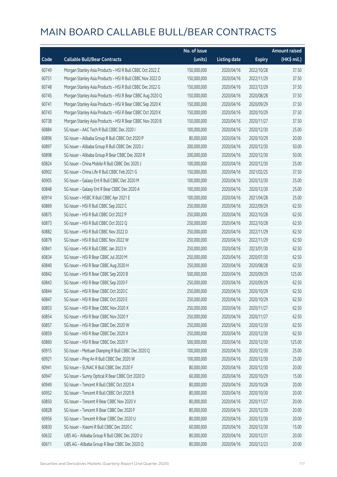|       |                                                           | No. of issue |                     |               | <b>Amount raised</b> |
|-------|-----------------------------------------------------------|--------------|---------------------|---------------|----------------------|
| Code  | <b>Callable Bull/Bear Contracts</b>                       | (units)      | <b>Listing date</b> | <b>Expiry</b> | $(HK$$ mil.)         |
| 60749 | Morgan Stanley Asia Products - HSI R Bull CBBC Oct 2022 Z | 150,000,000  | 2020/04/16          | 2022/10/28    | 37.50                |
| 60751 | Morgan Stanley Asia Products - HSI R Bull CBBC Nov 2022 D | 150,000,000  | 2020/04/16          | 2022/11/29    | 37.50                |
| 60748 | Morgan Stanley Asia Products - HSI R Bull CBBC Dec 2022 G | 150,000,000  | 2020/04/16          | 2022/12/29    | 37.50                |
| 60745 | Morgan Stanley Asia Products - HSI R Bear CBBC Aug 2020 Q | 150,000,000  | 2020/04/16          | 2020/08/28    | 37.50                |
| 60741 | Morgan Stanley Asia Products - HSI R Bear CBBC Sep 2020 K | 150,000,000  | 2020/04/16          | 2020/09/29    | 37.50                |
| 60743 | Morgan Stanley Asia Products - HSI R Bear CBBC Oct 2020 K | 150,000,000  | 2020/04/16          | 2020/10/29    | 37.50                |
| 60738 | Morgan Stanley Asia Products - HSI R Bear CBBC Nov 2020 B | 150,000,000  | 2020/04/16          | 2020/11/27    | 37.50                |
| 60884 | SG Issuer - AAC Tech R Bull CBBC Dec 2020 I               | 100,000,000  | 2020/04/16          | 2020/12/30    | 25.00                |
| 60896 | SG Issuer - Alibaba Group R Bull CBBC Oct 2020 P          | 80,000,000   | 2020/04/16          | 2020/10/29    | 20.00                |
| 60897 | SG Issuer - Alibaba Group R Bull CBBC Dec 2020 J          | 200,000,000  | 2020/04/16          | 2020/12/30    | 50.00                |
| 60898 | SG Issuer - Alibaba Group R Bear CBBC Dec 2020 R          | 200,000,000  | 2020/04/16          | 2020/12/30    | 50.00                |
| 60824 | SG Issuer - China Mobile R Bull CBBC Dec 2020 J           | 100,000,000  | 2020/04/16          | 2020/12/30    | 25.00                |
| 60902 | SG Issuer - China Life R Bull CBBC Feb 2021 G             | 150,000,000  | 2020/04/16          | 2021/02/25    | 37.50                |
| 60905 | SG Issuer - Galaxy Ent R Bull CBBC Dec 2020 M             | 100,000,000  | 2020/04/16          | 2020/12/30    | 25.00                |
| 60848 | SG Issuer - Galaxy Ent R Bear CBBC Dec 2020 A             | 100,000,000  | 2020/04/16          | 2020/12/30    | 25.00                |
| 60914 | SG Issuer - HSBC R Bull CBBC Apr 2021 E                   | 100,000,000  | 2020/04/16          | 2021/04/28    | 25.00                |
| 60869 | SG Issuer - HSI R Bull CBBC Sep 2022 C                    | 250,000,000  | 2020/04/16          | 2022/09/29    | 62.50                |
| 60875 | SG Issuer - HSI R Bull CBBC Oct 2022 P                    | 250,000,000  | 2020/04/16          | 2022/10/28    | 62.50                |
| 60873 | SG Issuer - HSI R Bull CBBC Oct 2022 Q                    | 250,000,000  | 2020/04/16          | 2022/10/28    | 62.50                |
| 60882 | SG Issuer - HSI R Bull CBBC Nov 2022 D                    | 250,000,000  | 2020/04/16          | 2022/11/29    | 62.50                |
| 60879 | SG Issuer - HSI R Bull CBBC Nov 2022 W                    | 250,000,000  | 2020/04/16          | 2022/11/29    | 62.50                |
| 60841 | SG Issuer - HSI R Bull CBBC Jan 2023 V                    | 250,000,000  | 2020/04/16          | 2023/01/30    | 62.50                |
| 60834 | SG Issuer - HSI R Bear CBBC Jul 2020 M                    | 250,000,000  | 2020/04/16          | 2020/07/30    | 62.50                |
| 60840 | SG Issuer - HSI R Bear CBBC Aug 2020 H                    | 250,000,000  | 2020/04/16          | 2020/08/28    | 62.50                |
| 60842 | SG Issuer - HSI R Bear CBBC Sep 2020 B                    | 500,000,000  | 2020/04/16          | 2020/09/29    | 125.00               |
| 60843 | SG Issuer - HSI R Bear CBBC Sep 2020 F                    | 250,000,000  | 2020/04/16          | 2020/09/29    | 62.50                |
| 60844 | SG Issuer - HSI R Bear CBBC Oct 2020 C                    | 250,000,000  | 2020/04/16          | 2020/10/29    | 62.50                |
| 60847 | SG Issuer - HSI R Bear CBBC Oct 2020 E                    | 250,000,000  | 2020/04/16          | 2020/10/29    | 62.50                |
| 60853 | SG Issuer - HSI R Bear CBBC Nov 2020 X                    | 250,000,000  | 2020/04/16          | 2020/11/27    | 62.50                |
| 60854 | SG Issuer - HSI R Bear CBBC Nov 2020 Y                    | 250,000,000  | 2020/04/16          | 2020/11/27    | 62.50                |
| 60857 | SG Issuer - HSI R Bear CBBC Dec 2020 W                    | 250,000,000  | 2020/04/16          | 2020/12/30    | 62.50                |
| 60859 | SG Issuer - HSI R Bear CBBC Dec 2020 X                    | 250,000,000  | 2020/04/16          | 2020/12/30    | 62.50                |
| 60860 | SG Issuer - HSI R Bear CBBC Dec 2020 Y                    | 500,000,000  | 2020/04/16          | 2020/12/30    | 125.00               |
| 60915 | SG Issuer - Meituan Dianping R Bull CBBC Dec 2020 Q       | 100,000,000  | 2020/04/16          | 2020/12/30    | 25.00                |
| 60921 | SG Issuer - Ping An R Bull CBBC Dec 2020 W                | 100,000,000  | 2020/04/16          | 2020/12/30    | 25.00                |
| 60941 | SG Issuer - SUNAC R Bull CBBC Dec 2020 F                  | 80,000,000   | 2020/04/16          | 2020/12/30    | 20.00                |
| 60947 | SG Issuer - Sunny Optical R Bear CBBC Oct 2020 D          | 60,000,000   | 2020/04/16          | 2020/10/29    | 15.00                |
| 60949 | SG Issuer - Tencent R Bull CBBC Oct 2020 A                | 80,000,000   | 2020/04/16          | 2020/10/28    | 20.00                |
| 60952 | SG Issuer - Tencent R Bull CBBC Oct 2020 B                | 80,000,000   | 2020/04/16          | 2020/10/30    | 20.00                |
| 60850 | SG Issuer - Tencent R Bear CBBC Nov 2020 V                | 80,000,000   | 2020/04/16          | 2020/11/27    | 20.00                |
| 60828 | SG Issuer - Tencent R Bear CBBC Dec 2020 F                | 80,000,000   | 2020/04/16          | 2020/12/30    | 20.00                |
| 60956 | SG Issuer - Tencent R Bear CBBC Dec 2020 U                | 80,000,000   | 2020/04/16          | 2020/12/30    | 20.00                |
| 60830 | SG Issuer - Xiaomi R Bull CBBC Dec 2020 C                 | 60,000,000   | 2020/04/16          | 2020/12/30    | 15.00                |
| 60632 | UBS AG - Alibaba Group R Bull CBBC Dec 2020 U             | 80,000,000   | 2020/04/16          | 2020/12/31    | 20.00                |
| 60611 | UBS AG - Alibaba Group R Bear CBBC Dec 2020 Q             | 80,000,000   | 2020/04/16          | 2020/12/23    | 20.00                |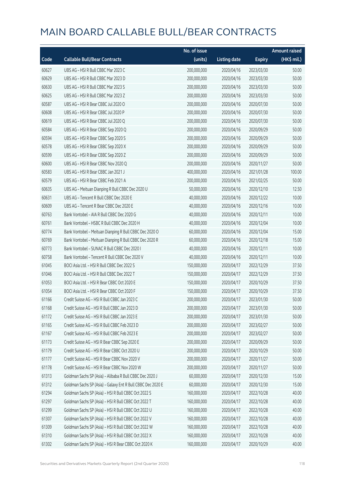|       |                                                             | No. of issue |                     |               | <b>Amount raised</b> |
|-------|-------------------------------------------------------------|--------------|---------------------|---------------|----------------------|
| Code  | <b>Callable Bull/Bear Contracts</b>                         | (units)      | <b>Listing date</b> | <b>Expiry</b> | (HK\$ mil.)          |
| 60627 | UBS AG - HSI R Bull CBBC Mar 2023 C                         | 200,000,000  | 2020/04/16          | 2023/03/30    | 50.00                |
| 60629 | UBS AG - HSI R Bull CBBC Mar 2023 D                         | 200,000,000  | 2020/04/16          | 2023/03/30    | 50.00                |
| 60630 | UBS AG - HSI R Bull CBBC Mar 2023 S                         | 200,000,000  | 2020/04/16          | 2023/03/30    | 50.00                |
| 60625 | UBS AG - HSI R Bull CBBC Mar 2023 Z                         | 200,000,000  | 2020/04/16          | 2023/03/30    | 50.00                |
| 60587 | UBS AG - HSI R Bear CBBC Jul 2020 O                         | 200,000,000  | 2020/04/16          | 2020/07/30    | 50.00                |
| 60608 | UBS AG - HSI R Bear CBBC Jul 2020 P                         | 200,000,000  | 2020/04/16          | 2020/07/30    | 50.00                |
| 60619 | UBS AG - HSI R Bear CBBC Jul 2020 Q                         | 200,000,000  | 2020/04/16          | 2020/07/30    | 50.00                |
| 60584 | UBS AG - HSI R Bear CBBC Sep 2020 Q                         | 200,000,000  | 2020/04/16          | 2020/09/29    | 50.00                |
| 60594 | UBS AG - HSI R Bear CBBC Sep 2020 S                         | 200,000,000  | 2020/04/16          | 2020/09/29    | 50.00                |
| 60578 | UBS AG - HSI R Bear CBBC Sep 2020 X                         | 200,000,000  | 2020/04/16          | 2020/09/29    | 50.00                |
| 60599 | UBS AG - HSI R Bear CBBC Sep 2020 Z                         | 200,000,000  | 2020/04/16          | 2020/09/29    | 50.00                |
| 60600 | UBS AG - HSI R Bear CBBC Nov 2020 Q                         | 200,000,000  | 2020/04/16          | 2020/11/27    | 50.00                |
| 60583 | UBS AG - HSI R Bear CBBC Jan 2021 J                         | 400,000,000  | 2020/04/16          | 2021/01/28    | 100.00               |
| 60579 | UBS AG - HSI R Bear CBBC Feb 2021 A                         | 200,000,000  | 2020/04/16          | 2021/02/25    | 50.00                |
| 60635 | UBS AG - Meituan Dianping R Bull CBBC Dec 2020 U            | 50,000,000   | 2020/04/16          | 2020/12/10    | 12.50                |
| 60631 | UBS AG - Tencent R Bull CBBC Dec 2020 E                     | 40,000,000   | 2020/04/16          | 2020/12/22    | 10.00                |
| 60609 | UBS AG - Tencent R Bear CBBC Dec 2020 E                     | 40,000,000   | 2020/04/16          | 2020/12/16    | 10.00                |
| 60763 | Bank Vontobel - AIA R Bull CBBC Dec 2020 G                  | 40,000,000   | 2020/04/16          | 2020/12/11    | 10.00                |
| 60761 | Bank Vontobel - HSBC R Bull CBBC Dec 2020 H                 | 40,000,000   | 2020/04/16          | 2020/12/04    | 10.00                |
| 60774 | Bank Vontobel - Meituan Dianping R Bull CBBC Dec 2020 O     | 60,000,000   | 2020/04/16          | 2020/12/04    | 15.00                |
| 60769 | Bank Vontobel - Meituan Dianping R Bull CBBC Dec 2020 R     | 60,000,000   | 2020/04/16          | 2020/12/18    | 15.00                |
| 60773 | Bank Vontobel - SUNAC R Bull CBBC Dec 2020 I                | 40,000,000   | 2020/04/16          | 2020/12/11    | 10.00                |
| 60758 | Bank Vontobel - Tencent R Bull CBBC Dec 2020 V              | 40,000,000   | 2020/04/16          | 2020/12/11    | 10.00                |
| 61045 | BOCI Asia Ltd. - HSI R Bull CBBC Dec 2022 S                 | 150,000,000  | 2020/04/17          | 2022/12/29    | 37.50                |
| 61046 | BOCI Asia Ltd. - HSI R Bull CBBC Dec 2022 T                 | 150,000,000  | 2020/04/17          | 2022/12/29    | 37.50                |
| 61053 | BOCI Asia Ltd. - HSI R Bear CBBC Oct 2020 E                 | 150,000,000  | 2020/04/17          | 2020/10/29    | 37.50                |
| 61054 | BOCI Asia Ltd. - HSI R Bear CBBC Oct 2020 F                 | 150,000,000  | 2020/04/17          | 2020/10/29    | 37.50                |
| 61166 | Credit Suisse AG - HSI R Bull CBBC Jan 2023 C               | 200,000,000  | 2020/04/17          | 2023/01/30    | 50.00                |
| 61168 | Credit Suisse AG - HSI R Bull CBBC Jan 2023 D               | 200,000,000  | 2020/04/17          | 2023/01/30    | 50.00                |
| 61172 | Credit Suisse AG - HSI R Bull CBBC Jan 2023 E               | 200,000,000  | 2020/04/17          | 2023/01/30    | 50.00                |
| 61165 | Credit Suisse AG - HSI R Bull CBBC Feb 2023 D               | 200,000,000  | 2020/04/17          | 2023/02/27    | 50.00                |
| 61167 | Credit Suisse AG - HSI R Bull CBBC Feb 2023 E               | 200,000,000  | 2020/04/17          | 2023/02/27    | 50.00                |
| 61173 | Credit Suisse AG - HSI R Bear CBBC Sep 2020 E               | 200,000,000  | 2020/04/17          | 2020/09/29    | 50.00                |
| 61179 | Credit Suisse AG - HSI R Bear CBBC Oct 2020 U               | 200,000,000  | 2020/04/17          | 2020/10/29    | 50.00                |
| 61177 | Credit Suisse AG - HSI R Bear CBBC Nov 2020 V               | 200,000,000  | 2020/04/17          | 2020/11/27    | 50.00                |
| 61178 | Credit Suisse AG - HSI R Bear CBBC Nov 2020 W               | 200,000,000  | 2020/04/17          | 2020/11/27    | 50.00                |
| 61313 | Goldman Sachs SP (Asia) - Alibaba R Bull CBBC Dec 2020 J    | 60,000,000   | 2020/04/17          | 2020/12/30    | 15.00                |
| 61312 | Goldman Sachs SP (Asia) - Galaxy Ent R Bull CBBC Dec 2020 E | 60,000,000   | 2020/04/17          | 2020/12/30    | 15.00                |
| 61294 | Goldman Sachs SP (Asia) - HSI R Bull CBBC Oct 2022 S        | 160,000,000  | 2020/04/17          | 2022/10/28    | 40.00                |
| 61297 | Goldman Sachs SP (Asia) - HSI R Bull CBBC Oct 2022 T        | 160,000,000  | 2020/04/17          | 2022/10/28    | 40.00                |
| 61299 | Goldman Sachs SP (Asia) - HSI R Bull CBBC Oct 2022 U        | 160,000,000  | 2020/04/17          | 2022/10/28    | 40.00                |
| 61307 | Goldman Sachs SP (Asia) - HSI R Bull CBBC Oct 2022 V        | 160,000,000  | 2020/04/17          | 2022/10/28    | 40.00                |
| 61309 | Goldman Sachs SP (Asia) - HSI R Bull CBBC Oct 2022 W        | 160,000,000  | 2020/04/17          | 2022/10/28    | 40.00                |
| 61310 | Goldman Sachs SP (Asia) - HSI R Bull CBBC Oct 2022 X        | 160,000,000  | 2020/04/17          | 2022/10/28    | 40.00                |
| 61302 | Goldman Sachs SP (Asia) - HSI R Bear CBBC Oct 2020 K        | 160,000,000  | 2020/04/17          | 2020/10/29    | 40.00                |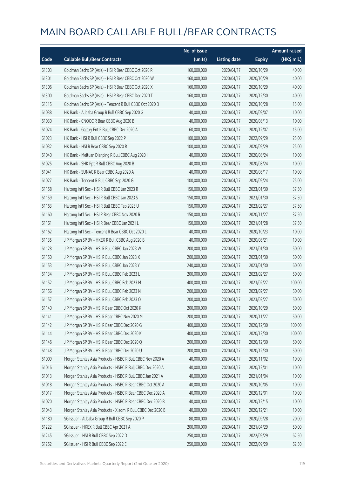|       |                                                              | No. of issue |                     |               | <b>Amount raised</b> |
|-------|--------------------------------------------------------------|--------------|---------------------|---------------|----------------------|
| Code  | <b>Callable Bull/Bear Contracts</b>                          | (units)      | <b>Listing date</b> | <b>Expiry</b> | (HK\$ mil.)          |
| 61303 | Goldman Sachs SP (Asia) - HSI R Bear CBBC Oct 2020 R         | 160,000,000  | 2020/04/17          | 2020/10/29    | 40.00                |
| 61301 | Goldman Sachs SP (Asia) - HSI R Bear CBBC Oct 2020 W         | 160,000,000  | 2020/04/17          | 2020/10/29    | 40.00                |
| 61306 | Goldman Sachs SP (Asia) - HSI R Bear CBBC Oct 2020 X         | 160,000,000  | 2020/04/17          | 2020/10/29    | 40.00                |
| 61300 | Goldman Sachs SP (Asia) - HSI R Bear CBBC Dec 2020 T         | 160,000,000  | 2020/04/17          | 2020/12/30    | 40.00                |
| 61315 | Goldman Sachs SP (Asia) - Tencent R Bull CBBC Oct 2020 B     | 60,000,000   | 2020/04/17          | 2020/10/28    | 15.00                |
| 61038 | HK Bank - Alibaba Group R Bull CBBC Sep 2020 G               | 40,000,000   | 2020/04/17          | 2020/09/07    | 10.00                |
| 61030 | HK Bank - CNOOC R Bear CBBC Aug 2020 B                       | 40,000,000   | 2020/04/17          | 2020/08/13    | 10.00                |
| 61024 | HK Bank - Galaxy Ent R Bull CBBC Dec 2020 A                  | 60,000,000   | 2020/04/17          | 2020/12/07    | 15.00                |
| 61023 | HK Bank - HSI R Bull CBBC Sep 2022 P                         | 100,000,000  | 2020/04/17          | 2022/09/29    | 25.00                |
| 61032 | HK Bank - HSI R Bear CBBC Sep 2020 R                         | 100,000,000  | 2020/04/17          | 2020/09/29    | 25.00                |
| 61040 | HK Bank - Meituan Dianping R Bull CBBC Aug 2020 I            | 40,000,000   | 2020/04/17          | 2020/08/24    | 10.00                |
| 61025 | HK Bank - SHK Ppt R Bull CBBC Aug 2020 B                     | 40,000,000   | 2020/04/17          | 2020/08/24    | 10.00                |
| 61041 | HK Bank - SUNAC R Bear CBBC Aug 2020 A                       | 40,000,000   | 2020/04/17          | 2020/08/17    | 10.00                |
| 61027 | HK Bank - Tencent R Bull CBBC Sep 2020 G                     | 100,000,000  | 2020/04/17          | 2020/09/24    | 25.00                |
| 61158 | Haitong Int'l Sec - HSI R Bull CBBC Jan 2023 R               | 150,000,000  | 2020/04/17          | 2023/01/30    | 37.50                |
| 61159 | Haitong Int'l Sec - HSI R Bull CBBC Jan 2023 S               | 150,000,000  | 2020/04/17          | 2023/01/30    | 37.50                |
| 61163 | Haitong Int'l Sec - HSI R Bull CBBC Feb 2023 U               | 150,000,000  | 2020/04/17          | 2023/02/27    | 37.50                |
| 61160 | Haitong Int'l Sec - HSI R Bear CBBC Nov 2020 R               | 150,000,000  | 2020/04/17          | 2020/11/27    | 37.50                |
| 61161 | Haitong Int'l Sec - HSI R Bear CBBC Jan 2021 L               | 150,000,000  | 2020/04/17          | 2021/01/28    | 37.50                |
| 61162 | Haitong Int'l Sec - Tencent R Bear CBBC Oct 2020 L           | 40,000,000   | 2020/04/17          | 2020/10/23    | 10.00                |
| 61135 | J P Morgan SP BV - HKEX R Bull CBBC Aug 2020 B               | 40,000,000   | 2020/04/17          | 2020/08/21    | 10.00                |
| 61128 | J P Morgan SP BV - HSI R Bull CBBC Jan 2023 W                | 200,000,000  | 2020/04/17          | 2023/01/30    | 50.00                |
| 61150 | J P Morgan SP BV - HSI R Bull CBBC Jan 2023 X                | 200,000,000  | 2020/04/17          | 2023/01/30    | 50.00                |
| 61153 | J P Morgan SP BV - HSI R Bull CBBC Jan 2023 Y                | 240,000,000  | 2020/04/17          | 2023/01/30    | 60.00                |
| 61134 | J P Morgan SP BV - HSI R Bull CBBC Feb 2023 L                | 200,000,000  | 2020/04/17          | 2023/02/27    | 50.00                |
| 61152 | J P Morgan SP BV - HSI R Bull CBBC Feb 2023 M                | 400,000,000  | 2020/04/17          | 2023/02/27    | 100.00               |
| 61156 | J P Morgan SP BV - HSI R Bull CBBC Feb 2023 N                | 200,000,000  | 2020/04/17          | 2023/02/27    | 50.00                |
| 61157 | J P Morgan SP BV - HSI R Bull CBBC Feb 2023 O                | 200,000,000  | 2020/04/17          | 2023/02/27    | 50.00                |
| 61140 | J P Morgan SP BV - HSI R Bear CBBC Oct 2020 K                | 200,000,000  | 2020/04/17          | 2020/10/29    | 50.00                |
| 61141 | J P Morgan SP BV - HSI R Bear CBBC Nov 2020 M                | 200,000,000  | 2020/04/17          | 2020/11/27    | 50.00                |
| 61142 | J P Morgan SP BV - HSI R Bear CBBC Dec 2020 G                | 400,000,000  | 2020/04/17          | 2020/12/30    | 100.00               |
| 61144 | J P Morgan SP BV - HSI R Bear CBBC Dec 2020 K                | 400,000,000  | 2020/04/17          | 2020/12/30    | 100.00               |
| 61146 | J P Morgan SP BV - HSI R Bear CBBC Dec 2020 Q                | 200,000,000  | 2020/04/17          | 2020/12/30    | 50.00                |
| 61148 | J P Morgan SP BV - HSI R Bear CBBC Dec 2020 U                | 200,000,000  | 2020/04/17          | 2020/12/30    | 50.00                |
| 61009 | Morgan Stanley Asia Products - HSBC R Bull CBBC Nov 2020 A   | 40,000,000   | 2020/04/17          | 2020/11/02    | 10.00                |
| 61016 | Morgan Stanley Asia Products - HSBC R Bull CBBC Dec 2020 A   | 40,000,000   | 2020/04/17          | 2020/12/01    | 10.00                |
| 61013 | Morgan Stanley Asia Products - HSBC R Bull CBBC Jan 2021 A   | 40,000,000   | 2020/04/17          | 2021/01/04    | 10.00                |
| 61018 | Morgan Stanley Asia Products - HSBC R Bear CBBC Oct 2020 A   | 40,000,000   | 2020/04/17          | 2020/10/05    | 10.00                |
| 61017 | Morgan Stanley Asia Products - HSBC R Bear CBBC Dec 2020 A   | 40,000,000   | 2020/04/17          | 2020/12/01    | 10.00                |
| 61020 | Morgan Stanley Asia Products - HSBC R Bear CBBC Dec 2020 B   | 40,000,000   | 2020/04/17          | 2020/12/15    | 10.00                |
| 61043 | Morgan Stanley Asia Products - Xiaomi R Bull CBBC Dec 2020 B | 40,000,000   | 2020/04/17          | 2020/12/21    | 10.00                |
| 61180 | SG Issuer - Alibaba Group R Bull CBBC Sep 2020 P             | 80,000,000   | 2020/04/17          | 2020/09/28    | 20.00                |
| 61222 | SG Issuer - HKEX R Bull CBBC Apr 2021 A                      | 200,000,000  | 2020/04/17          | 2021/04/29    | 50.00                |
| 61245 | SG Issuer - HSI R Bull CBBC Sep 2022 D                       | 250,000,000  | 2020/04/17          | 2022/09/29    | 62.50                |
| 61252 | SG Issuer - HSI R Bull CBBC Sep 2022 E                       | 250,000,000  | 2020/04/17          | 2022/09/29    | 62.50                |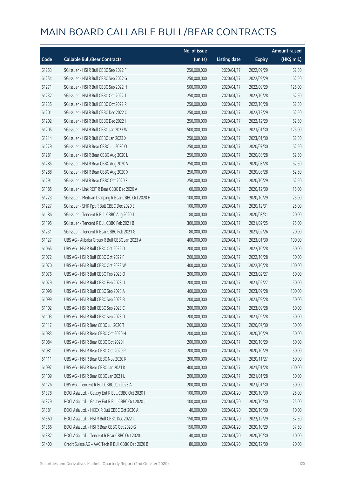|       |                                                     | No. of issue |                     |               | <b>Amount raised</b> |
|-------|-----------------------------------------------------|--------------|---------------------|---------------|----------------------|
| Code  | <b>Callable Bull/Bear Contracts</b>                 | (units)      | <b>Listing date</b> | <b>Expiry</b> | (HK\$ mil.)          |
| 61253 | SG Issuer - HSI R Bull CBBC Sep 2022 F              | 250,000,000  | 2020/04/17          | 2022/09/29    | 62.50                |
| 61254 | SG Issuer - HSI R Bull CBBC Sep 2022 G              | 250,000,000  | 2020/04/17          | 2022/09/29    | 62.50                |
| 61271 | SG Issuer - HSI R Bull CBBC Sep 2022 H              | 500,000,000  | 2020/04/17          | 2022/09/29    | 125.00               |
| 61232 | SG Issuer - HSI R Bull CBBC Oct 2022 J              | 250,000,000  | 2020/04/17          | 2022/10/28    | 62.50                |
| 61235 | SG Issuer - HSI R Bull CBBC Oct 2022 R              | 250,000,000  | 2020/04/17          | 2022/10/28    | 62.50                |
| 61201 | SG Issuer - HSI R Bull CBBC Dec 2022 C              | 250,000,000  | 2020/04/17          | 2022/12/29    | 62.50                |
| 61202 | SG Issuer - HSI R Bull CBBC Dec 2022 I              | 250,000,000  | 2020/04/17          | 2022/12/29    | 62.50                |
| 61205 | SG Issuer - HSI R Bull CBBC Jan 2023 W              | 500,000,000  | 2020/04/17          | 2023/01/30    | 125.00               |
| 61214 | SG Issuer - HSI R Bull CBBC Jan 2023 X              | 250,000,000  | 2020/04/17          | 2023/01/30    | 62.50                |
| 61279 | SG Issuer - HSI R Bear CBBC Jul 2020 O              | 250,000,000  | 2020/04/17          | 2020/07/30    | 62.50                |
| 61281 | SG Issuer - HSI R Bear CBBC Aug 2020 L              | 250,000,000  | 2020/04/17          | 2020/08/28    | 62.50                |
| 61285 | SG Issuer - HSI R Bear CBBC Aug 2020 V              | 250,000,000  | 2020/04/17          | 2020/08/28    | 62.50                |
| 61288 | SG Issuer - HSI R Bear CBBC Aug 2020 X              | 250,000,000  | 2020/04/17          | 2020/08/28    | 62.50                |
| 61291 | SG Issuer - HSI R Bear CBBC Oct 2020 F              | 250,000,000  | 2020/04/17          | 2020/10/29    | 62.50                |
| 61185 | SG Issuer - Link REIT R Bear CBBC Dec 2020 A        | 60,000,000   | 2020/04/17          | 2020/12/30    | 15.00                |
| 61223 | SG Issuer - Meituan Dianping R Bear CBBC Oct 2020 H | 100,000,000  | 2020/04/17          | 2020/10/29    | 25.00                |
| 61227 | SG Issuer - SHK Ppt R Bull CBBC Dec 2020 E          | 100,000,000  | 2020/04/17          | 2020/12/31    | 25.00                |
| 61186 | SG Issuer - Tencent R Bull CBBC Aug 2020 J          | 80,000,000   | 2020/04/17          | 2020/08/31    | 20.00                |
| 61195 | SG Issuer - Tencent R Bull CBBC Feb 2021 B          | 300,000,000  | 2020/04/17          | 2021/02/25    | 75.00                |
| 61231 | SG Issuer - Tencent R Bear CBBC Feb 2021 G          | 80,000,000   | 2020/04/17          | 2021/02/26    | 20.00                |
| 61127 | UBS AG - Alibaba Group R Bull CBBC Jan 2023 A       | 400,000,000  | 2020/04/17          | 2023/01/30    | 100.00               |
| 61065 | UBS AG - HSI R Bull CBBC Oct 2022 D                 | 200,000,000  | 2020/04/17          | 2022/10/28    | 50.00                |
| 61072 | UBS AG - HSI R Bull CBBC Oct 2022 F                 | 200,000,000  | 2020/04/17          | 2022/10/28    | 50.00                |
| 61070 | UBS AG - HSI R Bull CBBC Oct 2022 W                 | 400,000,000  | 2020/04/17          | 2022/10/28    | 100.00               |
| 61076 | UBS AG - HSI R Bull CBBC Feb 2023 O                 | 200,000,000  | 2020/04/17          | 2023/02/27    | 50.00                |
| 61079 | UBS AG - HSI R Bull CBBC Feb 2023 U                 | 200,000,000  | 2020/04/17          | 2023/02/27    | 50.00                |
| 61098 | UBS AG - HSI R Bull CBBC Sep 2023 A                 | 400,000,000  | 2020/04/17          | 2023/09/28    | 100.00               |
| 61099 | UBS AG - HSI R Bull CBBC Sep 2023 B                 | 200,000,000  | 2020/04/17          | 2023/09/28    | 50.00                |
| 61102 | UBS AG - HSI R Bull CBBC Sep 2023 C                 | 200,000,000  | 2020/04/17          | 2023/09/28    | 50.00                |
| 61103 | UBS AG - HSI R Bull CBBC Sep 2023 D                 | 200,000,000  | 2020/04/17          | 2023/09/28    | 50.00                |
| 61117 | UBS AG - HSI R Bear CBBC Jul 2020 T                 | 200,000,000  | 2020/04/17          | 2020/07/30    | 50.00                |
| 61083 | UBS AG - HSI R Bear CBBC Oct 2020 H                 | 200,000,000  | 2020/04/17          | 2020/10/29    | 50.00                |
| 61084 | UBS AG - HSI R Bear CBBC Oct 2020 I                 | 200,000,000  | 2020/04/17          | 2020/10/29    | 50.00                |
| 61081 | UBS AG - HSI R Bear CBBC Oct 2020 P                 | 200,000,000  | 2020/04/17          | 2020/10/29    | 50.00                |
| 61111 | UBS AG - HSI R Bear CBBC Nov 2020 R                 | 200,000,000  | 2020/04/17          | 2020/11/27    | 50.00                |
| 61097 | UBS AG - HSI R Bear CBBC Jan 2021 K                 | 400,000,000  | 2020/04/17          | 2021/01/28    | 100.00               |
| 61109 | UBS AG - HSI R Bear CBBC Jan 2021 L                 | 200,000,000  | 2020/04/17          | 2021/01/28    | 50.00                |
| 61126 | UBS AG - Tencent R Bull CBBC Jan 2023 A             | 200,000,000  | 2020/04/17          | 2023/01/30    | 50.00                |
| 61378 | BOCI Asia Ltd. - Galaxy Ent R Bull CBBC Oct 2020 I  | 100,000,000  | 2020/04/20          | 2020/10/30    | 25.00                |
| 61379 | BOCI Asia Ltd. - Galaxy Ent R Bull CBBC Oct 2020 J  | 100,000,000  | 2020/04/20          | 2020/10/30    | 25.00                |
| 61381 | BOCI Asia Ltd. - HKEX R Bull CBBC Oct 2020 A        | 40,000,000   | 2020/04/20          | 2020/10/30    | 10.00                |
| 61360 | BOCI Asia Ltd. - HSI R Bull CBBC Dec 2022 U         | 150,000,000  | 2020/04/20          | 2022/12/29    | 37.50                |
| 61366 | BOCI Asia Ltd. - HSI R Bear CBBC Oct 2020 G         | 150,000,000  | 2020/04/20          | 2020/10/29    | 37.50                |
| 61382 | BOCI Asia Ltd. - Tencent R Bear CBBC Oct 2020 J     | 40,000,000   | 2020/04/20          | 2020/10/30    | 10.00                |
| 61400 | Credit Suisse AG - AAC Tech R Bull CBBC Dec 2020 B  | 80,000,000   | 2020/04/20          | 2020/12/30    | 20.00                |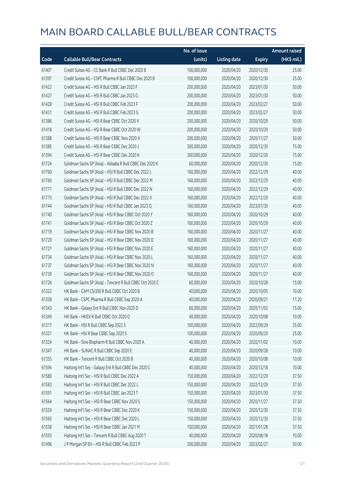|       |                                                          | No. of issue |                     |               | <b>Amount raised</b>  |
|-------|----------------------------------------------------------|--------------|---------------------|---------------|-----------------------|
| Code  | <b>Callable Bull/Bear Contracts</b>                      | (units)      | <b>Listing date</b> | <b>Expiry</b> | $(HK\frac{1}{2}mil.)$ |
| 61407 | Credit Suisse AG - CC Bank R Bull CBBC Dec 2020 B        | 100,000,000  | 2020/04/20          | 2020/12/30    | 25.00                 |
| 61397 | Credit Suisse AG - CSPC Pharma R Bull CBBC Dec 2020 B    | 100,000,000  | 2020/04/20          | 2020/12/30    | 25.00                 |
| 61422 | Credit Suisse AG - HSI R Bull CBBC Jan 2023 F            | 200,000,000  | 2020/04/20          | 2023/01/30    | 50.00                 |
| 61427 | Credit Suisse AG - HSI R Bull CBBC Jan 2023 G            | 200,000,000  | 2020/04/20          | 2023/01/30    | 50.00                 |
| 61428 | Credit Suisse AG - HSI R Bull CBBC Feb 2023 F            | 200,000,000  | 2020/04/20          | 2023/02/27    | 50.00                 |
| 61431 | Credit Suisse AG - HSI R Bull CBBC Feb 2023 G            | 200,000,000  | 2020/04/20          | 2023/02/27    | 50.00                 |
| 61386 | Credit Suisse AG - HSI R Bear CBBC Oct 2020 V            | 200,000,000  | 2020/04/20          | 2020/10/29    | 50.00                 |
| 61418 | Credit Suisse AG - HSI R Bear CBBC Oct 2020 W            | 200,000,000  | 2020/04/20          | 2020/10/29    | 50.00                 |
| 61388 | Credit Suisse AG - HSI R Bear CBBC Nov 2020 X            | 200,000,000  | 2020/04/20          | 2020/11/27    | 50.00                 |
| 61385 | Credit Suisse AG - HSI R Bear CBBC Dec 2020 J            | 300,000,000  | 2020/04/20          | 2020/12/30    | 75.00                 |
| 61394 | Credit Suisse AG - HSI R Bear CBBC Dec 2020 K            | 300,000,000  | 2020/04/20          | 2020/12/30    | 75.00                 |
| 61724 | Goldman Sachs SP (Asia) - Alibaba R Bull CBBC Dec 2020 K | 60,000,000   | 2020/04/20          | 2020/12/30    | 15.00                 |
| 61760 | Goldman Sachs SP (Asia) - HSI R Bull CBBC Dec 2022 L     | 160,000,000  | 2020/04/20          | 2022/12/29    | 40.00                 |
| 61769 | Goldman Sachs SP (Asia) - HSI R Bull CBBC Dec 2022 M     | 160,000,000  | 2020/04/20          | 2022/12/29    | 40.00                 |
| 61771 | Goldman Sachs SP (Asia) - HSI R Bull CBBC Dec 2022 N     | 160,000,000  | 2020/04/20          | 2022/12/29    | 40.00                 |
| 61775 | Goldman Sachs SP (Asia) - HSI R Bull CBBC Dec 2022 X     | 160,000,000  | 2020/04/20          | 2022/12/29    | 40.00                 |
| 61744 | Goldman Sachs SP (Asia) - HSI R Bull CBBC Jan 2023 Q     | 160,000,000  | 2020/04/20          | 2023/01/30    | 40.00                 |
| 61740 | Goldman Sachs SP (Asia) - HSI R Bear CBBC Oct 2020 Y     | 160,000,000  | 2020/04/20          | 2020/10/29    | 40.00                 |
| 61741 | Goldman Sachs SP (Asia) - HSI R Bear CBBC Oct 2020 Z     | 160,000,000  | 2020/04/20          | 2020/10/29    | 40.00                 |
| 61719 | Goldman Sachs SP (Asia) - HSI R Bear CBBC Nov 2020 B     | 160,000,000  | 2020/04/20          | 2020/11/27    | 40.00                 |
| 61720 | Goldman Sachs SP (Asia) - HSI R Bear CBBC Nov 2020 D     | 160,000,000  | 2020/04/20          | 2020/11/27    | 40.00                 |
| 61721 | Goldman Sachs SP (Asia) - HSI R Bear CBBC Nov 2020 E     | 160,000,000  | 2020/04/20          | 2020/11/27    | 40.00                 |
| 61734 | Goldman Sachs SP (Asia) - HSI R Bear CBBC Nov 2020 L     | 160,000,000  | 2020/04/20          | 2020/11/27    | 40.00                 |
| 61737 | Goldman Sachs SP (Asia) - HSI R Bear CBBC Nov 2020 N     | 160,000,000  | 2020/04/20          | 2020/11/27    | 40.00                 |
| 61739 | Goldman Sachs SP (Asia) - HSI R Bear CBBC Nov 2020 O     | 160,000,000  | 2020/04/20          | 2020/11/27    | 40.00                 |
| 61726 | Goldman Sachs SP (Asia) - Tencent R Bull CBBC Oct 2020 C | 60,000,000   | 2020/04/20          | 2020/10/28    | 15.00                 |
| 61322 | HK Bank - CAM CSI300 R Bull CBBC Oct 2020 B              | 40,000,000   | 2020/04/20          | 2020/10/05    | 10.00                 |
| 61358 | HK Bank - CSPC Pharma R Bull CBBC Sep 2020 A             | 40,000,000   | 2020/04/20          | 2020/09/21    | 11.20                 |
| 61343 | HK Bank - Galaxy Ent R Bull CBBC Nov 2020 D              | 60,000,000   | 2020/04/20          | 2020/11/02    | 15.00                 |
| 61349 | HK Bank - HKEX R Bull CBBC Oct 2020 D                    | 40,000,000   | 2020/04/20          | 2020/10/08    | 10.00                 |
| 61317 | HK Bank - HSI R Bull CBBC Sep 2022 S                     | 100,000,000  | 2020/04/20          | 2022/09/29    | 25.00                 |
| 61321 | HK Bank - HSI R Bear CBBC Sep 2020 S                     | 100,000,000  | 2020/04/20          | 2020/09/29    | 25.00                 |
| 61324 | HK Bank - Sino Biopharm R Bull CBBC Nov 2020 A           | 40,000,000   | 2020/04/20          | 2020/11/02    | 10.00                 |
| 61347 | HK Bank - SUNAC R Bull CBBC Sep 2020 E                   | 40,000,000   | 2020/04/20          | 2020/09/28    | 10.00                 |
| 61355 | HK Bank - Tencent R Bull CBBC Oct 2020 B                 | 40,000,000   | 2020/04/20          | 2020/10/08    | 10.00                 |
| 61594 | Haitong Int'l Sec - Galaxy Ent R Bull CBBC Dec 2020 C    | 40,000,000   | 2020/04/20          | 2020/12/18    | 10.00                 |
| 61580 | Haitong Int'l Sec - HSI R Bull CBBC Dec 2022 A           | 150,000,000  | 2020/04/20          | 2022/12/29    | 37.50                 |
| 61583 | Haitong Int'l Sec - HSI R Bull CBBC Dec 2022 L           | 150,000,000  | 2020/04/20          | 2022/12/29    | 37.50                 |
| 61591 | Haitong Int'l Sec - HSI R Bull CBBC Jan 2023 T           | 150,000,000  | 2020/04/20          | 2023/01/30    | 37.50                 |
| 61564 | Haitong Int'l Sec - HSI R Bear CBBC Nov 2020 S           | 150,000,000  | 2020/04/20          | 2020/11/27    | 37.50                 |
| 61559 | Haitong Int'l Sec - HSI R Bear CBBC Dec 2020 K           | 150,000,000  | 2020/04/20          | 2020/12/30    | 37.50                 |
| 61565 | Haitong Int'l Sec - HSI R Bear CBBC Dec 2020 L           | 150,000,000  | 2020/04/20          | 2020/12/30    | 37.50                 |
| 61558 | Haitong Int'l Sec - HSI R Bear CBBC Jan 2021 M           | 150,000,000  | 2020/04/20          | 2021/01/28    | 37.50                 |
| 61593 | Haitong Int'l Sec - Tencent R Bull CBBC Aug 2020 T       | 40,000,000   | 2020/04/20          | 2020/08/18    | 10.00                 |
| 61496 | J P Morgan SP BV - HSI R Bull CBBC Feb 2023 P            | 200,000,000  | 2020/04/20          | 2023/02/27    | 50.00                 |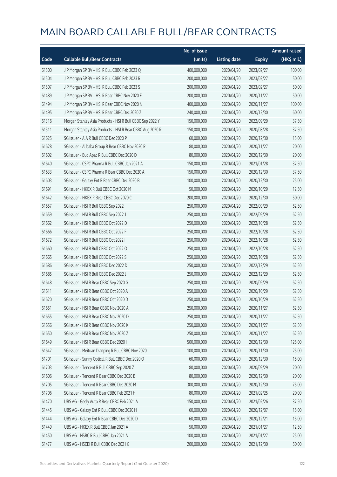|       |                                                           | No. of issue |                     |               | <b>Amount raised</b> |
|-------|-----------------------------------------------------------|--------------|---------------------|---------------|----------------------|
| Code  | <b>Callable Bull/Bear Contracts</b>                       | (units)      | <b>Listing date</b> | <b>Expiry</b> | (HK\$ mil.)          |
| 61500 | J P Morgan SP BV - HSI R Bull CBBC Feb 2023 Q             | 400,000,000  | 2020/04/20          | 2023/02/27    | 100.00               |
| 61504 | J P Morgan SP BV - HSI R Bull CBBC Feb 2023 R             | 200,000,000  | 2020/04/20          | 2023/02/27    | 50.00                |
| 61507 | J P Morgan SP BV - HSI R Bull CBBC Feb 2023 S             | 200,000,000  | 2020/04/20          | 2023/02/27    | 50.00                |
| 61489 | J P Morgan SP BV - HSI R Bear CBBC Nov 2020 F             | 200,000,000  | 2020/04/20          | 2020/11/27    | 50.00                |
| 61494 | J P Morgan SP BV - HSI R Bear CBBC Nov 2020 N             | 400,000,000  | 2020/04/20          | 2020/11/27    | 100.00               |
| 61495 | J P Morgan SP BV - HSI R Bear CBBC Dec 2020 Z             | 240,000,000  | 2020/04/20          | 2020/12/30    | 60.00                |
| 61316 | Morgan Stanley Asia Products - HSI R Bull CBBC Sep 2022 Y | 150,000,000  | 2020/04/20          | 2022/09/29    | 37.50                |
| 61511 | Morgan Stanley Asia Products - HSI R Bear CBBC Aug 2020 R | 150,000,000  | 2020/04/20          | 2020/08/28    | 37.50                |
| 61625 | SG Issuer - AIA R Bull CBBC Dec 2020 P                    | 60,000,000   | 2020/04/20          | 2020/12/30    | 15.00                |
| 61628 | SG Issuer - Alibaba Group R Bear CBBC Nov 2020 R          | 80,000,000   | 2020/04/20          | 2020/11/27    | 20.00                |
| 61602 | SG Issuer - Bud Apac R Bull CBBC Dec 2020 D               | 80,000,000   | 2020/04/20          | 2020/12/30    | 20.00                |
| 61640 | SG Issuer - CSPC Pharma R Bull CBBC Jan 2021 A            | 150,000,000  | 2020/04/20          | 2021/01/28    | 37.50                |
| 61633 | SG Issuer - CSPC Pharma R Bear CBBC Dec 2020 A            | 150,000,000  | 2020/04/20          | 2020/12/30    | 37.50                |
| 61603 | SG Issuer - Galaxy Ent R Bear CBBC Dec 2020 B             | 100,000,000  | 2020/04/20          | 2020/12/30    | 25.00                |
| 61691 | SG Issuer - HKEX R Bull CBBC Oct 2020 M                   | 50,000,000   | 2020/04/20          | 2020/10/29    | 12.50                |
| 61642 | SG Issuer - HKEX R Bear CBBC Dec 2020 C                   | 200,000,000  | 2020/04/20          | 2020/12/30    | 50.00                |
| 61657 | SG Issuer - HSI R Bull CBBC Sep 2022 I                    | 250,000,000  | 2020/04/20          | 2022/09/29    | 62.50                |
| 61659 | SG Issuer - HSI R Bull CBBC Sep 2022 J                    | 250,000,000  | 2020/04/20          | 2022/09/29    | 62.50                |
| 61662 | SG Issuer - HSI R Bull CBBC Oct 2022 D                    | 250,000,000  | 2020/04/20          | 2022/10/28    | 62.50                |
| 61666 | SG Issuer - HSI R Bull CBBC Oct 2022 F                    | 250,000,000  | 2020/04/20          | 2022/10/28    | 62.50                |
| 61672 | SG Issuer - HSI R Bull CBBC Oct 2022 I                    | 250,000,000  | 2020/04/20          | 2022/10/28    | 62.50                |
| 61660 | SG Issuer - HSI R Bull CBBC Oct 2022 O                    | 250,000,000  | 2020/04/20          | 2022/10/28    | 62.50                |
| 61665 | SG Issuer - HSI R Bull CBBC Oct 2022 S                    | 250,000,000  | 2020/04/20          | 2022/10/28    | 62.50                |
| 61686 | SG Issuer - HSI R Bull CBBC Dec 2022 D                    | 250,000,000  | 2020/04/20          | 2022/12/29    | 62.50                |
| 61685 | SG Issuer - HSI R Bull CBBC Dec 2022 J                    | 250,000,000  | 2020/04/20          | 2022/12/29    | 62.50                |
| 61648 | SG Issuer - HSI R Bear CBBC Sep 2020 G                    | 250,000,000  | 2020/04/20          | 2020/09/29    | 62.50                |
| 61611 | SG Issuer - HSI R Bear CBBC Oct 2020 A                    | 250,000,000  | 2020/04/20          | 2020/10/29    | 62.50                |
| 61620 | SG Issuer – HSI R Bear CBBC Oct 2020 D                    | 250,000,000  | 2020/04/20          | 2020/10/29    | 62.50                |
| 61651 | SG Issuer - HSI R Bear CBBC Nov 2020 A                    | 250,000,000  | 2020/04/20          | 2020/11/27    | 62.50                |
| 61655 | SG Issuer - HSI R Bear CBBC Nov 2020 D                    | 250,000,000  | 2020/04/20          | 2020/11/27    | 62.50                |
| 61656 | SG Issuer - HSI R Bear CBBC Nov 2020 K                    | 250,000,000  | 2020/04/20          | 2020/11/27    | 62.50                |
| 61650 | SG Issuer - HSI R Bear CBBC Nov 2020 Z                    | 250,000,000  | 2020/04/20          | 2020/11/27    | 62.50                |
| 61649 | SG Issuer - HSI R Bear CBBC Dec 2020 I                    | 500,000,000  | 2020/04/20          | 2020/12/30    | 125.00               |
| 61647 | SG Issuer - Meituan Dianping R Bull CBBC Nov 2020 I       | 100,000,000  | 2020/04/20          | 2020/11/30    | 25.00                |
| 61701 | SG Issuer - Sunny Optical R Bull CBBC Dec 2020 O          | 60,000,000   | 2020/04/20          | 2020/12/30    | 15.00                |
| 61703 | SG Issuer - Tencent R Bull CBBC Sep 2020 Z                | 80,000,000   | 2020/04/20          | 2020/09/29    | 20.00                |
| 61606 | SG Issuer - Tencent R Bear CBBC Dec 2020 B                | 80,000,000   | 2020/04/20          | 2020/12/30    | 20.00                |
| 61705 | SG Issuer - Tencent R Bear CBBC Dec 2020 M                | 300,000,000  | 2020/04/20          | 2020/12/30    | 75.00                |
| 61706 | SG Issuer - Tencent R Bear CBBC Feb 2021 H                | 80,000,000   | 2020/04/20          | 2021/02/25    | 20.00                |
| 61470 | UBS AG - Geely Auto R Bear CBBC Feb 2021 A                | 150,000,000  | 2020/04/20          | 2021/02/26    | 37.50                |
| 61445 | UBS AG - Galaxy Ent R Bull CBBC Dec 2020 H                | 60,000,000   | 2020/04/20          | 2020/12/07    | 15.00                |
| 61444 | UBS AG - Galaxy Ent R Bear CBBC Dec 2020 D                | 60,000,000   | 2020/04/20          | 2020/12/21    | 15.00                |
| 61449 | UBS AG - HKEX R Bull CBBC Jan 2021 A                      | 50,000,000   | 2020/04/20          | 2021/01/27    | 12.50                |
| 61450 | UBS AG - HSBC R Bull CBBC Jan 2021 A                      | 100,000,000  | 2020/04/20          | 2021/01/27    | 25.00                |
| 61477 | UBS AG - HSCEI R Bull CBBC Dec 2021 G                     | 200,000,000  | 2020/04/20          | 2021/12/30    | 50.00                |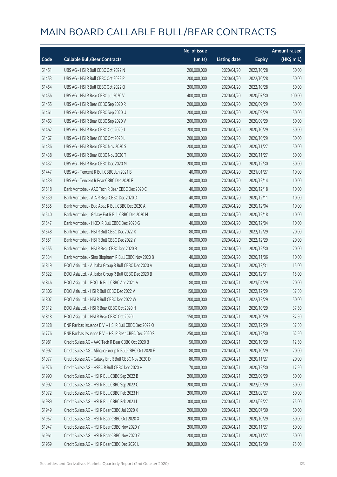|       |                                                         | No. of issue |                     |               | <b>Amount raised</b> |
|-------|---------------------------------------------------------|--------------|---------------------|---------------|----------------------|
| Code  | <b>Callable Bull/Bear Contracts</b>                     | (units)      | <b>Listing date</b> | <b>Expiry</b> | (HK\$ mil.)          |
| 61451 | UBS AG - HSI R Bull CBBC Oct 2022 N                     | 200,000,000  | 2020/04/20          | 2022/10/28    | 50.00                |
| 61453 | UBS AG - HSI R Bull CBBC Oct 2022 P                     | 200,000,000  | 2020/04/20          | 2022/10/28    | 50.00                |
| 61454 | UBS AG - HSI R Bull CBBC Oct 2022 Q                     | 200,000,000  | 2020/04/20          | 2022/10/28    | 50.00                |
| 61456 | UBS AG - HSI R Bear CBBC Jul 2020 V                     | 400,000,000  | 2020/04/20          | 2020/07/30    | 100.00               |
| 61455 | UBS AG - HSI R Bear CBBC Sep 2020 R                     | 200,000,000  | 2020/04/20          | 2020/09/29    | 50.00                |
| 61461 | UBS AG - HSI R Bear CBBC Sep 2020 U                     | 200,000,000  | 2020/04/20          | 2020/09/29    | 50.00                |
| 61463 | UBS AG - HSI R Bear CBBC Sep 2020 V                     | 200,000,000  | 2020/04/20          | 2020/09/29    | 50.00                |
| 61462 | UBS AG - HSI R Bear CBBC Oct 2020 J                     | 200,000,000  | 2020/04/20          | 2020/10/29    | 50.00                |
| 61467 | UBS AG - HSI R Bear CBBC Oct 2020 L                     | 200,000,000  | 2020/04/20          | 2020/10/29    | 50.00                |
| 61436 | UBS AG - HSI R Bear CBBC Nov 2020 S                     | 200,000,000  | 2020/04/20          | 2020/11/27    | 50.00                |
| 61438 | UBS AG - HSI R Bear CBBC Nov 2020 T                     | 200,000,000  | 2020/04/20          | 2020/11/27    | 50.00                |
| 61437 | UBS AG - HSI R Bear CBBC Dec 2020 M                     | 200,000,000  | 2020/04/20          | 2020/12/30    | 50.00                |
| 61447 | UBS AG - Tencent R Bull CBBC Jan 2021 B                 | 40,000,000   | 2020/04/20          | 2021/01/27    | 10.00                |
| 61439 | UBS AG - Tencent R Bear CBBC Dec 2020 F                 | 40,000,000   | 2020/04/20          | 2020/12/14    | 10.00                |
| 61518 | Bank Vontobel - AAC Tech R Bear CBBC Dec 2020 C         | 40,000,000   | 2020/04/20          | 2020/12/18    | 10.00                |
| 61539 | Bank Vontobel - AIA R Bear CBBC Dec 2020 D              | 40,000,000   | 2020/04/20          | 2020/12/11    | 10.00                |
| 61535 | Bank Vontobel - Bud Apac R Bull CBBC Dec 2020 A         | 40,000,000   | 2020/04/20          | 2020/12/04    | 10.00                |
| 61540 | Bank Vontobel - Galaxy Ent R Bull CBBC Dec 2020 M       | 40,000,000   | 2020/04/20          | 2020/12/18    | 10.00                |
| 61547 | Bank Vontobel - HKEX R Bull CBBC Dec 2020 G             | 40,000,000   | 2020/04/20          | 2020/12/04    | 10.00                |
| 61548 | Bank Vontobel - HSI R Bull CBBC Dec 2022 X              | 80,000,000   | 2020/04/20          | 2022/12/29    | 20.00                |
| 61551 | Bank Vontobel - HSI R Bull CBBC Dec 2022 Y              | 80,000,000   | 2020/04/20          | 2022/12/29    | 20.00                |
| 61555 | Bank Vontobel - HSI R Bear CBBC Dec 2020 B              | 80,000,000   | 2020/04/20          | 2020/12/30    | 20.00                |
| 61534 | Bank Vontobel - Sino Biopharm R Bull CBBC Nov 2020 B    | 40,000,000   | 2020/04/20          | 2020/11/06    | 10.00                |
| 61819 | BOCI Asia Ltd. - Alibaba Group R Bull CBBC Dec 2020 A   | 60,000,000   | 2020/04/21          | 2020/12/31    | 15.00                |
| 61822 | BOCI Asia Ltd. - Alibaba Group R Bull CBBC Dec 2020 B   | 60,000,000   | 2020/04/21          | 2020/12/31    | 15.00                |
| 61846 | BOCI Asia Ltd. - BOCL R Bull CBBC Apr 2021 A            | 80,000,000   | 2020/04/21          | 2021/04/29    | 20.00                |
| 61806 | BOCI Asia Ltd. - HSI R Bull CBBC Dec 2022 V             | 150,000,000  | 2020/04/21          | 2022/12/29    | 37.50                |
| 61807 | BOCI Asia Ltd. - HSI R Bull CBBC Dec 2022 W             | 200,000,000  | 2020/04/21          | 2022/12/29    | 50.00                |
| 61812 | BOCI Asia Ltd. - HSI R Bear CBBC Oct 2020 H             | 150,000,000  | 2020/04/21          | 2020/10/29    | 37.50                |
| 61818 | BOCI Asia Ltd. - HSI R Bear CBBC Oct 2020 I             | 150,000,000  | 2020/04/21          | 2020/10/29    | 37.50                |
| 61828 | BNP Paribas Issuance B.V. - HSI R Bull CBBC Dec 2022 O  | 150,000,000  | 2020/04/21          | 2022/12/29    | 37.50                |
| 61776 | BNP Paribas Issuance B.V. - HSI R Bear CBBC Dec 2020 S  | 250,000,000  | 2020/04/21          | 2020/12/30    | 62.50                |
| 61981 | Credit Suisse AG - AAC Tech R Bear CBBC Oct 2020 B      | 50,000,000   | 2020/04/21          | 2020/10/29    | 12.50                |
| 61997 | Credit Suisse AG - Alibaba Group R Bull CBBC Oct 2020 F | 80,000,000   | 2020/04/21          | 2020/10/29    | 20.00                |
| 61977 | Credit Suisse AG - Galaxy Ent R Bull CBBC Nov 2020 D    | 80,000,000   | 2020/04/21          | 2020/11/27    | 20.00                |
| 61976 | Credit Suisse AG - HSBC R Bull CBBC Dec 2020 H          | 70,000,000   | 2020/04/21          | 2020/12/30    | 17.50                |
| 61990 | Credit Suisse AG - HSI R Bull CBBC Sep 2022 B           | 200,000,000  | 2020/04/21          | 2022/09/29    | 50.00                |
| 61992 | Credit Suisse AG - HSI R Bull CBBC Sep 2022 C           | 200,000,000  | 2020/04/21          | 2022/09/29    | 50.00                |
| 61972 | Credit Suisse AG - HSI R Bull CBBC Feb 2023 H           | 200,000,000  | 2020/04/21          | 2023/02/27    | 50.00                |
| 61989 | Credit Suisse AG - HSI R Bull CBBC Feb 2023 I           | 300,000,000  | 2020/04/21          | 2023/02/27    | 75.00                |
| 61949 | Credit Suisse AG - HSI R Bear CBBC Jul 2020 X           | 200,000,000  | 2020/04/21          | 2020/07/30    | 50.00                |
| 61957 | Credit Suisse AG - HSI R Bear CBBC Oct 2020 X           | 200,000,000  | 2020/04/21          | 2020/10/29    | 50.00                |
| 61947 | Credit Suisse AG - HSI R Bear CBBC Nov 2020 Y           | 200,000,000  | 2020/04/21          | 2020/11/27    | 50.00                |
| 61961 | Credit Suisse AG - HSI R Bear CBBC Nov 2020 Z           | 200,000,000  | 2020/04/21          | 2020/11/27    | 50.00                |
| 61959 | Credit Suisse AG - HSI R Bear CBBC Dec 2020 L           | 300,000,000  | 2020/04/21          | 2020/12/30    | 75.00                |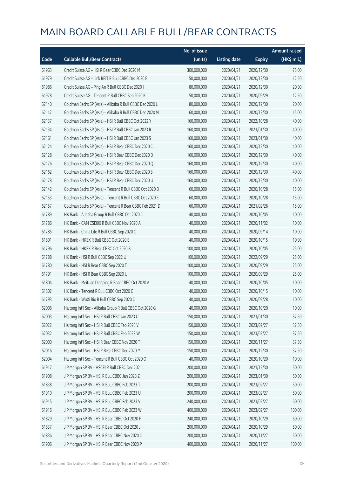|       |                                                          | No. of issue |                     |               | <b>Amount raised</b> |
|-------|----------------------------------------------------------|--------------|---------------------|---------------|----------------------|
| Code  | <b>Callable Bull/Bear Contracts</b>                      | (units)      | <b>Listing date</b> | <b>Expiry</b> | (HK\$ mil.)          |
| 61963 | Credit Suisse AG - HSI R Bear CBBC Dec 2020 M            | 300,000,000  | 2020/04/21          | 2020/12/30    | 75.00                |
| 61979 | Credit Suisse AG - Link REIT R Bull CBBC Dec 2020 E      | 50,000,000   | 2020/04/21          | 2020/12/30    | 12.50                |
| 61986 | Credit Suisse AG - Ping An R Bull CBBC Dec 2020 I        | 80,000,000   | 2020/04/21          | 2020/12/30    | 20.00                |
| 61978 | Credit Suisse AG - Tencent R Bull CBBC Sep 2020 K        | 50,000,000   | 2020/04/21          | 2020/09/29    | 12.50                |
| 62140 | Goldman Sachs SP (Asia) - Alibaba R Bull CBBC Dec 2020 L | 80,000,000   | 2020/04/21          | 2020/12/30    | 20.00                |
| 62147 | Goldman Sachs SP (Asia) - Alibaba R Bull CBBC Dec 2020 M | 60,000,000   | 2020/04/21          | 2020/12/30    | 15.00                |
| 62137 | Goldman Sachs SP (Asia) - HSI R Bull CBBC Oct 2022 Y     | 160,000,000  | 2020/04/21          | 2022/10/28    | 40.00                |
| 62134 | Goldman Sachs SP (Asia) - HSI R Bull CBBC Jan 2023 R     | 160,000,000  | 2020/04/21          | 2023/01/30    | 40.00                |
| 62161 | Goldman Sachs SP (Asia) - HSI R Bull CBBC Jan 2023 S     | 160,000,000  | 2020/04/21          | 2023/01/30    | 40.00                |
| 62124 | Goldman Sachs SP (Asia) - HSI R Bear CBBC Dec 2020 C     | 160,000,000  | 2020/04/21          | 2020/12/30    | 40.00                |
| 62128 | Goldman Sachs SP (Asia) - HSI R Bear CBBC Dec 2020 D     | 160,000,000  | 2020/04/21          | 2020/12/30    | 40.00                |
| 62176 | Goldman Sachs SP (Asia) - HSI R Bear CBBC Dec 2020 Q     | 160,000,000  | 2020/04/21          | 2020/12/30    | 40.00                |
| 62162 | Goldman Sachs SP (Asia) - HSI R Bear CBBC Dec 2020 S     | 160,000,000  | 2020/04/21          | 2020/12/30    | 40.00                |
| 62178 | Goldman Sachs SP (Asia) - HSI R Bear CBBC Dec 2020 U     | 160,000,000  | 2020/04/21          | 2020/12/30    | 40.00                |
| 62142 | Goldman Sachs SP (Asia) - Tencent R Bull CBBC Oct 2020 D | 60,000,000   | 2020/04/21          | 2020/10/28    | 15.00                |
| 62153 | Goldman Sachs SP (Asia) - Tencent R Bull CBBC Oct 2020 E | 60,000,000   | 2020/04/21          | 2020/10/28    | 15.00                |
| 62157 | Goldman Sachs SP (Asia) - Tencent R Bear CBBC Feb 2021 D | 60,000,000   | 2020/04/21          | 2021/02/26    | 15.00                |
| 61789 | HK Bank - Alibaba Group R Bull CBBC Oct 2020 C           | 40,000,000   | 2020/04/21          | 2020/10/05    | 10.00                |
| 61786 | HK Bank - CAM CSI300 R Bull CBBC Nov 2020 A              | 40,000,000   | 2020/04/21          | 2020/11/02    | 10.00                |
| 61785 | HK Bank - China Life R Bull CBBC Sep 2020 C              | 40,000,000   | 2020/04/21          | 2020/09/14    | 10.00                |
| 61801 | HK Bank - HKEX R Bull CBBC Oct 2020 E                    | 40,000,000   | 2020/04/21          | 2020/10/15    | 10.00                |
| 61796 | HK Bank - HKEX R Bear CBBC Oct 2020 B                    | 100,000,000  | 2020/04/21          | 2020/10/05    | 25.00                |
| 61788 | HK Bank - HSI R Bull CBBC Sep 2022 U                     | 100,000,000  | 2020/04/21          | 2022/09/29    | 25.00                |
| 61780 | HK Bank - HSI R Bear CBBC Sep 2020 T                     | 100,000,000  | 2020/04/21          | 2020/09/29    | 25.00                |
| 61791 | HK Bank - HSI R Bear CBBC Sep 2020 U                     | 100,000,000  | 2020/04/21          | 2020/09/29    | 25.00                |
| 61804 | HK Bank - Meituan Dianping R Bear CBBC Oct 2020 A        | 40,000,000   | 2020/04/21          | 2020/10/05    | 10.00                |
| 61802 | HK Bank - Tencent R Bull CBBC Oct 2020 C                 | 40,000,000   | 2020/04/21          | 2020/10/15    | 10.00                |
| 61793 | HK Bank - WuXi Bio R Bull CBBC Sep 2020 C                | 40,000,000   | 2020/04/21          | 2020/09/28    | 10.00                |
| 62006 | Haitong Int'l Sec - Alibaba Group R Bull CBBC Oct 2020 G | 40,000,000   | 2020/04/21          | 2020/10/20    | 10.00                |
| 62003 | Haitong Int'l Sec - HSI R Bull CBBC Jan 2023 U           | 150,000,000  | 2020/04/21          | 2023/01/30    | 37.50                |
| 62022 | Haitong Int'l Sec - HSI R Bull CBBC Feb 2023 V           | 150,000,000  | 2020/04/21          | 2023/02/27    | 37.50                |
| 62032 | Haitong Int'l Sec - HSI R Bull CBBC Feb 2023 W           | 150,000,000  | 2020/04/21          | 2023/02/27    | 37.50                |
| 62000 | Haitong Int'l Sec - HSI R Bear CBBC Nov 2020 T           | 150,000,000  | 2020/04/21          | 2020/11/27    | 37.50                |
| 62016 | Haitong Int'l Sec - HSI R Bear CBBC Dec 2020 M           | 150,000,000  | 2020/04/21          | 2020/12/30    | 37.50                |
| 62004 | Haitong Int'l Sec - Tencent R Bull CBBC Oct 2020 O       | 40,000,000   | 2020/04/21          | 2020/10/20    | 10.00                |
| 61917 | J P Morgan SP BV - HSCEI R Bull CBBC Dec 2021 L          | 200,000,000  | 2020/04/21          | 2021/12/30    | 50.00                |
| 61908 | J P Morgan SP BV - HSI R Bull CBBC Jan 2023 Z            | 200,000,000  | 2020/04/21          | 2023/01/30    | 50.00                |
| 61838 | J P Morgan SP BV - HSI R Bull CBBC Feb 2023 T            | 200,000,000  | 2020/04/21          | 2023/02/27    | 50.00                |
| 61910 | J P Morgan SP BV - HSI R Bull CBBC Feb 2023 U            | 200,000,000  | 2020/04/21          | 2023/02/27    | 50.00                |
| 61915 | J P Morgan SP BV - HSI R Bull CBBC Feb 2023 V            | 240,000,000  | 2020/04/21          | 2023/02/27    | 60.00                |
| 61916 | J P Morgan SP BV - HSI R Bull CBBC Feb 2023 W            | 400,000,000  | 2020/04/21          | 2023/02/27    | 100.00               |
| 61829 | J P Morgan SP BV - HSI R Bear CBBC Oct 2020 F            | 240,000,000  | 2020/04/21          | 2020/10/29    | 60.00                |
| 61837 | J P Morgan SP BV - HSI R Bear CBBC Oct 2020 J            | 200,000,000  | 2020/04/21          | 2020/10/29    | 50.00                |
| 61836 | J P Morgan SP BV - HSI R Bear CBBC Nov 2020 O            | 200,000,000  | 2020/04/21          | 2020/11/27    | 50.00                |
| 61906 | J P Morgan SP BV - HSI R Bear CBBC Nov 2020 P            | 400,000,000  | 2020/04/21          | 2020/11/27    | 100.00               |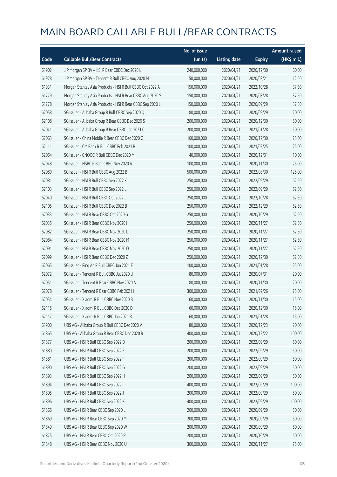|       |                                                           | No. of issue |                     |               | <b>Amount raised</b> |
|-------|-----------------------------------------------------------|--------------|---------------------|---------------|----------------------|
| Code  | <b>Callable Bull/Bear Contracts</b>                       | (units)      | <b>Listing date</b> | <b>Expiry</b> | (HK\$ mil.)          |
| 61902 | J P Morgan SP BV - HSI R Bear CBBC Dec 2020 L             | 240,000,000  | 2020/04/21          | 2020/12/30    | 60.00                |
| 61928 | J P Morgan SP BV - Tencent R Bull CBBC Aug 2020 M         | 50,000,000   | 2020/04/21          | 2020/08/21    | 12.50                |
| 61931 | Morgan Stanley Asia Products - HSI R Bull CBBC Oct 2022 A | 150,000,000  | 2020/04/21          | 2022/10/28    | 37.50                |
| 61779 | Morgan Stanley Asia Products - HSI R Bear CBBC Aug 2020 S | 150,000,000  | 2020/04/21          | 2020/08/28    | 37.50                |
| 61778 | Morgan Stanley Asia Products - HSI R Bear CBBC Sep 2020 L | 150,000,000  | 2020/04/21          | 2020/09/29    | 37.50                |
| 62058 | SG Issuer - Alibaba Group R Bull CBBC Sep 2020 Q          | 80,000,000   | 2020/04/21          | 2020/09/29    | 20.00                |
| 62108 | SG Issuer - Alibaba Group R Bear CBBC Dec 2020 S          | 200,000,000  | 2020/04/21          | 2020/12/30    | 50.00                |
| 62041 | SG Issuer - Alibaba Group R Bear CBBC Jan 2021 C          | 200,000,000  | 2020/04/21          | 2021/01/28    | 50.00                |
| 62063 | SG Issuer - China Mobile R Bear CBBC Dec 2020 C           | 100,000,000  | 2020/04/21          | 2020/12/30    | 25.00                |
| 62111 | SG Issuer - CM Bank R Bull CBBC Feb 2021 B                | 100,000,000  | 2020/04/21          | 2021/02/25    | 25.00                |
| 62064 | SG Issuer - CNOOC R Bull CBBC Dec 2020 M                  | 40,000,000   | 2020/04/21          | 2020/12/31    | 10.00                |
| 62048 | SG Issuer - HSBC R Bear CBBC Nov 2020 A                   | 100,000,000  | 2020/04/21          | 2020/11/30    | 25.00                |
| 62080 | SG Issuer - HSI R Bull CBBC Aug 2022 B                    | 500,000,000  | 2020/04/21          | 2022/08/30    | 125.00               |
| 62081 | SG Issuer - HSI R Bull CBBC Sep 2022 K                    | 250,000,000  | 2020/04/21          | 2022/09/29    | 62.50                |
| 62103 | SG Issuer - HSI R Bull CBBC Sep 2022 L                    | 250,000,000  | 2020/04/21          | 2022/09/29    | 62.50                |
| 62040 | SG Issuer - HSI R Bull CBBC Oct 2022 L                    | 250,000,000  | 2020/04/21          | 2022/10/28    | 62.50                |
| 62105 | SG Issuer - HSI R Bull CBBC Dec 2022 B                    | 250,000,000  | 2020/04/21          | 2022/12/29    | 62.50                |
| 62033 | SG Issuer - HSI R Bear CBBC Oct 2020 G                    | 250,000,000  | 2020/04/21          | 2020/10/29    | 62.50                |
| 62035 | SG Issuer - HSI R Bear CBBC Nov 2020 I                    | 250,000,000  | 2020/04/21          | 2020/11/27    | 62.50                |
| 62082 | SG Issuer - HSI R Bear CBBC Nov 2020 L                    | 250,000,000  | 2020/04/21          | 2020/11/27    | 62.50                |
| 62084 | SG Issuer - HSI R Bear CBBC Nov 2020 M                    | 250,000,000  | 2020/04/21          | 2020/11/27    | 62.50                |
| 62091 | SG Issuer - HSI R Bear CBBC Nov 2020 O                    | 250,000,000  | 2020/04/21          | 2020/11/27    | 62.50                |
| 62099 | SG Issuer - HSI R Bear CBBC Dec 2020 Z                    | 250,000,000  | 2020/04/21          | 2020/12/30    | 62.50                |
| 62065 | SG Issuer - Ping An R Bull CBBC Jan 2021 E                | 100,000,000  | 2020/04/21          | 2021/01/28    | 25.00                |
| 62072 | SG Issuer - Tencent R Bull CBBC Jul 2020 U                | 80,000,000   | 2020/04/21          | 2020/07/31    | 20.00                |
| 62051 | SG Issuer - Tencent R Bear CBBC Nov 2020 A                | 80,000,000   | 2020/04/21          | 2020/11/30    | 20.00                |
| 62078 | SG Issuer - Tencent R Bear CBBC Feb 2021 I                | 300,000,000  | 2020/04/21          | 2021/02/26    | 75.00                |
| 62054 | SG Issuer - Xiaomi R Bull CBBC Nov 2020 B                 | 60,000,000   | 2020/04/21          | 2020/11/30    | 15.00                |
| 62115 | SG Issuer - Xiaomi R Bull CBBC Dec 2020 D                 | 60,000,000   | 2020/04/21          | 2020/12/30    | 15.00                |
| 62117 | SG Issuer - Xiaomi R Bull CBBC Jan 2021 B                 | 60,000,000   | 2020/04/21          | 2021/01/28    | 15.00                |
| 61900 | UBS AG - Alibaba Group R Bull CBBC Dec 2020 V             | 80,000,000   | 2020/04/21          | 2020/12/23    | 20.00                |
| 61865 | UBS AG - Alibaba Group R Bear CBBC Dec 2020 R             | 400,000,000  | 2020/04/21          | 2020/12/22    | 100.00               |
| 61877 | UBS AG - HSI R Bull CBBC Sep 2022 D                       | 200,000,000  | 2020/04/21          | 2022/09/29    | 50.00                |
| 61880 | UBS AG - HSI R Bull CBBC Sep 2022 E                       | 200,000,000  | 2020/04/21          | 2022/09/29    | 50.00                |
| 61881 | UBS AG - HSI R Bull CBBC Sep 2022 F                       | 200,000,000  | 2020/04/21          | 2022/09/29    | 50.00                |
| 61890 | UBS AG - HSI R Bull CBBC Sep 2022 G                       | 200,000,000  | 2020/04/21          | 2022/09/29    | 50.00                |
| 61893 | UBS AG - HSI R Bull CBBC Sep 2022 H                       | 200,000,000  | 2020/04/21          | 2022/09/29    | 50.00                |
| 61894 | UBS AG - HSI R Bull CBBC Sep 2022 I                       | 400,000,000  | 2020/04/21          | 2022/09/29    | 100.00               |
| 61895 | UBS AG - HSI R Bull CBBC Sep 2022 J                       | 200,000,000  | 2020/04/21          | 2022/09/29    | 50.00                |
| 61896 | UBS AG - HSI R Bull CBBC Sep 2022 K                       | 400,000,000  | 2020/04/21          | 2022/09/29    | 100.00               |
| 61866 | UBS AG - HSI R Bear CBBC Sep 2020 L                       | 200,000,000  | 2020/04/21          | 2020/09/29    | 50.00                |
| 61869 | UBS AG - HSI R Bear CBBC Sep 2020 M                       | 200,000,000  | 2020/04/21          | 2020/09/29    | 50.00                |
| 61849 | UBS AG - HSI R Bear CBBC Sep 2020 W                       | 200,000,000  | 2020/04/21          | 2020/09/29    | 50.00                |
| 61875 | UBS AG - HSI R Bear CBBC Oct 2020 R                       | 200,000,000  | 2020/04/21          | 2020/10/29    | 50.00                |
| 61848 | UBS AG - HSI R Bear CBBC Nov 2020 U                       | 300,000,000  | 2020/04/21          | 2020/11/27    | 75.00                |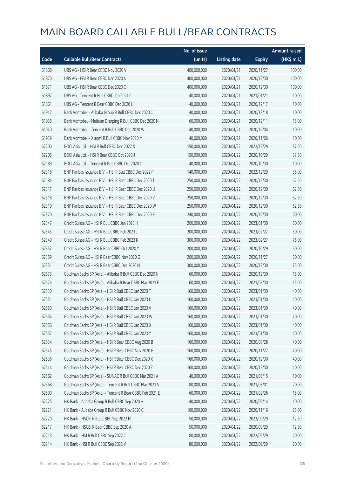|       |                                                          | No. of issue |                     |               | <b>Amount raised</b> |
|-------|----------------------------------------------------------|--------------|---------------------|---------------|----------------------|
| Code  | <b>Callable Bull/Bear Contracts</b>                      | (units)      | <b>Listing date</b> | <b>Expiry</b> | (HK\$ mil.)          |
| 61868 | UBS AG - HSI R Bear CBBC Nov 2020 V                      | 400,000,000  | 2020/04/21          | 2020/11/27    | 100.00               |
| 61870 | UBS AG - HSI R Bear CBBC Dec 2020 N                      | 400,000,000  | 2020/04/21          | 2020/12/30    | 100.00               |
| 61871 | UBS AG - HSI R Bear CBBC Dec 2020 O                      | 400,000,000  | 2020/04/21          | 2020/12/30    | 100.00               |
| 61897 | UBS AG - Tencent R Bull CBBC Jan 2021 C                  | 40,000,000   | 2020/04/21          | 2021/01/21    | 10.00                |
| 61861 | UBS AG - Tencent R Bear CBBC Dec 2020 L                  | 40,000,000   | 2020/04/21          | 2020/12/17    | 10.00                |
| 61942 | Bank Vontobel - Alibaba Group R Bull CBBC Dec 2020 C     | 40,000,000   | 2020/04/21          | 2020/12/18    | 10.00                |
| 61936 | Bank Vontobel - Meituan Dianping R Bull CBBC Dec 2020 N  | 60,000,000   | 2020/04/21          | 2020/12/11    | 15.00                |
| 61940 | Bank Vontobel - Tencent R Bull CBBC Dec 2020 W           | 40,000,000   | 2020/04/21          | 2020/12/04    | 10.00                |
| 61939 | Bank Vontobel - Xiaomi R Bull CBBC Nov 2020 M            | 40,000,000   | 2020/04/21          | 2020/11/06    | 10.00                |
| 62200 | BOCI Asia Ltd. - HSI R Bull CBBC Dec 2022 X              | 150,000,000  | 2020/04/22          | 2022/12/29    | 37.50                |
| 62205 | BOCI Asia Ltd. - HSI R Bear CBBC Oct 2020 J              | 150,000,000  | 2020/04/22          | 2020/10/29    | 37.50                |
| 62189 | BOCI Asia Ltd. - Tencent R Bull CBBC Oct 2020 O          | 40,000,000   | 2020/04/22          | 2020/10/30    | 10.00                |
| 62316 | BNP Paribas Issuance B.V. - HSI R Bull CBBC Dec 2022 P   | 140,000,000  | 2020/04/22          | 2022/12/29    | 35.00                |
| 62184 | BNP Paribas Issuance B.V. - HSI R Bear CBBC Dec 2020 T   | 250,000,000  | 2020/04/22          | 2020/12/30    | 62.50                |
| 62317 | BNP Paribas Issuance B.V. - HSI R Bear CBBC Dec 2020 U   | 250,000,000  | 2020/04/22          | 2020/12/30    | 62.50                |
| 62318 | BNP Paribas Issuance B.V. - HSI R Bear CBBC Dec 2020 V   | 250,000,000  | 2020/04/22          | 2020/12/30    | 62.50                |
| 62319 | BNP Paribas Issuance B.V. - HSI R Bear CBBC Dec 2020 W   | 250,000,000  | 2020/04/22          | 2020/12/30    | 62.50                |
| 62320 | BNP Paribas Issuance B.V. - HSI R Bear CBBC Dec 2020 X   | 240,000,000  | 2020/04/22          | 2020/12/30    | 60.00                |
| 62347 | Credit Suisse AG - HSI R Bull CBBC Jan 2023 H            | 200,000,000  | 2020/04/22          | 2023/01/30    | 50.00                |
| 62345 | Credit Suisse AG - HSI R Bull CBBC Feb 2023 J            | 200,000,000  | 2020/04/22          | 2023/02/27    | 50.00                |
| 62349 | Credit Suisse AG - HSI R Bull CBBC Feb 2023 K            | 300,000,000  | 2020/04/22          | 2023/02/27    | 75.00                |
| 62357 | Credit Suisse AG - HSI R Bear CBBC Oct 2020 Y            | 200,000,000  | 2020/04/22          | 2020/10/29    | 50.00                |
| 62359 | Credit Suisse AG - HSI R Bear CBBC Nov 2020 G            | 200,000,000  | 2020/04/22          | 2020/11/27    | 50.00                |
| 62351 | Credit Suisse AG - HSI R Bear CBBC Dec 2020 N            | 300,000,000  | 2020/04/22          | 2020/12/30    | 75.00                |
| 62573 | Goldman Sachs SP (Asia) - Alibaba R Bull CBBC Dec 2020 N | 60,000,000   | 2020/04/22          | 2020/12/30    | 15.00                |
| 62574 | Goldman Sachs SP (Asia) - Alibaba R Bear CBBC Mar 2021 E | 60,000,000   | 2020/04/22          | 2021/03/30    | 15.00                |
| 62530 | Goldman Sachs SP (Asia) - HSI R Bull CBBC Jan 2023 T     | 160,000,000  | 2020/04/22          | 2023/01/30    | 40.00                |
| 62531 | Goldman Sachs SP (Asia) - HSI R Bull CBBC Jan 2023 U     | 160,000,000  | 2020/04/22          | 2023/01/30    | 40.00                |
| 62550 | Goldman Sachs SP (Asia) - HSI R Bull CBBC Jan 2023 V     | 160,000,000  | 2020/04/22          | 2023/01/30    | 40.00                |
| 62554 | Goldman Sachs SP (Asia) - HSI R Bull CBBC Jan 2023 W     | 160,000,000  | 2020/04/22          | 2023/01/30    | 40.00                |
| 62556 | Goldman Sachs SP (Asia) - HSI R Bull CBBC Jan 2023 X     | 160,000,000  | 2020/04/22          | 2023/01/30    | 40.00                |
| 62557 | Goldman Sachs SP (Asia) - HSI R Bull CBBC Jan 2023 Y     | 160,000,000  | 2020/04/22          | 2023/01/30    | 40.00                |
| 62534 | Goldman Sachs SP (Asia) - HSI R Bear CBBC Aug 2020 B     | 160,000,000  | 2020/04/22          | 2020/08/28    | 40.00                |
| 62545 | Goldman Sachs SP (Asia) - HSI R Bear CBBC Nov 2020 F     | 160,000,000  | 2020/04/22          | 2020/11/27    | 40.00                |
| 62536 | Goldman Sachs SP (Asia) - HSI R Bear CBBC Dec 2020 X     | 160,000,000  | 2020/04/22          | 2020/12/30    | 40.00                |
| 62544 | Goldman Sachs SP (Asia) - HSI R Bear CBBC Dec 2020 Z     | 160,000,000  | 2020/04/22          | 2020/12/30    | 40.00                |
| 62562 | Goldman Sachs SP (Asia) - SUNAC R Bull CBBC Mar 2021 A   | 40,000,000   | 2020/04/22          | 2021/03/15    | 10.00                |
| 62568 | Goldman Sachs SP (Asia) - Tencent R Bull CBBC Mar 2021 S | 80,000,000   | 2020/04/22          | 2021/03/01    | 20.00                |
| 62590 | Goldman Sachs SP (Asia) - Tencent R Bear CBBC Feb 2021 E | 60,000,000   | 2020/04/22          | 2021/02/26    | 15.00                |
| 62225 | HK Bank - Alibaba Group R Bull CBBC Sep 2020 H           | 40,000,000   | 2020/04/22          | 2020/09/14    | 10.00                |
| 62221 | HK Bank - Alibaba Group R Bull CBBC Nov 2020 C           | 100,000,000  | 2020/04/22          | 2020/11/16    | 25.00                |
| 62220 | HK Bank - HSCEI R Bull CBBC Sep 2022 H                   | 50,000,000   | 2020/04/22          | 2022/09/29    | 12.50                |
| 62217 | HK Bank - HSCEI R Bear CBBC Sep 2020 A                   | 50,000,000   | 2020/04/22          | 2020/09/29    | 12.50                |
| 62213 | HK Bank - HSI R Bull CBBC Sep 2022 C                     | 80,000,000   | 2020/04/22          | 2022/09/29    | 20.00                |
| 62214 | HK Bank - HSI R Bull CBBC Sep 2022 V                     | 80,000,000   | 2020/04/22          | 2022/09/29    | 20.00                |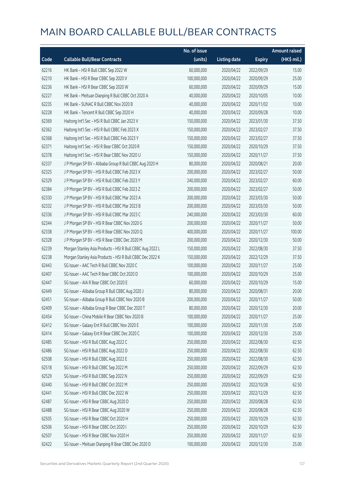|       |                                                           | No. of issue |                     |               | <b>Amount raised</b> |
|-------|-----------------------------------------------------------|--------------|---------------------|---------------|----------------------|
| Code  | <b>Callable Bull/Bear Contracts</b>                       | (units)      | <b>Listing date</b> | <b>Expiry</b> | (HK\$ mil.)          |
| 62216 | HK Bank - HSI R Bull CBBC Sep 2022 W                      | 60,000,000   | 2020/04/22          | 2022/09/29    | 15.00                |
| 62210 | HK Bank - HSI R Bear CBBC Sep 2020 V                      | 100,000,000  | 2020/04/22          | 2020/09/29    | 25.00                |
| 62236 | HK Bank - HSI R Bear CBBC Sep 2020 W                      | 60,000,000   | 2020/04/22          | 2020/09/29    | 15.00                |
| 62227 | HK Bank - Meituan Dianping R Bull CBBC Oct 2020 A         | 40,000,000   | 2020/04/22          | 2020/10/05    | 10.00                |
| 62235 | HK Bank - SUNAC R Bull CBBC Nov 2020 B                    | 40,000,000   | 2020/04/22          | 2020/11/02    | 10.00                |
| 62228 | HK Bank - Tencent R Bull CBBC Sep 2020 H                  | 40,000,000   | 2020/04/22          | 2020/09/28    | 10.00                |
| 62369 | Haitong Int'l Sec - HSI R Bull CBBC Jan 2023 V            | 150,000,000  | 2020/04/22          | 2023/01/30    | 37.50                |
| 62362 | Haitong Int'l Sec - HSI R Bull CBBC Feb 2023 X            | 150,000,000  | 2020/04/22          | 2023/02/27    | 37.50                |
| 62368 | Haitong Int'l Sec - HSI R Bull CBBC Feb 2023 Y            | 150,000,000  | 2020/04/22          | 2023/02/27    | 37.50                |
| 62371 | Haitong Int'l Sec - HSI R Bear CBBC Oct 2020 R            | 150,000,000  | 2020/04/22          | 2020/10/29    | 37.50                |
| 62378 | Haitong Int'l Sec - HSI R Bear CBBC Nov 2020 U            | 150,000,000  | 2020/04/22          | 2020/11/27    | 37.50                |
| 62337 | J P Morgan SP BV - Alibaba Group R Bull CBBC Aug 2020 H   | 80,000,000   | 2020/04/22          | 2020/08/21    | 20.00                |
| 62325 | J P Morgan SP BV - HSI R Bull CBBC Feb 2023 X             | 200,000,000  | 2020/04/22          | 2023/02/27    | 50.00                |
| 62329 | J P Morgan SP BV - HSI R Bull CBBC Feb 2023 Y             | 240,000,000  | 2020/04/22          | 2023/02/27    | 60.00                |
| 62384 | J P Morgan SP BV - HSI R Bull CBBC Feb 2023 Z             | 200,000,000  | 2020/04/22          | 2023/02/27    | 50.00                |
| 62330 | J P Morgan SP BV - HSI R Bull CBBC Mar 2023 A             | 200,000,000  | 2020/04/22          | 2023/03/30    | 50.00                |
| 62332 | J P Morgan SP BV - HSI R Bull CBBC Mar 2023 B             | 200,000,000  | 2020/04/22          | 2023/03/30    | 50.00                |
| 62336 | J P Morgan SP BV - HSI R Bull CBBC Mar 2023 C             | 240,000,000  | 2020/04/22          | 2023/03/30    | 60.00                |
| 62344 | J P Morgan SP BV - HSI R Bear CBBC Nov 2020 G             | 200,000,000  | 2020/04/22          | 2020/11/27    | 50.00                |
| 62338 | J P Morgan SP BV - HSI R Bear CBBC Nov 2020 Q             | 400,000,000  | 2020/04/22          | 2020/11/27    | 100.00               |
| 62328 | J P Morgan SP BV - HSI R Bear CBBC Dec 2020 M             | 200,000,000  | 2020/04/22          | 2020/12/30    | 50.00                |
| 62239 | Morgan Stanley Asia Products - HSI R Bull CBBC Aug 2022 L | 150,000,000  | 2020/04/22          | 2022/08/30    | 37.50                |
| 62238 | Morgan Stanley Asia Products - HSI R Bull CBBC Dec 2022 K | 150,000,000  | 2020/04/22          | 2022/12/29    | 37.50                |
| 62443 | SG Issuer - AAC Tech R Bull CBBC Nov 2020 C               | 100,000,000  | 2020/04/22          | 2020/11/27    | 25.00                |
| 62407 | SG Issuer - AAC Tech R Bear CBBC Oct 2020 D               | 100,000,000  | 2020/04/22          | 2020/10/29    | 25.00                |
| 62447 | SG Issuer - AIA R Bear CBBC Oct 2020 E                    | 60,000,000   | 2020/04/22          | 2020/10/29    | 15.00                |
| 62449 | SG Issuer - Alibaba Group R Bull CBBC Aug 2020 J          | 80,000,000   | 2020/04/22          | 2020/08/31    | 20.00                |
| 62451 | SG Issuer - Alibaba Group R Bull CBBC Nov 2020 B          | 200,000,000  | 2020/04/22          | 2020/11/27    | 50.00                |
| 62409 | SG Issuer - Alibaba Group R Bear CBBC Dec 2020 T          | 80,000,000   | 2020/04/22          | 2020/12/30    | 20.00                |
| 62454 | SG Issuer - China Mobile R Bear CBBC Nov 2020 B           | 100,000,000  | 2020/04/22          | 2020/11/27    | 25.00                |
| 62412 | SG Issuer - Galaxy Ent R Bull CBBC Nov 2020 E             | 100,000,000  | 2020/04/22          | 2020/11/30    | 25.00                |
| 62414 | SG Issuer - Galaxy Ent R Bear CBBC Dec 2020 C             | 100,000,000  | 2020/04/22          | 2020/12/30    | 25.00                |
| 62485 | SG Issuer - HSI R Bull CBBC Aug 2022 C                    | 250,000,000  | 2020/04/22          | 2022/08/30    | 62.50                |
| 62486 | SG Issuer - HSI R Bull CBBC Aug 2022 D                    | 250,000,000  | 2020/04/22          | 2022/08/30    | 62.50                |
| 62508 | SG Issuer - HSI R Bull CBBC Aug 2022 E                    | 250,000,000  | 2020/04/22          | 2022/08/30    | 62.50                |
| 62518 | SG Issuer - HSI R Bull CBBC Sep 2022 M                    | 250,000,000  | 2020/04/22          | 2022/09/29    | 62.50                |
| 62529 | SG Issuer - HSI R Bull CBBC Sep 2022 N                    | 250,000,000  | 2020/04/22          | 2022/09/29    | 62.50                |
| 62440 | SG Issuer - HSI R Bull CBBC Oct 2022 M                    | 250,000,000  | 2020/04/22          | 2022/10/28    | 62.50                |
| 62441 | SG Issuer - HSI R Bull CBBC Dec 2022 W                    | 250,000,000  | 2020/04/22          | 2022/12/29    | 62.50                |
| 62487 | SG Issuer - HSI R Bear CBBC Aug 2020 D                    | 250,000,000  | 2020/04/22          | 2020/08/28    | 62.50                |
| 62488 | SG Issuer - HSI R Bear CBBC Aug 2020 W                    | 250,000,000  | 2020/04/22          | 2020/08/28    | 62.50                |
| 62505 | SG Issuer - HSI R Bear CBBC Oct 2020 H                    | 250,000,000  | 2020/04/22          | 2020/10/29    | 62.50                |
| 62506 | SG Issuer - HSI R Bear CBBC Oct 2020 I                    | 250,000,000  | 2020/04/22          | 2020/10/29    | 62.50                |
| 62507 | SG Issuer - HSI R Bear CBBC Nov 2020 H                    | 250,000,000  | 2020/04/22          | 2020/11/27    | 62.50                |
| 62422 | SG Issuer - Meituan Dianping R Bear CBBC Dec 2020 D       | 100,000,000  | 2020/04/22          | 2020/12/30    | 25.00                |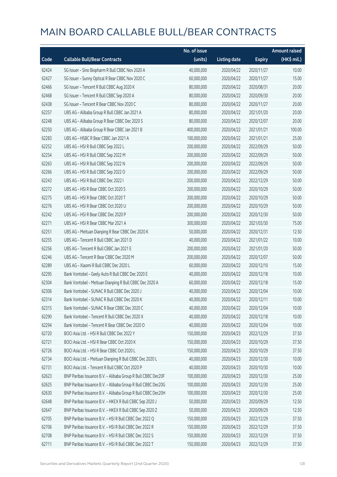|       |                                                              | No. of issue |                     |               | <b>Amount raised</b> |
|-------|--------------------------------------------------------------|--------------|---------------------|---------------|----------------------|
| Code  | <b>Callable Bull/Bear Contracts</b>                          | (units)      | <b>Listing date</b> | <b>Expiry</b> | (HK\$ mil.)          |
| 62424 | SG Issuer - Sino Biopharm R Bull CBBC Nov 2020 A             | 40,000,000   | 2020/04/22          | 2020/11/27    | 10.00                |
| 62427 | SG Issuer - Sunny Optical R Bear CBBC Nov 2020 C             | 60,000,000   | 2020/04/22          | 2020/11/27    | 15.00                |
| 62466 | SG Issuer - Tencent R Bull CBBC Aug 2020 K                   | 80,000,000   | 2020/04/22          | 2020/08/31    | 20.00                |
| 62468 | SG Issuer - Tencent R Bull CBBC Sep 2020 A                   | 80,000,000   | 2020/04/22          | 2020/09/30    | 20.00                |
| 62438 | SG Issuer - Tencent R Bear CBBC Nov 2020 C                   | 80,000,000   | 2020/04/22          | 2020/11/27    | 20.00                |
| 62257 | UBS AG - Alibaba Group R Bull CBBC Jan 2021 A                | 80,000,000   | 2020/04/22          | 2021/01/20    | 20.00                |
| 62248 | UBS AG - Alibaba Group R Bear CBBC Dec 2020 S                | 80,000,000   | 2020/04/22          | 2020/12/07    | 20.00                |
| 62250 | UBS AG - Alibaba Group R Bear CBBC Jan 2021 B                | 400,000,000  | 2020/04/22          | 2021/01/21    | 100.00               |
| 62283 | UBS AG - HSBC R Bear CBBC Jan 2021 A                         | 100,000,000  | 2020/04/22          | 2021/01/21    | 25.00                |
| 62252 | UBS AG - HSI R Bull CBBC Sep 2022 L                          | 200,000,000  | 2020/04/22          | 2022/09/29    | 50.00                |
| 62254 | UBS AG - HSI R Bull CBBC Sep 2022 M                          | 200,000,000  | 2020/04/22          | 2022/09/29    | 50.00                |
| 62263 | UBS AG - HSI R Bull CBBC Sep 2022 N                          | 200,000,000  | 2020/04/22          | 2022/09/29    | 50.00                |
| 62266 | UBS AG - HSI R Bull CBBC Sep 2022 O                          | 200,000,000  | 2020/04/22          | 2022/09/29    | 50.00                |
| 62243 | UBS AG - HSI R Bull CBBC Dec 2022 I                          | 200,000,000  | 2020/04/22          | 2022/12/29    | 50.00                |
| 62272 | UBS AG - HSI R Bear CBBC Oct 2020 S                          | 200,000,000  | 2020/04/22          | 2020/10/29    | 50.00                |
| 62275 | UBS AG - HSI R Bear CBBC Oct 2020 T                          | 200,000,000  | 2020/04/22          | 2020/10/29    | 50.00                |
| 62276 | UBS AG - HSI R Bear CBBC Oct 2020 U                          | 200,000,000  | 2020/04/22          | 2020/10/29    | 50.00                |
| 62242 | UBS AG - HSI R Bear CBBC Dec 2020 P                          | 200,000,000  | 2020/04/22          | 2020/12/30    | 50.00                |
| 62271 | UBS AG - HSI R Bear CBBC Mar 2021 A                          | 300,000,000  | 2020/04/22          | 2021/03/30    | 75.00                |
| 62251 | UBS AG - Meituan Dianping R Bear CBBC Dec 2020 K             | 50,000,000   | 2020/04/22          | 2020/12/31    | 12.50                |
| 62255 | UBS AG - Tencent R Bull CBBC Jan 2021 D                      | 40,000,000   | 2020/04/22          | 2021/01/22    | 10.00                |
| 62256 | UBS AG - Tencent R Bull CBBC Jan 2021 E                      | 200,000,000  | 2020/04/22          | 2021/01/20    | 50.00                |
| 62246 | UBS AG - Tencent R Bear CBBC Dec 2020 M                      | 200,000,000  | 2020/04/22          | 2020/12/07    | 50.00                |
| 62289 | UBS AG - Xiaomi R Bull CBBC Dec 2020 L                       | 60,000,000   | 2020/04/22          | 2020/12/10    | 15.00                |
| 62295 | Bank Vontobel - Geely Auto R Bull CBBC Dec 2020 E            | 40,000,000   | 2020/04/22          | 2020/12/18    | 10.00                |
| 62304 | Bank Vontobel - Meituan Dianping R Bull CBBC Dec 2020 A      | 60,000,000   | 2020/04/22          | 2020/12/18    | 15.00                |
| 62306 | Bank Vontobel - SUNAC R Bull CBBC Dec 2020 J                 | 40,000,000   | 2020/04/22          | 2020/12/04    | 10.00                |
| 62314 | Bank Vontobel - SUNAC R Bull CBBC Dec 2020 K                 | 40,000,000   | 2020/04/22          | 2020/12/11    | 10.00                |
| 62315 | Bank Vontobel - SUNAC R Bear CBBC Dec 2020 C                 | 40,000,000   | 2020/04/22          | 2020/12/04    | 10.00                |
| 62290 | Bank Vontobel - Tencent R Bull CBBC Dec 2020 X               | 40,000,000   | 2020/04/22          | 2020/12/18    | 10.00                |
| 62294 | Bank Vontobel - Tencent R Bear CBBC Dec 2020 O               | 40,000,000   | 2020/04/22          | 2020/12/04    | 10.00                |
| 62720 | BOCI Asia Ltd. - HSI R Bull CBBC Dec 2022 Y                  | 150,000,000  | 2020/04/23          | 2022/12/29    | 37.50                |
| 62721 | BOCI Asia Ltd. - HSI R Bear CBBC Oct 2020 K                  | 150,000,000  | 2020/04/23          | 2020/10/29    | 37.50                |
| 62726 | BOCI Asia Ltd. - HSI R Bear CBBC Oct 2020 L                  | 150,000,000  | 2020/04/23          | 2020/10/29    | 37.50                |
| 62734 | BOCI Asia Ltd. - Meituan Dianping R Bull CBBC Dec 2020 L     | 40,000,000   | 2020/04/23          | 2020/12/30    | 10.00                |
| 62731 | BOCI Asia Ltd. - Tencent R Bull CBBC Oct 2020 P              | 40,000,000   | 2020/04/23          | 2020/10/30    | 10.00                |
| 62623 | BNP Paribas Issuance B.V. - Alibaba Group R Bull CBBC Dec20F | 100,000,000  | 2020/04/23          | 2020/12/30    | 25.00                |
| 62625 | BNP Paribas Issuance B.V. - Alibaba Group R Bull CBBC Dec20G | 100,000,000  | 2020/04/23          | 2020/12/30    | 25.00                |
| 62630 | BNP Paribas Issuance B.V. - Alibaba Group R Bull CBBC Dec20H | 100,000,000  | 2020/04/23          | 2020/12/30    | 25.00                |
| 62648 | BNP Paribas Issuance B.V. - HKEX R Bull CBBC Sep 2020 J      | 50,000,000   | 2020/04/23          | 2020/09/29    | 12.50                |
| 62647 | BNP Paribas Issuance B.V. - HKEX R Bull CBBC Sep 2020 Z      | 50,000,000   | 2020/04/23          | 2020/09/29    | 12.50                |
| 62705 | BNP Paribas Issuance B.V. - HSI R Bull CBBC Dec 2022 Q       | 150,000,000  | 2020/04/23          | 2022/12/29    | 37.50                |
| 62706 | BNP Paribas Issuance B.V. - HSI R Bull CBBC Dec 2022 R       | 150,000,000  | 2020/04/23          | 2022/12/29    | 37.50                |
| 62708 | BNP Paribas Issuance B.V. - HSI R Bull CBBC Dec 2022 S       | 150,000,000  | 2020/04/23          | 2022/12/29    | 37.50                |
| 62711 | BNP Paribas Issuance B.V. - HSI R Bull CBBC Dec 2022 T       | 150,000,000  | 2020/04/23          | 2022/12/29    | 37.50                |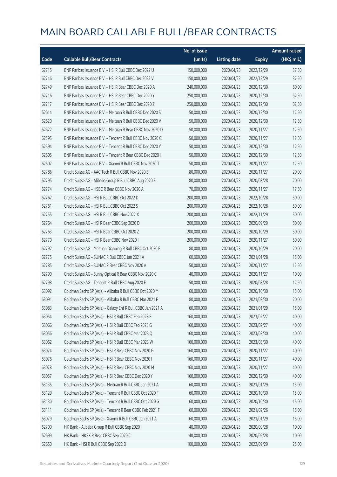|       |                                                             | No. of issue |                     |               | <b>Amount raised</b> |
|-------|-------------------------------------------------------------|--------------|---------------------|---------------|----------------------|
| Code  | <b>Callable Bull/Bear Contracts</b>                         | (units)      | <b>Listing date</b> | <b>Expiry</b> | (HK\$ mil.)          |
| 62715 | BNP Paribas Issuance B.V. - HSI R Bull CBBC Dec 2022 U      | 150,000,000  | 2020/04/23          | 2022/12/29    | 37.50                |
| 62746 | BNP Paribas Issuance B.V. - HSI R Bull CBBC Dec 2022 V      | 150,000,000  | 2020/04/23          | 2022/12/29    | 37.50                |
| 62749 | BNP Paribas Issuance B.V. - HSI R Bear CBBC Dec 2020 A      | 240,000,000  | 2020/04/23          | 2020/12/30    | 60.00                |
| 62716 | BNP Paribas Issuance B.V. - HSI R Bear CBBC Dec 2020 Y      | 250,000,000  | 2020/04/23          | 2020/12/30    | 62.50                |
| 62717 | BNP Paribas Issuance B.V. - HSI R Bear CBBC Dec 2020 Z      | 250,000,000  | 2020/04/23          | 2020/12/30    | 62.50                |
| 62614 | BNP Paribas Issuance B.V. - Meituan R Bull CBBC Dec 2020 S  | 50,000,000   | 2020/04/23          | 2020/12/30    | 12.50                |
| 62620 | BNP Paribas Issuance B.V. - Meituan R Bull CBBC Dec 2020 V  | 50,000,000   | 2020/04/23          | 2020/12/30    | 12.50                |
| 62622 | BNP Paribas Issuance B.V. - Meituan R Bear CBBC Nov 2020 D  | 50,000,000   | 2020/04/23          | 2020/11/27    | 12.50                |
| 62595 | BNP Paribas Issuance B.V. - Tencent R Bull CBBC Nov 2020 G  | 50,000,000   | 2020/04/23          | 2020/11/27    | 12.50                |
| 62594 | BNP Paribas Issuance B.V. - Tencent R Bull CBBC Dec 2020 Y  | 50,000,000   | 2020/04/23          | 2020/12/30    | 12.50                |
| 62605 | BNP Paribas Issuance B.V. - Tencent R Bear CBBC Dec 2020 I  | 50,000,000   | 2020/04/23          | 2020/12/30    | 12.50                |
| 62607 | BNP Paribas Issuance B.V. - Xiaomi R Bull CBBC Nov 2020 T   | 50,000,000   | 2020/04/23          | 2020/11/27    | 12.50                |
| 62786 | Credit Suisse AG - AAC Tech R Bull CBBC Nov 2020 B          | 80,000,000   | 2020/04/23          | 2020/11/27    | 20.00                |
| 62795 | Credit Suisse AG - Alibaba Group R Bull CBBC Aug 2020 E     | 80,000,000   | 2020/04/23          | 2020/08/28    | 20.00                |
| 62774 | Credit Suisse AG - HSBC R Bear CBBC Nov 2020 A              | 70,000,000   | 2020/04/23          | 2020/11/27    | 17.50                |
| 62762 | Credit Suisse AG - HSI R Bull CBBC Oct 2022 D               | 200,000,000  | 2020/04/23          | 2022/10/28    | 50.00                |
| 62761 | Credit Suisse AG - HSI R Bull CBBC Oct 2022 S               | 200,000,000  | 2020/04/23          | 2022/10/28    | 50.00                |
| 62755 | Credit Suisse AG - HSI R Bull CBBC Nov 2022 X               | 200,000,000  | 2020/04/23          | 2022/11/29    | 50.00                |
| 62764 | Credit Suisse AG - HSI R Bear CBBC Sep 2020 D               | 200,000,000  | 2020/04/23          | 2020/09/29    | 50.00                |
| 62763 | Credit Suisse AG - HSI R Bear CBBC Oct 2020 Z               | 200,000,000  | 2020/04/23          | 2020/10/29    | 50.00                |
| 62770 | Credit Suisse AG - HSI R Bear CBBC Nov 2020 I               | 200,000,000  | 2020/04/23          | 2020/11/27    | 50.00                |
| 62792 | Credit Suisse AG - Meituan Dianping R Bull CBBC Oct 2020 E  | 80,000,000   | 2020/04/23          | 2020/10/29    | 20.00                |
| 62775 | Credit Suisse AG - SUNAC R Bull CBBC Jan 2021 A             | 60,000,000   | 2020/04/23          | 2021/01/28    | 15.00                |
| 62785 | Credit Suisse AG - SUNAC R Bear CBBC Nov 2020 A             | 50,000,000   | 2020/04/23          | 2020/11/27    | 12.50                |
| 62790 | Credit Suisse AG - Sunny Optical R Bear CBBC Nov 2020 C     | 40,000,000   | 2020/04/23          | 2020/11/27    | 10.00                |
| 62798 | Credit Suisse AG - Tencent R Bull CBBC Aug 2020 E           | 50,000,000   | 2020/04/23          | 2020/08/28    | 12.50                |
| 63092 | Goldman Sachs SP (Asia) - Alibaba R Bull CBBC Oct 2020 M    | 60,000,000   | 2020/04/23          | 2020/10/30    | 15.00                |
| 63091 | Goldman Sachs SP (Asia) - Alibaba R Bull CBBC Mar 2021 F    | 80,000,000   | 2020/04/23          | 2021/03/30    | 20.00                |
| 63083 | Goldman Sachs SP (Asia) - Galaxy Ent R Bull CBBC Jan 2021 A | 60,000,000   | 2020/04/23          | 2021/01/29    | 15.00                |
| 63054 | Goldman Sachs SP (Asia) - HSI R Bull CBBC Feb 2023 F        | 160,000,000  | 2020/04/23          | 2023/02/27    | 40.00                |
| 63066 | Goldman Sachs SP (Asia) - HSI R Bull CBBC Feb 2023 G        | 160,000,000  | 2020/04/23          | 2023/02/27    | 40.00                |
| 63056 | Goldman Sachs SP (Asia) - HSI R Bull CBBC Mar 2023 Q        | 160,000,000  | 2020/04/23          | 2023/03/30    | 40.00                |
| 63062 | Goldman Sachs SP (Asia) - HSI R Bull CBBC Mar 2023 W        | 160,000,000  | 2020/04/23          | 2023/03/30    | 40.00                |
| 63074 | Goldman Sachs SP (Asia) - HSI R Bear CBBC Nov 2020 G        | 160,000,000  | 2020/04/23          | 2020/11/27    | 40.00                |
| 63076 | Goldman Sachs SP (Asia) - HSI R Bear CBBC Nov 2020 I        | 160,000,000  | 2020/04/23          | 2020/11/27    | 40.00                |
| 63078 | Goldman Sachs SP (Asia) - HSI R Bear CBBC Nov 2020 M        | 160,000,000  | 2020/04/23          | 2020/11/27    | 40.00                |
| 63057 | Goldman Sachs SP (Asia) - HSI R Bear CBBC Dec 2020 Y        | 160,000,000  | 2020/04/23          | 2020/12/30    | 40.00                |
| 63135 | Goldman Sachs SP (Asia) - Meituan R Bull CBBC Jan 2021 A    | 60,000,000   | 2020/04/23          | 2021/01/29    | 15.00                |
| 63129 | Goldman Sachs SP (Asia) - Tencent R Bull CBBC Oct 2020 F    | 60,000,000   | 2020/04/23          | 2020/10/30    | 15.00                |
| 63130 | Goldman Sachs SP (Asia) - Tencent R Bull CBBC Oct 2020 G    | 60,000,000   | 2020/04/23          | 2020/10/30    | 15.00                |
| 63111 | Goldman Sachs SP (Asia) - Tencent R Bear CBBC Feb 2021 F    | 60,000,000   | 2020/04/23          | 2021/02/26    | 15.00                |
| 63079 | Goldman Sachs SP (Asia) - Xiaomi R Bull CBBC Jan 2021 A     | 60,000,000   | 2020/04/23          | 2021/01/29    | 15.00                |
| 62700 | HK Bank - Alibaba Group R Bull CBBC Sep 2020 I              | 40,000,000   | 2020/04/23          | 2020/09/28    | 10.00                |
| 62699 | HK Bank - HKEX R Bear CBBC Sep 2020 C                       | 40,000,000   | 2020/04/23          | 2020/09/28    | 10.00                |
| 62650 | HK Bank - HSI R Bull CBBC Sep 2022 D                        | 100,000,000  | 2020/04/23          | 2022/09/29    | 25.00                |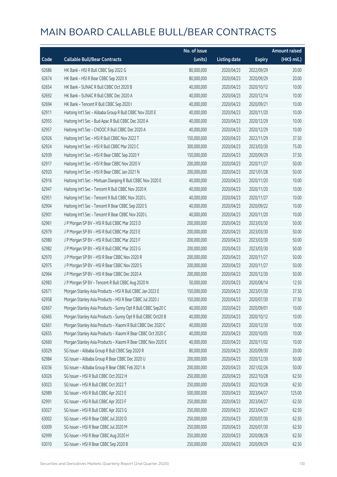|       |                                                              | No. of issue |                     |               | <b>Amount raised</b> |
|-------|--------------------------------------------------------------|--------------|---------------------|---------------|----------------------|
| Code  | <b>Callable Bull/Bear Contracts</b>                          | (units)      | <b>Listing date</b> | <b>Expiry</b> | (HK\$ mil.)          |
| 62686 | HK Bank - HSI R Bull CBBC Sep 2022 G                         | 80,000,000   | 2020/04/23          | 2022/09/29    | 20.00                |
| 62674 | HK Bank - HSI R Bear CBBC Sep 2020 X                         | 80,000,000   | 2020/04/23          | 2020/09/29    | 20.00                |
| 62654 | HK Bank - SUNAC R Bull CBBC Oct 2020 B                       | 40,000,000   | 2020/04/23          | 2020/10/12    | 10.00                |
| 62692 | HK Bank - SUNAC R Bull CBBC Dec 2020 A                       | 40,000,000   | 2020/04/23          | 2020/12/14    | 10.00                |
| 62694 | HK Bank - Tencent R Bull CBBC Sep 2020 I                     | 40,000,000   | 2020/04/23          | 2020/09/21    | 10.00                |
| 62911 | Haitong Int'l Sec - Alibaba Group R Bull CBBC Nov 2020 E     | 40,000,000   | 2020/04/23          | 2020/11/20    | 10.00                |
| 62955 | Haitong Int'l Sec - Bud Apac R Bull CBBC Dec 2020 A          | 40,000,000   | 2020/04/23          | 2020/12/29    | 10.00                |
| 62957 | Haitong Int'l Sec - CNOOC R Bull CBBC Dec 2020 A             | 40,000,000   | 2020/04/23          | 2020/12/29    | 10.00                |
| 62926 | Haitong Int'l Sec - HSI R Bull CBBC Nov 2022 T               | 150,000,000  | 2020/04/23          | 2022/11/29    | 37.50                |
| 62924 | Haitong Int'l Sec - HSI R Bull CBBC Mar 2023 C               | 300,000,000  | 2020/04/23          | 2023/03/30    | 75.00                |
| 62939 | Haitong Int'l Sec - HSI R Bear CBBC Sep 2020 Y               | 150,000,000  | 2020/04/23          | 2020/09/29    | 37.50                |
| 62917 | Haitong Int'l Sec - HSI R Bear CBBC Nov 2020 V               | 200,000,000  | 2020/04/23          | 2020/11/27    | 50.00                |
| 62920 | Haitong Int'l Sec - HSI R Bear CBBC Jan 2021 N               | 200,000,000  | 2020/04/23          | 2021/01/28    | 50.00                |
| 62916 | Haitong Int'l Sec - Meituan Dianping R Bull CBBC Nov 2020 E  | 40,000,000   | 2020/04/23          | 2020/11/20    | 10.00                |
| 62947 | Haitong Int'l Sec - Tencent R Bull CBBC Nov 2020 K           | 40,000,000   | 2020/04/23          | 2020/11/20    | 10.00                |
| 62951 | Haitong Int'l Sec - Tencent R Bull CBBC Nov 2020 L           | 40,000,000   | 2020/04/23          | 2020/11/27    | 10.00                |
| 62904 | Haitong Int'l Sec - Tencent R Bear CBBC Sep 2020 S           | 40,000,000   | 2020/04/23          | 2020/09/22    | 10.00                |
| 62901 | Haitong Int'l Sec - Tencent R Bear CBBC Nov 2020 L           | 40,000,000   | 2020/04/23          | 2020/11/20    | 10.00                |
| 62961 | J P Morgan SP BV - HSI R Bull CBBC Mar 2023 D                | 200,000,000  | 2020/04/23          | 2023/03/30    | 50.00                |
| 62979 | J P Morgan SP BV - HSI R Bull CBBC Mar 2023 E                | 200,000,000  | 2020/04/23          | 2023/03/30    | 50.00                |
| 62980 | J P Morgan SP BV - HSI R Bull CBBC Mar 2023 F                | 200,000,000  | 2020/04/23          | 2023/03/30    | 50.00                |
| 62982 | J P Morgan SP BV - HSI R Bull CBBC Mar 2023 G                | 200,000,000  | 2020/04/23          | 2023/03/30    | 50.00                |
| 62970 | J P Morgan SP BV - HSI R Bear CBBC Nov 2020 R                | 200,000,000  | 2020/04/23          | 2020/11/27    | 50.00                |
| 62975 | J P Morgan SP BV - HSI R Bear CBBC Nov 2020 S                | 200,000,000  | 2020/04/23          | 2020/11/27    | 50.00                |
| 62964 | J P Morgan SP BV - HSI R Bear CBBC Dec 2020 A                | 200,000,000  | 2020/04/23          | 2020/12/30    | 50.00                |
| 62983 | J P Morgan SP BV - Tencent R Bull CBBC Aug 2020 N            | 50,000,000   | 2020/04/23          | 2020/08/14    | 12.50                |
| 62671 | Morgan Stanley Asia Products - HSI R Bull CBBC Jan 2023 E    | 150,000,000  | 2020/04/23          | 2023/01/30    | 37.50                |
| 62958 | Morgan Stanley Asia Products - HSI R Bear CBBC Jul 2020 J    | 150,000,000  | 2020/04/23          | 2020/07/30    | 37.50                |
| 62667 | Morgan Stanley Asia Products - Sunny Opt R Bull CBBC Sep20 C | 40,000,000   | 2020/04/23          | 2020/09/01    | 10.00                |
| 62665 | Morgan Stanley Asia Products - Sunny Opt R Bull CBBC Oct20 B | 40,000,000   | 2020/04/23          | 2020/10/12    | 10.00                |
| 62661 | Morgan Stanley Asia Products - Xiaomi R Bull CBBC Dec 2020 C | 40,000,000   | 2020/04/23          | 2020/12/30    | 10.00                |
| 62655 | Morgan Stanley Asia Products - Xiaomi R Bear CBBC Oct 2020 C | 40,000,000   | 2020/04/23          | 2020/10/05    | 10.00                |
| 62660 | Morgan Stanley Asia Products - Xiaomi R Bear CBBC Nov 2020 E | 40,000,000   | 2020/04/23          | 2020/11/02    | 10.00                |
| 63029 | SG Issuer - Alibaba Group R Bull CBBC Sep 2020 R             | 80,000,000   | 2020/04/23          | 2020/09/30    | 20.00                |
| 62984 | SG Issuer - Alibaba Group R Bear CBBC Dec 2020 U             | 200,000,000  | 2020/04/23          | 2020/12/30    | 50.00                |
| 63036 | SG Issuer - Alibaba Group R Bear CBBC Feb 2021 A             | 200,000,000  | 2020/04/23          | 2021/02/26    | 50.00                |
| 63026 | SG Issuer - HSI R Bull CBBC Oct 2022 H                       | 250,000,000  | 2020/04/23          | 2022/10/28    | 62.50                |
| 63023 | SG Issuer - HSI R Bull CBBC Oct 2022 T                       | 250,000,000  | 2020/04/23          | 2022/10/28    | 62.50                |
| 62989 | SG Issuer - HSI R Bull CBBC Apr 2023 E                       | 500,000,000  | 2020/04/23          | 2023/04/27    | 125.00               |
| 62991 | SG Issuer - HSI R Bull CBBC Apr 2023 F                       | 250,000,000  | 2020/04/23          | 2023/04/27    | 62.50                |
| 63027 | SG Issuer - HSI R Bull CBBC Apr 2023 G                       | 250,000,000  | 2020/04/23          | 2023/04/27    | 62.50                |
| 63002 | SG Issuer - HSI R Bear CBBC Jul 2020 D                       | 250,000,000  | 2020/04/23          | 2020/07/30    | 62.50                |
| 63009 | SG Issuer - HSI R Bear CBBC Jul 2020 M                       | 250,000,000  | 2020/04/23          | 2020/07/30    | 62.50                |
| 62999 | SG Issuer - HSI R Bear CBBC Aug 2020 H                       | 250,000,000  | 2020/04/23          | 2020/08/28    | 62.50                |
| 63010 | SG Issuer - HSI R Bear CBBC Sep 2020 B                       | 250,000,000  | 2020/04/23          | 2020/09/29    | 62.50                |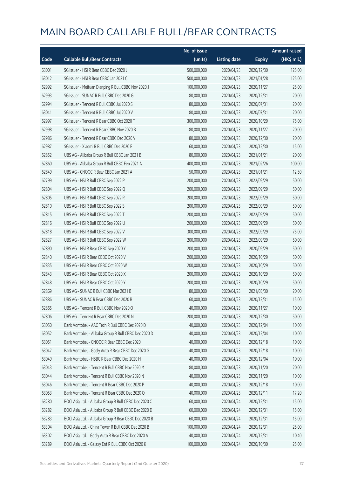|       |                                                       | No. of issue |                     |               | <b>Amount raised</b> |
|-------|-------------------------------------------------------|--------------|---------------------|---------------|----------------------|
| Code  | <b>Callable Bull/Bear Contracts</b>                   | (units)      | <b>Listing date</b> | <b>Expiry</b> | $(HK\$ mil.)         |
| 63001 | SG Issuer - HSI R Bear CBBC Dec 2020 J                | 500,000,000  | 2020/04/23          | 2020/12/30    | 125.00               |
| 63012 | SG Issuer - HSI R Bear CBBC Jan 2021 C                | 500,000,000  | 2020/04/23          | 2021/01/28    | 125.00               |
| 62992 | SG Issuer - Meituan Dianping R Bull CBBC Nov 2020 J   | 100,000,000  | 2020/04/23          | 2020/11/27    | 25.00                |
| 62993 | SG Issuer - SUNAC R Bull CBBC Dec 2020 G              | 80,000,000   | 2020/04/23          | 2020/12/31    | 20.00                |
| 62994 | SG Issuer - Tencent R Bull CBBC Jul 2020 S            | 80,000,000   | 2020/04/23          | 2020/07/31    | 20.00                |
| 63041 | SG Issuer - Tencent R Bull CBBC Jul 2020 V            | 80,000,000   | 2020/04/23          | 2020/07/31    | 20.00                |
| 62997 | SG Issuer - Tencent R Bear CBBC Oct 2020 T            | 300,000,000  | 2020/04/23          | 2020/10/29    | 75.00                |
| 62998 | SG Issuer - Tencent R Bear CBBC Nov 2020 B            | 80,000,000   | 2020/04/23          | 2020/11/27    | 20.00                |
| 62986 | SG Issuer - Tencent R Bear CBBC Dec 2020 V            | 80,000,000   | 2020/04/23          | 2020/12/30    | 20.00                |
| 62987 | SG Issuer - Xiaomi R Bull CBBC Dec 2020 E             | 60,000,000   | 2020/04/23          | 2020/12/30    | 15.00                |
| 62852 | UBS AG - Alibaba Group R Bull CBBC Jan 2021 B         | 80,000,000   | 2020/04/23          | 2021/01/21    | 20.00                |
| 62860 | UBS AG - Alibaba Group R Bull CBBC Feb 2021 A         | 400,000,000  | 2020/04/23          | 2021/02/26    | 100.00               |
| 62849 | UBS AG - CNOOC R Bear CBBC Jan 2021 A                 | 50,000,000   | 2020/04/23          | 2021/01/21    | 12.50                |
| 62799 | UBS AG - HSI R Bull CBBC Sep 2022 P                   | 200,000,000  | 2020/04/23          | 2022/09/29    | 50.00                |
| 62804 | UBS AG - HSI R Bull CBBC Sep 2022 Q                   | 200,000,000  | 2020/04/23          | 2022/09/29    | 50.00                |
| 62805 | UBS AG - HSI R Bull CBBC Sep 2022 R                   | 200,000,000  | 2020/04/23          | 2022/09/29    | 50.00                |
| 62810 | UBS AG - HSI R Bull CBBC Sep 2022 S                   | 200,000,000  | 2020/04/23          | 2022/09/29    | 50.00                |
| 62815 | UBS AG - HSI R Bull CBBC Sep 2022 T                   | 200,000,000  | 2020/04/23          | 2022/09/29    | 50.00                |
| 62816 | UBS AG - HSI R Bull CBBC Sep 2022 U                   | 200,000,000  | 2020/04/23          | 2022/09/29    | 50.00                |
| 62818 | UBS AG - HSI R Bull CBBC Sep 2022 V                   | 300,000,000  | 2020/04/23          | 2022/09/29    | 75.00                |
| 62827 | UBS AG - HSI R Bull CBBC Sep 2022 W                   | 200,000,000  | 2020/04/23          | 2022/09/29    | 50.00                |
| 62890 | UBS AG - HSI R Bear CBBC Sep 2020 Y                   | 200,000,000  | 2020/04/23          | 2020/09/29    | 50.00                |
| 62840 | UBS AG - HSI R Bear CBBC Oct 2020 V                   | 200,000,000  | 2020/04/23          | 2020/10/29    | 50.00                |
| 62835 | UBS AG - HSI R Bear CBBC Oct 2020 W                   | 200,000,000  | 2020/04/23          | 2020/10/29    | 50.00                |
| 62843 | UBS AG - HSI R Bear CBBC Oct 2020 X                   | 200,000,000  | 2020/04/23          | 2020/10/29    | 50.00                |
| 62848 | UBS AG - HSI R Bear CBBC Oct 2020 Y                   | 200,000,000  | 2020/04/23          | 2020/10/29    | 50.00                |
| 62869 | UBS AG - SUNAC R Bull CBBC Mar 2021 B                 | 80,000,000   | 2020/04/23          | 2021/03/30    | 20.00                |
| 62886 | UBS AG – SUNAC R Bear CBBC Dec 2020 B                 | 60,000,000   | 2020/04/23          | 2020/12/31    | 15.00                |
| 62865 | UBS AG - Tencent R Bull CBBC Nov 2020 O               | 40,000,000   | 2020/04/23          | 2020/11/27    | 10.00                |
| 62806 | UBS AG - Tencent R Bear CBBC Dec 2020 N               | 200,000,000  | 2020/04/23          | 2020/12/30    | 50.00                |
| 63050 | Bank Vontobel - AAC Tech R Bull CBBC Dec 2020 D       | 40,000,000   | 2020/04/23          | 2020/12/04    | 10.00                |
| 63052 | Bank Vontobel - Alibaba Group R Bull CBBC Dec 2020 D  | 40,000,000   | 2020/04/23          | 2020/12/04    | 10.00                |
| 63051 | Bank Vontobel - CNOOC R Bear CBBC Dec 2020 I          | 40,000,000   | 2020/04/23          | 2020/12/18    | 10.00                |
| 63047 | Bank Vontobel - Geely Auto R Bear CBBC Dec 2020 G     | 40,000,000   | 2020/04/23          | 2020/12/18    | 10.00                |
| 63049 | Bank Vontobel - HSBC R Bear CBBC Dec 2020 H           | 40,000,000   | 2020/04/23          | 2020/12/04    | 10.00                |
| 63043 | Bank Vontobel - Tencent R Bull CBBC Nov 2020 M        | 80,000,000   | 2020/04/23          | 2020/11/20    | 20.00                |
| 63044 | Bank Vontobel - Tencent R Bull CBBC Nov 2020 N        | 40,000,000   | 2020/04/23          | 2020/11/20    | 10.00                |
| 63046 | Bank Vontobel - Tencent R Bear CBBC Dec 2020 P        | 40,000,000   | 2020/04/23          | 2020/12/18    | 10.00                |
| 63053 | Bank Vontobel - Tencent R Bear CBBC Dec 2020 Q        | 40,000,000   | 2020/04/23          | 2020/12/11    | 17.20                |
| 63280 | BOCI Asia Ltd. - Alibaba Group R Bull CBBC Dec 2020 C | 60,000,000   | 2020/04/24          | 2020/12/31    | 15.00                |
| 63282 | BOCI Asia Ltd. - Alibaba Group R Bull CBBC Dec 2020 D | 60,000,000   | 2020/04/24          | 2020/12/31    | 15.00                |
| 63283 | BOCI Asia Ltd. - Alibaba Group R Bear CBBC Dec 2020 B | 60,000,000   | 2020/04/24          | 2020/12/31    | 15.00                |
| 63304 | BOCI Asia Ltd. - China Tower R Bull CBBC Dec 2020 B   | 100,000,000  | 2020/04/24          | 2020/12/31    | 25.00                |
| 63302 | BOCI Asia Ltd. - Geely Auto R Bear CBBC Dec 2020 A    | 40,000,000   | 2020/04/24          | 2020/12/31    | 10.40                |
| 63289 | BOCI Asia Ltd. - Galaxy Ent R Bull CBBC Oct 2020 K    | 100,000,000  | 2020/04/24          | 2020/10/30    | 25.00                |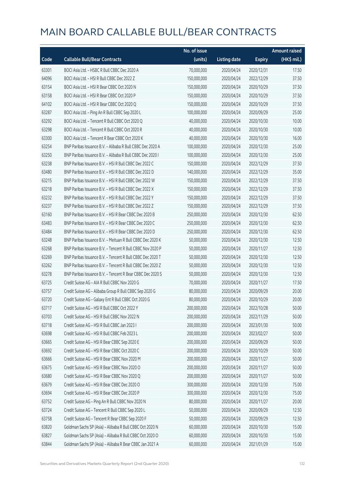|       |                                                            | No. of issue |                     |               | <b>Amount raised</b> |
|-------|------------------------------------------------------------|--------------|---------------------|---------------|----------------------|
| Code  | <b>Callable Bull/Bear Contracts</b>                        | (units)      | <b>Listing date</b> | <b>Expiry</b> | (HK\$ mil.)          |
| 63301 | BOCI Asia Ltd. - HSBC R Bull CBBC Dec 2020 A               | 70,000,000   | 2020/04/24          | 2020/12/31    | 17.50                |
| 64096 | BOCI Asia Ltd. - HSI R Bull CBBC Dec 2022 Z                | 150,000,000  | 2020/04/24          | 2022/12/29    | 37.50                |
| 63154 | BOCI Asia Ltd. - HSI R Bear CBBC Oct 2020 N                | 150,000,000  | 2020/04/24          | 2020/10/29    | 37.50                |
| 63158 | BOCI Asia Ltd. - HSI R Bear CBBC Oct 2020 P                | 150,000,000  | 2020/04/24          | 2020/10/29    | 37.50                |
| 64102 | BOCI Asia Ltd. - HSI R Bear CBBC Oct 2020 Q                | 150,000,000  | 2020/04/24          | 2020/10/29    | 37.50                |
| 63287 | BOCI Asia Ltd. - Ping An R Bull CBBC Sep 2020 L            | 100,000,000  | 2020/04/24          | 2020/09/29    | 25.00                |
| 63292 | BOCI Asia Ltd. - Tencent R Bull CBBC Oct 2020 Q            | 40,000,000   | 2020/04/24          | 2020/10/30    | 10.00                |
| 63298 | BOCI Asia Ltd. - Tencent R Bull CBBC Oct 2020 R            | 40,000,000   | 2020/04/24          | 2020/10/30    | 10.00                |
| 63300 | BOCI Asia Ltd. - Tencent R Bear CBBC Oct 2020 K            | 40,000,000   | 2020/04/24          | 2020/10/30    | 16.00                |
| 63254 | BNP Paribas Issuance B.V. - Alibaba R Bull CBBC Dec 2020 A | 100,000,000  | 2020/04/24          | 2020/12/30    | 25.00                |
| 63250 | BNP Paribas Issuance B.V. - Alibaba R Bull CBBC Dec 2020 I | 100,000,000  | 2020/04/24          | 2020/12/30    | 25.00                |
| 63238 | BNP Paribas Issuance B.V. - HSI R Bull CBBC Dec 2022 C     | 150,000,000  | 2020/04/24          | 2022/12/29    | 37.50                |
| 63480 | BNP Paribas Issuance B.V. - HSI R Bull CBBC Dec 2022 D     | 140,000,000  | 2020/04/24          | 2022/12/29    | 35.00                |
| 63215 | BNP Paribas Issuance B.V. - HSI R Bull CBBC Dec 2022 W     | 150,000,000  | 2020/04/24          | 2022/12/29    | 37.50                |
| 63218 | BNP Paribas Issuance B.V. - HSI R Bull CBBC Dec 2022 X     | 150,000,000  | 2020/04/24          | 2022/12/29    | 37.50                |
| 63232 | BNP Paribas Issuance B.V. - HSI R Bull CBBC Dec 2022 Y     | 150,000,000  | 2020/04/24          | 2022/12/29    | 37.50                |
| 63237 | BNP Paribas Issuance B.V. - HSI R Bull CBBC Dec 2022 Z     | 150,000,000  | 2020/04/24          | 2022/12/29    | 37.50                |
| 63160 | BNP Paribas Issuance B.V. - HSI R Bear CBBC Dec 2020 B     | 250,000,000  | 2020/04/24          | 2020/12/30    | 62.50                |
| 63483 | BNP Paribas Issuance B.V. - HSI R Bear CBBC Dec 2020 C     | 250,000,000  | 2020/04/24          | 2020/12/30    | 62.50                |
| 63484 | BNP Paribas Issuance B.V. - HSI R Bear CBBC Dec 2020 D     | 250,000,000  | 2020/04/24          | 2020/12/30    | 62.50                |
| 63248 | BNP Paribas Issuance B.V. - Meituan R Bull CBBC Dec 2020 K | 50,000,000   | 2020/04/24          | 2020/12/30    | 12.50                |
| 63268 | BNP Paribas Issuance B.V. - Tencent R Bull CBBC Nov 2020 P | 50,000,000   | 2020/04/24          | 2020/11/27    | 12.50                |
| 63269 | BNP Paribas Issuance B.V. - Tencent R Bull CBBC Dec 2020 T | 50,000,000   | 2020/04/24          | 2020/12/30    | 12.50                |
| 63262 | BNP Paribas Issuance B.V. - Tencent R Bull CBBC Dec 2020 Z | 50,000,000   | 2020/04/24          | 2020/12/30    | 12.50                |
| 63278 | BNP Paribas Issuance B.V. - Tencent R Bear CBBC Dec 2020 S | 50,000,000   | 2020/04/24          | 2020/12/30    | 12.50                |
| 63725 | Credit Suisse AG - AIA R Bull CBBC Nov 2020 G              | 70,000,000   | 2020/04/24          | 2020/11/27    | 17.50                |
| 63757 | Credit Suisse AG - Alibaba Group R Bull CBBC Sep 2020 G    | 80,000,000   | 2020/04/24          | 2020/09/29    | 20.00                |
| 63720 | Credit Suisse AG - Galaxy Ent R Bull CBBC Oct 2020 G       | 80,000,000   | 2020/04/24          | 2020/10/29    | 20.00                |
| 63717 | Credit Suisse AG - HSI R Bull CBBC Oct 2022 Y              | 200,000,000  | 2020/04/24          | 2022/10/28    | 50.00                |
| 63703 | Credit Suisse AG - HSI R Bull CBBC Nov 2022 N              | 200,000,000  | 2020/04/24          | 2022/11/29    | 50.00                |
| 63718 | Credit Suisse AG - HSI R Bull CBBC Jan 2023 I              | 200,000,000  | 2020/04/24          | 2023/01/30    | 50.00                |
| 63698 | Credit Suisse AG - HSI R Bull CBBC Feb 2023 L              | 200,000,000  | 2020/04/24          | 2023/02/27    | 50.00                |
| 63665 | Credit Suisse AG - HSI R Bear CBBC Sep 2020 E              | 200,000,000  | 2020/04/24          | 2020/09/29    | 50.00                |
| 63692 | Credit Suisse AG - HSI R Bear CBBC Oct 2020 C              | 200,000,000  | 2020/04/24          | 2020/10/29    | 50.00                |
| 63666 | Credit Suisse AG - HSI R Bear CBBC Nov 2020 M              | 200,000,000  | 2020/04/24          | 2020/11/27    | 50.00                |
| 63675 | Credit Suisse AG - HSI R Bear CBBC Nov 2020 O              | 200,000,000  | 2020/04/24          | 2020/11/27    | 50.00                |
| 63680 | Credit Suisse AG - HSI R Bear CBBC Nov 2020 Q              | 200,000,000  | 2020/04/24          | 2020/11/27    | 50.00                |
| 63679 | Credit Suisse AG - HSI R Bear CBBC Dec 2020 O              | 300,000,000  | 2020/04/24          | 2020/12/30    | 75.00                |
| 63694 | Credit Suisse AG - HSI R Bear CBBC Dec 2020 P              | 300,000,000  | 2020/04/24          | 2020/12/30    | 75.00                |
| 63752 | Credit Suisse AG - Ping An R Bull CBBC Nov 2020 N          | 80,000,000   | 2020/04/24          | 2020/11/27    | 20.00                |
| 63724 | Credit Suisse AG - Tencent R Bull CBBC Sep 2020 L          | 50,000,000   | 2020/04/24          | 2020/09/29    | 12.50                |
| 63758 | Credit Suisse AG - Tencent R Bear CBBC Sep 2020 F          | 50,000,000   | 2020/04/24          | 2020/09/29    | 12.50                |
| 63820 | Goldman Sachs SP (Asia) - Alibaba R Bull CBBC Oct 2020 N   | 60,000,000   | 2020/04/24          | 2020/10/30    | 15.00                |
| 63827 | Goldman Sachs SP (Asia) - Alibaba R Bull CBBC Oct 2020 O   | 60,000,000   | 2020/04/24          | 2020/10/30    | 15.00                |
| 63844 | Goldman Sachs SP (Asia) - Alibaba R Bear CBBC Jan 2021 A   | 60,000,000   | 2020/04/24          | 2021/01/29    | 15.00                |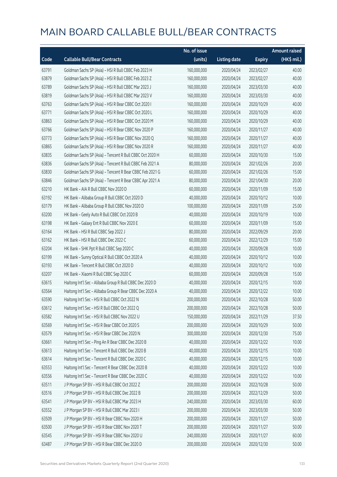|       |                                                          | No. of issue |                     |               | <b>Amount raised</b> |
|-------|----------------------------------------------------------|--------------|---------------------|---------------|----------------------|
| Code  | <b>Callable Bull/Bear Contracts</b>                      | (units)      | <b>Listing date</b> | <b>Expiry</b> | (HK\$ mil.)          |
| 63791 | Goldman Sachs SP (Asia) - HSI R Bull CBBC Feb 2023 H     | 160,000,000  | 2020/04/24          | 2023/02/27    | 40.00                |
| 63879 | Goldman Sachs SP (Asia) - HSI R Bull CBBC Feb 2023 Z     | 160,000,000  | 2020/04/24          | 2023/02/27    | 40.00                |
| 63789 | Goldman Sachs SP (Asia) - HSI R Bull CBBC Mar 2023 J     | 160,000,000  | 2020/04/24          | 2023/03/30    | 40.00                |
| 63819 | Goldman Sachs SP (Asia) - HSI R Bull CBBC Mar 2023 V     | 160,000,000  | 2020/04/24          | 2023/03/30    | 40.00                |
| 63763 | Goldman Sachs SP (Asia) - HSI R Bear CBBC Oct 2020 I     | 160,000,000  | 2020/04/24          | 2020/10/29    | 40.00                |
| 63771 | Goldman Sachs SP (Asia) - HSI R Bear CBBC Oct 2020 L     | 160,000,000  | 2020/04/24          | 2020/10/29    | 40.00                |
| 63863 | Goldman Sachs SP (Asia) - HSI R Bear CBBC Oct 2020 M     | 160,000,000  | 2020/04/24          | 2020/10/29    | 40.00                |
| 63766 | Goldman Sachs SP (Asia) - HSI R Bear CBBC Nov 2020 P     | 160,000,000  | 2020/04/24          | 2020/11/27    | 40.00                |
| 63773 | Goldman Sachs SP (Asia) - HSI R Bear CBBC Nov 2020 Q     | 160,000,000  | 2020/04/24          | 2020/11/27    | 40.00                |
| 63865 | Goldman Sachs SP (Asia) - HSI R Bear CBBC Nov 2020 R     | 160,000,000  | 2020/04/24          | 2020/11/27    | 40.00                |
| 63835 | Goldman Sachs SP (Asia) - Tencent R Bull CBBC Oct 2020 H | 60,000,000   | 2020/04/24          | 2020/10/30    | 15.00                |
| 63836 | Goldman Sachs SP (Asia) - Tencent R Bull CBBC Feb 2021 A | 80,000,000   | 2020/04/24          | 2021/02/26    | 20.00                |
| 63830 | Goldman Sachs SP (Asia) - Tencent R Bear CBBC Feb 2021 G | 60,000,000   | 2020/04/24          | 2021/02/26    | 15.00                |
| 63846 | Goldman Sachs SP (Asia) - Tencent R Bear CBBC Apr 2021 A | 80,000,000   | 2020/04/24          | 2021/04/30    | 20.00                |
| 63210 | HK Bank - AIA R Bull CBBC Nov 2020 D                     | 60,000,000   | 2020/04/24          | 2020/11/09    | 15.00                |
| 63192 | HK Bank - Alibaba Group R Bull CBBC Oct 2020 D           | 40,000,000   | 2020/04/24          | 2020/10/12    | 10.00                |
| 63179 | HK Bank - Alibaba Group R Bull CBBC Nov 2020 D           | 100,000,000  | 2020/04/24          | 2020/11/09    | 25.00                |
| 63200 | HK Bank - Geely Auto R Bull CBBC Oct 2020 B              | 40,000,000   | 2020/04/24          | 2020/10/19    | 10.00                |
| 63198 | HK Bank - Galaxy Ent R Bull CBBC Nov 2020 E              | 60,000,000   | 2020/04/24          | 2020/11/09    | 15.00                |
| 63164 | HK Bank - HSI R Bull CBBC Sep 2022 J                     | 80,000,000   | 2020/04/24          | 2022/09/29    | 20.00                |
| 63162 | HK Bank - HSI R Bull CBBC Dec 2022 C                     | 60,000,000   | 2020/04/24          | 2022/12/29    | 15.00                |
| 63204 | HK Bank - SHK Ppt R Bull CBBC Sep 2020 C                 | 40,000,000   | 2020/04/24          | 2020/09/28    | 10.00                |
| 63199 | HK Bank - Sunny Optical R Bull CBBC Oct 2020 A           | 40,000,000   | 2020/04/24          | 2020/10/12    | 10.00                |
| 63193 | HK Bank - Tencent R Bull CBBC Oct 2020 D                 | 40,000,000   | 2020/04/24          | 2020/10/12    | 10.00                |
| 63207 | HK Bank - Xiaomi R Bull CBBC Sep 2020 C                  | 60,000,000   | 2020/04/24          | 2020/09/28    | 15.00                |
| 63615 | Haitong Int'l Sec - Alibaba Group R Bull CBBC Dec 2020 D | 40,000,000   | 2020/04/24          | 2020/12/15    | 10.00                |
| 63564 | Haitong Int'l Sec - Alibaba Group R Bear CBBC Dec 2020 A | 40,000,000   | 2020/04/24          | 2020/12/22    | 10.00                |
| 63590 | Haitong Int'l Sec - HSI R Bull CBBC Oct 2022 N           | 200,000,000  | 2020/04/24          | 2022/10/28    | 50.00                |
| 63612 | Haitong Int'l Sec - HSI R Bull CBBC Oct 2022 Q           | 200,000,000  | 2020/04/24          | 2022/10/28    | 50.00                |
| 63582 | Haitong Int'l Sec - HSI R Bull CBBC Nov 2022 U           | 150,000,000  | 2020/04/24          | 2022/11/29    | 37.50                |
| 63569 | Haitong Int'l Sec - HSI R Bear CBBC Oct 2020 S           | 200,000,000  | 2020/04/24          | 2020/10/29    | 50.00                |
| 63579 | Haitong Int'l Sec - HSI R Bear CBBC Dec 2020 N           | 300,000,000  | 2020/04/24          | 2020/12/30    | 75.00                |
| 63661 | Haitong Int'l Sec - Ping An R Bear CBBC Dec 2020 B       | 40,000,000   | 2020/04/24          | 2020/12/22    | 10.00                |
| 63613 | Haitong Int'l Sec - Tencent R Bull CBBC Dec 2020 B       | 40,000,000   | 2020/04/24          | 2020/12/15    | 10.00                |
| 63614 | Haitong Int'l Sec - Tencent R Bull CBBC Dec 2020 C       | 40,000,000   | 2020/04/24          | 2020/12/15    | 10.00                |
| 63553 | Haitong Int'l Sec - Tencent R Bear CBBC Dec 2020 B       | 40,000,000   | 2020/04/24          | 2020/12/22    | 10.00                |
| 63556 | Haitong Int'l Sec - Tencent R Bear CBBC Dec 2020 C       | 40,000,000   | 2020/04/24          | 2020/12/22    | 10.00                |
| 63511 | J P Morgan SP BV - HSI R Bull CBBC Oct 2022 Z            | 200,000,000  | 2020/04/24          | 2022/10/28    | 50.00                |
| 63516 | J P Morgan SP BV - HSI R Bull CBBC Dec 2022 B            | 200,000,000  | 2020/04/24          | 2022/12/29    | 50.00                |
| 63541 | J P Morgan SP BV - HSI R Bull CBBC Mar 2023 H            | 240,000,000  | 2020/04/24          | 2023/03/30    | 60.00                |
| 63552 | J P Morgan SP BV - HSI R Bull CBBC Mar 2023 I            | 200,000,000  | 2020/04/24          | 2023/03/30    | 50.00                |
| 63509 | J P Morgan SP BV - HSI R Bear CBBC Nov 2020 H            | 200,000,000  | 2020/04/24          | 2020/11/27    | 50.00                |
| 63500 | J P Morgan SP BV - HSI R Bear CBBC Nov 2020 T            | 200,000,000  | 2020/04/24          | 2020/11/27    | 50.00                |
| 63545 | J P Morgan SP BV - HSI R Bear CBBC Nov 2020 U            | 240,000,000  | 2020/04/24          | 2020/11/27    | 60.00                |
| 63487 | J P Morgan SP BV - HSI R Bear CBBC Dec 2020 D            | 200,000,000  | 2020/04/24          | 2020/12/30    | 50.00                |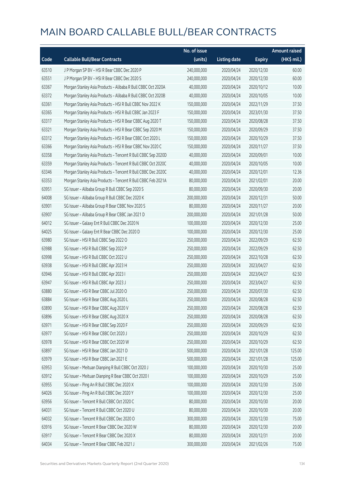|       |                                                              | No. of issue |                     |               | <b>Amount raised</b> |
|-------|--------------------------------------------------------------|--------------|---------------------|---------------|----------------------|
| Code  | <b>Callable Bull/Bear Contracts</b>                          | (units)      | <b>Listing date</b> | <b>Expiry</b> | $(HK$$ mil.)         |
| 63510 | J P Morgan SP BV - HSI R Bear CBBC Dec 2020 P                | 240,000,000  | 2020/04/24          | 2020/12/30    | 60.00                |
| 63551 | J P Morgan SP BV - HSI R Bear CBBC Dec 2020 S                | 240,000,000  | 2020/04/24          | 2020/12/30    | 60.00                |
| 63367 | Morgan Stanley Asia Products - Alibaba R Bull CBBC Oct 2020A | 40,000,000   | 2020/04/24          | 2020/10/12    | 10.00                |
| 63372 | Morgan Stanley Asia Products - Alibaba R Bull CBBC Oct 2020B | 40,000,000   | 2020/04/24          | 2020/10/05    | 10.00                |
| 63361 | Morgan Stanley Asia Products - HSI R Bull CBBC Nov 2022 K    | 150,000,000  | 2020/04/24          | 2022/11/29    | 37.50                |
| 63365 | Morgan Stanley Asia Products - HSI R Bull CBBC Jan 2023 F    | 150,000,000  | 2020/04/24          | 2023/01/30    | 37.50                |
| 63317 | Morgan Stanley Asia Products - HSI R Bear CBBC Aug 2020 T    | 150,000,000  | 2020/04/24          | 2020/08/28    | 37.50                |
| 63321 | Morgan Stanley Asia Products - HSI R Bear CBBC Sep 2020 M    | 150,000,000  | 2020/04/24          | 2020/09/29    | 37.50                |
| 63312 | Morgan Stanley Asia Products - HSI R Bear CBBC Oct 2020 L    | 150,000,000  | 2020/04/24          | 2020/10/29    | 37.50                |
| 63366 | Morgan Stanley Asia Products - HSI R Bear CBBC Nov 2020 C    | 150,000,000  | 2020/04/24          | 2020/11/27    | 37.50                |
| 63358 | Morgan Stanley Asia Products - Tencent R Bull CBBC Sep 2020D | 40,000,000   | 2020/04/24          | 2020/09/01    | 10.00                |
| 63359 | Morgan Stanley Asia Products - Tencent R Bull CBBC Oct 2020C | 40,000,000   | 2020/04/24          | 2020/10/05    | 10.00                |
| 63346 | Morgan Stanley Asia Products - Tencent R Bull CBBC Dec 2020C | 40,000,000   | 2020/04/24          | 2020/12/01    | 12.36                |
| 63353 | Morgan Stanley Asia Products - Tencent R Bull CBBC Feb 2021A | 80,000,000   | 2020/04/24          | 2021/02/01    | 20.00                |
| 63951 | SG Issuer - Alibaba Group R Bull CBBC Sep 2020 S             | 80,000,000   | 2020/04/24          | 2020/09/30    | 20.00                |
| 64008 | SG Issuer - Alibaba Group R Bull CBBC Dec 2020 K             | 200,000,000  | 2020/04/24          | 2020/12/31    | 50.00                |
| 63901 | SG Issuer - Alibaba Group R Bear CBBC Nov 2020 S             | 80,000,000   | 2020/04/24          | 2020/11/27    | 20.00                |
| 63907 | SG Issuer - Alibaba Group R Bear CBBC Jan 2021 D             | 200,000,000  | 2020/04/24          | 2021/01/28    | 50.00                |
| 64012 | SG Issuer - Galaxy Ent R Bull CBBC Dec 2020 N                | 100,000,000  | 2020/04/24          | 2020/12/30    | 25.00                |
| 64025 | SG Issuer - Galaxy Ent R Bear CBBC Dec 2020 D                | 100,000,000  | 2020/04/24          | 2020/12/30    | 25.00                |
| 63980 | SG Issuer - HSI R Bull CBBC Sep 2022 O                       | 250,000,000  | 2020/04/24          | 2022/09/29    | 62.50                |
| 63988 | SG Issuer - HSI R Bull CBBC Sep 2022 P                       | 250,000,000  | 2020/04/24          | 2022/09/29    | 62.50                |
| 63998 | SG Issuer - HSI R Bull CBBC Oct 2022 U                       | 250,000,000  | 2020/04/24          | 2022/10/28    | 62.50                |
| 63938 | SG Issuer - HSI R Bull CBBC Apr 2023 H                       | 250,000,000  | 2020/04/24          | 2023/04/27    | 62.50                |
| 63946 | SG Issuer - HSI R Bull CBBC Apr 2023 I                       | 250,000,000  | 2020/04/24          | 2023/04/27    | 62.50                |
| 63947 | SG Issuer - HSI R Bull CBBC Apr 2023 J                       | 250,000,000  | 2020/04/24          | 2023/04/27    | 62.50                |
| 63880 | SG Issuer - HSI R Bear CBBC Jul 2020 O                       | 250,000,000  | 2020/04/24          | 2020/07/30    | 62.50                |
| 63884 | SG Issuer - HSI R Bear CBBC Aug 2020 L                       | 250,000,000  | 2020/04/24          | 2020/08/28    | 62.50                |
| 63890 | SG Issuer - HSI R Bear CBBC Aug 2020 V                       | 250,000,000  | 2020/04/24          | 2020/08/28    | 62.50                |
| 63896 | SG Issuer - HSI R Bear CBBC Aug 2020 X                       | 250,000,000  | 2020/04/24          | 2020/08/28    | 62.50                |
| 63971 | SG Issuer - HSI R Bear CBBC Sep 2020 F                       | 250,000,000  | 2020/04/24          | 2020/09/29    | 62.50                |
| 63977 | SG Issuer - HSI R Bear CBBC Oct 2020 J                       | 250,000,000  | 2020/04/24          | 2020/10/29    | 62.50                |
| 63978 | SG Issuer - HSI R Bear CBBC Oct 2020 W                       | 250,000,000  | 2020/04/24          | 2020/10/29    | 62.50                |
| 63897 | SG Issuer - HSI R Bear CBBC Jan 2021 D                       | 500,000,000  | 2020/04/24          | 2021/01/28    | 125.00               |
| 63979 | SG Issuer - HSI R Bear CBBC Jan 2021 E                       | 500,000,000  | 2020/04/24          | 2021/01/28    | 125.00               |
| 63953 | SG Issuer - Meituan Dianping R Bull CBBC Oct 2020 J          | 100,000,000  | 2020/04/24          | 2020/10/30    | 25.00                |
| 63912 | SG Issuer - Meituan Dianping R Bear CBBC Oct 2020 I          | 100,000,000  | 2020/04/24          | 2020/10/29    | 25.00                |
| 63955 | SG Issuer - Ping An R Bull CBBC Dec 2020 X                   | 100,000,000  | 2020/04/24          | 2020/12/30    | 25.00                |
| 64026 | SG Issuer - Ping An R Bull CBBC Dec 2020 Y                   | 100,000,000  | 2020/04/24          | 2020/12/30    | 25.00                |
| 63956 | SG Issuer - Tencent R Bull CBBC Oct 2020 C                   | 80,000,000   | 2020/04/24          | 2020/10/30    | 20.00                |
| 64031 | SG Issuer - Tencent R Bull CBBC Oct 2020 U                   | 80,000,000   | 2020/04/24          | 2020/10/30    | 20.00                |
| 64032 | SG Issuer - Tencent R Bull CBBC Dec 2020 O                   | 300,000,000  | 2020/04/24          | 2020/12/30    | 75.00                |
| 63916 | SG Issuer - Tencent R Bear CBBC Dec 2020 W                   | 80,000,000   | 2020/04/24          | 2020/12/30    | 20.00                |
| 63917 | SG Issuer - Tencent R Bear CBBC Dec 2020 X                   | 80,000,000   | 2020/04/24          | 2020/12/31    | 20.00                |
| 64034 | SG Issuer - Tencent R Bear CBBC Feb 2021 J                   | 300,000,000  | 2020/04/24          | 2021/02/26    | 75.00                |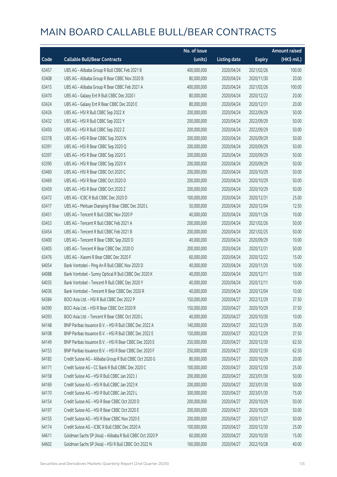|       |                                                          | No. of issue |                     |               | <b>Amount raised</b> |
|-------|----------------------------------------------------------|--------------|---------------------|---------------|----------------------|
| Code  | <b>Callable Bull/Bear Contracts</b>                      | (units)      | <b>Listing date</b> | <b>Expiry</b> | (HK\$ mil.)          |
| 63457 | UBS AG - Alibaba Group R Bull CBBC Feb 2021 B            | 400,000,000  | 2020/04/24          | 2021/02/26    | 100.00               |
| 63408 | UBS AG - Alibaba Group R Bear CBBC Nov 2020 B            | 80,000,000   | 2020/04/24          | 2020/11/30    | 20.00                |
| 63415 | UBS AG - Alibaba Group R Bear CBBC Feb 2021 A            | 400,000,000  | 2020/04/24          | 2021/02/26    | 100.00               |
| 63470 | UBS AG - Galaxy Ent R Bull CBBC Dec 2020 I               | 80,000,000   | 2020/04/24          | 2020/12/22    | 20.00                |
| 63424 | UBS AG - Galaxy Ent R Bear CBBC Dec 2020 E               | 80,000,000   | 2020/04/24          | 2020/12/31    | 20.00                |
| 63426 | UBS AG - HSI R Bull CBBC Sep 2022 X                      | 200,000,000  | 2020/04/24          | 2022/09/29    | 50.00                |
| 63432 | UBS AG - HSI R Bull CBBC Sep 2022 Y                      | 200,000,000  | 2020/04/24          | 2022/09/29    | 50.00                |
| 63450 | UBS AG - HSI R Bull CBBC Sep 2022 Z                      | 200,000,000  | 2020/04/24          | 2022/09/29    | 50.00                |
| 63378 | UBS AG - HSI R Bear CBBC Sep 2020 N                      | 200,000,000  | 2020/04/24          | 2020/09/29    | 50.00                |
| 63391 | UBS AG - HSI R Bear CBBC Sep 2020 Q                      | 200,000,000  | 2020/04/24          | 2020/09/29    | 50.00                |
| 63397 | UBS AG - HSI R Bear CBBC Sep 2020 S                      | 200,000,000  | 2020/04/24          | 2020/09/29    | 50.00                |
| 63390 | UBS AG - HSI R Bear CBBC Sep 2020 X                      | 200,000,000  | 2020/04/24          | 2020/09/29    | 50.00                |
| 63460 | UBS AG - HSI R Bear CBBC Oct 2020 C                      | 200,000,000  | 2020/04/24          | 2020/10/29    | 50.00                |
| 63469 | UBS AG - HSI R Bear CBBC Oct 2020 D                      | 200,000,000  | 2020/04/24          | 2020/10/29    | 50.00                |
| 63459 | UBS AG - HSI R Bear CBBC Oct 2020 Z                      | 200,000,000  | 2020/04/24          | 2020/10/29    | 50.00                |
| 63472 | UBS AG - ICBC R Bull CBBC Dec 2020 D                     | 100,000,000  | 2020/04/24          | 2020/12/31    | 25.00                |
| 63417 | UBS AG - Meituan Dianping R Bear CBBC Dec 2020 L         | 50,000,000   | 2020/04/24          | 2020/12/04    | 12.50                |
| 63451 | UBS AG - Tencent R Bull CBBC Nov 2020 P                  | 40,000,000   | 2020/04/24          | 2020/11/26    | 10.00                |
| 63453 | UBS AG - Tencent R Bull CBBC Feb 2021 A                  | 200,000,000  | 2020/04/24          | 2021/02/26    | 50.00                |
| 63454 | UBS AG - Tencent R Bull CBBC Feb 2021 B                  | 200,000,000  | 2020/04/24          | 2021/02/25    | 50.00                |
| 63400 | UBS AG - Tencent R Bear CBBC Sep 2020 D                  | 40,000,000   | 2020/04/24          | 2020/09/29    | 10.00                |
| 63405 | UBS AG - Tencent R Bear CBBC Dec 2020 O                  | 200,000,000  | 2020/04/24          | 2020/12/31    | 50.00                |
| 63476 | UBS AG - Xiaomi R Bear CBBC Dec 2020 F                   | 60,000,000   | 2020/04/24          | 2020/12/22    | 15.00                |
| 64054 | Bank Vontobel - Ping An R Bull CBBC Nov 2020 D           | 40,000,000   | 2020/04/24          | 2020/11/20    | 10.00                |
| 64088 | Bank Vontobel - Sunny Optical R Bull CBBC Dec 2020 K     | 40,000,000   | 2020/04/24          | 2020/12/11    | 10.00                |
| 64035 | Bank Vontobel - Tencent R Bull CBBC Dec 2020 Y           | 40,000,000   | 2020/04/24          | 2020/12/11    | 10.00                |
| 64036 | Bank Vontobel - Tencent R Bear CBBC Dec 2020 R           | 40,000,000   | 2020/04/24          | 2020/12/04    | 10.00                |
| 64384 | BOCI Asia Ltd. - HSI R Bull CBBC Dec 2022 P              | 150,000,000  | 2020/04/27          | 2022/12/29    | 37.50                |
| 64390 | BOCI Asia Ltd. - HSI R Bear CBBC Oct 2020 R              | 150,000,000  | 2020/04/27          | 2020/10/29    | 37.50                |
| 64393 | BOCI Asia Ltd. - Tencent R Bear CBBC Oct 2020 L          | 40,000,000   | 2020/04/27          | 2020/10/30    | 10.00                |
| 64148 | BNP Paribas Issuance B.V. - HSI R Bull CBBC Dec 2022 A   | 140,000,000  | 2020/04/27          | 2022/12/29    | 35.00                |
| 64108 | BNP Paribas Issuance B.V. - HSI R Bull CBBC Dec 2022 E   | 150,000,000  | 2020/04/27          | 2022/12/29    | 37.50                |
| 64149 | BNP Paribas Issuance B.V. - HSI R Bear CBBC Dec 2020 E   | 250,000,000  | 2020/04/27          | 2020/12/30    | 62.50                |
| 64153 | BNP Paribas Issuance B.V. - HSI R Bear CBBC Dec 2020 F   | 250,000,000  | 2020/04/27          | 2020/12/30    | 62.50                |
| 64182 | Credit Suisse AG - Alibaba Group R Bull CBBC Oct 2020 G  | 80,000,000   | 2020/04/27          | 2020/10/29    | 20.00                |
| 64171 | Credit Suisse AG - CC Bank R Bull CBBC Dec 2020 C        | 100,000,000  | 2020/04/27          | 2020/12/30    | 25.00                |
| 64158 | Credit Suisse AG - HSI R Bull CBBC Jan 2023 J            | 200,000,000  | 2020/04/27          | 2023/01/30    | 50.00                |
| 64169 | Credit Suisse AG - HSI R Bull CBBC Jan 2023 K            | 200,000,000  | 2020/04/27          | 2023/01/30    | 50.00                |
| 64170 | Credit Suisse AG - HSI R Bull CBBC Jan 2023 L            | 300,000,000  | 2020/04/27          | 2023/01/30    | 75.00                |
| 64154 | Credit Suisse AG - HSI R Bear CBBC Oct 2020 D            | 200,000,000  | 2020/04/27          | 2020/10/29    | 50.00                |
| 64197 | Credit Suisse AG - HSI R Bear CBBC Oct 2020 E            | 200,000,000  | 2020/04/27          | 2020/10/29    | 50.00                |
| 64155 | Credit Suisse AG - HSI R Bear CBBC Nov 2020 E            | 200,000,000  | 2020/04/27          | 2020/11/27    | 50.00                |
| 64174 | Credit Suisse AG - ICBC R Bull CBBC Dec 2020 A           | 100,000,000  | 2020/04/27          | 2020/12/30    | 25.00                |
| 64611 | Goldman Sachs SP (Asia) - Alibaba R Bull CBBC Oct 2020 P | 60,000,000   | 2020/04/27          | 2020/10/30    | 15.00                |
| 64602 | Goldman Sachs SP (Asia) - HSI R Bull CBBC Oct 2022 N     | 160,000,000  | 2020/04/27          | 2022/10/28    | 40.00                |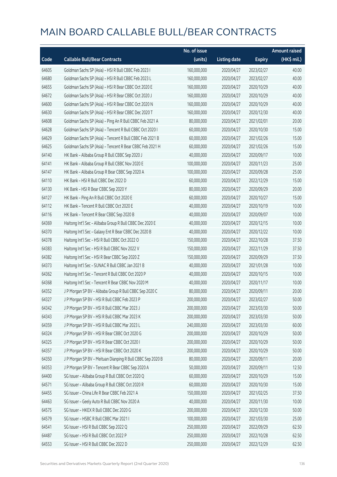|       |                                                            | No. of issue |                     |               | <b>Amount raised</b> |
|-------|------------------------------------------------------------|--------------|---------------------|---------------|----------------------|
| Code  | <b>Callable Bull/Bear Contracts</b>                        | (units)      | <b>Listing date</b> | <b>Expiry</b> | (HK\$ mil.)          |
| 64605 | Goldman Sachs SP (Asia) - HSI R Bull CBBC Feb 2023 I       | 160,000,000  | 2020/04/27          | 2023/02/27    | 40.00                |
| 64680 | Goldman Sachs SP (Asia) - HSI R Bull CBBC Feb 2023 L       | 160,000,000  | 2020/04/27          | 2023/02/27    | 40.00                |
| 64655 | Goldman Sachs SP (Asia) - HSI R Bear CBBC Oct 2020 E       | 160,000,000  | 2020/04/27          | 2020/10/29    | 40.00                |
| 64672 | Goldman Sachs SP (Asia) - HSI R Bear CBBC Oct 2020 J       | 160,000,000  | 2020/04/27          | 2020/10/29    | 40.00                |
| 64600 | Goldman Sachs SP (Asia) - HSI R Bear CBBC Oct 2020 N       | 160,000,000  | 2020/04/27          | 2020/10/29    | 40.00                |
| 64630 | Goldman Sachs SP (Asia) - HSI R Bear CBBC Dec 2020 T       | 160,000,000  | 2020/04/27          | 2020/12/30    | 40.00                |
| 64608 | Goldman Sachs SP (Asia) - Ping An R Bull CBBC Feb 2021 A   | 80,000,000   | 2020/04/27          | 2021/02/01    | 20.00                |
| 64628 | Goldman Sachs SP (Asia) - Tencent R Bull CBBC Oct 2020 I   | 60,000,000   | 2020/04/27          | 2020/10/30    | 15.00                |
| 64629 | Goldman Sachs SP (Asia) - Tencent R Bull CBBC Feb 2021 B   | 60,000,000   | 2020/04/27          | 2021/02/26    | 15.00                |
| 64625 | Goldman Sachs SP (Asia) - Tencent R Bear CBBC Feb 2021 H   | 60,000,000   | 2020/04/27          | 2021/02/26    | 15.00                |
| 64140 | HK Bank - Alibaba Group R Bull CBBC Sep 2020 J             | 40,000,000   | 2020/04/27          | 2020/09/17    | 10.00                |
| 64141 | HK Bank - Alibaba Group R Bull CBBC Nov 2020 E             | 100,000,000  | 2020/04/27          | 2020/11/23    | 25.00                |
| 64147 | HK Bank - Alibaba Group R Bear CBBC Sep 2020 A             | 100,000,000  | 2020/04/27          | 2020/09/28    | 25.00                |
| 64110 | HK Bank - HSI R Bull CBBC Dec 2022 D                       | 60,000,000   | 2020/04/27          | 2022/12/29    | 15.00                |
| 64130 | HK Bank - HSI R Bear CBBC Sep 2020 Y                       | 80,000,000   | 2020/04/27          | 2020/09/29    | 20.00                |
| 64127 | HK Bank - Ping An R Bull CBBC Oct 2020 E                   | 60,000,000   | 2020/04/27          | 2020/10/27    | 15.00                |
| 64112 | HK Bank - Tencent R Bull CBBC Oct 2020 E                   | 40,000,000   | 2020/04/27          | 2020/10/19    | 10.00                |
| 64116 | HK Bank - Tencent R Bear CBBC Sep 2020 B                   | 40,000,000   | 2020/04/27          | 2020/09/07    | 10.00                |
| 64369 | Haitong Int'l Sec - Alibaba Group R Bull CBBC Dec 2020 E   | 40,000,000   | 2020/04/27          | 2020/12/15    | 10.00                |
| 64370 | Haitong Int'l Sec - Galaxy Ent R Bear CBBC Dec 2020 B      | 40,000,000   | 2020/04/27          | 2020/12/22    | 10.00                |
| 64378 | Haitong Int'l Sec - HSI R Bull CBBC Oct 2022 O             | 150,000,000  | 2020/04/27          | 2022/10/28    | 37.50                |
| 64383 | Haitong Int'l Sec - HSI R Bull CBBC Nov 2022 V             | 150,000,000  | 2020/04/27          | 2022/11/29    | 37.50                |
| 64382 | Haitong Int'l Sec - HSI R Bear CBBC Sep 2020 Z             | 150,000,000  | 2020/04/27          | 2020/09/29    | 37.50                |
| 64373 | Haitong Int'l Sec - SUNAC R Bull CBBC Jan 2021 B           | 40,000,000   | 2020/04/27          | 2021/01/28    | 10.00                |
| 64362 | Haitong Int'l Sec - Tencent R Bull CBBC Oct 2020 P         | 40,000,000   | 2020/04/27          | 2020/10/15    | 10.00                |
| 64368 | Haitong Int'l Sec - Tencent R Bear CBBC Nov 2020 M         | 40,000,000   | 2020/04/27          | 2020/11/17    | 10.00                |
| 64352 | J P Morgan SP BV - Alibaba Group R Bull CBBC Sep 2020 C    | 80,000,000   | 2020/04/27          | 2020/09/11    | 20.00                |
| 64327 | J P Morgan SP BV - HSI R Bull CBBC Feb 2023 P              | 200,000,000  | 2020/04/27          | 2023/02/27    | 50.00                |
| 64342 | J P Morgan SP BV - HSI R Bull CBBC Mar 2023 J              | 200,000,000  | 2020/04/27          | 2023/03/30    | 50.00                |
| 64343 | J P Morgan SP BV - HSI R Bull CBBC Mar 2023 K              | 200,000,000  | 2020/04/27          | 2023/03/30    | 50.00                |
| 64359 | J P Morgan SP BV - HSI R Bull CBBC Mar 2023 L              | 240,000,000  | 2020/04/27          | 2023/03/30    | 60.00                |
| 64324 | J P Morgan SP BV - HSI R Bear CBBC Oct 2020 G              | 200,000,000  | 2020/04/27          | 2020/10/29    | 50.00                |
| 64325 | J P Morgan SP BV - HSI R Bear CBBC Oct 2020 I              | 200,000,000  | 2020/04/27          | 2020/10/29    | 50.00                |
| 64357 | J P Morgan SP BV - HSI R Bear CBBC Oct 2020 K              | 200,000,000  | 2020/04/27          | 2020/10/29    | 50.00                |
| 64350 | J P Morgan SP BV - Meituan Dianping R Bull CBBC Sep 2020 B | 80,000,000   | 2020/04/27          | 2020/09/11    | 20.00                |
| 64353 | J P Morgan SP BV - Tencent R Bear CBBC Sep 2020 A          | 50,000,000   | 2020/04/27          | 2020/09/11    | 12.50                |
| 64400 | SG Issuer - Alibaba Group R Bull CBBC Oct 2020 Q           | 60,000,000   | 2020/04/27          | 2020/10/29    | 15.00                |
| 64571 | SG Issuer - Alibaba Group R Bull CBBC Oct 2020 R           | 60,000,000   | 2020/04/27          | 2020/10/30    | 15.00                |
| 64455 | SG Issuer - China Life R Bear CBBC Feb 2021 A              | 150,000,000  | 2020/04/27          | 2021/02/25    | 37.50                |
| 64463 | SG Issuer - Geely Auto R Bull CBBC Nov 2020 A              | 40,000,000   | 2020/04/27          | 2020/11/30    | 10.00                |
| 64575 | SG Issuer - HKEX R Bull CBBC Dec 2020 G                    | 200,000,000  | 2020/04/27          | 2020/12/30    | 50.00                |
| 64579 | SG Issuer - HSBC R Bull CBBC Mar 2021 I                    | 100,000,000  | 2020/04/27          | 2021/03/30    | 25.00                |
| 64541 | SG Issuer - HSI R Bull CBBC Sep 2022 Q                     | 250,000,000  | 2020/04/27          | 2022/09/29    | 62.50                |
| 64487 | SG Issuer - HSI R Bull CBBC Oct 2022 P                     | 250,000,000  | 2020/04/27          | 2022/10/28    | 62.50                |
| 64553 | SG Issuer - HSI R Bull CBBC Dec 2022 D                     | 250,000,000  | 2020/04/27          | 2022/12/29    | 62.50                |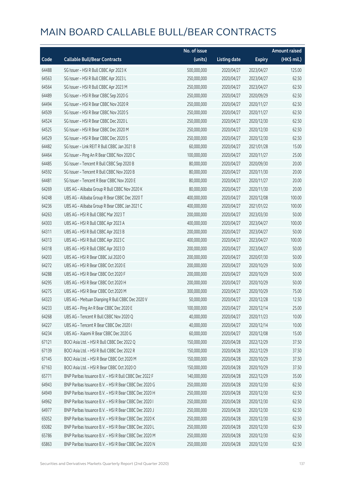|       |                                                        | No. of issue |                     |               | <b>Amount raised</b> |
|-------|--------------------------------------------------------|--------------|---------------------|---------------|----------------------|
| Code  | <b>Callable Bull/Bear Contracts</b>                    | (units)      | <b>Listing date</b> | <b>Expiry</b> | (HK\$ mil.)          |
| 64488 | SG Issuer - HSI R Bull CBBC Apr 2023 K                 | 500,000,000  | 2020/04/27          | 2023/04/27    | 125.00               |
| 64563 | SG Issuer - HSI R Bull CBBC Apr 2023 L                 | 250,000,000  | 2020/04/27          | 2023/04/27    | 62.50                |
| 64564 | SG Issuer - HSI R Bull CBBC Apr 2023 M                 | 250,000,000  | 2020/04/27          | 2023/04/27    | 62.50                |
| 64489 | SG Issuer - HSI R Bear CBBC Sep 2020 G                 | 250,000,000  | 2020/04/27          | 2020/09/29    | 62.50                |
| 64494 | SG Issuer - HSI R Bear CBBC Nov 2020 R                 | 250,000,000  | 2020/04/27          | 2020/11/27    | 62.50                |
| 64509 | SG Issuer - HSI R Bear CBBC Nov 2020 S                 | 250,000,000  | 2020/04/27          | 2020/11/27    | 62.50                |
| 64524 | SG Issuer - HSI R Bear CBBC Dec 2020 L                 | 250,000,000  | 2020/04/27          | 2020/12/30    | 62.50                |
| 64525 | SG Issuer - HSI R Bear CBBC Dec 2020 M                 | 250,000,000  | 2020/04/27          | 2020/12/30    | 62.50                |
| 64529 | SG Issuer - HSI R Bear CBBC Dec 2020 S                 | 250,000,000  | 2020/04/27          | 2020/12/30    | 62.50                |
| 64482 | SG Issuer - Link REIT R Bull CBBC Jan 2021 B           | 60,000,000   | 2020/04/27          | 2021/01/28    | 15.00                |
| 64464 | SG Issuer - Ping An R Bear CBBC Nov 2020 C             | 100,000,000  | 2020/04/27          | 2020/11/27    | 25.00                |
| 64485 | SG Issuer - Tencent R Bull CBBC Sep 2020 B             | 80,000,000   | 2020/04/27          | 2020/09/30    | 20.00                |
| 64592 | SG Issuer - Tencent R Bull CBBC Nov 2020 B             | 80,000,000   | 2020/04/27          | 2020/11/30    | 20.00                |
| 64481 | SG Issuer - Tencent R Bear CBBC Nov 2020 E             | 80,000,000   | 2020/04/27          | 2020/11/27    | 20.00                |
| 64269 | UBS AG - Alibaba Group R Bull CBBC Nov 2020 K          | 80,000,000   | 2020/04/27          | 2020/11/30    | 20.00                |
| 64248 | UBS AG - Alibaba Group R Bear CBBC Dec 2020 T          | 400,000,000  | 2020/04/27          | 2020/12/08    | 100.00               |
| 64236 | UBS AG - Alibaba Group R Bear CBBC Jan 2021 C          | 400,000,000  | 2020/04/27          | 2021/01/22    | 100.00               |
| 64263 | UBS AG - HSI R Bull CBBC Mar 2023 T                    | 200,000,000  | 2020/04/27          | 2023/03/30    | 50.00                |
| 64303 | UBS AG - HSI R Bull CBBC Apr 2023 A                    | 400,000,000  | 2020/04/27          | 2023/04/27    | 100.00               |
| 64311 | UBS AG - HSI R Bull CBBC Apr 2023 B                    | 200,000,000  | 2020/04/27          | 2023/04/27    | 50.00                |
| 64313 | UBS AG - HSI R Bull CBBC Apr 2023 C                    | 400,000,000  | 2020/04/27          | 2023/04/27    | 100.00               |
| 64318 | UBS AG - HSI R Bull CBBC Apr 2023 D                    | 200,000,000  | 2020/04/27          | 2023/04/27    | 50.00                |
| 64203 | UBS AG - HSI R Bear CBBC Jul 2020 O                    | 200,000,000  | 2020/04/27          | 2020/07/30    | 50.00                |
| 64272 | UBS AG - HSI R Bear CBBC Oct 2020 E                    | 200,000,000  | 2020/04/27          | 2020/10/29    | 50.00                |
| 64288 | UBS AG - HSI R Bear CBBC Oct 2020 F                    | 200,000,000  | 2020/04/27          | 2020/10/29    | 50.00                |
| 64295 | UBS AG - HSI R Bear CBBC Oct 2020 H                    | 200,000,000  | 2020/04/27          | 2020/10/29    | 50.00                |
| 64275 | UBS AG - HSI R Bear CBBC Oct 2020 M                    | 300,000,000  | 2020/04/27          | 2020/10/29    | 75.00                |
| 64323 | UBS AG - Meituan Dianping R Bull CBBC Dec 2020 V       | 50,000,000   | 2020/04/27          | 2020/12/28    | 12.50                |
| 64233 | UBS AG - Ping An R Bear CBBC Dec 2020 E                | 100,000,000  | 2020/04/27          | 2020/12/14    | 25.00                |
| 64268 | UBS AG - Tencent R Bull CBBC Nov 2020 Q                | 40,000,000   | 2020/04/27          | 2020/11/23    | 10.00                |
| 64227 | UBS AG - Tencent R Bear CBBC Dec 2020 I                | 40,000,000   | 2020/04/27          | 2020/12/14    | 10.00                |
| 64234 | UBS AG - Xiaomi R Bear CBBC Dec 2020 G                 | 60,000,000   | 2020/04/27          | 2020/12/08    | 15.00                |
| 67121 | BOCI Asia Ltd. - HSI R Bull CBBC Dec 2022 Q            | 150,000,000  | 2020/04/28          | 2022/12/29    | 37.50                |
| 67139 | BOCI Asia Ltd. - HSI R Bull CBBC Dec 2022 R            | 150,000,000  | 2020/04/28          | 2022/12/29    | 37.50                |
| 67145 | BOCI Asia Ltd. - HSI R Bear CBBC Oct 2020 M            | 150,000,000  | 2020/04/28          | 2020/10/29    | 37.50                |
| 67163 | BOCI Asia Ltd. - HSI R Bear CBBC Oct 2020 O            | 150,000,000  | 2020/04/28          | 2020/10/29    | 37.50                |
| 65771 | BNP Paribas Issuance B.V. - HSI R Bull CBBC Dec 2022 F | 140,000,000  | 2020/04/28          | 2022/12/29    | 35.00                |
| 64943 | BNP Paribas Issuance B.V. - HSI R Bear CBBC Dec 2020 G | 250,000,000  | 2020/04/28          | 2020/12/30    | 62.50                |
| 64949 | BNP Paribas Issuance B.V. - HSI R Bear CBBC Dec 2020 H | 250,000,000  | 2020/04/28          | 2020/12/30    | 62.50                |
| 64962 | BNP Paribas Issuance B.V. - HSI R Bear CBBC Dec 2020 I | 250,000,000  | 2020/04/28          | 2020/12/30    | 62.50                |
| 64977 | BNP Paribas Issuance B.V. - HSI R Bear CBBC Dec 2020 J | 250,000,000  | 2020/04/28          | 2020/12/30    | 62.50                |
| 65052 | BNP Paribas Issuance B.V. - HSI R Bear CBBC Dec 2020 K | 250,000,000  | 2020/04/28          | 2020/12/30    | 62.50                |
| 65082 | BNP Paribas Issuance B.V. - HSI R Bear CBBC Dec 2020 L | 250,000,000  | 2020/04/28          | 2020/12/30    | 62.50                |
| 65786 | BNP Paribas Issuance B.V. - HSI R Bear CBBC Dec 2020 M | 250,000,000  | 2020/04/28          | 2020/12/30    | 62.50                |
| 65863 | BNP Paribas Issuance B.V. - HSI R Bear CBBC Dec 2020 N | 250,000,000  | 2020/04/28          | 2020/12/30    | 62.50                |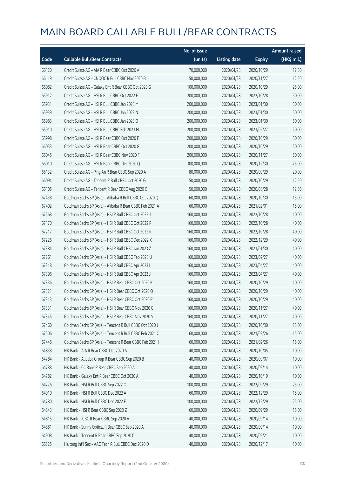|       |                                                          | No. of issue |                     |               | <b>Amount raised</b> |
|-------|----------------------------------------------------------|--------------|---------------------|---------------|----------------------|
| Code  | <b>Callable Bull/Bear Contracts</b>                      | (units)      | <b>Listing date</b> | <b>Expiry</b> | (HK\$ mil.)          |
| 66120 | Credit Suisse AG - AIA R Bear CBBC Oct 2020 A            | 70,000,000   | 2020/04/28          | 2020/10/29    | 17.50                |
| 66119 | Credit Suisse AG - CNOOC R Bull CBBC Nov 2020 B          | 50,000,000   | 2020/04/28          | 2020/11/27    | 12.50                |
| 66082 | Credit Suisse AG - Galaxy Ent R Bear CBBC Oct 2020 G     | 100,000,000  | 2020/04/28          | 2020/10/29    | 25.00                |
| 65912 | Credit Suisse AG - HSI R Bull CBBC Oct 2022 E            | 200,000,000  | 2020/04/28          | 2022/10/28    | 50.00                |
| 65931 | Credit Suisse AG - HSI R Bull CBBC Jan 2023 M            | 200,000,000  | 2020/04/28          | 2023/01/30    | 50.00                |
| 65939 | Credit Suisse AG - HSI R Bull CBBC Jan 2023 N            | 200,000,000  | 2020/04/28          | 2023/01/30    | 50.00                |
| 65983 | Credit Suisse AG - HSI R Bull CBBC Jan 2023 O            | 200,000,000  | 2020/04/28          | 2023/01/30    | 50.00                |
| 65910 | Credit Suisse AG - HSI R Bull CBBC Feb 2023 M            | 200,000,000  | 2020/04/28          | 2023/02/27    | 50.00                |
| 65998 | Credit Suisse AG - HSI R Bear CBBC Oct 2020 F            | 200,000,000  | 2020/04/28          | 2020/10/29    | 50.00                |
| 66053 | Credit Suisse AG - HSI R Bear CBBC Oct 2020 G            | 200,000,000  | 2020/04/28          | 2020/10/29    | 50.00                |
| 66045 | Credit Suisse AG - HSI R Bear CBBC Nov 2020 F            | 200,000,000  | 2020/04/28          | 2020/11/27    | 50.00                |
| 66010 | Credit Suisse AG - HSI R Bear CBBC Dec 2020 Q            | 300,000,000  | 2020/04/28          | 2020/12/30    | 75.00                |
| 66132 | Credit Suisse AG - Ping An R Bear CBBC Sep 2020 A        | 80,000,000   | 2020/04/28          | 2020/09/29    | 20.00                |
| 66094 | Credit Suisse AG - Tencent R Bull CBBC Oct 2020 G        | 50,000,000   | 2020/04/28          | 2020/10/29    | 12.50                |
| 66105 | Credit Suisse AG - Tencent R Bear CBBC Aug 2020 G        | 50,000,000   | 2020/04/28          | 2020/08/28    | 12.50                |
| 67438 | Goldman Sachs SP (Asia) - Alibaba R Bull CBBC Oct 2020 Q | 60,000,000   | 2020/04/28          | 2020/10/30    | 15.00                |
| 67402 | Goldman Sachs SP (Asia) - Alibaba R Bear CBBC Feb 2021 A | 60,000,000   | 2020/04/28          | 2021/02/01    | 15.00                |
| 67568 | Goldman Sachs SP (Asia) - HSI R Bull CBBC Oct 2022 J     | 160,000,000  | 2020/04/28          | 2022/10/28    | 40.00                |
| 67170 | Goldman Sachs SP (Asia) - HSI R Bull CBBC Oct 2022 P     | 160,000,000  | 2020/04/28          | 2022/10/28    | 40.00                |
| 67217 | Goldman Sachs SP (Asia) - HSI R Bull CBBC Oct 2022 R     | 160,000,000  | 2020/04/28          | 2022/10/28    | 40.00                |
| 67226 | Goldman Sachs SP (Asia) - HSI R Bull CBBC Dec 2022 X     | 160,000,000  | 2020/04/28          | 2022/12/29    | 40.00                |
| 67384 | Goldman Sachs SP (Asia) - HSI R Bull CBBC Jan 2023 Z     | 160,000,000  | 2020/04/28          | 2023/01/30    | 40.00                |
| 67261 | Goldman Sachs SP (Asia) - HSI R Bull CBBC Feb 2023 U     | 160,000,000  | 2020/04/28          | 2023/02/27    | 40.00                |
| 67348 | Goldman Sachs SP (Asia) - HSI R Bull CBBC Apr 2023 I     | 160,000,000  | 2020/04/28          | 2023/04/27    | 40.00                |
| 67396 | Goldman Sachs SP (Asia) - HSI R Bull CBBC Apr 2023 J     | 160,000,000  | 2020/04/28          | 2023/04/27    | 40.00                |
| 67336 | Goldman Sachs SP (Asia) - HSI R Bear CBBC Oct 2020 K     | 160,000,000  | 2020/04/28          | 2020/10/29    | 40.00                |
| 67321 | Goldman Sachs SP (Asia) - HSI R Bear CBBC Oct 2020 O     | 160,000,000  | 2020/04/28          | 2020/10/29    | 40.00                |
| 67343 | Goldman Sachs SP (Asia) - HSI R Bear CBBC Oct 2020 P     | 160,000,000  | 2020/04/28          | 2020/10/29    | 40.00                |
| 67331 | Goldman Sachs SP (Asia) - HSI R Bear CBBC Nov 2020 C     | 160,000,000  | 2020/04/28          | 2020/11/27    | 40.00                |
| 67345 | Goldman Sachs SP (Asia) - HSI R Bear CBBC Nov 2020 S     | 160,000,000  | 2020/04/28          | 2020/11/27    | 40.00                |
| 67460 | Goldman Sachs SP (Asia) - Tencent R Bull CBBC Oct 2020 J | 60,000,000   | 2020/04/28          | 2020/10/30    | 15.00                |
| 67506 | Goldman Sachs SP (Asia) - Tencent R Bull CBBC Feb 2021 C | 60,000,000   | 2020/04/28          | 2021/02/26    | 15.00                |
| 67446 | Goldman Sachs SP (Asia) - Tencent R Bear CBBC Feb 2021 I | 60,000,000   | 2020/04/28          | 2021/02/26    | 15.00                |
| 64838 | HK Bank - AIA R Bear CBBC Oct 2020 A                     | 40,000,000   | 2020/04/28          | 2020/10/05    | 10.00                |
| 64784 | HK Bank - Alibaba Group R Bear CBBC Sep 2020 B           | 40,000,000   | 2020/04/28          | 2020/09/07    | 10.00                |
| 64788 | HK Bank - CC Bank R Bear CBBC Sep 2020 A                 | 40,000,000   | 2020/04/28          | 2020/09/14    | 10.00                |
| 64782 | HK Bank - Galaxy Ent R Bear CBBC Oct 2020 A              | 40,000,000   | 2020/04/28          | 2020/10/19    | 10.00                |
| 64776 | HK Bank - HSI R Bull CBBC Sep 2022 O                     | 100,000,000  | 2020/04/28          | 2022/09/29    | 25.00                |
| 64910 | HK Bank - HSI R Bull CBBC Dec 2022 A                     | 60,000,000   | 2020/04/28          | 2022/12/29    | 15.00                |
| 64780 | HK Bank - HSI R Bull CBBC Dec 2022 E                     | 100,000,000  | 2020/04/28          | 2022/12/29    | 25.00                |
| 64843 | HK Bank - HSI R Bear CBBC Sep 2020 Z                     | 60,000,000   | 2020/04/28          | 2020/09/29    | 15.00                |
| 64815 | HK Bank - ICBC R Bear CBBC Sep 2020 A                    | 40,000,000   | 2020/04/28          | 2020/09/14    | 10.00                |
| 64881 | HK Bank - Sunny Optical R Bear CBBC Sep 2020 A           | 40,000,000   | 2020/04/28          | 2020/09/14    | 10.00                |
| 64908 | HK Bank - Tencent R Bear CBBC Sep 2020 C                 | 40,000,000   | 2020/04/28          | 2020/09/21    | 10.00                |
| 66525 | Haitong Int'l Sec - AAC Tech R Bull CBBC Dec 2020 D      | 40,000,000   | 2020/04/28          | 2020/12/17    | 10.00                |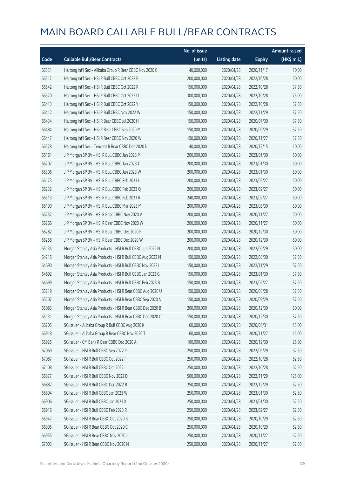|       |                                                           | No. of issue |                     |               | <b>Amount raised</b> |
|-------|-----------------------------------------------------------|--------------|---------------------|---------------|----------------------|
| Code  | <b>Callable Bull/Bear Contracts</b>                       | (units)      | <b>Listing date</b> | <b>Expiry</b> | (HK\$ mil.)          |
| 66531 | Haitong Int'l Sec - Alibaba Group R Bear CBBC Nov 2020 G  | 40,000,000   | 2020/04/28          | 2020/11/17    | 10.00                |
| 66517 | Haitong Int'l Sec - HSI R Bull CBBC Oct 2022 P            | 200,000,000  | 2020/04/28          | 2022/10/28    | 50.00                |
| 66542 | Haitong Int'l Sec - HSI R Bull CBBC Oct 2022 R            | 150,000,000  | 2020/04/28          | 2022/10/28    | 37.50                |
| 66570 | Haitong Int'l Sec - HSI R Bull CBBC Oct 2022 U            | 300,000,000  | 2020/04/28          | 2022/10/28    | 75.00                |
| 66413 | Haitong Int'l Sec - HSI R Bull CBBC Oct 2022 Y            | 150,000,000  | 2020/04/28          | 2022/10/28    | 37.50                |
| 66412 | Haitong Int'l Sec - HSI R Bull CBBC Nov 2022 W            | 150,000,000  | 2020/04/28          | 2022/11/29    | 37.50                |
| 66434 | Haitong Int'l Sec - HSI R Bear CBBC Jul 2020 H            | 150,000,000  | 2020/04/28          | 2020/07/30    | 37.50                |
| 66484 | Haitong Int'l Sec - HSI R Bear CBBC Sep 2020 M            | 150,000,000  | 2020/04/28          | 2020/09/29    | 37.50                |
| 66447 | Haitong Int'l Sec - HSI R Bear CBBC Nov 2020 W            | 150,000,000  | 2020/04/28          | 2020/11/27    | 37.50                |
| 66528 | Haitong Int'l Sec - Tencent R Bear CBBC Dec 2020 D        | 40,000,000   | 2020/04/28          | 2020/12/15    | 10.00                |
| 66161 | J P Morgan SP BV - HSI R Bull CBBC Jan 2023 P             | 200,000,000  | 2020/04/28          | 2023/01/30    | 50.00                |
| 66207 | J P Morgan SP BV - HSI R Bull CBBC Jan 2023 T             | 200,000,000  | 2020/04/28          | 2023/01/30    | 50.00                |
| 66306 | J P Morgan SP BV - HSI R Bull CBBC Jan 2023 W             | 200,000,000  | 2020/04/28          | 2023/01/30    | 50.00                |
| 66173 | J P Morgan SP BV - HSI R Bull CBBC Feb 2023 L             | 200,000,000  | 2020/04/28          | 2023/02/27    | 50.00                |
| 66232 | J P Morgan SP BV - HSI R Bull CBBC Feb 2023 Q             | 200,000,000  | 2020/04/28          | 2023/02/27    | 50.00                |
| 66313 | J P Morgan SP BV - HSI R Bull CBBC Feb 2023 R             | 240,000,000  | 2020/04/28          | 2023/02/27    | 60.00                |
| 66190 | J P Morgan SP BV - HSI R Bull CBBC Mar 2023 M             | 200,000,000  | 2020/04/28          | 2023/03/30    | 50.00                |
| 66237 | J P Morgan SP BV - HSI R Bear CBBC Nov 2020 V             | 200,000,000  | 2020/04/28          | 2020/11/27    | 50.00                |
| 66266 | J P Morgan SP BV - HSI R Bear CBBC Nov 2020 W             | 200,000,000  | 2020/04/28          | 2020/11/27    | 50.00                |
| 66282 | J P Morgan SP BV - HSI R Bear CBBC Dec 2020 F             | 200,000,000  | 2020/04/28          | 2020/12/30    | 50.00                |
| 66258 | J P Morgan SP BV - HSI R Bear CBBC Dec 2020 W             | 200,000,000  | 2020/04/28          | 2020/12/30    | 50.00                |
| 65134 | Morgan Stanley Asia Products - HSI R Bull CBBC Jun 2022 N | 200,000,000  | 2020/04/28          | 2022/06/29    | 50.00                |
| 64715 | Morgan Stanley Asia Products - HSI R Bull CBBC Aug 2022 M | 150,000,000  | 2020/04/28          | 2022/08/30    | 37.50                |
| 64690 | Morgan Stanley Asia Products - HSI R Bull CBBC Nov 2022 I | 150,000,000  | 2020/04/28          | 2022/11/29    | 37.50                |
| 64692 | Morgan Stanley Asia Products - HSI R Bull CBBC Jan 2023 G | 150,000,000  | 2020/04/28          | 2023/01/30    | 37.50                |
| 64699 | Morgan Stanley Asia Products - HSI R Bull CBBC Feb 2023 B | 150,000,000  | 2020/04/28          | 2023/02/27    | 37.50                |
| 65219 | Morgan Stanley Asia Products - HSI R Bear CBBC Aug 2020 U | 150,000,000  | 2020/04/28          | 2020/08/28    | 37.50                |
| 65207 | Morgan Stanley Asia Products - HSI R Bear CBBC Sep 2020 N | 150,000,000  | 2020/04/28          | 2020/09/29    | 37.50                |
| 65083 | Morgan Stanley Asia Products - HSI R Bear CBBC Dec 2020 B | 200,000,000  | 2020/04/28          | 2020/12/30    | 50.00                |
| 65131 | Morgan Stanley Asia Products - HSI R Bear CBBC Dec 2020 C | 150,000,000  | 2020/04/28          | 2020/12/30    | 37.50                |
| 66705 | SG Issuer - Alibaba Group R Bull CBBC Aug 2020 K          | 60,000,000   | 2020/04/28          | 2020/08/31    | 15.00                |
| 66918 | SG Issuer - Alibaba Group R Bear CBBC Nov 2020 T          | 60,000,000   | 2020/04/28          | 2020/11/27    | 15.00                |
| 66925 | SG Issuer - CM Bank R Bear CBBC Dec 2020 A                | 100,000,000  | 2020/04/28          | 2020/12/30    | 25.00                |
| 67069 | SG Issuer - HSI R Bull CBBC Sep 2022 R                    | 250,000,000  | 2020/04/28          | 2022/09/29    | 62.50                |
| 67087 | SG Issuer - HSI R Bull CBBC Oct 2022 F                    | 250,000,000  | 2020/04/28          | 2022/10/28    | 62.50                |
| 67108 | SG Issuer - HSI R Bull CBBC Oct 2022 I                    | 250,000,000  | 2020/04/28          | 2022/10/28    | 62.50                |
| 66877 | SG Issuer - HSI R Bull CBBC Nov 2022 D                    | 500,000,000  | 2020/04/28          | 2022/11/29    | 125.00               |
| 66887 | SG Issuer - HSI R Bull CBBC Dec 2022 B                    | 250,000,000  | 2020/04/28          | 2022/12/29    | 62.50                |
| 66894 | SG Issuer - HSI R Bull CBBC Jan 2023 W                    | 250,000,000  | 2020/04/28          | 2023/01/30    | 62.50                |
| 66906 | SG Issuer - HSI R Bull CBBC Jan 2023 X                    | 250,000,000  | 2020/04/28          | 2023/01/30    | 62.50                |
| 66916 | SG Issuer - HSI R Bull CBBC Feb 2023 R                    | 250,000,000  | 2020/04/28          | 2023/02/27    | 62.50                |
| 66947 | SG Issuer - HSI R Bear CBBC Oct 2020 B                    | 250,000,000  | 2020/04/28          | 2020/10/29    | 62.50                |
| 66995 | SG Issuer - HSI R Bear CBBC Oct 2020 C                    | 250,000,000  | 2020/04/28          | 2020/10/29    | 62.50                |
| 66955 | SG Issuer - HSI R Bear CBBC Nov 2020 J                    | 250,000,000  | 2020/04/28          | 2020/11/27    | 62.50                |
| 67003 | SG Issuer - HSI R Bear CBBC Nov 2020 N                    | 250,000,000  | 2020/04/28          | 2020/11/27    | 62.50                |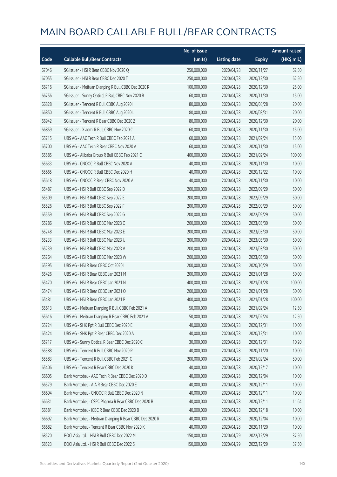|       |                                                         | No. of issue |                     |               | <b>Amount raised</b> |
|-------|---------------------------------------------------------|--------------|---------------------|---------------|----------------------|
| Code  | <b>Callable Bull/Bear Contracts</b>                     | (units)      | <b>Listing date</b> | <b>Expiry</b> | (HK\$ mil.)          |
| 67046 | SG Issuer - HSI R Bear CBBC Nov 2020 Q                  | 250,000,000  | 2020/04/28          | 2020/11/27    | 62.50                |
| 67055 | SG Issuer - HSI R Bear CBBC Dec 2020 T                  | 250,000,000  | 2020/04/28          | 2020/12/30    | 62.50                |
| 66716 | SG Issuer - Meituan Dianping R Bull CBBC Dec 2020 R     | 100,000,000  | 2020/04/28          | 2020/12/30    | 25.00                |
| 66756 | SG Issuer - Sunny Optical R Bull CBBC Nov 2020 B        | 60,000,000   | 2020/04/28          | 2020/11/30    | 15.00                |
| 66828 | SG Issuer - Tencent R Bull CBBC Aug 2020 I              | 80,000,000   | 2020/04/28          | 2020/08/28    | 20.00                |
| 66850 | SG Issuer - Tencent R Bull CBBC Aug 2020 L              | 80,000,000   | 2020/04/28          | 2020/08/31    | 20.00                |
| 66942 | SG Issuer - Tencent R Bear CBBC Dec 2020 Z              | 80,000,000   | 2020/04/28          | 2020/12/30    | 20.00                |
| 66859 | SG Issuer - Xiaomi R Bull CBBC Nov 2020 C               | 60,000,000   | 2020/04/28          | 2020/11/30    | 15.00                |
| 65715 | UBS AG - AAC Tech R Bull CBBC Feb 2021 A                | 60,000,000   | 2020/04/28          | 2021/02/24    | 15.00                |
| 65700 | UBS AG - AAC Tech R Bear CBBC Nov 2020 A                | 60,000,000   | 2020/04/28          | 2020/11/30    | 15.00                |
| 65585 | UBS AG - Alibaba Group R Bull CBBC Feb 2021 C           | 400,000,000  | 2020/04/28          | 2021/02/24    | 100.00               |
| 65633 | UBS AG - CNOOC R Bull CBBC Nov 2020 A                   | 40,000,000   | 2020/04/28          | 2020/11/30    | 10.00                |
| 65665 | UBS AG - CNOOC R Bull CBBC Dec 2020 H                   | 40,000,000   | 2020/04/28          | 2020/12/22    | 10.00                |
| 65618 | UBS AG - CNOOC R Bear CBBC Nov 2020 A                   | 40,000,000   | 2020/04/28          | 2020/11/30    | 10.00                |
| 65487 | UBS AG - HSI R Bull CBBC Sep 2022 D                     | 200,000,000  | 2020/04/28          | 2022/09/29    | 50.00                |
| 65509 | UBS AG - HSI R Bull CBBC Sep 2022 E                     | 200,000,000  | 2020/04/28          | 2022/09/29    | 50.00                |
| 65526 | UBS AG - HSI R Bull CBBC Sep 2022 F                     | 200,000,000  | 2020/04/28          | 2022/09/29    | 50.00                |
| 65559 | UBS AG - HSI R Bull CBBC Sep 2022 G                     | 200,000,000  | 2020/04/28          | 2022/09/29    | 50.00                |
| 65286 | UBS AG - HSI R Bull CBBC Mar 2023 C                     | 200,000,000  | 2020/04/28          | 2023/03/30    | 50.00                |
| 65248 | UBS AG - HSI R Bull CBBC Mar 2023 E                     | 200,000,000  | 2020/04/28          | 2023/03/30    | 50.00                |
| 65233 | UBS AG - HSI R Bull CBBC Mar 2023 U                     | 200,000,000  | 2020/04/28          | 2023/03/30    | 50.00                |
| 65239 | UBS AG - HSI R Bull CBBC Mar 2023 V                     | 200,000,000  | 2020/04/28          | 2023/03/30    | 50.00                |
| 65264 | UBS AG - HSI R Bull CBBC Mar 2023 W                     | 200,000,000  | 2020/04/28          | 2023/03/30    | 50.00                |
| 65395 | UBS AG - HSI R Bear CBBC Oct 2020 I                     | 200,000,000  | 2020/04/28          | 2020/10/29    | 50.00                |
| 65426 | UBS AG - HSI R Bear CBBC Jan 2021 M                     | 200,000,000  | 2020/04/28          | 2021/01/28    | 50.00                |
| 65470 | UBS AG - HSI R Bear CBBC Jan 2021 N                     | 400,000,000  | 2020/04/28          | 2021/01/28    | 100.00               |
| 65474 | UBS AG - HSI R Bear CBBC Jan 2021 O                     | 200,000,000  | 2020/04/28          | 2021/01/28    | 50.00                |
| 65481 | UBS AG - HSI R Bear CBBC Jan 2021 P                     | 400,000,000  | 2020/04/28          | 2021/01/28    | 100.00               |
| 65613 | UBS AG - Meituan Dianping R Bull CBBC Feb 2021 A        | 50,000,000   | 2020/04/28          | 2021/02/24    | 12.50                |
| 65616 | UBS AG - Meituan Dianping R Bear CBBC Feb 2021 A        | 50,000,000   | 2020/04/28          | 2021/02/24    | 12.50                |
| 65724 | UBS AG - SHK Ppt R Bull CBBC Dec 2020 E                 | 40,000,000   | 2020/04/28          | 2020/12/31    | 10.00                |
| 65424 | UBS AG - SHK Ppt R Bear CBBC Dec 2020 A                 | 40,000,000   | 2020/04/28          | 2020/12/31    | 10.00                |
| 65717 | UBS AG - Sunny Optical R Bear CBBC Dec 2020 C           | 30,000,000   | 2020/04/28          | 2020/12/31    | 10.20                |
| 65388 | UBS AG - Tencent R Bull CBBC Nov 2020 R                 | 40,000,000   | 2020/04/28          | 2020/11/20    | 10.00                |
| 65583 | UBS AG - Tencent R Bull CBBC Feb 2021 C                 | 200,000,000  | 2020/04/28          | 2021/02/24    | 50.00                |
| 65406 | UBS AG - Tencent R Bear CBBC Dec 2020 K                 | 40,000,000   | 2020/04/28          | 2020/12/17    | 10.00                |
| 66605 | Bank Vontobel - AAC Tech R Bear CBBC Dec 2020 D         | 40,000,000   | 2020/04/28          | 2020/12/04    | 10.00                |
| 66579 | Bank Vontobel - AIA R Bear CBBC Dec 2020 E              | 40,000,000   | 2020/04/28          | 2020/12/11    | 10.00                |
| 66694 | Bank Vontobel - CNOOC R Bull CBBC Dec 2020 N            | 40,000,000   | 2020/04/28          | 2020/12/11    | 10.00                |
| 66631 | Bank Vontobel - CSPC Pharma R Bear CBBC Dec 2020 B      | 40,000,000   | 2020/04/28          | 2020/12/11    | 11.64                |
| 66581 | Bank Vontobel - ICBC R Bear CBBC Dec 2020 B             | 40,000,000   | 2020/04/28          | 2020/12/18    | 10.00                |
| 66692 | Bank Vontobel - Meituan Dianping R Bear CBBC Dec 2020 R | 40,000,000   | 2020/04/28          | 2020/12/04    | 10.00                |
| 66682 | Bank Vontobel - Tencent R Bear CBBC Nov 2020 K          | 40,000,000   | 2020/04/28          | 2020/11/20    | 10.00                |
| 68520 | BOCI Asia Ltd. - HSI R Bull CBBC Dec 2022 M             | 150,000,000  | 2020/04/29          | 2022/12/29    | 37.50                |
| 68523 | BOCI Asia Ltd. - HSI R Bull CBBC Dec 2022 S             | 150,000,000  | 2020/04/29          | 2022/12/29    | 37.50                |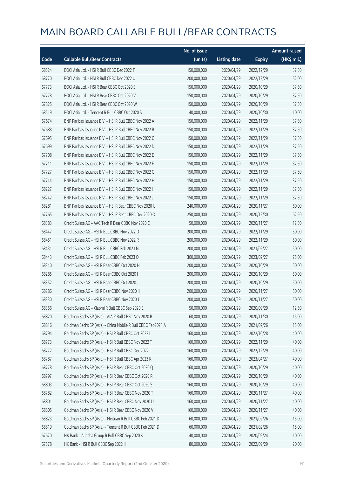|       |                                                              | No. of issue |                     |               | <b>Amount raised</b>  |
|-------|--------------------------------------------------------------|--------------|---------------------|---------------|-----------------------|
| Code  | <b>Callable Bull/Bear Contracts</b>                          | (units)      | <b>Listing date</b> | <b>Expiry</b> | $(HK\frac{1}{2}mil.)$ |
| 68524 | BOCI Asia Ltd. - HSI R Bull CBBC Dec 2022 T                  | 150,000,000  | 2020/04/29          | 2022/12/29    | 37.50                 |
| 68770 | BOCI Asia Ltd. - HSI R Bull CBBC Dec 2022 U                  | 200,000,000  | 2020/04/29          | 2022/12/29    | 52.00                 |
| 67773 | BOCI Asia Ltd. - HSI R Bear CBBC Oct 2020 S                  | 150,000,000  | 2020/04/29          | 2020/10/29    | 37.50                 |
| 67778 | BOCI Asia Ltd. - HSI R Bear CBBC Oct 2020 V                  | 150,000,000  | 2020/04/29          | 2020/10/29    | 37.50                 |
| 67825 | BOCI Asia Ltd. - HSI R Bear CBBC Oct 2020 W                  | 150,000,000  | 2020/04/29          | 2020/10/29    | 37.50                 |
| 68519 | BOCI Asia Ltd. - Tencent R Bull CBBC Oct 2020 S              | 40,000,000   | 2020/04/29          | 2020/10/30    | 10.00                 |
| 67674 | BNP Paribas Issuance B.V. - HSI R Bull CBBC Nov 2022 A       | 150,000,000  | 2020/04/29          | 2022/11/29    | 37.50                 |
| 67688 | BNP Paribas Issuance B.V. - HSI R Bull CBBC Nov 2022 B       | 150,000,000  | 2020/04/29          | 2022/11/29    | 37.50                 |
| 67695 | BNP Paribas Issuance B.V. - HSI R Bull CBBC Nov 2022 C       | 150,000,000  | 2020/04/29          | 2022/11/29    | 37.50                 |
| 67699 | BNP Paribas Issuance B.V. - HSI R Bull CBBC Nov 2022 D       | 150,000,000  | 2020/04/29          | 2022/11/29    | 37.50                 |
| 67708 | BNP Paribas Issuance B.V. - HSI R Bull CBBC Nov 2022 E       | 150,000,000  | 2020/04/29          | 2022/11/29    | 37.50                 |
| 67711 | BNP Paribas Issuance B.V. - HSI R Bull CBBC Nov 2022 F       | 150,000,000  | 2020/04/29          | 2022/11/29    | 37.50                 |
| 67727 | BNP Paribas Issuance B.V. - HSI R Bull CBBC Nov 2022 G       | 150,000,000  | 2020/04/29          | 2022/11/29    | 37.50                 |
| 67744 | BNP Paribas Issuance B.V. - HSI R Bull CBBC Nov 2022 H       | 150,000,000  | 2020/04/29          | 2022/11/29    | 37.50                 |
| 68227 | BNP Paribas Issuance B.V. - HSI R Bull CBBC Nov 2022 I       | 150,000,000  | 2020/04/29          | 2022/11/29    | 37.50                 |
| 68242 | BNP Paribas Issuance B.V. - HSI R Bull CBBC Nov 2022 J       | 150,000,000  | 2020/04/29          | 2022/11/29    | 37.50                 |
| 68281 | BNP Paribas Issuance B.V. - HSI R Bear CBBC Nov 2020 U       | 240,000,000  | 2020/04/29          | 2020/11/27    | 60.00                 |
| 67765 | BNP Paribas Issuance B.V. - HSI R Bear CBBC Dec 2020 O       | 250,000,000  | 2020/04/29          | 2020/12/30    | 62.50                 |
| 68383 | Credit Suisse AG - AAC Tech R Bear CBBC Nov 2020 C           | 50,000,000   | 2020/04/29          | 2020/11/27    | 12.50                 |
| 68447 | Credit Suisse AG - HSI R Bull CBBC Nov 2022 D                | 200,000,000  | 2020/04/29          | 2022/11/29    | 50.00                 |
| 68451 | Credit Suisse AG - HSI R Bull CBBC Nov 2022 R                | 200,000,000  | 2020/04/29          | 2022/11/29    | 50.00                 |
| 68431 | Credit Suisse AG - HSI R Bull CBBC Feb 2023 N                | 200,000,000  | 2020/04/29          | 2023/02/27    | 50.00                 |
| 68443 | Credit Suisse AG - HSI R Bull CBBC Feb 2023 O                | 300,000,000  | 2020/04/29          | 2023/02/27    | 75.00                 |
| 68340 | Credit Suisse AG - HSI R Bear CBBC Oct 2020 H                | 200,000,000  | 2020/04/29          | 2020/10/29    | 50.00                 |
| 68285 | Credit Suisse AG - HSI R Bear CBBC Oct 2020 I                | 200,000,000  | 2020/04/29          | 2020/10/29    | 50.00                 |
| 68352 | Credit Suisse AG - HSI R Bear CBBC Oct 2020 J                | 200,000,000  | 2020/04/29          | 2020/10/29    | 50.00                 |
| 68286 | Credit Suisse AG - HSI R Bear CBBC Nov 2020 H                | 200,000,000  | 2020/04/29          | 2020/11/27    | 50.00                 |
| 68330 | Credit Suisse AG - HSI R Bear CBBC Nov 2020 J                | 200,000,000  | 2020/04/29          | 2020/11/27    | 50.00                 |
| 68356 | Credit Suisse AG - Xiaomi R Bull CBBC Sep 2020 E             | 50,000,000   | 2020/04/29          | 2020/09/29    | 12.50                 |
| 68820 | Goldman Sachs SP (Asia) - AIA R Bull CBBC Nov 2020 B         | 60,000,000   | 2020/04/29          | 2020/11/30    | 15.00                 |
| 68816 | Goldman Sachs SP (Asia) - China Mobile R Bull CBBC Feb2021 A | 60,000,000   | 2020/04/29          | 2021/02/26    | 15.00                 |
| 68794 | Goldman Sachs SP (Asia) - HSI R Bull CBBC Oct 2022 L         | 160,000,000  | 2020/04/29          | 2022/10/28    | 40.00                 |
| 68773 | Goldman Sachs SP (Asia) - HSI R Bull CBBC Nov 2022 T         | 160,000,000  | 2020/04/29          | 2022/11/29    | 40.00                 |
| 68772 | Goldman Sachs SP (Asia) - HSI R Bull CBBC Dec 2022 L         | 160,000,000  | 2020/04/29          | 2022/12/29    | 40.00                 |
| 68787 | Goldman Sachs SP (Asia) - HSI R Bull CBBC Apr 2023 K         | 160,000,000  | 2020/04/29          | 2023/04/27    | 40.00                 |
| 68778 | Goldman Sachs SP (Asia) - HSI R Bear CBBC Oct 2020 Q         | 160,000,000  | 2020/04/29          | 2020/10/29    | 40.00                 |
| 68797 | Goldman Sachs SP (Asia) - HSI R Bear CBBC Oct 2020 R         | 160,000,000  | 2020/04/29          | 2020/10/29    | 40.00                 |
| 68803 | Goldman Sachs SP (Asia) - HSI R Bear CBBC Oct 2020 S         | 160,000,000  | 2020/04/29          | 2020/10/29    | 40.00                 |
| 68782 | Goldman Sachs SP (Asia) - HSI R Bear CBBC Nov 2020 T         | 160,000,000  | 2020/04/29          | 2020/11/27    | 40.00                 |
| 68801 | Goldman Sachs SP (Asia) - HSI R Bear CBBC Nov 2020 U         | 160,000,000  | 2020/04/29          | 2020/11/27    | 40.00                 |
| 68805 | Goldman Sachs SP (Asia) - HSI R Bear CBBC Nov 2020 V         | 160,000,000  | 2020/04/29          | 2020/11/27    | 40.00                 |
| 68823 | Goldman Sachs SP (Asia) - Meituan R Bull CBBC Feb 2021 D     | 60,000,000   | 2020/04/29          | 2021/02/26    | 15.00                 |
| 68819 | Goldman Sachs SP (Asia) - Tencent R Bull CBBC Feb 2021 D     | 60,000,000   | 2020/04/29          | 2021/02/26    | 15.00                 |
| 67670 | HK Bank - Alibaba Group R Bull CBBC Sep 2020 K               | 40,000,000   | 2020/04/29          | 2020/09/24    | 10.00                 |
| 67578 | HK Bank - HSI R Bull CBBC Sep 2022 H                         | 80,000,000   | 2020/04/29          | 2022/09/29    | 20.00                 |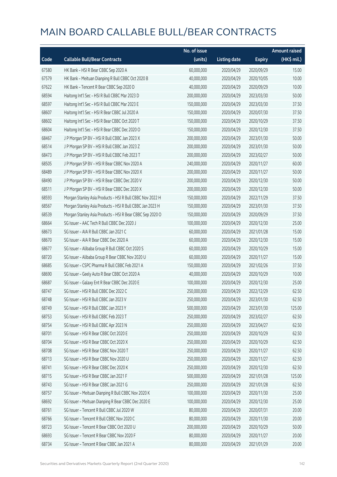|       |                                                           | No. of issue |                     |               | <b>Amount raised</b> |
|-------|-----------------------------------------------------------|--------------|---------------------|---------------|----------------------|
| Code  | <b>Callable Bull/Bear Contracts</b>                       | (units)      | <b>Listing date</b> | <b>Expiry</b> | (HK\$ mil.)          |
| 67580 | HK Bank - HSI R Bear CBBC Sep 2020 A                      | 60,000,000   | 2020/04/29          | 2020/09/29    | 15.00                |
| 67579 | HK Bank - Meituan Dianping R Bull CBBC Oct 2020 B         | 40,000,000   | 2020/04/29          | 2020/10/05    | 10.00                |
| 67622 | HK Bank - Tencent R Bear CBBC Sep 2020 D                  | 40,000,000   | 2020/04/29          | 2020/09/29    | 10.00                |
| 68594 | Haitong Int'l Sec - HSI R Bull CBBC Mar 2023 D            | 200,000,000  | 2020/04/29          | 2023/03/30    | 50.00                |
| 68597 | Haitong Int'l Sec - HSI R Bull CBBC Mar 2023 E            | 150,000,000  | 2020/04/29          | 2023/03/30    | 37.50                |
| 68607 | Haitong Int'l Sec - HSI R Bear CBBC Jul 2020 A            | 150,000,000  | 2020/04/29          | 2020/07/30    | 37.50                |
| 68602 | Haitong Int'l Sec - HSI R Bear CBBC Oct 2020 T            | 150,000,000  | 2020/04/29          | 2020/10/29    | 37.50                |
| 68604 | Haitong Int'l Sec - HSI R Bear CBBC Dec 2020 O            | 150,000,000  | 2020/04/29          | 2020/12/30    | 37.50                |
| 68467 | J P Morgan SP BV - HSI R Bull CBBC Jan 2023 X             | 200,000,000  | 2020/04/29          | 2023/01/30    | 50.00                |
| 68514 | J P Morgan SP BV - HSI R Bull CBBC Jan 2023 Z             | 200,000,000  | 2020/04/29          | 2023/01/30    | 50.00                |
| 68473 | J P Morgan SP BV - HSI R Bull CBBC Feb 2023 T             | 200,000,000  | 2020/04/29          | 2023/02/27    | 50.00                |
| 68505 | J P Morgan SP BV - HSI R Bear CBBC Nov 2020 A             | 240,000,000  | 2020/04/29          | 2020/11/27    | 60.00                |
| 68489 | J P Morgan SP BV - HSI R Bear CBBC Nov 2020 X             | 200,000,000  | 2020/04/29          | 2020/11/27    | 50.00                |
| 68490 | J P Morgan SP BV - HSI R Bear CBBC Dec 2020 V             | 200,000,000  | 2020/04/29          | 2020/12/30    | 50.00                |
| 68511 | J P Morgan SP BV - HSI R Bear CBBC Dec 2020 X             | 200,000,000  | 2020/04/29          | 2020/12/30    | 50.00                |
| 68593 | Morgan Stanley Asia Products - HSI R Bull CBBC Nov 2022 H | 150,000,000  | 2020/04/29          | 2022/11/29    | 37.50                |
| 68567 | Morgan Stanley Asia Products - HSI R Bull CBBC Jan 2023 H | 150,000,000  | 2020/04/29          | 2023/01/30    | 37.50                |
| 68539 | Morgan Stanley Asia Products - HSI R Bear CBBC Sep 2020 O | 150,000,000  | 2020/04/29          | 2020/09/29    | 37.50                |
| 68664 | SG Issuer - AAC Tech R Bull CBBC Dec 2020 J               | 100,000,000  | 2020/04/29          | 2020/12/30    | 25.00                |
| 68673 | SG Issuer - AIA R Bull CBBC Jan 2021 C                    | 60,000,000   | 2020/04/29          | 2021/01/28    | 15.00                |
| 68670 | SG Issuer - AIA R Bear CBBC Dec 2020 A                    | 60,000,000   | 2020/04/29          | 2020/12/30    | 15.00                |
| 68677 | SG Issuer - Alibaba Group R Bull CBBC Oct 2020 S          | 60,000,000   | 2020/04/29          | 2020/10/29    | 15.00                |
| 68720 | SG Issuer - Alibaba Group R Bear CBBC Nov 2020 U          | 60,000,000   | 2020/04/29          | 2020/11/27    | 15.00                |
| 68685 | SG Issuer - CSPC Pharma R Bull CBBC Feb 2021 A            | 150,000,000  | 2020/04/29          | 2021/02/26    | 37.50                |
| 68690 | SG Issuer - Geely Auto R Bear CBBC Oct 2020 A             | 40,000,000   | 2020/04/29          | 2020/10/29    | 10.00                |
| 68687 | SG Issuer - Galaxy Ent R Bear CBBC Dec 2020 E             | 100,000,000  | 2020/04/29          | 2020/12/30    | 25.00                |
| 68747 | SG Issuer - HSI R Bull CBBC Dec 2022 C                    | 250,000,000  | 2020/04/29          | 2022/12/29    | 62.50                |
| 68748 | SG Issuer – HSI R Bull CBBC Jan 2023 V                    | 250,000,000  | 2020/04/29          | 2023/01/30    | 62.50                |
| 68749 | SG Issuer - HSI R Bull CBBC Jan 2023 Y                    | 500,000,000  | 2020/04/29          | 2023/01/30    | 125.00               |
| 68753 | SG Issuer - HSI R Bull CBBC Feb 2023 T                    | 250,000,000  | 2020/04/29          | 2023/02/27    | 62.50                |
| 68754 | SG Issuer - HSI R Bull CBBC Apr 2023 N                    | 250,000,000  | 2020/04/29          | 2023/04/27    | 62.50                |
| 68701 | SG Issuer - HSI R Bear CBBC Oct 2020 E                    | 250,000,000  | 2020/04/29          | 2020/10/29    | 62.50                |
| 68704 | SG Issuer - HSI R Bear CBBC Oct 2020 X                    | 250,000,000  | 2020/04/29          | 2020/10/29    | 62.50                |
| 68708 | SG Issuer - HSI R Bear CBBC Nov 2020 T                    | 250,000,000  | 2020/04/29          | 2020/11/27    | 62.50                |
| 68713 | SG Issuer - HSI R Bear CBBC Nov 2020 U                    | 250,000,000  | 2020/04/29          | 2020/11/27    | 62.50                |
| 68741 | SG Issuer - HSI R Bear CBBC Dec 2020 K                    | 250,000,000  | 2020/04/29          | 2020/12/30    | 62.50                |
| 68715 | SG Issuer - HSI R Bear CBBC Jan 2021 F                    | 500,000,000  | 2020/04/29          | 2021/01/28    | 125.00               |
| 68743 | SG Issuer - HSI R Bear CBBC Jan 2021 G                    | 250,000,000  | 2020/04/29          | 2021/01/28    | 62.50                |
| 68757 | SG Issuer - Meituan Dianping R Bull CBBC Nov 2020 K       | 100,000,000  | 2020/04/29          | 2020/11/30    | 25.00                |
| 68692 | SG Issuer - Meituan Dianping R Bear CBBC Dec 2020 E       | 100,000,000  | 2020/04/29          | 2020/12/30    | 25.00                |
| 68761 | SG Issuer - Tencent R Bull CBBC Jul 2020 W                | 80,000,000   | 2020/04/29          | 2020/07/31    | 20.00                |
| 68766 | SG Issuer - Tencent R Bull CBBC Nov 2020 C                | 80,000,000   | 2020/04/29          | 2020/11/30    | 20.00                |
| 68723 | SG Issuer - Tencent R Bear CBBC Oct 2020 U                | 200,000,000  | 2020/04/29          | 2020/10/29    | 50.00                |
| 68693 | SG Issuer - Tencent R Bear CBBC Nov 2020 F                | 80,000,000   | 2020/04/29          | 2020/11/27    | 20.00                |
| 68734 | SG Issuer - Tencent R Bear CBBC Jan 2021 A                | 80,000,000   | 2020/04/29          | 2021/01/29    | 20.00                |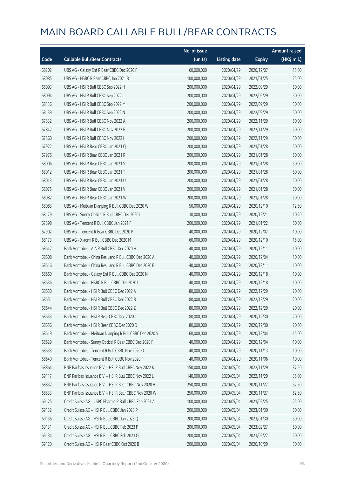|       |                                                         | No. of issue |                     |               | <b>Amount raised</b> |
|-------|---------------------------------------------------------|--------------|---------------------|---------------|----------------------|
| Code  | <b>Callable Bull/Bear Contracts</b>                     | (units)      | <b>Listing date</b> | <b>Expiry</b> | (HK\$ mil.)          |
| 68202 | UBS AG - Galaxy Ent R Bear CBBC Dec 2020 F              | 60,000,000   | 2020/04/29          | 2020/12/07    | 15.00                |
| 68085 | UBS AG - HSBC R Bear CBBC Jan 2021 B                    | 100,000,000  | 2020/04/29          | 2021/01/25    | 25.00                |
| 68093 | UBS AG - HSI R Bull CBBC Sep 2022 H                     | 200,000,000  | 2020/04/29          | 2022/09/29    | 50.00                |
| 68094 | UBS AG - HSI R Bull CBBC Sep 2022 L                     | 200,000,000  | 2020/04/29          | 2022/09/29    | 50.00                |
| 68136 | UBS AG - HSI R Bull CBBC Sep 2022 M                     | 200,000,000  | 2020/04/29          | 2022/09/29    | 50.00                |
| 68139 | UBS AG - HSI R Bull CBBC Sep 2022 N                     | 200,000,000  | 2020/04/29          | 2022/09/29    | 50.00                |
| 67832 | UBS AG - HSI R Bull CBBC Nov 2022 A                     | 200,000,000  | 2020/04/29          | 2022/11/29    | 50.00                |
| 67842 | UBS AG - HSI R Bull CBBC Nov 2022 E                     | 200,000,000  | 2020/04/29          | 2022/11/29    | 50.00                |
| 67860 | UBS AG - HSI R Bull CBBC Nov 2022 I                     | 200,000,000  | 2020/04/29          | 2022/11/29    | 50.00                |
| 67922 | UBS AG - HSI R Bear CBBC Jan 2021 Q                     | 200,000,000  | 2020/04/29          | 2021/01/28    | 50.00                |
| 67976 | UBS AG - HSI R Bear CBBC Jan 2021 R                     | 200,000,000  | 2020/04/29          | 2021/01/28    | 50.00                |
| 68006 | UBS AG - HSI R Bear CBBC Jan 2021 S                     | 200,000,000  | 2020/04/29          | 2021/01/28    | 50.00                |
| 68012 | UBS AG - HSI R Bear CBBC Jan 2021 T                     | 200,000,000  | 2020/04/29          | 2021/01/28    | 50.00                |
| 68043 | UBS AG - HSI R Bear CBBC Jan 2021 U                     | 200,000,000  | 2020/04/29          | 2021/01/28    | 50.00                |
| 68075 | UBS AG - HSI R Bear CBBC Jan 2021 V                     | 200,000,000  | 2020/04/29          | 2021/01/28    | 50.00                |
| 68082 | UBS AG - HSI R Bear CBBC Jan 2021 W                     | 200,000,000  | 2020/04/29          | 2021/01/28    | 50.00                |
| 68083 | UBS AG - Meituan Dianping R Bull CBBC Dec 2020 W        | 50,000,000   | 2020/04/29          | 2020/12/10    | 12.50                |
| 68179 | UBS AG - Sunny Optical R Bull CBBC Dec 2020 I           | 30,000,000   | 2020/04/29          | 2020/12/21    | 10.20                |
| 67898 | UBS AG - Tencent R Bull CBBC Jan 2021 F                 | 200,000,000  | 2020/04/29          | 2021/01/22    | 50.00                |
| 67902 | UBS AG - Tencent R Bear CBBC Dec 2020 P                 | 40,000,000   | 2020/04/29          | 2020/12/07    | 10.00                |
| 68173 | UBS AG - Xiaomi R Bull CBBC Dec 2020 M                  | 60,000,000   | 2020/04/29          | 2020/12/10    | 15.00                |
| 68642 | Bank Vontobel - AIA R Bull CBBC Dec 2020 H              | 40,000,000   | 2020/04/29          | 2020/12/11    | 10.00                |
| 68608 | Bank Vontobel - China Res Land R Bull CBBC Dec 2020 A   | 40,000,000   | 2020/04/29          | 2020/12/04    | 10.00                |
| 68616 | Bank Vontobel - China Res Land R Bull CBBC Dec 2020 B   | 40,000,000   | 2020/04/29          | 2020/12/11    | 10.00                |
| 68660 | Bank Vontobel - Galaxy Ent R Bull CBBC Dec 2020 N       | 40,000,000   | 2020/04/29          | 2020/12/18    | 10.00                |
| 68636 | Bank Vontobel - HSBC R Bull CBBC Dec 2020 I             | 40,000,000   | 2020/04/29          | 2020/12/18    | 10.00                |
| 68650 | Bank Vontobel - HSI R Bull CBBC Dec 2022 A              | 80,000,000   | 2020/04/29          | 2022/12/29    | 20.00                |
| 68651 | Bank Vontobel - HSLR Bull CBBC Dec 2022 B               | 80,000,000   | 2020/04/29          | 2022/12/29    | 20.00                |
| 68644 | Bank Vontobel - HSI R Bull CBBC Dec 2022 Z              | 80,000,000   | 2020/04/29          | 2022/12/29    | 20.00                |
| 68653 | Bank Vontobel - HSI R Bear CBBC Dec 2020 C              | 80,000,000   | 2020/04/29          | 2020/12/30    | 20.00                |
| 68656 | Bank Vontobel - HSI R Bear CBBC Dec 2020 D              | 80,000,000   | 2020/04/29          | 2020/12/30    | 20.00                |
| 68619 | Bank Vontobel - Meituan Dianping R Bull CBBC Dec 2020 S | 60,000,000   | 2020/04/29          | 2020/12/04    | 15.00                |
| 68629 | Bank Vontobel - Sunny Optical R Bear CBBC Dec 2020 F    | 40,000,000   | 2020/04/29          | 2020/12/04    | 10.00                |
| 68633 | Bank Vontobel - Tencent R Bull CBBC Nov 2020 O          | 40,000,000   | 2020/04/29          | 2020/11/13    | 10.00                |
| 68640 | Bank Vontobel - Tencent R Bull CBBC Nov 2020 P          | 40,000,000   | 2020/04/29          | 2020/11/06    | 10.00                |
| 68864 | BNP Paribas Issuance B.V. - HSI R Bull CBBC Nov 2022 K  | 150,000,000  | 2020/05/04          | 2022/11/29    | 37.50                |
| 69117 | BNP Paribas Issuance B.V. - HSI R Bull CBBC Nov 2022 L  | 140,000,000  | 2020/05/04          | 2022/11/29    | 35.00                |
| 68832 | BNP Paribas Issuance B.V. - HSI R Bear CBBC Nov 2020 V  | 250,000,000  | 2020/05/04          | 2020/11/27    | 62.50                |
| 68833 | BNP Paribas Issuance B.V. - HSI R Bear CBBC Nov 2020 W  | 250,000,000  | 2020/05/04          | 2020/11/27    | 62.50                |
| 69125 | Credit Suisse AG - CSPC Pharma R Bull CBBC Feb 2021 A   | 100,000,000  | 2020/05/04          | 2021/02/25    | 25.00                |
| 69132 | Credit Suisse AG - HSI R Bull CBBC Jan 2023 P           | 200,000,000  | 2020/05/04          | 2023/01/30    | 50.00                |
| 69136 | Credit Suisse AG - HSI R Bull CBBC Jan 2023 Q           | 200,000,000  | 2020/05/04          | 2023/01/30    | 50.00                |
| 69131 | Credit Suisse AG - HSI R Bull CBBC Feb 2023 P           | 200,000,000  | 2020/05/04          | 2023/02/27    | 50.00                |
| 69134 | Credit Suisse AG - HSI R Bull CBBC Feb 2023 Q           | 200,000,000  | 2020/05/04          | 2023/02/27    | 50.00                |
| 69120 | Credit Suisse AG - HSI R Bear CBBC Oct 2020 B           | 200,000,000  | 2020/05/04          | 2020/10/29    | 50.00                |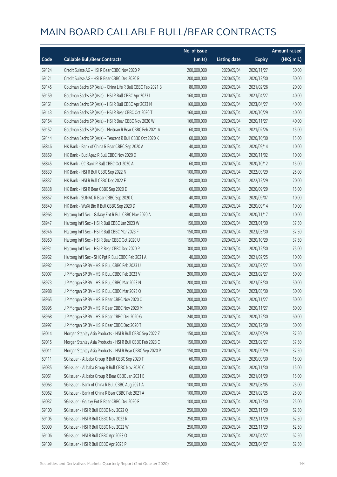|       |                                                             | No. of issue |                     |               | <b>Amount raised</b> |
|-------|-------------------------------------------------------------|--------------|---------------------|---------------|----------------------|
| Code  | <b>Callable Bull/Bear Contracts</b>                         | (units)      | <b>Listing date</b> | <b>Expiry</b> | (HK\$ mil.)          |
| 69124 | Credit Suisse AG - HSI R Bear CBBC Nov 2020 P               | 200,000,000  | 2020/05/04          | 2020/11/27    | 50.00                |
| 69121 | Credit Suisse AG - HSI R Bear CBBC Dec 2020 R               | 200,000,000  | 2020/05/04          | 2020/12/30    | 50.00                |
| 69145 | Goldman Sachs SP (Asia) - China Life R Bull CBBC Feb 2021 B | 80,000,000   | 2020/05/04          | 2021/02/26    | 20.00                |
| 69159 | Goldman Sachs SP (Asia) - HSI R Bull CBBC Apr 2023 L        | 160,000,000  | 2020/05/04          | 2023/04/27    | 40.00                |
| 69161 | Goldman Sachs SP (Asia) - HSI R Bull CBBC Apr 2023 M        | 160,000,000  | 2020/05/04          | 2023/04/27    | 40.00                |
| 69143 | Goldman Sachs SP (Asia) - HSI R Bear CBBC Oct 2020 T        | 160,000,000  | 2020/05/04          | 2020/10/29    | 40.00                |
| 69154 | Goldman Sachs SP (Asia) - HSI R Bear CBBC Nov 2020 W        | 160,000,000  | 2020/05/04          | 2020/11/27    | 40.00                |
| 69152 | Goldman Sachs SP (Asia) - Meituan R Bear CBBC Feb 2021 A    | 60,000,000   | 2020/05/04          | 2021/02/26    | 15.00                |
| 69144 | Goldman Sachs SP (Asia) - Tencent R Bull CBBC Oct 2020 K    | 60,000,000   | 2020/05/04          | 2020/10/30    | 15.00                |
| 68846 | HK Bank - Bank of China R Bear CBBC Sep 2020 A              | 40,000,000   | 2020/05/04          | 2020/09/14    | 10.00                |
| 68859 | HK Bank - Bud Apac R Bull CBBC Nov 2020 D                   | 40,000,000   | 2020/05/04          | 2020/11/02    | 10.00                |
| 68845 | HK Bank - CC Bank R Bull CBBC Oct 2020 A                    | 60,000,000   | 2020/05/04          | 2020/10/12    | 15.00                |
| 68839 | HK Bank - HSI R Bull CBBC Sep 2022 N                        | 100,000,000  | 2020/05/04          | 2022/09/29    | 25.00                |
| 68837 | HK Bank - HSI R Bull CBBC Dec 2022 F                        | 80,000,000   | 2020/05/04          | 2022/12/29    | 20.00                |
| 68838 | HK Bank - HSI R Bear CBBC Sep 2020 D                        | 60,000,000   | 2020/05/04          | 2020/09/29    | 15.00                |
| 68857 | HK Bank - SUNAC R Bear CBBC Sep 2020 C                      | 40,000,000   | 2020/05/04          | 2020/09/07    | 10.00                |
| 68849 | HK Bank - WuXi Bio R Bull CBBC Sep 2020 D                   | 40,000,000   | 2020/05/04          | 2020/09/14    | 10.00                |
| 68963 | Haitong Int'l Sec - Galaxy Ent R Bull CBBC Nov 2020 A       | 40,000,000   | 2020/05/04          | 2020/11/17    | 10.00                |
| 68947 | Haitong Int'l Sec - HSI R Bull CBBC Jan 2023 W              | 150,000,000  | 2020/05/04          | 2023/01/30    | 37.50                |
| 68946 | Haitong Int'l Sec - HSI R Bull CBBC Mar 2023 F              | 150,000,000  | 2020/05/04          | 2023/03/30    | 37.50                |
| 68950 | Haitong Int'l Sec - HSI R Bear CBBC Oct 2020 U              | 150,000,000  | 2020/05/04          | 2020/10/29    | 37.50                |
| 68931 | Haitong Int'l Sec - HSI R Bear CBBC Dec 2020 P              | 300,000,000  | 2020/05/04          | 2020/12/30    | 75.00                |
| 68962 | Haitong Int'l Sec - SHK Ppt R Bull CBBC Feb 2021 A          | 40,000,000   | 2020/05/04          | 2021/02/25    | 10.00                |
| 68982 | J P Morgan SP BV - HSI R Bull CBBC Feb 2023 U               | 200,000,000  | 2020/05/04          | 2023/02/27    | 50.00                |
| 69007 | J P Morgan SP BV - HSI R Bull CBBC Feb 2023 V               | 200,000,000  | 2020/05/04          | 2023/02/27    | 50.00                |
| 68973 | J P Morgan SP BV - HSI R Bull CBBC Mar 2023 N               | 200,000,000  | 2020/05/04          | 2023/03/30    | 50.00                |
| 68988 | J P Morgan SP BV - HSI R Bull CBBC Mar 2023 O               | 200,000,000  | 2020/05/04          | 2023/03/30    | 50.00                |
| 68965 | J P Morgan SP BV - HSI R Bear CBBC Nov 2020 C               | 200,000,000  | 2020/05/04          | 2020/11/27    | 50.00                |
| 68995 | J P Morgan SP BV - HSI R Bear CBBC Nov 2020 M               | 240,000,000  | 2020/05/04          | 2020/11/27    | 60.00                |
| 68968 | J P Morgan SP BV - HSI R Bear CBBC Dec 2020 G               | 240,000,000  | 2020/05/04          | 2020/12/30    | 60.00                |
| 68997 | J P Morgan SP BV - HSI R Bear CBBC Dec 2020 T               | 200,000,000  | 2020/05/04          | 2020/12/30    | 50.00                |
| 69014 | Morgan Stanley Asia Products - HSI R Bull CBBC Sep 2022 Z   | 150,000,000  | 2020/05/04          | 2022/09/29    | 37.50                |
| 69015 | Morgan Stanley Asia Products - HSI R Bull CBBC Feb 2023 C   | 150,000,000  | 2020/05/04          | 2023/02/27    | 37.50                |
| 69011 | Morgan Stanley Asia Products - HSI R Bear CBBC Sep 2020 P   | 150,000,000  | 2020/05/04          | 2020/09/29    | 37.50                |
| 69111 | SG Issuer - Alibaba Group R Bull CBBC Sep 2020 T            | 60,000,000   | 2020/05/04          | 2020/09/30    | 15.00                |
| 69035 | SG Issuer - Alibaba Group R Bull CBBC Nov 2020 C            | 60,000,000   | 2020/05/04          | 2020/11/30    | 15.00                |
| 69061 | SG Issuer - Alibaba Group R Bear CBBC Jan 2021 E            | 60,000,000   | 2020/05/04          | 2021/01/29    | 15.00                |
| 69063 | SG Issuer - Bank of China R Bull CBBC Aug 2021 A            | 100,000,000  | 2020/05/04          | 2021/08/05    | 25.00                |
| 69062 | SG Issuer - Bank of China R Bear CBBC Feb 2021 A            | 100,000,000  | 2020/05/04          | 2021/02/25    | 25.00                |
| 69037 | SG Issuer - Galaxy Ent R Bear CBBC Dec 2020 F               | 100,000,000  | 2020/05/04          | 2020/12/30    | 25.00                |
| 69100 | SG Issuer - HSI R Bull CBBC Nov 2022 Q                      | 250,000,000  | 2020/05/04          | 2022/11/29    | 62.50                |
| 69105 | SG Issuer - HSI R Bull CBBC Nov 2022 R                      | 250,000,000  | 2020/05/04          | 2022/11/29    | 62.50                |
| 69099 | SG Issuer - HSI R Bull CBBC Nov 2022 W                      | 250,000,000  | 2020/05/04          | 2022/11/29    | 62.50                |
| 69106 | SG Issuer - HSI R Bull CBBC Apr 2023 O                      | 250,000,000  | 2020/05/04          | 2023/04/27    | 62.50                |
| 69109 | SG Issuer - HSI R Bull CBBC Apr 2023 P                      | 250,000,000  | 2020/05/04          | 2023/04/27    | 62.50                |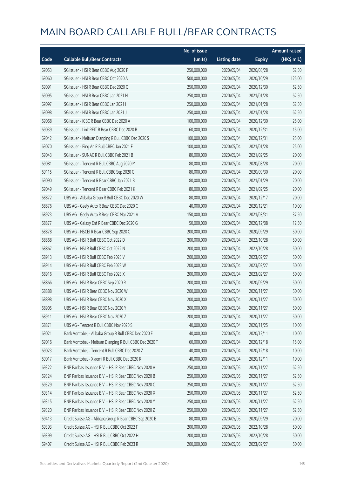|       |                                                         | No. of issue |                     |               | <b>Amount raised</b> |
|-------|---------------------------------------------------------|--------------|---------------------|---------------|----------------------|
| Code  | <b>Callable Bull/Bear Contracts</b>                     | (units)      | <b>Listing date</b> | <b>Expiry</b> | (HK\$ mil.)          |
| 69053 | SG Issuer - HSI R Bear CBBC Aug 2020 F                  | 250,000,000  | 2020/05/04          | 2020/08/28    | 62.50                |
| 69060 | SG Issuer - HSI R Bear CBBC Oct 2020 A                  | 500,000,000  | 2020/05/04          | 2020/10/29    | 125.00               |
| 69091 | SG Issuer - HSI R Bear CBBC Dec 2020 Q                  | 250,000,000  | 2020/05/04          | 2020/12/30    | 62.50                |
| 69095 | SG Issuer - HSI R Bear CBBC Jan 2021 H                  | 250,000,000  | 2020/05/04          | 2021/01/28    | 62.50                |
| 69097 | SG Issuer - HSI R Bear CBBC Jan 2021 I                  | 250,000,000  | 2020/05/04          | 2021/01/28    | 62.50                |
| 69098 | SG Issuer - HSI R Bear CBBC Jan 2021 J                  | 250,000,000  | 2020/05/04          | 2021/01/28    | 62.50                |
| 69068 | SG Issuer - ICBC R Bear CBBC Dec 2020 A                 | 100,000,000  | 2020/05/04          | 2020/12/30    | 25.00                |
| 69039 | SG Issuer - Link REIT R Bear CBBC Dec 2020 B            | 60,000,000   | 2020/05/04          | 2020/12/31    | 15.00                |
| 69042 | SG Issuer - Meituan Dianping R Bull CBBC Dec 2020 S     | 100,000,000  | 2020/05/04          | 2020/12/31    | 25.00                |
| 69070 | SG Issuer - Ping An R Bull CBBC Jan 2021 F              | 100,000,000  | 2020/05/04          | 2021/01/28    | 25.00                |
| 69043 | SG Issuer - SUNAC R Bull CBBC Feb 2021 B                | 80,000,000   | 2020/05/04          | 2021/02/25    | 20.00                |
| 69081 | SG Issuer - Tencent R Bull CBBC Aug 2020 M              | 80,000,000   | 2020/05/04          | 2020/08/28    | 20.00                |
| 69115 | SG Issuer - Tencent R Bull CBBC Sep 2020 C              | 80,000,000   | 2020/05/04          | 2020/09/30    | 20.00                |
| 69090 | SG Issuer - Tencent R Bear CBBC Jan 2021 B              | 80,000,000   | 2020/05/04          | 2021/01/29    | 20.00                |
| 69049 | SG Issuer - Tencent R Bear CBBC Feb 2021 K              | 80,000,000   | 2020/05/04          | 2021/02/25    | 20.00                |
| 68872 | UBS AG - Alibaba Group R Bull CBBC Dec 2020 W           | 80,000,000   | 2020/05/04          | 2020/12/17    | 20.00                |
| 68876 | UBS AG - Geely Auto R Bear CBBC Dec 2020 C              | 40,000,000   | 2020/05/04          | 2020/12/21    | 10.00                |
| 68923 | UBS AG - Geely Auto R Bear CBBC Mar 2021 A              | 150,000,000  | 2020/05/04          | 2021/03/31    | 37.50                |
| 68877 | UBS AG - Galaxy Ent R Bear CBBC Dec 2020 G              | 50,000,000   | 2020/05/04          | 2020/12/08    | 12.50                |
| 68878 | UBS AG - HSCEI R Bear CBBC Sep 2020 C                   | 200,000,000  | 2020/05/04          | 2020/09/29    | 50.00                |
| 68868 | UBS AG - HSI R Bull CBBC Oct 2022 D                     | 200,000,000  | 2020/05/04          | 2022/10/28    | 50.00                |
| 68867 | UBS AG - HSI R Bull CBBC Oct 2022 N                     | 200,000,000  | 2020/05/04          | 2022/10/28    | 50.00                |
| 68913 | UBS AG - HSI R Bull CBBC Feb 2023 V                     | 200,000,000  | 2020/05/04          | 2023/02/27    | 50.00                |
| 68914 | UBS AG - HSI R Bull CBBC Feb 2023 W                     | 200,000,000  | 2020/05/04          | 2023/02/27    | 50.00                |
| 68916 | UBS AG - HSI R Bull CBBC Feb 2023 X                     | 200,000,000  | 2020/05/04          | 2023/02/27    | 50.00                |
| 68866 | UBS AG - HSI R Bear CBBC Sep 2020 R                     | 200,000,000  | 2020/05/04          | 2020/09/29    | 50.00                |
| 68888 | UBS AG - HSI R Bear CBBC Nov 2020 W                     | 200,000,000  | 2020/05/04          | 2020/11/27    | 50.00                |
| 68898 | UBS AG - HSLR Bear CBBC Nov 2020 X                      | 200,000,000  | 2020/05/04          | 2020/11/27    | 50.00                |
| 68905 | UBS AG - HSI R Bear CBBC Nov 2020 Y                     | 200,000,000  | 2020/05/04          | 2020/11/27    | 50.00                |
| 68911 | UBS AG - HSI R Bear CBBC Nov 2020 Z                     | 200,000,000  | 2020/05/04          | 2020/11/27    | 50.00                |
| 68871 | UBS AG - Tencent R Bull CBBC Nov 2020 S                 | 40,000,000   | 2020/05/04          | 2020/11/25    | 10.00                |
| 69021 | Bank Vontobel - Alibaba Group R Bull CBBC Dec 2020 E    | 40,000,000   | 2020/05/04          | 2020/12/11    | 10.00                |
| 69016 | Bank Vontobel - Meituan Dianping R Bull CBBC Dec 2020 T | 60,000,000   | 2020/05/04          | 2020/12/18    | 15.00                |
| 69023 | Bank Vontobel - Tencent R Bull CBBC Dec 2020 Z          | 40,000,000   | 2020/05/04          | 2020/12/18    | 10.00                |
| 69017 | Bank Vontobel - Xiaomi R Bull CBBC Dec 2020 R           | 40,000,000   | 2020/05/04          | 2020/12/11    | 10.00                |
| 69322 | BNP Paribas Issuance B.V. - HSI R Bear CBBC Nov 2020 A  | 250,000,000  | 2020/05/05          | 2020/11/27    | 62.50                |
| 69324 | BNP Paribas Issuance B.V. - HSI R Bear CBBC Nov 2020 B  | 250,000,000  | 2020/05/05          | 2020/11/27    | 62.50                |
| 69329 | BNP Paribas Issuance B.V. - HSI R Bear CBBC Nov 2020 C  | 250,000,000  | 2020/05/05          | 2020/11/27    | 62.50                |
| 69314 | BNP Paribas Issuance B.V. - HSI R Bear CBBC Nov 2020 X  | 250,000,000  | 2020/05/05          | 2020/11/27    | 62.50                |
| 69315 | BNP Paribas Issuance B.V. - HSI R Bear CBBC Nov 2020 Y  | 250,000,000  | 2020/05/05          | 2020/11/27    | 62.50                |
| 69320 | BNP Paribas Issuance B.V. - HSI R Bear CBBC Nov 2020 Z  | 250,000,000  | 2020/05/05          | 2020/11/27    | 62.50                |
| 69413 | Credit Suisse AG - Alibaba Group R Bear CBBC Sep 2020 B | 80,000,000   | 2020/05/05          | 2020/09/29    | 20.00                |
| 69393 | Credit Suisse AG - HSI R Bull CBBC Oct 2022 F           | 200,000,000  | 2020/05/05          | 2022/10/28    | 50.00                |
| 69399 | Credit Suisse AG - HSI R Bull CBBC Oct 2022 H           | 200,000,000  | 2020/05/05          | 2022/10/28    | 50.00                |
| 69407 | Credit Suisse AG - HSI R Bull CBBC Feb 2023 R           | 200,000,000  | 2020/05/05          | 2023/02/27    | 50.00                |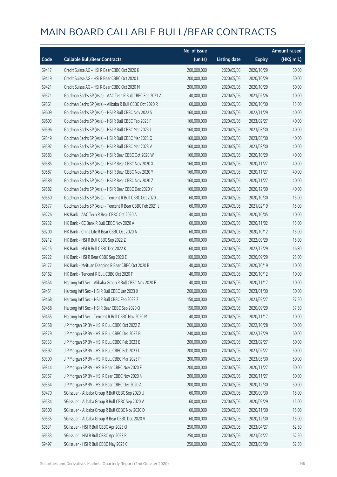|       |                                                           | No. of issue |                     |               | <b>Amount raised</b> |
|-------|-----------------------------------------------------------|--------------|---------------------|---------------|----------------------|
| Code  | <b>Callable Bull/Bear Contracts</b>                       | (units)      | <b>Listing date</b> | <b>Expiry</b> | (HK\$ mil.)          |
| 69417 | Credit Suisse AG - HSI R Bear CBBC Oct 2020 K             | 200,000,000  | 2020/05/05          | 2020/10/29    | 50.00                |
| 69419 | Credit Suisse AG - HSI R Bear CBBC Oct 2020 L             | 200,000,000  | 2020/05/05          | 2020/10/29    | 50.00                |
| 69421 | Credit Suisse AG - HSI R Bear CBBC Oct 2020 M             | 200,000,000  | 2020/05/05          | 2020/10/29    | 50.00                |
| 69571 | Goldman Sachs SP (Asia) - AAC Tech R Bull CBBC Feb 2021 A | 40,000,000   | 2020/05/05          | 2021/02/26    | 10.00                |
| 69561 | Goldman Sachs SP (Asia) - Alibaba R Bull CBBC Oct 2020 R  | 60,000,000   | 2020/05/05          | 2020/10/30    | 15.00                |
| 69609 | Goldman Sachs SP (Asia) - HSI R Bull CBBC Nov 2022 S      | 160,000,000  | 2020/05/05          | 2022/11/29    | 40.00                |
| 69603 | Goldman Sachs SP (Asia) - HSI R Bull CBBC Feb 2023 F      | 160,000,000  | 2020/05/05          | 2023/02/27    | 40.00                |
| 69596 | Goldman Sachs SP (Asia) - HSI R Bull CBBC Mar 2023 J      | 160,000,000  | 2020/05/05          | 2023/03/30    | 40.00                |
| 69549 | Goldman Sachs SP (Asia) - HSI R Bull CBBC Mar 2023 Q      | 160,000,000  | 2020/05/05          | 2023/03/30    | 40.00                |
| 69597 | Goldman Sachs SP (Asia) - HSI R Bull CBBC Mar 2023 V      | 160,000,000  | 2020/05/05          | 2023/03/30    | 40.00                |
| 69583 | Goldman Sachs SP (Asia) - HSI R Bear CBBC Oct 2020 W      | 160,000,000  | 2020/05/05          | 2020/10/29    | 40.00                |
| 69585 | Goldman Sachs SP (Asia) - HSI R Bear CBBC Nov 2020 X      | 160,000,000  | 2020/05/05          | 2020/11/27    | 40.00                |
| 69587 | Goldman Sachs SP (Asia) - HSI R Bear CBBC Nov 2020 Y      | 160,000,000  | 2020/05/05          | 2020/11/27    | 40.00                |
| 69589 | Goldman Sachs SP (Asia) - HSI R Bear CBBC Nov 2020 Z      | 160,000,000  | 2020/05/05          | 2020/11/27    | 40.00                |
| 69582 | Goldman Sachs SP (Asia) - HSI R Bear CBBC Dec 2020 Y      | 160,000,000  | 2020/05/05          | 2020/12/30    | 40.00                |
| 69550 | Goldman Sachs SP (Asia) - Tencent R Bull CBBC Oct 2020 L  | 60,000,000   | 2020/05/05          | 2020/10/30    | 15.00                |
| 69577 | Goldman Sachs SP (Asia) - Tencent R Bear CBBC Feb 2021 J  | 60,000,000   | 2020/05/05          | 2021/02/19    | 15.00                |
| 69226 | HK Bank - AAC Tech R Bear CBBC Oct 2020 A                 | 40,000,000   | 2020/05/05          | 2020/10/05    | 10.00                |
| 69232 | HK Bank - CC Bank R Bull CBBC Nov 2020 A                  | 60,000,000   | 2020/05/05          | 2020/11/02    | 15.00                |
| 69200 | HK Bank - China Life R Bear CBBC Oct 2020 A               | 60,000,000   | 2020/05/05          | 2020/10/12    | 15.00                |
| 69212 | HK Bank - HSI R Bull CBBC Sep 2022 Z                      | 60,000,000   | 2020/05/05          | 2022/09/29    | 15.00                |
| 69215 | HK Bank - HSI R Bull CBBC Dec 2022 K                      | 60,000,000   | 2020/05/05          | 2022/12/29    | 16.80                |
| 69222 | HK Bank - HSI R Bear CBBC Sep 2020 E                      | 100,000,000  | 2020/05/05          | 2020/09/29    | 25.00                |
| 69177 | HK Bank - Meituan Dianping R Bear CBBC Oct 2020 B         | 40,000,000   | 2020/05/05          | 2020/10/19    | 10.00                |
| 69162 | HK Bank - Tencent R Bull CBBC Oct 2020 F                  | 40,000,000   | 2020/05/05          | 2020/10/12    | 10.00                |
| 69454 | Haitong Int'l Sec - Alibaba Group R Bull CBBC Nov 2020 F  | 40,000,000   | 2020/05/05          | 2020/11/17    | 10.00                |
| 69451 | Haitong Int'l Sec - HSI R Bull CBBC Jan 2023 X            | 200,000,000  | 2020/05/05          | 2023/01/30    | 50.00                |
| 69468 | Haitong Int'l Sec - HSI R Bull CBBC Feb 2023 Z            | 150,000,000  | 2020/05/05          | 2023/02/27    | 37.50                |
| 69458 | Haitong Int'l Sec - HSI R Bear CBBC Sep 2020 Q            | 150,000,000  | 2020/05/05          | 2020/09/29    | 37.50                |
| 69455 | Haitong Int'l Sec - Tencent R Bull CBBC Nov 2020 M        | 40,000,000   | 2020/05/05          | 2020/11/17    | 10.00                |
| 69358 | J P Morgan SP BV - HSI R Bull CBBC Oct 2022 Z             | 200,000,000  | 2020/05/05          | 2022/10/28    | 50.00                |
| 69379 | J P Morgan SP BV - HSI R Bull CBBC Dec 2022 B             | 240,000,000  | 2020/05/05          | 2022/12/29    | 60.00                |
| 69333 | J P Morgan SP BV - HSI R Bull CBBC Feb 2023 E             | 200,000,000  | 2020/05/05          | 2023/02/27    | 50.00                |
| 69392 | J P Morgan SP BV - HSI R Bull CBBC Feb 2023 I             | 200,000,000  | 2020/05/05          | 2023/02/27    | 50.00                |
| 69390 | J P Morgan SP BV - HSI R Bull CBBC Mar 2023 P             | 200,000,000  | 2020/05/05          | 2023/03/30    | 50.00                |
| 69344 | J P Morgan SP BV - HSI R Bear CBBC Nov 2020 F             | 200,000,000  | 2020/05/05          | 2020/11/27    | 50.00                |
| 69357 | J P Morgan SP BV - HSI R Bear CBBC Nov 2020 N             | 200,000,000  | 2020/05/05          | 2020/11/27    | 50.00                |
| 69354 | J P Morgan SP BV - HSI R Bear CBBC Dec 2020 A             | 200,000,000  | 2020/05/05          | 2020/12/30    | 50.00                |
| 69470 | SG Issuer - Alibaba Group R Bull CBBC Sep 2020 U          | 60,000,000   | 2020/05/05          | 2020/09/30    | 15.00                |
| 69534 | SG Issuer - Alibaba Group R Bull CBBC Sep 2020 V          | 60,000,000   | 2020/05/05          | 2020/09/29    | 15.00                |
| 69500 | SG Issuer - Alibaba Group R Bull CBBC Nov 2020 D          | 60,000,000   | 2020/05/05          | 2020/11/30    | 15.00                |
| 69535 | SG Issuer - Alibaba Group R Bear CBBC Dec 2020 V          | 60,000,000   | 2020/05/05          | 2020/12/30    | 15.00                |
| 69531 | SG Issuer - HSI R Bull CBBC Apr 2023 Q                    | 250,000,000  | 2020/05/05          | 2023/04/27    | 62.50                |
| 69533 | SG Issuer - HSI R Bull CBBC Apr 2023 R                    | 250,000,000  | 2020/05/05          | 2023/04/27    | 62.50                |
| 69497 | SG Issuer - HSI R Bull CBBC May 2023 C                    | 250,000,000  | 2020/05/05          | 2023/05/30    | 62.50                |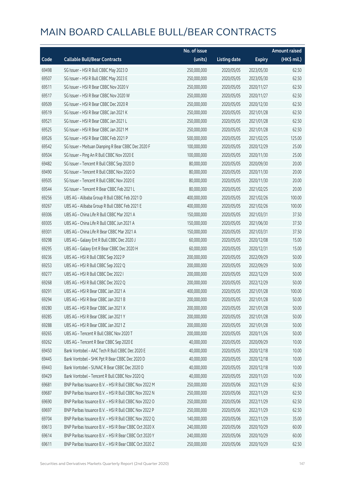|       |                                                        | No. of issue |                     |               | <b>Amount raised</b> |
|-------|--------------------------------------------------------|--------------|---------------------|---------------|----------------------|
| Code  | <b>Callable Bull/Bear Contracts</b>                    | (units)      | <b>Listing date</b> | <b>Expiry</b> | (HK\$ mil.)          |
| 69498 | SG Issuer - HSI R Bull CBBC May 2023 D                 | 250,000,000  | 2020/05/05          | 2023/05/30    | 62.50                |
| 69507 | SG Issuer - HSI R Bull CBBC May 2023 E                 | 250,000,000  | 2020/05/05          | 2023/05/30    | 62.50                |
| 69511 | SG Issuer - HSI R Bear CBBC Nov 2020 V                 | 250,000,000  | 2020/05/05          | 2020/11/27    | 62.50                |
| 69517 | SG Issuer - HSI R Bear CBBC Nov 2020 W                 | 250,000,000  | 2020/05/05          | 2020/11/27    | 62.50                |
| 69509 | SG Issuer - HSI R Bear CBBC Dec 2020 R                 | 250,000,000  | 2020/05/05          | 2020/12/30    | 62.50                |
| 69519 | SG Issuer - HSI R Bear CBBC Jan 2021 K                 | 250,000,000  | 2020/05/05          | 2021/01/28    | 62.50                |
| 69521 | SG Issuer - HSI R Bear CBBC Jan 2021 L                 | 250,000,000  | 2020/05/05          | 2021/01/28    | 62.50                |
| 69525 | SG Issuer - HSI R Bear CBBC Jan 2021 M                 | 250,000,000  | 2020/05/05          | 2021/01/28    | 62.50                |
| 69526 | SG Issuer - HSI R Bear CBBC Feb 2021 P                 | 500,000,000  | 2020/05/05          | 2021/02/25    | 125.00               |
| 69542 | SG Issuer - Meituan Dianping R Bear CBBC Dec 2020 F    | 100,000,000  | 2020/05/05          | 2020/12/29    | 25.00                |
| 69504 | SG Issuer - Ping An R Bull CBBC Nov 2020 E             | 100,000,000  | 2020/05/05          | 2020/11/30    | 25.00                |
| 69482 | SG Issuer - Tencent R Bull CBBC Sep 2020 D             | 80,000,000   | 2020/05/05          | 2020/09/30    | 20.00                |
| 69490 | SG Issuer - Tencent R Bull CBBC Nov 2020 D             | 80,000,000   | 2020/05/05          | 2020/11/30    | 20.00                |
| 69505 | SG Issuer - Tencent R Bull CBBC Nov 2020 E             | 80,000,000   | 2020/05/05          | 2020/11/30    | 20.00                |
| 69544 | SG Issuer - Tencent R Bear CBBC Feb 2021 L             | 80,000,000   | 2020/05/05          | 2021/02/25    | 20.00                |
| 69256 | UBS AG - Alibaba Group R Bull CBBC Feb 2021 D          | 400,000,000  | 2020/05/05          | 2021/02/26    | 100.00               |
| 69267 | UBS AG - Alibaba Group R Bull CBBC Feb 2021 E          | 400,000,000  | 2020/05/05          | 2021/02/26    | 100.00               |
| 69306 | UBS AG - China Life R Bull CBBC Mar 2021 A             | 150,000,000  | 2020/05/05          | 2021/03/31    | 37.50                |
| 69305 | UBS AG - China Life R Bull CBBC Jun 2021 A             | 150,000,000  | 2020/05/05          | 2021/06/30    | 37.50                |
| 69301 | UBS AG - China Life R Bear CBBC Mar 2021 A             | 150,000,000  | 2020/05/05          | 2021/03/31    | 37.50                |
| 69298 | UBS AG - Galaxy Ent R Bull CBBC Dec 2020 J             | 60,000,000   | 2020/05/05          | 2020/12/08    | 15.00                |
| 69295 | UBS AG - Galaxy Ent R Bear CBBC Dec 2020 H             | 60,000,000   | 2020/05/05          | 2020/12/31    | 15.00                |
| 69236 | UBS AG - HSI R Bull CBBC Sep 2022 P                    | 200,000,000  | 2020/05/05          | 2022/09/29    | 50.00                |
| 69253 | UBS AG - HSI R Bull CBBC Sep 2022 Q                    | 200,000,000  | 2020/05/05          | 2022/09/29    | 50.00                |
| 69277 | UBS AG - HSI R Bull CBBC Dec 2022 I                    | 200,000,000  | 2020/05/05          | 2022/12/29    | 50.00                |
| 69268 | UBS AG - HSI R Bull CBBC Dec 2022 Q                    | 200,000,000  | 2020/05/05          | 2022/12/29    | 50.00                |
| 69291 | UBS AG - HSI R Bear CBBC Jan 2021 A                    | 400,000,000  | 2020/05/05          | 2021/01/28    | 100.00               |
| 69294 | UBS AG - HSLR Bear CBBC Jan 2021 B                     | 200,000,000  | 2020/05/05          | 2021/01/28    | 50.00                |
| 69280 | UBS AG - HSI R Bear CBBC Jan 2021 X                    | 200,000,000  | 2020/05/05          | 2021/01/28    | 50.00                |
| 69285 | UBS AG - HSI R Bear CBBC Jan 2021 Y                    | 200,000,000  | 2020/05/05          | 2021/01/28    | 50.00                |
| 69288 | UBS AG - HSI R Bear CBBC Jan 2021 Z                    | 200,000,000  | 2020/05/05          | 2021/01/28    | 50.00                |
| 69265 | UBS AG - Tencent R Bull CBBC Nov 2020 T                | 200,000,000  | 2020/05/05          | 2020/11/26    | 50.00                |
| 69262 | UBS AG - Tencent R Bear CBBC Sep 2020 E                | 40,000,000   | 2020/05/05          | 2020/09/29    | 10.00                |
| 69450 | Bank Vontobel - AAC Tech R Bull CBBC Dec 2020 E        | 40,000,000   | 2020/05/05          | 2020/12/18    | 10.00                |
| 69445 | Bank Vontobel - SHK Ppt R Bear CBBC Dec 2020 D         | 40,000,000   | 2020/05/05          | 2020/12/18    | 10.00                |
| 69443 | Bank Vontobel - SUNAC R Bear CBBC Dec 2020 D           | 40,000,000   | 2020/05/05          | 2020/12/18    | 10.00                |
| 69429 | Bank Vontobel - Tencent R Bull CBBC Nov 2020 Q         | 40,000,000   | 2020/05/05          | 2020/11/20    | 10.00                |
| 69681 | BNP Paribas Issuance B.V. - HSI R Bull CBBC Nov 2022 M | 250,000,000  | 2020/05/06          | 2022/11/29    | 62.50                |
| 69687 | BNP Paribas Issuance B.V. - HSI R Bull CBBC Nov 2022 N | 250,000,000  | 2020/05/06          | 2022/11/29    | 62.50                |
| 69690 | BNP Paribas Issuance B.V. - HSI R Bull CBBC Nov 2022 O | 250,000,000  | 2020/05/06          | 2022/11/29    | 62.50                |
| 69697 | BNP Paribas Issuance B.V. - HSI R Bull CBBC Nov 2022 P | 250,000,000  | 2020/05/06          | 2022/11/29    | 62.50                |
| 69704 | BNP Paribas Issuance B.V. - HSI R Bull CBBC Nov 2022 Q | 140,000,000  | 2020/05/06          | 2022/11/29    | 35.00                |
| 69613 | BNP Paribas Issuance B.V. - HSI R Bear CBBC Oct 2020 X | 240,000,000  | 2020/05/06          | 2020/10/29    | 60.00                |
| 69614 | BNP Paribas Issuance B.V. - HSI R Bear CBBC Oct 2020 Y | 240,000,000  | 2020/05/06          | 2020/10/29    | 60.00                |
| 69611 | BNP Paribas Issuance B.V. - HSI R Bear CBBC Oct 2020 Z | 250,000,000  | 2020/05/06          | 2020/10/29    | 62.50                |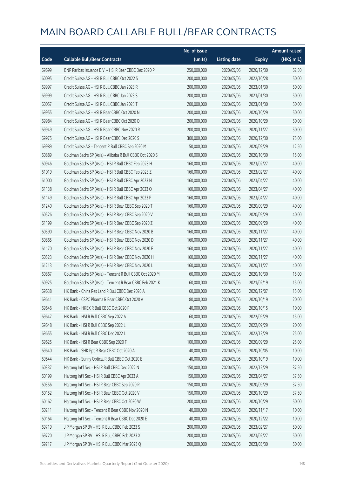|       |                                                          | No. of issue |                     |               | <b>Amount raised</b> |
|-------|----------------------------------------------------------|--------------|---------------------|---------------|----------------------|
| Code  | <b>Callable Bull/Bear Contracts</b>                      | (units)      | <b>Listing date</b> | <b>Expiry</b> | (HK\$ mil.)          |
| 69699 | BNP Paribas Issuance B.V. - HSI R Bear CBBC Dec 2020 P   | 250,000,000  | 2020/05/06          | 2020/12/30    | 62.50                |
| 60095 | Credit Suisse AG - HSI R Bull CBBC Oct 2022 S            | 200,000,000  | 2020/05/06          | 2022/10/28    | 50.00                |
| 69997 | Credit Suisse AG - HSI R Bull CBBC Jan 2023 R            | 200,000,000  | 2020/05/06          | 2023/01/30    | 50.00                |
| 69999 | Credit Suisse AG - HSI R Bull CBBC Jan 2023 S            | 200,000,000  | 2020/05/06          | 2023/01/30    | 50.00                |
| 60057 | Credit Suisse AG - HSI R Bull CBBC Jan 2023 T            | 200,000,000  | 2020/05/06          | 2023/01/30    | 50.00                |
| 69955 | Credit Suisse AG - HSI R Bear CBBC Oct 2020 N            | 200,000,000  | 2020/05/06          | 2020/10/29    | 50.00                |
| 69984 | Credit Suisse AG - HSI R Bear CBBC Oct 2020 O            | 200,000,000  | 2020/05/06          | 2020/10/29    | 50.00                |
| 69949 | Credit Suisse AG - HSI R Bear CBBC Nov 2020 R            | 200,000,000  | 2020/05/06          | 2020/11/27    | 50.00                |
| 69975 | Credit Suisse AG - HSI R Bear CBBC Dec 2020 S            | 300,000,000  | 2020/05/06          | 2020/12/30    | 75.00                |
| 69989 | Credit Suisse AG - Tencent R Bull CBBC Sep 2020 M        | 50,000,000   | 2020/05/06          | 2020/09/29    | 12.50                |
| 60889 | Goldman Sachs SP (Asia) - Alibaba R Bull CBBC Oct 2020 S | 60,000,000   | 2020/05/06          | 2020/10/30    | 15.00                |
| 60946 | Goldman Sachs SP (Asia) - HSI R Bull CBBC Feb 2023 H     | 160,000,000  | 2020/05/06          | 2023/02/27    | 40.00                |
| 61019 | Goldman Sachs SP (Asia) - HSI R Bull CBBC Feb 2023 Z     | 160,000,000  | 2020/05/06          | 2023/02/27    | 40.00                |
| 61000 | Goldman Sachs SP (Asia) - HSI R Bull CBBC Apr 2023 N     | 160,000,000  | 2020/05/06          | 2023/04/27    | 40.00                |
| 61138 | Goldman Sachs SP (Asia) - HSI R Bull CBBC Apr 2023 O     | 160,000,000  | 2020/05/06          | 2023/04/27    | 40.00                |
| 61149 | Goldman Sachs SP (Asia) - HSI R Bull CBBC Apr 2023 P     | 160,000,000  | 2020/05/06          | 2023/04/27    | 40.00                |
| 61240 | Goldman Sachs SP (Asia) - HSI R Bear CBBC Sep 2020 T     | 160,000,000  | 2020/05/06          | 2020/09/29    | 40.00                |
| 60526 | Goldman Sachs SP (Asia) - HSI R Bear CBBC Sep 2020 V     | 160,000,000  | 2020/05/06          | 2020/09/29    | 40.00                |
| 61199 | Goldman Sachs SP (Asia) - HSI R Bear CBBC Sep 2020 Z     | 160,000,000  | 2020/05/06          | 2020/09/29    | 40.00                |
| 60590 | Goldman Sachs SP (Asia) - HSI R Bear CBBC Nov 2020 B     | 160,000,000  | 2020/05/06          | 2020/11/27    | 40.00                |
| 60865 | Goldman Sachs SP (Asia) - HSI R Bear CBBC Nov 2020 D     | 160,000,000  | 2020/05/06          | 2020/11/27    | 40.00                |
| 61170 | Goldman Sachs SP (Asia) - HSI R Bear CBBC Nov 2020 E     | 160,000,000  | 2020/05/06          | 2020/11/27    | 40.00                |
| 60523 | Goldman Sachs SP (Asia) - HSI R Bear CBBC Nov 2020 H     | 160,000,000  | 2020/05/06          | 2020/11/27    | 40.00                |
| 61213 | Goldman Sachs SP (Asia) - HSI R Bear CBBC Nov 2020 L     | 160,000,000  | 2020/05/06          | 2020/11/27    | 40.00                |
| 60867 | Goldman Sachs SP (Asia) - Tencent R Bull CBBC Oct 2020 M | 60,000,000   | 2020/05/06          | 2020/10/30    | 15.00                |
| 60925 | Goldman Sachs SP (Asia) - Tencent R Bear CBBC Feb 2021 K | 60,000,000   | 2020/05/06          | 2021/02/19    | 15.00                |
| 69638 | HK Bank - China Res Land R Bull CBBC Dec 2020 A          | 60,000,000   | 2020/05/06          | 2020/12/07    | 15.00                |
| 69641 | HK Bank - CSPC Pharma R Bear CBBC Oct 2020 A             | 80,000,000   | 2020/05/06          | 2020/10/19    | 20.00                |
| 69646 | HK Bank - HKEX R Bull CBBC Oct 2020 F                    | 40,000,000   | 2020/05/06          | 2020/10/15    | 10.00                |
| 69647 | HK Bank - HSI R Bull CBBC Sep 2022 A                     | 60,000,000   | 2020/05/06          | 2022/09/29    | 15.00                |
| 69648 | HK Bank - HSI R Bull CBBC Sep 2022 L                     | 80,000,000   | 2020/05/06          | 2022/09/29    | 20.00                |
| 69655 | HK Bank - HSI R Bull CBBC Dec 2022 L                     | 100,000,000  | 2020/05/06          | 2022/12/29    | 25.00                |
| 69625 | HK Bank - HSI R Bear CBBC Sep 2020 F                     | 100,000,000  | 2020/05/06          | 2020/09/29    | 25.00                |
| 69640 | HK Bank - SHK Ppt R Bear CBBC Oct 2020 A                 | 40,000,000   | 2020/05/06          | 2020/10/05    | 10.00                |
| 69644 | HK Bank - Sunny Optical R Bull CBBC Oct 2020 B           | 40,000,000   | 2020/05/06          | 2020/10/19    | 10.00                |
| 60337 | Haitong Int'l Sec - HSI R Bull CBBC Dec 2022 N           | 150,000,000  | 2020/05/06          | 2022/12/29    | 37.50                |
| 60199 | Haitong Int'l Sec - HSI R Bull CBBC Apr 2023 A           | 150,000,000  | 2020/05/06          | 2023/04/27    | 37.50                |
| 60356 | Haitong Int'l Sec - HSI R Bear CBBC Sep 2020 R           | 150,000,000  | 2020/05/06          | 2020/09/29    | 37.50                |
| 60152 | Haitong Int'l Sec - HSI R Bear CBBC Oct 2020 V           | 150,000,000  | 2020/05/06          | 2020/10/29    | 37.50                |
| 60162 | Haitong Int'l Sec - HSI R Bear CBBC Oct 2020 W           | 200,000,000  | 2020/05/06          | 2020/10/29    | 50.00                |
| 60211 | Haitong Int'l Sec - Tencent R Bear CBBC Nov 2020 N       | 40,000,000   | 2020/05/06          | 2020/11/17    | 10.00                |
| 60164 | Haitong Int'l Sec - Tencent R Bear CBBC Dec 2020 E       | 40,000,000   | 2020/05/06          | 2020/12/22    | 10.00                |
| 69719 | J P Morgan SP BV - HSI R Bull CBBC Feb 2023 S            | 200,000,000  | 2020/05/06          | 2023/02/27    | 50.00                |
| 69720 | J P Morgan SP BV - HSI R Bull CBBC Feb 2023 X            | 200,000,000  | 2020/05/06          | 2023/02/27    | 50.00                |
| 69717 | J P Morgan SP BV - HSI R Bull CBBC Mar 2023 Q            | 200,000,000  | 2020/05/06          | 2023/03/30    | 50.00                |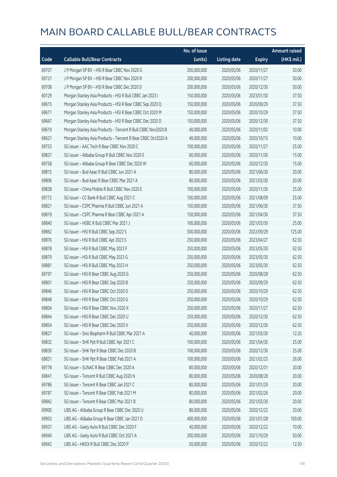|       |                                                              | No. of issue |                     |               | <b>Amount raised</b> |
|-------|--------------------------------------------------------------|--------------|---------------------|---------------|----------------------|
| Code  | <b>Callable Bull/Bear Contracts</b>                          | (units)      | <b>Listing date</b> | <b>Expiry</b> | (HK\$ mil.)          |
| 69707 | J P Morgan SP BV - HSI R Bear CBBC Nov 2020 G                | 200,000,000  | 2020/05/06          | 2020/11/27    | 50.00                |
| 69721 | J P Morgan SP BV - HSI R Bear CBBC Nov 2020 R                | 200,000,000  | 2020/05/06          | 2020/11/27    | 50.00                |
| 69708 | J P Morgan SP BV - HSI R Bear CBBC Dec 2020 D                | 200,000,000  | 2020/05/06          | 2020/12/30    | 50.00                |
| 60129 | Morgan Stanley Asia Products - HSI R Bull CBBC Jan 2023 I    | 150,000,000  | 2020/05/06          | 2023/01/30    | 37.50                |
| 69615 | Morgan Stanley Asia Products - HSI R Bear CBBC Sep 2020 Q    | 150,000,000  | 2020/05/06          | 2020/09/29    | 37.50                |
| 69671 | Morgan Stanley Asia Products - HSI R Bear CBBC Oct 2020 M    | 150,000,000  | 2020/05/06          | 2020/10/29    | 37.50                |
| 69667 | Morgan Stanley Asia Products - HSI R Bear CBBC Dec 2020 D    | 150,000,000  | 2020/05/06          | 2020/12/30    | 37.50                |
| 69619 | Morgan Stanley Asia Products - Tencent R Bull CBBC Nov2020 B | 40,000,000   | 2020/05/06          | 2020/11/02    | 10.00                |
| 69621 | Morgan Stanley Asia Products - Tencent R Bear CBBC Oct2020 A | 40,000,000   | 2020/05/06          | 2020/10/15    | 10.00                |
| 69753 | SG Issuer - AAC Tech R Bear CBBC Nov 2020 C                  | 100,000,000  | 2020/05/06          | 2020/11/27    | 25.00                |
| 69837 | SG Issuer - Alibaba Group R Bull CBBC Nov 2020 E             | 60,000,000   | 2020/05/06          | 2020/11/30    | 15.00                |
| 69758 | SG Issuer - Alibaba Group R Bear CBBC Dec 2020 W             | 60,000,000   | 2020/05/06          | 2020/12/30    | 15.00                |
| 69815 | SG Issuer - Bud Apac R Bull CBBC Jun 2021 A                  | 80,000,000   | 2020/05/06          | 2021/06/30    | 20.00                |
| 69806 | SG Issuer - Bud Apac R Bear CBBC Mar 2021 A                  | 80,000,000   | 2020/05/06          | 2021/03/30    | 20.00                |
| 69838 | SG Issuer - China Mobile R Bull CBBC Nov 2020 E              | 100,000,000  | 2020/05/06          | 2020/11/30    | 25.00                |
| 69772 | SG Issuer - CC Bank R Bull CBBC Aug 2021 C                   | 100,000,000  | 2020/05/06          | 2021/08/09    | 25.00                |
| 69821 | SG Issuer - CSPC Pharma R Bull CBBC Jun 2021 A               | 150,000,000  | 2020/05/06          | 2021/06/30    | 37.50                |
| 69819 | SG Issuer - CSPC Pharma R Bear CBBC Apr 2021 A               | 150,000,000  | 2020/05/06          | 2021/04/30    | 37.50                |
| 69840 | SG Issuer - HSBC R Bull CBBC Mar 2021 J                      | 100,000,000  | 2020/05/06          | 2021/03/30    | 25.00                |
| 69862 | SG Issuer - HSI R Bull CBBC Sep 2022 S                       | 500,000,000  | 2020/05/06          | 2022/09/29    | 125.00               |
| 69876 | SG Issuer - HSI R Bull CBBC Apr 2023 S                       | 250,000,000  | 2020/05/06          | 2023/04/27    | 62.50                |
| 69878 | SG Issuer - HSI R Bull CBBC May 2023 F                       | 250,000,000  | 2020/05/06          | 2023/05/30    | 62.50                |
| 69879 | SG Issuer - HSI R Bull CBBC May 2023 G                       | 250,000,000  | 2020/05/06          | 2023/05/30    | 62.50                |
| 69881 | SG Issuer - HSI R Bull CBBC May 2023 H                       | 250,000,000  | 2020/05/06          | 2023/05/30    | 62.50                |
| 69797 | SG Issuer - HSI R Bear CBBC Aug 2020 G                       | 250,000,000  | 2020/05/06          | 2020/08/28    | 62.50                |
| 69801 | SG Issuer - HSI R Bear CBBC Sep 2020 B                       | 250,000,000  | 2020/05/06          | 2020/09/29    | 62.50                |
| 69846 | SG Issuer - HSI R Bear CBBC Oct 2020 D                       | 250,000,000  | 2020/05/06          | 2020/10/29    | 62.50                |
| 69848 | SG Issuer – HSI R Bear CBBC Oct 2020 G                       | 250,000,000  | 2020/05/06          | 2020/10/29    | 62.50                |
| 69804 | SG Issuer - HSI R Bear CBBC Nov 2020 X                       | 250,000,000  | 2020/05/06          | 2020/11/27    | 62.50                |
| 69844 | SG Issuer - HSI R Bear CBBC Dec 2020 U                       | 250,000,000  | 2020/05/06          | 2020/12/30    | 62.50                |
| 69854 | SG Issuer - HSI R Bear CBBC Dec 2020 V                       | 250,000,000  | 2020/05/06          | 2020/12/30    | 62.50                |
| 69827 | SG Issuer - Sino Biopharm R Bull CBBC Mar 2021 A             | 40,000,000   | 2020/05/06          | 2021/03/30    | 12.20                |
| 69832 | SG Issuer - SHK Ppt R Bull CBBC Apr 2021 C                   | 100,000,000  | 2020/05/06          | 2021/04/30    | 25.00                |
| 69830 | SG Issuer - SHK Ppt R Bear CBBC Dec 2020 B                   | 100,000,000  | 2020/05/06          | 2020/12/30    | 25.00                |
| 69831 | SG Issuer - SHK Ppt R Bear CBBC Feb 2021 A                   | 100,000,000  | 2020/05/06          | 2021/02/25    | 26.00                |
| 69778 | SG Issuer - SUNAC R Bear CBBC Dec 2020 A                     | 80,000,000   | 2020/05/06          | 2020/12/31    | 20.00                |
| 69841 | SG Issuer - Tencent R Bull CBBC Aug 2020 N                   | 80,000,000   | 2020/05/06          | 2020/08/28    | 20.00                |
| 69786 | SG Issuer - Tencent R Bear CBBC Jan 2021 C                   | 80,000,000   | 2020/05/06          | 2021/01/29    | 20.00                |
| 69787 | SG Issuer - Tencent R Bear CBBC Feb 2021 M                   | 80,000,000   | 2020/05/06          | 2021/02/26    | 20.00                |
| 69842 | SG Issuer - Tencent R Bear CBBC Mar 2021 B                   | 80,000,000   | 2020/05/06          | 2021/03/30    | 20.00                |
| 69900 | UBS AG - Alibaba Group R Bear CBBC Dec 2020 U                | 80,000,000   | 2020/05/06          | 2020/12/22    | 20.00                |
| 69903 | UBS AG - Alibaba Group R Bear CBBC Jan 2021 D                | 400,000,000  | 2020/05/06          | 2021/01/28    | 100.00               |
| 69937 | UBS AG - Geely Auto R Bull CBBC Dec 2020 F                   | 40,000,000   | 2020/05/06          | 2020/12/22    | 10.00                |
| 69940 | UBS AG - Geely Auto R Bull CBBC Oct 2021 A                   | 200,000,000  | 2020/05/06          | 2021/10/29    | 50.00                |
| 69942 | UBS AG - HKEX R Bull CBBC Dec 2020 P                         | 50,000,000   | 2020/05/06          | 2020/12/22    | 12.50                |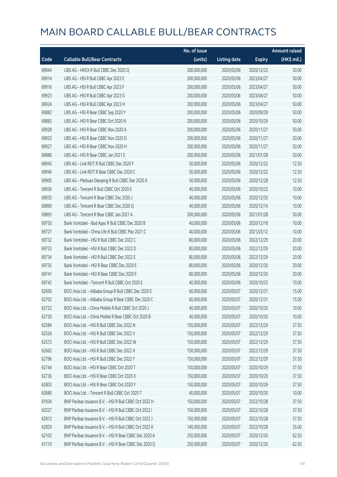|       |                                                        | No. of issue |                     |               | <b>Amount raised</b> |
|-------|--------------------------------------------------------|--------------|---------------------|---------------|----------------------|
| Code  | <b>Callable Bull/Bear Contracts</b>                    | (units)      | <b>Listing date</b> | <b>Expiry</b> | (HK\$ mil.)          |
| 69944 | UBS AG - HKEX R Bull CBBC Dec 2020 Q                   | 200,000,000  | 2020/05/06          | 2020/12/23    | 50.00                |
| 69914 | UBS AG - HSI R Bull CBBC Apr 2023 E                    | 200,000,000  | 2020/05/06          | 2023/04/27    | 50.00                |
| 69916 | UBS AG - HSI R Bull CBBC Apr 2023 F                    | 200,000,000  | 2020/05/06          | 2023/04/27    | 50.00                |
| 69923 | UBS AG - HSI R Bull CBBC Apr 2023 G                    | 200,000,000  | 2020/05/06          | 2023/04/27    | 50.00                |
| 69924 | UBS AG - HSI R Bull CBBC Apr 2023 H                    | 200,000,000  | 2020/05/06          | 2023/04/27    | 50.00                |
| 69882 | UBS AG - HSI R Bear CBBC Sep 2020 Y                    | 200,000,000  | 2020/05/06          | 2020/09/29    | 50.00                |
| 69883 | UBS AG - HSI R Bear CBBC Oct 2020 N                    | 200,000,000  | 2020/05/06          | 2020/10/29    | 50.00                |
| 69928 | UBS AG - HSI R Bear CBBC Nov 2020 A                    | 200,000,000  | 2020/05/06          | 2020/11/27    | 50.00                |
| 69933 | UBS AG - HSI R Bear CBBC Nov 2020 D                    | 200,000,000  | 2020/05/06          | 2020/11/27    | 50.00                |
| 69927 | UBS AG - HSI R Bear CBBC Nov 2020 H                    | 200,000,000  | 2020/05/06          | 2020/11/27    | 50.00                |
| 69886 | UBS AG - HSI R Bear CBBC Jan 2021 E                    | 200,000,000  | 2020/05/06          | 2021/01/28    | 50.00                |
| 69945 | UBS AG - Link REIT R Bull CBBC Dec 2020 F              | 50,000,000   | 2020/05/06          | 2020/12/22    | 12.50                |
| 69946 | UBS AG - Link REIT R Bear CBBC Dec 2020 C              | 50,000,000   | 2020/05/06          | 2020/12/22    | 12.50                |
| 69905 | UBS AG - Meituan Dianping R Bull CBBC Dec 2020 X       | 50,000,000   | 2020/05/06          | 2020/12/28    | 12.50                |
| 69936 | UBS AG - Tencent R Bull CBBC Oct 2020 E                | 40,000,000   | 2020/05/06          | 2020/10/23    | 10.00                |
| 69935 | UBS AG - Tencent R Bear CBBC Dec 2020 J                | 40,000,000   | 2020/05/06          | 2020/12/30    | 10.00                |
| 69890 | UBS AG - Tencent R Bear CBBC Dec 2020 Q                | 40,000,000   | 2020/05/06          | 2020/12/14    | 10.00                |
| 69893 | UBS AG - Tencent R Bear CBBC Jan 2021 A                | 200,000,000  | 2020/05/06          | 2021/01/28    | 50.00                |
| 69750 | Bank Vontobel - Bud Apac R Bull CBBC Dec 2020 B        | 40,000,000   | 2020/05/06          | 2020/12/18    | 10.00                |
| 69727 | Bank Vontobel - China Life R Bull CBBC Mar 2021 C      | 40,000,000   | 2020/05/06          | 2021/03/12    | 10.00                |
| 69732 | Bank Vontobel - HSI R Bull CBBC Dec 2022 C             | 80,000,000   | 2020/05/06          | 2022/12/29    | 20.00                |
| 69733 | Bank Vontobel - HSI R Bull CBBC Dec 2022 D             | 80,000,000   | 2020/05/06          | 2022/12/29    | 20.00                |
| 69734 | Bank Vontobel - HSI R Bull CBBC Dec 2022 E             | 80,000,000   | 2020/05/06          | 2022/12/29    | 20.00                |
| 69735 | Bank Vontobel - HSI R Bear CBBC Dec 2020 E             | 80,000,000   | 2020/05/06          | 2020/12/30    | 20.00                |
| 69741 | Bank Vontobel - HSI R Bear CBBC Dec 2020 F             | 80,000,000   | 2020/05/06          | 2020/12/30    | 20.00                |
| 69742 | Bank Vontobel - Tencent R Bull CBBC Oct 2020 E         | 40,000,000   | 2020/05/06          | 2020/10/23    | 10.00                |
| 62690 | BOCI Asia Ltd. - Alibaba Group R Bull CBBC Dec 2020 E  | 60,000,000   | 2020/05/07          | 2020/12/31    | 15.00                |
| 62702 | BOCI Asia Ltd. - Alibaba Group R Bear CBBC Dec 2020 C  | 60,000,000   | 2020/05/07          | 2020/12/31    | 15.00                |
| 62722 | BOCI Asia Ltd. - China Mobile R Bull CBBC Oct 2020 J   | 40,000,000   | 2020/05/07          | 2020/10/30    | 10.00                |
| 62730 | BOCI Asia Ltd. - China Mobile R Bear CBBC Oct 2020 B   | 40,000,000   | 2020/05/07          | 2020/10/30    | 10.00                |
| 62584 | BOCI Asia Ltd. - HSI R Bull CBBC Dec 2022 N            | 150,000,000  | 2020/05/07          | 2022/12/29    | 37.50                |
| 62526 | BOCI Asia Ltd. - HSI R Bull CBBC Dec 2022 V            | 150,000,000  | 2020/05/07          | 2022/12/29    | 37.50                |
| 62572 | BOCI Asia Ltd. - HSI R Bull CBBC Dec 2022 W            | 150,000,000  | 2020/05/07          | 2022/12/29    | 37.50                |
| 62662 | BOCI Asia Ltd. - HSI R Bull CBBC Dec 2022 X            | 150,000,000  | 2020/05/07          | 2022/12/29    | 37.50                |
| 62796 | BOCI Asia Ltd. - HSI R Bull CBBC Dec 2022 Y            | 150,000,000  | 2020/05/07          | 2022/12/29    | 37.50                |
| 62744 | BOCI Asia Ltd. - HSI R Bear CBBC Oct 2020 T            | 150,000,000  | 2020/05/07          | 2020/10/29    | 37.50                |
| 62736 | BOCI Asia Ltd. - HSI R Bear CBBC Oct 2020 X            | 150,000,000  | 2020/05/07          | 2020/10/29    | 37.50                |
| 62803 | BOCI Asia Ltd. - HSI R Bear CBBC Oct 2020 Y            | 150,000,000  | 2020/05/07          | 2020/10/29    | 37.50                |
| 62680 | BOCI Asia Ltd. - Tencent R Bull CBBC Oct 2020 T        | 40,000,000   | 2020/05/07          | 2020/10/30    | 10.00                |
| 61934 | BNP Paribas Issuance B.V. - HSI R Bull CBBC Oct 2022 H | 150,000,000  | 2020/05/07          | 2022/10/28    | 37.50                |
| 62027 | BNP Paribas Issuance B.V. - HSI R Bull CBBC Oct 2022 I | 150,000,000  | 2020/05/07          | 2022/10/28    | 37.50                |
| 62812 | BNP Paribas Issuance B.V. - HSI R Bull CBBC Oct 2022 J | 150,000,000  | 2020/05/07          | 2022/10/28    | 37.50                |
| 62829 | BNP Paribas Issuance B.V. - HSI R Bull CBBC Oct 2022 K | 140,000,000  | 2020/05/07          | 2022/10/28    | 35.00                |
| 62102 | BNP Paribas Issuance B.V. - HSI R Bear CBBC Dec 2020 A | 250,000,000  | 2020/05/07          | 2020/12/30    | 62.50                |
| 61710 | BNP Paribas Issuance B.V. - HSI R Bear CBBC Dec 2020 Q | 250,000,000  | 2020/05/07          | 2020/12/30    | 62.50                |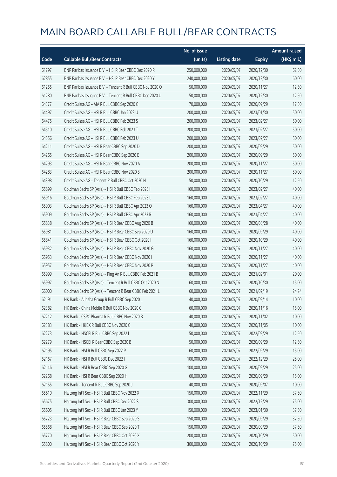|       |                                                            | No. of issue |                     |               | <b>Amount raised</b>  |
|-------|------------------------------------------------------------|--------------|---------------------|---------------|-----------------------|
| Code  | <b>Callable Bull/Bear Contracts</b>                        | (units)      | <b>Listing date</b> | <b>Expiry</b> | $(HK\frac{1}{2}mil.)$ |
| 61797 | BNP Paribas Issuance B.V. - HSI R Bear CBBC Dec 2020 R     | 250,000,000  | 2020/05/07          | 2020/12/30    | 62.50                 |
| 62855 | BNP Paribas Issuance B.V. - HSI R Bear CBBC Dec 2020 Y     | 240,000,000  | 2020/05/07          | 2020/12/30    | 60.00                 |
| 61255 | BNP Paribas Issuance B.V. - Tencent R Bull CBBC Nov 2020 O | 50,000,000   | 2020/05/07          | 2020/11/27    | 12.50                 |
| 61280 | BNP Paribas Issuance B.V. - Tencent R Bull CBBC Dec 2020 U | 50,000,000   | 2020/05/07          | 2020/12/30    | 12.50                 |
| 64377 | Credit Suisse AG - AIA R Bull CBBC Sep 2020 G              | 70,000,000   | 2020/05/07          | 2020/09/29    | 17.50                 |
| 64497 | Credit Suisse AG - HSI R Bull CBBC Jan 2023 U              | 200,000,000  | 2020/05/07          | 2023/01/30    | 50.00                 |
| 64475 | Credit Suisse AG - HSI R Bull CBBC Feb 2023 S              | 200,000,000  | 2020/05/07          | 2023/02/27    | 50.00                 |
| 64510 | Credit Suisse AG - HSI R Bull CBBC Feb 2023 T              | 200,000,000  | 2020/05/07          | 2023/02/27    | 50.00                 |
| 64556 | Credit Suisse AG - HSI R Bull CBBC Feb 2023 U              | 200,000,000  | 2020/05/07          | 2023/02/27    | 50.00                 |
| 64211 | Credit Suisse AG - HSI R Bear CBBC Sep 2020 D              | 200,000,000  | 2020/05/07          | 2020/09/29    | 50.00                 |
| 64265 | Credit Suisse AG - HSI R Bear CBBC Sep 2020 E              | 200,000,000  | 2020/05/07          | 2020/09/29    | 50.00                 |
| 64293 | Credit Suisse AG - HSI R Bear CBBC Nov 2020 A              | 200,000,000  | 2020/05/07          | 2020/11/27    | 50.00                 |
| 64283 | Credit Suisse AG - HSI R Bear CBBC Nov 2020 S              | 200,000,000  | 2020/05/07          | 2020/11/27    | 50.00                 |
| 64398 | Credit Suisse AG - Tencent R Bull CBBC Oct 2020 H          | 50,000,000   | 2020/05/07          | 2020/10/29    | 12.50                 |
| 65899 | Goldman Sachs SP (Asia) - HSI R Bull CBBC Feb 2023 I       | 160,000,000  | 2020/05/07          | 2023/02/27    | 40.00                 |
| 65916 | Goldman Sachs SP (Asia) - HSI R Bull CBBC Feb 2023 L       | 160,000,000  | 2020/05/07          | 2023/02/27    | 40.00                 |
| 65903 | Goldman Sachs SP (Asia) - HSI R Bull CBBC Apr 2023 Q       | 160,000,000  | 2020/05/07          | 2023/04/27    | 40.00                 |
| 65909 | Goldman Sachs SP (Asia) - HSI R Bull CBBC Apr 2023 R       | 160,000,000  | 2020/05/07          | 2023/04/27    | 40.00                 |
| 65838 | Goldman Sachs SP (Asia) - HSI R Bear CBBC Aug 2020 B       | 160,000,000  | 2020/05/07          | 2020/08/28    | 40.00                 |
| 65981 | Goldman Sachs SP (Asia) - HSI R Bear CBBC Sep 2020 U       | 160,000,000  | 2020/05/07          | 2020/09/29    | 40.00                 |
| 65841 | Goldman Sachs SP (Asia) - HSI R Bear CBBC Oct 2020 I       | 160,000,000  | 2020/05/07          | 2020/10/29    | 40.00                 |
| 65932 | Goldman Sachs SP (Asia) - HSI R Bear CBBC Nov 2020 G       | 160,000,000  | 2020/05/07          | 2020/11/27    | 40.00                 |
| 65953 | Goldman Sachs SP (Asia) - HSI R Bear CBBC Nov 2020 I       | 160,000,000  | 2020/05/07          | 2020/11/27    | 40.00                 |
| 65957 | Goldman Sachs SP (Asia) - HSI R Bear CBBC Nov 2020 P       | 160,000,000  | 2020/05/07          | 2020/11/27    | 40.00                 |
| 65999 | Goldman Sachs SP (Asia) - Ping An R Bull CBBC Feb 2021 B   | 80,000,000   | 2020/05/07          | 2021/02/01    | 20.00                 |
| 65997 | Goldman Sachs SP (Asia) - Tencent R Bull CBBC Oct 2020 N   | 60,000,000   | 2020/05/07          | 2020/10/30    | 15.00                 |
| 66000 | Goldman Sachs SP (Asia) - Tencent R Bear CBBC Feb 2021 L   | 60,000,000   | 2020/05/07          | 2021/02/19    | 24.24                 |
| 62191 | HK Bank - Alibaba Group R Bull CBBC Sep 2020 L             | 40,000,000   | 2020/05/07          | 2020/09/14    | 10.00                 |
| 62382 | HK Bank - China Mobile R Bull CBBC Nov 2020 C              | 60,000,000   | 2020/05/07          | 2020/11/16    | 15.00                 |
| 62212 | HK Bank - CSPC Pharma R Bull CBBC Nov 2020 B               | 40,000,000   | 2020/05/07          | 2020/11/02    | 10.00                 |
| 62383 | HK Bank - HKEX R Bull CBBC Nov 2020 C                      | 40,000,000   | 2020/05/07          | 2020/11/05    | 10.00                 |
| 62273 | HK Bank - HSCEI R Bull CBBC Sep 2022 I                     | 50,000,000   | 2020/05/07          | 2022/09/29    | 12.50                 |
| 62279 | HK Bank - HSCEI R Bear CBBC Sep 2020 B                     | 50,000,000   | 2020/05/07          | 2020/09/29    | 12.50                 |
| 62195 | HK Bank - HSI R Bull CBBC Sep 2022 P                       | 60,000,000   | 2020/05/07          | 2022/09/29    | 15.00                 |
| 62167 | HK Bank - HSI R Bull CBBC Dec 2022 I                       | 100,000,000  | 2020/05/07          | 2022/12/29    | 25.00                 |
| 62146 | HK Bank - HSI R Bear CBBC Sep 2020 G                       | 100,000,000  | 2020/05/07          | 2020/09/29    | 25.00                 |
| 62268 | HK Bank - HSI R Bear CBBC Sep 2020 H                       | 60,000,000   | 2020/05/07          | 2020/09/29    | 15.00                 |
| 62155 | HK Bank - Tencent R Bull CBBC Sep 2020 J                   | 40,000,000   | 2020/05/07          | 2020/09/07    | 10.00                 |
| 65610 | Haitong Int'l Sec - HSI R Bull CBBC Nov 2022 X             | 150,000,000  | 2020/05/07          | 2022/11/29    | 37.50                 |
| 65675 | Haitong Int'l Sec - HSI R Bull CBBC Dec 2022 S             | 300,000,000  | 2020/05/07          | 2022/12/29    | 75.00                 |
| 65605 | Haitong Int'l Sec - HSI R Bull CBBC Jan 2023 Y             | 150,000,000  | 2020/05/07          | 2023/01/30    | 37.50                 |
| 65723 | Haitong Int'l Sec - HSI R Bear CBBC Sep 2020 S             | 150,000,000  | 2020/05/07          | 2020/09/29    | 37.50                 |
| 65568 | Haitong Int'l Sec - HSI R Bear CBBC Sep 2020 T             | 150,000,000  | 2020/05/07          | 2020/09/29    | 37.50                 |
| 65770 | Haitong Int'l Sec - HSI R Bear CBBC Oct 2020 X             | 200,000,000  | 2020/05/07          | 2020/10/29    | 50.00                 |
| 65800 | Haitong Int'l Sec - HSI R Bear CBBC Oct 2020 Y             | 300,000,000  | 2020/05/07          | 2020/10/29    | 75.00                 |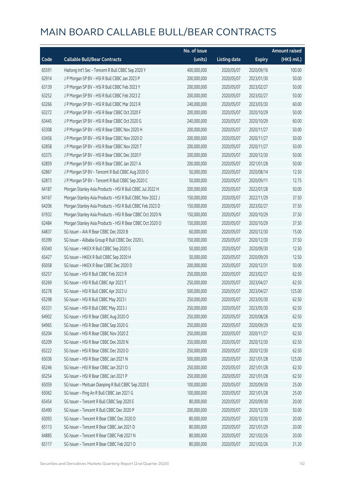|       |                                                           | No. of issue |                     |               | <b>Amount raised</b> |
|-------|-----------------------------------------------------------|--------------|---------------------|---------------|----------------------|
| Code  | <b>Callable Bull/Bear Contracts</b>                       | (units)      | <b>Listing date</b> | <b>Expiry</b> | (HK\$ mil.)          |
| 65591 | Haitong Int'l Sec - Tencent R Bull CBBC Sep 2020 Y        | 400,000,000  | 2020/05/07          | 2020/09/16    | 100.00               |
| 62914 | J P Morgan SP BV - HSI R Bull CBBC Jan 2023 P             | 200,000,000  | 2020/05/07          | 2023/01/30    | 50.00                |
| 63139 | J P Morgan SP BV - HSI R Bull CBBC Feb 2023 Y             | 200,000,000  | 2020/05/07          | 2023/02/27    | 50.00                |
| 63252 | J P Morgan SP BV - HSI R Bull CBBC Feb 2023 Z             | 200,000,000  | 2020/05/07          | 2023/02/27    | 50.00                |
| 63266 | J P Morgan SP BV - HSI R Bull CBBC Mar 2023 R             | 240,000,000  | 2020/05/07          | 2023/03/30    | 60.00                |
| 63272 | J P Morgan SP BV - HSI R Bear CBBC Oct 2020 F             | 200,000,000  | 2020/05/07          | 2020/10/29    | 50.00                |
| 63445 | J P Morgan SP BV - HSI R Bear CBBC Oct 2020 G             | 240,000,000  | 2020/05/07          | 2020/10/29    | 60.00                |
| 63308 | J P Morgan SP BV - HSI R Bear CBBC Nov 2020 H             | 200,000,000  | 2020/05/07          | 2020/11/27    | 50.00                |
| 63456 | J P Morgan SP BV - HSI R Bear CBBC Nov 2020 O             | 200,000,000  | 2020/05/07          | 2020/11/27    | 50.00                |
| 62858 | J P Morgan SP BV - HSI R Bear CBBC Nov 2020 T             | 200,000,000  | 2020/05/07          | 2020/11/27    | 50.00                |
| 63375 | J P Morgan SP BV - HSI R Bear CBBC Dec 2020 F             | 200,000,000  | 2020/05/07          | 2020/12/30    | 50.00                |
| 62859 | J P Morgan SP BV - HSI R Bear CBBC Jan 2021 A             | 200,000,000  | 2020/05/07          | 2021/01/28    | 50.00                |
| 62867 | J P Morgan SP BV - Tencent R Bull CBBC Aug 2020 O         | 50,000,000   | 2020/05/07          | 2020/08/14    | 12.50                |
| 62873 | J P Morgan SP BV - Tencent R Bull CBBC Sep 2020 C         | 50,000,000   | 2020/05/07          | 2020/09/11    | 12.75                |
| 64187 | Morgan Stanley Asia Products - HSI R Bull CBBC Jul 2022 H | 200,000,000  | 2020/05/07          | 2022/07/28    | 50.00                |
| 64167 | Morgan Stanley Asia Products - HSI R Bull CBBC Nov 2022 J | 150,000,000  | 2020/05/07          | 2022/11/29    | 37.50                |
| 64206 | Morgan Stanley Asia Products - HSI R Bull CBBC Feb 2023 D | 150,000,000  | 2020/05/07          | 2023/02/27    | 37.50                |
| 61932 | Morgan Stanley Asia Products - HSI R Bear CBBC Oct 2020 N | 150,000,000  | 2020/05/07          | 2020/10/29    | 37.50                |
| 62484 | Morgan Stanley Asia Products - HSI R Bear CBBC Oct 2020 O | 150,000,000  | 2020/05/07          | 2020/10/29    | 37.50                |
| 64837 | SG Issuer - AIA R Bear CBBC Dec 2020 B                    | 60,000,000   | 2020/05/07          | 2020/12/30    | 15.00                |
| 65399 | SG Issuer - Alibaba Group R Bull CBBC Dec 2020 L          | 150,000,000  | 2020/05/07          | 2020/12/30    | 37.50                |
| 65040 | SG Issuer - HKEX R Bull CBBC Sep 2020 G                   | 50,000,000   | 2020/05/07          | 2020/09/30    | 12.50                |
| 65427 | SG Issuer - HKEX R Bull CBBC Sep 2020 H                   | 50,000,000   | 2020/05/07          | 2020/09/29    | 12.50                |
| 65058 | SG Issuer - HKEX R Bear CBBC Dec 2020 D                   | 200,000,000  | 2020/05/07          | 2020/12/31    | 50.00                |
| 65257 | SG Issuer - HSI R Bull CBBC Feb 2023 R                    | 250,000,000  | 2020/05/07          | 2023/02/27    | 62.50                |
| 65269 | SG Issuer - HSI R Bull CBBC Apr 2023 T                    | 250,000,000  | 2020/05/07          | 2023/04/27    | 62.50                |
| 65278 | SG Issuer - HSI R Bull CBBC Apr 2023 U                    | 500,000,000  | 2020/05/07          | 2023/04/27    | 125.00               |
| 65298 | SG Issuer - HSI R Bull CBBC May 2023 I                    | 250,000,000  | 2020/05/07          | 2023/05/30    | 62.50                |
| 65331 | SG Issuer - HSI R Bull CBBC May 2023 J                    | 250,000,000  | 2020/05/07          | 2023/05/30    | 62.50                |
| 64902 | SG Issuer - HSI R Bear CBBC Aug 2020 O                    | 250,000,000  | 2020/05/07          | 2020/08/28    | 62.50                |
| 64965 | SG Issuer - HSI R Bear CBBC Sep 2020 G                    | 250,000,000  | 2020/05/07          | 2020/09/29    | 62.50                |
| 65204 | SG Issuer - HSI R Bear CBBC Nov 2020 Z                    | 250,000,000  | 2020/05/07          | 2020/11/27    | 62.50                |
| 65209 | SG Issuer - HSI R Bear CBBC Dec 2020 N                    | 250,000,000  | 2020/05/07          | 2020/12/30    | 62.50                |
| 65222 | SG Issuer - HSI R Bear CBBC Dec 2020 O                    | 250,000,000  | 2020/05/07          | 2020/12/30    | 62.50                |
| 65036 | SG Issuer - HSI R Bear CBBC Jan 2021 N                    | 500,000,000  | 2020/05/07          | 2021/01/28    | 125.00               |
| 65246 | SG Issuer - HSI R Bear CBBC Jan 2021 O                    | 250,000,000  | 2020/05/07          | 2021/01/28    | 62.50                |
| 65254 | SG Issuer - HSI R Bear CBBC Jan 2021 P                    | 250,000,000  | 2020/05/07          | 2021/01/28    | 62.50                |
| 65059 | SG Issuer - Meituan Dianping R Bull CBBC Sep 2020 E       | 100,000,000  | 2020/05/07          | 2020/09/30    | 25.00                |
| 65062 | SG Issuer - Ping An R Bull CBBC Jan 2021 G                | 100,000,000  | 2020/05/07          | 2021/01/28    | 25.00                |
| 65454 | SG Issuer - Tencent R Bull CBBC Sep 2020 E                | 80,000,000   | 2020/05/07          | 2020/09/30    | 20.00                |
| 65490 | SG Issuer - Tencent R Bull CBBC Dec 2020 P                | 200,000,000  | 2020/05/07          | 2020/12/30    | 50.00                |
| 65093 | SG Issuer - Tencent R Bear CBBC Dec 2020 D                | 80,000,000   | 2020/05/07          | 2020/12/30    | 20.00                |
| 65113 | SG Issuer - Tencent R Bear CBBC Jan 2021 D                | 80,000,000   | 2020/05/07          | 2021/01/29    | 20.00                |
| 64885 | SG Issuer - Tencent R Bear CBBC Feb 2021 N                | 80,000,000   | 2020/05/07          | 2021/02/26    | 20.00                |
| 65117 | SG Issuer - Tencent R Bear CBBC Feb 2021 O                | 80,000,000   | 2020/05/07          | 2021/02/26    | 31.20                |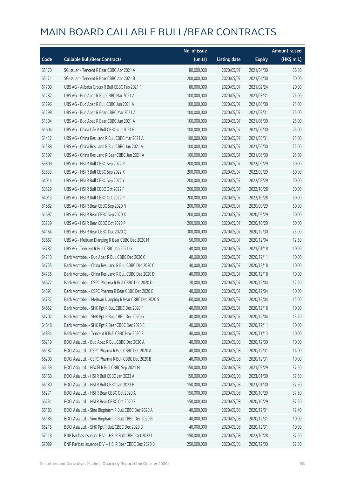|       |                                                         | No. of issue |                     |               | <b>Amount raised</b> |
|-------|---------------------------------------------------------|--------------|---------------------|---------------|----------------------|
| Code  | <b>Callable Bull/Bear Contracts</b>                     | (units)      | <b>Listing date</b> | <b>Expiry</b> | (HK\$ mil.)          |
| 65170 | SG Issuer - Tencent R Bear CBBC Apr 2021 A              | 80,000,000   | 2020/05/07          | 2021/04/30    | 56.80                |
| 65171 | SG Issuer - Tencent R Bear CBBC Apr 2021 B              | 200,000,000  | 2020/05/07          | 2021/04/30    | 50.00                |
| 61709 | UBS AG - Alibaba Group R Bull CBBC Feb 2021 F           | 80,000,000   | 2020/05/07          | 2021/02/24    | 20.00                |
| 61282 | UBS AG - Bud Apac R Bull CBBC Mar 2021 A                | 100,000,000  | 2020/05/07          | 2021/03/31    | 25.00                |
| 61296 | UBS AG - Bud Apac R Bull CBBC Jun 2021 A                | 100,000,000  | 2020/05/07          | 2021/06/30    | 25.00                |
| 61298 | UBS AG - Bud Apac R Bear CBBC Mar 2021 A                | 100,000,000  | 2020/05/07          | 2021/03/31    | 25.00                |
| 61304 | UBS AG - Bud Apac R Bear CBBC Jun 2021 A                | 100,000,000  | 2020/05/07          | 2021/06/30    | 25.00                |
| 61604 | UBS AG - China Life R Bull CBBC Jun 2021 B              | 100,000,000  | 2020/05/07          | 2021/06/30    | 25.00                |
| 61432 | UBS AG - China Res Land R Bull CBBC Mar 2021 A          | 100,000,000  | 2020/05/07          | 2021/03/31    | 25.00                |
| 61588 | UBS AG - China Res Land R Bull CBBC Jun 2021 A          | 100,000,000  | 2020/05/07          | 2021/06/30    | 25.00                |
| 61597 | UBS AG - China Res Land R Bear CBBC Jun 2021 A          | 100,000,000  | 2020/05/07          | 2021/06/30    | 25.00                |
| 63809 | UBS AG - HSI R Bull CBBC Sep 2022 R                     | 200,000,000  | 2020/05/07          | 2022/09/29    | 50.00                |
| 63833 | UBS AG - HSI R Bull CBBC Sep 2022 X                     | 200,000,000  | 2020/05/07          | 2022/09/29    | 50.00                |
| 64014 | UBS AG - HSI R Bull CBBC Sep 2022 Y                     | 200,000,000  | 2020/05/07          | 2022/09/29    | 50.00                |
| 63829 | UBS AG - HSI R Bull CBBC Oct 2022 F                     | 200,000,000  | 2020/05/07          | 2022/10/28    | 50.00                |
| 64013 | UBS AG - HSI R Bull CBBC Oct 2022 P                     | 200,000,000  | 2020/05/07          | 2022/10/28    | 50.00                |
| 61682 | UBS AG - HSI R Bear CBBC Sep 2020 N                     | 200,000,000  | 2020/05/07          | 2020/09/29    | 50.00                |
| 61692 | UBS AG - HSI R Bear CBBC Sep 2020 X                     | 200,000,000  | 2020/05/07          | 2020/09/29    | 50.00                |
| 63739 | UBS AG - HSI R Bear CBBC Oct 2020 P                     | 200,000,000  | 2020/05/07          | 2020/10/29    | 50.00                |
| 64164 | UBS AG - HSI R Bear CBBC Dec 2020 Q                     | 300,000,000  | 2020/05/07          | 2020/12/30    | 75.00                |
| 63667 | UBS AG - Meituan Dianping R Bear CBBC Dec 2020 M        | 50,000,000   | 2020/05/07          | 2020/12/04    | 12.50                |
| 63782 | UBS AG - Tencent R Bull CBBC Jan 2021 G                 | 40,000,000   | 2020/05/07          | 2021/01/18    | 10.00                |
| 64713 | Bank Vontobel - Bud Apac R Bull CBBC Dec 2020 C         | 40,000,000   | 2020/05/07          | 2020/12/11    | 10.00                |
| 64735 | Bank Vontobel - China Res Land R Bull CBBC Dec 2020 C   | 40,000,000   | 2020/05/07          | 2020/12/18    | 10.00                |
| 64736 | Bank Vontobel - China Res Land R Bull CBBC Dec 2020 D   | 40,000,000   | 2020/05/07          | 2020/12/18    | 10.00                |
| 64627 | Bank Vontobel - CSPC Pharma R Bull CBBC Dec 2020 D      | 20,000,000   | 2020/05/07          | 2020/12/04    | 12.20                |
| 64591 | Bank Vontobel - CSPC Pharma R Bear CBBC Dec 2020 C      | 40,000,000   | 2020/05/07          | 2020/12/04    | 10.00                |
| 64737 | Bank Vontobel - Meituan Dianping R Bear CBBC Dec 2020 S | 60,000,000   | 2020/05/07          | 2020/12/04    | 15.00                |
| 64652 | Bank Vontobel - SHK Ppt R Bull CBBC Dec 2020 F          | 40,000,000   | 2020/05/07          | 2020/12/18    | 10.00                |
| 64702 | Bank Vontobel - SHK Ppt R Bull CBBC Dec 2020 G          | 40,000,000   | 2020/05/07          | 2020/12/04    | 13.20                |
| 64648 | Bank Vontobel - SHK Ppt R Bear CBBC Dec 2020 E          | 40,000,000   | 2020/05/07          | 2020/12/11    | 10.00                |
| 64834 | Bank Vontobel - Tencent R Bull CBBC Nov 2020 R          | 40,000,000   | 2020/05/07          | 2020/11/13    | 10.00                |
| 66219 | BOCI Asia Ltd. - Bud Apac R Bull CBBC Dec 2020 A        | 40,000,000   | 2020/05/08          | 2020/12/30    | 10.00                |
| 66187 | BOCI Asia Ltd. - CSPC Pharma R Bull CBBC Dec 2020 A     | 40,000,000   | 2020/05/08          | 2020/12/31    | 14.00                |
| 66200 | BOCI Asia Ltd. - CSPC Pharma R Bull CBBC Dec 2020 B     | 40,000,000   | 2020/05/08          | 2020/12/31    | 10.00                |
| 66159 | BOCI Asia Ltd. - HSCEI R Bull CBBC Sep 2021 M           | 150,000,000  | 2020/05/08          | 2021/09/29    | 37.50                |
| 66160 | BOCI Asia Ltd. - HSI R Bull CBBC Jan 2023 A             | 150,000,000  | 2020/05/08          | 2023/01/30    | 37.50                |
| 66180 | BOCI Asia Ltd. - HSI R Bull CBBC Jan 2023 B             | 150,000,000  | 2020/05/08          | 2023/01/30    | 37.50                |
| 66271 | BOCI Asia Ltd. - HSI R Bear CBBC Oct 2020 A             | 150,000,000  | 2020/05/08          | 2020/10/29    | 37.50                |
| 66231 | BOCI Asia Ltd. - HSI R Bear CBBC Oct 2020 Z             | 150,000,000  | 2020/05/08          | 2020/10/29    | 37.50                |
| 66183 | BOCI Asia Ltd. - Sino Biopharm R Bull CBBC Dec 2020 A   | 40,000,000   | 2020/05/08          | 2020/12/31    | 12.40                |
| 66185 | BOCI Asia Ltd. - Sino Biopharm R Bull CBBC Dec 2020 B   | 40,000,000   | 2020/05/08          | 2020/12/31    | 10.00                |
| 66215 | BOCI Asia Ltd. - SHK Ppt R Bull CBBC Dec 2020 B         | 40,000,000   | 2020/05/08          | 2020/12/31    | 10.00                |
| 67118 | BNP Paribas Issuance B.V. - HSI R Bull CBBC Oct 2022 L  | 150,000,000  | 2020/05/08          | 2022/10/28    | 37.50                |
| 67089 | BNP Paribas Issuance B.V. - HSI R Bear CBBC Dec 2020 B  | 250,000,000  | 2020/05/08          | 2020/12/30    | 62.50                |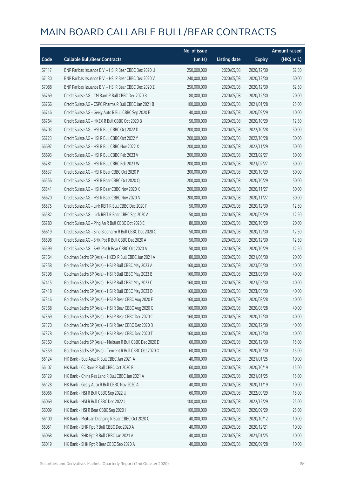|       |                                                          | No. of issue |                     |               | <b>Amount raised</b> |
|-------|----------------------------------------------------------|--------------|---------------------|---------------|----------------------|
| Code  | <b>Callable Bull/Bear Contracts</b>                      | (units)      | <b>Listing date</b> | <b>Expiry</b> | (HK\$ mil.)          |
| 67117 | BNP Paribas Issuance B.V. - HSI R Bear CBBC Dec 2020 U   | 250,000,000  | 2020/05/08          | 2020/12/30    | 62.50                |
| 67130 | BNP Paribas Issuance B.V. - HSI R Bear CBBC Dec 2020 V   | 240,000,000  | 2020/05/08          | 2020/12/30    | 60.00                |
| 67088 | BNP Paribas Issuance B.V. - HSI R Bear CBBC Dec 2020 Z   | 250,000,000  | 2020/05/08          | 2020/12/30    | 62.50                |
| 66769 | Credit Suisse AG - CM Bank R Bull CBBC Dec 2020 B        | 80,000,000   | 2020/05/08          | 2020/12/30    | 20.00                |
| 66766 | Credit Suisse AG - CSPC Pharma R Bull CBBC Jan 2021 B    | 100,000,000  | 2020/05/08          | 2021/01/28    | 25.00                |
| 66746 | Credit Suisse AG - Geely Auto R Bull CBBC Sep 2020 E     | 40,000,000   | 2020/05/08          | 2020/09/29    | 10.00                |
| 66764 | Credit Suisse AG - HKEX R Bull CBBC Oct 2020 B           | 50,000,000   | 2020/05/08          | 2020/10/29    | 12.50                |
| 66703 | Credit Suisse AG - HSI R Bull CBBC Oct 2022 D            | 200,000,000  | 2020/05/08          | 2022/10/28    | 50.00                |
| 66723 | Credit Suisse AG - HSI R Bull CBBC Oct 2022 Y            | 200,000,000  | 2020/05/08          | 2022/10/28    | 50.00                |
| 66697 | Credit Suisse AG - HSI R Bull CBBC Nov 2022 X            | 200,000,000  | 2020/05/08          | 2022/11/29    | 50.00                |
| 66693 | Credit Suisse AG - HSI R Bull CBBC Feb 2023 V            | 200,000,000  | 2020/05/08          | 2023/02/27    | 50.00                |
| 66781 | Credit Suisse AG - HSI R Bull CBBC Feb 2023 W            | 200,000,000  | 2020/05/08          | 2023/02/27    | 50.00                |
| 66537 | Credit Suisse AG - HSI R Bear CBBC Oct 2020 P            | 200,000,000  | 2020/05/08          | 2020/10/29    | 50.00                |
| 66556 | Credit Suisse AG - HSI R Bear CBBC Oct 2020 Q            | 200,000,000  | 2020/05/08          | 2020/10/29    | 50.00                |
| 66541 | Credit Suisse AG - HSI R Bear CBBC Nov 2020 K            | 200,000,000  | 2020/05/08          | 2020/11/27    | 50.00                |
| 66620 | Credit Suisse AG - HSI R Bear CBBC Nov 2020 N            | 200,000,000  | 2020/05/08          | 2020/11/27    | 50.00                |
| 66575 | Credit Suisse AG - Link REIT R Bull CBBC Dec 2020 F      | 50,000,000   | 2020/05/08          | 2020/12/30    | 12.50                |
| 66582 | Credit Suisse AG - Link REIT R Bear CBBC Sep 2020 A      | 50,000,000   | 2020/05/08          | 2020/09/29    | 12.50                |
| 66780 | Credit Suisse AG - Ping An R Bull CBBC Oct 2020 E        | 80,000,000   | 2020/05/08          | 2020/10/29    | 20.00                |
| 66619 | Credit Suisse AG - Sino Biopharm R Bull CBBC Dec 2020 C  | 50,000,000   | 2020/05/08          | 2020/12/30    | 12.50                |
| 66598 | Credit Suisse AG - SHK Ppt R Bull CBBC Dec 2020 A        | 50,000,000   | 2020/05/08          | 2020/12/30    | 12.50                |
| 66599 | Credit Suisse AG - SHK Ppt R Bear CBBC Oct 2020 A        | 50,000,000   | 2020/05/08          | 2020/10/29    | 12.50                |
| 67364 | Goldman Sachs SP (Asia) - HKEX R Bull CBBC Jun 2021 A    | 80,000,000   | 2020/05/08          | 2021/06/30    | 20.00                |
| 67358 | Goldman Sachs SP (Asia) - HSI R Bull CBBC May 2023 A     | 160,000,000  | 2020/05/08          | 2023/05/30    | 40.00                |
| 67398 | Goldman Sachs SP (Asia) - HSI R Bull CBBC May 2023 B     | 160,000,000  | 2020/05/08          | 2023/05/30    | 40.00                |
| 67415 | Goldman Sachs SP (Asia) - HSI R Bull CBBC May 2023 C     | 160,000,000  | 2020/05/08          | 2023/05/30    | 40.00                |
| 67418 | Goldman Sachs SP (Asia) - HSI R Bull CBBC May 2023 D     | 160,000,000  | 2020/05/08          | 2023/05/30    | 40.00                |
| 67346 | Goldman Sachs SP (Asia) - HSI R Bear CBBC Aug 2020 E     | 160,000,000  | 2020/05/08          | 2020/08/28    | 40.00                |
| 67368 | Goldman Sachs SP (Asia) - HSI R Bear CBBC Aug 2020 G     | 160,000,000  | 2020/05/08          | 2020/08/28    | 40.00                |
| 67369 | Goldman Sachs SP (Asia) - HSI R Bear CBBC Dec 2020 C     | 160,000,000  | 2020/05/08          | 2020/12/30    | 40.00                |
| 67370 | Goldman Sachs SP (Asia) - HSI R Bear CBBC Dec 2020 D     | 160,000,000  | 2020/05/08          | 2020/12/30    | 40.00                |
| 67378 | Goldman Sachs SP (Asia) - HSI R Bear CBBC Dec 2020 T     | 160,000,000  | 2020/05/08          | 2020/12/30    | 40.00                |
| 67360 | Goldman Sachs SP (Asia) - Meituan R Bull CBBC Dec 2020 D | 60,000,000   | 2020/05/08          | 2020/12/30    | 15.00                |
| 67359 | Goldman Sachs SP (Asia) - Tencent R Bull CBBC Oct 2020 O | 60,000,000   | 2020/05/08          | 2020/10/30    | 15.00                |
| 66124 | HK Bank - Bud Apac R Bull CBBC Jan 2021 A                | 40,000,000   | 2020/05/08          | 2021/01/25    | 10.00                |
| 66107 | HK Bank - CC Bank R Bull CBBC Oct 2020 B                 | 60,000,000   | 2020/05/08          | 2020/10/19    | 15.00                |
| 66129 | HK Bank - China Res Land R Bull CBBC Jan 2021 A          | 60,000,000   | 2020/05/08          | 2021/01/25    | 15.00                |
| 66128 | HK Bank - Geely Auto R Bull CBBC Nov 2020 A              | 40,000,000   | 2020/05/08          | 2020/11/19    | 10.00                |
| 66066 | HK Bank - HSI R Bull CBBC Sep 2022 U                     | 60,000,000   | 2020/05/08          | 2022/09/29    | 15.00                |
| 66069 | HK Bank - HSI R Bull CBBC Dec 2022 J                     | 100,000,000  | 2020/05/08          | 2022/12/29    | 25.00                |
| 66009 | HK Bank - HSI R Bear CBBC Sep 2020 I                     | 100,000,000  | 2020/05/08          | 2020/09/29    | 25.00                |
| 66100 | HK Bank - Meituan Dianping R Bear CBBC Oct 2020 C        | 40,000,000   | 2020/05/08          | 2020/10/12    | 10.00                |
| 66051 | HK Bank - SHK Ppt R Bull CBBC Dec 2020 A                 | 40,000,000   | 2020/05/08          | 2020/12/21    | 10.00                |
| 66068 | HK Bank - SHK Ppt R Bull CBBC Jan 2021 A                 | 40,000,000   | 2020/05/08          | 2021/01/25    | 10.00                |
| 66019 | HK Bank - SHK Ppt R Bear CBBC Sep 2020 A                 | 40,000,000   | 2020/05/08          | 2020/09/28    | 10.00                |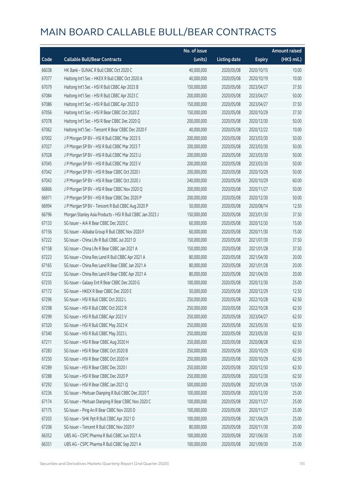|       |                                                           | No. of issue |                     |               | <b>Amount raised</b> |
|-------|-----------------------------------------------------------|--------------|---------------------|---------------|----------------------|
| Code  | <b>Callable Bull/Bear Contracts</b>                       | (units)      | <b>Listing date</b> | <b>Expiry</b> | (HK\$ mil.)          |
| 66038 | HK Bank - SUNAC R Bull CBBC Oct 2020 C                    | 40,000,000   | 2020/05/08          | 2020/10/15    | 10.00                |
| 67077 | Haitong Int'l Sec - HKEX R Bull CBBC Oct 2020 A           | 40,000,000   | 2020/05/08          | 2020/10/19    | 10.00                |
| 67079 | Haitong Int'l Sec - HSI R Bull CBBC Apr 2023 B            | 150,000,000  | 2020/05/08          | 2023/04/27    | 37.50                |
| 67084 | Haitong Int'l Sec - HSI R Bull CBBC Apr 2023 C            | 200,000,000  | 2020/05/08          | 2023/04/27    | 50.00                |
| 67086 | Haitong Int'l Sec - HSI R Bull CBBC Apr 2023 D            | 150,000,000  | 2020/05/08          | 2023/04/27    | 37.50                |
| 67056 | Haitong Int'l Sec - HSI R Bear CBBC Oct 2020 Z            | 150,000,000  | 2020/05/08          | 2020/10/29    | 37.50                |
| 67078 | Haitong Int'l Sec - HSI R Bear CBBC Dec 2020 Q            | 200,000,000  | 2020/05/08          | 2020/12/30    | 50.00                |
| 67062 | Haitong Int'l Sec - Tencent R Bear CBBC Dec 2020 F        | 40,000,000   | 2020/05/08          | 2020/12/22    | 10.00                |
| 67002 | J P Morgan SP BV - HSI R Bull CBBC Mar 2023 S             | 200,000,000  | 2020/05/08          | 2023/03/30    | 50.00                |
| 67027 | J P Morgan SP BV - HSI R Bull CBBC Mar 2023 T             | 200,000,000  | 2020/05/08          | 2023/03/30    | 50.00                |
| 67028 | J P Morgan SP BV - HSI R Bull CBBC Mar 2023 U             | 200,000,000  | 2020/05/08          | 2023/03/30    | 50.00                |
| 67045 | J P Morgan SP BV - HSI R Bull CBBC Mar 2023 V             | 200,000,000  | 2020/05/08          | 2023/03/30    | 50.00                |
| 67042 | JP Morgan SP BV - HSIR Bear CBBC Oct 2020 I               | 200,000,000  | 2020/05/08          | 2020/10/29    | 50.00                |
| 67043 | J P Morgan SP BV - HSI R Bear CBBC Oct 2020 J             | 240,000,000  | 2020/05/08          | 2020/10/29    | 60.00                |
| 66866 | J P Morgan SP BV - HSI R Bear CBBC Nov 2020 Q             | 200,000,000  | 2020/05/08          | 2020/11/27    | 50.00                |
| 66971 | J P Morgan SP BV - HSI R Bear CBBC Dec 2020 P             | 200,000,000  | 2020/05/08          | 2020/12/30    | 50.00                |
| 66994 | J P Morgan SP BV - Tencent R Bull CBBC Aug 2020 P         | 50,000,000   | 2020/05/08          | 2020/08/14    | 12.50                |
| 66796 | Morgan Stanley Asia Products - HSI R Bull CBBC Jan 2023 J | 150,000,000  | 2020/05/08          | 2023/01/30    | 37.50                |
| 67133 | SG Issuer - AIA R Bear CBBC Dec 2020 C                    | 60,000,000   | 2020/05/08          | 2020/12/30    | 15.00                |
| 67156 | SG Issuer - Alibaba Group R Bull CBBC Nov 2020 F          | 60,000,000   | 2020/05/08          | 2020/11/30    | 15.00                |
| 67222 | SG Issuer - China Life R Bull CBBC Jul 2021 D             | 150,000,000  | 2020/05/08          | 2021/07/30    | 37.50                |
| 67158 | SG Issuer - China Life R Bear CBBC Jan 2021 A             | 150,000,000  | 2020/05/08          | 2021/01/28    | 37.50                |
| 67223 | SG Issuer - China Res Land R Bull CBBC Apr 2021 A         | 80,000,000   | 2020/05/08          | 2021/04/30    | 20.00                |
| 67165 | SG Issuer - China Res Land R Bear CBBC Jan 2021 A         | 80,000,000   | 2020/05/08          | 2021/01/28    | 20.00                |
| 67232 | SG Issuer - China Res Land R Bear CBBC Apr 2021 A         | 80,000,000   | 2020/05/08          | 2021/04/30    | 20.00                |
| 67235 | SG Issuer - Galaxy Ent R Bear CBBC Dec 2020 G             | 100,000,000  | 2020/05/08          | 2020/12/30    | 25.00                |
| 67172 | SG Issuer - HKEX R Bear CBBC Dec 2020 E                   | 50,000,000   | 2020/05/08          | 2020/12/29    | 12.50                |
| 67296 | SG Issuer - HSI R Bull CBBC Oct 2022 L                    | 250,000,000  | 2020/05/08          | 2022/10/28    | 62.50                |
| 67298 | SG Issuer - HSI R Bull CBBC Oct 2022 R                    | 250,000,000  | 2020/05/08          | 2022/10/28    | 62.50                |
| 67299 | SG Issuer - HSI R Bull CBBC Apr 2023 V                    | 250,000,000  | 2020/05/08          | 2023/04/27    | 62.50                |
| 67320 | SG Issuer - HSI R Bull CBBC May 2023 K                    | 250,000,000  | 2020/05/08          | 2023/05/30    | 62.50                |
| 67340 | SG Issuer - HSI R Bull CBBC May 2023 L                    | 250,000,000  | 2020/05/08          | 2023/05/30    | 62.50                |
| 67211 | SG Issuer - HSI R Bear CBBC Aug 2020 H                    | 250,000,000  | 2020/05/08          | 2020/08/28    | 62.50                |
| 67283 | SG Issuer - HSI R Bear CBBC Oct 2020 B                    | 250,000,000  | 2020/05/08          | 2020/10/29    | 62.50                |
| 67250 | SG Issuer - HSI R Bear CBBC Oct 2020 H                    | 250,000,000  | 2020/05/08          | 2020/10/29    | 62.50                |
| 67289 | SG Issuer - HSI R Bear CBBC Dec 2020 I                    | 250,000,000  | 2020/05/08          | 2020/12/30    | 62.50                |
| 67288 | SG Issuer - HSI R Bear CBBC Dec 2020 P                    | 250,000,000  | 2020/05/08          | 2020/12/30    | 62.50                |
| 67292 | SG Issuer - HSI R Bear CBBC Jan 2021 Q                    | 500,000,000  | 2020/05/08          | 2021/01/28    | 125.00               |
| 67236 | SG Issuer - Meituan Dianping R Bull CBBC Dec 2020 T       | 100,000,000  | 2020/05/08          | 2020/12/30    | 25.00                |
| 67174 | SG Issuer - Meituan Dianping R Bear CBBC Nov 2020 C       | 100,000,000  | 2020/05/08          | 2020/11/27    | 25.00                |
| 67175 | SG Issuer - Ping An R Bear CBBC Nov 2020 D                | 100,000,000  | 2020/05/08          | 2020/11/27    | 25.00                |
| 67203 | SG Issuer - SHK Ppt R Bull CBBC Apr 2021 D                | 100,000,000  | 2020/05/08          | 2021/04/29    | 25.00                |
| 67206 | SG Issuer - Tencent R Bull CBBC Nov 2020 F                | 80,000,000   | 2020/05/08          | 2020/11/30    | 20.00                |
| 66352 | UBS AG - CSPC Pharma R Bull CBBC Jun 2021 A               | 100,000,000  | 2020/05/08          | 2021/06/30    | 25.00                |
| 66351 | UBS AG - CSPC Pharma R Bull CBBC Sep 2021 A               | 100,000,000  | 2020/05/08          | 2021/09/30    | 25.00                |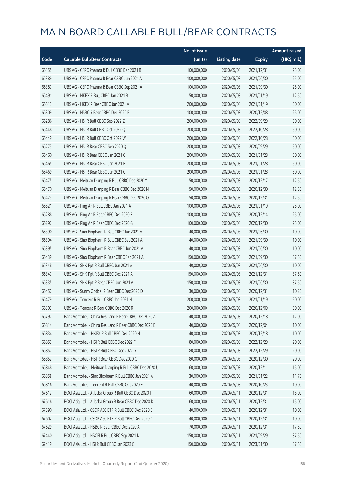|       |                                                         | No. of issue |                     |               | <b>Amount raised</b> |
|-------|---------------------------------------------------------|--------------|---------------------|---------------|----------------------|
| Code  | <b>Callable Bull/Bear Contracts</b>                     | (units)      | <b>Listing date</b> | <b>Expiry</b> | (HK\$ mil.)          |
| 66355 | UBS AG - CSPC Pharma R Bull CBBC Dec 2021 B             | 100,000,000  | 2020/05/08          | 2021/12/31    | 25.00                |
| 66389 | UBS AG - CSPC Pharma R Bear CBBC Jun 2021 A             | 100,000,000  | 2020/05/08          | 2021/06/30    | 25.00                |
| 66387 | UBS AG - CSPC Pharma R Bear CBBC Sep 2021 A             | 100,000,000  | 2020/05/08          | 2021/09/30    | 25.00                |
| 66491 | UBS AG - HKEX R Bull CBBC Jan 2021 B                    | 50,000,000   | 2020/05/08          | 2021/01/19    | 12.50                |
| 66513 | UBS AG - HKEX R Bear CBBC Jan 2021 A                    | 200,000,000  | 2020/05/08          | 2021/01/19    | 50.00                |
| 66309 | UBS AG - HSBC R Bear CBBC Dec 2020 E                    | 100,000,000  | 2020/05/08          | 2020/12/08    | 25.00                |
| 66286 | UBS AG - HSI R Bull CBBC Sep 2022 Z                     | 200,000,000  | 2020/05/08          | 2022/09/29    | 50.00                |
| 66448 | UBS AG - HSI R Bull CBBC Oct 2022 Q                     | 200,000,000  | 2020/05/08          | 2022/10/28    | 50.00                |
| 66449 | UBS AG - HSI R Bull CBBC Oct 2022 W                     | 200,000,000  | 2020/05/08          | 2022/10/28    | 50.00                |
| 66273 | UBS AG - HSI R Bear CBBC Sep 2020 Q                     | 200,000,000  | 2020/05/08          | 2020/09/29    | 50.00                |
| 66460 | UBS AG - HSI R Bear CBBC Jan 2021 C                     | 200,000,000  | 2020/05/08          | 2021/01/28    | 50.00                |
| 66465 | UBS AG - HSI R Bear CBBC Jan 2021 F                     | 200,000,000  | 2020/05/08          | 2021/01/28    | 50.00                |
| 66469 | UBS AG - HSI R Bear CBBC Jan 2021 G                     | 200,000,000  | 2020/05/08          | 2021/01/28    | 50.00                |
| 66475 | UBS AG - Meituan Dianping R Bull CBBC Dec 2020 Y        | 50,000,000   | 2020/05/08          | 2020/12/17    | 12.50                |
| 66470 | UBS AG - Meituan Dianping R Bear CBBC Dec 2020 N        | 50,000,000   | 2020/05/08          | 2020/12/30    | 12.50                |
| 66473 | UBS AG - Meituan Dianping R Bear CBBC Dec 2020 O        | 50,000,000   | 2020/05/08          | 2020/12/31    | 12.50                |
| 66521 | UBS AG - Ping An R Bull CBBC Jan 2021 A                 | 100,000,000  | 2020/05/08          | 2021/01/19    | 25.00                |
| 66288 | UBS AG - Ping An R Bear CBBC Dec 2020 F                 | 100,000,000  | 2020/05/08          | 2020/12/14    | 25.00                |
| 66297 | UBS AG - Ping An R Bear CBBC Dec 2020 G                 | 100,000,000  | 2020/05/08          | 2020/12/30    | 25.00                |
| 66390 | UBS AG - Sino Biopharm R Bull CBBC Jun 2021 A           | 40,000,000   | 2020/05/08          | 2021/06/30    | 10.00                |
| 66394 | UBS AG - Sino Biopharm R Bull CBBC Sep 2021 A           | 40,000,000   | 2020/05/08          | 2021/09/30    | 10.00                |
| 66395 | UBS AG - Sino Biopharm R Bear CBBC Jun 2021 A           | 40,000,000   | 2020/05/08          | 2021/06/30    | 10.00                |
| 66439 | UBS AG - Sino Biopharm R Bear CBBC Sep 2021 A           | 150,000,000  | 2020/05/08          | 2021/09/30    | 37.50                |
| 66348 | UBS AG - SHK Ppt R Bull CBBC Jun 2021 A                 | 40,000,000   | 2020/05/08          | 2021/06/30    | 10.00                |
| 66347 | UBS AG - SHK Ppt R Bull CBBC Dec 2021 A                 | 150,000,000  | 2020/05/08          | 2021/12/31    | 37.50                |
| 66335 | UBS AG - SHK Ppt R Bear CBBC Jun 2021 A                 | 150,000,000  | 2020/05/08          | 2021/06/30    | 37.50                |
| 66452 | UBS AG - Sunny Optical R Bear CBBC Dec 2020 D           | 30,000,000   | 2020/05/08          | 2020/12/31    | 10.20                |
| 66479 | UBS AG - Tencent R Bull CBBC Jan 2021 H                 | 200,000,000  | 2020/05/08          | 2021/01/19    | 50.00                |
| 66303 | UBS AG - Tencent R Bear CBBC Dec 2020 R                 | 200,000,000  | 2020/05/08          | 2020/12/09    | 50.00                |
| 66797 | Bank Vontobel - China Res Land R Bear CBBC Dec 2020 A   | 40,000,000   | 2020/05/08          | 2020/12/18    | 12.00                |
| 66814 | Bank Vontobel - China Res Land R Bear CBBC Dec 2020 B   | 40,000,000   | 2020/05/08          | 2020/12/04    | 10.00                |
| 66834 | Bank Vontobel - HKEX R Bull CBBC Dec 2020 H             | 40,000,000   | 2020/05/08          | 2020/12/18    | 10.00                |
| 66853 | Bank Vontobel - HSI R Bull CBBC Dec 2022 F              | 80,000,000   | 2020/05/08          | 2022/12/29    | 20.00                |
| 66857 | Bank Vontobel - HSI R Bull CBBC Dec 2022 G              | 80,000,000   | 2020/05/08          | 2022/12/29    | 20.00                |
| 66852 | Bank Vontobel - HSI R Bear CBBC Dec 2020 G              | 80,000,000   | 2020/05/08          | 2020/12/30    | 20.00                |
| 66848 | Bank Vontobel - Meituan Dianping R Bull CBBC Dec 2020 U | 60,000,000   | 2020/05/08          | 2020/12/11    | 15.00                |
| 66858 | Bank Vontobel - Sino Biopharm R Bull CBBC Jan 2021 A    | 30,000,000   | 2020/05/08          | 2021/01/22    | 11.70                |
| 66816 | Bank Vontobel - Tencent R Bull CBBC Oct 2020 F          | 40,000,000   | 2020/05/08          | 2020/10/23    | 10.00                |
| 67612 | BOCI Asia Ltd. - Alibaba Group R Bull CBBC Dec 2020 F   | 60,000,000   | 2020/05/11          | 2020/12/31    | 15.00                |
| 67616 | BOCI Asia Ltd. - Alibaba Group R Bear CBBC Dec 2020 D   | 60,000,000   | 2020/05/11          | 2020/12/31    | 15.00                |
| 67590 | BOCI Asia Ltd. - CSOP A50 ETF R Bull CBBC Dec 2020 B    | 40,000,000   | 2020/05/11          | 2020/12/31    | 10.00                |
| 67602 | BOCI Asia Ltd. - CSOP A50 ETF R Bull CBBC Dec 2020 C    | 40,000,000   | 2020/05/11          | 2020/12/31    | 10.00                |
| 67629 | BOCI Asia Ltd. - HSBC R Bear CBBC Dec 2020 A            | 70,000,000   | 2020/05/11          | 2020/12/31    | 17.50                |
| 67440 | BOCI Asia Ltd. - HSCEI R Bull CBBC Sep 2021 N           | 150,000,000  | 2020/05/11          | 2021/09/29    | 37.50                |
| 67419 | BOCI Asia Ltd. - HSI R Bull CBBC Jan 2023 C             | 150,000,000  | 2020/05/11          | 2023/01/30    | 37.50                |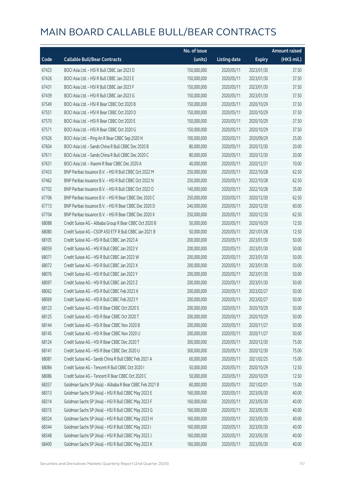|       |                                                          | No. of issue |                     |               | <b>Amount raised</b> |
|-------|----------------------------------------------------------|--------------|---------------------|---------------|----------------------|
| Code  | <b>Callable Bull/Bear Contracts</b>                      | (units)      | <b>Listing date</b> | <b>Expiry</b> | (HK\$ mil.)          |
| 67423 | BOCI Asia Ltd. - HSI R Bull CBBC Jan 2023 D              | 150,000,000  | 2020/05/11          | 2023/01/30    | 37.50                |
| 67426 | BOCI Asia Ltd. - HSI R Bull CBBC Jan 2023 E              | 150,000,000  | 2020/05/11          | 2023/01/30    | 37.50                |
| 67431 | BOCI Asia Ltd. - HSI R Bull CBBC Jan 2023 F              | 150,000,000  | 2020/05/11          | 2023/01/30    | 37.50                |
| 67439 | BOCI Asia Ltd. - HSI R Bull CBBC Jan 2023 G              | 150,000,000  | 2020/05/11          | 2023/01/30    | 37.50                |
| 67549 | BOCI Asia Ltd. - HSI R Bear CBBC Oct 2020 B              | 150,000,000  | 2020/05/11          | 2020/10/29    | 37.50                |
| 67551 | BOCI Asia Ltd. - HSI R Bear CBBC Oct 2020 D              | 150,000,000  | 2020/05/11          | 2020/10/29    | 37.50                |
| 67570 | BOCI Asia Ltd. - HSI R Bear CBBC Oct 2020 E              | 150,000,000  | 2020/05/11          | 2020/10/29    | 37.50                |
| 67571 | BOCI Asia Ltd. - HSI R Bear CBBC Oct 2020 G              | 150,000,000  | 2020/05/11          | 2020/10/29    | 37.50                |
| 67626 | BOCI Asia Ltd. - Ping An R Bear CBBC Sep 2020 H          | 100,000,000  | 2020/05/11          | 2020/09/29    | 25.00                |
| 67604 | BOCI Asia Ltd. - Sands China R Bull CBBC Dec 2020 B      | 80,000,000   | 2020/05/11          | 2020/12/30    | 20.00                |
| 67611 | BOCI Asia Ltd. - Sands China R Bull CBBC Dec 2020 C      | 80,000,000   | 2020/05/11          | 2020/12/30    | 20.00                |
| 67631 | BOCI Asia Ltd. - Xiaomi R Bear CBBC Dec 2020 A           | 40,000,000   | 2020/05/11          | 2020/12/31    | 10.00                |
| 67453 | BNP Paribas Issuance B.V. - HSI R Bull CBBC Oct 2022 M   | 250,000,000  | 2020/05/11          | 2022/10/28    | 62.50                |
| 67462 | BNP Paribas Issuance B.V. - HSI R Bull CBBC Oct 2022 N   | 250,000,000  | 2020/05/11          | 2022/10/28    | 62.50                |
| 67702 | BNP Paribas Issuance B.V. - HSI R Bull CBBC Oct 2022 O   | 140,000,000  | 2020/05/11          | 2022/10/28    | 35.00                |
| 67706 | BNP Paribas Issuance B.V. - HSI R Bear CBBC Dec 2020 C   | 250,000,000  | 2020/05/11          | 2020/12/30    | 62.50                |
| 67713 | BNP Paribas Issuance B.V. - HSI R Bear CBBC Dec 2020 D   | 240,000,000  | 2020/05/11          | 2020/12/30    | 60.00                |
| 67704 | BNP Paribas Issuance B.V. - HSI R Bear CBBC Dec 2020 X   | 250,000,000  | 2020/05/11          | 2020/12/30    | 62.50                |
| 68088 | Credit Suisse AG - Alibaba Group R Bear CBBC Oct 2020 B  | 50,000,000   | 2020/05/11          | 2020/10/29    | 12.50                |
| 68080 | Credit Suisse AG - CSOP A50 ETF R Bull CBBC Jan 2021 B   | 50,000,000   | 2020/05/11          | 2021/01/28    | 12.50                |
| 68105 | Credit Suisse AG - HSI R Bull CBBC Jan 2023 A            | 200,000,000  | 2020/05/11          | 2023/01/30    | 50.00                |
| 68059 | Credit Suisse AG - HSI R Bull CBBC Jan 2023 V            | 200,000,000  | 2020/05/11          | 2023/01/30    | 50.00                |
| 68071 | Credit Suisse AG - HSI R Bull CBBC Jan 2023 W            | 200,000,000  | 2020/05/11          | 2023/01/30    | 50.00                |
| 68072 | Credit Suisse AG - HSI R Bull CBBC Jan 2023 X            | 200,000,000  | 2020/05/11          | 2023/01/30    | 50.00                |
| 68076 | Credit Suisse AG - HSI R Bull CBBC Jan 2023 Y            | 200,000,000  | 2020/05/11          | 2023/01/30    | 50.00                |
| 68097 | Credit Suisse AG - HSI R Bull CBBC Jan 2023 Z            | 200,000,000  | 2020/05/11          | 2023/01/30    | 50.00                |
| 68062 | Credit Suisse AG - HSI R Bull CBBC Feb 2023 X            | 200,000,000  | 2020/05/11          | 2023/02/27    | 50.00                |
| 68069 | Credit Suisse AG - HSI R Bull CBBC Feb 2023 Y            | 200,000,000  | 2020/05/11          | 2023/02/27    | 50.00                |
| 68123 | Credit Suisse AG - HSI R Bear CBBC Oct 2020 S            | 200,000,000  | 2020/05/11          | 2020/10/29    | 50.00                |
| 68125 | Credit Suisse AG - HSI R Bear CBBC Oct 2020 T            | 200,000,000  | 2020/05/11          | 2020/10/29    | 50.00                |
| 68144 | Credit Suisse AG - HSI R Bear CBBC Nov 2020 B            | 200,000,000  | 2020/05/11          | 2020/11/27    | 50.00                |
| 68145 | Credit Suisse AG - HSI R Bear CBBC Nov 2020 U            | 200,000,000  | 2020/05/11          | 2020/11/27    | 50.00                |
| 68124 | Credit Suisse AG - HSI R Bear CBBC Dec 2020 T            | 300,000,000  | 2020/05/11          | 2020/12/30    | 75.00                |
| 68141 | Credit Suisse AG - HSI R Bear CBBC Dec 2020 U            | 300,000,000  | 2020/05/11          | 2020/12/30    | 75.00                |
| 68081 | Credit Suisse AG - Sands China R Bull CBBC Feb 2021 A    | 60,000,000   | 2020/05/11          | 2021/02/25    | 15.00                |
| 68084 | Credit Suisse AG - Tencent R Bull CBBC Oct 2020 I        | 50,000,000   | 2020/05/11          | 2020/10/29    | 12.50                |
| 68086 | Credit Suisse AG - Tencent R Bear CBBC Oct 2020 C        | 50,000,000   | 2020/05/11          | 2020/10/29    | 12.50                |
| 68357 | Goldman Sachs SP (Asia) - Alibaba R Bear CBBC Feb 2021 B | 60,000,000   | 2020/05/11          | 2021/02/01    | 15.00                |
| 68313 | Goldman Sachs SP (Asia) - HSI R Bull CBBC May 2023 E     | 160,000,000  | 2020/05/11          | 2023/05/30    | 40.00                |
| 68314 | Goldman Sachs SP (Asia) - HSI R Bull CBBC May 2023 F     | 160,000,000  | 2020/05/11          | 2023/05/30    | 40.00                |
| 68315 | Goldman Sachs SP (Asia) - HSI R Bull CBBC May 2023 G     | 160,000,000  | 2020/05/11          | 2023/05/30    | 40.00                |
| 68324 | Goldman Sachs SP (Asia) - HSI R Bull CBBC May 2023 H     | 160,000,000  | 2020/05/11          | 2023/05/30    | 40.00                |
| 68344 | Goldman Sachs SP (Asia) - HSI R Bull CBBC May 2023 I     | 160,000,000  | 2020/05/11          | 2023/05/30    | 40.00                |
| 68348 | Goldman Sachs SP (Asia) - HSI R Bull CBBC May 2023 J     | 160,000,000  | 2020/05/11          | 2023/05/30    | 40.00                |
| 68400 | Goldman Sachs SP (Asia) - HSI R Bull CBBC May 2023 K     | 160,000,000  | 2020/05/11          | 2023/05/30    | 40.00                |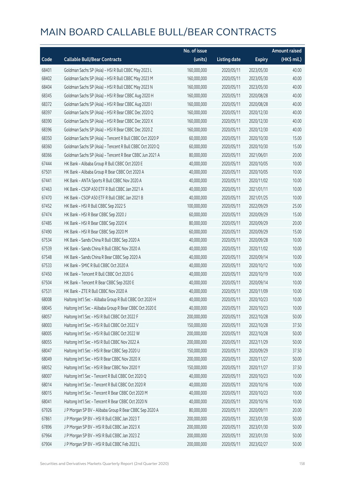|       |                                                          | No. of issue |                     |               | <b>Amount raised</b> |
|-------|----------------------------------------------------------|--------------|---------------------|---------------|----------------------|
| Code  | <b>Callable Bull/Bear Contracts</b>                      | (units)      | <b>Listing date</b> | <b>Expiry</b> | (HK\$ mil.)          |
| 68401 | Goldman Sachs SP (Asia) - HSI R Bull CBBC May 2023 L     | 160,000,000  | 2020/05/11          | 2023/05/30    | 40.00                |
| 68402 | Goldman Sachs SP (Asia) - HSI R Bull CBBC May 2023 M     | 160,000,000  | 2020/05/11          | 2023/05/30    | 40.00                |
| 68404 | Goldman Sachs SP (Asia) - HSI R Bull CBBC May 2023 N     | 160,000,000  | 2020/05/11          | 2023/05/30    | 40.00                |
| 68345 | Goldman Sachs SP (Asia) - HSI R Bear CBBC Aug 2020 H     | 160,000,000  | 2020/05/11          | 2020/08/28    | 40.00                |
| 68372 | Goldman Sachs SP (Asia) - HSI R Bear CBBC Aug 2020 I     | 160,000,000  | 2020/05/11          | 2020/08/28    | 40.00                |
| 68397 | Goldman Sachs SP (Asia) - HSI R Bear CBBC Dec 2020 Q     | 160,000,000  | 2020/05/11          | 2020/12/30    | 40.00                |
| 68390 | Goldman Sachs SP (Asia) - HSI R Bear CBBC Dec 2020 X     | 160,000,000  | 2020/05/11          | 2020/12/30    | 40.00                |
| 68396 | Goldman Sachs SP (Asia) - HSI R Bear CBBC Dec 2020 Z     | 160,000,000  | 2020/05/11          | 2020/12/30    | 40.00                |
| 68350 | Goldman Sachs SP (Asia) - Tencent R Bull CBBC Oct 2020 P | 60,000,000   | 2020/05/11          | 2020/10/30    | 15.00                |
| 68360 | Goldman Sachs SP (Asia) - Tencent R Bull CBBC Oct 2020 Q | 60,000,000   | 2020/05/11          | 2020/10/30    | 15.00                |
| 68366 | Goldman Sachs SP (Asia) - Tencent R Bear CBBC Jun 2021 A | 80,000,000   | 2020/05/11          | 2021/06/01    | 20.00                |
| 67444 | HK Bank - Alibaba Group R Bull CBBC Oct 2020 E           | 40,000,000   | 2020/05/11          | 2020/10/05    | 10.00                |
| 67501 | HK Bank - Alibaba Group R Bear CBBC Oct 2020 A           | 40,000,000   | 2020/05/11          | 2020/10/05    | 10.00                |
| 67441 | HK Bank - ANTA Sports R Bull CBBC Nov 2020 A             | 40,000,000   | 2020/05/11          | 2020/11/02    | 10.00                |
| 67463 | HK Bank - CSOP A50 ETF R Bull CBBC Jan 2021 A            | 40,000,000   | 2020/05/11          | 2021/01/11    | 10.00                |
| 67470 | HK Bank - CSOP A50 ETF R Bull CBBC Jan 2021 B            | 40,000,000   | 2020/05/11          | 2021/01/25    | 10.00                |
| 67452 | HK Bank - HSI R Bull CBBC Sep 2022 S                     | 100,000,000  | 2020/05/11          | 2022/09/29    | 25.00                |
| 67474 | HK Bank - HSI R Bear CBBC Sep 2020 J                     | 60,000,000   | 2020/05/11          | 2020/09/29    | 15.00                |
| 67485 | HK Bank - HSI R Bear CBBC Sep 2020 K                     | 80,000,000   | 2020/05/11          | 2020/09/29    | 20.00                |
| 67490 | HK Bank - HSI R Bear CBBC Sep 2020 M                     | 60,000,000   | 2020/05/11          | 2020/09/29    | 15.00                |
| 67534 | HK Bank - Sands China R Bull CBBC Sep 2020 A             | 40,000,000   | 2020/05/11          | 2020/09/28    | 10.00                |
| 67539 | HK Bank - Sands China R Bull CBBC Nov 2020 A             | 40,000,000   | 2020/05/11          | 2020/11/02    | 10.00                |
| 67548 | HK Bank - Sands China R Bear CBBC Sep 2020 A             | 40,000,000   | 2020/05/11          | 2020/09/14    | 10.00                |
| 67533 | HK Bank - SMIC R Bull CBBC Oct 2020 A                    | 40,000,000   | 2020/05/11          | 2020/10/12    | 10.00                |
| 67450 | HK Bank - Tencent R Bull CBBC Oct 2020 G                 | 40,000,000   | 2020/05/11          | 2020/10/19    | 10.00                |
| 67504 | HK Bank - Tencent R Bear CBBC Sep 2020 E                 | 40,000,000   | 2020/05/11          | 2020/09/14    | 10.00                |
| 67531 | HK Bank - ZTE R Bull CBBC Nov 2020 A                     | 40,000,000   | 2020/05/11          | 2020/11/09    | 10.00                |
| 68008 | Haitong Int'l Sec - Alibaba Group R Bull CBBC Oct 2020 H | 40,000,000   | 2020/05/11          | 2020/10/23    | 10.00                |
| 68045 | Haitong Int'l Sec - Alibaba Group R Bear CBBC Oct 2020 E | 40,000,000   | 2020/05/11          | 2020/10/23    | 10.00                |
| 68057 | Haitong Int'l Sec - HSI R Bull CBBC Oct 2022 F           | 200,000,000  | 2020/05/11          | 2022/10/28    | 50.00                |
| 68003 | Haitong Int'l Sec - HSI R Bull CBBC Oct 2022 V           | 150,000,000  | 2020/05/11          | 2022/10/28    | 37.50                |
| 68005 | Haitong Int'l Sec - HSI R Bull CBBC Oct 2022 W           | 200,000,000  | 2020/05/11          | 2022/10/28    | 50.00                |
| 68055 | Haitong Int'l Sec - HSI R Bull CBBC Nov 2022 A           | 200,000,000  | 2020/05/11          | 2022/11/29    | 50.00                |
| 68047 | Haitong Int'l Sec - HSI R Bear CBBC Sep 2020 U           | 150,000,000  | 2020/05/11          | 2020/09/29    | 37.50                |
| 68049 | Haitong Int'l Sec - HSI R Bear CBBC Nov 2020 X           | 200,000,000  | 2020/05/11          | 2020/11/27    | 50.00                |
| 68052 | Haitong Int'l Sec - HSI R Bear CBBC Nov 2020 Y           | 150,000,000  | 2020/05/11          | 2020/11/27    | 37.50                |
| 68007 | Haitong Int'l Sec - Tencent R Bull CBBC Oct 2020 Q       | 40,000,000   | 2020/05/11          | 2020/10/23    | 10.00                |
| 68014 | Haitong Int'l Sec - Tencent R Bull CBBC Oct 2020 R       | 40,000,000   | 2020/05/11          | 2020/10/16    | 10.00                |
| 68015 | Haitong Int'l Sec - Tencent R Bear CBBC Oct 2020 M       | 40,000,000   | 2020/05/11          | 2020/10/23    | 10.00                |
| 68041 | Haitong Int'l Sec - Tencent R Bear CBBC Oct 2020 N       | 40,000,000   | 2020/05/11          | 2020/10/16    | 10.00                |
| 67926 | J P Morgan SP BV - Alibaba Group R Bear CBBC Sep 2020 A  | 80,000,000   | 2020/05/11          | 2020/09/11    | 20.00                |
| 67861 | J P Morgan SP BV - HSI R Bull CBBC Jan 2023 T            | 200,000,000  | 2020/05/11          | 2023/01/30    | 50.00                |
| 67896 | J P Morgan SP BV - HSI R Bull CBBC Jan 2023 X            | 200,000,000  | 2020/05/11          | 2023/01/30    | 50.00                |
| 67964 | J P Morgan SP BV - HSI R Bull CBBC Jan 2023 Z            | 200,000,000  | 2020/05/11          | 2023/01/30    | 50.00                |
| 67904 | J P Morgan SP BV - HSI R Bull CBBC Feb 2023 L            | 200,000,000  | 2020/05/11          | 2023/02/27    | 50.00                |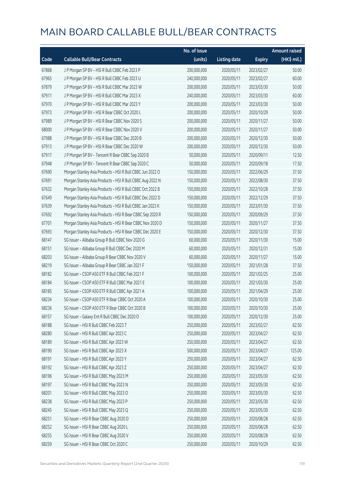|       |                                                           | No. of issue |                     |               | <b>Amount raised</b> |
|-------|-----------------------------------------------------------|--------------|---------------------|---------------|----------------------|
| Code  | <b>Callable Bull/Bear Contracts</b>                       | (units)      | <b>Listing date</b> | <b>Expiry</b> | (HK\$ mil.)          |
| 67868 | J P Morgan SP BV - HSI R Bull CBBC Feb 2023 P             | 200,000,000  | 2020/05/11          | 2023/02/27    | 50.00                |
| 67965 | J P Morgan SP BV - HSI R Bull CBBC Feb 2023 U             | 240,000,000  | 2020/05/11          | 2023/02/27    | 60.00                |
| 67879 | J P Morgan SP BV - HSI R Bull CBBC Mar 2023 W             | 200,000,000  | 2020/05/11          | 2023/03/30    | 50.00                |
| 67911 | J P Morgan SP BV - HSI R Bull CBBC Mar 2023 X             | 240,000,000  | 2020/05/11          | 2023/03/30    | 60.00                |
| 67970 | J P Morgan SP BV - HSI R Bull CBBC Mar 2023 Y             | 200,000,000  | 2020/05/11          | 2023/03/30    | 50.00                |
| 67973 | J P Morgan SP BV - HSI R Bear CBBC Oct 2020 L             | 200,000,000  | 2020/05/11          | 2020/10/29    | 50.00                |
| 67989 | J P Morgan SP BV - HSI R Bear CBBC Nov 2020 S             | 200,000,000  | 2020/05/11          | 2020/11/27    | 50.00                |
| 68000 | J P Morgan SP BV - HSI R Bear CBBC Nov 2020 V             | 200,000,000  | 2020/05/11          | 2020/11/27    | 50.00                |
| 67988 | J P Morgan SP BV - HSI R Bear CBBC Dec 2020 B             | 200,000,000  | 2020/05/11          | 2020/12/30    | 50.00                |
| 67913 | J P Morgan SP BV - HSI R Bear CBBC Dec 2020 W             | 200,000,000  | 2020/05/11          | 2020/12/30    | 50.00                |
| 67917 | J P Morgan SP BV - Tencent R Bear CBBC Sep 2020 B         | 50,000,000   | 2020/05/11          | 2020/09/11    | 12.50                |
| 67948 | J P Morgan SP BV - Tencent R Bear CBBC Sep 2020 C         | 50,000,000   | 2020/05/11          | 2020/09/18    | 17.50                |
| 67690 | Morgan Stanley Asia Products - HSI R Bull CBBC Jun 2022 O | 150,000,000  | 2020/05/11          | 2022/06/29    | 37.50                |
| 67691 | Morgan Stanley Asia Products - HSI R Bull CBBC Aug 2022 N | 150,000,000  | 2020/05/11          | 2022/08/30    | 37.50                |
| 67632 | Morgan Stanley Asia Products - HSI R Bull CBBC Oct 2022 B | 150,000,000  | 2020/05/11          | 2022/10/28    | 37.50                |
| 67649 | Morgan Stanley Asia Products - HSI R Bull CBBC Dec 2022 D | 150,000,000  | 2020/05/11          | 2022/12/29    | 37.50                |
| 67639 | Morgan Stanley Asia Products - HSI R Bull CBBC Jan 2023 K | 150,000,000  | 2020/05/11          | 2023/01/30    | 37.50                |
| 67692 | Morgan Stanley Asia Products - HSI R Bear CBBC Sep 2020 R | 150,000,000  | 2020/05/11          | 2020/09/29    | 37.50                |
| 67701 | Morgan Stanley Asia Products - HSI R Bear CBBC Nov 2020 D | 150,000,000  | 2020/05/11          | 2020/11/27    | 37.50                |
| 67693 | Morgan Stanley Asia Products - HSI R Bear CBBC Dec 2020 E | 150,000,000  | 2020/05/11          | 2020/12/30    | 37.50                |
| 68147 | SG Issuer - Alibaba Group R Bull CBBC Nov 2020 G          | 60,000,000   | 2020/05/11          | 2020/11/30    | 15.00                |
| 68151 | SG Issuer - Alibaba Group R Bull CBBC Dec 2020 M          | 60,000,000   | 2020/05/11          | 2020/12/31    | 15.00                |
| 68203 | SG Issuer - Alibaba Group R Bear CBBC Nov 2020 V          | 60,000,000   | 2020/05/11          | 2020/11/27    | 15.00                |
| 68219 | SG Issuer - Alibaba Group R Bear CBBC Jan 2021 F          | 150,000,000  | 2020/05/11          | 2021/01/28    | 37.50                |
| 68182 | SG Issuer - CSOP A50 ETF R Bull CBBC Feb 2021 F           | 100,000,000  | 2020/05/11          | 2021/02/25    | 25.00                |
| 68184 | SG Issuer - CSOP A50 ETF R Bull CBBC Mar 2021 E           | 100,000,000  | 2020/05/11          | 2021/03/30    | 25.00                |
| 68185 | SG Issuer - CSOP A50 ETF R Bull CBBC Apr 2021 A           | 100,000,000  | 2020/05/11          | 2021/04/29    | 25.00                |
| 68234 | SG Issuer – CSOP A50 ETF R Bear CBBC Oct 2020 A           | 100,000,000  | 2020/05/11          | 2020/10/30    | 25.00                |
| 68236 | SG Issuer - CSOP A50 ETF R Bear CBBC Oct 2020 B           | 100,000,000  | 2020/05/11          | 2020/10/30    | 25.00                |
| 68157 | SG Issuer - Galaxy Ent R Bull CBBC Dec 2020 O             | 100,000,000  | 2020/05/11          | 2020/12/30    | 25.00                |
| 68188 | SG Issuer - HSI R Bull CBBC Feb 2023 T                    | 250,000,000  | 2020/05/11          | 2023/02/27    | 62.50                |
| 68280 | SG Issuer - HSI R Bull CBBC Apr 2023 C                    | 250,000,000  | 2020/05/11          | 2023/04/27    | 62.50                |
| 68189 | SG Issuer - HSI R Bull CBBC Apr 2023 W                    | 250,000,000  | 2020/05/11          | 2023/04/27    | 62.50                |
| 68190 | SG Issuer - HSI R Bull CBBC Apr 2023 X                    | 500,000,000  | 2020/05/11          | 2023/04/27    | 125.00               |
| 68191 | SG Issuer - HSI R Bull CBBC Apr 2023 Y                    | 250,000,000  | 2020/05/11          | 2023/04/27    | 62.50                |
| 68192 | SG Issuer - HSI R Bull CBBC Apr 2023 Z                    | 250,000,000  | 2020/05/11          | 2023/04/27    | 62.50                |
| 68196 | SG Issuer - HSI R Bull CBBC May 2023 M                    | 250,000,000  | 2020/05/11          | 2023/05/30    | 62.50                |
| 68197 | SG Issuer - HSI R Bull CBBC May 2023 N                    | 250,000,000  | 2020/05/11          | 2023/05/30    | 62.50                |
| 68201 | SG Issuer - HSI R Bull CBBC May 2023 O                    | 250,000,000  | 2020/05/11          | 2023/05/30    | 62.50                |
| 68238 | SG Issuer - HSI R Bull CBBC May 2023 P                    | 250,000,000  | 2020/05/11          | 2023/05/30    | 62.50                |
| 68245 | SG Issuer - HSI R Bull CBBC May 2023 Q                    | 250,000,000  | 2020/05/11          | 2023/05/30    | 62.50                |
| 68251 | SG Issuer - HSI R Bear CBBC Aug 2020 D                    | 250,000,000  | 2020/05/11          | 2020/08/28    | 62.50                |
| 68252 | SG Issuer - HSI R Bear CBBC Aug 2020 L                    | 250,000,000  | 2020/05/11          | 2020/08/28    | 62.50                |
| 68255 | SG Issuer - HSI R Bear CBBC Aug 2020 V                    | 250,000,000  | 2020/05/11          | 2020/08/28    | 62.50                |
| 68259 | SG Issuer - HSI R Bear CBBC Oct 2020 C                    | 250,000,000  | 2020/05/11          | 2020/10/29    | 62.50                |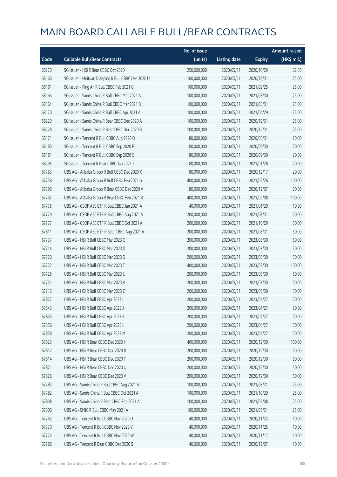|       |                                                     | No. of issue |                     |               | <b>Amount raised</b> |
|-------|-----------------------------------------------------|--------------|---------------------|---------------|----------------------|
| Code  | <b>Callable Bull/Bear Contracts</b>                 | (units)      | <b>Listing date</b> | <b>Expiry</b> | (HK\$ mil.)          |
| 68270 | SG Issuer - HSI R Bear CBBC Oct 2020 I              | 250,000,000  | 2020/05/11          | 2020/10/29    | 62.50                |
| 68160 | SG Issuer - Meituan Dianping R Bull CBBC Dec 2020 U | 100,000,000  | 2020/05/11          | 2020/12/31    | 25.00                |
| 68161 | SG Issuer - Ping An R Bull CBBC Feb 2021 G          | 100,000,000  | 2020/05/11          | 2021/02/25    | 25.00                |
| 68163 | SG Issuer - Sands China R Bull CBBC Mar 2021 A      | 100,000,000  | 2020/05/11          | 2021/03/30    | 25.00                |
| 68164 | SG Issuer - Sands China R Bull CBBC Mar 2021 B      | 100,000,000  | 2020/05/11          | 2021/03/31    | 25.00                |
| 68170 | SG Issuer - Sands China R Bull CBBC Apr 2021 A      | 100,000,000  | 2020/05/11          | 2021/04/29    | 25.00                |
| 68220 | SG Issuer - Sands China R Bear CBBC Dec 2020 A      | 100,000,000  | 2020/05/11          | 2020/12/31    | 25.00                |
| 68228 | SG Issuer - Sands China R Bear CBBC Dec 2020 B      | 100,000,000  | 2020/05/11          | 2020/12/31    | 25.00                |
| 68171 | SG Issuer - Tencent R Bull CBBC Aug 2020 O          | 80,000,000   | 2020/05/11          | 2020/08/31    | 20.00                |
| 68180 | SG Issuer - Tencent R Bull CBBC Sep 2020 F          | 80,000,000   | 2020/05/11          | 2020/09/30    | 20.00                |
| 68181 | SG Issuer - Tencent R Bull CBBC Sep 2020 G          | 80,000,000   | 2020/05/11          | 2020/09/30    | 20.00                |
| 68295 | SG Issuer - Tencent R Bear CBBC Jan 2021 E          | 80,000,000   | 2020/05/11          | 2021/01/28    | 20.00                |
| 67753 | UBS AG - Alibaba Group R Bull CBBC Dec 2020 X       | 80,000,000   | 2020/05/11          | 2020/12/17    | 20.00                |
| 67758 | UBS AG - Alibaba Group R Bull CBBC Feb 2021 G       | 400,000,000  | 2020/05/11          | 2021/02/26    | 100.00               |
| 67796 | UBS AG - Alibaba Group R Bear CBBC Dec 2020 V       | 80,000,000   | 2020/05/11          | 2020/12/07    | 20.00                |
| 67797 | UBS AG - Alibaba Group R Bear CBBC Feb 2021 B       | 400,000,000  | 2020/05/11          | 2021/02/08    | 100.00               |
| 67775 | UBS AG - CSOP A50 ETF R Bull CBBC Jan 2021 A        | 40,000,000   | 2020/05/11          | 2021/01/29    | 10.00                |
| 67779 | UBS AG - CSOP A50 ETF R Bull CBBC Aug 2021 A        | 200,000,000  | 2020/05/11          | 2021/08/31    | 50.00                |
| 67777 | UBS AG - CSOP A50 ETF R Bull CBBC Oct 2021 A        | 200,000,000  | 2020/05/11          | 2021/10/29    | 50.00                |
| 67811 | UBS AG - CSOP A50 ETF R Bear CBBC Aug 2021 A        | 200,000,000  | 2020/05/11          | 2021/08/31    | 50.00                |
| 67737 | UBS AG - HSI R Bull CBBC Mar 2023 C                 | 200,000,000  | 2020/05/11          | 2023/03/30    | 50.00                |
| 67714 | UBS AG - HSI R Bull CBBC Mar 2023 D                 | 200,000,000  | 2020/05/11          | 2023/03/30    | 50.00                |
| 67720 | UBS AG - HSI R Bull CBBC Mar 2023 S                 | 200,000,000  | 2020/05/11          | 2023/03/30    | 50.00                |
| 67722 | UBS AG - HSI R Bull CBBC Mar 2023 T                 | 400,000,000  | 2020/05/11          | 2023/03/30    | 100.00               |
| 67725 | UBS AG - HSI R Bull CBBC Mar 2023 U                 | 200,000,000  | 2020/05/11          | 2023/03/30    | 50.00                |
| 67731 | UBS AG - HSI R Bull CBBC Mar 2023 V                 | 200,000,000  | 2020/05/11          | 2023/03/30    | 50.00                |
| 67716 | UBS AG - HSI R Bull CBBC Mar 2023 Z                 | 200,000,000  | 2020/05/11          | 2023/03/30    | 50.00                |
| 67827 | UBS AG - HSI R Bull CBBC Apr 2023 I                 | 200,000,000  | 2020/05/11          | 2023/04/27    | 50.00                |
| 67843 | UBS AG - HSI R Bull CBBC Apr 2023 J                 | 200,000,000  | 2020/05/11          | 2023/04/27    | 50.00                |
| 67855 | UBS AG - HSI R Bull CBBC Apr 2023 K                 | 200,000,000  | 2020/05/11          | 2023/04/27    | 50.00                |
| 67856 | UBS AG - HSI R Bull CBBC Apr 2023 L                 | 200,000,000  | 2020/05/11          | 2023/04/27    | 50.00                |
| 67858 | UBS AG - HSI R Bull CBBC Apr 2023 M                 | 200,000,000  | 2020/05/11          | 2023/04/27    | 50.00                |
| 67823 | UBS AG - HSI R Bear CBBC Dec 2020 H                 | 400,000,000  | 2020/05/11          | 2020/12/30    | 100.00               |
| 67812 | UBS AG - HSI R Bear CBBC Dec 2020 R                 | 200,000,000  | 2020/05/11          | 2020/12/30    | 50.00                |
| 67814 | UBS AG - HSI R Bear CBBC Dec 2020 T                 | 200,000,000  | 2020/05/11          | 2020/12/30    | 50.00                |
| 67821 | UBS AG - HSI R Bear CBBC Dec 2020 U                 | 200,000,000  | 2020/05/11          | 2020/12/30    | 50.00                |
| 67826 | UBS AG - HSI R Bear CBBC Dec 2020 V                 | 200,000,000  | 2020/05/11          | 2020/12/30    | 50.00                |
| 67783 | UBS AG - Sands China R Bull CBBC Aug 2021 A         | 100,000,000  | 2020/05/11          | 2021/08/31    | 25.00                |
| 67782 | UBS AG - Sands China R Bull CBBC Oct 2021 A         | 100,000,000  | 2020/05/11          | 2021/10/29    | 25.00                |
| 67808 | UBS AG - Sands China R Bear CBBC Feb 2021 A         | 100,000,000  | 2020/05/11          | 2021/02/08    | 25.00                |
| 67806 | UBS AG - SMIC R Bull CBBC May 2021 A                | 100,000,000  | 2020/05/11          | 2021/05/31    | 25.00                |
| 67763 | UBS AG - Tencent R Bull CBBC Nov 2020 U             | 40,000,000   | 2020/05/11          | 2020/11/23    | 10.00                |
| 67770 | UBS AG - Tencent R Bull CBBC Nov 2020 V             | 40,000,000   | 2020/05/11          | 2020/11/25    | 10.00                |
| 67774 | UBS AG - Tencent R Bull CBBC Nov 2020 W             | 40,000,000   | 2020/05/11          | 2020/11/17    | 10.00                |
| 67786 | UBS AG - Tencent R Bear CBBC Dec 2020 S             | 40,000,000   | 2020/05/11          | 2020/12/07    | 10.00                |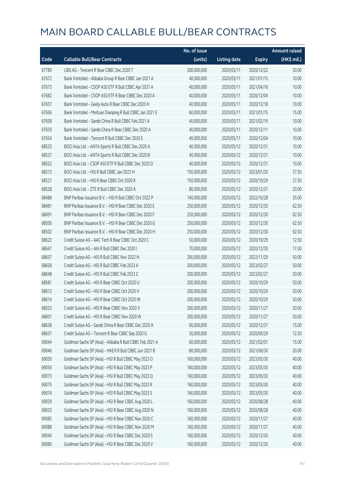|       |                                                          | No. of issue |                     |               | <b>Amount raised</b> |
|-------|----------------------------------------------------------|--------------|---------------------|---------------|----------------------|
| Code  | <b>Callable Bull/Bear Contracts</b>                      | (units)      | <b>Listing date</b> | <b>Expiry</b> | (HK\$ mil.)          |
| 67789 | UBS AG - Tencent R Bear CBBC Dec 2020 T                  | 200,000,000  | 2020/05/11          | 2020/12/22    | 50.00                |
| 67672 | Bank Vontobel - Alibaba Group R Bear CBBC Jan 2021 A     | 40,000,000   | 2020/05/11          | 2021/01/15    | 10.00                |
| 67673 | Bank Vontobel - CSOP A50 ETF R Bull CBBC Apr 2021 A      | 40,000,000   | 2020/05/11          | 2021/04/16    | 10.00                |
| 67682 | Bank Vontobel - CSOP A50 ETF R Bear CBBC Dec 2020 A      | 40,000,000   | 2020/05/11          | 2020/12/04    | 10.00                |
| 67657 | Bank Vontobel - Geely Auto R Bear CBBC Dec 2020 H        | 40,000,000   | 2020/05/11          | 2020/12/18    | 10.00                |
| 67656 | Bank Vontobel - Meituan Dianping R Bull CBBC Jan 2021 E  | 60,000,000   | 2020/05/11          | 2021/01/15    | 15.00                |
| 67658 | Bank Vontobel - Sands China R Bull CBBC Feb 2021 A       | 40,000,000   | 2020/05/11          | 2021/02/19    | 10.00                |
| 67659 | Bank Vontobel - Sands China R Bear CBBC Dec 2020 A       | 40,000,000   | 2020/05/11          | 2020/12/11    | 10.00                |
| 67654 | Bank Vontobel - Tencent R Bull CBBC Dec 2020 E           | 40,000,000   | 2020/05/11          | 2020/12/04    | 10.00                |
| 68533 | BOCI Asia Ltd. - ANTA Sports R Bull CBBC Dec 2020 A      | 40,000,000   | 2020/05/12          | 2020/12/31    | 10.00                |
| 68537 | BOCI Asia Ltd. - ANTA Sports R Bull CBBC Dec 2020 B      | 40,000,000   | 2020/05/12          | 2020/12/31    | 10.00                |
| 68552 | BOCI Asia Ltd. - CSOP A50 ETF R Bull CBBC Dec 2020 D     | 40,000,000   | 2020/05/12          | 2020/12/31    | 10.00                |
| 68513 | BOCI Asia Ltd. - HSI R Bull CBBC Jan 2023 H              | 150,000,000  | 2020/05/12          | 2023/01/30    | 37.50                |
| 68521 | BOCI Asia Ltd. - HSI R Bear CBBC Oct 2020 K              | 150,000,000  | 2020/05/12          | 2020/10/29    | 37.50                |
| 68528 | BOCI Asia Ltd. - ZTE R Bull CBBC Dec 2020 A              | 80,000,000   | 2020/05/12          | 2020/12/31    | 20.00                |
| 68488 | BNP Paribas Issuance B.V. - HSI R Bull CBBC Oct 2022 P   | 140,000,000  | 2020/05/12          | 2022/10/28    | 35.00                |
| 68481 | BNP Paribas Issuance B.V. - HSI R Bear CBBC Dec 2020 E   | 250,000,000  | 2020/05/12          | 2020/12/30    | 62.50                |
| 68491 | BNP Paribas Issuance B.V. - HSI R Bear CBBC Dec 2020 F   | 250,000,000  | 2020/05/12          | 2020/12/30    | 62.50                |
| 68500 | BNP Paribas Issuance B.V. - HSI R Bear CBBC Dec 2020 G   | 250,000,000  | 2020/05/12          | 2020/12/30    | 62.50                |
| 68502 | BNP Paribas Issuance B.V. - HSI R Bear CBBC Dec 2020 H   | 250,000,000  | 2020/05/12          | 2020/12/30    | 62.50                |
| 68622 | Credit Suisse AG - AAC Tech R Bear CBBC Oct 2020 C       | 50,000,000   | 2020/05/12          | 2020/10/29    | 12.50                |
| 68647 | Credit Suisse AG - AIA R Bull CBBC Dec 2020 I            | 70,000,000   | 2020/05/12          | 2020/12/30    | 17.50                |
| 68657 | Credit Suisse AG - HSI R Bull CBBC Nov 2022 N            | 200,000,000  | 2020/05/12          | 2022/11/29    | 50.00                |
| 68658 | Credit Suisse AG - HSI R Bull CBBC Feb 2023 A            | 200,000,000  | 2020/05/12          | 2023/02/27    | 50.00                |
| 68648 | Credit Suisse AG - HSI R Bull CBBC Feb 2023 Z            | 200,000,000  | 2020/05/12          | 2023/02/27    | 50.00                |
| 68581 | Credit Suisse AG - HSI R Bear CBBC Oct 2020 U            | 200,000,000  | 2020/05/12          | 2020/10/29    | 50.00                |
| 68612 | Credit Suisse AG - HSI R Bear CBBC Oct 2020 V            | 200,000,000  | 2020/05/12          | 2020/10/29    | 50.00                |
| 68614 | Credit Suisse AG - HSI R Bear CBBC Oct 2020 W            | 200,000,000  | 2020/05/12          | 2020/10/29    | 50.00                |
| 68553 | Credit Suisse AG - HSI R Bear CBBC Nov 2020 V            | 200,000,000  | 2020/05/12          | 2020/11/27    | 50.00                |
| 68601 | Credit Suisse AG - HSI R Bear CBBC Nov 2020 W            | 200,000,000  | 2020/05/12          | 2020/11/27    | 50.00                |
| 68638 | Credit Suisse AG - Sands China R Bear CBBC Dec 2020 A    | 60,000,000   | 2020/05/12          | 2020/12/31    | 15.00                |
| 68637 | Credit Suisse AG - Tencent R Bear CBBC Sep 2020 G        | 50,000,000   | 2020/05/12          | 2020/09/29    | 12.50                |
| 69044 | Goldman Sachs SP (Asia) - Alibaba R Bull CBBC Feb 2021 A | 60,000,000   | 2020/05/12          | 2021/02/01    | 15.00                |
| 69046 | Goldman Sachs SP (Asia) - HKEX R Bull CBBC Jun 2021 B    | 80,000,000   | 2020/05/12          | 2021/06/30    | 20.00                |
| 69050 | Goldman Sachs SP (Asia) - HSI R Bull CBBC May 2023 O     | 160,000,000  | 2020/05/12          | 2023/05/30    | 40.00                |
| 69056 | Goldman Sachs SP (Asia) - HSI R Bull CBBC May 2023 P     | 160,000,000  | 2020/05/12          | 2023/05/30    | 40.00                |
| 69073 | Goldman Sachs SP (Asia) - HSI R Bull CBBC May 2023 Q     | 160,000,000  | 2020/05/12          | 2023/05/30    | 40.00                |
| 69075 | Goldman Sachs SP (Asia) - HSI R Bull CBBC May 2023 R     | 160,000,000  | 2020/05/12          | 2023/05/30    | 40.00                |
| 69076 | Goldman Sachs SP (Asia) - HSI R Bull CBBC May 2023 S     | 160,000,000  | 2020/05/12          | 2023/05/30    | 40.00                |
| 69029 | Goldman Sachs SP (Asia) - HSI R Bear CBBC Aug 2020 L     | 160,000,000  | 2020/05/12          | 2020/08/28    | 40.00                |
| 69033 | Goldman Sachs SP (Asia) - HSI R Bear CBBC Aug 2020 N     | 160,000,000  | 2020/05/12          | 2020/08/28    | 40.00                |
| 69085 | Goldman Sachs SP (Asia) - HSI R Bear CBBC Nov 2020 C     | 160,000,000  | 2020/05/12          | 2020/11/27    | 40.00                |
| 69088 | Goldman Sachs SP (Asia) - HSI R Bear CBBC Nov 2020 M     | 160,000,000  | 2020/05/12          | 2020/11/27    | 40.00                |
| 69040 | Goldman Sachs SP (Asia) - HSI R Bear CBBC Dec 2020 S     | 160,000,000  | 2020/05/12          | 2020/12/30    | 40.00                |
| 69080 | Goldman Sachs SP (Asia) - HSI R Bear CBBC Dec 2020 V     | 160,000,000  | 2020/05/12          | 2020/12/30    | 40.00                |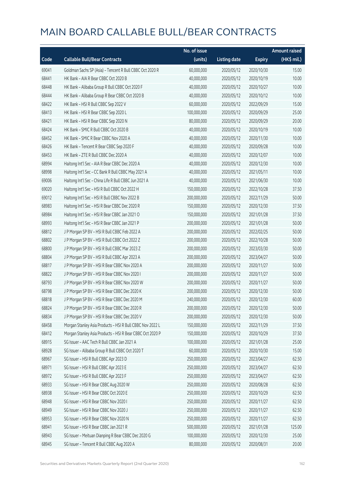|       |                                                           | No. of issue |                     |               | <b>Amount raised</b> |
|-------|-----------------------------------------------------------|--------------|---------------------|---------------|----------------------|
| Code  | <b>Callable Bull/Bear Contracts</b>                       | (units)      | <b>Listing date</b> | <b>Expiry</b> | (HK\$ mil.)          |
| 69041 | Goldman Sachs SP (Asia) - Tencent R Bull CBBC Oct 2020 R  | 60,000,000   | 2020/05/12          | 2020/10/30    | 15.00                |
| 68441 | HK Bank - AIA R Bear CBBC Oct 2020 B                      | 40,000,000   | 2020/05/12          | 2020/10/19    | 10.00                |
| 68448 | HK Bank - Alibaba Group R Bull CBBC Oct 2020 F            | 40,000,000   | 2020/05/12          | 2020/10/27    | 10.00                |
| 68444 | HK Bank - Alibaba Group R Bear CBBC Oct 2020 B            | 40,000,000   | 2020/05/12          | 2020/10/12    | 10.00                |
| 68422 | HK Bank - HSI R Bull CBBC Sep 2022 V                      | 60,000,000   | 2020/05/12          | 2022/09/29    | 15.00                |
| 68413 | HK Bank - HSI R Bear CBBC Sep 2020 L                      | 100,000,000  | 2020/05/12          | 2020/09/29    | 25.00                |
| 68421 | HK Bank - HSI R Bear CBBC Sep 2020 N                      | 80,000,000   | 2020/05/12          | 2020/09/29    | 20.00                |
| 68424 | HK Bank - SMIC R Bull CBBC Oct 2020 B                     | 40,000,000   | 2020/05/12          | 2020/10/19    | 10.00                |
| 68452 | HK Bank - SMIC R Bear CBBC Nov 2020 A                     | 40,000,000   | 2020/05/12          | 2020/11/30    | 10.00                |
| 68426 | HK Bank - Tencent R Bear CBBC Sep 2020 F                  | 40,000,000   | 2020/05/12          | 2020/09/28    | 10.00                |
| 68453 | HK Bank - ZTE R Bull CBBC Dec 2020 A                      | 40,000,000   | 2020/05/12          | 2020/12/07    | 10.00                |
| 68994 | Haitong Int'l Sec - AIA R Bear CBBC Dec 2020 A            | 40,000,000   | 2020/05/12          | 2020/12/30    | 10.00                |
| 68998 | Haitong Int'l Sec - CC Bank R Bull CBBC May 2021 A        | 40,000,000   | 2020/05/12          | 2021/05/11    | 10.00                |
| 69006 | Haitong Int'l Sec - China Life R Bull CBBC Jun 2021 A     | 40,000,000   | 2020/05/12          | 2021/06/30    | 10.00                |
| 69020 | Haitong Int'l Sec - HSI R Bull CBBC Oct 2022 H            | 150,000,000  | 2020/05/12          | 2022/10/28    | 37.50                |
| 69012 | Haitong Int'l Sec - HSI R Bull CBBC Nov 2022 B            | 200,000,000  | 2020/05/12          | 2022/11/29    | 50.00                |
| 68983 | Haitong Int'l Sec - HSI R Bear CBBC Dec 2020 R            | 150,000,000  | 2020/05/12          | 2020/12/30    | 37.50                |
| 68984 | Haitong Int'l Sec - HSI R Bear CBBC Jan 2021 O            | 150,000,000  | 2020/05/12          | 2021/01/28    | 37.50                |
| 68993 | Haitong Int'l Sec - HSI R Bear CBBC Jan 2021 P            | 200,000,000  | 2020/05/12          | 2021/01/28    | 50.00                |
| 68812 | J P Morgan SP BV - HSI R Bull CBBC Feb 2022 A             | 200,000,000  | 2020/05/12          | 2022/02/25    | 50.00                |
| 68802 | J P Morgan SP BV - HSI R Bull CBBC Oct 2022 Z             | 200,000,000  | 2020/05/12          | 2022/10/28    | 50.00                |
| 68800 | J P Morgan SP BV - HSI R Bull CBBC Mar 2023 Z             | 200,000,000  | 2020/05/12          | 2023/03/30    | 50.00                |
| 68804 | J P Morgan SP BV - HSI R Bull CBBC Apr 2023 A             | 200,000,000  | 2020/05/12          | 2023/04/27    | 50.00                |
| 68817 | J P Morgan SP BV - HSI R Bear CBBC Nov 2020 A             | 200,000,000  | 2020/05/12          | 2020/11/27    | 50.00                |
| 68822 | J P Morgan SP BV - HSI R Bear CBBC Nov 2020 I             | 200,000,000  | 2020/05/12          | 2020/11/27    | 50.00                |
| 68793 | J P Morgan SP BV - HSI R Bear CBBC Nov 2020 W             | 200,000,000  | 2020/05/12          | 2020/11/27    | 50.00                |
| 68798 | J P Morgan SP BV - HSI R Bear CBBC Dec 2020 K             | 200,000,000  | 2020/05/12          | 2020/12/30    | 50.00                |
| 68818 | J P Morgan SP BV - HSI R Bear CBBC Dec 2020 M             | 240,000,000  | 2020/05/12          | 2020/12/30    | 60.00                |
| 68824 | J P Morgan SP BV - HSI R Bear CBBC Dec 2020 R             | 200,000,000  | 2020/05/12          | 2020/12/30    | 50.00                |
| 68834 | J P Morgan SP BV - HSI R Bear CBBC Dec 2020 V             | 200,000,000  | 2020/05/12          | 2020/12/30    | 50.00                |
| 68458 | Morgan Stanley Asia Products - HSI R Bull CBBC Nov 2022 L | 150,000,000  | 2020/05/12          | 2022/11/29    | 37.50                |
| 68412 | Morgan Stanley Asia Products - HSI R Bear CBBC Oct 2020 P | 150,000,000  | 2020/05/12          | 2020/10/29    | 37.50                |
| 68915 | SG Issuer - AAC Tech R Bull CBBC Jan 2021 A               | 100,000,000  | 2020/05/12          | 2021/01/28    | 25.00                |
| 68928 | SG Issuer - Alibaba Group R Bull CBBC Oct 2020 T          | 60,000,000   | 2020/05/12          | 2020/10/30    | 15.00                |
| 68967 | SG Issuer - HSI R Bull CBBC Apr 2023 D                    | 250,000,000  | 2020/05/12          | 2023/04/27    | 62.50                |
| 68971 | SG Issuer - HSI R Bull CBBC Apr 2023 E                    | 250,000,000  | 2020/05/12          | 2023/04/27    | 62.50                |
| 68972 | SG Issuer - HSI R Bull CBBC Apr 2023 F                    | 250,000,000  | 2020/05/12          | 2023/04/27    | 62.50                |
| 68933 | SG Issuer - HSI R Bear CBBC Aug 2020 W                    | 250,000,000  | 2020/05/12          | 2020/08/28    | 62.50                |
| 68938 | SG Issuer - HSI R Bear CBBC Oct 2020 E                    | 250,000,000  | 2020/05/12          | 2020/10/29    | 62.50                |
| 68948 | SG Issuer - HSI R Bear CBBC Nov 2020 I                    | 250,000,000  | 2020/05/12          | 2020/11/27    | 62.50                |
| 68949 | SG Issuer - HSI R Bear CBBC Nov 2020 J                    | 250,000,000  | 2020/05/12          | 2020/11/27    | 62.50                |
| 68953 | SG Issuer - HSI R Bear CBBC Nov 2020 N                    | 250,000,000  | 2020/05/12          | 2020/11/27    | 62.50                |
| 68941 | SG Issuer - HSI R Bear CBBC Jan 2021 R                    | 500,000,000  | 2020/05/12          | 2021/01/28    | 125.00               |
| 68943 | SG Issuer - Meituan Dianping R Bear CBBC Dec 2020 G       | 100,000,000  | 2020/05/12          | 2020/12/30    | 25.00                |
| 68945 | SG Issuer - Tencent R Bull CBBC Aug 2020 A                | 80,000,000   | 2020/05/12          | 2020/08/31    | 20.00                |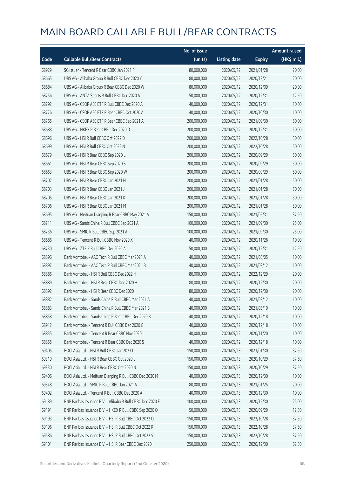|       |                                                            | No. of issue |                     |               | <b>Amount raised</b> |
|-------|------------------------------------------------------------|--------------|---------------------|---------------|----------------------|
| Code  | <b>Callable Bull/Bear Contracts</b>                        | (units)      | <b>Listing date</b> | <b>Expiry</b> | (HK\$ mil.)          |
| 68929 | SG Issuer - Tencent R Bear CBBC Jan 2021 F                 | 80,000,000   | 2020/05/12          | 2021/01/28    | 20.00                |
| 68665 | UBS AG - Alibaba Group R Bull CBBC Dec 2020 Y              | 80,000,000   | 2020/05/12          | 2020/12/21    | 20.00                |
| 68684 | UBS AG - Alibaba Group R Bear CBBC Dec 2020 W              | 80,000,000   | 2020/05/12          | 2020/12/09    | 20.00                |
| 68756 | UBS AG - ANTA Sports R Bull CBBC Dec 2020 A                | 50,000,000   | 2020/05/12          | 2020/12/31    | 12.50                |
| 68792 | UBS AG - CSOP A50 ETF R Bull CBBC Dec 2020 A               | 40,000,000   | 2020/05/12          | 2020/12/31    | 10.00                |
| 68776 | UBS AG - CSOP A50 ETF R Bear CBBC Oct 2020 A               | 40,000,000   | 2020/05/12          | 2020/10/30    | 10.00                |
| 68765 | UBS AG - CSOP A50 ETF R Bear CBBC Sep 2021 A               | 200,000,000  | 2020/05/12          | 2021/09/30    | 50.00                |
| 68688 | UBS AG - HKEX R Bear CBBC Dec 2020 D                       | 200,000,000  | 2020/05/12          | 2020/12/31    | 50.00                |
| 68696 | UBS AG - HSI R Bull CBBC Oct 2022 D                        | 200,000,000  | 2020/05/12          | 2022/10/28    | 50.00                |
| 68699 | UBS AG - HSI R Bull CBBC Oct 2022 N                        | 200,000,000  | 2020/05/12          | 2022/10/28    | 50.00                |
| 68679 | UBS AG - HSI R Bear CBBC Sep 2020 L                        | 200,000,000  | 2020/05/12          | 2020/09/29    | 50.00                |
| 68661 | UBS AG - HSI R Bear CBBC Sep 2020 S                        | 200,000,000  | 2020/05/12          | 2020/09/29    | 50.00                |
| 68663 | UBS AG - HSI R Bear CBBC Sep 2020 W                        | 200,000,000  | 2020/05/12          | 2020/09/29    | 50.00                |
| 68702 | UBS AG - HSI R Bear CBBC Jan 2021 H                        | 200,000,000  | 2020/05/12          | 2021/01/28    | 50.00                |
| 68703 | UBS AG - HSI R Bear CBBC Jan 2021 J                        | 200,000,000  | 2020/05/12          | 2021/01/28    | 50.00                |
| 68705 | UBS AG - HSI R Bear CBBC Jan 2021 K                        | 200,000,000  | 2020/05/12          | 2021/01/28    | 50.00                |
| 68706 | UBS AG - HSI R Bear CBBC Jan 2021 M                        | 200,000,000  | 2020/05/12          | 2021/01/28    | 50.00                |
| 68695 | UBS AG - Meituan Dianping R Bear CBBC May 2021 A           | 150,000,000  | 2020/05/12          | 2021/05/31    | 37.50                |
| 68711 | UBS AG - Sands China R Bull CBBC Sep 2021 A                | 100,000,000  | 2020/05/12          | 2021/09/30    | 25.00                |
| 68736 | UBS AG - SMIC R Bull CBBC Sep 2021 A                       | 100,000,000  | 2020/05/12          | 2021/09/30    | 25.00                |
| 68686 | UBS AG - Tencent R Bull CBBC Nov 2020 X                    | 40,000,000   | 2020/05/12          | 2020/11/26    | 10.00                |
| 68730 | UBS AG - ZTE R Bull CBBC Dec 2020 A                        | 50,000,000   | 2020/05/12          | 2020/12/31    | 12.50                |
| 68896 | Bank Vontobel - AAC Tech R Bull CBBC Mar 2021 A            | 40,000,000   | 2020/05/12          | 2021/03/05    | 10.00                |
| 68897 | Bank Vontobel - AAC Tech R Bull CBBC Mar 2021 B            | 40,000,000   | 2020/05/12          | 2021/03/12    | 10.00                |
| 68886 | Bank Vontobel - HSI R Bull CBBC Dec 2022 H                 | 80,000,000   | 2020/05/12          | 2022/12/29    | 20.00                |
| 68889 | Bank Vontobel - HSI R Bear CBBC Dec 2020 H                 | 80,000,000   | 2020/05/12          | 2020/12/30    | 20.00                |
| 68892 | Bank Vontobel - HSI R Bear CBBC Dec 2020 I                 | 80,000,000   | 2020/05/12          | 2020/12/30    | 20.00                |
| 68882 | Bank Vontobel - Sands China R Bull CBBC Mar 2021 A         | 40,000,000   | 2020/05/12          | 2021/03/12    | 10.00                |
| 68883 | Bank Vontobel - Sands China R Bull CBBC Mar 2021 B         | 40,000,000   | 2020/05/12          | 2021/03/19    | 10.00                |
| 68858 | Bank Vontobel - Sands China R Bear CBBC Dec 2020 B         | 40,000,000   | 2020/05/12          | 2020/12/18    | 10.00                |
| 68912 | Bank Vontobel - Tencent R Bull CBBC Dec 2020 C             | 40,000,000   | 2020/05/12          | 2020/12/18    | 10.00                |
| 68835 | Bank Vontobel - Tencent R Bear CBBC Nov 2020 L             | 40,000,000   | 2020/05/12          | 2020/11/20    | 10.00                |
| 68855 | Bank Vontobel - Tencent R Bear CBBC Dec 2020 S             | 40,000,000   | 2020/05/12          | 2020/12/18    | 10.00                |
| 69405 | BOCI Asia Ltd. - HSI R Bull CBBC Jan 2023 I                | 150,000,000  | 2020/05/13          | 2023/01/30    | 37.50                |
| 69319 | BOCI Asia Ltd. - HSI R Bear CBBC Oct 2020 L                | 150,000,000  | 2020/05/13          | 2020/10/29    | 37.50                |
| 69330 | BOCI Asia Ltd. - HSI R Bear CBBC Oct 2020 N                | 150,000,000  | 2020/05/13          | 2020/10/29    | 37.50                |
| 69406 | BOCI Asia Ltd. - Meituan Dianping R Bull CBBC Dec 2020 M   | 40,000,000   | 2020/05/13          | 2020/12/30    | 10.00                |
| 69348 | BOCI Asia Ltd. - SMIC R Bull CBBC Jan 2021 A               | 80,000,000   | 2020/05/13          | 2021/01/25    | 20.00                |
| 69402 | BOCI Asia Ltd. - Tencent R Bull CBBC Dec 2020 A            | 40,000,000   | 2020/05/13          | 2020/12/30    | 10.00                |
| 69189 | BNP Paribas Issuance B.V. - Alibaba R Bull CBBC Dec 2020 E | 100,000,000  | 2020/05/13          | 2020/12/30    | 25.00                |
| 69191 | BNP Paribas Issuance B.V. - HKEX R Bull CBBC Sep 2020 O    | 50,000,000   | 2020/05/13          | 2020/09/29    | 12.50                |
| 69193 | BNP Paribas Issuance B.V. - HSI R Bull CBBC Oct 2022 Q     | 150,000,000  | 2020/05/13          | 2022/10/28    | 37.50                |
| 69196 | BNP Paribas Issuance B.V. - HSI R Bull CBBC Oct 2022 R     | 150,000,000  | 2020/05/13          | 2022/10/28    | 37.50                |
| 69586 | BNP Paribas Issuance B.V. - HSI R Bull CBBC Oct 2022 S     | 150,000,000  | 2020/05/13          | 2022/10/28    | 37.50                |
| 69101 | BNP Paribas Issuance B.V. - HSI R Bear CBBC Dec 2020 I     | 250,000,000  | 2020/05/13          | 2020/12/30    | 62.50                |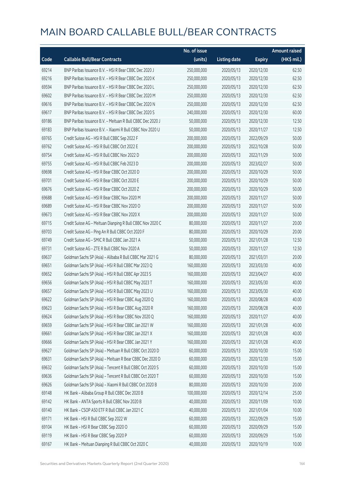|       |                                                            | No. of issue |                     |               | <b>Amount raised</b> |
|-------|------------------------------------------------------------|--------------|---------------------|---------------|----------------------|
| Code  | <b>Callable Bull/Bear Contracts</b>                        | (units)      | <b>Listing date</b> | <b>Expiry</b> | (HK\$ mil.)          |
| 69214 | BNP Paribas Issuance B.V. - HSI R Bear CBBC Dec 2020 J     | 250,000,000  | 2020/05/13          | 2020/12/30    | 62.50                |
| 69216 | BNP Paribas Issuance B.V. - HSI R Bear CBBC Dec 2020 K     | 250,000,000  | 2020/05/13          | 2020/12/30    | 62.50                |
| 69594 | BNP Paribas Issuance B.V. - HSI R Bear CBBC Dec 2020 L     | 250,000,000  | 2020/05/13          | 2020/12/30    | 62.50                |
| 69602 | BNP Paribas Issuance B.V. - HSI R Bear CBBC Dec 2020 M     | 250,000,000  | 2020/05/13          | 2020/12/30    | 62.50                |
| 69616 | BNP Paribas Issuance B.V. - HSI R Bear CBBC Dec 2020 N     | 250,000,000  | 2020/05/13          | 2020/12/30    | 62.50                |
| 69617 | BNP Paribas Issuance B.V. - HSI R Bear CBBC Dec 2020 S     | 240,000,000  | 2020/05/13          | 2020/12/30    | 60.00                |
| 69186 | BNP Paribas Issuance B.V. - Meituan R Bull CBBC Dec 2020 J | 50,000,000   | 2020/05/13          | 2020/12/30    | 12.50                |
| 69183 | BNP Paribas Issuance B.V. - Xiaomi R Bull CBBC Nov 2020 U  | 50,000,000   | 2020/05/13          | 2020/11/27    | 12.50                |
| 69765 | Credit Suisse AG - HSI R Bull CBBC Sep 2022 F              | 200,000,000  | 2020/05/13          | 2022/09/29    | 50.00                |
| 69762 | Credit Suisse AG - HSI R Bull CBBC Oct 2022 E              | 200,000,000  | 2020/05/13          | 2022/10/28    | 50.00                |
| 69754 | Credit Suisse AG - HSI R Bull CBBC Nov 2022 D              | 200,000,000  | 2020/05/13          | 2022/11/29    | 50.00                |
| 69755 | Credit Suisse AG - HSI R Bull CBBC Feb 2023 D              | 200,000,000  | 2020/05/13          | 2023/02/27    | 50.00                |
| 69698 | Credit Suisse AG - HSI R Bear CBBC Oct 2020 D              | 200,000,000  | 2020/05/13          | 2020/10/29    | 50.00                |
| 69701 | Credit Suisse AG - HSI R Bear CBBC Oct 2020 E              | 200,000,000  | 2020/05/13          | 2020/10/29    | 50.00                |
| 69676 | Credit Suisse AG - HSI R Bear CBBC Oct 2020 Z              | 200,000,000  | 2020/05/13          | 2020/10/29    | 50.00                |
| 69688 | Credit Suisse AG - HSI R Bear CBBC Nov 2020 M              | 200,000,000  | 2020/05/13          | 2020/11/27    | 50.00                |
| 69689 | Credit Suisse AG - HSI R Bear CBBC Nov 2020 O              | 200,000,000  | 2020/05/13          | 2020/11/27    | 50.00                |
| 69673 | Credit Suisse AG - HSI R Bear CBBC Nov 2020 X              | 200,000,000  | 2020/05/13          | 2020/11/27    | 50.00                |
| 69715 | Credit Suisse AG - Meituan Dianping R Bull CBBC Nov 2020 C | 80,000,000   | 2020/05/13          | 2020/11/27    | 20.00                |
| 69703 | Credit Suisse AG - Ping An R Bull CBBC Oct 2020 F          | 80,000,000   | 2020/05/13          | 2020/10/29    | 20.00                |
| 69749 | Credit Suisse AG - SMIC R Bull CBBC Jan 2021 A             | 50,000,000   | 2020/05/13          | 2021/01/28    | 12.50                |
| 69731 | Credit Suisse AG - ZTE R Bull CBBC Nov 2020 A              | 50,000,000   | 2020/05/13          | 2020/11/27    | 12.50                |
| 69637 | Goldman Sachs SP (Asia) - Alibaba R Bull CBBC Mar 2021 G   | 80,000,000   | 2020/05/13          | 2021/03/31    | 20.00                |
| 69651 | Goldman Sachs SP (Asia) - HSI R Bull CBBC Mar 2023 Q       | 160,000,000  | 2020/05/13          | 2023/03/30    | 40.00                |
| 69652 | Goldman Sachs SP (Asia) - HSI R Bull CBBC Apr 2023 S       | 160,000,000  | 2020/05/13          | 2023/04/27    | 40.00                |
| 69656 | Goldman Sachs SP (Asia) - HSI R Bull CBBC May 2023 T       | 160,000,000  | 2020/05/13          | 2023/05/30    | 40.00                |
| 69657 | Goldman Sachs SP (Asia) - HSI R Bull CBBC May 2023 U       | 160,000,000  | 2020/05/13          | 2023/05/30    | 40.00                |
| 69622 | Goldman Sachs SP (Asia) - HSI R Bear CBBC Aug 2020 Q       | 160,000,000  | 2020/05/13          | 2020/08/28    | 40.00                |
| 69623 | Goldman Sachs SP (Asia) - HSI R Bear CBBC Aug 2020 R       | 160,000,000  | 2020/05/13          | 2020/08/28    | 40.00                |
| 69624 | Goldman Sachs SP (Asia) - HSI R Bear CBBC Nov 2020 Q       | 160,000,000  | 2020/05/13          | 2020/11/27    | 40.00                |
| 69659 | Goldman Sachs SP (Asia) - HSI R Bear CBBC Jan 2021 W       | 160,000,000  | 2020/05/13          | 2021/01/28    | 40.00                |
| 69661 | Goldman Sachs SP (Asia) - HSI R Bear CBBC Jan 2021 X       | 160,000,000  | 2020/05/13          | 2021/01/28    | 40.00                |
| 69666 | Goldman Sachs SP (Asia) - HSI R Bear CBBC Jan 2021 Y       | 160,000,000  | 2020/05/13          | 2021/01/28    | 40.00                |
| 69627 | Goldman Sachs SP (Asia) - Meituan R Bull CBBC Oct 2020 D   | 60,000,000   | 2020/05/13          | 2020/10/30    | 15.00                |
| 69631 | Goldman Sachs SP (Asia) - Meituan R Bear CBBC Dec 2020 D   | 60,000,000   | 2020/05/13          | 2020/12/30    | 15.00                |
| 69632 | Goldman Sachs SP (Asia) - Tencent R Bull CBBC Oct 2020 S   | 60,000,000   | 2020/05/13          | 2020/10/30    | 15.00                |
| 69636 | Goldman Sachs SP (Asia) - Tencent R Bull CBBC Oct 2020 T   | 60,000,000   | 2020/05/13          | 2020/10/30    | 15.00                |
| 69626 | Goldman Sachs SP (Asia) - Xiaomi R Bull CBBC Oct 2020 B    | 80,000,000   | 2020/05/13          | 2020/10/30    | 20.00                |
| 69148 | HK Bank - Alibaba Group R Bull CBBC Dec 2020 B             | 100,000,000  | 2020/05/13          | 2020/12/14    | 25.00                |
| 69142 | HK Bank - ANTA Sports R Bull CBBC Nov 2020 B               | 40,000,000   | 2020/05/13          | 2020/11/09    | 10.00                |
| 69140 | HK Bank - CSOP A50 ETF R Bull CBBC Jan 2021 C              | 40,000,000   | 2020/05/13          | 2021/01/04    | 10.00                |
| 69171 | HK Bank - HSI R Bull CBBC Sep 2022 W                       | 60,000,000   | 2020/05/13          | 2022/09/29    | 15.00                |
| 69104 | HK Bank - HSI R Bear CBBC Sep 2020 O                       | 60,000,000   | 2020/05/13          | 2020/09/29    | 15.00                |
| 69119 | HK Bank - HSI R Bear CBBC Sep 2020 P                       | 60,000,000   | 2020/05/13          | 2020/09/29    | 15.00                |
| 69167 | HK Bank - Meituan Dianping R Bull CBBC Oct 2020 C          | 40,000,000   | 2020/05/13          | 2020/10/19    | 10.00                |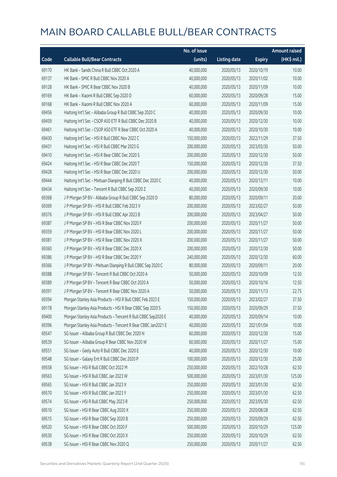|       |                                                              | No. of issue |                     |               | <b>Amount raised</b> |
|-------|--------------------------------------------------------------|--------------|---------------------|---------------|----------------------|
| Code  | <b>Callable Bull/Bear Contracts</b>                          | (units)      | <b>Listing date</b> | <b>Expiry</b> | (HK\$ mil.)          |
| 69170 | HK Bank - Sands China R Bull CBBC Oct 2020 A                 | 40,000,000   | 2020/05/13          | 2020/10/19    | 10.00                |
| 69137 | HK Bank - SMIC R Bull CBBC Nov 2020 A                        | 40,000,000   | 2020/05/13          | 2020/11/02    | 10.00                |
| 69128 | HK Bank - SMIC R Bear CBBC Nov 2020 B                        | 40,000,000   | 2020/05/13          | 2020/11/09    | 10.00                |
| 69169 | HK Bank - Xiaomi R Bull CBBC Sep 2020 D                      | 60,000,000   | 2020/05/13          | 2020/09/28    | 15.00                |
| 69168 | HK Bank - Xiaomi R Bull CBBC Nov 2020 A                      | 60,000,000   | 2020/05/13          | 2020/11/09    | 15.00                |
| 69456 | Haitong Int'l Sec - Alibaba Group R Bull CBBC Sep 2020 C     | 40,000,000   | 2020/05/13          | 2020/09/30    | 10.00                |
| 69459 | Haitong Int'l Sec - CSOP A50 ETF R Bull CBBC Dec 2020 B      | 40,000,000   | 2020/05/13          | 2020/12/30    | 10.00                |
| 69461 | Haitong Int'l Sec - CSOP A50 ETF R Bear CBBC Oct 2020 A      | 40,000,000   | 2020/05/13          | 2020/10/30    | 10.00                |
| 69430 | Haitong Int'l Sec - HSI R Bull CBBC Nov 2022 C               | 150,000,000  | 2020/05/13          | 2022/11/29    | 37.50                |
| 69431 | Haitong Int'l Sec - HSI R Bull CBBC Mar 2023 G               | 200,000,000  | 2020/05/13          | 2023/03/30    | 50.00                |
| 69410 | Haitong Int'l Sec - HSI R Bear CBBC Dec 2020 S               | 200,000,000  | 2020/05/13          | 2020/12/30    | 50.00                |
| 69424 | Haitong Int'l Sec - HSI R Bear CBBC Dec 2020 T               | 150,000,000  | 2020/05/13          | 2020/12/30    | 37.50                |
| 69428 | Haitong Int'l Sec - HSI R Bear CBBC Dec 2020 U               | 200,000,000  | 2020/05/13          | 2020/12/30    | 50.00                |
| 69444 | Haitong Int'l Sec - Meituan Dianping R Bull CBBC Dec 2020 C  | 40,000,000   | 2020/05/13          | 2020/12/11    | 10.00                |
| 69434 | Haitong Int'l Sec - Tencent R Bull CBBC Sep 2020 Z           | 40,000,000   | 2020/05/13          | 2020/09/30    | 10.00                |
| 69368 | J P Morgan SP BV - Alibaba Group R Bull CBBC Sep 2020 D      | 80,000,000   | 2020/05/13          | 2020/09/11    | 20.00                |
| 69369 | J P Morgan SP BV - HSI R Bull CBBC Feb 2023 V                | 200,000,000  | 2020/05/13          | 2023/02/27    | 50.00                |
| 69376 | J P Morgan SP BV - HSI R Bull CBBC Apr 2023 B                | 200,000,000  | 2020/05/13          | 2023/04/27    | 50.00                |
| 69387 | J P Morgan SP BV - HSI R Bear CBBC Nov 2020 F                | 200,000,000  | 2020/05/13          | 2020/11/27    | 50.00                |
| 69359 | J P Morgan SP BV - HSI R Bear CBBC Nov 2020 L                | 200,000,000  | 2020/05/13          | 2020/11/27    | 50.00                |
| 69381 | J P Morgan SP BV - HSI R Bear CBBC Nov 2020 X                | 200,000,000  | 2020/05/13          | 2020/11/27    | 50.00                |
| 69360 | J P Morgan SP BV - HSI R Bear CBBC Dec 2020 X                | 200,000,000  | 2020/05/13          | 2020/12/30    | 50.00                |
| 69386 | J P Morgan SP BV - HSI R Bear CBBC Dec 2020 Y                | 240,000,000  | 2020/05/13          | 2020/12/30    | 60.00                |
| 69366 | J P Morgan SP BV - Meituan Dianping R Bull CBBC Sep 2020 C   | 80,000,000   | 2020/05/13          | 2020/09/11    | 20.00                |
| 69388 | J P Morgan SP BV - Tencent R Bull CBBC Oct 2020 A            | 50,000,000   | 2020/05/13          | 2020/10/09    | 12.50                |
| 69389 | J P Morgan SP BV - Tencent R Bear CBBC Oct 2020 A            | 50,000,000   | 2020/05/13          | 2020/10/16    | 12.50                |
| 69391 | J P Morgan SP BV - Tencent R Bear CBBC Nov 2020 A            | 50,000,000   | 2020/05/13          | 2020/11/13    | 22.75                |
| 69394 | Morgan Stanley Asia Products - HSI R Bull CBBC Feb 2023 E    | 150,000,000  | 2020/05/13          | 2023/02/27    | 37.50                |
| 69178 | Morgan Stanley Asia Products - HSI R Bear CBBC Sep 2020 S    | 150,000,000  | 2020/05/13          | 2020/09/29    | 37.50                |
| 69400 | Morgan Stanley Asia Products - Tencent R Bull CBBC Sep2020 E | 40,000,000   | 2020/05/13          | 2020/09/14    | 10.00                |
| 69396 | Morgan Stanley Asia Products - Tencent R Bear CBBC Jan2021 E | 40,000,000   | 2020/05/13          | 2021/01/04    | 10.00                |
| 69547 | SG Issuer - Alibaba Group R Bull CBBC Dec 2020 N             | 60,000,000   | 2020/05/13          | 2020/12/30    | 15.00                |
| 69539 | SG Issuer - Alibaba Group R Bear CBBC Nov 2020 W             | 60,000,000   | 2020/05/13          | 2020/11/27    | 15.00                |
| 69551 | SG Issuer - Geely Auto R Bull CBBC Dec 2020 E                | 40,000,000   | 2020/05/13          | 2020/12/30    | 10.00                |
| 69548 | SG Issuer - Galaxy Ent R Bull CBBC Dec 2020 P                | 100,000,000  | 2020/05/13          | 2020/12/30    | 25.00                |
| 69558 | SG Issuer - HSI R Bull CBBC Oct 2022 M                       | 250,000,000  | 2020/05/13          | 2022/10/28    | 62.50                |
| 69563 | SG Issuer - HSI R Bull CBBC Jan 2023 W                       | 500,000,000  | 2020/05/13          | 2023/01/30    | 125.00               |
| 69565 | SG Issuer - HSI R Bull CBBC Jan 2023 X                       | 250,000,000  | 2020/05/13          | 2023/01/30    | 62.50                |
| 69570 | SG Issuer - HSI R Bull CBBC Jan 2023 Y                       | 250,000,000  | 2020/05/13          | 2023/01/30    | 62.50                |
| 69574 | SG Issuer - HSI R Bull CBBC May 2023 R                       | 250,000,000  | 2020/05/13          | 2023/05/30    | 62.50                |
| 69510 | SG Issuer - HSI R Bear CBBC Aug 2020 X                       | 250,000,000  | 2020/05/13          | 2020/08/28    | 62.50                |
| 69515 | SG Issuer - HSI R Bear CBBC Sep 2020 B                       | 250,000,000  | 2020/05/13          | 2020/09/29    | 62.50                |
| 69520 | SG Issuer - HSI R Bear CBBC Oct 2020 F                       | 500,000,000  | 2020/05/13          | 2020/10/29    | 125.00               |
| 69530 | SG Issuer - HSI R Bear CBBC Oct 2020 X                       | 250,000,000  | 2020/05/13          | 2020/10/29    | 62.50                |
| 69538 | SG Issuer - HSI R Bear CBBC Nov 2020 Q                       | 250,000,000  | 2020/05/13          | 2020/11/27    | 62.50                |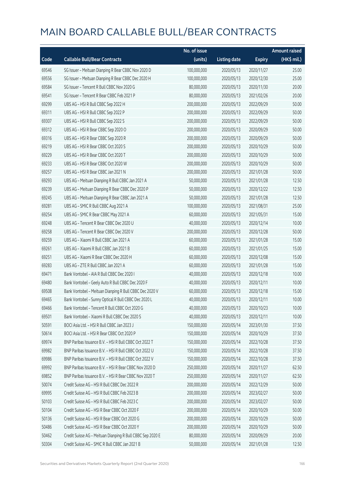|       |                                                            | No. of issue |                     |               | <b>Amount raised</b> |
|-------|------------------------------------------------------------|--------------|---------------------|---------------|----------------------|
| Code  | <b>Callable Bull/Bear Contracts</b>                        | (units)      | <b>Listing date</b> | <b>Expiry</b> | (HK\$ mil.)          |
| 69546 | SG Issuer - Meituan Dianping R Bear CBBC Nov 2020 D        | 100,000,000  | 2020/05/13          | 2020/11/27    | 25.00                |
| 69556 | SG Issuer - Meituan Dianping R Bear CBBC Dec 2020 H        | 100,000,000  | 2020/05/13          | 2020/12/30    | 25.00                |
| 69584 | SG Issuer - Tencent R Bull CBBC Nov 2020 G                 | 80,000,000   | 2020/05/13          | 2020/11/30    | 20.00                |
| 69541 | SG Issuer - Tencent R Bear CBBC Feb 2021 P                 | 80,000,000   | 2020/05/13          | 2021/02/26    | 20.00                |
| 69299 | UBS AG - HSI R Bull CBBC Sep 2022 H                        | 200,000,000  | 2020/05/13          | 2022/09/29    | 50.00                |
| 69311 | UBS AG - HSI R Bull CBBC Sep 2022 P                        | 200,000,000  | 2020/05/13          | 2022/09/29    | 50.00                |
| 69307 | UBS AG - HSI R Bull CBBC Sep 2022 S                        | 200,000,000  | 2020/05/13          | 2022/09/29    | 50.00                |
| 69312 | UBS AG - HSI R Bear CBBC Sep 2020 O                        | 200,000,000  | 2020/05/13          | 2020/09/29    | 50.00                |
| 69316 | UBS AG - HSI R Bear CBBC Sep 2020 R                        | 200,000,000  | 2020/05/13          | 2020/09/29    | 50.00                |
| 69219 | UBS AG - HSI R Bear CBBC Oct 2020 S                        | 200,000,000  | 2020/05/13          | 2020/10/29    | 50.00                |
| 69229 | UBS AG - HSI R Bear CBBC Oct 2020 T                        | 200,000,000  | 2020/05/13          | 2020/10/29    | 50.00                |
| 69233 | UBS AG - HSI R Bear CBBC Oct 2020 W                        | 200,000,000  | 2020/05/13          | 2020/10/29    | 50.00                |
| 69257 | UBS AG - HSI R Bear CBBC Jan 2021 N                        | 200,000,000  | 2020/05/13          | 2021/01/28    | 50.00                |
| 69293 | UBS AG - Meituan Dianping R Bull CBBC Jan 2021 A           | 50,000,000   | 2020/05/13          | 2021/01/28    | 12.50                |
| 69239 | UBS AG - Meituan Dianping R Bear CBBC Dec 2020 P           | 50,000,000   | 2020/05/13          | 2020/12/22    | 12.50                |
| 69245 | UBS AG - Meituan Dianping R Bear CBBC Jan 2021 A           | 50,000,000   | 2020/05/13          | 2021/01/28    | 12.50                |
| 69281 | UBS AG - SMIC R Bull CBBC Aug 2021 A                       | 100,000,000  | 2020/05/13          | 2021/08/31    | 25.00                |
| 69254 | UBS AG - SMIC R Bear CBBC May 2021 A                       | 60,000,000   | 2020/05/13          | 2021/05/31    | 15.00                |
| 69248 | UBS AG - Tencent R Bear CBBC Dec 2020 U                    | 40,000,000   | 2020/05/13          | 2020/12/14    | 10.00                |
| 69258 | UBS AG - Tencent R Bear CBBC Dec 2020 V                    | 200,000,000  | 2020/05/13          | 2020/12/28    | 50.00                |
| 69259 | UBS AG - Xiaomi R Bull CBBC Jan 2021 A                     | 60,000,000   | 2020/05/13          | 2021/01/28    | 15.00                |
| 69261 | UBS AG - Xiaomi R Bull CBBC Jan 2021 B                     | 60,000,000   | 2020/05/13          | 2021/01/25    | 15.00                |
| 69251 | UBS AG - Xiaomi R Bear CBBC Dec 2020 H                     | 60,000,000   | 2020/05/13          | 2020/12/08    | 15.00                |
| 69283 | UBS AG - ZTE R Bull CBBC Jan 2021 A                        | 60,000,000   | 2020/05/13          | 2021/01/28    | 15.00                |
| 69471 | Bank Vontobel - AIA R Bull CBBC Dec 2020 I                 | 40,000,000   | 2020/05/13          | 2020/12/18    | 10.00                |
| 69480 | Bank Vontobel - Geely Auto R Bull CBBC Dec 2020 F          | 40,000,000   | 2020/05/13          | 2020/12/11    | 10.00                |
| 69508 | Bank Vontobel - Meituan Dianping R Bull CBBC Dec 2020 V    | 60,000,000   | 2020/05/13          | 2020/12/18    | 15.00                |
| 69465 | Bank Vontobel - Sunny Optical R Bull CBBC Dec 2020 L       | 40,000,000   | 2020/05/13          | 2020/12/11    | 10.00                |
| 69466 | Bank Vontobel - Tencent R Bull CBBC Oct 2020 G             | 40,000,000   | 2020/05/13          | 2020/10/23    | 10.00                |
| 69501 | Bank Vontobel - Xiaomi R Bull CBBC Dec 2020 S              | 40,000,000   | 2020/05/13          | 2020/12/11    | 10.00                |
| 50591 | BOCI Asia Ltd. - HSI R Bull CBBC Jan 2023 J                | 150,000,000  | 2020/05/14          | 2023/01/30    | 37.50                |
| 50614 | BOCI Asia Ltd. - HSI R Bear CBBC Oct 2020 P                | 150,000,000  | 2020/05/14          | 2020/10/29    | 37.50                |
| 69974 | BNP Paribas Issuance B.V. - HSI R Bull CBBC Oct 2022 T     | 150,000,000  | 2020/05/14          | 2022/10/28    | 37.50                |
| 69982 | BNP Paribas Issuance B.V. - HSI R Bull CBBC Oct 2022 U     | 150,000,000  | 2020/05/14          | 2022/10/28    | 37.50                |
| 69986 | BNP Paribas Issuance B.V. - HSI R Bull CBBC Oct 2022 V     | 150,000,000  | 2020/05/14          | 2022/10/28    | 37.50                |
| 69992 | BNP Paribas Issuance B.V. - HSI R Bear CBBC Nov 2020 D     | 250,000,000  | 2020/05/14          | 2020/11/27    | 62.50                |
| 69852 | BNP Paribas Issuance B.V. - HSI R Bear CBBC Nov 2020 T     | 250,000,000  | 2020/05/14          | 2020/11/27    | 62.50                |
| 50074 | Credit Suisse AG - HSI R Bull CBBC Dec 2022 R              | 200,000,000  | 2020/05/14          | 2022/12/29    | 50.00                |
| 69995 | Credit Suisse AG - HSI R Bull CBBC Feb 2023 B              | 200,000,000  | 2020/05/14          | 2023/02/27    | 50.00                |
| 50103 | Credit Suisse AG - HSI R Bull CBBC Feb 2023 C              | 200,000,000  | 2020/05/14          | 2023/02/27    | 50.00                |
| 50104 | Credit Suisse AG - HSI R Bear CBBC Oct 2020 F              | 200,000,000  | 2020/05/14          | 2020/10/29    | 50.00                |
| 50136 | Credit Suisse AG - HSI R Bear CBBC Oct 2020 G              | 200,000,000  | 2020/05/14          | 2020/10/29    | 50.00                |
| 50486 | Credit Suisse AG - HSI R Bear CBBC Oct 2020 Y              | 200,000,000  | 2020/05/14          | 2020/10/29    | 50.00                |
| 50462 | Credit Suisse AG - Meituan Dianping R Bull CBBC Sep 2020 E | 80,000,000   | 2020/05/14          | 2020/09/29    | 20.00                |
| 50304 | Credit Suisse AG - SMIC R Bull CBBC Jan 2021 B             | 50,000,000   | 2020/05/14          | 2021/01/28    | 12.50                |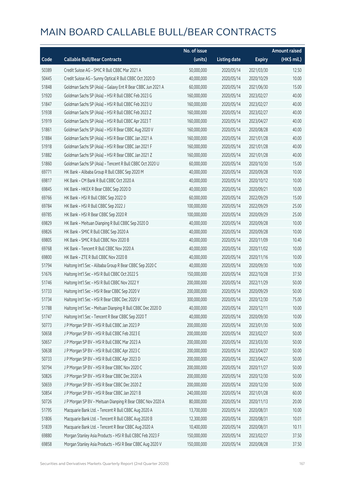|       |                                                             | No. of issue |                     |               | <b>Amount raised</b> |
|-------|-------------------------------------------------------------|--------------|---------------------|---------------|----------------------|
| Code  | <b>Callable Bull/Bear Contracts</b>                         | (units)      | <b>Listing date</b> | <b>Expiry</b> | (HK\$ mil.)          |
| 50389 | Credit Suisse AG - SMIC R Bull CBBC Mar 2021 A              | 50,000,000   | 2020/05/14          | 2021/03/30    | 12.50                |
| 50445 | Credit Suisse AG - Sunny Optical R Bull CBBC Oct 2020 D     | 40,000,000   | 2020/05/14          | 2020/10/29    | 10.00                |
| 51848 | Goldman Sachs SP (Asia) - Galaxy Ent R Bear CBBC Jun 2021 A | 60,000,000   | 2020/05/14          | 2021/06/30    | 15.00                |
| 51920 | Goldman Sachs SP (Asia) - HSI R Bull CBBC Feb 2023 G        | 160,000,000  | 2020/05/14          | 2023/02/27    | 40.00                |
| 51847 | Goldman Sachs SP (Asia) - HSI R Bull CBBC Feb 2023 U        | 160,000,000  | 2020/05/14          | 2023/02/27    | 40.00                |
| 51938 | Goldman Sachs SP (Asia) - HSI R Bull CBBC Feb 2023 Z        | 160,000,000  | 2020/05/14          | 2023/02/27    | 40.00                |
| 51919 | Goldman Sachs SP (Asia) - HSI R Bull CBBC Apr 2023 T        | 160,000,000  | 2020/05/14          | 2023/04/27    | 40.00                |
| 51861 | Goldman Sachs SP (Asia) - HSI R Bear CBBC Aug 2020 V        | 160,000,000  | 2020/05/14          | 2020/08/28    | 40.00                |
| 51884 | Goldman Sachs SP (Asia) - HSI R Bear CBBC Jan 2021 A        | 160,000,000  | 2020/05/14          | 2021/01/28    | 40.00                |
| 51918 | Goldman Sachs SP (Asia) - HSI R Bear CBBC Jan 2021 F        | 160,000,000  | 2020/05/14          | 2021/01/28    | 40.00                |
| 51882 | Goldman Sachs SP (Asia) - HSI R Bear CBBC Jan 2021 Z        | 160,000,000  | 2020/05/14          | 2021/01/28    | 40.00                |
| 51860 | Goldman Sachs SP (Asia) - Tencent R Bull CBBC Oct 2020 U    | 60,000,000   | 2020/05/14          | 2020/10/30    | 15.00                |
| 69771 | HK Bank - Alibaba Group R Bull CBBC Sep 2020 M              | 40,000,000   | 2020/05/14          | 2020/09/28    | 10.00                |
| 69817 | HK Bank - CM Bank R Bull CBBC Oct 2020 A                    | 40,000,000   | 2020/05/14          | 2020/10/12    | 10.00                |
| 69845 | HK Bank - HKEX R Bear CBBC Sep 2020 D                       | 40,000,000   | 2020/05/14          | 2020/09/21    | 10.00                |
| 69766 | HK Bank - HSI R Bull CBBC Sep 2022 D                        | 60,000,000   | 2020/05/14          | 2022/09/29    | 15.00                |
| 69784 | HK Bank - HSI R Bull CBBC Sep 2022 J                        | 100,000,000  | 2020/05/14          | 2022/09/29    | 25.00                |
| 69785 | HK Bank - HSI R Bear CBBC Sep 2020 R                        | 100,000,000  | 2020/05/14          | 2020/09/29    | 25.00                |
| 69829 | HK Bank - Meituan Dianping R Bull CBBC Sep 2020 D           | 40,000,000   | 2020/05/14          | 2020/09/28    | 10.00                |
| 69826 | HK Bank - SMIC R Bull CBBC Sep 2020 A                       | 40,000,000   | 2020/05/14          | 2020/09/28    | 10.00                |
| 69805 | HK Bank - SMIC R Bull CBBC Nov 2020 B                       | 40,000,000   | 2020/05/14          | 2020/11/09    | 10.40                |
| 69768 | HK Bank - Tencent R Bull CBBC Nov 2020 A                    | 40,000,000   | 2020/05/14          | 2020/11/02    | 10.00                |
| 69800 | HK Bank - ZTE R Bull CBBC Nov 2020 B                        | 40,000,000   | 2020/05/14          | 2020/11/16    | 10.00                |
| 51794 | Haitong Int'l Sec - Alibaba Group R Bear CBBC Sep 2020 C    | 40,000,000   | 2020/05/14          | 2020/09/30    | 10.00                |
| 51676 | Haitong Int'l Sec - HSI R Bull CBBC Oct 2022 S              | 150,000,000  | 2020/05/14          | 2022/10/28    | 37.50                |
| 51746 | Haitong Int'l Sec - HSI R Bull CBBC Nov 2022 Y              | 200,000,000  | 2020/05/14          | 2022/11/29    | 50.00                |
| 51733 | Haitong Int'l Sec - HSI R Bear CBBC Sep 2020 V              | 200,000,000  | 2020/05/14          | 2020/09/29    | 50.00                |
| 51734 | Haitong Int'l Sec - HSI R Bear CBBC Dec 2020 V              | 300,000,000  | 2020/05/14          | 2020/12/30    | 75.00                |
| 51788 | Haitong Int'l Sec - Meituan Dianping R Bull CBBC Dec 2020 D | 40,000,000   | 2020/05/14          | 2020/12/11    | 10.00                |
| 51747 | Haitong Int'l Sec - Tencent R Bear CBBC Sep 2020 T          | 40,000,000   | 2020/05/14          | 2020/09/30    | 10.00                |
| 50773 | J P Morgan SP BV - HSI R Bull CBBC Jan 2023 P               | 200,000,000  | 2020/05/14          | 2023/01/30    | 50.00                |
| 50658 | J P Morgan SP BV - HSI R Bull CBBC Feb 2023 E               | 200,000,000  | 2020/05/14          | 2023/02/27    | 50.00                |
| 50657 | J P Morgan SP BV - HSI R Bull CBBC Mar 2023 A               | 200,000,000  | 2020/05/14          | 2023/03/30    | 50.00                |
| 50638 | J P Morgan SP BV - HSI R Bull CBBC Apr 2023 C               | 200,000,000  | 2020/05/14          | 2023/04/27    | 50.00                |
| 50733 | J P Morgan SP BV - HSI R Bull CBBC Apr 2023 D               | 200,000,000  | 2020/05/14          | 2023/04/27    | 50.00                |
| 50794 | J P Morgan SP BV - HSI R Bear CBBC Nov 2020 C               | 200,000,000  | 2020/05/14          | 2020/11/27    | 50.00                |
| 50826 | J P Morgan SP BV - HSI R Bear CBBC Dec 2020 A               | 200,000,000  | 2020/05/14          | 2020/12/30    | 50.00                |
| 50659 | J P Morgan SP BV - HSI R Bear CBBC Dec 2020 Z               | 200,000,000  | 2020/05/14          | 2020/12/30    | 50.00                |
| 50854 | J P Morgan SP BV - HSI R Bear CBBC Jan 2021 B               | 240,000,000  | 2020/05/14          | 2021/01/28    | 60.00                |
| 50726 | J P Morgan SP BV - Meituan Dianping R Bear CBBC Nov 2020 A  | 80,000,000   | 2020/05/14          | 2020/11/13    | 20.00                |
| 51795 | Macquarie Bank Ltd. - Tencent R Bull CBBC Aug 2020 A        | 13,700,000   | 2020/05/14          | 2020/08/31    | 10.00                |
| 51806 | Macquarie Bank Ltd. - Tencent R Bull CBBC Aug 2020 B        | 12,300,000   | 2020/05/14          | 2020/08/31    | 10.01                |
| 51839 | Macquarie Bank Ltd. - Tencent R Bear CBBC Aug 2020 A        | 10,400,000   | 2020/05/14          | 2020/08/31    | 10.11                |
| 69880 | Morgan Stanley Asia Products - HSI R Bull CBBC Feb 2023 F   | 150,000,000  | 2020/05/14          | 2023/02/27    | 37.50                |
| 69858 | Morgan Stanley Asia Products - HSI R Bear CBBC Aug 2020 V   | 150,000,000  | 2020/05/14          | 2020/08/28    | 37.50                |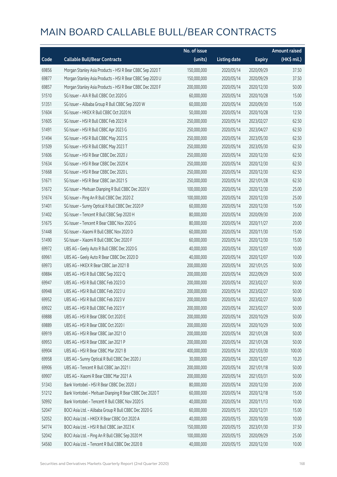|       |                                                           | No. of issue |                     |               | <b>Amount raised</b> |
|-------|-----------------------------------------------------------|--------------|---------------------|---------------|----------------------|
| Code  | <b>Callable Bull/Bear Contracts</b>                       | (units)      | <b>Listing date</b> | <b>Expiry</b> | (HK\$ mil.)          |
| 69856 | Morgan Stanley Asia Products - HSI R Bear CBBC Sep 2020 T | 150,000,000  | 2020/05/14          | 2020/09/29    | 37.50                |
| 69877 | Morgan Stanley Asia Products - HSI R Bear CBBC Sep 2020 U | 150,000,000  | 2020/05/14          | 2020/09/29    | 37.50                |
| 69857 | Morgan Stanley Asia Products - HSI R Bear CBBC Dec 2020 F | 200,000,000  | 2020/05/14          | 2020/12/30    | 50.00                |
| 51510 | SG Issuer - AIA R Bull CBBC Oct 2020 G                    | 60,000,000   | 2020/05/14          | 2020/10/28    | 15.00                |
| 51351 | SG Issuer - Alibaba Group R Bull CBBC Sep 2020 W          | 60,000,000   | 2020/05/14          | 2020/09/30    | 15.00                |
| 51604 | SG Issuer - HKEX R Bull CBBC Oct 2020 N                   | 50,000,000   | 2020/05/14          | 2020/10/28    | 12.50                |
| 51605 | SG Issuer - HSI R Bull CBBC Feb 2023 R                    | 250,000,000  | 2020/05/14          | 2023/02/27    | 62.50                |
| 51491 | SG Issuer - HSI R Bull CBBC Apr 2023 G                    | 250,000,000  | 2020/05/14          | 2023/04/27    | 62.50                |
| 51494 | SG Issuer - HSI R Bull CBBC May 2023 S                    | 250,000,000  | 2020/05/14          | 2023/05/30    | 62.50                |
| 51509 | SG Issuer - HSI R Bull CBBC May 2023 T                    | 250,000,000  | 2020/05/14          | 2023/05/30    | 62.50                |
| 51606 | SG Issuer - HSI R Bear CBBC Dec 2020 J                    | 250,000,000  | 2020/05/14          | 2020/12/30    | 62.50                |
| 51634 | SG Issuer - HSI R Bear CBBC Dec 2020 K                    | 250,000,000  | 2020/05/14          | 2020/12/30    | 62.50                |
| 51668 | SG Issuer - HSI R Bear CBBC Dec 2020 L                    | 250,000,000  | 2020/05/14          | 2020/12/30    | 62.50                |
| 51671 | SG Issuer - HSI R Bear CBBC Jan 2021 S                    | 250,000,000  | 2020/05/14          | 2021/01/28    | 62.50                |
| 51672 | SG Issuer - Meituan Dianping R Bull CBBC Dec 2020 V       | 100,000,000  | 2020/05/14          | 2020/12/30    | 25.00                |
| 51674 | SG Issuer - Ping An R Bull CBBC Dec 2020 Z                | 100,000,000  | 2020/05/14          | 2020/12/30    | 25.00                |
| 51401 | SG Issuer - Sunny Optical R Bull CBBC Dec 2020 P          | 60,000,000   | 2020/05/14          | 2020/12/30    | 15.00                |
| 51402 | SG Issuer - Tencent R Bull CBBC Sep 2020 H                | 80,000,000   | 2020/05/14          | 2020/09/30    | 20.00                |
| 51675 | SG Issuer - Tencent R Bear CBBC Nov 2020 G                | 80,000,000   | 2020/05/14          | 2020/11/27    | 20.00                |
| 51448 | SG Issuer - Xiaomi R Bull CBBC Nov 2020 D                 | 60,000,000   | 2020/05/14          | 2020/11/30    | 15.00                |
| 51490 | SG Issuer - Xiaomi R Bull CBBC Dec 2020 F                 | 60,000,000   | 2020/05/14          | 2020/12/30    | 15.00                |
| 69972 | UBS AG - Geely Auto R Bull CBBC Dec 2020 G                | 40,000,000   | 2020/05/14          | 2020/12/07    | 10.00                |
| 69961 | UBS AG - Geely Auto R Bear CBBC Dec 2020 D                | 40,000,000   | 2020/05/14          | 2020/12/07    | 10.00                |
| 69973 | UBS AG - HKEX R Bear CBBC Jan 2021 B                      | 200,000,000  | 2020/05/14          | 2021/01/25    | 50.00                |
| 69884 | UBS AG - HSI R Bull CBBC Sep 2022 Q                       | 200,000,000  | 2020/05/14          | 2022/09/29    | 50.00                |
| 69947 | UBS AG - HSI R Bull CBBC Feb 2023 O                       | 200,000,000  | 2020/05/14          | 2023/02/27    | 50.00                |
| 69948 | UBS AG - HSI R Bull CBBC Feb 2023 U                       | 200,000,000  | 2020/05/14          | 2023/02/27    | 50.00                |
| 69952 | UBS AG - HSLR Bull CBBC Feb 2023 V                        | 200,000,000  | 2020/05/14          | 2023/02/27    | 50.00                |
| 69922 | UBS AG - HSI R Bull CBBC Feb 2023 Y                       | 200,000,000  | 2020/05/14          | 2023/02/27    | 50.00                |
| 69888 | UBS AG - HSI R Bear CBBC Oct 2020 E                       | 200,000,000  | 2020/05/14          | 2020/10/29    | 50.00                |
| 69889 | UBS AG - HSI R Bear CBBC Oct 2020 I                       | 200,000,000  | 2020/05/14          | 2020/10/29    | 50.00                |
| 69919 | UBS AG - HSI R Bear CBBC Jan 2021 O                       | 200,000,000  | 2020/05/14          | 2021/01/28    | 50.00                |
| 69953 | UBS AG - HSI R Bear CBBC Jan 2021 P                       | 200,000,000  | 2020/05/14          | 2021/01/28    | 50.00                |
| 69904 | UBS AG - HSI R Bear CBBC Mar 2021 B                       | 400,000,000  | 2020/05/14          | 2021/03/30    | 100.00               |
| 69958 | UBS AG - Sunny Optical R Bull CBBC Dec 2020 J             | 30,000,000   | 2020/05/14          | 2020/12/07    | 10.20                |
| 69906 | UBS AG - Tencent R Bull CBBC Jan 2021 I                   | 200,000,000  | 2020/05/14          | 2021/01/18    | 50.00                |
| 69907 | UBS AG - Xiaomi R Bear CBBC Mar 2021 A                    | 200,000,000  | 2020/05/14          | 2021/03/31    | 50.00                |
| 51343 | Bank Vontobel - HSI R Bear CBBC Dec 2020 J                | 80,000,000   | 2020/05/14          | 2020/12/30    | 20.00                |
| 51212 | Bank Vontobel - Meituan Dianping R Bear CBBC Dec 2020 T   | 60,000,000   | 2020/05/14          | 2020/12/18    | 15.00                |
| 50992 | Bank Vontobel - Tencent R Bull CBBC Nov 2020 S            | 40,000,000   | 2020/05/14          | 2020/11/13    | 10.00                |
| 52047 | BOCI Asia Ltd. - Alibaba Group R Bull CBBC Dec 2020 G     | 60,000,000   | 2020/05/15          | 2020/12/31    | 15.00                |
| 52052 | BOCI Asia Ltd. - HKEX R Bear CBBC Oct 2020 A              | 40,000,000   | 2020/05/15          | 2020/10/30    | 10.00                |
| 54774 | BOCI Asia Ltd. - HSI R Bull CBBC Jan 2023 K               | 150,000,000  | 2020/05/15          | 2023/01/30    | 37.50                |
| 52042 | BOCI Asia Ltd. - Ping An R Bull CBBC Sep 2020 M           | 100,000,000  | 2020/05/15          | 2020/09/29    | 25.00                |
| 54560 | BOCI Asia Ltd. - Tencent R Bull CBBC Dec 2020 B           | 40,000,000   | 2020/05/15          | 2020/12/30    | 10.00                |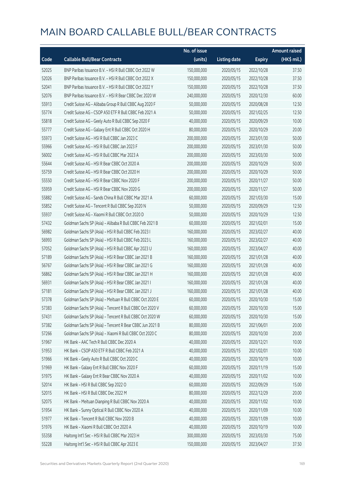|       |                                                          | No. of issue |                     |               | <b>Amount raised</b> |
|-------|----------------------------------------------------------|--------------|---------------------|---------------|----------------------|
| Code  | <b>Callable Bull/Bear Contracts</b>                      | (units)      | <b>Listing date</b> | <b>Expiry</b> | (HK\$ mil.)          |
| 52025 | BNP Paribas Issuance B.V. - HSI R Bull CBBC Oct 2022 W   | 150,000,000  | 2020/05/15          | 2022/10/28    | 37.50                |
| 52026 | BNP Paribas Issuance B.V. - HSI R Bull CBBC Oct 2022 X   | 150,000,000  | 2020/05/15          | 2022/10/28    | 37.50                |
| 52041 | BNP Paribas Issuance B.V. - HSI R Bull CBBC Oct 2022 Y   | 150,000,000  | 2020/05/15          | 2022/10/28    | 37.50                |
| 52076 | BNP Paribas Issuance B.V. - HSI R Bear CBBC Dec 2020 W   | 240,000,000  | 2020/05/15          | 2020/12/30    | 60.00                |
| 55913 | Credit Suisse AG - Alibaba Group R Bull CBBC Aug 2020 F  | 50,000,000   | 2020/05/15          | 2020/08/28    | 12.50                |
| 55774 | Credit Suisse AG - CSOP A50 ETF R Bull CBBC Feb 2021 A   | 50,000,000   | 2020/05/15          | 2021/02/25    | 12.50                |
| 55818 | Credit Suisse AG - Geely Auto R Bull CBBC Sep 2020 F     | 40,000,000   | 2020/05/15          | 2020/09/29    | 10.00                |
| 55777 | Credit Suisse AG - Galaxy Ent R Bull CBBC Oct 2020 H     | 80,000,000   | 2020/05/15          | 2020/10/29    | 20.00                |
| 55973 | Credit Suisse AG - HSI R Bull CBBC Jan 2023 C            | 200,000,000  | 2020/05/15          | 2023/01/30    | 50.00                |
| 55966 | Credit Suisse AG - HSI R Bull CBBC Jan 2023 F            | 200,000,000  | 2020/05/15          | 2023/01/30    | 50.00                |
| 56002 | Credit Suisse AG - HSI R Bull CBBC Mar 2023 A            | 200,000,000  | 2020/05/15          | 2023/03/30    | 50.00                |
| 55644 | Credit Suisse AG - HSI R Bear CBBC Oct 2020 A            | 200,000,000  | 2020/05/15          | 2020/10/29    | 50.00                |
| 55759 | Credit Suisse AG - HSI R Bear CBBC Oct 2020 H            | 200,000,000  | 2020/05/15          | 2020/10/29    | 50.00                |
| 55550 | Credit Suisse AG - HSI R Bear CBBC Nov 2020 F            | 200,000,000  | 2020/05/15          | 2020/11/27    | 50.00                |
| 55959 | Credit Suisse AG - HSI R Bear CBBC Nov 2020 G            | 200,000,000  | 2020/05/15          | 2020/11/27    | 50.00                |
| 55882 | Credit Suisse AG - Sands China R Bull CBBC Mar 2021 A    | 60,000,000   | 2020/05/15          | 2021/03/30    | 15.00                |
| 55852 | Credit Suisse AG - Tencent R Bull CBBC Sep 2020 N        | 50,000,000   | 2020/05/15          | 2020/09/29    | 12.50                |
| 55937 | Credit Suisse AG - Xiaomi R Bull CBBC Oct 2020 D         | 50,000,000   | 2020/05/15          | 2020/10/29    | 12.50                |
| 57432 | Goldman Sachs SP (Asia) - Alibaba R Bull CBBC Feb 2021 B | 60,000,000   | 2020/05/15          | 2021/02/01    | 15.00                |
| 56982 | Goldman Sachs SP (Asia) - HSI R Bull CBBC Feb 2023 I     | 160,000,000  | 2020/05/15          | 2023/02/27    | 40.00                |
| 56993 | Goldman Sachs SP (Asia) - HSI R Bull CBBC Feb 2023 L     | 160,000,000  | 2020/05/15          | 2023/02/27    | 40.00                |
| 57052 | Goldman Sachs SP (Asia) - HSI R Bull CBBC Apr 2023 U     | 160,000,000  | 2020/05/15          | 2023/04/27    | 40.00                |
| 57189 | Goldman Sachs SP (Asia) - HSI R Bear CBBC Jan 2021 B     | 160,000,000  | 2020/05/15          | 2021/01/28    | 40.00                |
| 56767 | Goldman Sachs SP (Asia) - HSI R Bear CBBC Jan 2021 G     | 160,000,000  | 2020/05/15          | 2021/01/28    | 40.00                |
| 56862 | Goldman Sachs SP (Asia) - HSI R Bear CBBC Jan 2021 H     | 160,000,000  | 2020/05/15          | 2021/01/28    | 40.00                |
| 56931 | Goldman Sachs SP (Asia) - HSI R Bear CBBC Jan 2021 I     | 160,000,000  | 2020/05/15          | 2021/01/28    | 40.00                |
| 57181 | Goldman Sachs SP (Asia) - HSI R Bear CBBC Jan 2021 J     | 160,000,000  | 2020/05/15          | 2021/01/28    | 40.00                |
| 57378 | Goldman Sachs SP (Asia) - Meituan R Bull CBBC Oct 2020 E | 60,000,000   | 2020/05/15          | 2020/10/30    | 15.00                |
| 57383 | Goldman Sachs SP (Asia) - Tencent R Bull CBBC Oct 2020 V | 60,000,000   | 2020/05/15          | 2020/10/30    | 15.00                |
| 57431 | Goldman Sachs SP (Asia) - Tencent R Bull CBBC Oct 2020 W | 60,000,000   | 2020/05/15          | 2020/10/30    | 15.00                |
| 57382 | Goldman Sachs SP (Asia) - Tencent R Bear CBBC Jun 2021 B | 80,000,000   | 2020/05/15          | 2021/06/01    | 20.00                |
| 57266 | Goldman Sachs SP (Asia) - Xiaomi R Bull CBBC Oct 2020 C  | 80,000,000   | 2020/05/15          | 2020/10/30    | 20.00                |
| 51967 | HK Bank - AAC Tech R Bull CBBC Dec 2020 A                | 40,000,000   | 2020/05/15          | 2020/12/21    | 10.00                |
| 51953 | HK Bank - CSOP A50 ETF R Bull CBBC Feb 2021 A            | 40,000,000   | 2020/05/15          | 2021/02/01    | 10.00                |
| 51966 | HK Bank - Geely Auto R Bull CBBC Oct 2020 C              | 40,000,000   | 2020/05/15          | 2020/10/19    | 10.00                |
| 51969 | HK Bank - Galaxy Ent R Bull CBBC Nov 2020 F              | 60,000,000   | 2020/05/15          | 2020/11/19    | 15.00                |
| 51975 | HK Bank - Galaxy Ent R Bear CBBC Nov 2020 A              | 40,000,000   | 2020/05/15          | 2020/11/02    | 10.00                |
| 52014 | HK Bank - HSI R Bull CBBC Sep 2022 O                     | 60,000,000   | 2020/05/15          | 2022/09/29    | 15.00                |
| 52015 | HK Bank - HSI R Bull CBBC Dec 2022 M                     | 80,000,000   | 2020/05/15          | 2022/12/29    | 20.00                |
| 52075 | HK Bank - Meituan Dianping R Bull CBBC Nov 2020 A        | 40,000,000   | 2020/05/15          | 2020/11/02    | 10.00                |
| 51954 | HK Bank - Sunny Optical R Bull CBBC Nov 2020 A           | 40,000,000   | 2020/05/15          | 2020/11/09    | 10.00                |
| 51977 | HK Bank - Tencent R Bull CBBC Nov 2020 B                 | 40,000,000   | 2020/05/15          | 2020/11/09    | 10.00                |
| 51976 | HK Bank - Xiaomi R Bull CBBC Oct 2020 A                  | 40,000,000   | 2020/05/15          | 2020/10/19    | 10.00                |
| 55358 | Haitong Int'l Sec - HSI R Bull CBBC Mar 2023 H           | 300,000,000  | 2020/05/15          | 2023/03/30    | 75.00                |
| 55228 | Haitong Int'l Sec - HSI R Bull CBBC Apr 2023 E           | 150,000,000  | 2020/05/15          | 2023/04/27    | 37.50                |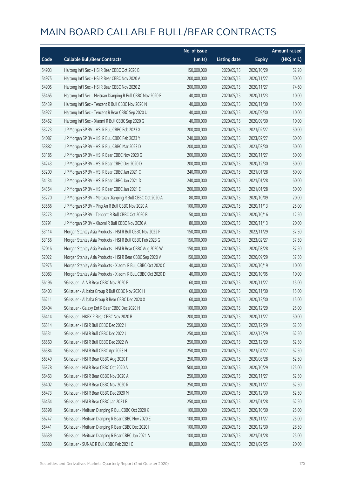|       |                                                              | No. of issue |                     |               | <b>Amount raised</b> |
|-------|--------------------------------------------------------------|--------------|---------------------|---------------|----------------------|
| Code  | <b>Callable Bull/Bear Contracts</b>                          | (units)      | <b>Listing date</b> | <b>Expiry</b> | (HK\$ mil.)          |
| 54903 | Haitong Int'l Sec - HSI R Bear CBBC Oct 2020 B               | 150,000,000  | 2020/05/15          | 2020/10/29    | 52.20                |
| 54975 | Haitong Int'l Sec - HSI R Bear CBBC Nov 2020 A               | 200,000,000  | 2020/05/15          | 2020/11/27    | 50.00                |
| 54905 | Haitong Int'l Sec - HSI R Bear CBBC Nov 2020 Z               | 200,000,000  | 2020/05/15          | 2020/11/27    | 74.60                |
| 55465 | Haitong Int'l Sec - Meituan Dianping R Bull CBBC Nov 2020 F  | 40,000,000   | 2020/05/15          | 2020/11/23    | 10.00                |
| 55439 | Haitong Int'l Sec - Tencent R Bull CBBC Nov 2020 N           | 40,000,000   | 2020/05/15          | 2020/11/30    | 10.00                |
| 54927 | Haitong Int'l Sec - Tencent R Bear CBBC Sep 2020 U           | 40,000,000   | 2020/05/15          | 2020/09/30    | 10.00                |
| 55452 | Haitong Int'l Sec - Xiaomi R Bull CBBC Sep 2020 G            | 40,000,000   | 2020/05/15          | 2020/09/30    | 10.00                |
| 53223 | J P Morgan SP BV - HSI R Bull CBBC Feb 2023 X                | 200,000,000  | 2020/05/15          | 2023/02/27    | 50.00                |
| 54087 | J P Morgan SP BV - HSI R Bull CBBC Feb 2023 Y                | 240,000,000  | 2020/05/15          | 2023/02/27    | 60.00                |
| 53882 | J P Morgan SP BV - HSI R Bull CBBC Mar 2023 D                | 200,000,000  | 2020/05/15          | 2023/03/30    | 50.00                |
| 53185 | J P Morgan SP BV - HSI R Bear CBBC Nov 2020 G                | 200,000,000  | 2020/05/15          | 2020/11/27    | 50.00                |
| 54243 | J P Morgan SP BV - HSI R Bear CBBC Dec 2020 D                | 200,000,000  | 2020/05/15          | 2020/12/30    | 50.00                |
| 53209 | J P Morgan SP BV - HSI R Bear CBBC Jan 2021 C                | 240,000,000  | 2020/05/15          | 2021/01/28    | 60.00                |
| 54134 | JP Morgan SP BV - HSIR Bear CBBC Jan 2021 D                  | 240,000,000  | 2020/05/15          | 2021/01/28    | 60.00                |
| 54354 | J P Morgan SP BV - HSI R Bear CBBC Jan 2021 E                | 200,000,000  | 2020/05/15          | 2021/01/28    | 50.00                |
| 53270 | J P Morgan SP BV - Meituan Dianping R Bull CBBC Oct 2020 A   | 80,000,000   | 2020/05/15          | 2020/10/09    | 20.00                |
| 53566 | J P Morgan SP BV - Ping An R Bull CBBC Nov 2020 A            | 100,000,000  | 2020/05/15          | 2020/11/13    | 25.00                |
| 53273 | J P Morgan SP BV - Tencent R Bull CBBC Oct 2020 B            | 50,000,000   | 2020/05/15          | 2020/10/16    | 12.50                |
| 53791 | J P Morgan SP BV - Xiaomi R Bull CBBC Nov 2020 A             | 80,000,000   | 2020/05/15          | 2020/11/13    | 20.00                |
| 53114 | Morgan Stanley Asia Products - HSI R Bull CBBC Nov 2022 F    | 150,000,000  | 2020/05/15          | 2022/11/29    | 37.50                |
| 53156 | Morgan Stanley Asia Products - HSI R Bull CBBC Feb 2023 G    | 150,000,000  | 2020/05/15          | 2023/02/27    | 37.50                |
| 52016 | Morgan Stanley Asia Products - HSI R Bear CBBC Aug 2020 W    | 150,000,000  | 2020/05/15          | 2020/08/28    | 37.50                |
| 52022 | Morgan Stanley Asia Products - HSI R Bear CBBC Sep 2020 V    | 150,000,000  | 2020/05/15          | 2020/09/29    | 37.50                |
| 52975 | Morgan Stanley Asia Products - Xiaomi R Bull CBBC Oct 2020 C | 40,000,000   | 2020/05/15          | 2020/10/19    | 10.00                |
| 53083 | Morgan Stanley Asia Products - Xiaomi R Bull CBBC Oct 2020 D | 40,000,000   | 2020/05/15          | 2020/10/05    | 10.00                |
| 56196 | SG Issuer - AIA R Bear CBBC Nov 2020 B                       | 60,000,000   | 2020/05/15          | 2020/11/27    | 15.00                |
| 56403 | SG Issuer - Alibaba Group R Bull CBBC Nov 2020 H             | 60,000,000   | 2020/05/15          | 2020/11/30    | 15.00                |
| 56211 | SG Issuer - Alibaba Group R Bear CBBC Dec 2020 X             | 60,000,000   | 2020/05/15          | 2020/12/30    | 15.00                |
| 56404 | SG Issuer - Galaxy Ent R Bear CBBC Dec 2020 H                | 100,000,000  | 2020/05/15          | 2020/12/29    | 25.00                |
| 56414 | SG Issuer - HKEX R Bear CBBC Nov 2020 B                      | 200,000,000  | 2020/05/15          | 2020/11/27    | 50.00                |
| 56514 | SG Issuer - HSI R Bull CBBC Dec 2022 I                       | 250,000,000  | 2020/05/15          | 2022/12/29    | 62.50                |
| 56531 | SG Issuer - HSI R Bull CBBC Dec 2022 J                       | 250,000,000  | 2020/05/15          | 2022/12/29    | 62.50                |
| 56560 | SG Issuer - HSI R Bull CBBC Dec 2022 W                       | 250,000,000  | 2020/05/15          | 2022/12/29    | 62.50                |
| 56584 | SG Issuer - HSI R Bull CBBC Apr 2023 H                       | 250,000,000  | 2020/05/15          | 2023/04/27    | 62.50                |
| 56349 | SG Issuer - HSI R Bear CBBC Aug 2020 F                       | 250,000,000  | 2020/05/15          | 2020/08/28    | 62.50                |
| 56378 | SG Issuer - HSI R Bear CBBC Oct 2020 A                       | 500,000,000  | 2020/05/15          | 2020/10/29    | 125.00               |
| 56463 | SG Issuer - HSI R Bear CBBC Nov 2020 A                       | 250,000,000  | 2020/05/15          | 2020/11/27    | 62.50                |
| 56402 | SG Issuer - HSI R Bear CBBC Nov 2020 R                       | 250,000,000  | 2020/05/15          | 2020/11/27    | 62.50                |
| 56473 | SG Issuer - HSI R Bear CBBC Dec 2020 M                       | 250,000,000  | 2020/05/15          | 2020/12/30    | 62.50                |
| 56454 | SG Issuer - HSI R Bear CBBC Jan 2021 B                       | 250,000,000  | 2020/05/15          | 2021/01/28    | 62.50                |
| 56598 | SG Issuer - Meituan Dianping R Bull CBBC Oct 2020 K          | 100,000,000  | 2020/05/15          | 2020/10/30    | 25.00                |
| 56247 | SG Issuer - Meituan Dianping R Bear CBBC Nov 2020 E          | 100,000,000  | 2020/05/15          | 2020/11/27    | 25.00                |
| 56441 | SG Issuer - Meituan Dianping R Bear CBBC Dec 2020 I          | 100,000,000  | 2020/05/15          | 2020/12/30    | 28.50                |
| 56639 | SG Issuer - Meituan Dianping R Bear CBBC Jan 2021 A          | 100,000,000  | 2020/05/15          | 2021/01/28    | 25.00                |
| 56680 | SG Issuer - SUNAC R Bull CBBC Feb 2021 C                     | 80,000,000   | 2020/05/15          | 2021/02/25    | 20.00                |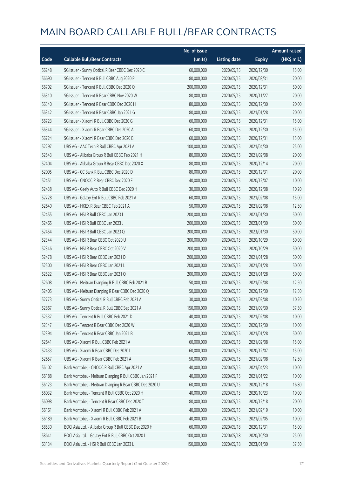|       |                                                         | No. of issue |                     |               | <b>Amount raised</b> |
|-------|---------------------------------------------------------|--------------|---------------------|---------------|----------------------|
| Code  | <b>Callable Bull/Bear Contracts</b>                     | (units)      | <b>Listing date</b> | <b>Expiry</b> | (HK\$ mil.)          |
| 56248 | SG Issuer - Sunny Optical R Bear CBBC Dec 2020 C        | 60,000,000   | 2020/05/15          | 2020/12/30    | 15.00                |
| 56690 | SG Issuer - Tencent R Bull CBBC Aug 2020 P              | 80,000,000   | 2020/05/15          | 2020/08/31    | 20.00                |
| 56702 | SG Issuer - Tencent R Bull CBBC Dec 2020 Q              | 200,000,000  | 2020/05/15          | 2020/12/31    | 50.00                |
| 56310 | SG Issuer - Tencent R Bear CBBC Nov 2020 W              | 80,000,000   | 2020/05/15          | 2020/11/27    | 20.00                |
| 56340 | SG Issuer - Tencent R Bear CBBC Dec 2020 H              | 80,000,000   | 2020/05/15          | 2020/12/30    | 20.00                |
| 56342 | SG Issuer - Tencent R Bear CBBC Jan 2021 G              | 80,000,000   | 2020/05/15          | 2021/01/28    | 20.00                |
| 56723 | SG Issuer - Xiaomi R Bull CBBC Dec 2020 G               | 60,000,000   | 2020/05/15          | 2020/12/31    | 15.00                |
| 56344 | SG Issuer - Xiaomi R Bear CBBC Dec 2020 A               | 60,000,000   | 2020/05/15          | 2020/12/30    | 15.00                |
| 56724 | SG Issuer - Xiaomi R Bear CBBC Dec 2020 B               | 60,000,000   | 2020/05/15          | 2020/12/31    | 15.00                |
| 52297 | UBS AG - AAC Tech R Bull CBBC Apr 2021 A                | 100,000,000  | 2020/05/15          | 2021/04/30    | 25.00                |
| 52543 | UBS AG - Alibaba Group R Bull CBBC Feb 2021 H           | 80,000,000   | 2020/05/15          | 2021/02/08    | 20.00                |
| 52404 | UBS AG - Alibaba Group R Bear CBBC Dec 2020 X           | 80,000,000   | 2020/05/15          | 2020/12/14    | 20.00                |
| 52095 | UBS AG - CC Bank R Bull CBBC Dec 2020 D                 | 80,000,000   | 2020/05/15          | 2020/12/31    | 20.00                |
| 52451 | UBS AG - CNOOC R Bear CBBC Dec 2020 E                   | 40,000,000   | 2020/05/15          | 2020/12/07    | 10.00                |
| 52438 | UBS AG - Geely Auto R Bull CBBC Dec 2020 H              | 30,000,000   | 2020/05/15          | 2020/12/08    | 10.20                |
| 52728 | UBS AG - Galaxy Ent R Bull CBBC Feb 2021 A              | 60,000,000   | 2020/05/15          | 2021/02/08    | 15.00                |
| 52640 | UBS AG - HKEX R Bear CBBC Feb 2021 A                    | 50,000,000   | 2020/05/15          | 2021/02/08    | 12.50                |
| 52455 | UBS AG - HSI R Bull CBBC Jan 2023 I                     | 200,000,000  | 2020/05/15          | 2023/01/30    | 50.00                |
| 52465 | UBS AG - HSI R Bull CBBC Jan 2023 J                     | 200,000,000  | 2020/05/15          | 2023/01/30    | 50.00                |
| 52454 | UBS AG - HSI R Bull CBBC Jan 2023 Q                     | 200,000,000  | 2020/05/15          | 2023/01/30    | 50.00                |
| 52344 | UBS AG - HSI R Bear CBBC Oct 2020 U                     | 200,000,000  | 2020/05/15          | 2020/10/29    | 50.00                |
| 52346 | UBS AG - HSI R Bear CBBC Oct 2020 V                     | 200,000,000  | 2020/05/15          | 2020/10/29    | 50.00                |
| 52478 | UBS AG - HSI R Bear CBBC Jan 2021 D                     | 200,000,000  | 2020/05/15          | 2021/01/28    | 50.00                |
| 52500 | UBS AG - HSI R Bear CBBC Jan 2021 L                     | 200,000,000  | 2020/05/15          | 2021/01/28    | 50.00                |
| 52522 | UBS AG - HSI R Bear CBBC Jan 2021 Q                     | 200,000,000  | 2020/05/15          | 2021/01/28    | 50.00                |
| 52608 | UBS AG - Meituan Dianping R Bull CBBC Feb 2021 B        | 50,000,000   | 2020/05/15          | 2021/02/08    | 12.50                |
| 52405 | UBS AG - Meituan Dianping R Bear CBBC Dec 2020 Q        | 50,000,000   | 2020/05/15          | 2020/12/30    | 12.50                |
| 52773 | UBS AG - Sunny Optical R Bull CBBC Feb 2021 A           | 30,000,000   | 2020/05/15          | 2021/02/08    | 10.20                |
| 52867 | UBS AG - Sunny Optical R Bull CBBC Sep 2021 A           | 150,000,000  | 2020/05/15          | 2021/09/30    | 37.50                |
| 52537 | UBS AG - Tencent R Bull CBBC Feb 2021 D                 | 40,000,000   | 2020/05/15          | 2021/02/08    | 10.00                |
| 52347 | UBS AG - Tencent R Bear CBBC Dec 2020 W                 | 40,000,000   | 2020/05/15          | 2020/12/30    | 10.00                |
| 52394 | UBS AG - Tencent R Bear CBBC Jan 2021 B                 | 200,000,000  | 2020/05/15          | 2021/01/28    | 50.00                |
| 52641 | UBS AG - Xiaomi R Bull CBBC Feb 2021 A                  | 60,000,000   | 2020/05/15          | 2021/02/08    | 15.00                |
| 52433 | UBS AG - Xiaomi R Bear CBBC Dec 2020 I                  | 60,000,000   | 2020/05/15          | 2020/12/07    | 15.00                |
| 52657 | UBS AG - Xiaomi R Bear CBBC Feb 2021 A                  | 50,000,000   | 2020/05/15          | 2021/02/08    | 12.50                |
| 56102 | Bank Vontobel - CNOOC R Bull CBBC Apr 2021 A            | 40,000,000   | 2020/05/15          | 2021/04/23    | 10.00                |
| 56188 | Bank Vontobel - Meituan Dianping R Bull CBBC Jan 2021 F | 40,000,000   | 2020/05/15          | 2021/01/22    | 10.00                |
| 56123 | Bank Vontobel - Meituan Dianping R Bear CBBC Dec 2020 U | 60,000,000   | 2020/05/15          | 2020/12/18    | 16.80                |
| 56032 | Bank Vontobel - Tencent R Bull CBBC Oct 2020 H          | 40,000,000   | 2020/05/15          | 2020/10/23    | 10.00                |
| 56098 | Bank Vontobel - Tencent R Bear CBBC Dec 2020 T          | 80,000,000   | 2020/05/15          | 2020/12/18    | 20.00                |
| 56161 | Bank Vontobel - Xiaomi R Bull CBBC Feb 2021 A           | 40,000,000   | 2020/05/15          | 2021/02/19    | 10.00                |
| 56189 | Bank Vontobel - Xiaomi R Bull CBBC Feb 2021 B           | 40,000,000   | 2020/05/15          | 2021/02/05    | 10.00                |
| 58530 | BOCI Asia Ltd. - Alibaba Group R Bull CBBC Dec 2020 H   | 60,000,000   | 2020/05/18          | 2020/12/31    | 15.00                |
| 58641 | BOCI Asia Ltd. - Galaxy Ent R Bull CBBC Oct 2020 L      | 100,000,000  | 2020/05/18          | 2020/10/30    | 25.00                |
| 63134 | BOCI Asia Ltd. - HSI R Bull CBBC Jan 2023 L             | 150,000,000  | 2020/05/18          | 2023/01/30    | 37.50                |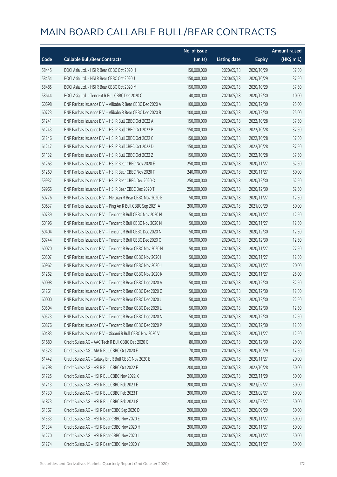|       |                                                            | No. of issue |                     |               | <b>Amount raised</b> |
|-------|------------------------------------------------------------|--------------|---------------------|---------------|----------------------|
| Code  | <b>Callable Bull/Bear Contracts</b>                        | (units)      | <b>Listing date</b> | <b>Expiry</b> | (HK\$ mil.)          |
| 58445 | BOCI Asia Ltd. - HSI R Bear CBBC Oct 2020 H                | 150,000,000  | 2020/05/18          | 2020/10/29    | 37.50                |
| 58454 | BOCI Asia Ltd. - HSI R Bear CBBC Oct 2020 J                | 150,000,000  | 2020/05/18          | 2020/10/29    | 37.50                |
| 58485 | BOCI Asia Ltd. - HSI R Bear CBBC Oct 2020 M                | 150,000,000  | 2020/05/18          | 2020/10/29    | 37.50                |
| 58644 | BOCI Asia Ltd. - Tencent R Bull CBBC Dec 2020 C            | 40,000,000   | 2020/05/18          | 2020/12/30    | 10.00                |
| 60698 | BNP Paribas Issuance B.V. - Alibaba R Bear CBBC Dec 2020 A | 100,000,000  | 2020/05/18          | 2020/12/30    | 25.00                |
| 60723 | BNP Paribas Issuance B.V. - Alibaba R Bear CBBC Dec 2020 B | 100,000,000  | 2020/05/18          | 2020/12/30    | 25.00                |
| 61241 | BNP Paribas Issuance B.V. - HSI R Bull CBBC Oct 2022 A     | 150,000,000  | 2020/05/18          | 2022/10/28    | 37.50                |
| 61243 | BNP Paribas Issuance B.V. - HSI R Bull CBBC Oct 2022 B     | 150,000,000  | 2020/05/18          | 2022/10/28    | 37.50                |
| 61246 | BNP Paribas Issuance B.V. - HSI R Bull CBBC Oct 2022 C     | 150,000,000  | 2020/05/18          | 2022/10/28    | 37.50                |
| 61247 | BNP Paribas Issuance B.V. - HSI R Bull CBBC Oct 2022 D     | 150,000,000  | 2020/05/18          | 2022/10/28    | 37.50                |
| 61132 | BNP Paribas Issuance B.V. - HSI R Bull CBBC Oct 2022 Z     | 150,000,000  | 2020/05/18          | 2022/10/28    | 37.50                |
| 61263 | BNP Paribas Issuance B.V. - HSI R Bear CBBC Nov 2020 E     | 250,000,000  | 2020/05/18          | 2020/11/27    | 62.50                |
| 61269 | BNP Paribas Issuance B.V. - HSI R Bear CBBC Nov 2020 F     | 240,000,000  | 2020/05/18          | 2020/11/27    | 60.00                |
| 59937 | BNP Paribas Issuance B.V. - HSI R Bear CBBC Dec 2020 O     | 250,000,000  | 2020/05/18          | 2020/12/30    | 62.50                |
| 59966 | BNP Paribas Issuance B.V. - HSI R Bear CBBC Dec 2020 T     | 250,000,000  | 2020/05/18          | 2020/12/30    | 62.50                |
| 60776 | BNP Paribas Issuance B.V. - Meituan R Bear CBBC Nov 2020 E | 50,000,000   | 2020/05/18          | 2020/11/27    | 12.50                |
| 60637 | BNP Paribas Issuance B.V. - Ping An R Bull CBBC Sep 2021 A | 200,000,000  | 2020/05/18          | 2021/09/29    | 50.00                |
| 60739 | BNP Paribas Issuance B.V. - Tencent R Bull CBBC Nov 2020 M | 50,000,000   | 2020/05/18          | 2020/11/27    | 12.50                |
| 60196 | BNP Paribas Issuance B.V. - Tencent R Bull CBBC Nov 2020 N | 50,000,000   | 2020/05/18          | 2020/11/27    | 12.50                |
| 60404 | BNP Paribas Issuance B.V. - Tencent R Bull CBBC Dec 2020 N | 50,000,000   | 2020/05/18          | 2020/12/30    | 12.50                |
| 60744 | BNP Paribas Issuance B.V. - Tencent R Bull CBBC Dec 2020 O | 50,000,000   | 2020/05/18          | 2020/12/30    | 12.50                |
| 60020 | BNP Paribas Issuance B.V. - Tencent R Bear CBBC Nov 2020 H | 50,000,000   | 2020/05/18          | 2020/11/27    | 27.50                |
| 60507 | BNP Paribas Issuance B.V. - Tencent R Bear CBBC Nov 2020 I | 50,000,000   | 2020/05/18          | 2020/11/27    | 12.50                |
| 60962 | BNP Paribas Issuance B.V. - Tencent R Bear CBBC Nov 2020 J | 50,000,000   | 2020/05/18          | 2020/11/27    | 20.00                |
| 61262 | BNP Paribas Issuance B.V. - Tencent R Bear CBBC Nov 2020 K | 50,000,000   | 2020/05/18          | 2020/11/27    | 25.00                |
| 60098 | BNP Paribas Issuance B.V. - Tencent R Bear CBBC Dec 2020 A | 50,000,000   | 2020/05/18          | 2020/12/30    | 32.50                |
| 61261 | BNP Paribas Issuance B.V. - Tencent R Bear CBBC Dec 2020 C | 50,000,000   | 2020/05/18          | 2020/12/30    | 12.50                |
| 60000 | BNP Paribas Issuance B.V. - Tencent R Bear CBBC Dec 2020 J | 50,000,000   | 2020/05/18          | 2020/12/30    | 22.50                |
| 60504 | BNP Paribas Issuance B.V. - Tencent R Bear CBBC Dec 2020 L | 50,000,000   | 2020/05/18          | 2020/12/30    | 12.50                |
| 60573 | BNP Paribas Issuance B.V. - Tencent R Bear CBBC Dec 2020 N | 50,000,000   | 2020/05/18          | 2020/12/30    | 12.50                |
| 60876 | BNP Paribas Issuance B.V. - Tencent R Bear CBBC Dec 2020 P | 50,000,000   | 2020/05/18          | 2020/12/30    | 12.50                |
| 60483 | BNP Paribas Issuance B.V. - Xiaomi R Bull CBBC Nov 2020 V  | 50,000,000   | 2020/05/18          | 2020/11/27    | 12.50                |
| 61680 | Credit Suisse AG - AAC Tech R Bull CBBC Dec 2020 C         | 80,000,000   | 2020/05/18          | 2020/12/30    | 20.00                |
| 61523 | Credit Suisse AG - AIA R Bull CBBC Oct 2020 E              | 70,000,000   | 2020/05/18          | 2020/10/29    | 17.50                |
| 61442 | Credit Suisse AG - Galaxy Ent R Bull CBBC Nov 2020 E       | 80,000,000   | 2020/05/18          | 2020/11/27    | 20.00                |
| 61798 | Credit Suisse AG - HSI R Bull CBBC Oct 2022 F              | 200,000,000  | 2020/05/18          | 2022/10/28    | 50.00                |
| 61725 | Credit Suisse AG - HSI R Bull CBBC Nov 2022 X              | 200,000,000  | 2020/05/18          | 2022/11/29    | 50.00                |
| 61713 | Credit Suisse AG - HSI R Bull CBBC Feb 2023 E              | 200,000,000  | 2020/05/18          | 2023/02/27    | 50.00                |
| 61730 | Credit Suisse AG - HSI R Bull CBBC Feb 2023 F              | 200,000,000  | 2020/05/18          | 2023/02/27    | 50.00                |
| 61873 | Credit Suisse AG - HSI R Bull CBBC Feb 2023 G              | 200,000,000  | 2020/05/18          | 2023/02/27    | 50.00                |
| 61367 | Credit Suisse AG - HSI R Bear CBBC Sep 2020 D              | 200,000,000  | 2020/05/18          | 2020/09/29    | 50.00                |
| 61333 | Credit Suisse AG - HSI R Bear CBBC Nov 2020 E              | 200,000,000  | 2020/05/18          | 2020/11/27    | 50.00                |
| 61334 | Credit Suisse AG - HSI R Bear CBBC Nov 2020 H              | 200,000,000  | 2020/05/18          | 2020/11/27    | 50.00                |
| 61270 | Credit Suisse AG - HSI R Bear CBBC Nov 2020 I              | 200,000,000  | 2020/05/18          | 2020/11/27    | 50.00                |
| 61274 | Credit Suisse AG - HSI R Bear CBBC Nov 2020 Y              | 200,000,000  | 2020/05/18          | 2020/11/27    | 50.00                |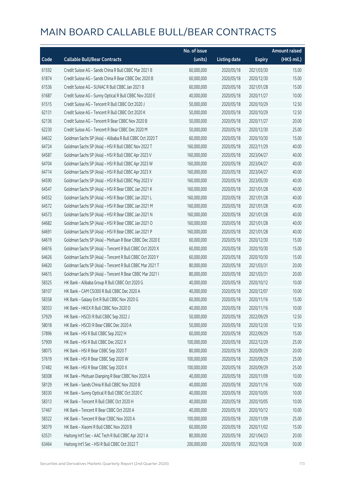|       |                                                          | No. of issue |                     |               | <b>Amount raised</b> |
|-------|----------------------------------------------------------|--------------|---------------------|---------------|----------------------|
| Code  | <b>Callable Bull/Bear Contracts</b>                      | (units)      | <b>Listing date</b> | <b>Expiry</b> | (HK\$ mil.)          |
| 61592 | Credit Suisse AG - Sands China R Bull CBBC Mar 2021 B    | 60,000,000   | 2020/05/18          | 2021/03/30    | 15.00                |
| 61874 | Credit Suisse AG - Sands China R Bear CBBC Dec 2020 B    | 60,000,000   | 2020/05/18          | 2020/12/30    | 15.00                |
| 61536 | Credit Suisse AG - SUNAC R Bull CBBC Jan 2021 B          | 60,000,000   | 2020/05/18          | 2021/01/28    | 15.00                |
| 61687 | Credit Suisse AG - Sunny Optical R Bull CBBC Nov 2020 E  | 40,000,000   | 2020/05/18          | 2020/11/27    | 10.00                |
| 61515 | Credit Suisse AG - Tencent R Bull CBBC Oct 2020 J        | 50,000,000   | 2020/05/18          | 2020/10/29    | 12.50                |
| 62131 | Credit Suisse AG - Tencent R Bull CBBC Oct 2020 K        | 50,000,000   | 2020/05/18          | 2020/10/29    | 12.50                |
| 62136 | Credit Suisse AG - Tencent R Bear CBBC Nov 2020 B        | 50,000,000   | 2020/05/18          | 2020/11/27    | 20.00                |
| 62230 | Credit Suisse AG - Tencent R Bear CBBC Dec 2020 M        | 50,000,000   | 2020/05/18          | 2020/12/30    | 25.00                |
| 64632 | Goldman Sachs SP (Asia) - Alibaba R Bull CBBC Oct 2020 T | 60,000,000   | 2020/05/18          | 2020/10/30    | 15.00                |
| 64724 | Goldman Sachs SP (Asia) - HSI R Bull CBBC Nov 2022 T     | 160,000,000  | 2020/05/18          | 2022/11/29    | 40.00                |
| 64587 | Goldman Sachs SP (Asia) - HSI R Bull CBBC Apr 2023 V     | 160,000,000  | 2020/05/18          | 2023/04/27    | 40.00                |
| 64704 | Goldman Sachs SP (Asia) - HSI R Bull CBBC Apr 2023 W     | 160,000,000  | 2020/05/18          | 2023/04/27    | 40.00                |
| 64714 | Goldman Sachs SP (Asia) - HSI R Bull CBBC Apr 2023 X     | 160,000,000  | 2020/05/18          | 2023/04/27    | 40.00                |
| 64590 | Goldman Sachs SP (Asia) - HSI R Bull CBBC May 2023 V     | 160,000,000  | 2020/05/18          | 2023/05/30    | 40.00                |
| 64547 | Goldman Sachs SP (Asia) - HSI R Bear CBBC Jan 2021 K     | 160,000,000  | 2020/05/18          | 2021/01/28    | 40.00                |
| 64552 | Goldman Sachs SP (Asia) - HSI R Bear CBBC Jan 2021 L     | 160,000,000  | 2020/05/18          | 2021/01/28    | 40.00                |
| 64572 | Goldman Sachs SP (Asia) - HSI R Bear CBBC Jan 2021 M     | 160,000,000  | 2020/05/18          | 2021/01/28    | 40.00                |
| 64573 | Goldman Sachs SP (Asia) - HSI R Bear CBBC Jan 2021 N     | 160,000,000  | 2020/05/18          | 2021/01/28    | 40.00                |
| 64682 | Goldman Sachs SP (Asia) - HSI R Bear CBBC Jan 2021 O     | 160,000,000  | 2020/05/18          | 2021/01/28    | 40.00                |
| 64691 | Goldman Sachs SP (Asia) - HSI R Bear CBBC Jan 2021 P     | 160,000,000  | 2020/05/18          | 2021/01/28    | 40.00                |
| 64619 | Goldman Sachs SP (Asia) - Meituan R Bear CBBC Dec 2020 E | 60,000,000   | 2020/05/18          | 2020/12/30    | 15.00                |
| 64616 | Goldman Sachs SP (Asia) - Tencent R Bull CBBC Oct 2020 X | 60,000,000   | 2020/05/18          | 2020/10/30    | 15.00                |
| 64626 | Goldman Sachs SP (Asia) - Tencent R Bull CBBC Oct 2020 Y | 60,000,000   | 2020/05/18          | 2020/10/30    | 15.00                |
| 64620 | Goldman Sachs SP (Asia) - Tencent R Bull CBBC Mar 2021 T | 80,000,000   | 2020/05/18          | 2021/03/31    | 20.00                |
| 64615 | Goldman Sachs SP (Asia) - Tencent R Bear CBBC Mar 2021 I | 80,000,000   | 2020/05/18          | 2021/03/31    | 20.00                |
| 58325 | HK Bank - Alibaba Group R Bull CBBC Oct 2020 G           | 40,000,000   | 2020/05/18          | 2020/10/12    | 10.00                |
| 58107 | HK Bank - CAM CSI300 R Bull CBBC Dec 2020 A              | 40,000,000   | 2020/05/18          | 2020/12/07    | 10.00                |
| 58358 | HK Bank - Galaxy Ent R Bull CBBC Nov 2020 G              | 60,000,000   | 2020/05/18          | 2020/11/16    | 15.00                |
| 58353 | HK Bank - HKEX R Bull CBBC Nov 2020 D                    | 40,000,000   | 2020/05/18          | 2020/11/16    | 10.00                |
| 57929 | HK Bank - HSCEI R Bull CBBC Sep 2022 J                   | 50,000,000   | 2020/05/18          | 2022/09/29    | 12.50                |
| 58018 | HK Bank - HSCEI R Bear CBBC Dec 2020 A                   | 50,000,000   | 2020/05/18          | 2020/12/30    | 12.50                |
| 57896 | HK Bank - HSI R Bull CBBC Sep 2022 H                     | 60,000,000   | 2020/05/18          | 2022/09/29    | 15.00                |
| 57909 | HK Bank - HSI R Bull CBBC Dec 2022 X                     | 100,000,000  | 2020/05/18          | 2022/12/29    | 25.00                |
| 58075 | HK Bank - HSI R Bear CBBC Sep 2020 T                     | 80,000,000   | 2020/05/18          | 2020/09/29    | 20.00                |
| 57619 | HK Bank - HSI R Bear CBBC Sep 2020 W                     | 100,000,000  | 2020/05/18          | 2020/09/29    | 25.00                |
| 57482 | HK Bank - HSI R Bear CBBC Sep 2020 X                     | 100,000,000  | 2020/05/18          | 2020/09/29    | 25.00                |
| 58308 | HK Bank - Meituan Dianping R Bear CBBC Nov 2020 A        | 40,000,000   | 2020/05/18          | 2020/11/09    | 10.00                |
| 58129 | HK Bank - Sands China R Bull CBBC Nov 2020 B             | 40,000,000   | 2020/05/18          | 2020/11/16    | 10.00                |
| 58330 | HK Bank - Sunny Optical R Bull CBBC Oct 2020 C           | 40,000,000   | 2020/05/18          | 2020/10/05    | 10.00                |
| 58313 | HK Bank - Tencent R Bull CBBC Oct 2020 H                 | 40,000,000   | 2020/05/18          | 2020/10/05    | 10.00                |
| 57467 | HK Bank - Tencent R Bear CBBC Oct 2020 A                 | 40,000,000   | 2020/05/18          | 2020/10/12    | 10.00                |
| 58322 | HK Bank - Tencent R Bear CBBC Nov 2020 A                 | 100,000,000  | 2020/05/18          | 2020/11/09    | 25.00                |
| 58379 | HK Bank - Xiaomi R Bull CBBC Nov 2020 B                  | 60,000,000   | 2020/05/18          | 2020/11/02    | 15.00                |
| 63531 | Haitong Int'l Sec - AAC Tech R Bull CBBC Apr 2021 A      | 80,000,000   | 2020/05/18          | 2021/04/23    | 20.00                |
| 63464 | Haitong Int'l Sec - HSI R Bull CBBC Oct 2022 T           | 200,000,000  | 2020/05/18          | 2022/10/28    | 50.00                |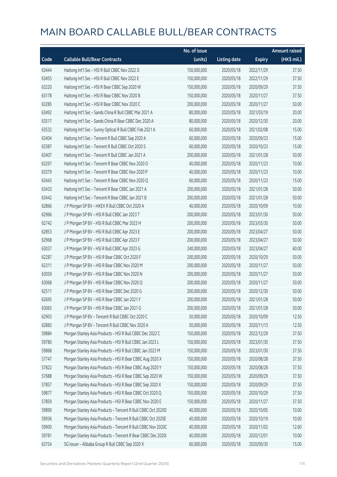|       |                                                              | No. of issue |                     |               | <b>Amount raised</b> |
|-------|--------------------------------------------------------------|--------------|---------------------|---------------|----------------------|
| Code  | <b>Callable Bull/Bear Contracts</b>                          | (units)      | <b>Listing date</b> | <b>Expiry</b> | (HK\$ mil.)          |
| 63444 | Haitong Int'l Sec - HSI R Bull CBBC Nov 2022 D               | 150,000,000  | 2020/05/18          | 2022/11/29    | 37.50                |
| 63455 | Haitong Int'l Sec - HSI R Bull CBBC Nov 2022 E               | 150,000,000  | 2020/05/18          | 2022/11/29    | 37.50                |
| 63220 | Haitong Int'l Sec - HSI R Bear CBBC Sep 2020 W               | 150,000,000  | 2020/05/18          | 2020/09/29    | 37.50                |
| 63178 | Haitong Int'l Sec - HSI R Bear CBBC Nov 2020 B               | 150,000,000  | 2020/05/18          | 2020/11/27    | 37.50                |
| 63285 | Haitong Int'l Sec - HSI R Bear CBBC Nov 2020 C               | 200,000,000  | 2020/05/18          | 2020/11/27    | 50.00                |
| 63492 | Haitong Int'l Sec - Sands China R Bull CBBC Mar 2021 A       | 80,000,000   | 2020/05/18          | 2021/03/19    | 20.00                |
| 63517 | Haitong Int'l Sec - Sands China R Bear CBBC Dec 2020 A       | 80,000,000   | 2020/05/18          | 2020/12/30    | 20.00                |
| 63532 | Haitong Int'l Sec - Sunny Optical R Bull CBBC Feb 2021 A     | 60,000,000   | 2020/05/18          | 2021/02/08    | 15.00                |
| 63404 | Haitong Int'l Sec - Tencent R Bull CBBC Sep 2020 A           | 60,000,000   | 2020/05/18          | 2020/09/23    | 15.00                |
| 63387 | Haitong Int'l Sec - Tencent R Bull CBBC Oct 2020 S           | 60,000,000   | 2020/05/18          | 2020/10/23    | 15.00                |
| 63407 | Haitong Int'l Sec - Tencent R Bull CBBC Jan 2021 A           | 200,000,000  | 2020/05/18          | 2021/01/28    | 50.00                |
| 63297 | Haitong Int'l Sec - Tencent R Bear CBBC Nov 2020 O           | 40,000,000   | 2020/05/18          | 2020/11/23    | 10.00                |
| 63379 | Haitong Int'l Sec - Tencent R Bear CBBC Nov 2020 P           | 40,000,000   | 2020/05/18          | 2020/11/23    | 10.00                |
| 63443 | Haitong Int'l Sec - Tencent R Bear CBBC Nov 2020 Q           | 60,000,000   | 2020/05/18          | 2020/11/23    | 15.00                |
| 63433 | Haitong Int'l Sec - Tencent R Bear CBBC Jan 2021 A           | 200,000,000  | 2020/05/18          | 2021/01/28    | 50.00                |
| 63442 | Haitong Int'l Sec - Tencent R Bear CBBC Jan 2021 B           | 200,000,000  | 2020/05/18          | 2021/01/28    | 50.00                |
| 62866 | J P Morgan SP BV - HKEX R Bull CBBC Oct 2020 A               | 40,000,000   | 2020/05/18          | 2020/10/09    | 10.00                |
| 62966 | J P Morgan SP BV - HSI R Bull CBBC Jan 2023 T                | 200,000,000  | 2020/05/18          | 2023/01/30    | 50.00                |
| 62742 | J P Morgan SP BV - HSI R Bull CBBC Mar 2023 H                | 200,000,000  | 2020/05/18          | 2023/03/30    | 50.00                |
| 62853 | J P Morgan SP BV - HSI R Bull CBBC Apr 2023 E                | 200,000,000  | 2020/05/18          | 2023/04/27    | 50.00                |
| 62968 | J P Morgan SP BV - HSI R Bull CBBC Apr 2023 F                | 200,000,000  | 2020/05/18          | 2023/04/27    | 50.00                |
| 63037 | J P Morgan SP BV - HSI R Bull CBBC Apr 2023 G                | 240,000,000  | 2020/05/18          | 2023/04/27    | 60.00                |
| 62287 | J P Morgan SP BV - HSI R Bear CBBC Oct 2020 F                | 200,000,000  | 2020/05/18          | 2020/10/29    | 50.00                |
| 62311 | J P Morgan SP BV - HSI R Bear CBBC Nov 2020 M                | 200,000,000  | 2020/05/18          | 2020/11/27    | 50.00                |
| 63059 | J P Morgan SP BV - HSI R Bear CBBC Nov 2020 N                | 200,000,000  | 2020/05/18          | 2020/11/27    | 50.00                |
| 63068 | J P Morgan SP BV - HSI R Bear CBBC Nov 2020 Q                | 200,000,000  | 2020/05/18          | 2020/11/27    | 50.00                |
| 62511 | J P Morgan SP BV - HSI R Bear CBBC Dec 2020 G                | 200,000,000  | 2020/05/18          | 2020/12/30    | 50.00                |
| 62695 | J P Morgan SP BV - HSI R Bear CBBC Jan 2021 F                | 200,000,000  | 2020/05/18          | 2021/01/28    | 50.00                |
| 63065 | J P Morgan SP BV - HSI R Bear CBBC Jan 2021 G                | 200,000,000  | 2020/05/18          | 2021/01/28    | 50.00                |
| 62903 | J P Morgan SP BV - Tencent R Bull CBBC Oct 2020 C            | 50,000,000   | 2020/05/18          | 2020/10/09    | 12.50                |
| 62883 | J P Morgan SP BV - Tencent R Bull CBBC Nov 2020 A            | 50,000,000   | 2020/05/18          | 2020/11/13    | 12.50                |
| 59884 | Morgan Stanley Asia Products - HSI R Bull CBBC Dec 2022 C    | 150,000,000  | 2020/05/18          | 2022/12/29    | 37.50                |
| 59780 | Morgan Stanley Asia Products - HSI R Bull CBBC Jan 2023 L    | 150,000,000  | 2020/05/18          | 2023/01/30    | 37.50                |
| 59868 | Morgan Stanley Asia Products - HSI R Bull CBBC Jan 2023 M    | 150,000,000  | 2020/05/18          | 2023/01/30    | 37.50                |
| 57747 | Morgan Stanley Asia Products - HSI R Bear CBBC Aug 2020 X    | 150,000,000  | 2020/05/18          | 2020/08/28    | 37.50                |
| 57822 | Morgan Stanley Asia Products - HSI R Bear CBBC Aug 2020 Y    | 150,000,000  | 2020/05/18          | 2020/08/28    | 37.50                |
| 57688 | Morgan Stanley Asia Products - HSI R Bear CBBC Sep 2020 W    | 150,000,000  | 2020/05/18          | 2020/09/29    | 37.50                |
| 57857 | Morgan Stanley Asia Products - HSI R Bear CBBC Sep 2020 X    | 150,000,000  | 2020/05/18          | 2020/09/29    | 37.50                |
| 59877 | Morgan Stanley Asia Products - HSI R Bear CBBC Oct 2020 Q    | 150,000,000  | 2020/05/18          | 2020/10/29    | 37.50                |
| 57859 | Morgan Stanley Asia Products - HSI R Bear CBBC Nov 2020 E    | 150,000,000  | 2020/05/18          | 2020/11/27    | 37.50                |
| 59890 | Morgan Stanley Asia Products - Tencent R Bull CBBC Oct 2020D | 40,000,000   | 2020/05/18          | 2020/10/05    | 10.00                |
| 59936 | Morgan Stanley Asia Products - Tencent R Bull CBBC Oct 2020E | 40,000,000   | 2020/05/18          | 2020/10/19    | 10.00                |
| 59900 | Morgan Stanley Asia Products - Tencent R Bull CBBC Nov 2020C | 40,000,000   | 2020/05/18          | 2020/11/02    | 12.60                |
| 59781 | Morgan Stanley Asia Products - Tencent R Bear CBBC Dec 2020I | 40,000,000   | 2020/05/18          | 2020/12/01    | 10.00                |
| 63754 | SG Issuer - Alibaba Group R Bull CBBC Sep 2020 X             | 60,000,000   | 2020/05/18          | 2020/09/30    | 15.00                |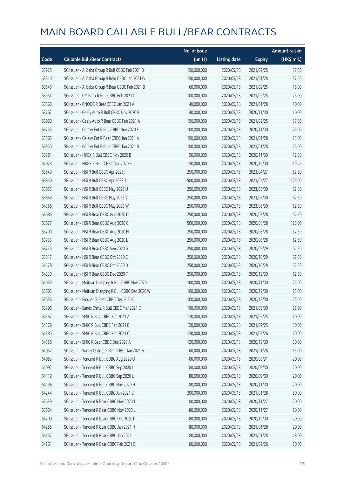|       |                                                     | No. of issue |                     |               | <b>Amount raised</b> |
|-------|-----------------------------------------------------|--------------|---------------------|---------------|----------------------|
| Code  | <b>Callable Bull/Bear Contracts</b>                 | (units)      | <b>Listing date</b> | <b>Expiry</b> | (HK\$ mil.)          |
| 63925 | SG Issuer - Alibaba Group R Bull CBBC Feb 2021 B    | 150,000,000  | 2020/05/18          | 2021/02/25    | 37.50                |
| 63540 | SG Issuer - Alibaba Group R Bear CBBC Jan 2021 G    | 150,000,000  | 2020/05/18          | 2021/01/28    | 37.50                |
| 63546 | SG Issuer - Alibaba Group R Bear CBBC Feb 2021 B    | 60,000,000   | 2020/05/18          | 2021/02/25    | 15.00                |
| 63554 | SG Issuer - CM Bank R Bull CBBC Feb 2021 C          | 100,000,000  | 2020/05/18          | 2021/02/25    | 25.00                |
| 63560 | SG Issuer - CNOOC R Bear CBBC Jan 2021 A            | 40,000,000   | 2020/05/18          | 2021/01/28    | 10.00                |
| 63767 | SG Issuer - Geely Auto R Bull CBBC Nov 2020 B       | 40,000,000   | 2020/05/18          | 2020/11/30    | 10.00                |
| 63960 | SG Issuer - Geely Auto R Bear CBBC Feb 2021 A       | 150,000,000  | 2020/05/18          | 2021/02/25    | 37.50                |
| 63755 | SG Issuer - Galaxy Ent R Bull CBBC Nov 2020 F       | 100,000,000  | 2020/05/18          | 2020/11/30    | 25.00                |
| 63565 | SG Issuer - Galaxy Ent R Bear CBBC Jan 2021 A       | 100,000,000  | 2020/05/18          | 2021/01/28    | 25.00                |
| 63930 | SG Issuer - Galaxy Ent R Bear CBBC Jan 2021 B       | 100,000,000  | 2020/05/18          | 2021/01/28    | 25.00                |
| 63781 | SG Issuer - HKEX R Bull CBBC Nov 2020 B             | 50,000,000   | 2020/05/18          | 2020/11/30    | 12.50                |
| 64023 | SG Issuer - HKEX R Bear CBBC Dec 2020 F             | 50,000,000   | 2020/05/18          | 2020/12/30    | 19.25                |
| 63849 | SG Issuer - HSI R Bull CBBC Apr 2023 I              | 250,000,000  | 2020/05/18          | 2023/04/27    | 62.50                |
| 63850 | SG Issuer - HSI R Bull CBBC Apr 2023 J              | 500,000,000  | 2020/05/18          | 2023/04/27    | 125.00               |
| 63853 | SG Issuer - HSI R Bull CBBC May 2023 U              | 250,000,000  | 2020/05/18          | 2023/05/30    | 62.50                |
| 63869 | SG Issuer - HSI R Bull CBBC May 2023 V              | 250,000,000  | 2020/05/18          | 2023/05/30    | 62.50                |
| 64356 | SG Issuer - HSI R Bull CBBC May 2023 W              | 250,000,000  | 2020/05/18          | 2023/05/30    | 62.50                |
| 63686 | SG Issuer - HSI R Bear CBBC Aug 2020 D              | 250,000,000  | 2020/05/18          | 2020/08/28    | 62.50                |
| 63677 | SG Issuer - HSI R Bear CBBC Aug 2020 G              | 500,000,000  | 2020/05/18          | 2020/08/28    | 125.00               |
| 63700 | SG Issuer - HSI R Bear CBBC Aug 2020 H              | 250,000,000  | 2020/05/18          | 2020/08/28    | 62.50                |
| 63733 | SG Issuer - HSI R Bear CBBC Aug 2020 L              | 250,000,000  | 2020/05/18          | 2020/08/28    | 62.50                |
| 63745 | SG Issuer - HSI R Bear CBBC Sep 2020 G              | 250,000,000  | 2020/05/18          | 2020/09/29    | 62.50                |
| 63817 | SG Issuer - HSI R Bear CBBC Oct 2020 C              | 250,000,000  | 2020/05/18          | 2020/10/29    | 62.50                |
| 64278 | SG Issuer - HSI R Bear CBBC Oct 2020 D              | 250,000,000  | 2020/05/18          | 2020/10/29    | 62.50                |
| 64330 | SG Issuer - HSI R Bear CBBC Dec 2020 T              | 250,000,000  | 2020/05/18          | 2020/12/30    | 62.50                |
| 64039 | SG Issuer - Meituan Dianping R Bull CBBC Nov 2020 L | 100,000,000  | 2020/05/18          | 2020/11/30    | 25.00                |
| 63603 | SG Issuer - Meituan Dianping R Bull CBBC Dec 2020 W | 100,000,000  | 2020/05/18          | 2020/12/30    | 25.00                |
| 63636 | SG Issuer - Ping An R Bear CBBC Dec 2020 C          | 100,000,000  | 2020/05/18          | 2020/12/30    | 25.00                |
| 63796 | SG Issuer - Sands China R Bull CBBC Mar 2021 C      | 100,000,000  | 2020/05/18          | 2021/03/30    | 25.00                |
| 64367 | SG Issuer - SMIC R Bull CBBC Feb 2021 A             | 120,000,000  | 2020/05/18          | 2021/02/25    | 30.00                |
| 64379 | SG Issuer - SMIC R Bull CBBC Feb 2021 B             | 120,000,000  | 2020/05/18          | 2021/02/25    | 30.00                |
| 64380 | SG Issuer - SMIC R Bull CBBC Feb 2021 C             | 120,000,000  | 2020/05/18          | 2021/02/26    | 30.00                |
| 64358 | SG Issuer - SMIC R Bear CBBC Dec 2020 A             | 120,000,000  | 2020/05/18          | 2020/12/30    | 30.00                |
| 64052 | SG Issuer - Sunny Optical R Bear CBBC Jan 2021 A    | 60,000,000   | 2020/05/18          | 2021/01/28    | 15.00                |
| 64053 | SG Issuer - Tencent R Bull CBBC Aug 2020 Q          | 80,000,000   | 2020/05/18          | 2020/08/31    | 20.00                |
| 64092 | SG Issuer - Tencent R Bull CBBC Sep 2020 I          | 80,000,000   | 2020/05/18          | 2020/09/30    | 20.00                |
| 64119 | SG Issuer - Tencent R Bull CBBC Sep 2020 L          | 80,000,000   | 2020/05/18          | 2020/09/30    | 20.00                |
| 64196 | SG Issuer - Tencent R Bull CBBC Nov 2020 H          | 80,000,000   | 2020/05/18          | 2020/11/30    | 20.00                |
| 64244 | SG Issuer - Tencent R Bull CBBC Jan 2021 B          | 200,000,000  | 2020/05/18          | 2021/01/28    | 50.00                |
| 63639 | SG Issuer - Tencent R Bear CBBC Nov 2020 J          | 80,000,000   | 2020/05/18          | 2020/11/27    | 20.00                |
| 63664 | SG Issuer - Tencent R Bear CBBC Nov 2020 L          | 80,000,000   | 2020/05/18          | 2020/11/27    | 20.00                |
| 64209 | SG Issuer - Tencent R Bear CBBC Dec 2020 I          | 80,000,000   | 2020/05/18          | 2020/12/30    | 20.00                |
| 64255 | SG Issuer - Tencent R Bear CBBC Jan 2021 H          | 80,000,000   | 2020/05/18          | 2021/01/28    | 20.00                |
| 64457 | SG Issuer - Tencent R Bear CBBC Jan 2021 I          | 80,000,000   | 2020/05/18          | 2021/01/28    | 48.00                |
| 64261 | SG Issuer - Tencent R Bear CBBC Feb 2021 Q          | 80,000,000   | 2020/05/18          | 2021/02/26    | 20.00                |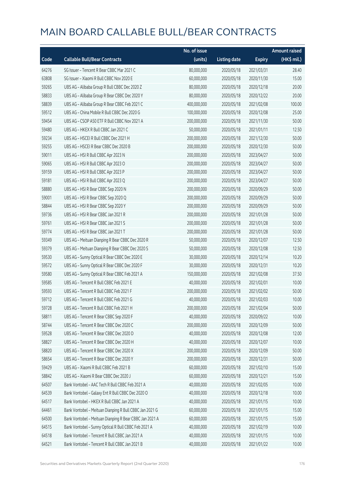|       |                                                         | No. of issue |                     |               | <b>Amount raised</b> |
|-------|---------------------------------------------------------|--------------|---------------------|---------------|----------------------|
| Code  | <b>Callable Bull/Bear Contracts</b>                     | (units)      | <b>Listing date</b> | <b>Expiry</b> | (HK\$ mil.)          |
| 64276 | SG Issuer - Tencent R Bear CBBC Mar 2021 C              | 80,000,000   | 2020/05/18          | 2021/03/31    | 28.40                |
| 63808 | SG Issuer - Xiaomi R Bull CBBC Nov 2020 E               | 60,000,000   | 2020/05/18          | 2020/11/30    | 15.00                |
| 59265 | UBS AG - Alibaba Group R Bull CBBC Dec 2020 Z           | 80,000,000   | 2020/05/18          | 2020/12/18    | 20.00                |
| 58833 | UBS AG - Alibaba Group R Bear CBBC Dec 2020 Y           | 80,000,000   | 2020/05/18          | 2020/12/22    | 20.00                |
| 58839 | UBS AG - Alibaba Group R Bear CBBC Feb 2021 C           | 400,000,000  | 2020/05/18          | 2021/02/08    | 100.00               |
| 59512 | UBS AG - China Mobile R Bull CBBC Dec 2020 G            | 100,000,000  | 2020/05/18          | 2020/12/08    | 25.00                |
| 59454 | UBS AG - CSOP A50 ETF R Bull CBBC Nov 2021 A            | 200,000,000  | 2020/05/18          | 2021/11/30    | 50.00                |
| 59480 | UBS AG - HKEX R Bull CBBC Jan 2021 C                    | 50,000,000   | 2020/05/18          | 2021/01/11    | 12.50                |
| 59234 | UBS AG - HSCEI R Bull CBBC Dec 2021 H                   | 200,000,000  | 2020/05/18          | 2021/12/30    | 50.00                |
| 59255 | UBS AG - HSCEI R Bear CBBC Dec 2020 B                   | 200,000,000  | 2020/05/18          | 2020/12/30    | 50.00                |
| 59011 | UBS AG - HSI R Bull CBBC Apr 2023 N                     | 200,000,000  | 2020/05/18          | 2023/04/27    | 50.00                |
| 59065 | UBS AG - HSI R Bull CBBC Apr 2023 O                     | 200,000,000  | 2020/05/18          | 2023/04/27    | 50.00                |
| 59159 | UBS AG - HSI R Bull CBBC Apr 2023 P                     | 200,000,000  | 2020/05/18          | 2023/04/27    | 50.00                |
| 59181 | UBS AG - HSI R Bull CBBC Apr 2023 Q                     | 200,000,000  | 2020/05/18          | 2023/04/27    | 50.00                |
| 58880 | UBS AG - HSI R Bear CBBC Sep 2020 N                     | 200,000,000  | 2020/05/18          | 2020/09/29    | 50.00                |
| 59001 | UBS AG - HSI R Bear CBBC Sep 2020 Q                     | 200,000,000  | 2020/05/18          | 2020/09/29    | 50.00                |
| 58844 | UBS AG - HSI R Bear CBBC Sep 2020 Y                     | 200,000,000  | 2020/05/18          | 2020/09/29    | 50.00                |
| 59736 | UBS AG - HSI R Bear CBBC Jan 2021 R                     | 200,000,000  | 2020/05/18          | 2021/01/28    | 50.00                |
| 59761 | UBS AG - HSI R Bear CBBC Jan 2021 S                     | 200,000,000  | 2020/05/18          | 2021/01/28    | 50.00                |
| 59774 | UBS AG - HSI R Bear CBBC Jan 2021 T                     | 200,000,000  | 2020/05/18          | 2021/01/28    | 50.00                |
| 59349 | UBS AG - Meituan Dianping R Bear CBBC Dec 2020 R        | 50,000,000   | 2020/05/18          | 2020/12/07    | 12.50                |
| 59379 | UBS AG - Meituan Dianping R Bear CBBC Dec 2020 S        | 50,000,000   | 2020/05/18          | 2020/12/08    | 12.50                |
| 59530 | UBS AG - Sunny Optical R Bear CBBC Dec 2020 E           | 30,000,000   | 2020/05/18          | 2020/12/14    | 10.20                |
| 59572 | UBS AG - Sunny Optical R Bear CBBC Dec 2020 F           | 30,000,000   | 2020/05/18          | 2020/12/31    | 10.20                |
| 59580 | UBS AG - Sunny Optical R Bear CBBC Feb 2021 A           | 150,000,000  | 2020/05/18          | 2021/02/08    | 37.50                |
| 59585 | UBS AG - Tencent R Bull CBBC Feb 2021 E                 | 40,000,000   | 2020/05/18          | 2021/02/01    | 10.00                |
| 59593 | UBS AG - Tencent R Bull CBBC Feb 2021 F                 | 200,000,000  | 2020/05/18          | 2021/02/02    | 50.00                |
| 59712 | UBS AG - Tencent R Bull CBBC Feb 2021 G                 | 40,000,000   | 2020/05/18          | 2021/02/03    | 10.00                |
| 59728 | UBS AG - Tencent R Bull CBBC Feb 2021 H                 | 200,000,000  | 2020/05/18          | 2021/02/04    | 50.00                |
| 58811 | UBS AG - Tencent R Bear CBBC Sep 2020 F                 | 40,000,000   | 2020/05/18          | 2020/09/22    | 10.00                |
| 58744 | UBS AG - Tencent R Bear CBBC Dec 2020 C                 | 200,000,000  | 2020/05/18          | 2020/12/09    | 50.00                |
| 59528 | UBS AG - Tencent R Bear CBBC Dec 2020 D                 | 40,000,000   | 2020/05/18          | 2020/12/08    | 12.00                |
| 58827 | UBS AG - Tencent R Bear CBBC Dec 2020 H                 | 40,000,000   | 2020/05/18          | 2020/12/07    | 10.00                |
| 58820 | UBS AG - Tencent R Bear CBBC Dec 2020 X                 | 200,000,000  | 2020/05/18          | 2020/12/09    | 50.00                |
| 58654 | UBS AG - Tencent R Bear CBBC Dec 2020 Y                 | 200,000,000  | 2020/05/18          | 2020/12/31    | 50.00                |
| 59429 | UBS AG - Xiaomi R Bull CBBC Feb 2021 B                  | 60,000,000   | 2020/05/18          | 2021/02/10    | 15.00                |
| 58842 | UBS AG - Xiaomi R Bear CBBC Dec 2020 J                  | 60,000,000   | 2020/05/18          | 2020/12/21    | 15.00                |
| 64507 | Bank Vontobel - AAC Tech R Bull CBBC Feb 2021 A         | 40,000,000   | 2020/05/18          | 2021/02/05    | 10.00                |
| 64539 | Bank Vontobel - Galaxy Ent R Bull CBBC Dec 2020 O       | 40,000,000   | 2020/05/18          | 2020/12/18    | 10.00                |
| 64517 | Bank Vontobel - HKEX R Bull CBBC Jan 2021 A             | 40,000,000   | 2020/05/18          | 2021/01/15    | 10.00                |
| 64461 | Bank Vontobel - Meituan Dianping R Bull CBBC Jan 2021 G | 60,000,000   | 2020/05/18          | 2021/01/15    | 15.00                |
| 64500 | Bank Vontobel - Meituan Dianping R Bear CBBC Jan 2021 A | 60,000,000   | 2020/05/18          | 2021/01/15    | 15.00                |
| 64515 | Bank Vontobel - Sunny Optical R Bull CBBC Feb 2021 A    | 40,000,000   | 2020/05/18          | 2021/02/19    | 10.00                |
| 64518 | Bank Vontobel - Tencent R Bull CBBC Jan 2021 A          | 40,000,000   | 2020/05/18          | 2021/01/15    | 10.00                |
| 64521 | Bank Vontobel - Tencent R Bull CBBC Jan 2021 B          | 40,000,000   | 2020/05/18          | 2021/01/22    | 10.00                |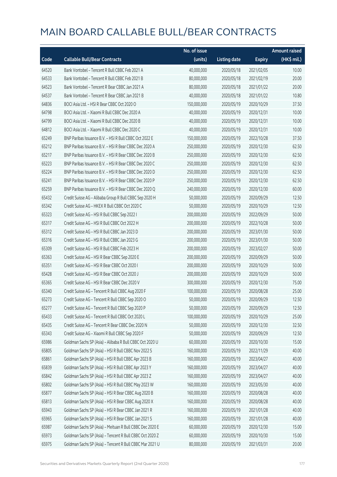|       |                                                          | No. of issue |                     |               | <b>Amount raised</b> |
|-------|----------------------------------------------------------|--------------|---------------------|---------------|----------------------|
| Code  | <b>Callable Bull/Bear Contracts</b>                      | (units)      | <b>Listing date</b> | <b>Expiry</b> | (HK\$ mil.)          |
| 64520 | Bank Vontobel - Tencent R Bull CBBC Feb 2021 A           | 40,000,000   | 2020/05/18          | 2021/02/05    | 10.00                |
| 64533 | Bank Vontobel - Tencent R Bull CBBC Feb 2021 B           | 80,000,000   | 2020/05/18          | 2021/02/19    | 20.00                |
| 64523 | Bank Vontobel - Tencent R Bear CBBC Jan 2021 A           | 80,000,000   | 2020/05/18          | 2021/01/22    | 20.00                |
| 64537 | Bank Vontobel - Tencent R Bear CBBC Jan 2021 B           | 40,000,000   | 2020/05/18          | 2021/01/22    | 10.80                |
| 64836 | BOCI Asia Ltd. - HSI R Bear CBBC Oct 2020 O              | 150,000,000  | 2020/05/19          | 2020/10/29    | 37.50                |
| 64798 | BOCI Asia Ltd. - Xiaomi R Bull CBBC Dec 2020 A           | 40,000,000   | 2020/05/19          | 2020/12/31    | 10.00                |
| 64799 | BOCI Asia Ltd. - Xiaomi R Bull CBBC Dec 2020 B           | 40,000,000   | 2020/05/19          | 2020/12/31    | 10.00                |
| 64812 | BOCI Asia Ltd. - Xiaomi R Bull CBBC Dec 2020 C           | 40,000,000   | 2020/05/19          | 2020/12/31    | 10.00                |
| 65249 | BNP Paribas Issuance B.V. - HSI R Bull CBBC Oct 2022 E   | 150,000,000  | 2020/05/19          | 2022/10/28    | 37.50                |
| 65212 | BNP Paribas Issuance B.V. - HSI R Bear CBBC Dec 2020 A   | 250,000,000  | 2020/05/19          | 2020/12/30    | 62.50                |
| 65217 | BNP Paribas Issuance B.V. - HSI R Bear CBBC Dec 2020 B   | 250,000,000  | 2020/05/19          | 2020/12/30    | 62.50                |
| 65223 | BNP Paribas Issuance B.V. - HSI R Bear CBBC Dec 2020 C   | 250,000,000  | 2020/05/19          | 2020/12/30    | 62.50                |
| 65224 | BNP Paribas Issuance B.V. - HSI R Bear CBBC Dec 2020 D   | 250,000,000  | 2020/05/19          | 2020/12/30    | 62.50                |
| 65241 | BNP Paribas Issuance B.V. - HSI R Bear CBBC Dec 2020 P   | 250,000,000  | 2020/05/19          | 2020/12/30    | 62.50                |
| 65259 | BNP Paribas Issuance B.V. - HSI R Bear CBBC Dec 2020 Q   | 240,000,000  | 2020/05/19          | 2020/12/30    | 60.00                |
| 65432 | Credit Suisse AG - Alibaba Group R Bull CBBC Sep 2020 H  | 50,000,000   | 2020/05/19          | 2020/09/29    | 12.50                |
| 65342 | Credit Suisse AG - HKEX R Bull CBBC Oct 2020 C           | 50,000,000   | 2020/05/19          | 2020/10/29    | 12.50                |
| 65323 | Credit Suisse AG - HSI R Bull CBBC Sep 2022 I            | 200,000,000  | 2020/05/19          | 2022/09/29    | 50.00                |
| 65317 | Credit Suisse AG - HSI R Bull CBBC Oct 2022 H            | 200,000,000  | 2020/05/19          | 2022/10/28    | 50.00                |
| 65312 | Credit Suisse AG - HSI R Bull CBBC Jan 2023 D            | 200,000,000  | 2020/05/19          | 2023/01/30    | 50.00                |
| 65316 | Credit Suisse AG - HSI R Bull CBBC Jan 2023 G            | 200,000,000  | 2020/05/19          | 2023/01/30    | 50.00                |
| 65309 | Credit Suisse AG - HSI R Bull CBBC Feb 2023 H            | 200,000,000  | 2020/05/19          | 2023/02/27    | 50.00                |
| 65363 | Credit Suisse AG - HSI R Bear CBBC Sep 2020 E            | 200,000,000  | 2020/05/19          | 2020/09/29    | 50.00                |
| 65351 | Credit Suisse AG - HSI R Bear CBBC Oct 2020 I            | 200,000,000  | 2020/05/19          | 2020/10/29    | 50.00                |
| 65428 | Credit Suisse AG - HSI R Bear CBBC Oct 2020 J            | 200,000,000  | 2020/05/19          | 2020/10/29    | 50.00                |
| 65365 | Credit Suisse AG - HSI R Bear CBBC Dec 2020 V            | 300,000,000  | 2020/05/19          | 2020/12/30    | 75.00                |
| 65340 | Credit Suisse AG - Tencent R Bull CBBC Aug 2020 F        | 100,000,000  | 2020/05/19          | 2020/08/28    | 25.00                |
| 65273 | Credit Suisse AG - Tencent R Bull CBBC Sep 2020 O        | 50,000,000   | 2020/05/19          | 2020/09/29    | 12.50                |
| 65277 | Credit Suisse AG - Tencent R Bull CBBC Sep 2020 P        | 50,000,000   | 2020/05/19          | 2020/09/29    | 12.50                |
| 65433 | Credit Suisse AG - Tencent R Bull CBBC Oct 2020 L        | 100,000,000  | 2020/05/19          | 2020/10/29    | 25.00                |
| 65435 | Credit Suisse AG - Tencent R Bear CBBC Dec 2020 N        | 50,000,000   | 2020/05/19          | 2020/12/30    | 32.50                |
| 65343 | Credit Suisse AG - Xiaomi R Bull CBBC Sep 2020 F         | 50,000,000   | 2020/05/19          | 2020/09/29    | 12.50                |
| 65986 | Goldman Sachs SP (Asia) - Alibaba R Bull CBBC Oct 2020 U | 60,000,000   | 2020/05/19          | 2020/10/30    | 15.00                |
| 65805 | Goldman Sachs SP (Asia) - HSI R Bull CBBC Nov 2022 S     | 160,000,000  | 2020/05/19          | 2022/11/29    | 40.00                |
| 65861 | Goldman Sachs SP (Asia) - HSI R Bull CBBC Apr 2023 B     | 160,000,000  | 2020/05/19          | 2023/04/27    | 40.00                |
| 65839 | Goldman Sachs SP (Asia) - HSI R Bull CBBC Apr 2023 Y     | 160,000,000  | 2020/05/19          | 2023/04/27    | 40.00                |
| 65842 | Goldman Sachs SP (Asia) - HSI R Bull CBBC Apr 2023 Z     | 160,000,000  | 2020/05/19          | 2023/04/27    | 40.00                |
| 65802 | Goldman Sachs SP (Asia) - HSI R Bull CBBC May 2023 W     | 160,000,000  | 2020/05/19          | 2023/05/30    | 40.00                |
| 65877 | Goldman Sachs SP (Asia) - HSI R Bear CBBC Aug 2020 B     | 160,000,000  | 2020/05/19          | 2020/08/28    | 40.00                |
| 65813 | Goldman Sachs SP (Asia) - HSI R Bear CBBC Aug 2020 X     | 160,000,000  | 2020/05/19          | 2020/08/28    | 40.00                |
| 65943 | Goldman Sachs SP (Asia) - HSI R Bear CBBC Jan 2021 R     | 160,000,000  | 2020/05/19          | 2021/01/28    | 40.00                |
| 65965 | Goldman Sachs SP (Asia) - HSI R Bear CBBC Jan 2021 S     | 160,000,000  | 2020/05/19          | 2021/01/28    | 40.00                |
| 65987 | Goldman Sachs SP (Asia) - Meituan R Bull CBBC Dec 2020 E | 60,000,000   | 2020/05/19          | 2020/12/30    | 15.00                |
| 65973 | Goldman Sachs SP (Asia) - Tencent R Bull CBBC Oct 2020 Z | 60,000,000   | 2020/05/19          | 2020/10/30    | 15.00                |
| 65975 | Goldman Sachs SP (Asia) - Tencent R Bull CBBC Mar 2021 U | 80,000,000   | 2020/05/19          | 2021/03/31    | 20.00                |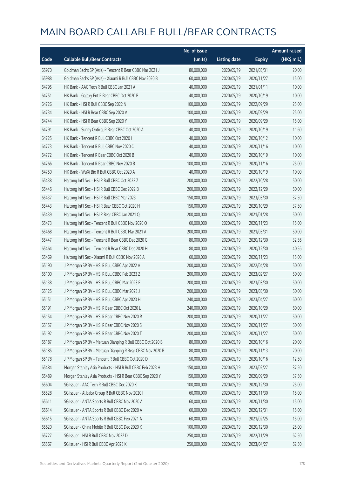|       |                                                            | No. of issue |                     |               | <b>Amount raised</b> |
|-------|------------------------------------------------------------|--------------|---------------------|---------------|----------------------|
| Code  | <b>Callable Bull/Bear Contracts</b>                        | (units)      | <b>Listing date</b> | <b>Expiry</b> | (HK\$ mil.)          |
| 65970 | Goldman Sachs SP (Asia) - Tencent R Bear CBBC Mar 2021 J   | 80,000,000   | 2020/05/19          | 2021/03/31    | 20.00                |
| 65988 | Goldman Sachs SP (Asia) - Xiaomi R Bull CBBC Nov 2020 B    | 60,000,000   | 2020/05/19          | 2020/11/27    | 15.00                |
| 64795 | HK Bank - AAC Tech R Bull CBBC Jan 2021 A                  | 40,000,000   | 2020/05/19          | 2021/01/11    | 10.00                |
| 64751 | HK Bank - Galaxy Ent R Bear CBBC Oct 2020 B                | 40,000,000   | 2020/05/19          | 2020/10/19    | 10.00                |
| 64726 | HK Bank - HSI R Bull CBBC Sep 2022 N                       | 100,000,000  | 2020/05/19          | 2022/09/29    | 25.00                |
| 64734 | HK Bank - HSI R Bear CBBC Sep 2020 V                       | 100,000,000  | 2020/05/19          | 2020/09/29    | 25.00                |
| 64744 | HK Bank - HSI R Bear CBBC Sep 2020 Y                       | 60,000,000   | 2020/05/19          | 2020/09/29    | 15.00                |
| 64791 | HK Bank - Sunny Optical R Bear CBBC Oct 2020 A             | 40,000,000   | 2020/05/19          | 2020/10/19    | 11.60                |
| 64725 | HK Bank - Tencent R Bull CBBC Oct 2020 I                   | 40,000,000   | 2020/05/19          | 2020/10/12    | 10.00                |
| 64773 | HK Bank - Tencent R Bull CBBC Nov 2020 C                   | 40,000,000   | 2020/05/19          | 2020/11/16    | 10.00                |
| 64772 | HK Bank - Tencent R Bear CBBC Oct 2020 B                   | 40,000,000   | 2020/05/19          | 2020/10/19    | 10.00                |
| 64766 | HK Bank - Tencent R Bear CBBC Nov 2020 B                   | 100,000,000  | 2020/05/19          | 2020/11/16    | 25.00                |
| 64750 | HK Bank - WuXi Bio R Bull CBBC Oct 2020 A                  | 40,000,000   | 2020/05/19          | 2020/10/19    | 10.00                |
| 65438 | Haitong Int'l Sec - HSI R Bull CBBC Oct 2022 Z             | 200,000,000  | 2020/05/19          | 2022/10/28    | 50.00                |
| 65446 | Haitong Int'l Sec - HSI R Bull CBBC Dec 2022 B             | 200,000,000  | 2020/05/19          | 2022/12/29    | 50.00                |
| 65437 | Haitong Int'l Sec - HSI R Bull CBBC Mar 2023 I             | 150,000,000  | 2020/05/19          | 2023/03/30    | 37.50                |
| 65443 | Haitong Int'l Sec - HSI R Bear CBBC Oct 2020 H             | 150,000,000  | 2020/05/19          | 2020/10/29    | 37.50                |
| 65439 | Haitong Int'l Sec - HSI R Bear CBBC Jan 2021 Q             | 200,000,000  | 2020/05/19          | 2021/01/28    | 50.00                |
| 65473 | Haitong Int'l Sec - Tencent R Bull CBBC Nov 2020 O         | 60,000,000   | 2020/05/19          | 2020/11/23    | 15.00                |
| 65468 | Haitong Int'l Sec - Tencent R Bull CBBC Mar 2021 A         | 200,000,000  | 2020/05/19          | 2021/03/31    | 50.00                |
| 65447 | Haitong Int'l Sec - Tencent R Bear CBBC Dec 2020 G         | 80,000,000   | 2020/05/19          | 2020/12/30    | 32.56                |
| 65464 | Haitong Int'l Sec - Tencent R Bear CBBC Dec 2020 H         | 80,000,000   | 2020/05/19          | 2020/12/30    | 40.56                |
| 65469 | Haitong Int'l Sec - Xiaomi R Bull CBBC Nov 2020 A          | 60,000,000   | 2020/05/19          | 2020/11/23    | 15.00                |
| 65190 | J P Morgan SP BV - HSI R Bull CBBC Apr 2022 A              | 200,000,000  | 2020/05/19          | 2022/04/28    | 50.00                |
| 65100 | J P Morgan SP BV - HSI R Bull CBBC Feb 2023 Z              | 200,000,000  | 2020/05/19          | 2023/02/27    | 50.00                |
| 65138 | J P Morgan SP BV - HSI R Bull CBBC Mar 2023 E              | 200,000,000  | 2020/05/19          | 2023/03/30    | 50.00                |
| 65125 | J P Morgan SP BV - HSI R Bull CBBC Mar 2023 J              | 200,000,000  | 2020/05/19          | 2023/03/30    | 50.00                |
| 65151 | J P Morgan SP BV - HSI R Bull CBBC Apr 2023 H              | 240,000,000  | 2020/05/19          | 2023/04/27    | 60.00                |
| 65191 | J P Morgan SP BV - HSI R Bear CBBC Oct 2020 L              | 240,000,000  | 2020/05/19          | 2020/10/29    | 60.00                |
| 65154 | J P Morgan SP BV - HSI R Bear CBBC Nov 2020 R              | 200,000,000  | 2020/05/19          | 2020/11/27    | 50.00                |
| 65157 | J P Morgan SP BV - HSI R Bear CBBC Nov 2020 S              | 200,000,000  | 2020/05/19          | 2020/11/27    | 50.00                |
| 65192 | J P Morgan SP BV - HSI R Bear CBBC Nov 2020 T              | 200,000,000  | 2020/05/19          | 2020/11/27    | 50.00                |
| 65187 | J P Morgan SP BV - Meituan Dianping R Bull CBBC Oct 2020 B | 80,000,000   | 2020/05/19          | 2020/10/16    | 20.00                |
| 65185 | J P Morgan SP BV - Meituan Dianping R Bear CBBC Nov 2020 B | 80,000,000   | 2020/05/19          | 2020/11/13    | 20.00                |
| 65178 | J P Morgan SP BV - Tencent R Bull CBBC Oct 2020 D          | 50,000,000   | 2020/05/19          | 2020/10/16    | 12.50                |
| 65484 | Morgan Stanley Asia Products - HSI R Bull CBBC Feb 2023 H  | 150,000,000  | 2020/05/19          | 2023/02/27    | 37.50                |
| 65489 | Morgan Stanley Asia Products - HSI R Bear CBBC Sep 2020 Y  | 150,000,000  | 2020/05/19          | 2020/09/29    | 37.50                |
| 65604 | SG Issuer - AAC Tech R Bull CBBC Dec 2020 K                | 100,000,000  | 2020/05/19          | 2020/12/30    | 25.00                |
| 65528 | SG Issuer - Alibaba Group R Bull CBBC Nov 2020 I           | 60,000,000   | 2020/05/19          | 2020/11/30    | 15.00                |
| 65611 | SG Issuer - ANTA Sports R Bull CBBC Nov 2020 A             | 60,000,000   | 2020/05/19          | 2020/11/30    | 15.00                |
| 65614 | SG Issuer - ANTA Sports R Bull CBBC Dec 2020 A             | 60,000,000   | 2020/05/19          | 2020/12/31    | 15.00                |
| 65615 | SG Issuer - ANTA Sports R Bull CBBC Feb 2021 A             | 60,000,000   | 2020/05/19          | 2021/02/25    | 15.00                |
| 65620 | SG Issuer - China Mobile R Bull CBBC Dec 2020 K            | 100,000,000  | 2020/05/19          | 2020/12/30    | 25.00                |
| 65727 | SG Issuer - HSI R Bull CBBC Nov 2022 D                     | 250,000,000  | 2020/05/19          | 2022/11/29    | 62.50                |
| 65567 | SG Issuer - HSI R Bull CBBC Apr 2023 K                     | 250,000,000  | 2020/05/19          | 2023/04/27    | 62.50                |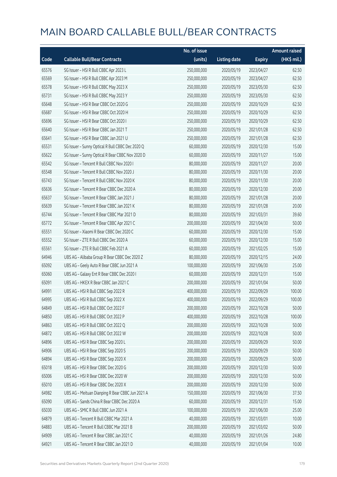|       |                                                  | No. of issue |                     |               | <b>Amount raised</b> |
|-------|--------------------------------------------------|--------------|---------------------|---------------|----------------------|
| Code  | <b>Callable Bull/Bear Contracts</b>              | (units)      | <b>Listing date</b> | <b>Expiry</b> | (HK\$ mil.)          |
| 65576 | SG Issuer - HSI R Bull CBBC Apr 2023 L           | 250,000,000  | 2020/05/19          | 2023/04/27    | 62.50                |
| 65569 | SG Issuer - HSI R Bull CBBC Apr 2023 M           | 250,000,000  | 2020/05/19          | 2023/04/27    | 62.50                |
| 65578 | SG Issuer - HSI R Bull CBBC May 2023 X           | 250,000,000  | 2020/05/19          | 2023/05/30    | 62.50                |
| 65731 | SG Issuer - HSI R Bull CBBC May 2023 Y           | 250,000,000  | 2020/05/19          | 2023/05/30    | 62.50                |
| 65648 | SG Issuer - HSI R Bear CBBC Oct 2020 G           | 250,000,000  | 2020/05/19          | 2020/10/29    | 62.50                |
| 65687 | SG Issuer - HSI R Bear CBBC Oct 2020 H           | 250,000,000  | 2020/05/19          | 2020/10/29    | 62.50                |
| 65696 | SG Issuer - HSI R Bear CBBC Oct 2020 I           | 250,000,000  | 2020/05/19          | 2020/10/29    | 62.50                |
| 65640 | SG Issuer - HSI R Bear CBBC Jan 2021 T           | 250,000,000  | 2020/05/19          | 2021/01/28    | 62.50                |
| 65641 | SG Issuer - HSI R Bear CBBC Jan 2021 U           | 250,000,000  | 2020/05/19          | 2021/01/28    | 62.50                |
| 65531 | SG Issuer - Sunny Optical R Bull CBBC Dec 2020 Q | 60,000,000   | 2020/05/19          | 2020/12/30    | 15.00                |
| 65622 | SG Issuer - Sunny Optical R Bear CBBC Nov 2020 D | 60,000,000   | 2020/05/19          | 2020/11/27    | 15.00                |
| 65542 | SG Issuer - Tencent R Bull CBBC Nov 2020 I       | 80,000,000   | 2020/05/19          | 2020/11/27    | 20.00                |
| 65548 | SG Issuer - Tencent R Bull CBBC Nov 2020 J       | 80,000,000   | 2020/05/19          | 2020/11/30    | 20.00                |
| 65743 | SG Issuer - Tencent R Bull CBBC Nov 2020 K       | 80,000,000   | 2020/05/19          | 2020/11/30    | 20.00                |
| 65636 | SG Issuer - Tencent R Bear CBBC Dec 2020 A       | 80,000,000   | 2020/05/19          | 2020/12/30    | 20.00                |
| 65637 | SG Issuer - Tencent R Bear CBBC Jan 2021 J       | 80,000,000   | 2020/05/19          | 2021/01/28    | 20.00                |
| 65639 | SG Issuer - Tencent R Bear CBBC Jan 2021 K       | 80,000,000   | 2020/05/19          | 2021/01/28    | 20.00                |
| 65744 | SG Issuer - Tencent R Bear CBBC Mar 2021 D       | 80,000,000   | 2020/05/19          | 2021/03/31    | 39.60                |
| 65772 | SG Issuer - Tencent R Bear CBBC Apr 2021 C       | 200,000,000  | 2020/05/19          | 2021/04/30    | 50.00                |
| 65551 | SG Issuer - Xiaomi R Bear CBBC Dec 2020 C        | 60,000,000   | 2020/05/19          | 2020/12/30    | 15.00                |
| 65552 | SG Issuer - ZTE R Bull CBBC Dec 2020 A           | 60,000,000   | 2020/05/19          | 2020/12/30    | 15.00                |
| 65561 | SG Issuer - ZTE R Bull CBBC Feb 2021 A           | 60,000,000   | 2020/05/19          | 2021/02/25    | 15.00                |
| 64946 | UBS AG - Alibaba Group R Bear CBBC Dec 2020 Z    | 80,000,000   | 2020/05/19          | 2020/12/15    | 24.00                |
| 65092 | UBS AG - Geely Auto R Bear CBBC Jun 2021 A       | 100,000,000  | 2020/05/19          | 2021/06/30    | 25.00                |
| 65060 | UBS AG - Galaxy Ent R Bear CBBC Dec 2020 I       | 60,000,000   | 2020/05/19          | 2020/12/31    | 15.00                |
| 65091 | UBS AG - HKEX R Bear CBBC Jan 2021 C             | 200,000,000  | 2020/05/19          | 2021/01/04    | 50.00                |
| 64991 | UBS AG - HSI R Bull CBBC Sep 2022 R              | 400,000,000  | 2020/05/19          | 2022/09/29    | 100.00               |
| 64995 | UBS AG - HSI R Bull CBBC Sep 2022 X              | 400,000,000  | 2020/05/19          | 2022/09/29    | 100.00               |
| 64849 | UBS AG - HSI R Bull CBBC Oct 2022 F              | 200,000,000  | 2020/05/19          | 2022/10/28    | 50.00                |
| 64850 | UBS AG - HSI R Bull CBBC Oct 2022 P              | 400,000,000  | 2020/05/19          | 2022/10/28    | 100.00               |
| 64863 | UBS AG - HSI R Bull CBBC Oct 2022 Q              | 200,000,000  | 2020/05/19          | 2022/10/28    | 50.00                |
| 64872 | UBS AG - HSI R Bull CBBC Oct 2022 W              | 200,000,000  | 2020/05/19          | 2022/10/28    | 50.00                |
| 64896 | UBS AG - HSI R Bear CBBC Sep 2020 L              | 200,000,000  | 2020/05/19          | 2020/09/29    | 50.00                |
| 64906 | UBS AG - HSI R Bear CBBC Sep 2020 S              | 200,000,000  | 2020/05/19          | 2020/09/29    | 50.00                |
| 64894 | UBS AG - HSI R Bear CBBC Sep 2020 X              | 200,000,000  | 2020/05/19          | 2020/09/29    | 50.00                |
| 65018 | UBS AG - HSI R Bear CBBC Dec 2020 G              | 200,000,000  | 2020/05/19          | 2020/12/30    | 50.00                |
| 65006 | UBS AG - HSI R Bear CBBC Dec 2020 W              | 200,000,000  | 2020/05/19          | 2020/12/30    | 50.00                |
| 65010 | UBS AG - HSI R Bear CBBC Dec 2020 X              | 200,000,000  | 2020/05/19          | 2020/12/30    | 50.00                |
| 64982 | UBS AG - Meituan Dianping R Bear CBBC Jun 2021 A | 150,000,000  | 2020/05/19          | 2021/06/30    | 37.50                |
| 65090 | UBS AG - Sands China R Bear CBBC Dec 2020 A      | 60,000,000   | 2020/05/19          | 2020/12/31    | 15.00                |
| 65030 | UBS AG - SMIC R Bull CBBC Jun 2021 A             | 100,000,000  | 2020/05/19          | 2021/06/30    | 25.00                |
| 64879 | UBS AG - Tencent R Bull CBBC Mar 2021 A          | 40,000,000   | 2020/05/19          | 2021/03/01    | 10.00                |
| 64883 | UBS AG - Tencent R Bull CBBC Mar 2021 B          | 200,000,000  | 2020/05/19          | 2021/03/02    | 50.00                |
| 64909 | UBS AG - Tencent R Bear CBBC Jan 2021 C          | 40,000,000   | 2020/05/19          | 2021/01/26    | 24.80                |
| 64921 | UBS AG - Tencent R Bear CBBC Jan 2021 D          | 40,000,000   | 2020/05/19          | 2021/01/04    | 10.00                |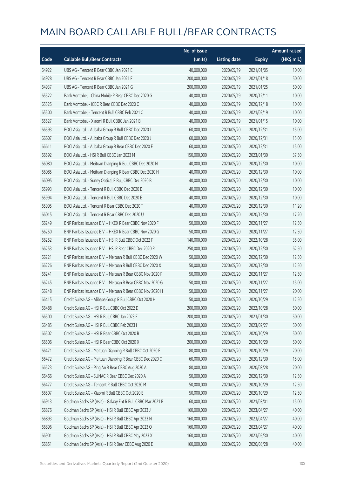|       |                                                             | No. of issue |                     |               | <b>Amount raised</b>  |
|-------|-------------------------------------------------------------|--------------|---------------------|---------------|-----------------------|
| Code  | <b>Callable Bull/Bear Contracts</b>                         | (units)      | <b>Listing date</b> | <b>Expiry</b> | $(HK\frac{1}{2}mil.)$ |
| 64922 | UBS AG - Tencent R Bear CBBC Jan 2021 E                     | 40,000,000   | 2020/05/19          | 2021/01/05    | 10.00                 |
| 64928 | UBS AG - Tencent R Bear CBBC Jan 2021 F                     | 200,000,000  | 2020/05/19          | 2021/01/18    | 50.00                 |
| 64937 | UBS AG - Tencent R Bear CBBC Jan 2021 G                     | 200,000,000  | 2020/05/19          | 2021/01/25    | 50.00                 |
| 65522 | Bank Vontobel - China Mobile R Bear CBBC Dec 2020 G         | 40,000,000   | 2020/05/19          | 2020/12/11    | 10.00                 |
| 65525 | Bank Vontobel - ICBC R Bear CBBC Dec 2020 C                 | 40,000,000   | 2020/05/19          | 2020/12/18    | 10.00                 |
| 65500 | Bank Vontobel - Tencent R Bull CBBC Feb 2021 C              | 40,000,000   | 2020/05/19          | 2021/02/19    | 10.00                 |
| 65527 | Bank Vontobel - Xiaomi R Bull CBBC Jan 2021 B               | 40,000,000   | 2020/05/19          | 2021/01/15    | 10.00                 |
| 66593 | BOCI Asia Ltd. - Alibaba Group R Bull CBBC Dec 2020 I       | 60,000,000   | 2020/05/20          | 2020/12/31    | 15.00                 |
| 66607 | BOCI Asia Ltd. - Alibaba Group R Bull CBBC Dec 2020 J       | 60,000,000   | 2020/05/20          | 2020/12/31    | 15.00                 |
| 66611 | BOCI Asia Ltd. - Alibaba Group R Bear CBBC Dec 2020 E       | 60,000,000   | 2020/05/20          | 2020/12/31    | 15.00                 |
| 66592 | BOCI Asia Ltd. - HSI R Bull CBBC Jan 2023 M                 | 150,000,000  | 2020/05/20          | 2023/01/30    | 37.50                 |
| 66080 | BOCI Asia Ltd. - Meituan Dianping R Bull CBBC Dec 2020 N    | 40,000,000   | 2020/05/20          | 2020/12/30    | 10.00                 |
| 66085 | BOCI Asia Ltd. - Meituan Dianping R Bear CBBC Dec 2020 H    | 40,000,000   | 2020/05/20          | 2020/12/30    | 10.00                 |
| 66095 | BOCI Asia Ltd. - Sunny Optical R Bull CBBC Dec 2020 B       | 40,000,000   | 2020/05/20          | 2020/12/30    | 10.00                 |
| 65993 | BOCI Asia Ltd. - Tencent R Bull CBBC Dec 2020 D             | 40,000,000   | 2020/05/20          | 2020/12/30    | 10.00                 |
| 65994 | BOCI Asia Ltd. - Tencent R Bull CBBC Dec 2020 E             | 40,000,000   | 2020/05/20          | 2020/12/30    | 10.00                 |
| 65995 | BOCI Asia Ltd. - Tencent R Bear CBBC Dec 2020 T             | 40,000,000   | 2020/05/20          | 2020/12/30    | 11.20                 |
| 66015 | BOCI Asia Ltd. - Tencent R Bear CBBC Dec 2020 U             | 40,000,000   | 2020/05/20          | 2020/12/30    | 17.20                 |
| 66249 | BNP Paribas Issuance B.V. - HKEX R Bear CBBC Nov 2020 F     | 50,000,000   | 2020/05/20          | 2020/11/27    | 12.50                 |
| 66250 | BNP Paribas Issuance B.V. - HKEX R Bear CBBC Nov 2020 G     | 50,000,000   | 2020/05/20          | 2020/11/27    | 12.50                 |
| 66252 | BNP Paribas Issuance B.V. - HSI R Bull CBBC Oct 2022 F      | 140,000,000  | 2020/05/20          | 2022/10/28    | 35.00                 |
| 66253 | BNP Paribas Issuance B.V. - HSI R Bear CBBC Dec 2020 R      | 250,000,000  | 2020/05/20          | 2020/12/30    | 62.50                 |
| 66221 | BNP Paribas Issuance B.V. - Meituan R Bull CBBC Dec 2020 W  | 50,000,000   | 2020/05/20          | 2020/12/30    | 12.50                 |
| 66226 | BNP Paribas Issuance B.V. - Meituan R Bull CBBC Dec 2020 X  | 50,000,000   | 2020/05/20          | 2020/12/30    | 12.50                 |
| 66241 | BNP Paribas Issuance B.V. - Meituan R Bear CBBC Nov 2020 F  | 50,000,000   | 2020/05/20          | 2020/11/27    | 12.50                 |
| 66245 | BNP Paribas Issuance B.V. - Meituan R Bear CBBC Nov 2020 G  | 50,000,000   | 2020/05/20          | 2020/11/27    | 15.00                 |
| 66248 | BNP Paribas Issuance B.V. - Meituan R Bear CBBC Nov 2020 H  | 50,000,000   | 2020/05/20          | 2020/11/27    | 20.00                 |
| 66415 | Credit Suisse AG - Alibaba Group R Bull CBBC Oct 2020 H     | 50,000,000   | 2020/05/20          | 2020/10/29    | 12.50                 |
| 66488 | Credit Suisse AG - HSI R Bull CBBC Oct 2022 D               | 200,000,000  | 2020/05/20          | 2022/10/28    | 50.00                 |
| 66500 | Credit Suisse AG - HSI R Bull CBBC Jan 2023 E               | 200,000,000  | 2020/05/20          | 2023/01/30    | 50.00                 |
| 66485 | Credit Suisse AG - HSI R Bull CBBC Feb 2023 I               | 200,000,000  | 2020/05/20          | 2023/02/27    | 50.00                 |
| 66502 | Credit Suisse AG - HSI R Bear CBBC Oct 2020 R               | 200,000,000  | 2020/05/20          | 2020/10/29    | 50.00                 |
| 66506 | Credit Suisse AG - HSI R Bear CBBC Oct 2020 X               | 200,000,000  | 2020/05/20          | 2020/10/29    | 50.00                 |
| 66471 | Credit Suisse AG - Meituan Dianping R Bull CBBC Oct 2020 F  | 80,000,000   | 2020/05/20          | 2020/10/29    | 20.00                 |
| 66472 | Credit Suisse AG - Meituan Dianping R Bear CBBC Dec 2020 C  | 60,000,000   | 2020/05/20          | 2020/12/30    | 15.00                 |
| 66523 | Credit Suisse AG - Ping An R Bear CBBC Aug 2020 A           | 80,000,000   | 2020/05/20          | 2020/08/28    | 20.00                 |
| 66466 | Credit Suisse AG - SUNAC R Bear CBBC Dec 2020 A             | 50,000,000   | 2020/05/20          | 2020/12/30    | 12.50                 |
| 66477 | Credit Suisse AG - Tencent R Bull CBBC Oct 2020 M           | 50,000,000   | 2020/05/20          | 2020/10/29    | 12.50                 |
| 66507 | Credit Suisse AG - Xiaomi R Bull CBBC Oct 2020 E            | 50,000,000   | 2020/05/20          | 2020/10/29    | 12.50                 |
| 66913 | Goldman Sachs SP (Asia) - Galaxy Ent R Bull CBBC Mar 2021 B | 60,000,000   | 2020/05/20          | 2021/03/01    | 15.00                 |
| 66876 | Goldman Sachs SP (Asia) - HSI R Bull CBBC Apr 2023 J        | 160,000,000  | 2020/05/20          | 2023/04/27    | 40.00                 |
| 66893 | Goldman Sachs SP (Asia) - HSI R Bull CBBC Apr 2023 N        | 160,000,000  | 2020/05/20          | 2023/04/27    | 40.00                 |
| 66896 | Goldman Sachs SP (Asia) - HSI R Bull CBBC Apr 2023 O        | 160,000,000  | 2020/05/20          | 2023/04/27    | 40.00                 |
| 66901 | Goldman Sachs SP (Asia) - HSI R Bull CBBC May 2023 X        | 160,000,000  | 2020/05/20          | 2023/05/30    | 40.00                 |
| 66851 | Goldman Sachs SP (Asia) - HSI R Bear CBBC Aug 2020 E        | 160,000,000  | 2020/05/20          | 2020/08/28    | 40.00                 |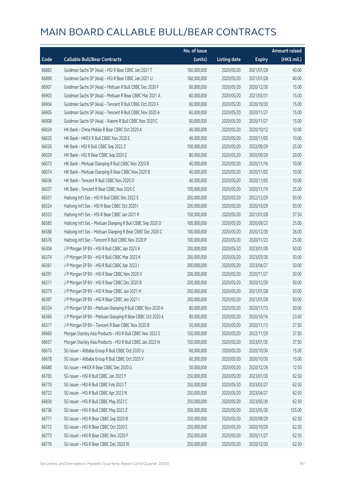|       |                                                             | No. of issue |                     |               | <b>Amount raised</b> |
|-------|-------------------------------------------------------------|--------------|---------------------|---------------|----------------------|
| Code  | <b>Callable Bull/Bear Contracts</b>                         | (units)      | <b>Listing date</b> | <b>Expiry</b> | (HK\$ mil.)          |
| 66883 | Goldman Sachs SP (Asia) - HSI R Bear CBBC Jan 2021 T        | 160,000,000  | 2020/05/20          | 2021/01/28    | 40.00                |
| 66890 | Goldman Sachs SP (Asia) - HSI R Bear CBBC Jan 2021 U        | 160,000,000  | 2020/05/20          | 2021/01/28    | 40.00                |
| 66907 | Goldman Sachs SP (Asia) - Meituan R Bull CBBC Dec 2020 F    | 60,000,000   | 2020/05/20          | 2020/12/30    | 15.00                |
| 66903 | Goldman Sachs SP (Asia) - Meituan R Bear CBBC Mar 2021 A    | 60,000,000   | 2020/05/20          | 2021/03/31    | 15.00                |
| 66904 | Goldman Sachs SP (Asia) - Tencent R Bull CBBC Oct 2020 F    | 60,000,000   | 2020/05/20          | 2020/10/30    | 15.00                |
| 66905 | Goldman Sachs SP (Asia) - Tencent R Bull CBBC Nov 2020 A    | 60,000,000   | 2020/05/20          | 2020/11/27    | 15.00                |
| 66908 | Goldman Sachs SP (Asia) - Xiaomi R Bull CBBC Nov 2020 C     | 60,000,000   | 2020/05/20          | 2020/11/27    | 15.00                |
| 66024 | HK Bank - China Mobile R Bear CBBC Oct 2020 A               | 40,000,000   | 2020/05/20          | 2020/10/12    | 10.00                |
| 66025 | HK Bank - HKEX R Bull CBBC Nov 2020 E                       | 40,000,000   | 2020/05/20          | 2020/11/05    | 10.00                |
| 66026 | HK Bank - HSI R Bull CBBC Sep 2022 Z                        | 100,000,000  | 2020/05/20          | 2022/09/29    | 25.00                |
| 66029 | HK Bank - HSI R Bear CBBC Sep 2020 Z                        | 80,000,000   | 2020/05/20          | 2020/09/29    | 20.00                |
| 66073 | HK Bank - Meituan Dianping R Bull CBBC Nov 2020 B           | 40,000,000   | 2020/05/20          | 2020/11/16    | 10.00                |
| 66074 | HK Bank - Meituan Dianping R Bear CBBC Nov 2020 B           | 40,000,000   | 2020/05/20          | 2020/11/02    | 10.00                |
| 66036 | HK Bank - Tencent R Bull CBBC Nov 2020 D                    | 40,000,000   | 2020/05/20          | 2020/11/05    | 10.00                |
| 66037 | HK Bank - Tencent R Bear CBBC Nov 2020 C                    | 100,000,000  | 2020/05/20          | 2020/11/19    | 25.00                |
| 66551 | Haitong Int'l Sec - HSI R Bull CBBC Dec 2022 E              | 200,000,000  | 2020/05/20          | 2022/12/29    | 50.00                |
| 66524 | Haitong Int'l Sec - HSI R Bear CBBC Oct 2020 I              | 200,000,000  | 2020/05/20          | 2020/10/29    | 50.00                |
| 66553 | Haitong Int'l Sec - HSI R Bear CBBC Jan 2021 R              | 150,000,000  | 2020/05/20          | 2021/01/28    | 37.50                |
| 66583 | Haitong Int'l Sec - Meituan Dianping R Bull CBBC Sep 2020 D | 100,000,000  | 2020/05/20          | 2020/09/23    | 25.00                |
| 66588 | Haitong Int'l Sec - Meituan Dianping R Bear CBBC Dec 2020 C | 100,000,000  | 2020/05/20          | 2020/12/30    | 26.00                |
| 66576 | Haitong Int'l Sec - Tencent R Bull CBBC Nov 2020 P          | 100,000,000  | 2020/05/20          | 2020/11/23    | 25.00                |
| 66304 | J P Morgan SP BV - HSI R Bull CBBC Jan 2023 X               | 200,000,000  | 2020/05/20          | 2023/01/30    | 50.00                |
| 66374 | J P Morgan SP BV - HSI R Bull CBBC Mar 2023 K               | 200,000,000  | 2020/05/20          | 2023/03/30    | 50.00                |
| 66361 | J P Morgan SP BV - HSI R Bull CBBC Apr 2023 I               | 200,000,000  | 2020/05/20          | 2023/04/27    | 50.00                |
| 66391 | J P Morgan SP BV - HSI R Bear CBBC Nov 2020 V               | 200,000,000  | 2020/05/20          | 2020/11/27    | 50.00                |
| 66311 | J P Morgan SP BV - HSI R Bear CBBC Dec 2020 B               | 200,000,000  | 2020/05/20          | 2020/12/30    | 50.00                |
| 66379 | J P Morgan SP BV - HSI R Bear CBBC Jan 2021 H               | 200,000,000  | 2020/05/20          | 2021/01/28    | 50.00                |
| 66397 | JP Morgan SP BV - HSIR Bear CBBC Jan 2021 I                 | 200,000,000  | 2020/05/20          | 2021/01/28    | 50.00                |
| 66334 | J P Morgan SP BV - Meituan Dianping R Bull CBBC Nov 2020 A  | 80,000,000   | 2020/05/20          | 2020/11/13    | 20.00                |
| 66360 | J P Morgan SP BV - Meituan Dianping R Bear CBBC Oct 2020 A  | 80,000,000   | 2020/05/20          | 2020/10/16    | 23.60                |
| 66317 | J P Morgan SP BV - Tencent R Bear CBBC Nov 2020 B           | 50,000,000   | 2020/05/20          | 2020/11/13    | 27.50                |
| 66660 | Morgan Stanley Asia Products - HSI R Bull CBBC Nov 2022 E   | 150,000,000  | 2020/05/20          | 2022/11/29    | 37.50                |
| 66657 | Morgan Stanley Asia Products - HSI R Bull CBBC Jan 2023 N   | 150,000,000  | 2020/05/20          | 2023/01/30    | 37.50                |
| 66675 | SG Issuer - Alibaba Group R Bull CBBC Oct 2020 U            | 60,000,000   | 2020/05/20          | 2020/10/30    | 15.00                |
| 66678 | SG Issuer - Alibaba Group R Bull CBBC Oct 2020 V            | 60,000,000   | 2020/05/20          | 2020/10/30    | 15.00                |
| 66680 | SG Issuer - HKEX R Bear CBBC Dec 2020 G                     | 50,000,000   | 2020/05/20          | 2020/12/28    | 12.50                |
| 66765 | SG Issuer - HSI R Bull CBBC Jan 2023 Y                      | 250,000,000  | 2020/05/20          | 2023/01/30    | 62.50                |
| 66770 | SG Issuer - HSI R Bull CBBC Feb 2023 T                      | 250,000,000  | 2020/05/20          | 2023/02/27    | 62.50                |
| 66722 | SG Issuer - HSI R Bull CBBC Apr 2023 N                      | 250,000,000  | 2020/05/20          | 2023/04/27    | 62.50                |
| 66830 | SG Issuer - HSI R Bull CBBC May 2023 C                      | 250,000,000  | 2020/05/20          | 2023/05/30    | 62.50                |
| 66736 | SG Issuer - HSI R Bull CBBC May 2023 Z                      | 500,000,000  | 2020/05/20          | 2023/05/30    | 125.00               |
| 66771 | SG Issuer - HSI R Bear CBBC Sep 2020 B                      | 250,000,000  | 2020/05/20          | 2020/09/29    | 62.50                |
| 66772 | SG Issuer - HSI R Bear CBBC Oct 2020 E                      | 250,000,000  | 2020/05/20          | 2020/10/29    | 62.50                |
| 66773 | SG Issuer - HSI R Bear CBBC Nov 2020 F                      | 250,000,000  | 2020/05/20          | 2020/11/27    | 62.50                |
| 66776 | SG Issuer - HSI R Bear CBBC Dec 2020 W                      | 250,000,000  | 2020/05/20          | 2020/12/30    | 62.50                |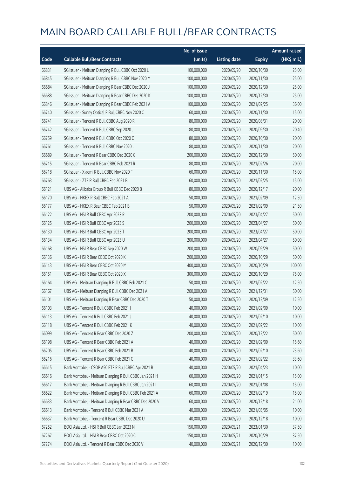|       |                                                         | No. of issue |                     |               | <b>Amount raised</b> |
|-------|---------------------------------------------------------|--------------|---------------------|---------------|----------------------|
| Code  | <b>Callable Bull/Bear Contracts</b>                     | (units)      | <b>Listing date</b> | <b>Expiry</b> | (HK\$ mil.)          |
| 66831 | SG Issuer - Meituan Dianping R Bull CBBC Oct 2020 L     | 100,000,000  | 2020/05/20          | 2020/10/30    | 25.00                |
| 66845 | SG Issuer - Meituan Dianping R Bull CBBC Nov 2020 M     | 100,000,000  | 2020/05/20          | 2020/11/30    | 25.00                |
| 66684 | SG Issuer - Meituan Dianping R Bear CBBC Dec 2020 J     | 100,000,000  | 2020/05/20          | 2020/12/30    | 25.00                |
| 66688 | SG Issuer - Meituan Dianping R Bear CBBC Dec 2020 K     | 100,000,000  | 2020/05/20          | 2020/12/30    | 25.00                |
| 66846 | SG Issuer - Meituan Dianping R Bear CBBC Feb 2021 A     | 100,000,000  | 2020/05/20          | 2021/02/25    | 36.00                |
| 66740 | SG Issuer - Sunny Optical R Bull CBBC Nov 2020 C        | 60,000,000   | 2020/05/20          | 2020/11/30    | 15.00                |
| 66741 | SG Issuer - Tencent R Bull CBBC Aug 2020 R              | 80,000,000   | 2020/05/20          | 2020/08/31    | 20.00                |
| 66742 | SG Issuer - Tencent R Bull CBBC Sep 2020 J              | 80,000,000   | 2020/05/20          | 2020/09/30    | 20.40                |
| 66759 | SG Issuer - Tencent R Bull CBBC Oct 2020 C              | 80,000,000   | 2020/05/20          | 2020/10/30    | 20.00                |
| 66761 | SG Issuer - Tencent R Bull CBBC Nov 2020 L              | 80,000,000   | 2020/05/20          | 2020/11/30    | 20.00                |
| 66689 | SG Issuer - Tencent R Bear CBBC Dec 2020 G              | 200,000,000  | 2020/05/20          | 2020/12/30    | 50.00                |
| 66715 | SG Issuer - Tencent R Bear CBBC Feb 2021 R              | 80,000,000   | 2020/05/20          | 2021/02/26    | 20.00                |
| 66718 | SG Issuer - Xiaomi R Bull CBBC Nov 2020 F               | 60,000,000   | 2020/05/20          | 2020/11/30    | 15.00                |
| 66763 | SG Issuer - ZTE R Bull CBBC Feb 2021 B                  | 60,000,000   | 2020/05/20          | 2021/02/25    | 15.00                |
| 66121 | UBS AG - Alibaba Group R Bull CBBC Dec 2020 B           | 80,000,000   | 2020/05/20          | 2020/12/17    | 20.00                |
| 66170 | UBS AG - HKEX R Bull CBBC Feb 2021 A                    | 50,000,000   | 2020/05/20          | 2021/02/09    | 12.50                |
| 66177 | UBS AG - HKEX R Bear CBBC Feb 2021 B                    | 50,000,000   | 2020/05/20          | 2021/02/09    | 21.50                |
| 66122 | UBS AG - HSI R Bull CBBC Apr 2023 R                     | 200,000,000  | 2020/05/20          | 2023/04/27    | 50.00                |
| 66125 | UBS AG - HSI R Bull CBBC Apr 2023 S                     | 200,000,000  | 2020/05/20          | 2023/04/27    | 50.00                |
| 66130 | UBS AG - HSI R Bull CBBC Apr 2023 T                     | 200,000,000  | 2020/05/20          | 2023/04/27    | 50.00                |
| 66134 | UBS AG - HSI R Bull CBBC Apr 2023 U                     | 200,000,000  | 2020/05/20          | 2023/04/27    | 50.00                |
| 66168 | UBS AG - HSI R Bear CBBC Sep 2020 W                     | 200,000,000  | 2020/05/20          | 2020/09/29    | 50.00                |
| 66136 | UBS AG - HSI R Bear CBBC Oct 2020 K                     | 200,000,000  | 2020/05/20          | 2020/10/29    | 50.00                |
| 66143 | UBS AG - HSI R Bear CBBC Oct 2020 M                     | 400,000,000  | 2020/05/20          | 2020/10/29    | 100.00               |
| 66151 | UBS AG - HSI R Bear CBBC Oct 2020 X                     | 300,000,000  | 2020/05/20          | 2020/10/29    | 75.00                |
| 66164 | UBS AG - Meituan Dianping R Bull CBBC Feb 2021 C        | 50,000,000   | 2020/05/20          | 2021/02/22    | 12.50                |
| 66167 | UBS AG - Meituan Dianping R Bull CBBC Dec 2021 A        | 200,000,000  | 2020/05/20          | 2021/12/31    | 50.00                |
| 66101 | UBS AG - Meituan Dianping R Bear CBBC Dec 2020 T        | 50,000,000   | 2020/05/20          | 2020/12/09    | 12.50                |
| 66103 | UBS AG - Tencent R Bull CBBC Feb 2021 I                 | 40,000,000   | 2020/05/20          | 2021/02/09    | 10.00                |
| 66113 | UBS AG - Tencent R Bull CBBC Feb 2021 J                 | 40,000,000   | 2020/05/20          | 2021/02/10    | 10.00                |
| 66118 | UBS AG - Tencent R Bull CBBC Feb 2021 K                 | 40,000,000   | 2020/05/20          | 2021/02/22    | 10.00                |
| 66099 | UBS AG - Tencent R Bear CBBC Dec 2020 Z                 | 200,000,000  | 2020/05/20          | 2020/12/22    | 50.00                |
| 66198 | UBS AG - Tencent R Bear CBBC Feb 2021 A                 | 40,000,000   | 2020/05/20          | 2021/02/09    | 15.60                |
| 66205 | UBS AG - Tencent R Bear CBBC Feb 2021 B                 | 40,000,000   | 2020/05/20          | 2021/02/10    | 23.60                |
| 66216 | UBS AG - Tencent R Bear CBBC Feb 2021 C                 | 40,000,000   | 2020/05/20          | 2021/02/22    | 33.60                |
| 66615 | Bank Vontobel - CSOP A50 ETF R Bull CBBC Apr 2021 B     | 40,000,000   | 2020/05/20          | 2021/04/23    | 10.00                |
| 66616 | Bank Vontobel - Meituan Dianping R Bull CBBC Jan 2021 H | 60,000,000   | 2020/05/20          | 2021/01/15    | 15.00                |
| 66617 | Bank Vontobel - Meituan Dianping R Bull CBBC Jan 2021 I | 60,000,000   | 2020/05/20          | 2021/01/08    | 15.00                |
| 66622 | Bank Vontobel - Meituan Dianping R Bull CBBC Feb 2021 A | 60,000,000   | 2020/05/20          | 2021/02/19    | 15.00                |
| 66633 | Bank Vontobel - Meituan Dianping R Bear CBBC Dec 2020 V | 60,000,000   | 2020/05/20          | 2020/12/18    | 21.00                |
| 66613 | Bank Vontobel - Tencent R Bull CBBC Mar 2021 A          | 40,000,000   | 2020/05/20          | 2021/03/05    | 10.00                |
| 66637 | Bank Vontobel - Tencent R Bear CBBC Dec 2020 U          | 40,000,000   | 2020/05/20          | 2020/12/18    | 10.00                |
| 67252 | BOCI Asia Ltd. - HSI R Bull CBBC Jan 2023 N             | 150,000,000  | 2020/05/21          | 2023/01/30    | 37.50                |
| 67267 | BOCI Asia Ltd. - HSI R Bear CBBC Oct 2020 C             | 150,000,000  | 2020/05/21          | 2020/10/29    | 37.50                |
| 67274 | BOCI Asia Ltd. - Tencent R Bear CBBC Dec 2020 V         | 40,000,000   | 2020/05/21          | 2020/12/30    | 10.00                |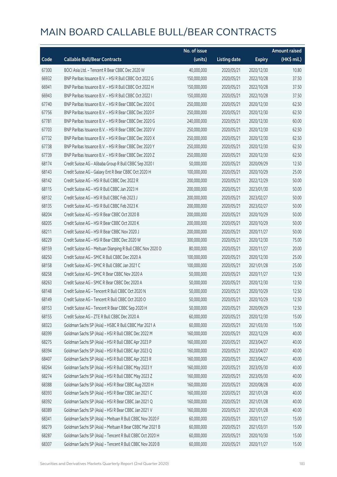|       |                                                            | No. of issue |                     |               | <b>Amount raised</b> |
|-------|------------------------------------------------------------|--------------|---------------------|---------------|----------------------|
| Code  | <b>Callable Bull/Bear Contracts</b>                        | (units)      | <b>Listing date</b> | <b>Expiry</b> | (HK\$ mil.)          |
| 67300 | BOCI Asia Ltd. - Tencent R Bear CBBC Dec 2020 W            | 40,000,000   | 2020/05/21          | 2020/12/30    | 10.80                |
| 66932 | BNP Paribas Issuance B.V. - HSI R Bull CBBC Oct 2022 G     | 150,000,000  | 2020/05/21          | 2022/10/28    | 37.50                |
| 66941 | BNP Paribas Issuance B.V. - HSI R Bull CBBC Oct 2022 H     | 150,000,000  | 2020/05/21          | 2022/10/28    | 37.50                |
| 66943 | BNP Paribas Issuance B.V. - HSI R Bull CBBC Oct 2022 I     | 150,000,000  | 2020/05/21          | 2022/10/28    | 37.50                |
| 67740 | BNP Paribas Issuance B.V. - HSI R Bear CBBC Dec 2020 E     | 250,000,000  | 2020/05/21          | 2020/12/30    | 62.50                |
| 67756 | BNP Paribas Issuance B.V. - HSI R Bear CBBC Dec 2020 F     | 250,000,000  | 2020/05/21          | 2020/12/30    | 62.50                |
| 67781 | BNP Paribas Issuance B.V. - HSI R Bear CBBC Dec 2020 G     | 240,000,000  | 2020/05/21          | 2020/12/30    | 60.00                |
| 67703 | BNP Paribas Issuance B.V. - HSI R Bear CBBC Dec 2020 V     | 250,000,000  | 2020/05/21          | 2020/12/30    | 62.50                |
| 67732 | BNP Paribas Issuance B.V. - HSI R Bear CBBC Dec 2020 X     | 250,000,000  | 2020/05/21          | 2020/12/30    | 62.50                |
| 67738 | BNP Paribas Issuance B.V. - HSI R Bear CBBC Dec 2020 Y     | 250,000,000  | 2020/05/21          | 2020/12/30    | 62.50                |
| 67739 | BNP Paribas Issuance B.V. - HSI R Bear CBBC Dec 2020 Z     | 250,000,000  | 2020/05/21          | 2020/12/30    | 62.50                |
| 68174 | Credit Suisse AG - Alibaba Group R Bull CBBC Sep 2020 I    | 50,000,000   | 2020/05/21          | 2020/09/29    | 12.50                |
| 68143 | Credit Suisse AG - Galaxy Ent R Bear CBBC Oct 2020 H       | 100,000,000  | 2020/05/21          | 2020/10/29    | 25.00                |
| 68142 | Credit Suisse AG - HSI R Bull CBBC Dec 2022 R              | 200,000,000  | 2020/05/21          | 2022/12/29    | 50.00                |
| 68115 | Credit Suisse AG - HSI R Bull CBBC Jan 2023 H              | 200,000,000  | 2020/05/21          | 2023/01/30    | 50.00                |
| 68132 | Credit Suisse AG - HSI R Bull CBBC Feb 2023 J              | 200,000,000  | 2020/05/21          | 2023/02/27    | 50.00                |
| 68135 | Credit Suisse AG - HSI R Bull CBBC Feb 2023 K              | 200,000,000  | 2020/05/21          | 2023/02/27    | 50.00                |
| 68204 | Credit Suisse AG - HSI R Bear CBBC Oct 2020 B              | 200,000,000  | 2020/05/21          | 2020/10/29    | 50.00                |
| 68205 | Credit Suisse AG - HSI R Bear CBBC Oct 2020 K              | 200,000,000  | 2020/05/21          | 2020/10/29    | 50.00                |
| 68211 | Credit Suisse AG - HSI R Bear CBBC Nov 2020 J              | 200,000,000  | 2020/05/21          | 2020/11/27    | 50.00                |
| 68229 | Credit Suisse AG - HSI R Bear CBBC Dec 2020 W              | 300,000,000  | 2020/05/21          | 2020/12/30    | 75.00                |
| 68159 | Credit Suisse AG - Meituan Dianping R Bull CBBC Nov 2020 D | 80,000,000   | 2020/05/21          | 2020/11/27    | 20.00                |
| 68250 | Credit Suisse AG - SMIC R Bull CBBC Dec 2020 A             | 100,000,000  | 2020/05/21          | 2020/12/30    | 25.00                |
| 68158 | Credit Suisse AG - SMIC R Bull CBBC Jan 2021 C             | 100,000,000  | 2020/05/21          | 2021/01/28    | 25.00                |
| 68258 | Credit Suisse AG - SMIC R Bear CBBC Nov 2020 A             | 50,000,000   | 2020/05/21          | 2020/11/27    | 12.50                |
| 68263 | Credit Suisse AG - SMIC R Bear CBBC Dec 2020 A             | 50,000,000   | 2020/05/21          | 2020/12/30    | 12.50                |
| 68148 | Credit Suisse AG - Tencent R Bull CBBC Oct 2020 N          | 50,000,000   | 2020/05/21          | 2020/10/29    | 12.50                |
| 68149 | Credit Suisse AG - Tencent R Bull CBBC Oct 2020 O          | 50,000,000   | 2020/05/21          | 2020/10/29    | 12.50                |
| 68153 | Credit Suisse AG - Tencent R Bear CBBC Sep 2020 H          | 50,000,000   | 2020/05/21          | 2020/09/29    | 12.50                |
| 68155 | Credit Suisse AG - ZTE R Bull CBBC Dec 2020 A              | 60,000,000   | 2020/05/21          | 2020/12/30    | 15.00                |
| 68323 | Goldman Sachs SP (Asia) - HSBC R Bull CBBC Mar 2021 A      | 60,000,000   | 2020/05/21          | 2021/03/30    | 15.00                |
| 68399 | Goldman Sachs SP (Asia) - HSI R Bull CBBC Dec 2022 M       | 160,000,000  | 2020/05/21          | 2022/12/29    | 40.00                |
| 68275 | Goldman Sachs SP (Asia) - HSI R Bull CBBC Apr 2023 P       | 160,000,000  | 2020/05/21          | 2023/04/27    | 40.00                |
| 68394 | Goldman Sachs SP (Asia) - HSI R Bull CBBC Apr 2023 Q       | 160,000,000  | 2020/05/21          | 2023/04/27    | 40.00                |
| 68407 | Goldman Sachs SP (Asia) - HSI R Bull CBBC Apr 2023 R       | 160,000,000  | 2020/05/21          | 2023/04/27    | 40.00                |
| 68264 | Goldman Sachs SP (Asia) - HSI R Bull CBBC May 2023 Y       | 160,000,000  | 2020/05/21          | 2023/05/30    | 40.00                |
| 68274 | Goldman Sachs SP (Asia) - HSI R Bull CBBC May 2023 Z       | 160,000,000  | 2020/05/21          | 2023/05/30    | 40.00                |
| 68388 | Goldman Sachs SP (Asia) - HSI R Bear CBBC Aug 2020 H       | 160,000,000  | 2020/05/21          | 2020/08/28    | 40.00                |
| 68393 | Goldman Sachs SP (Asia) - HSI R Bear CBBC Jan 2021 C       | 160,000,000  | 2020/05/21          | 2021/01/28    | 40.00                |
| 68392 | Goldman Sachs SP (Asia) - HSI R Bear CBBC Jan 2021 Q       | 160,000,000  | 2020/05/21          | 2021/01/28    | 40.00                |
| 68389 | Goldman Sachs SP (Asia) - HSI R Bear CBBC Jan 2021 V       | 160,000,000  | 2020/05/21          | 2021/01/28    | 40.00                |
| 68341 | Goldman Sachs SP (Asia) - Meituan R Bull CBBC Nov 2020 F   | 60,000,000   | 2020/05/21          | 2020/11/27    | 15.00                |
| 68279 | Goldman Sachs SP (Asia) - Meituan R Bear CBBC Mar 2021 B   | 60,000,000   | 2020/05/21          | 2021/03/31    | 15.00                |
| 68287 | Goldman Sachs SP (Asia) - Tencent R Bull CBBC Oct 2020 H   | 60,000,000   | 2020/05/21          | 2020/10/30    | 15.00                |
| 68307 | Goldman Sachs SP (Asia) - Tencent R Bull CBBC Nov 2020 B   | 60,000,000   | 2020/05/21          | 2020/11/27    | 15.00                |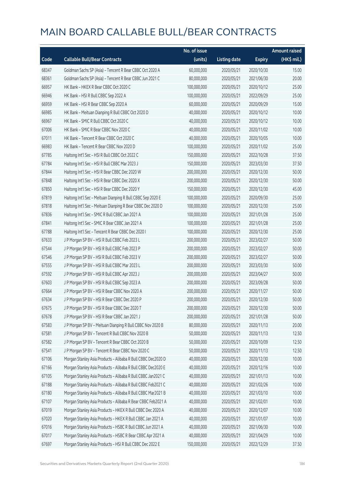|       |                                                              | No. of issue |                     |               | <b>Amount raised</b> |
|-------|--------------------------------------------------------------|--------------|---------------------|---------------|----------------------|
| Code  | <b>Callable Bull/Bear Contracts</b>                          | (units)      | <b>Listing date</b> | <b>Expiry</b> | (HK\$ mil.)          |
| 68347 | Goldman Sachs SP (Asia) - Tencent R Bear CBBC Oct 2020 A     | 60,000,000   | 2020/05/21          | 2020/10/30    | 15.00                |
| 68361 | Goldman Sachs SP (Asia) - Tencent R Bear CBBC Jun 2021 C     | 80,000,000   | 2020/05/21          | 2021/06/30    | 20.00                |
| 66957 | HK Bank - HKEX R Bear CBBC Oct 2020 C                        | 100,000,000  | 2020/05/21          | 2020/10/12    | 25.00                |
| 66946 | HK Bank - HSI R Bull CBBC Sep 2022 A                         | 100,000,000  | 2020/05/21          | 2022/09/29    | 25.00                |
| 66959 | HK Bank - HSI R Bear CBBC Sep 2020 A                         | 60,000,000   | 2020/05/21          | 2020/09/29    | 15.00                |
| 66985 | HK Bank - Meituan Dianping R Bull CBBC Oct 2020 D            | 40,000,000   | 2020/05/21          | 2020/10/12    | 10.00                |
| 66967 | HK Bank - SMIC R Bull CBBC Oct 2020 C                        | 40,000,000   | 2020/05/21          | 2020/10/12    | 10.00                |
| 67006 | HK Bank - SMIC R Bear CBBC Nov 2020 C                        | 40,000,000   | 2020/05/21          | 2020/11/02    | 10.00                |
| 67011 | HK Bank - Tencent R Bear CBBC Oct 2020 C                     | 40,000,000   | 2020/05/21          | 2020/10/05    | 10.00                |
| 66983 | HK Bank - Tencent R Bear CBBC Nov 2020 D                     | 100,000,000  | 2020/05/21          | 2020/11/02    | 25.00                |
| 67785 | Haitong Int'l Sec - HSI R Bull CBBC Oct 2022 C               | 150,000,000  | 2020/05/21          | 2022/10/28    | 37.50                |
| 67784 | Haitong Int'l Sec - HSI R Bull CBBC Mar 2023 J               | 150,000,000  | 2020/05/21          | 2023/03/30    | 37.50                |
| 67844 | Haitong Int'l Sec - HSI R Bear CBBC Dec 2020 W               | 200,000,000  | 2020/05/21          | 2020/12/30    | 50.00                |
| 67848 | Haitong Int'l Sec - HSI R Bear CBBC Dec 2020 X               | 200,000,000  | 2020/05/21          | 2020/12/30    | 50.00                |
| 67850 | Haitong Int'l Sec - HSI R Bear CBBC Dec 2020 Y               | 150,000,000  | 2020/05/21          | 2020/12/30    | 45.00                |
| 67819 | Haitong Int'l Sec - Meituan Dianping R Bull CBBC Sep 2020 E  | 100,000,000  | 2020/05/21          | 2020/09/30    | 25.00                |
| 67818 | Haitong Int'l Sec - Meituan Dianping R Bear CBBC Dec 2020 D  | 100,000,000  | 2020/05/21          | 2020/12/30    | 25.00                |
| 67836 | Haitong Int'l Sec - SMIC R Bull CBBC Jan 2021 A              | 100,000,000  | 2020/05/21          | 2021/01/28    | 25.00                |
| 67841 | Haitong Int'l Sec - SMIC R Bear CBBC Jan 2021 A              | 100,000,000  | 2020/05/21          | 2021/01/28    | 25.00                |
| 67788 | Haitong Int'l Sec - Tencent R Bear CBBC Dec 2020 I           | 100,000,000  | 2020/05/21          | 2020/12/30    | 25.00                |
| 67633 | J P Morgan SP BV - HSI R Bull CBBC Feb 2023 L                | 200,000,000  | 2020/05/21          | 2023/02/27    | 50.00                |
| 67544 | J P Morgan SP BV - HSI R Bull CBBC Feb 2023 P                | 200,000,000  | 2020/05/21          | 2023/02/27    | 50.00                |
| 67546 | J P Morgan SP BV - HSI R Bull CBBC Feb 2023 V                | 200,000,000  | 2020/05/21          | 2023/02/27    | 50.00                |
| 67555 | J P Morgan SP BV - HSI R Bull CBBC Mar 2023 L                | 200,000,000  | 2020/05/21          | 2023/03/30    | 50.00                |
| 67592 | J P Morgan SP BV - HSI R Bull CBBC Apr 2023 J                | 200,000,000  | 2020/05/21          | 2023/04/27    | 50.00                |
| 67603 | J P Morgan SP BV - HSI R Bull CBBC Sep 2023 A                | 200,000,000  | 2020/05/21          | 2023/09/28    | 50.00                |
| 67664 | J P Morgan SP BV - HSI R Bear CBBC Nov 2020 A                | 200,000,000  | 2020/05/21          | 2020/11/27    | 50.00                |
| 67634 | J P Morgan SP BV - HSI R Bear CBBC Dec 2020 P                | 200,000,000  | 2020/05/21          | 2020/12/30    | 50.00                |
| 67675 | J P Morgan SP BV - HSI R Bear CBBC Dec 2020 T                | 200,000,000  | 2020/05/21          | 2020/12/30    | 50.00                |
| 67678 | J P Morgan SP BV - HSI R Bear CBBC Jan 2021 J                | 200,000,000  | 2020/05/21          | 2021/01/28    | 50.00                |
| 67583 | J P Morgan SP BV - Meituan Dianping R Bull CBBC Nov 2020 B   | 80,000,000   | 2020/05/21          | 2020/11/13    | 20.00                |
| 67581 | J P Morgan SP BV - Tencent R Bull CBBC Nov 2020 B            | 50,000,000   | 2020/05/21          | 2020/11/13    | 12.50                |
| 67582 | J P Morgan SP BV - Tencent R Bear CBBC Oct 2020 B            | 50,000,000   | 2020/05/21          | 2020/10/09    | 12.50                |
| 67541 | J P Morgan SP BV - Tencent R Bear CBBC Nov 2020 C            | 50,000,000   | 2020/05/21          | 2020/11/13    | 12.50                |
| 67106 | Morgan Stanley Asia Products - Alibaba R Bull CBBC Dec2020 D | 40,000,000   | 2020/05/21          | 2020/12/30    | 10.00                |
| 67166 | Morgan Stanley Asia Products - Alibaba R Bull CBBC Dec2020 E | 40,000,000   | 2020/05/21          | 2020/12/16    | 10.00                |
| 67105 | Morgan Stanley Asia Products - Alibaba R Bull CBBC Jan2021 C | 40,000,000   | 2020/05/21          | 2021/01/13    | 10.00                |
| 67188 | Morgan Stanley Asia Products - Alibaba R Bull CBBC Feb2021 C | 40,000,000   | 2020/05/21          | 2021/02/26    | 10.00                |
| 67180 | Morgan Stanley Asia Products - Alibaba R Bull CBBC Mar2021 B | 40,000,000   | 2020/05/21          | 2021/03/10    | 10.00                |
| 67107 | Morgan Stanley Asia Products - Alibaba R Bear CBBC Feb2021 A | 40,000,000   | 2020/05/21          | 2021/02/01    | 10.00                |
| 67019 | Morgan Stanley Asia Products - HKEX R Bull CBBC Dec 2020 A   | 40,000,000   | 2020/05/21          | 2020/12/07    | 10.00                |
| 67020 | Morgan Stanley Asia Products - HKEX R Bull CBBC Jan 2021 A   | 40,000,000   | 2020/05/21          | 2021/01/07    | 10.00                |
| 67016 | Morgan Stanley Asia Products - HSBC R Bull CBBC Jun 2021 A   | 40,000,000   | 2020/05/21          | 2021/06/30    | 10.00                |
| 67017 | Morgan Stanley Asia Products - HSBC R Bear CBBC Apr 2021 A   | 40,000,000   | 2020/05/21          | 2021/04/29    | 10.00                |
| 67697 | Morgan Stanley Asia Products - HSI R Bull CBBC Dec 2022 E    | 150,000,000  | 2020/05/21          | 2022/12/29    | 37.50                |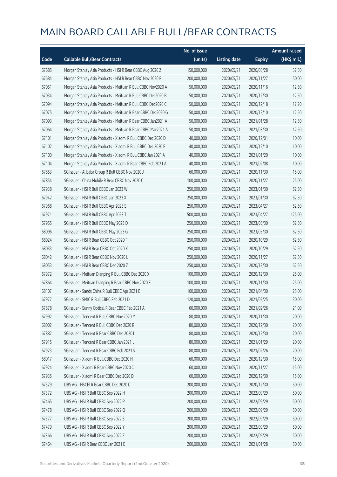|       |                                                              | No. of issue |                     |               | <b>Amount raised</b> |
|-------|--------------------------------------------------------------|--------------|---------------------|---------------|----------------------|
| Code  | <b>Callable Bull/Bear Contracts</b>                          | (units)      | <b>Listing date</b> | <b>Expiry</b> | (HK\$ mil.)          |
| 67685 | Morgan Stanley Asia Products - HSI R Bear CBBC Aug 2020 Z    | 150,000,000  | 2020/05/21          | 2020/08/28    | 37.50                |
| 67684 | Morgan Stanley Asia Products - HSI R Bear CBBC Nov 2020 F    | 200,000,000  | 2020/05/21          | 2020/11/27    | 50.00                |
| 67051 | Morgan Stanley Asia Products - Meituan R Bull CBBC Nov2020 A | 50,000,000   | 2020/05/21          | 2020/11/16    | 12.50                |
| 67034 | Morgan Stanley Asia Products - Meituan R Bull CBBC Dec2020 B | 50,000,000   | 2020/05/21          | 2020/12/30    | 12.50                |
| 67094 | Morgan Stanley Asia Products - Meituan R Bull CBBC Dec2020 C | 50,000,000   | 2020/05/21          | 2020/12/18    | 17.20                |
| 67075 | Morgan Stanley Asia Products - Meituan R Bear CBBC Dec2020 G | 50,000,000   | 2020/05/21          | 2020/12/10    | 12.50                |
| 67093 | Morgan Stanley Asia Products - Meituan R Bear CBBC Jan2021 A | 50,000,000   | 2020/05/21          | 2021/01/28    | 12.50                |
| 67064 | Morgan Stanley Asia Products - Meituan R Bear CBBC Mar2021 A | 50,000,000   | 2020/05/21          | 2021/03/30    | 12.50                |
| 67101 | Morgan Stanley Asia Products - Xiaomi R Bull CBBC Dec 2020 D | 40,000,000   | 2020/05/21          | 2020/12/01    | 10.00                |
| 67102 | Morgan Stanley Asia Products - Xiaomi R Bull CBBC Dec 2020 E | 40,000,000   | 2020/05/21          | 2020/12/10    | 10.00                |
| 67100 | Morgan Stanley Asia Products - Xiaomi R Bull CBBC Jan 2021 A | 40,000,000   | 2020/05/21          | 2021/01/20    | 10.00                |
| 67104 | Morgan Stanley Asia Products - Xiaomi R Bear CBBC Feb 2021 A | 40,000,000   | 2020/05/21          | 2021/02/08    | 10.00                |
| 67853 | SG Issuer - Alibaba Group R Bull CBBC Nov 2020 J             | 60,000,000   | 2020/05/21          | 2020/11/30    | 15.00                |
| 67854 | SG Issuer - China Mobile R Bear CBBC Nov 2020 C              | 100,000,000  | 2020/05/21          | 2020/11/27    | 25.00                |
| 67938 | SG Issuer - HSI R Bull CBBC Jan 2023 W                       | 250,000,000  | 2020/05/21          | 2023/01/30    | 62.50                |
| 67942 | SG Issuer - HSI R Bull CBBC Jan 2023 X                       | 250,000,000  | 2020/05/21          | 2023/01/30    | 62.50                |
| 67968 | SG Issuer - HSI R Bull CBBC Apr 2023 S                       | 250,000,000  | 2020/05/21          | 2023/04/27    | 62.50                |
| 67971 | SG Issuer - HSI R Bull CBBC Apr 2023 T                       | 500,000,000  | 2020/05/21          | 2023/04/27    | 125.00               |
| 67955 | SG Issuer - HSI R Bull CBBC May 2023 D                       | 250,000,000  | 2020/05/21          | 2023/05/30    | 62.50                |
| 68096 | SG Issuer - HSI R Bull CBBC May 2023 G                       | 250,000,000  | 2020/05/21          | 2023/05/30    | 62.50                |
| 68024 | SG Issuer - HSI R Bear CBBC Oct 2020 F                       | 250,000,000  | 2020/05/21          | 2020/10/29    | 62.50                |
| 68033 | SG Issuer - HSI R Bear CBBC Oct 2020 X                       | 250,000,000  | 2020/05/21          | 2020/10/29    | 62.50                |
| 68042 | SG Issuer - HSI R Bear CBBC Nov 2020 L                       | 250,000,000  | 2020/05/21          | 2020/11/27    | 62.50                |
| 68053 | SG Issuer - HSI R Bear CBBC Dec 2020 Z                       | 250,000,000  | 2020/05/21          | 2020/12/30    | 62.50                |
| 67972 | SG Issuer - Meituan Dianping R Bull CBBC Dec 2020 X          | 100,000,000  | 2020/05/21          | 2020/12/30    | 25.00                |
| 67864 | SG Issuer - Meituan Dianping R Bear CBBC Nov 2020 F          | 100,000,000  | 2020/05/21          | 2020/11/30    | 25.00                |
| 68107 | SG Issuer - Sands China R Bull CBBC Apr 2021 B               | 100,000,000  | 2020/05/21          | 2021/04/30    | 25.00                |
| 67977 | SG Issuer - SMIC R Bull CBBC Feb 2021 D                      | 120,000,000  | 2020/05/21          | 2021/02/25    | 30.00                |
| 67878 | SG Issuer - Sunny Optical R Bear CBBC Feb 2021 A             | 60,000,000   | 2020/05/21          | 2021/02/26    | 21.00                |
| 67992 | SG Issuer - Tencent R Bull CBBC Nov 2020 M                   | 80,000,000   | 2020/05/21          | 2020/11/30    | 20.00                |
| 68002 | SG Issuer - Tencent R Bull CBBC Dec 2020 R                   | 80,000,000   | 2020/05/21          | 2020/12/30    | 20.00                |
| 67887 | SG Issuer - Tencent R Bear CBBC Dec 2020 L                   | 80,000,000   | 2020/05/21          | 2020/12/30    | 20.00                |
| 67915 | SG Issuer - Tencent R Bear CBBC Jan 2021 L                   | 80,000,000   | 2020/05/21          | 2021/01/29    | 20.00                |
| 67923 | SG Issuer - Tencent R Bear CBBC Feb 2021 S                   | 80,000,000   | 2020/05/21          | 2021/02/26    | 20.00                |
| 68017 | SG Issuer - Xiaomi R Bull CBBC Dec 2020 H                    | 60,000,000   | 2020/05/21          | 2020/12/30    | 15.00                |
| 67924 | SG Issuer - Xiaomi R Bear CBBC Nov 2020 C                    | 60,000,000   | 2020/05/21          | 2020/11/27    | 15.00                |
| 67935 | SG Issuer - Xiaomi R Bear CBBC Dec 2020 D                    | 60,000,000   | 2020/05/21          | 2020/12/30    | 15.00                |
| 67529 | UBS AG - HSCEI R Bear CBBC Dec 2020 C                        | 200,000,000  | 2020/05/21          | 2020/12/30    | 50.00                |
| 67372 | UBS AG - HSI R Bull CBBC Sep 2022 H                          | 200,000,000  | 2020/05/21          | 2022/09/29    | 50.00                |
| 67465 | UBS AG - HSI R Bull CBBC Sep 2022 P                          | 200,000,000  | 2020/05/21          | 2022/09/29    | 50.00                |
| 67478 | UBS AG - HSI R Bull CBBC Sep 2022 Q                          | 200,000,000  | 2020/05/21          | 2022/09/29    | 50.00                |
| 67377 | UBS AG - HSI R Bull CBBC Sep 2022 S                          | 200,000,000  | 2020/05/21          | 2022/09/29    | 50.00                |
| 67479 | UBS AG - HSI R Bull CBBC Sep 2022 Y                          | 200,000,000  | 2020/05/21          | 2022/09/29    | 50.00                |
| 67366 | UBS AG - HSI R Bull CBBC Sep 2022 Z                          | 200,000,000  | 2020/05/21          | 2022/09/29    | 50.00                |
| 67464 | UBS AG - HSI R Bear CBBC Jan 2021 E                          | 200,000,000  | 2020/05/21          | 2021/01/28    | 50.00                |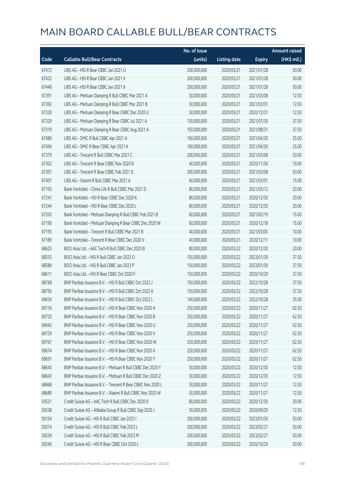|       |                                                            | No. of issue |                     |               | <b>Amount raised</b> |
|-------|------------------------------------------------------------|--------------|---------------------|---------------|----------------------|
| Code  | <b>Callable Bull/Bear Contracts</b>                        | (units)      | <b>Listing date</b> | <b>Expiry</b> | (HK\$ mil.)          |
| 67412 | UBS AG - HSI R Bear CBBC Jan 2021 U                        | 200,000,000  | 2020/05/21          | 2021/01/28    | 50.00                |
| 67422 | UBS AG - HSI R Bear CBBC Jan 2021 V                        | 200,000,000  | 2020/05/21          | 2021/01/28    | 50.00                |
| 67448 | UBS AG - HSI R Bear CBBC Jan 2021 X                        | 200,000,000  | 2020/05/21          | 2021/01/28    | 50.00                |
| 67391 | UBS AG - Meituan Dianping R Bull CBBC Mar 2021 A           | 50,000,000   | 2020/05/21          | 2021/03/08    | 12.50                |
| 67392 | UBS AG - Meituan Dianping R Bull CBBC Mar 2021 B           | 50,000,000   | 2020/05/21          | 2021/03/01    | 12.50                |
| 67330 | UBS AG - Meituan Dianping R Bear CBBC Dec 2020 U           | 50,000,000   | 2020/05/21          | 2020/12/31    | 12.50                |
| 67329 | UBS AG - Meituan Dianping R Bear CBBC Jul 2021 A           | 150,000,000  | 2020/05/21          | 2021/07/30    | 37.50                |
| 67310 | UBS AG - Meituan Dianping R Bear CBBC Aug 2021 A           | 150,000,000  | 2020/05/21          | 2021/08/31    | 37.50                |
| 67480 | UBS AG - SMIC R Bull CBBC Apr 2021 A                       | 100,000,000  | 2020/05/21          | 2021/04/30    | 25.00                |
| 67494 | UBS AG - SMIC R Bear CBBC Apr 2021 A                       | 100,000,000  | 2020/05/21          | 2021/04/30    | 25.00                |
| 67379 | UBS AG - Tencent R Bull CBBC Mar 2021 C                    | 200,000,000  | 2020/05/21          | 2021/03/08    | 50.00                |
| 67302 | UBS AG - Tencent R Bear CBBC Nov 2020 B                    | 40,000,000   | 2020/05/21          | 2020/11/30    | 10.00                |
| 67307 | UBS AG - Tencent R Bear CBBC Feb 2021 D                    | 200,000,000  | 2020/05/21          | 2021/02/08    | 50.00                |
| 67407 | UBS AG - Xiaomi R Bull CBBC Mar 2021 A                     | 60,000,000   | 2020/05/21          | 2021/03/01    | 15.00                |
| 67193 | Bank Vontobel - China Life R Bull CBBC Mar 2021 D          | 80,000,000   | 2020/05/21          | 2021/03/12    | 20.00                |
| 67241 | Bank Vontobel - HSI R Bear CBBC Dec 2020 K                 | 80,000,000   | 2020/05/21          | 2020/12/30    | 20.00                |
| 67244 | Bank Vontobel - HSI R Bear CBBC Dec 2020 L                 | 80,000,000   | 2020/05/21          | 2020/12/30    | 20.00                |
| 67205 | Bank Vontobel - Meituan Dianping R Bull CBBC Feb 2021 B    | 60,000,000   | 2020/05/21          | 2021/02/19    | 15.00                |
| 67190 | Bank Vontobel - Meituan Dianping R Bear CBBC Dec 2020 W    | 60,000,000   | 2020/05/21          | 2020/12/18    | 15.00                |
| 67195 | Bank Vontobel - Tencent R Bull CBBC Mar 2021 B             | 40,000,000   | 2020/05/21          | 2021/03/05    | 10.00                |
| 67189 | Bank Vontobel - Tencent R Bear CBBC Dec 2020 V             | 40,000,000   | 2020/05/21          | 2020/12/11    | 10.00                |
| 68625 | BOCI Asia Ltd. - AAC Tech R Bull CBBC Dec 2020 B           | 80,000,000   | 2020/05/22          | 2020/12/30    | 20.00                |
| 68555 | BOCI Asia Ltd. - HSI R Bull CBBC Jan 2023 O                | 150,000,000  | 2020/05/22          | 2023/01/30    | 37.50                |
| 68589 | BOCI Asia Ltd. - HSI R Bull CBBC Jan 2023 P                | 150,000,000  | 2020/05/22          | 2023/01/30    | 37.50                |
| 68611 | BOCI Asia Ltd. - HSI R Bear CBBC Oct 2020 F                | 150,000,000  | 2020/05/22          | 2020/10/29    | 37.50                |
| 68768 | BNP Paribas Issuance B.V. - HSI R Bull CBBC Oct 2022 J     | 150,000,000  | 2020/05/22          | 2022/10/28    | 37.50                |
| 68795 | BNP Paribas Issuance B.V. - HSI R Bull CBBC Oct 2022 K     | 150,000,000  | 2020/05/22          | 2022/10/28    | 37.50                |
| 69634 | BNP Paribas Issuance B.V. - HSI R Bull CBBC Oct 2022 L     | 140,000,000  | 2020/05/22          | 2022/10/28    | 35.00                |
| 69716 | BNP Paribas Issuance B.V. - HSI R Bear CBBC Nov 2020 A     | 250,000,000  | 2020/05/22          | 2020/11/27    | 62.50                |
| 69725 | BNP Paribas Issuance B.V. - HSI R Bear CBBC Nov 2020 B     | 250,000,000  | 2020/05/22          | 2020/11/27    | 62.50                |
| 69642 | BNP Paribas Issuance B.V. - HSI R Bear CBBC Nov 2020 U     | 250,000,000  | 2020/05/22          | 2020/11/27    | 62.50                |
| 69729 | BNP Paribas Issuance B.V. - HSI R Bear CBBC Nov 2020 V     | 250,000,000  | 2020/05/22          | 2020/11/27    | 62.50                |
| 69767 | BNP Paribas Issuance B.V. - HSI R Bear CBBC Nov 2020 W     | 250,000,000  | 2020/05/22          | 2020/11/27    | 62.50                |
| 69674 | BNP Paribas Issuance B.V. - HSI R Bear CBBC Nov 2020 X     | 250,000,000  | 2020/05/22          | 2020/11/27    | 62.50                |
| 69691 | BNP Paribas Issuance B.V. - HSI R Bear CBBC Nov 2020 Y     | 250,000,000  | 2020/05/22          | 2020/11/27    | 62.50                |
| 68645 | BNP Paribas Issuance B.V. - Meituan R Bull CBBC Dec 2020 Y | 50,000,000   | 2020/05/22          | 2020/12/30    | 12.50                |
| 68643 | BNP Paribas Issuance B.V. - Meituan R Bull CBBC Dec 2020 Z | 50,000,000   | 2020/05/22          | 2020/12/30    | 12.50                |
| 68668 | BNP Paribas Issuance B.V. - Tencent R Bear CBBC Nov 2020 L | 50,000,000   | 2020/05/22          | 2020/11/27    | 12.50                |
| 68689 | BNP Paribas Issuance B.V. - Xiaomi R Bull CBBC Nov 2020 W  | 50,000,000   | 2020/05/22          | 2020/11/27    | 12.50                |
| 50521 | Credit Suisse AG - AAC Tech R Bull CBBC Dec 2020 D         | 80,000,000   | 2020/05/22          | 2020/12/30    | 20.00                |
| 50538 | Credit Suisse AG - Alibaba Group R Bull CBBC Sep 2020 J    | 50,000,000   | 2020/05/22          | 2020/09/29    | 12.50                |
| 50154 | Credit Suisse AG - HSI R Bull CBBC Jan 2023 I              | 200,000,000  | 2020/05/22          | 2023/01/30    | 50.00                |
| 50374 | Credit Suisse AG - HSI R Bull CBBC Feb 2023 L              | 200,000,000  | 2020/05/22          | 2023/02/27    | 50.00                |
| 50539 | Credit Suisse AG - HSI R Bull CBBC Feb 2023 M              | 200,000,000  | 2020/05/22          | 2023/02/27    | 50.00                |
| 50540 | Credit Suisse AG - HSI R Bear CBBC Oct 2020 L              | 200,000,000  | 2020/05/22          | 2020/10/29    | 50.00                |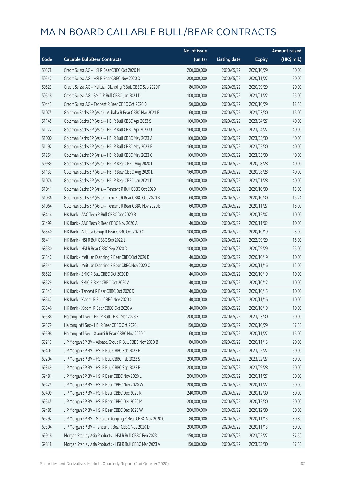|       |                                                            | No. of issue |                     |               | <b>Amount raised</b> |
|-------|------------------------------------------------------------|--------------|---------------------|---------------|----------------------|
| Code  | <b>Callable Bull/Bear Contracts</b>                        | (units)      | <b>Listing date</b> | <b>Expiry</b> | (HK\$ mil.)          |
| 50578 | Credit Suisse AG - HSI R Bear CBBC Oct 2020 M              | 200,000,000  | 2020/05/22          | 2020/10/29    | 50.00                |
| 50542 | Credit Suisse AG - HSI R Bear CBBC Nov 2020 Q              | 200,000,000  | 2020/05/22          | 2020/11/27    | 50.00                |
| 50523 | Credit Suisse AG - Meituan Dianping R Bull CBBC Sep 2020 F | 80,000,000   | 2020/05/22          | 2020/09/29    | 20.00                |
| 50518 | Credit Suisse AG - SMIC R Bull CBBC Jan 2021 D             | 100,000,000  | 2020/05/22          | 2021/01/22    | 25.00                |
| 50443 | Credit Suisse AG - Tencent R Bear CBBC Oct 2020 D          | 50,000,000   | 2020/05/22          | 2020/10/29    | 12.50                |
| 51075 | Goldman Sachs SP (Asia) - Alibaba R Bear CBBC Mar 2021 F   | 60,000,000   | 2020/05/22          | 2021/03/30    | 15.00                |
| 51145 | Goldman Sachs SP (Asia) - HSI R Bull CBBC Apr 2023 S       | 160,000,000  | 2020/05/22          | 2023/04/27    | 40.00                |
| 51172 | Goldman Sachs SP (Asia) - HSI R Bull CBBC Apr 2023 U       | 160,000,000  | 2020/05/22          | 2023/04/27    | 40.00                |
| 51000 | Goldman Sachs SP (Asia) - HSI R Bull CBBC May 2023 A       | 160,000,000  | 2020/05/22          | 2023/05/30    | 40.00                |
| 51192 | Goldman Sachs SP (Asia) - HSI R Bull CBBC May 2023 B       | 160,000,000  | 2020/05/22          | 2023/05/30    | 40.00                |
| 51254 | Goldman Sachs SP (Asia) - HSI R Bull CBBC May 2023 C       | 160,000,000  | 2020/05/22          | 2023/05/30    | 40.00                |
| 50989 | Goldman Sachs SP (Asia) - HSI R Bear CBBC Aug 2020 I       | 160,000,000  | 2020/05/22          | 2020/08/28    | 40.00                |
| 51133 | Goldman Sachs SP (Asia) - HSI R Bear CBBC Aug 2020 L       | 160,000,000  | 2020/05/22          | 2020/08/28    | 40.00                |
| 51076 | Goldman Sachs SP (Asia) - HSI R Bear CBBC Jan 2021 D       | 160,000,000  | 2020/05/22          | 2021/01/28    | 40.00                |
| 51041 | Goldman Sachs SP (Asia) - Tencent R Bull CBBC Oct 2020 I   | 60,000,000   | 2020/05/22          | 2020/10/30    | 15.00                |
| 51036 | Goldman Sachs SP (Asia) - Tencent R Bear CBBC Oct 2020 B   | 60,000,000   | 2020/05/22          | 2020/10/30    | 15.24                |
| 51064 | Goldman Sachs SP (Asia) - Tencent R Bear CBBC Nov 2020 E   | 60,000,000   | 2020/05/22          | 2020/11/27    | 15.00                |
| 68414 | HK Bank - AAC Tech R Bull CBBC Dec 2020 B                  | 40,000,000   | 2020/05/22          | 2020/12/07    | 10.00                |
| 68499 | HK Bank - AAC Tech R Bear CBBC Nov 2020 A                  | 40,000,000   | 2020/05/22          | 2020/11/02    | 10.00                |
| 68540 | HK Bank - Alibaba Group R Bear CBBC Oct 2020 C             | 100,000,000  | 2020/05/22          | 2020/10/19    | 25.00                |
| 68411 | HK Bank - HSI R Bull CBBC Sep 2022 L                       | 60,000,000   | 2020/05/22          | 2022/09/29    | 15.00                |
| 68530 | HK Bank - HSI R Bear CBBC Sep 2020 D                       | 100,000,000  | 2020/05/22          | 2020/09/29    | 25.00                |
| 68542 | HK Bank - Meituan Dianping R Bear CBBC Oct 2020 D          | 40,000,000   | 2020/05/22          | 2020/10/19    | 10.00                |
| 68541 | HK Bank - Meituan Dianping R Bear CBBC Nov 2020 C          | 40,000,000   | 2020/05/22          | 2020/11/16    | 12.00                |
| 68522 | HK Bank - SMIC R Bull CBBC Oct 2020 D                      | 40,000,000   | 2020/05/22          | 2020/10/19    | 10.00                |
| 68529 | HK Bank - SMIC R Bear CBBC Oct 2020 A                      | 40,000,000   | 2020/05/22          | 2020/10/12    | 10.00                |
| 68543 | HK Bank - Tencent R Bear CBBC Oct 2020 D                   | 40,000,000   | 2020/05/22          | 2020/10/15    | 10.00                |
| 68547 | HK Bank - Xiaomi R Bull CBBC Nov 2020 C                    | 40,000,000   | 2020/05/22          | 2020/11/16    | 10.00                |
| 68546 | HK Bank - Xiaomi R Bear CBBC Oct 2020 A                    | 40,000,000   | 2020/05/22          | 2020/10/19    | 10.00                |
| 69588 | Haitong Int'l Sec - HSI R Bull CBBC Mar 2023 K             | 200,000,000  | 2020/05/22          | 2023/03/30    | 50.00                |
| 69579 | Haitong Int'l Sec - HSI R Bear CBBC Oct 2020 J             | 150,000,000  | 2020/05/22          | 2020/10/29    | 37.50                |
| 69598 | Haitong Int'l Sec - Xiaomi R Bear CBBC Nov 2020 C          | 60,000,000   | 2020/05/22          | 2020/11/27    | 15.00                |
| 69217 | J P Morgan SP BV - Alibaba Group R Bull CBBC Nov 2020 B    | 80,000,000   | 2020/05/22          | 2020/11/13    | 20.00                |
| 69403 | J P Morgan SP BV - HSI R Bull CBBC Feb 2023 E              | 200,000,000  | 2020/05/22          | 2023/02/27    | 50.00                |
| 69204 | J P Morgan SP BV - HSI R Bull CBBC Feb 2023 S              | 200,000,000  | 2020/05/22          | 2023/02/27    | 50.00                |
| 69349 | J P Morgan SP BV - HSI R Bull CBBC Sep 2023 B              | 200,000,000  | 2020/05/22          | 2023/09/28    | 50.00                |
| 69481 | J P Morgan SP BV - HSI R Bear CBBC Nov 2020 L              | 200,000,000  | 2020/05/22          | 2020/11/27    | 50.00                |
| 69425 | J P Morgan SP BV - HSI R Bear CBBC Nov 2020 W              | 200,000,000  | 2020/05/22          | 2020/11/27    | 50.00                |
| 69499 | J P Morgan SP BV - HSI R Bear CBBC Dec 2020 K              | 240,000,000  | 2020/05/22          | 2020/12/30    | 60.00                |
| 69545 | J P Morgan SP BV - HSI R Bear CBBC Dec 2020 M              | 200,000,000  | 2020/05/22          | 2020/12/30    | 50.00                |
| 69485 | J P Morgan SP BV - HSI R Bear CBBC Dec 2020 W              | 200,000,000  | 2020/05/22          | 2020/12/30    | 50.00                |
| 69292 | J P Morgan SP BV - Meituan Dianping R Bear CBBC Nov 2020 C | 80,000,000   | 2020/05/22          | 2020/11/13    | 30.80                |
| 69304 | J P Morgan SP BV - Tencent R Bear CBBC Nov 2020 D          | 200,000,000  | 2020/05/22          | 2020/11/13    | 50.00                |
| 69918 | Morgan Stanley Asia Products - HSI R Bull CBBC Feb 2023 I  | 150,000,000  | 2020/05/22          | 2023/02/27    | 37.50                |
| 69818 | Morgan Stanley Asia Products - HSI R Bull CBBC Mar 2023 A  | 150,000,000  | 2020/05/22          | 2023/03/30    | 37.50                |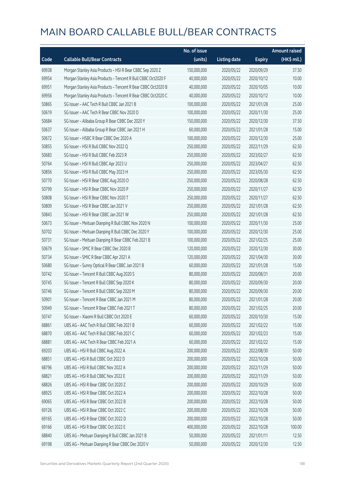|       |                                                              | No. of issue |                     |               | <b>Amount raised</b> |
|-------|--------------------------------------------------------------|--------------|---------------------|---------------|----------------------|
| Code  | <b>Callable Bull/Bear Contracts</b>                          | (units)      | <b>Listing date</b> | <b>Expiry</b> | $(HK$$ mil.)         |
| 69938 | Morgan Stanley Asia Products - HSI R Bear CBBC Sep 2020 Z    | 150,000,000  | 2020/05/22          | 2020/09/29    | 37.50                |
| 69954 | Morgan Stanley Asia Products - Tencent R Bull CBBC Oct2020 F | 40,000,000   | 2020/05/22          | 2020/10/12    | 10.00                |
| 69951 | Morgan Stanley Asia Products - Tencent R Bear CBBC Oct2020 B | 40,000,000   | 2020/05/22          | 2020/10/05    | 10.00                |
| 69956 | Morgan Stanley Asia Products - Tencent R Bear CBBC Oct2020 C | 40,000,000   | 2020/05/22          | 2020/10/12    | 10.00                |
| 50865 | SG Issuer - AAC Tech R Bull CBBC Jan 2021 B                  | 100,000,000  | 2020/05/22          | 2021/01/28    | 25.00                |
| 50619 | SG Issuer - AAC Tech R Bear CBBC Nov 2020 D                  | 100,000,000  | 2020/05/22          | 2020/11/30    | 25.00                |
| 50684 | SG Issuer - Alibaba Group R Bear CBBC Dec 2020 Y             | 150,000,000  | 2020/05/22          | 2020/12/30    | 37.50                |
| 50637 | SG Issuer - Alibaba Group R Bear CBBC Jan 2021 H             | 60,000,000   | 2020/05/22          | 2021/01/28    | 15.00                |
| 50672 | SG Issuer - HSBC R Bear CBBC Dec 2020 A                      | 100,000,000  | 2020/05/22          | 2020/12/30    | 25.00                |
| 50855 | SG Issuer - HSI R Bull CBBC Nov 2022 Q                       | 250,000,000  | 2020/05/22          | 2022/11/29    | 62.50                |
| 50683 | SG Issuer - HSI R Bull CBBC Feb 2023 R                       | 250,000,000  | 2020/05/22          | 2023/02/27    | 62.50                |
| 50764 | SG Issuer - HSI R Bull CBBC Apr 2023 U                       | 250,000,000  | 2020/05/22          | 2023/04/27    | 62.50                |
| 50856 | SG Issuer - HSI R Bull CBBC May 2023 H                       | 250,000,000  | 2020/05/22          | 2023/05/30    | 62.50                |
| 50770 | SG Issuer - HSI R Bear CBBC Aug 2020 O                       | 250,000,000  | 2020/05/22          | 2020/08/28    | 62.50                |
| 50799 | SG Issuer - HSI R Bear CBBC Nov 2020 P                       | 250,000,000  | 2020/05/22          | 2020/11/27    | 62.50                |
| 50808 | SG Issuer - HSI R Bear CBBC Nov 2020 T                       | 250,000,000  | 2020/05/22          | 2020/11/27    | 62.50                |
| 50809 | SG Issuer - HSI R Bear CBBC Jan 2021 V                       | 250,000,000  | 2020/05/22          | 2021/01/28    | 62.50                |
| 50843 | SG Issuer - HSI R Bear CBBC Jan 2021 W                       | 250,000,000  | 2020/05/22          | 2021/01/28    | 62.50                |
| 50673 | SG Issuer - Meituan Dianping R Bull CBBC Nov 2020 N          | 100,000,000  | 2020/05/22          | 2020/11/30    | 25.00                |
| 50702 | SG Issuer - Meituan Dianping R Bull CBBC Dec 2020 Y          | 100,000,000  | 2020/05/22          | 2020/12/30    | 25.00                |
| 50731 | SG Issuer - Meituan Dianping R Bear CBBC Feb 2021 B          | 100,000,000  | 2020/05/22          | 2021/02/25    | 25.00                |
| 50679 | SG Issuer - SMIC R Bear CBBC Dec 2020 B                      | 120,000,000  | 2020/05/22          | 2020/12/30    | 30.00                |
| 50734 | SG Issuer - SMIC R Bear CBBC Apr 2021 A                      | 120,000,000  | 2020/05/22          | 2021/04/30    | 30.00                |
| 50680 | SG Issuer - Sunny Optical R Bear CBBC Jan 2021 B             | 60,000,000   | 2020/05/22          | 2021/01/28    | 15.00                |
| 50742 | SG Issuer - Tencent R Bull CBBC Aug 2020 S                   | 80,000,000   | 2020/05/22          | 2020/08/31    | 20.00                |
| 50745 | SG Issuer - Tencent R Bull CBBC Sep 2020 K                   | 80,000,000   | 2020/05/22          | 2020/09/30    | 20.00                |
| 50746 | SG Issuer - Tencent R Bull CBBC Sep 2020 M                   | 80,000,000   | 2020/05/22          | 2020/09/30    | 20.00                |
| 50901 | SG Issuer - Tencent R Bear CBBC Jan 2021 M                   | 80,000,000   | 2020/05/22          | 2021/01/28    | 20.00                |
| 50949 | SG Issuer - Tencent R Bear CBBC Feb 2021 T                   | 80,000,000   | 2020/05/22          | 2021/02/25    | 20.00                |
| 50747 | SG Issuer - Xiaomi R Bull CBBC Oct 2020 E                    | 60,000,000   | 2020/05/22          | 2020/10/30    | 15.00                |
| 68861 | UBS AG - AAC Tech R Bull CBBC Feb 2021 B                     | 60,000,000   | 2020/05/22          | 2021/02/22    | 15.00                |
| 68870 | UBS AG - AAC Tech R Bull CBBC Feb 2021 C                     | 60,000,000   | 2020/05/22          | 2021/02/23    | 15.00                |
| 68881 | UBS AG - AAC Tech R Bear CBBC Feb 2021 A                     | 60,000,000   | 2020/05/22          | 2021/02/22    | 15.00                |
| 69203 | UBS AG - HSI R Bull CBBC Aug 2022 A                          | 200,000,000  | 2020/05/22          | 2022/08/30    | 50.00                |
| 68851 | UBS AG - HSI R Bull CBBC Oct 2022 D                          | 200,000,000  | 2020/05/22          | 2022/10/28    | 50.00                |
| 68796 | UBS AG - HSI R Bull CBBC Nov 2022 A                          | 200,000,000  | 2020/05/22          | 2022/11/29    | 50.00                |
| 68821 | UBS AG - HSI R Bull CBBC Nov 2022 E                          | 200,000,000  | 2020/05/22          | 2022/11/29    | 50.00                |
| 68826 | UBS AG - HSI R Bear CBBC Oct 2020 Z                          | 200,000,000  | 2020/05/22          | 2020/10/29    | 50.00                |
| 68925 | UBS AG - HSI R Bear CBBC Oct 2022 A                          | 200,000,000  | 2020/05/22          | 2022/10/28    | 50.00                |
| 69065 | UBS AG - HSI R Bear CBBC Oct 2022 B                          | 200,000,000  | 2020/05/22          | 2022/10/28    | 50.00                |
| 69126 | UBS AG - HSI R Bear CBBC Oct 2022 C                          | 200,000,000  | 2020/05/22          | 2022/10/28    | 50.00                |
| 69165 | UBS AG - HSI R Bear CBBC Oct 2022 D                          | 200,000,000  | 2020/05/22          | 2022/10/28    | 50.00                |
| 69166 | UBS AG - HSI R Bear CBBC Oct 2022 E                          | 400,000,000  | 2020/05/22          | 2022/10/28    | 100.00               |
| 68840 | UBS AG - Meituan Dianping R Bull CBBC Jan 2021 B             | 50,000,000   | 2020/05/22          | 2021/01/11    | 12.50                |
| 69198 | UBS AG - Meituan Dianping R Bear CBBC Dec 2020 V             | 50,000,000   | 2020/05/22          | 2020/12/30    | 12.50                |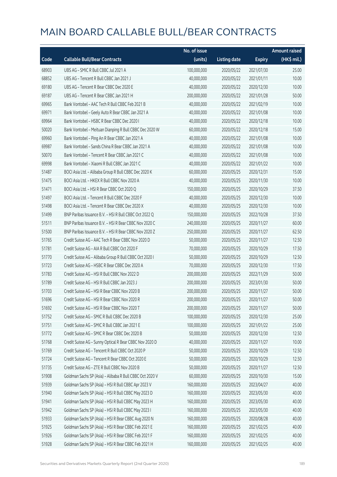|       |                                                          | No. of issue |                     |               | <b>Amount raised</b> |
|-------|----------------------------------------------------------|--------------|---------------------|---------------|----------------------|
| Code  | <b>Callable Bull/Bear Contracts</b>                      | (units)      | <b>Listing date</b> | <b>Expiry</b> | (HK\$ mil.)          |
| 68903 | UBS AG - SMIC R Bull CBBC Jul 2021 A                     | 100,000,000  | 2020/05/22          | 2021/07/30    | 25.00                |
| 68852 | UBS AG - Tencent R Bull CBBC Jan 2021 J                  | 40,000,000   | 2020/05/22          | 2021/01/11    | 10.00                |
| 69180 | UBS AG - Tencent R Bear CBBC Dec 2020 E                  | 40,000,000   | 2020/05/22          | 2020/12/30    | 10.00                |
| 69187 | UBS AG - Tencent R Bear CBBC Jan 2021 H                  | 200,000,000  | 2020/05/22          | 2021/01/28    | 50.00                |
| 69965 | Bank Vontobel - AAC Tech R Bull CBBC Feb 2021 B          | 40,000,000   | 2020/05/22          | 2021/02/19    | 10.00                |
| 69971 | Bank Vontobel - Geely Auto R Bear CBBC Jan 2021 A        | 40,000,000   | 2020/05/22          | 2021/01/08    | 10.00                |
| 69964 | Bank Vontobel - HSBC R Bear CBBC Dec 2020 I              | 40,000,000   | 2020/05/22          | 2020/12/18    | 10.00                |
| 50020 | Bank Vontobel - Meituan Dianping R Bull CBBC Dec 2020 W  | 60,000,000   | 2020/05/22          | 2020/12/18    | 15.00                |
| 69960 | Bank Vontobel - Ping An R Bear CBBC Jan 2021 A           | 40,000,000   | 2020/05/22          | 2021/01/08    | 10.00                |
| 69987 | Bank Vontobel - Sands China R Bear CBBC Jan 2021 A       | 40,000,000   | 2020/05/22          | 2021/01/08    | 10.00                |
| 50070 | Bank Vontobel - Tencent R Bear CBBC Jan 2021 C           | 40,000,000   | 2020/05/22          | 2021/01/08    | 10.00                |
| 69998 | Bank Vontobel - Xiaomi R Bull CBBC Jan 2021 C            | 40,000,000   | 2020/05/22          | 2021/01/22    | 10.00                |
| 51487 | BOCI Asia Ltd. - Alibaba Group R Bull CBBC Dec 2020 K    | 60,000,000   | 2020/05/25          | 2020/12/31    | 15.00                |
| 51475 | BOCI Asia Ltd. - HKEX R Bull CBBC Nov 2020 A             | 40,000,000   | 2020/05/25          | 2020/11/30    | 10.00                |
| 51471 | BOCI Asia Ltd. - HSI R Bear CBBC Oct 2020 Q              | 150,000,000  | 2020/05/25          | 2020/10/29    | 37.50                |
| 51497 | BOCI Asia Ltd. - Tencent R Bull CBBC Dec 2020 F          | 40,000,000   | 2020/05/25          | 2020/12/30    | 10.00                |
| 51498 | BOCI Asia Ltd. - Tencent R Bear CBBC Dec 2020 X          | 40,000,000   | 2020/05/25          | 2020/12/30    | 10.00                |
| 51499 | BNP Paribas Issuance B.V. - HSI R Bull CBBC Oct 2022 Q   | 150,000,000  | 2020/05/25          | 2022/10/28    | 37.50                |
| 51511 | BNP Paribas Issuance B.V. - HSI R Bear CBBC Nov 2020 C   | 240,000,000  | 2020/05/25          | 2020/11/27    | 60.00                |
| 51500 | BNP Paribas Issuance B.V. - HSI R Bear CBBC Nov 2020 Z   | 250,000,000  | 2020/05/25          | 2020/11/27    | 62.50                |
| 51765 | Credit Suisse AG - AAC Tech R Bear CBBC Nov 2020 D       | 50,000,000   | 2020/05/25          | 2020/11/27    | 12.50                |
| 51781 | Credit Suisse AG - AIA R Bull CBBC Oct 2020 F            | 70,000,000   | 2020/05/25          | 2020/10/29    | 17.50                |
| 51770 | Credit Suisse AG - Alibaba Group R Bull CBBC Oct 2020 I  | 50,000,000   | 2020/05/25          | 2020/10/29    | 12.50                |
| 51723 | Credit Suisse AG - HSBC R Bear CBBC Dec 2020 A           | 70,000,000   | 2020/05/25          | 2020/12/30    | 17.50                |
| 51783 | Credit Suisse AG - HSI R Bull CBBC Nov 2022 D            | 200,000,000  | 2020/05/25          | 2022/11/29    | 50.00                |
| 51789 | Credit Suisse AG - HSI R Bull CBBC Jan 2023 J            | 200,000,000  | 2020/05/25          | 2023/01/30    | 50.00                |
| 51703 | Credit Suisse AG - HSI R Bear CBBC Nov 2020 B            | 200,000,000  | 2020/05/25          | 2020/11/27    | 50.00                |
| 51696 | Credit Suisse AG - HSI R Bear CBBC Nov 2020 R            | 200,000,000  | 2020/05/25          | 2020/11/27    | 50.00                |
| 51692 | Credit Suisse AG - HSI R Bear CBBC Nov 2020 T            | 200,000,000  | 2020/05/25          | 2020/11/27    | 50.00                |
| 51752 | Credit Suisse AG - SMIC R Bull CBBC Dec 2020 B           | 100,000,000  | 2020/05/25          | 2020/12/30    | 25.00                |
| 51751 | Credit Suisse AG - SMIC R Bull CBBC Jan 2021 E           | 100,000,000  | 2020/05/25          | 2021/01/22    | 25.00                |
| 51772 | Credit Suisse AG - SMIC R Bear CBBC Dec 2020 B           | 50,000,000   | 2020/05/25          | 2020/12/30    | 12.50                |
| 51768 | Credit Suisse AG - Sunny Optical R Bear CBBC Nov 2020 D  | 40,000,000   | 2020/05/25          | 2020/11/27    | 10.00                |
| 51769 | Credit Suisse AG - Tencent R Bull CBBC Oct 2020 P        | 50,000,000   | 2020/05/25          | 2020/10/29    | 12.50                |
| 51724 | Credit Suisse AG - Tencent R Bear CBBC Oct 2020 E        | 50,000,000   | 2020/05/25          | 2020/10/29    | 12.50                |
| 51735 | Credit Suisse AG - ZTE R Bull CBBC Nov 2020 B            | 50,000,000   | 2020/05/25          | 2020/11/27    | 12.50                |
| 51908 | Goldman Sachs SP (Asia) - Alibaba R Bull CBBC Oct 2020 V | 60,000,000   | 2020/05/25          | 2020/10/30    | 15.00                |
| 51939 | Goldman Sachs SP (Asia) - HSI R Bull CBBC Apr 2023 V     | 160,000,000  | 2020/05/25          | 2023/04/27    | 40.00                |
| 51940 | Goldman Sachs SP (Asia) - HSI R Bull CBBC May 2023 D     | 160,000,000  | 2020/05/25          | 2023/05/30    | 40.00                |
| 51941 | Goldman Sachs SP (Asia) - HSI R Bull CBBC May 2023 H     | 160,000,000  | 2020/05/25          | 2023/05/30    | 40.00                |
| 51942 | Goldman Sachs SP (Asia) - HSI R Bull CBBC May 2023 I     | 160,000,000  | 2020/05/25          | 2023/05/30    | 40.00                |
| 51933 | Goldman Sachs SP (Asia) - HSI R Bear CBBC Aug 2020 N     | 160,000,000  | 2020/05/25          | 2020/08/28    | 40.00                |
| 51925 | Goldman Sachs SP (Asia) - HSI R Bear CBBC Feb 2021 E     | 160,000,000  | 2020/05/25          | 2021/02/25    | 40.00                |
| 51926 | Goldman Sachs SP (Asia) - HSI R Bear CBBC Feb 2021 F     | 160,000,000  | 2020/05/25          | 2021/02/25    | 40.00                |
| 51928 | Goldman Sachs SP (Asia) - HSI R Bear CBBC Feb 2021 H     | 160,000,000  | 2020/05/25          | 2021/02/25    | 40.00                |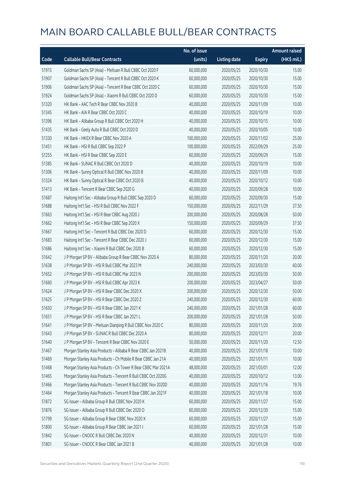|       |                                                               | No. of issue |                     |               | <b>Amount raised</b> |
|-------|---------------------------------------------------------------|--------------|---------------------|---------------|----------------------|
| Code  | <b>Callable Bull/Bear Contracts</b>                           | (units)      | <b>Listing date</b> | <b>Expiry</b> | (HK\$ mil.)          |
| 51915 | Goldman Sachs SP (Asia) - Meituan R Bull CBBC Oct 2020 F      | 60,000,000   | 2020/05/25          | 2020/10/30    | 15.00                |
| 51907 | Goldman Sachs SP (Asia) - Tencent R Bull CBBC Oct 2020 K      | 60,000,000   | 2020/05/25          | 2020/10/30    | 15.00                |
| 51906 | Goldman Sachs SP (Asia) - Tencent R Bear CBBC Oct 2020 C      | 60,000,000   | 2020/05/25          | 2020/10/30    | 15.00                |
| 51924 | Goldman Sachs SP (Asia) - Xiaomi R Bull CBBC Oct 2020 D       | 60,000,000   | 2020/05/25          | 2020/10/30    | 15.00                |
| 51320 | HK Bank - AAC Tech R Bear CBBC Nov 2020 B                     | 40,000,000   | 2020/05/25          | 2020/11/09    | 10.00                |
| 51345 | HK Bank - AIA R Bear CBBC Oct 2020 C                          | 40,000,000   | 2020/05/25          | 2020/10/19    | 10.00                |
| 51396 | HK Bank - Alibaba Group R Bull CBBC Oct 2020 H                | 40,000,000   | 2020/05/25          | 2020/10/15    | 10.00                |
| 51435 | HK Bank - Geely Auto R Bull CBBC Oct 2020 D                   | 40,000,000   | 2020/05/25          | 2020/10/05    | 10.00                |
| 51330 | HK Bank - HKEX R Bear CBBC Nov 2020 A                         | 100,000,000  | 2020/05/25          | 2020/11/02    | 25.00                |
| 51451 | HK Bank - HSI R Bull CBBC Sep 2022 P                          | 100,000,000  | 2020/05/25          | 2022/09/29    | 25.00                |
| 51255 | HK Bank - HSI R Bear CBBC Sep 2020 E                          | 60,000,000   | 2020/05/25          | 2020/09/29    | 15.00                |
| 51385 | HK Bank - SUNAC R Bull CBBC Oct 2020 D                        | 40,000,000   | 2020/05/25          | 2020/10/19    | 10.00                |
| 51306 | HK Bank - Sunny Optical R Bull CBBC Nov 2020 B                | 40,000,000   | 2020/05/25          | 2020/11/09    | 10.00                |
| 51324 | HK Bank - Sunny Optical R Bear CBBC Oct 2020 B                | 40,000,000   | 2020/05/25          | 2020/10/12    | 10.00                |
| 51413 | HK Bank - Tencent R Bear CBBC Sep 2020 G                      | 40,000,000   | 2020/05/25          | 2020/09/28    | 10.00                |
| 51687 | Haitong Int'l Sec - Alibaba Group R Bull CBBC Sep 2020 D      | 60,000,000   | 2020/05/25          | 2020/09/30    | 15.00                |
| 51688 | Haitong Int'l Sec - HSI R Bull CBBC Nov 2022 F                | 150,000,000  | 2020/05/25          | 2022/11/29    | 37.50                |
| 51663 | Haitong Int'l Sec - HSI R Bear CBBC Aug 2020 J                | 200,000,000  | 2020/05/25          | 2020/08/28    | 50.00                |
| 51662 | Haitong Int'l Sec - HSI R Bear CBBC Sep 2020 X                | 150,000,000  | 2020/05/25          | 2020/09/29    | 37.50                |
| 51667 | Haitong Int'l Sec - Tencent R Bull CBBC Dec 2020 D            | 60,000,000   | 2020/05/25          | 2020/12/30    | 15.00                |
| 51683 | Haitong Int'l Sec - Tencent R Bear CBBC Dec 2020 J            | 60,000,000   | 2020/05/25          | 2020/12/30    | 15.00                |
| 51686 | Haitong Int'l Sec - Xiaomi R Bull CBBC Dec 2020 B             | 60,000,000   | 2020/05/25          | 2020/12/30    | 15.00                |
| 51642 | J P Morgan SP BV - Alibaba Group R Bear CBBC Nov 2020 A       | 80,000,000   | 2020/05/25          | 2020/11/20    | 20.00                |
| 51638 | J P Morgan SP BV - HSI R Bull CBBC Mar 2023 M                 | 240,000,000  | 2020/05/25          | 2023/03/30    | 60.00                |
| 51652 | J P Morgan SP BV - HSI R Bull CBBC Mar 2023 N                 | 200,000,000  | 2020/05/25          | 2023/03/30    | 50.00                |
| 51660 | J P Morgan SP BV - HSI R Bull CBBC Apr 2023 K                 | 200,000,000  | 2020/05/25          | 2023/04/27    | 50.00                |
| 51624 | J P Morgan SP BV - HSI R Bear CBBC Dec 2020 X                 | 200,000,000  | 2020/05/25          | 2020/12/30    | 50.00                |
| 51625 | J P Morgan SP BV - HSI R Bear CBBC Dec 2020 Z                 | 240,000,000  | 2020/05/25          | 2020/12/30    | 60.00                |
| 51650 | J P Morgan SP BV - HSI R Bear CBBC Jan 2021 K                 | 240,000,000  | 2020/05/25          | 2021/01/28    | 60.00                |
| 51651 | J P Morgan SP BV - HSI R Bear CBBC Jan 2021 L                 | 200,000,000  | 2020/05/25          | 2021/01/28    | 50.00                |
| 51641 | J P Morgan SP BV - Meituan Dianping R Bull CBBC Nov 2020 C    | 80,000,000   | 2020/05/25          | 2020/11/20    | 20.00                |
| 51643 | J P Morgan SP BV - SUNAC R Bull CBBC Dec 2020 A               | 80,000,000   | 2020/05/25          | 2020/12/11    | 20.00                |
| 51640 | J P Morgan SP BV - Tencent R Bear CBBC Nov 2020 E             | 50,000,000   | 2020/05/25          | 2020/11/20    | 12.50                |
| 51467 | Morgan Stanley Asia Products - Alibaba R Bear CBBC Jan 2021B  | 40,000,000   | 2020/05/25          | 2021/01/18    | 10.00                |
| 51469 | Morgan Stanley Asia Products - Ch Mobile R Bear CBBC Jan 21A  | 40,000,000   | 2020/05/25          | 2021/01/11    | 10.00                |
| 51468 | Morgan Stanley Asia Products - Ch Tower R Bear CBBC Mar 2021A | 48,000,000   | 2020/05/25          | 2021/03/01    | 12.00                |
| 51465 | Morgan Stanley Asia Products - Tencent R Bull CBBC Oct 2020G  | 40,000,000   | 2020/05/25          | 2020/10/12    | 13.00                |
| 51466 | Morgan Stanley Asia Products - Tencent R Bull CBBC Nov 2020D  | 40,000,000   | 2020/05/25          | 2020/11/16    | 19.76                |
| 51464 | Morgan Stanley Asia Products - Tencent R Bear CBBC Jan 2021F  | 40,000,000   | 2020/05/25          | 2021/01/18    | 10.00                |
| 51872 | SG Issuer - Alibaba Group R Bull CBBC Nov 2020 K              | 60,000,000   | 2020/05/25          | 2020/11/27    | 15.00                |
| 51876 | SG Issuer - Alibaba Group R Bull CBBC Dec 2020 O              | 60,000,000   | 2020/05/25          | 2020/12/30    | 15.00                |
| 51799 | SG Issuer - Alibaba Group R Bear CBBC Nov 2020 X              | 60,000,000   | 2020/05/25          | 2020/11/27    | 15.00                |
| 51800 | SG Issuer - Alibaba Group R Bear CBBC Jan 2021 I              | 60,000,000   | 2020/05/25          | 2021/01/28    | 15.00                |
| 51842 | SG Issuer - CNOOC R Bull CBBC Dec 2020 N                      | 40,000,000   | 2020/05/25          | 2020/12/31    | 10.00                |
| 51801 | SG Issuer - CNOOC R Bear CBBC Jan 2021 B                      | 40,000,000   | 2020/05/25          | 2021/01/28    | 10.00                |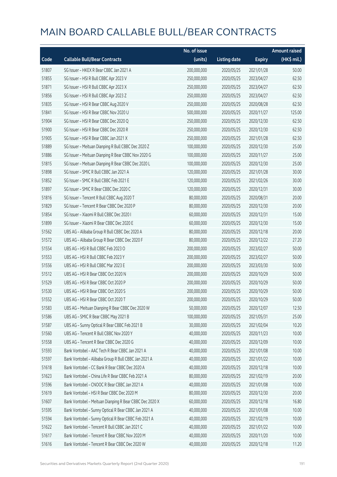|       |                                                         | No. of issue |                     |               | <b>Amount raised</b> |
|-------|---------------------------------------------------------|--------------|---------------------|---------------|----------------------|
| Code  | <b>Callable Bull/Bear Contracts</b>                     | (units)      | <b>Listing date</b> | <b>Expiry</b> | (HK\$ mil.)          |
| 51807 | SG Issuer - HKEX R Bear CBBC Jan 2021 A                 | 200,000,000  | 2020/05/25          | 2021/01/28    | 50.00                |
| 51855 | SG Issuer - HSI R Bull CBBC Apr 2023 V                  | 250,000,000  | 2020/05/25          | 2023/04/27    | 62.50                |
| 51871 | SG Issuer - HSI R Bull CBBC Apr 2023 X                  | 250,000,000  | 2020/05/25          | 2023/04/27    | 62.50                |
| 51856 | SG Issuer - HSI R Bull CBBC Apr 2023 Z                  | 250,000,000  | 2020/05/25          | 2023/04/27    | 62.50                |
| 51835 | SG Issuer - HSI R Bear CBBC Aug 2020 V                  | 250,000,000  | 2020/05/25          | 2020/08/28    | 62.50                |
| 51841 | SG Issuer - HSI R Bear CBBC Nov 2020 U                  | 500,000,000  | 2020/05/25          | 2020/11/27    | 125.00               |
| 51904 | SG Issuer - HSI R Bear CBBC Dec 2020 Q                  | 250,000,000  | 2020/05/25          | 2020/12/30    | 62.50                |
| 51900 | SG Issuer - HSI R Bear CBBC Dec 2020 R                  | 250,000,000  | 2020/05/25          | 2020/12/30    | 62.50                |
| 51905 | SG Issuer - HSI R Bear CBBC Jan 2021 X                  | 250,000,000  | 2020/05/25          | 2021/01/28    | 62.50                |
| 51889 | SG Issuer - Meituan Dianping R Bull CBBC Dec 2020 Z     | 100,000,000  | 2020/05/25          | 2020/12/30    | 25.00                |
| 51886 | SG Issuer - Meituan Dianping R Bear CBBC Nov 2020 G     | 100,000,000  | 2020/05/25          | 2020/11/27    | 25.00                |
| 51815 | SG Issuer - Meituan Dianping R Bear CBBC Dec 2020 L     | 100,000,000  | 2020/05/25          | 2020/12/30    | 25.00                |
| 51898 | SG Issuer - SMIC R Bull CBBC Jan 2021 A                 | 120,000,000  | 2020/05/25          | 2021/01/28    | 30.00                |
| 51852 | SG Issuer - SMIC R Bull CBBC Feb 2021 E                 | 120,000,000  | 2020/05/25          | 2021/02/26    | 30.00                |
| 51897 | SG Issuer - SMIC R Bear CBBC Dec 2020 C                 | 120,000,000  | 2020/05/25          | 2020/12/31    | 30.00                |
| 51816 | SG Issuer - Tencent R Bull CBBC Aug 2020 T              | 80,000,000   | 2020/05/25          | 2020/08/31    | 20.00                |
| 51829 | SG Issuer - Tencent R Bear CBBC Dec 2020 P              | 80,000,000   | 2020/05/25          | 2020/12/30    | 20.00                |
| 51854 | SG Issuer - Xiaomi R Bull CBBC Dec 2020 I               | 60,000,000   | 2020/05/25          | 2020/12/31    | 15.00                |
| 51899 | SG Issuer - Xiaomi R Bear CBBC Dec 2020 E               | 60,000,000   | 2020/05/25          | 2020/12/30    | 15.00                |
| 51562 | UBS AG - Alibaba Group R Bull CBBC Dec 2020 A           | 80,000,000   | 2020/05/25          | 2020/12/18    | 20.00                |
| 51572 | UBS AG - Alibaba Group R Bear CBBC Dec 2020 F           | 80,000,000   | 2020/05/25          | 2020/12/22    | 27.20                |
| 51554 | UBS AG - HSI R Bull CBBC Feb 2023 O                     | 200,000,000  | 2020/05/25          | 2023/02/27    | 50.00                |
| 51553 | UBS AG - HSI R Bull CBBC Feb 2023 Y                     | 200,000,000  | 2020/05/25          | 2023/02/27    | 50.00                |
| 51556 | UBS AG - HSI R Bull CBBC Mar 2023 E                     | 200,000,000  | 2020/05/25          | 2023/03/30    | 50.00                |
| 51512 | UBS AG - HSI R Bear CBBC Oct 2020 N                     | 200,000,000  | 2020/05/25          | 2020/10/29    | 50.00                |
| 51529 | UBS AG - HSI R Bear CBBC Oct 2020 P                     | 200,000,000  | 2020/05/25          | 2020/10/29    | 50.00                |
| 51530 | UBS AG - HSI R Bear CBBC Oct 2020 S                     | 200,000,000  | 2020/05/25          | 2020/10/29    | 50.00                |
| 51552 | UBS AG - HSI R Bear CBBC Oct 2020 T                     | 200,000,000  | 2020/05/25          | 2020/10/29    | 50.00                |
| 51583 | UBS AG - Meituan Dianping R Bear CBBC Dec 2020 W        | 50,000,000   | 2020/05/25          | 2020/12/07    | 12.50                |
| 51586 | UBS AG - SMIC R Bear CBBC May 2021 B                    | 100,000,000  | 2020/05/25          | 2021/05/31    | 25.00                |
| 51587 | UBS AG - Sunny Optical R Bear CBBC Feb 2021 B           | 30,000,000   | 2020/05/25          | 2021/02/04    | 10.20                |
| 51560 | UBS AG - Tencent R Bull CBBC Nov 2020 Y                 | 40,000,000   | 2020/05/25          | 2020/11/23    | 10.00                |
| 51558 | UBS AG - Tencent R Bear CBBC Dec 2020 G                 | 40,000,000   | 2020/05/25          | 2020/12/09    | 10.00                |
| 51593 | Bank Vontobel - AAC Tech R Bear CBBC Jan 2021 A         | 40,000,000   | 2020/05/25          | 2021/01/08    | 10.00                |
| 51597 | Bank Vontobel - Alibaba Group R Bull CBBC Jan 2021 A    | 40,000,000   | 2020/05/25          | 2021/01/22    | 10.00                |
| 51618 | Bank Vontobel - CC Bank R Bear CBBC Dec 2020 A          | 40,000,000   | 2020/05/25          | 2020/12/18    | 10.00                |
| 51623 | Bank Vontobel - China Life R Bear CBBC Feb 2021 A       | 80,000,000   | 2020/05/25          | 2021/02/19    | 20.00                |
| 51596 | Bank Vontobel - CNOOC R Bear CBBC Jan 2021 A            | 40,000,000   | 2020/05/25          | 2021/01/08    | 10.00                |
| 51619 | Bank Vontobel - HSI R Bear CBBC Dec 2020 M              | 80,000,000   | 2020/05/25          | 2020/12/30    | 20.00                |
| 51607 | Bank Vontobel - Meituan Dianping R Bear CBBC Dec 2020 X | 60,000,000   | 2020/05/25          | 2020/12/18    | 16.80                |
| 51595 | Bank Vontobel - Sunny Optical R Bear CBBC Jan 2021 A    | 40,000,000   | 2020/05/25          | 2021/01/08    | 10.00                |
| 51594 | Bank Vontobel - Sunny Optical R Bear CBBC Feb 2021 A    | 40,000,000   | 2020/05/25          | 2021/02/19    | 10.00                |
| 51622 | Bank Vontobel - Tencent R Bull CBBC Jan 2021 C          | 40,000,000   | 2020/05/25          | 2021/01/22    | 10.00                |
| 51617 | Bank Vontobel - Tencent R Bear CBBC Nov 2020 M          | 40,000,000   | 2020/05/25          | 2020/11/20    | 10.00                |
| 51616 | Bank Vontobel - Tencent R Bear CBBC Dec 2020 W          | 40,000,000   | 2020/05/25          | 2020/12/18    | 11.20                |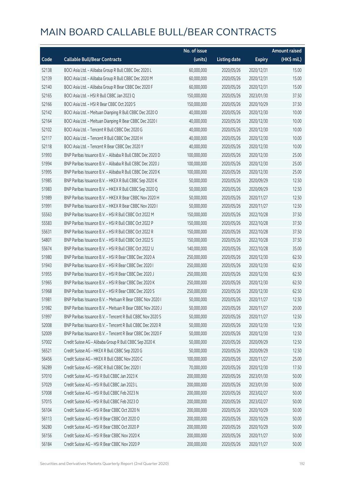|       |                                                            | No. of issue |                     |               | <b>Amount raised</b> |
|-------|------------------------------------------------------------|--------------|---------------------|---------------|----------------------|
| Code  | <b>Callable Bull/Bear Contracts</b>                        | (units)      | <b>Listing date</b> | <b>Expiry</b> | (HK\$ mil.)          |
| 52138 | BOCI Asia Ltd. - Alibaba Group R Bull CBBC Dec 2020 L      | 60,000,000   | 2020/05/26          | 2020/12/31    | 15.00                |
| 52139 | BOCI Asia Ltd. - Alibaba Group R Bull CBBC Dec 2020 M      | 60,000,000   | 2020/05/26          | 2020/12/31    | 15.00                |
| 52140 | BOCI Asia Ltd. - Alibaba Group R Bear CBBC Dec 2020 F      | 60,000,000   | 2020/05/26          | 2020/12/31    | 15.00                |
| 52165 | BOCI Asia Ltd. - HSI R Bull CBBC Jan 2023 Q                | 150,000,000  | 2020/05/26          | 2023/01/30    | 37.50                |
| 52166 | BOCI Asia Ltd. - HSI R Bear CBBC Oct 2020 S                | 150,000,000  | 2020/05/26          | 2020/10/29    | 37.50                |
| 52142 | BOCI Asia Ltd. - Meituan Dianping R Bull CBBC Dec 2020 O   | 40,000,000   | 2020/05/26          | 2020/12/30    | 10.00                |
| 52164 | BOCI Asia Ltd. - Meituan Dianping R Bear CBBC Dec 2020 I   | 40,000,000   | 2020/05/26          | 2020/12/30    | 10.00                |
| 52102 | BOCI Asia Ltd. - Tencent R Bull CBBC Dec 2020 G            | 40,000,000   | 2020/05/26          | 2020/12/30    | 10.00                |
| 52117 | BOCI Asia Ltd. - Tencent R Bull CBBC Dec 2020 H            | 40,000,000   | 2020/05/26          | 2020/12/30    | 10.00                |
| 52118 | BOCI Asia Ltd. - Tencent R Bear CBBC Dec 2020 Y            | 40,000,000   | 2020/05/26          | 2020/12/30    | 10.00                |
| 51993 | BNP Paribas Issuance B.V. - Alibaba R Bull CBBC Dec 2020 D | 100,000,000  | 2020/05/26          | 2020/12/30    | 25.00                |
| 51994 | BNP Paribas Issuance B.V. - Alibaba R Bull CBBC Dec 2020 J | 100,000,000  | 2020/05/26          | 2020/12/30    | 25.00                |
| 51995 | BNP Paribas Issuance B.V. - Alibaba R Bull CBBC Dec 2020 K | 100,000,000  | 2020/05/26          | 2020/12/30    | 25.00                |
| 51985 | BNP Paribas Issuance B.V. - HKEX R Bull CBBC Sep 2020 K    | 50,000,000   | 2020/05/26          | 2020/09/29    | 12.50                |
| 51983 | BNP Paribas Issuance B.V. - HKEX R Bull CBBC Sep 2020 Q    | 50,000,000   | 2020/05/26          | 2020/09/29    | 12.50                |
| 51989 | BNP Paribas Issuance B.V. - HKEX R Bear CBBC Nov 2020 H    | 50,000,000   | 2020/05/26          | 2020/11/27    | 12.50                |
| 51991 | BNP Paribas Issuance B.V. - HKEX R Bear CBBC Nov 2020 I    | 50,000,000   | 2020/05/26          | 2020/11/27    | 12.50                |
| 55563 | BNP Paribas Issuance B.V. - HSI R Bull CBBC Oct 2022 M     | 150,000,000  | 2020/05/26          | 2022/10/28    | 37.50                |
| 55583 | BNP Paribas Issuance B.V. - HSI R Bull CBBC Oct 2022 P     | 150,000,000  | 2020/05/26          | 2022/10/28    | 37.50                |
| 55631 | BNP Paribas Issuance B.V. - HSI R Bull CBBC Oct 2022 R     | 150,000,000  | 2020/05/26          | 2022/10/28    | 37.50                |
| 54801 | BNP Paribas Issuance B.V. - HSI R Bull CBBC Oct 2022 S     | 150,000,000  | 2020/05/26          | 2022/10/28    | 37.50                |
| 55674 | BNP Paribas Issuance B.V. - HSI R Bull CBBC Oct 2022 U     | 140,000,000  | 2020/05/26          | 2022/10/28    | 35.00                |
| 51980 | BNP Paribas Issuance B.V. - HSI R Bear CBBC Dec 2020 A     | 250,000,000  | 2020/05/26          | 2020/12/30    | 62.50                |
| 51943 | BNP Paribas Issuance B.V. - HSI R Bear CBBC Dec 2020 I     | 250,000,000  | 2020/05/26          | 2020/12/30    | 62.50                |
| 51955 | BNP Paribas Issuance B.V. - HSI R Bear CBBC Dec 2020 J     | 250,000,000  | 2020/05/26          | 2020/12/30    | 62.50                |
| 51965 | BNP Paribas Issuance B.V. - HSI R Bear CBBC Dec 2020 K     | 250,000,000  | 2020/05/26          | 2020/12/30    | 62.50                |
| 51968 | BNP Paribas Issuance B.V. - HSI R Bear CBBC Dec 2020 S     | 250,000,000  | 2020/05/26          | 2020/12/30    | 62.50                |
| 51981 | BNP Paribas Issuance B.V. - Meituan R Bear CBBC Nov 2020 I | 50,000,000   | 2020/05/26          | 2020/11/27    | 12.50                |
| 51982 | BNP Paribas Issuance B.V. - Meituan R Bear CBBC Nov 2020 J | 50,000,000   | 2020/05/26          | 2020/11/27    | 20.00                |
| 51997 | BNP Paribas Issuance B.V. - Tencent R Bull CBBC Nov 2020 S | 50,000,000   | 2020/05/26          | 2020/11/27    | 12.50                |
| 52008 | BNP Paribas Issuance B.V. - Tencent R Bull CBBC Dec 2020 R | 50,000,000   | 2020/05/26          | 2020/12/30    | 12.50                |
| 52009 | BNP Paribas Issuance B.V. - Tencent R Bear CBBC Dec 2020 F | 50,000,000   | 2020/05/26          | 2020/12/30    | 12.50                |
| 57002 | Credit Suisse AG - Alibaba Group R Bull CBBC Sep 2020 K    | 50,000,000   | 2020/05/26          | 2020/09/29    | 12.50                |
| 56521 | Credit Suisse AG - HKEX R Bull CBBC Sep 2020 G             | 50,000,000   | 2020/05/26          | 2020/09/29    | 12.50                |
| 56456 | Credit Suisse AG - HKEX R Bull CBBC Nov 2020 C             | 100,000,000  | 2020/05/26          | 2020/11/27    | 25.00                |
| 56289 | Credit Suisse AG - HSBC R Bull CBBC Dec 2020 I             | 70,000,000   | 2020/05/26          | 2020/12/30    | 17.50                |
| 57010 | Credit Suisse AG - HSI R Bull CBBC Jan 2023 K              | 200,000,000  | 2020/05/26          | 2023/01/30    | 50.00                |
| 57029 | Credit Suisse AG - HSI R Bull CBBC Jan 2023 L              | 200,000,000  | 2020/05/26          | 2023/01/30    | 50.00                |
| 57008 | Credit Suisse AG - HSI R Bull CBBC Feb 2023 N              | 200,000,000  | 2020/05/26          | 2023/02/27    | 50.00                |
| 57015 | Credit Suisse AG - HSI R Bull CBBC Feb 2023 O              | 200,000,000  | 2020/05/26          | 2023/02/27    | 50.00                |
| 56104 | Credit Suisse AG - HSI R Bear CBBC Oct 2020 N              | 200,000,000  | 2020/05/26          | 2020/10/29    | 50.00                |
| 56113 | Credit Suisse AG - HSI R Bear CBBC Oct 2020 O              | 200,000,000  | 2020/05/26          | 2020/10/29    | 50.00                |
| 56280 | Credit Suisse AG - HSI R Bear CBBC Oct 2020 P              | 200,000,000  | 2020/05/26          | 2020/10/29    | 50.00                |
| 56156 | Credit Suisse AG - HSI R Bear CBBC Nov 2020 K              | 200,000,000  | 2020/05/26          | 2020/11/27    | 50.00                |
| 56184 | Credit Suisse AG - HSI R Bear CBBC Nov 2020 P              | 200,000,000  | 2020/05/26          | 2020/11/27    | 50.00                |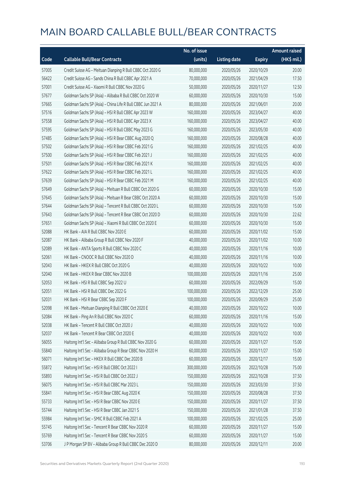|       |                                                             | No. of issue |                     |               | <b>Amount raised</b> |
|-------|-------------------------------------------------------------|--------------|---------------------|---------------|----------------------|
| Code  | <b>Callable Bull/Bear Contracts</b>                         | (units)      | <b>Listing date</b> | <b>Expiry</b> | (HK\$ mil.)          |
| 57005 | Credit Suisse AG - Meituan Dianping R Bull CBBC Oct 2020 G  | 80,000,000   | 2020/05/26          | 2020/10/29    | 20.00                |
| 56422 | Credit Suisse AG - Sands China R Bull CBBC Apr 2021 A       | 70,000,000   | 2020/05/26          | 2021/04/29    | 17.50                |
| 57001 | Credit Suisse AG - Xiaomi R Bull CBBC Nov 2020 G            | 50,000,000   | 2020/05/26          | 2020/11/27    | 12.50                |
| 57677 | Goldman Sachs SP (Asia) - Alibaba R Bull CBBC Oct 2020 W    | 60,000,000   | 2020/05/26          | 2020/10/30    | 15.00                |
| 57665 | Goldman Sachs SP (Asia) - China Life R Bull CBBC Jun 2021 A | 80,000,000   | 2020/05/26          | 2021/06/01    | 20.00                |
| 57516 | Goldman Sachs SP (Asia) - HSI R Bull CBBC Apr 2023 W        | 160,000,000  | 2020/05/26          | 2023/04/27    | 40.00                |
| 57558 | Goldman Sachs SP (Asia) - HSI R Bull CBBC Apr 2023 X        | 160,000,000  | 2020/05/26          | 2023/04/27    | 40.00                |
| 57595 | Goldman Sachs SP (Asia) - HSI R Bull CBBC May 2023 G        | 160,000,000  | 2020/05/26          | 2023/05/30    | 40.00                |
| 57485 | Goldman Sachs SP (Asia) - HSI R Bear CBBC Aug 2020 Q        | 160,000,000  | 2020/05/26          | 2020/08/28    | 40.00                |
| 57502 | Goldman Sachs SP (Asia) - HSI R Bear CBBC Feb 2021 G        | 160,000,000  | 2020/05/26          | 2021/02/25    | 40.00                |
| 57500 | Goldman Sachs SP (Asia) - HSI R Bear CBBC Feb 2021 J        | 160,000,000  | 2020/05/26          | 2021/02/25    | 40.00                |
| 57501 | Goldman Sachs SP (Asia) - HSI R Bear CBBC Feb 2021 K        | 160,000,000  | 2020/05/26          | 2021/02/25    | 40.00                |
| 57622 | Goldman Sachs SP (Asia) - HSI R Bear CBBC Feb 2021 L        | 160,000,000  | 2020/05/26          | 2021/02/25    | 40.00                |
| 57639 | Goldman Sachs SP (Asia) - HSI R Bear CBBC Feb 2021 M        | 160,000,000  | 2020/05/26          | 2021/02/25    | 40.00                |
| 57649 | Goldman Sachs SP (Asia) - Meituan R Bull CBBC Oct 2020 G    | 60,000,000   | 2020/05/26          | 2020/10/30    | 15.00                |
| 57645 | Goldman Sachs SP (Asia) - Meituan R Bear CBBC Oct 2020 A    | 60,000,000   | 2020/05/26          | 2020/10/30    | 15.00                |
| 57644 | Goldman Sachs SP (Asia) - Tencent R Bull CBBC Oct 2020 L    | 60,000,000   | 2020/05/26          | 2020/10/30    | 15.00                |
| 57643 | Goldman Sachs SP (Asia) - Tencent R Bear CBBC Oct 2020 D    | 60,000,000   | 2020/05/26          | 2020/10/30    | 22.62                |
| 57651 | Goldman Sachs SP (Asia) - Xiaomi R Bull CBBC Oct 2020 E     | 60,000,000   | 2020/05/26          | 2020/10/30    | 15.00                |
| 52088 | HK Bank - AIA R Bull CBBC Nov 2020 E                        | 60,000,000   | 2020/05/26          | 2020/11/02    | 15.00                |
| 52087 | HK Bank - Alibaba Group R Bull CBBC Nov 2020 F              | 40,000,000   | 2020/05/26          | 2020/11/02    | 10.00                |
| 52089 | HK Bank - ANTA Sports R Bull CBBC Nov 2020 C                | 40,000,000   | 2020/05/26          | 2020/11/16    | 10.00                |
| 52061 | HK Bank - CNOOC R Bull CBBC Nov 2020 D                      | 40,000,000   | 2020/05/26          | 2020/11/16    | 10.00                |
| 52043 | HK Bank - HKEX R Bull CBBC Oct 2020 G                       | 40,000,000   | 2020/05/26          | 2020/10/22    | 10.00                |
| 52040 | HK Bank - HKEX R Bear CBBC Nov 2020 B                       | 100,000,000  | 2020/05/26          | 2020/11/16    | 25.00                |
| 52053 | HK Bank - HSI R Bull CBBC Sep 2022 U                        | 60,000,000   | 2020/05/26          | 2022/09/29    | 15.00                |
| 52051 | HK Bank - HSI R Bull CBBC Dec 2022 G                        | 100,000,000  | 2020/05/26          | 2022/12/29    | 25.00                |
| 52031 | HK Bank - HSI R Bear CBBC Sep 2020 F                        | 100,000,000  | 2020/05/26          | 2020/09/29    | 25.00                |
| 52098 | HK Bank - Meituan Dianping R Bull CBBC Oct 2020 E           | 40,000,000   | 2020/05/26          | 2020/10/22    | 10.00                |
| 52084 | HK Bank - Ping An R Bull CBBC Nov 2020 C                    | 60,000,000   | 2020/05/26          | 2020/11/16    | 15.00                |
| 52038 | HK Bank - Tencent R Bull CBBC Oct 2020 J                    | 40,000,000   | 2020/05/26          | 2020/10/22    | 10.00                |
| 52037 | HK Bank - Tencent R Bear CBBC Oct 2020 E                    | 40,000,000   | 2020/05/26          | 2020/10/22    | 10.00                |
| 56055 | Haitong Int'l Sec - Alibaba Group R Bull CBBC Nov 2020 G    | 60,000,000   | 2020/05/26          | 2020/11/27    | 15.00                |
| 55840 | Haitong Int'l Sec - Alibaba Group R Bear CBBC Nov 2020 H    | 60,000,000   | 2020/05/26          | 2020/11/27    | 15.00                |
| 56071 | Haitong Int'l Sec - HKEX R Bull CBBC Dec 2020 B             | 60,000,000   | 2020/05/26          | 2020/12/17    | 15.00                |
| 55872 | Haitong Int'l Sec - HSI R Bull CBBC Oct 2022 I              | 300,000,000  | 2020/05/26          | 2022/10/28    | 75.00                |
| 55893 | Haitong Int'l Sec - HSI R Bull CBBC Oct 2022 J              | 150,000,000  | 2020/05/26          | 2022/10/28    | 37.50                |
| 56075 | Haitong Int'l Sec - HSI R Bull CBBC Mar 2023 L              | 150,000,000  | 2020/05/26          | 2023/03/30    | 37.50                |
| 55841 | Haitong Int'l Sec - HSI R Bear CBBC Aug 2020 K              | 150,000,000  | 2020/05/26          | 2020/08/28    | 37.50                |
| 55733 | Haitong Int'l Sec - HSI R Bear CBBC Nov 2020 E              | 150,000,000  | 2020/05/26          | 2020/11/27    | 37.50                |
| 55744 | Haitong Int'l Sec - HSI R Bear CBBC Jan 2021 S              | 150,000,000  | 2020/05/26          | 2021/01/28    | 37.50                |
| 55984 | Haitong Int'l Sec - SMIC R Bull CBBC Feb 2021 A             | 100,000,000  | 2020/05/26          | 2021/02/25    | 25.00                |
| 55745 | Haitong Int'l Sec - Tencent R Bear CBBC Nov 2020 R          | 60,000,000   | 2020/05/26          | 2020/11/27    | 15.00                |
| 55769 | Haitong Int'l Sec - Tencent R Bear CBBC Nov 2020 S          | 60,000,000   | 2020/05/26          | 2020/11/27    | 15.00                |
| 53706 | J P Morgan SP BV - Alibaba Group R Bull CBBC Dec 2020 D     | 80,000,000   | 2020/05/26          | 2020/12/11    | 20.00                |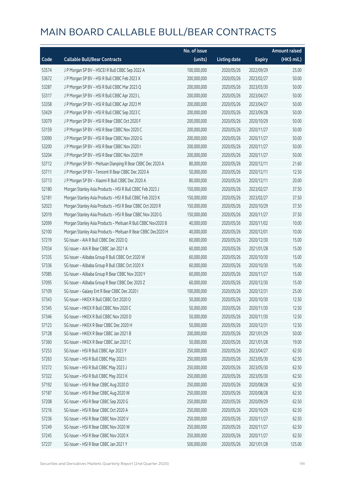|       |                                                              | No. of issue |                     |               | <b>Amount raised</b> |
|-------|--------------------------------------------------------------|--------------|---------------------|---------------|----------------------|
| Code  | <b>Callable Bull/Bear Contracts</b>                          | (units)      | <b>Listing date</b> | <b>Expiry</b> | (HK\$ mil.)          |
| 53574 | J P Morgan SP BV - HSCEI R Bull CBBC Sep 2022 A              | 100,000,000  | 2020/05/26          | 2022/09/29    | 25.00                |
| 53672 | J P Morgan SP BV - HSI R Bull CBBC Feb 2023 X                | 200,000,000  | 2020/05/26          | 2023/02/27    | 50.00                |
| 53287 | J P Morgan SP BV - HSI R Bull CBBC Mar 2023 Q                | 200,000,000  | 2020/05/26          | 2023/03/30    | 50.00                |
| 53317 | J P Morgan SP BV - HSI R Bull CBBC Apr 2023 L                | 200,000,000  | 2020/05/26          | 2023/04/27    | 50.00                |
| 53358 | J P Morgan SP BV - HSI R Bull CBBC Apr 2023 M                | 200,000,000  | 2020/05/26          | 2023/04/27    | 50.00                |
| 53429 | J P Morgan SP BV - HSI R Bull CBBC Sep 2023 C                | 200,000,000  | 2020/05/26          | 2023/09/28    | 50.00                |
| 53079 | J P Morgan SP BV - HSI R Bear CBBC Oct 2020 F                | 200,000,000  | 2020/05/26          | 2020/10/29    | 50.00                |
| 53159 | J P Morgan SP BV - HSI R Bear CBBC Nov 2020 C                | 200,000,000  | 2020/05/26          | 2020/11/27    | 50.00                |
| 53090 | J P Morgan SP BV - HSI R Bear CBBC Nov 2020 G                | 200,000,000  | 2020/05/26          | 2020/11/27    | 50.00                |
| 53200 | J P Morgan SP BV - HSI R Bear CBBC Nov 2020 I                | 200,000,000  | 2020/05/26          | 2020/11/27    | 50.00                |
| 53204 | J P Morgan SP BV - HSI R Bear CBBC Nov 2020 M                | 200,000,000  | 2020/05/26          | 2020/11/27    | 50.00                |
| 53712 | J P Morgan SP BV - Meituan Dianping R Bear CBBC Dec 2020 A   | 80,000,000   | 2020/05/26          | 2020/12/11    | 21.60                |
| 53711 | J P Morgan SP BV - Tencent R Bear CBBC Dec 2020 A            | 50,000,000   | 2020/05/26          | 2020/12/11    | 12.50                |
| 53713 | J P Morgan SP BV - Xiaomi R Bull CBBC Dec 2020 A             | 80,000,000   | 2020/05/26          | 2020/12/11    | 20.00                |
| 52180 | Morgan Stanley Asia Products - HSI R Bull CBBC Feb 2023 J    | 150,000,000  | 2020/05/26          | 2023/02/27    | 37.50                |
| 52181 | Morgan Stanley Asia Products - HSI R Bull CBBC Feb 2023 K    | 150,000,000  | 2020/05/26          | 2023/02/27    | 37.50                |
| 52023 | Morgan Stanley Asia Products - HSI R Bear CBBC Oct 2020 R    | 150,000,000  | 2020/05/26          | 2020/10/29    | 37.50                |
| 52019 | Morgan Stanley Asia Products - HSI R Bear CBBC Nov 2020 G    | 150,000,000  | 2020/05/26          | 2020/11/27    | 37.50                |
| 52099 | Morgan Stanley Asia Products - Meituan R Bull CBBC Nov2020 B | 40,000,000   | 2020/05/26          | 2020/11/02    | 10.00                |
| 52100 | Morgan Stanley Asia Products - Meituan R Bear CBBC Dec2020 H | 40,000,000   | 2020/05/26          | 2020/12/01    | 10.00                |
| 57219 | SG Issuer - AIA R Bull CBBC Dec 2020 Q                       | 60,000,000   | 2020/05/26          | 2020/12/30    | 15.00                |
| 57034 | SG Issuer - AIA R Bear CBBC Jan 2021 A                       | 60,000,000   | 2020/05/26          | 2021/01/28    | 15.00                |
| 57335 | SG Issuer - Alibaba Group R Bull CBBC Oct 2020 W             | 60,000,000   | 2020/05/26          | 2020/10/30    | 15.00                |
| 57336 | SG Issuer - Alibaba Group R Bull CBBC Oct 2020 X             | 60,000,000   | 2020/05/26          | 2020/10/30    | 15.00                |
| 57085 | SG Issuer - Alibaba Group R Bear CBBC Nov 2020 Y             | 60,000,000   | 2020/05/26          | 2020/11/27    | 15.00                |
| 57095 | SG Issuer - Alibaba Group R Bear CBBC Dec 2020 Z             | 60,000,000   | 2020/05/26          | 2020/12/30    | 15.00                |
| 57109 | SG Issuer - Galaxy Ent R Bear CBBC Dec 2020 I                | 100,000,000  | 2020/05/26          | 2020/12/31    | 25.00                |
| 57343 | SG Issuer - HKEX R Bull CBBC Oct 2020 O                      | 50,000,000   | 2020/05/26          | 2020/10/30    | 12.50                |
| 57345 | SG Issuer - HKEX R Bull CBBC Nov 2020 C                      | 50,000,000   | 2020/05/26          | 2020/11/30    | 12.50                |
| 57346 | SG Issuer - HKEX R Bull CBBC Nov 2020 D                      | 50,000,000   | 2020/05/26          | 2020/11/30    | 12.50                |
| 57123 | SG Issuer - HKEX R Bear CBBC Dec 2020 H                      | 50,000,000   | 2020/05/26          | 2020/12/31    | 12.50                |
| 57128 | SG Issuer - HKEX R Bear CBBC Jan 2021 B                      | 200,000,000  | 2020/05/26          | 2021/01/29    | 50.00                |
| 57360 | SG Issuer - HKEX R Bear CBBC Jan 2021 C                      | 50,000,000   | 2020/05/26          | 2021/01/28    | 19.00                |
| 57253 | SG Issuer - HSI R Bull CBBC Apr 2023 Y                       | 250,000,000  | 2020/05/26          | 2023/04/27    | 62.50                |
| 57263 | SG Issuer - HSI R Bull CBBC May 2023 I                       | 250,000,000  | 2020/05/26          | 2023/05/30    | 62.50                |
| 57272 | SG Issuer - HSI R Bull CBBC May 2023 J                       | 250,000,000  | 2020/05/26          | 2023/05/30    | 62.50                |
| 57322 | SG Issuer - HSI R Bull CBBC May 2023 K                       | 250,000,000  | 2020/05/26          | 2023/05/30    | 62.50                |
| 57192 | SG Issuer - HSI R Bear CBBC Aug 2020 D                       | 250,000,000  | 2020/05/26          | 2020/08/28    | 62.50                |
| 57187 | SG Issuer - HSI R Bear CBBC Aug 2020 W                       | 250,000,000  | 2020/05/26          | 2020/08/28    | 62.50                |
| 57208 | SG Issuer - HSI R Bear CBBC Sep 2020 G                       | 250,000,000  | 2020/05/26          | 2020/09/29    | 62.50                |
| 57216 | SG Issuer - HSI R Bear CBBC Oct 2020 A                       | 250,000,000  | 2020/05/26          | 2020/10/29    | 62.50                |
| 57236 | SG Issuer - HSI R Bear CBBC Nov 2020 V                       | 250,000,000  | 2020/05/26          | 2020/11/27    | 62.50                |
| 57249 | SG Issuer - HSI R Bear CBBC Nov 2020 W                       | 250,000,000  | 2020/05/26          | 2020/11/27    | 62.50                |
| 57245 | SG Issuer - HSI R Bear CBBC Nov 2020 X                       | 250,000,000  | 2020/05/26          | 2020/11/27    | 62.50                |
| 57237 | SG Issuer - HSI R Bear CBBC Jan 2021 Y                       | 500,000,000  | 2020/05/26          | 2021/01/28    | 125.00               |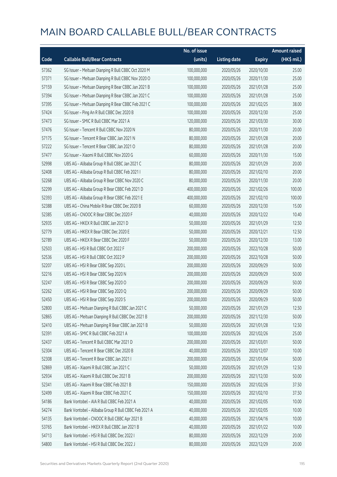|       |                                                      | No. of issue |                     |               | <b>Amount raised</b> |
|-------|------------------------------------------------------|--------------|---------------------|---------------|----------------------|
| Code  | <b>Callable Bull/Bear Contracts</b>                  | (units)      | <b>Listing date</b> | <b>Expiry</b> | (HK\$ mil.)          |
| 57362 | SG Issuer - Meituan Dianping R Bull CBBC Oct 2020 M  | 100,000,000  | 2020/05/26          | 2020/10/30    | 25.00                |
| 57371 | SG Issuer - Meituan Dianping R Bull CBBC Nov 2020 O  | 100,000,000  | 2020/05/26          | 2020/11/30    | 25.00                |
| 57159 | SG Issuer - Meituan Dianping R Bear CBBC Jan 2021 B  | 100,000,000  | 2020/05/26          | 2021/01/28    | 25.00                |
| 57394 | SG Issuer - Meituan Dianping R Bear CBBC Jan 2021 C  | 100,000,000  | 2020/05/26          | 2021/01/28    | 25.00                |
| 57395 | SG Issuer - Meituan Dianping R Bear CBBC Feb 2021 C  | 100,000,000  | 2020/05/26          | 2021/02/25    | 38.00                |
| 57424 | SG Issuer - Ping An R Bull CBBC Dec 2020 B           | 100,000,000  | 2020/05/26          | 2020/12/30    | 25.00                |
| 57473 | SG Issuer - SMIC R Bull CBBC Mar 2021 A              | 120,000,000  | 2020/05/26          | 2021/03/30    | 30.00                |
| 57476 | SG Issuer - Tencent R Bull CBBC Nov 2020 N           | 80,000,000   | 2020/05/26          | 2020/11/30    | 20.00                |
| 57175 | SG Issuer - Tencent R Bear CBBC Jan 2021 N           | 80,000,000   | 2020/05/26          | 2021/01/28    | 20.00                |
| 57222 | SG Issuer - Tencent R Bear CBBC Jan 2021 O           | 80,000,000   | 2020/05/26          | 2021/01/28    | 20.00                |
| 57477 | SG Issuer - Xiaomi R Bull CBBC Nov 2020 G            | 60,000,000   | 2020/05/26          | 2020/11/30    | 15.00                |
| 52998 | UBS AG - Alibaba Group R Bull CBBC Jan 2021 C        | 80,000,000   | 2020/05/26          | 2021/01/29    | 20.00                |
| 52408 | UBS AG - Alibaba Group R Bull CBBC Feb 2021 I        | 80,000,000   | 2020/05/26          | 2021/02/10    | 20.00                |
| 52268 | UBS AG - Alibaba Group R Bear CBBC Nov 2020 C        | 80,000,000   | 2020/05/26          | 2020/11/30    | 20.00                |
| 52299 | UBS AG - Alibaba Group R Bear CBBC Feb 2021 D        | 400,000,000  | 2020/05/26          | 2021/02/26    | 100.00               |
| 52393 | UBS AG - Alibaba Group R Bear CBBC Feb 2021 E        | 400,000,000  | 2020/05/26          | 2021/02/10    | 100.00               |
| 52388 | UBS AG - China Mobile R Bear CBBC Dec 2020 B         | 60,000,000   | 2020/05/26          | 2020/12/30    | 15.00                |
| 52385 | UBS AG - CNOOC R Bear CBBC Dec 2020 F                | 40,000,000   | 2020/05/26          | 2020/12/22    | 10.40                |
| 52935 | UBS AG - HKEX R Bull CBBC Jan 2021 D                 | 50,000,000   | 2020/05/26          | 2021/01/29    | 12.50                |
| 52779 | UBS AG - HKEX R Bear CBBC Dec 2020 E                 | 50,000,000   | 2020/05/26          | 2020/12/21    | 12.50                |
| 52789 | UBS AG - HKEX R Bear CBBC Dec 2020 F                 | 50,000,000   | 2020/05/26          | 2020/12/30    | 13.00                |
| 52503 | UBS AG - HSI R Bull CBBC Oct 2022 F                  | 200,000,000  | 2020/05/26          | 2022/10/28    | 50.00                |
| 52536 | UBS AG - HSI R Bull CBBC Oct 2022 P                  | 200,000,000  | 2020/05/26          | 2022/10/28    | 50.00                |
| 52207 | UBS AG - HSI R Bear CBBC Sep 2020 L                  | 200,000,000  | 2020/05/26          | 2020/09/29    | 50.00                |
| 52216 | UBS AG - HSI R Bear CBBC Sep 2020 N                  | 200,000,000  | 2020/05/26          | 2020/09/29    | 50.00                |
| 52247 | UBS AG - HSI R Bear CBBC Sep 2020 O                  | 200,000,000  | 2020/05/26          | 2020/09/29    | 50.00                |
| 52262 | UBS AG - HSI R Bear CBBC Sep 2020 Q                  | 200,000,000  | 2020/05/26          | 2020/09/29    | 50.00                |
| 52450 | UBS AG - HSI R Bear CBBC Sep 2020 S                  | 200,000,000  | 2020/05/26          | 2020/09/29    | 50.00                |
| 52800 | UBS AG - Meituan Dianping R Bull CBBC Jan 2021 C     | 50,000,000   | 2020/05/26          | 2021/01/29    | 12.50                |
| 52865 | UBS AG - Meituan Dianping R Bull CBBC Dec 2021 B     | 200,000,000  | 2020/05/26          | 2021/12/30    | 50.00                |
| 52410 | UBS AG - Meituan Dianping R Bear CBBC Jan 2021 B     | 50,000,000   | 2020/05/26          | 2021/01/28    | 12.50                |
| 52391 | UBS AG - SMIC R Bull CBBC Feb 2021 A                 | 100,000,000  | 2020/05/26          | 2021/02/26    | 25.00                |
| 52437 | UBS AG - Tencent R Bull CBBC Mar 2021 D              | 200,000,000  | 2020/05/26          | 2021/03/01    | 50.00                |
| 52304 | UBS AG - Tencent R Bear CBBC Dec 2020 B              | 40,000,000   | 2020/05/26          | 2020/12/07    | 10.00                |
| 52308 | UBS AG - Tencent R Bear CBBC Jan 2021 I              | 200,000,000  | 2020/05/26          | 2021/01/04    | 50.00                |
| 52869 | UBS AG - Xiaomi R Bull CBBC Jan 2021 C               | 50,000,000   | 2020/05/26          | 2021/01/29    | 12.50                |
| 52934 | UBS AG - Xiaomi R Bull CBBC Dec 2021 B               | 200,000,000  | 2020/05/26          | 2021/12/30    | 50.00                |
| 52341 | UBS AG - Xiaomi R Bear CBBC Feb 2021 B               | 150,000,000  | 2020/05/26          | 2021/02/26    | 37.50                |
| 52499 | UBS AG - Xiaomi R Bear CBBC Feb 2021 C               | 150,000,000  | 2020/05/26          | 2021/02/10    | 37.50                |
| 54186 | Bank Vontobel - AIA R Bull CBBC Feb 2021 A           | 40,000,000   | 2020/05/26          | 2021/02/05    | 10.00                |
| 54274 | Bank Vontobel - Alibaba Group R Bull CBBC Feb 2021 A | 40,000,000   | 2020/05/26          | 2021/02/05    | 10.00                |
| 54135 | Bank Vontobel - CNOOC R Bull CBBC Apr 2021 B         | 40,000,000   | 2020/05/26          | 2021/04/16    | 10.00                |
| 53765 | Bank Vontobel - HKEX R Bull CBBC Jan 2021 B          | 40,000,000   | 2020/05/26          | 2021/01/22    | 10.00                |
| 54713 | Bank Vontobel - HSI R Bull CBBC Dec 2022 I           | 80,000,000   | 2020/05/26          | 2022/12/29    | 20.00                |
| 54800 | Bank Vontobel - HSI R Bull CBBC Dec 2022 J           | 80,000,000   | 2020/05/26          | 2022/12/29    | 20.00                |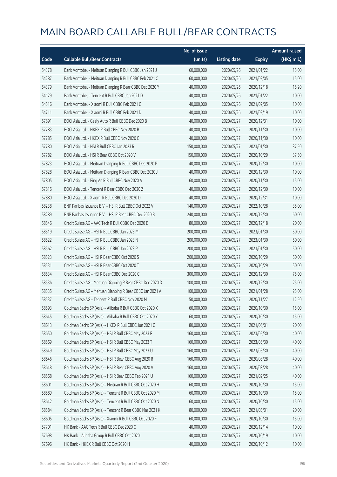|       |                                                            | No. of issue |                     |               | <b>Amount raised</b> |
|-------|------------------------------------------------------------|--------------|---------------------|---------------|----------------------|
| Code  | <b>Callable Bull/Bear Contracts</b>                        | (units)      | <b>Listing date</b> | <b>Expiry</b> | (HK\$ mil.)          |
| 54378 | Bank Vontobel - Meituan Dianping R Bull CBBC Jan 2021 J    | 60,000,000   | 2020/05/26          | 2021/01/22    | 15.00                |
| 54287 | Bank Vontobel - Meituan Dianping R Bull CBBC Feb 2021 C    | 60,000,000   | 2020/05/26          | 2021/02/05    | 15.00                |
| 54379 | Bank Vontobel - Meituan Dianping R Bear CBBC Dec 2020 Y    | 40,000,000   | 2020/05/26          | 2020/12/18    | 15.20                |
| 54129 | Bank Vontobel - Tencent R Bull CBBC Jan 2021 D             | 40,000,000   | 2020/05/26          | 2021/01/22    | 10.00                |
| 54516 | Bank Vontobel - Xiaomi R Bull CBBC Feb 2021 C              | 40,000,000   | 2020/05/26          | 2021/02/05    | 10.00                |
| 54711 | Bank Vontobel - Xiaomi R Bull CBBC Feb 2021 D              | 40,000,000   | 2020/05/26          | 2021/02/19    | 10.00                |
| 57891 | BOCI Asia Ltd. - Geely Auto R Bull CBBC Dec 2020 B         | 40,000,000   | 2020/05/27          | 2020/12/31    | 10.00                |
| 57783 | BOCI Asia Ltd. - HKEX R Bull CBBC Nov 2020 B               | 40,000,000   | 2020/05/27          | 2020/11/30    | 10.00                |
| 57785 | BOCI Asia Ltd. - HKEX R Bull CBBC Nov 2020 C               | 40,000,000   | 2020/05/27          | 2020/11/30    | 10.00                |
| 57780 | BOCI Asia Ltd. - HSI R Bull CBBC Jan 2023 R                | 150,000,000  | 2020/05/27          | 2023/01/30    | 37.50                |
| 57782 | BOCI Asia Ltd. - HSI R Bear CBBC Oct 2020 V                | 150,000,000  | 2020/05/27          | 2020/10/29    | 37.50                |
| 57823 | BOCI Asia Ltd. - Meituan Dianping R Bull CBBC Dec 2020 P   | 40,000,000   | 2020/05/27          | 2020/12/30    | 10.00                |
| 57828 | BOCI Asia Ltd. - Meituan Dianping R Bear CBBC Dec 2020 J   | 40,000,000   | 2020/05/27          | 2020/12/30    | 10.00                |
| 57805 | BOCI Asia Ltd. - Ping An R Bull CBBC Nov 2020 A            | 60,000,000   | 2020/05/27          | 2020/11/30    | 15.00                |
| 57816 | BOCI Asia Ltd. - Tencent R Bear CBBC Dec 2020 Z            | 40,000,000   | 2020/05/27          | 2020/12/30    | 10.00                |
| 57880 | BOCI Asia Ltd. - Xiaomi R Bull CBBC Dec 2020 D             | 40,000,000   | 2020/05/27          | 2020/12/31    | 10.00                |
| 58238 | BNP Paribas Issuance B.V. - HSI R Bull CBBC Oct 2022 V     | 140,000,000  | 2020/05/27          | 2022/10/28    | 35.00                |
| 58289 | BNP Paribas Issuance B.V. - HSI R Bear CBBC Dec 2020 B     | 240,000,000  | 2020/05/27          | 2020/12/30    | 60.00                |
| 58546 | Credit Suisse AG - AAC Tech R Bull CBBC Dec 2020 E         | 80,000,000   | 2020/05/27          | 2020/12/18    | 20.00                |
| 58519 | Credit Suisse AG - HSI R Bull CBBC Jan 2023 M              | 200,000,000  | 2020/05/27          | 2023/01/30    | 50.00                |
| 58522 | Credit Suisse AG - HSI R Bull CBBC Jan 2023 N              | 200,000,000  | 2020/05/27          | 2023/01/30    | 50.00                |
| 58562 | Credit Suisse AG - HSI R Bull CBBC Jan 2023 P              | 200,000,000  | 2020/05/27          | 2023/01/30    | 50.00                |
| 58523 | Credit Suisse AG - HSI R Bear CBBC Oct 2020 S              | 200,000,000  | 2020/05/27          | 2020/10/29    | 50.00                |
| 58531 | Credit Suisse AG - HSI R Bear CBBC Oct 2020 T              | 200,000,000  | 2020/05/27          | 2020/10/29    | 50.00                |
| 58534 | Credit Suisse AG - HSI R Bear CBBC Dec 2020 C              | 300,000,000  | 2020/05/27          | 2020/12/30    | 75.00                |
| 58536 | Credit Suisse AG - Meituan Dianping R Bear CBBC Dec 2020 D | 100,000,000  | 2020/05/27          | 2020/12/30    | 25.00                |
| 58535 | Credit Suisse AG - Meituan Dianping R Bear CBBC Jan 2021 A | 100,000,000  | 2020/05/27          | 2021/01/28    | 25.00                |
| 58537 | Credit Suisse AG - Tencent R Bull CBBC Nov 2020 M          | 50,000,000   | 2020/05/27          | 2020/11/27    | 12.50                |
| 58593 | Goldman Sachs SP (Asia) - Alibaba R Bull CBBC Oct 2020 X   | 60,000,000   | 2020/05/27          | 2020/10/30    | 15.00                |
| 58645 | Goldman Sachs SP (Asia) - Alibaba R Bull CBBC Oct 2020 Y   | 60,000,000   | 2020/05/27          | 2020/10/30    | 15.00                |
| 58613 | Goldman Sachs SP (Asia) - HKEX R Bull CBBC Jun 2021 C      | 80,000,000   | 2020/05/27          | 2021/06/01    | 20.00                |
| 58650 | Goldman Sachs SP (Asia) - HSI R Bull CBBC May 2023 F       | 160,000,000  | 2020/05/27          | 2023/05/30    | 40.00                |
| 58569 | Goldman Sachs SP (Asia) - HSI R Bull CBBC May 2023 T       | 160,000,000  | 2020/05/27          | 2023/05/30    | 40.00                |
| 58649 | Goldman Sachs SP (Asia) - HSI R Bull CBBC May 2023 U       | 160,000,000  | 2020/05/27          | 2023/05/30    | 40.00                |
| 58646 | Goldman Sachs SP (Asia) - HSI R Bear CBBC Aug 2020 R       | 160,000,000  | 2020/05/27          | 2020/08/28    | 40.00                |
| 58648 | Goldman Sachs SP (Asia) - HSI R Bear CBBC Aug 2020 V       | 160,000,000  | 2020/05/27          | 2020/08/28    | 40.00                |
| 58568 | Goldman Sachs SP (Asia) - HSI R Bear CBBC Feb 2021 U       | 160,000,000  | 2020/05/27          | 2021/02/25    | 40.00                |
| 58601 | Goldman Sachs SP (Asia) - Meituan R Bull CBBC Oct 2020 H   | 60,000,000   | 2020/05/27          | 2020/10/30    | 15.00                |
| 58589 | Goldman Sachs SP (Asia) - Tencent R Bull CBBC Oct 2020 M   | 60,000,000   | 2020/05/27          | 2020/10/30    | 15.00                |
| 58642 | Goldman Sachs SP (Asia) - Tencent R Bull CBBC Oct 2020 N   | 60,000,000   | 2020/05/27          | 2020/10/30    | 15.00                |
| 58584 | Goldman Sachs SP (Asia) - Tencent R Bear CBBC Mar 2021 K   | 80,000,000   | 2020/05/27          | 2021/03/01    | 20.00                |
| 58605 | Goldman Sachs SP (Asia) - Xiaomi R Bull CBBC Oct 2020 F    | 60,000,000   | 2020/05/27          | 2020/10/30    | 15.00                |
| 57701 | HK Bank - AAC Tech R Bull CBBC Dec 2020 C                  | 40,000,000   | 2020/05/27          | 2020/12/14    | 10.00                |
| 57698 | HK Bank - Alibaba Group R Bull CBBC Oct 2020 I             | 40,000,000   | 2020/05/27          | 2020/10/19    | 10.00                |
| 57696 | HK Bank - HKEX R Bull CBBC Oct 2020 H                      | 40,000,000   | 2020/05/27          | 2020/10/12    | 10.00                |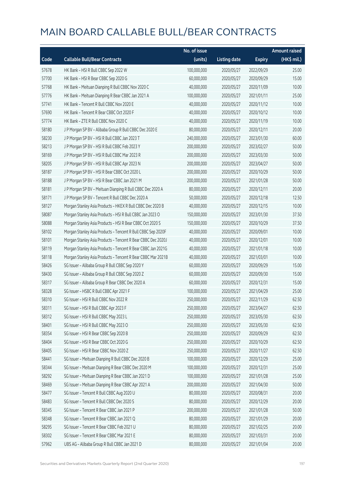|       |                                                              | No. of issue |                     |               | <b>Amount raised</b> |
|-------|--------------------------------------------------------------|--------------|---------------------|---------------|----------------------|
| Code  | <b>Callable Bull/Bear Contracts</b>                          | (units)      | <b>Listing date</b> | <b>Expiry</b> | (HK\$ mil.)          |
| 57678 | HK Bank - HSI R Bull CBBC Sep 2022 W                         | 100,000,000  | 2020/05/27          | 2022/09/29    | 25.00                |
| 57700 | HK Bank - HSI R Bear CBBC Sep 2020 G                         | 60,000,000   | 2020/05/27          | 2020/09/29    | 15.00                |
| 57768 | HK Bank - Meituan Dianping R Bull CBBC Nov 2020 C            | 40,000,000   | 2020/05/27          | 2020/11/09    | 10.00                |
| 57776 | HK Bank - Meituan Dianping R Bear CBBC Jan 2021 A            | 100,000,000  | 2020/05/27          | 2021/01/11    | 25.00                |
| 57741 | HK Bank - Tencent R Bull CBBC Nov 2020 E                     | 40,000,000   | 2020/05/27          | 2020/11/12    | 10.00                |
| 57690 | HK Bank - Tencent R Bear CBBC Oct 2020 F                     | 40,000,000   | 2020/05/27          | 2020/10/12    | 10.00                |
| 57774 | HK Bank - ZTE R Bull CBBC Nov 2020 C                         | 40,000,000   | 2020/05/27          | 2020/11/19    | 10.00                |
| 58180 | J P Morgan SP BV - Alibaba Group R Bull CBBC Dec 2020 E      | 80,000,000   | 2020/05/27          | 2020/12/11    | 20.00                |
| 58230 | J P Morgan SP BV - HSI R Bull CBBC Jan 2023 T                | 240,000,000  | 2020/05/27          | 2023/01/30    | 60.00                |
| 58213 | J P Morgan SP BV - HSI R Bull CBBC Feb 2023 Y                | 200,000,000  | 2020/05/27          | 2023/02/27    | 50.00                |
| 58169 | J P Morgan SP BV - HSI R Bull CBBC Mar 2023 R                | 200,000,000  | 2020/05/27          | 2023/03/30    | 50.00                |
| 58205 | J P Morgan SP BV - HSI R Bull CBBC Apr 2023 N                | 200,000,000  | 2020/05/27          | 2023/04/27    | 50.00                |
| 58187 | J P Morgan SP BV - HSI R Bear CBBC Oct 2020 L                | 200,000,000  | 2020/05/27          | 2020/10/29    | 50.00                |
| 58188 | J P Morgan SP BV - HSI R Bear CBBC Jan 2021 M                | 200,000,000  | 2020/05/27          | 2021/01/28    | 50.00                |
| 58181 | J P Morgan SP BV - Meituan Dianping R Bull CBBC Dec 2020 A   | 80,000,000   | 2020/05/27          | 2020/12/11    | 20.00                |
| 58171 | J P Morgan SP BV - Tencent R Bull CBBC Dec 2020 A            | 50,000,000   | 2020/05/27          | 2020/12/18    | 12.50                |
| 58127 | Morgan Stanley Asia Products - HKEX R Bull CBBC Dec 2020 B   | 40,000,000   | 2020/05/27          | 2020/12/15    | 10.00                |
| 58087 | Morgan Stanley Asia Products - HSI R Bull CBBC Jan 2023 O    | 150,000,000  | 2020/05/27          | 2023/01/30    | 37.50                |
| 58088 | Morgan Stanley Asia Products - HSI R Bear CBBC Oct 2020 S    | 150,000,000  | 2020/05/27          | 2020/10/29    | 37.50                |
| 58102 | Morgan Stanley Asia Products - Tencent R Bull CBBC Sep 2020F | 40,000,000   | 2020/05/27          | 2020/09/01    | 10.00                |
| 58101 | Morgan Stanley Asia Products - Tencent R Bear CBBC Dec 2020J | 40,000,000   | 2020/05/27          | 2020/12/01    | 10.00                |
| 58119 | Morgan Stanley Asia Products - Tencent R Bear CBBC Jan 2021G | 40,000,000   | 2020/05/27          | 2021/01/18    | 10.00                |
| 58118 | Morgan Stanley Asia Products - Tencent R Bear CBBC Mar 2021B | 40,000,000   | 2020/05/27          | 2021/03/01    | 10.00                |
| 58426 | SG Issuer - Alibaba Group R Bull CBBC Sep 2020 Y             | 60,000,000   | 2020/05/27          | 2020/09/29    | 15.00                |
| 58430 | SG Issuer - Alibaba Group R Bull CBBC Sep 2020 Z             | 60,000,000   | 2020/05/27          | 2020/09/30    | 15.00                |
| 58317 | SG Issuer - Alibaba Group R Bear CBBC Dec 2020 A             | 60,000,000   | 2020/05/27          | 2020/12/31    | 15.00                |
| 58328 | SG Issuer - HSBC R Bull CBBC Apr 2021 F                      | 100,000,000  | 2020/05/27          | 2021/04/29    | 25.00                |
| 58310 | SG Issuer - HSI R Bull CBBC Nov 2022 R                       | 250,000,000  | 2020/05/27          | 2022/11/29    | 62.50                |
| 58311 | SG Issuer - HSI R Bull CBBC Apr 2023 F                       | 250,000,000  | 2020/05/27          | 2023/04/27    | 62.50                |
| 58312 | SG Issuer - HSI R Bull CBBC May 2023 L                       | 250,000,000  | 2020/05/27          | 2023/05/30    | 62.50                |
| 58401 | SG Issuer - HSI R Bull CBBC May 2023 O                       | 250,000,000  | 2020/05/27          | 2023/05/30    | 62.50                |
| 58354 | SG Issuer - HSI R Bear CBBC Sep 2020 B                       | 250,000,000  | 2020/05/27          | 2020/09/29    | 62.50                |
| 58404 | SG Issuer - HSI R Bear CBBC Oct 2020 G                       | 250,000,000  | 2020/05/27          | 2020/10/29    | 62.50                |
| 58405 | SG Issuer - HSI R Bear CBBC Nov 2020 Z                       | 250,000,000  | 2020/05/27          | 2020/11/27    | 62.50                |
| 58441 | SG Issuer - Meituan Dianping R Bull CBBC Dec 2020 B          | 100,000,000  | 2020/05/27          | 2020/12/29    | 25.00                |
| 58344 | SG Issuer - Meituan Dianping R Bear CBBC Dec 2020 M          | 100,000,000  | 2020/05/27          | 2020/12/31    | 25.00                |
| 58292 | SG Issuer - Meituan Dianping R Bear CBBC Jan 2021 D          | 100,000,000  | 2020/05/27          | 2021/01/28    | 25.00                |
| 58469 | SG Issuer - Meituan Dianping R Bear CBBC Apr 2021 A          | 200,000,000  | 2020/05/27          | 2021/04/30    | 50.00                |
| 58477 | SG Issuer - Tencent R Bull CBBC Aug 2020 U                   | 80,000,000   | 2020/05/27          | 2020/08/31    | 20.00                |
| 58483 | SG Issuer - Tencent R Bull CBBC Dec 2020 S                   | 80,000,000   | 2020/05/27          | 2020/12/29    | 20.00                |
| 58345 | SG Issuer - Tencent R Bear CBBC Jan 2021 P                   | 200,000,000  | 2020/05/27          | 2021/01/28    | 50.00                |
| 58348 | SG Issuer - Tencent R Bear CBBC Jan 2021 Q                   | 80,000,000   | 2020/05/27          | 2021/01/29    | 20.00                |
| 58295 | SG Issuer - Tencent R Bear CBBC Feb 2021 U                   | 80,000,000   | 2020/05/27          | 2021/02/25    | 20.00                |
| 58302 | SG Issuer - Tencent R Bear CBBC Mar 2021 E                   | 80,000,000   | 2020/05/27          | 2021/03/31    | 20.00                |
| 57962 | UBS AG - Alibaba Group R Bull CBBC Jan 2021 D                | 80,000,000   | 2020/05/27          | 2021/01/04    | 20.00                |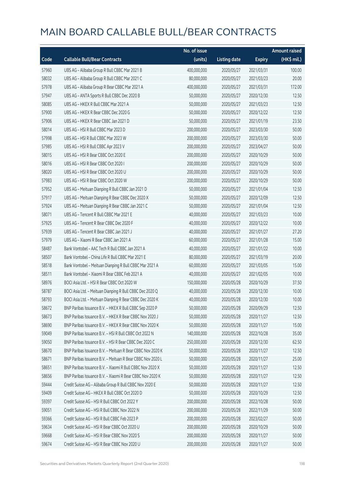|       |                                                            | No. of issue |                     |               | <b>Amount raised</b> |
|-------|------------------------------------------------------------|--------------|---------------------|---------------|----------------------|
| Code  | <b>Callable Bull/Bear Contracts</b>                        | (units)      | <b>Listing date</b> | <b>Expiry</b> | (HK\$ mil.)          |
| 57960 | UBS AG - Alibaba Group R Bull CBBC Mar 2021 B              | 400,000,000  | 2020/05/27          | 2021/03/31    | 100.00               |
| 58032 | UBS AG - Alibaba Group R Bull CBBC Mar 2021 C              | 80,000,000   | 2020/05/27          | 2021/03/23    | 20.00                |
| 57978 | UBS AG - Alibaba Group R Bear CBBC Mar 2021 A              | 400,000,000  | 2020/05/27          | 2021/03/31    | 172.00               |
| 57947 | UBS AG - ANTA Sports R Bull CBBC Dec 2020 B                | 50,000,000   | 2020/05/27          | 2020/12/30    | 12.50                |
| 58085 | UBS AG - HKEX R Bull CBBC Mar 2021 A                       | 50,000,000   | 2020/05/27          | 2021/03/23    | 12.50                |
| 57900 | UBS AG - HKEX R Bear CBBC Dec 2020 G                       | 50,000,000   | 2020/05/27          | 2020/12/22    | 12.50                |
| 57906 | UBS AG - HKEX R Bear CBBC Jan 2021 D                       | 50,000,000   | 2020/05/27          | 2021/01/19    | 23.50                |
| 58014 | UBS AG - HSI R Bull CBBC Mar 2023 D                        | 200,000,000  | 2020/05/27          | 2023/03/30    | 50.00                |
| 57998 | UBS AG - HSI R Bull CBBC Mar 2023 W                        | 200,000,000  | 2020/05/27          | 2023/03/30    | 50.00                |
| 57985 | UBS AG - HSI R Bull CBBC Apr 2023 V                        | 200,000,000  | 2020/05/27          | 2023/04/27    | 50.00                |
| 58015 | UBS AG - HSI R Bear CBBC Oct 2020 E                        | 200,000,000  | 2020/05/27          | 2020/10/29    | 50.00                |
| 58016 | UBS AG - HSI R Bear CBBC Oct 2020 I                        | 200,000,000  | 2020/05/27          | 2020/10/29    | 50.00                |
| 58020 | UBS AG - HSI R Bear CBBC Oct 2020 U                        | 200,000,000  | 2020/05/27          | 2020/10/29    | 50.00                |
| 57983 | UBS AG - HSI R Bear CBBC Oct 2020 W                        | 200,000,000  | 2020/05/27          | 2020/10/29    | 50.00                |
| 57952 | UBS AG - Meituan Dianping R Bull CBBC Jan 2021 D           | 50,000,000   | 2020/05/27          | 2021/01/04    | 12.50                |
| 57917 | UBS AG - Meituan Dianping R Bear CBBC Dec 2020 X           | 50,000,000   | 2020/05/27          | 2020/12/09    | 12.50                |
| 57924 | UBS AG - Meituan Dianping R Bear CBBC Jan 2021 C           | 50,000,000   | 2020/05/27          | 2021/01/04    | 12.50                |
| 58071 | UBS AG - Tencent R Bull CBBC Mar 2021 E                    | 40,000,000   | 2020/05/27          | 2021/03/23    | 10.00                |
| 57925 | UBS AG - Tencent R Bear CBBC Dec 2020 F                    | 40,000,000   | 2020/05/27          | 2020/12/22    | 10.00                |
| 57939 | UBS AG - Tencent R Bear CBBC Jan 2021 J                    | 40,000,000   | 2020/05/27          | 2021/01/27    | 27.20                |
| 57979 | UBS AG - Xiaomi R Bear CBBC Jan 2021 A                     | 60,000,000   | 2020/05/27          | 2021/01/28    | 15.00                |
| 58487 | Bank Vontobel - AAC Tech R Bull CBBC Jan 2021 A            | 40,000,000   | 2020/05/27          | 2021/01/22    | 10.00                |
| 58507 | Bank Vontobel - China Life R Bull CBBC Mar 2021 E          | 80,000,000   | 2020/05/27          | 2021/03/19    | 20.00                |
| 58518 | Bank Vontobel - Meituan Dianping R Bull CBBC Mar 2021 A    | 60,000,000   | 2020/05/27          | 2021/03/05    | 15.00                |
| 58511 | Bank Vontobel - Xiaomi R Bear CBBC Feb 2021 A              | 40,000,000   | 2020/05/27          | 2021/02/05    | 10.00                |
| 58976 | BOCI Asia Ltd. - HSI R Bear CBBC Oct 2020 W                | 150,000,000  | 2020/05/28          | 2020/10/29    | 37.50                |
| 58787 | BOCI Asia Ltd. - Meituan Dianping R Bull CBBC Dec 2020 Q   | 40,000,000   | 2020/05/28          | 2020/12/30    | 10.00                |
| 58793 | BOCI Asia Ltd. - Meituan Dianping R Bear CBBC Dec 2020 K   | 40,000,000   | 2020/05/28          | 2020/12/30    | 10.00                |
| 58672 | BNP Paribas Issuance B.V. - HKEX R Bull CBBC Sep 2020 P    | 50,000,000   | 2020/05/28          | 2020/09/29    | 12.50                |
| 58673 | BNP Paribas Issuance B.V. - HKEX R Bear CBBC Nov 2020 J    | 50,000,000   | 2020/05/28          | 2020/11/27    | 12.50                |
| 58690 | BNP Paribas Issuance B.V. - HKEX R Bear CBBC Nov 2020 K    | 50,000,000   | 2020/05/28          | 2020/11/27    | 15.00                |
| 59049 | BNP Paribas Issuance B.V. - HSI R Bull CBBC Oct 2022 N     | 140,000,000  | 2020/05/28          | 2022/10/28    | 35.00                |
| 59050 | BNP Paribas Issuance B.V. - HSI R Bear CBBC Dec 2020 C     | 250,000,000  | 2020/05/28          | 2020/12/30    | 62.50                |
| 58670 | BNP Paribas Issuance B.V. - Meituan R Bear CBBC Nov 2020 K | 50,000,000   | 2020/05/28          | 2020/11/27    | 12.50                |
| 58671 | BNP Paribas Issuance B.V. - Meituan R Bear CBBC Nov 2020 L | 50,000,000   | 2020/05/28          | 2020/11/27    | 25.00                |
| 58651 | BNP Paribas Issuance B.V. - Xiaomi R Bull CBBC Nov 2020 X  | 50,000,000   | 2020/05/28          | 2020/11/27    | 12.50                |
| 58656 | BNP Paribas Issuance B.V. - Xiaomi R Bear CBBC Nov 2020 K  | 50,000,000   | 2020/05/28          | 2020/11/27    | 12.50                |
| 59444 | Credit Suisse AG - Alibaba Group R Bull CBBC Nov 2020 E    | 50,000,000   | 2020/05/28          | 2020/11/27    | 12.50                |
| 59409 | Credit Suisse AG - HKEX R Bull CBBC Oct 2020 D             | 50,000,000   | 2020/05/28          | 2020/10/29    | 12.50                |
| 59397 | Credit Suisse AG - HSI R Bull CBBC Oct 2022 Y              | 200,000,000  | 2020/05/28          | 2022/10/28    | 50.00                |
| 59051 | Credit Suisse AG - HSI R Bull CBBC Nov 2022 N              | 200,000,000  | 2020/05/28          | 2022/11/29    | 50.00                |
| 59366 | Credit Suisse AG - HSI R Bull CBBC Feb 2023 P              | 200,000,000  | 2020/05/28          | 2023/02/27    | 50.00                |
| 59634 | Credit Suisse AG - HSI R Bear CBBC Oct 2020 U              | 200,000,000  | 2020/05/28          | 2020/10/29    | 50.00                |
| 59668 | Credit Suisse AG - HSI R Bear CBBC Nov 2020 S              | 200,000,000  | 2020/05/28          | 2020/11/27    | 50.00                |
| 59674 | Credit Suisse AG - HSI R Bear CBBC Nov 2020 U              | 200,000,000  | 2020/05/28          | 2020/11/27    | 50.00                |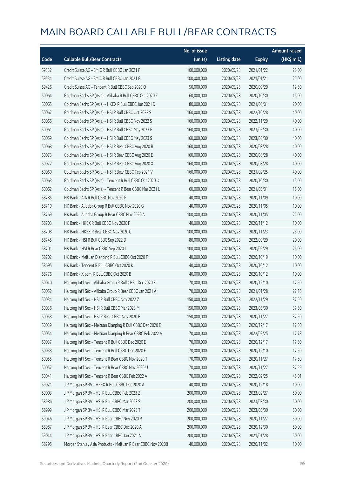|       |                                                              | No. of issue |                     |               | <b>Amount raised</b> |
|-------|--------------------------------------------------------------|--------------|---------------------|---------------|----------------------|
| Code  | <b>Callable Bull/Bear Contracts</b>                          | (units)      | <b>Listing date</b> | <b>Expiry</b> | (HK\$ mil.)          |
| 59332 | Credit Suisse AG - SMIC R Bull CBBC Jan 2021 F               | 100,000,000  | 2020/05/28          | 2021/01/22    | 25.00                |
| 59534 | Credit Suisse AG - SMIC R Bull CBBC Jan 2021 G               | 100,000,000  | 2020/05/28          | 2021/01/21    | 25.00                |
| 59426 | Credit Suisse AG - Tencent R Bull CBBC Sep 2020 Q            | 50,000,000   | 2020/05/28          | 2020/09/29    | 12.50                |
| 50064 | Goldman Sachs SP (Asia) - Alibaba R Bull CBBC Oct 2020 Z     | 60,000,000   | 2020/05/28          | 2020/10/30    | 15.00                |
| 50065 | Goldman Sachs SP (Asia) - HKEX R Bull CBBC Jun 2021 D        | 80,000,000   | 2020/05/28          | 2021/06/01    | 20.00                |
| 50067 | Goldman Sachs SP (Asia) - HSI R Bull CBBC Oct 2022 S         | 160,000,000  | 2020/05/28          | 2022/10/28    | 40.00                |
| 50066 | Goldman Sachs SP (Asia) - HSI R Bull CBBC Nov 2022 S         | 160,000,000  | 2020/05/28          | 2022/11/29    | 40.00                |
| 50061 | Goldman Sachs SP (Asia) - HSI R Bull CBBC May 2023 E         | 160,000,000  | 2020/05/28          | 2023/05/30    | 40.00                |
| 50059 | Goldman Sachs SP (Asia) - HSI R Bull CBBC May 2023 S         | 160,000,000  | 2020/05/28          | 2023/05/30    | 40.00                |
| 50068 | Goldman Sachs SP (Asia) - HSI R Bear CBBC Aug 2020 B         | 160,000,000  | 2020/05/28          | 2020/08/28    | 40.00                |
| 50073 | Goldman Sachs SP (Asia) - HSI R Bear CBBC Aug 2020 E         | 160,000,000  | 2020/05/28          | 2020/08/28    | 40.00                |
| 50072 | Goldman Sachs SP (Asia) - HSI R Bear CBBC Aug 2020 X         | 160,000,000  | 2020/05/28          | 2020/08/28    | 40.00                |
| 50060 | Goldman Sachs SP (Asia) - HSI R Bear CBBC Feb 2021 V         | 160,000,000  | 2020/05/28          | 2021/02/25    | 40.00                |
| 50063 | Goldman Sachs SP (Asia) - Tencent R Bull CBBC Oct 2020 O     | 60,000,000   | 2020/05/28          | 2020/10/30    | 15.00                |
| 50062 | Goldman Sachs SP (Asia) - Tencent R Bear CBBC Mar 2021 L     | 60,000,000   | 2020/05/28          | 2021/03/01    | 15.00                |
| 58785 | HK Bank - AIA R Bull CBBC Nov 2020 F                         | 40,000,000   | 2020/05/28          | 2020/11/09    | 10.00                |
| 58710 | HK Bank - Alibaba Group R Bull CBBC Nov 2020 G               | 40,000,000   | 2020/05/28          | 2020/11/05    | 10.00                |
| 58769 | HK Bank - Alibaba Group R Bear CBBC Nov 2020 A               | 100,000,000  | 2020/05/28          | 2020/11/05    | 25.00                |
| 58703 | HK Bank - HKEX R Bull CBBC Nov 2020 F                        | 40,000,000   | 2020/05/28          | 2020/11/12    | 10.00                |
| 58708 | HK Bank - HKEX R Bear CBBC Nov 2020 C                        | 100,000,000  | 2020/05/28          | 2020/11/23    | 25.00                |
| 58745 | HK Bank - HSI R Bull CBBC Sep 2022 D                         | 80,000,000   | 2020/05/28          | 2022/09/29    | 20.00                |
| 58701 | HK Bank - HSI R Bear CBBC Sep 2020 I                         | 100,000,000  | 2020/05/28          | 2020/09/29    | 25.00                |
| 58702 | HK Bank - Meituan Dianping R Bull CBBC Oct 2020 F            | 40,000,000   | 2020/05/28          | 2020/10/19    | 10.00                |
| 58695 | HK Bank - Tencent R Bull CBBC Oct 2020 K                     | 40,000,000   | 2020/05/28          | 2020/10/12    | 10.00                |
| 58776 | HK Bank - Xiaomi R Bull CBBC Oct 2020 B                      | 40,000,000   | 2020/05/28          | 2020/10/12    | 10.00                |
| 50040 | Haitong Int'l Sec - Alibaba Group R Bull CBBC Dec 2020 F     | 70,000,000   | 2020/05/28          | 2020/12/10    | 17.50                |
| 50052 | Haitong Int'l Sec - Alibaba Group R Bear CBBC Jan 2021 A     | 70,000,000   | 2020/05/28          | 2021/01/28    | 27.16                |
| 50034 | Haitong Int'l Sec - HSI R Bull CBBC Nov 2022 Z               | 150,000,000  | 2020/05/28          | 2022/11/29    | 37.50                |
| 50036 | Haitong Int'l Sec - HSI R Bull CBBC Mar 2023 M               | 150,000,000  | 2020/05/28          | 2023/03/30    | 37.50                |
| 50058 | Haitong Int'l Sec - HSI R Bear CBBC Nov 2020 F               | 150,000,000  | 2020/05/28          | 2020/11/27    | 37.50                |
| 50039 | Haitong Int'l Sec - Meituan Dianping R Bull CBBC Dec 2020 E  | 70,000,000   | 2020/05/28          | 2020/12/17    | 17.50                |
| 50054 | Haitong Int'l Sec - Meituan Dianping R Bear CBBC Feb 2022 A  | 70,000,000   | 2020/05/28          | 2022/02/25    | 17.78                |
| 50037 | Haitong Int'l Sec - Tencent R Bull CBBC Dec 2020 E           | 70,000,000   | 2020/05/28          | 2020/12/17    | 17.50                |
| 50038 | Haitong Int'l Sec - Tencent R Bull CBBC Dec 2020 F           | 70,000,000   | 2020/05/28          | 2020/12/10    | 17.50                |
| 50055 | Haitong Int'l Sec - Tencent R Bear CBBC Nov 2020 T           | 70,000,000   | 2020/05/28          | 2020/11/27    | 17.50                |
| 50057 | Haitong Int'l Sec - Tencent R Bear CBBC Nov 2020 U           | 70,000,000   | 2020/05/28          | 2020/11/27    | 37.59                |
| 50041 | Haitong Int'l Sec - Tencent R Bear CBBC Feb 2022 A           | 70,000,000   | 2020/05/28          | 2022/02/25    | 45.01                |
| 59021 | J P Morgan SP BV - HKEX R Bull CBBC Dec 2020 A               | 40,000,000   | 2020/05/28          | 2020/12/18    | 10.00                |
| 59003 | J P Morgan SP BV - HSI R Bull CBBC Feb 2023 Z                | 200,000,000  | 2020/05/28          | 2023/02/27    | 50.00                |
| 58986 | J P Morgan SP BV - HSI R Bull CBBC Mar 2023 S                | 200,000,000  | 2020/05/28          | 2023/03/30    | 50.00                |
| 58999 | J P Morgan SP BV - HSI R Bull CBBC Mar 2023 T                | 200,000,000  | 2020/05/28          | 2023/03/30    | 50.00                |
| 59046 | J P Morgan SP BV - HSI R Bear CBBC Nov 2020 R                | 200,000,000  | 2020/05/28          | 2020/11/27    | 50.00                |
| 58987 | J P Morgan SP BV - HSI R Bear CBBC Dec 2020 A                | 200,000,000  | 2020/05/28          | 2020/12/30    | 50.00                |
| 59044 | J P Morgan SP BV - HSI R Bear CBBC Jan 2021 N                | 200,000,000  | 2020/05/28          | 2021/01/28    | 50.00                |
| 58795 | Morgan Stanley Asia Products - Meituan R Bear CBBC Nov 2020B | 40,000,000   | 2020/05/28          | 2020/11/02    | 10.00                |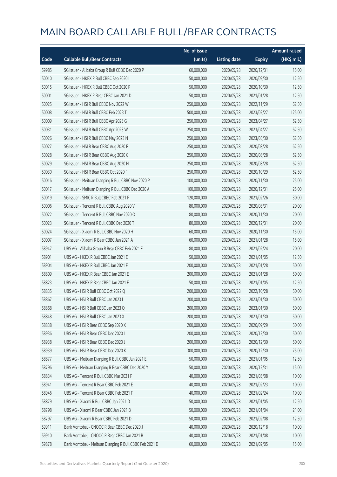|       |                                                         | No. of issue |                     |               | <b>Amount raised</b> |
|-------|---------------------------------------------------------|--------------|---------------------|---------------|----------------------|
| Code  | <b>Callable Bull/Bear Contracts</b>                     | (units)      | <b>Listing date</b> | <b>Expiry</b> | (HK\$ mil.)          |
| 59985 | SG Issuer - Alibaba Group R Bull CBBC Dec 2020 P        | 60,000,000   | 2020/05/28          | 2020/12/31    | 15.00                |
| 50010 | SG Issuer - HKEX R Bull CBBC Sep 2020 I                 | 50,000,000   | 2020/05/28          | 2020/09/30    | 12.50                |
| 50015 | SG Issuer - HKEX R Bull CBBC Oct 2020 P                 | 50,000,000   | 2020/05/28          | 2020/10/30    | 12.50                |
| 50001 | SG Issuer - HKEX R Bear CBBC Jan 2021 D                 | 50,000,000   | 2020/05/28          | 2021/01/28    | 12.50                |
| 50025 | SG Issuer - HSI R Bull CBBC Nov 2022 W                  | 250,000,000  | 2020/05/28          | 2022/11/29    | 62.50                |
| 50008 | SG Issuer - HSI R Bull CBBC Feb 2023 T                  | 500,000,000  | 2020/05/28          | 2023/02/27    | 125.00               |
| 50009 | SG Issuer - HSI R Bull CBBC Apr 2023 G                  | 250,000,000  | 2020/05/28          | 2023/04/27    | 62.50                |
| 50031 | SG Issuer - HSI R Bull CBBC Apr 2023 W                  | 250,000,000  | 2020/05/28          | 2023/04/27    | 62.50                |
| 50026 | SG Issuer - HSI R Bull CBBC May 2023 N                  | 250,000,000  | 2020/05/28          | 2023/05/30    | 62.50                |
| 50027 | SG Issuer - HSI R Bear CBBC Aug 2020 F                  | 250,000,000  | 2020/05/28          | 2020/08/28    | 62.50                |
| 50028 | SG Issuer - HSI R Bear CBBC Aug 2020 G                  | 250,000,000  | 2020/05/28          | 2020/08/28    | 62.50                |
| 50029 | SG Issuer - HSI R Bear CBBC Aug 2020 H                  | 250,000,000  | 2020/05/28          | 2020/08/28    | 62.50                |
| 50030 | SG Issuer - HSI R Bear CBBC Oct 2020 F                  | 250,000,000  | 2020/05/28          | 2020/10/29    | 62.50                |
| 50016 | SG Issuer - Meituan Dianping R Bull CBBC Nov 2020 P     | 100,000,000  | 2020/05/28          | 2020/11/30    | 25.00                |
| 50017 | SG Issuer - Meituan Dianping R Bull CBBC Dec 2020 A     | 100,000,000  | 2020/05/28          | 2020/12/31    | 25.00                |
| 50019 | SG Issuer - SMIC R Bull CBBC Feb 2021 F                 | 120,000,000  | 2020/05/28          | 2021/02/26    | 30.00                |
| 50006 | SG Issuer - Tencent R Bull CBBC Aug 2020 V              | 80,000,000   | 2020/05/28          | 2020/08/31    | 20.00                |
| 50022 | SG Issuer - Tencent R Bull CBBC Nov 2020 O              | 80,000,000   | 2020/05/28          | 2020/11/30    | 20.00                |
| 50023 | SG Issuer - Tencent R Bull CBBC Dec 2020 T              | 80,000,000   | 2020/05/28          | 2020/12/31    | 20.00                |
| 50024 | SG Issuer - Xiaomi R Bull CBBC Nov 2020 H               | 60,000,000   | 2020/05/28          | 2020/11/30    | 15.00                |
| 50007 | SG Issuer - Xiaomi R Bear CBBC Jan 2021 A               | 60,000,000   | 2020/05/28          | 2021/01/28    | 15.00                |
| 58947 | UBS AG - Alibaba Group R Bear CBBC Feb 2021 F           | 80,000,000   | 2020/05/28          | 2021/02/24    | 20.00                |
| 58901 | UBS AG - HKEX R Bull CBBC Jan 2021 E                    | 50,000,000   | 2020/05/28          | 2021/01/05    | 12.50                |
| 58904 | UBS AG - HKEX R Bull CBBC Jan 2021 F                    | 200,000,000  | 2020/05/28          | 2021/01/28    | 50.00                |
| 58809 | UBS AG - HKEX R Bear CBBC Jan 2021 E                    | 200,000,000  | 2020/05/28          | 2021/01/28    | 50.00                |
| 58823 | UBS AG - HKEX R Bear CBBC Jan 2021 F                    | 50,000,000   | 2020/05/28          | 2021/01/05    | 12.50                |
| 58835 | UBS AG - HSI R Bull CBBC Oct 2022 Q                     | 200,000,000  | 2020/05/28          | 2022/10/28    | 50.00                |
| 58867 | UBS AG - HSI R Bull CBBC Jan 2023 I                     | 200,000,000  | 2020/05/28          | 2023/01/30    | 50.00                |
| 58868 | UBS AG - HSI R Bull CBBC Jan 2023 Q                     | 200,000,000  | 2020/05/28          | 2023/01/30    | 50.00                |
| 58848 | UBS AG - HSI R Bull CBBC Jan 2023 X                     | 200,000,000  | 2020/05/28          | 2023/01/30    | 50.00                |
| 58838 | UBS AG - HSI R Bear CBBC Sep 2020 X                     | 200,000,000  | 2020/05/28          | 2020/09/29    | 50.00                |
| 58936 | UBS AG - HSI R Bear CBBC Dec 2020 I                     | 200,000,000  | 2020/05/28          | 2020/12/30    | 50.00                |
| 58938 | UBS AG - HSI R Bear CBBC Dec 2020 J                     | 200,000,000  | 2020/05/28          | 2020/12/30    | 50.00                |
| 58939 | UBS AG - HSI R Bear CBBC Dec 2020 K                     | 300,000,000  | 2020/05/28          | 2020/12/30    | 75.00                |
| 58877 | UBS AG - Meituan Dianping R Bull CBBC Jan 2021 E        | 50,000,000   | 2020/05/28          | 2021/01/05    | 12.50                |
| 58796 | UBS AG - Meituan Dianping R Bear CBBC Dec 2020 Y        | 50,000,000   | 2020/05/28          | 2020/12/31    | 15.00                |
| 58834 | UBS AG - Tencent R Bull CBBC Mar 2021 F                 | 40,000,000   | 2020/05/28          | 2021/03/08    | 10.00                |
| 58941 | UBS AG - Tencent R Bear CBBC Feb 2021 E                 | 40,000,000   | 2020/05/28          | 2021/02/23    | 10.00                |
| 58946 | UBS AG - Tencent R Bear CBBC Feb 2021 F                 | 40,000,000   | 2020/05/28          | 2021/02/24    | 10.00                |
| 58879 | UBS AG - Xiaomi R Bull CBBC Jan 2021 D                  | 50,000,000   | 2020/05/28          | 2021/01/05    | 12.50                |
| 58798 | UBS AG - Xiaomi R Bear CBBC Jan 2021 B                  | 50,000,000   | 2020/05/28          | 2021/01/04    | 21.00                |
| 58797 | UBS AG - Xiaomi R Bear CBBC Feb 2021 D                  | 50,000,000   | 2020/05/28          | 2021/02/08    | 12.50                |
| 59911 | Bank Vontobel - CNOOC R Bear CBBC Dec 2020 J            | 40,000,000   | 2020/05/28          | 2020/12/18    | 10.00                |
| 59910 | Bank Vontobel - CNOOC R Bear CBBC Jan 2021 B            | 40,000,000   | 2020/05/28          | 2021/01/08    | 10.00                |
| 59878 | Bank Vontobel - Meituan Dianping R Bull CBBC Feb 2021 D | 60,000,000   | 2020/05/28          | 2021/02/05    | 15.00                |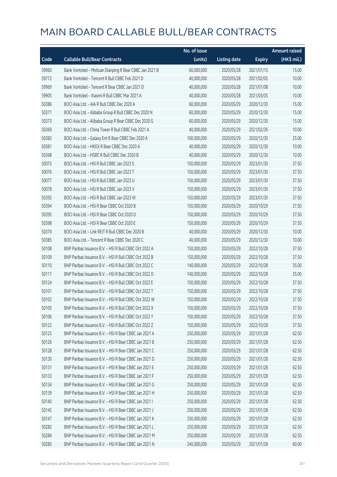|       |                                                         | No. of issue |                     |               | <b>Amount raised</b> |
|-------|---------------------------------------------------------|--------------|---------------------|---------------|----------------------|
| Code  | <b>Callable Bull/Bear Contracts</b>                     | (units)      | <b>Listing date</b> | <b>Expiry</b> | (HK\$ mil.)          |
| 59960 | Bank Vontobel - Meituan Dianping R Bear CBBC Jan 2021 B | 60,000,000   | 2020/05/28          | 2021/01/15    | 15.00                |
| 59772 | Bank Vontobel - Tencent R Bull CBBC Feb 2021 D          | 40,000,000   | 2020/05/28          | 2021/02/05    | 10.00                |
| 59969 | Bank Vontobel - Tencent R Bear CBBC Jan 2021 D          | 40,000,000   | 2020/05/28          | 2021/01/08    | 10.00                |
| 59905 | Bank Vontobel - Xiaomi R Bull CBBC Mar 2021 A           | 40,000,000   | 2020/05/28          | 2021/03/05    | 10.00                |
| 50386 | BOCI Asia Ltd. - AIA R Bull CBBC Dec 2020 A             | 60,000,000   | 2020/05/29          | 2020/12/30    | 15.00                |
| 50371 | BOCI Asia Ltd. - Alibaba Group R Bull CBBC Dec 2020 N   | 60,000,000   | 2020/05/29          | 2020/12/30    | 15.00                |
| 50373 | BOCI Asia Ltd. - Alibaba Group R Bear CBBC Dec 2020 G   | 60,000,000   | 2020/05/29          | 2020/12/30    | 15.00                |
| 50369 | BOCI Asia Ltd. - China Tower R Bull CBBC Feb 2021 A     | 40,000,000   | 2020/05/29          | 2021/02/26    | 10.00                |
| 50382 | BOCI Asia Ltd. - Galaxy Ent R Bear CBBC Dec 2020 A      | 100,000,000  | 2020/05/29          | 2020/12/30    | 25.00                |
| 50381 | BOCI Asia Ltd. - HKEX R Bear CBBC Dec 2020 A            | 40,000,000   | 2020/05/29          | 2020/12/30    | 10.00                |
| 50368 | BOCI Asia Ltd. - HSBC R Bull CBBC Dec 2020 B            | 40,000,000   | 2020/05/29          | 2020/12/30    | 10.00                |
| 50075 | BOCI Asia Ltd. - HSI R Bull CBBC Jan 2023 S             | 150,000,000  | 2020/05/29          | 2023/01/30    | 37.50                |
| 50076 | BOCI Asia Ltd. - HSI R Bull CBBC Jan 2023 T             | 150,000,000  | 2020/05/29          | 2023/01/30    | 37.50                |
| 50077 | BOCI Asia Ltd. - HSI R Bull CBBC Jan 2023 U             | 150,000,000  | 2020/05/29          | 2023/01/30    | 37.50                |
| 50078 | BOCI Asia Ltd. - HSI R Bull CBBC Jan 2023 V             | 150,000,000  | 2020/05/29          | 2023/01/30    | 37.50                |
| 50392 | BOCI Asia Ltd. - HSI R Bull CBBC Jan 2023 W             | 150,000,000  | 2020/05/29          | 2023/01/30    | 37.50                |
| 50394 | BOCI Asia Ltd. - HSI R Bear CBBC Oct 2020 B             | 150,000,000  | 2020/05/29          | 2020/10/29    | 37.50                |
| 50395 | BOCI Asia Ltd. - HSI R Bear CBBC Oct 2020 D             | 150,000,000  | 2020/05/29          | 2020/10/29    | 37.50                |
| 50398 | BOCI Asia Ltd. - HSI R Bear CBBC Oct 2020 E             | 150,000,000  | 2020/05/29          | 2020/10/29    | 37.50                |
| 50370 | BOCI Asia Ltd. - Link REIT R Bull CBBC Dec 2020 B       | 40,000,000   | 2020/05/29          | 2020/12/30    | 10.00                |
| 50385 | BOCI Asia Ltd. - Tencent R Bear CBBC Dec 2020 C         | 40,000,000   | 2020/05/29          | 2020/12/30    | 10.00                |
| 50108 | BNP Paribas Issuance B.V. - HSI R Bull CBBC Oct 2022 A  | 150,000,000  | 2020/05/29          | 2022/10/28    | 37.50                |
| 50109 | BNP Paribas Issuance B.V. - HSI R Bull CBBC Oct 2022 B  | 150,000,000  | 2020/05/29          | 2022/10/28    | 37.50                |
| 50110 | BNP Paribas Issuance B.V. - HSI R Bull CBBC Oct 2022 C  | 140,000,000  | 2020/05/29          | 2022/10/28    | 35.00                |
| 50111 | BNP Paribas Issuance B.V. - HSI R Bull CBBC Oct 2022 D  | 140,000,000  | 2020/05/29          | 2022/10/28    | 35.00                |
| 50124 | BNP Paribas Issuance B.V. - HSI R Bull CBBC Oct 2022 E  | 150,000,000  | 2020/05/29          | 2022/10/28    | 37.50                |
| 50101 | BNP Paribas Issuance B.V. - HSI R Bull CBBC Oct 2022 T  | 150,000,000  | 2020/05/29          | 2022/10/28    | 37.50                |
| 50102 | BNP Paribas Issuance B.V. - HSI R Bull CBBC Oct 2022 W  | 150,000,000  | 2020/05/29          | 2022/10/28    | 37.50                |
| 50105 | BNP Paribas Issuance B.V. - HSI R Bull CBBC Oct 2022 X  | 150,000,000  | 2020/05/29          | 2022/10/28    | 37.50                |
| 50106 | BNP Paribas Issuance B.V. - HSI R Bull CBBC Oct 2022 Y  | 150,000,000  | 2020/05/29          | 2022/10/28    | 37.50                |
| 50122 | BNP Paribas Issuance B.V. - HSI R Bull CBBC Oct 2022 Z  | 150,000,000  | 2020/05/29          | 2022/10/28    | 37.50                |
| 50125 | BNP Paribas Issuance B.V. - HSI R Bear CBBC Jan 2021 A  | 250,000,000  | 2020/05/29          | 2021/01/28    | 62.50                |
| 50126 | BNP Paribas Issuance B.V. - HSI R Bear CBBC Jan 2021 B  | 250,000,000  | 2020/05/29          | 2021/01/28    | 62.50                |
| 50128 | BNP Paribas Issuance B.V. - HSI R Bear CBBC Jan 2021 C  | 250,000,000  | 2020/05/29          | 2021/01/28    | 62.50                |
| 50130 | BNP Paribas Issuance B.V. - HSI R Bear CBBC Jan 2021 D  | 250,000,000  | 2020/05/29          | 2021/01/28    | 62.50                |
| 50131 | BNP Paribas Issuance B.V. - HSI R Bear CBBC Jan 2021 E  | 250,000,000  | 2020/05/29          | 2021/01/28    | 62.50                |
| 50133 | BNP Paribas Issuance B.V. - HSI R Bear CBBC Jan 2021 F  | 250,000,000  | 2020/05/29          | 2021/01/28    | 62.50                |
| 50134 | BNP Paribas Issuance B.V. - HSI R Bear CBBC Jan 2021 G  | 250,000,000  | 2020/05/29          | 2021/01/28    | 62.50                |
| 50139 | BNP Paribas Issuance B.V. - HSI R Bear CBBC Jan 2021 H  | 250,000,000  | 2020/05/29          | 2021/01/28    | 62.50                |
| 50140 | BNP Paribas Issuance B.V. - HSI R Bear CBBC Jan 2021 I  | 250,000,000  | 2020/05/29          | 2021/01/28    | 62.50                |
| 50145 | BNP Paribas Issuance B.V. - HSI R Bear CBBC Jan 2021 J  | 250,000,000  | 2020/05/29          | 2021/01/28    | 62.50                |
| 50147 | BNP Paribas Issuance B.V. - HSI R Bear CBBC Jan 2021 K  | 250,000,000  | 2020/05/29          | 2021/01/28    | 62.50                |
| 50282 | BNP Paribas Issuance B.V. - HSI R Bear CBBC Jan 2021 L  | 250,000,000  | 2020/05/29          | 2021/01/28    | 62.50                |
| 50284 | BNP Paribas Issuance B.V. - HSI R Bear CBBC Jan 2021 M  | 250,000,000  | 2020/05/29          | 2021/01/28    | 62.50                |
| 50285 | BNP Paribas Issuance B.V. - HSI R Bear CBBC Jan 2021 N  | 240,000,000  | 2020/05/29          | 2021/01/28    | 60.00                |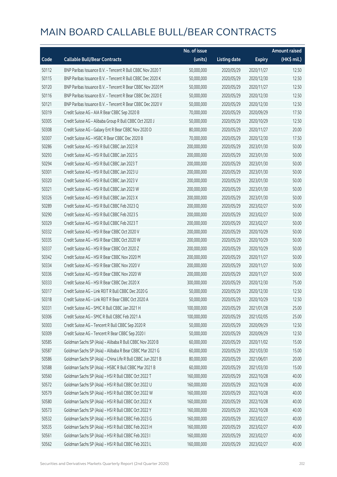|       |                                                             | No. of issue |                     |               | <b>Amount raised</b> |
|-------|-------------------------------------------------------------|--------------|---------------------|---------------|----------------------|
| Code  | <b>Callable Bull/Bear Contracts</b>                         | (units)      | <b>Listing date</b> | <b>Expiry</b> | (HK\$ mil.)          |
| 50112 | BNP Paribas Issuance B.V. - Tencent R Bull CBBC Nov 2020 T  | 50,000,000   | 2020/05/29          | 2020/11/27    | 12.50                |
| 50115 | BNP Paribas Issuance B.V. - Tencent R Bull CBBC Dec 2020 K  | 50,000,000   | 2020/05/29          | 2020/12/30    | 12.50                |
| 50120 | BNP Paribas Issuance B.V. - Tencent R Bear CBBC Nov 2020 M  | 50,000,000   | 2020/05/29          | 2020/11/27    | 12.50                |
| 50116 | BNP Paribas Issuance B.V. - Tencent R Bear CBBC Dec 2020 E  | 50,000,000   | 2020/05/29          | 2020/12/30    | 12.50                |
| 50121 | BNP Paribas Issuance B.V. - Tencent R Bear CBBC Dec 2020 V  | 50,000,000   | 2020/05/29          | 2020/12/30    | 12.50                |
| 50319 | Credit Suisse AG - AIA R Bear CBBC Sep 2020 B               | 70,000,000   | 2020/05/29          | 2020/09/29    | 17.50                |
| 50305 | Credit Suisse AG - Alibaba Group R Bull CBBC Oct 2020 J     | 50,000,000   | 2020/05/29          | 2020/10/29    | 12.50                |
| 50308 | Credit Suisse AG - Galaxy Ent R Bear CBBC Nov 2020 D        | 80,000,000   | 2020/05/29          | 2020/11/27    | 20.00                |
| 50307 | Credit Suisse AG - HSBC R Bear CBBC Dec 2020 B              | 70,000,000   | 2020/05/29          | 2020/12/30    | 17.50                |
| 50286 | Credit Suisse AG - HSI R Bull CBBC Jan 2023 R               | 200,000,000  | 2020/05/29          | 2023/01/30    | 50.00                |
| 50293 | Credit Suisse AG - HSI R Bull CBBC Jan 2023 S               | 200,000,000  | 2020/05/29          | 2023/01/30    | 50.00                |
| 50294 | Credit Suisse AG - HSI R Bull CBBC Jan 2023 T               | 200,000,000  | 2020/05/29          | 2023/01/30    | 50.00                |
| 50301 | Credit Suisse AG - HSI R Bull CBBC Jan 2023 U               | 200,000,000  | 2020/05/29          | 2023/01/30    | 50.00                |
| 50320 | Credit Suisse AG - HSI R Bull CBBC Jan 2023 V               | 200,000,000  | 2020/05/29          | 2023/01/30    | 50.00                |
| 50321 | Credit Suisse AG - HSI R Bull CBBC Jan 2023 W               | 200,000,000  | 2020/05/29          | 2023/01/30    | 50.00                |
| 50326 | Credit Suisse AG - HSI R Bull CBBC Jan 2023 X               | 200,000,000  | 2020/05/29          | 2023/01/30    | 50.00                |
| 50289 | Credit Suisse AG - HSI R Bull CBBC Feb 2023 Q               | 200,000,000  | 2020/05/29          | 2023/02/27    | 50.00                |
| 50290 | Credit Suisse AG - HSI R Bull CBBC Feb 2023 S               | 200,000,000  | 2020/05/29          | 2023/02/27    | 50.00                |
| 50329 | Credit Suisse AG - HSI R Bull CBBC Feb 2023 T               | 200,000,000  | 2020/05/29          | 2023/02/27    | 50.00                |
| 50332 | Credit Suisse AG - HSI R Bear CBBC Oct 2020 V               | 200,000,000  | 2020/05/29          | 2020/10/29    | 50.00                |
| 50335 | Credit Suisse AG - HSI R Bear CBBC Oct 2020 W               | 200,000,000  | 2020/05/29          | 2020/10/29    | 50.00                |
| 50337 | Credit Suisse AG - HSI R Bear CBBC Oct 2020 Z               | 200,000,000  | 2020/05/29          | 2020/10/29    | 50.00                |
| 50342 | Credit Suisse AG - HSI R Bear CBBC Nov 2020 M               | 200,000,000  | 2020/05/29          | 2020/11/27    | 50.00                |
| 50334 | Credit Suisse AG - HSI R Bear CBBC Nov 2020 V               | 200,000,000  | 2020/05/29          | 2020/11/27    | 50.00                |
| 50336 | Credit Suisse AG - HSI R Bear CBBC Nov 2020 W               | 200,000,000  | 2020/05/29          | 2020/11/27    | 50.00                |
| 50333 | Credit Suisse AG - HSI R Bear CBBC Dec 2020 X               | 300,000,000  | 2020/05/29          | 2020/12/30    | 75.00                |
| 50317 | Credit Suisse AG - Link REIT R Bull CBBC Dec 2020 G         | 50,000,000   | 2020/05/29          | 2020/12/30    | 12.50                |
| 50318 | Credit Suisse AG - Link REIT R Bear CBBC Oct 2020 A         | 50,000,000   | 2020/05/29          | 2020/10/29    | 12.50                |
| 50331 | Credit Suisse AG - SMIC R Bull CBBC Jan 2021 H              | 100,000,000  | 2020/05/29          | 2021/01/28    | 25.00                |
| 50306 | Credit Suisse AG - SMIC R Bull CBBC Feb 2021 A              | 100,000,000  | 2020/05/29          | 2021/02/05    | 25.00                |
| 50303 | Credit Suisse AG - Tencent R Bull CBBC Sep 2020 R           | 50,000,000   | 2020/05/29          | 2020/09/29    | 12.50                |
| 50309 | Credit Suisse AG - Tencent R Bear CBBC Sep 2020 I           | 50,000,000   | 2020/05/29          | 2020/09/29    | 12.50                |
| 50585 | Goldman Sachs SP (Asia) - Alibaba R Bull CBBC Nov 2020 B    | 60,000,000   | 2020/05/29          | 2020/11/02    | 15.00                |
| 50587 | Goldman Sachs SP (Asia) - Alibaba R Bear CBBC Mar 2021 G    | 60,000,000   | 2020/05/29          | 2021/03/30    | 15.00                |
| 50586 | Goldman Sachs SP (Asia) - China Life R Bull CBBC Jun 2021 B | 80,000,000   | 2020/05/29          | 2021/06/01    | 20.00                |
| 50588 | Goldman Sachs SP (Asia) - HSBC R Bull CBBC Mar 2021 B       | 60,000,000   | 2020/05/29          | 2021/03/30    | 15.00                |
| 50560 | Goldman Sachs SP (Asia) - HSI R Bull CBBC Oct 2022 T        | 160,000,000  | 2020/05/29          | 2022/10/28    | 40.00                |
| 50572 | Goldman Sachs SP (Asia) - HSI R Bull CBBC Oct 2022 U        | 160,000,000  | 2020/05/29          | 2022/10/28    | 40.00                |
| 50579 | Goldman Sachs SP (Asia) - HSI R Bull CBBC Oct 2022 W        | 160,000,000  | 2020/05/29          | 2022/10/28    | 40.00                |
| 50580 | Goldman Sachs SP (Asia) - HSI R Bull CBBC Oct 2022 X        | 160,000,000  | 2020/05/29          | 2022/10/28    | 40.00                |
| 50573 | Goldman Sachs SP (Asia) - HSI R Bull CBBC Oct 2022 Y        | 160,000,000  | 2020/05/29          | 2022/10/28    | 40.00                |
| 50532 | Goldman Sachs SP (Asia) - HSI R Bull CBBC Feb 2023 G        | 160,000,000  | 2020/05/29          | 2023/02/27    | 40.00                |
| 50535 | Goldman Sachs SP (Asia) - HSI R Bull CBBC Feb 2023 H        | 160,000,000  | 2020/05/29          | 2023/02/27    | 40.00                |
| 50561 | Goldman Sachs SP (Asia) - HSI R Bull CBBC Feb 2023 I        | 160,000,000  | 2020/05/29          | 2023/02/27    | 40.00                |
| 50562 | Goldman Sachs SP (Asia) - HSI R Bull CBBC Feb 2023 L        | 160,000,000  | 2020/05/29          | 2023/02/27    | 40.00                |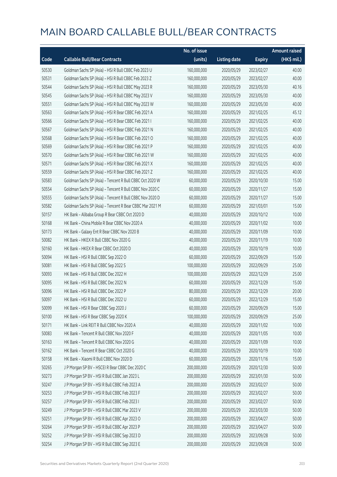|       |                                                          | No. of issue |                     |               | <b>Amount raised</b> |
|-------|----------------------------------------------------------|--------------|---------------------|---------------|----------------------|
| Code  | <b>Callable Bull/Bear Contracts</b>                      | (units)      | <b>Listing date</b> | <b>Expiry</b> | (HK\$ mil.)          |
| 50530 | Goldman Sachs SP (Asia) - HSI R Bull CBBC Feb 2023 U     | 160,000,000  | 2020/05/29          | 2023/02/27    | 40.00                |
| 50531 | Goldman Sachs SP (Asia) - HSI R Bull CBBC Feb 2023 Z     | 160,000,000  | 2020/05/29          | 2023/02/27    | 40.00                |
| 50544 | Goldman Sachs SP (Asia) - HSI R Bull CBBC May 2023 R     | 160,000,000  | 2020/05/29          | 2023/05/30    | 40.16                |
| 50545 | Goldman Sachs SP (Asia) - HSI R Bull CBBC May 2023 V     | 160,000,000  | 2020/05/29          | 2023/05/30    | 40.00                |
| 50551 | Goldman Sachs SP (Asia) - HSI R Bull CBBC May 2023 W     | 160,000,000  | 2020/05/29          | 2023/05/30    | 40.00                |
| 50563 | Goldman Sachs SP (Asia) - HSI R Bear CBBC Feb 2021 A     | 160,000,000  | 2020/05/29          | 2021/02/25    | 45.12                |
| 50566 | Goldman Sachs SP (Asia) - HSI R Bear CBBC Feb 2021 I     | 160,000,000  | 2020/05/29          | 2021/02/25    | 40.00                |
| 50567 | Goldman Sachs SP (Asia) - HSI R Bear CBBC Feb 2021 N     | 160,000,000  | 2020/05/29          | 2021/02/25    | 40.00                |
| 50568 | Goldman Sachs SP (Asia) - HSI R Bear CBBC Feb 2021 O     | 160,000,000  | 2020/05/29          | 2021/02/25    | 40.00                |
| 50569 | Goldman Sachs SP (Asia) - HSI R Bear CBBC Feb 2021 P     | 160,000,000  | 2020/05/29          | 2021/02/25    | 40.00                |
| 50570 | Goldman Sachs SP (Asia) - HSI R Bear CBBC Feb 2021 W     | 160,000,000  | 2020/05/29          | 2021/02/25    | 40.00                |
| 50571 | Goldman Sachs SP (Asia) - HSI R Bear CBBC Feb 2021 X     | 160,000,000  | 2020/05/29          | 2021/02/25    | 40.00                |
| 50559 | Goldman Sachs SP (Asia) - HSI R Bear CBBC Feb 2021 Z     | 160,000,000  | 2020/05/29          | 2021/02/25    | 40.00                |
| 50583 | Goldman Sachs SP (Asia) - Tencent R Bull CBBC Oct 2020 W | 60,000,000   | 2020/05/29          | 2020/10/30    | 15.00                |
| 50554 | Goldman Sachs SP (Asia) - Tencent R Bull CBBC Nov 2020 C | 60,000,000   | 2020/05/29          | 2020/11/27    | 15.00                |
| 50555 | Goldman Sachs SP (Asia) - Tencent R Bull CBBC Nov 2020 D | 60,000,000   | 2020/05/29          | 2020/11/27    | 15.00                |
| 50582 | Goldman Sachs SP (Asia) - Tencent R Bear CBBC Mar 2021 M | 60,000,000   | 2020/05/29          | 2021/03/01    | 15.00                |
| 50157 | HK Bank - Alibaba Group R Bear CBBC Oct 2020 D           | 40,000,000   | 2020/05/29          | 2020/10/12    | 10.00                |
| 50168 | HK Bank - China Mobile R Bear CBBC Nov 2020 A            | 40,000,000   | 2020/05/29          | 2020/11/02    | 10.00                |
| 50173 | HK Bank - Galaxy Ent R Bear CBBC Nov 2020 B              | 40,000,000   | 2020/05/29          | 2020/11/09    | 10.00                |
| 50082 | HK Bank - HKEX R Bull CBBC Nov 2020 G                    | 40,000,000   | 2020/05/29          | 2020/11/19    | 10.00                |
| 50160 | HK Bank - HKEX R Bear CBBC Oct 2020 D                    | 40,000,000   | 2020/05/29          | 2020/10/19    | 10.00                |
| 50094 | HK Bank - HSI R Bull CBBC Sep 2022 O                     | 60,000,000   | 2020/05/29          | 2022/09/29    | 15.00                |
| 50081 | HK Bank - HSI R Bull CBBC Sep 2022 S                     | 100,000,000  | 2020/05/29          | 2022/09/29    | 25.00                |
| 50093 | HK Bank - HSI R Bull CBBC Dec 2022 H                     | 100,000,000  | 2020/05/29          | 2022/12/29    | 25.00                |
| 50095 | HK Bank - HSI R Bull CBBC Dec 2022 N                     | 60,000,000   | 2020/05/29          | 2022/12/29    | 15.00                |
| 50096 | HK Bank - HSI R Bull CBBC Dec 2022 P                     | 80,000,000   | 2020/05/29          | 2022/12/29    | 20.00                |
| 50097 | HK Bank - HSI R Bull CBBC Dec 2022 U                     | 60,000,000   | 2020/05/29          | 2022/12/29    | 15.00                |
| 50099 | HK Bank - HSI R Bear CBBC Sep 2020 J                     | 60,000,000   | 2020/05/29          | 2020/09/29    | 15.00                |
| 50100 | HK Bank - HSI R Bear CBBC Sep 2020 K                     | 100,000,000  | 2020/05/29          | 2020/09/29    | 25.00                |
| 50171 | HK Bank - Link REIT R Bull CBBC Nov 2020 A               | 40,000,000   | 2020/05/29          | 2020/11/02    | 10.00                |
| 50083 | HK Bank - Tencent R Bull CBBC Nov 2020 F                 | 40,000,000   | 2020/05/29          | 2020/11/05    | 10.00                |
| 50163 | HK Bank - Tencent R Bull CBBC Nov 2020 G                 | 40,000,000   | 2020/05/29          | 2020/11/09    | 10.00                |
| 50162 | HK Bank - Tencent R Bear CBBC Oct 2020 G                 | 40,000,000   | 2020/05/29          | 2020/10/19    | 10.00                |
| 50158 | HK Bank - Xiaomi R Bull CBBC Nov 2020 D                  | 60,000,000   | 2020/05/29          | 2020/11/16    | 15.00                |
| 50265 | J P Morgan SP BV - HSCEI R Bear CBBC Dec 2020 C          | 200,000,000  | 2020/05/29          | 2020/12/30    | 50.00                |
| 50273 | J P Morgan SP BV - HSI R Bull CBBC Jan 2023 L            | 200,000,000  | 2020/05/29          | 2023/01/30    | 50.00                |
| 50247 | J P Morgan SP BV - HSI R Bull CBBC Feb 2023 A            | 200,000,000  | 2020/05/29          | 2023/02/27    | 50.00                |
| 50253 | J P Morgan SP BV - HSI R Bull CBBC Feb 2023 F            | 200,000,000  | 2020/05/29          | 2023/02/27    | 50.00                |
| 50257 | J P Morgan SP BV - HSI R Bull CBBC Feb 2023 I            | 200,000,000  | 2020/05/29          | 2023/02/27    | 50.00                |
| 50249 | J P Morgan SP BV - HSI R Bull CBBC Mar 2023 V            | 200,000,000  | 2020/05/29          | 2023/03/30    | 50.00                |
| 50251 | J P Morgan SP BV - HSI R Bull CBBC Apr 2023 O            | 200,000,000  | 2020/05/29          | 2023/04/27    | 50.00                |
| 50264 | J P Morgan SP BV - HSI R Bull CBBC Apr 2023 P            | 200,000,000  | 2020/05/29          | 2023/04/27    | 50.00                |
| 50252 | J P Morgan SP BV - HSI R Bull CBBC Sep 2023 D            | 200,000,000  | 2020/05/29          | 2023/09/28    | 50.00                |
| 50254 | J P Morgan SP BV - HSI R Bull CBBC Sep 2023 E            | 200,000,000  | 2020/05/29          | 2023/09/28    | 50.00                |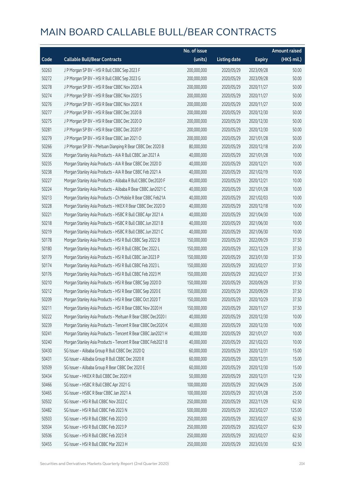|       |                                                              | No. of issue |                     |               | <b>Amount raised</b> |
|-------|--------------------------------------------------------------|--------------|---------------------|---------------|----------------------|
| Code  | <b>Callable Bull/Bear Contracts</b>                          | (units)      | <b>Listing date</b> | <b>Expiry</b> | $(HK\$ mil.)         |
| 50263 | J P Morgan SP BV - HSI R Bull CBBC Sep 2023 F                | 200,000,000  | 2020/05/29          | 2023/09/28    | 50.00                |
| 50272 | J P Morgan SP BV - HSI R Bull CBBC Sep 2023 G                | 200,000,000  | 2020/05/29          | 2023/09/28    | 50.00                |
| 50278 | J P Morgan SP BV - HSI R Bear CBBC Nov 2020 A                | 200,000,000  | 2020/05/29          | 2020/11/27    | 50.00                |
| 50274 | J P Morgan SP BV - HSI R Bear CBBC Nov 2020 S                | 200,000,000  | 2020/05/29          | 2020/11/27    | 50.00                |
| 50276 | J P Morgan SP BV - HSI R Bear CBBC Nov 2020 X                | 200,000,000  | 2020/05/29          | 2020/11/27    | 50.00                |
| 50277 | J P Morgan SP BV - HSI R Bear CBBC Dec 2020 B                | 200,000,000  | 2020/05/29          | 2020/12/30    | 50.00                |
| 50275 | J P Morgan SP BV - HSI R Bear CBBC Dec 2020 D                | 200,000,000  | 2020/05/29          | 2020/12/30    | 50.00                |
| 50281 | J P Morgan SP BV - HSI R Bear CBBC Dec 2020 P                | 200,000,000  | 2020/05/29          | 2020/12/30    | 50.00                |
| 50279 | J P Morgan SP BV - HSI R Bear CBBC Jan 2021 O                | 200,000,000  | 2020/05/29          | 2021/01/28    | 50.00                |
| 50266 | J P Morgan SP BV - Meituan Dianping R Bear CBBC Dec 2020 B   | 80,000,000   | 2020/05/29          | 2020/12/18    | 20.00                |
| 50236 | Morgan Stanley Asia Products - AIA R Bull CBBC Jan 2021 A    | 40,000,000   | 2020/05/29          | 2021/01/28    | 10.00                |
| 50235 | Morgan Stanley Asia Products - AIA R Bear CBBC Dec 2020 D    | 40,000,000   | 2020/05/29          | 2020/12/21    | 10.00                |
| 50238 | Morgan Stanley Asia Products - AIA R Bear CBBC Feb 2021 A    | 40,000,000   | 2020/05/29          | 2021/02/19    | 10.00                |
| 50227 | Morgan Stanley Asia Products - Alibaba R Bull CBBC Dec2020 F | 40,000,000   | 2020/05/29          | 2020/12/21    | 10.00                |
| 50224 | Morgan Stanley Asia Products - Alibaba R Bear CBBC Jan2021 C | 40,000,000   | 2020/05/29          | 2021/01/28    | 10.00                |
| 50213 | Morgan Stanley Asia Products - Ch Mobile R Bear CBBC Feb21A  | 40,000,000   | 2020/05/29          | 2021/02/03    | 10.00                |
| 50228 | Morgan Stanley Asia Products - HKEX R Bear CBBC Dec 2020 D   | 40,000,000   | 2020/05/29          | 2020/12/18    | 10.00                |
| 50221 | Morgan Stanley Asia Products - HSBC R Bull CBBC Apr 2021 A   | 40,000,000   | 2020/05/29          | 2021/04/30    | 10.00                |
| 50218 | Morgan Stanley Asia Products - HSBC R Bull CBBC Jun 2021 B   | 40,000,000   | 2020/05/29          | 2021/06/30    | 10.00                |
| 50219 | Morgan Stanley Asia Products - HSBC R Bull CBBC Jun 2021 C   | 40,000,000   | 2020/05/29          | 2021/06/30    | 10.00                |
| 50178 | Morgan Stanley Asia Products - HSI R Bull CBBC Sep 2022 B    | 150,000,000  | 2020/05/29          | 2022/09/29    | 37.50                |
| 50180 | Morgan Stanley Asia Products - HSI R Bull CBBC Dec 2022 L    | 150,000,000  | 2020/05/29          | 2022/12/29    | 37.50                |
| 50179 | Morgan Stanley Asia Products - HSI R Bull CBBC Jan 2023 P    | 150,000,000  | 2020/05/29          | 2023/01/30    | 37.50                |
| 50174 | Morgan Stanley Asia Products - HSI R Bull CBBC Feb 2023 L    | 150,000,000  | 2020/05/29          | 2023/02/27    | 37.50                |
| 50176 | Morgan Stanley Asia Products - HSI R Bull CBBC Feb 2023 M    | 150,000,000  | 2020/05/29          | 2023/02/27    | 37.50                |
| 50210 | Morgan Stanley Asia Products - HSI R Bear CBBC Sep 2020 D    | 150,000,000  | 2020/05/29          | 2020/09/29    | 37.50                |
| 50212 | Morgan Stanley Asia Products - HSI R Bear CBBC Sep 2020 E    | 150,000,000  | 2020/05/29          | 2020/09/29    | 37.50                |
| 50209 | Morgan Stanley Asia Products - HSI R Bear CBBC Oct 2020 T    | 150,000,000  | 2020/05/29          | 2020/10/29    | 37.50                |
| 50211 | Morgan Stanley Asia Products - HSI R Bear CBBC Nov 2020 H    | 150,000,000  | 2020/05/29          | 2020/11/27    | 37.50                |
| 50222 | Morgan Stanley Asia Products - Meituan R Bear CBBC Dec2020 I | 40,000,000   | 2020/05/29          | 2020/12/30    | 10.00                |
| 50239 | Morgan Stanley Asia Products - Tencent R Bear CBBC Dec2020 K | 40,000,000   | 2020/05/29          | 2020/12/30    | 10.00                |
| 50241 | Morgan Stanley Asia Products - Tencent R Bear CBBC Jan2021 H | 40,000,000   | 2020/05/29          | 2021/01/27    | 10.00                |
| 50240 | Morgan Stanley Asia Products - Tencent R Bear CBBC Feb2021 B | 40,000,000   | 2020/05/29          | 2021/02/23    | 10.00                |
| 50430 | SG Issuer - Alibaba Group R Bull CBBC Dec 2020 Q             | 60,000,000   | 2020/05/29          | 2020/12/31    | 15.00                |
| 50431 | SG Issuer - Alibaba Group R Bull CBBC Dec 2020 R             | 60,000,000   | 2020/05/29          | 2020/12/31    | 15.00                |
| 50509 | SG Issuer - Alibaba Group R Bear CBBC Dec 2020 E             | 60,000,000   | 2020/05/29          | 2020/12/30    | 15.00                |
| 50434 | SG Issuer - HKEX R Bull CBBC Dec 2020 H                      | 50,000,000   | 2020/05/29          | 2020/12/31    | 12.50                |
| 50466 | SG Issuer - HSBC R Bull CBBC Apr 2021 G                      | 100,000,000  | 2020/05/29          | 2021/04/29    | 25.00                |
| 50465 | SG Issuer - HSBC R Bear CBBC Jan 2021 A                      | 100,000,000  | 2020/05/29          | 2021/01/28    | 25.00                |
| 50502 | SG Issuer - HSI R Bull CBBC Nov 2022 C                       | 250,000,000  | 2020/05/29          | 2022/11/29    | 62.50                |
| 50482 | SG Issuer - HSI R Bull CBBC Feb 2023 N                       | 500,000,000  | 2020/05/29          | 2023/02/27    | 125.00               |
| 50503 | SG Issuer - HSI R Bull CBBC Feb 2023 O                       | 250,000,000  | 2020/05/29          | 2023/02/27    | 62.50                |
| 50504 | SG Issuer - HSI R Bull CBBC Feb 2023 P                       | 250,000,000  | 2020/05/29          | 2023/02/27    | 62.50                |
| 50506 | SG Issuer - HSI R Bull CBBC Feb 2023 R                       | 250,000,000  | 2020/05/29          | 2023/02/27    | 62.50                |
| 50455 | SG Issuer - HSI R Bull CBBC Mar 2023 H                       | 250,000,000  | 2020/05/29          | 2023/03/30    | 62.50                |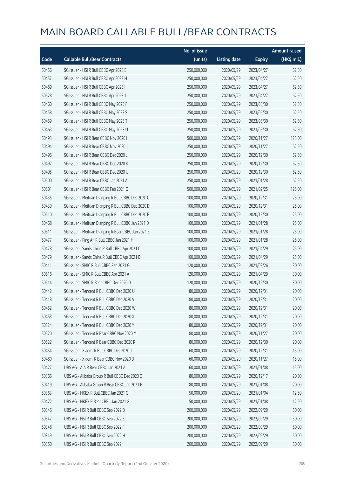|       |                                                     | No. of issue |                     |               | <b>Amount raised</b> |
|-------|-----------------------------------------------------|--------------|---------------------|---------------|----------------------|
| Code  | <b>Callable Bull/Bear Contracts</b>                 | (units)      | <b>Listing date</b> | <b>Expiry</b> | (HK\$ mil.)          |
| 50456 | SG Issuer - HSI R Bull CBBC Apr 2023 E              | 250,000,000  | 2020/05/29          | 2023/04/27    | 62.50                |
| 50457 | SG Issuer - HSI R Bull CBBC Apr 2023 H              | 250,000,000  | 2020/05/29          | 2023/04/27    | 62.50                |
| 50489 | SG Issuer - HSI R Bull CBBC Apr 2023 I              | 250,000,000  | 2020/05/29          | 2023/04/27    | 62.50                |
| 50528 | SG Issuer - HSI R Bull CBBC Apr 2023 J              | 250,000,000  | 2020/05/29          | 2023/04/27    | 62.50                |
| 50460 | SG Issuer - HSI R Bull CBBC May 2023 F              | 250,000,000  | 2020/05/29          | 2023/05/30    | 62.50                |
| 50458 | SG Issuer - HSI R Bull CBBC May 2023 S              | 250,000,000  | 2020/05/29          | 2023/05/30    | 62.50                |
| 50459 | SG Issuer - HSI R Bull CBBC May 2023 T              | 250,000,000  | 2020/05/29          | 2023/05/30    | 62.50                |
| 50463 | SG Issuer - HSI R Bull CBBC May 2023 U              | 250,000,000  | 2020/05/29          | 2023/05/30    | 62.50                |
| 50493 | SG Issuer - HSI R Bear CBBC Nov 2020 I              | 500,000,000  | 2020/05/29          | 2020/11/27    | 125.00               |
| 50494 | SG Issuer - HSI R Bear CBBC Nov 2020 J              | 250,000,000  | 2020/05/29          | 2020/11/27    | 62.50                |
| 50496 | SG Issuer - HSI R Bear CBBC Dec 2020 J              | 250,000,000  | 2020/05/29          | 2020/12/30    | 62.50                |
| 50497 | SG Issuer - HSI R Bear CBBC Dec 2020 K              | 250,000,000  | 2020/05/29          | 2020/12/30    | 62.50                |
| 50495 | SG Issuer - HSI R Bear CBBC Dec 2020 U              | 250,000,000  | 2020/05/29          | 2020/12/30    | 62.50                |
| 50500 | SG Issuer - HSI R Bear CBBC Jan 2021 A              | 250,000,000  | 2020/05/29          | 2021/01/28    | 62.50                |
| 50501 | SG Issuer - HSI R Bear CBBC Feb 2021 Q              | 500,000,000  | 2020/05/29          | 2021/02/25    | 125.00               |
| 50435 | SG Issuer - Meituan Dianping R Bull CBBC Dec 2020 C | 100,000,000  | 2020/05/29          | 2020/12/31    | 25.00                |
| 50439 | SG Issuer - Meituan Dianping R Bull CBBC Dec 2020 D | 100,000,000  | 2020/05/29          | 2020/12/31    | 25.00                |
| 50510 | SG Issuer - Meituan Dianping R Bull CBBC Dec 2020 E | 100,000,000  | 2020/05/29          | 2020/12/30    | 25.00                |
| 50468 | SG Issuer - Meituan Dianping R Bull CBBC Jan 2021 D | 100,000,000  | 2020/05/29          | 2021/01/28    | 25.00                |
| 50511 | SG Issuer - Meituan Dianping R Bear CBBC Jan 2021 E | 100,000,000  | 2020/05/29          | 2021/01/28    | 25.00                |
| 50477 | SG Issuer - Ping An R Bull CBBC Jan 2021 H          | 100,000,000  | 2020/05/29          | 2021/01/28    | 25.00                |
| 50478 | SG Issuer - Sands China R Bull CBBC Apr 2021 C      | 100,000,000  | 2020/05/29          | 2021/04/29    | 25.00                |
| 50479 | SG Issuer - Sands China R Bull CBBC Apr 2021 D      | 100,000,000  | 2020/05/29          | 2021/04/29    | 25.00                |
| 50441 | SG Issuer - SMIC R Bull CBBC Feb 2021 G             | 120,000,000  | 2020/05/29          | 2021/02/26    | 30.00                |
| 50516 | SG Issuer - SMIC R Bull CBBC Apr 2021 A             | 120,000,000  | 2020/05/29          | 2021/04/29    | 30.00                |
| 50514 | SG Issuer - SMIC R Bear CBBC Dec 2020 D             | 120,000,000  | 2020/05/29          | 2020/12/30    | 30.00                |
| 50442 | SG Issuer - Tencent R Bull CBBC Dec 2020 U          | 80,000,000   | 2020/05/29          | 2020/12/31    | 20.00                |
| 50448 | SG Issuer - Tencent R Bull CBBC Dec 2020 V          | 80,000,000   | 2020/05/29          | 2020/12/31    | 20.00                |
| 50452 | SG Issuer - Tencent R Bull CBBC Dec 2020 W          | 80,000,000   | 2020/05/29          | 2020/12/31    | 20.00                |
| 50453 | SG Issuer - Tencent R Bull CBBC Dec 2020 X          | 80,000,000   | 2020/05/29          | 2020/12/31    | 20.00                |
| 50524 | SG Issuer - Tencent R Bull CBBC Dec 2020 Y          | 80,000,000   | 2020/05/29          | 2020/12/31    | 20.00                |
| 50520 | SG Issuer - Tencent R Bear CBBC Nov 2020 M          | 80,000,000   | 2020/05/29          | 2020/11/27    | 20.00                |
| 50522 | SG Issuer - Tencent R Bear CBBC Dec 2020 R          | 80,000,000   | 2020/05/29          | 2020/12/30    | 20.00                |
| 50454 | SG Issuer - Xiaomi R Bull CBBC Dec 2020 J           | 60,000,000   | 2020/05/29          | 2020/12/31    | 15.00                |
| 50480 | SG Issuer - Xiaomi R Bear CBBC Nov 2020 D           | 60,000,000   | 2020/05/29          | 2020/11/27    | 15.00                |
| 50427 | UBS AG - AIA R Bear CBBC Jan 2021 A                 | 60,000,000   | 2020/05/29          | 2021/01/08    | 15.00                |
| 50366 | UBS AG - Alibaba Group R Bull CBBC Dec 2020 C       | 80,000,000   | 2020/05/29          | 2020/12/17    | 20.00                |
| 50419 | UBS AG - Alibaba Group R Bear CBBC Jan 2021 E       | 80,000,000   | 2020/05/29          | 2021/01/08    | 20.00                |
| 50363 | UBS AG - HKEX R Bull CBBC Jan 2021 G                | 50,000,000   | 2020/05/29          | 2021/01/04    | 12.50                |
| 50422 | UBS AG - HKEX R Bear CBBC Jan 2021 G                | 50,000,000   | 2020/05/29          | 2021/01/08    | 12.50                |
| 50346 | UBS AG - HSI R Bull CBBC Sep 2022 D                 | 200,000,000  | 2020/05/29          | 2022/09/29    | 50.00                |
| 50347 | UBS AG - HSI R Bull CBBC Sep 2022 E                 | 200,000,000  | 2020/05/29          | 2022/09/29    | 50.00                |
| 50348 | UBS AG - HSI R Bull CBBC Sep 2022 F                 | 200,000,000  | 2020/05/29          | 2022/09/29    | 50.00                |
| 50349 | UBS AG - HSI R Bull CBBC Sep 2022 H                 | 200,000,000  | 2020/05/29          | 2022/09/29    | 50.00                |
| 50350 | UBS AG - HSI R Bull CBBC Sep 2022 I                 | 200,000,000  | 2020/05/29          | 2022/09/29    | 50.00                |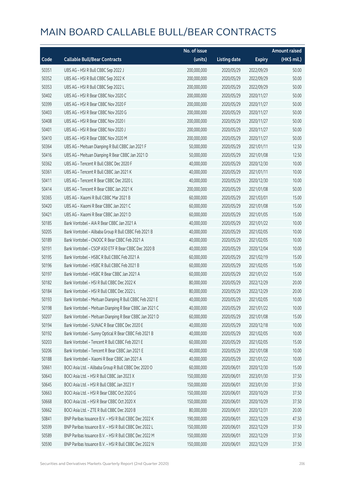|       |                                                         | No. of issue |                     |               | <b>Amount raised</b> |
|-------|---------------------------------------------------------|--------------|---------------------|---------------|----------------------|
| Code  | <b>Callable Bull/Bear Contracts</b>                     | (units)      | <b>Listing date</b> | <b>Expiry</b> | (HK\$ mil.)          |
| 50351 | UBS AG - HSI R Bull CBBC Sep 2022 J                     | 200,000,000  | 2020/05/29          | 2022/09/29    | 50.00                |
| 50352 | UBS AG - HSI R Bull CBBC Sep 2022 K                     | 200,000,000  | 2020/05/29          | 2022/09/29    | 50.00                |
| 50353 | UBS AG - HSI R Bull CBBC Sep 2022 L                     | 200,000,000  | 2020/05/29          | 2022/09/29    | 50.00                |
| 50402 | UBS AG - HSI R Bear CBBC Nov 2020 C                     | 200,000,000  | 2020/05/29          | 2020/11/27    | 50.00                |
| 50399 | UBS AG - HSI R Bear CBBC Nov 2020 F                     | 200,000,000  | 2020/05/29          | 2020/11/27    | 50.00                |
| 50403 | UBS AG - HSI R Bear CBBC Nov 2020 G                     | 200,000,000  | 2020/05/29          | 2020/11/27    | 50.00                |
| 50408 | UBS AG - HSI R Bear CBBC Nov 2020 I                     | 200,000,000  | 2020/05/29          | 2020/11/27    | 50.00                |
| 50401 | UBS AG - HSI R Bear CBBC Nov 2020 J                     | 200,000,000  | 2020/05/29          | 2020/11/27    | 50.00                |
| 50410 | UBS AG - HSI R Bear CBBC Nov 2020 M                     | 200,000,000  | 2020/05/29          | 2020/11/27    | 50.00                |
| 50364 | UBS AG - Meituan Dianping R Bull CBBC Jan 2021 F        | 50,000,000   | 2020/05/29          | 2021/01/11    | 12.50                |
| 50416 | UBS AG - Meituan Dianping R Bear CBBC Jan 2021 D        | 50,000,000   | 2020/05/29          | 2021/01/08    | 12.50                |
| 50362 | UBS AG - Tencent R Bull CBBC Dec 2020 F                 | 40,000,000   | 2020/05/29          | 2020/12/30    | 10.00                |
| 50361 | UBS AG - Tencent R Bull CBBC Jan 2021 K                 | 40,000,000   | 2020/05/29          | 2021/01/11    | 10.00                |
| 50411 | UBS AG - Tencent R Bear CBBC Dec 2020 L                 | 40,000,000   | 2020/05/29          | 2020/12/30    | 10.00                |
| 50414 | UBS AG - Tencent R Bear CBBC Jan 2021 K                 | 200,000,000  | 2020/05/29          | 2021/01/08    | 50.00                |
| 50365 | UBS AG - Xiaomi R Bull CBBC Mar 2021 B                  | 60,000,000   | 2020/05/29          | 2021/03/01    | 15.00                |
| 50420 | UBS AG - Xiaomi R Bear CBBC Jan 2021 C                  | 60,000,000   | 2020/05/29          | 2021/01/08    | 15.00                |
| 50421 | UBS AG - Xiaomi R Bear CBBC Jan 2021 D                  | 60,000,000   | 2020/05/29          | 2021/01/05    | 15.00                |
| 50185 | Bank Vontobel - AIA R Bear CBBC Jan 2021 A              | 40,000,000   | 2020/05/29          | 2021/01/22    | 10.00                |
| 50205 | Bank Vontobel - Alibaba Group R Bull CBBC Feb 2021 B    | 40,000,000   | 2020/05/29          | 2021/02/05    | 10.00                |
| 50189 | Bank Vontobel - CNOOC R Bear CBBC Feb 2021 A            | 40,000,000   | 2020/05/29          | 2021/02/05    | 10.00                |
| 50191 | Bank Vontobel - CSOP A50 ETF R Bear CBBC Dec 2020 B     | 40,000,000   | 2020/05/29          | 2020/12/04    | 10.00                |
| 50195 | Bank Vontobel - HSBC R Bull CBBC Feb 2021 A             | 60,000,000   | 2020/05/29          | 2021/02/19    | 15.00                |
| 50196 | Bank Vontobel - HSBC R Bull CBBC Feb 2021 B             | 60,000,000   | 2020/05/29          | 2021/02/05    | 15.00                |
| 50197 | Bank Vontobel - HSBC R Bear CBBC Jan 2021 A             | 60,000,000   | 2020/05/29          | 2021/01/22    | 15.00                |
| 50182 | Bank Vontobel - HSI R Bull CBBC Dec 2022 K              | 80,000,000   | 2020/05/29          | 2022/12/29    | 20.00                |
| 50184 | Bank Vontobel - HSI R Bull CBBC Dec 2022 L              | 80,000,000   | 2020/05/29          | 2022/12/29    | 20.00                |
| 50193 | Bank Vontobel - Meituan Dianping R Bull CBBC Feb 2021 E | 40,000,000   | 2020/05/29          | 2021/02/05    | 10.00                |
| 50198 | Bank Vontobel - Meituan Dianping R Bear CBBC Jan 2021 C | 40,000,000   | 2020/05/29          | 2021/01/22    | 10.00                |
| 50207 | Bank Vontobel - Meituan Dianping R Bear CBBC Jan 2021 D | 60,000,000   | 2020/05/29          | 2021/01/08    | 15.00                |
| 50194 | Bank Vontobel - SUNAC R Bear CBBC Dec 2020 E            | 40,000,000   | 2020/05/29          | 2020/12/18    | 10.00                |
| 50192 | Bank Vontobel - Sunny Optical R Bear CBBC Feb 2021 B    | 40,000,000   | 2020/05/29          | 2021/02/05    | 10.00                |
| 50203 | Bank Vontobel - Tencent R Bull CBBC Feb 2021 E          | 60,000,000   | 2020/05/29          | 2021/02/05    | 15.00                |
| 50206 | Bank Vontobel - Tencent R Bear CBBC Jan 2021 E          | 40,000,000   | 2020/05/29          | 2021/01/08    | 10.00                |
| 50188 | Bank Vontobel - Xiaomi R Bear CBBC Jan 2021 A           | 40,000,000   | 2020/05/29          | 2021/01/22    | 10.00                |
| 50661 | BOCI Asia Ltd. - Alibaba Group R Bull CBBC Dec 2020 O   | 60,000,000   | 2020/06/01          | 2020/12/30    | 15.00                |
| 50643 | BOCI Asia Ltd. - HSI R Bull CBBC Jan 2023 X             | 150,000,000  | 2020/06/01          | 2023/01/30    | 37.50                |
| 50645 | BOCI Asia Ltd. - HSI R Bull CBBC Jan 2023 Y             | 150,000,000  | 2020/06/01          | 2023/01/30    | 37.50                |
| 50663 | BOCI Asia Ltd. - HSI R Bear CBBC Oct 2020 G             | 150,000,000  | 2020/06/01          | 2020/10/29    | 37.50                |
| 50668 | BOCI Asia Ltd. - HSI R Bear CBBC Oct 2020 X             | 150,000,000  | 2020/06/01          | 2020/10/29    | 37.50                |
| 50662 | BOCI Asia Ltd. - ZTE R Bull CBBC Dec 2020 B             | 80,000,000   | 2020/06/01          | 2020/12/31    | 20.00                |
| 50841 | BNP Paribas Issuance B.V. - HSI R Bull CBBC Dec 2022 K  | 190,000,000  | 2020/06/01          | 2022/12/29    | 47.50                |
| 50599 | BNP Paribas Issuance B.V. - HSI R Bull CBBC Dec 2022 L  | 150,000,000  | 2020/06/01          | 2022/12/29    | 37.50                |
| 50589 | BNP Paribas Issuance B.V. - HSI R Bull CBBC Dec 2022 M  | 150,000,000  | 2020/06/01          | 2022/12/29    | 37.50                |
| 50590 | BNP Paribas Issuance B.V. - HSI R Bull CBBC Dec 2022 N  | 150,000,000  | 2020/06/01          | 2022/12/29    | 37.50                |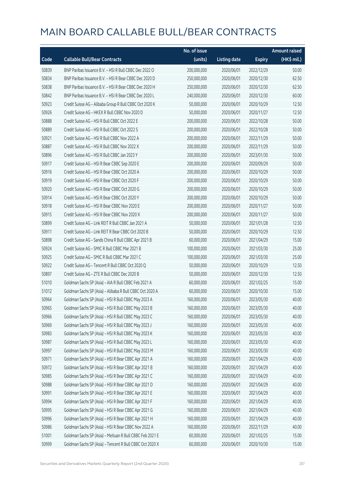|       |                                                          | No. of issue |                     |               | <b>Amount raised</b> |
|-------|----------------------------------------------------------|--------------|---------------------|---------------|----------------------|
| Code  | <b>Callable Bull/Bear Contracts</b>                      | (units)      | <b>Listing date</b> | <b>Expiry</b> | (HK\$ mil.)          |
| 50839 | BNP Paribas Issuance B.V. - HSI R Bull CBBC Dec 2022 O   | 200,000,000  | 2020/06/01          | 2022/12/29    | 50.00                |
| 50834 | BNP Paribas Issuance B.V. - HSI R Bear CBBC Dec 2020 D   | 250,000,000  | 2020/06/01          | 2020/12/30    | 62.50                |
| 50838 | BNP Paribas Issuance B.V. - HSI R Bear CBBC Dec 2020 H   | 250,000,000  | 2020/06/01          | 2020/12/30    | 62.50                |
| 50842 | BNP Paribas Issuance B.V. - HSI R Bear CBBC Dec 2020 L   | 240,000,000  | 2020/06/01          | 2020/12/30    | 60.00                |
| 50923 | Credit Suisse AG - Alibaba Group R Bull CBBC Oct 2020 K  | 50,000,000   | 2020/06/01          | 2020/10/29    | 12.50                |
| 50926 | Credit Suisse AG - HKEX R Bull CBBC Nov 2020 D           | 50,000,000   | 2020/06/01          | 2020/11/27    | 12.50                |
| 50888 | Credit Suisse AG - HSI R Bull CBBC Oct 2022 E            | 200,000,000  | 2020/06/01          | 2022/10/28    | 50.00                |
| 50889 | Credit Suisse AG - HSI R Bull CBBC Oct 2022 S            | 200,000,000  | 2020/06/01          | 2022/10/28    | 50.00                |
| 50921 | Credit Suisse AG - HSI R Bull CBBC Nov 2022 A            | 200,000,000  | 2020/06/01          | 2022/11/29    | 50.00                |
| 50887 | Credit Suisse AG - HSI R Bull CBBC Nov 2022 X            | 200,000,000  | 2020/06/01          | 2022/11/29    | 50.00                |
| 50896 | Credit Suisse AG - HSI R Bull CBBC Jan 2023 Y            | 200,000,000  | 2020/06/01          | 2023/01/30    | 50.00                |
| 50917 | Credit Suisse AG - HSI R Bear CBBC Sep 2020 E            | 200,000,000  | 2020/06/01          | 2020/09/29    | 50.00                |
| 50916 | Credit Suisse AG - HSI R Bear CBBC Oct 2020 A            | 200,000,000  | 2020/06/01          | 2020/10/29    | 50.00                |
| 50919 | Credit Suisse AG - HSI R Bear CBBC Oct 2020 F            | 200,000,000  | 2020/06/01          | 2020/10/29    | 50.00                |
| 50920 | Credit Suisse AG - HSI R Bear CBBC Oct 2020 G            | 200,000,000  | 2020/06/01          | 2020/10/29    | 50.00                |
| 50914 | Credit Suisse AG - HSI R Bear CBBC Oct 2020 Y            | 200,000,000  | 2020/06/01          | 2020/10/29    | 50.00                |
| 50918 | Credit Suisse AG - HSI R Bear CBBC Nov 2020 E            | 200,000,000  | 2020/06/01          | 2020/11/27    | 50.00                |
| 50915 | Credit Suisse AG - HSI R Bear CBBC Nov 2020 X            | 200,000,000  | 2020/06/01          | 2020/11/27    | 50.00                |
| 50899 | Credit Suisse AG - Link REIT R Bull CBBC Jan 2021 A      | 50,000,000   | 2020/06/01          | 2021/01/28    | 12.50                |
| 50911 | Credit Suisse AG - Link REIT R Bear CBBC Oct 2020 B      | 50,000,000   | 2020/06/01          | 2020/10/29    | 12.50                |
| 50898 | Credit Suisse AG - Sands China R Bull CBBC Apr 2021 B    | 60,000,000   | 2020/06/01          | 2021/04/29    | 15.00                |
| 50924 | Credit Suisse AG - SMIC R Bull CBBC Mar 2021 B           | 100,000,000  | 2020/06/01          | 2021/03/30    | 25.00                |
| 50925 | Credit Suisse AG - SMIC R Bull CBBC Mar 2021 C           | 100,000,000  | 2020/06/01          | 2021/03/30    | 25.00                |
| 50922 | Credit Suisse AG - Tencent R Bull CBBC Oct 2020 Q        | 50,000,000   | 2020/06/01          | 2020/10/29    | 12.50                |
| 50897 | Credit Suisse AG - ZTE R Bull CBBC Dec 2020 B            | 50,000,000   | 2020/06/01          | 2020/12/30    | 12.50                |
| 51010 | Goldman Sachs SP (Asia) - AIA R Bull CBBC Feb 2021 A     | 60,000,000   | 2020/06/01          | 2021/02/25    | 15.00                |
| 51012 | Goldman Sachs SP (Asia) - Alibaba R Bull CBBC Oct 2020 A | 60,000,000   | 2020/06/01          | 2020/10/30    | 15.00                |
| 50964 | Goldman Sachs SP (Asia) - HSI R Bull CBBC May 2023 A     | 160,000,000  | 2020/06/01          | 2023/05/30    | 40.00                |
| 50965 | Goldman Sachs SP (Asia) - HSI R Bull CBBC May 2023 B     | 160,000,000  | 2020/06/01          | 2023/05/30    | 40.00                |
| 50966 | Goldman Sachs SP (Asia) - HSI R Bull CBBC May 2023 C     | 160,000,000  | 2020/06/01          | 2023/05/30    | 40.00                |
| 50969 | Goldman Sachs SP (Asia) - HSI R Bull CBBC May 2023 J     | 160,000,000  | 2020/06/01          | 2023/05/30    | 40.00                |
| 50983 | Goldman Sachs SP (Asia) - HSI R Bull CBBC May 2023 K     | 160,000,000  | 2020/06/01          | 2023/05/30    | 40.00                |
| 50987 | Goldman Sachs SP (Asia) - HSI R Bull CBBC May 2023 L     | 160,000,000  | 2020/06/01          | 2023/05/30    | 40.00                |
| 50997 | Goldman Sachs SP (Asia) - HSI R Bull CBBC May 2023 M     | 160,000,000  | 2020/06/01          | 2023/05/30    | 40.00                |
| 50971 | Goldman Sachs SP (Asia) - HSI R Bear CBBC Apr 2021 A     | 160,000,000  | 2020/06/01          | 2021/04/29    | 40.00                |
| 50972 | Goldman Sachs SP (Asia) - HSI R Bear CBBC Apr 2021 B     | 160,000,000  | 2020/06/01          | 2021/04/29    | 40.00                |
| 50985 | Goldman Sachs SP (Asia) - HSI R Bear CBBC Apr 2021 C     | 160,000,000  | 2020/06/01          | 2021/04/29    | 40.00                |
| 50988 | Goldman Sachs SP (Asia) - HSI R Bear CBBC Apr 2021 D     | 160,000,000  | 2020/06/01          | 2021/04/29    | 40.00                |
| 50991 | Goldman Sachs SP (Asia) - HSI R Bear CBBC Apr 2021 E     | 160,000,000  | 2020/06/01          | 2021/04/29    | 40.00                |
| 50994 | Goldman Sachs SP (Asia) - HSI R Bear CBBC Apr 2021 F     | 160,000,000  | 2020/06/01          | 2021/04/29    | 40.00                |
| 50995 | Goldman Sachs SP (Asia) - HSI R Bear CBBC Apr 2021 G     | 160,000,000  | 2020/06/01          | 2021/04/29    | 40.00                |
| 50996 | Goldman Sachs SP (Asia) - HSI R Bear CBBC Apr 2021 H     | 160,000,000  | 2020/06/01          | 2021/04/29    | 40.00                |
| 50986 | Goldman Sachs SP (Asia) - HSI R Bear CBBC Nov 2022 A     | 160,000,000  | 2020/06/01          | 2022/11/29    | 40.00                |
| 51001 | Goldman Sachs SP (Asia) - Meituan R Bull CBBC Feb 2021 E | 60,000,000   | 2020/06/01          | 2021/02/25    | 15.00                |
| 50999 | Goldman Sachs SP (Asia) - Tencent R Bull CBBC Oct 2020 X | 60,000,000   | 2020/06/01          | 2020/10/30    | 15.00                |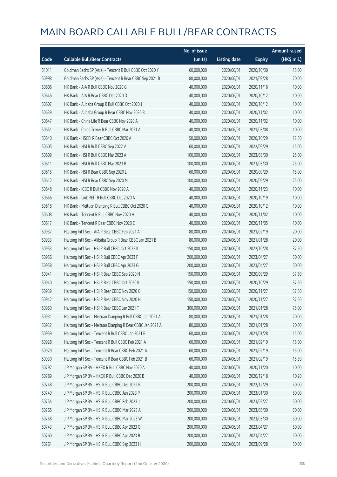|       |                                                             | No. of issue |                     |               | <b>Amount raised</b> |
|-------|-------------------------------------------------------------|--------------|---------------------|---------------|----------------------|
| Code  | <b>Callable Bull/Bear Contracts</b>                         | (units)      | <b>Listing date</b> | <b>Expiry</b> | (HK\$ mil.)          |
| 51011 | Goldman Sachs SP (Asia) - Tencent R Bull CBBC Oct 2020 Y    | 60,000,000   | 2020/06/01          | 2020/10/30    | 15.00                |
| 50998 | Goldman Sachs SP (Asia) - Tencent R Bear CBBC Sep 2021 B    | 80,000,000   | 2020/06/01          | 2021/09/28    | 20.00                |
| 50606 | HK Bank - AIA R Bull CBBC Nov 2020 G                        | 40,000,000   | 2020/06/01          | 2020/11/16    | 10.00                |
| 50646 | HK Bank - AIA R Bear CBBC Oct 2020 D                        | 40,000,000   | 2020/06/01          | 2020/10/12    | 10.00                |
| 50607 | HK Bank - Alibaba Group R Bull CBBC Oct 2020 J              | 40,000,000   | 2020/06/01          | 2020/10/12    | 10.00                |
| 50639 | HK Bank - Alibaba Group R Bear CBBC Nov 2020 B              | 40,000,000   | 2020/06/01          | 2020/11/02    | 10.00                |
| 50647 | HK Bank - China Life R Bear CBBC Nov 2020 A                 | 40,000,000   | 2020/06/01          | 2020/11/02    | 10.00                |
| 50651 | HK Bank - China Tower R Bull CBBC Mar 2021 A                | 40,000,000   | 2020/06/01          | 2021/03/08    | 10.00                |
| 50640 | HK Bank - HSCEI R Bear CBBC Oct 2020 A                      | 50,000,000   | 2020/06/01          | 2020/10/29    | 12.50                |
| 50605 | HK Bank - HSI R Bull CBBC Sep 2022 V                        | 60,000,000   | 2020/06/01          | 2022/09/29    | 15.00                |
| 50609 | HK Bank - HSI R Bull CBBC Mar 2023 A                        | 100,000,000  | 2020/06/01          | 2023/03/30    | 25.00                |
| 50611 | HK Bank - HSI R Bull CBBC Mar 2023 B                        | 100,000,000  | 2020/06/01          | 2023/03/30    | 25.00                |
| 50615 | HK Bank - HSI R Bear CBBC Sep 2020 L                        | 60,000,000   | 2020/06/01          | 2020/09/29    | 15.00                |
| 50612 | HK Bank - HSI R Bear CBBC Sep 2020 M                        | 100,000,000  | 2020/06/01          | 2020/09/29    | 25.00                |
| 50648 | HK Bank - ICBC R Bull CBBC Nov 2020 A                       | 40,000,000   | 2020/06/01          | 2020/11/23    | 10.00                |
| 50656 | HK Bank - Link REIT R Bull CBBC Oct 2020 A                  | 40,000,000   | 2020/06/01          | 2020/10/19    | 10.00                |
| 50618 | HK Bank - Meituan Dianping R Bull CBBC Oct 2020 G           | 40,000,000   | 2020/06/01          | 2020/10/12    | 10.00                |
| 50608 | HK Bank - Tencent R Bull CBBC Nov 2020 H                    | 40,000,000   | 2020/06/01          | 2020/11/02    | 10.00                |
| 50617 | HK Bank - Tencent R Bear CBBC Nov 2020 E                    | 40,000,000   | 2020/06/01          | 2020/11/05    | 10.00                |
| 50937 | Haitong Int'l Sec - AIA R Bear CBBC Feb 2021 A              | 80,000,000   | 2020/06/01          | 2021/02/19    | 20.00                |
| 50933 | Haitong Int'l Sec - Alibaba Group R Bear CBBC Jan 2021 B    | 80,000,000   | 2020/06/01          | 2021/01/28    | 20.00                |
| 50953 | Haitong Int'l Sec - HSI R Bull CBBC Oct 2022 K              | 150,000,000  | 2020/06/01          | 2022/10/28    | 37.50                |
| 50956 | Haitong Int'l Sec - HSI R Bull CBBC Apr 2023 F              | 200,000,000  | 2020/06/01          | 2023/04/27    | 50.00                |
| 50958 | Haitong Int'l Sec - HSI R Bull CBBC Apr 2023 G              | 200,000,000  | 2020/06/01          | 2023/04/27    | 50.00                |
| 50941 | Haitong Int'l Sec - HSI R Bear CBBC Sep 2020 N              | 150,000,000  | 2020/06/01          | 2020/09/29    | 37.50                |
| 50940 | Haitong Int'l Sec - HSI R Bear CBBC Oct 2020 K              | 150,000,000  | 2020/06/01          | 2020/10/29    | 37.50                |
| 50939 | Haitong Int'l Sec - HSI R Bear CBBC Nov 2020 G              | 150,000,000  | 2020/06/01          | 2020/11/27    | 37.50                |
| 50942 | Haitong Int'l Sec - HSI R Bear CBBC Nov 2020 H              | 150,000,000  | 2020/06/01          | 2020/11/27    | 37.50                |
| 50950 | Haitong Int'l Sec - HSI R Bear CBBC Jan 2021 T              | 300,000,000  | 2020/06/01          | 2021/01/28    | 75.00                |
| 50931 | Haitong Int'l Sec - Meituan Dianping R Bull CBBC Jan 2021 A | 80,000,000   | 2020/06/01          | 2021/01/28    | 20.00                |
| 50932 | Haitong Int'l Sec - Meituan Dianping R Bear CBBC Jan 2021 A | 80,000,000   | 2020/06/01          | 2021/01/28    | 20.00                |
| 50959 | Haitong Int'l Sec - Tencent R Bull CBBC Jan 2021 B          | 60,000,000   | 2020/06/01          | 2021/01/28    | 15.00                |
| 50928 | Haitong Int'l Sec - Tencent R Bull CBBC Feb 2021 A          | 60,000,000   | 2020/06/01          | 2021/02/19    | 15.00                |
| 50929 | Haitong Int'l Sec - Tencent R Bear CBBC Feb 2021 A          | 60,000,000   | 2020/06/01          | 2021/02/19    | 15.00                |
| 50930 | Haitong Int'l Sec - Tencent R Bear CBBC Feb 2021 B          | 60,000,000   | 2020/06/01          | 2021/02/19    | 15.30                |
| 50792 | J P Morgan SP BV - HKEX R Bull CBBC Nov 2020 A              | 40,000,000   | 2020/06/01          | 2020/11/20    | 10.00                |
| 50789 | J P Morgan SP BV - HKEX R Bull CBBC Dec 2020 B              | 40,000,000   | 2020/06/01          | 2020/12/18    | 10.20                |
| 50748 | J P Morgan SP BV - HSI R Bull CBBC Dec 2022 B               | 200,000,000  | 2020/06/01          | 2022/12/29    | 50.00                |
| 50749 | J P Morgan SP BV - HSI R Bull CBBC Jan 2023 P               | 200,000,000  | 2020/06/01          | 2023/01/30    | 50.00                |
| 50754 | J P Morgan SP BV - HSI R Bull CBBC Feb 2023 J               | 200,000,000  | 2020/06/01          | 2023/02/27    | 50.00                |
| 50765 | J P Morgan SP BV - HSI R Bull CBBC Mar 2023 A               | 200,000,000  | 2020/06/01          | 2023/03/30    | 50.00                |
| 50758 | J P Morgan SP BV - HSI R Bull CBBC Mar 2023 W               | 200,000,000  | 2020/06/01          | 2023/03/30    | 50.00                |
| 50743 | J P Morgan SP BV - HSI R Bull CBBC Apr 2023 Q               | 200,000,000  | 2020/06/01          | 2023/04/27    | 50.00                |
| 50760 | J P Morgan SP BV - HSI R Bull CBBC Apr 2023 R               | 200,000,000  | 2020/06/01          | 2023/04/27    | 50.00                |
| 50761 | J P Morgan SP BV - HSI R Bull CBBC Sep 2023 H               | 200,000,000  | 2020/06/01          | 2023/09/28    | 50.00                |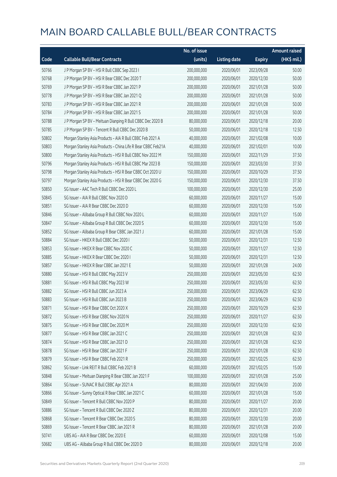|       |                                                              | No. of issue |                     |               | <b>Amount raised</b> |
|-------|--------------------------------------------------------------|--------------|---------------------|---------------|----------------------|
| Code  | <b>Callable Bull/Bear Contracts</b>                          | (units)      | <b>Listing date</b> | <b>Expiry</b> | (HK\$ mil.)          |
| 50766 | J P Morgan SP BV - HSI R Bull CBBC Sep 2023 I                | 200,000,000  | 2020/06/01          | 2023/09/28    | 50.00                |
| 50768 | J P Morgan SP BV - HSI R Bear CBBC Dec 2020 T                | 200,000,000  | 2020/06/01          | 2020/12/30    | 50.00                |
| 50769 | J P Morgan SP BV - HSI R Bear CBBC Jan 2021 P                | 200,000,000  | 2020/06/01          | 2021/01/28    | 50.00                |
| 50778 | J P Morgan SP BV - HSI R Bear CBBC Jan 2021 Q                | 200,000,000  | 2020/06/01          | 2021/01/28    | 50.00                |
| 50783 | J P Morgan SP BV - HSI R Bear CBBC Jan 2021 R                | 200,000,000  | 2020/06/01          | 2021/01/28    | 50.00                |
| 50784 | J P Morgan SP BV - HSI R Bear CBBC Jan 2021 S                | 200,000,000  | 2020/06/01          | 2021/01/28    | 50.00                |
| 50788 | J P Morgan SP BV - Meituan Dianping R Bull CBBC Dec 2020 B   | 80,000,000   | 2020/06/01          | 2020/12/18    | 20.00                |
| 50785 | J P Morgan SP BV - Tencent R Bull CBBC Dec 2020 B            | 50,000,000   | 2020/06/01          | 2020/12/18    | 12.50                |
| 50802 | Morgan Stanley Asia Products - AIA R Bull CBBC Feb 2021 A    | 40,000,000   | 2020/06/01          | 2021/02/08    | 10.00                |
| 50803 | Morgan Stanley Asia Products - China Life R Bear CBBC Feb21A | 40,000,000   | 2020/06/01          | 2021/02/01    | 10.00                |
| 50800 | Morgan Stanley Asia Products - HSI R Bull CBBC Nov 2022 M    | 150,000,000  | 2020/06/01          | 2022/11/29    | 37.50                |
| 50796 | Morgan Stanley Asia Products - HSI R Bull CBBC Mar 2023 B    | 150,000,000  | 2020/06/01          | 2023/03/30    | 37.50                |
| 50798 | Morgan Stanley Asia Products - HSI R Bear CBBC Oct 2020 U    | 150,000,000  | 2020/06/01          | 2020/10/29    | 37.50                |
| 50797 | Morgan Stanley Asia Products - HSI R Bear CBBC Dec 2020 G    | 150,000,000  | 2020/06/01          | 2020/12/30    | 37.50                |
| 50850 | SG Issuer - AAC Tech R Bull CBBC Dec 2020 L                  | 100,000,000  | 2020/06/01          | 2020/12/30    | 25.00                |
| 50845 | SG Issuer - AIA R Bull CBBC Nov 2020 D                       | 60,000,000   | 2020/06/01          | 2020/11/27    | 15.00                |
| 50851 | SG Issuer - AIA R Bear CBBC Dec 2020 D                       | 60,000,000   | 2020/06/01          | 2020/12/30    | 15.00                |
| 50846 | SG Issuer - Alibaba Group R Bull CBBC Nov 2020 L             | 60,000,000   | 2020/06/01          | 2020/11/27    | 15.00                |
| 50847 | SG Issuer - Alibaba Group R Bull CBBC Dec 2020 S             | 60,000,000   | 2020/06/01          | 2020/12/30    | 15.00                |
| 50852 | SG Issuer - Alibaba Group R Bear CBBC Jan 2021 J             | 60,000,000   | 2020/06/01          | 2021/01/28    | 15.00                |
| 50884 | SG Issuer - HKEX R Bull CBBC Dec 2020 I                      | 50,000,000   | 2020/06/01          | 2020/12/31    | 12.50                |
| 50853 | SG Issuer - HKEX R Bear CBBC Nov 2020 C                      | 50,000,000   | 2020/06/01          | 2020/11/27    | 12.50                |
| 50885 | SG Issuer - HKEX R Bear CBBC Dec 2020 I                      | 50,000,000   | 2020/06/01          | 2020/12/31    | 12.50                |
| 50857 | SG Issuer - HKEX R Bear CBBC Jan 2021 E                      | 50,000,000   | 2020/06/01          | 2021/01/28    | 24.00                |
| 50880 | SG Issuer - HSI R Bull CBBC May 2023 V                       | 250,000,000  | 2020/06/01          | 2023/05/30    | 62.50                |
| 50881 | SG Issuer - HSI R Bull CBBC May 2023 W                       | 250,000,000  | 2020/06/01          | 2023/05/30    | 62.50                |
| 50882 | SG Issuer - HSI R Bull CBBC Jun 2023 A                       | 250,000,000  | 2020/06/01          | 2023/06/29    | 62.50                |
| 50883 | SG Issuer - HSLR Bull CBBC Jun 2023 B                        | 250,000,000  | 2020/06/01          | 2023/06/29    | 62.50                |
| 50871 | SG Issuer - HSI R Bear CBBC Oct 2020 X                       | 250,000,000  | 2020/06/01          | 2020/10/29    | 62.50                |
| 50872 | SG Issuer - HSI R Bear CBBC Nov 2020 N                       | 250,000,000  | 2020/06/01          | 2020/11/27    | 62.50                |
| 50875 | SG Issuer - HSI R Bear CBBC Dec 2020 M                       | 250,000,000  | 2020/06/01          | 2020/12/30    | 62.50                |
| 50877 | SG Issuer - HSI R Bear CBBC Jan 2021 C                       | 250,000,000  | 2020/06/01          | 2021/01/28    | 62.50                |
| 50874 | SG Issuer - HSI R Bear CBBC Jan 2021 D                       | 250,000,000  | 2020/06/01          | 2021/01/28    | 62.50                |
| 50878 | SG Issuer - HSI R Bear CBBC Jan 2021 F                       | 250,000,000  | 2020/06/01          | 2021/01/28    | 62.50                |
| 50879 | SG Issuer - HSI R Bear CBBC Feb 2021 R                       | 250,000,000  | 2020/06/01          | 2021/02/25    | 62.50                |
| 50862 | SG Issuer - Link REIT R Bull CBBC Feb 2021 B                 | 60,000,000   | 2020/06/01          | 2021/02/25    | 15.00                |
| 50848 | SG Issuer - Meituan Dianping R Bear CBBC Jan 2021 F          | 100,000,000  | 2020/06/01          | 2021/01/28    | 25.00                |
| 50864 | SG Issuer - SUNAC R Bull CBBC Apr 2021 A                     | 80,000,000   | 2020/06/01          | 2021/04/30    | 20.00                |
| 50866 | SG Issuer - Sunny Optical R Bear CBBC Jan 2021 C             | 60,000,000   | 2020/06/01          | 2021/01/28    | 15.00                |
| 50849 | SG Issuer - Tencent R Bull CBBC Nov 2020 P                   | 80,000,000   | 2020/06/01          | 2020/11/27    | 20.00                |
| 50886 | SG Issuer - Tencent R Bull CBBC Dec 2020 Z                   | 80,000,000   | 2020/06/01          | 2020/12/31    | 20.00                |
| 50868 | SG Issuer - Tencent R Bear CBBC Dec 2020 S                   | 80,000,000   | 2020/06/01          | 2020/12/30    | 20.00                |
| 50869 | SG Issuer - Tencent R Bear CBBC Jan 2021 R                   | 80,000,000   | 2020/06/01          | 2021/01/28    | 20.00                |
| 50741 | UBS AG - AIA R Bear CBBC Dec 2020 E                          | 60,000,000   | 2020/06/01          | 2020/12/08    | 15.00                |
| 50682 | UBS AG - Alibaba Group R Bull CBBC Dec 2020 D                | 80,000,000   | 2020/06/01          | 2020/12/18    | 20.00                |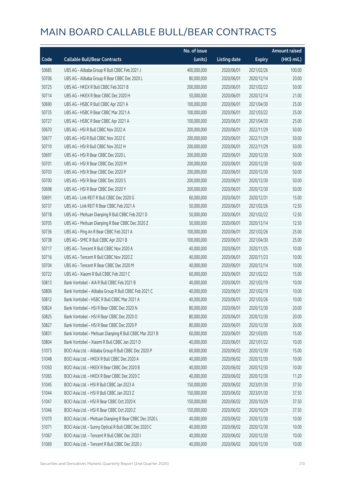|       |                                                          | No. of issue |                     |               | <b>Amount raised</b> |
|-------|----------------------------------------------------------|--------------|---------------------|---------------|----------------------|
| Code  | <b>Callable Bull/Bear Contracts</b>                      | (units)      | <b>Listing date</b> | <b>Expiry</b> | $(HK\$ mil.)         |
| 50685 | UBS AG - Alibaba Group R Bull CBBC Feb 2021 J            | 400,000,000  | 2020/06/01          | 2021/02/26    | 100.00               |
| 50706 | UBS AG - Alibaba Group R Bear CBBC Dec 2020 L            | 80,000,000   | 2020/06/01          | 2020/12/14    | 20.00                |
| 50725 | UBS AG - HKEX R Bull CBBC Feb 2021 B                     | 200,000,000  | 2020/06/01          | 2021/02/22    | 50.00                |
| 50714 | UBS AG - HKEX R Bear CBBC Dec 2020 H                     | 50,000,000   | 2020/06/01          | 2020/12/14    | 21.00                |
| 50690 | UBS AG - HSBC R Bull CBBC Apr 2021 A                     | 100,000,000  | 2020/06/01          | 2021/04/30    | 25.00                |
| 50735 | UBS AG - HSBC R Bear CBBC Mar 2021 A                     | 100,000,000  | 2020/06/01          | 2021/03/22    | 25.00                |
| 50727 | UBS AG - HSBC R Bear CBBC Apr 2021 A                     | 100,000,000  | 2020/06/01          | 2021/04/30    | 25.00                |
| 50670 | UBS AG - HSI R Bull CBBC Nov 2022 A                      | 200,000,000  | 2020/06/01          | 2022/11/29    | 50.00                |
| 50677 | UBS AG - HSI R Bull CBBC Nov 2022 E                      | 200,000,000  | 2020/06/01          | 2022/11/29    | 50.00                |
| 50710 | UBS AG - HSI R Bull CBBC Nov 2022 H                      | 200,000,000  | 2020/06/01          | 2022/11/29    | 50.00                |
| 50697 | UBS AG - HSI R Bear CBBC Dec 2020 L                      | 200,000,000  | 2020/06/01          | 2020/12/30    | 50.00                |
| 50701 | UBS AG - HSI R Bear CBBC Dec 2020 M                      | 200,000,000  | 2020/06/01          | 2020/12/30    | 50.00                |
| 50703 | UBS AG - HSI R Bear CBBC Dec 2020 P                      | 200,000,000  | 2020/06/01          | 2020/12/30    | 50.00                |
| 50700 | UBS AG - HSI R Bear CBBC Dec 2020 S                      | 200,000,000  | 2020/06/01          | 2020/12/30    | 50.00                |
| 50698 | UBS AG - HSI R Bear CBBC Dec 2020 Y                      | 200,000,000  | 2020/06/01          | 2020/12/30    | 50.00                |
| 50691 | UBS AG - Link REIT R Bull CBBC Dec 2020 G                | 60,000,000   | 2020/06/01          | 2020/12/31    | 15.00                |
| 50737 | UBS AG - Link REIT R Bear CBBC Feb 2021 A                | 50,000,000   | 2020/06/01          | 2021/02/26    | 12.50                |
| 50718 | UBS AG - Meituan Dianping R Bull CBBC Feb 2021 D         | 50,000,000   | 2020/06/01          | 2021/02/22    | 12.50                |
| 50705 | UBS AG - Meituan Dianping R Bear CBBC Dec 2020 Z         | 50,000,000   | 2020/06/01          | 2020/12/14    | 12.50                |
| 50736 | UBS AG - Ping An R Bear CBBC Feb 2021 A                  | 100,000,000  | 2020/06/01          | 2021/02/26    | 25.00                |
| 50738 | UBS AG - SMIC R Bull CBBC Apr 2021 B                     | 100,000,000  | 2020/06/01          | 2021/04/30    | 25.00                |
| 50717 | UBS AG - Tencent R Bull CBBC Nov 2020 A                  | 40,000,000   | 2020/06/01          | 2020/11/25    | 10.00                |
| 50716 | UBS AG - Tencent R Bull CBBC Nov 2020 Z                  | 40,000,000   | 2020/06/01          | 2020/11/23    | 10.00                |
| 50704 | UBS AG - Tencent R Bear CBBC Dec 2020 M                  | 40,000,000   | 2020/06/01          | 2020/12/14    | 10.00                |
| 50722 | UBS AG - Xiaomi R Bull CBBC Feb 2021 C                   | 60,000,000   | 2020/06/01          | 2021/02/22    | 15.00                |
| 50813 | Bank Vontobel - AIA R Bull CBBC Feb 2021 B               | 40,000,000   | 2020/06/01          | 2021/02/19    | 10.00                |
| 50806 | Bank Vontobel - Alibaba Group R Bull CBBC Feb 2021 C     | 40,000,000   | 2020/06/01          | 2021/02/19    | 10.00                |
| 50812 | Bank Vontobel - HSBC R Bull CBBC Mar 2021 A              | 40,000,000   | 2020/06/01          | 2021/03/26    | 10.00                |
| 50824 | Bank Vontobel - HSI R Bear CBBC Dec 2020 N               | 80,000,000   | 2020/06/01          | 2020/12/30    | 20.00                |
| 50825 | Bank Vontobel - HSI R Bear CBBC Dec 2020 O               | 80,000,000   | 2020/06/01          | 2020/12/30    | 20.00                |
| 50827 | Bank Vontobel - HSI R Bear CBBC Dec 2020 P               | 80,000,000   | 2020/06/01          | 2020/12/30    | 20.00                |
| 50831 | Bank Vontobel - Meituan Dianping R Bull CBBC Mar 2021 B  | 60,000,000   | 2020/06/01          | 2021/03/05    | 15.00                |
| 50804 | Bank Vontobel - Xiaomi R Bull CBBC Jan 2021 D            | 40,000,000   | 2020/06/01          | 2021/01/22    | 10.00                |
| 51073 | BOCI Asia Ltd. - Alibaba Group R Bull CBBC Dec 2020 P    | 60,000,000   | 2020/06/02          | 2020/12/30    | 15.00                |
| 51048 | BOCI Asia Ltd. - HKEX R Bull CBBC Dec 2020 A             | 40,000,000   | 2020/06/02          | 2020/12/30    | 10.00                |
| 51050 | BOCI Asia Ltd. - HKEX R Bear CBBC Dec 2020 B             | 40,000,000   | 2020/06/02          | 2020/12/30    | 10.00                |
| 51065 | BOCI Asia Ltd. - HKEX R Bear CBBC Dec 2020 C             | 40,000,000   | 2020/06/02          | 2020/12/30    | 11.20                |
| 51045 | BOCI Asia Ltd. - HSI R Bull CBBC Jan 2023 A              | 150,000,000  | 2020/06/02          | 2023/01/30    | 37.50                |
| 51044 | BOCI Asia Ltd. - HSI R Bull CBBC Jan 2023 Z              | 150,000,000  | 2020/06/02          | 2023/01/30    | 37.50                |
| 51047 | BOCI Asia Ltd. - HSI R Bear CBBC Oct 2020 K              | 150,000,000  | 2020/06/02          | 2020/10/29    | 37.50                |
| 51046 | BOCI Asia Ltd. - HSI R Bear CBBC Oct 2020 Z              | 150,000,000  | 2020/06/02          | 2020/10/29    | 37.50                |
| 51070 | BOCI Asia Ltd. - Meituan Dianping R Bear CBBC Dec 2020 L | 40,000,000   | 2020/06/02          | 2020/12/30    | 10.00                |
| 51071 | BOCI Asia Ltd. - Sunny Optical R Bull CBBC Dec 2020 C    | 40,000,000   | 2020/06/02          | 2020/12/30    | 10.00                |
| 51067 | BOCI Asia Ltd. - Tencent R Bull CBBC Dec 2020 I          | 40,000,000   | 2020/06/02          | 2020/12/30    | 10.00                |
| 51069 | BOCI Asia Ltd. - Tencent R Bull CBBC Dec 2020 J          | 40,000,000   | 2020/06/02          | 2020/12/30    | 10.00                |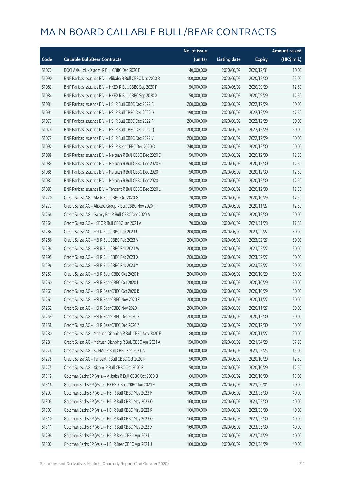|       |                                                            | No. of issue |                     |               | <b>Amount raised</b> |
|-------|------------------------------------------------------------|--------------|---------------------|---------------|----------------------|
| Code  | <b>Callable Bull/Bear Contracts</b>                        | (units)      | <b>Listing date</b> | <b>Expiry</b> | (HK\$ mil.)          |
| 51072 | BOCI Asia Ltd. - Xiaomi R Bull CBBC Dec 2020 E             | 40,000,000   | 2020/06/02          | 2020/12/31    | 10.00                |
| 51090 | BNP Paribas Issuance B.V. - Alibaba R Bull CBBC Dec 2020 B | 100,000,000  | 2020/06/02          | 2020/12/30    | 25.00                |
| 51083 | BNP Paribas Issuance B.V. - HKEX R Bull CBBC Sep 2020 F    | 50,000,000   | 2020/06/02          | 2020/09/29    | 12.50                |
| 51084 | BNP Paribas Issuance B.V. - HKEX R Bull CBBC Sep 2020 X    | 50,000,000   | 2020/06/02          | 2020/09/29    | 12.50                |
| 51081 | BNP Paribas Issuance B.V. - HSI R Bull CBBC Dec 2022 C     | 200,000,000  | 2020/06/02          | 2022/12/29    | 50.00                |
| 51091 | BNP Paribas Issuance B.V. - HSI R Bull CBBC Dec 2022 D     | 190,000,000  | 2020/06/02          | 2022/12/29    | 47.50                |
| 51077 | BNP Paribas Issuance B.V. - HSI R Bull CBBC Dec 2022 P     | 200,000,000  | 2020/06/02          | 2022/12/29    | 50.00                |
| 51078 | BNP Paribas Issuance B.V. - HSI R Bull CBBC Dec 2022 Q     | 200,000,000  | 2020/06/02          | 2022/12/29    | 50.00                |
| 51079 | BNP Paribas Issuance B.V. - HSI R Bull CBBC Dec 2022 V     | 200,000,000  | 2020/06/02          | 2022/12/29    | 50.00                |
| 51092 | BNP Paribas Issuance B.V. - HSI R Bear CBBC Dec 2020 O     | 240,000,000  | 2020/06/02          | 2020/12/30    | 60.00                |
| 51088 | BNP Paribas Issuance B.V. - Meituan R Bull CBBC Dec 2020 D | 50,000,000   | 2020/06/02          | 2020/12/30    | 12.50                |
| 51089 | BNP Paribas Issuance B.V. - Meituan R Bull CBBC Dec 2020 E | 50,000,000   | 2020/06/02          | 2020/12/30    | 12.50                |
| 51085 | BNP Paribas Issuance B.V. - Meituan R Bull CBBC Dec 2020 F | 50,000,000   | 2020/06/02          | 2020/12/30    | 12.50                |
| 51087 | BNP Paribas Issuance B.V. - Meituan R Bull CBBC Dec 2020 I | 50,000,000   | 2020/06/02          | 2020/12/30    | 12.50                |
| 51082 | BNP Paribas Issuance B.V. - Tencent R Bull CBBC Dec 2020 L | 50,000,000   | 2020/06/02          | 2020/12/30    | 12.50                |
| 51270 | Credit Suisse AG - AIA R Bull CBBC Oct 2020 G              | 70,000,000   | 2020/06/02          | 2020/10/29    | 17.50                |
| 51277 | Credit Suisse AG - Alibaba Group R Bull CBBC Nov 2020 F    | 50,000,000   | 2020/06/02          | 2020/11/27    | 12.50                |
| 51266 | Credit Suisse AG - Galaxy Ent R Bull CBBC Dec 2020 A       | 80,000,000   | 2020/06/02          | 2020/12/30    | 20.00                |
| 51264 | Credit Suisse AG - HSBC R Bull CBBC Jan 2021 A             | 70,000,000   | 2020/06/02          | 2021/01/28    | 17.50                |
| 51284 | Credit Suisse AG - HSI R Bull CBBC Feb 2023 U              | 200,000,000  | 2020/06/02          | 2023/02/27    | 50.00                |
| 51286 | Credit Suisse AG - HSI R Bull CBBC Feb 2023 V              | 200,000,000  | 2020/06/02          | 2023/02/27    | 50.00                |
| 51294 | Credit Suisse AG - HSI R Bull CBBC Feb 2023 W              | 200,000,000  | 2020/06/02          | 2023/02/27    | 50.00                |
| 51295 | Credit Suisse AG - HSI R Bull CBBC Feb 2023 X              | 200,000,000  | 2020/06/02          | 2023/02/27    | 50.00                |
| 51296 | Credit Suisse AG - HSI R Bull CBBC Feb 2023 Y              | 200,000,000  | 2020/06/02          | 2023/02/27    | 50.00                |
| 51257 | Credit Suisse AG - HSI R Bear CBBC Oct 2020 H              | 200,000,000  | 2020/06/02          | 2020/10/29    | 50.00                |
| 51260 | Credit Suisse AG - HSI R Bear CBBC Oct 2020 I              | 200,000,000  | 2020/06/02          | 2020/10/29    | 50.00                |
| 51263 | Credit Suisse AG - HSI R Bear CBBC Oct 2020 R              | 200,000,000  | 2020/06/02          | 2020/10/29    | 50.00                |
| 51261 | Credit Suisse AG - HSI R Bear CBBC Nov 2020 F              | 200,000,000  | 2020/06/02          | 2020/11/27    | 50.00                |
| 51262 | Credit Suisse AG - HSI R Bear CBBC Nov 2020 I              | 200,000,000  | 2020/06/02          | 2020/11/27    | 50.00                |
| 51259 | Credit Suisse AG - HSI R Bear CBBC Dec 2020 B              | 200,000,000  | 2020/06/02          | 2020/12/30    | 50.00                |
| 51258 | Credit Suisse AG - HSI R Bear CBBC Dec 2020 Z              | 200,000,000  | 2020/06/02          | 2020/12/30    | 50.00                |
| 51280 | Credit Suisse AG - Meituan Dianping R Bull CBBC Nov 2020 E | 80,000,000   | 2020/06/02          | 2020/11/27    | 20.00                |
| 51281 | Credit Suisse AG - Meituan Dianping R Bull CBBC Apr 2021 A | 150,000,000  | 2020/06/02          | 2021/04/29    | 37.50                |
| 51276 | Credit Suisse AG - SUNAC R Bull CBBC Feb 2021 A            | 60,000,000   | 2020/06/02          | 2021/02/25    | 15.00                |
| 51278 | Credit Suisse AG - Tencent R Bull CBBC Oct 2020 R          | 50,000,000   | 2020/06/02          | 2020/10/29    | 12.50                |
| 51275 | Credit Suisse AG - Xiaomi R Bull CBBC Oct 2020 F           | 50,000,000   | 2020/06/02          | 2020/10/29    | 12.50                |
| 51319 | Goldman Sachs SP (Asia) - Alibaba R Bull CBBC Oct 2020 B   | 60,000,000   | 2020/06/02          | 2020/10/30    | 15.00                |
| 51316 | Goldman Sachs SP (Asia) - HKEX R Bull CBBC Jun 2021 E      | 80,000,000   | 2020/06/02          | 2021/06/01    | 20.00                |
| 51297 | Goldman Sachs SP (Asia) - HSI R Bull CBBC May 2023 N       | 160,000,000  | 2020/06/02          | 2023/05/30    | 40.00                |
| 51303 | Goldman Sachs SP (Asia) - HSI R Bull CBBC May 2023 O       | 160,000,000  | 2020/06/02          | 2023/05/30    | 40.00                |
| 51307 | Goldman Sachs SP (Asia) - HSI R Bull CBBC May 2023 P       | 160,000,000  | 2020/06/02          | 2023/05/30    | 40.00                |
| 51310 | Goldman Sachs SP (Asia) - HSI R Bull CBBC May 2023 Q       | 160,000,000  | 2020/06/02          | 2023/05/30    | 40.00                |
| 51311 | Goldman Sachs SP (Asia) - HSI R Bull CBBC May 2023 X       | 160,000,000  | 2020/06/02          | 2023/05/30    | 40.00                |
| 51298 | Goldman Sachs SP (Asia) - HSI R Bear CBBC Apr 2021 I       | 160,000,000  | 2020/06/02          | 2021/04/29    | 40.00                |
| 51302 | Goldman Sachs SP (Asia) - HSI R Bear CBBC Apr 2021 J       | 160,000,000  | 2020/06/02          | 2021/04/29    | 40.00                |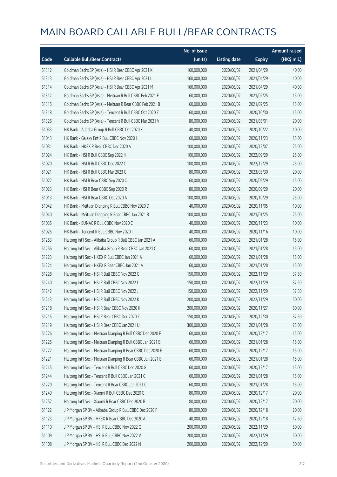|       |                                                             | No. of issue |                     |               | <b>Amount raised</b> |
|-------|-------------------------------------------------------------|--------------|---------------------|---------------|----------------------|
| Code  | <b>Callable Bull/Bear Contracts</b>                         | (units)      | <b>Listing date</b> | <b>Expiry</b> | (HK\$ mil.)          |
| 51312 | Goldman Sachs SP (Asia) - HSI R Bear CBBC Apr 2021 K        | 160,000,000  | 2020/06/02          | 2021/04/29    | 40.00                |
| 51313 | Goldman Sachs SP (Asia) - HSI R Bear CBBC Apr 2021 L        | 160,000,000  | 2020/06/02          | 2021/04/29    | 40.00                |
| 51314 | Goldman Sachs SP (Asia) - HSI R Bear CBBC Apr 2021 M        | 160,000,000  | 2020/06/02          | 2021/04/29    | 40.00                |
| 51317 | Goldman Sachs SP (Asia) - Meituan R Bull CBBC Feb 2021 F    | 60,000,000   | 2020/06/02          | 2021/02/25    | 15.00                |
| 51315 | Goldman Sachs SP (Asia) - Meituan R Bear CBBC Feb 2021 B    | 60,000,000   | 2020/06/02          | 2021/02/25    | 15.00                |
| 51318 | Goldman Sachs SP (Asia) - Tencent R Bull CBBC Oct 2020 Z    | 60,000,000   | 2020/06/02          | 2020/10/30    | 15.00                |
| 51326 | Goldman Sachs SP (Asia) - Tencent R Bull CBBC Mar 2021 V    | 80,000,000   | 2020/06/02          | 2021/03/01    | 20.00                |
| 51033 | HK Bank - Alibaba Group R Bull CBBC Oct 2020 K              | 40,000,000   | 2020/06/02          | 2020/10/22    | 10.00                |
| 51043 | HK Bank - Galaxy Ent R Bull CBBC Nov 2020 H                 | 60,000,000   | 2020/06/02          | 2020/11/23    | 15.00                |
| 51031 | HK Bank - HKEX R Bear CBBC Dec 2020 A                       | 100,000,000  | 2020/06/02          | 2020/12/07    | 25.00                |
| 51024 | HK Bank - HSI R Bull CBBC Sep 2022 H                        | 100,000,000  | 2020/06/02          | 2022/09/29    | 25.00                |
| 51020 | HK Bank - HSI R Bull CBBC Dec 2022 C                        | 100,000,000  | 2020/06/02          | 2022/12/29    | 25.00                |
| 51021 | HK Bank - HSI R Bull CBBC Mar 2023 C                        | 80,000,000   | 2020/06/02          | 2023/03/30    | 20.00                |
| 51022 | HK Bank - HSI R Bear CBBC Sep 2020 O                        | 60,000,000   | 2020/06/02          | 2020/09/29    | 15.00                |
| 51023 | HK Bank - HSI R Bear CBBC Sep 2020 R                        | 80,000,000   | 2020/06/02          | 2020/09/29    | 20.00                |
| 51013 | HK Bank - HSI R Bear CBBC Oct 2020 A                        | 100,000,000  | 2020/06/02          | 2020/10/29    | 25.00                |
| 51042 | HK Bank - Meituan Dianping R Bull CBBC Nov 2020 D           | 40,000,000   | 2020/06/02          | 2020/11/05    | 10.00                |
| 51040 | HK Bank - Meituan Dianping R Bear CBBC Jan 2021 B           | 100,000,000  | 2020/06/02          | 2021/01/25    | 25.00                |
| 51035 | HK Bank - SUNAC R Bull CBBC Nov 2020 C                      | 40,000,000   | 2020/06/02          | 2020/11/23    | 10.00                |
| 51025 | HK Bank - Tencent R Bull CBBC Nov 2020 I                    | 40,000,000   | 2020/06/02          | 2020/11/16    | 10.00                |
| 51253 | Haitong Int'l Sec - Alibaba Group R Bull CBBC Jan 2021 A    | 60,000,000   | 2020/06/02          | 2021/01/28    | 15.00                |
| 51256 | Haitong Int'l Sec - Alibaba Group R Bear CBBC Jan 2021 C    | 60,000,000   | 2020/06/02          | 2021/01/28    | 15.00                |
| 51223 | Haitong Int'l Sec - HKEX R Bull CBBC Jan 2021 A             | 60,000,000   | 2020/06/02          | 2021/01/28    | 15.00                |
| 51224 | Haitong Int'l Sec - HKEX R Bear CBBC Jan 2021 A             | 60,000,000   | 2020/06/02          | 2021/01/28    | 15.00                |
| 51228 | Haitong Int'l Sec - HSI R Bull CBBC Nov 2022 G              | 150,000,000  | 2020/06/02          | 2022/11/29    | 37.50                |
| 51240 | Haitong Int'l Sec - HSI R Bull CBBC Nov 2022 I              | 150,000,000  | 2020/06/02          | 2022/11/29    | 37.50                |
| 51242 | Haitong Int'l Sec - HSI R Bull CBBC Nov 2022 J              | 150,000,000  | 2020/06/02          | 2022/11/29    | 37.50                |
| 51243 | Haitong Int'l Sec - HSI R Bull CBBC Nov 2022 K              | 200,000,000  | 2020/06/02          | 2022/11/29    | 50.00                |
| 51218 | Haitong Int'l Sec - HSI R Bear CBBC Nov 2020 K              | 200,000,000  | 2020/06/02          | 2020/11/27    | 50.00                |
| 51215 | Haitong Int'l Sec - HSI R Bear CBBC Dec 2020 Z              | 150,000,000  | 2020/06/02          | 2020/12/30    | 37.50                |
| 51219 | Haitong Int'l Sec - HSI R Bear CBBC Jan 2021 U              | 300,000,000  | 2020/06/02          | 2021/01/28    | 75.00                |
| 51226 | Haitong Int'l Sec - Meituan Dianping R Bull CBBC Dec 2020 F | 60,000,000   | 2020/06/02          | 2020/12/17    | 15.00                |
| 51225 | Haitong Int'l Sec - Meituan Dianping R Bull CBBC Jan 2021 B | 60,000,000   | 2020/06/02          | 2021/01/28    | 15.00                |
| 51222 | Haitong Int'l Sec - Meituan Dianping R Bear CBBC Dec 2020 E | 60,000,000   | 2020/06/02          | 2020/12/17    | 15.00                |
| 51221 | Haitong Int'l Sec - Meituan Dianping R Bear CBBC Jan 2021 B | 60,000,000   | 2020/06/02          | 2021/01/28    | 15.00                |
| 51245 | Haitong Int'l Sec - Tencent R Bull CBBC Dec 2020 G          | 60,000,000   | 2020/06/02          | 2020/12/17    | 15.00                |
| 51244 | Haitong Int'l Sec - Tencent R Bull CBBC Jan 2021 C          | 60,000,000   | 2020/06/02          | 2021/01/28    | 15.00                |
| 51220 | Haitong Int'l Sec - Tencent R Bear CBBC Jan 2021 C          | 60,000,000   | 2020/06/02          | 2021/01/28    | 15.00                |
| 51249 | Haitong Int'l Sec - Xiaomi R Bull CBBC Dec 2020 C           | 80,000,000   | 2020/06/02          | 2020/12/17    | 20.00                |
| 51252 | Haitong Int'l Sec - Xiaomi R Bear CBBC Dec 2020 B           | 80,000,000   | 2020/06/02          | 2020/12/17    | 20.00                |
| 51122 | J P Morgan SP BV - Alibaba Group R Bull CBBC Dec 2020 F     | 80,000,000   | 2020/06/02          | 2020/12/18    | 20.00                |
| 51123 | J P Morgan SP BV - HKEX R Bear CBBC Dec 2020 A              | 40,000,000   | 2020/06/02          | 2020/12/18    | 12.60                |
| 51110 | J P Morgan SP BV - HSI R Bull CBBC Nov 2022 Q               | 200,000,000  | 2020/06/02          | 2022/11/29    | 50.00                |
| 51109 | J P Morgan SP BV - HSI R Bull CBBC Nov 2022 V               | 200,000,000  | 2020/06/02          | 2022/11/29    | 50.00                |
| 51108 | J P Morgan SP BV - HSI R Bull CBBC Dec 2022 N               | 200,000,000  | 2020/06/02          | 2022/12/29    | 50.00                |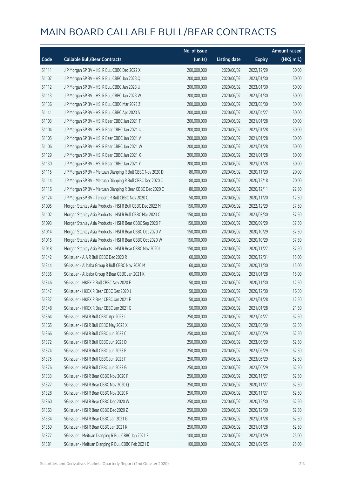|       |                                                            | No. of issue |                     |               | <b>Amount raised</b> |
|-------|------------------------------------------------------------|--------------|---------------------|---------------|----------------------|
| Code  | <b>Callable Bull/Bear Contracts</b>                        | (units)      | <b>Listing date</b> | <b>Expiry</b> | (HK\$ mil.)          |
| 51111 | J P Morgan SP BV - HSI R Bull CBBC Dec 2022 X              | 200,000,000  | 2020/06/02          | 2022/12/29    | 50.00                |
| 51107 | J P Morgan SP BV - HSI R Bull CBBC Jan 2023 Q              | 200,000,000  | 2020/06/02          | 2023/01/30    | 50.00                |
| 51112 | J P Morgan SP BV - HSI R Bull CBBC Jan 2023 U              | 200,000,000  | 2020/06/02          | 2023/01/30    | 50.00                |
| 51113 | J P Morgan SP BV - HSI R Bull CBBC Jan 2023 W              | 200,000,000  | 2020/06/02          | 2023/01/30    | 50.00                |
| 51136 | J P Morgan SP BV - HSI R Bull CBBC Mar 2023 Z              | 200,000,000  | 2020/06/02          | 2023/03/30    | 50.00                |
| 51141 | J P Morgan SP BV - HSI R Bull CBBC Apr 2023 S              | 200,000,000  | 2020/06/02          | 2023/04/27    | 50.00                |
| 51103 | J P Morgan SP BV - HSI R Bear CBBC Jan 2021 T              | 200,000,000  | 2020/06/02          | 2021/01/28    | 50.00                |
| 51104 | J P Morgan SP BV - HSI R Bear CBBC Jan 2021 U              | 200,000,000  | 2020/06/02          | 2021/01/28    | 50.00                |
| 51105 | J P Morgan SP BV - HSI R Bear CBBC Jan 2021 V              | 200,000,000  | 2020/06/02          | 2021/01/28    | 50.00                |
| 51106 | J P Morgan SP BV - HSI R Bear CBBC Jan 2021 W              | 200,000,000  | 2020/06/02          | 2021/01/28    | 50.00                |
| 51129 | J P Morgan SP BV - HSI R Bear CBBC Jan 2021 X              | 200,000,000  | 2020/06/02          | 2021/01/28    | 50.00                |
| 51130 | J P Morgan SP BV - HSI R Bear CBBC Jan 2021 Y              | 200,000,000  | 2020/06/02          | 2021/01/28    | 50.00                |
| 51115 | J P Morgan SP BV - Meituan Dianping R Bull CBBC Nov 2020 D | 80,000,000   | 2020/06/02          | 2020/11/20    | 20.00                |
| 51114 | J P Morgan SP BV - Meituan Dianping R Bull CBBC Dec 2020 C | 80,000,000   | 2020/06/02          | 2020/12/18    | 20.00                |
| 51116 | J P Morgan SP BV - Meituan Dianping R Bear CBBC Dec 2020 C | 80,000,000   | 2020/06/02          | 2020/12/11    | 22.80                |
| 51124 | J P Morgan SP BV - Tencent R Bull CBBC Nov 2020 C          | 50,000,000   | 2020/06/02          | 2020/11/20    | 12.50                |
| 51095 | Morgan Stanley Asia Products - HSI R Bull CBBC Dec 2022 M  | 150,000,000  | 2020/06/02          | 2022/12/29    | 37.50                |
| 51102 | Morgan Stanley Asia Products - HSI R Bull CBBC Mar 2023 C  | 150,000,000  | 2020/06/02          | 2023/03/30    | 37.50                |
| 51093 | Morgan Stanley Asia Products - HSI R Bear CBBC Sep 2020 F  | 150,000,000  | 2020/06/02          | 2020/09/29    | 37.50                |
| 51014 | Morgan Stanley Asia Products - HSI R Bear CBBC Oct 2020 V  | 150,000,000  | 2020/06/02          | 2020/10/29    | 37.50                |
| 51015 | Morgan Stanley Asia Products - HSI R Bear CBBC Oct 2020 W  | 150,000,000  | 2020/06/02          | 2020/10/29    | 37.50                |
| 51018 | Morgan Stanley Asia Products - HSI R Bear CBBC Nov 2020 I  | 150,000,000  | 2020/06/02          | 2020/11/27    | 37.50                |
| 51342 | SG Issuer - AIA R Bull CBBC Dec 2020 R                     | 60,000,000   | 2020/06/02          | 2020/12/31    | 15.00                |
| 51344 | SG Issuer - Alibaba Group R Bull CBBC Nov 2020 M           | 60,000,000   | 2020/06/02          | 2020/11/30    | 15.00                |
| 51335 | SG Issuer - Alibaba Group R Bear CBBC Jan 2021 K           | 60,000,000   | 2020/06/02          | 2021/01/28    | 15.00                |
| 51346 | SG Issuer - HKEX R Bull CBBC Nov 2020 E                    | 50,000,000   | 2020/06/02          | 2020/11/30    | 12.50                |
| 51347 | SG Issuer - HKEX R Bear CBBC Dec 2020 J                    | 50,000,000   | 2020/06/02          | 2020/12/30    | 16.50                |
| 51337 | SG Issuer - HKEX R Bear CBBC Jan 2021 F                    | 50,000,000   | 2020/06/02          | 2021/01/28    | 12.50                |
| 51348 | SG Issuer - HKEX R Bear CBBC Jan 2021 G                    | 50,000,000   | 2020/06/02          | 2021/01/28    | 21.50                |
| 51364 | SG Issuer - HSI R Bull CBBC Apr 2023 L                     | 250,000,000  | 2020/06/02          | 2023/04/27    | 62.50                |
| 51365 | SG Issuer - HSI R Bull CBBC May 2023 X                     | 250,000,000  | 2020/06/02          | 2023/05/30    | 62.50                |
| 51366 | SG Issuer - HSI R Bull CBBC Jun 2023 C                     | 250,000,000  | 2020/06/02          | 2023/06/29    | 62.50                |
| 51372 | SG Issuer - HSI R Bull CBBC Jun 2023 D                     | 250,000,000  | 2020/06/02          | 2023/06/29    | 62.50                |
| 51374 | SG Issuer - HSI R Bull CBBC Jun 2023 E                     | 250,000,000  | 2020/06/02          | 2023/06/29    | 62.50                |
| 51375 | SG Issuer - HSI R Bull CBBC Jun 2023 F                     | 250,000,000  | 2020/06/02          | 2023/06/29    | 62.50                |
| 51376 | SG Issuer - HSI R Bull CBBC Jun 2023 G                     | 250,000,000  | 2020/06/02          | 2023/06/29    | 62.50                |
| 51333 | SG Issuer - HSI R Bear CBBC Nov 2020 F                     | 250,000,000  | 2020/06/02          | 2020/11/27    | 62.50                |
| 51327 | SG Issuer - HSI R Bear CBBC Nov 2020 Q                     | 250,000,000  | 2020/06/02          | 2020/11/27    | 62.50                |
| 51328 | SG Issuer - HSI R Bear CBBC Nov 2020 R                     | 250,000,000  | 2020/06/02          | 2020/11/27    | 62.50                |
| 51360 | SG Issuer - HSI R Bear CBBC Dec 2020 W                     | 250,000,000  | 2020/06/02          | 2020/12/30    | 62.50                |
| 51363 | SG Issuer - HSI R Bear CBBC Dec 2020 Z                     | 250,000,000  | 2020/06/02          | 2020/12/30    | 62.50                |
| 51334 | SG Issuer - HSI R Bear CBBC Jan 2021 G                     | 250,000,000  | 2020/06/02          | 2021/01/28    | 62.50                |
| 51359 | SG Issuer - HSI R Bear CBBC Jan 2021 K                     | 250,000,000  | 2020/06/02          | 2021/01/28    | 62.50                |
| 51377 | SG Issuer - Meituan Dianping R Bull CBBC Jan 2021 E        | 100,000,000  | 2020/06/02          | 2021/01/29    | 25.00                |
| 51381 | SG Issuer - Meituan Dianping R Bull CBBC Feb 2021 D        | 100,000,000  | 2020/06/02          | 2021/02/25    | 25.00                |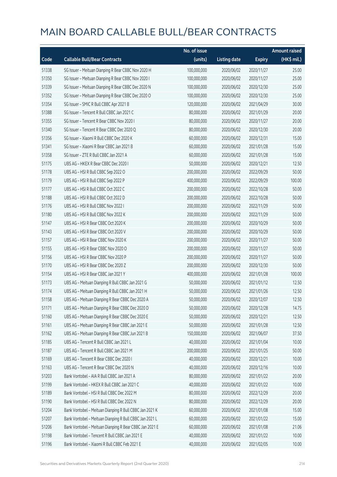|       |                                                         | No. of issue |                     |               | <b>Amount raised</b> |
|-------|---------------------------------------------------------|--------------|---------------------|---------------|----------------------|
| Code  | <b>Callable Bull/Bear Contracts</b>                     | (units)      | <b>Listing date</b> | <b>Expiry</b> | (HK\$ mil.)          |
| 51338 | SG Issuer - Meituan Dianping R Bear CBBC Nov 2020 H     | 100,000,000  | 2020/06/02          | 2020/11/27    | 25.00                |
| 51350 | SG Issuer - Meituan Dianping R Bear CBBC Nov 2020 I     | 100,000,000  | 2020/06/02          | 2020/11/27    | 25.00                |
| 51339 | SG Issuer - Meituan Dianping R Bear CBBC Dec 2020 N     | 100,000,000  | 2020/06/02          | 2020/12/30    | 25.00                |
| 51352 | SG Issuer - Meituan Dianping R Bear CBBC Dec 2020 O     | 100,000,000  | 2020/06/02          | 2020/12/30    | 25.00                |
| 51354 | SG Issuer - SMIC R Bull CBBC Apr 2021 B                 | 120,000,000  | 2020/06/02          | 2021/04/29    | 30.00                |
| 51388 | SG Issuer - Tencent R Bull CBBC Jan 2021 C              | 80,000,000   | 2020/06/02          | 2021/01/29    | 20.00                |
| 51355 | SG Issuer - Tencent R Bear CBBC Nov 2020 I              | 80,000,000   | 2020/06/02          | 2020/11/27    | 20.00                |
| 51340 | SG Issuer - Tencent R Bear CBBC Dec 2020 Q              | 80,000,000   | 2020/06/02          | 2020/12/30    | 20.00                |
| 51356 | SG Issuer - Xiaomi R Bull CBBC Dec 2020 K               | 60,000,000   | 2020/06/02          | 2020/12/31    | 15.00                |
| 51341 | SG Issuer - Xiaomi R Bear CBBC Jan 2021 B               | 60,000,000   | 2020/06/02          | 2021/01/28    | 15.00                |
| 51358 | SG Issuer - ZTE R Bull CBBC Jan 2021 A                  | 60,000,000   | 2020/06/02          | 2021/01/28    | 15.00                |
| 51175 | UBS AG - HKEX R Bear CBBC Dec 2020 I                    | 50,000,000   | 2020/06/02          | 2020/12/21    | 12.50                |
| 51178 | UBS AG - HSI R Bull CBBC Sep 2022 O                     | 200,000,000  | 2020/06/02          | 2022/09/29    | 50.00                |
| 51179 | UBS AG - HSI R Bull CBBC Sep 2022 P                     | 400,000,000  | 2020/06/02          | 2022/09/29    | 100.00               |
| 51177 | UBS AG - HSI R Bull CBBC Oct 2022 C                     | 200,000,000  | 2020/06/02          | 2022/10/28    | 50.00                |
| 51188 | UBS AG - HSI R Bull CBBC Oct 2022 D                     | 200,000,000  | 2020/06/02          | 2022/10/28    | 50.00                |
| 51176 | UBS AG - HSI R Bull CBBC Nov 2022 I                     | 200,000,000  | 2020/06/02          | 2022/11/29    | 50.00                |
| 51180 | UBS AG - HSI R Bull CBBC Nov 2022 K                     | 200,000,000  | 2020/06/02          | 2022/11/29    | 50.00                |
| 51147 | UBS AG - HSI R Bear CBBC Oct 2020 K                     | 200,000,000  | 2020/06/02          | 2020/10/29    | 50.00                |
| 51143 | UBS AG - HSI R Bear CBBC Oct 2020 V                     | 200,000,000  | 2020/06/02          | 2020/10/29    | 50.00                |
| 51157 | UBS AG - HSI R Bear CBBC Nov 2020 K                     | 200,000,000  | 2020/06/02          | 2020/11/27    | 50.00                |
| 51155 | UBS AG - HSI R Bear CBBC Nov 2020 O                     | 200,000,000  | 2020/06/02          | 2020/11/27    | 50.00                |
| 51156 | UBS AG - HSI R Bear CBBC Nov 2020 P                     | 200,000,000  | 2020/06/02          | 2020/11/27    | 50.00                |
| 51170 | UBS AG - HSI R Bear CBBC Dec 2020 Z                     | 200,000,000  | 2020/06/02          | 2020/12/30    | 50.00                |
| 51154 | UBS AG - HSI R Bear CBBC Jan 2021 Y                     | 400,000,000  | 2020/06/02          | 2021/01/28    | 100.00               |
| 51173 | UBS AG - Meituan Dianping R Bull CBBC Jan 2021 G        | 50,000,000   | 2020/06/02          | 2021/01/12    | 12.50                |
| 51174 | UBS AG - Meituan Dianping R Bull CBBC Jan 2021 H        | 50,000,000   | 2020/06/02          | 2021/01/26    | 12.50                |
| 51158 | UBS AG - Meituan Dianping R Bear CBBC Dec 2020 A        | 50,000,000   | 2020/06/02          | 2020/12/07    | 12.50                |
| 51171 | UBS AG - Meituan Dianping R Bear CBBC Dec 2020 D        | 50,000,000   | 2020/06/02          | 2020/12/28    | 14.75                |
| 51160 | UBS AG - Meituan Dianping R Bear CBBC Dec 2020 E        | 50,000,000   | 2020/06/02          | 2020/12/21    | 12.50                |
| 51161 | UBS AG - Meituan Dianping R Bear CBBC Jan 2021 E        | 50,000,000   | 2020/06/02          | 2021/01/28    | 12.50                |
| 51162 | UBS AG - Meituan Dianping R Bear CBBC Jun 2021 B        | 150,000,000  | 2020/06/02          | 2021/06/07    | 37.50                |
| 51185 | UBS AG - Tencent R Bull CBBC Jan 2021 L                 | 40,000,000   | 2020/06/02          | 2021/01/04    | 10.00                |
| 51187 | UBS AG - Tencent R Bull CBBC Jan 2021 M                 | 200,000,000  | 2020/06/02          | 2021/01/25    | 50.00                |
| 51169 | UBS AG - Tencent R Bear CBBC Dec 2020 I                 | 40,000,000   | 2020/06/02          | 2020/12/21    | 10.00                |
| 51163 | UBS AG - Tencent R Bear CBBC Dec 2020 N                 | 40,000,000   | 2020/06/02          | 2020/12/16    | 10.00                |
| 51203 | Bank Vontobel - AIA R Bull CBBC Jan 2021 A              | 80,000,000   | 2020/06/02          | 2021/01/22    | 20.00                |
| 51199 | Bank Vontobel - HKEX R Bull CBBC Jan 2021 C             | 40,000,000   | 2020/06/02          | 2021/01/22    | 10.00                |
| 51189 | Bank Vontobel - HSI R Bull CBBC Dec 2022 M              | 80,000,000   | 2020/06/02          | 2022/12/29    | 20.00                |
| 51190 | Bank Vontobel - HSI R Bull CBBC Dec 2022 N              | 80,000,000   | 2020/06/02          | 2022/12/29    | 20.00                |
| 51204 | Bank Vontobel - Meituan Dianping R Bull CBBC Jan 2021 K | 60,000,000   | 2020/06/02          | 2021/01/08    | 15.00                |
| 51207 | Bank Vontobel - Meituan Dianping R Bull CBBC Jan 2021 L | 60,000,000   | 2020/06/02          | 2021/01/22    | 15.00                |
| 51206 | Bank Vontobel - Meituan Dianping R Bear CBBC Jan 2021 E | 60,000,000   | 2020/06/02          | 2021/01/08    | 21.06                |
| 51198 | Bank Vontobel - Tencent R Bull CBBC Jan 2021 E          | 40,000,000   | 2020/06/02          | 2021/01/22    | 10.00                |
| 51196 | Bank Vontobel - Xiaomi R Bull CBBC Feb 2021 E           | 40,000,000   | 2020/06/02          | 2021/02/05    | 10.00                |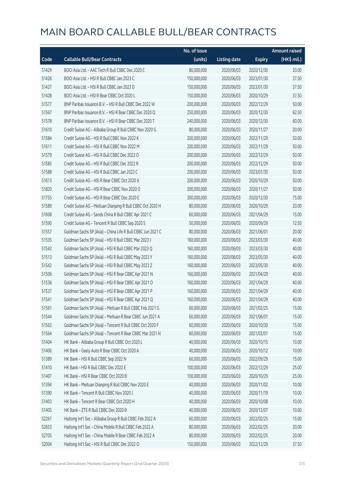|       |                                                             | No. of issue |                     |               | <b>Amount raised</b> |
|-------|-------------------------------------------------------------|--------------|---------------------|---------------|----------------------|
| Code  | <b>Callable Bull/Bear Contracts</b>                         | (units)      | <b>Listing date</b> | <b>Expiry</b> | (HK\$ mil.)          |
| 51429 | BOCI Asia Ltd. - AAC Tech R Bull CBBC Dec 2020 C            | 80,000,000   | 2020/06/03          | 2020/12/30    | 20.00                |
| 51426 | BOCI Asia Ltd. - HSI R Bull CBBC Jan 2023 C                 | 150,000,000  | 2020/06/03          | 2023/01/30    | 37.50                |
| 51427 | BOCI Asia Ltd. - HSI R Bull CBBC Jan 2023 D                 | 150,000,000  | 2020/06/03          | 2023/01/30    | 37.50                |
| 51428 | BOCI Asia Ltd. - HSI R Bear CBBC Oct 2020 L                 | 150,000,000  | 2020/06/03          | 2020/10/29    | 37.50                |
| 51577 | BNP Paribas Issuance B.V. - HSI R Bull CBBC Dec 2022 W      | 200,000,000  | 2020/06/03          | 2022/12/29    | 50.00                |
| 51567 | BNP Paribas Issuance B.V. - HSI R Bear CBBC Dec 2020 Q      | 250,000,000  | 2020/06/03          | 2020/12/30    | 62.50                |
| 51578 | BNP Paribas Issuance B.V. - HSI R Bear CBBC Dec 2020 T      | 240,000,000  | 2020/06/03          | 2020/12/30    | 60.00                |
| 51610 | Credit Suisse AG - Alibaba Group R Bull CBBC Nov 2020 G     | 80,000,000   | 2020/06/03          | 2020/11/27    | 20.00                |
| 51584 | Credit Suisse AG - HSI R Bull CBBC Nov 2022 K               | 200,000,000  | 2020/06/03          | 2022/11/29    | 50.00                |
| 51611 | Credit Suisse AG - HSI R Bull CBBC Nov 2022 M               | 200,000,000  | 2020/06/03          | 2022/11/29    | 50.00                |
| 51579 | Credit Suisse AG - HSI R Bull CBBC Dec 2022 O               | 200,000,000  | 2020/06/03          | 2022/12/29    | 50.00                |
| 51585 | Credit Suisse AG - HSI R Bull CBBC Dec 2022 R               | 200,000,000  | 2020/06/03          | 2022/12/29    | 50.00                |
| 51588 | Credit Suisse AG - HSI R Bull CBBC Jan 2023 C               | 200,000,000  | 2020/06/03          | 2023/01/30    | 50.00                |
| 51613 | Credit Suisse AG - HSI R Bear CBBC Oct 2020 X               | 200,000,000  | 2020/06/03          | 2020/10/29    | 50.00                |
| 51820 | Credit Suisse AG - HSI R Bear CBBC Nov 2020 O               | 200,000,000  | 2020/06/03          | 2020/11/27    | 50.00                |
| 51755 | Credit Suisse AG - HSI R Bear CBBC Dec 2020 E               | 300,000,000  | 2020/06/03          | 2020/12/30    | 75.00                |
| 51589 | Credit Suisse AG - Meituan Dianping R Bull CBBC Oct 2020 H  | 80,000,000   | 2020/06/03          | 2020/10/29    | 20.00                |
| 51608 | Credit Suisse AG - Sands China R Bull CBBC Apr 2021 C       | 60,000,000   | 2020/06/03          | 2021/04/29    | 15.00                |
| 51590 | Credit Suisse AG - Tencent R Bull CBBC Sep 2020 S           | 50,000,000   | 2020/06/03          | 2020/09/29    | 12.50                |
| 51557 | Goldman Sachs SP (Asia) - China Life R Bull CBBC Jun 2021 C | 80,000,000   | 2020/06/03          | 2021/06/01    | 20.00                |
| 51535 | Goldman Sachs SP (Asia) - HSI R Bull CBBC Mar 2023 J        | 160,000,000  | 2020/06/03          | 2023/03/30    | 40.00                |
| 51543 | Goldman Sachs SP (Asia) - HSI R Bull CBBC Mar 2023 Q        | 160,000,000  | 2020/06/03          | 2023/03/30    | 40.00                |
| 51513 | Goldman Sachs SP (Asia) - HSI R Bull CBBC May 2023 Y        | 160,000,000  | 2020/06/03          | 2023/05/30    | 40.00                |
| 51542 | Goldman Sachs SP (Asia) - HSI R Bull CBBC May 2023 Z        | 160,000,000  | 2020/06/03          | 2023/05/30    | 40.00                |
| 51506 | Goldman Sachs SP (Asia) - HSI R Bear CBBC Apr 2021 N        | 160,000,000  | 2020/06/03          | 2021/04/29    | 40.00                |
| 51536 | Goldman Sachs SP (Asia) - HSI R Bear CBBC Apr 2021 O        | 160,000,000  | 2020/06/03          | 2021/04/29    | 40.00                |
| 51537 | Goldman Sachs SP (Asia) - HSI R Bear CBBC Apr 2021 P        | 160,000,000  | 2020/06/03          | 2021/04/29    | 40.00                |
| 51541 | Goldman Sachs SP (Asia) - HSI R Bear CBBC Apr 2021 Q        | 160,000,000  | 2020/06/03          | 2021/04/29    | 40.00                |
| 51561 | Goldman Sachs SP (Asia) - Meituan R Bull CBBC Feb 2021 G    | 60,000,000   | 2020/06/03          | 2021/02/25    | 15.00                |
| 51544 | Goldman Sachs SP (Asia) - Meituan R Bear CBBC Jun 2021 A    | 60,000,000   | 2020/06/03          | 2021/06/01    | 15.00                |
| 51563 | Goldman Sachs SP (Asia) - Tencent R Bull CBBC Oct 2020 F    | 60,000,000   | 2020/06/03          | 2020/10/30    | 15.00                |
| 51564 | Goldman Sachs SP (Asia) - Tencent R Bear CBBC Mar 2021 N    | 60,000,000   | 2020/06/03          | 2021/03/01    | 15.00                |
| 51404 | HK Bank - Alibaba Group R Bull CBBC Oct 2020 L              | 40,000,000   | 2020/06/03          | 2020/10/15    | 10.00                |
| 51406 | HK Bank - Geely Auto R Bear CBBC Oct 2020 A                 | 40,000,000   | 2020/06/03          | 2020/10/12    | 10.00                |
| 51389 | HK Bank - HSI R Bull CBBC Sep 2022 N                        | 60,000,000   | 2020/06/03          | 2022/09/29    | 15.00                |
| 51410 | HK Bank - HSI R Bull CBBC Dec 2022 E                        | 100,000,000  | 2020/06/03          | 2022/12/29    | 25.00                |
| 51407 | HK Bank - HSI R Bear CBBC Oct 2020 B                        | 100,000,000  | 2020/06/03          | 2020/10/29    | 25.00                |
| 51394 | HK Bank - Meituan Dianping R Bull CBBC Nov 2020 E           | 40,000,000   | 2020/06/03          | 2020/11/02    | 10.00                |
| 51390 | HK Bank - Tencent R Bull CBBC Nov 2020 J                    | 40,000,000   | 2020/06/03          | 2020/11/19    | 10.00                |
| 51403 | HK Bank - Tencent R Bear CBBC Oct 2020 H                    | 40,000,000   | 2020/06/03          | 2020/10/08    | 10.00                |
| 51405 | HK Bank - ZTE R Bull CBBC Dec 2020 B                        | 40,000,000   | 2020/06/03          | 2020/12/07    | 10.00                |
| 52261 | Haitong Int'l Sec - Alibaba Group R Bull CBBC Feb 2022 A    | 60,000,000   | 2020/06/03          | 2022/02/25    | 15.00                |
| 52653 | Haitong Int'l Sec - China Mobile R Bull CBBC Feb 2022 A     | 80,000,000   | 2020/06/03          | 2022/02/25    | 20.00                |
| 52705 | Haitong Int'l Sec - China Mobile R Bear CBBC Feb 2022 A     | 80,000,000   | 2020/06/03          | 2022/02/25    | 20.00                |
| 52004 | Haitong Int'l Sec - HSI R Bull CBBC Dec 2022 O              | 150,000,000  | 2020/06/03          | 2022/12/29    | 37.50                |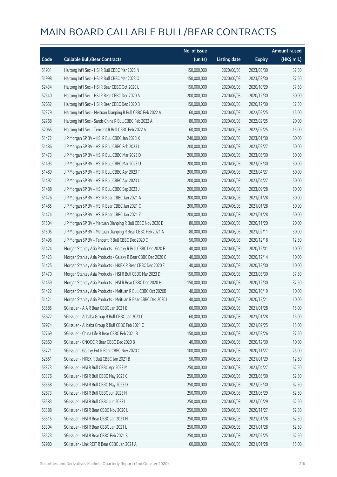|       |                                                              | No. of issue |                     |               | <b>Amount raised</b> |
|-------|--------------------------------------------------------------|--------------|---------------------|---------------|----------------------|
| Code  | <b>Callable Bull/Bear Contracts</b>                          | (units)      | <b>Listing date</b> | <b>Expiry</b> | (HK\$ mil.)          |
| 51931 | Haitong Int'l Sec - HSI R Bull CBBC Mar 2023 N               | 150,000,000  | 2020/06/03          | 2023/03/30    | 37.50                |
| 51998 | Haitong Int'l Sec - HSI R Bull CBBC Mar 2023 O               | 150,000,000  | 2020/06/03          | 2023/03/30    | 37.50                |
| 52434 | Haitong Int'l Sec - HSI R Bear CBBC Oct 2020 L               | 150,000,000  | 2020/06/03          | 2020/10/29    | 37.50                |
| 52540 | Haitong Int'l Sec - HSI R Bear CBBC Dec 2020 A               | 200,000,000  | 2020/06/03          | 2020/12/30    | 50.00                |
| 52652 | Haitong Int'l Sec - HSI R Bear CBBC Dec 2020 B               | 150,000,000  | 2020/06/03          | 2020/12/30    | 37.50                |
| 52379 | Haitong Int'l Sec - Meituan Dianping R Bull CBBC Feb 2022 A  | 60,000,000   | 2020/06/03          | 2022/02/25    | 15.00                |
| 52768 | Haitong Int'l Sec - Sands China R Bull CBBC Feb 2022 A       | 80,000,000   | 2020/06/03          | 2022/02/25    | 20.00                |
| 52065 | Haitong Int'l Sec - Tencent R Bull CBBC Feb 2022 A           | 60,000,000   | 2020/06/03          | 2022/02/25    | 15.00                |
| 51472 | J P Morgan SP BV - HSI R Bull CBBC Jan 2023 X                | 240,000,000  | 2020/06/03          | 2023/01/30    | 60.00                |
| 51486 | J P Morgan SP BV - HSI R Bull CBBC Feb 2023 L                | 200,000,000  | 2020/06/03          | 2023/02/27    | 50.00                |
| 51473 | J P Morgan SP BV - HSI R Bull CBBC Mar 2023 D                | 200,000,000  | 2020/06/03          | 2023/03/30    | 50.00                |
| 51493 | J P Morgan SP BV - HSI R Bull CBBC Mar 2023 U                | 200,000,000  | 2020/06/03          | 2023/03/30    | 50.00                |
| 51489 | J P Morgan SP BV - HSI R Bull CBBC Apr 2023 T                | 200,000,000  | 2020/06/03          | 2023/04/27    | 50.00                |
| 51492 | J P Morgan SP BV - HSI R Bull CBBC Apr 2023 U                | 200,000,000  | 2020/06/03          | 2023/04/27    | 50.00                |
| 51488 | J P Morgan SP BV - HSI R Bull CBBC Sep 2023 J                | 200,000,000  | 2020/06/03          | 2023/09/28    | 50.00                |
| 51476 | J P Morgan SP BV - HSI R Bear CBBC Jan 2021 A                | 200,000,000  | 2020/06/03          | 2021/01/28    | 50.00                |
| 51485 | J P Morgan SP BV - HSI R Bear CBBC Jan 2021 C                | 200,000,000  | 2020/06/03          | 2021/01/28    | 50.00                |
| 51474 | J P Morgan SP BV - HSI R Bear CBBC Jan 2021 Z                | 200,000,000  | 2020/06/03          | 2021/01/28    | 50.00                |
| 51504 | J P Morgan SP BV - Meituan Dianping R Bull CBBC Nov 2020 E   | 80,000,000   | 2020/06/03          | 2020/11/20    | 20.00                |
| 51505 | J P Morgan SP BV - Meituan Dianping R Bear CBBC Feb 2021 A   | 80,000,000   | 2020/06/03          | 2021/02/11    | 30.00                |
| 51496 | J P Morgan SP BV - Tencent R Bull CBBC Dec 2020 C            | 50,000,000   | 2020/06/03          | 2020/12/18    | 12.50                |
| 51424 | Morgan Stanley Asia Products - Galaxy R Bull CBBC Dec 2020 F | 40,000,000   | 2020/06/03          | 2020/12/01    | 10.00                |
| 51423 | Morgan Stanley Asia Products - Galaxy R Bear CBBC Dec 2020 C | 40,000,000   | 2020/06/03          | 2020/12/14    | 10.00                |
| 51425 | Morgan Stanley Asia Products - HKEX R Bear CBBC Dec 2020 E   | 40,000,000   | 2020/06/03          | 2020/12/30    | 10.00                |
| 51470 | Morgan Stanley Asia Products - HSI R Bull CBBC Mar 2023 D    | 150,000,000  | 2020/06/03          | 2023/03/30    | 37.50                |
| 51459 | Morgan Stanley Asia Products - HSI R Bear CBBC Dec 2020 H    | 150,000,000  | 2020/06/03          | 2020/12/30    | 37.50                |
| 51422 | Morgan Stanley Asia Products - Meituan R Bull CBBC Oct 2020B | 40,000,000   | 2020/06/03          | 2020/10/19    | 10.00                |
| 51421 | Morgan Stanley Asia Products - Meituan R Bear CBBC Dec 2020J | 40,000,000   | 2020/06/03          | 2020/12/21    | 10.00                |
| 53585 | SG Issuer - AIA R Bear CBBC Jan 2021 B                       | 60,000,000   | 2020/06/03          | 2021/01/28    | 15.00                |
| 53622 | SG Issuer - Alibaba Group R Bull CBBC Jan 2021 C             | 60,000,000   | 2020/06/03          | 2021/01/28    | 15.00                |
| 52974 | SG Issuer - Alibaba Group R Bull CBBC Feb 2021 C             | 60,000,000   | 2020/06/03          | 2021/02/25    | 15.00                |
| 52769 | SG Issuer - China Life R Bear CBBC Feb 2021 B                | 150,000,000  | 2020/06/03          | 2021/02/26    | 37.50                |
| 52860 | SG Issuer - CNOOC R Bear CBBC Dec 2020 B                     | 40,000,000   | 2020/06/03          | 2020/12/30    | 10.00                |
| 53721 | SG Issuer - Galaxy Ent R Bear CBBC Nov 2020 C                | 100,000,000  | 2020/06/03          | 2020/11/27    | 25.00                |
| 52861 | SG Issuer - HKEX R Bull CBBC Jan 2021 B                      | 50,000,000   | 2020/06/03          | 2021/01/29    | 12.50                |
| 53373 | SG Issuer - HSI R Bull CBBC Apr 2023 M                       | 250,000,000  | 2020/06/03          | 2023/04/27    | 62.50                |
| 53376 | SG Issuer - HSI R Bull CBBC May 2023 C                       | 250,000,000  | 2020/06/03          | 2023/05/30    | 62.50                |
| 53558 | SG Issuer - HSI R Bull CBBC May 2023 D                       | 250,000,000  | 2020/06/03          | 2023/05/30    | 62.50                |
| 52873 | SG Issuer - HSI R Bull CBBC Jun 2023 H                       | 250,000,000  | 2020/06/03          | 2023/06/29    | 62.50                |
| 53583 | SG Issuer - HSI R Bull CBBC Jun 2023 I                       | 250,000,000  | 2020/06/03          | 2023/06/29    | 62.50                |
| 53388 | SG Issuer - HSI R Bear CBBC Nov 2020 L                       | 250,000,000  | 2020/06/03          | 2020/11/27    | 62.50                |
| 53515 | SG Issuer - HSI R Bear CBBC Jan 2021 H                       | 250,000,000  | 2020/06/03          | 2021/01/28    | 62.50                |
| 53304 | SG Issuer - HSI R Bear CBBC Jan 2021 L                       | 250,000,000  | 2020/06/03          | 2021/01/28    | 62.50                |
| 53523 | SG Issuer - HSI R Bear CBBC Feb 2021 S                       | 250,000,000  | 2020/06/03          | 2021/02/25    | 62.50                |
| 52980 | SG Issuer - Link REIT R Bear CBBC Jan 2021 A                 | 60,000,000   | 2020/06/03          | 2021/01/28    | 15.00                |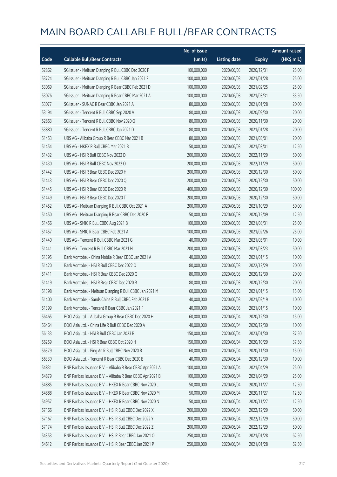|       |                                                            | No. of issue |                     |               | <b>Amount raised</b> |
|-------|------------------------------------------------------------|--------------|---------------------|---------------|----------------------|
| Code  | <b>Callable Bull/Bear Contracts</b>                        | (units)      | <b>Listing date</b> | <b>Expiry</b> | (HK\$ mil.)          |
| 52862 | SG Issuer - Meituan Dianping R Bull CBBC Dec 2020 F        | 100,000,000  | 2020/06/03          | 2020/12/31    | 25.00                |
| 53724 | SG Issuer - Meituan Dianping R Bull CBBC Jan 2021 F        | 100,000,000  | 2020/06/03          | 2021/01/28    | 25.00                |
| 53069 | SG Issuer - Meituan Dianping R Bear CBBC Feb 2021 D        | 100,000,000  | 2020/06/03          | 2021/02/25    | 25.00                |
| 53076 | SG Issuer - Meituan Dianping R Bear CBBC Mar 2021 A        | 100,000,000  | 2020/06/03          | 2021/03/31    | 33.50                |
| 53077 | SG Issuer - SUNAC R Bear CBBC Jan 2021 A                   | 80,000,000   | 2020/06/03          | 2021/01/28    | 20.00                |
| 53194 | SG Issuer - Tencent R Bull CBBC Sep 2020 V                 | 80,000,000   | 2020/06/03          | 2020/09/30    | 20.00                |
| 52863 | SG Issuer - Tencent R Bull CBBC Nov 2020 Q                 | 80,000,000   | 2020/06/03          | 2020/11/30    | 20.00                |
| 53880 | SG Issuer - Tencent R Bull CBBC Jan 2021 D                 | 80,000,000   | 2020/06/03          | 2021/01/28    | 20.00                |
| 51453 | UBS AG - Alibaba Group R Bear CBBC Mar 2021 B              | 80,000,000   | 2020/06/03          | 2021/03/01    | 20.00                |
| 51454 | UBS AG - HKEX R Bull CBBC Mar 2021 B                       | 50,000,000   | 2020/06/03          | 2021/03/01    | 12.50                |
| 51432 | UBS AG - HSI R Bull CBBC Nov 2022 D                        | 200,000,000  | 2020/06/03          | 2022/11/29    | 50.00                |
| 51430 | UBS AG - HSI R Bull CBBC Nov 2022 O                        | 200,000,000  | 2020/06/03          | 2022/11/29    | 50.00                |
| 51442 | UBS AG - HSI R Bear CBBC Dec 2020 H                        | 200,000,000  | 2020/06/03          | 2020/12/30    | 50.00                |
| 51443 | UBS AG - HSI R Bear CBBC Dec 2020 Q                        | 200,000,000  | 2020/06/03          | 2020/12/30    | 50.00                |
| 51445 | UBS AG - HSI R Bear CBBC Dec 2020 R                        | 400,000,000  | 2020/06/03          | 2020/12/30    | 100.00               |
| 51449 | UBS AG - HSI R Bear CBBC Dec 2020 T                        | 200,000,000  | 2020/06/03          | 2020/12/30    | 50.00                |
| 51452 | UBS AG - Meituan Dianping R Bull CBBC Oct 2021 A           | 200,000,000  | 2020/06/03          | 2021/10/29    | 50.00                |
| 51450 | UBS AG - Meituan Dianping R Bear CBBC Dec 2020 F           | 50,000,000   | 2020/06/03          | 2020/12/09    | 12.50                |
| 51456 | UBS AG - SMIC R Bull CBBC Aug 2021 B                       | 100,000,000  | 2020/06/03          | 2021/08/31    | 25.00                |
| 51457 | UBS AG - SMIC R Bear CBBC Feb 2021 A                       | 100,000,000  | 2020/06/03          | 2021/02/26    | 25.00                |
| 51440 | UBS AG - Tencent R Bull CBBC Mar 2021 G                    | 40,000,000   | 2020/06/03          | 2021/03/01    | 10.00                |
| 51441 | UBS AG - Tencent R Bull CBBC Mar 2021 H                    | 200,000,000  | 2020/06/03          | 2021/03/23    | 50.00                |
| 51395 | Bank Vontobel - China Mobile R Bear CBBC Jan 2021 A        | 40,000,000   | 2020/06/03          | 2021/01/15    | 10.00                |
| 51420 | Bank Vontobel - HSI R Bull CBBC Dec 2022 O                 | 80,000,000   | 2020/06/03          | 2022/12/29    | 20.00                |
| 51411 | Bank Vontobel - HSI R Bear CBBC Dec 2020 Q                 | 80,000,000   | 2020/06/03          | 2020/12/30    | 20.00                |
| 51419 | Bank Vontobel - HSI R Bear CBBC Dec 2020 R                 | 80,000,000   | 2020/06/03          | 2020/12/30    | 20.00                |
| 51398 | Bank Vontobel - Meituan Dianping R Bull CBBC Jan 2021 M    | 60,000,000   | 2020/06/03          | 2021/01/15    | 15.00                |
| 51400 | Bank Vontobel - Sands China R Bull CBBC Feb 2021 B         | 40,000,000   | 2020/06/03          | 2021/02/19    | 10.00                |
| 51399 | Bank Vontobel - Tencent R Bear CBBC Jan 2021 F             | 40,000,000   | 2020/06/03          | 2021/01/15    | 10.00                |
| 56465 | BOCI Asia Ltd. - Alibaba Group R Bear CBBC Dec 2020 H      | 60,000,000   | 2020/06/04          | 2020/12/30    | 15.00                |
| 56464 | BOCI Asia Ltd. - China Life R Bull CBBC Dec 2020 A         | 40,000,000   | 2020/06/04          | 2020/12/30    | 10.00                |
| 56133 | BOCI Asia Ltd. - HSI R Bull CBBC Jan 2023 B                | 150,000,000  | 2020/06/04          | 2023/01/30    | 37.50                |
| 56259 | BOCI Asia Ltd. - HSI R Bear CBBC Oct 2020 H                | 150,000,000  | 2020/06/04          | 2020/10/29    | 37.50                |
| 56379 | BOCI Asia Ltd. - Ping An R Bull CBBC Nov 2020 B            | 60,000,000   | 2020/06/04          | 2020/11/30    | 15.00                |
| 56339 | BOCI Asia Ltd. - Tencent R Bear CBBC Dec 2020 B            | 40,000,000   | 2020/06/04          | 2020/12/30    | 10.00                |
| 54831 | BNP Paribas Issuance B.V. - Alibaba R Bear CBBC Apr 2021 A | 100,000,000  | 2020/06/04          | 2021/04/29    | 25.00                |
| 54879 | BNP Paribas Issuance B.V. - Alibaba R Bear CBBC Apr 2021 B | 100,000,000  | 2020/06/04          | 2021/04/29    | 25.00                |
| 54885 | BNP Paribas Issuance B.V. - HKEX R Bear CBBC Nov 2020 L    | 50,000,000   | 2020/06/04          | 2020/11/27    | 12.50                |
| 54888 | BNP Paribas Issuance B.V. - HKEX R Bear CBBC Nov 2020 M    | 50,000,000   | 2020/06/04          | 2020/11/27    | 12.50                |
| 54957 | BNP Paribas Issuance B.V. - HKEX R Bear CBBC Nov 2020 N    | 50,000,000   | 2020/06/04          | 2020/11/27    | 12.50                |
| 57166 | BNP Paribas Issuance B.V. - HSI R Bull CBBC Dec 2022 X     | 200,000,000  | 2020/06/04          | 2022/12/29    | 50.00                |
| 57167 | BNP Paribas Issuance B.V. - HSI R Bull CBBC Dec 2022 Y     | 200,000,000  | 2020/06/04          | 2022/12/29    | 50.00                |
| 57174 | BNP Paribas Issuance B.V. - HSI R Bull CBBC Dec 2022 Z     | 200,000,000  | 2020/06/04          | 2022/12/29    | 50.00                |
| 54353 | BNP Paribas Issuance B.V. - HSI R Bear CBBC Jan 2021 O     | 250,000,000  | 2020/06/04          | 2021/01/28    | 62.50                |
| 54612 | BNP Paribas Issuance B.V. - HSI R Bear CBBC Jan 2021 P     | 250,000,000  | 2020/06/04          | 2021/01/28    | 62.50                |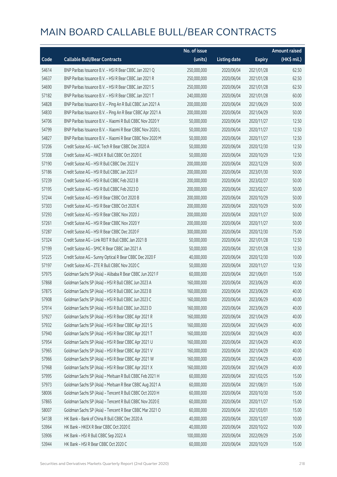|       |                                                            | No. of issue |                     |               | <b>Amount raised</b> |
|-------|------------------------------------------------------------|--------------|---------------------|---------------|----------------------|
| Code  | <b>Callable Bull/Bear Contracts</b>                        | (units)      | <b>Listing date</b> | <b>Expiry</b> | (HK\$ mil.)          |
| 54614 | BNP Paribas Issuance B.V. - HSI R Bear CBBC Jan 2021 Q     | 250,000,000  | 2020/06/04          | 2021/01/28    | 62.50                |
| 54637 | BNP Paribas Issuance B.V. - HSI R Bear CBBC Jan 2021 R     | 250,000,000  | 2020/06/04          | 2021/01/28    | 62.50                |
| 54690 | BNP Paribas Issuance B.V. - HSI R Bear CBBC Jan 2021 S     | 250,000,000  | 2020/06/04          | 2021/01/28    | 62.50                |
| 57182 | BNP Paribas Issuance B.V. - HSI R Bear CBBC Jan 2021 T     | 240,000,000  | 2020/06/04          | 2021/01/28    | 60.00                |
| 54828 | BNP Paribas Issuance B.V. - Ping An R Bull CBBC Jun 2021 A | 200,000,000  | 2020/06/04          | 2021/06/29    | 50.00                |
| 54830 | BNP Paribas Issuance B.V. - Ping An R Bear CBBC Apr 2021 A | 200,000,000  | 2020/06/04          | 2021/04/29    | 50.00                |
| 54706 | BNP Paribas Issuance B.V. - Xiaomi R Bull CBBC Nov 2020 Y  | 50,000,000   | 2020/06/04          | 2020/11/27    | 12.50                |
| 54799 | BNP Paribas Issuance B.V. - Xiaomi R Bear CBBC Nov 2020 L  | 50,000,000   | 2020/06/04          | 2020/11/27    | 12.50                |
| 54827 | BNP Paribas Issuance B.V. - Xiaomi R Bear CBBC Nov 2020 M  | 50,000,000   | 2020/06/04          | 2020/11/27    | 12.50                |
| 57206 | Credit Suisse AG - AAC Tech R Bear CBBC Dec 2020 A         | 50,000,000   | 2020/06/04          | 2020/12/30    | 12.50                |
| 57308 | Credit Suisse AG - HKEX R Bull CBBC Oct 2020 E             | 50,000,000   | 2020/06/04          | 2020/10/29    | 12.50                |
| 57190 | Credit Suisse AG - HSI R Bull CBBC Dec 2022 V              | 200,000,000  | 2020/06/04          | 2022/12/29    | 50.00                |
| 57186 | Credit Suisse AG - HSI R Bull CBBC Jan 2023 F              | 200,000,000  | 2020/06/04          | 2023/01/30    | 50.00                |
| 57239 | Credit Suisse AG - HSI R Bull CBBC Feb 2023 B              | 200,000,000  | 2020/06/04          | 2023/02/27    | 50.00                |
| 57195 | Credit Suisse AG - HSI R Bull CBBC Feb 2023 D              | 200,000,000  | 2020/06/04          | 2023/02/27    | 50.00                |
| 57244 | Credit Suisse AG - HSI R Bear CBBC Oct 2020 B              | 200,000,000  | 2020/06/04          | 2020/10/29    | 50.00                |
| 57303 | Credit Suisse AG - HSI R Bear CBBC Oct 2020 K              | 200,000,000  | 2020/06/04          | 2020/10/29    | 50.00                |
| 57293 | Credit Suisse AG - HSI R Bear CBBC Nov 2020 J              | 200,000,000  | 2020/06/04          | 2020/11/27    | 50.00                |
| 57261 | Credit Suisse AG - HSI R Bear CBBC Nov 2020 Y              | 200,000,000  | 2020/06/04          | 2020/11/27    | 50.00                |
| 57287 | Credit Suisse AG - HSI R Bear CBBC Dec 2020 F              | 300,000,000  | 2020/06/04          | 2020/12/30    | 75.00                |
| 57324 | Credit Suisse AG - Link REIT R Bull CBBC Jan 2021 B        | 50,000,000   | 2020/06/04          | 2021/01/28    | 12.50                |
| 57199 | Credit Suisse AG - SMIC R Bear CBBC Jan 2021 A             | 50,000,000   | 2020/06/04          | 2021/01/28    | 12.50                |
| 57225 | Credit Suisse AG - Sunny Optical R Bear CBBC Dec 2020 F    | 40,000,000   | 2020/06/04          | 2020/12/30    | 10.00                |
| 57197 | Credit Suisse AG - ZTE R Bull CBBC Nov 2020 C              | 50,000,000   | 2020/06/04          | 2020/11/27    | 12.50                |
| 57975 | Goldman Sachs SP (Asia) - Alibaba R Bear CBBC Jun 2021 F   | 60,000,000   | 2020/06/04          | 2021/06/01    | 15.00                |
| 57868 | Goldman Sachs SP (Asia) - HSI R Bull CBBC Jun 2023 A       | 160,000,000  | 2020/06/04          | 2023/06/29    | 40.00                |
| 57875 | Goldman Sachs SP (Asia) - HSI R Bull CBBC Jun 2023 B       | 160,000,000  | 2020/06/04          | 2023/06/29    | 40.00                |
| 57908 | Goldman Sachs SP (Asia) - HSI R Bull CBBC Jun 2023 C       | 160,000,000  | 2020/06/04          | 2023/06/29    | 40.00                |
| 57914 | Goldman Sachs SP (Asia) - HSI R Bull CBBC Jun 2023 D       | 160,000,000  | 2020/06/04          | 2023/06/29    | 40.00                |
| 57927 | Goldman Sachs SP (Asia) - HSI R Bear CBBC Apr 2021 R       | 160,000,000  | 2020/06/04          | 2021/04/29    | 40.00                |
| 57932 | Goldman Sachs SP (Asia) - HSI R Bear CBBC Apr 2021 S       | 160,000,000  | 2020/06/04          | 2021/04/29    | 40.00                |
| 57940 | Goldman Sachs SP (Asia) - HSI R Bear CBBC Apr 2021 T       | 160,000,000  | 2020/06/04          | 2021/04/29    | 40.00                |
| 57954 | Goldman Sachs SP (Asia) - HSI R Bear CBBC Apr 2021 U       | 160,000,000  | 2020/06/04          | 2021/04/29    | 40.00                |
| 57965 | Goldman Sachs SP (Asia) - HSI R Bear CBBC Apr 2021 V       | 160,000,000  | 2020/06/04          | 2021/04/29    | 40.00                |
| 57966 | Goldman Sachs SP (Asia) - HSI R Bear CBBC Apr 2021 W       | 160,000,000  | 2020/06/04          | 2021/04/29    | 40.00                |
| 57968 | Goldman Sachs SP (Asia) - HSI R Bear CBBC Apr 2021 X       | 160,000,000  | 2020/06/04          | 2021/04/29    | 40.00                |
| 57995 | Goldman Sachs SP (Asia) - Meituan R Bull CBBC Feb 2021 H   | 60,000,000   | 2020/06/04          | 2021/02/25    | 15.00                |
| 57973 | Goldman Sachs SP (Asia) - Meituan R Bear CBBC Aug 2021 A   | 60,000,000   | 2020/06/04          | 2021/08/31    | 15.00                |
| 58006 | Goldman Sachs SP (Asia) - Tencent R Bull CBBC Oct 2020 H   | 60,000,000   | 2020/06/04          | 2020/10/30    | 15.00                |
| 57865 | Goldman Sachs SP (Asia) - Tencent R Bull CBBC Nov 2020 E   | 60,000,000   | 2020/06/04          | 2020/11/27    | 15.00                |
| 58007 | Goldman Sachs SP (Asia) - Tencent R Bear CBBC Mar 2021 O   | 60,000,000   | 2020/06/04          | 2021/03/01    | 15.00                |
| 54138 | HK Bank - Bank of China R Bull CBBC Dec 2020 A             | 40,000,000   | 2020/06/04          | 2020/12/07    | 10.00                |
| 53964 | HK Bank - HKEX R Bear CBBC Oct 2020 E                      | 40,000,000   | 2020/06/04          | 2020/10/22    | 10.00                |
| 53906 | HK Bank - HSI R Bull CBBC Sep 2022 A                       | 100,000,000  | 2020/06/04          | 2022/09/29    | 25.00                |
| 53944 | HK Bank - HSI R Bear CBBC Oct 2020 C                       | 60,000,000   | 2020/06/04          | 2020/10/29    | 15.00                |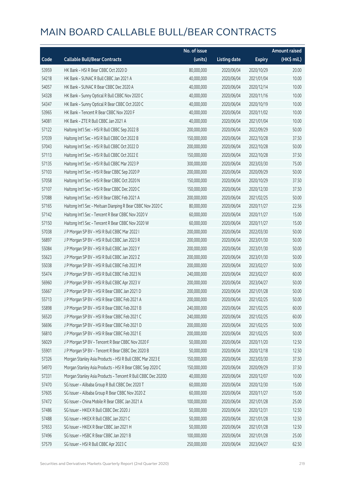|       |                                                              | No. of issue |                     |               | <b>Amount raised</b> |
|-------|--------------------------------------------------------------|--------------|---------------------|---------------|----------------------|
| Code  | <b>Callable Bull/Bear Contracts</b>                          | (units)      | <b>Listing date</b> | <b>Expiry</b> | (HK\$ mil.)          |
| 53959 | HK Bank - HSI R Bear CBBC Oct 2020 D                         | 80,000,000   | 2020/06/04          | 2020/10/29    | 20.00                |
| 54218 | HK Bank - SUNAC R Bull CBBC Jan 2021 A                       | 40,000,000   | 2020/06/04          | 2021/01/04    | 10.00                |
| 54057 | HK Bank - SUNAC R Bear CBBC Dec 2020 A                       | 40,000,000   | 2020/06/04          | 2020/12/14    | 10.00                |
| 54328 | HK Bank - Sunny Optical R Bull CBBC Nov 2020 C               | 40,000,000   | 2020/06/04          | 2020/11/16    | 10.00                |
| 54347 | HK Bank - Sunny Optical R Bear CBBC Oct 2020 C               | 40,000,000   | 2020/06/04          | 2020/10/19    | 10.00                |
| 53965 | HK Bank - Tencent R Bear CBBC Nov 2020 F                     | 40,000,000   | 2020/06/04          | 2020/11/02    | 10.00                |
| 54081 | HK Bank - ZTE R Bull CBBC Jan 2021 A                         | 40,000,000   | 2020/06/04          | 2021/01/04    | 10.00                |
| 57122 | Haitong Int'l Sec - HSI R Bull CBBC Sep 2022 B               | 200,000,000  | 2020/06/04          | 2022/09/29    | 50.00                |
| 57039 | Haitong Int'l Sec - HSI R Bull CBBC Oct 2022 B               | 150,000,000  | 2020/06/04          | 2022/10/28    | 37.50                |
| 57043 | Haitong Int'l Sec - HSI R Bull CBBC Oct 2022 D               | 200,000,000  | 2020/06/04          | 2022/10/28    | 50.00                |
| 57113 | Haitong Int'l Sec - HSI R Bull CBBC Oct 2022 E               | 150,000,000  | 2020/06/04          | 2022/10/28    | 37.50                |
| 57135 | Haitong Int'l Sec - HSI R Bull CBBC Mar 2023 P               | 300,000,000  | 2020/06/04          | 2023/03/30    | 75.00                |
| 57103 | Haitong Int'l Sec - HSI R Bear CBBC Sep 2020 P               | 200,000,000  | 2020/06/04          | 2020/09/29    | 50.00                |
| 57058 | Haitong Int'l Sec - HSI R Bear CBBC Oct 2020 N               | 150,000,000  | 2020/06/04          | 2020/10/29    | 37.50                |
| 57107 | Haitong Int'l Sec - HSI R Bear CBBC Dec 2020 C               | 150,000,000  | 2020/06/04          | 2020/12/30    | 37.50                |
| 57088 | Haitong Int'l Sec - HSI R Bear CBBC Feb 2021 A               | 200,000,000  | 2020/06/04          | 2021/02/25    | 50.00                |
| 57165 | Haitong Int'l Sec - Meituan Dianping R Bear CBBC Nov 2020 C  | 80,000,000   | 2020/06/04          | 2020/11/27    | 22.56                |
| 57142 | Haitong Int'l Sec - Tencent R Bear CBBC Nov 2020 V           | 60,000,000   | 2020/06/04          | 2020/11/27    | 15.00                |
| 57150 | Haitong Int'l Sec - Tencent R Bear CBBC Nov 2020 W           | 60,000,000   | 2020/06/04          | 2020/11/27    | 15.00                |
| 57038 | J P Morgan SP BV - HSI R Bull CBBC Mar 2022 I                | 200,000,000  | 2020/06/04          | 2022/03/30    | 50.00                |
| 56897 | J P Morgan SP BV - HSI R Bull CBBC Jan 2023 R                | 200,000,000  | 2020/06/04          | 2023/01/30    | 50.00                |
| 55084 | J P Morgan SP BV - HSI R Bull CBBC Jan 2023 Y                | 200,000,000  | 2020/06/04          | 2023/01/30    | 50.00                |
| 55623 | J P Morgan SP BV - HSI R Bull CBBC Jan 2023 Z                | 200,000,000  | 2020/06/04          | 2023/01/30    | 50.00                |
| 55038 | J P Morgan SP BV - HSI R Bull CBBC Feb 2023 M                | 200,000,000  | 2020/06/04          | 2023/02/27    | 50.00                |
| 55474 | J P Morgan SP BV - HSI R Bull CBBC Feb 2023 N                | 240,000,000  | 2020/06/04          | 2023/02/27    | 60.00                |
| 56960 | J P Morgan SP BV - HSI R Bull CBBC Apr 2023 V                | 200,000,000  | 2020/06/04          | 2023/04/27    | 50.00                |
| 55667 | J P Morgan SP BV - HSI R Bear CBBC Jan 2021 D                | 200,000,000  | 2020/06/04          | 2021/01/28    | 50.00                |
| 55713 | J P Morgan SP BV - HSI R Bear CBBC Feb 2021 A                | 200,000,000  | 2020/06/04          | 2021/02/25    | 50.00                |
| 55898 | J P Morgan SP BV - HSI R Bear CBBC Feb 2021 B                | 240,000,000  | 2020/06/04          | 2021/02/25    | 60.00                |
| 56520 | J P Morgan SP BV - HSI R Bear CBBC Feb 2021 C                | 240,000,000  | 2020/06/04          | 2021/02/25    | 60.00                |
| 56696 | J P Morgan SP BV - HSI R Bear CBBC Feb 2021 D                | 200,000,000  | 2020/06/04          | 2021/02/25    | 50.00                |
| 56810 | J P Morgan SP BV - HSI R Bear CBBC Feb 2021 E                | 200,000,000  | 2020/06/04          | 2021/02/25    | 50.00                |
| 56029 | J P Morgan SP BV - Tencent R Bear CBBC Nov 2020 F            | 50,000,000   | 2020/06/04          | 2020/11/20    | 12.50                |
| 55901 | J P Morgan SP BV - Tencent R Bear CBBC Dec 2020 B            | 50,000,000   | 2020/06/04          | 2020/12/18    | 12.50                |
| 57326 | Morgan Stanley Asia Products - HSI R Bull CBBC Mar 2023 E    | 150,000,000  | 2020/06/04          | 2023/03/30    | 37.50                |
| 54970 | Morgan Stanley Asia Products - HSI R Bear CBBC Sep 2020 C    | 150,000,000  | 2020/06/04          | 2020/09/29    | 37.50                |
| 57331 | Morgan Stanley Asia Products - Tencent R Bull CBBC Dec 2020D | 40,000,000   | 2020/06/04          | 2020/12/07    | 10.00                |
| 57470 | SG Issuer - Alibaba Group R Bull CBBC Dec 2020 T             | 60,000,000   | 2020/06/04          | 2020/12/30    | 15.00                |
| 57605 | SG Issuer - Alibaba Group R Bear CBBC Nov 2020 Z             | 60,000,000   | 2020/06/04          | 2020/11/27    | 15.00                |
| 57472 | SG Issuer - China Mobile R Bear CBBC Jan 2021 A              | 100,000,000  | 2020/06/04          | 2021/01/28    | 25.00                |
| 57486 | SG Issuer - HKEX R Bull CBBC Dec 2020 J                      | 50,000,000   | 2020/06/04          | 2020/12/31    | 12.50                |
| 57488 | SG Issuer - HKEX R Bull CBBC Jan 2021 C                      | 50,000,000   | 2020/06/04          | 2021/01/28    | 12.50                |
| 57653 | SG Issuer - HKEX R Bear CBBC Jan 2021 H                      | 50,000,000   | 2020/06/04          | 2021/01/28    | 12.50                |
| 57496 | SG Issuer - HSBC R Bear CBBC Jan 2021 B                      | 100,000,000  | 2020/06/04          | 2021/01/28    | 25.00                |
| 57579 | SG Issuer - HSI R Bull CBBC Apr 2023 C                       | 250,000,000  | 2020/06/04          | 2023/04/27    | 62.50                |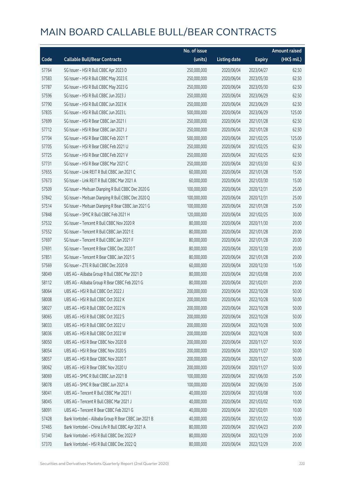|       |                                                      | No. of issue |                     |               | <b>Amount raised</b> |
|-------|------------------------------------------------------|--------------|---------------------|---------------|----------------------|
| Code  | <b>Callable Bull/Bear Contracts</b>                  | (units)      | <b>Listing date</b> | <b>Expiry</b> | (HK\$ mil.)          |
| 57764 | SG Issuer - HSI R Bull CBBC Apr 2023 D               | 250,000,000  | 2020/06/04          | 2023/04/27    | 62.50                |
| 57583 | SG Issuer - HSI R Bull CBBC May 2023 E               | 250,000,000  | 2020/06/04          | 2023/05/30    | 62.50                |
| 57787 | SG Issuer - HSI R Bull CBBC May 2023 G               | 250,000,000  | 2020/06/04          | 2023/05/30    | 62.50                |
| 57596 | SG Issuer - HSI R Bull CBBC Jun 2023 J               | 250,000,000  | 2020/06/04          | 2023/06/29    | 62.50                |
| 57790 | SG Issuer - HSI R Bull CBBC Jun 2023 K               | 250,000,000  | 2020/06/04          | 2023/06/29    | 62.50                |
| 57835 | SG Issuer - HSI R Bull CBBC Jun 2023 L               | 500,000,000  | 2020/06/04          | 2023/06/29    | 125.00               |
| 57699 | SG Issuer - HSI R Bear CBBC Jan 2021 I               | 250,000,000  | 2020/06/04          | 2021/01/28    | 62.50                |
| 57712 | SG Issuer - HSI R Bear CBBC Jan 2021 J               | 250,000,000  | 2020/06/04          | 2021/01/28    | 62.50                |
| 57704 | SG Issuer - HSI R Bear CBBC Feb 2021 T               | 500,000,000  | 2020/06/04          | 2021/02/25    | 125.00               |
| 57705 | SG Issuer - HSI R Bear CBBC Feb 2021 U               | 250,000,000  | 2020/06/04          | 2021/02/25    | 62.50                |
| 57725 | SG Issuer - HSI R Bear CBBC Feb 2021 V               | 250,000,000  | 2020/06/04          | 2021/02/25    | 62.50                |
| 57731 | SG Issuer - HSI R Bear CBBC Mar 2021 C               | 250,000,000  | 2020/06/04          | 2021/03/30    | 62.50                |
| 57655 | SG Issuer - Link REIT R Bull CBBC Jan 2021 C         | 60,000,000   | 2020/06/04          | 2021/01/28    | 15.00                |
| 57673 | SG Issuer - Link REIT R Bull CBBC Mar 2021 A         | 60,000,000   | 2020/06/04          | 2021/03/30    | 15.00                |
| 57509 | SG Issuer - Meituan Dianping R Bull CBBC Dec 2020 G  | 100,000,000  | 2020/06/04          | 2020/12/31    | 25.00                |
| 57842 | SG Issuer - Meituan Dianping R Bull CBBC Dec 2020 Q  | 100,000,000  | 2020/06/04          | 2020/12/31    | 25.00                |
| 57514 | SG Issuer - Meituan Dianping R Bear CBBC Jan 2021 G  | 100,000,000  | 2020/06/04          | 2021/01/28    | 25.00                |
| 57848 | SG Issuer - SMIC R Bull CBBC Feb 2021 H              | 120,000,000  | 2020/06/04          | 2021/02/25    | 30.00                |
| 57532 | SG Issuer - Tencent R Bull CBBC Nov 2020 R           | 80,000,000   | 2020/06/04          | 2020/11/30    | 20.00                |
| 57552 | SG Issuer - Tencent R Bull CBBC Jan 2021 E           | 80,000,000   | 2020/06/04          | 2021/01/28    | 20.00                |
| 57697 | SG Issuer - Tencent R Bull CBBC Jan 2021 F           | 80,000,000   | 2020/06/04          | 2021/01/28    | 20.00                |
| 57691 | SG Issuer - Tencent R Bear CBBC Dec 2020 T           | 80,000,000   | 2020/06/04          | 2020/12/30    | 20.00                |
| 57851 | SG Issuer - Tencent R Bear CBBC Jan 2021 S           | 80,000,000   | 2020/06/04          | 2021/01/28    | 20.00                |
| 57569 | SG Issuer - ZTE R Bull CBBC Dec 2020 B               | 60,000,000   | 2020/06/04          | 2020/12/30    | 15.00                |
| 58049 | UBS AG - Alibaba Group R Bull CBBC Mar 2021 D        | 80,000,000   | 2020/06/04          | 2021/03/08    | 20.00                |
| 58112 | UBS AG - Alibaba Group R Bear CBBC Feb 2021 G        | 80,000,000   | 2020/06/04          | 2021/02/01    | 20.00                |
| 58064 | UBS AG - HSI R Bull CBBC Oct 2022 J                  | 200,000,000  | 2020/06/04          | 2022/10/28    | 50.00                |
| 58008 | UBS AG - HSLR Bull CBBC Oct 2022 K                   | 200,000,000  | 2020/06/04          | 2022/10/28    | 50.00                |
| 58027 | UBS AG - HSI R Bull CBBC Oct 2022 N                  | 200,000,000  | 2020/06/04          | 2022/10/28    | 50.00                |
| 58065 | UBS AG - HSI R Bull CBBC Oct 2022 S                  | 200,000,000  | 2020/06/04          | 2022/10/28    | 50.00                |
| 58033 | UBS AG - HSI R Bull CBBC Oct 2022 U                  | 200,000,000  | 2020/06/04          | 2022/10/28    | 50.00                |
| 58036 | UBS AG - HSI R Bull CBBC Oct 2022 W                  | 200,000,000  | 2020/06/04          | 2022/10/28    | 50.00                |
| 58050 | UBS AG - HSI R Bear CBBC Nov 2020 B                  | 200,000,000  | 2020/06/04          | 2020/11/27    | 50.00                |
| 58054 | UBS AG - HSI R Bear CBBC Nov 2020 S                  | 200,000,000  | 2020/06/04          | 2020/11/27    | 50.00                |
| 58057 | UBS AG - HSI R Bear CBBC Nov 2020 T                  | 200,000,000  | 2020/06/04          | 2020/11/27    | 50.00                |
| 58062 | UBS AG - HSI R Bear CBBC Nov 2020 U                  | 200,000,000  | 2020/06/04          | 2020/11/27    | 50.00                |
| 58069 | UBS AG - SMIC R Bull CBBC Jun 2021 B                 | 100,000,000  | 2020/06/04          | 2021/06/30    | 25.00                |
| 58078 | UBS AG - SMIC R Bear CBBC Jun 2021 A                 | 100,000,000  | 2020/06/04          | 2021/06/30    | 25.00                |
| 58041 | UBS AG - Tencent R Bull CBBC Mar 2021 I              | 40,000,000   | 2020/06/04          | 2021/03/08    | 10.00                |
| 58045 | UBS AG - Tencent R Bull CBBC Mar 2021 J              | 40,000,000   | 2020/06/04          | 2021/03/02    | 10.00                |
| 58091 | UBS AG - Tencent R Bear CBBC Feb 2021 G              | 40,000,000   | 2020/06/04          | 2021/02/01    | 10.00                |
| 57428 | Bank Vontobel - Alibaba Group R Bear CBBC Jan 2021 B | 40,000,000   | 2020/06/04          | 2021/01/22    | 10.00                |
| 57465 | Bank Vontobel - China Life R Bull CBBC Apr 2021 A    | 80,000,000   | 2020/06/04          | 2021/04/23    | 20.00                |
| 57340 | Bank Vontobel - HSI R Bull CBBC Dec 2022 P           | 80,000,000   | 2020/06/04          | 2022/12/29    | 20.00                |
| 57370 | Bank Vontobel - HSI R Bull CBBC Dec 2022 Q           | 80,000,000   | 2020/06/04          | 2022/12/29    | 20.00                |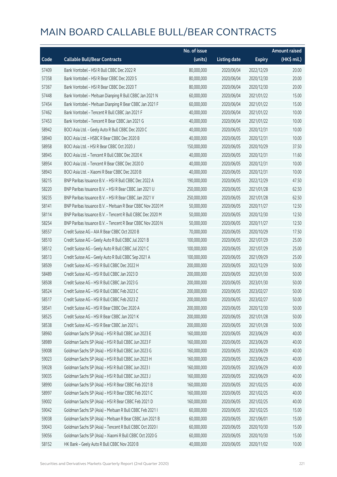|       |                                                            | No. of issue |                     |               | <b>Amount raised</b> |
|-------|------------------------------------------------------------|--------------|---------------------|---------------|----------------------|
| Code  | <b>Callable Bull/Bear Contracts</b>                        | (units)      | <b>Listing date</b> | <b>Expiry</b> | (HK\$ mil.)          |
| 57409 | Bank Vontobel - HSI R Bull CBBC Dec 2022 R                 | 80,000,000   | 2020/06/04          | 2022/12/29    | 20.00                |
| 57358 | Bank Vontobel - HSI R Bear CBBC Dec 2020 S                 | 80,000,000   | 2020/06/04          | 2020/12/30    | 20.00                |
| 57367 | Bank Vontobel - HSI R Bear CBBC Dec 2020 T                 | 80,000,000   | 2020/06/04          | 2020/12/30    | 20.00                |
| 57448 | Bank Vontobel - Meituan Dianping R Bull CBBC Jan 2021 N    | 60,000,000   | 2020/06/04          | 2021/01/22    | 15.00                |
| 57454 | Bank Vontobel - Meituan Dianping R Bear CBBC Jan 2021 F    | 60,000,000   | 2020/06/04          | 2021/01/22    | 15.00                |
| 57462 | Bank Vontobel - Tencent R Bull CBBC Jan 2021 F             | 40,000,000   | 2020/06/04          | 2021/01/22    | 10.00                |
| 57453 | Bank Vontobel - Tencent R Bear CBBC Jan 2021 G             | 40,000,000   | 2020/06/04          | 2021/01/22    | 10.00                |
| 58942 | BOCI Asia Ltd. - Geely Auto R Bull CBBC Dec 2020 C         | 40,000,000   | 2020/06/05          | 2020/12/31    | 10.00                |
| 58940 | BOCI Asia Ltd. - HSBC R Bear CBBC Dec 2020 B               | 40,000,000   | 2020/06/05          | 2020/12/31    | 10.00                |
| 58958 | BOCI Asia Ltd. - HSI R Bear CBBC Oct 2020 J                | 150,000,000  | 2020/06/05          | 2020/10/29    | 37.50                |
| 58945 | BOCI Asia Ltd. - Tencent R Bull CBBC Dec 2020 K            | 40,000,000   | 2020/06/05          | 2020/12/31    | 11.60                |
| 58954 | BOCI Asia Ltd. - Tencent R Bear CBBC Dec 2020 D            | 40,000,000   | 2020/06/05          | 2020/12/31    | 10.00                |
| 58943 | BOCI Asia Ltd. - Xiaomi R Bear CBBC Dec 2020 B             | 40,000,000   | 2020/06/05          | 2020/12/31    | 10.00                |
| 58215 | BNP Paribas Issuance B.V. - HSI R Bull CBBC Dec 2022 A     | 190,000,000  | 2020/06/05          | 2022/12/29    | 47.50                |
| 58220 | BNP Paribas Issuance B.V. - HSI R Bear CBBC Jan 2021 U     | 250,000,000  | 2020/06/05          | 2021/01/28    | 62.50                |
| 58235 | BNP Paribas Issuance B.V. - HSI R Bear CBBC Jan 2021 V     | 250,000,000  | 2020/06/05          | 2021/01/28    | 62.50                |
| 58141 | BNP Paribas Issuance B.V. - Meituan R Bear CBBC Nov 2020 M | 50,000,000   | 2020/06/05          | 2020/11/27    | 12.50                |
| 58114 | BNP Paribas Issuance B.V. - Tencent R Bull CBBC Dec 2020 M | 50,000,000   | 2020/06/05          | 2020/12/30    | 12.50                |
| 58254 | BNP Paribas Issuance B.V. - Tencent R Bear CBBC Nov 2020 N | 50,000,000   | 2020/06/05          | 2020/11/27    | 12.50                |
| 58557 | Credit Suisse AG - AIA R Bear CBBC Oct 2020 B              | 70,000,000   | 2020/06/05          | 2020/10/29    | 17.50                |
| 58510 | Credit Suisse AG - Geely Auto R Bull CBBC Jul 2021 B       | 100,000,000  | 2020/06/05          | 2021/07/29    | 25.00                |
| 58512 | Credit Suisse AG - Geely Auto R Bull CBBC Jul 2021 C       | 100,000,000  | 2020/06/05          | 2021/07/29    | 25.00                |
| 58513 | Credit Suisse AG - Geely Auto R Bull CBBC Sep 2021 A       | 100,000,000  | 2020/06/05          | 2021/09/29    | 25.00                |
| 58509 | Credit Suisse AG - HSI R Bull CBBC Dec 2022 H              | 200,000,000  | 2020/06/05          | 2022/12/29    | 50.00                |
| 58489 | Credit Suisse AG - HSI R Bull CBBC Jan 2023 D              | 200,000,000  | 2020/06/05          | 2023/01/30    | 50.00                |
| 58508 | Credit Suisse AG - HSI R Bull CBBC Jan 2023 G              | 200,000,000  | 2020/06/05          | 2023/01/30    | 50.00                |
| 58524 | Credit Suisse AG - HSI R Bull CBBC Feb 2023 C              | 200,000,000  | 2020/06/05          | 2023/02/27    | 50.00                |
| 58517 | Credit Suisse AG - HSI R Bull CBBC Feb 2023 Z              | 200,000,000  | 2020/06/05          | 2023/02/27    | 50.00                |
| 58541 | Credit Suisse AG - HSI R Bear CBBC Dec 2020 A              | 200,000,000  | 2020/06/05          | 2020/12/30    | 50.00                |
| 58525 | Credit Suisse AG - HSI R Bear CBBC Jan 2021 K              | 200,000,000  | 2020/06/05          | 2021/01/28    | 50.00                |
| 58538 | Credit Suisse AG - HSI R Bear CBBC Jan 2021 L              | 200,000,000  | 2020/06/05          | 2021/01/28    | 50.00                |
| 58960 | Goldman Sachs SP (Asia) - HSI R Bull CBBC Jun 2023 E       | 160,000,000  | 2020/06/05          | 2023/06/29    | 40.00                |
| 58989 | Goldman Sachs SP (Asia) - HSI R Bull CBBC Jun 2023 F       | 160,000,000  | 2020/06/05          | 2023/06/29    | 40.00                |
| 59008 | Goldman Sachs SP (Asia) - HSI R Bull CBBC Jun 2023 G       | 160,000,000  | 2020/06/05          | 2023/06/29    | 40.00                |
| 59023 | Goldman Sachs SP (Asia) - HSI R Bull CBBC Jun 2023 H       | 160,000,000  | 2020/06/05          | 2023/06/29    | 40.00                |
| 59028 | Goldman Sachs SP (Asia) - HSI R Bull CBBC Jun 2023 I       | 160,000,000  | 2020/06/05          | 2023/06/29    | 40.00                |
| 59035 | Goldman Sachs SP (Asia) - HSI R Bull CBBC Jun 2023 J       | 160,000,000  | 2020/06/05          | 2023/06/29    | 40.00                |
| 58990 | Goldman Sachs SP (Asia) - HSI R Bear CBBC Feb 2021 B       | 160,000,000  | 2020/06/05          | 2021/02/25    | 40.00                |
| 58997 | Goldman Sachs SP (Asia) - HSI R Bear CBBC Feb 2021 C       | 160,000,000  | 2020/06/05          | 2021/02/25    | 40.00                |
| 59002 | Goldman Sachs SP (Asia) - HSI R Bear CBBC Feb 2021 D       | 160,000,000  | 2020/06/05          | 2021/02/25    | 40.00                |
| 59042 | Goldman Sachs SP (Asia) - Meituan R Bull CBBC Feb 2021 I   | 60,000,000   | 2020/06/05          | 2021/02/25    | 15.00                |
| 59038 | Goldman Sachs SP (Asia) - Meituan R Bear CBBC Jun 2021 B   | 60,000,000   | 2020/06/05          | 2021/06/01    | 15.00                |
| 59043 | Goldman Sachs SP (Asia) - Tencent R Bull CBBC Oct 2020 I   | 60,000,000   | 2020/06/05          | 2020/10/30    | 15.00                |
| 59056 | Goldman Sachs SP (Asia) - Xiaomi R Bull CBBC Oct 2020 G    | 60,000,000   | 2020/06/05          | 2020/10/30    | 15.00                |
| 58152 | HK Bank - Geely Auto R Bull CBBC Nov 2020 B                | 40,000,000   | 2020/06/05          | 2020/11/02    | 10.00                |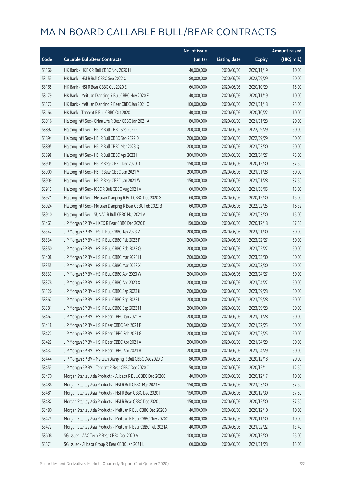|       |                                                              | No. of issue |                     |               | Amount raised         |
|-------|--------------------------------------------------------------|--------------|---------------------|---------------|-----------------------|
| Code  | <b>Callable Bull/Bear Contracts</b>                          | (units)      | <b>Listing date</b> | <b>Expiry</b> | $(HK\frac{1}{2}mil.)$ |
| 58166 | HK Bank - HKEX R Bull CBBC Nov 2020 H                        | 40,000,000   | 2020/06/05          | 2020/11/19    | 10.00                 |
| 58153 | HK Bank - HSI R Bull CBBC Sep 2022 C                         | 80,000,000   | 2020/06/05          | 2022/09/29    | 20.00                 |
| 58165 | HK Bank - HSI R Bear CBBC Oct 2020 E                         | 60,000,000   | 2020/06/05          | 2020/10/29    | 15.00                 |
| 58179 | HK Bank - Meituan Dianping R Bull CBBC Nov 2020 F            | 40,000,000   | 2020/06/05          | 2020/11/19    | 10.00                 |
| 58177 | HK Bank - Meituan Dianping R Bear CBBC Jan 2021 C            | 100,000,000  | 2020/06/05          | 2021/01/18    | 25.00                 |
| 58164 | HK Bank - Tencent R Bull CBBC Oct 2020 L                     | 40,000,000   | 2020/06/05          | 2020/10/22    | 10.00                 |
| 58916 | Haitong Int'l Sec - China Life R Bear CBBC Jan 2021 A        | 80,000,000   | 2020/06/05          | 2021/01/28    | 20.00                 |
| 58892 | Haitong Int'l Sec - HSI R Bull CBBC Sep 2022 C               | 200,000,000  | 2020/06/05          | 2022/09/29    | 50.00                 |
| 58894 | Haitong Int'l Sec - HSI R Bull CBBC Sep 2022 D               | 200,000,000  | 2020/06/05          | 2022/09/29    | 50.00                 |
| 58895 | Haitong Int'l Sec - HSI R Bull CBBC Mar 2023 Q               | 200,000,000  | 2020/06/05          | 2023/03/30    | 50.00                 |
| 58898 | Haitong Int'l Sec - HSI R Bull CBBC Apr 2023 H               | 300,000,000  | 2020/06/05          | 2023/04/27    | 75.00                 |
| 58905 | Haitong Int'l Sec - HSI R Bear CBBC Dec 2020 D               | 150,000,000  | 2020/06/05          | 2020/12/30    | 37.50                 |
| 58900 | Haitong Int'l Sec - HSI R Bear CBBC Jan 2021 V               | 200,000,000  | 2020/06/05          | 2021/01/28    | 50.00                 |
| 58909 | Haitong Int'l Sec - HSI R Bear CBBC Jan 2021 W               | 150,000,000  | 2020/06/05          | 2021/01/28    | 37.50                 |
| 58912 | Haitong Int'l Sec - ICBC R Bull CBBC Aug 2021 A              | 60,000,000   | 2020/06/05          | 2021/08/05    | 15.00                 |
| 58921 | Haitong Int'l Sec - Meituan Dianping R Bull CBBC Dec 2020 G  | 60,000,000   | 2020/06/05          | 2020/12/30    | 15.00                 |
| 58924 | Haitong Int'l Sec - Meituan Dianping R Bear CBBC Feb 2022 B  | 60,000,000   | 2020/06/05          | 2022/02/25    | 16.32                 |
| 58910 | Haitong Int'l Sec - SUNAC R Bull CBBC Mar 2021 A             | 60,000,000   | 2020/06/05          | 2021/03/30    | 15.00                 |
| 58463 | J P Morgan SP BV - HKEX R Bear CBBC Dec 2020 B               | 150,000,000  | 2020/06/05          | 2020/12/18    | 37.50                 |
| 58342 | J P Morgan SP BV - HSI R Bull CBBC Jan 2023 V                | 200,000,000  | 2020/06/05          | 2023/01/30    | 50.00                 |
| 58334 | J P Morgan SP BV - HSI R Bull CBBC Feb 2023 P                | 200,000,000  | 2020/06/05          | 2023/02/27    | 50.00                 |
| 58350 | J P Morgan SP BV - HSI R Bull CBBC Feb 2023 Q                | 200,000,000  | 2020/06/05          | 2023/02/27    | 50.00                 |
| 58408 | J P Morgan SP BV - HSI R Bull CBBC Mar 2023 H                | 200,000,000  | 2020/06/05          | 2023/03/30    | 50.00                 |
| 58355 | J P Morgan SP BV - HSI R Bull CBBC Mar 2023 X                | 200,000,000  | 2020/06/05          | 2023/03/30    | 50.00                 |
| 58337 | J P Morgan SP BV - HSI R Bull CBBC Apr 2023 W                | 200,000,000  | 2020/06/05          | 2023/04/27    | 50.00                 |
| 58378 | J P Morgan SP BV - HSI R Bull CBBC Apr 2023 X                | 200,000,000  | 2020/06/05          | 2023/04/27    | 50.00                 |
| 58326 | J P Morgan SP BV - HSI R Bull CBBC Sep 2023 K                | 200,000,000  | 2020/06/05          | 2023/09/28    | 50.00                 |
| 58367 | J P Morgan SP BV - HSI R Bull CBBC Sep 2023 L                | 200,000,000  | 2020/06/05          | 2023/09/28    | 50.00                 |
| 58381 | J P Morgan SP BV - HSI R Bull CBBC Sep 2023 M                | 200,000,000  | 2020/06/05          | 2023/09/28    | 50.00                 |
| 58467 | J P Morgan SP BV - HSI R Bear CBBC Jan 2021 H                | 200,000,000  | 2020/06/05          | 2021/01/28    | 50.00                 |
| 58418 | J P Morgan SP BV - HSI R Bear CBBC Feb 2021 F                | 200,000,000  | 2020/06/05          | 2021/02/25    | 50.00                 |
| 58427 | J P Morgan SP BV - HSI R Bear CBBC Feb 2021 G                | 200,000,000  | 2020/06/05          | 2021/02/25    | 50.00                 |
| 58422 | J P Morgan SP BV - HSI R Bear CBBC Apr 2021 A                | 200,000,000  | 2020/06/05          | 2021/04/29    | 50.00                 |
| 58437 | J P Morgan SP BV - HSI R Bear CBBC Apr 2021 B                | 200,000,000  | 2020/06/05          | 2021/04/29    | 50.00                 |
| 58444 | J P Morgan SP BV - Meituan Dianping R Bull CBBC Dec 2020 D   | 80,000,000   | 2020/06/05          | 2020/12/18    | 20.00                 |
| 58453 | J P Morgan SP BV - Tencent R Bear CBBC Dec 2020 C            | 50,000,000   | 2020/06/05          | 2020/12/11    | 12.50                 |
| 58470 | Morgan Stanley Asia Products - Alibaba R Bull CBBC Dec 2020G | 40,000,000   | 2020/06/05          | 2020/12/17    | 10.00                 |
| 58488 | Morgan Stanley Asia Products - HSI R Bull CBBC Mar 2023 F    | 150,000,000  | 2020/06/05          | 2023/03/30    | 37.50                 |
| 58481 | Morgan Stanley Asia Products - HSI R Bear CBBC Dec 2020 I    | 150,000,000  | 2020/06/05          | 2020/12/30    | 37.50                 |
| 58482 | Morgan Stanley Asia Products - HSI R Bear CBBC Dec 2020 J    | 150,000,000  | 2020/06/05          | 2020/12/30    | 37.50                 |
| 58480 | Morgan Stanley Asia Products - Meituan R Bull CBBC Dec 2020D | 40,000,000   | 2020/06/05          | 2020/12/10    | 10.00                 |
| 58475 | Morgan Stanley Asia Products - Meituan R Bear CBBC Nov 2020C | 40,000,000   | 2020/06/05          | 2020/11/30    | 10.00                 |
| 58472 | Morgan Stanley Asia Products - Meituan R Bear CBBC Feb 2021A | 40,000,000   | 2020/06/05          | 2021/02/22    | 13.40                 |
| 58608 | SG Issuer - AAC Tech R Bear CBBC Dec 2020 A                  | 100,000,000  | 2020/06/05          | 2020/12/30    | 25.00                 |
| 58571 | SG Issuer - Alibaba Group R Bear CBBC Jan 2021 L             | 60,000,000   | 2020/06/05          | 2021/01/28    | 15.00                 |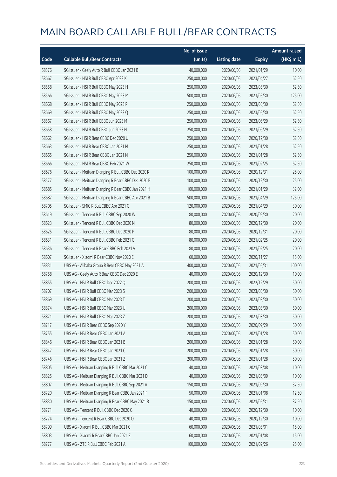|       |                                                     | No. of issue |                     |               | <b>Amount raised</b> |
|-------|-----------------------------------------------------|--------------|---------------------|---------------|----------------------|
| Code  | <b>Callable Bull/Bear Contracts</b>                 | (units)      | <b>Listing date</b> | <b>Expiry</b> | (HK\$ mil.)          |
| 58576 | SG Issuer - Geely Auto R Bull CBBC Jan 2021 B       | 40,000,000   | 2020/06/05          | 2021/01/29    | 10.00                |
| 58667 | SG Issuer - HSI R Bull CBBC Apr 2023 K              | 250,000,000  | 2020/06/05          | 2023/04/27    | 62.50                |
| 58558 | SG Issuer - HSI R Bull CBBC May 2023 H              | 250,000,000  | 2020/06/05          | 2023/05/30    | 62.50                |
| 58566 | SG Issuer - HSI R Bull CBBC May 2023 M              | 500,000,000  | 2020/06/05          | 2023/05/30    | 125.00               |
| 58668 | SG Issuer - HSI R Bull CBBC May 2023 P              | 250,000,000  | 2020/06/05          | 2023/05/30    | 62.50                |
| 58669 | SG Issuer - HSI R Bull CBBC May 2023 Q              | 250,000,000  | 2020/06/05          | 2023/05/30    | 62.50                |
| 58567 | SG Issuer - HSI R Bull CBBC Jun 2023 M              | 250,000,000  | 2020/06/05          | 2023/06/29    | 62.50                |
| 58658 | SG Issuer - HSI R Bull CBBC Jun 2023 N              | 250,000,000  | 2020/06/05          | 2023/06/29    | 62.50                |
| 58662 | SG Issuer - HSI R Bear CBBC Dec 2020 U              | 250,000,000  | 2020/06/05          | 2020/12/30    | 62.50                |
| 58663 | SG Issuer - HSI R Bear CBBC Jan 2021 M              | 250,000,000  | 2020/06/05          | 2021/01/28    | 62.50                |
| 58665 | SG Issuer - HSI R Bear CBBC Jan 2021 N              | 250,000,000  | 2020/06/05          | 2021/01/28    | 62.50                |
| 58666 | SG Issuer - HSI R Bear CBBC Feb 2021 W              | 250,000,000  | 2020/06/05          | 2021/02/25    | 62.50                |
| 58676 | SG Issuer - Meituan Dianping R Bull CBBC Dec 2020 R | 100,000,000  | 2020/06/05          | 2020/12/31    | 25.00                |
| 58577 | SG Issuer - Meituan Dianping R Bear CBBC Dec 2020 P | 100,000,000  | 2020/06/05          | 2020/12/30    | 25.00                |
| 58685 | SG Issuer - Meituan Dianping R Bear CBBC Jan 2021 H | 100,000,000  | 2020/06/05          | 2021/01/29    | 32.00                |
| 58687 | SG Issuer - Meituan Dianping R Bear CBBC Apr 2021 B | 500,000,000  | 2020/06/05          | 2021/04/29    | 125.00               |
| 58705 | SG Issuer - SMIC R Bull CBBC Apr 2021 C             | 120,000,000  | 2020/06/05          | 2021/04/29    | 30.00                |
| 58619 | SG Issuer - Tencent R Bull CBBC Sep 2020 W          | 80,000,000   | 2020/06/05          | 2020/09/30    | 20.00                |
| 58623 | SG Issuer - Tencent R Bull CBBC Dec 2020 N          | 80,000,000   | 2020/06/05          | 2020/12/30    | 20.00                |
| 58625 | SG Issuer - Tencent R Bull CBBC Dec 2020 P          | 80,000,000   | 2020/06/05          | 2020/12/31    | 20.00                |
| 58631 | SG Issuer - Tencent R Bull CBBC Feb 2021 C          | 80,000,000   | 2020/06/05          | 2021/02/25    | 20.00                |
| 58636 | SG Issuer - Tencent R Bear CBBC Feb 2021 V          | 80,000,000   | 2020/06/05          | 2021/02/25    | 20.00                |
| 58607 | SG Issuer - Xiaomi R Bear CBBC Nov 2020 E           | 60,000,000   | 2020/06/05          | 2020/11/27    | 15.00                |
| 58831 | UBS AG - Alibaba Group R Bear CBBC May 2021 A       | 400,000,000  | 2020/06/05          | 2021/05/31    | 100.00               |
| 58758 | UBS AG - Geely Auto R Bear CBBC Dec 2020 E          | 40,000,000   | 2020/06/05          | 2020/12/30    | 10.00                |
| 58855 | UBS AG - HSI R Bull CBBC Dec 2022 Q                 | 200,000,000  | 2020/06/05          | 2022/12/29    | 50.00                |
| 58707 | UBS AG - HSI R Bull CBBC Mar 2023 S                 | 200,000,000  | 2020/06/05          | 2023/03/30    | 50.00                |
| 58869 | UBS AG - HSI R Bull CBBC Mar 2023 T                 | 200,000,000  | 2020/06/05          | 2023/03/30    | 50.00                |
| 58874 | UBS AG - HSI R Bull CBBC Mar 2023 U                 | 200,000,000  | 2020/06/05          | 2023/03/30    | 50.00                |
| 58871 | UBS AG - HSI R Bull CBBC Mar 2023 Z                 | 200,000,000  | 2020/06/05          | 2023/03/30    | 50.00                |
| 58717 | UBS AG - HSI R Bear CBBC Sep 2020 Y                 | 200,000,000  | 2020/06/05          | 2020/09/29    | 50.00                |
| 58755 | UBS AG - HSI R Bear CBBC Jan 2021 A                 | 200,000,000  | 2020/06/05          | 2021/01/28    | 50.00                |
| 58846 | UBS AG - HSI R Bear CBBC Jan 2021 B                 | 200,000,000  | 2020/06/05          | 2021/01/28    | 50.00                |
| 58847 | UBS AG - HSI R Bear CBBC Jan 2021 C                 | 200,000,000  | 2020/06/05          | 2021/01/28    | 50.00                |
| 58746 | UBS AG - HSI R Bear CBBC Jan 2021 Z                 | 200,000,000  | 2020/06/05          | 2021/01/28    | 50.00                |
| 58805 | UBS AG - Meituan Dianping R Bull CBBC Mar 2021 C    | 40,000,000   | 2020/06/05          | 2021/03/08    | 10.00                |
| 58825 | UBS AG - Meituan Dianping R Bull CBBC Mar 2021 D    | 40,000,000   | 2020/06/05          | 2021/03/09    | 10.00                |
| 58807 | UBS AG - Meituan Dianping R Bull CBBC Sep 2021 A    | 150,000,000  | 2020/06/05          | 2021/09/30    | 37.50                |
| 58720 | UBS AG - Meituan Dianping R Bear CBBC Jan 2021 F    | 50,000,000   | 2020/06/05          | 2021/01/08    | 12.50                |
| 58830 | UBS AG - Meituan Dianping R Bear CBBC May 2021 B    | 150,000,000  | 2020/06/05          | 2021/05/31    | 37.50                |
| 58771 | UBS AG - Tencent R Bull CBBC Dec 2020 G             | 40,000,000   | 2020/06/05          | 2020/12/30    | 10.00                |
| 58774 | UBS AG - Tencent R Bear CBBC Dec 2020 O             | 40,000,000   | 2020/06/05          | 2020/12/30    | 10.00                |
| 58799 | UBS AG - Xiaomi R Bull CBBC Mar 2021 C              | 60,000,000   | 2020/06/05          | 2021/03/01    | 15.00                |
| 58803 | UBS AG - Xiaomi R Bear CBBC Jan 2021 E              | 60,000,000   | 2020/06/05          | 2021/01/08    | 15.00                |
| 58777 | UBS AG - ZTE R Bull CBBC Feb 2021 A                 | 100,000,000  | 2020/06/05          | 2021/02/26    | 25.00                |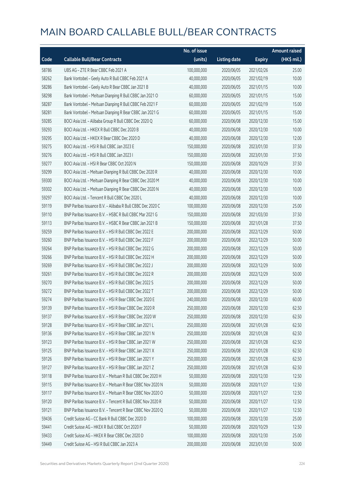|       |                                                            | No. of issue |                     |               | <b>Amount raised</b> |
|-------|------------------------------------------------------------|--------------|---------------------|---------------|----------------------|
| Code  | <b>Callable Bull/Bear Contracts</b>                        | (units)      | <b>Listing date</b> | <b>Expiry</b> | (HK\$ mil.)          |
| 58786 | UBS AG - ZTE R Bear CBBC Feb 2021 A                        | 100,000,000  | 2020/06/05          | 2021/02/26    | 25.00                |
| 58262 | Bank Vontobel - Geely Auto R Bull CBBC Feb 2021 A          | 40,000,000   | 2020/06/05          | 2021/02/19    | 10.00                |
| 58286 | Bank Vontobel - Geely Auto R Bear CBBC Jan 2021 B          | 40,000,000   | 2020/06/05          | 2021/01/15    | 10.00                |
| 58298 | Bank Vontobel - Meituan Dianping R Bull CBBC Jan 2021 O    | 60,000,000   | 2020/06/05          | 2021/01/15    | 15.00                |
| 58287 | Bank Vontobel - Meituan Dianping R Bull CBBC Feb 2021 F    | 60,000,000   | 2020/06/05          | 2021/02/19    | 15.00                |
| 58281 | Bank Vontobel - Meituan Dianping R Bear CBBC Jan 2021 G    | 60,000,000   | 2020/06/05          | 2021/01/15    | 15.00                |
| 59285 | BOCI Asia Ltd. - Alibaba Group R Bull CBBC Dec 2020 Q      | 60,000,000   | 2020/06/08          | 2020/12/30    | 15.00                |
| 59293 | BOCI Asia Ltd. - HKEX R Bull CBBC Dec 2020 B               | 40,000,000   | 2020/06/08          | 2020/12/30    | 10.00                |
| 59295 | BOCI Asia Ltd. - HKEX R Bear CBBC Dec 2020 D               | 40,000,000   | 2020/06/08          | 2020/12/30    | 12.00                |
| 59275 | BOCI Asia Ltd. - HSI R Bull CBBC Jan 2023 E                | 150,000,000  | 2020/06/08          | 2023/01/30    | 37.50                |
| 59276 | BOCI Asia Ltd. - HSI R Bull CBBC Jan 2023 I                | 150,000,000  | 2020/06/08          | 2023/01/30    | 37.50                |
| 59277 | BOCI Asia Ltd. - HSI R Bear CBBC Oct 2020 N                | 150,000,000  | 2020/06/08          | 2020/10/29    | 37.50                |
| 59299 | BOCI Asia Ltd. - Meituan Dianping R Bull CBBC Dec 2020 R   | 40,000,000   | 2020/06/08          | 2020/12/30    | 10.00                |
| 59300 | BOCI Asia Ltd. - Meituan Dianping R Bear CBBC Dec 2020 M   | 40,000,000   | 2020/06/08          | 2020/12/30    | 10.00                |
| 59302 | BOCI Asia Ltd. - Meituan Dianping R Bear CBBC Dec 2020 N   | 40,000,000   | 2020/06/08          | 2020/12/30    | 10.00                |
| 59297 | BOCI Asia Ltd. - Tencent R Bull CBBC Dec 2020 L            | 40,000,000   | 2020/06/08          | 2020/12/30    | 10.00                |
| 59119 | BNP Paribas Issuance B.V. - Alibaba R Bull CBBC Dec 2020 C | 100,000,000  | 2020/06/08          | 2020/12/30    | 25.00                |
| 59110 | BNP Paribas Issuance B.V. - HSBC R Bull CBBC Mar 2021 G    | 150,000,000  | 2020/06/08          | 2021/03/30    | 37.50                |
| 59113 | BNP Paribas Issuance B.V. - HSBC R Bear CBBC Jan 2021 B    | 150,000,000  | 2020/06/08          | 2021/01/28    | 37.50                |
| 59259 | BNP Paribas Issuance B.V. - HSI R Bull CBBC Dec 2022 E     | 200,000,000  | 2020/06/08          | 2022/12/29    | 50.00                |
| 59260 | BNP Paribas Issuance B.V. - HSI R Bull CBBC Dec 2022 F     | 200,000,000  | 2020/06/08          | 2022/12/29    | 50.00                |
| 59264 | BNP Paribas Issuance B.V. - HSI R Bull CBBC Dec 2022 G     | 200,000,000  | 2020/06/08          | 2022/12/29    | 50.00                |
| 59266 | BNP Paribas Issuance B.V. - HSI R Bull CBBC Dec 2022 H     | 200,000,000  | 2020/06/08          | 2022/12/29    | 50.00                |
| 59269 | BNP Paribas Issuance B.V. - HSI R Bull CBBC Dec 2022 J     | 200,000,000  | 2020/06/08          | 2022/12/29    | 50.00                |
| 59261 | BNP Paribas Issuance B.V. - HSI R Bull CBBC Dec 2022 R     | 200,000,000  | 2020/06/08          | 2022/12/29    | 50.00                |
| 59270 | BNP Paribas Issuance B.V. - HSI R Bull CBBC Dec 2022 S     | 200,000,000  | 2020/06/08          | 2022/12/29    | 50.00                |
| 59272 | BNP Paribas Issuance B.V. - HSI R Bull CBBC Dec 2022 T     | 200,000,000  | 2020/06/08          | 2022/12/29    | 50.00                |
| 59274 | BNP Paribas Issuance B.V. - HSI R Bear CBBC Dec 2020 E     | 240,000,000  | 2020/06/08          | 2020/12/30    | 60.00                |
| 59139 | BNP Paribas Issuance B.V. - HSI R Bear CBBC Dec 2020 R     | 250,000,000  | 2020/06/08          | 2020/12/30    | 62.50                |
| 59137 | BNP Paribas Issuance B.V. - HSI R Bear CBBC Dec 2020 W     | 250,000,000  | 2020/06/08          | 2020/12/30    | 62.50                |
| 59128 | BNP Paribas Issuance B.V. - HSI R Bear CBBC Jan 2021 L     | 250,000,000  | 2020/06/08          | 2021/01/28    | 62.50                |
| 59136 | BNP Paribas Issuance B.V. - HSI R Bear CBBC Jan 2021 N     | 250,000,000  | 2020/06/08          | 2021/01/28    | 62.50                |
| 59123 | BNP Paribas Issuance B.V. - HSI R Bear CBBC Jan 2021 W     | 250,000,000  | 2020/06/08          | 2021/01/28    | 62.50                |
| 59125 | BNP Paribas Issuance B.V. - HSI R Bear CBBC Jan 2021 X     | 250,000,000  | 2020/06/08          | 2021/01/28    | 62.50                |
| 59126 | BNP Paribas Issuance B.V. - HSI R Bear CBBC Jan 2021 Y     | 250,000,000  | 2020/06/08          | 2021/01/28    | 62.50                |
| 59127 | BNP Paribas Issuance B.V. - HSI R Bear CBBC Jan 2021 Z     | 250,000,000  | 2020/06/08          | 2021/01/28    | 62.50                |
| 59118 | BNP Paribas Issuance B.V. - Meituan R Bull CBBC Dec 2020 H | 50,000,000   | 2020/06/08          | 2020/12/30    | 12.50                |
| 59115 | BNP Paribas Issuance B.V. - Meituan R Bear CBBC Nov 2020 N | 50,000,000   | 2020/06/08          | 2020/11/27    | 12.50                |
| 59117 | BNP Paribas Issuance B.V. - Meituan R Bear CBBC Nov 2020 O | 50,000,000   | 2020/06/08          | 2020/11/27    | 12.50                |
| 59120 | BNP Paribas Issuance B.V. - Tencent R Bull CBBC Nov 2020 R | 50,000,000   | 2020/06/08          | 2020/11/27    | 12.50                |
| 59121 | BNP Paribas Issuance B.V. - Tencent R Bear CBBC Nov 2020 Q | 50,000,000   | 2020/06/08          | 2020/11/27    | 12.50                |
| 59436 | Credit Suisse AG - CC Bank R Bull CBBC Dec 2020 D          | 100,000,000  | 2020/06/08          | 2020/12/30    | 25.00                |
| 59441 | Credit Suisse AG - HKEX R Bull CBBC Oct 2020 F             | 50,000,000   | 2020/06/08          | 2020/10/29    | 12.50                |
| 59433 | Credit Suisse AG - HKEX R Bear CBBC Dec 2020 D             | 100,000,000  | 2020/06/08          | 2020/12/30    | 25.00                |
| 59449 | Credit Suisse AG - HSI R Bull CBBC Jan 2023 A              | 200,000,000  | 2020/06/08          | 2023/01/30    | 50.00                |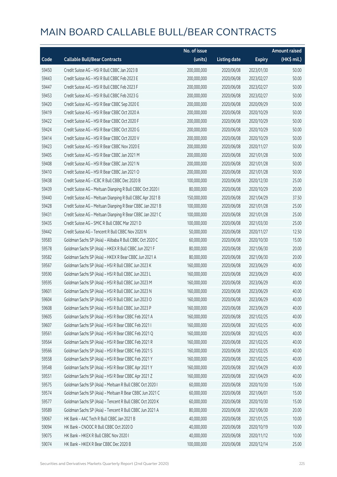|       |                                                            | No. of issue |                     |               | <b>Amount raised</b> |
|-------|------------------------------------------------------------|--------------|---------------------|---------------|----------------------|
| Code  | <b>Callable Bull/Bear Contracts</b>                        | (units)      | <b>Listing date</b> | <b>Expiry</b> | (HK\$ mil.)          |
| 59450 | Credit Suisse AG - HSI R Bull CBBC Jan 2023 B              | 200,000,000  | 2020/06/08          | 2023/01/30    | 50.00                |
| 59443 | Credit Suisse AG - HSI R Bull CBBC Feb 2023 E              | 200,000,000  | 2020/06/08          | 2023/02/27    | 50.00                |
| 59447 | Credit Suisse AG - HSI R Bull CBBC Feb 2023 F              | 200,000,000  | 2020/06/08          | 2023/02/27    | 50.00                |
| 59453 | Credit Suisse AG - HSI R Bull CBBC Feb 2023 G              | 200,000,000  | 2020/06/08          | 2023/02/27    | 50.00                |
| 59420 | Credit Suisse AG - HSI R Bear CBBC Sep 2020 E              | 200,000,000  | 2020/06/08          | 2020/09/29    | 50.00                |
| 59419 | Credit Suisse AG - HSI R Bear CBBC Oct 2020 A              | 200,000,000  | 2020/06/08          | 2020/10/29    | 50.00                |
| 59422 | Credit Suisse AG - HSI R Bear CBBC Oct 2020 F              | 200,000,000  | 2020/06/08          | 2020/10/29    | 50.00                |
| 59424 | Credit Suisse AG - HSI R Bear CBBC Oct 2020 G              | 200,000,000  | 2020/06/08          | 2020/10/29    | 50.00                |
| 59414 | Credit Suisse AG - HSI R Bear CBBC Oct 2020 V              | 200,000,000  | 2020/06/08          | 2020/10/29    | 50.00                |
| 59423 | Credit Suisse AG - HSI R Bear CBBC Nov 2020 E              | 200,000,000  | 2020/06/08          | 2020/11/27    | 50.00                |
| 59405 | Credit Suisse AG - HSI R Bear CBBC Jan 2021 M              | 200,000,000  | 2020/06/08          | 2021/01/28    | 50.00                |
| 59408 | Credit Suisse AG - HSI R Bear CBBC Jan 2021 N              | 200,000,000  | 2020/06/08          | 2021/01/28    | 50.00                |
| 59410 | Credit Suisse AG - HSI R Bear CBBC Jan 2021 O              | 200,000,000  | 2020/06/08          | 2021/01/28    | 50.00                |
| 59438 | Credit Suisse AG - ICBC R Bull CBBC Dec 2020 B             | 100,000,000  | 2020/06/08          | 2020/12/30    | 25.00                |
| 59439 | Credit Suisse AG - Meituan Dianping R Bull CBBC Oct 2020 I | 80,000,000   | 2020/06/08          | 2020/10/29    | 20.00                |
| 59440 | Credit Suisse AG - Meituan Dianping R Bull CBBC Apr 2021 B | 150,000,000  | 2020/06/08          | 2021/04/29    | 37.50                |
| 59428 | Credit Suisse AG - Meituan Dianping R Bear CBBC Jan 2021 B | 100,000,000  | 2020/06/08          | 2021/01/28    | 25.00                |
| 59431 | Credit Suisse AG - Meituan Dianping R Bear CBBC Jan 2021 C | 100,000,000  | 2020/06/08          | 2021/01/28    | 25.00                |
| 59435 | Credit Suisse AG - SMIC R Bull CBBC Mar 2021 D             | 100,000,000  | 2020/06/08          | 2021/03/30    | 25.00                |
| 59442 | Credit Suisse AG - Tencent R Bull CBBC Nov 2020 N          | 50,000,000   | 2020/06/08          | 2020/11/27    | 12.50                |
| 59583 | Goldman Sachs SP (Asia) - Alibaba R Bull CBBC Oct 2020 C   | 60,000,000   | 2020/06/08          | 2020/10/30    | 15.00                |
| 59578 | Goldman Sachs SP (Asia) - HKEX R Bull CBBC Jun 2021 F      | 80,000,000   | 2020/06/08          | 2021/06/30    | 20.00                |
| 59582 | Goldman Sachs SP (Asia) - HKEX R Bear CBBC Jun 2021 A      | 80,000,000   | 2020/06/08          | 2021/06/30    | 20.00                |
| 59567 | Goldman Sachs SP (Asia) - HSI R Bull CBBC Jun 2023 K       | 160,000,000  | 2020/06/08          | 2023/06/29    | 40.00                |
| 59590 | Goldman Sachs SP (Asia) - HSI R Bull CBBC Jun 2023 L       | 160,000,000  | 2020/06/08          | 2023/06/29    | 40.00                |
| 59595 | Goldman Sachs SP (Asia) - HSI R Bull CBBC Jun 2023 M       | 160,000,000  | 2020/06/08          | 2023/06/29    | 40.00                |
| 59601 | Goldman Sachs SP (Asia) - HSI R Bull CBBC Jun 2023 N       | 160,000,000  | 2020/06/08          | 2023/06/29    | 40.00                |
| 59604 | Goldman Sachs SP (Asia) - HSI R Bull CBBC Jun 2023 O       | 160,000,000  | 2020/06/08          | 2023/06/29    | 40.00                |
| 59608 | Goldman Sachs SP (Asia) - HSI R Bull CBBC Jun 2023 P       | 160,000,000  | 2020/06/08          | 2023/06/29    | 40.00                |
| 59605 | Goldman Sachs SP (Asia) - HSI R Bear CBBC Feb 2021 A       | 160,000,000  | 2020/06/08          | 2021/02/25    | 40.00                |
| 59607 | Goldman Sachs SP (Asia) - HSI R Bear CBBC Feb 2021 I       | 160,000,000  | 2020/06/08          | 2021/02/25    | 40.00                |
| 59561 | Goldman Sachs SP (Asia) - HSI R Bear CBBC Feb 2021 Q       | 160,000,000  | 2020/06/08          | 2021/02/25    | 40.00                |
| 59564 | Goldman Sachs SP (Asia) - HSI R Bear CBBC Feb 2021 R       | 160,000,000  | 2020/06/08          | 2021/02/25    | 40.00                |
| 59566 | Goldman Sachs SP (Asia) - HSI R Bear CBBC Feb 2021 S       | 160,000,000  | 2020/06/08          | 2021/02/25    | 40.00                |
| 59558 | Goldman Sachs SP (Asia) - HSI R Bear CBBC Feb 2021 Y       | 160,000,000  | 2020/06/08          | 2021/02/25    | 40.00                |
| 59548 | Goldman Sachs SP (Asia) - HSI R Bear CBBC Apr 2021 Y       | 160,000,000  | 2020/06/08          | 2021/04/29    | 40.00                |
| 59551 | Goldman Sachs SP (Asia) - HSI R Bear CBBC Apr 2021 Z       | 160,000,000  | 2020/06/08          | 2021/04/29    | 40.00                |
| 59575 | Goldman Sachs SP (Asia) - Meituan R Bull CBBC Oct 2020 I   | 60,000,000   | 2020/06/08          | 2020/10/30    | 15.00                |
| 59574 | Goldman Sachs SP (Asia) - Meituan R Bear CBBC Jun 2021 C   | 60,000,000   | 2020/06/08          | 2021/06/01    | 15.00                |
| 59577 | Goldman Sachs SP (Asia) - Tencent R Bull CBBC Oct 2020 K   | 60,000,000   | 2020/06/08          | 2020/10/30    | 15.00                |
| 59589 | Goldman Sachs SP (Asia) - Tencent R Bull CBBC Jun 2021 A   | 80,000,000   | 2020/06/08          | 2021/06/30    | 20.00                |
| 59067 | HK Bank - AAC Tech R Bull CBBC Jan 2021 B                  | 40,000,000   | 2020/06/08          | 2021/01/25    | 10.00                |
| 59094 | HK Bank - CNOOC R Bull CBBC Oct 2020 D                     | 40,000,000   | 2020/06/08          | 2020/10/19    | 10.00                |
| 59075 | HK Bank - HKEX R Bull CBBC Nov 2020 I                      | 40,000,000   | 2020/06/08          | 2020/11/12    | 10.00                |
| 59074 | HK Bank - HKEX R Bear CBBC Dec 2020 B                      | 100,000,000  | 2020/06/08          | 2020/12/14    | 25.00                |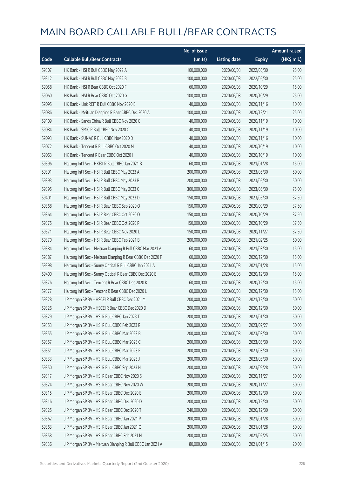|       |                                                             | No. of issue |                     |               | <b>Amount raised</b> |
|-------|-------------------------------------------------------------|--------------|---------------------|---------------|----------------------|
| Code  | <b>Callable Bull/Bear Contracts</b>                         | (units)      | <b>Listing date</b> | <b>Expiry</b> | (HK\$ mil.)          |
| 59307 | HK Bank - HSI R Bull CBBC May 2022 A                        | 100,000,000  | 2020/06/08          | 2022/05/30    | 25.00                |
| 59312 | HK Bank - HSI R Bull CBBC May 2022 B                        | 100,000,000  | 2020/06/08          | 2022/05/30    | 25.00                |
| 59058 | HK Bank - HSI R Bear CBBC Oct 2020 F                        | 60,000,000   | 2020/06/08          | 2020/10/29    | 15.00                |
| 59060 | HK Bank - HSI R Bear CBBC Oct 2020 G                        | 100,000,000  | 2020/06/08          | 2020/10/29    | 25.00                |
| 59095 | HK Bank - Link REIT R Bull CBBC Nov 2020 B                  | 40,000,000   | 2020/06/08          | 2020/11/16    | 10.00                |
| 59086 | HK Bank - Meituan Dianping R Bear CBBC Dec 2020 A           | 100,000,000  | 2020/06/08          | 2020/12/21    | 25.00                |
| 59109 | HK Bank - Sands China R Bull CBBC Nov 2020 C                | 40,000,000   | 2020/06/08          | 2020/11/19    | 10.00                |
| 59084 | HK Bank - SMIC R Bull CBBC Nov 2020 C                       | 40,000,000   | 2020/06/08          | 2020/11/19    | 10.00                |
| 59093 | HK Bank - SUNAC R Bull CBBC Nov 2020 D                      | 40,000,000   | 2020/06/08          | 2020/11/16    | 10.00                |
| 59072 | HK Bank - Tencent R Bull CBBC Oct 2020 M                    | 40,000,000   | 2020/06/08          | 2020/10/19    | 10.00                |
| 59063 | HK Bank - Tencent R Bear CBBC Oct 2020 I                    | 40,000,000   | 2020/06/08          | 2020/10/19    | 10.00                |
| 59396 | Haitong Int'l Sec - HKEX R Bull CBBC Jan 2021 B             | 60,000,000   | 2020/06/08          | 2021/01/28    | 15.00                |
| 59391 | Haitong Int'l Sec - HSI R Bull CBBC May 2023 A              | 200,000,000  | 2020/06/08          | 2023/05/30    | 50.00                |
| 59393 | Haitong Int'l Sec - HSI R Bull CBBC May 2023 B              | 200,000,000  | 2020/06/08          | 2023/05/30    | 50.00                |
| 59395 | Haitong Int'l Sec - HSI R Bull CBBC May 2023 C              | 300,000,000  | 2020/06/08          | 2023/05/30    | 75.00                |
| 59401 | Haitong Int'l Sec - HSI R Bull CBBC May 2023 D              | 150,000,000  | 2020/06/08          | 2023/05/30    | 37.50                |
| 59368 | Haitong Int'l Sec - HSI R Bear CBBC Sep 2020 O              | 150,000,000  | 2020/06/08          | 2020/09/29    | 37.50                |
| 59364 | Haitong Int'l Sec - HSI R Bear CBBC Oct 2020 O              | 150,000,000  | 2020/06/08          | 2020/10/29    | 37.50                |
| 59375 | Haitong Int'l Sec - HSI R Bear CBBC Oct 2020 P              | 150,000,000  | 2020/06/08          | 2020/10/29    | 37.50                |
| 59371 | Haitong Int'l Sec - HSI R Bear CBBC Nov 2020 L              | 150,000,000  | 2020/06/08          | 2020/11/27    | 37.50                |
| 59370 | Haitong Int'l Sec - HSI R Bear CBBC Feb 2021 B              | 200,000,000  | 2020/06/08          | 2021/02/25    | 50.00                |
| 59384 | Haitong Int'l Sec - Meituan Dianping R Bull CBBC Mar 2021 A | 60,000,000   | 2020/06/08          | 2021/03/30    | 15.00                |
| 59387 | Haitong Int'l Sec - Meituan Dianping R Bear CBBC Dec 2020 F | 60,000,000   | 2020/06/08          | 2020/12/30    | 15.00                |
| 59398 | Haitong Int'l Sec - Sunny Optical R Bull CBBC Jan 2021 A    | 60,000,000   | 2020/06/08          | 2021/01/28    | 15.00                |
| 59400 | Haitong Int'l Sec - Sunny Optical R Bear CBBC Dec 2020 B    | 60,000,000   | 2020/06/08          | 2020/12/30    | 15.00                |
| 59376 | Haitong Int'l Sec - Tencent R Bear CBBC Dec 2020 K          | 60,000,000   | 2020/06/08          | 2020/12/30    | 15.00                |
| 59377 | Haitong Int'l Sec - Tencent R Bear CBBC Dec 2020 L          | 60,000,000   | 2020/06/08          | 2020/12/30    | 15.00                |
| 59328 | J P Morgan SP BV - HSCEI R Bull CBBC Dec 2021 M             | 200,000,000  | 2020/06/08          | 2021/12/30    | 50.00                |
| 59326 | J P Morgan SP BV - HSCEI R Bear CBBC Dec 2020 D             | 200,000,000  | 2020/06/08          | 2020/12/30    | 50.00                |
| 59329 | J P Morgan SP BV - HSI R Bull CBBC Jan 2023 T               | 200,000,000  | 2020/06/08          | 2023/01/30    | 50.00                |
| 59353 | J P Morgan SP BV - HSI R Bull CBBC Feb 2023 R               | 200,000,000  | 2020/06/08          | 2023/02/27    | 50.00                |
| 59355 | J P Morgan SP BV - HSI R Bull CBBC Mar 2023 B               | 200,000,000  | 2020/06/08          | 2023/03/30    | 50.00                |
| 59357 | J P Morgan SP BV - HSI R Bull CBBC Mar 2023 C               | 200,000,000  | 2020/06/08          | 2023/03/30    | 50.00                |
| 59351 | J P Morgan SP BV - HSI R Bull CBBC Mar 2023 E               | 200,000,000  | 2020/06/08          | 2023/03/30    | 50.00                |
| 59333 | J P Morgan SP BV - HSI R Bull CBBC Mar 2023 J               | 200,000,000  | 2020/06/08          | 2023/03/30    | 50.00                |
| 59350 | J P Morgan SP BV - HSI R Bull CBBC Sep 2023 N               | 200,000,000  | 2020/06/08          | 2023/09/28    | 50.00                |
| 59317 | J P Morgan SP BV - HSI R Bear CBBC Nov 2020 S               | 200,000,000  | 2020/06/08          | 2020/11/27    | 50.00                |
| 59324 | J P Morgan SP BV - HSI R Bear CBBC Nov 2020 W               | 200,000,000  | 2020/06/08          | 2020/11/27    | 50.00                |
| 59315 | J P Morgan SP BV - HSI R Bear CBBC Dec 2020 B               | 200,000,000  | 2020/06/08          | 2020/12/30    | 50.00                |
| 59316 | J P Morgan SP BV - HSI R Bear CBBC Dec 2020 D               | 200,000,000  | 2020/06/08          | 2020/12/30    | 50.00                |
| 59325 | J P Morgan SP BV - HSI R Bear CBBC Dec 2020 T               | 240,000,000  | 2020/06/08          | 2020/12/30    | 60.00                |
| 59362 | J P Morgan SP BV - HSI R Bear CBBC Jan 2021 P               | 200,000,000  | 2020/06/08          | 2021/01/28    | 50.00                |
| 59363 | J P Morgan SP BV - HSI R Bear CBBC Jan 2021 Q               | 200,000,000  | 2020/06/08          | 2021/01/28    | 50.00                |
| 59358 | J P Morgan SP BV - HSI R Bear CBBC Feb 2021 H               | 200,000,000  | 2020/06/08          | 2021/02/25    | 50.00                |
| 59336 | J P Morgan SP BV - Meituan Dianping R Bull CBBC Jan 2021 A  | 80,000,000   | 2020/06/08          | 2021/01/15    | 20.00                |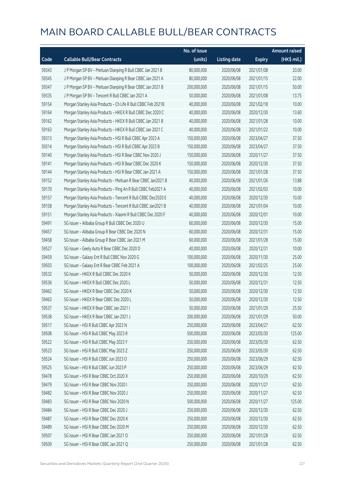|       |                                                              | No. of issue |                     |               | <b>Amount raised</b> |
|-------|--------------------------------------------------------------|--------------|---------------------|---------------|----------------------|
| Code  | <b>Callable Bull/Bear Contracts</b>                          | (units)      | <b>Listing date</b> | <b>Expiry</b> | (HK\$ mil.)          |
| 59343 | J P Morgan SP BV - Meituan Dianping R Bull CBBC Jan 2021 B   | 80,000,000   | 2020/06/08          | 2021/01/08    | 20.00                |
| 59345 | J P Morgan SP BV - Meituan Dianping R Bear CBBC Jan 2021 A   | 80,000,000   | 2020/06/08          | 2021/01/15    | 22.00                |
| 59347 | J P Morgan SP BV - Meituan Dianping R Bear CBBC Jan 2021 B   | 200,000,000  | 2020/06/08          | 2021/01/15    | 50.00                |
| 59335 | J P Morgan SP BV - Tencent R Bull CBBC Jan 2021 A            | 50,000,000   | 2020/06/08          | 2021/01/08    | 13.75                |
| 59154 | Morgan Stanley Asia Products - Ch Life R Bull CBBC Feb 2021B | 40,000,000   | 2020/06/08          | 2021/02/18    | 10.00                |
| 59164 | Morgan Stanley Asia Products - HKEX R Bull CBBC Dec 2020 C   | 40,000,000   | 2020/06/08          | 2020/12/30    | 13.60                |
| 59162 | Morgan Stanley Asia Products - HKEX R Bull CBBC Jan 2021 B   | 40,000,000   | 2020/06/08          | 2021/01/28    | 10.00                |
| 59163 | Morgan Stanley Asia Products - HKEX R Bull CBBC Jan 2021 C   | 40,000,000   | 2020/06/08          | 2021/01/22    | 10.00                |
| 59313 | Morgan Stanley Asia Products - HSI R Bull CBBC Apr 2023 A    | 150,000,000  | 2020/06/08          | 2023/04/27    | 37.50                |
| 59314 | Morgan Stanley Asia Products - HSI R Bull CBBC Apr 2023 B    | 150,000,000  | 2020/06/08          | 2023/04/27    | 37.50                |
| 59140 | Morgan Stanley Asia Products - HSI R Bear CBBC Nov 2020 J    | 150,000,000  | 2020/06/08          | 2020/11/27    | 37.50                |
| 59141 | Morgan Stanley Asia Products - HSI R Bear CBBC Dec 2020 K    | 150,000,000  | 2020/06/08          | 2020/12/30    | 37.50                |
| 59144 | Morgan Stanley Asia Products - HSI R Bear CBBC Jan 2021 A    | 150,000,000  | 2020/06/08          | 2021/01/28    | 37.50                |
| 59152 | Morgan Stanley Asia Products - Meituan R Bear CBBC Jan2021 B | 40,000,000   | 2020/06/08          | 2021/01/26    | 13.88                |
| 59170 | Morgan Stanley Asia Products - Ping An R Bull CBBC Feb2021 A | 40,000,000   | 2020/06/08          | 2021/02/03    | 10.00                |
| 59157 | Morgan Stanley Asia Products - Tencent R Bull CBBC Dec2020 E | 40,000,000   | 2020/06/08          | 2020/12/30    | 10.00                |
| 59158 | Morgan Stanley Asia Products - Tencent R Bull CBBC Jan2021 B | 40,000,000   | 2020/06/08          | 2021/01/04    | 10.00                |
| 59151 | Morgan Stanley Asia Products - Xiaomi R Bull CBBC Dec 2020 F | 40,000,000   | 2020/06/08          | 2020/12/01    | 10.00                |
| 59491 | SG Issuer - Alibaba Group R Bull CBBC Dec 2020 U             | 60,000,000   | 2020/06/08          | 2020/12/30    | 15.00                |
| 59457 | SG Issuer - Alibaba Group R Bear CBBC Dec 2020 N             | 60,000,000   | 2020/06/08          | 2020/12/31    | 15.00                |
| 59458 | SG Issuer - Alibaba Group R Bear CBBC Jan 2021 M             | 60,000,000   | 2020/06/08          | 2021/01/28    | 15.00                |
| 59527 | SG Issuer - Geely Auto R Bear CBBC Dec 2020 D                | 40,000,000   | 2020/06/08          | 2020/12/31    | 10.00                |
| 59459 | SG Issuer - Galaxy Ent R Bull CBBC Nov 2020 G                | 100,000,000  | 2020/06/08          | 2020/11/30    | 25.00                |
| 59503 | SG Issuer - Galaxy Ent R Bear CBBC Feb 2021 A                | 100,000,000  | 2020/06/08          | 2021/02/25    | 25.00                |
| 59532 | SG Issuer - HKEX R Bull CBBC Dec 2020 K                      | 50,000,000   | 2020/06/08          | 2020/12/30    | 12.50                |
| 59536 | SG Issuer - HKEX R Bull CBBC Dec 2020 L                      | 50,000,000   | 2020/06/08          | 2020/12/31    | 12.50                |
| 59462 | SG Issuer - HKEX R Bear CBBC Dec 2020 K                      | 50,000,000   | 2020/06/08          | 2020/12/30    | 12.50                |
| 59463 | SG Issuer - HKEX R Bear CBBC Dec 2020 L                      | 50,000,000   | 2020/06/08          | 2020/12/30    | 12.50                |
| 59537 | SG Issuer - HKEX R Bear CBBC Jan 2021 I                      | 50,000,000   | 2020/06/08          | 2021/01/29    | 25.50                |
| 59538 | SG Issuer - HKEX R Bear CBBC Jan 2021 J                      | 200,000,000  | 2020/06/08          | 2021/01/29    | 50.00                |
| 59517 | SG Issuer - HSI R Bull CBBC Apr 2023 N                       | 250,000,000  | 2020/06/08          | 2023/04/27    | 62.50                |
| 59508 | SG Issuer - HSI R Bull CBBC May 2023 R                       | 500,000,000  | 2020/06/08          | 2023/05/30    | 125.00               |
| 59522 | SG Issuer - HSI R Bull CBBC May 2023 Y                       | 250,000,000  | 2020/06/08          | 2023/05/30    | 62.50                |
| 59523 | SG Issuer - HSI R Bull CBBC May 2023 Z                       | 250,000,000  | 2020/06/08          | 2023/05/30    | 62.50                |
| 59524 | SG Issuer - HSI R Bull CBBC Jun 2023 O                       | 250,000,000  | 2020/06/08          | 2023/06/29    | 62.50                |
| 59525 | SG Issuer - HSI R Bull CBBC Jun 2023 P                       | 250,000,000  | 2020/06/08          | 2023/06/29    | 62.50                |
| 59478 | SG Issuer - HSI R Bear CBBC Oct 2020 X                       | 250,000,000  | 2020/06/08          | 2020/10/29    | 62.50                |
| 59479 | SG Issuer - HSI R Bear CBBC Nov 2020 I                       | 250,000,000  | 2020/06/08          | 2020/11/27    | 62.50                |
| 59482 | SG Issuer - HSI R Bear CBBC Nov 2020 J                       | 250,000,000  | 2020/06/08          | 2020/11/27    | 62.50                |
| 59483 | SG Issuer - HSI R Bear CBBC Nov 2020 N                       | 500,000,000  | 2020/06/08          | 2020/11/27    | 125.00               |
| 59484 | SG Issuer - HSI R Bear CBBC Dec 2020 J                       | 250,000,000  | 2020/06/08          | 2020/12/30    | 62.50                |
| 59487 | SG Issuer - HSI R Bear CBBC Dec 2020 K                       | 250,000,000  | 2020/06/08          | 2020/12/30    | 62.50                |
| 59489 | SG Issuer - HSI R Bear CBBC Dec 2020 M                       | 250,000,000  | 2020/06/08          | 2020/12/30    | 62.50                |
| 59507 | SG Issuer - HSI R Bear CBBC Jan 2021 O                       | 250,000,000  | 2020/06/08          | 2021/01/28    | 62.50                |
| 59509 | SG Issuer - HSI R Bear CBBC Jan 2021 Q                       | 250,000,000  | 2020/06/08          | 2021/01/28    | 62.50                |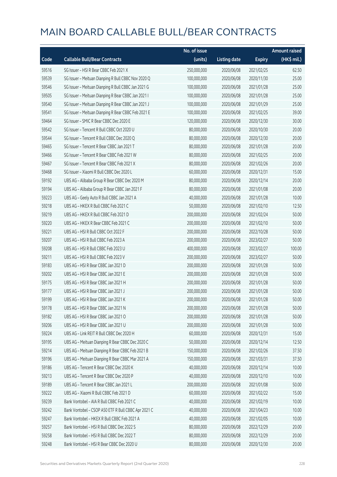|       |                                                     | No. of issue |                     |               | <b>Amount raised</b> |
|-------|-----------------------------------------------------|--------------|---------------------|---------------|----------------------|
| Code  | <b>Callable Bull/Bear Contracts</b>                 | (units)      | <b>Listing date</b> | <b>Expiry</b> | (HK\$ mil.)          |
| 59516 | SG Issuer - HSI R Bear CBBC Feb 2021 X              | 250,000,000  | 2020/06/08          | 2021/02/25    | 62.50                |
| 59539 | SG Issuer - Meituan Dianping R Bull CBBC Nov 2020 Q | 100,000,000  | 2020/06/08          | 2020/11/30    | 25.00                |
| 59546 | SG Issuer - Meituan Dianping R Bull CBBC Jan 2021 G | 100,000,000  | 2020/06/08          | 2021/01/28    | 25.00                |
| 59505 | SG Issuer - Meituan Dianping R Bear CBBC Jan 2021 I | 100,000,000  | 2020/06/08          | 2021/01/28    | 25.00                |
| 59540 | SG Issuer - Meituan Dianping R Bear CBBC Jan 2021 J | 100,000,000  | 2020/06/08          | 2021/01/29    | 25.00                |
| 59541 | SG Issuer - Meituan Dianping R Bear CBBC Feb 2021 E | 100,000,000  | 2020/06/08          | 2021/02/25    | 39.00                |
| 59464 | SG Issuer - SMIC R Bear CBBC Dec 2020 E             | 120,000,000  | 2020/06/08          | 2020/12/30    | 30.00                |
| 59542 | SG Issuer - Tencent R Bull CBBC Oct 2020 U          | 80,000,000   | 2020/06/08          | 2020/10/30    | 20.00                |
| 59544 | SG Issuer - Tencent R Bull CBBC Dec 2020 Q          | 80,000,000   | 2020/06/08          | 2020/12/30    | 20.00                |
| 59465 | SG Issuer - Tencent R Bear CBBC Jan 2021 T          | 80,000,000   | 2020/06/08          | 2021/01/28    | 20.00                |
| 59466 | SG Issuer - Tencent R Bear CBBC Feb 2021 W          | 80,000,000   | 2020/06/08          | 2021/02/25    | 20.00                |
| 59467 | SG Issuer - Tencent R Bear CBBC Feb 2021 X          | 80,000,000   | 2020/06/08          | 2021/02/26    | 20.00                |
| 59468 | SG Issuer - Xiaomi R Bull CBBC Dec 2020 L           | 60,000,000   | 2020/06/08          | 2020/12/31    | 15.00                |
| 59192 | UBS AG - Alibaba Group R Bear CBBC Dec 2020 M       | 80,000,000   | 2020/06/08          | 2020/12/14    | 20.00                |
| 59194 | UBS AG - Alibaba Group R Bear CBBC Jan 2021 F       | 80,000,000   | 2020/06/08          | 2021/01/08    | 20.00                |
| 59223 | UBS AG - Geely Auto R Bull CBBC Jan 2021 A          | 40,000,000   | 2020/06/08          | 2021/01/28    | 10.00                |
| 59218 | UBS AG - HKEX R Bull CBBC Feb 2021 C                | 50,000,000   | 2020/06/08          | 2021/02/10    | 12.50                |
| 59219 | UBS AG - HKEX R Bull CBBC Feb 2021 D                | 200,000,000  | 2020/06/08          | 2021/02/24    | 50.00                |
| 59220 | UBS AG - HKEX R Bear CBBC Feb 2021 C                | 200,000,000  | 2020/06/08          | 2021/02/10    | 50.00                |
| 59221 | UBS AG - HSI R Bull CBBC Oct 2022 F                 | 200,000,000  | 2020/06/08          | 2022/10/28    | 50.00                |
| 59207 | UBS AG - HSI R Bull CBBC Feb 2023 A                 | 200,000,000  | 2020/06/08          | 2023/02/27    | 50.00                |
| 59208 | UBS AG - HSI R Bull CBBC Feb 2023 U                 | 400,000,000  | 2020/06/08          | 2023/02/27    | 100.00               |
| 59211 | UBS AG - HSI R Bull CBBC Feb 2023 V                 | 200,000,000  | 2020/06/08          | 2023/02/27    | 50.00                |
| 59183 | UBS AG - HSI R Bear CBBC Jan 2021 D                 | 200,000,000  | 2020/06/08          | 2021/01/28    | 50.00                |
| 59202 | UBS AG - HSI R Bear CBBC Jan 2021 E                 | 200,000,000  | 2020/06/08          | 2021/01/28    | 50.00                |
| 59175 | UBS AG - HSI R Bear CBBC Jan 2021 H                 | 200,000,000  | 2020/06/08          | 2021/01/28    | 50.00                |
| 59177 | UBS AG - HSI R Bear CBBC Jan 2021 J                 | 200,000,000  | 2020/06/08          | 2021/01/28    | 50.00                |
| 59199 | UBS AG - HSI R Bear CBBC Jan 2021 K                 | 200,000,000  | 2020/06/08          | 2021/01/28    | 50.00                |
| 59178 | UBS AG - HSI R Bear CBBC Jan 2021 N                 | 200,000,000  | 2020/06/08          | 2021/01/28    | 50.00                |
| 59182 | UBS AG - HSI R Bear CBBC Jan 2021 O                 | 200,000,000  | 2020/06/08          | 2021/01/28    | 50.00                |
| 59206 | UBS AG - HSI R Bear CBBC Jan 2021 U                 | 200,000,000  | 2020/06/08          | 2021/01/28    | 50.00                |
| 59224 | UBS AG - Link REIT R Bull CBBC Dec 2020 H           | 60,000,000   | 2020/06/08          | 2020/12/31    | 15.00                |
| 59195 | UBS AG - Meituan Dianping R Bear CBBC Dec 2020 C    | 50,000,000   | 2020/06/08          | 2020/12/14    | 12.50                |
| 59214 | UBS AG - Meituan Dianping R Bear CBBC Feb 2021 B    | 150,000,000  | 2020/06/08          | 2021/02/26    | 37.50                |
| 59196 | UBS AG - Meituan Dianping R Bear CBBC Mar 2021 A    | 150,000,000  | 2020/06/08          | 2021/03/31    | 37.50                |
| 59186 | UBS AG - Tencent R Bear CBBC Dec 2020 K             | 40,000,000   | 2020/06/08          | 2020/12/14    | 10.00                |
| 59213 | UBS AG - Tencent R Bear CBBC Dec 2020 P             | 40,000,000   | 2020/06/08          | 2020/12/10    | 10.00                |
| 59189 | UBS AG - Tencent R Bear CBBC Jan 2021 L             | 200,000,000  | 2020/06/08          | 2021/01/08    | 50.00                |
| 59222 | UBS AG - Xiaomi R Bull CBBC Feb 2021 D              | 60,000,000   | 2020/06/08          | 2021/02/22    | 15.00                |
| 59239 | Bank Vontobel - AIA R Bull CBBC Feb 2021 C          | 40,000,000   | 2020/06/08          | 2021/02/19    | 10.00                |
| 59242 | Bank Vontobel - CSOP A50 ETF R Bull CBBC Apr 2021 C | 40,000,000   | 2020/06/08          | 2021/04/23    | 10.00                |
| 59247 | Bank Vontobel - HKEX R Bull CBBC Feb 2021 A         | 40,000,000   | 2020/06/08          | 2021/02/05    | 10.00                |
| 59257 | Bank Vontobel - HSI R Bull CBBC Dec 2022 S          | 80,000,000   | 2020/06/08          | 2022/12/29    | 20.00                |
| 59258 | Bank Vontobel - HSI R Bull CBBC Dec 2022 T          | 80,000,000   | 2020/06/08          | 2022/12/29    | 20.00                |
| 59248 | Bank Vontobel - HSI R Bear CBBC Dec 2020 U          | 80,000,000   | 2020/06/08          | 2020/12/30    | 20.00                |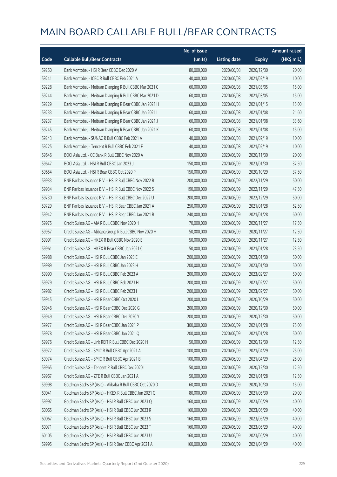|       |                                                          | No. of issue |                     |               | <b>Amount raised</b> |
|-------|----------------------------------------------------------|--------------|---------------------|---------------|----------------------|
| Code  | <b>Callable Bull/Bear Contracts</b>                      | (units)      | <b>Listing date</b> | <b>Expiry</b> | (HK\$ mil.)          |
| 59250 | Bank Vontobel - HSI R Bear CBBC Dec 2020 V               | 80,000,000   | 2020/06/08          | 2020/12/30    | 20.00                |
| 59241 | Bank Vontobel - ICBC R Bull CBBC Feb 2021 A              | 40,000,000   | 2020/06/08          | 2021/02/19    | 10.00                |
| 59228 | Bank Vontobel - Meituan Dianping R Bull CBBC Mar 2021 C  | 60,000,000   | 2020/06/08          | 2021/03/05    | 15.00                |
| 59244 | Bank Vontobel - Meituan Dianping R Bull CBBC Mar 2021 D  | 60,000,000   | 2020/06/08          | 2021/03/05    | 15.00                |
| 59229 | Bank Vontobel - Meituan Dianping R Bear CBBC Jan 2021 H  | 60,000,000   | 2020/06/08          | 2021/01/15    | 15.00                |
| 59233 | Bank Vontobel - Meituan Dianping R Bear CBBC Jan 2021 I  | 60,000,000   | 2020/06/08          | 2021/01/08    | 21.60                |
| 59237 | Bank Vontobel - Meituan Dianping R Bear CBBC Jan 2021 J  | 60,000,000   | 2020/06/08          | 2021/01/08    | 33.60                |
| 59245 | Bank Vontobel - Meituan Dianping R Bear CBBC Jan 2021 K  | 60,000,000   | 2020/06/08          | 2021/01/08    | 15.00                |
| 59243 | Bank Vontobel - SUNAC R Bull CBBC Feb 2021 A             | 40,000,000   | 2020/06/08          | 2021/02/19    | 10.00                |
| 59225 | Bank Vontobel - Tencent R Bull CBBC Feb 2021 F           | 40,000,000   | 2020/06/08          | 2021/02/19    | 10.00                |
| 59646 | BOCI Asia Ltd. - CC Bank R Bull CBBC Nov 2020 A          | 80,000,000   | 2020/06/09          | 2020/11/30    | 20.00                |
| 59647 | BOCI Asia Ltd. - HSI R Bull CBBC Jan 2023 J              | 150,000,000  | 2020/06/09          | 2023/01/30    | 37.50                |
| 59654 | BOCI Asia Ltd. - HSI R Bear CBBC Oct 2020 P              | 150,000,000  | 2020/06/09          | 2020/10/29    | 37.50                |
| 59933 | BNP Paribas Issuance B.V. - HSI R Bull CBBC Nov 2022 R   | 200,000,000  | 2020/06/09          | 2022/11/29    | 50.00                |
| 59934 | BNP Paribas Issuance B.V. - HSI R Bull CBBC Nov 2022 S   | 190,000,000  | 2020/06/09          | 2022/11/29    | 47.50                |
| 59730 | BNP Paribas Issuance B.V. - HSI R Bull CBBC Dec 2022 U   | 200,000,000  | 2020/06/09          | 2022/12/29    | 50.00                |
| 59729 | BNP Paribas Issuance B.V. - HSI R Bear CBBC Jan 2021 A   | 250,000,000  | 2020/06/09          | 2021/01/28    | 62.50                |
| 59942 | BNP Paribas Issuance B.V. - HSI R Bear CBBC Jan 2021 B   | 240,000,000  | 2020/06/09          | 2021/01/28    | 60.00                |
| 59975 | Credit Suisse AG - AIA R Bull CBBC Nov 2020 H            | 70,000,000   | 2020/06/09          | 2020/11/27    | 17.50                |
| 59957 | Credit Suisse AG - Alibaba Group R Bull CBBC Nov 2020 H  | 50,000,000   | 2020/06/09          | 2020/11/27    | 12.50                |
| 59991 | Credit Suisse AG - HKEX R Bull CBBC Nov 2020 E           | 50,000,000   | 2020/06/09          | 2020/11/27    | 12.50                |
| 59961 | Credit Suisse AG - HKEX R Bear CBBC Jan 2021 C           | 50,000,000   | 2020/06/09          | 2021/01/28    | 23.50                |
| 59988 | Credit Suisse AG - HSI R Bull CBBC Jan 2023 E            | 200,000,000  | 2020/06/09          | 2023/01/30    | 50.00                |
| 59989 | Credit Suisse AG - HSI R Bull CBBC Jan 2023 H            | 200,000,000  | 2020/06/09          | 2023/01/30    | 50.00                |
| 59990 | Credit Suisse AG - HSI R Bull CBBC Feb 2023 A            | 200,000,000  | 2020/06/09          | 2023/02/27    | 50.00                |
| 59979 | Credit Suisse AG - HSI R Bull CBBC Feb 2023 H            | 200,000,000  | 2020/06/09          | 2023/02/27    | 50.00                |
| 59982 | Credit Suisse AG - HSI R Bull CBBC Feb 2023 I            | 200,000,000  | 2020/06/09          | 2023/02/27    | 50.00                |
| 59945 | Credit Suisse AG - HSI R Bear CBBC Oct 2020 L            | 200,000,000  | 2020/06/09          | 2020/10/29    | 50.00                |
| 59946 | Credit Suisse AG - HSI R Bear CBBC Dec 2020 G            | 200,000,000  | 2020/06/09          | 2020/12/30    | 50.00                |
| 59949 | Credit Suisse AG - HSI R Bear CBBC Dec 2020 Y            | 200,000,000  | 2020/06/09          | 2020/12/30    | 50.00                |
| 59977 | Credit Suisse AG - HSI R Bear CBBC Jan 2021 P            | 300,000,000  | 2020/06/09          | 2021/01/28    | 75.00                |
| 59978 | Credit Suisse AG - HSI R Bear CBBC Jan 2021 Q            | 200,000,000  | 2020/06/09          | 2021/01/28    | 50.00                |
| 59976 | Credit Suisse AG - Link REIT R Bull CBBC Dec 2020 H      | 50,000,000   | 2020/06/09          | 2020/12/30    | 12.50                |
| 59972 | Credit Suisse AG - SMIC R Bull CBBC Apr 2021 A           | 100,000,000  | 2020/06/09          | 2021/04/29    | 25.00                |
| 59974 | Credit Suisse AG - SMIC R Bull CBBC Apr 2021 B           | 100,000,000  | 2020/06/09          | 2021/04/29    | 25.00                |
| 59965 | Credit Suisse AG - Tencent R Bull CBBC Dec 2020 I        | 50,000,000   | 2020/06/09          | 2020/12/30    | 12.50                |
| 59967 | Credit Suisse AG - ZTE R Bull CBBC Jan 2021 A            | 50,000,000   | 2020/06/09          | 2021/01/28    | 12.50                |
| 59998 | Goldman Sachs SP (Asia) - Alibaba R Bull CBBC Oct 2020 D | 60,000,000   | 2020/06/09          | 2020/10/30    | 15.00                |
| 60041 | Goldman Sachs SP (Asia) - HKEX R Bull CBBC Jun 2021 G    | 80,000,000   | 2020/06/09          | 2021/06/30    | 20.00                |
| 59997 | Goldman Sachs SP (Asia) - HSI R Bull CBBC Jun 2023 Q     | 160,000,000  | 2020/06/09          | 2023/06/29    | 40.00                |
| 60065 | Goldman Sachs SP (Asia) - HSI R Bull CBBC Jun 2023 R     | 160,000,000  | 2020/06/09          | 2023/06/29    | 40.00                |
| 60067 | Goldman Sachs SP (Asia) - HSI R Bull CBBC Jun 2023 S     | 160,000,000  | 2020/06/09          | 2023/06/29    | 40.00                |
| 60071 | Goldman Sachs SP (Asia) - HSI R Bull CBBC Jun 2023 T     | 160,000,000  | 2020/06/09          | 2023/06/29    | 40.00                |
| 60105 | Goldman Sachs SP (Asia) - HSI R Bull CBBC Jun 2023 U     | 160,000,000  | 2020/06/09          | 2023/06/29    | 40.00                |
| 59995 | Goldman Sachs SP (Asia) - HSI R Bear CBBC Apr 2021 A     | 160,000,000  | 2020/06/09          | 2021/04/29    | 40.00                |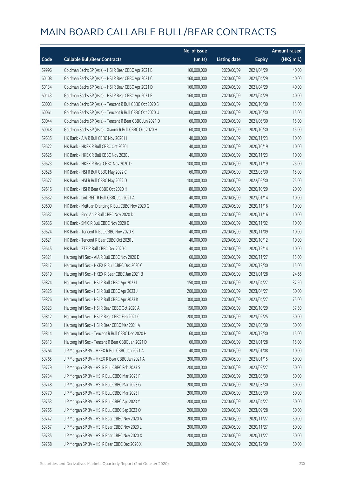|       |                                                          | No. of issue |                     |               | <b>Amount raised</b> |
|-------|----------------------------------------------------------|--------------|---------------------|---------------|----------------------|
| Code  | <b>Callable Bull/Bear Contracts</b>                      | (units)      | <b>Listing date</b> | <b>Expiry</b> | (HK\$ mil.)          |
| 59996 | Goldman Sachs SP (Asia) - HSI R Bear CBBC Apr 2021 B     | 160,000,000  | 2020/06/09          | 2021/04/29    | 40.00                |
| 60108 | Goldman Sachs SP (Asia) - HSI R Bear CBBC Apr 2021 C     | 160,000,000  | 2020/06/09          | 2021/04/29    | 40.00                |
| 60134 | Goldman Sachs SP (Asia) - HSI R Bear CBBC Apr 2021 D     | 160,000,000  | 2020/06/09          | 2021/04/29    | 40.00                |
| 60143 | Goldman Sachs SP (Asia) - HSI R Bear CBBC Apr 2021 E     | 160,000,000  | 2020/06/09          | 2021/04/29    | 40.00                |
| 60003 | Goldman Sachs SP (Asia) - Tencent R Bull CBBC Oct 2020 S | 60,000,000   | 2020/06/09          | 2020/10/30    | 15.00                |
| 60061 | Goldman Sachs SP (Asia) - Tencent R Bull CBBC Oct 2020 U | 60,000,000   | 2020/06/09          | 2020/10/30    | 15.00                |
| 60044 | Goldman Sachs SP (Asia) - Tencent R Bear CBBC Jun 2021 D | 60,000,000   | 2020/06/09          | 2021/06/30    | 15.00                |
| 60048 | Goldman Sachs SP (Asia) - Xiaomi R Bull CBBC Oct 2020 H  | 60,000,000   | 2020/06/09          | 2020/10/30    | 15.00                |
| 59635 | HK Bank - AIA R Bull CBBC Nov 2020 H                     | 40,000,000   | 2020/06/09          | 2020/11/23    | 10.00                |
| 59622 | HK Bank - HKEX R Bull CBBC Oct 2020 I                    | 40,000,000   | 2020/06/09          | 2020/10/19    | 10.00                |
| 59625 | HK Bank - HKEX R Bull CBBC Nov 2020 J                    | 40,000,000   | 2020/06/09          | 2020/11/23    | 10.00                |
| 59623 | HK Bank - HKEX R Bear CBBC Nov 2020 D                    | 100,000,000  | 2020/06/09          | 2020/11/19    | 25.00                |
| 59626 | HK Bank - HSI R Bull CBBC May 2022 C                     | 60,000,000   | 2020/06/09          | 2022/05/30    | 15.00                |
| 59627 | HK Bank - HSI R Bull CBBC May 2022 D                     | 100,000,000  | 2020/06/09          | 2022/05/30    | 25.00                |
| 59616 | HK Bank - HSI R Bear CBBC Oct 2020 H                     | 80,000,000   | 2020/06/09          | 2020/10/29    | 20.00                |
| 59632 | HK Bank - Link REIT R Bull CBBC Jan 2021 A               | 40,000,000   | 2020/06/09          | 2021/01/14    | 10.00                |
| 59609 | HK Bank - Meituan Dianping R Bull CBBC Nov 2020 G        | 40,000,000   | 2020/06/09          | 2020/11/16    | 10.00                |
| 59637 | HK Bank - Ping An R Bull CBBC Nov 2020 D                 | 40,000,000   | 2020/06/09          | 2020/11/16    | 10.00                |
| 59636 | HK Bank - SMIC R Bull CBBC Nov 2020 D                    | 40,000,000   | 2020/06/09          | 2020/11/02    | 10.00                |
| 59624 | HK Bank - Tencent R Bull CBBC Nov 2020 K                 | 40,000,000   | 2020/06/09          | 2020/11/09    | 10.00                |
| 59621 | HK Bank - Tencent R Bear CBBC Oct 2020 J                 | 40,000,000   | 2020/06/09          | 2020/10/12    | 10.00                |
| 59645 | HK Bank - ZTE R Bull CBBC Dec 2020 C                     | 40,000,000   | 2020/06/09          | 2020/12/14    | 10.00                |
| 59821 | Haitong Int'l Sec - AIA R Bull CBBC Nov 2020 D           | 60,000,000   | 2020/06/09          | 2020/11/27    | 15.00                |
| 59817 | Haitong Int'l Sec - HKEX R Bull CBBC Dec 2020 C          | 60,000,000   | 2020/06/09          | 2020/12/30    | 15.00                |
| 59819 | Haitong Int'l Sec - HKEX R Bear CBBC Jan 2021 B          | 60,000,000   | 2020/06/09          | 2021/01/28    | 24.66                |
| 59824 | Haitong Int'l Sec - HSI R Bull CBBC Apr 2023 I           | 150,000,000  | 2020/06/09          | 2023/04/27    | 37.50                |
| 59825 | Haitong Int'l Sec - HSI R Bull CBBC Apr 2023 J           | 200,000,000  | 2020/06/09          | 2023/04/27    | 50.00                |
| 59826 | Haitong Int'l Sec - HSI R Bull CBBC Apr 2023 K           | 300,000,000  | 2020/06/09          | 2023/04/27    | 75.00                |
| 59823 | Haitong Int'l Sec - HSI R Bear CBBC Oct 2020 A           | 150,000,000  | 2020/06/09          | 2020/10/29    | 37.50                |
| 59812 | Haitong Int'l Sec - HSI R Bear CBBC Feb 2021 C           | 200,000,000  | 2020/06/09          | 2021/02/25    | 50.00                |
| 59810 | Haitong Int'l Sec - HSI R Bear CBBC Mar 2021 A           | 200,000,000  | 2020/06/09          | 2021/03/30    | 50.00                |
| 59814 | Haitong Int'l Sec - Tencent R Bull CBBC Dec 2020 H       | 60,000,000   | 2020/06/09          | 2020/12/30    | 15.00                |
| 59813 | Haitong Int'l Sec - Tencent R Bear CBBC Jan 2021 D       | 60,000,000   | 2020/06/09          | 2021/01/28    | 15.00                |
| 59764 | J P Morgan SP BV - HKEX R Bull CBBC Jan 2021 A           | 40,000,000   | 2020/06/09          | 2021/01/08    | 10.00                |
| 59765 | J P Morgan SP BV - HKEX R Bear CBBC Jan 2021 A           | 200,000,000  | 2020/06/09          | 2021/01/15    | 50.00                |
| 59779 | J P Morgan SP BV - HSI R Bull CBBC Feb 2023 S            | 200,000,000  | 2020/06/09          | 2023/02/27    | 50.00                |
| 59734 | J P Morgan SP BV - HSI R Bull CBBC Mar 2023 F            | 200,000,000  | 2020/06/09          | 2023/03/30    | 50.00                |
| 59748 | J P Morgan SP BV - HSI R Bull CBBC Mar 2023 G            | 200,000,000  | 2020/06/09          | 2023/03/30    | 50.00                |
| 59770 | J P Morgan SP BV - HSI R Bull CBBC Mar 2023 I            | 200,000,000  | 2020/06/09          | 2023/03/30    | 50.00                |
| 59753 | J P Morgan SP BV - HSI R Bull CBBC Apr 2023 Y            | 200,000,000  | 2020/06/09          | 2023/04/27    | 50.00                |
| 59755 | J P Morgan SP BV - HSI R Bull CBBC Sep 2023 O            | 200,000,000  | 2020/06/09          | 2023/09/28    | 50.00                |
| 59742 | J P Morgan SP BV - HSI R Bear CBBC Nov 2020 A            | 200,000,000  | 2020/06/09          | 2020/11/27    | 50.00                |
| 59757 | J P Morgan SP BV - HSI R Bear CBBC Nov 2020 L            | 200,000,000  | 2020/06/09          | 2020/11/27    | 50.00                |
| 59735 | J P Morgan SP BV - HSI R Bear CBBC Nov 2020 X            | 200,000,000  | 2020/06/09          | 2020/11/27    | 50.00                |
| 59758 | J P Morgan SP BV - HSI R Bear CBBC Dec 2020 X            | 200,000,000  | 2020/06/09          | 2020/12/30    | 50.00                |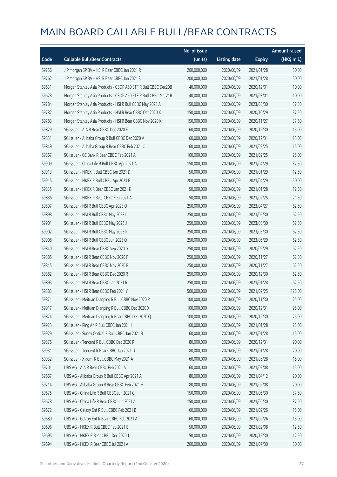|       |                                                                | No. of issue |                     |               | <b>Amount raised</b>  |
|-------|----------------------------------------------------------------|--------------|---------------------|---------------|-----------------------|
| Code  | <b>Callable Bull/Bear Contracts</b>                            | (units)      | <b>Listing date</b> | <b>Expiry</b> | $(HK\frac{1}{2}mil.)$ |
| 59756 | J P Morgan SP BV - HSI R Bear CBBC Jan 2021 R                  | 200,000,000  | 2020/06/09          | 2021/01/28    | 50.00                 |
| 59762 | J P Morgan SP BV - HSI R Bear CBBC Jan 2021 S                  | 200,000,000  | 2020/06/09          | 2021/01/28    | 50.00                 |
| 59631 | Morgan Stanley Asia Products - CSOP A50 ETF R Bull CBBC Dec20B | 40,000,000   | 2020/06/09          | 2020/12/01    | 10.00                 |
| 59628 | Morgan Stanley Asia Products - CSOP A50 ETF R Bull CBBC Mar21B | 40,000,000   | 2020/06/09          | 2021/03/01    | 10.00                 |
| 59784 | Morgan Stanley Asia Products - HSI R Bull CBBC May 2023 A      | 150,000,000  | 2020/06/09          | 2023/05/30    | 37.50                 |
| 59782 | Morgan Stanley Asia Products - HSI R Bear CBBC Oct 2020 X      | 150,000,000  | 2020/06/09          | 2020/10/29    | 37.50                 |
| 59783 | Morgan Stanley Asia Products - HSI R Bear CBBC Nov 2020 K      | 150,000,000  | 2020/06/09          | 2020/11/27    | 37.50                 |
| 59829 | SG Issuer - AIA R Bear CBBC Dec 2020 E                         | 60,000,000   | 2020/06/09          | 2020/12/30    | 15.00                 |
| 59831 | SG Issuer - Alibaba Group R Bull CBBC Dec 2020 V               | 60,000,000   | 2020/06/09          | 2020/12/31    | 15.00                 |
| 59849 | SG Issuer - Alibaba Group R Bear CBBC Feb 2021 C               | 60,000,000   | 2020/06/09          | 2021/02/25    | 15.00                 |
| 59867 | SG Issuer - CC Bank R Bear CBBC Feb 2021 A                     | 100,000,000  | 2020/06/09          | 2021/02/25    | 25.00                 |
| 59909 | SG Issuer - China Life R Bull CBBC Apr 2021 A                  | 150,000,000  | 2020/06/09          | 2021/04/29    | 37.50                 |
| 59913 | SG Issuer - HKEX R Bull CBBC Jan 2021 D                        | 50,000,000   | 2020/06/09          | 2021/01/29    | 12.50                 |
| 59915 | SG Issuer - HKEX R Bull CBBC Apr 2021 B                        | 200,000,000  | 2020/06/09          | 2021/04/29    | 50.00                 |
| 59835 | SG Issuer - HKEX R Bear CBBC Jan 2021 K                        | 50,000,000   | 2020/06/09          | 2021/01/28    | 12.50                 |
| 59836 | SG Issuer - HKEX R Bear CBBC Feb 2021 A                        | 50,000,000   | 2020/06/09          | 2021/02/25    | 21.50                 |
| 59897 | SG Issuer - HSI R Bull CBBC Apr 2023 O                         | 250,000,000  | 2020/06/09          | 2023/04/27    | 62.50                 |
| 59898 | SG Issuer - HSI R Bull CBBC May 2023 I                         | 250,000,000  | 2020/06/09          | 2023/05/30    | 62.50                 |
| 59901 | SG Issuer - HSI R Bull CBBC May 2023 J                         | 250,000,000  | 2020/06/09          | 2023/05/30    | 62.50                 |
| 59902 | SG Issuer - HSI R Bull CBBC May 2023 K                         | 250,000,000  | 2020/06/09          | 2023/05/30    | 62.50                 |
| 59908 | SG Issuer - HSI R Bull CBBC Jun 2023 Q                         | 250,000,000  | 2020/06/09          | 2023/06/29    | 62.50                 |
| 59840 | SG Issuer - HSI R Bear CBBC Sep 2020 G                         | 250,000,000  | 2020/06/09          | 2020/09/29    | 62.50                 |
| 59885 | SG Issuer - HSI R Bear CBBC Nov 2020 F                         | 250,000,000  | 2020/06/09          | 2020/11/27    | 62.50                 |
| 59845 | SG Issuer - HSI R Bear CBBC Nov 2020 P                         | 250,000,000  | 2020/06/09          | 2020/11/27    | 62.50                 |
| 59882 | SG Issuer - HSI R Bear CBBC Dec 2020 R                         | 250,000,000  | 2020/06/09          | 2020/12/30    | 62.50                 |
| 59893 | SG Issuer - HSI R Bear CBBC Jan 2021 R                         | 250,000,000  | 2020/06/09          | 2021/01/28    | 62.50                 |
| 59883 | SG Issuer - HSI R Bear CBBC Feb 2021 Y                         | 500,000,000  | 2020/06/09          | 2021/02/25    | 125.00                |
| 59871 | SG Issuer - Meituan Dianping R Bull CBBC Nov 2020 R            | 100,000,000  | 2020/06/09          | 2020/11/30    | 25.00                 |
| 59917 | SG Issuer - Meituan Dianping R Bull CBBC Dec 2020 X            | 100,000,000  | 2020/06/09          | 2020/12/31    | 25.00                 |
| 59874 | SG Issuer - Meituan Dianping R Bear CBBC Dec 2020 Q            | 100,000,000  | 2020/06/09          | 2020/12/30    | 25.00                 |
| 59923 | SG Issuer - Ping An R Bull CBBC Jan 2021 I                     | 100,000,000  | 2020/06/09          | 2021/01/28    | 25.00                 |
| 59929 | SG Issuer - Sunny Optical R Bull CBBC Jan 2021 B               | 60,000,000   | 2020/06/09          | 2021/01/28    | 15.00                 |
| 59876 | SG Issuer - Tencent R Bull CBBC Dec 2020 R                     | 80,000,000   | 2020/06/09          | 2020/12/31    | 20.00                 |
| 59931 | SG Issuer - Tencent R Bear CBBC Jan 2021 U                     | 80,000,000   | 2020/06/09          | 2021/01/28    | 20.00                 |
| 59932 | SG Issuer - Xiaomi R Bull CBBC May 2021 A                      | 60,000,000   | 2020/06/09          | 2021/05/28    | 15.00                 |
| 59701 | UBS AG - AIA R Bear CBBC Feb 2021 A                            | 60,000,000   | 2020/06/09          | 2021/02/08    | 15.00                 |
| 59667 | UBS AG - Alibaba Group R Bull CBBC Apr 2021 A                  | 80,000,000   | 2020/06/09          | 2021/04/12    | 20.00                 |
| 59714 | UBS AG - Alibaba Group R Bear CBBC Feb 2021 H                  | 80,000,000   | 2020/06/09          | 2021/02/08    | 20.00                 |
| 59675 | UBS AG - China Life R Bull CBBC Jun 2021 C                     | 150,000,000  | 2020/06/09          | 2021/06/30    | 37.50                 |
| 59678 | UBS AG - China Life R Bear CBBC Jun 2021 A                     | 150,000,000  | 2020/06/09          | 2021/06/30    | 37.50                 |
| 59672 | UBS AG - Galaxy Ent R Bull CBBC Feb 2021 B                     | 60,000,000   | 2020/06/09          | 2021/02/26    | 15.00                 |
| 59689 | UBS AG - Galaxy Ent R Bear CBBC Feb 2021 A                     | 60,000,000   | 2020/06/09          | 2021/02/26    | 15.00                 |
| 59696 | UBS AG - HKEX R Bull CBBC Feb 2021 E                           | 50,000,000   | 2020/06/09          | 2021/02/08    | 12.50                 |
| 59695 | UBS AG - HKEX R Bear CBBC Dec 2020 J                           | 50,000,000   | 2020/06/09          | 2020/12/30    | 12.50                 |
| 59694 | UBS AG - HKEX R Bear CBBC Jul 2021 A                           | 200,000,000  | 2020/06/09          | 2021/07/30    | 50.00                 |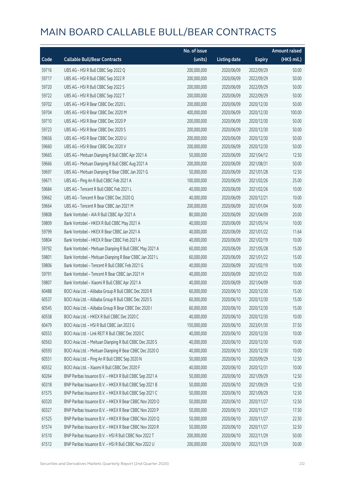|       |                                                          | No. of issue |                     |               | <b>Amount raised</b>  |
|-------|----------------------------------------------------------|--------------|---------------------|---------------|-----------------------|
| Code  | <b>Callable Bull/Bear Contracts</b>                      | (units)      | <b>Listing date</b> | <b>Expiry</b> | $(HK\frac{1}{2}mil.)$ |
| 59716 | UBS AG - HSI R Bull CBBC Sep 2022 Q                      | 200,000,000  | 2020/06/09          | 2022/09/29    | 50.00                 |
| 59717 | UBS AG - HSI R Bull CBBC Sep 2022 R                      | 200,000,000  | 2020/06/09          | 2022/09/29    | 50.00                 |
| 59720 | UBS AG - HSI R Bull CBBC Sep 2022 S                      | 200,000,000  | 2020/06/09          | 2022/09/29    | 50.00                 |
| 59722 | UBS AG - HSI R Bull CBBC Sep 2022 T                      | 200,000,000  | 2020/06/09          | 2022/09/29    | 50.00                 |
| 59702 | UBS AG - HSI R Bear CBBC Dec 2020 L                      | 200,000,000  | 2020/06/09          | 2020/12/30    | 50.00                 |
| 59704 | UBS AG - HSI R Bear CBBC Dec 2020 M                      | 400,000,000  | 2020/06/09          | 2020/12/30    | 100.00                |
| 59710 | UBS AG - HSI R Bear CBBC Dec 2020 P                      | 200,000,000  | 2020/06/09          | 2020/12/30    | 50.00                 |
| 59723 | UBS AG - HSI R Bear CBBC Dec 2020 S                      | 200,000,000  | 2020/06/09          | 2020/12/30    | 50.00                 |
| 59656 | UBS AG - HSI R Bear CBBC Dec 2020 U                      | 200,000,000  | 2020/06/09          | 2020/12/30    | 50.00                 |
| 59660 | UBS AG - HSI R Bear CBBC Dec 2020 V                      | 200,000,000  | 2020/06/09          | 2020/12/30    | 50.00                 |
| 59665 | UBS AG - Meituan Dianping R Bull CBBC Apr 2021 A         | 50,000,000   | 2020/06/09          | 2021/04/12    | 12.50                 |
| 59666 | UBS AG - Meituan Dianping R Bull CBBC Aug 2021 A         | 200,000,000  | 2020/06/09          | 2021/08/31    | 50.00                 |
| 59697 | UBS AG - Meituan Dianping R Bear CBBC Jan 2021 G         | 50,000,000   | 2020/06/09          | 2021/01/28    | 12.50                 |
| 59671 | UBS AG - Ping An R Bull CBBC Feb 2021 A                  | 100,000,000  | 2020/06/09          | 2021/02/26    | 25.00                 |
| 59684 | UBS AG - Tencent R Bull CBBC Feb 2021 L                  | 40,000,000   | 2020/06/09          | 2021/02/26    | 10.00                 |
| 59662 | UBS AG - Tencent R Bear CBBC Dec 2020 Q                  | 40,000,000   | 2020/06/09          | 2020/12/21    | 10.00                 |
| 59664 | UBS AG - Tencent R Bear CBBC Jan 2021 M                  | 200,000,000  | 2020/06/09          | 2021/01/04    | 50.00                 |
| 59808 | Bank Vontobel - AIA R Bull CBBC Apr 2021 A               | 80,000,000   | 2020/06/09          | 2021/04/09    | 20.00                 |
| 59809 | Bank Vontobel - HKEX R Bull CBBC May 2021 A              | 40,000,000   | 2020/06/09          | 2021/05/14    | 10.00                 |
| 59799 | Bank Vontobel - HKEX R Bear CBBC Jan 2021 A              | 40,000,000   | 2020/06/09          | 2021/01/22    | 11.64                 |
| 59804 | Bank Vontobel - HKEX R Bear CBBC Feb 2021 A              | 40,000,000   | 2020/06/09          | 2021/02/19    | 10.00                 |
| 59792 | Bank Vontobel - Meituan Dianping R Bull CBBC May 2021 A  | 60,000,000   | 2020/06/09          | 2021/05/28    | 15.00                 |
| 59801 | Bank Vontobel - Meituan Dianping R Bear CBBC Jan 2021 L  | 60,000,000   | 2020/06/09          | 2021/01/22    | 15.00                 |
| 59806 | Bank Vontobel - Tencent R Bull CBBC Feb 2021 G           | 40,000,000   | 2020/06/09          | 2021/02/19    | 10.00                 |
| 59791 | Bank Vontobel - Tencent R Bear CBBC Jan 2021 H           | 40,000,000   | 2020/06/09          | 2021/01/22    | 10.00                 |
| 59807 | Bank Vontobel - Xiaomi R Bull CBBC Apr 2021 A            | 40,000,000   | 2020/06/09          | 2021/04/09    | 10.00                 |
| 60488 | BOCI Asia Ltd. - Alibaba Group R Bull CBBC Dec 2020 R    | 60,000,000   | 2020/06/10          | 2020/12/30    | 15.00                 |
| 60537 | BOCI Asia Ltd. - Alibaba Group R Bull CBBC Dec 2020 S    | 60,000,000   | 2020/06/10          | 2020/12/30    | 15.00                 |
| 60545 | BOCI Asia Ltd. - Alibaba Group R Bear CBBC Dec 2020 I    | 60,000,000   | 2020/06/10          | 2020/12/30    | 15.00                 |
| 60558 | BOCI Asia Ltd. - HKEX R Bull CBBC Dec 2020 C             | 40,000,000   | 2020/06/10          | 2020/12/30    | 10.00                 |
| 60479 | BOCI Asia Ltd. - HSI R Bull CBBC Jan 2023 G              | 150,000,000  | 2020/06/10          | 2023/01/30    | 37.50                 |
| 60553 | BOCI Asia Ltd. - Link REIT R Bull CBBC Dec 2020 C        | 40,000,000   | 2020/06/10          | 2020/12/30    | 10.00                 |
| 60563 | BOCI Asia Ltd. - Meituan Dianping R Bull CBBC Dec 2020 S | 40,000,000   | 2020/06/10          | 2020/12/30    | 10.00                 |
| 60593 | BOCI Asia Ltd. - Meituan Dianping R Bear CBBC Dec 2020 O | 40,000,000   | 2020/06/10          | 2020/12/30    | 10.00                 |
| 60551 | BOCI Asia Ltd. - Ping An R Bull CBBC Sep 2020 N          | 50,000,000   | 2020/06/10          | 2020/09/29    | 12.50                 |
| 60552 | BOCI Asia Ltd. - Xiaomi R Bull CBBC Dec 2020 F           | 40,000,000   | 2020/06/10          | 2020/12/31    | 10.00                 |
| 60264 | BNP Paribas Issuance B.V. - HKEX R Bull CBBC Sep 2021 A  | 50,000,000   | 2020/06/10          | 2021/09/29    | 12.50                 |
| 60318 | BNP Paribas Issuance B.V. - HKEX R Bull CBBC Sep 2021 B  | 50,000,000   | 2020/06/10          | 2021/09/29    | 12.50                 |
| 61575 | BNP Paribas Issuance B.V. - HKEX R Bull CBBC Sep 2021 C  | 50,000,000   | 2020/06/10          | 2021/09/29    | 12.50                 |
| 60320 | BNP Paribas Issuance B.V. - HKEX R Bear CBBC Nov 2020 O  | 50,000,000   | 2020/06/10          | 2020/11/27    | 12.50                 |
| 60327 | BNP Paribas Issuance B.V. - HKEX R Bear CBBC Nov 2020 P  | 50,000,000   | 2020/06/10          | 2020/11/27    | 17.50                 |
| 61525 | BNP Paribas Issuance B.V. - HKEX R Bear CBBC Nov 2020 Q  | 50,000,000   | 2020/06/10          | 2020/11/27    | 22.50                 |
| 61574 | BNP Paribas Issuance B.V. - HKEX R Bear CBBC Nov 2020 R  | 50,000,000   | 2020/06/10          | 2020/11/27    | 32.50                 |
| 61510 | BNP Paribas Issuance B.V. - HSI R Bull CBBC Nov 2022 T   | 200,000,000  | 2020/06/10          | 2022/11/29    | 50.00                 |
| 61512 | BNP Paribas Issuance B.V. - HSI R Bull CBBC Nov 2022 U   | 200,000,000  | 2020/06/10          | 2022/11/29    | 50.00                 |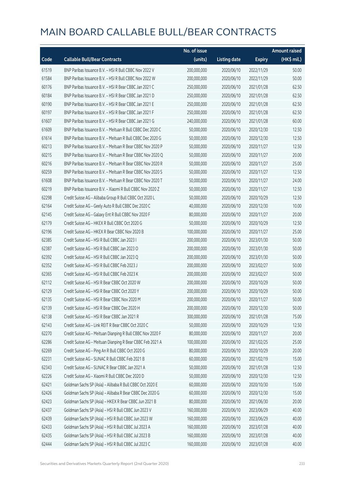|       |                                                            | No. of issue |                     |               | <b>Amount raised</b> |
|-------|------------------------------------------------------------|--------------|---------------------|---------------|----------------------|
| Code  | <b>Callable Bull/Bear Contracts</b>                        | (units)      | <b>Listing date</b> | <b>Expiry</b> | (HK\$ mil.)          |
| 61519 | BNP Paribas Issuance B.V. - HSI R Bull CBBC Nov 2022 V     | 200,000,000  | 2020/06/10          | 2022/11/29    | 50.00                |
| 61584 | BNP Paribas Issuance B.V. - HSI R Bull CBBC Nov 2022 W     | 200,000,000  | 2020/06/10          | 2022/11/29    | 50.00                |
| 60176 | BNP Paribas Issuance B.V. - HSI R Bear CBBC Jan 2021 C     | 250,000,000  | 2020/06/10          | 2021/01/28    | 62.50                |
| 60184 | BNP Paribas Issuance B.V. - HSI R Bear CBBC Jan 2021 D     | 250,000,000  | 2020/06/10          | 2021/01/28    | 62.50                |
| 60190 | BNP Paribas Issuance B.V. - HSI R Bear CBBC Jan 2021 E     | 250,000,000  | 2020/06/10          | 2021/01/28    | 62.50                |
| 60197 | BNP Paribas Issuance B.V. - HSI R Bear CBBC Jan 2021 F     | 250,000,000  | 2020/06/10          | 2021/01/28    | 62.50                |
| 61607 | BNP Paribas Issuance B.V. - HSI R Bear CBBC Jan 2021 G     | 240,000,000  | 2020/06/10          | 2021/01/28    | 60.00                |
| 61609 | BNP Paribas Issuance B.V. - Meituan R Bull CBBC Dec 2020 C | 50,000,000   | 2020/06/10          | 2020/12/30    | 12.50                |
| 61614 | BNP Paribas Issuance B.V. - Meituan R Bull CBBC Dec 2020 G | 50,000,000   | 2020/06/10          | 2020/12/30    | 12.50                |
| 60213 | BNP Paribas Issuance B.V. - Meituan R Bear CBBC Nov 2020 P | 50,000,000   | 2020/06/10          | 2020/11/27    | 12.50                |
| 60215 | BNP Paribas Issuance B.V. - Meituan R Bear CBBC Nov 2020 Q | 50,000,000   | 2020/06/10          | 2020/11/27    | 20.00                |
| 60216 | BNP Paribas Issuance B.V. - Meituan R Bear CBBC Nov 2020 R | 50,000,000   | 2020/06/10          | 2020/11/27    | 25.00                |
| 60259 | BNP Paribas Issuance B.V. - Meituan R Bear CBBC Nov 2020 S | 50,000,000   | 2020/06/10          | 2020/11/27    | 12.50                |
| 61608 | BNP Paribas Issuance B.V. - Meituan R Bear CBBC Nov 2020 T | 50,000,000   | 2020/06/10          | 2020/11/27    | 24.00                |
| 60219 | BNP Paribas Issuance B.V. - Xiaomi R Bull CBBC Nov 2020 Z  | 50,000,000   | 2020/06/10          | 2020/11/27    | 12.50                |
| 62298 | Credit Suisse AG - Alibaba Group R Bull CBBC Oct 2020 L    | 50,000,000   | 2020/06/10          | 2020/10/29    | 12.50                |
| 62164 | Credit Suisse AG - Geely Auto R Bull CBBC Dec 2020 C       | 40,000,000   | 2020/06/10          | 2020/12/30    | 10.00                |
| 62145 | Credit Suisse AG - Galaxy Ent R Bull CBBC Nov 2020 F       | 80,000,000   | 2020/06/10          | 2020/11/27    | 20.00                |
| 62179 | Credit Suisse AG - HKEX R Bull CBBC Oct 2020 G             | 50,000,000   | 2020/06/10          | 2020/10/29    | 12.50                |
| 62196 | Credit Suisse AG - HKEX R Bear CBBC Nov 2020 B             | 100,000,000  | 2020/06/10          | 2020/11/27    | 25.00                |
| 62385 | Credit Suisse AG - HSI R Bull CBBC Jan 2023 I              | 200,000,000  | 2020/06/10          | 2023/01/30    | 50.00                |
| 62387 | Credit Suisse AG - HSI R Bull CBBC Jan 2023 O              | 200,000,000  | 2020/06/10          | 2023/01/30    | 50.00                |
| 62392 | Credit Suisse AG - HSI R Bull CBBC Jan 2023 Q              | 200,000,000  | 2020/06/10          | 2023/01/30    | 50.00                |
| 62352 | Credit Suisse AG - HSI R Bull CBBC Feb 2023 J              | 200,000,000  | 2020/06/10          | 2023/02/27    | 50.00                |
| 62365 | Credit Suisse AG - HSI R Bull CBBC Feb 2023 K              | 200,000,000  | 2020/06/10          | 2023/02/27    | 50.00                |
| 62112 | Credit Suisse AG - HSI R Bear CBBC Oct 2020 W              | 200,000,000  | 2020/06/10          | 2020/10/29    | 50.00                |
| 62129 | Credit Suisse AG - HSI R Bear CBBC Oct 2020 Y              | 200,000,000  | 2020/06/10          | 2020/10/29    | 50.00                |
| 62135 | Credit Suisse AG - HSI R Bear CBBC Nov 2020 M              | 200,000,000  | 2020/06/10          | 2020/11/27    | 50.00                |
| 62139 | Credit Suisse AG - HSI R Bear CBBC Dec 2020 H              | 200,000,000  | 2020/06/10          | 2020/12/30    | 50.00                |
| 62138 | Credit Suisse AG - HSI R Bear CBBC Jan 2021 R              | 300,000,000  | 2020/06/10          | 2021/01/28    | 75.00                |
| 62143 | Credit Suisse AG - Link REIT R Bear CBBC Oct 2020 C        | 50,000,000   | 2020/06/10          | 2020/10/29    | 12.50                |
| 62270 | Credit Suisse AG - Meituan Dianping R Bull CBBC Nov 2020 F | 80,000,000   | 2020/06/10          | 2020/11/27    | 20.00                |
| 62286 | Credit Suisse AG - Meituan Dianping R Bear CBBC Feb 2021 A | 100,000,000  | 2020/06/10          | 2021/02/25    | 25.00                |
| 62269 | Credit Suisse AG - Ping An R Bull CBBC Oct 2020 G          | 80,000,000   | 2020/06/10          | 2020/10/29    | 20.00                |
| 62231 | Credit Suisse AG - SUNAC R Bull CBBC Feb 2021 B            | 60,000,000   | 2020/06/10          | 2021/02/19    | 15.00                |
| 62343 | Credit Suisse AG - SUNAC R Bear CBBC Jan 2021 A            | 50,000,000   | 2020/06/10          | 2021/01/28    | 12.50                |
| 62226 | Credit Suisse AG - Xiaomi R Bull CBBC Dec 2020 D           | 50,000,000   | 2020/06/10          | 2020/12/30    | 12.50                |
| 62421 | Goldman Sachs SP (Asia) - Alibaba R Bull CBBC Oct 2020 E   | 60,000,000   | 2020/06/10          | 2020/10/30    | 15.00                |
| 62426 | Goldman Sachs SP (Asia) - Alibaba R Bear CBBC Dec 2020 G   | 60,000,000   | 2020/06/10          | 2020/12/30    | 15.00                |
| 62423 | Goldman Sachs SP (Asia) - HKEX R Bear CBBC Jun 2021 B      | 80,000,000   | 2020/06/10          | 2021/06/30    | 20.00                |
| 62437 | Goldman Sachs SP (Asia) - HSI R Bull CBBC Jun 2023 V       | 160,000,000  | 2020/06/10          | 2023/06/29    | 40.00                |
| 62439 | Goldman Sachs SP (Asia) - HSI R Bull CBBC Jun 2023 W       | 160,000,000  | 2020/06/10          | 2023/06/29    | 40.00                |
| 62433 | Goldman Sachs SP (Asia) - HSI R Bull CBBC Jul 2023 A       | 160,000,000  | 2020/06/10          | 2023/07/28    | 40.00                |
| 62435 | Goldman Sachs SP (Asia) - HSI R Bull CBBC Jul 2023 B       | 160,000,000  | 2020/06/10          | 2023/07/28    | 40.00                |
| 62444 | Goldman Sachs SP (Asia) - HSI R Bull CBBC Jul 2023 C       | 160,000,000  | 2020/06/10          | 2023/07/28    | 40.00                |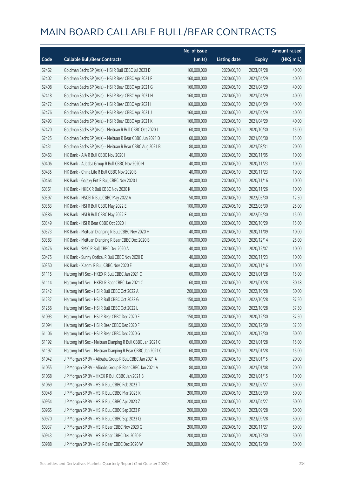|       |                                                             | No. of issue |                     |               | <b>Amount raised</b> |
|-------|-------------------------------------------------------------|--------------|---------------------|---------------|----------------------|
| Code  | <b>Callable Bull/Bear Contracts</b>                         | (units)      | <b>Listing date</b> | <b>Expiry</b> | (HK\$ mil.)          |
| 62462 | Goldman Sachs SP (Asia) - HSI R Bull CBBC Jul 2023 D        | 160,000,000  | 2020/06/10          | 2023/07/28    | 40.00                |
| 62402 | Goldman Sachs SP (Asia) - HSI R Bear CBBC Apr 2021 F        | 160,000,000  | 2020/06/10          | 2021/04/29    | 40.00                |
| 62408 | Goldman Sachs SP (Asia) - HSI R Bear CBBC Apr 2021 G        | 160,000,000  | 2020/06/10          | 2021/04/29    | 40.00                |
| 62418 | Goldman Sachs SP (Asia) - HSI R Bear CBBC Apr 2021 H        | 160,000,000  | 2020/06/10          | 2021/04/29    | 40.00                |
| 62472 | Goldman Sachs SP (Asia) - HSI R Bear CBBC Apr 2021 I        | 160,000,000  | 2020/06/10          | 2021/04/29    | 40.00                |
| 62476 | Goldman Sachs SP (Asia) - HSI R Bear CBBC Apr 2021 J        | 160,000,000  | 2020/06/10          | 2021/04/29    | 40.00                |
| 62493 | Goldman Sachs SP (Asia) - HSI R Bear CBBC Apr 2021 K        | 160,000,000  | 2020/06/10          | 2021/04/29    | 40.00                |
| 62420 | Goldman Sachs SP (Asia) - Meituan R Bull CBBC Oct 2020 J    | 60,000,000   | 2020/06/10          | 2020/10/30    | 15.00                |
| 62425 | Goldman Sachs SP (Asia) - Meituan R Bear CBBC Jun 2021 D    | 60,000,000   | 2020/06/10          | 2021/06/30    | 15.00                |
| 62431 | Goldman Sachs SP (Asia) - Meituan R Bear CBBC Aug 2021 B    | 80,000,000   | 2020/06/10          | 2021/08/31    | 20.00                |
| 60463 | HK Bank - AIA R Bull CBBC Nov 2020 I                        | 40,000,000   | 2020/06/10          | 2020/11/05    | 10.00                |
| 60406 | HK Bank - Alibaba Group R Bull CBBC Nov 2020 H              | 40,000,000   | 2020/06/10          | 2020/11/23    | 10.00                |
| 60435 | HK Bank - China Life R Bull CBBC Nov 2020 B                 | 40,000,000   | 2020/06/10          | 2020/11/23    | 10.00                |
| 60464 | HK Bank - Galaxy Ent R Bull CBBC Nov 2020 I                 | 40,000,000   | 2020/06/10          | 2020/11/16    | 10.00                |
| 60361 | HK Bank - HKEX R Bull CBBC Nov 2020 K                       | 40,000,000   | 2020/06/10          | 2020/11/26    | 10.00                |
| 60397 | HK Bank - HSCEI R Bull CBBC May 2022 A                      | 50,000,000   | 2020/06/10          | 2022/05/30    | 12.50                |
| 60363 | HK Bank - HSI R Bull CBBC May 2022 E                        | 100,000,000  | 2020/06/10          | 2022/05/30    | 25.00                |
| 60386 | HK Bank - HSI R Bull CBBC May 2022 F                        | 60,000,000   | 2020/06/10          | 2022/05/30    | 15.00                |
| 60349 | HK Bank - HSI R Bear CBBC Oct 2020 I                        | 60,000,000   | 2020/06/10          | 2020/10/29    | 15.00                |
| 60373 | HK Bank - Meituan Dianping R Bull CBBC Nov 2020 H           | 40,000,000   | 2020/06/10          | 2020/11/09    | 10.00                |
| 60383 | HK Bank - Meituan Dianping R Bear CBBC Dec 2020 B           | 100,000,000  | 2020/06/10          | 2020/12/14    | 25.00                |
| 60476 | HK Bank - SMIC R Bull CBBC Dec 2020 A                       | 40,000,000   | 2020/06/10          | 2020/12/07    | 10.00                |
| 60475 | HK Bank - Sunny Optical R Bull CBBC Nov 2020 D              | 40,000,000   | 2020/06/10          | 2020/11/23    | 10.00                |
| 60350 | HK Bank - Xiaomi R Bull CBBC Nov 2020 E                     | 40,000,000   | 2020/06/10          | 2020/11/16    | 10.00                |
| 61115 | Haitong Int'l Sec - HKEX R Bull CBBC Jan 2021 C             | 60,000,000   | 2020/06/10          | 2021/01/28    | 15.00                |
| 61114 | Haitong Int'l Sec - HKEX R Bear CBBC Jan 2021 C             | 60,000,000   | 2020/06/10          | 2021/01/28    | 30.18                |
| 61242 | Haitong Int'l Sec - HSI R Bull CBBC Oct 2022 A              | 200,000,000  | 2020/06/10          | 2022/10/28    | 50.00                |
| 61237 | Haitong Int'l Sec - HSI R Bull CBBC Oct 2022 G              | 150,000,000  | 2020/06/10          | 2022/10/28    | 37.50                |
| 61256 | Haitong Int'l Sec - HSI R Bull CBBC Oct 2022 L              | 150,000,000  | 2020/06/10          | 2022/10/28    | 37.50                |
| 61093 | Haitong Int'l Sec - HSI R Bear CBBC Dec 2020 E              | 150,000,000  | 2020/06/10          | 2020/12/30    | 37.50                |
| 61094 | Haitong Int'l Sec - HSI R Bear CBBC Dec 2020 F              | 150,000,000  | 2020/06/10          | 2020/12/30    | 37.50                |
| 61106 | Haitong Int'l Sec - HSI R Bear CBBC Dec 2020 G              | 200,000,000  | 2020/06/10          | 2020/12/30    | 50.00                |
| 61192 | Haitong Int'l Sec - Meituan Dianping R Bull CBBC Jan 2021 C | 60,000,000   | 2020/06/10          | 2021/01/28    | 15.00                |
| 61197 | Haitong Int'l Sec - Meituan Dianping R Bear CBBC Jan 2021 C | 60,000,000   | 2020/06/10          | 2021/01/28    | 15.00                |
| 61042 | J P Morgan SP BV - Alibaba Group R Bull CBBC Jan 2021 A     | 80,000,000   | 2020/06/10          | 2021/01/15    | 20.00                |
| 61055 | J P Morgan SP BV - Alibaba Group R Bear CBBC Jan 2021 A     | 80,000,000   | 2020/06/10          | 2021/01/08    | 20.00                |
| 61068 | J P Morgan SP BV - HKEX R Bull CBBC Jan 2021 B              | 40,000,000   | 2020/06/10          | 2021/01/15    | 10.00                |
| 61069 | J P Morgan SP BV - HSI R Bull CBBC Feb 2023 T               | 200,000,000  | 2020/06/10          | 2023/02/27    | 50.00                |
| 60948 | J P Morgan SP BV - HSI R Bull CBBC Mar 2023 K               | 200,000,000  | 2020/06/10          | 2023/03/30    | 50.00                |
| 60954 | J P Morgan SP BV - HSI R Bull CBBC Apr 2023 Z               | 200,000,000  | 2020/06/10          | 2023/04/27    | 50.00                |
| 60965 | J P Morgan SP BV - HSI R Bull CBBC Sep 2023 P               | 200,000,000  | 2020/06/10          | 2023/09/28    | 50.00                |
| 60970 | J P Morgan SP BV - HSI R Bull CBBC Sep 2023 Q               | 200,000,000  | 2020/06/10          | 2023/09/28    | 50.00                |
| 60937 | J P Morgan SP BV - HSI R Bear CBBC Nov 2020 G               | 200,000,000  | 2020/06/10          | 2020/11/27    | 50.00                |
| 60943 | J P Morgan SP BV - HSI R Bear CBBC Dec 2020 P               | 200,000,000  | 2020/06/10          | 2020/12/30    | 50.00                |
| 60988 | J P Morgan SP BV - HSI R Bear CBBC Dec 2020 W               | 200,000,000  | 2020/06/10          | 2020/12/30    | 50.00                |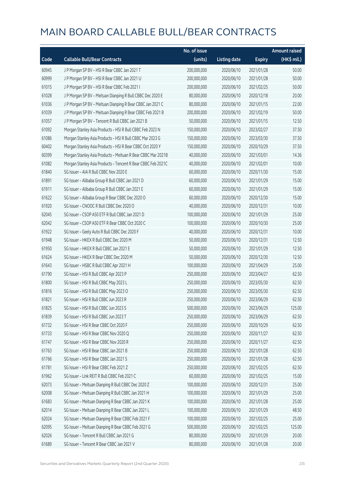|       |                                                              | No. of issue |                     |               | <b>Amount raised</b> |
|-------|--------------------------------------------------------------|--------------|---------------------|---------------|----------------------|
| Code  | <b>Callable Bull/Bear Contracts</b>                          | (units)      | <b>Listing date</b> | <b>Expiry</b> | (HK\$ mil.)          |
| 60945 | J P Morgan SP BV - HSI R Bear CBBC Jan 2021 T                | 200,000,000  | 2020/06/10          | 2021/01/28    | 50.00                |
| 60999 | J P Morgan SP BV - HSI R Bear CBBC Jan 2021 U                | 200,000,000  | 2020/06/10          | 2021/01/28    | 50.00                |
| 61015 | J P Morgan SP BV - HSI R Bear CBBC Feb 2021 I                | 200,000,000  | 2020/06/10          | 2021/02/25    | 50.00                |
| 61028 | J P Morgan SP BV - Meituan Dianping R Bull CBBC Dec 2020 E   | 80,000,000   | 2020/06/10          | 2020/12/18    | 20.00                |
| 61036 | J P Morgan SP BV - Meituan Dianping R Bear CBBC Jan 2021 C   | 80,000,000   | 2020/06/10          | 2021/01/15    | 22.00                |
| 61039 | J P Morgan SP BV - Meituan Dianping R Bear CBBC Feb 2021 B   | 200,000,000  | 2020/06/10          | 2021/02/19    | 50.00                |
| 61057 | J P Morgan SP BV - Tencent R Bull CBBC Jan 2021 B            | 50,000,000   | 2020/06/10          | 2021/01/15    | 12.50                |
| 61092 | Morgan Stanley Asia Products - HSI R Bull CBBC Feb 2023 N    | 150,000,000  | 2020/06/10          | 2023/02/27    | 37.50                |
| 61086 | Morgan Stanley Asia Products - HSI R Bull CBBC Mar 2023 G    | 150,000,000  | 2020/06/10          | 2023/03/30    | 37.50                |
| 60402 | Morgan Stanley Asia Products - HSI R Bear CBBC Oct 2020 Y    | 150,000,000  | 2020/06/10          | 2020/10/29    | 37.50                |
| 60399 | Morgan Stanley Asia Products - Meituan R Bear CBBC Mar 2021B | 40,000,000   | 2020/06/10          | 2021/03/01    | 14.36                |
| 61082 | Morgan Stanley Asia Products - Tencent R Bear CBBC Feb 2021C | 40,000,000   | 2020/06/10          | 2021/02/01    | 10.00                |
| 61840 | SG Issuer - AIA R Bull CBBC Nov 2020 E                       | 60,000,000   | 2020/06/10          | 2020/11/30    | 15.00                |
| 61891 | SG Issuer - Alibaba Group R Bull CBBC Jan 2021 D             | 60,000,000   | 2020/06/10          | 2021/01/29    | 15.00                |
| 61911 | SG Issuer - Alibaba Group R Bull CBBC Jan 2021 E             | 60,000,000   | 2020/06/10          | 2021/01/29    | 15.00                |
| 61622 | SG Issuer - Alibaba Group R Bear CBBC Dec 2020 O             | 60,000,000   | 2020/06/10          | 2020/12/30    | 15.00                |
| 61920 | SG Issuer - CNOOC R Bull CBBC Dec 2020 O                     | 40,000,000   | 2020/06/10          | 2020/12/31    | 10.00                |
| 62045 | SG Issuer - CSOP A50 ETF R Bull CBBC Jan 2021 D              | 100,000,000  | 2020/06/10          | 2021/01/29    | 25.00                |
| 62042 | SG Issuer - CSOP A50 ETF R Bear CBBC Oct 2020 C              | 100,000,000  | 2020/06/10          | 2020/10/30    | 25.00                |
| 61922 | SG Issuer - Geely Auto R Bull CBBC Dec 2020 F                | 40,000,000   | 2020/06/10          | 2020/12/31    | 10.00                |
| 61948 | SG Issuer - HKEX R Bull CBBC Dec 2020 M                      | 50,000,000   | 2020/06/10          | 2020/12/31    | 12.50                |
| 61950 | SG Issuer - HKEX R Bull CBBC Jan 2021 E                      | 50,000,000   | 2020/06/10          | 2021/01/29    | 12.50                |
| 61624 | SG Issuer - HKEX R Bear CBBC Dec 2020 M                      | 50,000,000   | 2020/06/10          | 2020/12/30    | 12.50                |
| 61643 | SG Issuer - HSBC R Bull CBBC Apr 2021 H                      | 100,000,000  | 2020/06/10          | 2021/04/29    | 25.00                |
| 61790 | SG Issuer - HSI R Bull CBBC Apr 2023 P                       | 250,000,000  | 2020/06/10          | 2023/04/27    | 62.50                |
| 61800 | SG Issuer - HSI R Bull CBBC May 2023 L                       | 250,000,000  | 2020/06/10          | 2023/05/30    | 62.50                |
| 61816 | SG Issuer - HSI R Bull CBBC May 2023 O                       | 250,000,000  | 2020/06/10          | 2023/05/30    | 62.50                |
| 61821 | SG Issuer - HSI R Bull CBBC Jun 2023 R                       | 250,000,000  | 2020/06/10          | 2023/06/29    | 62.50                |
| 61825 | SG Issuer - HSI R Bull CBBC Jun 2023 S                       | 500,000,000  | 2020/06/10          | 2023/06/29    | 125.00               |
| 61839 | SG Issuer - HSI R Bull CBBC Jun 2023 T                       | 250,000,000  | 2020/06/10          | 2023/06/29    | 62.50                |
| 61732 | SG Issuer - HSI R Bear CBBC Oct 2020 F                       | 250,000,000  | 2020/06/10          | 2020/10/29    | 62.50                |
| 61733 | SG Issuer - HSI R Bear CBBC Nov 2020 Q                       | 250,000,000  | 2020/06/10          | 2020/11/27    | 62.50                |
| 61747 | SG Issuer - HSI R Bear CBBC Nov 2020 R                       | 250,000,000  | 2020/06/10          | 2020/11/27    | 62.50                |
| 61763 | SG Issuer - HSI R Bear CBBC Jan 2021 B                       | 250,000,000  | 2020/06/10          | 2021/01/28    | 62.50                |
| 61766 | SG Issuer - HSI R Bear CBBC Jan 2021 S                       | 250,000,000  | 2020/06/10          | 2021/01/28    | 62.50                |
| 61781 | SG Issuer - HSI R Bear CBBC Feb 2021 Z                       | 250,000,000  | 2020/06/10          | 2021/02/25    | 62.50                |
| 61962 | SG Issuer - Link REIT R Bull CBBC Feb 2021 C                 | 60,000,000   | 2020/06/10          | 2021/02/25    | 15.00                |
| 62073 | SG Issuer - Meituan Dianping R Bull CBBC Dec 2020 Z          | 100,000,000  | 2020/06/10          | 2020/12/31    | 25.00                |
| 62008 | SG Issuer - Meituan Dianping R Bull CBBC Jan 2021 H          | 100,000,000  | 2020/06/10          | 2021/01/29    | 25.00                |
| 61683 | SG Issuer - Meituan Dianping R Bear CBBC Jan 2021 K          | 100,000,000  | 2020/06/10          | 2021/01/28    | 25.00                |
| 62014 | SG Issuer - Meituan Dianping R Bear CBBC Jan 2021 L          | 100,000,000  | 2020/06/10          | 2021/01/29    | 48.50                |
| 62024 | SG Issuer - Meituan Dianping R Bear CBBC Feb 2021 F          | 100,000,000  | 2020/06/10          | 2021/02/25    | 25.00                |
| 62095 | SG Issuer - Meituan Dianping R Bear CBBC Feb 2021 G          | 500,000,000  | 2020/06/10          | 2021/02/25    | 125.00               |
| 62026 | SG Issuer - Tencent R Bull CBBC Jan 2021 G                   | 80,000,000   | 2020/06/10          | 2021/01/29    | 20.00                |
| 61689 | SG Issuer - Tencent R Bear CBBC Jan 2021 V                   | 80,000,000   | 2020/06/10          | 2021/01/28    | 20.00                |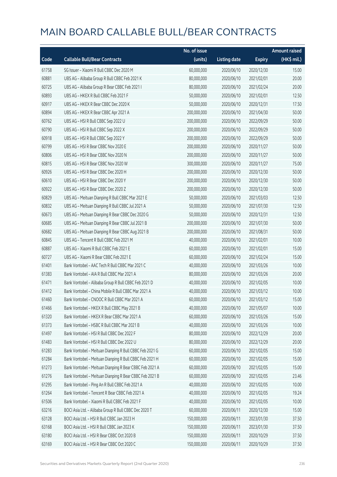|       |                                                         | No. of issue |                     |               | <b>Amount raised</b> |
|-------|---------------------------------------------------------|--------------|---------------------|---------------|----------------------|
| Code  | <b>Callable Bull/Bear Contracts</b>                     | (units)      | <b>Listing date</b> | <b>Expiry</b> | (HK\$ mil.)          |
| 61758 | SG Issuer - Xiaomi R Bull CBBC Dec 2020 M               | 60,000,000   | 2020/06/10          | 2020/12/30    | 15.00                |
| 60881 | UBS AG - Alibaba Group R Bull CBBC Feb 2021 K           | 80,000,000   | 2020/06/10          | 2021/02/01    | 20.00                |
| 60725 | UBS AG - Alibaba Group R Bear CBBC Feb 2021 I           | 80,000,000   | 2020/06/10          | 2021/02/24    | 20.00                |
| 60893 | UBS AG - HKEX R Bull CBBC Feb 2021 F                    | 50,000,000   | 2020/06/10          | 2021/02/01    | 12.50                |
| 60917 | UBS AG - HKEX R Bear CBBC Dec 2020 K                    | 50,000,000   | 2020/06/10          | 2020/12/31    | 17.50                |
| 60894 | UBS AG - HKEX R Bear CBBC Apr 2021 A                    | 200,000,000  | 2020/06/10          | 2021/04/30    | 50.00                |
| 60762 | UBS AG - HSI R Bull CBBC Sep 2022 U                     | 200,000,000  | 2020/06/10          | 2022/09/29    | 50.00                |
| 60790 | UBS AG - HSI R Bull CBBC Sep 2022 X                     | 200,000,000  | 2020/06/10          | 2022/09/29    | 50.00                |
| 60918 | UBS AG - HSI R Bull CBBC Sep 2022 Y                     | 200,000,000  | 2020/06/10          | 2022/09/29    | 50.00                |
| 60799 | UBS AG - HSI R Bear CBBC Nov 2020 E                     | 200,000,000  | 2020/06/10          | 2020/11/27    | 50.00                |
| 60806 | UBS AG - HSI R Bear CBBC Nov 2020 N                     | 200,000,000  | 2020/06/10          | 2020/11/27    | 50.00                |
| 60815 | UBS AG - HSI R Bear CBBC Nov 2020 W                     | 300,000,000  | 2020/06/10          | 2020/11/27    | 75.00                |
| 60926 | UBS AG - HSI R Bear CBBC Dec 2020 H                     | 200,000,000  | 2020/06/10          | 2020/12/30    | 50.00                |
| 60610 | UBS AG - HSI R Bear CBBC Dec 2020 Y                     | 200,000,000  | 2020/06/10          | 2020/12/30    | 50.00                |
| 60922 | UBS AG - HSI R Bear CBBC Dec 2020 Z                     | 200,000,000  | 2020/06/10          | 2020/12/30    | 50.00                |
| 60829 | UBS AG - Meituan Dianping R Bull CBBC Mar 2021 E        | 50,000,000   | 2020/06/10          | 2021/03/03    | 12.50                |
| 60832 | UBS AG - Meituan Dianping R Bull CBBC Jul 2021 A        | 50,000,000   | 2020/06/10          | 2021/07/30    | 12.50                |
| 60673 | UBS AG - Meituan Dianping R Bear CBBC Dec 2020 G        | 50,000,000   | 2020/06/10          | 2020/12/31    | 12.50                |
| 60685 | UBS AG - Meituan Dianping R Bear CBBC Jul 2021 B        | 200,000,000  | 2020/06/10          | 2021/07/30    | 50.00                |
| 60682 | UBS AG - Meituan Dianping R Bear CBBC Aug 2021 B        | 200,000,000  | 2020/06/10          | 2021/08/31    | 50.00                |
| 60845 | UBS AG - Tencent R Bull CBBC Feb 2021 M                 | 40,000,000   | 2020/06/10          | 2021/02/01    | 10.00                |
| 60887 | UBS AG - Xiaomi R Bull CBBC Feb 2021 E                  | 60,000,000   | 2020/06/10          | 2021/02/01    | 15.00                |
| 60727 | UBS AG - Xiaomi R Bear CBBC Feb 2021 E                  | 60,000,000   | 2020/06/10          | 2021/02/24    | 15.00                |
| 61401 | Bank Vontobel - AAC Tech R Bull CBBC Mar 2021 C         | 40,000,000   | 2020/06/10          | 2021/03/26    | 10.00                |
| 61383 | Bank Vontobel - AIA R Bull CBBC Mar 2021 A              | 80,000,000   | 2020/06/10          | 2021/03/26    | 20.00                |
| 61471 | Bank Vontobel - Alibaba Group R Bull CBBC Feb 2021 D    | 40,000,000   | 2020/06/10          | 2021/02/05    | 10.00                |
| 61412 | Bank Vontobel - China Mobile R Bull CBBC Mar 2021 A     | 40,000,000   | 2020/06/10          | 2021/03/12    | 10.00                |
| 61460 | Bank Vontobel - CNOOC R Bull CBBC Mar 2021 A            | 60,000,000   | 2020/06/10          | 2021/03/12    | 15.00                |
| 61466 | Bank Vontobel - HKEX R Bull CBBC May 2021 B             | 40,000,000   | 2020/06/10          | 2021/05/07    | 10.00                |
| 61320 | Bank Vontobel - HKEX R Bear CBBC Mar 2021 A             | 60,000,000   | 2020/06/10          | 2021/03/26    | 15.00                |
| 61373 | Bank Vontobel - HSBC R Bull CBBC Mar 2021 B             | 40,000,000   | 2020/06/10          | 2021/03/26    | 10.00                |
| 61497 | Bank Vontobel - HSI R Bull CBBC Dec 2022 F              | 80,000,000   | 2020/06/10          | 2022/12/29    | 20.00                |
| 61483 | Bank Vontobel - HSI R Bull CBBC Dec 2022 U              | 80,000,000   | 2020/06/10          | 2022/12/29    | 20.00                |
| 61283 | Bank Vontobel - Meituan Dianping R Bull CBBC Feb 2021 G | 60,000,000   | 2020/06/10          | 2021/02/05    | 15.00                |
| 61284 | Bank Vontobel - Meituan Dianping R Bull CBBC Feb 2021 H | 60,000,000   | 2020/06/10          | 2021/02/05    | 15.00                |
| 61273 | Bank Vontobel - Meituan Dianping R Bear CBBC Feb 2021 A | 60,000,000   | 2020/06/10          | 2021/02/05    | 15.00                |
| 61276 | Bank Vontobel - Meituan Dianping R Bear CBBC Feb 2021 B | 60,000,000   | 2020/06/10          | 2021/02/05    | 23.46                |
| 61295 | Bank Vontobel - Ping An R Bull CBBC Feb 2021 A          | 40,000,000   | 2020/06/10          | 2021/02/05    | 10.00                |
| 61264 | Bank Vontobel - Tencent R Bear CBBC Feb 2021 A          | 40,000,000   | 2020/06/10          | 2021/02/05    | 19.24                |
| 61506 | Bank Vontobel - Xiaomi R Bull CBBC Feb 2021 F           | 40,000,000   | 2020/06/10          | 2021/02/05    | 10.00                |
| 63216 | BOCI Asia Ltd. - Alibaba Group R Bull CBBC Dec 2020 T   | 60,000,000   | 2020/06/11          | 2020/12/30    | 15.00                |
| 63128 | BOCI Asia Ltd. - HSI R Bull CBBC Jan 2023 H             | 150,000,000  | 2020/06/11          | 2023/01/30    | 37.50                |
| 63168 | BOCI Asia Ltd. - HSI R Bull CBBC Jan 2023 K             | 150,000,000  | 2020/06/11          | 2023/01/30    | 37.50                |
| 63180 | BOCI Asia Ltd. - HSI R Bear CBBC Oct 2020 B             | 150,000,000  | 2020/06/11          | 2020/10/29    | 37.50                |
| 63169 | BOCI Asia Ltd. - HSI R Bear CBBC Oct 2020 C             | 150,000,000  | 2020/06/11          | 2020/10/29    | 37.50                |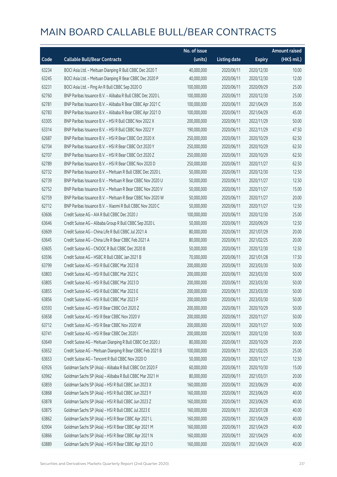|       |                                                            | No. of issue |                     |               | <b>Amount raised</b> |
|-------|------------------------------------------------------------|--------------|---------------------|---------------|----------------------|
| Code  | <b>Callable Bull/Bear Contracts</b>                        | (units)      | <b>Listing date</b> | <b>Expiry</b> | (HK\$ mil.)          |
| 63234 | BOCI Asia Ltd. - Meituan Dianping R Bull CBBC Dec 2020 T   | 40,000,000   | 2020/06/11          | 2020/12/30    | 10.00                |
| 63245 | BOCI Asia Ltd. - Meituan Dianping R Bear CBBC Dec 2020 P   | 40,000,000   | 2020/06/11          | 2020/12/30    | 12.00                |
| 63231 | BOCI Asia Ltd. - Ping An R Bull CBBC Sep 2020 O            | 100,000,000  | 2020/06/11          | 2020/09/29    | 25.00                |
| 62760 | BNP Paribas Issuance B.V. - Alibaba R Bull CBBC Dec 2020 L | 100,000,000  | 2020/06/11          | 2020/12/30    | 25.00                |
| 62781 | BNP Paribas Issuance B.V. - Alibaba R Bear CBBC Apr 2021 C | 100,000,000  | 2020/06/11          | 2021/04/29    | 35.00                |
| 62783 | BNP Paribas Issuance B.V. - Alibaba R Bear CBBC Apr 2021 D | 100,000,000  | 2020/06/11          | 2021/04/29    | 45.00                |
| 63305 | BNP Paribas Issuance B.V. - HSI R Bull CBBC Nov 2022 X     | 200,000,000  | 2020/06/11          | 2022/11/29    | 50.00                |
| 63314 | BNP Paribas Issuance B.V. - HSI R Bull CBBC Nov 2022 Y     | 190,000,000  | 2020/06/11          | 2022/11/29    | 47.50                |
| 62687 | BNP Paribas Issuance B.V. - HSI R Bear CBBC Oct 2020 X     | 250,000,000  | 2020/06/11          | 2020/10/29    | 62.50                |
| 62704 | BNP Paribas Issuance B.V. - HSI R Bear CBBC Oct 2020 Y     | 250,000,000  | 2020/06/11          | 2020/10/29    | 62.50                |
| 62707 | BNP Paribas Issuance B.V. - HSI R Bear CBBC Oct 2020 Z     | 250,000,000  | 2020/06/11          | 2020/10/29    | 62.50                |
| 62789 | BNP Paribas Issuance B.V. - HSI R Bear CBBC Nov 2020 D     | 250,000,000  | 2020/06/11          | 2020/11/27    | 62.50                |
| 62732 | BNP Paribas Issuance B.V. - Meituan R Bull CBBC Dec 2020 L | 50,000,000   | 2020/06/11          | 2020/12/30    | 12.50                |
| 62739 | BNP Paribas Issuance B.V. - Meituan R Bear CBBC Nov 2020 U | 50,000,000   | 2020/06/11          | 2020/11/27    | 12.50                |
| 62752 | BNP Paribas Issuance B.V. - Meituan R Bear CBBC Nov 2020 V | 50,000,000   | 2020/06/11          | 2020/11/27    | 15.00                |
| 62759 | BNP Paribas Issuance B.V. - Meituan R Bear CBBC Nov 2020 W | 50,000,000   | 2020/06/11          | 2020/11/27    | 20.00                |
| 62712 | BNP Paribas Issuance B.V. - Xiaomi R Bull CBBC Nov 2020 C  | 50,000,000   | 2020/06/11          | 2020/11/27    | 12.50                |
| 63606 | Credit Suisse AG - AIA R Bull CBBC Dec 2020 J              | 100,000,000  | 2020/06/11          | 2020/12/30    | 25.00                |
| 63646 | Credit Suisse AG - Alibaba Group R Bull CBBC Sep 2020 L    | 50,000,000   | 2020/06/11          | 2020/09/29    | 12.50                |
| 63609 | Credit Suisse AG - China Life R Bull CBBC Jul 2021 A       | 80,000,000   | 2020/06/11          | 2021/07/29    | 20.00                |
| 63645 | Credit Suisse AG - China Life R Bear CBBC Feb 2021 A       | 80,000,000   | 2020/06/11          | 2021/02/25    | 20.00                |
| 63605 | Credit Suisse AG - CNOOC R Bull CBBC Dec 2020 B            | 50,000,000   | 2020/06/11          | 2020/12/30    | 12.50                |
| 63596 | Credit Suisse AG - HSBC R Bull CBBC Jan 2021 B             | 70,000,000   | 2020/06/11          | 2021/01/28    | 17.50                |
| 63799 | Credit Suisse AG - HSI R Bull CBBC Mar 2023 B              | 200,000,000  | 2020/06/11          | 2023/03/30    | 50.00                |
| 63803 | Credit Suisse AG - HSI R Bull CBBC Mar 2023 C              | 200,000,000  | 2020/06/11          | 2023/03/30    | 50.00                |
| 63805 | Credit Suisse AG - HSI R Bull CBBC Mar 2023 D              | 200,000,000  | 2020/06/11          | 2023/03/30    | 50.00                |
| 63855 | Credit Suisse AG - HSI R Bull CBBC Mar 2023 E              | 200,000,000  | 2020/06/11          | 2023/03/30    | 50.00                |
| 63856 | Credit Suisse AG - HSI R Bull CBBC Mar 2023 F              | 200,000,000  | 2020/06/11          | 2023/03/30    | 50.00                |
| 63593 | Credit Suisse AG - HSI R Bear CBBC Oct 2020 Z              | 200,000,000  | 2020/06/11          | 2020/10/29    | 50.00                |
| 63658 | Credit Suisse AG - HSI R Bear CBBC Nov 2020 V              | 200,000,000  | 2020/06/11          | 2020/11/27    | 50.00                |
| 63712 | Credit Suisse AG - HSI R Bear CBBC Nov 2020 W              | 200,000,000  | 2020/06/11          | 2020/11/27    | 50.00                |
| 63741 | Credit Suisse AG - HSI R Bear CBBC Dec 2020 I              | 200,000,000  | 2020/06/11          | 2020/12/30    | 50.00                |
| 63649 | Credit Suisse AG - Meituan Dianping R Bull CBBC Oct 2020 J | 80,000,000   | 2020/06/11          | 2020/10/29    | 20.00                |
| 63652 | Credit Suisse AG - Meituan Dianping R Bear CBBC Feb 2021 B | 100,000,000  | 2020/06/11          | 2021/02/25    | 25.00                |
| 63653 | Credit Suisse AG - Tencent R Bull CBBC Nov 2020 O          | 50,000,000   | 2020/06/11          | 2020/11/27    | 12.50                |
| 63926 | Goldman Sachs SP (Asia) - Alibaba R Bull CBBC Oct 2020 F   | 60,000,000   | 2020/06/11          | 2020/10/30    | 15.00                |
| 63962 | Goldman Sachs SP (Asia) - Alibaba R Bull CBBC Mar 2021 H   | 80,000,000   | 2020/06/11          | 2021/03/31    | 20.00                |
| 63859 | Goldman Sachs SP (Asia) - HSI R Bull CBBC Jun 2023 X       | 160,000,000  | 2020/06/11          | 2023/06/29    | 40.00                |
| 63868 | Goldman Sachs SP (Asia) - HSI R Bull CBBC Jun 2023 Y       | 160,000,000  | 2020/06/11          | 2023/06/29    | 40.00                |
| 63878 | Goldman Sachs SP (Asia) - HSI R Bull CBBC Jun 2023 Z       | 160,000,000  | 2020/06/11          | 2023/06/29    | 40.00                |
| 63875 | Goldman Sachs SP (Asia) - HSI R Bull CBBC Jul 2023 E       | 160,000,000  | 2020/06/11          | 2023/07/28    | 40.00                |
| 63862 | Goldman Sachs SP (Asia) - HSI R Bear CBBC Apr 2021 L       | 160,000,000  | 2020/06/11          | 2021/04/29    | 40.00                |
| 63904 | Goldman Sachs SP (Asia) - HSI R Bear CBBC Apr 2021 M       | 160,000,000  | 2020/06/11          | 2021/04/29    | 40.00                |
| 63866 | Goldman Sachs SP (Asia) - HSI R Bear CBBC Apr 2021 N       | 160,000,000  | 2020/06/11          | 2021/04/29    | 40.00                |
| 63889 | Goldman Sachs SP (Asia) - HSI R Bear CBBC Apr 2021 O       | 160,000,000  | 2020/06/11          | 2021/04/29    | 40.00                |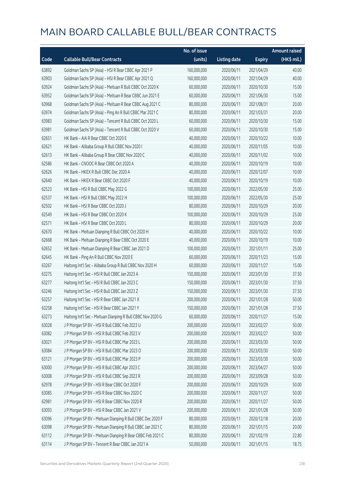|       |                                                             | No. of issue |                     |               | <b>Amount raised</b> |
|-------|-------------------------------------------------------------|--------------|---------------------|---------------|----------------------|
| Code  | <b>Callable Bull/Bear Contracts</b>                         | (units)      | <b>Listing date</b> | <b>Expiry</b> | (HK\$ mil.)          |
| 63892 | Goldman Sachs SP (Asia) - HSI R Bear CBBC Apr 2021 P        | 160,000,000  | 2020/06/11          | 2021/04/29    | 40.00                |
| 63903 | Goldman Sachs SP (Asia) - HSI R Bear CBBC Apr 2021 Q        | 160,000,000  | 2020/06/11          | 2021/04/29    | 40.00                |
| 63924 | Goldman Sachs SP (Asia) - Meituan R Bull CBBC Oct 2020 K    | 60,000,000   | 2020/06/11          | 2020/10/30    | 15.00                |
| 63952 | Goldman Sachs SP (Asia) - Meituan R Bear CBBC Jun 2021 E    | 60,000,000   | 2020/06/11          | 2021/06/30    | 15.00                |
| 63968 | Goldman Sachs SP (Asia) - Meituan R Bear CBBC Aug 2021 C    | 80,000,000   | 2020/06/11          | 2021/08/31    | 20.00                |
| 63974 | Goldman Sachs SP (Asia) - Ping An R Bull CBBC Mar 2021 C    | 80,000,000   | 2020/06/11          | 2021/03/31    | 20.00                |
| 63983 | Goldman Sachs SP (Asia) - Tencent R Bull CBBC Oct 2020 L    | 60,000,000   | 2020/06/11          | 2020/10/30    | 15.00                |
| 63981 | Goldman Sachs SP (Asia) - Tencent R Bull CBBC Oct 2020 V    | 60,000,000   | 2020/06/11          | 2020/10/30    | 15.00                |
| 62651 | HK Bank - AIA R Bear CBBC Oct 2020 E                        | 40,000,000   | 2020/06/11          | 2020/10/22    | 10.00                |
| 62621 | HK Bank - Alibaba Group R Bull CBBC Nov 2020 I              | 40,000,000   | 2020/06/11          | 2020/11/05    | 10.00                |
| 62613 | HK Bank - Alibaba Group R Bear CBBC Nov 2020 C              | 40,000,000   | 2020/06/11          | 2020/11/02    | 10.00                |
| 62586 | HK Bank - CNOOC R Bear CBBC Oct 2020 A                      | 40,000,000   | 2020/06/11          | 2020/10/19    | 10.00                |
| 62626 | HK Bank - HKEX R Bull CBBC Dec 2020 A                       | 40,000,000   | 2020/06/11          | 2020/12/07    | 10.00                |
| 62640 | HK Bank - HKEX R Bear CBBC Oct 2020 F                       | 40,000,000   | 2020/06/11          | 2020/10/19    | 10.00                |
| 62523 | HK Bank - HSI R Bull CBBC May 2022 G                        | 100,000,000  | 2020/06/11          | 2022/05/30    | 25.00                |
| 62537 | HK Bank - HSI R Bull CBBC May 2022 H                        | 100,000,000  | 2020/06/11          | 2022/05/30    | 25.00                |
| 62502 | HK Bank - HSI R Bear CBBC Oct 2020 J                        | 80,000,000   | 2020/06/11          | 2020/10/29    | 20.00                |
| 62549 | HK Bank - HSI R Bear CBBC Oct 2020 K                        | 100,000,000  | 2020/06/11          | 2020/10/29    | 25.00                |
| 62571 | HK Bank - HSI R Bear CBBC Oct 2020 L                        | 80,000,000   | 2020/06/11          | 2020/10/29    | 20.00                |
| 62670 | HK Bank - Meituan Dianping R Bull CBBC Oct 2020 H           | 40,000,000   | 2020/06/11          | 2020/10/22    | 10.00                |
| 62668 | HK Bank - Meituan Dianping R Bear CBBC Oct 2020 E           | 40,000,000   | 2020/06/11          | 2020/10/19    | 10.00                |
| 62652 | HK Bank - Meituan Dianping R Bear CBBC Jan 2021 D           | 100,000,000  | 2020/06/11          | 2021/01/11    | 25.00                |
| 62645 | HK Bank - Ping An R Bull CBBC Nov 2020 E                    | 60,000,000   | 2020/06/11          | 2020/11/23    | 15.00                |
| 63267 | Haitong Int'l Sec - Alibaba Group R Bull CBBC Nov 2020 H    | 60,000,000   | 2020/06/11          | 2020/11/27    | 15.00                |
| 63275 | Haitong Int'l Sec - HSI R Bull CBBC Jan 2023 A              | 150,000,000  | 2020/06/11          | 2023/01/30    | 37.50                |
| 63277 | Haitong Int'l Sec - HSI R Bull CBBC Jan 2023 C              | 150,000,000  | 2020/06/11          | 2023/01/30    | 37.50                |
| 63246 | Haitong Int'l Sec - HSI R Bull CBBC Jan 2023 Z              | 150,000,000  | 2020/06/11          | 2023/01/30    | 37.50                |
| 63257 | Haitong Int'l Sec - HSI R Bear CBBC Jan 2021 X              | 200,000,000  | 2020/06/11          | 2021/01/28    | 50.00                |
| 63258 | Haitong Int'l Sec - HSI R Bear CBBC Jan 2021 Y              | 150,000,000  | 2020/06/11          | 2021/01/28    | 37.50                |
| 63273 | Haitong Int'l Sec - Meituan Dianping R Bull CBBC Nov 2020 G | 60,000,000   | 2020/06/11          | 2020/11/27    | 15.00                |
| 63028 | J P Morgan SP BV - HSI R Bull CBBC Feb 2023 U               | 200,000,000  | 2020/06/11          | 2023/02/27    | 50.00                |
| 63082 | J P Morgan SP BV - HSI R Bull CBBC Feb 2023 V               | 200,000,000  | 2020/06/11          | 2023/02/27    | 50.00                |
| 63021 | J P Morgan SP BV - HSI R Bull CBBC Mar 2023 L               | 200,000,000  | 2020/06/11          | 2023/03/30    | 50.00                |
| 63084 | J P Morgan SP BV - HSI R Bull CBBC Mar 2023 O               | 200,000,000  | 2020/06/11          | 2023/03/30    | 50.00                |
| 63121 | J P Morgan SP BV - HSI R Bull CBBC Mar 2023 P               | 200,000,000  | 2020/06/11          | 2023/03/30    | 50.00                |
| 63000 | J P Morgan SP BV - HSI R Bull CBBC Apr 2023 C               | 200,000,000  | 2020/06/11          | 2023/04/27    | 50.00                |
| 63008 | J P Morgan SP BV - HSI R Bull CBBC Sep 2023 R               | 200,000,000  | 2020/06/11          | 2023/09/28    | 50.00                |
| 62978 | J P Morgan SP BV - HSI R Bear CBBC Oct 2020 F               | 200,000,000  | 2020/06/11          | 2020/10/29    | 50.00                |
| 63085 | J P Morgan SP BV - HSI R Bear CBBC Nov 2020 C               | 200,000,000  | 2020/06/11          | 2020/11/27    | 50.00                |
| 62981 | J P Morgan SP BV - HSI R Bear CBBC Nov 2020 R               | 200,000,000  | 2020/06/11          | 2020/11/27    | 50.00                |
| 63093 | J P Morgan SP BV - HSI R Bear CBBC Jan 2021 V               | 200,000,000  | 2020/06/11          | 2021/01/28    | 50.00                |
| 63096 | J P Morgan SP BV - Meituan Dianping R Bull CBBC Dec 2020 F  | 80,000,000   | 2020/06/11          | 2020/12/18    | 20.00                |
| 63098 | J P Morgan SP BV - Meituan Dianping R Bull CBBC Jan 2021 C  | 80,000,000   | 2020/06/11          | 2021/01/15    | 20.00                |
| 63112 | J P Morgan SP BV - Meituan Dianping R Bear CBBC Feb 2021 C  | 80,000,000   | 2020/06/11          | 2021/02/19    | 22.80                |
| 63114 | J P Morgan SP BV - Tencent R Bear CBBC Jan 2021 A           | 50,000,000   | 2020/06/11          | 2021/01/15    | 18.75                |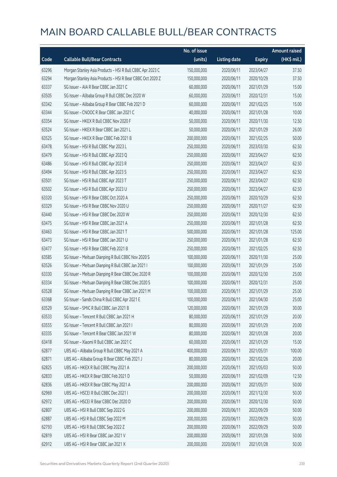|       |                                                           | No. of issue |                     |               | <b>Amount raised</b> |
|-------|-----------------------------------------------------------|--------------|---------------------|---------------|----------------------|
| Code  | <b>Callable Bull/Bear Contracts</b>                       | (units)      | <b>Listing date</b> | <b>Expiry</b> | (HK\$ mil.)          |
| 63296 | Morgan Stanley Asia Products - HSI R Bull CBBC Apr 2023 C | 150,000,000  | 2020/06/11          | 2023/04/27    | 37.50                |
| 63294 | Morgan Stanley Asia Products - HSI R Bear CBBC Oct 2020 Z | 150,000,000  | 2020/06/11          | 2020/10/29    | 37.50                |
| 63337 | SG Issuer - AIA R Bear CBBC Jan 2021 C                    | 60,000,000   | 2020/06/11          | 2021/01/29    | 15.00                |
| 63505 | SG Issuer - Alibaba Group R Bull CBBC Dec 2020 W          | 60,000,000   | 2020/06/11          | 2020/12/31    | 15.00                |
| 63342 | SG Issuer - Alibaba Group R Bear CBBC Feb 2021 D          | 60,000,000   | 2020/06/11          | 2021/02/25    | 15.00                |
| 63344 | SG Issuer - CNOOC R Bear CBBC Jan 2021 C                  | 40,000,000   | 2020/06/11          | 2021/01/28    | 10.00                |
| 63354 | SG Issuer - HKEX R Bull CBBC Nov 2020 F                   | 50,000,000   | 2020/06/11          | 2020/11/30    | 12.50                |
| 63524 | SG Issuer - HKEX R Bear CBBC Jan 2021 L                   | 50,000,000   | 2020/06/11          | 2021/01/29    | 26.00                |
| 63525 | SG Issuer - HKEX R Bear CBBC Feb 2021 B                   | 200,000,000  | 2020/06/11          | 2021/02/25    | 50.00                |
| 63478 | SG Issuer - HSI R Bull CBBC Mar 2023 L                    | 250,000,000  | 2020/06/11          | 2023/03/30    | 62.50                |
| 63479 | SG Issuer - HSI R Bull CBBC Apr 2023 Q                    | 250,000,000  | 2020/06/11          | 2023/04/27    | 62.50                |
| 63486 | SG Issuer - HSI R Bull CBBC Apr 2023 R                    | 250,000,000  | 2020/06/11          | 2023/04/27    | 62.50                |
| 63494 | SG Issuer - HSI R Bull CBBC Apr 2023 S                    | 250,000,000  | 2020/06/11          | 2023/04/27    | 62.50                |
| 63501 | SG Issuer - HSI R Bull CBBC Apr 2023 T                    | 250,000,000  | 2020/06/11          | 2023/04/27    | 62.50                |
| 63502 | SG Issuer - HSI R Bull CBBC Apr 2023 U                    | 250,000,000  | 2020/06/11          | 2023/04/27    | 62.50                |
| 63320 | SG Issuer - HSI R Bear CBBC Oct 2020 A                    | 250,000,000  | 2020/06/11          | 2020/10/29    | 62.50                |
| 63329 | SG Issuer - HSI R Bear CBBC Nov 2020 U                    | 250,000,000  | 2020/06/11          | 2020/11/27    | 62.50                |
| 63440 | SG Issuer - HSI R Bear CBBC Dec 2020 W                    | 250,000,000  | 2020/06/11          | 2020/12/30    | 62.50                |
| 63475 | SG Issuer - HSI R Bear CBBC Jan 2021 A                    | 250,000,000  | 2020/06/11          | 2021/01/28    | 62.50                |
| 63463 | SG Issuer - HSI R Bear CBBC Jan 2021 T                    | 500,000,000  | 2020/06/11          | 2021/01/28    | 125.00               |
| 63473 | SG Issuer - HSI R Bear CBBC Jan 2021 U                    | 250,000,000  | 2020/06/11          | 2021/01/28    | 62.50                |
| 63477 | SG Issuer - HSI R Bear CBBC Feb 2021 B                    | 250,000,000  | 2020/06/11          | 2021/02/25    | 62.50                |
| 63585 | SG Issuer - Meituan Dianping R Bull CBBC Nov 2020 S       | 100,000,000  | 2020/06/11          | 2020/11/30    | 25.00                |
| 63526 | SG Issuer - Meituan Dianping R Bull CBBC Jan 2021 I       | 100,000,000  | 2020/06/11          | 2021/01/29    | 25.00                |
| 63330 | SG Issuer - Meituan Dianping R Bear CBBC Dec 2020 R       | 100,000,000  | 2020/06/11          | 2020/12/30    | 25.00                |
| 63334 | SG Issuer - Meituan Dianping R Bear CBBC Dec 2020 S       | 100,000,000  | 2020/06/11          | 2020/12/31    | 25.00                |
| 63528 | SG Issuer - Meituan Dianping R Bear CBBC Jan 2021 M       | 100,000,000  | 2020/06/11          | 2021/01/29    | 25.00                |
| 63368 | SG Issuer - Sands China R Bull CBBC Apr 2021 E            | 100,000,000  | 2020/06/11          | 2021/04/30    | 25.00                |
| 63529 | SG Issuer - SMIC R Bull CBBC Jan 2021 B                   | 120,000,000  | 2020/06/11          | 2021/01/29    | 30.00                |
| 63533 | SG Issuer - Tencent R Bull CBBC Jan 2021 H                | 80,000,000   | 2020/06/11          | 2021/01/29    | 20.00                |
| 63555 | SG Issuer - Tencent R Bull CBBC Jan 2021 I                | 80,000,000   | 2020/06/11          | 2021/01/29    | 20.00                |
| 63335 | SG Issuer - Tencent R Bear CBBC Jan 2021 W                | 80,000,000   | 2020/06/11          | 2021/01/28    | 20.00                |
| 63418 | SG Issuer - Xiaomi R Bull CBBC Jan 2021 C                 | 60,000,000   | 2020/06/11          | 2021/01/29    | 15.00                |
| 62877 | UBS AG - Alibaba Group R Bull CBBC May 2021 A             | 400,000,000  | 2020/06/11          | 2021/05/31    | 100.00               |
| 62871 | UBS AG - Alibaba Group R Bear CBBC Feb 2021 J             | 80,000,000   | 2020/06/11          | 2021/02/26    | 20.00                |
| 62825 | UBS AG - HKEX R Bull CBBC May 2021 A                      | 200,000,000  | 2020/06/11          | 2021/05/03    | 50.00                |
| 62833 | UBS AG - HKEX R Bear CBBC Feb 2021 D                      | 50,000,000   | 2020/06/11          | 2021/02/09    | 12.50                |
| 62836 | UBS AG - HKEX R Bear CBBC May 2021 A                      | 200,000,000  | 2020/06/11          | 2021/05/31    | 50.00                |
| 62969 | UBS AG - HSCEI R Bull CBBC Dec 2021 I                     | 200,000,000  | 2020/06/11          | 2021/12/30    | 50.00                |
| 62972 | UBS AG - HSCEI R Bear CBBC Dec 2020 D                     | 200,000,000  | 2020/06/11          | 2020/12/30    | 50.00                |
| 62807 | UBS AG - HSI R Bull CBBC Sep 2022 G                       | 200,000,000  | 2020/06/11          | 2022/09/29    | 50.00                |
| 62887 | UBS AG - HSI R Bull CBBC Sep 2022 M                       | 200,000,000  | 2020/06/11          | 2022/09/29    | 50.00                |
| 62793 | UBS AG - HSI R Bull CBBC Sep 2022 Z                       | 200,000,000  | 2020/06/11          | 2022/09/29    | 50.00                |
| 62819 | UBS AG - HSI R Bear CBBC Jan 2021 V                       | 200,000,000  | 2020/06/11          | 2021/01/28    | 50.00                |
| 62912 | UBS AG - HSI R Bear CBBC Jan 2021 X                       | 200,000,000  | 2020/06/11          | 2021/01/28    | 50.00                |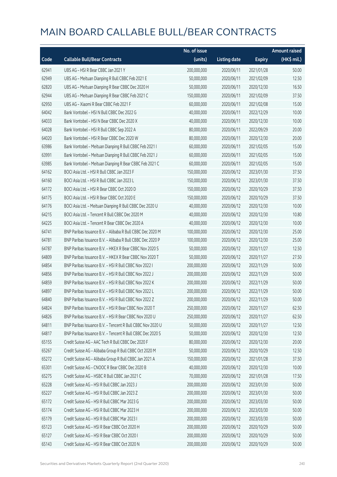|       |                                                            | No. of issue |                     |               | <b>Amount raised</b> |
|-------|------------------------------------------------------------|--------------|---------------------|---------------|----------------------|
| Code  | <b>Callable Bull/Bear Contracts</b>                        | (units)      | <b>Listing date</b> | <b>Expiry</b> | (HK\$ mil.)          |
| 62941 | UBS AG - HSI R Bear CBBC Jan 2021 Y                        | 200,000,000  | 2020/06/11          | 2021/01/28    | 50.00                |
| 62949 | UBS AG - Meituan Dianping R Bull CBBC Feb 2021 E           | 50,000,000   | 2020/06/11          | 2021/02/09    | 12.50                |
| 62820 | UBS AG - Meituan Dianping R Bear CBBC Dec 2020 H           | 50,000,000   | 2020/06/11          | 2020/12/30    | 16.50                |
| 62944 | UBS AG - Meituan Dianping R Bear CBBC Feb 2021 C           | 150,000,000  | 2020/06/11          | 2021/02/09    | 37.50                |
| 62950 | UBS AG - Xiaomi R Bear CBBC Feb 2021 F                     | 60,000,000   | 2020/06/11          | 2021/02/08    | 15.00                |
| 64042 | Bank Vontobel - HSI N Bull CBBC Dec 2022 G                 | 40,000,000   | 2020/06/11          | 2022/12/29    | 10.00                |
| 64033 | Bank Vontobel - HSI N Bear CBBC Dec 2020 X                 | 40,000,000   | 2020/06/11          | 2020/12/30    | 10.00                |
| 64028 | Bank Vontobel - HSI R Bull CBBC Sep 2022 A                 | 80,000,000   | 2020/06/11          | 2022/09/29    | 20.00                |
| 64020 | Bank Vontobel - HSI R Bear CBBC Dec 2020 W                 | 80,000,000   | 2020/06/11          | 2020/12/30    | 20.00                |
| 63986 | Bank Vontobel - Meituan Dianping R Bull CBBC Feb 2021 I    | 60,000,000   | 2020/06/11          | 2021/02/05    | 15.00                |
| 63991 | Bank Vontobel - Meituan Dianping R Bull CBBC Feb 2021 J    | 60,000,000   | 2020/06/11          | 2021/02/05    | 15.00                |
| 63985 | Bank Vontobel - Meituan Dianping R Bear CBBC Feb 2021 C    | 60,000,000   | 2020/06/11          | 2021/02/05    | 15.00                |
| 64162 | BOCI Asia Ltd. - HSI R Bull CBBC Jan 2023 F                | 150,000,000  | 2020/06/12          | 2023/01/30    | 37.50                |
| 64160 | BOCI Asia Ltd. - HSI R Bull CBBC Jan 2023 L                | 150,000,000  | 2020/06/12          | 2023/01/30    | 37.50                |
| 64172 | BOCI Asia Ltd. - HSI R Bear CBBC Oct 2020 D                | 150,000,000  | 2020/06/12          | 2020/10/29    | 37.50                |
| 64175 | BOCI Asia Ltd. - HSI R Bear CBBC Oct 2020 E                | 150,000,000  | 2020/06/12          | 2020/10/29    | 37.50                |
| 64176 | BOCI Asia Ltd. - Meituan Dianping R Bull CBBC Dec 2020 U   | 40,000,000   | 2020/06/12          | 2020/12/30    | 10.00                |
| 64215 | BOCI Asia Ltd. - Tencent R Bull CBBC Dec 2020 M            | 40,000,000   | 2020/06/12          | 2020/12/30    | 10.80                |
| 64225 | BOCI Asia Ltd. - Tencent R Bear CBBC Dec 2020 A            | 40,000,000   | 2020/06/12          | 2020/12/30    | 10.00                |
| 64741 | BNP Paribas Issuance B.V. - Alibaba R Bull CBBC Dec 2020 M | 100,000,000  | 2020/06/12          | 2020/12/30    | 25.00                |
| 64781 | BNP Paribas Issuance B.V. - Alibaba R Bull CBBC Dec 2020 P | 100,000,000  | 2020/06/12          | 2020/12/30    | 25.00                |
| 64787 | BNP Paribas Issuance B.V. - HKEX R Bear CBBC Nov 2020 S    | 50,000,000   | 2020/06/12          | 2020/11/27    | 12.50                |
| 64809 | BNP Paribas Issuance B.V. - HKEX R Bear CBBC Nov 2020 T    | 50,000,000   | 2020/06/12          | 2020/11/27    | 27.50                |
| 64854 | BNP Paribas Issuance B.V. - HSI R Bull CBBC Nov 2022 I     | 200,000,000  | 2020/06/12          | 2022/11/29    | 50.00                |
| 64856 | BNP Paribas Issuance B.V. - HSI R Bull CBBC Nov 2022 J     | 200,000,000  | 2020/06/12          | 2022/11/29    | 50.00                |
| 64859 | BNP Paribas Issuance B.V. - HSI R Bull CBBC Nov 2022 K     | 200,000,000  | 2020/06/12          | 2022/11/29    | 50.00                |
| 64897 | BNP Paribas Issuance B.V. - HSI R Bull CBBC Nov 2022 L     | 200,000,000  | 2020/06/12          | 2022/11/29    | 50.00                |
| 64840 | BNP Paribas Issuance B.V. - HSLR Bull CBBC Nov 2022 7      | 200,000,000  | 2020/06/12          | 2022/11/29    | 50.00                |
| 64824 | BNP Paribas Issuance B.V. - HSI R Bear CBBC Nov 2020 T     | 250,000,000  | 2020/06/12          | 2020/11/27    | 62.50                |
| 64826 | BNP Paribas Issuance B.V. - HSI R Bear CBBC Nov 2020 U     | 250,000,000  | 2020/06/12          | 2020/11/27    | 62.50                |
| 64811 | BNP Paribas Issuance B.V. - Tencent R Bull CBBC Nov 2020 U | 50,000,000   | 2020/06/12          | 2020/11/27    | 12.50                |
| 64817 | BNP Paribas Issuance B.V. - Tencent R Bull CBBC Dec 2020 S | 50,000,000   | 2020/06/12          | 2020/12/30    | 12.50                |
| 65155 | Credit Suisse AG - AAC Tech R Bull CBBC Dec 2020 F         | 80,000,000   | 2020/06/12          | 2020/12/30    | 20.00                |
| 65267 | Credit Suisse AG - Alibaba Group R Bull CBBC Oct 2020 M    | 50,000,000   | 2020/06/12          | 2020/10/29    | 12.50                |
| 65272 | Credit Suisse AG - Alibaba Group R Bull CBBC Jan 2021 A    | 150,000,000  | 2020/06/12          | 2021/01/28    | 37.50                |
| 65301 | Credit Suisse AG - CNOOC R Bear CBBC Dec 2020 B            | 40,000,000   | 2020/06/12          | 2020/12/30    | 10.00                |
| 65275 | Credit Suisse AG - HSBC R Bull CBBC Jan 2021 C             | 70,000,000   | 2020/06/12          | 2021/01/28    | 17.50                |
| 65228 | Credit Suisse AG - HSI R Bull CBBC Jan 2023 J              | 200,000,000  | 2020/06/12          | 2023/01/30    | 50.00                |
| 65227 | Credit Suisse AG - HSI R Bull CBBC Jan 2023 Z              | 200,000,000  | 2020/06/12          | 2023/01/30    | 50.00                |
| 65172 | Credit Suisse AG - HSI R Bull CBBC Mar 2023 G              | 200,000,000  | 2020/06/12          | 2023/03/30    | 50.00                |
| 65174 | Credit Suisse AG - HSI R Bull CBBC Mar 2023 H              | 200,000,000  | 2020/06/12          | 2023/03/30    | 50.00                |
| 65179 | Credit Suisse AG - HSI R Bull CBBC Mar 2023 I              | 200,000,000  | 2020/06/12          | 2023/03/30    | 50.00                |
| 65123 | Credit Suisse AG - HSI R Bear CBBC Oct 2020 H              | 200,000,000  | 2020/06/12          | 2020/10/29    | 50.00                |
| 65127 | Credit Suisse AG - HSI R Bear CBBC Oct 2020 I              | 200,000,000  | 2020/06/12          | 2020/10/29    | 50.00                |
| 65143 | Credit Suisse AG - HSI R Bear CBBC Oct 2020 N              | 200,000,000  | 2020/06/12          | 2020/10/29    | 50.00                |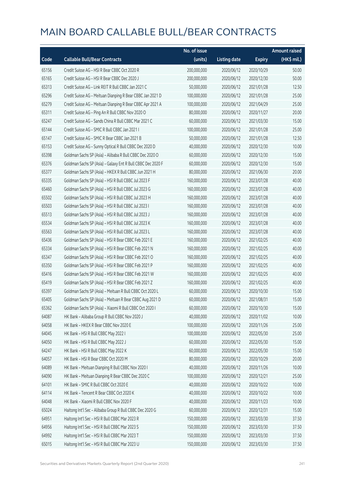|       |                                                             | No. of issue |                     |               | <b>Amount raised</b> |
|-------|-------------------------------------------------------------|--------------|---------------------|---------------|----------------------|
| Code  | <b>Callable Bull/Bear Contracts</b>                         | (units)      | <b>Listing date</b> | <b>Expiry</b> | (HK\$ mil.)          |
| 65156 | Credit Suisse AG - HSI R Bear CBBC Oct 2020 R               | 200,000,000  | 2020/06/12          | 2020/10/29    | 50.00                |
| 65165 | Credit Suisse AG - HSI R Bear CBBC Dec 2020 J               | 200,000,000  | 2020/06/12          | 2020/12/30    | 50.00                |
| 65313 | Credit Suisse AG - Link REIT R Bull CBBC Jan 2021 C         | 50,000,000   | 2020/06/12          | 2021/01/28    | 12.50                |
| 65296 | Credit Suisse AG - Meituan Dianping R Bear CBBC Jan 2021 D  | 100,000,000  | 2020/06/12          | 2021/01/28    | 25.00                |
| 65279 | Credit Suisse AG - Meituan Dianping R Bear CBBC Apr 2021 A  | 100,000,000  | 2020/06/12          | 2021/04/29    | 25.00                |
| 65311 | Credit Suisse AG - Ping An R Bull CBBC Nov 2020 O           | 80,000,000   | 2020/06/12          | 2020/11/27    | 20.00                |
| 65247 | Credit Suisse AG - Sands China R Bull CBBC Mar 2021 C       | 60,000,000   | 2020/06/12          | 2021/03/30    | 15.00                |
| 65144 | Credit Suisse AG - SMIC R Bull CBBC Jan 2021 I              | 100,000,000  | 2020/06/12          | 2021/01/28    | 25.00                |
| 65147 | Credit Suisse AG - SMIC R Bear CBBC Jan 2021 B              | 50,000,000   | 2020/06/12          | 2021/01/28    | 12.50                |
| 65153 | Credit Suisse AG - Sunny Optical R Bull CBBC Dec 2020 D     | 40,000,000   | 2020/06/12          | 2020/12/30    | 10.00                |
| 65398 | Goldman Sachs SP (Asia) - Alibaba R Bull CBBC Dec 2020 O    | 60,000,000   | 2020/06/12          | 2020/12/30    | 15.00                |
| 65376 | Goldman Sachs SP (Asia) - Galaxy Ent R Bull CBBC Dec 2020 F | 60,000,000   | 2020/06/12          | 2020/12/30    | 15.00                |
| 65377 | Goldman Sachs SP (Asia) - HKEX R Bull CBBC Jun 2021 H       | 80,000,000   | 2020/06/12          | 2021/06/30    | 20.00                |
| 65335 | Goldman Sachs SP (Asia) - HSI R Bull CBBC Jul 2023 F        | 160,000,000  | 2020/06/12          | 2023/07/28    | 40.00                |
| 65460 | Goldman Sachs SP (Asia) - HSI R Bull CBBC Jul 2023 G        | 160,000,000  | 2020/06/12          | 2023/07/28    | 40.00                |
| 65502 | Goldman Sachs SP (Asia) - HSI R Bull CBBC Jul 2023 H        | 160,000,000  | 2020/06/12          | 2023/07/28    | 40.00                |
| 65503 | Goldman Sachs SP (Asia) - HSI R Bull CBBC Jul 2023 I        | 160,000,000  | 2020/06/12          | 2023/07/28    | 40.00                |
| 65513 | Goldman Sachs SP (Asia) - HSI R Bull CBBC Jul 2023 J        | 160,000,000  | 2020/06/12          | 2023/07/28    | 40.00                |
| 65534 | Goldman Sachs SP (Asia) - HSI R Bull CBBC Jul 2023 K        | 160,000,000  | 2020/06/12          | 2023/07/28    | 40.00                |
| 65563 | Goldman Sachs SP (Asia) - HSI R Bull CBBC Jul 2023 L        | 160,000,000  | 2020/06/12          | 2023/07/28    | 40.00                |
| 65436 | Goldman Sachs SP (Asia) - HSI R Bear CBBC Feb 2021 E        | 160,000,000  | 2020/06/12          | 2021/02/25    | 40.00                |
| 65334 | Goldman Sachs SP (Asia) - HSI R Bear CBBC Feb 2021 N        | 160,000,000  | 2020/06/12          | 2021/02/25    | 40.00                |
| 65347 | Goldman Sachs SP (Asia) - HSI R Bear CBBC Feb 2021 O        | 160,000,000  | 2020/06/12          | 2021/02/25    | 40.00                |
| 65350 | Goldman Sachs SP (Asia) - HSI R Bear CBBC Feb 2021 P        | 160,000,000  | 2020/06/12          | 2021/02/25    | 40.00                |
| 65416 | Goldman Sachs SP (Asia) - HSI R Bear CBBC Feb 2021 W        | 160,000,000  | 2020/06/12          | 2021/02/25    | 40.00                |
| 65419 | Goldman Sachs SP (Asia) - HSI R Bear CBBC Feb 2021 Z        | 160,000,000  | 2020/06/12          | 2021/02/25    | 40.00                |
| 65397 | Goldman Sachs SP (Asia) - Meituan R Bull CBBC Oct 2020 L    | 60,000,000   | 2020/06/12          | 2020/10/30    | 15.00                |
| 65405 | Goldman Sachs SP (Asia) - Meituan R Bear CBBC Aug 2021 D    | 60,000,000   | 2020/06/12          | 2021/08/31    | 15.00                |
| 65362 | Goldman Sachs SP (Asia) - Xiaomi R Bull CBBC Oct 2020 I     | 60,000,000   | 2020/06/12          | 2020/10/30    | 15.00                |
| 64087 | HK Bank - Alibaba Group R Bull CBBC Nov 2020 J              | 40,000,000   | 2020/06/12          | 2020/11/02    | 10.00                |
| 64058 | HK Bank - HKEX R Bear CBBC Nov 2020 E                       | 100,000,000  | 2020/06/12          | 2020/11/26    | 25.00                |
| 64045 | HK Bank - HSI R Bull CBBC May 2022 I                        | 100,000,000  | 2020/06/12          | 2022/05/30    | 25.00                |
| 64050 | HK Bank - HSI R Bull CBBC May 2022 J                        | 60,000,000   | 2020/06/12          | 2022/05/30    | 15.00                |
| 64247 | HK Bank - HSI R Bull CBBC May 2022 K                        | 60,000,000   | 2020/06/12          | 2022/05/30    | 15.00                |
| 64057 | HK Bank - HSI R Bear CBBC Oct 2020 M                        | 80,000,000   | 2020/06/12          | 2020/10/29    | 20.00                |
| 64089 | HK Bank - Meituan Dianping R Bull CBBC Nov 2020 I           | 40,000,000   | 2020/06/12          | 2020/11/26    | 10.00                |
| 64090 | HK Bank - Meituan Dianping R Bear CBBC Dec 2020 C           | 100,000,000  | 2020/06/12          | 2020/12/21    | 25.00                |
| 64101 | HK Bank - SMIC R Bull CBBC Oct 2020 E                       | 40,000,000   | 2020/06/12          | 2020/10/22    | 10.00                |
| 64114 | HK Bank - Tencent R Bear CBBC Oct 2020 K                    | 40,000,000   | 2020/06/12          | 2020/10/22    | 10.00                |
| 64048 | HK Bank - Xiaomi R Bull CBBC Nov 2020 F                     | 40,000,000   | 2020/06/12          | 2020/11/23    | 10.00                |
| 65024 | Haitong Int'l Sec - Alibaba Group R Bull CBBC Dec 2020 G    | 60,000,000   | 2020/06/12          | 2020/12/31    | 15.00                |
| 64951 | Haitong Int'l Sec - HSI R Bull CBBC Mar 2023 R              | 150,000,000  | 2020/06/12          | 2023/03/30    | 37.50                |
| 64956 | Haitong Int'l Sec - HSI R Bull CBBC Mar 2023 S              | 150,000,000  | 2020/06/12          | 2023/03/30    | 37.50                |
| 64992 | Haitong Int'l Sec - HSI R Bull CBBC Mar 2023 T              | 150,000,000  | 2020/06/12          | 2023/03/30    | 37.50                |
| 65015 | Haitong Int'l Sec - HSI R Bull CBBC Mar 2023 U              | 150,000,000  | 2020/06/12          | 2023/03/30    | 37.50                |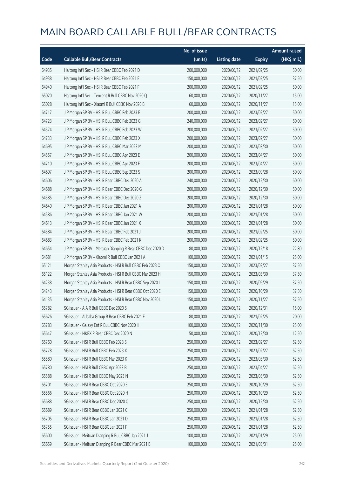|       |                                                            | No. of issue |                     |               | <b>Amount raised</b> |
|-------|------------------------------------------------------------|--------------|---------------------|---------------|----------------------|
| Code  | <b>Callable Bull/Bear Contracts</b>                        | (units)      | <b>Listing date</b> | <b>Expiry</b> | (HK\$ mil.)          |
| 64935 | Haitong Int'l Sec - HSI R Bear CBBC Feb 2021 D             | 200,000,000  | 2020/06/12          | 2021/02/25    | 50.00                |
| 64938 | Haitong Int'l Sec - HSI R Bear CBBC Feb 2021 E             | 150,000,000  | 2020/06/12          | 2021/02/25    | 37.50                |
| 64940 | Haitong Int'l Sec - HSI R Bear CBBC Feb 2021 F             | 200,000,000  | 2020/06/12          | 2021/02/25    | 50.00                |
| 65020 | Haitong Int'l Sec - Tencent R Bull CBBC Nov 2020 Q         | 60,000,000   | 2020/06/12          | 2020/11/27    | 15.00                |
| 65028 | Haitong Int'l Sec - Xiaomi R Bull CBBC Nov 2020 B          | 60,000,000   | 2020/06/12          | 2020/11/27    | 15.00                |
| 64717 | J P Morgan SP BV - HSI R Bull CBBC Feb 2023 E              | 200,000,000  | 2020/06/12          | 2023/02/27    | 50.00                |
| 64723 | J P Morgan SP BV - HSI R Bull CBBC Feb 2023 G              | 240,000,000  | 2020/06/12          | 2023/02/27    | 60.00                |
| 64574 | J P Morgan SP BV - HSI R Bull CBBC Feb 2023 W              | 200,000,000  | 2020/06/12          | 2023/02/27    | 50.00                |
| 64733 | J P Morgan SP BV - HSI R Bull CBBC Feb 2023 X              | 200,000,000  | 2020/06/12          | 2023/02/27    | 50.00                |
| 64695 | J P Morgan SP BV - HSI R Bull CBBC Mar 2023 M              | 200,000,000  | 2020/06/12          | 2023/03/30    | 50.00                |
| 64557 | J P Morgan SP BV - HSI R Bull CBBC Apr 2023 E              | 200,000,000  | 2020/06/12          | 2023/04/27    | 50.00                |
| 64710 | J P Morgan SP BV - HSI R Bull CBBC Apr 2023 F              | 200,000,000  | 2020/06/12          | 2023/04/27    | 50.00                |
| 64697 | J P Morgan SP BV - HSI R Bull CBBC Sep 2023 S              | 200,000,000  | 2020/06/12          | 2023/09/28    | 50.00                |
| 64606 | J P Morgan SP BV - HSI R Bear CBBC Dec 2020 A              | 240,000,000  | 2020/06/12          | 2020/12/30    | 60.00                |
| 64688 | J P Morgan SP BV - HSI R Bear CBBC Dec 2020 G              | 200,000,000  | 2020/06/12          | 2020/12/30    | 50.00                |
| 64585 | J P Morgan SP BV - HSI R Bear CBBC Dec 2020 Z              | 200,000,000  | 2020/06/12          | 2020/12/30    | 50.00                |
| 64640 | J P Morgan SP BV - HSI R Bear CBBC Jan 2021 A              | 200,000,000  | 2020/06/12          | 2021/01/28    | 50.00                |
| 64586 | J P Morgan SP BV - HSI R Bear CBBC Jan 2021 W              | 200,000,000  | 2020/06/12          | 2021/01/28    | 50.00                |
| 64613 | J P Morgan SP BV - HSI R Bear CBBC Jan 2021 X              | 200,000,000  | 2020/06/12          | 2021/01/28    | 50.00                |
| 64584 | J P Morgan SP BV - HSI R Bear CBBC Feb 2021 J              | 200,000,000  | 2020/06/12          | 2021/02/25    | 50.00                |
| 64683 | J P Morgan SP BV - HSI R Bear CBBC Feb 2021 K              | 200,000,000  | 2020/06/12          | 2021/02/25    | 50.00                |
| 64654 | J P Morgan SP BV - Meituan Dianping R Bear CBBC Dec 2020 D | 80,000,000   | 2020/06/12          | 2020/12/18    | 22.80                |
| 64681 | J P Morgan SP BV - Xiaomi R Bull CBBC Jan 2021 A           | 100,000,000  | 2020/06/12          | 2021/01/15    | 25.00                |
| 65121 | Morgan Stanley Asia Products - HSI R Bull CBBC Feb 2023 O  | 150,000,000  | 2020/06/12          | 2023/02/27    | 37.50                |
| 65122 | Morgan Stanley Asia Products - HSI R Bull CBBC Mar 2023 H  | 150,000,000  | 2020/06/12          | 2023/03/30    | 37.50                |
| 64238 | Morgan Stanley Asia Products - HSI R Bear CBBC Sep 2020 I  | 150,000,000  | 2020/06/12          | 2020/09/29    | 37.50                |
| 64243 | Morgan Stanley Asia Products - HSI R Bear CBBC Oct 2020 E  | 150,000,000  | 2020/06/12          | 2020/10/29    | 37.50                |
| 64135 | Morgan Stanley Asia Products - HSI R Bear CBBC Nov 2020 L  | 150,000,000  | 2020/06/12          | 2020/11/27    | 37.50                |
| 65782 | SG Issuer - AIA R Bull CBBC Dec 2020 S                     | 60,000,000   | 2020/06/12          | 2020/12/31    | 15.00                |
| 65626 | SG Issuer - Alibaba Group R Bear CBBC Feb 2021 E           | 80,000,000   | 2020/06/12          | 2021/02/25    | 20.00                |
| 65783 | SG Issuer - Galaxy Ent R Bull CBBC Nov 2020 H              | 100,000,000  | 2020/06/12          | 2020/11/30    | 25.00                |
| 65647 | SG Issuer - HKEX R Bear CBBC Dec 2020 N                    | 50,000,000   | 2020/06/12          | 2020/12/30    | 12.50                |
| 65760 | SG Issuer - HSI R Bull CBBC Feb 2023 S                     | 250,000,000  | 2020/06/12          | 2023/02/27    | 62.50                |
| 65778 | SG Issuer - HSI R Bull CBBC Feb 2023 X                     | 250,000,000  | 2020/06/12          | 2023/02/27    | 62.50                |
| 65580 | SG Issuer - HSI R Bull CBBC Mar 2023 K                     | 250,000,000  | 2020/06/12          | 2023/03/30    | 62.50                |
| 65780 | SG Issuer - HSI R Bull CBBC Apr 2023 B                     | 250,000,000  | 2020/06/12          | 2023/04/27    | 62.50                |
| 65588 | SG Issuer - HSI R Bull CBBC May 2023 N                     | 250,000,000  | 2020/06/12          | 2023/05/30    | 62.50                |
| 65701 | SG Issuer - HSI R Bear CBBC Oct 2020 E                     | 250,000,000  | 2020/06/12          | 2020/10/29    | 62.50                |
| 65566 | SG Issuer - HSI R Bear CBBC Oct 2020 H                     | 250,000,000  | 2020/06/12          | 2020/10/29    | 62.50                |
| 65688 | SG Issuer - HSI R Bear CBBC Dec 2020 Q                     | 250,000,000  | 2020/06/12          | 2020/12/30    | 62.50                |
| 65689 | SG Issuer - HSI R Bear CBBC Jan 2021 C                     | 250,000,000  | 2020/06/12          | 2021/01/28    | 62.50                |
| 65705 | SG Issuer - HSI R Bear CBBC Jan 2021 D                     | 250,000,000  | 2020/06/12          | 2021/01/28    | 62.50                |
| 65755 | SG Issuer - HSI R Bear CBBC Jan 2021 F                     | 250,000,000  | 2020/06/12          | 2021/01/28    | 62.50                |
| 65600 | SG Issuer - Meituan Dianping R Bull CBBC Jan 2021 J        | 100,000,000  | 2020/06/12          | 2021/01/29    | 25.00                |
| 65659 | SG Issuer - Meituan Dianping R Bear CBBC Mar 2021 B        | 100,000,000  | 2020/06/12          | 2021/03/31    | 25.00                |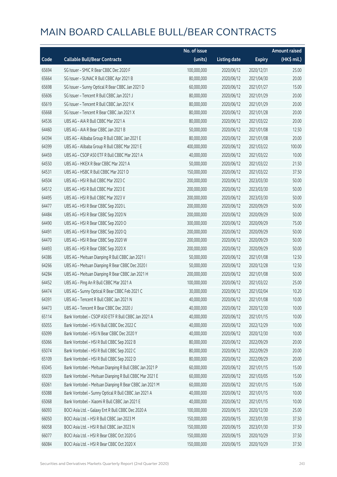|       |                                                         | No. of issue |                     |               | <b>Amount raised</b> |
|-------|---------------------------------------------------------|--------------|---------------------|---------------|----------------------|
| Code  | <b>Callable Bull/Bear Contracts</b>                     | (units)      | <b>Listing date</b> | <b>Expiry</b> | (HK\$ mil.)          |
| 65694 | SG Issuer - SMIC R Bear CBBC Dec 2020 F                 | 100,000,000  | 2020/06/12          | 2020/12/31    | 25.00                |
| 65664 | SG Issuer - SUNAC R Bull CBBC Apr 2021 B                | 80,000,000   | 2020/06/12          | 2021/04/30    | 20.00                |
| 65698 | SG Issuer - Sunny Optical R Bear CBBC Jan 2021 D        | 60,000,000   | 2020/06/12          | 2021/01/27    | 15.00                |
| 65606 | SG Issuer - Tencent R Bull CBBC Jan 2021 J              | 80,000,000   | 2020/06/12          | 2021/01/29    | 20.00                |
| 65619 | SG Issuer - Tencent R Bull CBBC Jan 2021 K              | 80,000,000   | 2020/06/12          | 2021/01/29    | 20.00                |
| 65668 | SG Issuer - Tencent R Bear CBBC Jan 2021 X              | 80,000,000   | 2020/06/12          | 2021/01/28    | 20.00                |
| 64536 | UBS AG - AIA R Bull CBBC Mar 2021 A                     | 80,000,000   | 2020/06/12          | 2021/03/22    | 20.00                |
| 64460 | UBS AG - AIA R Bear CBBC Jan 2021 B                     | 50,000,000   | 2020/06/12          | 2021/01/08    | 12.50                |
| 64394 | UBS AG - Alibaba Group R Bull CBBC Jan 2021 E           | 80,000,000   | 2020/06/12          | 2021/01/08    | 20.00                |
| 64399 | UBS AG - Alibaba Group R Bull CBBC Mar 2021 E           | 400,000,000  | 2020/06/12          | 2021/03/22    | 100.00               |
| 64459 | UBS AG - CSOP A50 ETF R Bull CBBC Mar 2021 A            | 40,000,000   | 2020/06/12          | 2021/03/22    | 10.00                |
| 64550 | UBS AG - HKEX R Bear CBBC Mar 2021 A                    | 50,000,000   | 2020/06/12          | 2021/03/22    | 21.50                |
| 64531 | UBS AG - HSBC R Bull CBBC Mar 2021 D                    | 150,000,000  | 2020/06/12          | 2021/03/22    | 37.50                |
| 64504 | UBS AG - HSI R Bull CBBC Mar 2023 C                     | 200,000,000  | 2020/06/12          | 2023/03/30    | 50.00                |
| 64512 | UBS AG - HSI R Bull CBBC Mar 2023 E                     | 200,000,000  | 2020/06/12          | 2023/03/30    | 50.00                |
| 64495 | UBS AG - HSI R Bull CBBC Mar 2023 V                     | 200,000,000  | 2020/06/12          | 2023/03/30    | 50.00                |
| 64477 | UBS AG - HSI R Bear CBBC Sep 2020 L                     | 200,000,000  | 2020/06/12          | 2020/09/29    | 50.00                |
| 64484 | UBS AG - HSI R Bear CBBC Sep 2020 N                     | 200,000,000  | 2020/06/12          | 2020/09/29    | 50.00                |
| 64490 | UBS AG - HSI R Bear CBBC Sep 2020 O                     | 300,000,000  | 2020/06/12          | 2020/09/29    | 75.00                |
| 64491 | UBS AG - HSI R Bear CBBC Sep 2020 Q                     | 200,000,000  | 2020/06/12          | 2020/09/29    | 50.00                |
| 64470 | UBS AG - HSI R Bear CBBC Sep 2020 W                     | 200,000,000  | 2020/06/12          | 2020/09/29    | 50.00                |
| 64493 | UBS AG - HSI R Bear CBBC Sep 2020 X                     | 200,000,000  | 2020/06/12          | 2020/09/29    | 50.00                |
| 64386 | UBS AG - Meituan Dianping R Bull CBBC Jan 2021 I        | 50,000,000   | 2020/06/12          | 2021/01/08    | 12.50                |
| 64266 | UBS AG - Meituan Dianping R Bear CBBC Dec 2020 I        | 50,000,000   | 2020/06/12          | 2020/12/28    | 12.50                |
| 64284 | UBS AG - Meituan Dianping R Bear CBBC Jan 2021 H        | 200,000,000  | 2020/06/12          | 2021/01/08    | 50.00                |
| 64452 | UBS AG - Ping An R Bull CBBC Mar 2021 A                 | 100,000,000  | 2020/06/12          | 2021/03/22    | 25.00                |
| 64474 | UBS AG - Sunny Optical R Bear CBBC Feb 2021 C           | 30,000,000   | 2020/06/12          | 2021/02/04    | 10.20                |
| 64391 | UBS AG - Tencent R Bull CBBC Jan 2021 N                 | 40,000,000   | 2020/06/12          | 2021/01/08    | 10.00                |
| 64473 | UBS AG - Tencent R Bear CBBC Dec 2020 J                 | 40,000,000   | 2020/06/12          | 2020/12/30    | 10.00                |
| 65114 | Bank Vontobel - CSOP A50 ETF R Bull CBBC Jan 2021 A     | 40,000,000   | 2020/06/12          | 2021/01/15    | 10.00                |
| 65055 | Bank Vontobel - HSI N Bull CBBC Dec 2022 C              | 40,000,000   | 2020/06/12          | 2022/12/29    | 10.00                |
| 65099 | Bank Vontobel - HSI N Bear CBBC Dec 2020 Y              | 40,000,000   | 2020/06/12          | 2020/12/30    | 10.00                |
| 65066 | Bank Vontobel - HSI R Bull CBBC Sep 2022 B              | 80,000,000   | 2020/06/12          | 2022/09/29    | 20.00                |
| 65074 | Bank Vontobel - HSI R Bull CBBC Sep 2022 C              | 80,000,000   | 2020/06/12          | 2022/09/29    | 20.00                |
| 65109 | Bank Vontobel - HSI R Bull CBBC Sep 2022 D              | 80,000,000   | 2020/06/12          | 2022/09/29    | 20.00                |
| 65045 | Bank Vontobel - Meituan Dianping R Bull CBBC Jan 2021 P | 60,000,000   | 2020/06/12          | 2021/01/15    | 15.00                |
| 65039 | Bank Vontobel - Meituan Dianping R Bull CBBC Mar 2021 E | 60,000,000   | 2020/06/12          | 2021/03/05    | 15.00                |
| 65061 | Bank Vontobel - Meituan Dianping R Bear CBBC Jan 2021 M | 60,000,000   | 2020/06/12          | 2021/01/15    | 15.00                |
| 65088 | Bank Vontobel - Sunny Optical R Bull CBBC Jan 2021 A    | 40,000,000   | 2020/06/12          | 2021/01/15    | 10.00                |
| 65068 | Bank Vontobel - Xiaomi R Bull CBBC Jan 2021 E           | 40,000,000   | 2020/06/12          | 2021/01/15    | 10.00                |
| 66093 | BOCI Asia Ltd. - Galaxy Ent R Bull CBBC Dec 2020 A      | 100,000,000  | 2020/06/15          | 2020/12/30    | 25.00                |
| 66050 | BOCI Asia Ltd. - HSI R Bull CBBC Jan 2023 M             | 150,000,000  | 2020/06/15          | 2023/01/30    | 37.50                |
| 66058 | BOCI Asia Ltd. - HSI R Bull CBBC Jan 2023 N             | 150,000,000  | 2020/06/15          | 2023/01/30    | 37.50                |
| 66077 | BOCI Asia Ltd. - HSI R Bear CBBC Oct 2020 G             | 150,000,000  | 2020/06/15          | 2020/10/29    | 37.50                |
| 66084 | BOCI Asia Ltd. - HSI R Bear CBBC Oct 2020 X             | 150,000,000  | 2020/06/15          | 2020/10/29    | 37.50                |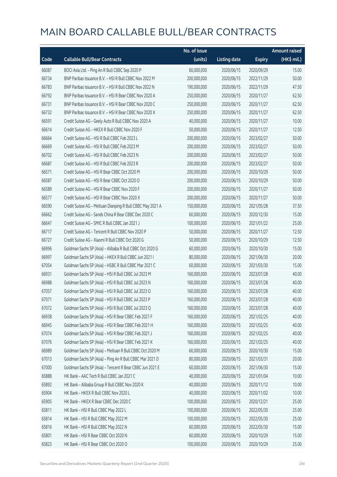|       |                                                            | No. of issue |                     |               | <b>Amount raised</b> |
|-------|------------------------------------------------------------|--------------|---------------------|---------------|----------------------|
| Code  | <b>Callable Bull/Bear Contracts</b>                        | (units)      | <b>Listing date</b> | <b>Expiry</b> | (HK\$ mil.)          |
| 66087 | BOCI Asia Ltd. - Ping An R Bull CBBC Sep 2020 P            | 60,000,000   | 2020/06/15          | 2020/09/29    | 15.00                |
| 66734 | BNP Paribas Issuance B.V. - HSI R Bull CBBC Nov 2022 M     | 200,000,000  | 2020/06/15          | 2022/11/29    | 50.00                |
| 66783 | BNP Paribas Issuance B.V. - HSI R Bull CBBC Nov 2022 N     | 190,000,000  | 2020/06/15          | 2022/11/29    | 47.50                |
| 66792 | BNP Paribas Issuance B.V. - HSI R Bear CBBC Nov 2020 A     | 250,000,000  | 2020/06/15          | 2020/11/27    | 62.50                |
| 66731 | BNP Paribas Issuance B.V. - HSI R Bear CBBC Nov 2020 C     | 250,000,000  | 2020/06/15          | 2020/11/27    | 62.50                |
| 66732 | BNP Paribas Issuance B.V. - HSI R Bear CBBC Nov 2020 X     | 250,000,000  | 2020/06/15          | 2020/11/27    | 62.50                |
| 66591 | Credit Suisse AG - Geely Auto R Bull CBBC Nov 2020 A       | 40,000,000   | 2020/06/15          | 2020/11/27    | 10.00                |
| 66614 | Credit Suisse AG - HKEX R Bull CBBC Nov 2020 F             | 50,000,000   | 2020/06/15          | 2020/11/27    | 12.50                |
| 66664 | Credit Suisse AG - HSI R Bull CBBC Feb 2023 L              | 200,000,000  | 2020/06/15          | 2023/02/27    | 50.00                |
| 66669 | Credit Suisse AG - HSI R Bull CBBC Feb 2023 M              | 200,000,000  | 2020/06/15          | 2023/02/27    | 50.00                |
| 66702 | Credit Suisse AG - HSI R Bull CBBC Feb 2023 N              | 200,000,000  | 2020/06/15          | 2023/02/27    | 50.00                |
| 66687 | Credit Suisse AG - HSI R Bull CBBC Feb 2023 R              | 200,000,000  | 2020/06/15          | 2023/02/27    | 50.00                |
| 66571 | Credit Suisse AG - HSI R Bear CBBC Oct 2020 M              | 200,000,000  | 2020/06/15          | 2020/10/29    | 50.00                |
| 66587 | Credit Suisse AG - HSI R Bear CBBC Oct 2020 O              | 200,000,000  | 2020/06/15          | 2020/10/29    | 50.00                |
| 66589 | Credit Suisse AG - HSI R Bear CBBC Nov 2020 F              | 200,000,000  | 2020/06/15          | 2020/11/27    | 50.00                |
| 66577 | Credit Suisse AG - HSI R Bear CBBC Nov 2020 X              | 200,000,000  | 2020/06/15          | 2020/11/27    | 50.00                |
| 66590 | Credit Suisse AG - Meituan Dianping R Bull CBBC May 2021 A | 150,000,000  | 2020/06/15          | 2021/05/28    | 37.50                |
| 66662 | Credit Suisse AG - Sands China R Bear CBBC Dec 2020 C      | 60,000,000   | 2020/06/15          | 2020/12/30    | 15.00                |
| 66647 | Credit Suisse AG - SMIC R Bull CBBC Jan 2021 J             | 100,000,000  | 2020/06/15          | 2021/01/22    | 25.00                |
| 66717 | Credit Suisse AG - Tencent R Bull CBBC Nov 2020 P          | 50,000,000   | 2020/06/15          | 2020/11/27    | 12.50                |
| 66727 | Credit Suisse AG - Xiaomi R Bull CBBC Oct 2020 G           | 50,000,000   | 2020/06/15          | 2020/10/29    | 12.50                |
| 66996 | Goldman Sachs SP (Asia) - Alibaba R Bull CBBC Oct 2020 G   | 60,000,000   | 2020/06/15          | 2020/10/30    | 15.00                |
| 66997 | Goldman Sachs SP (Asia) - HKEX R Bull CBBC Jun 2021 I      | 80,000,000   | 2020/06/15          | 2021/06/30    | 20.00                |
| 67054 | Goldman Sachs SP (Asia) - HSBC R Bull CBBC Mar 2021 C      | 60,000,000   | 2020/06/15          | 2021/03/30    | 15.00                |
| 66931 | Goldman Sachs SP (Asia) - HSI R Bull CBBC Jul 2023 M       | 160,000,000  | 2020/06/15          | 2023/07/28    | 40.00                |
| 66988 | Goldman Sachs SP (Asia) - HSI R Bull CBBC Jul 2023 N       | 160,000,000  | 2020/06/15          | 2023/07/28    | 40.00                |
| 67057 | Goldman Sachs SP (Asia) - HSI R Bull CBBC Jul 2023 O       | 160,000,000  | 2020/06/15          | 2023/07/28    | 40.00                |
| 67071 | Goldman Sachs SP (Asia) - HSI R Bull CBBC Jul 2023 P       | 160,000,000  | 2020/06/15          | 2023/07/28    | 40.00                |
| 67072 | Goldman Sachs SP (Asia) - HSI R Bull CBBC Jul 2023 Q       | 160,000,000  | 2020/06/15          | 2023/07/28    | 40.00                |
| 66938 | Goldman Sachs SP (Asia) - HSI R Bear CBBC Feb 2021 F       | 160,000,000  | 2020/06/15          | 2021/02/25    | 40.00                |
| 66945 | Goldman Sachs SP (Asia) - HSI R Bear CBBC Feb 2021 H       | 160,000,000  | 2020/06/15          | 2021/02/25    | 40.00                |
| 67074 | Goldman Sachs SP (Asia) - HSI R Bear CBBC Feb 2021 J       | 160,000,000  | 2020/06/15          | 2021/02/25    | 40.00                |
| 67076 | Goldman Sachs SP (Asia) - HSI R Bear CBBC Feb 2021 K       | 160,000,000  | 2020/06/15          | 2021/02/25    | 40.00                |
| 66989 | Goldman Sachs SP (Asia) - Meituan R Bull CBBC Oct 2020 M   | 60,000,000   | 2020/06/15          | 2020/10/30    | 15.00                |
| 67013 | Goldman Sachs SP (Asia) - Ping An R Bull CBBC Mar 2021 D   | 80,000,000   | 2020/06/15          | 2021/03/31    | 20.00                |
| 67000 | Goldman Sachs SP (Asia) - Tencent R Bear CBBC Jun 2021 E   | 60,000,000   | 2020/06/15          | 2021/06/30    | 15.00                |
| 65888 | HK Bank - AAC Tech R Bull CBBC Jan 2021 C                  | 40,000,000   | 2020/06/15          | 2021/01/04    | 10.00                |
| 65892 | HK Bank - Alibaba Group R Bull CBBC Nov 2020 K             | 40,000,000   | 2020/06/15          | 2020/11/12    | 10.00                |
| 65904 | HK Bank - HKEX R Bull CBBC Nov 2020 L                      | 40,000,000   | 2020/06/15          | 2020/11/02    | 10.00                |
| 65905 | HK Bank - HKEX R Bear CBBC Dec 2020 C                      | 100,000,000  | 2020/06/15          | 2020/12/21    | 25.00                |
| 65811 | HK Bank - HSI R Bull CBBC May 2022 L                       | 100,000,000  | 2020/06/15          | 2022/05/30    | 25.00                |
| 65814 | HK Bank - HSI R Bull CBBC May 2022 M                       | 100,000,000  | 2020/06/15          | 2022/05/30    | 25.00                |
| 65816 | HK Bank - HSI R Bull CBBC May 2022 N                       | 60,000,000   | 2020/06/15          | 2022/05/30    | 15.00                |
| 65801 | HK Bank - HSI R Bear CBBC Oct 2020 N                       | 60,000,000   | 2020/06/15          | 2020/10/29    | 15.00                |
| 65823 | HK Bank - HSI R Bear CBBC Oct 2020 O                       | 100,000,000  | 2020/06/15          | 2020/10/29    | 25.00                |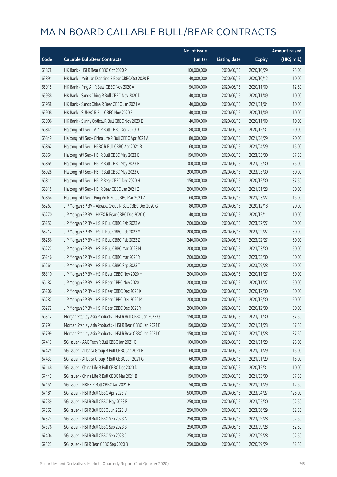|       |                                                           | No. of issue |                     |               | <b>Amount raised</b> |
|-------|-----------------------------------------------------------|--------------|---------------------|---------------|----------------------|
| Code  | <b>Callable Bull/Bear Contracts</b>                       | (units)      | <b>Listing date</b> | <b>Expiry</b> | (HK\$ mil.)          |
| 65878 | HK Bank - HSI R Bear CBBC Oct 2020 P                      | 100,000,000  | 2020/06/15          | 2020/10/29    | 25.00                |
| 65891 | HK Bank - Meituan Dianping R Bear CBBC Oct 2020 F         | 40,000,000   | 2020/06/15          | 2020/10/12    | 10.00                |
| 65915 | HK Bank - Ping An R Bear CBBC Nov 2020 A                  | 50,000,000   | 2020/06/15          | 2020/11/09    | 12.50                |
| 65938 | HK Bank - Sands China R Bull CBBC Nov 2020 D              | 40,000,000   | 2020/06/15          | 2020/11/09    | 10.00                |
| 65958 | HK Bank - Sands China R Bear CBBC Jan 2021 A              | 40,000,000   | 2020/06/15          | 2021/01/04    | 10.00                |
| 65908 | HK Bank - SUNAC R Bull CBBC Nov 2020 E                    | 40,000,000   | 2020/06/15          | 2020/11/09    | 10.00                |
| 65906 | HK Bank - Sunny Optical R Bull CBBC Nov 2020 E            | 40,000,000   | 2020/06/15          | 2020/11/09    | 10.00                |
| 66841 | Haitong Int'l Sec - AIA R Bull CBBC Dec 2020 D            | 80,000,000   | 2020/06/15          | 2020/12/31    | 20.00                |
| 66849 | Haitong Int'l Sec - China Life R Bull CBBC Apr 2021 A     | 80,000,000   | 2020/06/15          | 2021/04/29    | 20.00                |
| 66862 | Haitong Int'l Sec - HSBC R Bull CBBC Apr 2021 B           | 60,000,000   | 2020/06/15          | 2021/04/29    | 15.00                |
| 66864 | Haitong Int'l Sec - HSI R Bull CBBC May 2023 E            | 150,000,000  | 2020/06/15          | 2023/05/30    | 37.50                |
| 66865 | Haitong Int'l Sec - HSI R Bull CBBC May 2023 F            | 300,000,000  | 2020/06/15          | 2023/05/30    | 75.00                |
| 66928 | Haitong Int'l Sec - HSI R Bull CBBC May 2023 G            | 200,000,000  | 2020/06/15          | 2023/05/30    | 50.00                |
| 66811 | Haitong Int'l Sec - HSI R Bear CBBC Dec 2020 H            | 150,000,000  | 2020/06/15          | 2020/12/30    | 37.50                |
| 66815 | Haitong Int'l Sec - HSI R Bear CBBC Jan 2021 Z            | 200,000,000  | 2020/06/15          | 2021/01/28    | 50.00                |
| 66854 | Haitong Int'l Sec - Ping An R Bull CBBC Mar 2021 A        | 60,000,000   | 2020/06/15          | 2021/03/22    | 15.00                |
| 66267 | J P Morgan SP BV - Alibaba Group R Bull CBBC Dec 2020 G   | 80,000,000   | 2020/06/15          | 2020/12/18    | 20.00                |
| 66270 | J P Morgan SP BV - HKEX R Bear CBBC Dec 2020 C            | 40,000,000   | 2020/06/15          | 2020/12/11    | 10.00                |
| 66257 | J P Morgan SP BV - HSI R Bull CBBC Feb 2023 A             | 200,000,000  | 2020/06/15          | 2023/02/27    | 50.00                |
| 66212 | J P Morgan SP BV - HSI R Bull CBBC Feb 2023 Y             | 200,000,000  | 2020/06/15          | 2023/02/27    | 50.00                |
| 66256 | J P Morgan SP BV - HSI R Bull CBBC Feb 2023 Z             | 240,000,000  | 2020/06/15          | 2023/02/27    | 60.00                |
| 66227 | J P Morgan SP BV - HSI R Bull CBBC Mar 2023 N             | 200,000,000  | 2020/06/15          | 2023/03/30    | 50.00                |
| 66246 | J P Morgan SP BV - HSI R Bull CBBC Mar 2023 Y             | 200,000,000  | 2020/06/15          | 2023/03/30    | 50.00                |
| 66261 | J P Morgan SP BV - HSI R Bull CBBC Sep 2023 T             | 200,000,000  | 2020/06/15          | 2023/09/28    | 50.00                |
| 66310 | J P Morgan SP BV - HSI R Bear CBBC Nov 2020 H             | 200,000,000  | 2020/06/15          | 2020/11/27    | 50.00                |
| 66182 | J P Morgan SP BV - HSI R Bear CBBC Nov 2020 I             | 200,000,000  | 2020/06/15          | 2020/11/27    | 50.00                |
| 66206 | J P Morgan SP BV - HSI R Bear CBBC Dec 2020 K             | 200,000,000  | 2020/06/15          | 2020/12/30    | 50.00                |
| 66287 | J P Morgan SP BV - HSI R Bear CBBC Dec 2020 M             | 200,000,000  | 2020/06/15          | 2020/12/30    | 50.00                |
| 66272 | J P Morgan SP BV - HSI R Bear CBBC Dec 2020 Y             | 200,000,000  | 2020/06/15          | 2020/12/30    | 50.00                |
| 66312 | Morgan Stanley Asia Products - HSI R Bull CBBC Jan 2023 Q | 150,000,000  | 2020/06/15          | 2023/01/30    | 37.50                |
| 65791 | Morgan Stanley Asia Products - HSI R Bear CBBC Jan 2021 B | 150,000,000  | 2020/06/15          | 2021/01/28    | 37.50                |
| 65799 | Morgan Stanley Asia Products - HSI R Bear CBBC Jan 2021 C | 150,000,000  | 2020/06/15          | 2021/01/28    | 37.50                |
| 67417 | SG Issuer - AAC Tech R Bull CBBC Jan 2021 C               | 100,000,000  | 2020/06/15          | 2021/01/29    | 25.00                |
| 67425 | SG Issuer - Alibaba Group R Bull CBBC Jan 2021 F          | 60,000,000   | 2020/06/15          | 2021/01/29    | 15.00                |
| 67433 | SG Issuer - Alibaba Group R Bull CBBC Jan 2021 G          | 60,000,000   | 2020/06/15          | 2021/01/29    | 15.00                |
| 67148 | SG Issuer - China Life R Bull CBBC Dec 2020 D             | 40,000,000   | 2020/06/15          | 2020/12/31    | 10.00                |
| 67443 | SG Issuer - China Life R Bull CBBC Mar 2021 B             | 150,000,000  | 2020/06/15          | 2021/03/30    | 37.50                |
| 67151 | SG Issuer - HKEX R Bull CBBC Jan 2021 F                   | 50,000,000   | 2020/06/15          | 2021/01/29    | 12.50                |
| 67181 | SG Issuer - HSI R Bull CBBC Apr 2023 V                    | 500,000,000  | 2020/06/15          | 2023/04/27    | 125.00               |
| 67239 | SG Issuer - HSI R Bull CBBC May 2023 F                    | 250,000,000  | 2020/06/15          | 2023/05/30    | 62.50                |
| 67362 | SG Issuer - HSI R Bull CBBC Jun 2023 U                    | 250,000,000  | 2020/06/15          | 2023/06/29    | 62.50                |
| 67373 | SG Issuer - HSI R Bull CBBC Sep 2023 A                    | 250,000,000  | 2020/06/15          | 2023/09/28    | 62.50                |
| 67376 | SG Issuer - HSI R Bull CBBC Sep 2023 B                    | 250,000,000  | 2020/06/15          | 2023/09/28    | 62.50                |
| 67404 | SG Issuer - HSI R Bull CBBC Sep 2023 C                    | 250,000,000  | 2020/06/15          | 2023/09/28    | 62.50                |
| 67123 | SG Issuer - HSI R Bear CBBC Sep 2020 B                    | 250,000,000  | 2020/06/15          | 2020/09/29    | 62.50                |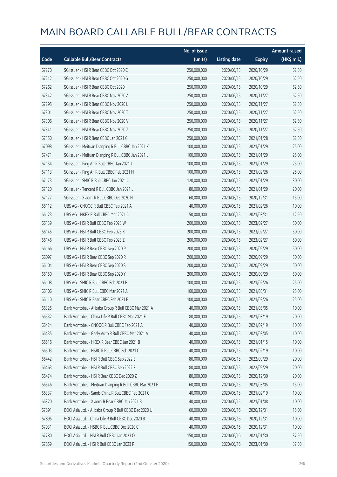|       |                                                         | No. of issue |                     |               | <b>Amount raised</b> |
|-------|---------------------------------------------------------|--------------|---------------------|---------------|----------------------|
| Code  | <b>Callable Bull/Bear Contracts</b>                     | (units)      | <b>Listing date</b> | <b>Expiry</b> | (HK\$ mil.)          |
| 67270 | SG Issuer - HSI R Bear CBBC Oct 2020 C                  | 250,000,000  | 2020/06/15          | 2020/10/29    | 62.50                |
| 67242 | SG Issuer - HSI R Bear CBBC Oct 2020 G                  | 250,000,000  | 2020/06/15          | 2020/10/29    | 62.50                |
| 67262 | SG Issuer - HSI R Bear CBBC Oct 2020 I                  | 250,000,000  | 2020/06/15          | 2020/10/29    | 62.50                |
| 67342 | SG Issuer - HSI R Bear CBBC Nov 2020 A                  | 250,000,000  | 2020/06/15          | 2020/11/27    | 62.50                |
| 67295 | SG Issuer - HSI R Bear CBBC Nov 2020 L                  | 250,000,000  | 2020/06/15          | 2020/11/27    | 62.50                |
| 67301 | SG Issuer - HSI R Bear CBBC Nov 2020 T                  | 250,000,000  | 2020/06/15          | 2020/11/27    | 62.50                |
| 67306 | SG Issuer - HSI R Bear CBBC Nov 2020 V                  | 250,000,000  | 2020/06/15          | 2020/11/27    | 62.50                |
| 67341 | SG Issuer - HSI R Bear CBBC Nov 2020 Z                  | 250,000,000  | 2020/06/15          | 2020/11/27    | 62.50                |
| 67350 | SG Issuer - HSI R Bear CBBC Jan 2021 G                  | 250,000,000  | 2020/06/15          | 2021/01/28    | 62.50                |
| 67098 | SG Issuer - Meituan Dianping R Bull CBBC Jan 2021 K     | 100,000,000  | 2020/06/15          | 2021/01/29    | 25.00                |
| 67471 | SG Issuer - Meituan Dianping R Bull CBBC Jan 2021 L     | 100,000,000  | 2020/06/15          | 2021/01/29    | 25.00                |
| 67154 | SG Issuer - Ping An R Bull CBBC Jan 2021 J              | 100,000,000  | 2020/06/15          | 2021/01/29    | 25.00                |
| 67113 | SG Issuer - Ping An R Bull CBBC Feb 2021 H              | 100,000,000  | 2020/06/15          | 2021/02/26    | 25.00                |
| 67173 | SG Issuer - SMIC R Bull CBBC Jan 2021 C                 | 120,000,000  | 2020/06/15          | 2021/01/29    | 30.00                |
| 67120 | SG Issuer - Tencent R Bull CBBC Jan 2021 L              | 80,000,000   | 2020/06/15          | 2021/01/29    | 20.00                |
| 67177 | SG Issuer - Xiaomi R Bull CBBC Dec 2020 N               | 60,000,000   | 2020/06/15          | 2020/12/31    | 15.00                |
| 66112 | UBS AG - CNOOC R Bull CBBC Feb 2021 A                   | 40,000,000   | 2020/06/15          | 2021/02/26    | 10.00                |
| 66123 | UBS AG - HKEX R Bull CBBC Mar 2021 C                    | 50,000,000   | 2020/06/15          | 2021/03/31    | 12.50                |
| 66139 | UBS AG - HSI R Bull CBBC Feb 2023 W                     | 200,000,000  | 2020/06/15          | 2023/02/27    | 50.00                |
| 66145 | UBS AG - HSI R Bull CBBC Feb 2023 X                     | 200,000,000  | 2020/06/15          | 2023/02/27    | 50.00                |
| 66146 | UBS AG - HSI R Bull CBBC Feb 2023 Z                     | 200,000,000  | 2020/06/15          | 2023/02/27    | 50.00                |
| 66166 | UBS AG - HSI R Bear CBBC Sep 2020 P                     | 200,000,000  | 2020/06/15          | 2020/09/29    | 50.00                |
| 66097 | UBS AG - HSI R Bear CBBC Sep 2020 R                     | 200,000,000  | 2020/06/15          | 2020/09/29    | 50.00                |
| 66104 | UBS AG - HSI R Bear CBBC Sep 2020 S                     | 200,000,000  | 2020/06/15          | 2020/09/29    | 50.00                |
| 66150 | UBS AG - HSI R Bear CBBC Sep 2020 Y                     | 200,000,000  | 2020/06/15          | 2020/09/29    | 50.00                |
| 66108 | UBS AG - SMIC R Bull CBBC Feb 2021 B                    | 100,000,000  | 2020/06/15          | 2021/02/26    | 25.00                |
| 66106 | UBS AG - SMIC R Bull CBBC Mar 2021 A                    | 100,000,000  | 2020/06/15          | 2021/03/31    | 25.00                |
| 66110 | UBS AG - SMIC R Bear CBBC Feb 2021 B                    | 100,000,000  | 2020/06/15          | 2021/02/26    | 25.00                |
| 66325 | Bank Vontobel - Alibaba Group R Bull CBBC Mar 2021 A    | 40,000,000   | 2020/06/15          | 2021/03/05    | 10.00                |
| 66532 | Bank Vontobel - China Life R Bull CBBC Mar 2021 F       | 80,000,000   | 2020/06/15          | 2021/03/19    | 20.00                |
| 66424 | Bank Vontobel - CNOOC R Bull CBBC Feb 2021 A            | 40,000,000   | 2020/06/15          | 2021/02/19    | 10.00                |
| 66435 | Bank Vontobel - Geely Auto R Bull CBBC Mar 2021 A       | 40,000,000   | 2020/06/15          | 2021/03/05    | 10.00                |
| 66516 | Bank Vontobel - HKEX R Bear CBBC Jan 2021 B             | 40,000,000   | 2020/06/15          | 2021/01/15    | 10.00                |
| 66503 | Bank Vontobel - HSBC R Bull CBBC Feb 2021 C             | 40,000,000   | 2020/06/15          | 2021/02/19    | 10.00                |
| 66442 | Bank Vontobel - HSI R Bull CBBC Sep 2022 E              | 80,000,000   | 2020/06/15          | 2022/09/29    | 20.00                |
| 66463 | Bank Vontobel - HSI R Bull CBBC Sep 2022 F              | 80,000,000   | 2020/06/15          | 2022/09/29    | 20.00                |
| 66474 | Bank Vontobel - HSI R Bear CBBC Dec 2020 Z              | 80,000,000   | 2020/06/15          | 2020/12/30    | 20.00                |
| 66546 | Bank Vontobel - Meituan Dianping R Bull CBBC Mar 2021 F | 60,000,000   | 2020/06/15          | 2021/03/05    | 15.00                |
| 66337 | Bank Vontobel - Sands China R Bull CBBC Feb 2021 C      | 40,000,000   | 2020/06/15          | 2021/02/19    | 10.00                |
| 66320 | Bank Vontobel - Xiaomi R Bear CBBC Jan 2021 B           | 40,000,000   | 2020/06/15          | 2021/01/08    | 10.00                |
| 67891 | BOCI Asia Ltd. - Alibaba Group R Bull CBBC Dec 2020 U   | 60,000,000   | 2020/06/16          | 2020/12/31    | 15.00                |
| 67895 | BOCI Asia Ltd. - China Life R Bull CBBC Dec 2020 B      | 40,000,000   | 2020/06/16          | 2020/12/31    | 10.00                |
| 67931 | BOCI Asia Ltd. - HSBC R Bull CBBC Dec 2020 C            | 40,000,000   | 2020/06/16          | 2020/12/31    | 10.00                |
| 67780 | BOCI Asia Ltd. - HSI R Bull CBBC Jan 2023 O             | 150,000,000  | 2020/06/16          | 2023/01/30    | 37.50                |
| 67859 | BOCI Asia Ltd. - HSI R Bull CBBC Jan 2023 P             | 150,000,000  | 2020/06/16          | 2023/01/30    | 37.50                |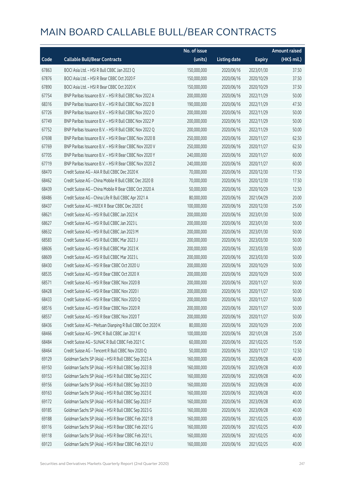|       |                                                            | No. of issue |                     |               | <b>Amount raised</b> |
|-------|------------------------------------------------------------|--------------|---------------------|---------------|----------------------|
| Code  | <b>Callable Bull/Bear Contracts</b>                        | (units)      | <b>Listing date</b> | <b>Expiry</b> | (HK\$ mil.)          |
| 67863 | BOCI Asia Ltd. - HSI R Bull CBBC Jan 2023 Q                | 150,000,000  | 2020/06/16          | 2023/01/30    | 37.50                |
| 67876 | BOCI Asia Ltd. - HSI R Bear CBBC Oct 2020 F                | 150,000,000  | 2020/06/16          | 2020/10/29    | 37.50                |
| 67890 | BOCI Asia Ltd. - HSI R Bear CBBC Oct 2020 K                | 150,000,000  | 2020/06/16          | 2020/10/29    | 37.50                |
| 67754 | BNP Paribas Issuance B.V. - HSI R Bull CBBC Nov 2022 A     | 200,000,000  | 2020/06/16          | 2022/11/29    | 50.00                |
| 68316 | BNP Paribas Issuance B.V. - HSI R Bull CBBC Nov 2022 B     | 190,000,000  | 2020/06/16          | 2022/11/29    | 47.50                |
| 67726 | BNP Paribas Issuance B.V. - HSI R Bull CBBC Nov 2022 O     | 200,000,000  | 2020/06/16          | 2022/11/29    | 50.00                |
| 67749 | BNP Paribas Issuance B.V. - HSI R Bull CBBC Nov 2022 P     | 200,000,000  | 2020/06/16          | 2022/11/29    | 50.00                |
| 67752 | BNP Paribas Issuance B.V. - HSI R Bull CBBC Nov 2022 Q     | 200,000,000  | 2020/06/16          | 2022/11/29    | 50.00                |
| 67698 | BNP Paribas Issuance B.V. - HSI R Bear CBBC Nov 2020 B     | 250,000,000  | 2020/06/16          | 2020/11/27    | 62.50                |
| 67769 | BNP Paribas Issuance B.V. - HSI R Bear CBBC Nov 2020 V     | 250,000,000  | 2020/06/16          | 2020/11/27    | 62.50                |
| 67705 | BNP Paribas Issuance B.V. - HSI R Bear CBBC Nov 2020 Y     | 240,000,000  | 2020/06/16          | 2020/11/27    | 60.00                |
| 67719 | BNP Paribas Issuance B.V. - HSI R Bear CBBC Nov 2020 Z     | 240,000,000  | 2020/06/16          | 2020/11/27    | 60.00                |
| 68470 | Credit Suisse AG - AIA R Bull CBBC Dec 2020 K              | 70,000,000   | 2020/06/16          | 2020/12/30    | 17.50                |
| 68462 | Credit Suisse AG - China Mobile R Bull CBBC Dec 2020 B     | 70,000,000   | 2020/06/16          | 2020/12/30    | 17.50                |
| 68439 | Credit Suisse AG - China Mobile R Bear CBBC Oct 2020 A     | 50,000,000   | 2020/06/16          | 2020/10/29    | 12.50                |
| 68486 | Credit Suisse AG - China Life R Bull CBBC Apr 2021 A       | 80,000,000   | 2020/06/16          | 2021/04/29    | 20.00                |
| 68437 | Credit Suisse AG - HKEX R Bear CBBC Dec 2020 E             | 100,000,000  | 2020/06/16          | 2020/12/30    | 25.00                |
| 68621 | Credit Suisse AG - HSI R Bull CBBC Jan 2023 K              | 200,000,000  | 2020/06/16          | 2023/01/30    | 50.00                |
| 68627 | Credit Suisse AG - HSI R Bull CBBC Jan 2023 L              | 200,000,000  | 2020/06/16          | 2023/01/30    | 50.00                |
| 68632 | Credit Suisse AG - HSI R Bull CBBC Jan 2023 M              | 200,000,000  | 2020/06/16          | 2023/01/30    | 50.00                |
| 68583 | Credit Suisse AG - HSI R Bull CBBC Mar 2023 J              | 200,000,000  | 2020/06/16          | 2023/03/30    | 50.00                |
| 68606 | Credit Suisse AG - HSI R Bull CBBC Mar 2023 K              | 200,000,000  | 2020/06/16          | 2023/03/30    | 50.00                |
| 68609 | Credit Suisse AG - HSI R Bull CBBC Mar 2023 L              | 200,000,000  | 2020/06/16          | 2023/03/30    | 50.00                |
| 68430 | Credit Suisse AG - HSI R Bear CBBC Oct 2020 U              | 200,000,000  | 2020/06/16          | 2020/10/29    | 50.00                |
| 68535 | Credit Suisse AG - HSI R Bear CBBC Oct 2020 X              | 200,000,000  | 2020/06/16          | 2020/10/29    | 50.00                |
| 68571 | Credit Suisse AG - HSI R Bear CBBC Nov 2020 B              | 200,000,000  | 2020/06/16          | 2020/11/27    | 50.00                |
| 68428 | Credit Suisse AG - HSI R Bear CBBC Nov 2020 I              | 200,000,000  | 2020/06/16          | 2020/11/27    | 50.00                |
| 68433 | Credit Suisse AG - HSI R Bear CBBC Nov 2020 Q              | 200,000,000  | 2020/06/16          | 2020/11/27    | 50.00                |
| 68516 | Credit Suisse AG - HSI R Bear CBBC Nov 2020 R              | 200,000,000  | 2020/06/16          | 2020/11/27    | 50.00                |
| 68557 | Credit Suisse AG - HSI R Bear CBBC Nov 2020 T              | 200,000,000  | 2020/06/16          | 2020/11/27    | 50.00                |
| 68436 | Credit Suisse AG - Meituan Dianping R Bull CBBC Oct 2020 K | 80,000,000   | 2020/06/16          | 2020/10/29    | 20.00                |
| 68466 | Credit Suisse AG - SMIC R Bull CBBC Jan 2021 K             | 100,000,000  | 2020/06/16          | 2021/01/28    | 25.00                |
| 68484 | Credit Suisse AG - SUNAC R Bull CBBC Feb 2021 C            | 60,000,000   | 2020/06/16          | 2021/02/25    | 15.00                |
| 68464 | Credit Suisse AG - Tencent R Bull CBBC Nov 2020 Q          | 50,000,000   | 2020/06/16          | 2020/11/27    | 12.50                |
| 69129 | Goldman Sachs SP (Asia) - HSI R Bull CBBC Sep 2023 A       | 160,000,000  | 2020/06/16          | 2023/09/28    | 40.00                |
| 69150 | Goldman Sachs SP (Asia) - HSI R Bull CBBC Sep 2023 B       | 160,000,000  | 2020/06/16          | 2023/09/28    | 40.00                |
| 69153 | Goldman Sachs SP (Asia) - HSI R Bull CBBC Sep 2023 C       | 160,000,000  | 2020/06/16          | 2023/09/28    | 40.00                |
| 69156 | Goldman Sachs SP (Asia) - HSI R Bull CBBC Sep 2023 D       | 160,000,000  | 2020/06/16          | 2023/09/28    | 40.00                |
| 69163 | Goldman Sachs SP (Asia) - HSI R Bull CBBC Sep 2023 E       | 160,000,000  | 2020/06/16          | 2023/09/28    | 40.00                |
| 69172 | Goldman Sachs SP (Asia) - HSI R Bull CBBC Sep 2023 F       | 160,000,000  | 2020/06/16          | 2023/09/28    | 40.00                |
| 69185 | Goldman Sachs SP (Asia) - HSI R Bull CBBC Sep 2023 G       | 160,000,000  | 2020/06/16          | 2023/09/28    | 40.00                |
| 69188 | Goldman Sachs SP (Asia) - HSI R Bear CBBC Feb 2021 B       | 160,000,000  | 2020/06/16          | 2021/02/25    | 40.00                |
| 69116 | Goldman Sachs SP (Asia) - HSI R Bear CBBC Feb 2021 G       | 160,000,000  | 2020/06/16          | 2021/02/25    | 40.00                |
| 69118 | Goldman Sachs SP (Asia) - HSI R Bear CBBC Feb 2021 L       | 160,000,000  | 2020/06/16          | 2021/02/25    | 40.00                |
| 69123 | Goldman Sachs SP (Asia) - HSI R Bear CBBC Feb 2021 U       | 160,000,000  | 2020/06/16          | 2021/02/25    | 40.00                |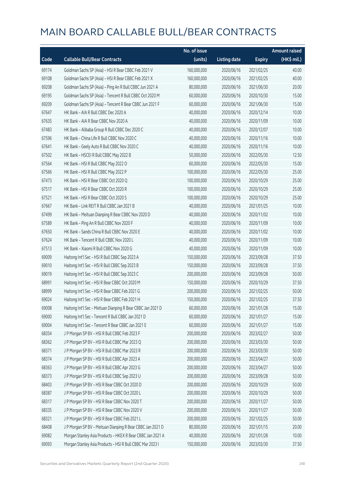|       |                                                             | No. of issue |                     |               | <b>Amount raised</b> |
|-------|-------------------------------------------------------------|--------------|---------------------|---------------|----------------------|
| Code  | <b>Callable Bull/Bear Contracts</b>                         | (units)      | <b>Listing date</b> | <b>Expiry</b> | (HK\$ mil.)          |
| 69174 | Goldman Sachs SP (Asia) - HSI R Bear CBBC Feb 2021 V        | 160,000,000  | 2020/06/16          | 2021/02/25    | 40.00                |
| 69108 | Goldman Sachs SP (Asia) - HSI R Bear CBBC Feb 2021 X        | 160,000,000  | 2020/06/16          | 2021/02/25    | 40.00                |
| 69208 | Goldman Sachs SP (Asia) - Ping An R Bull CBBC Jun 2021 A    | 80,000,000   | 2020/06/16          | 2021/06/30    | 20.00                |
| 69195 | Goldman Sachs SP (Asia) - Tencent R Bull CBBC Oct 2020 M    | 60,000,000   | 2020/06/16          | 2020/10/30    | 15.00                |
| 69209 | Goldman Sachs SP (Asia) - Tencent R Bear CBBC Jun 2021 F    | 60,000,000   | 2020/06/16          | 2021/06/30    | 15.00                |
| 67647 | HK Bank - AIA R Bull CBBC Dec 2020 A                        | 40,000,000   | 2020/06/16          | 2020/12/14    | 10.00                |
| 67635 | HK Bank - AIA R Bear CBBC Nov 2020 A                        | 40,000,000   | 2020/06/16          | 2020/11/09    | 10.00                |
| 67483 | HK Bank - Alibaba Group R Bull CBBC Dec 2020 C              | 40,000,000   | 2020/06/16          | 2020/12/07    | 10.00                |
| 67596 | HK Bank - China Life R Bull CBBC Nov 2020 C                 | 40,000,000   | 2020/06/16          | 2020/11/16    | 10.00                |
| 67641 | HK Bank - Geely Auto R Bull CBBC Nov 2020 C                 | 40,000,000   | 2020/06/16          | 2020/11/16    | 10.00                |
| 67502 | HK Bank - HSCEI R Bull CBBC May 2022 B                      | 50,000,000   | 2020/06/16          | 2022/05/30    | 12.50                |
| 67564 | HK Bank - HSI R Bull CBBC May 2022 O                        | 60,000,000   | 2020/06/16          | 2022/05/30    | 15.00                |
| 67566 | HK Bank - HSI R Bull CBBC May 2022 P                        | 100,000,000  | 2020/06/16          | 2022/05/30    | 25.00                |
| 67473 | HK Bank - HSI R Bear CBBC Oct 2020 Q                        | 100,000,000  | 2020/06/16          | 2020/10/29    | 25.00                |
| 67517 | HK Bank - HSI R Bear CBBC Oct 2020 R                        | 100,000,000  | 2020/06/16          | 2020/10/29    | 25.00                |
| 67521 | HK Bank - HSI R Bear CBBC Oct 2020 S                        | 100,000,000  | 2020/06/16          | 2020/10/29    | 25.00                |
| 67667 | HK Bank - Link REIT R Bull CBBC Jan 2021 B                  | 40,000,000   | 2020/06/16          | 2021/01/25    | 10.00                |
| 67499 | HK Bank - Meituan Dianping R Bear CBBC Nov 2020 D           | 40,000,000   | 2020/06/16          | 2020/11/02    | 10.00                |
| 67589 | HK Bank - Ping An R Bull CBBC Nov 2020 F                    | 40,000,000   | 2020/06/16          | 2020/11/09    | 10.00                |
| 67650 | HK Bank - Sands China R Bull CBBC Nov 2020 E                | 40,000,000   | 2020/06/16          | 2020/11/02    | 10.00                |
| 67624 | HK Bank - Tencent R Bull CBBC Nov 2020 L                    | 40,000,000   | 2020/06/16          | 2020/11/09    | 10.00                |
| 67513 | HK Bank - Xiaomi R Bull CBBC Nov 2020 G                     | 40,000,000   | 2020/06/16          | 2020/11/09    | 10.00                |
| 69009 | Haitong Int'l Sec - HSI R Bull CBBC Sep 2023 A              | 150,000,000  | 2020/06/16          | 2023/09/28    | 37.50                |
| 69010 | Haitong Int'l Sec - HSI R Bull CBBC Sep 2023 B              | 150,000,000  | 2020/06/16          | 2023/09/28    | 37.50                |
| 69019 | Haitong Int'l Sec - HSI R Bull CBBC Sep 2023 C              | 200,000,000  | 2020/06/16          | 2023/09/28    | 50.00                |
| 68991 | Haitong Int'l Sec - HSI R Bear CBBC Oct 2020 M              | 150,000,000  | 2020/06/16          | 2020/10/29    | 37.50                |
| 68999 | Haitong Int'l Sec - HSI R Bear CBBC Feb 2021 G              | 200,000,000  | 2020/06/16          | 2021/02/25    | 50.00                |
| 69024 | Haitong Int'l Sec - HSI R Bear CBBC Feb 2021 H              | 150,000,000  | 2020/06/16          | 2021/02/25    | 37.50                |
| 69008 | Haitong Int'l Sec - Meituan Dianping R Bear CBBC Jan 2021 D | 60,000,000   | 2020/06/16          | 2021/01/28    | 15.00                |
| 69000 | Haitong Int'l Sec - Tencent R Bull CBBC Jan 2021 D          | 60,000,000   | 2020/06/16          | 2021/01/27    | 15.00                |
| 69004 | Haitong Int'l Sec - Tencent R Bear CBBC Jan 2021 E          | 60,000,000   | 2020/06/16          | 2021/01/27    | 15.00                |
| 68354 | J P Morgan SP BV - HSI R Bull CBBC Feb 2023 F               | 200,000,000  | 2020/06/16          | 2023/02/27    | 50.00                |
| 68362 | J P Morgan SP BV - HSI R Bull CBBC Mar 2023 Q               | 200,000,000  | 2020/06/16          | 2023/03/30    | 50.00                |
| 68371 | J P Morgan SP BV - HSI R Bull CBBC Mar 2023 R               | 200,000,000  | 2020/06/16          | 2023/03/30    | 50.00                |
| 68374 | J P Morgan SP BV - HSI R Bull CBBC Apr 2023 A               | 200,000,000  | 2020/06/16          | 2023/04/27    | 50.00                |
| 68363 | J P Morgan SP BV - HSI R Bull CBBC Apr 2023 G               | 200,000,000  | 2020/06/16          | 2023/04/27    | 50.00                |
| 68373 | J P Morgan SP BV - HSI R Bull CBBC Sep 2023 U               | 200,000,000  | 2020/06/16          | 2023/09/28    | 50.00                |
| 68403 | J P Morgan SP BV - HSI R Bear CBBC Oct 2020 D               | 200,000,000  | 2020/06/16          | 2020/10/29    | 50.00                |
| 68387 | J P Morgan SP BV - HSI R Bear CBBC Oct 2020 L               | 200,000,000  | 2020/06/16          | 2020/10/29    | 50.00                |
| 68317 | J P Morgan SP BV - HSI R Bear CBBC Nov 2020 T               | 200,000,000  | 2020/06/16          | 2020/11/27    | 50.00                |
| 68335 | J P Morgan SP BV - HSI R Bear CBBC Nov 2020 V               | 200,000,000  | 2020/06/16          | 2020/11/27    | 50.00                |
| 68321 | J P Morgan SP BV - HSI R Bear CBBC Feb 2021 L               | 200,000,000  | 2020/06/16          | 2021/02/25    | 50.00                |
| 68408 | J P Morgan SP BV - Meituan Dianping R Bear CBBC Jan 2021 D  | 80,000,000   | 2020/06/16          | 2021/01/15    | 20.00                |
| 69082 | Morgan Stanley Asia Products - HKEX R Bear CBBC Jan 2021 A  | 40,000,000   | 2020/06/16          | 2021/01/28    | 10.00                |
| 69093 | Morgan Stanley Asia Products - HSI R Bull CBBC Mar 2023 I   | 150,000,000  | 2020/06/16          | 2023/03/30    | 37.50                |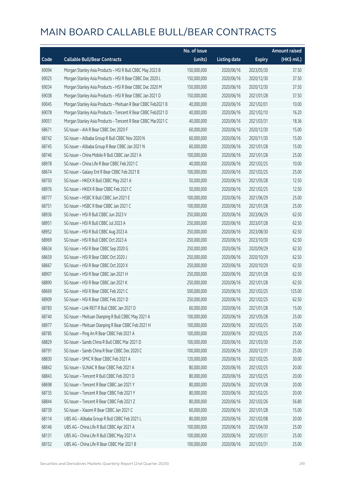|       |                                                              | No. of issue |                     |               | <b>Amount raised</b> |
|-------|--------------------------------------------------------------|--------------|---------------------|---------------|----------------------|
| Code  | <b>Callable Bull/Bear Contracts</b>                          | (units)      | <b>Listing date</b> | <b>Expiry</b> | $(HK$$ mil.)         |
| 69094 | Morgan Stanley Asia Products - HSI R Bull CBBC May 2023 B    | 150,000,000  | 2020/06/16          | 2023/05/30    | 37.50                |
| 69025 | Morgan Stanley Asia Products - HSI R Bear CBBC Dec 2020 L    | 150,000,000  | 2020/06/16          | 2020/12/30    | 37.50                |
| 69034 | Morgan Stanley Asia Products - HSI R Bear CBBC Dec 2020 M    | 150,000,000  | 2020/06/16          | 2020/12/30    | 37.50                |
| 69038 | Morgan Stanley Asia Products - HSI R Bear CBBC Jan 2021 D    | 150,000,000  | 2020/06/16          | 2021/01/28    | 37.50                |
| 69045 | Morgan Stanley Asia Products - Meituan R Bear CBBC Feb2021 B | 40,000,000   | 2020/06/16          | 2021/02/01    | 10.00                |
| 69078 | Morgan Stanley Asia Products - Tencent R Bear CBBC Feb2021 D | 40,000,000   | 2020/06/16          | 2021/02/10    | 16.20                |
| 69051 | Morgan Stanley Asia Products - Tencent R Bear CBBC Mar2021 C | 40,000,000   | 2020/06/16          | 2021/03/31    | 18.36                |
| 68671 | SG Issuer - AIA R Bear CBBC Dec 2020 F                       | 60,000,000   | 2020/06/16          | 2020/12/30    | 15.00                |
| 68742 | SG Issuer - Alibaba Group R Bull CBBC Nov 2020 N             | 60,000,000   | 2020/06/16          | 2020/11/30    | 15.00                |
| 68745 | SG Issuer - Alibaba Group R Bear CBBC Jan 2021 N             | 60,000,000   | 2020/06/16          | 2021/01/28    | 15.00                |
| 68746 | SG Issuer - China Mobile R Bull CBBC Jan 2021 A              | 100,000,000  | 2020/06/16          | 2021/01/28    | 25.00                |
| 68978 | SG Issuer - China Life R Bear CBBC Feb 2021 C                | 40,000,000   | 2020/06/16          | 2021/02/25    | 10.00                |
| 68674 | SG Issuer - Galaxy Ent R Bear CBBC Feb 2021 B                | 100,000,000  | 2020/06/16          | 2021/02/25    | 25.00                |
| 68750 | SG Issuer - HKEX R Bull CBBC May 2021 A                      | 50,000,000   | 2020/06/16          | 2021/05/28    | 12.50                |
| 68976 | SG Issuer - HKEX R Bear CBBC Feb 2021 C                      | 50,000,000   | 2020/06/16          | 2021/02/25    | 12.50                |
| 68777 | SG Issuer - HSBC R Bull CBBC Jun 2021 E                      | 100,000,000  | 2020/06/16          | 2021/06/29    | 25.00                |
| 68751 | SG Issuer - HSBC R Bear CBBC Jan 2021 C                      | 100,000,000  | 2020/06/16          | 2021/01/28    | 25.00                |
| 68936 | SG Issuer - HSI R Bull CBBC Jun 2023 V                       | 250,000,000  | 2020/06/16          | 2023/06/29    | 62.50                |
| 68951 | SG Issuer - HSI R Bull CBBC Jul 2023 A                       | 250,000,000  | 2020/06/16          | 2023/07/28    | 62.50                |
| 68952 | SG Issuer - HSI R Bull CBBC Aug 2023 A                       | 250,000,000  | 2020/06/16          | 2023/08/30    | 62.50                |
| 68969 | SG Issuer - HSI R Bull CBBC Oct 2023 A                       | 250,000,000  | 2020/06/16          | 2023/10/30    | 62.50                |
| 68634 | SG Issuer - HSI R Bear CBBC Sep 2020 G                       | 250,000,000  | 2020/06/16          | 2020/09/29    | 62.50                |
| 68659 | SG Issuer - HSI R Bear CBBC Oct 2020 J                       | 250,000,000  | 2020/06/16          | 2020/10/29    | 62.50                |
| 68667 | SG Issuer - HSI R Bear CBBC Oct 2020 X                       | 250,000,000  | 2020/06/16          | 2020/10/29    | 62.50                |
| 68907 | SG Issuer - HSI R Bear CBBC Jan 2021 H                       | 250,000,000  | 2020/06/16          | 2021/01/28    | 62.50                |
| 68890 | SG Issuer - HSI R Bear CBBC Jan 2021 K                       | 250,000,000  | 2020/06/16          | 2021/01/28    | 62.50                |
| 68669 | SG Issuer - HSI R Bear CBBC Feb 2021 C                       | 500,000,000  | 2020/06/16          | 2021/02/25    | 125.00               |
| 68909 | SG Issuer - HSI R Bear CBBC Feb 2021 D                       | 250,000,000  | 2020/06/16          | 2021/02/25    | 62.50                |
| 68783 | SG Issuer - Link REIT R Bull CBBC Jan 2021 D                 | 60,000,000   | 2020/06/16          | 2021/01/28    | 15.00                |
| 68740 | SG Issuer - Meituan Dianping R Bull CBBC May 2021 A          | 100,000,000  | 2020/06/16          | 2021/05/28    | 25.00                |
| 68977 | SG Issuer - Meituan Dianping R Bear CBBC Feb 2021 H          | 100,000,000  | 2020/06/16          | 2021/02/25    | 25.00                |
| 68785 | SG Issuer - Ping An R Bear CBBC Feb 2021 A                   | 100,000,000  | 2020/06/16          | 2021/02/25    | 25.00                |
| 68829 | SG Issuer - Sands China R Bull CBBC Mar 2021 D               | 100,000,000  | 2020/06/16          | 2021/03/30    | 25.00                |
| 68791 | SG Issuer - Sands China R Bear CBBC Dec 2020 C               | 100,000,000  | 2020/06/16          | 2020/12/31    | 25.00                |
| 68830 | SG Issuer - SMIC R Bear CBBC Feb 2021 A                      | 120,000,000  | 2020/06/16          | 2021/02/25    | 30.00                |
| 68842 | SG Issuer - SUNAC R Bear CBBC Feb 2021 A                     | 80,000,000   | 2020/06/16          | 2021/02/25    | 20.00                |
| 68843 | SG Issuer - Tencent R Bull CBBC Feb 2021 D                   | 80,000,000   | 2020/06/16          | 2021/02/25    | 20.00                |
| 68698 | SG Issuer - Tencent R Bear CBBC Jan 2021 Y                   | 80,000,000   | 2020/06/16          | 2021/01/28    | 20.00                |
| 68735 | SG Issuer - Tencent R Bear CBBC Feb 2021 Y                   | 80,000,000   | 2020/06/16          | 2021/02/25    | 20.00                |
| 68844 | SG Issuer - Tencent R Bear CBBC Feb 2021 Z                   | 80,000,000   | 2020/06/16          | 2021/02/26    | 56.80                |
| 68739 | SG Issuer - Xiaomi R Bear CBBC Jan 2021 C                    | 60,000,000   | 2020/06/16          | 2021/01/28    | 15.00                |
| 68114 | UBS AG - Alibaba Group R Bull CBBC Feb 2021 L                | 80,000,000   | 2020/06/16          | 2021/02/08    | 20.00                |
| 68146 | UBS AG - China Life R Bull CBBC Apr 2021 A                   | 100,000,000  | 2020/06/16          | 2021/04/30    | 25.00                |
| 68131 | UBS AG - China Life R Bull CBBC May 2021 A                   | 100,000,000  | 2020/06/16          | 2021/05/31    | 25.00                |
| 68152 | UBS AG - China Life R Bear CBBC Mar 2021 B                   | 100,000,000  | 2020/06/16          | 2021/03/31    | 25.00                |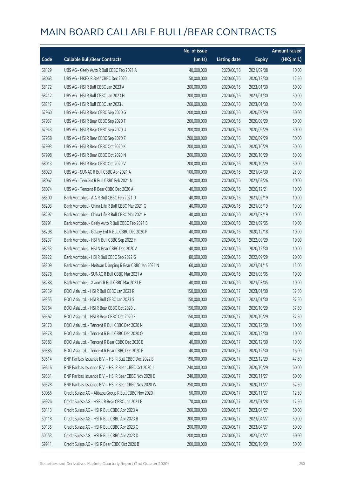|       |                                                         | No. of issue |                     |               | <b>Amount raised</b> |
|-------|---------------------------------------------------------|--------------|---------------------|---------------|----------------------|
| Code  | <b>Callable Bull/Bear Contracts</b>                     | (units)      | <b>Listing date</b> | <b>Expiry</b> | $(HK\$ mil.)         |
| 68129 | UBS AG - Geely Auto R Bull CBBC Feb 2021 A              | 40,000,000   | 2020/06/16          | 2021/02/08    | 10.00                |
| 68063 | UBS AG - HKEX R Bear CBBC Dec 2020 L                    | 50,000,000   | 2020/06/16          | 2020/12/30    | 12.50                |
| 68172 | UBS AG - HSI R Bull CBBC Jan 2023 A                     | 200,000,000  | 2020/06/16          | 2023/01/30    | 50.00                |
| 68212 | UBS AG - HSI R Bull CBBC Jan 2023 H                     | 200,000,000  | 2020/06/16          | 2023/01/30    | 50.00                |
| 68217 | UBS AG - HSI R Bull CBBC Jan 2023 J                     | 200,000,000  | 2020/06/16          | 2023/01/30    | 50.00                |
| 67960 | UBS AG - HSI R Bear CBBC Sep 2020 G                     | 200,000,000  | 2020/06/16          | 2020/09/29    | 50.00                |
| 67937 | UBS AG - HSI R Bear CBBC Sep 2020 T                     | 200,000,000  | 2020/06/16          | 2020/09/29    | 50.00                |
| 67943 | UBS AG - HSI R Bear CBBC Sep 2020 U                     | 200,000,000  | 2020/06/16          | 2020/09/29    | 50.00                |
| 67958 | UBS AG - HSI R Bear CBBC Sep 2020 Z                     | 200,000,000  | 2020/06/16          | 2020/09/29    | 50.00                |
| 67993 | UBS AG - HSI R Bear CBBC Oct 2020 K                     | 200,000,000  | 2020/06/16          | 2020/10/29    | 50.00                |
| 67998 | UBS AG - HSI R Bear CBBC Oct 2020 N                     | 200,000,000  | 2020/06/16          | 2020/10/29    | 50.00                |
| 68013 | UBS AG - HSI R Bear CBBC Oct 2020 V                     | 200,000,000  | 2020/06/16          | 2020/10/29    | 50.00                |
| 68020 | UBS AG - SUNAC R Bull CBBC Apr 2021 A                   | 100,000,000  | 2020/06/16          | 2021/04/30    | 25.00                |
| 68067 | UBS AG - Tencent R Bull CBBC Feb 2021 N                 | 40,000,000   | 2020/06/16          | 2021/02/26    | 10.00                |
| 68074 | UBS AG - Tencent R Bear CBBC Dec 2020 A                 | 40,000,000   | 2020/06/16          | 2020/12/21    | 10.00                |
| 68300 | Bank Vontobel - AIA R Bull CBBC Feb 2021 D              | 40,000,000   | 2020/06/16          | 2021/02/19    | 10.00                |
| 68293 | Bank Vontobel - China Life R Bull CBBC Mar 2021 G       | 40,000,000   | 2020/06/16          | 2021/03/19    | 10.00                |
| 68297 | Bank Vontobel - China Life R Bull CBBC Mar 2021 H       | 40,000,000   | 2020/06/16          | 2021/03/19    | 10.00                |
| 68291 | Bank Vontobel - Geely Auto R Bull CBBC Feb 2021 B       | 40,000,000   | 2020/06/16          | 2021/02/05    | 10.00                |
| 68298 | Bank Vontobel - Galaxy Ent R Bull CBBC Dec 2020 P       | 40,000,000   | 2020/06/16          | 2020/12/18    | 10.00                |
| 68237 | Bank Vontobel - HSI N Bull CBBC Sep 2022 H              | 40,000,000   | 2020/06/16          | 2022/09/29    | 10.00                |
| 68253 | Bank Vontobel - HSI N Bear CBBC Dec 2020 A              | 40,000,000   | 2020/06/16          | 2020/12/30    | 10.00                |
| 68222 | Bank Vontobel - HSI R Bull CBBC Sep 2022 G              | 80,000,000   | 2020/06/16          | 2022/09/29    | 20.00                |
| 68309 | Bank Vontobel - Meituan Dianping R Bear CBBC Jan 2021 N | 60,000,000   | 2020/06/16          | 2021/01/15    | 15.00                |
| 68278 | Bank Vontobel - SUNAC R Bull CBBC Mar 2021 A            | 40,000,000   | 2020/06/16          | 2021/03/05    | 10.00                |
| 68288 | Bank Vontobel - Xiaomi R Bull CBBC Mar 2021 B           | 40,000,000   | 2020/06/16          | 2021/03/05    | 10.00                |
| 69339 | BOCI Asia Ltd. - HSI R Bull CBBC Jan 2023 R             | 150,000,000  | 2020/06/17          | 2023/01/30    | 37.50                |
| 69355 | BOCI Asia Ltd. - HSI R Bull CBBC Jan 2023 S             | 150,000,000  | 2020/06/17          | 2023/01/30    | 37.50                |
| 69364 | BOCI Asia Ltd. - HSI R Bear CBBC Oct 2020 L             | 150,000,000  | 2020/06/17          | 2020/10/29    | 37.50                |
| 69362 | BOCI Asia Ltd. - HSI R Bear CBBC Oct 2020 Z             | 150,000,000  | 2020/06/17          | 2020/10/29    | 37.50                |
| 69370 | BOCI Asia Ltd. - Tencent R Bull CBBC Dec 2020 N         | 40,000,000   | 2020/06/17          | 2020/12/30    | 10.00                |
| 69378 | BOCI Asia Ltd. - Tencent R Bull CBBC Dec 2020 O         | 40,000,000   | 2020/06/17          | 2020/12/30    | 10.00                |
| 69383 | BOCI Asia Ltd. - Tencent R Bear CBBC Dec 2020 E         | 40,000,000   | 2020/06/17          | 2020/12/30    | 10.00                |
| 69385 | BOCI Asia Ltd. - Tencent R Bear CBBC Dec 2020 F         | 40,000,000   | 2020/06/17          | 2020/12/30    | 16.00                |
| 69514 | BNP Paribas Issuance B.V. - HSI R Bull CBBC Dec 2022 B  | 190,000,000  | 2020/06/17          | 2022/12/29    | 47.50                |
| 69516 | BNP Paribas Issuance B.V. - HSI R Bear CBBC Oct 2020 J  | 240,000,000  | 2020/06/17          | 2020/10/29    | 60.00                |
| 69331 | BNP Paribas Issuance B.V. - HSI R Bear CBBC Nov 2020 E  | 240,000,000  | 2020/06/17          | 2020/11/27    | 60.00                |
| 69328 | BNP Paribas Issuance B.V. - HSI R Bear CBBC Nov 2020 W  | 250,000,000  | 2020/06/17          | 2020/11/27    | 62.50                |
| 50056 | Credit Suisse AG - Alibaba Group R Bull CBBC Nov 2020 I | 50,000,000   | 2020/06/17          | 2020/11/27    | 12.50                |
| 69926 | Credit Suisse AG - HSBC R Bear CBBC Jan 2021 B          | 70,000,000   | 2020/06/17          | 2021/01/28    | 17.50                |
| 50113 | Credit Suisse AG - HSI R Bull CBBC Apr 2023 A           | 200,000,000  | 2020/06/17          | 2023/04/27    | 50.00                |
| 50118 | Credit Suisse AG - HSI R Bull CBBC Apr 2023 B           | 200,000,000  | 2020/06/17          | 2023/04/27    | 50.00                |
| 50135 | Credit Suisse AG - HSI R Bull CBBC Apr 2023 C           | 200,000,000  | 2020/06/17          | 2023/04/27    | 50.00                |
| 50153 | Credit Suisse AG - HSI R Bull CBBC Apr 2023 D           | 200,000,000  | 2020/06/17          | 2023/04/27    | 50.00                |
| 69911 | Credit Suisse AG - HSI R Bear CBBC Oct 2020 B           | 200,000,000  | 2020/06/17          | 2020/10/29    | 50.00                |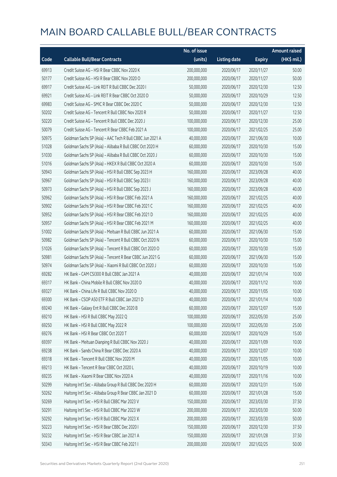|       |                                                           | No. of issue |                     |               | <b>Amount raised</b> |
|-------|-----------------------------------------------------------|--------------|---------------------|---------------|----------------------|
| Code  | <b>Callable Bull/Bear Contracts</b>                       | (units)      | <b>Listing date</b> | <b>Expiry</b> | (HK\$ mil.)          |
| 69913 | Credit Suisse AG - HSI R Bear CBBC Nov 2020 K             | 200,000,000  | 2020/06/17          | 2020/11/27    | 50.00                |
| 50177 | Credit Suisse AG - HSI R Bear CBBC Nov 2020 O             | 200,000,000  | 2020/06/17          | 2020/11/27    | 50.00                |
| 69917 | Credit Suisse AG - Link REIT R Bull CBBC Dec 2020 I       | 50,000,000   | 2020/06/17          | 2020/12/30    | 12.50                |
| 69921 | Credit Suisse AG - Link REIT R Bear CBBC Oct 2020 D       | 50,000,000   | 2020/06/17          | 2020/10/29    | 12.50                |
| 69983 | Credit Suisse AG - SMIC R Bear CBBC Dec 2020 C            | 50,000,000   | 2020/06/17          | 2020/12/30    | 12.50                |
| 50202 | Credit Suisse AG - Tencent R Bull CBBC Nov 2020 R         | 50,000,000   | 2020/06/17          | 2020/11/27    | 12.50                |
| 50220 | Credit Suisse AG - Tencent R Bull CBBC Dec 2020 J         | 100,000,000  | 2020/06/17          | 2020/12/30    | 25.00                |
| 50079 | Credit Suisse AG - Tencent R Bear CBBC Feb 2021 A         | 100,000,000  | 2020/06/17          | 2021/02/25    | 25.00                |
| 50975 | Goldman Sachs SP (Asia) - AAC Tech R Bull CBBC Jun 2021 A | 40,000,000   | 2020/06/17          | 2021/06/30    | 10.00                |
| 51028 | Goldman Sachs SP (Asia) - Alibaba R Bull CBBC Oct 2020 H  | 60,000,000   | 2020/06/17          | 2020/10/30    | 15.00                |
| 51030 | Goldman Sachs SP (Asia) - Alibaba R Bull CBBC Oct 2020 J  | 60,000,000   | 2020/06/17          | 2020/10/30    | 15.00                |
| 51016 | Goldman Sachs SP (Asia) - HKEX R Bull CBBC Oct 2020 A     | 60,000,000   | 2020/06/17          | 2020/10/30    | 15.00                |
| 50943 | Goldman Sachs SP (Asia) - HSI R Bull CBBC Sep 2023 H      | 160,000,000  | 2020/06/17          | 2023/09/28    | 40.00                |
| 50967 | Goldman Sachs SP (Asia) - HSI R Bull CBBC Sep 2023 I      | 160,000,000  | 2020/06/17          | 2023/09/28    | 40.00                |
| 50973 | Goldman Sachs SP (Asia) - HSI R Bull CBBC Sep 2023 J      | 160,000,000  | 2020/06/17          | 2023/09/28    | 40.00                |
| 50962 | Goldman Sachs SP (Asia) - HSI R Bear CBBC Feb 2021 A      | 160,000,000  | 2020/06/17          | 2021/02/25    | 40.00                |
| 50902 | Goldman Sachs SP (Asia) - HSI R Bear CBBC Feb 2021 C      | 160,000,000  | 2020/06/17          | 2021/02/25    | 40.00                |
| 50952 | Goldman Sachs SP (Asia) - HSI R Bear CBBC Feb 2021 D      | 160,000,000  | 2020/06/17          | 2021/02/25    | 40.00                |
| 50957 | Goldman Sachs SP (Asia) - HSI R Bear CBBC Feb 2021 M      | 160,000,000  | 2020/06/17          | 2021/02/25    | 40.00                |
| 51002 | Goldman Sachs SP (Asia) - Meituan R Bull CBBC Jun 2021 A  | 60,000,000   | 2020/06/17          | 2021/06/30    | 15.00                |
| 50982 | Goldman Sachs SP (Asia) - Tencent R Bull CBBC Oct 2020 N  | 60,000,000   | 2020/06/17          | 2020/10/30    | 15.00                |
| 51026 | Goldman Sachs SP (Asia) - Tencent R Bull CBBC Oct 2020 O  | 60,000,000   | 2020/06/17          | 2020/10/30    | 15.00                |
| 50981 | Goldman Sachs SP (Asia) - Tencent R Bear CBBC Jun 2021 G  | 60,000,000   | 2020/06/17          | 2021/06/30    | 15.00                |
| 50974 | Goldman Sachs SP (Asia) - Xiaomi R Bull CBBC Oct 2020 J   | 60,000,000   | 2020/06/17          | 2020/10/30    | 15.00                |
| 69282 | HK Bank - CAM CSI300 R Bull CBBC Jan 2021 A               | 40,000,000   | 2020/06/17          | 2021/01/14    | 10.00                |
| 69317 | HK Bank - China Mobile R Bull CBBC Nov 2020 D             | 40,000,000   | 2020/06/17          | 2020/11/12    | 10.00                |
| 69327 | HK Bank - China Life R Bull CBBC Nov 2020 D               | 40,000,000   | 2020/06/17          | 2020/11/05    | 10.00                |
| 69300 | HK Bank - CSOP A50 ETF R Bull CBBC Jan 2021 D             | 40,000,000   | 2020/06/17          | 2021/01/14    | 10.00                |
| 69240 | HK Bank - Galaxy Ent R Bull CBBC Dec 2020 B               | 60,000,000   | 2020/06/17          | 2020/12/07    | 15.00                |
| 69210 | HK Bank - HSI R Bull CBBC May 2022 Q                      | 100,000,000  | 2020/06/17          | 2022/05/30    | 25.00                |
| 69250 | HK Bank - HSI R Bull CBBC May 2022 R                      | 100,000,000  | 2020/06/17          | 2022/05/30    | 25.00                |
| 69276 | HK Bank - HSI R Bear CBBC Oct 2020 T                      | 60,000,000   | 2020/06/17          | 2020/10/29    | 15.00                |
| 69397 | HK Bank - Meituan Dianping R Bull CBBC Nov 2020 J         | 40,000,000   | 2020/06/17          | 2020/11/09    | 10.00                |
| 69238 | HK Bank - Sands China R Bear CBBC Dec 2020 A              | 40,000,000   | 2020/06/17          | 2020/12/07    | 10.00                |
| 69318 | HK Bank - Tencent R Bull CBBC Nov 2020 M                  | 40,000,000   | 2020/06/17          | 2020/11/05    | 10.00                |
| 69213 | HK Bank - Tencent R Bear CBBC Oct 2020 L                  | 40,000,000   | 2020/06/17          | 2020/10/19    | 10.00                |
| 69235 | HK Bank - Xiaomi R Bear CBBC Nov 2020 A                   | 40,000,000   | 2020/06/17          | 2020/11/16    | 10.00                |
| 50299 | Haitong Int'l Sec - Alibaba Group R Bull CBBC Dec 2020 H  | 60,000,000   | 2020/06/17          | 2020/12/31    | 15.00                |
| 50262 | Haitong Int'l Sec - Alibaba Group R Bear CBBC Jan 2021 D  | 60,000,000   | 2020/06/17          | 2021/01/28    | 15.00                |
| 50269 | Haitong Int'l Sec - HSI R Bull CBBC Mar 2023 V            | 150,000,000  | 2020/06/17          | 2023/03/30    | 37.50                |
| 50291 | Haitong Int'l Sec - HSI R Bull CBBC Mar 2023 W            | 200,000,000  | 2020/06/17          | 2023/03/30    | 50.00                |
| 50292 | Haitong Int'l Sec - HSI R Bull CBBC Mar 2023 X            | 200,000,000  | 2020/06/17          | 2023/03/30    | 50.00                |
| 50223 | Haitong Int'l Sec - HSI R Bear CBBC Dec 2020 I            | 150,000,000  | 2020/06/17          | 2020/12/30    | 37.50                |
| 50232 | Haitong Int'l Sec - HSI R Bear CBBC Jan 2021 A            | 150,000,000  | 2020/06/17          | 2021/01/28    | 37.50                |
| 50343 | Haitong Int'l Sec - HSI R Bear CBBC Feb 2021 I            | 200,000,000  | 2020/06/17          | 2021/02/25    | 50.00                |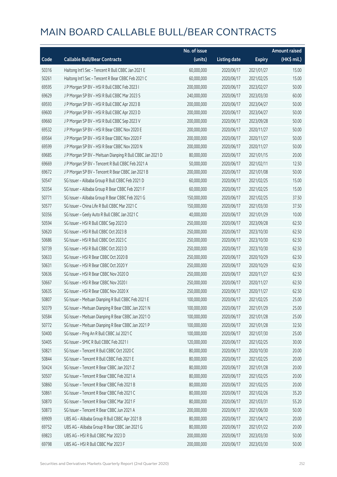|       |                                                            | No. of issue |                     |               | <b>Amount raised</b> |
|-------|------------------------------------------------------------|--------------|---------------------|---------------|----------------------|
| Code  | <b>Callable Bull/Bear Contracts</b>                        | (units)      | <b>Listing date</b> | <b>Expiry</b> | (HK\$ mil.)          |
| 50316 | Haitong Int'l Sec - Tencent R Bull CBBC Jan 2021 E         | 60,000,000   | 2020/06/17          | 2021/01/27    | 15.00                |
| 50261 | Haitong Int'l Sec - Tencent R Bear CBBC Feb 2021 C         | 60,000,000   | 2020/06/17          | 2021/02/25    | 15.00                |
| 69595 | J P Morgan SP BV - HSI R Bull CBBC Feb 2023 I              | 200,000,000  | 2020/06/17          | 2023/02/27    | 50.00                |
| 69629 | J P Morgan SP BV - HSI R Bull CBBC Mar 2023 S              | 240,000,000  | 2020/06/17          | 2023/03/30    | 60.00                |
| 69593 | J P Morgan SP BV - HSI R Bull CBBC Apr 2023 B              | 200,000,000  | 2020/06/17          | 2023/04/27    | 50.00                |
| 69600 | J P Morgan SP BV - HSI R Bull CBBC Apr 2023 D              | 200,000,000  | 2020/06/17          | 2023/04/27    | 50.00                |
| 69660 | J P Morgan SP BV - HSI R Bull CBBC Sep 2023 V              | 200,000,000  | 2020/06/17          | 2023/09/28    | 50.00                |
| 69532 | J P Morgan SP BV - HSI R Bear CBBC Nov 2020 E              | 200,000,000  | 2020/06/17          | 2020/11/27    | 50.00                |
| 69564 | J P Morgan SP BV - HSI R Bear CBBC Nov 2020 F              | 200,000,000  | 2020/06/17          | 2020/11/27    | 50.00                |
| 69599 | J P Morgan SP BV - HSI R Bear CBBC Nov 2020 N              | 200,000,000  | 2020/06/17          | 2020/11/27    | 50.00                |
| 69685 | J P Morgan SP BV - Meituan Dianping R Bull CBBC Jan 2021 D | 80,000,000   | 2020/06/17          | 2021/01/15    | 20.00                |
| 69669 | J P Morgan SP BV - Tencent R Bull CBBC Feb 2021 A          | 50,000,000   | 2020/06/17          | 2021/02/11    | 12.50                |
| 69672 | J P Morgan SP BV - Tencent R Bear CBBC Jan 2021 B          | 200,000,000  | 2020/06/17          | 2021/01/08    | 50.00                |
| 50547 | SG Issuer - Alibaba Group R Bull CBBC Feb 2021 D           | 60,000,000   | 2020/06/17          | 2021/02/25    | 15.00                |
| 50354 | SG Issuer - Alibaba Group R Bear CBBC Feb 2021 F           | 60,000,000   | 2020/06/17          | 2021/02/25    | 15.00                |
| 50771 | SG Issuer - Alibaba Group R Bear CBBC Feb 2021 G           | 150,000,000  | 2020/06/17          | 2021/02/25    | 37.50                |
| 50577 | SG Issuer - China Life R Bull CBBC Mar 2021 C              | 150,000,000  | 2020/06/17          | 2021/03/30    | 37.50                |
| 50356 | SG Issuer - Geely Auto R Bull CBBC Jan 2021 C              | 40,000,000   | 2020/06/17          | 2021/01/29    | 10.00                |
| 50594 | SG Issuer - HSI R Bull CBBC Sep 2023 D                     | 250,000,000  | 2020/06/17          | 2023/09/28    | 62.50                |
| 50620 | SG Issuer - HSI R Bull CBBC Oct 2023 B                     | 250,000,000  | 2020/06/17          | 2023/10/30    | 62.50                |
| 50686 | SG Issuer - HSI R Bull CBBC Oct 2023 C                     | 250,000,000  | 2020/06/17          | 2023/10/30    | 62.50                |
| 50739 | SG Issuer - HSI R Bull CBBC Oct 2023 D                     | 250,000,000  | 2020/06/17          | 2023/10/30    | 62.50                |
| 50633 | SG Issuer - HSI R Bear CBBC Oct 2020 B                     | 250,000,000  | 2020/06/17          | 2020/10/29    | 62.50                |
| 50631 | SG Issuer - HSI R Bear CBBC Oct 2020 Y                     | 250,000,000  | 2020/06/17          | 2020/10/29    | 62.50                |
| 50636 | SG Issuer - HSI R Bear CBBC Nov 2020 D                     | 250,000,000  | 2020/06/17          | 2020/11/27    | 62.50                |
| 50667 | SG Issuer - HSI R Bear CBBC Nov 2020 I                     | 250,000,000  | 2020/06/17          | 2020/11/27    | 62.50                |
| 50635 | SG Issuer - HSI R Bear CBBC Nov 2020 X                     | 250,000,000  | 2020/06/17          | 2020/11/27    | 62.50                |
| 50807 | SG Issuer - Meituan Dianping R Bull CBBC Feb 2021 E        | 100,000,000  | 2020/06/17          | 2021/02/25    | 25.00                |
| 50379 | SG Issuer - Meituan Dianping R Bear CBBC Jan 2021 N        | 100,000,000  | 2020/06/17          | 2021/01/29    | 25.00                |
| 50584 | SG Issuer - Meituan Dianping R Bear CBBC Jan 2021 O        | 100,000,000  | 2020/06/17          | 2021/01/28    | 25.00                |
| 50772 | SG Issuer - Meituan Dianping R Bear CBBC Jan 2021 P        | 100,000,000  | 2020/06/17          | 2021/01/28    | 32.50                |
| 50400 | SG Issuer - Ping An R Bull CBBC Jul 2021 C                 | 100,000,000  | 2020/06/17          | 2021/07/30    | 25.00                |
| 50405 | SG Issuer - SMIC R Bull CBBC Feb 2021 I                    | 120,000,000  | 2020/06/17          | 2021/02/25    | 30.00                |
| 50821 | SG Issuer - Tencent R Bull CBBC Oct 2020 C                 | 80,000,000   | 2020/06/17          | 2020/10/30    | 20.00                |
| 50844 | SG Issuer - Tencent R Bull CBBC Feb 2021 E                 | 80,000,000   | 2020/06/17          | 2021/02/25    | 20.00                |
| 50424 | SG Issuer - Tencent R Bear CBBC Jan 2021 Z                 | 80,000,000   | 2020/06/17          | 2021/01/28    | 20.00                |
| 50507 | SG Issuer - Tencent R Bear CBBC Feb 2021 A                 | 80,000,000   | 2020/06/17          | 2021/02/25    | 20.00                |
| 50860 | SG Issuer - Tencent R Bear CBBC Feb 2021 B                 | 80,000,000   | 2020/06/17          | 2021/02/25    | 20.00                |
| 50861 | SG Issuer - Tencent R Bear CBBC Feb 2021 C                 | 80,000,000   | 2020/06/17          | 2021/02/26    | 35.20                |
| 50870 | SG Issuer - Tencent R Bear CBBC Mar 2021 F                 | 80,000,000   | 2020/06/17          | 2021/03/31    | 55.20                |
| 50873 | SG Issuer - Tencent R Bear CBBC Jun 2021 A                 | 200,000,000  | 2020/06/17          | 2021/06/30    | 50.00                |
| 69909 | UBS AG - Alibaba Group R Bull CBBC Apr 2021 B              | 80,000,000   | 2020/06/17          | 2021/04/12    | 20.00                |
| 69752 | UBS AG - Alibaba Group R Bear CBBC Jan 2021 G              | 80,000,000   | 2020/06/17          | 2021/01/22    | 20.00                |
| 69823 | UBS AG - HSI R Bull CBBC Mar 2023 D                        | 200,000,000  | 2020/06/17          | 2023/03/30    | 50.00                |
| 69798 | UBS AG - HSI R Bull CBBC Mar 2023 F                        | 200,000,000  | 2020/06/17          | 2023/03/30    | 50.00                |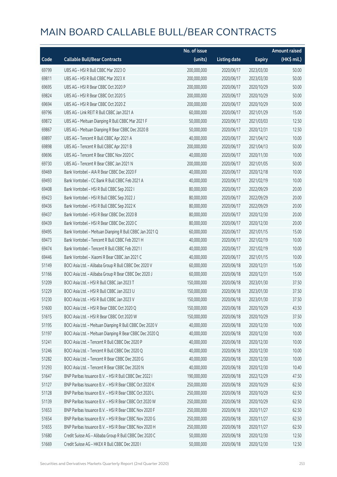|       |                                                          | No. of issue |                     |               | <b>Amount raised</b> |
|-------|----------------------------------------------------------|--------------|---------------------|---------------|----------------------|
| Code  | <b>Callable Bull/Bear Contracts</b>                      | (units)      | <b>Listing date</b> | <b>Expiry</b> | (HK\$ mil.)          |
| 69799 | UBS AG - HSI R Bull CBBC Mar 2023 O                      | 200,000,000  | 2020/06/17          | 2023/03/30    | 50.00                |
| 69811 | UBS AG - HSI R Bull CBBC Mar 2023 X                      | 200,000,000  | 2020/06/17          | 2023/03/30    | 50.00                |
| 69695 | UBS AG - HSI R Bear CBBC Oct 2020 P                      | 200,000,000  | 2020/06/17          | 2020/10/29    | 50.00                |
| 69824 | UBS AG - HSI R Bear CBBC Oct 2020 S                      | 200,000,000  | 2020/06/17          | 2020/10/29    | 50.00                |
| 69694 | UBS AG - HSI R Bear CBBC Oct 2020 Z                      | 200,000,000  | 2020/06/17          | 2020/10/29    | 50.00                |
| 69796 | UBS AG - Link REIT R Bull CBBC Jan 2021 A                | 60,000,000   | 2020/06/17          | 2021/01/29    | 15.00                |
| 69872 | UBS AG - Meituan Dianping R Bull CBBC Mar 2021 F         | 50,000,000   | 2020/06/17          | 2021/03/03    | 12.50                |
| 69867 | UBS AG - Meituan Dianping R Bear CBBC Dec 2020 B         | 50,000,000   | 2020/06/17          | 2020/12/31    | 12.50                |
| 69897 | UBS AG - Tencent R Bull CBBC Apr 2021 A                  | 40,000,000   | 2020/06/17          | 2021/04/12    | 10.00                |
| 69898 | UBS AG - Tencent R Bull CBBC Apr 2021 B                  | 200,000,000  | 2020/06/17          | 2021/04/13    | 50.00                |
| 69696 | UBS AG - Tencent R Bear CBBC Nov 2020 C                  | 40,000,000   | 2020/06/17          | 2020/11/30    | 10.00                |
| 69730 | UBS AG - Tencent R Bear CBBC Jan 2021 N                  | 200,000,000  | 2020/06/17          | 2021/01/05    | 50.00                |
| 69469 | Bank Vontobel - AIA R Bear CBBC Dec 2020 F               | 40,000,000   | 2020/06/17          | 2020/12/18    | 10.00                |
| 69493 | Bank Vontobel - CC Bank R Bull CBBC Feb 2021 A           | 40,000,000   | 2020/06/17          | 2021/02/19    | 10.00                |
| 69408 | Bank Vontobel - HSI R Bull CBBC Sep 2022 I               | 80,000,000   | 2020/06/17          | 2022/09/29    | 20.00                |
| 69423 | Bank Vontobel - HSI R Bull CBBC Sep 2022 J               | 80,000,000   | 2020/06/17          | 2022/09/29    | 20.00                |
| 69436 | Bank Vontobel - HSI R Bull CBBC Sep 2022 K               | 80,000,000   | 2020/06/17          | 2022/09/29    | 20.00                |
| 69437 | Bank Vontobel - HSI R Bear CBBC Dec 2020 B               | 80,000,000   | 2020/06/17          | 2020/12/30    | 20.00                |
| 69439 | Bank Vontobel - HSI R Bear CBBC Dec 2020 C               | 80,000,000   | 2020/06/17          | 2020/12/30    | 20.00                |
| 69495 | Bank Vontobel - Meituan Dianping R Bull CBBC Jan 2021 Q  | 60,000,000   | 2020/06/17          | 2021/01/15    | 15.00                |
| 69473 | Bank Vontobel - Tencent R Bull CBBC Feb 2021 H           | 40,000,000   | 2020/06/17          | 2021/02/19    | 10.00                |
| 69474 | Bank Vontobel - Tencent R Bull CBBC Feb 2021 I           | 40,000,000   | 2020/06/17          | 2021/02/19    | 10.00                |
| 69446 | Bank Vontobel - Xiaomi R Bear CBBC Jan 2021 C            | 40,000,000   | 2020/06/17          | 2021/01/15    | 10.00                |
| 51149 | BOCI Asia Ltd. - Alibaba Group R Bull CBBC Dec 2020 V    | 60,000,000   | 2020/06/18          | 2020/12/31    | 15.00                |
| 51166 | BOCI Asia Ltd. - Alibaba Group R Bear CBBC Dec 2020 J    | 60,000,000   | 2020/06/18          | 2020/12/31    | 15.00                |
| 51209 | BOCI Asia Ltd. - HSI R Bull CBBC Jan 2023 T              | 150,000,000  | 2020/06/18          | 2023/01/30    | 37.50                |
| 51229 | BOCI Asia Ltd. - HSI R Bull CBBC Jan 2023 U              | 150,000,000  | 2020/06/18          | 2023/01/30    | 37.50                |
| 51230 | BOCI Asia Ltd. - HSI R Bull CBBC Jan 2023 V              | 150,000,000  | 2020/06/18          | 2023/01/30    | 37.50                |
| 51600 | BOCI Asia Ltd. - HSI R Bear CBBC Oct 2020 Q              | 150,000,000  | 2020/06/18          | 2020/10/29    | 43.50                |
| 51615 | BOCI Asia Ltd. - HSI R Bear CBBC Oct 2020 W              | 150,000,000  | 2020/06/18          | 2020/10/29    | 37.50                |
| 51195 | BOCI Asia Ltd. - Meituan Dianping R Bull CBBC Dec 2020 V | 40,000,000   | 2020/06/18          | 2020/12/30    | 10.00                |
| 51197 | BOCI Asia Ltd. - Meituan Dianping R Bear CBBC Dec 2020 Q | 40,000,000   | 2020/06/18          | 2020/12/30    | 10.00                |
| 51241 | BOCI Asia Ltd. - Tencent R Bull CBBC Dec 2020 P          | 40,000,000   | 2020/06/18          | 2020/12/30    | 10.00                |
| 51246 | BOCI Asia Ltd. - Tencent R Bull CBBC Dec 2020 Q          | 40,000,000   | 2020/06/18          | 2020/12/30    | 10.00                |
| 51282 | BOCI Asia Ltd. - Tencent R Bear CBBC Dec 2020 G          | 40,000,000   | 2020/06/18          | 2020/12/30    | 10.00                |
| 51293 | BOCI Asia Ltd. - Tencent R Bear CBBC Dec 2020 N          | 40,000,000   | 2020/06/18          | 2020/12/30    | 10.40                |
| 51647 | BNP Paribas Issuance B.V. - HSI R Bull CBBC Dec 2022 I   | 190,000,000  | 2020/06/18          | 2022/12/29    | 47.50                |
| 51127 | BNP Paribas Issuance B.V. - HSI R Bear CBBC Oct 2020 K   | 250,000,000  | 2020/06/18          | 2020/10/29    | 62.50                |
| 51128 | BNP Paribas Issuance B.V. - HSI R Bear CBBC Oct 2020 L   | 250,000,000  | 2020/06/18          | 2020/10/29    | 62.50                |
| 51139 | BNP Paribas Issuance B.V. - HSI R Bear CBBC Oct 2020 W   | 250,000,000  | 2020/06/18          | 2020/10/29    | 62.50                |
| 51653 | BNP Paribas Issuance B.V. - HSI R Bear CBBC Nov 2020 F   | 250,000,000  | 2020/06/18          | 2020/11/27    | 62.50                |
| 51654 | BNP Paribas Issuance B.V. - HSI R Bear CBBC Nov 2020 G   | 250,000,000  | 2020/06/18          | 2020/11/27    | 62.50                |
| 51655 | BNP Paribas Issuance B.V. - HSI R Bear CBBC Nov 2020 H   | 250,000,000  | 2020/06/18          | 2020/11/27    | 62.50                |
| 51680 | Credit Suisse AG - Alibaba Group R Bull CBBC Dec 2020 C  | 50,000,000   | 2020/06/18          | 2020/12/30    | 12.50                |
| 51669 | Credit Suisse AG - HKEX R Bull CBBC Dec 2020 I           | 50,000,000   | 2020/06/18          | 2020/12/30    | 12.50                |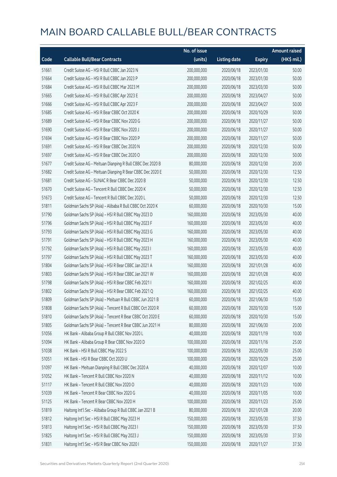|       |                                                            | No. of issue |                     |               | <b>Amount raised</b> |
|-------|------------------------------------------------------------|--------------|---------------------|---------------|----------------------|
| Code  | <b>Callable Bull/Bear Contracts</b>                        | (units)      | <b>Listing date</b> | <b>Expiry</b> | (HK\$ mil.)          |
| 51661 | Credit Suisse AG - HSI R Bull CBBC Jan 2023 N              | 200,000,000  | 2020/06/18          | 2023/01/30    | 50.00                |
| 51664 | Credit Suisse AG - HSI R Bull CBBC Jan 2023 P              | 200,000,000  | 2020/06/18          | 2023/01/30    | 50.00                |
| 51684 | Credit Suisse AG - HSI R Bull CBBC Mar 2023 M              | 200,000,000  | 2020/06/18          | 2023/03/30    | 50.00                |
| 51665 | Credit Suisse AG - HSI R Bull CBBC Apr 2023 E              | 200,000,000  | 2020/06/18          | 2023/04/27    | 50.00                |
| 51666 | Credit Suisse AG - HSI R Bull CBBC Apr 2023 F              | 200,000,000  | 2020/06/18          | 2023/04/27    | 50.00                |
| 51685 | Credit Suisse AG - HSI R Bear CBBC Oct 2020 K              | 200,000,000  | 2020/06/18          | 2020/10/29    | 50.00                |
| 51689 | Credit Suisse AG - HSI R Bear CBBC Nov 2020 G              | 200,000,000  | 2020/06/18          | 2020/11/27    | 50.00                |
| 51690 | Credit Suisse AG - HSI R Bear CBBC Nov 2020 J              | 200,000,000  | 2020/06/18          | 2020/11/27    | 50.00                |
| 51694 | Credit Suisse AG - HSI R Bear CBBC Nov 2020 P              | 200,000,000  | 2020/06/18          | 2020/11/27    | 50.00                |
| 51691 | Credit Suisse AG - HSI R Bear CBBC Dec 2020 N              | 200,000,000  | 2020/06/18          | 2020/12/30    | 50.00                |
| 51697 | Credit Suisse AG - HSI R Bear CBBC Dec 2020 O              | 200,000,000  | 2020/06/18          | 2020/12/30    | 50.00                |
| 51677 | Credit Suisse AG - Meituan Dianping R Bull CBBC Dec 2020 B | 80,000,000   | 2020/06/18          | 2020/12/30    | 20.00                |
| 51682 | Credit Suisse AG - Meituan Dianping R Bear CBBC Dec 2020 E | 50,000,000   | 2020/06/18          | 2020/12/30    | 12.50                |
| 51681 | Credit Suisse AG - SUNAC R Bear CBBC Dec 2020 B            | 50,000,000   | 2020/06/18          | 2020/12/30    | 12.50                |
| 51670 | Credit Suisse AG - Tencent R Bull CBBC Dec 2020 K          | 50,000,000   | 2020/06/18          | 2020/12/30    | 12.50                |
| 51673 | Credit Suisse AG - Tencent R Bull CBBC Dec 2020 L          | 50,000,000   | 2020/06/18          | 2020/12/30    | 12.50                |
| 51811 | Goldman Sachs SP (Asia) - Alibaba R Bull CBBC Oct 2020 K   | 60,000,000   | 2020/06/18          | 2020/10/30    | 15.00                |
| 51790 | Goldman Sachs SP (Asia) - HSI R Bull CBBC May 2023 D       | 160,000,000  | 2020/06/18          | 2023/05/30    | 40.00                |
| 51796 | Goldman Sachs SP (Asia) - HSI R Bull CBBC May 2023 F       | 160,000,000  | 2020/06/18          | 2023/05/30    | 40.00                |
| 51793 | Goldman Sachs SP (Asia) - HSI R Bull CBBC May 2023 G       | 160,000,000  | 2020/06/18          | 2023/05/30    | 40.00                |
| 51791 | Goldman Sachs SP (Asia) - HSI R Bull CBBC May 2023 H       | 160,000,000  | 2020/06/18          | 2023/05/30    | 40.00                |
| 51792 | Goldman Sachs SP (Asia) - HSI R Bull CBBC May 2023 I       | 160,000,000  | 2020/06/18          | 2023/05/30    | 40.00                |
| 51797 | Goldman Sachs SP (Asia) - HSI R Bull CBBC May 2023 T       | 160,000,000  | 2020/06/18          | 2023/05/30    | 40.00                |
| 51804 | Goldman Sachs SP (Asia) - HSI R Bear CBBC Jan 2021 A       | 160,000,000  | 2020/06/18          | 2021/01/28    | 40.00                |
| 51803 | Goldman Sachs SP (Asia) - HSI R Bear CBBC Jan 2021 W       | 160,000,000  | 2020/06/18          | 2021/01/28    | 40.00                |
| 51798 | Goldman Sachs SP (Asia) - HSI R Bear CBBC Feb 2021 I       | 160,000,000  | 2020/06/18          | 2021/02/25    | 40.00                |
| 51802 | Goldman Sachs SP (Asia) - HSI R Bear CBBC Feb 2021 Q       | 160,000,000  | 2020/06/18          | 2021/02/25    | 40.00                |
| 51809 | Goldman Sachs SP (Asia) - Meituan R Bull CBBC Jun 2021 B   | 60,000,000   | 2020/06/18          | 2021/06/30    | 15.00                |
| 51808 | Goldman Sachs SP (Asia) - Tencent R Bull CBBC Oct 2020 R   | 60,000,000   | 2020/06/18          | 2020/10/30    | 15.00                |
| 51810 | Goldman Sachs SP (Asia) - Tencent R Bear CBBC Oct 2020 E   | 60,000,000   | 2020/06/18          | 2020/10/30    | 15.00                |
| 51805 | Goldman Sachs SP (Asia) - Tencent R Bear CBBC Jun 2021 H   | 80,000,000   | 2020/06/18          | 2021/06/30    | 20.00                |
| 51056 | HK Bank - Alibaba Group R Bull CBBC Nov 2020 L             | 40,000,000   | 2020/06/18          | 2020/11/19    | 10.00                |
| 51094 | HK Bank - Alibaba Group R Bear CBBC Nov 2020 D             | 100,000,000  | 2020/06/18          | 2020/11/16    | 25.00                |
| 51038 | HK Bank - HSI R Bull CBBC May 2022 S                       | 100,000,000  | 2020/06/18          | 2022/05/30    | 25.00                |
| 51051 | HK Bank - HSI R Bear CBBC Oct 2020 U                       | 100,000,000  | 2020/06/18          | 2020/10/29    | 25.00                |
| 51097 | HK Bank - Meituan Dianping R Bull CBBC Dec 2020 A          | 40,000,000   | 2020/06/18          | 2020/12/07    | 10.00                |
| 51052 | HK Bank - Tencent R Bull CBBC Nov 2020 N                   | 40,000,000   | 2020/06/18          | 2020/11/12    | 10.00                |
| 51117 | HK Bank - Tencent R Bull CBBC Nov 2020 O                   | 40,000,000   | 2020/06/18          | 2020/11/23    | 10.00                |
| 51039 | HK Bank - Tencent R Bear CBBC Nov 2020 G                   | 40,000,000   | 2020/06/18          | 2020/11/05    | 10.00                |
| 51125 | HK Bank - Tencent R Bear CBBC Nov 2020 H                   | 100,000,000  | 2020/06/18          | 2020/11/23    | 25.00                |
| 51819 | Haitong Int'l Sec - Alibaba Group R Bull CBBC Jan 2021 B   | 80,000,000   | 2020/06/18          | 2021/01/28    | 20.00                |
| 51812 | Haitong Int'l Sec - HSI R Bull CBBC May 2023 H             | 150,000,000  | 2020/06/18          | 2023/05/30    | 37.50                |
| 51813 | Haitong Int'l Sec - HSI R Bull CBBC May 2023 I             | 150,000,000  | 2020/06/18          | 2023/05/30    | 37.50                |
| 51825 | Haitong Int'l Sec - HSI R Bull CBBC May 2023 J             | 150,000,000  | 2020/06/18          | 2023/05/30    | 37.50                |
| 51831 | Haitong Int'l Sec - HSI R Bear CBBC Nov 2020 I             | 150,000,000  | 2020/06/18          | 2020/11/27    | 37.50                |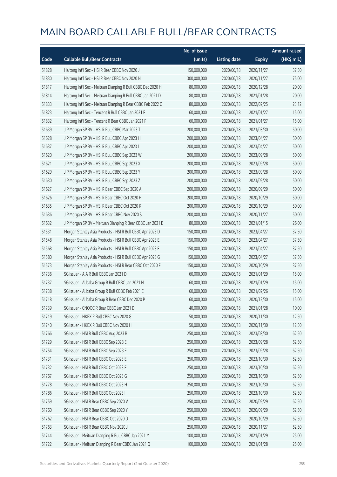|       |                                                             | No. of issue |                     |               | <b>Amount raised</b> |
|-------|-------------------------------------------------------------|--------------|---------------------|---------------|----------------------|
| Code  | <b>Callable Bull/Bear Contracts</b>                         | (units)      | <b>Listing date</b> | <b>Expiry</b> | $(HK$$ mil.)         |
| 51828 | Haitong Int'l Sec - HSI R Bear CBBC Nov 2020 J              | 150,000,000  | 2020/06/18          | 2020/11/27    | 37.50                |
| 51830 | Haitong Int'l Sec - HSI R Bear CBBC Nov 2020 N              | 300,000,000  | 2020/06/18          | 2020/11/27    | 75.00                |
| 51817 | Haitong Int'l Sec - Meituan Dianping R Bull CBBC Dec 2020 H | 80,000,000   | 2020/06/18          | 2020/12/28    | 20.00                |
| 51814 | Haitong Int'l Sec - Meituan Dianping R Bull CBBC Jan 2021 D | 80,000,000   | 2020/06/18          | 2021/01/28    | 20.00                |
| 51833 | Haitong Int'l Sec - Meituan Dianping R Bear CBBC Feb 2022 C | 80,000,000   | 2020/06/18          | 2022/02/25    | 23.12                |
| 51823 | Haitong Int'l Sec - Tencent R Bull CBBC Jan 2021 F          | 60,000,000   | 2020/06/18          | 2021/01/27    | 15.00                |
| 51832 | Haitong Int'l Sec - Tencent R Bear CBBC Jan 2021 F          | 60,000,000   | 2020/06/18          | 2021/01/27    | 15.00                |
| 51639 | J P Morgan SP BV - HSI R Bull CBBC Mar 2023 T               | 200,000,000  | 2020/06/18          | 2023/03/30    | 50.00                |
| 51628 | J P Morgan SP BV - HSI R Bull CBBC Apr 2023 H               | 200,000,000  | 2020/06/18          | 2023/04/27    | 50.00                |
| 51637 | J P Morgan SP BV - HSI R Bull CBBC Apr 2023 I               | 200,000,000  | 2020/06/18          | 2023/04/27    | 50.00                |
| 51620 | J P Morgan SP BV - HSI R Bull CBBC Sep 2023 W               | 200,000,000  | 2020/06/18          | 2023/09/28    | 50.00                |
| 51621 | J P Morgan SP BV - HSI R Bull CBBC Sep 2023 X               | 200,000,000  | 2020/06/18          | 2023/09/28    | 50.00                |
| 51629 | J P Morgan SP BV - HSI R Bull CBBC Sep 2023 Y               | 200,000,000  | 2020/06/18          | 2023/09/28    | 50.00                |
| 51630 | J P Morgan SP BV - HSI R Bull CBBC Sep 2023 Z               | 200,000,000  | 2020/06/18          | 2023/09/28    | 50.00                |
| 51627 | J P Morgan SP BV - HSI R Bear CBBC Sep 2020 A               | 200,000,000  | 2020/06/18          | 2020/09/29    | 50.00                |
| 51626 | J P Morgan SP BV - HSI R Bear CBBC Oct 2020 H               | 200,000,000  | 2020/06/18          | 2020/10/29    | 50.00                |
| 51635 | J P Morgan SP BV - HSI R Bear CBBC Oct 2020 K               | 200,000,000  | 2020/06/18          | 2020/10/29    | 50.00                |
| 51636 | J P Morgan SP BV - HSI R Bear CBBC Nov 2020 S               | 200,000,000  | 2020/06/18          | 2020/11/27    | 50.00                |
| 51632 | J P Morgan SP BV - Meituan Dianping R Bear CBBC Jan 2021 E  | 80,000,000   | 2020/06/18          | 2021/01/15    | 26.00                |
| 51531 | Morgan Stanley Asia Products - HSI R Bull CBBC Apr 2023 D   | 150,000,000  | 2020/06/18          | 2023/04/27    | 37.50                |
| 51548 | Morgan Stanley Asia Products - HSI R Bull CBBC Apr 2023 E   | 150,000,000  | 2020/06/18          | 2023/04/27    | 37.50                |
| 51568 | Morgan Stanley Asia Products - HSI R Bull CBBC Apr 2023 F   | 150,000,000  | 2020/06/18          | 2023/04/27    | 37.50                |
| 51580 | Morgan Stanley Asia Products - HSI R Bull CBBC Apr 2023 G   | 150,000,000  | 2020/06/18          | 2023/04/27    | 37.50                |
| 51573 | Morgan Stanley Asia Products - HSI R Bear CBBC Oct 2020 F   | 150,000,000  | 2020/06/18          | 2020/10/29    | 37.50                |
| 51736 | SG Issuer - AIA R Bull CBBC Jan 2021 D                      | 60,000,000   | 2020/06/18          | 2021/01/29    | 15.00                |
| 51737 | SG Issuer - Alibaba Group R Bull CBBC Jan 2021 H            | 60,000,000   | 2020/06/18          | 2021/01/29    | 15.00                |
| 51738 | SG Issuer - Alibaba Group R Bull CBBC Feb 2021 E            | 60,000,000   | 2020/06/18          | 2021/02/26    | 15.00                |
| 51718 | SG Issuer - Alibaba Group R Bear CBBC Dec 2020 P            | 60,000,000   | 2020/06/18          | 2020/12/30    | 15.00                |
| 51739 | SG Issuer - CNOOC R Bear CBBC Jan 2021 D                    | 40,000,000   | 2020/06/18          | 2021/01/28    | 10.00                |
| 51719 | SG Issuer - HKEX R Bull CBBC Nov 2020 G                     | 50,000,000   | 2020/06/18          | 2020/11/30    | 12.50                |
| 51740 | SG Issuer - HKEX R Bull CBBC Nov 2020 H                     | 50,000,000   | 2020/06/18          | 2020/11/30    | 12.50                |
| 51766 | SG Issuer - HSI R Bull CBBC Aug 2023 B                      | 250,000,000  | 2020/06/18          | 2023/08/30    | 62.50                |
| 51729 | SG Issuer - HSI R Bull CBBC Sep 2023 E                      | 250,000,000  | 2020/06/18          | 2023/09/28    | 62.50                |
| 51754 | SG Issuer - HSI R Bull CBBC Sep 2023 F                      | 250,000,000  | 2020/06/18          | 2023/09/28    | 62.50                |
| 51731 | SG Issuer - HSI R Bull CBBC Oct 2023 E                      | 250,000,000  | 2020/06/18          | 2023/10/30    | 62.50                |
| 51732 | SG Issuer - HSI R Bull CBBC Oct 2023 F                      | 250,000,000  | 2020/06/18          | 2023/10/30    | 62.50                |
| 51767 | SG Issuer - HSI R Bull CBBC Oct 2023 G                      | 250,000,000  | 2020/06/18          | 2023/10/30    | 62.50                |
| 51778 | SG Issuer - HSI R Bull CBBC Oct 2023 H                      | 250,000,000  | 2020/06/18          | 2023/10/30    | 62.50                |
| 51786 | SG Issuer - HSI R Bull CBBC Oct 2023 I                      | 250,000,000  | 2020/06/18          | 2023/10/30    | 62.50                |
| 51759 | SG Issuer - HSI R Bear CBBC Sep 2020 V                      | 250,000,000  | 2020/06/18          | 2020/09/29    | 62.50                |
| 51760 | SG Issuer - HSI R Bear CBBC Sep 2020 Y                      | 250,000,000  | 2020/06/18          | 2020/09/29    | 62.50                |
| 51762 | SG Issuer - HSI R Bear CBBC Oct 2020 D                      | 250,000,000  | 2020/06/18          | 2020/10/29    | 62.50                |
| 51763 | SG Issuer - HSI R Bear CBBC Nov 2020 J                      | 250,000,000  | 2020/06/18          | 2020/11/27    | 62.50                |
| 51744 | SG Issuer - Meituan Dianping R Bull CBBC Jan 2021 M         | 100,000,000  | 2020/06/18          | 2021/01/29    | 25.00                |
| 51722 | SG Issuer - Meituan Dianping R Bear CBBC Jan 2021 Q         | 100,000,000  | 2020/06/18          | 2021/01/28    | 25.00                |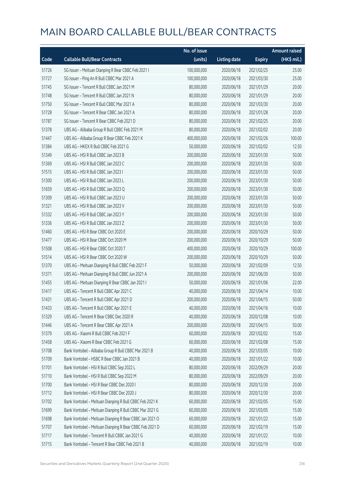|       |                                                         | No. of issue |                     |               | <b>Amount raised</b> |
|-------|---------------------------------------------------------|--------------|---------------------|---------------|----------------------|
| Code  | <b>Callable Bull/Bear Contracts</b>                     | (units)      | <b>Listing date</b> | <b>Expiry</b> | (HK\$ mil.)          |
| 51726 | SG Issuer - Meituan Dianping R Bear CBBC Feb 2021 I     | 100,000,000  | 2020/06/18          | 2021/02/25    | 25.00                |
| 51727 | SG Issuer - Ping An R Bull CBBC Mar 2021 A              | 100,000,000  | 2020/06/18          | 2021/03/30    | 25.00                |
| 51745 | SG Issuer - Tencent R Bull CBBC Jan 2021 M              | 80,000,000   | 2020/06/18          | 2021/01/29    | 20.00                |
| 51748 | SG Issuer - Tencent R Bull CBBC Jan 2021 N              | 80,000,000   | 2020/06/18          | 2021/01/29    | 20.00                |
| 51750 | SG Issuer - Tencent R Bull CBBC Mar 2021 A              | 80,000,000   | 2020/06/18          | 2021/03/30    | 20.00                |
| 51728 | SG Issuer - Tencent R Bear CBBC Jan 2021 A              | 80,000,000   | 2020/06/18          | 2021/01/28    | 20.00                |
| 51787 | SG Issuer - Tencent R Bear CBBC Feb 2021 D              | 80,000,000   | 2020/06/18          | 2021/02/25    | 20.00                |
| 51378 | UBS AG - Alibaba Group R Bull CBBC Feb 2021 M           | 80,000,000   | 2020/06/18          | 2021/02/02    | 20.00                |
| 51447 | UBS AG - Alibaba Group R Bear CBBC Feb 2021 K           | 400,000,000  | 2020/06/18          | 2021/02/26    | 100.00               |
| 51384 | UBS AG - HKEX R Bull CBBC Feb 2021 G                    | 50,000,000   | 2020/06/18          | 2021/02/02    | 12.50                |
| 51349 | UBS AG - HSI R Bull CBBC Jan 2023 B                     | 200,000,000  | 2020/06/18          | 2023/01/30    | 50.00                |
| 51369 | UBS AG - HSI R Bull CBBC Jan 2023 C                     | 200,000,000  | 2020/06/18          | 2023/01/30    | 50.00                |
| 51515 | UBS AG - HSI R Bull CBBC Jan 2023 I                     | 200,000,000  | 2020/06/18          | 2023/01/30    | 50.00                |
| 51300 | UBS AG - HSI R Bull CBBC Jan 2023 L                     | 200,000,000  | 2020/06/18          | 2023/01/30    | 50.00                |
| 51659 | UBS AG - HSI R Bull CBBC Jan 2023 Q                     | 200,000,000  | 2020/06/18          | 2023/01/30    | 50.00                |
| 51309 | UBS AG - HSI R Bull CBBC Jan 2023 U                     | 200,000,000  | 2020/06/18          | 2023/01/30    | 50.00                |
| 51321 | UBS AG - HSI R Bull CBBC Jan 2023 V                     | 200,000,000  | 2020/06/18          | 2023/01/30    | 50.00                |
| 51332 | UBS AG - HSI R Bull CBBC Jan 2023 Y                     | 200,000,000  | 2020/06/18          | 2023/01/30    | 50.00                |
| 51336 | UBS AG - HSI R Bull CBBC Jan 2023 Z                     | 200,000,000  | 2020/06/18          | 2023/01/30    | 50.00                |
| 51460 | UBS AG - HSI R Bear CBBC Oct 2020 E                     | 200,000,000  | 2020/06/18          | 2020/10/29    | 50.00                |
| 51477 | UBS AG - HSI R Bear CBBC Oct 2020 M                     | 200,000,000  | 2020/06/18          | 2020/10/29    | 50.00                |
| 51508 | UBS AG - HSI R Bear CBBC Oct 2020 T                     | 400,000,000  | 2020/06/18          | 2020/10/29    | 100.00               |
| 51514 | UBS AG - HSI R Bear CBBC Oct 2020 W                     | 200,000,000  | 2020/06/18          | 2020/10/29    | 50.00                |
| 51370 | UBS AG - Meituan Dianping R Bull CBBC Feb 2021 F        | 50,000,000   | 2020/06/18          | 2021/02/09    | 12.50                |
| 51371 | UBS AG - Meituan Dianping R Bull CBBC Jun 2021 A        | 200,000,000  | 2020/06/18          | 2021/06/30    | 50.00                |
| 51455 | UBS AG - Meituan Dianping R Bear CBBC Jan 2021 I        | 50,000,000   | 2020/06/18          | 2021/01/06    | 22.00                |
| 51417 | UBS AG - Tencent R Bull CBBC Apr 2021 C                 | 40,000,000   | 2020/06/18          | 2021/04/14    | 10.00                |
| 51431 | UBS AG - Tencent R Bull CBBC Apr 2021 D                 | 200,000,000  | 2020/06/18          | 2021/04/15    | 50.00                |
| 51433 | UBS AG - Tencent R Bull CBBC Apr 2021 E                 | 40,000,000   | 2020/06/18          | 2021/04/16    | 10.00                |
| 51329 | UBS AG - Tencent R Bear CBBC Dec 2020 R                 | 40,000,000   | 2020/06/18          | 2020/12/08    | 10.00                |
| 51446 | UBS AG - Tencent R Bear CBBC Apr 2021 A                 | 200,000,000  | 2020/06/18          | 2021/04/15    | 50.00                |
| 51379 | UBS AG - Xiaomi R Bull CBBC Feb 2021 F                  | 60,000,000   | 2020/06/18          | 2021/02/02    | 15.00                |
| 51458 | UBS AG - Xiaomi R Bear CBBC Feb 2021 G                  | 60,000,000   | 2020/06/18          | 2021/02/08    | 15.00                |
| 51708 | Bank Vontobel - Alibaba Group R Bull CBBC Mar 2021 B    | 40,000,000   | 2020/06/18          | 2021/03/05    | 10.00                |
| 51709 | Bank Vontobel - HSBC R Bear CBBC Jan 2021 B             | 40,000,000   | 2020/06/18          | 2021/01/22    | 10.00                |
| 51701 | Bank Vontobel - HSI R Bull CBBC Sep 2022 L              | 80,000,000   | 2020/06/18          | 2022/09/29    | 20.00                |
| 51710 | Bank Vontobel - HSI R Bull CBBC Sep 2022 M              | 80,000,000   | 2020/06/18          | 2022/09/29    | 20.00                |
| 51700 | Bank Vontobel - HSI R Bear CBBC Dec 2020 I              | 80,000,000   | 2020/06/18          | 2020/12/30    | 20.00                |
| 51712 | Bank Vontobel - HSI R Bear CBBC Dec 2020 J              | 80,000,000   | 2020/06/18          | 2020/12/30    | 20.00                |
| 51702 | Bank Vontobel - Meituan Dianping R Bull CBBC Feb 2021 K | 60,000,000   | 2020/06/18          | 2021/02/05    | 15.00                |
| 51699 | Bank Vontobel - Meituan Dianping R Bull CBBC Mar 2021 G | 60,000,000   | 2020/06/18          | 2021/03/05    | 15.00                |
| 51698 | Bank Vontobel - Meituan Dianping R Bear CBBC Jan 2021 O | 60,000,000   | 2020/06/18          | 2021/01/22    | 15.00                |
| 51707 | Bank Vontobel - Meituan Dianping R Bear CBBC Feb 2021 D | 60,000,000   | 2020/06/18          | 2021/02/19    | 15.00                |
| 51717 | Bank Vontobel - Tencent R Bull CBBC Jan 2021 G          | 40,000,000   | 2020/06/18          | 2021/01/22    | 10.00                |
| 51715 | Bank Vontobel - Tencent R Bear CBBC Feb 2021 B          | 40,000,000   | 2020/06/18          | 2021/02/19    | 10.00                |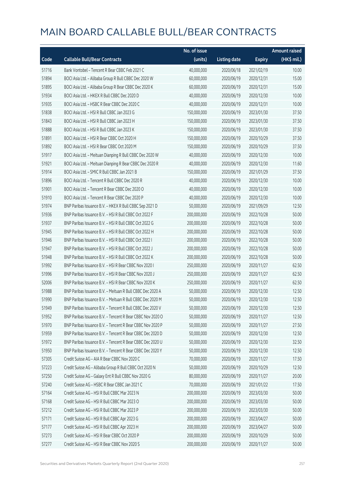|       |                                                            | No. of issue |                     |               | <b>Amount raised</b> |
|-------|------------------------------------------------------------|--------------|---------------------|---------------|----------------------|
| Code  | <b>Callable Bull/Bear Contracts</b>                        | (units)      | <b>Listing date</b> | <b>Expiry</b> | (HK\$ mil.)          |
| 51716 | Bank Vontobel - Tencent R Bear CBBC Feb 2021 C             | 40,000,000   | 2020/06/18          | 2021/02/19    | 10.00                |
| 51894 | BOCI Asia Ltd. - Alibaba Group R Bull CBBC Dec 2020 W      | 60,000,000   | 2020/06/19          | 2020/12/31    | 15.00                |
| 51895 | BOCI Asia Ltd. - Alibaba Group R Bear CBBC Dec 2020 K      | 60,000,000   | 2020/06/19          | 2020/12/31    | 15.00                |
| 51934 | BOCI Asia Ltd. - HKEX R Bull CBBC Dec 2020 D               | 40,000,000   | 2020/06/19          | 2020/12/30    | 10.00                |
| 51935 | BOCI Asia Ltd. - HSBC R Bear CBBC Dec 2020 C               | 40,000,000   | 2020/06/19          | 2020/12/31    | 10.00                |
| 51838 | BOCI Asia Ltd. - HSI R Bull CBBC Jan 2023 G                | 150,000,000  | 2020/06/19          | 2023/01/30    | 37.50                |
| 51843 | BOCI Asia Ltd. - HSI R Bull CBBC Jan 2023 H                | 150,000,000  | 2020/06/19          | 2023/01/30    | 37.50                |
| 51888 | BOCI Asia Ltd. - HSI R Bull CBBC Jan 2023 K                | 150,000,000  | 2020/06/19          | 2023/01/30    | 37.50                |
| 51891 | BOCI Asia Ltd. - HSI R Bear CBBC Oct 2020 H                | 150,000,000  | 2020/06/19          | 2020/10/29    | 37.50                |
| 51892 | BOCI Asia Ltd. - HSI R Bear CBBC Oct 2020 M                | 150,000,000  | 2020/06/19          | 2020/10/29    | 37.50                |
| 51917 | BOCI Asia Ltd. - Meituan Dianping R Bull CBBC Dec 2020 W   | 40,000,000   | 2020/06/19          | 2020/12/30    | 10.00                |
| 51921 | BOCI Asia Ltd. - Meituan Dianping R Bear CBBC Dec 2020 R   | 40,000,000   | 2020/06/19          | 2020/12/30    | 11.60                |
| 51914 | BOCI Asia Ltd. - SMIC R Bull CBBC Jan 2021 B               | 150,000,000  | 2020/06/19          | 2021/01/29    | 37.50                |
| 51896 | BOCI Asia Ltd. - Tencent R Bull CBBC Dec 2020 R            | 40,000,000   | 2020/06/19          | 2020/12/30    | 10.00                |
| 51901 | BOCI Asia Ltd. - Tencent R Bear CBBC Dec 2020 O            | 40,000,000   | 2020/06/19          | 2020/12/30    | 10.00                |
| 51910 | BOCI Asia Ltd. - Tencent R Bear CBBC Dec 2020 P            | 40,000,000   | 2020/06/19          | 2020/12/30    | 10.00                |
| 51974 | BNP Paribas Issuance B.V. - HKEX R Bull CBBC Sep 2021 D    | 50,000,000   | 2020/06/19          | 2021/09/29    | 12.50                |
| 51936 | BNP Paribas Issuance B.V. - HSI R Bull CBBC Oct 2022 F     | 200,000,000  | 2020/06/19          | 2022/10/28    | 50.00                |
| 51937 | BNP Paribas Issuance B.V. - HSI R Bull CBBC Oct 2022 G     | 200,000,000  | 2020/06/19          | 2022/10/28    | 50.00                |
| 51945 | BNP Paribas Issuance B.V. - HSI R Bull CBBC Oct 2022 H     | 200,000,000  | 2020/06/19          | 2022/10/28    | 50.00                |
| 51946 | BNP Paribas Issuance B.V. - HSI R Bull CBBC Oct 2022 I     | 200,000,000  | 2020/06/19          | 2022/10/28    | 50.00                |
| 51947 | BNP Paribas Issuance B.V. - HSI R Bull CBBC Oct 2022 J     | 200,000,000  | 2020/06/19          | 2022/10/28    | 50.00                |
| 51948 | BNP Paribas Issuance B.V. - HSI R Bull CBBC Oct 2022 K     | 200,000,000  | 2020/06/19          | 2022/10/28    | 50.00                |
| 51992 | BNP Paribas Issuance B.V. - HSI R Bear CBBC Nov 2020 I     | 250,000,000  | 2020/06/19          | 2020/11/27    | 62.50                |
| 51996 | BNP Paribas Issuance B.V. - HSI R Bear CBBC Nov 2020 J     | 250,000,000  | 2020/06/19          | 2020/11/27    | 62.50                |
| 52006 | BNP Paribas Issuance B.V. - HSI R Bear CBBC Nov 2020 K     | 250,000,000  | 2020/06/19          | 2020/11/27    | 62.50                |
| 51988 | BNP Paribas Issuance B.V. - Meituan R Bull CBBC Dec 2020 A | 50,000,000   | 2020/06/19          | 2020/12/30    | 12.50                |
| 51990 | BNP Paribas Issuance B.V. - Meituan R Bull CBBC Dec 2020 M | 50,000,000   | 2020/06/19          | 2020/12/30    | 12.50                |
| 51949 | BNP Paribas Issuance B.V. - Tencent R Bull CBBC Dec 2020 V | 50,000,000   | 2020/06/19          | 2020/12/30    | 12.50                |
| 51952 | BNP Paribas Issuance B.V. - Tencent R Bear CBBC Nov 2020 O | 50,000,000   | 2020/06/19          | 2020/11/27    | 12.50                |
| 51970 | BNP Paribas Issuance B.V. - Tencent R Bear CBBC Nov 2020 P | 50,000,000   | 2020/06/19          | 2020/11/27    | 27.50                |
| 51959 | BNP Paribas Issuance B.V. - Tencent R Bear CBBC Dec 2020 D | 50,000,000   | 2020/06/19          | 2020/12/30    | 12.50                |
| 51972 | BNP Paribas Issuance B.V. - Tencent R Bear CBBC Dec 2020 U | 50,000,000   | 2020/06/19          | 2020/12/30    | 32.50                |
| 51950 | BNP Paribas Issuance B.V. - Tencent R Bear CBBC Dec 2020 Y | 50,000,000   | 2020/06/19          | 2020/12/30    | 12.50                |
| 57305 | Credit Suisse AG - AIA R Bear CBBC Nov 2020 C              | 70,000,000   | 2020/06/19          | 2020/11/27    | 17.50                |
| 57223 | Credit Suisse AG - Alibaba Group R Bull CBBC Oct 2020 N    | 50,000,000   | 2020/06/19          | 2020/10/29    | 12.50                |
| 57250 | Credit Suisse AG - Galaxy Ent R Bull CBBC Nov 2020 G       | 80,000,000   | 2020/06/19          | 2020/11/27    | 20.00                |
| 57240 | Credit Suisse AG - HSBC R Bear CBBC Jan 2021 C             | 70,000,000   | 2020/06/19          | 2021/01/22    | 17.50                |
| 57164 | Credit Suisse AG - HSI R Bull CBBC Mar 2023 N              | 200,000,000  | 2020/06/19          | 2023/03/30    | 50.00                |
| 57168 | Credit Suisse AG - HSI R Bull CBBC Mar 2023 O              | 200,000,000  | 2020/06/19          | 2023/03/30    | 50.00                |
| 57212 | Credit Suisse AG - HSI R Bull CBBC Mar 2023 P              | 200,000,000  | 2020/06/19          | 2023/03/30    | 50.00                |
| 57171 | Credit Suisse AG - HSI R Bull CBBC Apr 2023 G              | 200,000,000  | 2020/06/19          | 2023/04/27    | 50.00                |
| 57177 | Credit Suisse AG - HSI R Bull CBBC Apr 2023 H              | 200,000,000  | 2020/06/19          | 2023/04/27    | 50.00                |
| 57273 | Credit Suisse AG - HSI R Bear CBBC Oct 2020 P              | 200,000,000  | 2020/06/19          | 2020/10/29    | 50.00                |
| 57277 | Credit Suisse AG - HSI R Bear CBBC Nov 2020 S              | 200,000,000  | 2020/06/19          | 2020/11/27    | 50.00                |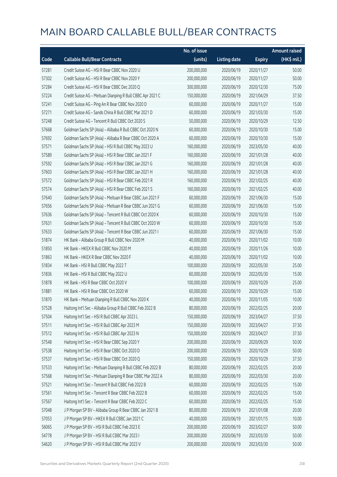|       |                                                             | No. of issue |                     |               | <b>Amount raised</b> |
|-------|-------------------------------------------------------------|--------------|---------------------|---------------|----------------------|
| Code  | <b>Callable Bull/Bear Contracts</b>                         | (units)      | <b>Listing date</b> | <b>Expiry</b> | (HK\$ mil.)          |
| 57281 | Credit Suisse AG - HSI R Bear CBBC Nov 2020 U               | 200,000,000  | 2020/06/19          | 2020/11/27    | 50.00                |
| 57302 | Credit Suisse AG - HSI R Bear CBBC Nov 2020 Y               | 200,000,000  | 2020/06/19          | 2020/11/27    | 50.00                |
| 57284 | Credit Suisse AG - HSI R Bear CBBC Dec 2020 Q               | 300,000,000  | 2020/06/19          | 2020/12/30    | 75.00                |
| 57224 | Credit Suisse AG - Meituan Dianping R Bull CBBC Apr 2021 C  | 150,000,000  | 2020/06/19          | 2021/04/29    | 37.50                |
| 57241 | Credit Suisse AG - Ping An R Bear CBBC Nov 2020 D           | 60,000,000   | 2020/06/19          | 2020/11/27    | 15.00                |
| 57271 | Credit Suisse AG - Sands China R Bull CBBC Mar 2021 D       | 60,000,000   | 2020/06/19          | 2021/03/30    | 15.00                |
| 57248 | Credit Suisse AG - Tencent R Bull CBBC Oct 2020 S           | 50,000,000   | 2020/06/19          | 2020/10/29    | 12.50                |
| 57668 | Goldman Sachs SP (Asia) - Alibaba R Bull CBBC Oct 2020 N    | 60,000,000   | 2020/06/19          | 2020/10/30    | 15.00                |
| 57692 | Goldman Sachs SP (Asia) - Alibaba R Bear CBBC Oct 2020 A    | 60,000,000   | 2020/06/19          | 2020/10/30    | 15.00                |
| 57571 | Goldman Sachs SP (Asia) - HSI R Bull CBBC May 2023 U        | 160,000,000  | 2020/06/19          | 2023/05/30    | 40.00                |
| 57589 | Goldman Sachs SP (Asia) - HSI R Bear CBBC Jan 2021 F        | 160,000,000  | 2020/06/19          | 2021/01/28    | 40.00                |
| 57592 | Goldman Sachs SP (Asia) - HSI R Bear CBBC Jan 2021 G        | 160,000,000  | 2020/06/19          | 2021/01/28    | 40.00                |
| 57603 | Goldman Sachs SP (Asia) - HSI R Bear CBBC Jan 2021 H        | 160,000,000  | 2020/06/19          | 2021/01/28    | 40.00                |
| 57572 | Goldman Sachs SP (Asia) - HSI R Bear CBBC Feb 2021 R        | 160,000,000  | 2020/06/19          | 2021/02/25    | 40.00                |
| 57574 | Goldman Sachs SP (Asia) - HSI R Bear CBBC Feb 2021 S        | 160,000,000  | 2020/06/19          | 2021/02/25    | 40.00                |
| 57640 | Goldman Sachs SP (Asia) - Meituan R Bear CBBC Jun 2021 F    | 60,000,000   | 2020/06/19          | 2021/06/30    | 15.00                |
| 57656 | Goldman Sachs SP (Asia) - Meituan R Bear CBBC Jun 2021 G    | 60,000,000   | 2020/06/19          | 2021/06/30    | 15.00                |
| 57636 | Goldman Sachs SP (Asia) - Tencent R Bull CBBC Oct 2020 K    | 60,000,000   | 2020/06/19          | 2020/10/30    | 15.00                |
| 57631 | Goldman Sachs SP (Asia) - Tencent R Bull CBBC Oct 2020 W    | 60,000,000   | 2020/06/19          | 2020/10/30    | 15.00                |
| 57633 | Goldman Sachs SP (Asia) - Tencent R Bear CBBC Jun 2021 I    | 60,000,000   | 2020/06/19          | 2021/06/30    | 15.00                |
| 51874 | HK Bank - Alibaba Group R Bull CBBC Nov 2020 M              | 40,000,000   | 2020/06/19          | 2020/11/02    | 10.00                |
| 51850 | HK Bank - HKEX R Bull CBBC Nov 2020 M                       | 40,000,000   | 2020/06/19          | 2020/11/26    | 10.00                |
| 51863 | HK Bank - HKEX R Bear CBBC Nov 2020 F                       | 40,000,000   | 2020/06/19          | 2020/11/02    | 10.00                |
| 51834 | HK Bank - HSI R Bull CBBC May 2022 T                        | 100,000,000  | 2020/06/19          | 2022/05/30    | 25.00                |
| 51836 | HK Bank - HSI R Bull CBBC May 2022 U                        | 60,000,000   | 2020/06/19          | 2022/05/30    | 15.00                |
| 51878 | HK Bank - HSI R Bear CBBC Oct 2020 V                        | 100,000,000  | 2020/06/19          | 2020/10/29    | 25.00                |
| 51881 | HK Bank - HSI R Bear CBBC Oct 2020 W                        | 60,000,000   | 2020/06/19          | 2020/10/29    | 15.00                |
| 51870 | HK Bank - Meituan Dianping R Bull CBBC Nov 2020 K           | 40,000,000   | 2020/06/19          | 2020/11/05    | 10.00                |
| 57528 | Haitong Int'l Sec - Alibaba Group R Bull CBBC Feb 2022 B    | 80,000,000   | 2020/06/19          | 2022/02/25    | 20.00                |
| 57504 | Haitong Int'l Sec - HSI R Bull CBBC Apr 2023 L              | 150,000,000  | 2020/06/19          | 2023/04/27    | 37.50                |
| 57511 | Haitong Int'l Sec - HSI R Bull CBBC Apr 2023 M              | 150,000,000  | 2020/06/19          | 2023/04/27    | 37.50                |
| 57512 | Haitong Int'l Sec - HSI R Bull CBBC Apr 2023 N              | 150,000,000  | 2020/06/19          | 2023/04/27    | 37.50                |
| 57548 | Haitong Int'l Sec - HSI R Bear CBBC Sep 2020 Y              | 200,000,000  | 2020/06/19          | 2020/09/29    | 50.00                |
| 57538 | Haitong Int'l Sec - HSI R Bear CBBC Oct 2020 D              | 200,000,000  | 2020/06/19          | 2020/10/29    | 50.00                |
| 57537 | Haitong Int'l Sec - HSI R Bear CBBC Oct 2020 Q              | 150,000,000  | 2020/06/19          | 2020/10/29    | 37.50                |
| 57533 | Haitong Int'l Sec - Meituan Dianping R Bull CBBC Feb 2022 B | 80,000,000   | 2020/06/19          | 2022/02/25    | 20.00                |
| 57568 | Haitong Int'l Sec - Meituan Dianping R Bear CBBC Mar 2022 A | 80,000,000   | 2020/06/19          | 2022/03/30    | 20.00                |
| 57521 | Haitong Int'l Sec - Tencent R Bull CBBC Feb 2022 B          | 60,000,000   | 2020/06/19          | 2022/02/25    | 15.00                |
| 57561 | Haitong Int'l Sec - Tencent R Bear CBBC Feb 2022 B          | 60,000,000   | 2020/06/19          | 2022/02/25    | 15.00                |
| 57567 | Haitong Int'l Sec - Tencent R Bear CBBC Feb 2022 C          | 60,000,000   | 2020/06/19          | 2022/02/25    | 15.00                |
| 57048 | J P Morgan SP BV - Alibaba Group R Bear CBBC Jan 2021 B     | 80,000,000   | 2020/06/19          | 2021/01/08    | 20.00                |
| 57053 | J P Morgan SP BV - HKEX R Bull CBBC Jan 2021 C              | 40,000,000   | 2020/06/19          | 2021/01/15    | 10.00                |
| 56065 | J P Morgan SP BV - HSI R Bull CBBC Feb 2023 E               | 200,000,000  | 2020/06/19          | 2023/02/27    | 50.00                |
| 54778 | J P Morgan SP BV - HSI R Bull CBBC Mar 2023 I               | 200,000,000  | 2020/06/19          | 2023/03/30    | 50.00                |
| 54620 | J P Morgan SP BV - HSI R Bull CBBC Mar 2023 V               | 200,000,000  | 2020/06/19          | 2023/03/30    | 50.00                |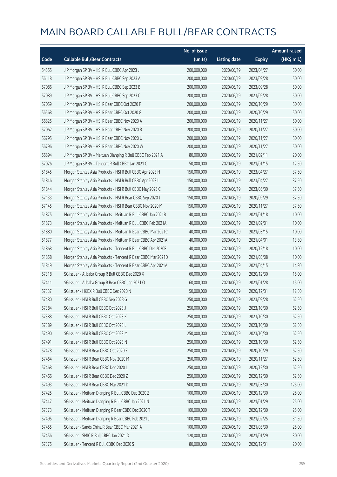|       |                                                              | No. of issue |                     |               | <b>Amount raised</b>  |
|-------|--------------------------------------------------------------|--------------|---------------------|---------------|-----------------------|
| Code  | <b>Callable Bull/Bear Contracts</b>                          | (units)      | <b>Listing date</b> | <b>Expiry</b> | $(HK\frac{1}{2}mil.)$ |
| 54555 | J P Morgan SP BV - HSI R Bull CBBC Apr 2023 J                | 200,000,000  | 2020/06/19          | 2023/04/27    | 50.00                 |
| 56118 | J P Morgan SP BV - HSI R Bull CBBC Sep 2023 A                | 200,000,000  | 2020/06/19          | 2023/09/28    | 50.00                 |
| 57086 | J P Morgan SP BV - HSI R Bull CBBC Sep 2023 B                | 200,000,000  | 2020/06/19          | 2023/09/28    | 50.00                 |
| 57089 | J P Morgan SP BV - HSI R Bull CBBC Sep 2023 C                | 200,000,000  | 2020/06/19          | 2023/09/28    | 50.00                 |
| 57059 | J P Morgan SP BV - HSI R Bear CBBC Oct 2020 F                | 200,000,000  | 2020/06/19          | 2020/10/29    | 50.00                 |
| 56568 | J P Morgan SP BV - HSI R Bear CBBC Oct 2020 G                | 200,000,000  | 2020/06/19          | 2020/10/29    | 50.00                 |
| 56825 | J P Morgan SP BV - HSI R Bear CBBC Nov 2020 A                | 200,000,000  | 2020/06/19          | 2020/11/27    | 50.00                 |
| 57062 | J P Morgan SP BV - HSI R Bear CBBC Nov 2020 B                | 200,000,000  | 2020/06/19          | 2020/11/27    | 50.00                 |
| 56795 | J P Morgan SP BV - HSI R Bear CBBC Nov 2020 U                | 200,000,000  | 2020/06/19          | 2020/11/27    | 50.00                 |
| 56796 | J P Morgan SP BV - HSI R Bear CBBC Nov 2020 W                | 200,000,000  | 2020/06/19          | 2020/11/27    | 50.00                 |
| 56894 | J P Morgan SP BV - Meituan Dianping R Bull CBBC Feb 2021 A   | 80,000,000   | 2020/06/19          | 2021/02/11    | 20.00                 |
| 57026 | J P Morgan SP BV - Tencent R Bull CBBC Jan 2021 C            | 50,000,000   | 2020/06/19          | 2021/01/15    | 12.50                 |
| 51845 | Morgan Stanley Asia Products - HSI R Bull CBBC Apr 2023 H    | 150,000,000  | 2020/06/19          | 2023/04/27    | 37.50                 |
| 51846 | Morgan Stanley Asia Products - HSI R Bull CBBC Apr 2023 I    | 150,000,000  | 2020/06/19          | 2023/04/27    | 37.50                 |
| 51844 | Morgan Stanley Asia Products - HSI R Bull CBBC May 2023 C    | 150,000,000  | 2020/06/19          | 2023/05/30    | 37.50                 |
| 57133 | Morgan Stanley Asia Products - HSI R Bear CBBC Sep 2020 J    | 150,000,000  | 2020/06/19          | 2020/09/29    | 37.50                 |
| 57145 | Morgan Stanley Asia Products - HSI R Bear CBBC Nov 2020 M    | 150,000,000  | 2020/06/19          | 2020/11/27    | 37.50                 |
| 51875 | Morgan Stanley Asia Products - Meituan R Bull CBBC Jan 2021B | 40,000,000   | 2020/06/19          | 2021/01/18    | 10.00                 |
| 51873 | Morgan Stanley Asia Products - Meituan R Bull CBBC Feb 2021A | 40,000,000   | 2020/06/19          | 2021/02/01    | 10.00                 |
| 51880 | Morgan Stanley Asia Products - Meituan R Bear CBBC Mar 2021C | 40,000,000   | 2020/06/19          | 2021/03/15    | 10.00                 |
| 51877 | Morgan Stanley Asia Products - Meituan R Bear CBBC Apr 2021A | 40,000,000   | 2020/06/19          | 2021/04/01    | 13.80                 |
| 51868 | Morgan Stanley Asia Products - Tencent R Bull CBBC Dec 2020F | 40,000,000   | 2020/06/19          | 2020/12/18    | 10.00                 |
| 51858 | Morgan Stanley Asia Products - Tencent R Bear CBBC Mar 2021D | 40,000,000   | 2020/06/19          | 2021/03/08    | 10.00                 |
| 51849 | Morgan Stanley Asia Products - Tencent R Bear CBBC Apr 2021A | 40,000,000   | 2020/06/19          | 2021/04/15    | 14.80                 |
| 57318 | SG Issuer - Alibaba Group R Bull CBBC Dec 2020 X             | 60,000,000   | 2020/06/19          | 2020/12/30    | 15.00                 |
| 57411 | SG Issuer - Alibaba Group R Bear CBBC Jan 2021 O             | 60,000,000   | 2020/06/19          | 2021/01/28    | 15.00                 |
| 57337 | SG Issuer - HKEX R Bull CBBC Dec 2020 N                      | 50,000,000   | 2020/06/19          | 2020/12/31    | 12.50                 |
| 57480 | SG Issuer - HSI R Bull CBBC Sep 2023 G                       | 250,000,000  | 2020/06/19          | 2023/09/28    | 62.50                 |
| 57384 | SG Issuer - HSI R Bull CBBC Oct 2023 J                       | 250,000,000  | 2020/06/19          | 2023/10/30    | 62.50                 |
| 57388 | SG Issuer - HSI R Bull CBBC Oct 2023 K                       | 250,000,000  | 2020/06/19          | 2023/10/30    | 62.50                 |
| 57389 | SG Issuer - HSI R Bull CBBC Oct 2023 L                       | 250,000,000  | 2020/06/19          | 2023/10/30    | 62.50                 |
| 57490 | SG Issuer - HSI R Bull CBBC Oct 2023 M                       | 250,000,000  | 2020/06/19          | 2023/10/30    | 62.50                 |
| 57491 | SG Issuer - HSI R Bull CBBC Oct 2023 N                       | 250,000,000  | 2020/06/19          | 2023/10/30    | 62.50                 |
| 57478 | SG Issuer - HSI R Bear CBBC Oct 2020 Z                       | 250,000,000  | 2020/06/19          | 2020/10/29    | 62.50                 |
| 57464 | SG Issuer - HSI R Bear CBBC Nov 2020 M                       | 250,000,000  | 2020/06/19          | 2020/11/27    | 62.50                 |
| 57468 | SG Issuer - HSI R Bear CBBC Dec 2020 L                       | 250,000,000  | 2020/06/19          | 2020/12/30    | 62.50                 |
| 57466 | SG Issuer - HSI R Bear CBBC Dec 2020 Z                       | 250,000,000  | 2020/06/19          | 2020/12/30    | 62.50                 |
| 57493 | SG Issuer - HSI R Bear CBBC Mar 2021 D                       | 500,000,000  | 2020/06/19          | 2021/03/30    | 125.00                |
| 57425 | SG Issuer - Meituan Dianping R Bull CBBC Dec 2020 Z          | 100,000,000  | 2020/06/19          | 2020/12/30    | 25.00                 |
| 57447 | SG Issuer - Meituan Dianping R Bull CBBC Jan 2021 N          | 100,000,000  | 2020/06/19          | 2021/01/29    | 25.00                 |
| 57373 | SG Issuer - Meituan Dianping R Bear CBBC Dec 2020 T          | 100,000,000  | 2020/06/19          | 2020/12/30    | 25.00                 |
| 57495 | SG Issuer - Meituan Dianping R Bear CBBC Feb 2021 J          | 100,000,000  | 2020/06/19          | 2021/02/25    | 31.50                 |
| 57455 | SG Issuer - Sands China R Bear CBBC Mar 2021 A               | 100,000,000  | 2020/06/19          | 2021/03/30    | 25.00                 |
| 57456 | SG Issuer - SMIC R Bull CBBC Jan 2021 D                      | 120,000,000  | 2020/06/19          | 2021/01/29    | 30.00                 |
| 57375 | SG Issuer - Tencent R Bull CBBC Dec 2020 S                   | 80,000,000   | 2020/06/19          | 2020/12/31    | 20.00                 |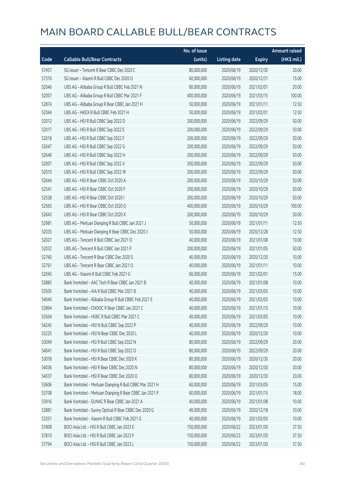|       |                                                         | No. of issue |                     |               | <b>Amount raised</b> |
|-------|---------------------------------------------------------|--------------|---------------------|---------------|----------------------|
| Code  | <b>Callable Bull/Bear Contracts</b>                     | (units)      | <b>Listing date</b> | <b>Expiry</b> | (HK\$ mil.)          |
| 57457 | SG Issuer - Tencent R Bear CBBC Dec 2020 C              | 80,000,000   | 2020/06/19          | 2020/12/30    | 20.00                |
| 57376 | SG Issuer - Xiaomi R Bull CBBC Dec 2020 O               | 60,000,000   | 2020/06/19          | 2020/12/31    | 15.00                |
| 52046 | UBS AG - Alibaba Group R Bull CBBC Feb 2021 N           | 80,000,000   | 2020/06/19          | 2021/02/01    | 20.00                |
| 52057 | UBS AG - Alibaba Group R Bull CBBC Mar 2021 F           | 400,000,000  | 2020/06/19          | 2021/03/15    | 100.00               |
| 52874 | UBS AG - Alibaba Group R Bear CBBC Jan 2021 H           | 50,000,000   | 2020/06/19          | 2021/01/11    | 12.50                |
| 52044 | UBS AG - HKEX R Bull CBBC Feb 2021 H                    | 50,000,000   | 2020/06/19          | 2021/02/01    | 12.50                |
| 52012 | UBS AG - HSI R Bull CBBC Sep 2022 D                     | 200,000,000  | 2020/06/19          | 2022/09/29    | 50.00                |
| 52017 | UBS AG - HSI R Bull CBBC Sep 2022 E                     | 200,000,000  | 2020/06/19          | 2022/09/29    | 50.00                |
| 52018 | UBS AG - HSI R Bull CBBC Sep 2022 F                     | 200,000,000  | 2020/06/19          | 2022/09/29    | 50.00                |
| 52647 | UBS AG - HSI R Bull CBBC Sep 2022 G                     | 200,000,000  | 2020/06/19          | 2022/09/29    | 50.00                |
| 52646 | UBS AG - HSI R Bull CBBC Sep 2022 H                     | 200,000,000  | 2020/06/19          | 2022/09/29    | 50.00                |
| 52007 | UBS AG - HSI R Bull CBBC Sep 2022 V                     | 200,000,000  | 2020/06/19          | 2022/09/29    | 50.00                |
| 52010 | UBS AG - HSI R Bull CBBC Sep 2022 W                     | 200,000,000  | 2020/06/19          | 2022/09/29    | 50.00                |
| 52644 | UBS AG - HSI R Bear CBBC Oct 2020 A                     | 200,000,000  | 2020/06/19          | 2020/10/29    | 50.00                |
| 52541 | UBS AG - HSI R Bear CBBC Oct 2020 F                     | 200,000,000  | 2020/06/19          | 2020/10/29    | 50.00                |
| 52538 | UBS AG - HSI R Bear CBBC Oct 2020 I                     | 200,000,000  | 2020/06/19          | 2020/10/29    | 50.00                |
| 52565 | UBS AG - HSI R Bear CBBC Oct 2020 O                     | 400,000,000  | 2020/06/19          | 2020/10/29    | 100.00               |
| 52643 | UBS AG - HSI R Bear CBBC Oct 2020 X                     | 200,000,000  | 2020/06/19          | 2020/10/29    | 50.00                |
| 52981 | UBS AG - Meituan Dianping R Bull CBBC Jan 2021 J        | 50,000,000   | 2020/06/19          | 2021/01/11    | 12.50                |
| 52035 | UBS AG - Meituan Dianping R Bear CBBC Dec 2020 J        | 50,000,000   | 2020/06/19          | 2020/12/28    | 12.50                |
| 52027 | UBS AG - Tencent R Bull CBBC Jan 2021 O                 | 40,000,000   | 2020/06/19          | 2021/01/08    | 10.00                |
| 52032 | UBS AG - Tencent R Bull CBBC Jan 2021 P                 | 200,000,000  | 2020/06/19          | 2021/01/05    | 50.00                |
| 52760 | UBS AG - Tencent R Bear CBBC Dec 2020 S                 | 40,000,000   | 2020/06/19          | 2020/12/30    | 10.00                |
| 52761 | UBS AG - Tencent R Bear CBBC Jan 2021 O                 | 40,000,000   | 2020/06/19          | 2021/01/11    | 10.00                |
| 52045 | UBS AG - Xiaomi R Bull CBBC Feb 2021 G                  | 60,000,000   | 2020/06/19          | 2021/02/01    | 15.00                |
| 53883 | Bank Vontobel - AAC Tech R Bear CBBC Jan 2021 B         | 40,000,000   | 2020/06/19          | 2021/01/08    | 10.00                |
| 53505 | Bank Vontobel - AIA R Bull CBBC Mar 2021 B              | 40,000,000   | 2020/06/19          | 2021/03/05    | 10.00                |
| 54040 | Bank Vontobel - Alibaba Group R Bull CBBC Feb 2021 E    | 40,000,000   | 2020/06/19          | 2021/02/05    | 10.00                |
| 53894 | Bank Vontobel - CNOOC R Bear CBBC Jan 2021 C            | 40,000,000   | 2020/06/19          | 2021/01/15    | 10.00                |
| 53504 | Bank Vontobel - HSBC R Bull CBBC Mar 2021 C             | 40,000,000   | 2020/06/19          | 2021/03/05    | 10.00                |
| 54245 | Bank Vontobel - HSI N Bull CBBC Sep 2022 P              | 40,000,000   | 2020/06/19          | 2022/09/29    | 10.00                |
| 53225 | Bank Vontobel - HSI N Bear CBBC Dec 2020 L              | 40,000,000   | 2020/06/19          | 2020/12/30    | 10.00                |
| 53049 | Bank Vontobel - HSI R Bull CBBC Sep 2022 N              | 80,000,000   | 2020/06/19          | 2022/09/29    | 20.00                |
| 54041 | Bank Vontobel - HSI R Bull CBBC Sep 2022 O              | 80,000,000   | 2020/06/19          | 2022/09/29    | 20.00                |
| 53078 | Bank Vontobel - HSI R Bear CBBC Dec 2020 K              | 80,000,000   | 2020/06/19          | 2020/12/30    | 20.00                |
| 54036 | Bank Vontobel - HSI R Bear CBBC Dec 2020 N              | 80,000,000   | 2020/06/19          | 2020/12/30    | 20.00                |
| 54037 | Bank Vontobel - HSI R Bear CBBC Dec 2020 O              | 80,000,000   | 2020/06/19          | 2020/12/30    | 20.00                |
| 53606 | Bank Vontobel - Meituan Dianping R Bull CBBC Mar 2021 H | 60,000,000   | 2020/06/19          | 2021/03/05    | 15.00                |
| 53708 | Bank Vontobel - Meituan Dianping R Bear CBBC Jan 2021 P | 60,000,000   | 2020/06/19          | 2021/01/15    | 18.00                |
| 53916 | Bank Vontobel - SUNAC R Bear CBBC Jan 2021 A            | 40,000,000   | 2020/06/19          | 2021/01/08    | 10.00                |
| 53881 | Bank Vontobel - Sunny Optical R Bear CBBC Dec 2020 G    | 40,000,000   | 2020/06/19          | 2020/12/18    | 10.00                |
| 53351 | Bank Vontobel - Xiaomi R Bull CBBC Feb 2021 G           | 40,000,000   | 2020/06/19          | 2021/02/05    | 10.00                |
| 57808 | BOCI Asia Ltd. - HSI R Bull CBBC Jan 2023 E             | 150,000,000  | 2020/06/22          | 2023/01/30    | 37.50                |
| 57810 | BOCI Asia Ltd. - HSI R Bull CBBC Jan 2023 F             | 150,000,000  | 2020/06/22          | 2023/01/30    | 37.50                |
| 57794 | BOCI Asia Ltd. - HSI R Bull CBBC Jan 2023 L             | 150,000,000  | 2020/06/22          | 2023/01/30    | 37.50                |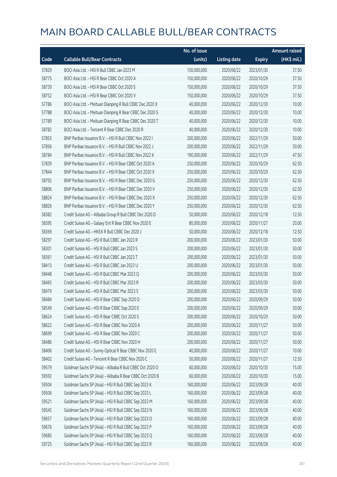|       |                                                          | No. of issue |                     |               | <b>Amount raised</b> |
|-------|----------------------------------------------------------|--------------|---------------------|---------------|----------------------|
| Code  | <b>Callable Bull/Bear Contracts</b>                      | (units)      | <b>Listing date</b> | <b>Expiry</b> | (HK\$ mil.)          |
| 57829 | BOCI Asia Ltd. - HSI R Bull CBBC Jan 2023 M              | 150,000,000  | 2020/06/22          | 2023/01/30    | 37.50                |
| 58775 | BOCI Asia Ltd. - HSI R Bear CBBC Oct 2020 A              | 150,000,000  | 2020/06/22          | 2020/10/29    | 37.50                |
| 58739 | BOCI Asia Ltd. - HSI R Bear CBBC Oct 2020 S              | 150,000,000  | 2020/06/22          | 2020/10/29    | 37.50                |
| 58752 | BOCI Asia Ltd. - HSI R Bear CBBC Oct 2020 V              | 150,000,000  | 2020/06/22          | 2020/10/29    | 37.50                |
| 57786 | BOCI Asia Ltd. - Meituan Dianping R Bull CBBC Dec 2020 X | 40,000,000   | 2020/06/22          | 2020/12/30    | 10.00                |
| 57788 | BOCI Asia Ltd. - Meituan Dianping R Bear CBBC Dec 2020 S | 40,000,000   | 2020/06/22          | 2020/12/30    | 10.00                |
| 57789 | BOCI Asia Ltd. - Meituan Dianping R Bear CBBC Dec 2020 T | 40,000,000   | 2020/06/22          | 2020/12/30    | 10.00                |
| 58782 | BOCI Asia Ltd. - Tencent R Bear CBBC Dec 2020 R          | 40,000,000   | 2020/06/22          | 2020/12/30    | 10.00                |
| 57855 | BNP Paribas Issuance B.V. - HSI R Bull CBBC Nov 2022 I   | 200,000,000  | 2020/06/22          | 2022/11/29    | 50.00                |
| 57856 | BNP Paribas Issuance B.V. - HSI R Bull CBBC Nov 2022 J   | 200,000,000  | 2020/06/22          | 2022/11/29    | 50.00                |
| 58784 | BNP Paribas Issuance B.V. - HSI R Bull CBBC Nov 2022 K   | 190,000,000  | 2020/06/22          | 2022/11/29    | 47.50                |
| 57839 | BNP Paribas Issuance B.V. - HSI R Bear CBBC Oct 2020 A   | 250,000,000  | 2020/06/22          | 2020/10/29    | 62.50                |
| 57844 | BNP Paribas Issuance B.V. - HSI R Bear CBBC Oct 2020 X   | 250,000,000  | 2020/06/22          | 2020/10/29    | 62.50                |
| 58792 | BNP Paribas Issuance B.V. - HSI R Bear CBBC Dec 2020 G   | 250,000,000  | 2020/06/22          | 2020/12/30    | 62.50                |
| 58806 | BNP Paribas Issuance B.V. - HSI R Bear CBBC Dec 2020 V   | 250,000,000  | 2020/06/22          | 2020/12/30    | 62.50                |
| 58824 | BNP Paribas Issuance B.V. - HSI R Bear CBBC Dec 2020 X   | 250,000,000  | 2020/06/22          | 2020/12/30    | 62.50                |
| 58826 | BNP Paribas Issuance B.V. - HSI R Bear CBBC Dec 2020 Y   | 250,000,000  | 2020/06/22          | 2020/12/30    | 62.50                |
| 58382 | Credit Suisse AG - Alibaba Group R Bull CBBC Dec 2020 D  | 50,000,000   | 2020/06/22          | 2020/12/18    | 12.50                |
| 58395 | Credit Suisse AG - Galaxy Ent R Bear CBBC Nov 2020 E     | 80,000,000   | 2020/06/22          | 2020/11/27    | 20.00                |
| 58369 | Credit Suisse AG - HKEX R Bull CBBC Dec 2020 J           | 50,000,000   | 2020/06/22          | 2020/12/18    | 12.50                |
| 58297 | Credit Suisse AG - HSI R Bull CBBC Jan 2023 R            | 200,000,000  | 2020/06/22          | 2023/01/30    | 50.00                |
| 58301 | Credit Suisse AG - HSI R Bull CBBC Jan 2023 S            | 200,000,000  | 2020/06/22          | 2023/01/30    | 50.00                |
| 58361 | Credit Suisse AG - HSI R Bull CBBC Jan 2023 T            | 200,000,000  | 2020/06/22          | 2023/01/30    | 50.00                |
| 58413 | Credit Suisse AG - HSI R Bull CBBC Jan 2023 U            | 200,000,000  | 2020/06/22          | 2023/01/30    | 50.00                |
| 58448 | Credit Suisse AG - HSI R Bull CBBC Mar 2023 Q            | 200,000,000  | 2020/06/22          | 2023/03/30    | 50.00                |
| 58465 | Credit Suisse AG - HSI R Bull CBBC Mar 2023 R            | 200,000,000  | 2020/06/22          | 2023/03/30    | 50.00                |
| 58479 | Credit Suisse AG - HSI R Bull CBBC Mar 2023 S            | 200,000,000  | 2020/06/22          | 2023/03/30    | 50.00                |
| 58484 | Credit Suisse AG - HSI R Bear CBBC Sep 2020 D            | 200,000,000  | 2020/06/22          | 2020/09/29    | 50.00                |
| 58549 | Credit Suisse AG - HSI R Bear CBBC Sep 2020 E            | 200,000,000  | 2020/06/22          | 2020/09/29    | 50.00                |
| 58624 | Credit Suisse AG - HSI R Bear CBBC Oct 2020 S            | 200,000,000  | 2020/06/22          | 2020/10/29    | 50.00                |
| 58622 | Credit Suisse AG - HSI R Bear CBBC Nov 2020 A            | 200,000,000  | 2020/06/22          | 2020/11/27    | 50.00                |
| 58699 | Credit Suisse AG - HSI R Bear CBBC Nov 2020 C            | 200,000,000  | 2020/06/22          | 2020/11/27    | 50.00                |
| 58486 | Credit Suisse AG - HSI R Bear CBBC Nov 2020 H            | 200,000,000  | 2020/06/22          | 2020/11/27    | 50.00                |
| 58406 | Credit Suisse AG - Sunny Optical R Bear CBBC Nov 2020 E  | 40,000,000   | 2020/06/22          | 2020/11/27    | 10.00                |
| 58402 | Credit Suisse AG - Tencent R Bear CBBC Nov 2020 C        | 50,000,000   | 2020/06/22          | 2020/11/27    | 12.50                |
| 59579 | Goldman Sachs SP (Asia) - Alibaba R Bull CBBC Oct 2020 O | 60,000,000   | 2020/06/22          | 2020/10/30    | 15.00                |
| 59592 | Goldman Sachs SP (Asia) - Alibaba R Bear CBBC Oct 2020 B | 60,000,000   | 2020/06/22          | 2020/10/30    | 15.00                |
| 59504 | Goldman Sachs SP (Asia) - HSI R Bull CBBC Sep 2023 K     | 160,000,000  | 2020/06/22          | 2023/09/28    | 40.00                |
| 59506 | Goldman Sachs SP (Asia) - HSI R Bull CBBC Sep 2023 L     | 160,000,000  | 2020/06/22          | 2023/09/28    | 40.00                |
| 59521 | Goldman Sachs SP (Asia) - HSI R Bull CBBC Sep 2023 M     | 160,000,000  | 2020/06/22          | 2023/09/28    | 40.00                |
| 59545 | Goldman Sachs SP (Asia) - HSI R Bull CBBC Sep 2023 N     | 160,000,000  | 2020/06/22          | 2023/09/28    | 40.00                |
| 59657 | Goldman Sachs SP (Asia) - HSI R Bull CBBC Sep 2023 O     | 160,000,000  | 2020/06/22          | 2023/09/28    | 40.00                |
| 59676 | Goldman Sachs SP (Asia) - HSI R Bull CBBC Sep 2023 P     | 160,000,000  | 2020/06/22          | 2023/09/28    | 40.00                |
| 59685 | Goldman Sachs SP (Asia) - HSI R Bull CBBC Sep 2023 Q     | 160,000,000  | 2020/06/22          | 2023/09/28    | 40.00                |
| 59725 | Goldman Sachs SP (Asia) - HSI R Bull CBBC Sep 2023 R     | 160,000,000  | 2020/06/22          | 2023/09/28    | 40.00                |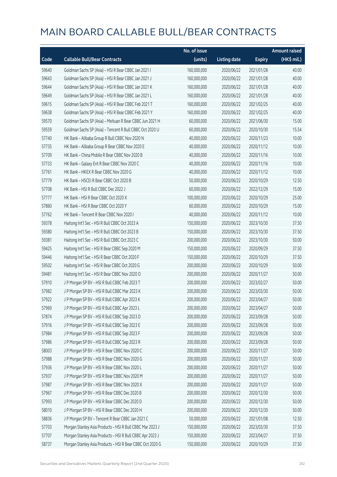|       |                                                           | No. of issue |                     |               | <b>Amount raised</b> |
|-------|-----------------------------------------------------------|--------------|---------------------|---------------|----------------------|
| Code  | <b>Callable Bull/Bear Contracts</b>                       | (units)      | <b>Listing date</b> | <b>Expiry</b> | (HK\$ mil.)          |
| 59640 | Goldman Sachs SP (Asia) - HSI R Bear CBBC Jan 2021 I      | 160,000,000  | 2020/06/22          | 2021/01/28    | 40.00                |
| 59643 | Goldman Sachs SP (Asia) - HSI R Bear CBBC Jan 2021 J      | 160,000,000  | 2020/06/22          | 2021/01/28    | 40.00                |
| 59644 | Goldman Sachs SP (Asia) - HSI R Bear CBBC Jan 2021 K      | 160,000,000  | 2020/06/22          | 2021/01/28    | 40.00                |
| 59649 | Goldman Sachs SP (Asia) - HSI R Bear CBBC Jan 2021 L      | 160,000,000  | 2020/06/22          | 2021/01/28    | 40.00                |
| 59615 | Goldman Sachs SP (Asia) - HSI R Bear CBBC Feb 2021 T      | 160,000,000  | 2020/06/22          | 2021/02/25    | 40.00                |
| 59638 | Goldman Sachs SP (Asia) - HSI R Bear CBBC Feb 2021 Y      | 160,000,000  | 2020/06/22          | 2021/02/25    | 40.00                |
| 59570 | Goldman Sachs SP (Asia) - Meituan R Bear CBBC Jun 2021 H  | 60,000,000   | 2020/06/22          | 2021/06/30    | 15.00                |
| 59559 | Goldman Sachs SP (Asia) - Tencent R Bull CBBC Oct 2020 U  | 60,000,000   | 2020/06/22          | 2020/10/30    | 15.54                |
| 57740 | HK Bank - Alibaba Group R Bull CBBC Nov 2020 N            | 40,000,000   | 2020/06/22          | 2020/11/23    | 10.00                |
| 57735 | HK Bank - Alibaba Group R Bear CBBC Nov 2020 E            | 40,000,000   | 2020/06/22          | 2020/11/12    | 10.00                |
| 57709 | HK Bank - China Mobile R Bear CBBC Nov 2020 B             | 40,000,000   | 2020/06/22          | 2020/11/16    | 10.00                |
| 57733 | HK Bank - Galaxy Ent R Bear CBBC Nov 2020 C               | 40,000,000   | 2020/06/22          | 2020/11/16    | 10.00                |
| 57761 | HK Bank - HKEX R Bear CBBC Nov 2020 G                     | 40,000,000   | 2020/06/22          | 2020/11/12    | 10.00                |
| 57779 | HK Bank - HSCEI R Bear CBBC Oct 2020 B                    | 50,000,000   | 2020/06/22          | 2020/10/29    | 12.50                |
| 57708 | HK Bank - HSI R Bull CBBC Dec 2022 J                      | 60,000,000   | 2020/06/22          | 2022/12/29    | 15.00                |
| 57777 | HK Bank - HSI R Bear CBBC Oct 2020 X                      | 100,000,000  | 2020/06/22          | 2020/10/29    | 25.00                |
| 57860 | HK Bank - HSI R Bear CBBC Oct 2020 Y                      | 60,000,000   | 2020/06/22          | 2020/10/29    | 15.00                |
| 57762 | HK Bank - Tencent R Bear CBBC Nov 2020 I                  | 40,000,000   | 2020/06/22          | 2020/11/12    | 10.00                |
| 59378 | Haitong Int'l Sec - HSI R Bull CBBC Oct 2023 A            | 150,000,000  | 2020/06/22          | 2023/10/30    | 37.50                |
| 59380 | Haitong Int'l Sec - HSI R Bull CBBC Oct 2023 B            | 150,000,000  | 2020/06/22          | 2023/10/30    | 37.50                |
| 59381 | Haitong Int'l Sec - HSI R Bull CBBC Oct 2023 C            | 200,000,000  | 2020/06/22          | 2023/10/30    | 50.00                |
| 59425 | Haitong Int'l Sec - HSI R Bear CBBC Sep 2020 M            | 150,000,000  | 2020/06/22          | 2020/09/29    | 37.50                |
| 59446 | Haitong Int'l Sec - HSI R Bear CBBC Oct 2020 F            | 150,000,000  | 2020/06/22          | 2020/10/29    | 37.50                |
| 59502 | Haitong Int'l Sec - HSI R Bear CBBC Oct 2020 G            | 200,000,000  | 2020/06/22          | 2020/10/29    | 50.00                |
| 59481 | Haitong Int'l Sec - HSI R Bear CBBC Nov 2020 O            | 200,000,000  | 2020/06/22          | 2020/11/27    | 50.00                |
| 57910 | J P Morgan SP BV - HSI R Bull CBBC Feb 2023 T             | 200,000,000  | 2020/06/22          | 2023/02/27    | 50.00                |
| 57982 | J P Morgan SP BV - HSI R Bull CBBC Mar 2023 K             | 200,000,000  | 2020/06/22          | 2023/03/30    | 50.00                |
| 57922 | J P Morgan SP BV - HSI R Bull CBBC Apr 2023 K             | 200,000,000  | 2020/06/22          | 2023/04/27    | 50.00                |
| 57969 | J P Morgan SP BV - HSI R Bull CBBC Apr 2023 L             | 200,000,000  | 2020/06/22          | 2023/04/27    | 50.00                |
| 57874 | J P Morgan SP BV - HSI R Bull CBBC Sep 2023 D             | 200,000,000  | 2020/06/22          | 2023/09/28    | 50.00                |
| 57916 | J P Morgan SP BV - HSI R Bull CBBC Sep 2023 E             | 200,000,000  | 2020/06/22          | 2023/09/28    | 50.00                |
| 57984 | J P Morgan SP BV - HSI R Bull CBBC Sep 2023 F             | 200,000,000  | 2020/06/22          | 2023/09/28    | 50.00                |
| 57986 | J P Morgan SP BV - HSI R Bull CBBC Sep 2023 R             | 200,000,000  | 2020/06/22          | 2023/09/28    | 50.00                |
| 58003 | J P Morgan SP BV - HSI R Bear CBBC Nov 2020 C             | 200,000,000  | 2020/06/22          | 2020/11/27    | 50.00                |
| 57988 | J P Morgan SP BV - HSI R Bear CBBC Nov 2020 G             | 200,000,000  | 2020/06/22          | 2020/11/27    | 50.00                |
| 57936 | J P Morgan SP BV - HSI R Bear CBBC Nov 2020 L             | 200,000,000  | 2020/06/22          | 2020/11/27    | 50.00                |
| 57937 | J P Morgan SP BV - HSI R Bear CBBC Nov 2020 M             | 200,000,000  | 2020/06/22          | 2020/11/27    | 50.00                |
| 57987 | J P Morgan SP BV - HSI R Bear CBBC Nov 2020 X             | 200,000,000  | 2020/06/22          | 2020/11/27    | 50.00                |
| 57967 | J P Morgan SP BV - HSI R Bear CBBC Dec 2020 B             | 200,000,000  | 2020/06/22          | 2020/12/30    | 50.00                |
| 57993 | J P Morgan SP BV - HSI R Bear CBBC Dec 2020 D             | 200,000,000  | 2020/06/22          | 2020/12/30    | 50.00                |
| 58010 | J P Morgan SP BV - HSI R Bear CBBC Dec 2020 H             | 200,000,000  | 2020/06/22          | 2020/12/30    | 50.00                |
| 58836 | J P Morgan SP BV - Tencent R Bear CBBC Jan 2021 C         | 50,000,000   | 2020/06/22          | 2021/01/08    | 12.50                |
| 57703 | Morgan Stanley Asia Products - HSI R Bull CBBC Mar 2023 J | 150,000,000  | 2020/06/22          | 2023/03/30    | 37.50                |
| 57707 | Morgan Stanley Asia Products - HSI R Bull CBBC Apr 2023 J | 150,000,000  | 2020/06/22          | 2023/04/27    | 37.50                |
| 58737 | Morgan Stanley Asia Products - HSI R Bear CBBC Oct 2020 G | 150,000,000  | 2020/06/22          | 2020/10/29    | 37.50                |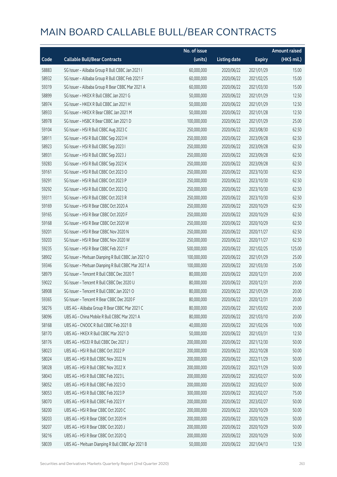|       |                                                     | No. of issue |                     |               | <b>Amount raised</b> |
|-------|-----------------------------------------------------|--------------|---------------------|---------------|----------------------|
| Code  | <b>Callable Bull/Bear Contracts</b>                 | (units)      | <b>Listing date</b> | <b>Expiry</b> | (HK\$ mil.)          |
| 58883 | SG Issuer - Alibaba Group R Bull CBBC Jan 2021 I    | 60,000,000   | 2020/06/22          | 2021/01/29    | 15.00                |
| 58932 | SG Issuer - Alibaba Group R Bull CBBC Feb 2021 F    | 60,000,000   | 2020/06/22          | 2021/02/25    | 15.00                |
| 59319 | SG Issuer - Alibaba Group R Bear CBBC Mar 2021 A    | 60,000,000   | 2020/06/22          | 2021/03/30    | 15.00                |
| 58899 | SG Issuer - HKEX R Bull CBBC Jan 2021 G             | 50,000,000   | 2020/06/22          | 2021/01/29    | 12.50                |
| 58974 | SG Issuer - HKEX R Bull CBBC Jan 2021 H             | 50,000,000   | 2020/06/22          | 2021/01/29    | 12.50                |
| 58933 | SG Issuer - HKEX R Bear CBBC Jan 2021 M             | 50,000,000   | 2020/06/22          | 2021/01/28    | 12.50                |
| 58978 | SG Issuer - HSBC R Bear CBBC Jan 2021 D             | 100,000,000  | 2020/06/22          | 2021/01/29    | 25.00                |
| 59104 | SG Issuer - HSI R Bull CBBC Aug 2023 C              | 250,000,000  | 2020/06/22          | 2023/08/30    | 62.50                |
| 58911 | SG Issuer - HSI R Bull CBBC Sep 2023 H              | 250,000,000  | 2020/06/22          | 2023/09/28    | 62.50                |
| 58923 | SG Issuer - HSI R Bull CBBC Sep 2023 I              | 250,000,000  | 2020/06/22          | 2023/09/28    | 62.50                |
| 58931 | SG Issuer - HSI R Bull CBBC Sep 2023 J              | 250,000,000  | 2020/06/22          | 2023/09/28    | 62.50                |
| 59283 | SG Issuer - HSI R Bull CBBC Sep 2023 K              | 250,000,000  | 2020/06/22          | 2023/09/28    | 62.50                |
| 59161 | SG Issuer - HSI R Bull CBBC Oct 2023 O              | 250,000,000  | 2020/06/22          | 2023/10/30    | 62.50                |
| 59291 | SG Issuer - HSI R Bull CBBC Oct 2023 P              | 250,000,000  | 2020/06/22          | 2023/10/30    | 62.50                |
| 59292 | SG Issuer - HSI R Bull CBBC Oct 2023 Q              | 250,000,000  | 2020/06/22          | 2023/10/30    | 62.50                |
| 59311 | SG Issuer - HSI R Bull CBBC Oct 2023 R              | 250,000,000  | 2020/06/22          | 2023/10/30    | 62.50                |
| 59169 | SG Issuer - HSI R Bear CBBC Oct 2020 A              | 250,000,000  | 2020/06/22          | 2020/10/29    | 62.50                |
| 59165 | SG Issuer - HSI R Bear CBBC Oct 2020 F              | 250,000,000  | 2020/06/22          | 2020/10/29    | 62.50                |
| 59168 | SG Issuer - HSI R Bear CBBC Oct 2020 W              | 250,000,000  | 2020/06/22          | 2020/10/29    | 62.50                |
| 59201 | SG Issuer - HSI R Bear CBBC Nov 2020 N              | 250,000,000  | 2020/06/22          | 2020/11/27    | 62.50                |
| 59203 | SG Issuer - HSI R Bear CBBC Nov 2020 W              | 250,000,000  | 2020/06/22          | 2020/11/27    | 62.50                |
| 59235 | SG Issuer - HSI R Bear CBBC Feb 2021 F              | 500,000,000  | 2020/06/22          | 2021/02/25    | 125.00               |
| 58902 | SG Issuer - Meituan Dianping R Bull CBBC Jan 2021 O | 100,000,000  | 2020/06/22          | 2021/01/29    | 25.00                |
| 59346 | SG Issuer - Meituan Dianping R Bull CBBC Mar 2021 A | 100,000,000  | 2020/06/22          | 2021/03/30    | 25.00                |
| 58979 | SG Issuer - Tencent R Bull CBBC Dec 2020 T          | 80,000,000   | 2020/06/22          | 2020/12/31    | 20.00                |
| 59022 | SG Issuer - Tencent R Bull CBBC Dec 2020 U          | 80,000,000   | 2020/06/22          | 2020/12/31    | 20.00                |
| 58908 | SG Issuer - Tencent R Bull CBBC Jan 2021 O          | 80,000,000   | 2020/06/22          | 2021/01/29    | 20.00                |
| 59365 | SG Issuer - Tencent R Bear CBBC Dec 2020 F          | 80,000,000   | 2020/06/22          | 2020/12/31    | 20.00                |
| 58276 | UBS AG - Alibaba Group R Bear CBBC Mar 2021 C       | 80,000,000   | 2020/06/22          | 2021/03/02    | 20.00                |
| 58096 | UBS AG - China Mobile R Bull CBBC Mar 2021 A        | 80,000,000   | 2020/06/22          | 2021/03/10    | 20.00                |
| 58168 | UBS AG - CNOOC R Bull CBBC Feb 2021 B               | 40,000,000   | 2020/06/22          | 2021/02/26    | 10.00                |
| 58170 | UBS AG - HKEX R Bull CBBC Mar 2021 D                | 50,000,000   | 2020/06/22          | 2021/03/31    | 12.50                |
| 58176 | UBS AG - HSCEI R Bull CBBC Dec 2021 J               | 200,000,000  | 2020/06/22          | 2021/12/30    | 50.00                |
| 58023 | UBS AG - HSI R Bull CBBC Oct 2022 P                 | 200,000,000  | 2020/06/22          | 2022/10/28    | 50.00                |
| 58024 | UBS AG - HSI R Bull CBBC Nov 2022 N                 | 200,000,000  | 2020/06/22          | 2022/11/29    | 50.00                |
| 58028 | UBS AG - HSI R Bull CBBC Nov 2022 X                 | 200,000,000  | 2020/06/22          | 2022/11/29    | 50.00                |
| 58043 | UBS AG - HSI R Bull CBBC Feb 2023 L                 | 200,000,000  | 2020/06/22          | 2023/02/27    | 50.00                |
| 58052 | UBS AG - HSI R Bull CBBC Feb 2023 O                 | 200,000,000  | 2020/06/22          | 2023/02/27    | 50.00                |
| 58053 | UBS AG - HSI R Bull CBBC Feb 2023 P                 | 300,000,000  | 2020/06/22          | 2023/02/27    | 75.00                |
| 58070 | UBS AG - HSI R Bull CBBC Feb 2023 Y                 | 200,000,000  | 2020/06/22          | 2023/02/27    | 50.00                |
| 58200 | UBS AG - HSI R Bear CBBC Oct 2020 C                 | 200,000,000  | 2020/06/22          | 2020/10/29    | 50.00                |
| 58203 | UBS AG - HSI R Bear CBBC Oct 2020 H                 | 200,000,000  | 2020/06/22          | 2020/10/29    | 50.00                |
| 58207 | UBS AG - HSI R Bear CBBC Oct 2020 J                 | 200,000,000  | 2020/06/22          | 2020/10/29    | 50.00                |
| 58216 | UBS AG - HSI R Bear CBBC Oct 2020 Q                 | 200,000,000  | 2020/06/22          | 2020/10/29    | 50.00                |
| 58039 | UBS AG - Meituan Dianping R Bull CBBC Apr 2021 B    | 50,000,000   | 2020/06/22          | 2021/04/13    | 12.50                |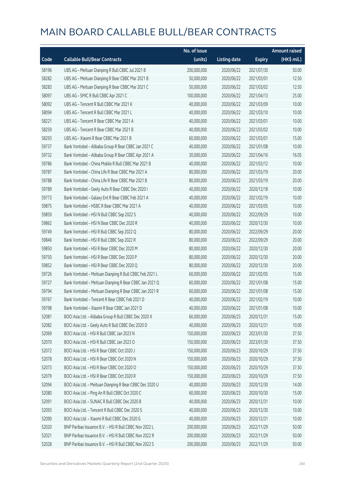|       |                                                          | No. of issue |                     |               | <b>Amount raised</b> |
|-------|----------------------------------------------------------|--------------|---------------------|---------------|----------------------|
| Code  | <b>Callable Bull/Bear Contracts</b>                      | (units)      | <b>Listing date</b> | <b>Expiry</b> | (HK\$ mil.)          |
| 58196 | UBS AG - Meituan Dianping R Bull CBBC Jul 2021 B         | 200,000,000  | 2020/06/22          | 2021/07/30    | 50.00                |
| 58282 | UBS AG - Meituan Dianping R Bear CBBC Mar 2021 B         | 50,000,000   | 2020/06/22          | 2021/03/01    | 12.50                |
| 58283 | UBS AG - Meituan Dianping R Bear CBBC Mar 2021 C         | 50,000,000   | 2020/06/22          | 2021/03/02    | 12.50                |
| 58097 | UBS AG - SMIC R Bull CBBC Apr 2021 C                     | 100,000,000  | 2020/06/22          | 2021/04/13    | 25.00                |
| 58092 | UBS AG - Tencent R Bull CBBC Mar 2021 K                  | 40,000,000   | 2020/06/22          | 2021/03/09    | 10.00                |
| 58094 | UBS AG - Tencent R Bull CBBC Mar 2021 L                  | 40,000,000   | 2020/06/22          | 2021/03/10    | 10.00                |
| 58221 | UBS AG - Tencent R Bear CBBC Mar 2021 A                  | 40,000,000   | 2020/06/22          | 2021/03/01    | 10.00                |
| 58259 | UBS AG - Tencent R Bear CBBC Mar 2021 B                  | 40,000,000   | 2020/06/22          | 2021/03/02    | 10.00                |
| 58293 | UBS AG - Xiaomi R Bear CBBC Mar 2021 B                   | 60,000,000   | 2020/06/22          | 2021/03/01    | 15.00                |
| 59737 | Bank Vontobel - Alibaba Group R Bear CBBC Jan 2021 C     | 40,000,000   | 2020/06/22          | 2021/01/08    | 10.00                |
| 59732 | Bank Vontobel - Alibaba Group R Bear CBBC Apr 2021 A     | 30,000,000   | 2020/06/22          | 2021/04/16    | 16.05                |
| 59786 | Bank Vontobel - China Mobile R Bull CBBC Mar 2021 B      | 40,000,000   | 2020/06/22          | 2021/03/12    | 10.00                |
| 59787 | Bank Vontobel - China Life R Bear CBBC Mar 2021 A        | 80,000,000   | 2020/06/22          | 2021/03/19    | 20.00                |
| 59788 | Bank Vontobel - China Life R Bear CBBC Mar 2021 B        | 80,000,000   | 2020/06/22          | 2021/03/19    | 20.00                |
| 59789 | Bank Vontobel - Geely Auto R Bear CBBC Dec 2020 I        | 40,000,000   | 2020/06/22          | 2020/12/18    | 10.00                |
| 59773 | Bank Vontobel - Galaxy Ent R Bear CBBC Feb 2021 A        | 40,000,000   | 2020/06/22          | 2021/02/19    | 10.00                |
| 59875 | Bank Vontobel - HSBC R Bear CBBC Mar 2021 A              | 40,000,000   | 2020/06/22          | 2021/03/05    | 10.00                |
| 59859 | Bank Vontobel - HSI N Bull CBBC Sep 2022 S               | 40,000,000   | 2020/06/22          | 2022/09/29    | 10.00                |
| 59862 | Bank Vontobel - HSI N Bear CBBC Dec 2020 R               | 40,000,000   | 2020/06/22          | 2020/12/30    | 10.00                |
| 59749 | Bank Vontobel - HSI R Bull CBBC Sep 2022 Q               | 80,000,000   | 2020/06/22          | 2022/09/29    | 20.00                |
| 59846 | Bank Vontobel - HSI R Bull CBBC Sep 2022 R               | 80,000,000   | 2020/06/22          | 2022/09/29    | 20.00                |
| 59850 | Bank Vontobel - HSI R Bear CBBC Dec 2020 M               | 80,000,000   | 2020/06/22          | 2020/12/30    | 20.00                |
| 59750 | Bank Vontobel - HSI R Bear CBBC Dec 2020 P               | 80,000,000   | 2020/06/22          | 2020/12/30    | 20.00                |
| 59852 | Bank Vontobel - HSI R Bear CBBC Dec 2020 Q               | 80,000,000   | 2020/06/22          | 2020/12/30    | 20.00                |
| 59726 | Bank Vontobel - Meituan Dianping R Bull CBBC Feb 2021 L  | 60,000,000   | 2020/06/22          | 2021/02/05    | 15.00                |
| 59727 | Bank Vontobel - Meituan Dianping R Bear CBBC Jan 2021 Q  | 60,000,000   | 2020/06/22          | 2021/01/08    | 15.00                |
| 59794 | Bank Vontobel - Meituan Dianping R Bear CBBC Jan 2021 R  | 60,000,000   | 2020/06/22          | 2021/01/08    | 15.00                |
| 59767 | Bank Vontobel - Tencent R Bear CBBC Feb 2021 D           | 40,000,000   | 2020/06/22          | 2021/02/19    | 10.00                |
| 59798 | Bank Vontobel - Xiaomi R Bear CBBC Jan 2021 D            | 40,000,000   | 2020/06/22          | 2021/01/08    | 10.00                |
| 52081 | BOCI Asia Ltd. - Alibaba Group R Bull CBBC Dec 2020 X    | 60,000,000   | 2020/06/23          | 2020/12/31    | 15.00                |
| 52082 | BOCI Asia Ltd. - Geely Auto R Bull CBBC Dec 2020 D       | 40,000,000   | 2020/06/23          | 2020/12/31    | 10.00                |
| 52069 | BOCI Asia Ltd. - HSI R Bull CBBC Jan 2023 N              | 150,000,000  | 2020/06/23          | 2023/01/30    | 37.50                |
| 52070 | BOCI Asia Ltd. - HSI R Bull CBBC Jan 2023 O              | 150,000,000  | 2020/06/23          | 2023/01/30    | 37.50                |
| 52072 | BOCI Asia Ltd. - HSI R Bear CBBC Oct 2020 J              | 150,000,000  | 2020/06/23          | 2020/10/29    | 37.50                |
| 52078 | BOCI Asia Ltd. - HSI R Bear CBBC Oct 2020 N              | 150,000,000  | 2020/06/23          | 2020/10/29    | 37.50                |
| 52073 | BOCI Asia Ltd. - HSI R Bear CBBC Oct 2020 O              | 150,000,000  | 2020/06/23          | 2020/10/29    | 37.50                |
| 52079 | BOCI Asia Ltd. - HSI R Bear CBBC Oct 2020 R              | 150,000,000  | 2020/06/23          | 2020/10/29    | 37.50                |
| 52094 | BOCI Asia Ltd. - Meituan Dianping R Bear CBBC Dec 2020 U | 40,000,000   | 2020/06/23          | 2020/12/30    | 14.00                |
| 52080 | BOCI Asia Ltd. - Ping An R Bull CBBC Oct 2020 C          | 60,000,000   | 2020/06/23          | 2020/10/30    | 15.00                |
| 52091 | BOCI Asia Ltd. - SUNAC R Bull CBBC Dec 2020 B            | 40,000,000   | 2020/06/23          | 2020/12/31    | 10.00                |
| 52093 | BOCI Asia Ltd. - Tencent R Bull CBBC Dec 2020 S          | 40,000,000   | 2020/06/23          | 2020/12/30    | 10.00                |
| 52090 | BOCI Asia Ltd. - Xiaomi R Bull CBBC Dec 2020 G           | 40,000,000   | 2020/06/23          | 2020/12/31    | 10.00                |
| 52020 | BNP Paribas Issuance B.V. - HSI R Bull CBBC Nov 2022 L   | 200,000,000  | 2020/06/23          | 2022/11/29    | 50.00                |
| 52021 | BNP Paribas Issuance B.V. - HSI R Bull CBBC Nov 2022 R   | 200,000,000  | 2020/06/23          | 2022/11/29    | 50.00                |
| 52028 | BNP Paribas Issuance B.V. - HSI R Bull CBBC Nov 2022 S   | 200,000,000  | 2020/06/23          | 2022/11/29    | 50.00                |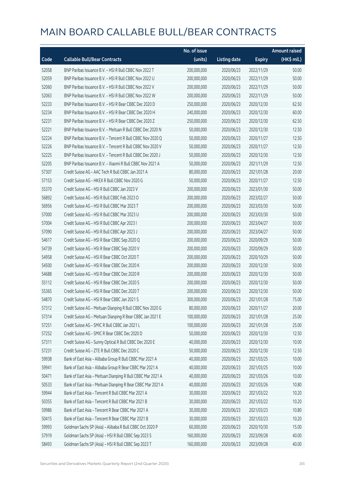|       |                                                             | No. of issue |                     |               | <b>Amount raised</b> |
|-------|-------------------------------------------------------------|--------------|---------------------|---------------|----------------------|
| Code  | <b>Callable Bull/Bear Contracts</b>                         | (units)      | <b>Listing date</b> | <b>Expiry</b> | (HK\$ mil.)          |
| 52058 | BNP Paribas Issuance B.V. - HSI R Bull CBBC Nov 2022 T      | 200,000,000  | 2020/06/23          | 2022/11/29    | 50.00                |
| 52059 | BNP Paribas Issuance B.V. - HSI R Bull CBBC Nov 2022 U      | 200,000,000  | 2020/06/23          | 2022/11/29    | 50.00                |
| 52060 | BNP Paribas Issuance B.V. - HSI R Bull CBBC Nov 2022 V      | 200,000,000  | 2020/06/23          | 2022/11/29    | 50.00                |
| 52063 | BNP Paribas Issuance B.V. - HSI R Bull CBBC Nov 2022 W      | 200,000,000  | 2020/06/23          | 2022/11/29    | 50.00                |
| 52233 | BNP Paribas Issuance B.V. - HSI R Bear CBBC Dec 2020 D      | 250,000,000  | 2020/06/23          | 2020/12/30    | 62.50                |
| 52234 | BNP Paribas Issuance B.V. - HSI R Bear CBBC Dec 2020 H      | 240,000,000  | 2020/06/23          | 2020/12/30    | 60.00                |
| 52231 | BNP Paribas Issuance B.V. - HSI R Bear CBBC Dec 2020 Z      | 250,000,000  | 2020/06/23          | 2020/12/30    | 62.50                |
| 52221 | BNP Paribas Issuance B.V. - Meituan R Bull CBBC Dec 2020 N  | 50,000,000   | 2020/06/23          | 2020/12/30    | 12.50                |
| 52224 | BNP Paribas Issuance B.V. - Tencent R Bull CBBC Nov 2020 Q  | 50,000,000   | 2020/06/23          | 2020/11/27    | 12.50                |
| 52226 | BNP Paribas Issuance B.V. - Tencent R Bull CBBC Nov 2020 V  | 50,000,000   | 2020/06/23          | 2020/11/27    | 12.50                |
| 52225 | BNP Paribas Issuance B.V. - Tencent R Bull CBBC Dec 2020 J  | 50,000,000   | 2020/06/23          | 2020/12/30    | 12.50                |
| 52205 | BNP Paribas Issuance B.V. - Xiaomi R Bull CBBC Nov 2021 A   | 50,000,000   | 2020/06/23          | 2021/11/29    | 12.50                |
| 57307 | Credit Suisse AG - AAC Tech R Bull CBBC Jan 2021 A          | 80,000,000   | 2020/06/23          | 2021/01/28    | 20.00                |
| 57153 | Credit Suisse AG - HKEX R Bull CBBC Nov 2020 G              | 50,000,000   | 2020/06/23          | 2020/11/27    | 12.50                |
| 55370 | Credit Suisse AG - HSI R Bull CBBC Jan 2023 V               | 200,000,000  | 2020/06/23          | 2023/01/30    | 50.00                |
| 56892 | Credit Suisse AG - HSI R Bull CBBC Feb 2023 O               | 200,000,000  | 2020/06/23          | 2023/02/27    | 50.00                |
| 56956 | Credit Suisse AG - HSI R Bull CBBC Mar 2023 T               | 200,000,000  | 2020/06/23          | 2023/03/30    | 50.00                |
| 57000 | Credit Suisse AG - HSI R Bull CBBC Mar 2023 U               | 200,000,000  | 2020/06/23          | 2023/03/30    | 50.00                |
| 57004 | Credit Suisse AG - HSI R Bull CBBC Apr 2023 I               | 200,000,000  | 2020/06/23          | 2023/04/27    | 50.00                |
| 57090 | Credit Suisse AG - HSI R Bull CBBC Apr 2023 J               | 200,000,000  | 2020/06/23          | 2023/04/27    | 50.00                |
| 54617 | Credit Suisse AG - HSI R Bear CBBC Sep 2020 Q               | 200,000,000  | 2020/06/23          | 2020/09/29    | 50.00                |
| 54739 | Credit Suisse AG - HSI R Bear CBBC Sep 2020 V               | 200,000,000  | 2020/06/23          | 2020/09/29    | 50.00                |
| 54958 | Credit Suisse AG - HSI R Bear CBBC Oct 2020 T               | 200,000,000  | 2020/06/23          | 2020/10/29    | 50.00                |
| 54500 | Credit Suisse AG - HSI R Bear CBBC Dec 2020 K               | 200,000,000  | 2020/06/23          | 2020/12/30    | 50.00                |
| 54688 | Credit Suisse AG - HSI R Bear CBBC Dec 2020 R               | 200,000,000  | 2020/06/23          | 2020/12/30    | 50.00                |
| 55112 | Credit Suisse AG - HSI R Bear CBBC Dec 2020 S               | 200,000,000  | 2020/06/23          | 2020/12/30    | 50.00                |
| 55365 | Credit Suisse AG - HSI R Bear CBBC Dec 2020 T               | 200,000,000  | 2020/06/23          | 2020/12/30    | 50.00                |
| 54870 | Credit Suisse AG - HSI R Bear CBBC Jan 2021 S               | 300,000,000  | 2020/06/23          | 2021/01/28    | 75.00                |
| 57312 | Credit Suisse AG - Meituan Dianping R Bull CBBC Nov 2020 G  | 80,000,000   | 2020/06/23          | 2020/11/27    | 20.00                |
| 57314 | Credit Suisse AG - Meituan Dianping R Bear CBBC Jan 2021 E  | 100,000,000  | 2020/06/23          | 2021/01/28    | 25.00                |
| 57251 | Credit Suisse AG - SMIC R Bull CBBC Jan 2021 L              | 100,000,000  | 2020/06/23          | 2021/01/28    | 25.00                |
| 57252 | Credit Suisse AG - SMIC R Bear CBBC Dec 2020 D              | 50,000,000   | 2020/06/23          | 2020/12/30    | 12.50                |
| 57311 | Credit Suisse AG - Sunny Optical R Bull CBBC Dec 2020 E     | 40,000,000   | 2020/06/23          | 2020/12/30    | 10.00                |
| 57231 | Credit Suisse AG - ZTE R Bull CBBC Dec 2020 C               | 50,000,000   | 2020/06/23          | 2020/12/30    | 12.50                |
| 59938 | Bank of East Asia - Alibaba Group R Bull CBBC Mar 2021 A    | 40,000,000   | 2020/06/23          | 2021/03/25    | 10.00                |
| 59941 | Bank of East Asia - Alibaba Group R Bear CBBC Mar 2021 A    | 40,000,000   | 2020/06/23          | 2021/03/25    | 10.00                |
| 50471 | Bank of East Asia - Meituan Dianping R Bull CBBC Mar 2021 A | 40,000,000   | 2020/06/23          | 2021/03/26    | 10.00                |
| 50533 | Bank of East Asia - Meituan Dianping R Bear CBBC Mar 2021 A | 40,000,000   | 2020/06/23          | 2021/03/26    | 10.80                |
| 59944 | Bank of East Asia - Tencent R Bull CBBC Mar 2021 A          | 30,000,000   | 2020/06/23          | 2021/03/22    | 10.20                |
| 50355 | Bank of East Asia - Tencent R Bull CBBC Mar 2021 B          | 30,000,000   | 2020/06/23          | 2021/03/22    | 10.20                |
| 59986 | Bank of East Asia - Tencent R Bear CBBC Mar 2021 A          | 30,000,000   | 2020/06/23          | 2021/03/23    | 10.80                |
| 50415 | Bank of East Asia - Tencent R Bear CBBC Mar 2021 B          | 30,000,000   | 2020/06/23          | 2021/03/23    | 10.20                |
| 59993 | Goldman Sachs SP (Asia) - Alibaba R Bull CBBC Oct 2020 P    | 60,000,000   | 2020/06/23          | 2020/10/30    | 15.00                |
| 57919 | Goldman Sachs SP (Asia) - HSI R Bull CBBC Sep 2023 S        | 160,000,000  | 2020/06/23          | 2023/09/28    | 40.00                |
| 58493 | Goldman Sachs SP (Asia) - HSI R Bull CBBC Sep 2023 T        | 160,000,000  | 2020/06/23          | 2023/09/28    | 40.00                |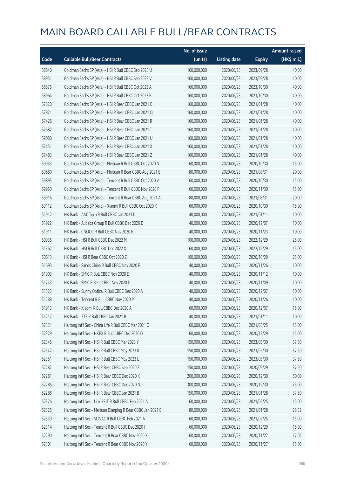|       |                                                             | No. of issue |                     |               | <b>Amount raised</b>  |
|-------|-------------------------------------------------------------|--------------|---------------------|---------------|-----------------------|
| Code  | <b>Callable Bull/Bear Contracts</b>                         | (units)      | <b>Listing date</b> | <b>Expiry</b> | $(HK\frac{1}{2}mil.)$ |
| 58640 | Goldman Sachs SP (Asia) - HSI R Bull CBBC Sep 2023 U        | 160,000,000  | 2020/06/23          | 2023/09/28    | 40.00                 |
| 58951 | Goldman Sachs SP (Asia) - HSI R Bull CBBC Sep 2023 V        | 160,000,000  | 2020/06/23          | 2023/09/28    | 40.00                 |
| 58875 | Goldman Sachs SP (Asia) - HSI R Bull CBBC Oct 2023 A        | 160,000,000  | 2020/06/23          | 2023/10/30    | 40.00                 |
| 58964 | Goldman Sachs SP (Asia) - HSI R Bull CBBC Oct 2023 B        | 160,000,000  | 2020/06/23          | 2023/10/30    | 40.00                 |
| 57820 | Goldman Sachs SP (Asia) - HSI R Bear CBBC Jan 2021 C        | 160,000,000  | 2020/06/23          | 2021/01/28    | 40.00                 |
| 57821 | Goldman Sachs SP (Asia) - HSI R Bear CBBC Jan 2021 Q        | 160,000,000  | 2020/06/23          | 2021/01/28    | 40.00                 |
| 57426 | Goldman Sachs SP (Asia) - HSI R Bear CBBC Jan 2021 R        | 160,000,000  | 2020/06/23          | 2021/01/28    | 40.00                 |
| 57682 | Goldman Sachs SP (Asia) - HSI R Bear CBBC Jan 2021 T        | 160,000,000  | 2020/06/23          | 2021/01/28    | 40.00                 |
| 59080 | Goldman Sachs SP (Asia) - HSI R Bear CBBC Jan 2021 U        | 160,000,000  | 2020/06/23          | 2021/01/28    | 40.00                 |
| 57451 | Goldman Sachs SP (Asia) - HSI R Bear CBBC Jan 2021 X        | 160,000,000  | 2020/06/23          | 2021/01/28    | 40.00                 |
| 57483 | Goldman Sachs SP (Asia) - HSI R Bear CBBC Jan 2021 Z        | 160,000,000  | 2020/06/23          | 2021/01/28    | 40.00                 |
| 59953 | Goldman Sachs SP (Asia) - Meituan R Bull CBBC Oct 2020 N    | 60,000,000   | 2020/06/23          | 2020/10/30    | 15.00                 |
| 59680 | Goldman Sachs SP (Asia) - Meituan R Bear CBBC Aug 2021 E    | 80,000,000   | 2020/06/23          | 2021/08/31    | 20.00                 |
| 59895 | Goldman Sachs SP (Asia) - Tencent R Bull CBBC Oct 2020 V    | 60,000,000   | 2020/06/23          | 2020/10/30    | 15.00                 |
| 59950 | Goldman Sachs SP (Asia) - Tencent R Bull CBBC Nov 2020 F    | 60,000,000   | 2020/06/23          | 2020/11/30    | 15.00                 |
| 59916 | Goldman Sachs SP (Asia) - Tencent R Bear CBBC Aug 2021 A    | 80,000,000   | 2020/06/23          | 2021/08/31    | 20.00                 |
| 59112 | Goldman Sachs SP (Asia) - Xiaomi R Bull CBBC Oct 2020 K     | 60,000,000   | 2020/06/23          | 2020/10/30    | 15.00                 |
| 51912 | HK Bank - AAC Tech R Bull CBBC Jan 2021 D                   | 40,000,000   | 2020/06/23          | 2021/01/11    | 10.00                 |
| 51922 | HK Bank - Alibaba Group R Bull CBBC Dec 2020 D              | 40,000,000   | 2020/06/23          | 2020/12/07    | 10.00                 |
| 51911 | HK Bank - CNOOC R Bull CBBC Nov 2020 E                      | 40,000,000   | 2020/06/23          | 2020/11/23    | 10.00                 |
| 50935 | HK Bank - HSI R Bull CBBC Dec 2022 M                        | 100,000,000  | 2020/06/23          | 2022/12/29    | 25.00                 |
| 51362 | HK Bank - HSI R Bull CBBC Dec 2022 X                        | 60,000,000   | 2020/06/23          | 2022/12/29    | 15.00                 |
| 50613 | HK Bank - HSI R Bear CBBC Oct 2020 Z                        | 100,000,000  | 2020/06/23          | 2020/10/29    | 25.00                 |
| 51693 | HK Bank - Sands China R Bull CBBC Nov 2020 F                | 40,000,000   | 2020/06/23          | 2020/11/26    | 10.00                 |
| 51903 | HK Bank - SMIC R Bull CBBC Nov 2020 E                       | 40,000,000   | 2020/06/23          | 2020/11/12    | 10.00                 |
| 51743 | HK Bank - SMIC R Bear CBBC Nov 2020 D                       | 40,000,000   | 2020/06/23          | 2020/11/09    | 10.00                 |
| 51523 | HK Bank - Sunny Optical R Bull CBBC Dec 2020 A              | 40,000,000   | 2020/06/23          | 2020/12/07    | 10.00                 |
| 51288 | HK Bank - Tencent R Bull CBBC Nov 2020 P                    | 40,000,000   | 2020/06/23          | 2020/11/26    | 10.00                 |
| 51913 | HK Bank - Xiaomi R Bull CBBC Dec 2020 A                     | 60,000,000   | 2020/06/23          | 2020/12/07    | 15.00                 |
| 51217 | HK Bank - ZTE R Bull CBBC Jan 2021 B                        | 40,000,000   | 2020/06/23          | 2021/01/11    | 10.00                 |
| 52331 | Haitong Int'l Sec - China Life R Bull CBBC Mar 2021 C       | 60,000,000   | 2020/06/23          | 2021/03/25    | 15.00                 |
| 52329 | Haitong Int'l Sec - HKEX R Bull CBBC Dec 2020 D             | 60,000,000   | 2020/06/23          | 2020/12/29    | 15.00                 |
| 52345 | Haitong Int'l Sec - HSI R Bull CBBC Mar 2023 Y              | 150,000,000  | 2020/06/23          | 2023/03/30    | 37.50                 |
| 52342 | Haitong Int'l Sec - HSI R Bull CBBC May 2023 K              | 150,000,000  | 2020/06/23          | 2023/05/30    | 37.50                 |
| 52351 | Haitong Int'l Sec - HSI R Bull CBBC May 2023 L              | 150,000,000  | 2020/06/23          | 2023/05/30    | 37.50                 |
| 52287 | Haitong Int'l Sec - HSI R Bear CBBC Sep 2020 Z              | 150,000,000  | 2020/06/23          | 2020/09/29    | 37.50                 |
| 52281 | Haitong Int'l Sec - HSI R Bear CBBC Dec 2020 K              | 200,000,000  | 2020/06/23          | 2020/12/30    | 50.00                 |
| 52286 | Haitong Int'l Sec - HSI R Bear CBBC Dec 2020 N              | 300,000,000  | 2020/06/23          | 2020/12/30    | 75.00                 |
| 52288 | Haitong Int'l Sec - HSI R Bear CBBC Jan 2021 B              | 150,000,000  | 2020/06/23          | 2021/01/28    | 37.50                 |
| 52326 | Haitong Int'l Sec - Link REIT R Bull CBBC Feb 2021 A        | 60,000,000   | 2020/06/23          | 2021/02/25    | 15.00                 |
| 52325 | Haitong Int'l Sec - Meituan Dianping R Bear CBBC Jan 2021 E | 80,000,000   | 2020/06/23          | 2021/01/28    | 28.32                 |
| 52330 | Haitong Int'l Sec - SUNAC R Bull CBBC Feb 2021 A            | 60,000,000   | 2020/06/23          | 2021/02/25    | 15.00                 |
| 52314 | Haitong Int'l Sec - Tencent R Bull CBBC Dec 2020 I          | 60,000,000   | 2020/06/23          | 2020/12/29    | 15.00                 |
| 52290 | Haitong Int'l Sec - Tencent R Bear CBBC Nov 2020 X          | 60,000,000   | 2020/06/23          | 2020/11/27    | 17.04                 |
| 52301 | Haitong Int'l Sec - Tencent R Bear CBBC Nov 2020 Y          | 60,000,000   | 2020/06/23          | 2020/11/27    | 15.00                 |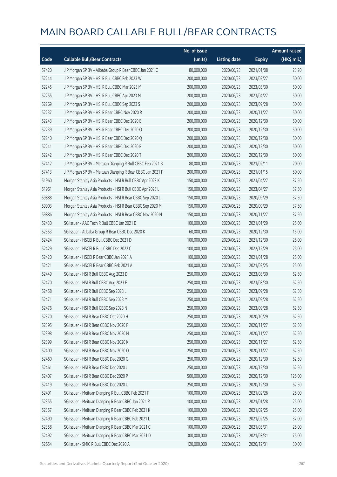|       |                                                            | No. of issue |                     |               | <b>Amount raised</b> |
|-------|------------------------------------------------------------|--------------|---------------------|---------------|----------------------|
| Code  | <b>Callable Bull/Bear Contracts</b>                        | (units)      | <b>Listing date</b> | <b>Expiry</b> | (HK\$ mil.)          |
| 57420 | J P Morgan SP BV - Alibaba Group R Bear CBBC Jan 2021 C    | 80,000,000   | 2020/06/23          | 2021/01/08    | 23.20                |
| 52244 | J P Morgan SP BV - HSI R Bull CBBC Feb 2023 W              | 200,000,000  | 2020/06/23          | 2023/02/27    | 50.00                |
| 52245 | J P Morgan SP BV - HSI R Bull CBBC Mar 2023 M              | 200,000,000  | 2020/06/23          | 2023/03/30    | 50.00                |
| 52255 | J P Morgan SP BV - HSI R Bull CBBC Apr 2023 M              | 200,000,000  | 2020/06/23          | 2023/04/27    | 50.00                |
| 52269 | J P Morgan SP BV - HSI R Bull CBBC Sep 2023 S              | 200,000,000  | 2020/06/23          | 2023/09/28    | 50.00                |
| 52237 | J P Morgan SP BV - HSI R Bear CBBC Nov 2020 R              | 200,000,000  | 2020/06/23          | 2020/11/27    | 50.00                |
| 52243 | J P Morgan SP BV - HSI R Bear CBBC Dec 2020 E              | 200,000,000  | 2020/06/23          | 2020/12/30    | 50.00                |
| 52239 | J P Morgan SP BV - HSI R Bear CBBC Dec 2020 O              | 200,000,000  | 2020/06/23          | 2020/12/30    | 50.00                |
| 52240 | J P Morgan SP BV - HSI R Bear CBBC Dec 2020 Q              | 200,000,000  | 2020/06/23          | 2020/12/30    | 50.00                |
| 52241 | J P Morgan SP BV - HSI R Bear CBBC Dec 2020 R              | 200,000,000  | 2020/06/23          | 2020/12/30    | 50.00                |
| 52242 | J P Morgan SP BV - HSI R Bear CBBC Dec 2020 T              | 200,000,000  | 2020/06/23          | 2020/12/30    | 50.00                |
| 57412 | J P Morgan SP BV - Meituan Dianping R Bull CBBC Feb 2021 B | 80,000,000   | 2020/06/23          | 2021/02/11    | 20.00                |
| 57413 | J P Morgan SP BV - Meituan Dianping R Bear CBBC Jan 2021 F | 200,000,000  | 2020/06/23          | 2021/01/15    | 50.00                |
| 51960 | Morgan Stanley Asia Products - HSI R Bull CBBC Apr 2023 K  | 150,000,000  | 2020/06/23          | 2023/04/27    | 37.50                |
| 51961 | Morgan Stanley Asia Products - HSI R Bull CBBC Apr 2023 L  | 150,000,000  | 2020/06/23          | 2023/04/27    | 37.50                |
| 59888 | Morgan Stanley Asia Products - HSI R Bear CBBC Sep 2020 L  | 150,000,000  | 2020/06/23          | 2020/09/29    | 37.50                |
| 59903 | Morgan Stanley Asia Products - HSI R Bear CBBC Sep 2020 M  | 150,000,000  | 2020/06/23          | 2020/09/29    | 37.50                |
| 59886 | Morgan Stanley Asia Products - HSI R Bear CBBC Nov 2020 N  | 150,000,000  | 2020/06/23          | 2020/11/27    | 37.50                |
| 52430 | SG Issuer - AAC Tech R Bull CBBC Jan 2021 D                | 100,000,000  | 2020/06/23          | 2021/01/29    | 25.00                |
| 52353 | SG Issuer - Alibaba Group R Bear CBBC Dec 2020 K           | 60,000,000   | 2020/06/23          | 2020/12/30    | 15.00                |
| 52424 | SG Issuer - HSCEI R Bull CBBC Dec 2021 D                   | 100,000,000  | 2020/06/23          | 2021/12/30    | 25.00                |
| 52429 | SG Issuer - HSCEI R Bull CBBC Dec 2022 C                   | 100,000,000  | 2020/06/23          | 2022/12/29    | 25.00                |
| 52420 | SG Issuer - HSCEI R Bear CBBC Jan 2021 A                   | 100,000,000  | 2020/06/23          | 2021/01/28    | 25.00                |
| 52421 | SG Issuer - HSCEI R Bear CBBC Feb 2021 A                   | 100,000,000  | 2020/06/23          | 2021/02/25    | 25.00                |
| 52449 | SG Issuer - HSI R Bull CBBC Aug 2023 D                     | 250,000,000  | 2020/06/23          | 2023/08/30    | 62.50                |
| 52470 | SG Issuer - HSI R Bull CBBC Aug 2023 E                     | 250,000,000  | 2020/06/23          | 2023/08/30    | 62.50                |
| 52458 | SG Issuer - HSI R Bull CBBC Sep 2023 L                     | 250,000,000  | 2020/06/23          | 2023/09/28    | 62.50                |
| 52471 | SG Issuer - HSI R Bull CBBC Sep 2023 M                     | 250,000,000  | 2020/06/23          | 2023/09/28    | 62.50                |
| 52476 | SG Issuer - HSI R Bull CBBC Sep 2023 N                     | 250,000,000  | 2020/06/23          | 2023/09/28    | 62.50                |
| 52370 | SG Issuer - HSI R Bear CBBC Oct 2020 H                     | 250,000,000  | 2020/06/23          | 2020/10/29    | 62.50                |
| 52395 | SG Issuer - HSI R Bear CBBC Nov 2020 F                     | 250,000,000  | 2020/06/23          | 2020/11/27    | 62.50                |
| 52398 | SG Issuer - HSI R Bear CBBC Nov 2020 H                     | 250,000,000  | 2020/06/23          | 2020/11/27    | 62.50                |
| 52399 | SG Issuer - HSI R Bear CBBC Nov 2020 K                     | 250,000,000  | 2020/06/23          | 2020/11/27    | 62.50                |
| 52400 | SG Issuer - HSI R Bear CBBC Nov 2020 O                     | 250,000,000  | 2020/06/23          | 2020/11/27    | 62.50                |
| 52460 | SG Issuer - HSI R Bear CBBC Dec 2020 G                     | 250,000,000  | 2020/06/23          | 2020/12/30    | 62.50                |
| 52461 | SG Issuer - HSI R Bear CBBC Dec 2020 J                     | 250,000,000  | 2020/06/23          | 2020/12/30    | 62.50                |
| 52407 | SG Issuer - HSI R Bear CBBC Dec 2020 P                     | 500,000,000  | 2020/06/23          | 2020/12/30    | 125.00               |
| 52419 | SG Issuer - HSI R Bear CBBC Dec 2020 U                     | 250,000,000  | 2020/06/23          | 2020/12/30    | 62.50                |
| 52491 | SG Issuer - Meituan Dianping R Bull CBBC Feb 2021 F        | 100,000,000  | 2020/06/23          | 2021/02/26    | 25.00                |
| 52355 | SG Issuer - Meituan Dianping R Bear CBBC Jan 2021 R        | 100,000,000  | 2020/06/23          | 2021/01/28    | 25.00                |
| 52357 | SG Issuer - Meituan Dianping R Bear CBBC Feb 2021 K        | 100,000,000  | 2020/06/23          | 2021/02/25    | 25.00                |
| 52490 | SG Issuer - Meituan Dianping R Bear CBBC Feb 2021 L        | 100,000,000  | 2020/06/23          | 2021/02/25    | 37.00                |
| 52358 | SG Issuer - Meituan Dianping R Bear CBBC Mar 2021 C        | 100,000,000  | 2020/06/23          | 2021/03/31    | 25.00                |
| 52492 | SG Issuer - Meituan Dianping R Bear CBBC Mar 2021 D        | 300,000,000  | 2020/06/23          | 2021/03/31    | 75.00                |
| 52654 | SG Issuer - SMIC R Bull CBBC Dec 2020 A                    | 120,000,000  | 2020/06/23          | 2020/12/31    | 30.00                |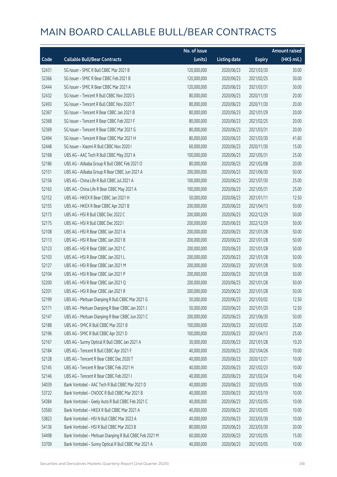|       |                                                         | No. of issue |                     |               | <b>Amount raised</b> |
|-------|---------------------------------------------------------|--------------|---------------------|---------------|----------------------|
| Code  | <b>Callable Bull/Bear Contracts</b>                     | (units)      | <b>Listing date</b> | <b>Expiry</b> | (HK\$ mil.)          |
| 52431 | SG Issuer - SMIC R Bull CBBC Mar 2021 B                 | 120,000,000  | 2020/06/23          | 2021/03/30    | 30.00                |
| 52366 | SG Issuer - SMIC R Bear CBBC Feb 2021 B                 | 120,000,000  | 2020/06/23          | 2021/02/25    | 30.00                |
| 53444 | SG Issuer - SMIC R Bear CBBC Mar 2021 A                 | 120,000,000  | 2020/06/23          | 2021/03/31    | 30.00                |
| 52432 | SG Issuer - Tencent R Bull CBBC Nov 2020 S              | 80,000,000   | 2020/06/23          | 2020/11/30    | 20.00                |
| 52493 | SG Issuer - Tencent R Bull CBBC Nov 2020 T              | 80,000,000   | 2020/06/23          | 2020/11/30    | 20.00                |
| 52367 | SG Issuer - Tencent R Bear CBBC Jan 2021 B              | 80,000,000   | 2020/06/23          | 2021/01/29    | 20.00                |
| 52368 | SG Issuer - Tencent R Bear CBBC Feb 2021 F              | 80,000,000   | 2020/06/23          | 2021/02/25    | 20.00                |
| 52369 | SG Issuer - Tencent R Bear CBBC Mar 2021 G              | 80,000,000   | 2020/06/23          | 2021/03/31    | 20.00                |
| 52494 | SG Issuer - Tencent R Bear CBBC Mar 2021 H              | 80,000,000   | 2020/06/23          | 2021/03/30    | 41.60                |
| 52448 | SG Issuer - Xiaomi R Bull CBBC Nov 2020 I               | 60,000,000   | 2020/06/23          | 2020/11/30    | 15.00                |
| 52168 | UBS AG - AAC Tech R Bull CBBC May 2021 A                | 100,000,000  | 2020/06/23          | 2021/05/31    | 25.00                |
| 52186 | UBS AG - Alibaba Group R Bull CBBC Feb 2021 O           | 80,000,000   | 2020/06/23          | 2021/02/08    | 20.00                |
| 52151 | UBS AG - Alibaba Group R Bear CBBC Jun 2021 A           | 200,000,000  | 2020/06/23          | 2021/06/30    | 50.00                |
| 52156 | UBS AG - China Life R Bull CBBC Jul 2021 A              | 100,000,000  | 2020/06/23          | 2021/07/30    | 25.00                |
| 52163 | UBS AG - China Life R Bear CBBC May 2021 A              | 100,000,000  | 2020/06/23          | 2021/05/31    | 25.00                |
| 52152 | UBS AG - HKEX R Bear CBBC Jan 2021 H                    | 50,000,000   | 2020/06/23          | 2021/01/11    | 12.50                |
| 52155 | UBS AG - HKEX R Bear CBBC Apr 2021 B                    | 200,000,000  | 2020/06/23          | 2021/04/13    | 50.00                |
| 52173 | UBS AG - HSI R Bull CBBC Dec 2022 C                     | 200,000,000  | 2020/06/23          | 2022/12/29    | 50.00                |
| 52175 | UBS AG - HSI R Bull CBBC Dec 2022 I                     | 200,000,000  | 2020/06/23          | 2022/12/29    | 50.00                |
| 52108 | UBS AG - HSI R Bear CBBC Jan 2021 A                     | 200,000,000  | 2020/06/23          | 2021/01/28    | 50.00                |
| 52113 | UBS AG - HSI R Bear CBBC Jan 2021 B                     | 200,000,000  | 2020/06/23          | 2021/01/28    | 50.00                |
| 52123 | UBS AG - HSI R Bear CBBC Jan 2021 C                     | 200,000,000  | 2020/06/23          | 2021/01/28    | 50.00                |
| 52103 | UBS AG - HSI R Bear CBBC Jan 2021 L                     | 200,000,000  | 2020/06/23          | 2021/01/28    | 50.00                |
| 52127 | UBS AG - HSI R Bear CBBC Jan 2021 M                     | 200,000,000  | 2020/06/23          | 2021/01/28    | 50.00                |
| 52104 | UBS AG - HSI R Bear CBBC Jan 2021 P                     | 200,000,000  | 2020/06/23          | 2021/01/28    | 50.00                |
| 52200 | UBS AG - HSI R Bear CBBC Jan 2021 Q                     | 200,000,000  | 2020/06/23          | 2021/01/28    | 50.00                |
| 52201 | UBS AG - HSI R Bear CBBC Jan 2021 R                     | 200,000,000  | 2020/06/23          | 2021/01/28    | 50.00                |
| 52199 | UBS AG - Meituan Dianping R Bull CBBC Mar 2021 G        | 50,000,000   | 2020/06/23          | 2021/03/02    | 12.50                |
| 52171 | UBS AG - Meituan Dianping R Bear CBBC Jan 2021 J        | 50,000,000   | 2020/06/23          | 2021/01/20    | 12.50                |
| 52147 | UBS AG - Meituan Dianping R Bear CBBC Jun 2021 C        | 200,000,000  | 2020/06/23          | 2021/06/30    | 50.00                |
| 52188 | UBS AG - SMIC R Bull CBBC Mar 2021 B                    | 100,000,000  | 2020/06/23          | 2021/03/02    | 25.00                |
| 52196 | UBS AG - SMIC R Bull CBBC Apr 2021 D                    | 100,000,000  | 2020/06/23          | 2021/04/13    | 25.00                |
| 52167 | UBS AG - Sunny Optical R Bull CBBC Jan 2021 A           | 30,000,000   | 2020/06/23          | 2021/01/28    | 10.20                |
| 52184 | UBS AG - Tencent R Bull CBBC Apr 2021 F                 | 40,000,000   | 2020/06/23          | 2021/04/26    | 10.00                |
| 52128 | UBS AG - Tencent R Bear CBBC Dec 2020 T                 | 40,000,000   | 2020/06/23          | 2020/12/21    | 10.00                |
| 52145 | UBS AG - Tencent R Bear CBBC Feb 2021 H                 | 40,000,000   | 2020/06/23          | 2021/02/23    | 10.00                |
| 52146 | UBS AG - Tencent R Bear CBBC Feb 2021 I                 | 40,000,000   | 2020/06/23          | 2021/02/24    | 10.40                |
| 54039 | Bank Vontobel - AAC Tech R Bull CBBC Mar 2021 D         | 40,000,000   | 2020/06/23          | 2021/03/05    | 10.00                |
| 53722 | Bank Vontobel - CNOOC R Bull CBBC Mar 2021 B            | 40,000,000   | 2020/06/23          | 2021/03/19    | 10.00                |
| 54384 | Bank Vontobel - Geely Auto R Bull CBBC Feb 2021 C       | 40,000,000   | 2020/06/23          | 2021/02/05    | 10.00                |
| 53560 | Bank Vontobel - HKEX R Bull CBBC Mar 2021 A             | 40,000,000   | 2020/06/23          | 2021/03/05    | 10.00                |
| 53823 | Bank Vontobel - HSI N Bull CBBC Mar 2023 A              | 40,000,000   | 2020/06/23          | 2023/03/30    | 10.00                |
| 54136 | Bank Vontobel - HSI R Bull CBBC Mar 2023 B              | 80,000,000   | 2020/06/23          | 2023/03/30    | 20.00                |
| 54498 | Bank Vontobel - Meituan Dianping R Bull CBBC Feb 2021 M | 60,000,000   | 2020/06/23          | 2021/02/05    | 15.00                |
| 53709 | Bank Vontobel - Sunny Optical R Bull CBBC Mar 2021 A    | 40,000,000   | 2020/06/23          | 2021/03/05    | 10.00                |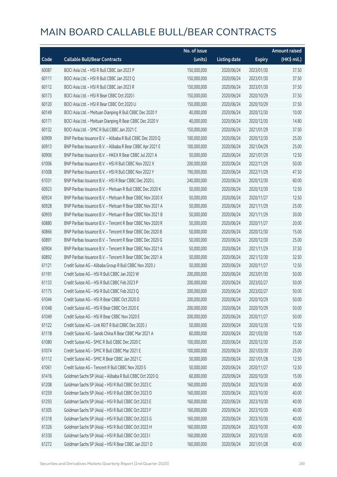|       |                                                            | No. of issue |                     |               | <b>Amount raised</b> |
|-------|------------------------------------------------------------|--------------|---------------------|---------------|----------------------|
| Code  | <b>Callable Bull/Bear Contracts</b>                        | (units)      | <b>Listing date</b> | <b>Expiry</b> | (HK\$ mil.)          |
| 60087 | BOCI Asia Ltd. - HSI R Bull CBBC Jan 2023 P                | 150,000,000  | 2020/06/24          | 2023/01/30    | 37.50                |
| 60111 | BOCI Asia Ltd. - HSI R Bull CBBC Jan 2023 Q                | 150,000,000  | 2020/06/24          | 2023/01/30    | 37.50                |
| 60112 | BOCI Asia Ltd. - HSI R Bull CBBC Jan 2023 R                | 150,000,000  | 2020/06/24          | 2023/01/30    | 37.50                |
| 60173 | BOCI Asia Ltd. - HSI R Bear CBBC Oct 2020 I                | 150,000,000  | 2020/06/24          | 2020/10/29    | 37.50                |
| 60120 | BOCI Asia Ltd. - HSI R Bear CBBC Oct 2020 U                | 150,000,000  | 2020/06/24          | 2020/10/29    | 37.50                |
| 60149 | BOCI Asia Ltd. - Meituan Dianping R Bull CBBC Dec 2020 Y   | 40,000,000   | 2020/06/24          | 2020/12/30    | 10.00                |
| 60171 | BOCI Asia Ltd. - Meituan Dianping R Bear CBBC Dec 2020 V   | 40,000,000   | 2020/06/24          | 2020/12/30    | 14.80                |
| 60132 | BOCI Asia Ltd. - SMIC R Bull CBBC Jan 2021 C               | 150,000,000  | 2020/06/24          | 2021/01/29    | 37.50                |
| 60909 | BNP Paribas Issuance B.V. - Alibaba R Bull CBBC Dec 2020 Q | 100,000,000  | 2020/06/24          | 2020/12/30    | 25.00                |
| 60913 | BNP Paribas Issuance B.V. - Alibaba R Bear CBBC Apr 2021 E | 100,000,000  | 2020/06/24          | 2021/04/29    | 25.00                |
| 60906 | BNP Paribas Issuance B.V. - HKEX R Bear CBBC Jul 2021 A    | 50,000,000   | 2020/06/24          | 2021/07/29    | 12.50                |
| 61006 | BNP Paribas Issuance B.V. - HSI R Bull CBBC Nov 2022 X     | 200,000,000  | 2020/06/24          | 2022/11/29    | 50.00                |
| 61008 | BNP Paribas Issuance B.V. - HSI R Bull CBBC Nov 2022 Y     | 190,000,000  | 2020/06/24          | 2022/11/29    | 47.50                |
| 61031 | BNP Paribas Issuance B.V. - HSI R Bear CBBC Dec 2020 L     | 240,000,000  | 2020/06/24          | 2020/12/30    | 60.00                |
| 60923 | BNP Paribas Issuance B.V. - Meituan R Bull CBBC Dec 2020 K | 50,000,000   | 2020/06/24          | 2020/12/30    | 12.50                |
| 60924 | BNP Paribas Issuance B.V. - Meituan R Bear CBBC Nov 2020 X | 50,000,000   | 2020/06/24          | 2020/11/27    | 12.50                |
| 60928 | BNP Paribas Issuance B.V. - Meituan R Bear CBBC Nov 2021 A | 50,000,000   | 2020/06/24          | 2021/11/29    | 25.00                |
| 60959 | BNP Paribas Issuance B.V. - Meituan R Bear CBBC Nov 2021 B | 50,000,000   | 2020/06/24          | 2021/11/29    | 30.00                |
| 60880 | BNP Paribas Issuance B.V. - Tencent R Bear CBBC Nov 2020 R | 50,000,000   | 2020/06/24          | 2020/11/27    | 20.00                |
| 60866 | BNP Paribas Issuance B.V. - Tencent R Bear CBBC Dec 2020 B | 50,000,000   | 2020/06/24          | 2020/12/30    | 15.00                |
| 60891 | BNP Paribas Issuance B.V. - Tencent R Bear CBBC Dec 2020 G | 50,000,000   | 2020/06/24          | 2020/12/30    | 25.00                |
| 60904 | BNP Paribas Issuance B.V. - Tencent R Bear CBBC Nov 2021 A | 50,000,000   | 2020/06/24          | 2021/11/29    | 37.50                |
| 60892 | BNP Paribas Issuance B.V. - Tencent R Bear CBBC Dec 2021 A | 50,000,000   | 2020/06/24          | 2021/12/30    | 32.50                |
| 61121 | Credit Suisse AG - Alibaba Group R Bull CBBC Nov 2020 J    | 50,000,000   | 2020/06/24          | 2020/11/27    | 12.50                |
| 61191 | Credit Suisse AG - HSI R Bull CBBC Jan 2023 W              | 200,000,000  | 2020/06/24          | 2023/01/30    | 50.00                |
| 61133 | Credit Suisse AG - HSI R Bull CBBC Feb 2023 P              | 200,000,000  | 2020/06/24          | 2023/02/27    | 50.00                |
| 61175 | Credit Suisse AG - HSI R Bull CBBC Feb 2023 Q              | 200,000,000  | 2020/06/24          | 2023/02/27    | 50.00                |
| 61044 | Credit Suisse AG - HSI R Bear CBBC Oct 2020 D              | 200,000,000  | 2020/06/24          | 2020/10/29    | 50.00                |
| 61048 | Credit Suisse AG - HSI R Bear CBBC Oct 2020 E              | 200,000,000  | 2020/06/24          | 2020/10/29    | 50.00                |
| 61049 | Credit Suisse AG - HSI R Bear CBBC Nov 2020 E              | 200,000,000  | 2020/06/24          | 2020/11/27    | 50.00                |
| 61122 | Credit Suisse AG - Link REIT R Bull CBBC Dec 2020 J        | 50,000,000   | 2020/06/24          | 2020/12/30    | 12.50                |
| 61118 | Credit Suisse AG - Sands China R Bear CBBC Mar 2021 A      | 60,000,000   | 2020/06/24          | 2021/03/30    | 15.00                |
| 61080 | Credit Suisse AG - SMIC R Bull CBBC Dec 2020 C             | 100,000,000  | 2020/06/24          | 2020/12/30    | 25.00                |
| 61074 | Credit Suisse AG - SMIC R Bull CBBC Mar 2021 E             | 100,000,000  | 2020/06/24          | 2021/03/30    | 25.00                |
| 61112 | Credit Suisse AG - SMIC R Bear CBBC Jan 2021 C             | 50,000,000   | 2020/06/24          | 2021/01/28    | 12.50                |
| 61061 | Credit Suisse AG - Tencent R Bull CBBC Nov 2020 S          | 50,000,000   | 2020/06/24          | 2020/11/27    | 12.50                |
| 61416 | Goldman Sachs SP (Asia) - Alibaba R Bull CBBC Oct 2020 Q   | 60,000,000   | 2020/06/24          | 2020/10/30    | 15.00                |
| 61208 | Goldman Sachs SP (Asia) - HSI R Bull CBBC Oct 2023 C       | 160,000,000  | 2020/06/24          | 2023/10/30    | 40.00                |
| 61259 | Goldman Sachs SP (Asia) - HSI R Bull CBBC Oct 2023 D       | 160,000,000  | 2020/06/24          | 2023/10/30    | 40.00                |
| 61293 | Goldman Sachs SP (Asia) - HSI R Bull CBBC Oct 2023 E       | 160,000,000  | 2020/06/24          | 2023/10/30    | 40.00                |
| 61305 | Goldman Sachs SP (Asia) - HSI R Bull CBBC Oct 2023 F       | 160,000,000  | 2020/06/24          | 2023/10/30    | 40.00                |
| 61318 | Goldman Sachs SP (Asia) - HSI R Bull CBBC Oct 2023 G       | 160,000,000  | 2020/06/24          | 2023/10/30    | 40.00                |
| 61326 | Goldman Sachs SP (Asia) - HSI R Bull CBBC Oct 2023 H       | 160,000,000  | 2020/06/24          | 2023/10/30    | 40.00                |
| 61330 | Goldman Sachs SP (Asia) - HSI R Bull CBBC Oct 2023 I       | 160,000,000  | 2020/06/24          | 2023/10/30    | 40.00                |
| 61272 | Goldman Sachs SP (Asia) - HSI R Bear CBBC Jan 2021 D       | 160,000,000  | 2020/06/24          | 2021/01/28    | 40.00                |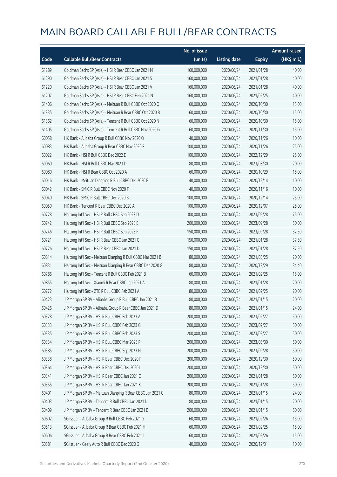|       |                                                             | No. of issue |                     |               | <b>Amount raised</b> |
|-------|-------------------------------------------------------------|--------------|---------------------|---------------|----------------------|
| Code  | <b>Callable Bull/Bear Contracts</b>                         | (units)      | <b>Listing date</b> | <b>Expiry</b> | (HK\$ mil.)          |
| 61289 | Goldman Sachs SP (Asia) - HSI R Bear CBBC Jan 2021 M        | 160,000,000  | 2020/06/24          | 2021/01/28    | 40.00                |
| 61290 | Goldman Sachs SP (Asia) - HSI R Bear CBBC Jan 2021 S        | 160,000,000  | 2020/06/24          | 2021/01/28    | 40.00                |
| 61220 | Goldman Sachs SP (Asia) - HSI R Bear CBBC Jan 2021 V        | 160,000,000  | 2020/06/24          | 2021/01/28    | 40.00                |
| 61207 | Goldman Sachs SP (Asia) - HSI R Bear CBBC Feb 2021 N        | 160,000,000  | 2020/06/24          | 2021/02/25    | 40.00                |
| 61406 | Goldman Sachs SP (Asia) - Meituan R Bull CBBC Oct 2020 O    | 60,000,000   | 2020/06/24          | 2020/10/30    | 15.00                |
| 61335 | Goldman Sachs SP (Asia) - Meituan R Bear CBBC Oct 2020 B    | 60,000,000   | 2020/06/24          | 2020/10/30    | 15.00                |
| 61362 | Goldman Sachs SP (Asia) - Tencent R Bull CBBC Oct 2020 N    | 60,000,000   | 2020/06/24          | 2020/10/30    | 15.00                |
| 61405 | Goldman Sachs SP (Asia) - Tencent R Bull CBBC Nov 2020 G    | 60,000,000   | 2020/06/24          | 2020/11/30    | 15.00                |
| 60058 | HK Bank - Alibaba Group R Bull CBBC Nov 2020 O              | 40,000,000   | 2020/06/24          | 2020/11/26    | 10.00                |
| 60083 | HK Bank - Alibaba Group R Bear CBBC Nov 2020 F              | 100,000,000  | 2020/06/24          | 2020/11/26    | 25.00                |
| 60022 | HK Bank - HSI R Bull CBBC Dec 2022 D                        | 100,000,000  | 2020/06/24          | 2022/12/29    | 25.00                |
| 60060 | HK Bank - HSI R Bull CBBC Mar 2023 D                        | 80,000,000   | 2020/06/24          | 2023/03/30    | 20.00                |
| 60080 | HK Bank - HSI R Bear CBBC Oct 2020 A                        | 60,000,000   | 2020/06/24          | 2020/10/29    | 15.00                |
| 60016 | HK Bank - Meituan Dianping R Bull CBBC Dec 2020 B           | 40,000,000   | 2020/06/24          | 2020/12/14    | 10.00                |
| 60042 | HK Bank - SMIC R Bull CBBC Nov 2020 F                       | 40,000,000   | 2020/06/24          | 2020/11/16    | 10.00                |
| 60040 | HK Bank - SMIC R Bull CBBC Dec 2020 B                       | 100,000,000  | 2020/06/24          | 2020/12/14    | 25.00                |
| 60050 | HK Bank - Tencent R Bear CBBC Dec 2020 A                    | 100,000,000  | 2020/06/24          | 2020/12/07    | 25.00                |
| 60728 | Haitong Int'l Sec - HSI R Bull CBBC Sep 2023 D              | 300,000,000  | 2020/06/24          | 2023/09/28    | 75.00                |
| 60742 | Haitong Int'l Sec - HSI R Bull CBBC Sep 2023 E              | 200,000,000  | 2020/06/24          | 2023/09/28    | 50.00                |
| 60746 | Haitong Int'l Sec - HSI R Bull CBBC Sep 2023 F              | 150,000,000  | 2020/06/24          | 2023/09/28    | 37.50                |
| 60721 | Haitong Int'l Sec - HSI R Bear CBBC Jan 2021 C              | 150,000,000  | 2020/06/24          | 2021/01/28    | 37.50                |
| 60726 | Haitong Int'l Sec - HSI R Bear CBBC Jan 2021 D              | 150,000,000  | 2020/06/24          | 2021/01/28    | 37.50                |
| 60814 | Haitong Int'l Sec - Meituan Dianping R Bull CBBC Mar 2021 B | 80,000,000   | 2020/06/24          | 2021/03/25    | 20.00                |
| 60831 | Haitong Int'l Sec - Meituan Dianping R Bear CBBC Dec 2020 G | 80,000,000   | 2020/06/24          | 2020/12/29    | 34.40                |
| 60786 | Haitong Int'l Sec - Tencent R Bull CBBC Feb 2021 B          | 60,000,000   | 2020/06/24          | 2021/02/25    | 15.00                |
| 60855 | Haitong Int'l Sec - Xiaomi R Bear CBBC Jan 2021 A           | 80,000,000   | 2020/06/24          | 2021/01/28    | 20.00                |
| 60772 | Haitong Int'l Sec - ZTE R Bull CBBC Feb 2021 A              | 80,000,000   | 2020/06/24          | 2021/02/25    | 20.00                |
| 60423 | J P Morgan SP BV - Alibaba Group R Bull CBBC Jan 2021 B     | 80,000,000   | 2020/06/24          | 2021/01/15    | 20.00                |
| 60426 | J P Morgan SP BV - Alibaba Group R Bear CBBC Jan 2021 D     | 80,000,000   | 2020/06/24          | 2021/01/15    | 24.00                |
| 60328 | J P Morgan SP BV - HSI R Bull CBBC Feb 2023 A               | 200,000,000  | 2020/06/24          | 2023/02/27    | 50.00                |
| 60333 | J P Morgan SP BV - HSI R Bull CBBC Feb 2023 G               | 200,000,000  | 2020/06/24          | 2023/02/27    | 50.00                |
| 60335 | J P Morgan SP BV - HSI R Bull CBBC Feb 2023 S               | 200,000,000  | 2020/06/24          | 2023/02/27    | 50.00                |
| 60334 | J P Morgan SP BV - HSI R Bull CBBC Mar 2023 P               | 200,000,000  | 2020/06/24          | 2023/03/30    | 50.00                |
| 60385 | J P Morgan SP BV - HSI R Bull CBBC Sep 2023 N               | 200,000,000  | 2020/06/24          | 2023/09/28    | 50.00                |
| 60338 | J P Morgan SP BV - HSI R Bear CBBC Dec 2020 F               | 200,000,000  | 2020/06/24          | 2020/12/30    | 50.00                |
| 60364 | J P Morgan SP BV - HSI R Bear CBBC Dec 2020 L               | 200,000,000  | 2020/06/24          | 2020/12/30    | 50.00                |
| 60341 | J P Morgan SP BV - HSI R Bear CBBC Jan 2021 C               | 200,000,000  | 2020/06/24          | 2021/01/28    | 50.00                |
| 60355 | J P Morgan SP BV - HSI R Bear CBBC Jan 2021 K               | 200,000,000  | 2020/06/24          | 2021/01/28    | 50.00                |
| 60401 | J P Morgan SP BV - Meituan Dianping R Bear CBBC Jan 2021 G  | 80,000,000   | 2020/06/24          | 2021/01/15    | 24.00                |
| 60403 | J P Morgan SP BV - Tencent R Bull CBBC Jan 2021 D           | 80,000,000   | 2020/06/24          | 2021/01/15    | 20.00                |
| 60409 | J P Morgan SP BV - Tencent R Bear CBBC Jan 2021 D           | 200,000,000  | 2020/06/24          | 2021/01/15    | 50.00                |
| 60602 | SG Issuer - Alibaba Group R Bull CBBC Feb 2021 G            | 60,000,000   | 2020/06/24          | 2021/02/26    | 15.00                |
| 60513 | SG Issuer - Alibaba Group R Bear CBBC Feb 2021 H            | 60,000,000   | 2020/06/24          | 2021/02/25    | 15.00                |
| 60606 | SG Issuer - Alibaba Group R Bear CBBC Feb 2021 I            | 60,000,000   | 2020/06/24          | 2021/02/26    | 15.00                |
| 60581 | SG Issuer - Geely Auto R Bull CBBC Dec 2020 G               | 40,000,000   | 2020/06/24          | 2020/12/31    | 10.00                |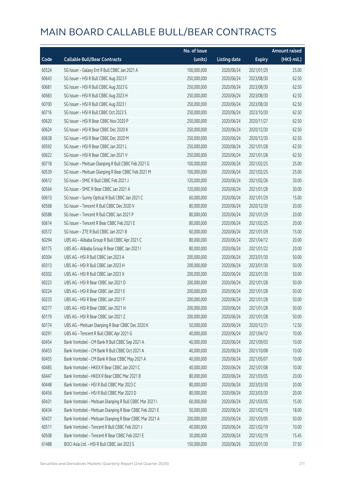|       |                                                         | No. of issue |                     |               | <b>Amount raised</b> |
|-------|---------------------------------------------------------|--------------|---------------------|---------------|----------------------|
| Code  | <b>Callable Bull/Bear Contracts</b>                     | (units)      | <b>Listing date</b> | <b>Expiry</b> | (HK\$ mil.)          |
| 60524 | SG Issuer - Galaxy Ent R Bull CBBC Jan 2021 A           | 100,000,000  | 2020/06/24          | 2021/01/29    | 25.00                |
| 60643 | SG Issuer - HSI R Bull CBBC Aug 2023 F                  | 250,000,000  | 2020/06/24          | 2023/08/30    | 62.50                |
| 60681 | SG Issuer - HSI R Bull CBBC Aug 2023 G                  | 250,000,000  | 2020/06/24          | 2023/08/30    | 62.50                |
| 60683 | SG Issuer - HSI R Bull CBBC Aug 2023 H                  | 250,000,000  | 2020/06/24          | 2023/08/30    | 62.50                |
| 60700 | SG Issuer - HSI R Bull CBBC Aug 2023 I                  | 250,000,000  | 2020/06/24          | 2023/08/30    | 62.50                |
| 60716 | SG Issuer - HSI R Bull CBBC Oct 2023 S                  | 250,000,000  | 2020/06/24          | 2023/10/30    | 62.50                |
| 60620 | SG Issuer - HSI R Bear CBBC Nov 2020 P                  | 250,000,000  | 2020/06/24          | 2020/11/27    | 62.50                |
| 60624 | SG Issuer - HSI R Bear CBBC Dec 2020 K                  | 250,000,000  | 2020/06/24          | 2020/12/30    | 62.50                |
| 60638 | SG Issuer - HSI R Bear CBBC Dec 2020 M                  | 250,000,000  | 2020/06/24          | 2020/12/30    | 62.50                |
| 60592 | SG Issuer - HSI R Bear CBBC Jan 2021 L                  | 250,000,000  | 2020/06/24          | 2021/01/28    | 62.50                |
| 60622 | SG Issuer - HSI R Bear CBBC Jan 2021 V                  | 250,000,000  | 2020/06/24          | 2021/01/28    | 62.50                |
| 60718 | SG Issuer - Meituan Dianping R Bull CBBC Feb 2021 G     | 100,000,000  | 2020/06/24          | 2021/02/25    | 25.00                |
| 60539 | SG Issuer - Meituan Dianping R Bear CBBC Feb 2021 M     | 100,000,000  | 2020/06/24          | 2021/02/25    | 25.00                |
| 60612 | SG Issuer - SMIC R Bull CBBC Feb 2021 J                 | 120,000,000  | 2020/06/24          | 2021/02/26    | 30.00                |
| 60564 | SG Issuer - SMIC R Bear CBBC Jan 2021 A                 | 120,000,000  | 2020/06/24          | 2021/01/28    | 30.00                |
| 60613 | SG Issuer - Sunny Optical R Bull CBBC Jan 2021 C        | 60,000,000   | 2020/06/24          | 2021/01/29    | 15.00                |
| 60568 | SG Issuer - Tencent R Bull CBBC Dec 2020 V              | 80,000,000   | 2020/06/24          | 2020/12/30    | 20.00                |
| 60588 | SG Issuer - Tencent R Bull CBBC Jan 2021 P              | 80,000,000   | 2020/06/24          | 2021/01/29    | 20.00                |
| 60614 | SG Issuer - Tencent R Bear CBBC Feb 2021 E              | 80,000,000   | 2020/06/24          | 2021/02/25    | 20.00                |
| 60572 | SG Issuer - ZTE R Bull CBBC Jan 2021 B                  | 60,000,000   | 2020/06/24          | 2021/01/29    | 15.00                |
| 60294 | UBS AG - Alibaba Group R Bull CBBC Apr 2021 C           | 80,000,000   | 2020/06/24          | 2021/04/12    | 20.00                |
| 60175 | UBS AG - Alibaba Group R Bear CBBC Jan 2021 I           | 80,000,000   | 2020/06/24          | 2021/01/22    | 20.00                |
| 60304 | UBS AG - HSI R Bull CBBC Jan 2023 A                     | 200,000,000  | 2020/06/24          | 2023/01/30    | 50.00                |
| 60313 | UBS AG - HSI R Bull CBBC Jan 2023 H                     | 200,000,000  | 2020/06/24          | 2023/01/30    | 50.00                |
| 60302 | UBS AG - HSI R Bull CBBC Jan 2023 X                     | 200,000,000  | 2020/06/24          | 2023/01/30    | 50.00                |
| 60223 | UBS AG - HSI R Bear CBBC Jan 2021 D                     | 200,000,000  | 2020/06/24          | 2021/01/28    | 50.00                |
| 60224 | UBS AG - HSI R Bear CBBC Jan 2021 E                     | 200,000,000  | 2020/06/24          | 2021/01/28    | 50.00                |
| 60233 | UBS AG - HSI R Bear CBBC Jan 2021 F                     | 200,000,000  | 2020/06/24          | 2021/01/28    | 50.00                |
| 60277 | UBS AG - HSI R Bear CBBC Jan 2021 H                     | 200,000,000  | 2020/06/24          | 2021/01/28    | 50.00                |
| 60179 | UBS AG - HSI R Bear CBBC Jan 2021 Z                     | 200,000,000  | 2020/06/24          | 2021/01/28    | 50.00                |
| 60174 | UBS AG - Meituan Dianping R Bear CBBC Dec 2020 K        | 50,000,000   | 2020/06/24          | 2020/12/31    | 12.50                |
| 60291 | UBS AG - Tencent R Bull CBBC Apr 2021 G                 | 40,000,000   | 2020/06/24          | 2021/04/12    | 10.00                |
| 60454 | Bank Vontobel - CM Bank R Bull CBBC Sep 2021 A          | 40,000,000   | 2020/06/24          | 2021/09/03    | 10.00                |
| 60453 | Bank Vontobel - CM Bank R Bull CBBC Oct 2021 A          | 40,000,000   | 2020/06/24          | 2021/10/08    | 10.00                |
| 60455 | Bank Vontobel - CM Bank R Bear CBBC May 2021 A          | 40,000,000   | 2020/06/24          | 2021/05/07    | 10.00                |
| 60485 | Bank Vontobel - HKEX R Bear CBBC Jan 2021 C             | 40,000,000   | 2020/06/24          | 2021/01/08    | 10.00                |
| 60447 | Bank Vontobel - HKEX R Bear CBBC Mar 2021 B             | 80,000,000   | 2020/06/24          | 2021/03/05    | 20.00                |
| 60448 | Bank Vontobel - HSI R Bull CBBC Mar 2023 C              | 80,000,000   | 2020/06/24          | 2023/03/30    | 20.00                |
| 60456 | Bank Vontobel - HSI R Bull CBBC Mar 2023 D              | 80,000,000   | 2020/06/24          | 2023/03/30    | 20.00                |
| 60431 | Bank Vontobel - Meituan Dianping R Bull CBBC Mar 2021 I | 60,000,000   | 2020/06/24          | 2021/03/05    | 15.00                |
| 60434 | Bank Vontobel - Meituan Dianping R Bear CBBC Feb 2021 E | 50,000,000   | 2020/06/24          | 2021/02/19    | 18.00                |
| 60437 | Bank Vontobel - Meituan Dianping R Bear CBBC Mar 2021 A | 200,000,000  | 2020/06/24          | 2021/03/05    | 50.00                |
| 60511 | Bank Vontobel - Tencent R Bull CBBC Feb 2021 J          | 40,000,000   | 2020/06/24          | 2021/02/19    | 10.00                |
| 60508 | Bank Vontobel - Tencent R Bear CBBC Feb 2021 E          | 30,000,000   | 2020/06/24          | 2021/02/19    | 15.45                |
| 61488 | BOCI Asia Ltd. - HSI R Bull CBBC Jan 2023 S             | 150,000,000  | 2020/06/26          | 2023/01/30    | 37.50                |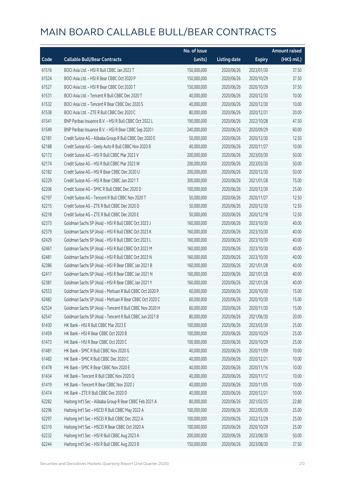|       |                                                          | No. of issue |                     |               | <b>Amount raised</b> |
|-------|----------------------------------------------------------|--------------|---------------------|---------------|----------------------|
| Code  | <b>Callable Bull/Bear Contracts</b>                      | (units)      | <b>Listing date</b> | <b>Expiry</b> | (HK\$ mil.)          |
| 61516 | BOCI Asia Ltd. - HSI R Bull CBBC Jan 2023 T              | 150,000,000  | 2020/06/26          | 2023/01/30    | 37.50                |
| 61524 | BOCI Asia Ltd. - HSI R Bear CBBC Oct 2020 P              | 150,000,000  | 2020/06/26          | 2020/10/29    | 37.50                |
| 61527 | BOCI Asia Ltd. - HSI R Bear CBBC Oct 2020 T              | 150,000,000  | 2020/06/26          | 2020/10/29    | 37.50                |
| 61531 | BOCI Asia Ltd. - Tencent R Bull CBBC Dec 2020 T          | 40,000,000   | 2020/06/26          | 2020/12/30    | 10.00                |
| 61532 | BOCI Asia Ltd. - Tencent R Bear CBBC Dec 2020 S          | 40,000,000   | 2020/06/26          | 2020/12/30    | 10.00                |
| 61538 | BOCI Asia Ltd. - ZTE R Bull CBBC Dec 2020 C              | 80,000,000   | 2020/06/26          | 2020/12/31    | 20.00                |
| 61541 | BNP Paribas Issuance B.V. - HSI R Bull CBBC Oct 2022 L   | 190,000,000  | 2020/06/26          | 2022/10/28    | 47.50                |
| 61549 | BNP Paribas Issuance B.V. - HSI R Bear CBBC Sep 2020 I   | 240,000,000  | 2020/06/26          | 2020/09/29    | 60.00                |
| 62181 | Credit Suisse AG - Alibaba Group R Bull CBBC Dec 2020 E  | 50,000,000   | 2020/06/26          | 2020/12/30    | 12.50                |
| 62188 | Credit Suisse AG - Geely Auto R Bull CBBC Nov 2020 B     | 40,000,000   | 2020/06/26          | 2020/11/27    | 10.00                |
| 62173 | Credit Suisse AG - HSI R Bull CBBC Mar 2023 V            | 200,000,000  | 2020/06/26          | 2023/03/30    | 50.00                |
| 62174 | Credit Suisse AG - HSI R Bull CBBC Mar 2023 W            | 200,000,000  | 2020/06/26          | 2023/03/30    | 50.00                |
| 62182 | Credit Suisse AG - HSI R Bear CBBC Dec 2020 U            | 200,000,000  | 2020/06/26          | 2020/12/30    | 50.00                |
| 62229 | Credit Suisse AG - HSI R Bear CBBC Jan 2021 T            | 300,000,000  | 2020/06/26          | 2021/01/28    | 75.00                |
| 62206 | Credit Suisse AG - SMIC R Bull CBBC Dec 2020 D           | 100,000,000  | 2020/06/26          | 2020/12/30    | 25.00                |
| 62197 | Credit Suisse AG - Tencent R Bull CBBC Nov 2020 T        | 50,000,000   | 2020/06/26          | 2020/11/27    | 12.50                |
| 62215 | Credit Suisse AG - ZTE R Bull CBBC Dec 2020 D            | 50,000,000   | 2020/06/26          | 2020/12/30    | 12.50                |
| 62218 | Credit Suisse AG - ZTE R Bull CBBC Dec 2020 E            | 50,000,000   | 2020/06/26          | 2020/12/18    | 12.50                |
| 62373 | Goldman Sachs SP (Asia) - HSI R Bull CBBC Oct 2023 J     | 160,000,000  | 2020/06/26          | 2023/10/30    | 40.00                |
| 62379 | Goldman Sachs SP (Asia) - HSI R Bull CBBC Oct 2023 K     | 160,000,000  | 2020/06/26          | 2023/10/30    | 40.00                |
| 62429 | Goldman Sachs SP (Asia) - HSI R Bull CBBC Oct 2023 L     | 160,000,000  | 2020/06/26          | 2023/10/30    | 40.00                |
| 62461 | Goldman Sachs SP (Asia) - HSI R Bull CBBC Oct 2023 M     | 160,000,000  | 2020/06/26          | 2023/10/30    | 40.00                |
| 62481 | Goldman Sachs SP (Asia) - HSI R Bull CBBC Oct 2023 N     | 160,000,000  | 2020/06/26          | 2023/10/30    | 40.00                |
| 62386 | Goldman Sachs SP (Asia) - HSI R Bear CBBC Jan 2021 B     | 160,000,000  | 2020/06/26          | 2021/01/28    | 40.00                |
| 62417 | Goldman Sachs SP (Asia) - HSI R Bear CBBC Jan 2021 N     | 160,000,000  | 2020/06/26          | 2021/01/28    | 40.00                |
| 62381 | Goldman Sachs SP (Asia) - HSI R Bear CBBC Jan 2021 Y     | 160,000,000  | 2020/06/26          | 2021/01/28    | 40.00                |
| 62553 | Goldman Sachs SP (Asia) - Meituan R Bull CBBC Oct 2020 P | 60,000,000   | 2020/06/26          | 2020/10/30    | 15.00                |
| 62482 | Goldman Sachs SP (Asia) - Meituan R Bear CBBC Oct 2020 C | 60,000,000   | 2020/06/26          | 2020/10/30    | 15.00                |
| 62524 | Goldman Sachs SP (Asia) - Tencent R Bull CBBC Nov 2020 H | 60,000,000   | 2020/06/26          | 2020/11/30    | 15.00                |
| 62547 | Goldman Sachs SP (Asia) - Tencent R Bull CBBC Jun 2021 B | 80,000,000   | 2020/06/26          | 2021/06/30    | 20.00                |
| 61430 | HK Bank - HSI R Bull CBBC Mar 2023 E                     | 100,000,000  | 2020/06/26          | 2023/03/30    | 25.00                |
| 61459 | HK Bank - HSI R Bear CBBC Oct 2020 B                     | 100,000,000  | 2020/06/26          | 2020/10/29    | 25.00                |
| 61473 | HK Bank - HSI R Bear CBBC Oct 2020 C                     | 100,000,000  | 2020/06/26          | 2020/10/29    | 25.00                |
| 61481 | HK Bank - SMIC R Bull CBBC Nov 2020 G                    | 40,000,000   | 2020/06/26          | 2020/11/09    | 10.00                |
| 61482 | HK Bank - SMIC R Bull CBBC Dec 2020 C                    | 40,000,000   | 2020/06/26          | 2020/12/21    | 10.00                |
| 61478 | HK Bank - SMIC R Bear CBBC Nov 2020 E                    | 40,000,000   | 2020/06/26          | 2020/11/16    | 10.00                |
| 61434 | HK Bank - Tencent R Bull CBBC Nov 2020 Q                 | 40,000,000   | 2020/06/26          | 2020/11/12    | 10.00                |
| 61419 | HK Bank - Tencent R Bear CBBC Nov 2020 J                 | 40,000,000   | 2020/06/26          | 2020/11/05    | 10.00                |
| 61474 | HK Bank - ZTE R Bull CBBC Dec 2020 D                     | 40,000,000   | 2020/06/26          | 2020/12/21    | 10.00                |
| 62282 | Haitong Int'l Sec - Alibaba Group R Bear CBBC Feb 2021 A | 80,000,000   | 2020/06/26          | 2021/02/25    | 22.80                |
| 62296 | Haitong Int'l Sec - HSCEI R Bull CBBC May 2022 A         | 100,000,000  | 2020/06/26          | 2022/05/30    | 25.00                |
| 62297 | Haitong Int'l Sec - HSCEI R Bull CBBC Dec 2022 A         | 100,000,000  | 2020/06/26          | 2022/12/29    | 25.00                |
| 62310 | Haitong Int'l Sec - HSCEI R Bear CBBC Oct 2020 A         | 100,000,000  | 2020/06/26          | 2020/10/29    | 25.00                |
| 62232 | Haitong Int'l Sec - HSI R Bull CBBC Aug 2023 A           | 200,000,000  | 2020/06/26          | 2023/08/30    | 50.00                |
| 62244 | Haitong Int'l Sec - HSI R Bull CBBC Aug 2023 B           | 150,000,000  | 2020/06/26          | 2023/08/30    | 37.50                |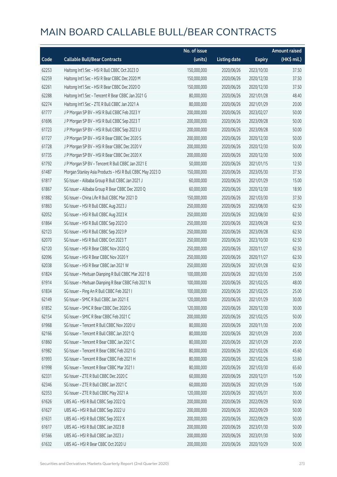|       |                                                           | No. of issue |                     |               | <b>Amount raised</b> |
|-------|-----------------------------------------------------------|--------------|---------------------|---------------|----------------------|
| Code  | <b>Callable Bull/Bear Contracts</b>                       | (units)      | <b>Listing date</b> | <b>Expiry</b> | (HK\$ mil.)          |
| 62253 | Haitong Int'l Sec - HSI R Bull CBBC Oct 2023 D            | 150,000,000  | 2020/06/26          | 2023/10/30    | 37.50                |
| 62259 | Haitong Int'l Sec - HSI R Bear CBBC Dec 2020 M            | 150,000,000  | 2020/06/26          | 2020/12/30    | 37.50                |
| 62261 | Haitong Int'l Sec - HSI R Bear CBBC Dec 2020 O            | 150,000,000  | 2020/06/26          | 2020/12/30    | 37.50                |
| 62288 | Haitong Int'l Sec - Tencent R Bear CBBC Jan 2021 G        | 80,000,000   | 2020/06/26          | 2021/01/28    | 48.40                |
| 62274 | Haitong Int'l Sec - ZTE R Bull CBBC Jan 2021 A            | 80,000,000   | 2020/06/26          | 2021/01/29    | 20.00                |
| 61777 | J P Morgan SP BV - HSI R Bull CBBC Feb 2023 Y             | 200,000,000  | 2020/06/26          | 2023/02/27    | 50.00                |
| 61696 | J P Morgan SP BV - HSI R Bull CBBC Sep 2023 T             | 200,000,000  | 2020/06/26          | 2023/09/28    | 50.00                |
| 61723 | J P Morgan SP BV - HSI R Bull CBBC Sep 2023 U             | 200,000,000  | 2020/06/26          | 2023/09/28    | 50.00                |
| 61727 | J P Morgan SP BV - HSI R Bear CBBC Dec 2020 S             | 200,000,000  | 2020/06/26          | 2020/12/30    | 50.00                |
| 61728 | J P Morgan SP BV - HSI R Bear CBBC Dec 2020 V             | 200,000,000  | 2020/06/26          | 2020/12/30    | 50.00                |
| 61735 | J P Morgan SP BV - HSI R Bear CBBC Dec 2020 X             | 200,000,000  | 2020/06/26          | 2020/12/30    | 50.00                |
| 61792 | J P Morgan SP BV - Tencent R Bull CBBC Jan 2021 E         | 50,000,000   | 2020/06/26          | 2021/01/15    | 12.50                |
| 61487 | Morgan Stanley Asia Products - HSI R Bull CBBC May 2023 D | 150,000,000  | 2020/06/26          | 2023/05/30    | 37.50                |
| 61817 | SG Issuer - Alibaba Group R Bull CBBC Jan 2021 J          | 60,000,000   | 2020/06/26          | 2021/01/29    | 15.00                |
| 61867 | SG Issuer - Alibaba Group R Bear CBBC Dec 2020 Q          | 60,000,000   | 2020/06/26          | 2020/12/30    | 18.90                |
| 61882 | SG Issuer - China Life R Bull CBBC Mar 2021 D             | 150,000,000  | 2020/06/26          | 2021/03/30    | 37.50                |
| 61863 | SG Issuer - HSI R Bull CBBC Aug 2023 J                    | 250,000,000  | 2020/06/26          | 2023/08/30    | 62.50                |
| 62052 | SG Issuer - HSI R Bull CBBC Aug 2023 K                    | 250,000,000  | 2020/06/26          | 2023/08/30    | 62.50                |
| 61864 | SG Issuer - HSI R Bull CBBC Sep 2023 O                    | 250,000,000  | 2020/06/26          | 2023/09/28    | 62.50                |
| 62123 | SG Issuer - HSI R Bull CBBC Sep 2023 P                    | 250,000,000  | 2020/06/26          | 2023/09/28    | 62.50                |
| 62070 | SG Issuer - HSI R Bull CBBC Oct 2023 T                    | 250,000,000  | 2020/06/26          | 2023/10/30    | 62.50                |
| 62120 | SG Issuer - HSI R Bear CBBC Nov 2020 Q                    | 250,000,000  | 2020/06/26          | 2020/11/27    | 62.50                |
| 62096 | SG Issuer - HSI R Bear CBBC Nov 2020 Y                    | 250,000,000  | 2020/06/26          | 2020/11/27    | 62.50                |
| 62038 | SG Issuer - HSI R Bear CBBC Jan 2021 W                    | 250,000,000  | 2020/06/26          | 2021/01/28    | 62.50                |
| 61824 | SG Issuer - Meituan Dianping R Bull CBBC Mar 2021 B       | 100,000,000  | 2020/06/26          | 2021/03/30    | 25.00                |
| 61914 | SG Issuer - Meituan Dianping R Bear CBBC Feb 2021 N       | 100,000,000  | 2020/06/26          | 2021/02/25    | 48.00                |
| 61834 | SG Issuer - Ping An R Bull CBBC Feb 2021 I                | 100,000,000  | 2020/06/26          | 2021/02/25    | 25.00                |
| 62149 | SG Issuer – SMIC R Bull CBBC Jan 2021 E                   | 120,000,000  | 2020/06/26          | 2021/01/29    | 30.00                |
| 61852 | SG Issuer - SMIC R Bear CBBC Dec 2020 G                   | 120,000,000  | 2020/06/26          | 2020/12/30    | 30.00                |
| 62154 | SG Issuer - SMIC R Bear CBBC Feb 2021 C                   | 200,000,000  | 2020/06/26          | 2021/02/25    | 50.00                |
| 61968 | SG Issuer - Tencent R Bull CBBC Nov 2020 U                | 80,000,000   | 2020/06/26          | 2020/11/30    | 20.00                |
| 62166 | SG Issuer - Tencent R Bull CBBC Jan 2021 Q                | 80,000,000   | 2020/06/26          | 2021/01/29    | 20.00                |
| 61860 | SG Issuer - Tencent R Bear CBBC Jan 2021 C                | 80,000,000   | 2020/06/26          | 2021/01/29    | 20.00                |
| 61982 | SG Issuer - Tencent R Bear CBBC Feb 2021 G                | 80,000,000   | 2020/06/26          | 2021/02/26    | 45.60                |
| 61993 | SG Issuer - Tencent R Bear CBBC Feb 2021 H                | 80,000,000   | 2020/06/26          | 2021/02/26    | 53.60                |
| 61998 | SG Issuer - Tencent R Bear CBBC Mar 2021 I                | 80,000,000   | 2020/06/26          | 2021/03/30    | 65.60                |
| 62331 | SG Issuer - ZTE R Bull CBBC Dec 2020 C                    | 60,000,000   | 2020/06/26          | 2020/12/31    | 15.00                |
| 62346 | SG Issuer - ZTE R Bull CBBC Jan 2021 C                    | 60,000,000   | 2020/06/26          | 2021/01/29    | 15.00                |
| 62353 | SG Issuer - ZTE R Bull CBBC May 2021 A                    | 120,000,000  | 2020/06/26          | 2021/05/31    | 30.00                |
| 61626 | UBS AG - HSI R Bull CBBC Sep 2022 Q                       | 200,000,000  | 2020/06/26          | 2022/09/29    | 50.00                |
| 61627 | UBS AG - HSI R Bull CBBC Sep 2022 U                       | 200,000,000  | 2020/06/26          | 2022/09/29    | 50.00                |
| 61631 | UBS AG - HSI R Bull CBBC Sep 2022 X                       | 200,000,000  | 2020/06/26          | 2022/09/29    | 50.00                |
| 61617 | UBS AG - HSI R Bull CBBC Jan 2023 B                       | 200,000,000  | 2020/06/26          | 2023/01/30    | 50.00                |
| 61566 | UBS AG - HSI R Bull CBBC Jan 2023 J                       | 200,000,000  | 2020/06/26          | 2023/01/30    | 50.00                |
| 61632 | UBS AG - HSI R Bear CBBC Oct 2020 U                       | 200,000,000  | 2020/06/26          | 2020/10/29    | 50.00                |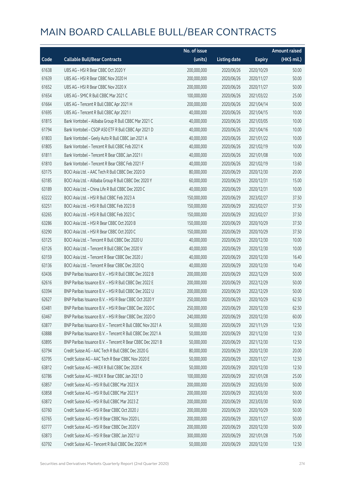|       |                                                            | No. of issue |                     |               | <b>Amount raised</b> |
|-------|------------------------------------------------------------|--------------|---------------------|---------------|----------------------|
| Code  | <b>Callable Bull/Bear Contracts</b>                        | (units)      | <b>Listing date</b> | <b>Expiry</b> | (HK\$ mil.)          |
| 61638 | UBS AG - HSI R Bear CBBC Oct 2020 Y                        | 200,000,000  | 2020/06/26          | 2020/10/29    | 50.00                |
| 61639 | UBS AG - HSI R Bear CBBC Nov 2020 H                        | 200,000,000  | 2020/06/26          | 2020/11/27    | 50.00                |
| 61652 | UBS AG - HSI R Bear CBBC Nov 2020 X                        | 200,000,000  | 2020/06/26          | 2020/11/27    | 50.00                |
| 61654 | UBS AG - SMIC R Bull CBBC Mar 2021 C                       | 100,000,000  | 2020/06/26          | 2021/03/22    | 25.00                |
| 61664 | UBS AG - Tencent R Bull CBBC Apr 2021 H                    | 200,000,000  | 2020/06/26          | 2021/04/14    | 50.00                |
| 61695 | UBS AG - Tencent R Bull CBBC Apr 2021 I                    | 40,000,000   | 2020/06/26          | 2021/04/15    | 10.00                |
| 61815 | Bank Vontobel - Alibaba Group R Bull CBBC Mar 2021 C       | 40,000,000   | 2020/06/26          | 2021/03/05    | 10.00                |
| 61794 | Bank Vontobel - CSOP A50 ETF R Bull CBBC Apr 2021 D        | 40,000,000   | 2020/06/26          | 2021/04/16    | 10.00                |
| 61803 | Bank Vontobel - Geely Auto R Bull CBBC Jan 2021 A          | 40,000,000   | 2020/06/26          | 2021/01/22    | 10.00                |
| 61805 | Bank Vontobel - Tencent R Bull CBBC Feb 2021 K             | 40,000,000   | 2020/06/26          | 2021/02/19    | 10.00                |
| 61811 | Bank Vontobel - Tencent R Bear CBBC Jan 2021 I             | 40,000,000   | 2020/06/26          | 2021/01/08    | 10.00                |
| 61810 | Bank Vontobel - Tencent R Bear CBBC Feb 2021 F             | 40,000,000   | 2020/06/26          | 2021/02/19    | 13.60                |
| 63175 | BOCI Asia Ltd. - AAC Tech R Bull CBBC Dec 2020 D           | 80,000,000   | 2020/06/29          | 2020/12/30    | 20.00                |
| 63185 | BOCI Asia Ltd. - Alibaba Group R Bull CBBC Dec 2020 Y      | 60,000,000   | 2020/06/29          | 2020/12/31    | 15.00                |
| 63189 | BOCI Asia Ltd. - China Life R Bull CBBC Dec 2020 C         | 40,000,000   | 2020/06/29          | 2020/12/31    | 10.00                |
| 63222 | BOCI Asia Ltd. - HSI R Bull CBBC Feb 2023 A                | 150,000,000  | 2020/06/29          | 2023/02/27    | 37.50                |
| 63251 | BOCI Asia Ltd. - HSI R Bull CBBC Feb 2023 B                | 150,000,000  | 2020/06/29          | 2023/02/27    | 37.50                |
| 63265 | BOCI Asia Ltd. - HSI R Bull CBBC Feb 2023 C                | 150,000,000  | 2020/06/29          | 2023/02/27    | 37.50                |
| 63286 | BOCI Asia Ltd. - HSI R Bear CBBC Oct 2020 B                | 150,000,000  | 2020/06/29          | 2020/10/29    | 37.50                |
| 63290 | BOCI Asia Ltd. - HSI R Bear CBBC Oct 2020 C                | 150,000,000  | 2020/06/29          | 2020/10/29    | 37.50                |
| 63125 | BOCI Asia Ltd. - Tencent R Bull CBBC Dec 2020 U            | 40,000,000   | 2020/06/29          | 2020/12/30    | 10.00                |
| 63126 | BOCI Asia Ltd. - Tencent R Bull CBBC Dec 2020 V            | 40,000,000   | 2020/06/29          | 2020/12/30    | 10.00                |
| 63159 | BOCI Asia Ltd. - Tencent R Bear CBBC Dec 2020 J            | 40,000,000   | 2020/06/29          | 2020/12/30    | 16.40                |
| 63136 | BOCI Asia Ltd. - Tencent R Bear CBBC Dec 2020 Q            | 40,000,000   | 2020/06/29          | 2020/12/30    | 10.40                |
| 63436 | BNP Paribas Issuance B.V. - HSI R Bull CBBC Dec 2022 B     | 200,000,000  | 2020/06/29          | 2022/12/29    | 50.00                |
| 62616 | BNP Paribas Issuance B.V. - HSI R Bull CBBC Dec 2022 E     | 200,000,000  | 2020/06/29          | 2022/12/29    | 50.00                |
| 63394 | BNP Paribas Issuance B.V. - HSI R Bull CBBC Dec 2022 U     | 200,000,000  | 2020/06/29          | 2022/12/29    | 50.00                |
| 62627 | BNP Paribas Issuance B.V. - HSI R Bear CBBC Oct 2020 Y     | 250,000,000  | 2020/06/29          | 2020/10/29    | 62.50                |
| 63481 | BNP Paribas Issuance B.V. - HSI R Bear CBBC Dec 2020 C     | 250,000,000  | 2020/06/29          | 2020/12/30    | 62.50                |
| 63467 | BNP Paribas Issuance B.V. - HSI R Bear CBBC Dec 2020 O     | 240,000,000  | 2020/06/29          | 2020/12/30    | 60.00                |
| 63877 | BNP Paribas Issuance B.V. - Tencent R Bull CBBC Nov 2021 A | 50,000,000   | 2020/06/29          | 2021/11/29    | 12.50                |
| 63888 | BNP Paribas Issuance B.V. - Tencent R Bull CBBC Dec 2021 A | 50,000,000   | 2020/06/29          | 2021/12/30    | 12.50                |
| 63895 | BNP Paribas Issuance B.V. - Tencent R Bear CBBC Dec 2021 B | 50,000,000   | 2020/06/29          | 2021/12/30    | 12.50                |
| 63794 | Credit Suisse AG - AAC Tech R Bull CBBC Dec 2020 G         | 80,000,000   | 2020/06/29          | 2020/12/30    | 20.00                |
| 63795 | Credit Suisse AG - AAC Tech R Bear CBBC Nov 2020 E         | 50,000,000   | 2020/06/29          | 2020/11/27    | 12.50                |
| 63812 | Credit Suisse AG - HKEX R Bull CBBC Dec 2020 K             | 50,000,000   | 2020/06/29          | 2020/12/30    | 12.50                |
| 63786 | Credit Suisse AG - HKEX R Bear CBBC Jan 2021 D             | 100,000,000  | 2020/06/29          | 2021/01/28    | 25.00                |
| 63857 | Credit Suisse AG - HSI R Bull CBBC Mar 2023 X              | 200,000,000  | 2020/06/29          | 2023/03/30    | 50.00                |
| 63858 | Credit Suisse AG - HSI R Bull CBBC Mar 2023 Y              | 200,000,000  | 2020/06/29          | 2023/03/30    | 50.00                |
| 63872 | Credit Suisse AG - HSI R Bull CBBC Mar 2023 Z              | 200,000,000  | 2020/06/29          | 2023/03/30    | 50.00                |
| 63760 | Credit Suisse AG - HSI R Bear CBBC Oct 2020 J              | 200,000,000  | 2020/06/29          | 2020/10/29    | 50.00                |
| 63765 | Credit Suisse AG - HSI R Bear CBBC Nov 2020 L              | 200,000,000  | 2020/06/29          | 2020/11/27    | 50.00                |
| 63777 | Credit Suisse AG - HSI R Bear CBBC Dec 2020 V              | 200,000,000  | 2020/06/29          | 2020/12/30    | 50.00                |
| 63873 | Credit Suisse AG - HSI R Bear CBBC Jan 2021 U              | 300,000,000  | 2020/06/29          | 2021/01/28    | 75.00                |
| 63792 | Credit Suisse AG - Tencent R Bull CBBC Dec 2020 M          | 50,000,000   | 2020/06/29          | 2020/12/30    | 12.50                |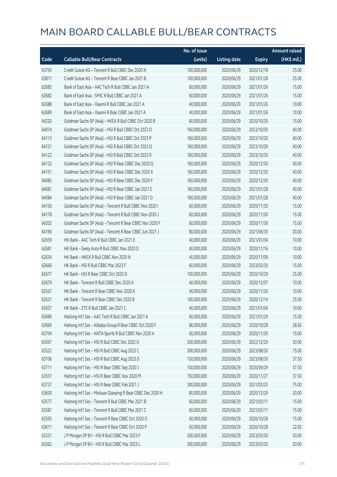|       |                                                             | No. of issue |                     |               | <b>Amount raised</b> |
|-------|-------------------------------------------------------------|--------------|---------------------|---------------|----------------------|
| Code  | <b>Callable Bull/Bear Contracts</b>                         | (units)      | <b>Listing date</b> | <b>Expiry</b> | (HK\$ mil.)          |
| 63793 | Credit Suisse AG - Tencent R Bull CBBC Dec 2020 N           | 100,000,000  | 2020/06/29          | 2020/12/18    | 25.00                |
| 63811 | Credit Suisse AG - Tencent R Bear CBBC Jan 2021 B           | 100,000,000  | 2020/06/29          | 2021/01/28    | 25.00                |
| 62685 | Bank of East Asia - AAC Tech R Bull CBBC Jan 2021 A         | 60,000,000   | 2020/06/29          | 2021/01/26    | 15.00                |
| 62682 | Bank of East Asia - SMIC R Bull CBBC Jan 2021 A             | 60,000,000   | 2020/06/29          | 2021/01/26    | 15.00                |
| 62688 | Bank of East Asia - Xiaomi R Bull CBBC Jan 2021 A           | 40,000,000   | 2020/06/29          | 2021/01/26    | 10.00                |
| 62689 | Bank of East Asia - Xiaomi R Bear CBBC Jan 2021 A           | 40,000,000   | 2020/06/29          | 2021/01/26    | 10.00                |
| 64220 | Goldman Sachs SP (Asia) - HKEX R Bull CBBC Oct 2020 B       | 60,000,000   | 2020/06/29          | 2020/10/30    | 15.00                |
| 64074 | Goldman Sachs SP (Asia) - HSI R Bull CBBC Oct 2023 O        | 160,000,000  | 2020/06/29          | 2023/10/30    | 40.00                |
| 64113 | Goldman Sachs SP (Asia) - HSI R Bull CBBC Oct 2023 P        | 160,000,000  | 2020/06/29          | 2023/10/30    | 40.00                |
| 64121 | Goldman Sachs SP (Asia) - HSI R Bull CBBC Oct 2023 Q        | 160,000,000  | 2020/06/29          | 2023/10/30    | 40.00                |
| 64122 | Goldman Sachs SP (Asia) - HSI R Bull CBBC Oct 2023 R        | 160,000,000  | 2020/06/29          | 2023/10/30    | 40.00                |
| 64132 | Goldman Sachs SP (Asia) - HSI R Bear CBBC Dec 2020 Q        | 160,000,000  | 2020/06/29          | 2020/12/30    | 40.00                |
| 64151 | Goldman Sachs SP (Asia) - HSI R Bear CBBC Dec 2020 X        | 160,000,000  | 2020/06/29          | 2020/12/30    | 40.00                |
| 64085 | Goldman Sachs SP (Asia) - HSI R Bear CBBC Dec 2020 Y        | 160,000,000  | 2020/06/29          | 2020/12/30    | 40.00                |
| 64081 | Goldman Sachs SP (Asia) - HSI R Bear CBBC Jan 2021 E        | 160,000,000  | 2020/06/29          | 2021/01/28    | 40.00                |
| 64084 | Goldman Sachs SP (Asia) - HSI R Bear CBBC Jan 2021 O        | 160,000,000  | 2020/06/29          | 2021/01/28    | 40.00                |
| 64156 | Goldman Sachs SP (Asia) - Tencent R Bull CBBC Nov 2020 I    | 60,000,000   | 2020/06/29          | 2020/11/30    | 15.00                |
| 64178 | Goldman Sachs SP (Asia) - Tencent R Bull CBBC Nov 2020 J    | 60,000,000   | 2020/06/29          | 2020/11/30    | 15.00                |
| 64202 | Goldman Sachs SP (Asia) - Tencent R Bear CBBC Nov 2020 F    | 60,000,000   | 2020/06/29          | 2020/11/30    | 15.00                |
| 64190 | Goldman Sachs SP (Asia) - Tencent R Bear CBBC Jun 2021 J    | 80,000,000   | 2020/06/29          | 2021/06/30    | 20.00                |
| 62659 | HK Bank - AAC Tech R Bull CBBC Jan 2021 E                   | 40,000,000   | 2020/06/29          | 2021/01/04    | 10.00                |
| 62681 | HK Bank - Geely Auto R Bull CBBC Nov 2020 D                 | 40,000,000   | 2020/06/29          | 2020/11/16    | 10.00                |
| 62634 | HK Bank - HKEX R Bull CBBC Nov 2020 N                       | 40,000,000   | 2020/06/29          | 2020/11/09    | 10.00                |
| 62666 | HK Bank - HSI R Bull CBBC Mar 2023 F                        | 60,000,000   | 2020/06/29          | 2023/03/30    | 15.00                |
| 62677 | HK Bank - HSI R Bear CBBC Oct 2020 D                        | 100,000,000  | 2020/06/29          | 2020/10/29    | 25.00                |
| 62679 | HK Bank - Tencent R Bull CBBC Dec 2020 A                    | 40,000,000   | 2020/06/29          | 2020/12/07    | 10.00                |
| 62567 | HK Bank - Tencent R Bear CBBC Nov 2020 K                    | 40,000,000   | 2020/06/29          | 2020/11/26    | 10.00                |
| 62631 | HK Bank - Tencent R Bear CBBC Dec 2020 B                    | 100,000,000  | 2020/06/29          | 2020/12/14    | 25.00                |
| 62637 | HK Bank - ZTE R Bull CBBC Jan 2021 C                        | 40,000,000   | 2020/06/29          | 2021/01/04    | 10.00                |
| 63689 | Haitong Int'l Sec - AAC Tech R Bull CBBC Jan 2021 A         | 60,000,000   | 2020/06/29          | 2021/01/29    | 15.00                |
| 63669 | Haitong Int'l Sec - Alibaba Group R Bear CBBC Oct 2020 F    | 80,000,000   | 2020/06/29          | 2020/10/28    | 28.56                |
| 63704 | Haitong Int'l Sec - ANTA Sports R Bull CBBC Nov 2020 A      | 60,000,000   | 2020/06/29          | 2020/11/30    | 15.00                |
| 63567 | Haitong Int'l Sec - HSI R Bull CBBC Dec 2022 G              | 200,000,000  | 2020/06/29          | 2022/12/29    | 50.00                |
| 63522 | Haitong Int'l Sec - HSI R Bull CBBC Aug 2023 C              | 300,000,000  | 2020/06/29          | 2023/08/30    | 75.00                |
| 63706 | Haitong Int'l Sec - HSI R Bull CBBC Aug 2023 D              | 150,000,000  | 2020/06/29          | 2023/08/30    | 37.50                |
| 63711 | Haitong Int'l Sec - HSI R Bear CBBC Sep 2020 J              | 150,000,000  | 2020/06/29          | 2020/09/29    | 37.50                |
| 63557 | Haitong Int'l Sec - HSI R Bear CBBC Nov 2020 M              | 150,000,000  | 2020/06/29          | 2020/11/27    | 37.50                |
| 63737 | Haitong Int'l Sec - HSI R Bear CBBC Feb 2021 J              | 300,000,000  | 2020/06/29          | 2021/02/25    | 75.00                |
| 63650 | Haitong Int'l Sec - Meituan Dianping R Bear CBBC Dec 2020 H | 80,000,000   | 2020/06/29          | 2020/12/29    | 20.00                |
| 63577 | Haitong Int'l Sec - Tencent R Bull CBBC Mar 2021 B          | 60,000,000   | 2020/06/29          | 2021/03/11    | 15.00                |
| 63587 | Haitong Int'l Sec - Tencent R Bull CBBC Mar 2021 C          | 60,000,000   | 2020/06/29          | 2021/03/11    | 15.00                |
| 63595 | Haitong Int'l Sec - Tencent R Bear CBBC Oct 2020 O          | 60,000,000   | 2020/06/29          | 2020/10/28    | 15.00                |
| 63611 | Haitong Int'l Sec - Tencent R Bear CBBC Oct 2020 P          | 60,000,000   | 2020/06/29          | 2020/10/28    | 22.92                |
| 63331 | J P Morgan SP BV - HSI R Bull CBBC Mar 2023 F               | 200,000,000  | 2020/06/29          | 2023/03/30    | 50.00                |
| 63362 | J P Morgan SP BV - HSI R Bull CBBC Mar 2023 L               | 200,000,000  | 2020/06/29          | 2023/03/30    | 50.00                |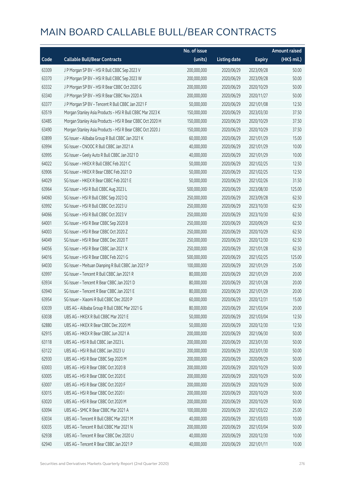|       |                                                           | No. of issue |                     |               | <b>Amount raised</b> |
|-------|-----------------------------------------------------------|--------------|---------------------|---------------|----------------------|
| Code  | <b>Callable Bull/Bear Contracts</b>                       | (units)      | <b>Listing date</b> | <b>Expiry</b> | (HK\$ mil.)          |
| 63309 | J P Morgan SP BV - HSI R Bull CBBC Sep 2023 V             | 200,000,000  | 2020/06/29          | 2023/09/28    | 50.00                |
| 63370 | J P Morgan SP BV - HSI R Bull CBBC Sep 2023 W             | 200,000,000  | 2020/06/29          | 2023/09/28    | 50.00                |
| 63332 | J P Morgan SP BV - HSI R Bear CBBC Oct 2020 G             | 200,000,000  | 2020/06/29          | 2020/10/29    | 50.00                |
| 63340 | J P Morgan SP BV - HSI R Bear CBBC Nov 2020 A             | 200,000,000  | 2020/06/29          | 2020/11/27    | 50.00                |
| 63377 | J P Morgan SP BV - Tencent R Bull CBBC Jan 2021 F         | 50,000,000   | 2020/06/29          | 2021/01/08    | 12.50                |
| 63519 | Morgan Stanley Asia Products - HSI R Bull CBBC Mar 2023 K | 150,000,000  | 2020/06/29          | 2023/03/30    | 37.50                |
| 63485 | Morgan Stanley Asia Products - HSI R Bear CBBC Oct 2020 H | 150,000,000  | 2020/06/29          | 2020/10/29    | 37.50                |
| 63490 | Morgan Stanley Asia Products - HSI R Bear CBBC Oct 2020 J | 150,000,000  | 2020/06/29          | 2020/10/29    | 37.50                |
| 63899 | SG Issuer - Alibaba Group R Bull CBBC Jan 2021 K          | 60,000,000   | 2020/06/29          | 2021/01/29    | 15.00                |
| 63994 | SG Issuer - CNOOC R Bull CBBC Jan 2021 A                  | 40,000,000   | 2020/06/29          | 2021/01/29    | 10.00                |
| 63995 | SG Issuer - Geely Auto R Bull CBBC Jan 2021 D             | 40,000,000   | 2020/06/29          | 2021/01/29    | 10.00                |
| 64022 | SG Issuer - HKEX R Bull CBBC Feb 2021 C                   | 50,000,000   | 2020/06/29          | 2021/02/25    | 12.50                |
| 63906 | SG Issuer - HKEX R Bear CBBC Feb 2021 D                   | 50,000,000   | 2020/06/29          | 2021/02/25    | 12.50                |
| 64029 | SG Issuer - HKEX R Bear CBBC Feb 2021 E                   | 50,000,000   | 2020/06/29          | 2021/02/26    | 31.50                |
| 63964 | SG Issuer - HSI R Bull CBBC Aug 2023 L                    | 500,000,000  | 2020/06/29          | 2023/08/30    | 125.00               |
| 64060 | SG Issuer - HSI R Bull CBBC Sep 2023 Q                    | 250,000,000  | 2020/06/29          | 2023/09/28    | 62.50                |
| 63992 | SG Issuer - HSI R Bull CBBC Oct 2023 U                    | 250,000,000  | 2020/06/29          | 2023/10/30    | 62.50                |
| 64066 | SG Issuer - HSI R Bull CBBC Oct 2023 V                    | 250,000,000  | 2020/06/29          | 2023/10/30    | 62.50                |
| 64001 | SG Issuer - HSI R Bear CBBC Sep 2020 B                    | 250,000,000  | 2020/06/29          | 2020/09/29    | 62.50                |
| 64003 | SG Issuer - HSI R Bear CBBC Oct 2020 Z                    | 250,000,000  | 2020/06/29          | 2020/10/29    | 62.50                |
| 64049 | SG Issuer - HSI R Bear CBBC Dec 2020 T                    | 250,000,000  | 2020/06/29          | 2020/12/30    | 62.50                |
| 64056 | SG Issuer - HSI R Bear CBBC Jan 2021 X                    | 250,000,000  | 2020/06/29          | 2021/01/28    | 62.50                |
| 64016 | SG Issuer - HSI R Bear CBBC Feb 2021 G                    | 500,000,000  | 2020/06/29          | 2021/02/25    | 125.00               |
| 64030 | SG Issuer - Meituan Dianping R Bull CBBC Jan 2021 P       | 100,000,000  | 2020/06/29          | 2021/01/29    | 25.00                |
| 63997 | SG Issuer - Tencent R Bull CBBC Jan 2021 R                | 80,000,000   | 2020/06/29          | 2021/01/29    | 20.00                |
| 63934 | SG Issuer - Tencent R Bear CBBC Jan 2021 D                | 80,000,000   | 2020/06/29          | 2021/01/28    | 20.00                |
| 63940 | SG Issuer - Tencent R Bear CBBC Jan 2021 E                | 80,000,000   | 2020/06/29          | 2021/01/29    | 20.00                |
| 63954 | SG Issuer - Xiaomi R Bull CBBC Dec 2020 P                 | 60,000,000   | 2020/06/29          | 2020/12/31    | 15.00                |
| 63039 | UBS AG - Alibaba Group R Bull CBBC Mar 2021 G             | 80,000,000   | 2020/06/29          | 2021/03/04    | 20.00                |
| 63038 | UBS AG - HKEX R Bull CBBC Mar 2021 E                      | 50,000,000   | 2020/06/29          | 2021/03/04    | 12.50                |
| 62880 | UBS AG - HKEX R Bear CBBC Dec 2020 M                      | 50,000,000   | 2020/06/29          | 2020/12/30    | 12.50                |
| 62915 | UBS AG - HKEX R Bear CBBC Jun 2021 A                      | 200,000,000  | 2020/06/29          | 2021/06/30    | 50.00                |
| 63118 | UBS AG - HSI R Bull CBBC Jan 2023 L                       | 200,000,000  | 2020/06/29          | 2023/01/30    | 50.00                |
| 63122 | UBS AG - HSI R Bull CBBC Jan 2023 U                       | 200,000,000  | 2020/06/29          | 2023/01/30    | 50.00                |
| 62930 | UBS AG - HSI R Bear CBBC Sep 2020 M                       | 200,000,000  | 2020/06/29          | 2020/09/29    | 50.00                |
| 63003 | UBS AG - HSI R Bear CBBC Oct 2020 B                       | 200,000,000  | 2020/06/29          | 2020/10/29    | 50.00                |
| 63005 | UBS AG - HSI R Bear CBBC Oct 2020 E                       | 200,000,000  | 2020/06/29          | 2020/10/29    | 50.00                |
| 63007 | UBS AG - HSI R Bear CBBC Oct 2020 F                       | 200,000,000  | 2020/06/29          | 2020/10/29    | 50.00                |
| 63015 | UBS AG - HSI R Bear CBBC Oct 2020 I                       | 200,000,000  | 2020/06/29          | 2020/10/29    | 50.00                |
| 63020 | UBS AG - HSI R Bear CBBC Oct 2020 M                       | 200,000,000  | 2020/06/29          | 2020/10/29    | 50.00                |
| 63094 | UBS AG - SMIC R Bear CBBC Mar 2021 A                      | 100,000,000  | 2020/06/29          | 2021/03/22    | 25.00                |
| 63034 | UBS AG - Tencent R Bull CBBC Mar 2021 M                   | 40,000,000   | 2020/06/29          | 2021/03/03    | 10.00                |
| 63035 | UBS AG - Tencent R Bull CBBC Mar 2021 N                   | 200,000,000  | 2020/06/29          | 2021/03/04    | 50.00                |
| 62938 | UBS AG - Tencent R Bear CBBC Dec 2020 U                   | 40,000,000   | 2020/06/29          | 2020/12/30    | 10.00                |
| 62940 | UBS AG - Tencent R Bear CBBC Jan 2021 P                   | 40,000,000   | 2020/06/29          | 2021/01/11    | 10.00                |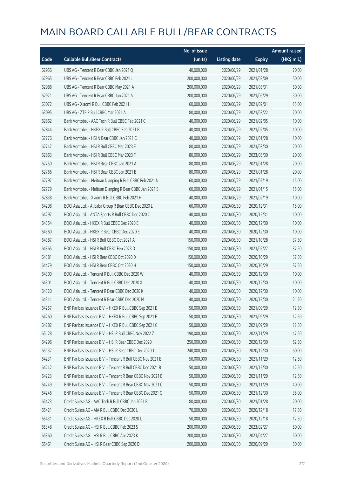|       |                                                            | No. of issue |                     |               | <b>Amount raised</b> |
|-------|------------------------------------------------------------|--------------|---------------------|---------------|----------------------|
| Code  | <b>Callable Bull/Bear Contracts</b>                        | (units)      | <b>Listing date</b> | <b>Expiry</b> | (HK\$ mil.)          |
| 62956 | UBS AG - Tencent R Bear CBBC Jan 2021 Q                    | 40,000,000   | 2020/06/29          | 2021/01/28    | 20.00                |
| 62965 | UBS AG - Tencent R Bear CBBC Feb 2021 J                    | 200,000,000  | 2020/06/29          | 2021/02/09    | 50.00                |
| 62988 | UBS AG - Tencent R Bear CBBC May 2021 A                    | 200,000,000  | 2020/06/29          | 2021/05/31    | 50.00                |
| 62971 | UBS AG - Tencent R Bear CBBC Jun 2021 A                    | 200,000,000  | 2020/06/29          | 2021/06/29    | 50.00                |
| 63072 | UBS AG - Xiaomi R Bull CBBC Feb 2021 H                     | 60,000,000   | 2020/06/29          | 2021/02/01    | 15.00                |
| 63095 | UBS AG - ZTE R Bull CBBC Mar 2021 A                        | 80,000,000   | 2020/06/29          | 2021/03/22    | 20.00                |
| 62862 | Bank Vontobel - AAC Tech R Bull CBBC Feb 2021 C            | 40,000,000   | 2020/06/29          | 2021/02/05    | 10.00                |
| 62844 | Bank Vontobel - HKEX R Bull CBBC Feb 2021 B                | 40,000,000   | 2020/06/29          | 2021/02/05    | 10.00                |
| 62776 | Bank Vontobel - HSI N Bear CBBC Jan 2021 C                 | 40,000,000   | 2020/06/29          | 2021/01/28    | 10.00                |
| 62747 | Bank Vontobel - HSI R Bull CBBC Mar 2023 E                 | 80,000,000   | 2020/06/29          | 2023/03/30    | 20.00                |
| 62863 | Bank Vontobel - HSI R Bull CBBC Mar 2023 F                 | 80,000,000   | 2020/06/29          | 2023/03/30    | 20.00                |
| 62750 | Bank Vontobel - HSI R Bear CBBC Jan 2021 A                 | 80,000,000   | 2020/06/29          | 2021/01/28    | 20.00                |
| 62766 | Bank Vontobel - HSI R Bear CBBC Jan 2021 B                 | 80,000,000   | 2020/06/29          | 2021/01/28    | 20.00                |
| 62797 | Bank Vontobel - Meituan Dianping R Bull CBBC Feb 2021 N    | 60,000,000   | 2020/06/29          | 2021/02/19    | 15.00                |
| 62779 | Bank Vontobel - Meituan Dianping R Bear CBBC Jan 2021 S    | 60,000,000   | 2020/06/29          | 2021/01/15    | 15.00                |
| 62838 | Bank Vontobel - Xiaomi R Bull CBBC Feb 2021 H              | 40,000,000   | 2020/06/29          | 2021/02/19    | 10.00                |
| 64298 | BOCI Asia Ltd. - Alibaba Group R Bear CBBC Dec 2020 L      | 60,000,000   | 2020/06/30          | 2020/12/31    | 15.00                |
| 64297 | BOCI Asia Ltd. - ANTA Sports R Bull CBBC Dec 2020 C        | 40,000,000   | 2020/06/30          | 2020/12/31    | 10.00                |
| 64354 | BOCI Asia Ltd. - HKEX R Bull CBBC Dec 2020 E               | 40,000,000   | 2020/06/30          | 2020/12/30    | 10.00                |
| 64360 | BOCI Asia Ltd. - HKEX R Bear CBBC Dec 2020 E               | 40,000,000   | 2020/06/30          | 2020/12/30    | 10.00                |
| 64387 | BOCI Asia Ltd. - HSI R Bull CBBC Oct 2021 A                | 150,000,000  | 2020/06/30          | 2021/10/28    | 37.50                |
| 64365 | BOCI Asia Ltd. - HSI R Bull CBBC Feb 2023 D                | 150,000,000  | 2020/06/30          | 2023/02/27    | 37.50                |
| 64381 | BOCI Asia Ltd. - HSI R Bear CBBC Oct 2020 D                | 150,000,000  | 2020/06/30          | 2020/10/29    | 37.50                |
| 64479 | BOCI Asia Ltd. - HSI R Bear CBBC Oct 2020 H                | 150,000,000  | 2020/06/30          | 2020/10/29    | 37.50                |
| 64300 | BOCI Asia Ltd. - Tencent R Bull CBBC Dec 2020 W            | 40,000,000   | 2020/06/30          | 2020/12/30    | 10.00                |
| 64301 | BOCI Asia Ltd. - Tencent R Bull CBBC Dec 2020 X            | 40,000,000   | 2020/06/30          | 2020/12/30    | 10.00                |
| 64320 | BOCI Asia Ltd. - Tencent R Bear CBBC Dec 2020 K            | 40,000,000   | 2020/06/30          | 2020/12/30    | 10.00                |
| 64341 | BOCI Asia Ltd. - Tencent R Bear CBBC Dec 2020 M            | 40,000,000   | 2020/06/30          | 2020/12/30    | 21.20                |
| 64257 | BNP Paribas Issuance B.V. - HKEX R Bull CBBC Sep 2021 E    | 50,000,000   | 2020/06/30          | 2021/09/29    | 12.50                |
| 64260 | BNP Paribas Issuance B.V. - HKEX R Bull CBBC Sep 2021 F    | 50,000,000   | 2020/06/30          | 2021/09/29    | 12.50                |
| 64282 | BNP Paribas Issuance B.V. - HKEX R Bull CBBC Sep 2021 G    | 50,000,000   | 2020/06/30          | 2021/09/29    | 12.50                |
| 65128 | BNP Paribas Issuance B.V. - HSI R Bull CBBC Nov 2022 Z     | 190,000,000  | 2020/06/30          | 2022/11/29    | 47.50                |
| 64296 | BNP Paribas Issuance B.V. - HSI R Bear CBBC Dec 2020 I     | 250,000,000  | 2020/06/30          | 2020/12/30    | 62.50                |
| 65137 | BNP Paribas Issuance B.V. - HSI R Bear CBBC Dec 2020 J     | 240,000,000  | 2020/06/30          | 2020/12/30    | 60.00                |
| 64231 | BNP Paribas Issuance B.V. - Tencent R Bull CBBC Nov 2021 B | 50,000,000   | 2020/06/30          | 2021/11/29    | 12.50                |
| 64242 | BNP Paribas Issuance B.V. - Tencent R Bull CBBC Dec 2021 B | 50,000,000   | 2020/06/30          | 2021/12/30    | 12.50                |
| 64223 | BNP Paribas Issuance B.V. - Tencent R Bear CBBC Nov 2021 B | 50,000,000   | 2020/06/30          | 2021/11/29    | 12.50                |
| 64249 | BNP Paribas Issuance B.V. - Tencent R Bear CBBC Nov 2021 C | 50,000,000   | 2020/06/30          | 2021/11/29    | 40.00                |
| 64246 | BNP Paribas Issuance B.V. - Tencent R Bear CBBC Dec 2021 C | 50,000,000   | 2020/06/30          | 2021/12/30    | 35.00                |
| 65423 | Credit Suisse AG - AAC Tech R Bull CBBC Jan 2021 B         | 80,000,000   | 2020/06/30          | 2021/01/28    | 20.00                |
| 65421 | Credit Suisse AG - AIA R Bull CBBC Dec 2020 L              | 70,000,000   | 2020/06/30          | 2020/12/18    | 17.50                |
| 65431 | Credit Suisse AG - HKEX R Bull CBBC Dec 2020 L             | 50,000,000   | 2020/06/30          | 2020/12/18    | 12.50                |
| 65348 | Credit Suisse AG - HSI R Bull CBBC Feb 2023 S              | 200,000,000  | 2020/06/30          | 2023/02/27    | 50.00                |
| 65360 | Credit Suisse AG - HSI R Bull CBBC Apr 2023 K              | 200,000,000  | 2020/06/30          | 2023/04/27    | 50.00                |
| 65461 | Credit Suisse AG - HSI R Bear CBBC Sep 2020 D              | 200,000,000  | 2020/06/30          | 2020/09/29    | 50.00                |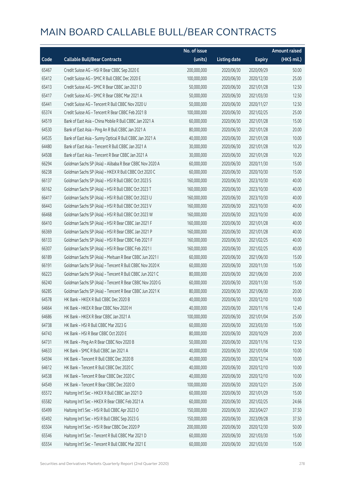|       |                                                          | No. of issue |                     |               | <b>Amount raised</b>  |
|-------|----------------------------------------------------------|--------------|---------------------|---------------|-----------------------|
| Code  | <b>Callable Bull/Bear Contracts</b>                      | (units)      | <b>Listing date</b> | <b>Expiry</b> | $(HK\frac{1}{2}mil.)$ |
| 65467 | Credit Suisse AG - HSI R Bear CBBC Sep 2020 E            | 200,000,000  | 2020/06/30          | 2020/09/29    | 50.00                 |
| 65412 | Credit Suisse AG - SMIC R Bull CBBC Dec 2020 E           | 100,000,000  | 2020/06/30          | 2020/12/30    | 25.00                 |
| 65413 | Credit Suisse AG - SMIC R Bear CBBC Jan 2021 D           | 50,000,000   | 2020/06/30          | 2021/01/28    | 12.50                 |
| 65417 | Credit Suisse AG - SMIC R Bear CBBC Mar 2021 A           | 50,000,000   | 2020/06/30          | 2021/03/30    | 12.50                 |
| 65441 | Credit Suisse AG - Tencent R Bull CBBC Nov 2020 U        | 50,000,000   | 2020/06/30          | 2020/11/27    | 12.50                 |
| 65374 | Credit Suisse AG - Tencent R Bear CBBC Feb 2021 B        | 100,000,000  | 2020/06/30          | 2021/02/25    | 25.00                 |
| 64519 | Bank of East Asia - China Mobile R Bull CBBC Jan 2021 A  | 60,000,000   | 2020/06/30          | 2021/01/28    | 15.00                 |
| 64530 | Bank of East Asia - Ping An R Bull CBBC Jan 2021 A       | 80,000,000   | 2020/06/30          | 2021/01/28    | 20.00                 |
| 64535 | Bank of East Asia - Sunny Optical R Bull CBBC Jan 2021 A | 40,000,000   | 2020/06/30          | 2021/01/28    | 10.00                 |
| 64480 | Bank of East Asia - Tencent R Bull CBBC Jan 2021 A       | 30,000,000   | 2020/06/30          | 2021/01/28    | 10.20                 |
| 64508 | Bank of East Asia - Tencent R Bear CBBC Jan 2021 A       | 30,000,000   | 2020/06/30          | 2021/01/28    | 10.20                 |
| 66294 | Goldman Sachs SP (Asia) - Alibaba R Bear CBBC Nov 2020 A | 60,000,000   | 2020/06/30          | 2020/11/30    | 15.00                 |
| 66238 | Goldman Sachs SP (Asia) - HKEX R Bull CBBC Oct 2020 C    | 60,000,000   | 2020/06/30          | 2020/10/30    | 15.00                 |
| 66137 | Goldman Sachs SP (Asia) - HSI R Bull CBBC Oct 2023 S     | 160,000,000  | 2020/06/30          | 2023/10/30    | 40.00                 |
| 66162 | Goldman Sachs SP (Asia) - HSI R Bull CBBC Oct 2023 T     | 160,000,000  | 2020/06/30          | 2023/10/30    | 40.00                 |
| 66417 | Goldman Sachs SP (Asia) - HSI R Bull CBBC Oct 2023 U     | 160,000,000  | 2020/06/30          | 2023/10/30    | 40.00                 |
| 66443 | Goldman Sachs SP (Asia) - HSI R Bull CBBC Oct 2023 V     | 160,000,000  | 2020/06/30          | 2023/10/30    | 40.00                 |
| 66468 | Goldman Sachs SP (Asia) - HSI R Bull CBBC Oct 2023 W     | 160,000,000  | 2020/06/30          | 2023/10/30    | 40.00                 |
| 66410 | Goldman Sachs SP (Asia) - HSI R Bear CBBC Jan 2021 F     | 160,000,000  | 2020/06/30          | 2021/01/28    | 40.00                 |
| 66369 | Goldman Sachs SP (Asia) - HSI R Bear CBBC Jan 2021 P     | 160,000,000  | 2020/06/30          | 2021/01/28    | 40.00                 |
| 66133 | Goldman Sachs SP (Asia) - HSI R Bear CBBC Feb 2021 F     | 160,000,000  | 2020/06/30          | 2021/02/25    | 40.00                 |
| 66307 | Goldman Sachs SP (Asia) - HSI R Bear CBBC Feb 2021 I     | 160,000,000  | 2020/06/30          | 2021/02/25    | 40.00                 |
| 66189 | Goldman Sachs SP (Asia) - Meituan R Bear CBBC Jun 2021 I | 60,000,000   | 2020/06/30          | 2021/06/30    | 15.00                 |
| 66191 | Goldman Sachs SP (Asia) - Tencent R Bull CBBC Nov 2020 K | 60,000,000   | 2020/06/30          | 2020/11/30    | 15.00                 |
| 66223 | Goldman Sachs SP (Asia) - Tencent R Bull CBBC Jun 2021 C | 80,000,000   | 2020/06/30          | 2021/06/30    | 20.00                 |
| 66240 | Goldman Sachs SP (Asia) - Tencent R Bear CBBC Nov 2020 G | 60,000,000   | 2020/06/30          | 2020/11/30    | 15.00                 |
| 66285 | Goldman Sachs SP (Asia) - Tencent R Bear CBBC Jun 2021 K | 80,000,000   | 2020/06/30          | 2021/06/30    | 20.00                 |
| 64578 | HK Bank - HKEX R Bull CBBC Dec 2020 B                    | 40,000,000   | 2020/06/30          | 2020/12/10    | 10.00                 |
| 64664 | HK Bank - HKEX R Bear CBBC Nov 2020 H                    | 40,000,000   | 2020/06/30          | 2020/11/16    | 12.40                 |
| 64686 | HK Bank - HKEX R Bear CBBC Jan 2021 A                    | 100,000,000  | 2020/06/30          | 2021/01/04    | 25.00                 |
| 64738 | HK Bank - HSI R Bull CBBC Mar 2023 G                     | 60,000,000   | 2020/06/30          | 2023/03/30    | 15.00                 |
| 64743 | HK Bank - HSI R Bear CBBC Oct 2020 E                     | 80,000,000   | 2020/06/30          | 2020/10/29    | 20.00                 |
| 64731 | HK Bank - Ping An R Bear CBBC Nov 2020 B                 | 50,000,000   | 2020/06/30          | 2020/11/16    | 12.50                 |
| 64633 | HK Bank - SMIC R Bull CBBC Jan 2021 A                    | 40,000,000   | 2020/06/30          | 2021/01/04    | 10.00                 |
| 64594 | HK Bank - Tencent R Bull CBBC Dec 2020 B                 | 40,000,000   | 2020/06/30          | 2020/12/14    | 10.00                 |
| 64612 | HK Bank - Tencent R Bull CBBC Dec 2020 C                 | 40,000,000   | 2020/06/30          | 2020/12/10    | 10.00                 |
| 64538 | HK Bank - Tencent R Bear CBBC Dec 2020 C                 | 40,000,000   | 2020/06/30          | 2020/12/10    | 10.00                 |
| 64549 | HK Bank - Tencent R Bear CBBC Dec 2020 D                 | 100,000,000  | 2020/06/30          | 2020/12/21    | 25.00                 |
| 65572 | Haitong Int'l Sec - HKEX R Bull CBBC Jan 2021 D          | 60,000,000   | 2020/06/30          | 2021/01/29    | 15.00                 |
| 65582 | Haitong Int'l Sec - HKEX R Bear CBBC Feb 2021 A          | 60,000,000   | 2020/06/30          | 2021/02/25    | 24.66                 |
| 65499 | Haitong Int'l Sec - HSI R Bull CBBC Apr 2023 O           | 150,000,000  | 2020/06/30          | 2023/04/27    | 37.50                 |
| 65492 | Haitong Int'l Sec - HSI R Bull CBBC Sep 2023 G           | 150,000,000  | 2020/06/30          | 2023/09/28    | 37.50                 |
| 65504 | Haitong Int'l Sec - HSI R Bear CBBC Dec 2020 P           | 200,000,000  | 2020/06/30          | 2020/12/30    | 50.00                 |
| 65546 | Haitong Int'l Sec - Tencent R Bull CBBC Mar 2021 D       | 60,000,000   | 2020/06/30          | 2021/03/30    | 15.00                 |
| 65554 | Haitong Int'l Sec - Tencent R Bull CBBC Mar 2021 E       | 60,000,000   | 2020/06/30          | 2021/03/30    | 15.00                 |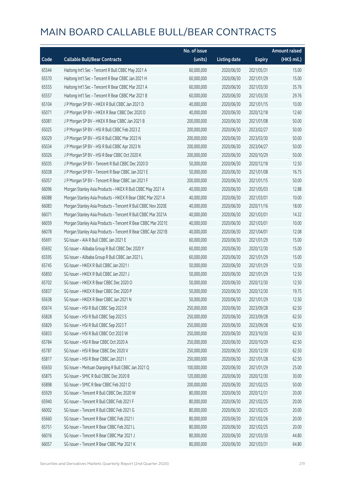|       |                                                              | No. of issue |                     |               | <b>Amount raised</b> |
|-------|--------------------------------------------------------------|--------------|---------------------|---------------|----------------------|
| Code  | <b>Callable Bull/Bear Contracts</b>                          | (units)      | <b>Listing date</b> | <b>Expiry</b> | (HK\$ mil.)          |
| 65544 | Haitong Int'l Sec - Tencent R Bull CBBC May 2021 A           | 60,000,000   | 2020/06/30          | 2021/05/31    | 15.00                |
| 65570 | Haitong Int'l Sec - Tencent R Bear CBBC Jan 2021 H           | 60,000,000   | 2020/06/30          | 2021/01/29    | 15.00                |
| 65555 | Haitong Int'l Sec - Tencent R Bear CBBC Mar 2021 A           | 60,000,000   | 2020/06/30          | 2021/03/30    | 35.76                |
| 65557 | Haitong Int'l Sec - Tencent R Bear CBBC Mar 2021 B           | 60,000,000   | 2020/06/30          | 2021/03/30    | 29.76                |
| 65104 | J P Morgan SP BV - HKEX R Bull CBBC Jan 2021 D               | 40,000,000   | 2020/06/30          | 2021/01/15    | 10.00                |
| 65071 | J P Morgan SP BV - HKEX R Bear CBBC Dec 2020 D               | 40,000,000   | 2020/06/30          | 2020/12/18    | 12.60                |
| 65081 | J P Morgan SP BV - HKEX R Bear CBBC Jan 2021 B               | 200,000,000  | 2020/06/30          | 2021/01/08    | 50.00                |
| 65025 | J P Morgan SP BV - HSI R Bull CBBC Feb 2023 Z                | 200,000,000  | 2020/06/30          | 2023/02/27    | 50.00                |
| 65029 | J P Morgan SP BV - HSI R Bull CBBC Mar 2023 N                | 200,000,000  | 2020/06/30          | 2023/03/30    | 50.00                |
| 65034 | J P Morgan SP BV - HSI R Bull CBBC Apr 2023 N                | 200,000,000  | 2020/06/30          | 2023/04/27    | 50.00                |
| 65026 | J P Morgan SP BV - HSI R Bear CBBC Oct 2020 K                | 200,000,000  | 2020/06/30          | 2020/10/29    | 50.00                |
| 65035 | J P Morgan SP BV - Tencent R Bull CBBC Dec 2020 D            | 50,000,000   | 2020/06/30          | 2020/12/18    | 12.50                |
| 65038 | J P Morgan SP BV - Tencent R Bear CBBC Jan 2021 E            | 50,000,000   | 2020/06/30          | 2021/01/08    | 16.75                |
| 65057 | J P Morgan SP BV - Tencent R Bear CBBC Jan 2021 F            | 200,000,000  | 2020/06/30          | 2021/01/15    | 50.00                |
| 66096 | Morgan Stanley Asia Products - HKEX R Bull CBBC May 2021 A   | 40,000,000   | 2020/06/30          | 2021/05/03    | 12.88                |
| 66088 | Morgan Stanley Asia Products - HKEX R Bear CBBC Mar 2021 A   | 40,000,000   | 2020/06/30          | 2021/03/01    | 10.00                |
| 66083 | Morgan Stanley Asia Products - Tencent R Bull CBBC Nov 2020E | 40,000,000   | 2020/06/30          | 2020/11/16    | 18.00                |
| 66071 | Morgan Stanley Asia Products - Tencent R Bull CBBC Mar 2021A | 40,000,000   | 2020/06/30          | 2021/03/01    | 14.32                |
| 66059 | Morgan Stanley Asia Products - Tencent R Bear CBBC Mar 2021E | 40,000,000   | 2020/06/30          | 2021/03/01    | 10.00                |
| 66078 | Morgan Stanley Asia Products - Tencent R Bear CBBC Apr 2021B | 40,000,000   | 2020/06/30          | 2021/04/01    | 12.08                |
| 65691 | SG Issuer - AIA R Bull CBBC Jan 2021 E                       | 60,000,000   | 2020/06/30          | 2021/01/29    | 15.00                |
| 65692 | SG Issuer - Alibaba Group R Bull CBBC Dec 2020 Y             | 60,000,000   | 2020/06/30          | 2020/12/30    | 15.00                |
| 65595 | SG Issuer - Alibaba Group R Bull CBBC Jan 2021 L             | 60,000,000   | 2020/06/30          | 2021/01/29    | 15.00                |
| 65745 | SG Issuer - HKEX R Bull CBBC Jan 2021 I                      | 50,000,000   | 2020/06/30          | 2021/01/29    | 12.50                |
| 65850 | SG Issuer - HKEX R Bull CBBC Jan 2021 J                      | 50,000,000   | 2020/06/30          | 2021/01/29    | 12.50                |
| 65702 | SG Issuer - HKEX R Bear CBBC Dec 2020 O                      | 50,000,000   | 2020/06/30          | 2020/12/30    | 12.50                |
| 65837 | SG Issuer - HKEX R Bear CBBC Dec 2020 P                      | 50,000,000   | 2020/06/30          | 2020/12/30    | 19.75                |
| 65638 | SG Issuer - HKEX R Bear CBBC Jan 2021 N                      | 50,000,000   | 2020/06/30          | 2021/01/29    | 12.50                |
| 65674 | SG Issuer - HSI R Bull CBBC Sep 2023 R                       | 250,000,000  | 2020/06/30          | 2023/09/28    | 62.50                |
| 65828 | SG Issuer - HSI R Bull CBBC Sep 2023 S                       | 250,000,000  | 2020/06/30          | 2023/09/28    | 62.50                |
| 65829 | SG Issuer - HSI R Bull CBBC Sep 2023 T                       | 250,000,000  | 2020/06/30          | 2023/09/28    | 62.50                |
| 65833 | SG Issuer - HSI R Bull CBBC Oct 2023 W                       | 250,000,000  | 2020/06/30          | 2023/10/30    | 62.50                |
| 65784 | SG Issuer - HSI R Bear CBBC Oct 2020 A                       | 250,000,000  | 2020/06/30          | 2020/10/29    | 62.50                |
| 65787 | SG Issuer - HSI R Bear CBBC Dec 2020 V                       | 250,000,000  | 2020/06/30          | 2020/12/30    | 62.50                |
| 65817 | SG Issuer - HSI R Bear CBBC Jan 2021 I                       | 250,000,000  | 2020/06/30          | 2021/01/28    | 62.50                |
| 65650 | SG Issuer - Meituan Dianping R Bull CBBC Jan 2021 Q          | 100,000,000  | 2020/06/30          | 2021/01/29    | 25.00                |
| 65875 | SG Issuer - SMIC R Bull CBBC Dec 2020 B                      | 120,000,000  | 2020/06/30          | 2020/12/30    | 30.00                |
| 65898 | SG Issuer - SMIC R Bear CBBC Feb 2021 D                      | 200,000,000  | 2020/06/30          | 2021/02/25    | 50.00                |
| 65929 | SG Issuer - Tencent R Bull CBBC Dec 2020 W                   | 80,000,000   | 2020/06/30          | 2020/12/31    | 20.00                |
| 65940 | SG Issuer - Tencent R Bull CBBC Feb 2021 F                   | 80,000,000   | 2020/06/30          | 2021/02/25    | 20.00                |
| 66002 | SG Issuer - Tencent R Bull CBBC Feb 2021 G                   | 80,000,000   | 2020/06/30          | 2021/02/25    | 20.00                |
| 65660 | SG Issuer - Tencent R Bear CBBC Feb 2021 I                   | 80,000,000   | 2020/06/30          | 2021/02/26    | 20.00                |
| 65751 | SG Issuer - Tencent R Bear CBBC Feb 2021 L                   | 80,000,000   | 2020/06/30          | 2021/02/25    | 20.00                |
| 66016 | SG Issuer - Tencent R Bear CBBC Mar 2021 J                   | 80,000,000   | 2020/06/30          | 2021/03/30    | 44.80                |
| 66057 | SG Issuer - Tencent R Bear CBBC Mar 2021 K                   | 80,000,000   | 2020/06/30          | 2021/03/31    | 64.80                |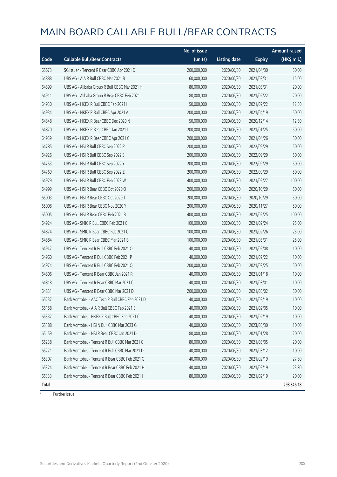|       |                                                 | No. of issue |                     |               | Amount raised |
|-------|-------------------------------------------------|--------------|---------------------|---------------|---------------|
| Code  | <b>Callable Bull/Bear Contracts</b>             | (units)      | <b>Listing date</b> | <b>Expiry</b> | (HK\$ mil.)   |
| 65673 | SG Issuer - Tencent R Bear CBBC Apr 2021 D      | 200,000,000  | 2020/06/30          | 2021/04/30    | 50.00         |
| 64888 | UBS AG - AIA R Bull CBBC Mar 2021 B             | 60,000,000   | 2020/06/30          | 2021/03/31    | 15.00         |
| 64899 | UBS AG - Alibaba Group R Bull CBBC Mar 2021 H   | 80,000,000   | 2020/06/30          | 2021/03/31    | 20.00         |
| 64911 | UBS AG - Alibaba Group R Bear CBBC Feb 2021 L   | 80,000,000   | 2020/06/30          | 2021/02/22    | 20.00         |
| 64930 | UBS AG - HKEX R Bull CBBC Feb 2021 I            | 50,000,000   | 2020/06/30          | 2021/02/22    | 12.50         |
| 64934 | UBS AG - HKEX R Bull CBBC Apr 2021 A            | 200,000,000  | 2020/06/30          | 2021/04/19    | 50.00         |
| 64848 | UBS AG - HKEX R Bear CBBC Dec 2020 N            | 50,000,000   | 2020/06/30          | 2020/12/14    | 12.50         |
| 64870 | UBS AG - HKEX R Bear CBBC Jan 2021 I            | 200,000,000  | 2020/06/30          | 2021/01/25    | 50.00         |
| 64939 | UBS AG - HKEX R Bear CBBC Apr 2021 C            | 200,000,000  | 2020/06/30          | 2021/04/26    | 50.00         |
| 64785 | UBS AG - HSI R Bull CBBC Sep 2022 R             | 200,000,000  | 2020/06/30          | 2022/09/29    | 50.00         |
| 64926 | UBS AG - HSI R Bull CBBC Sep 2022 S             | 200,000,000  | 2020/06/30          | 2022/09/29    | 50.00         |
| 64753 | UBS AG - HSI R Bull CBBC Sep 2022 Y             | 200,000,000  | 2020/06/30          | 2022/09/29    | 50.00         |
| 64769 | UBS AG - HSI R Bull CBBC Sep 2022 Z             | 200,000,000  | 2020/06/30          | 2022/09/29    | 50.00         |
| 64929 | UBS AG - HSI R Bull CBBC Feb 2023 W             | 400,000,000  | 2020/06/30          | 2023/02/27    | 100.00        |
| 64999 | UBS AG - HSI R Bear CBBC Oct 2020 O             | 200,000,000  | 2020/06/30          | 2020/10/29    | 50.00         |
| 65003 | UBS AG - HSI R Bear CBBC Oct 2020 T             | 200,000,000  | 2020/06/30          | 2020/10/29    | 50.00         |
| 65008 | UBS AG - HSI R Bear CBBC Nov 2020 Y             | 200,000,000  | 2020/06/30          | 2020/11/27    | 50.00         |
| 65005 | UBS AG - HSI R Bear CBBC Feb 2021 B             | 400,000,000  | 2020/06/30          | 2021/02/25    | 100.00        |
| 64924 | UBS AG - SMIC R Bull CBBC Feb 2021 C            | 100,000,000  | 2020/06/30          | 2021/02/24    | 25.00         |
| 64874 | UBS AG - SMIC R Bear CBBC Feb 2021 C            | 100,000,000  | 2020/06/30          | 2021/02/26    | 25.00         |
| 64884 | UBS AG - SMIC R Bear CBBC Mar 2021 B            | 100,000,000  | 2020/06/30          | 2021/03/31    | 25.00         |
| 64947 | UBS AG - Tencent R Bull CBBC Feb 2021 O         | 40,000,000   | 2020/06/30          | 2021/02/08    | 10.00         |
| 64960 | UBS AG - Tencent R Bull CBBC Feb 2021 P         | 40,000,000   | 2020/06/30          | 2021/02/22    | 10.00         |
| 64974 | UBS AG - Tencent R Bull CBBC Feb 2021 Q         | 200,000,000  | 2020/06/30          | 2021/02/25    | 50.00         |
| 64806 | UBS AG - Tencent R Bear CBBC Jan 2021 R         | 40,000,000   | 2020/06/30          | 2021/01/18    | 10.00         |
| 64818 | UBS AG - Tencent R Bear CBBC Mar 2021 C         | 40,000,000   | 2020/06/30          | 2021/03/01    | 10.00         |
| 64831 | UBS AG - Tencent R Bear CBBC Mar 2021 D         | 200,000,000  | 2020/06/30          | 2021/03/02    | 50.00         |
| 65237 | Bank Vontobel - AAC Tech R Bull CBBC Feb 2021 D | 40,000,000   | 2020/06/30          | 2021/02/19    | 10.00         |
| 65158 | Bank Vontobel - AIA R Bull CBBC Feb 2021 E      | 40,000,000   | 2020/06/30          | 2021/02/05    | 10.00         |
| 65337 | Bank Vontobel - HKEX R Bull CBBC Feb 2021 C     | 40,000,000   | 2020/06/30          | 2021/02/19    | 10.00         |
| 65188 | Bank Vontobel - HSI N Bull CBBC Mar 2023 G      | 40,000,000   | 2020/06/30          | 2023/03/30    | 10.00         |
| 65159 | Bank Vontobel - HSI R Bear CBBC Jan 2021 D      | 80,000,000   | 2020/06/30          | 2021/01/28    | 20.00         |
| 65238 | Bank Vontobel - Tencent R Bull CBBC Mar 2021 C  | 80,000,000   | 2020/06/30          | 2021/03/05    | 20.00         |
| 65271 | Bank Vontobel - Tencent R Bull CBBC Mar 2021 D  | 40,000,000   | 2020/06/30          | 2021/03/12    | 10.00         |
| 65307 | Bank Vontobel - Tencent R Bear CBBC Feb 2021 G  | 40,000,000   | 2020/06/30          | 2021/02/19    | 27.80         |
| 65324 | Bank Vontobel - Tencent R Bear CBBC Feb 2021 H  | 40,000,000   | 2020/06/30          | 2021/02/19    | 23.80         |
| 65333 | Bank Vontobel - Tencent R Bear CBBC Feb 2021 I  | 80,000,000   | 2020/06/30          | 2021/02/19    | 20.00         |
| Total |                                                 |              |                     |               | 298,346.18    |

 $#$  Further issue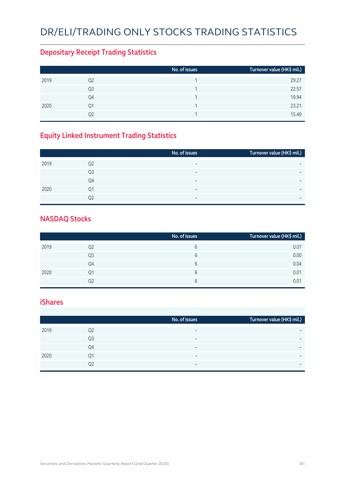#### DR/ELI/TRADING ONLY STOCKS TRADING STATISTICS

#### **Depositary Receipt Trading Statistics**

|      |                | No. of issues | Turnover value (HK\$ mil.) |
|------|----------------|---------------|----------------------------|
| 2019 | Q <sub>2</sub> |               | 29.27                      |
|      | Q <sub>3</sub> |               | 22.57                      |
|      | Q4             |               | 19.94                      |
| 2020 | Q1             |               | 23.21                      |
|      | Q2             |               | 15.49                      |

#### **Equity Linked Instrument Trading Statistics**

|      |                | No. of issues            | Turnover value (HK\$ mil.) <sup> </sup> |
|------|----------------|--------------------------|-----------------------------------------|
| 2019 | Q <sub>2</sub> | -                        |                                         |
|      | Q3             | $\overline{\phantom{0}}$ | $\overline{\phantom{0}}$                |
|      | Q4             | $\overline{\phantom{0}}$ | $\overline{\phantom{0}}$                |
| 2020 | Q1             | $\overline{\phantom{0}}$ |                                         |
|      | Ο2             | $\overline{\phantom{0}}$ | $\overline{\phantom{0}}$                |

#### **NASDAQ Stocks**

|      |    | No. of issues | Turnover value (HK\$ mil.) |
|------|----|---------------|----------------------------|
| 2019 | Q2 | b             | 0.07                       |
|      | Q3 | 6             | 0.00                       |
|      | Q4 | 6             | 0.04                       |
| 2020 | Q1 | 6             | 0.01                       |
|      | Q2 | 6             | 0.01                       |

#### **iShares**

|      |    | No. of issues            | Turnover value (HK\$ mil.) |
|------|----|--------------------------|----------------------------|
| 2019 | Q2 |                          | $\overline{\phantom{0}}$   |
|      | Q3 | -                        | $\overline{\phantom{0}}$   |
|      | Q4 | -                        | $\overline{\phantom{0}}$   |
| 2020 | 01 | $\overline{\phantom{0}}$ | $\overline{\phantom{0}}$   |
|      | Q2 | -                        | $\overline{\phantom{0}}$   |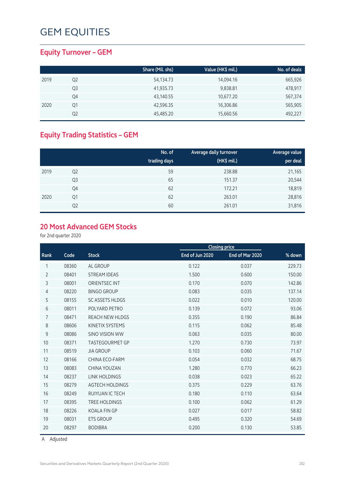#### **Equity Turnover – GEM**

|      |    | Share (Mil. shs) | Value (HK\$ mil.) | No. of deals |
|------|----|------------------|-------------------|--------------|
| 2019 | Q2 | 54,134.73        | 14,094.16         | 665,926      |
|      | Q3 | 41,935.73        | 9,838.81          | 478,917      |
|      | Q4 | 43,140.55        | 10,677.20         | 567,374      |
| 2020 | Q1 | 42,596.35        | 16,306.86         | 565,905      |
|      | Q2 | 45,485.20        | 15,660.56         | 492,227      |

#### **Equity Trading Statistics – GEM**

|      |                | No. of<br>trading days | Average daily turnover<br>(HK\$ mil.) | Average value<br>per deal |
|------|----------------|------------------------|---------------------------------------|---------------------------|
| 2019 | Q <sub>2</sub> | 59                     | 238.88                                | 21,165                    |
|      | Q <sub>3</sub> | 65                     | 151.37                                | 20,544                    |
|      | Q4             | 62                     | 172.21                                | 18,819                    |
| 2020 | Q1             | 62                     | 263.01                                | 28,816                    |
|      | Q <sub>2</sub> | 60                     | 261.01                                | 31,816                    |

#### **20 Most Advanced GEM Stocks**

for 2nd quarter 2020

|                |       |                        |                 | <b>Closing price</b> |        |
|----------------|-------|------------------------|-----------------|----------------------|--------|
| Rank           | Code  | <b>Stock</b>           | End of Jun 2020 | End of Mar 2020      | % down |
| 1              | 08360 | <b>AL GROUP</b>        | 0.122           | 0.037                | 229.73 |
| $\overline{2}$ | 08401 | <b>STREAM IDEAS</b>    | 1.500           | 0.600                | 150.00 |
| 3              | 08001 | <b>ORIENTSEC INT</b>   | 0.170           | 0.070                | 142.86 |
| 4              | 08220 | <b>BINGO GROUP</b>     | 0.083           | 0.035                | 137.14 |
| 5              | 08155 | <b>SC ASSETS HLDGS</b> | 0.022           | 0.010                | 120.00 |
| 6              | 08011 | POLYARD PETRO          | 0.139           | 0.072                | 93.06  |
| $\overline{7}$ | 08471 | <b>REACH NEW HLDGS</b> | 0.355           | 0.190                | 86.84  |
| 8              | 08606 | KINETIX SYSTEMS        | 0.115           | 0.062                | 85.48  |
| 9              | 08086 | <b>SINO VISION WW</b>  | 0.063           | 0.035                | 80.00  |
| 10             | 08371 | <b>TASTEGOURMET GP</b> | 1.270           | 0.730                | 73.97  |
| 11             | 08519 | <b>JIA GROUP</b>       | 0.103           | 0.060                | 71.67  |
| 12             | 08166 | CHINA ECO-FARM         | 0.054           | 0.032                | 68.75  |
| 13             | 08083 | CHINA YOUZAN           | 1.280           | 0.770                | 66.23  |
| 14             | 08237 | <b>LINK HOLDINGS</b>   | 0.038           | 0.023                | 65.22  |
| 15             | 08279 | AGTECH HOLDINGS        | 0.375           | 0.229                | 63.76  |
| 16             | 08249 | RUIYUAN IC TECH        | 0.180           | 0.110                | 63.64  |
| 17             | 08395 | <b>TREE HOLDINGS</b>   | 0.100           | 0.062                | 61.29  |
| 18             | 08226 | <b>KOALA FIN GP</b>    | 0.027           | 0.017                | 58.82  |
| 19             | 08031 | <b>ETS GROUP</b>       | 0.495           | 0.320                | 54.69  |
| 20             | 08297 | <b>BODIBRA</b>         | 0.200           | 0.130                | 53.85  |

A Adjusted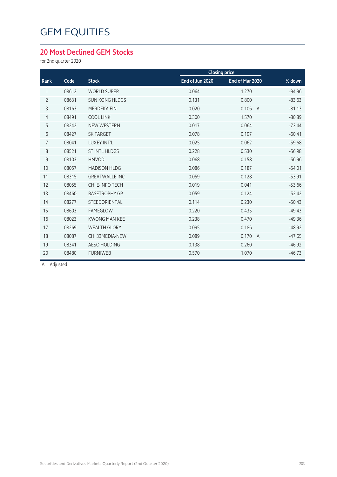#### **20 Most Declined GEM Stocks**

for 2nd quarter 2020

|                |       |                       |                 | <b>Closing price</b>    |          |
|----------------|-------|-----------------------|-----------------|-------------------------|----------|
| Rank           | Code  | <b>Stock</b>          | End of Jun 2020 | End of Mar 2020         | % down   |
| 1              | 08612 | <b>WORLD SUPER</b>    | 0.064           | 1.270                   | $-94.96$ |
| $\overline{2}$ | 08631 | <b>SUN KONG HLDGS</b> | 0.131           | 0.800                   | $-83.63$ |
| 3              | 08163 | <b>MERDEKA FIN</b>    | 0.020           | 0.106<br>$\overline{A}$ | $-81.13$ |
| 4              | 08491 | <b>COOL LINK</b>      | 0.300           | 1.570                   | $-80.89$ |
| 5              | 08242 | <b>NEW WESTERN</b>    | 0.017           | 0.064                   | $-73.44$ |
| 6              | 08427 | <b>SK TARGET</b>      | 0.078           | 0.197                   | $-60.41$ |
| $\overline{7}$ | 08041 | LUXEY INT'L           | 0.025           | 0.062                   | $-59.68$ |
| 8              | 08521 | <b>ST INTL HLDGS</b>  | 0.228           | 0.530                   | $-56.98$ |
| 9              | 08103 | <b>HMVOD</b>          | 0.068           | 0.158                   | $-56.96$ |
| 10             | 08057 | <b>MADISON HLDG</b>   | 0.086           | 0.187                   | $-54.01$ |
| 11             | 08315 | <b>GREATWALLE INC</b> | 0.059           | 0.128                   | $-53.91$ |
| 12             | 08055 | CHI E-INFO TECH       | 0.019           | 0.041                   | $-53.66$ |
| 13             | 08460 | <b>BASETROPHY GP</b>  | 0.059           | 0.124                   | $-52.42$ |
| 14             | 08277 | STEEDORIENTAL         | 0.114           | 0.230                   | $-50.43$ |
| 15             | 08603 | FAMEGLOW              | 0.220           | 0.435                   | $-49.43$ |
| 16             | 08023 | <b>KWONG MAN KFF</b>  | 0.238           | 0.470                   | $-49.36$ |
| 17             | 08269 | <b>WEALTH GLORY</b>   | 0.095           | 0.186                   | $-48.92$ |
| 18             | 08087 | CHI 33MEDIA-NEW       | 0.089           | 0.170<br>$\overline{A}$ | $-47.65$ |
| 19             | 08341 | AESO HOLDING          | 0.138           | 0.260                   | $-46.92$ |
| 20             | 08480 | <b>FURNIWEB</b>       | 0.570           | 1.070                   | $-46.73$ |
|                |       |                       |                 |                         |          |

A Adjusted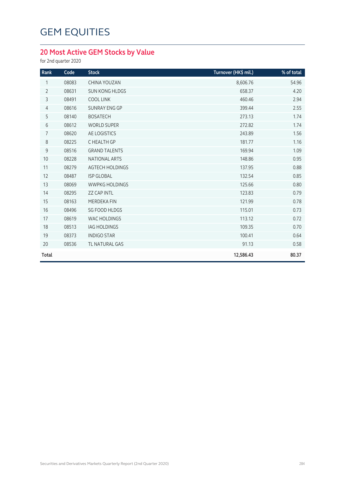#### **20 Most Active GEM Stocks by Value**

for 2nd quarter 2020

| Rank           | Code  | <b>Stock</b>           | Turnover (HK\$ mil.) | % of total |
|----------------|-------|------------------------|----------------------|------------|
| 1              | 08083 | CHINA YOUZAN           | 8,606.76             | 54.96      |
| $\overline{2}$ | 08631 | <b>SUN KONG HLDGS</b>  | 658.37               | 4.20       |
| 3              | 08491 | <b>COOL LINK</b>       | 460.46               | 2.94       |
| $\overline{4}$ | 08616 | <b>SUNRAY ENG GP</b>   | 399.44               | 2.55       |
| 5              | 08140 | <b>BOSATECH</b>        | 273.13               | 1.74       |
| $6\,$          | 08612 | <b>WORLD SUPER</b>     | 272.82               | 1.74       |
| 7              | 08620 | AE LOGISTICS           | 243.89               | 1.56       |
| 8              | 08225 | C HEALTH GP            | 181.77               | 1.16       |
| 9              | 08516 | <b>GRAND TALENTS</b>   | 169.94               | 1.09       |
| 10             | 08228 | <b>NATIONAL ARTS</b>   | 148.86               | 0.95       |
| 11             | 08279 | <b>AGTECH HOLDINGS</b> | 137.95               | 0.88       |
| 12             | 08487 | <b>ISP GLOBAL</b>      | 132.54               | 0.85       |
| 13             | 08069 | <b>WWPKG HOLDINGS</b>  | 125.66               | 0.80       |
| 14             | 08295 | <b>ZZ CAP INTL</b>     | 123.83               | 0.79       |
| 15             | 08163 | MERDEKA FIN            | 121.99               | 0.78       |
| 16             | 08496 | <b>SG FOOD HLDGS</b>   | 115.01               | 0.73       |
| 17             | 08619 | <b>WAC HOLDINGS</b>    | 113.12               | 0.72       |
| 18             | 08513 | <b>IAG HOLDINGS</b>    | 109.35               | 0.70       |
| 19             | 08373 | <b>INDIGO STAR</b>     | 100.41               | 0.64       |
| 20             | 08536 | <b>TL NATURAL GAS</b>  | 91.13                | 0.58       |
| <b>Total</b>   |       |                        | 12,586.43            | 80.37      |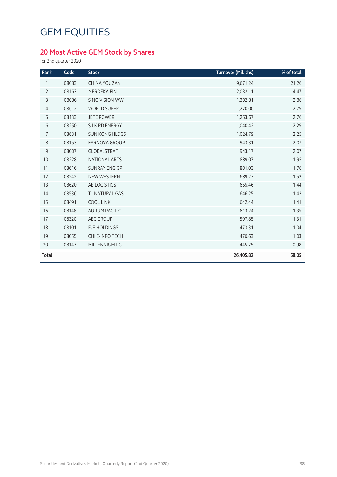#### **20 Most Active GEM Stock by Shares**

for 2nd quarter 2020

| Rank           | Code  | <b>Stock</b>          | Turnover (Mil. shs) | % of total |
|----------------|-------|-----------------------|---------------------|------------|
| 1              | 08083 | <b>CHINA YOUZAN</b>   | 9,671.24            | 21.26      |
| $\overline{2}$ | 08163 | <b>MERDEKA FIN</b>    | 2,032.11            | 4.47       |
| 3              | 08086 | SINO VISION WW        | 1,302.81            | 2.86       |
| $\overline{4}$ | 08612 | <b>WORLD SUPER</b>    | 1,270.00            | 2.79       |
| 5              | 08133 | <b>JETE POWER</b>     | 1,253.67            | 2.76       |
| 6              | 08250 | SILK RD ENERGY        | 1,040.42            | 2.29       |
| 7              | 08631 | <b>SUN KONG HLDGS</b> | 1,024.79            | 2.25       |
| 8              | 08153 | <b>FARNOVA GROUP</b>  | 943.31              | 2.07       |
| 9              | 08007 | <b>GLOBALSTRAT</b>    | 943.17              | 2.07       |
| 10             | 08228 | <b>NATIONAL ARTS</b>  | 889.07              | 1.95       |
| 11             | 08616 | <b>SUNRAY ENG GP</b>  | 801.03              | 1.76       |
| 12             | 08242 | <b>NEW WESTERN</b>    | 689.27              | 1.52       |
| 13             | 08620 | AE LOGISTICS          | 655.46              | 1.44       |
| 14             | 08536 | TL NATURAL GAS        | 646.25              | 1.42       |
| 15             | 08491 | <b>COOL LINK</b>      | 642.44              | 1.41       |
| 16             | 08148 | <b>AURUM PACIFIC</b>  | 613.24              | 1.35       |
| 17             | 08320 | <b>AEC GROUP</b>      | 597.85              | 1.31       |
| 18             | 08101 | EJE HOLDINGS          | 473.31              | 1.04       |
| 19             | 08055 | CHI E-INFO TECH       | 470.63              | 1.03       |
| 20             | 08147 | MILLENNIUM PG         | 445.75              | 0.98       |
| <b>Total</b>   |       |                       | 26,405.82           | 58.05      |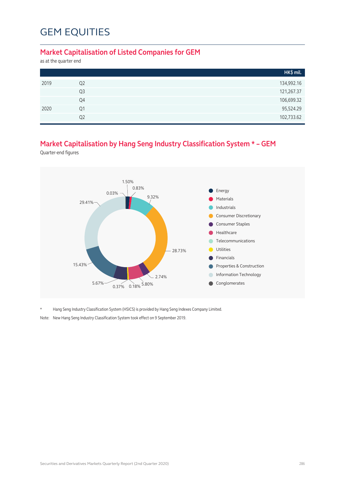#### **Market Capitalisation of Listed Companies for GEM**

as at the quarter end

|      |                | HK\$ mil.  |
|------|----------------|------------|
| 2019 | Q <sub>2</sub> | 134,992.16 |
|      | Q <sub>3</sub> | 121,267.37 |
|      | Q4             | 106,699.32 |
| 2020 | Q1             | 95,524.29  |
|      | Q <sub>2</sub> | 102,733.62 |

#### **Market Capitalisation by Hang Seng Industry Classification System \* – GEM**

Quarter-end figures



\* Hang Seng Industry Classification System (HSICS) is provided by Hang Seng Indexes Company Limited.

Note: New Hang Seng Industry Classification System took effect on 9 September 2019.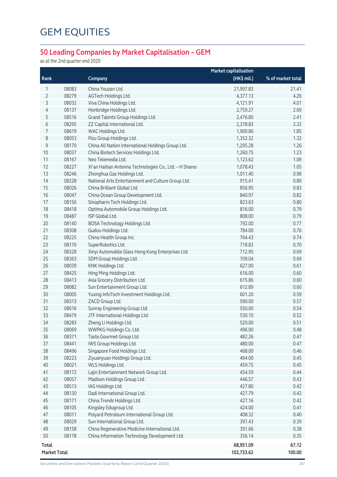#### **50 Leading Companies by Market Capitalisation – GEM**

as at the 2nd quarter end 2020

|                                     |                |                                                                | <b>Market capitalisation</b> |                   |
|-------------------------------------|----------------|----------------------------------------------------------------|------------------------------|-------------------|
| Rank                                |                | Company                                                        | (HK\$ mil.)                  | % of market total |
| 1                                   | 08083          | China Youzan Ltd.                                              | 21,997.83                    | 21.41             |
| 2                                   | 08279          | AGTech Holdings Ltd.                                           | 4,377.13                     | 4.26              |
| 3                                   | 08032          | Viva China Holdings Ltd.                                       | 4,121.91                     | 4.01              |
| 4                                   | 08137          | Honbridge Holdings Ltd.                                        | 2,759.27                     | 2.69              |
| 5                                   | 08516          | Grand Talents Group Holdings Ltd.                              | 2,476.80                     | 2.41              |
| 6                                   | 08295          | ZZ Capital International Ltd.                                  | 2,378.83                     | 2.32              |
| 7                                   | 08619          | WAC Holdings Ltd.                                              | 1,900.80                     | 1.85              |
| 8                                   | 08053          | Pizu Group Holdings Ltd.                                       | 1,352.32                     | 1.32              |
| 9                                   | 08170          | China All Nation International Holdings Group Ltd.             | 1,295.28                     | 1.26              |
| $10$                                | 08037          | China Biotech Services Holdings Ltd.                           | 1,260.75                     | 1.23              |
| 11                                  | 08167          | Neo Telemedia Ltd.                                             | 1,123.62                     | 1.09              |
| 12                                  | 08227          | Xi'an Haitian Antenna Technologies Co., Ltd. - H Shares        | 1,078.43                     | 1.05              |
| 13                                  | 08246          | Zhonghua Gas Holdings Ltd.                                     | 1,011.40                     | 0.98              |
| 14                                  | 08228          | National Arts Entertainment and Culture Group Ltd.             | 915.41                       | 0.89              |
| 15                                  | 08026          | China Brilliant Global Ltd.                                    | 856.95                       | 0.83              |
| 16                                  | 08047          | China Ocean Group Development Ltd.                             | 840.97                       | 0.82              |
| 17                                  | 08156          | Sinopharm Tech Holdings Ltd.                                   | 823.63                       | 0.80              |
| 18                                  | 08418          | Optima Automobile Group Holdings Ltd.                          | 816.00                       | 0.79              |
| 19                                  | 08487          | ISP Global Ltd.                                                | 808.00                       | 0.79              |
| 20                                  | 08140          | BOSA Technology Holdings Ltd.                                  | 792.00                       | 0.77              |
| 21                                  | 08308          | Gudou Holdings Ltd.                                            | 784.00                       | 0.76              |
| 22                                  | 08225          | China Health Group Inc.                                        | 764.43                       | 0.74              |
| 23                                  | 08176          | SuperRobotics Ltd.                                             | 718.83                       | 0.70              |
| 24                                  | 08328          | Xinyi Automobile Glass Hong Kong Enterprises Ltd.              | 712.95                       | 0.69              |
| 25                                  | 08363          | SDM Group Holdings Ltd.                                        | 709.04                       | 0.69              |
| 26                                  | 08039          | KNK Holdings Ltd.                                              | 627.00                       | 0.61              |
| 27                                  | 08425          | Hing Ming Holdings Ltd.                                        | 616.00                       | 0.60              |
| 28                                  | 08413          | Asia Grocery Distribution Ltd.                                 | 615.86                       | 0.60              |
| 29                                  | 08082          | Sun Entertainment Group Ltd.                                   | 612.89                       | 0.60              |
| 30                                  | 08005          | Yuxing InfoTech Investment Holdings Ltd.                       | 601.20                       | 0.59              |
| 31                                  | 08313          | ZACD Group Ltd.                                                | 590.00                       | 0.57              |
| 32                                  | 08616          | Sunray Engineering Group Ltd.                                  | 550.00                       | 0.54              |
| 33                                  | 08479          | JTF International Holdings Ltd.                                | 530.10                       | 0.52              |
| 34                                  | 08283          | Zheng Li Holdings Ltd.                                         | 520.00                       | 0.51              |
| 35                                  | 08069          | WWPKG Holdings Co. Ltd.                                        | 496.00<br>482.26             | 0.48              |
| 36                                  | 08371          | Taste.Gourmet Group Ltd.                                       |                              | 0.47              |
| 37                                  | 08441          | IWS Group Holdings Ltd.                                        | 480.00<br>468.00             | 0.47              |
| 38<br>39                            | 08496<br>08223 | Singapore Food Holdings Ltd.<br>Ziyuanyuan Holdings Group Ltd. | 464.00                       | 0.46<br>0.45      |
| 40                                  | 08021          | WLS Holdings Ltd.                                              | 459.75                       | 0.45              |
| 41                                  | 08172          | Lajin Entertainment Network Group Ltd.                         | 454.59                       | 0.44              |
| 42                                  | 08057          | Madison Holdings Group Ltd.                                    | 446.57                       | 0.43              |
| 43                                  | 08513          | IAG Holdings Ltd.                                              | 427.80                       | 0.42              |
| 44                                  | 08130          | Dadi International Group Ltd.                                  | 427.79                       | 0.42              |
| 45                                  | 08171          | China Trends Holdings Ltd.                                     | 427.16                       | 0.42              |
| 46                                  | 08105          | Kingsley Edugroup Ltd.                                         | 424.00                       | 0.41              |
| 47                                  | 08011          | Polyard Petroleum International Group Ltd.                     | 408.32                       | 0.40              |
| 48                                  | 08029          | Sun International Group Ltd.                                   | 397.43                       | 0.39              |
| 49                                  | 08158          | China Regenerative Medicine International Ltd.                 | 391.66                       | 0.38              |
| 50                                  | 08178          | China Information Technology Development Ltd.                  | 356.14                       | 0.35              |
|                                     |                |                                                                |                              |                   |
| <b>Total</b><br><b>Market Total</b> |                |                                                                | 68,951.09                    | 67.12<br>100.00   |
|                                     |                |                                                                | 102,733.62                   |                   |

Securities and Derivatives Markets Quarterly Report (2nd Quarter 2020) 287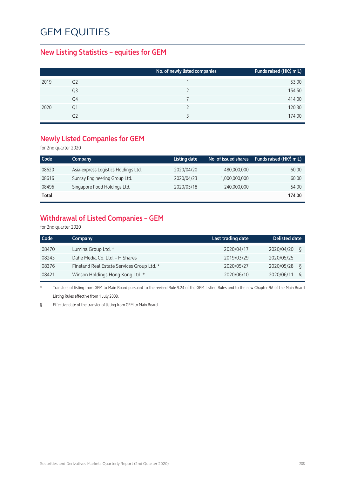## GEM EQUITIES

#### **New Listing Statistics – equities for GEM**

|      |                | No. of newly listed companies | Funds raised (HK\$ mil.) |
|------|----------------|-------------------------------|--------------------------|
| 2019 | Q <sub>2</sub> |                               | 53.00                    |
|      | Q3             |                               | 154.50                   |
|      | Q4             |                               | 414.00                   |
| 2020 | Ο1             |                               | 120.30                   |
|      | Ο2             |                               | 174.00                   |

#### **Newly Listed Companies for GEM**

for 2nd quarter 2020

| Code  | Company                              | Listing date | No. of issued shares | Funds raised (HK\$ mil.) |
|-------|--------------------------------------|--------------|----------------------|--------------------------|
| 08620 | Asia-express Logistics Holdings Ltd. | 2020/04/20   | 480,000,000          | 60.00                    |
| 08616 | Sunray Engineering Group Ltd.        | 2020/04/23   | 1,000,000,000        | 60.00                    |
| 08496 | Singapore Food Holdings Ltd.         | 2020/05/18   | 240,000,000          | 54.00                    |
| Total |                                      |              |                      | 174.00                   |

#### **Withdrawal of Listed Companies – GEM**

for 2nd quarter 2020

| Code  | Company                                    | Last trading date | <b>Delisted date</b> |
|-------|--------------------------------------------|-------------------|----------------------|
| 08470 | Lumina Group Ltd. *                        | 2020/04/17        | 2020/04/20<br>ξ      |
| 08243 | Dahe Media Co. Ltd. - H Shares             | 2019/03/29        | 2020/05/25           |
| 08376 | Fineland Real Estate Services Group Ltd. * | 2020/05/27        | 2020/05/28<br>ξ      |
| 08421 | Winson Holdings Hong Kong Ltd. *           | 2020/06/10        | 2020/06/11<br>ξ      |

\* Transfers of listing from GEM to Main Board pursuant to the revised Rule 9.24 of the GEM Listing Rules and to the new Chapter 9A of the Main Board Listing Rules effective from 1 July 2008.

§ Effective date of the transfer of listing from GEM to Main Board.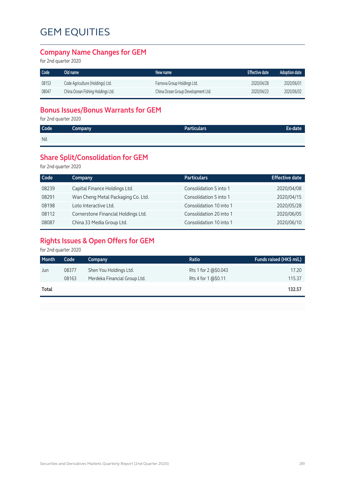# GEM EQUITIES

#### **Company Name Changes for GEM**

for 2nd quarter 2020

| Code  | Old name                          | New name                           | <b>Effective date</b> | <b>Adoption date</b> |
|-------|-----------------------------------|------------------------------------|-----------------------|----------------------|
| 08153 | Code Agriculture (Holdings) Ltd.  | Farnova Group Holdings Ltd.        | 2020/04/28            | 2020/06/01           |
| 08047 | China Ocean Fishing Holdings Ltd. | China Ocean Group Development Ltd. | 2020/04/23            | 2020/06/02           |

## **Bonus Issues/Bonus Warrants for GEM**

for 2nd quarter 2020

| Code | Company | <b>Particulars</b> | Ex-date |
|------|---------|--------------------|---------|
| Nil  |         |                    |         |

#### **Share Split/Consolidation for GEM**

for 2nd quarter 2020

| Code  | <b>Company</b>                      | <b>Particulars</b>      | <b>Effective date</b> |
|-------|-------------------------------------|-------------------------|-----------------------|
| 08239 | Capital Finance Holdings Ltd.       | Consolidation 5 into 1  | 2020/04/08            |
| 08291 | Wan Cheng Metal Packaging Co. Ltd.  | Consolidation 5 into 1  | 2020/04/15            |
| 08198 | Loto Interactive Ltd.               | Consolidation 10 into 1 | 2020/05/28            |
| 08112 | Cornerstone Financial Holdings Ltd. | Consolidation 20 into 1 | 2020/06/05            |
| 08087 | China 33 Media Group Ltd.           | Consolidation 10 into 1 | 2020/06/10            |

## **Rights Issues & Open Offers for GEM**

for 2nd quarter 2020

| Month | Code  | Company                      | Ratio                | Funds raised (HK\$ mil.) |
|-------|-------|------------------------------|----------------------|--------------------------|
| Jun   | 08377 | Shen You Holdings Ltd.       | Rts 1 for 2 @\$0.043 | 17.20                    |
|       | 08163 | Merdeka Financial Group Ltd. | Rts 4 for 1 @\$0.11  | 115.37                   |
| Total |       |                              |                      | 132.57                   |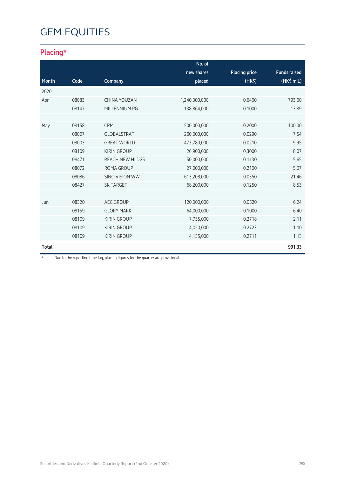# GEM EQUITIES

## **Placing\***

|              |       |                        | No. of        |                      |                     |
|--------------|-------|------------------------|---------------|----------------------|---------------------|
|              |       |                        | new shares    | <b>Placing price</b> | <b>Funds raised</b> |
| Month        | Code  | Company                | placed        | (HK <sup>2</sup> )   | (HK\$ mil.)         |
| 2020         |       |                        |               |                      |                     |
| Apr          | 08083 | CHINA YOUZAN           | 1,240,000,000 | 0.6400               | 793.60              |
|              | 08147 | MILLENNIUM PG          | 138,864,000   | 0.1000               | 13.89               |
|              |       |                        |               |                      |                     |
| May          | 08158 | <b>CRMI</b>            | 500,000,000   | 0.2000               | 100.00              |
|              | 08007 | <b>GLOBALSTRAT</b>     | 260,000,000   | 0.0290               | 7.54                |
|              | 08003 | <b>GREAT WORLD</b>     | 473,780,000   | 0.0210               | 9.95                |
|              | 08109 | <b>KIRIN GROUP</b>     | 26,900,000    | 0.3000               | 8.07                |
|              | 08471 | <b>REACH NEW HLDGS</b> | 50,000,000    | 0.1130               | 5.65                |
|              | 08072 | ROMA GROUP             | 27,000,000    | 0.2100               | 5.67                |
|              | 08086 | <b>SINO VISION WW</b>  | 613,208,000   | 0.0350               | 21.46               |
|              | 08427 | <b>SK TARGET</b>       | 68,200,000    | 0.1250               | 8.53                |
|              |       |                        |               |                      |                     |
| Jun          | 08320 | <b>AEC GROUP</b>       | 120,000,000   | 0.0520               | 6.24                |
|              | 08159 | <b>GLORY MARK</b>      | 64,000,000    | 0.1000               | 6.40                |
|              | 08109 | <b>KIRIN GROUP</b>     | 7,755,000     | 0.2718               | 2.11                |
|              | 08109 | <b>KIRIN GROUP</b>     | 4,050,000     | 0.2723               | 1.10                |
|              | 08109 | <b>KIRIN GROUP</b>     | 4,155,000     | 0.2711               | 1.13                |
| <b>Total</b> |       |                        |               |                      | 991.33              |

\* Due to the reporting time-lag, placing figures for the quarter are provisional.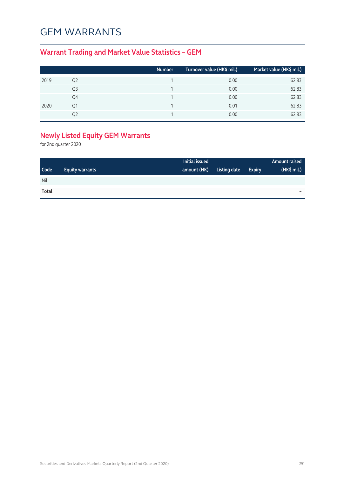## GEM WARRANTS

## **Warrant Trading and Market Value Statistics – GEM**

|      |    | <b>Number</b> | Turnover value (HK\$ mil.) 1 | Market value (HK\$ mil.) |
|------|----|---------------|------------------------------|--------------------------|
| 2019 | Q2 |               | 0.00                         | 62.83                    |
|      | Q3 |               | 0.00                         | 62.83                    |
|      | Q4 |               | 0.00                         | 62.83                    |
| 2020 | Q1 |               | 0.01                         | 62.83                    |
|      | 02 |               | 0.00                         | 62.83                    |

## **Newly Listed Equity GEM Warrants**

for 2nd quarter 2020

|             |                        | Initial issued |              |               | Amount raised |
|-------------|------------------------|----------------|--------------|---------------|---------------|
| <b>Code</b> | <b>Equity warrants</b> | amount (HK)    | Listing date | <b>Expiry</b> | (HK\$ mil.)   |
| Nil         |                        |                |              |               |               |
| Total       |                        |                |              |               | -             |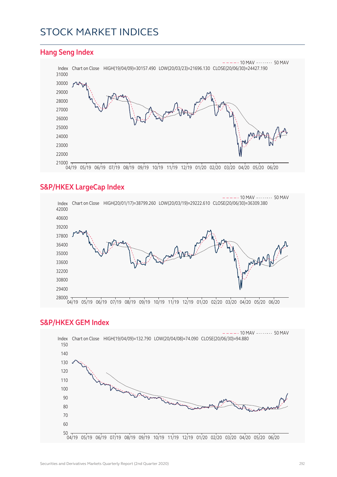## STOCK MARKET INDICES

#### **Hang Seng Index**



#### **S&P/HKEX LargeCap Index**



#### **S&P/HKEX GEM Index**

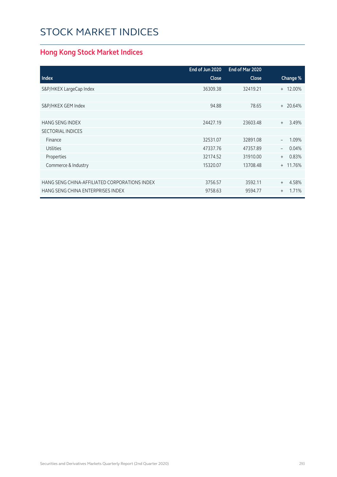# STOCK MARKET INDICES

## **Hong Kong Stock Market Indices**

|                                               | End of Jun 2020 | End of Mar 2020 |              |
|-----------------------------------------------|-----------------|-----------------|--------------|
| <b>Index</b>                                  | <b>Close</b>    | <b>Close</b>    | Change %     |
| S&P/HKEX LargeCap Index                       | 36309.38        | 32419.21        | + 12.00%     |
|                                               |                 |                 |              |
| S&P/HKEX GEM Index                            | 94.88           | 78.65           | + 20.64%     |
|                                               |                 |                 |              |
| <b>HANG SENG INDEX</b>                        | 24427.19        | 23603.48        | 3.49%<br>$+$ |
| <b>SECTORIAL INDICES</b>                      |                 |                 |              |
| Finance                                       | 32531.07        | 32891.08        | 1.09%        |
| <b>Utilities</b>                              | 47337.76        | 47357.89        | 0.04%        |
| Properties                                    | 32174.52        | 31910.00        | 0.83%<br>$+$ |
| Commerce & Industry                           | 15320.07        | 13708.48        | + 11.76%     |
|                                               |                 |                 |              |
| HANG SENG CHINA-AFFILIATED CORPORATIONS INDEX | 3756.57         | 3592.11         | 4.58%<br>$+$ |
| HANG SENG CHINA ENTERPRISES INDEX             | 9758.63         | 9594.77         | 1.71%<br>$+$ |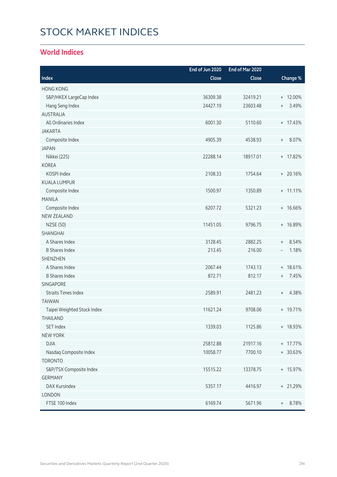# STOCK MARKET INDICES

#### **World Indices**

|                             | End of Jun 2020 | End of Mar 2020 |                                           |
|-----------------------------|-----------------|-----------------|-------------------------------------------|
| Index                       | Close           | Close           | Change %                                  |
| <b>HONG KONG</b>            |                 |                 |                                           |
| S&P/HKEX LargeCap Index     | 36309.38        | 32419.21        | + 12.00%                                  |
| Hang Seng Index             | 24427.19        | 23603.48        | 3.49%<br>$^{+}$                           |
| <b>AUSTRALIA</b>            |                 |                 |                                           |
| All Ordinaries Index        | 6001.30         | 5110.60         | $+ 17.43%$                                |
| <b>JAKARTA</b>              |                 |                 |                                           |
| Composite Index             | 4905.39         | 4538.93         | 8.07%<br>$^{+}$                           |
| <b>JAPAN</b>                |                 |                 |                                           |
| Nikkei (225)                | 22288.14        | 18917.01        | + 17.82%                                  |
| <b>KOREA</b>                |                 |                 |                                           |
| KOSPI Index                 | 2108.33         | 1754.64         | $+ 20.16%$                                |
| <b>KUALA LUMPUR</b>         |                 |                 |                                           |
| Composite Index             | 1500.97         | 1350.89         | $+ 11.11\%$                               |
| <b>MANILA</b>               |                 |                 |                                           |
| Composite Index             | 6207.72         | 5321.23         | + 16.66%                                  |
| <b>NEW ZEALAND</b>          |                 |                 |                                           |
| <b>NZSE (50)</b>            | 11451.05        | 9796.75         | + 16.89%                                  |
| SHANGHAI                    |                 |                 |                                           |
| A Shares Index              | 3128.45         | 2882.25         | 8.54%<br>$\begin{array}{c} + \end{array}$ |
| <b>B Shares Index</b>       | 213.45          | 216.00          | 1.18%<br>$\overline{\phantom{a}}$         |
| <b>SHENZHEN</b>             |                 |                 |                                           |
| A Shares Index              | 2067.44         | 1743.13         | + 18.61%                                  |
| <b>B Shares Index</b>       | 872.71          | 812.17          | 7.45%<br>$^{+}$                           |
| <b>SINGAPORE</b>            |                 |                 |                                           |
| <b>Straits Times Index</b>  | 2589.91         | 2481.23         | 4.38%<br>$\begin{array}{c} + \end{array}$ |
| <b>TAIWAN</b>               |                 |                 |                                           |
| Taipei Weighted Stock Index | 11621.24        | 9708.06         | + 19.71%                                  |
| THAII AND                   |                 |                 |                                           |
| <b>SET Index</b>            | 1339.03         | 1125.86         | + 18.93%                                  |
| <b>NEW YORK</b>             |                 |                 |                                           |
| <b>DJIA</b>                 | 25812.88        | 21917.16        | + 17.77%                                  |
| Nasdaq Composite Index      | 10058.77        | 7700.10         | + 30.63%                                  |
| <b>TORONTO</b>              |                 |                 |                                           |
| S&P/TSX Composite Index     | 15515.22        | 13378.75        | + 15.97%                                  |
| <b>GERMANY</b>              |                 |                 |                                           |
| DAX Kursindex               | 5357.17         | 4416.97         | + 21.29%                                  |
| LONDON                      |                 |                 |                                           |
| FTSE 100 Index              | 6169.74         | 5671.96         | 8.78%<br>$^{+}$                           |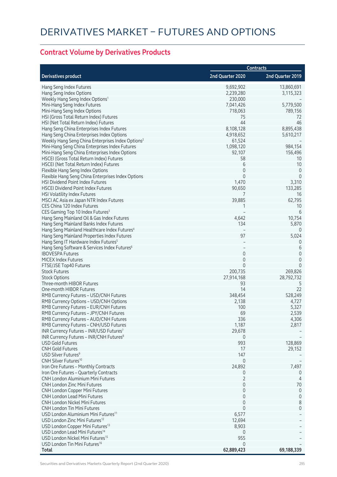## **Contract Volume by Derivatives Products**

|                                                                                |                  | <b>Contracts</b> |
|--------------------------------------------------------------------------------|------------------|------------------|
| <b>Derivatives product</b>                                                     | 2nd Quarter 2020 | 2nd Quarter 2019 |
| Hang Seng Index Futures                                                        | 9,692,902        | 13,860,691       |
| Hang Seng Index Options                                                        | 2,239,280        | 3,115,323        |
| Weekly Hang Seng Index Options <sup>1</sup>                                    | 230,000          |                  |
| Mini-Hang Seng Index Futures                                                   | 7,041,426        | 5,779,500        |
| Mini-Hang Seng Index Options                                                   | 718,063          | 789,156          |
| HSI (Gross Total Return Index) Futures                                         | 75               | 72               |
| HSI (Net Total Return Index) Futures                                           | 44               | 46               |
| Hang Seng China Enterprises Index Futures                                      | 8,108,128        | 8,895,438        |
| Hang Seng China Enterprises Index Options                                      | 4,918,652        | 5,610,217        |
| Weekly Hang Seng China Enterprises Index Options <sup>2</sup>                  | 61,524           |                  |
| Mini-Hang Seng China Enterprises Index Futures                                 | 1,098,120        | 984,154          |
| Mini-Hang Seng China Enterprises Index Options                                 | 92,107           | 156,496          |
| HSCEI (Gross Total Return Index) Futures                                       | 58               | 10               |
| HSCEI (Net Total Return Index) Futures                                         | 6                | 10               |
| Flexible Hang Seng Index Options                                               | 0                | $\overline{0}$   |
| Flexible Hang Seng China Enterprises Index Options                             | $\Omega$         | $\mathbf{0}$     |
| HSI Dividend Point Index Futures                                               | 1,470            | 3,310            |
| <b>HSCEI Dividend Point Index Futures</b>                                      | 90,650           | 133,285          |
| <b>HSI Volatility Index Futures</b>                                            | 7                | 16               |
| MSCI AC Asia ex Japan NTR Index Futures                                        | 39,885           | 62,795           |
| CES China 120 Index Futures                                                    | 1                | 10               |
| CES Gaming Top 10 Index Futures <sup>3</sup>                                   |                  | 6                |
| Hang Seng Mainland Oil & Gas Index Futures                                     | 4,642            | 10,754           |
| Hang Seng Mainland Banks Index Futures                                         | 134              | 5,870            |
| Hang Seng Mainland Healthcare Index Futures <sup>4</sup>                       |                  | $\Omega$         |
| Hang Seng Mainland Properties Index Futures                                    | 97               | 5,024            |
| Hang Seng IT Hardware Index Futures <sup>5</sup>                               |                  | $\Omega$         |
| Hang Seng Software & Services Index Futures <sup>6</sup>                       |                  | 6                |
| <b>IBOVESPA Futures</b>                                                        | 0                | $\mathbf 0$      |
| <b>MICEX Index Futures</b>                                                     | $\mathbf 0$      | $\overline{0}$   |
| FTSE/JSE Top40 Futures                                                         | $\Omega$         | $\Omega$         |
| <b>Stock Futures</b>                                                           | 200,735          | 269,826          |
| <b>Stock Options</b>                                                           | 27,914,168       | 28,792,732       |
| Three-month HIBOR Futures                                                      | 93               | 5                |
| One-month HIBOR Futures                                                        | 14               | 22               |
| RMB Currency Futures - USD/CNH Futures                                         | 348,454          | 528,249          |
| RMB Currency Options - USD/CNH Options                                         | 2,138            | 4,727            |
| RMB Currency Futures - EUR/CNH Futures                                         | 100              | 5,327            |
| RMB Currency Futures - JPY/CNH Futures                                         | 69               | 2,539            |
| RMB Currency Futures - AUD/CNH Futures                                         | 336              | 4,306            |
| RMB Currency Futures - CNH/USD Futures                                         | 1,187            | 2,817            |
| INR Currency Futures - INR/USD Futures7                                        | 29,678           |                  |
| INR Currency Futures - INR/CNH Futures <sup>8</sup><br><b>USD Gold Futures</b> | 0<br>993         | 128,869          |
| <b>CNH Gold Futures</b>                                                        | 17               | 29,152           |
| USD Silver Futures <sup>9</sup>                                                | 147              |                  |
| CNH Silver Futures <sup>10</sup>                                               | $\Omega$         |                  |
| Iron Ore Futures - Monthly Contracts                                           | 24,892           | 7,497            |
| Iron Ore Futures - Quarterly Contracts                                         | 0                | $\theta$         |
| <b>CNH London Aluminium Mini Futures</b>                                       | 2                | 4                |
| <b>CNH London Zinc Mini Futures</b>                                            | $\mathbf 0$      | 70               |
| CNH London Copper Mini Futures                                                 | $\mathbf 0$      | $\overline{0}$   |
| <b>CNH London Lead Mini Futures</b>                                            | $\mathbf 0$      | $\mathbf 0$      |
| <b>CNH London Nickel Mini Futures</b>                                          | $\mathbf 0$      | $\,8\,$          |
| <b>CNH London Tin Mini Futures</b>                                             | $\Omega$         | 0                |
| USD London Aluminium Mini Futures <sup>11</sup>                                | 6,577            |                  |
| USD London Zinc Mini Futures <sup>12</sup>                                     | 12,694           |                  |
| USD London Copper Mini Futures <sup>13</sup>                                   | 8,903            |                  |
| USD London Lead Mini Futures <sup>14</sup>                                     | 0                |                  |
| USD London Nickel Mini Futures <sup>15</sup>                                   | 955              |                  |
| USD London Tin Mini Futures <sup>16</sup>                                      | $\Omega$         |                  |
| <b>Total</b>                                                                   | 62,889,423       | 69,188,339       |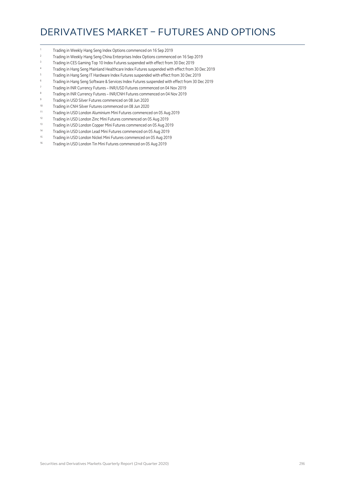## DERIVATIVES MARKET – FUTURES AND OPTIONS

- Trading in Weekly Hang Seng Index Options commenced on 16 Sep 2019
- Trading in Weekly Hang Seng China Enterprises Index Options commenced on 16 Sep 2019
- <sup>3</sup> Trading in CES Gaming Top 10 Index Futures suspended with effect from 30 Dec 2019
- Trading in Hang Seng Mainland Healthcare Index Futures suspended with effect from 30 Dec 2019
- Trading in Hang Seng IT Hardware Index Futures suspended with effect from 30 Dec 2019
- Trading in Hang Seng Software & Services Index Futures suspended with effect from 30 Dec 2019
- Trading in INR Currency Futures INR/USD Futures commenced on 04 Nov 2019
- Trading in INR Currency Futures INR/CNH Futures commenced on 04 Nov 2019
- Trading in USD Silver Futures commenced on 08 Jun 2020
- Trading in CNH Silver Futures commenced on 08 Jun 2020
- 11 Trading in USD London Aluminium Mini Futures commenced on 05 Aug 2019<br>12 Trading in USD London Zina Mini Futures commenced on 05 Aug 2010
- Trading in USD London Zinc Mini Futures commenced on 05 Aug 2019
- 13 Trading in USD London Copper Mini Futures commenced on 05 Aug 2019
- Trading in USD London Lead Mini Futures commenced on 05 Aug 2019
- 15 Trading in USD London Nickel Mini Futures commenced on 05 Aug 2019
- 16 Trading in USD London Tin Mini Futures commenced on 05 Aug 2019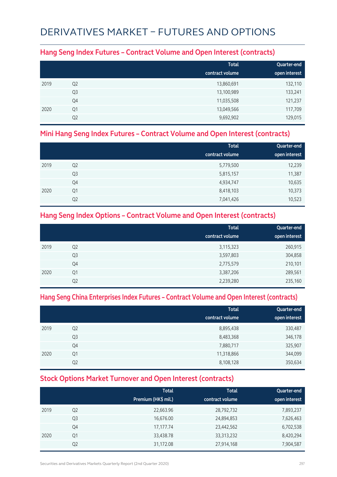# DERIVATIVES MARKET – FUTURES AND OPTIONS

#### **Hang Seng Index Futures – Contract Volume and Open Interest (contracts)**

|      |                | <b>Total</b><br>contract volume | Quarter-end<br>open interest |
|------|----------------|---------------------------------|------------------------------|
| 2019 | Q <sub>2</sub> | 13,860,691                      | 132,110                      |
|      | Q <sub>3</sub> | 13,100,989                      | 133,241                      |
|      | Q4             | 11,035,508                      | 121,237                      |
| 2020 | Q <sub>1</sub> | 13,049,566                      | 117,709                      |
|      | Q <sub>2</sub> | 9,692,902                       | 129,015                      |

#### **Mini Hang Seng Index Futures – Contract Volume and Open Interest (contracts)**

|      |                | <b>Total</b><br>contract volume | Quarter-end<br>open interest |
|------|----------------|---------------------------------|------------------------------|
| 2019 | Q <sub>2</sub> | 5,779,500                       | 12,239                       |
|      | Q3             | 5,815,157                       | 11,387                       |
|      | Q4             | 4,934,747                       | 10,635                       |
| 2020 | Q1             | 8,418,103                       | 10,373                       |
|      | Q <sub>2</sub> | 7,041,426                       | 10,523                       |

#### **Hang Seng Index Options – Contract Volume and Open Interest (contracts)**

|      |                | <b>Total</b>    | Quarter-end   |
|------|----------------|-----------------|---------------|
|      |                | contract volume | open interest |
| 2019 | Q <sub>2</sub> | 3,115,323       | 260,915       |
|      | Q <sub>3</sub> | 3,597,803       | 304,858       |
|      | Q4             | 2,775,579       | 210,101       |
| 2020 | Q1             | 3,387,206       | 289,561       |
|      | Q <sub>2</sub> | 2,239,280       | 235,160       |

#### **Hang Seng China Enterprises Index Futures – Contract Volume and Open Interest (contracts)**

|      |                | <b>Total</b><br>contract volume | Quarter-end<br>open interest |
|------|----------------|---------------------------------|------------------------------|
| 2019 | Q <sub>2</sub> | 8,895,438                       | 330,487                      |
|      | Q <sub>3</sub> | 8,483,368                       | 346,178                      |
|      | Q4             | 7,880,717                       | 325,907                      |
| 2020 | Q1             | 11,318,866                      | 344,099                      |
|      | Q <sub>2</sub> | 8,108,128                       | 350,634                      |

#### **Stock Options Market Turnover and Open Interest (contracts)**

|      |                | <b>Total</b><br>Premium (HK\$ mil.) | <b>Total</b><br>contract volume | Quarter-end<br>open interest |
|------|----------------|-------------------------------------|---------------------------------|------------------------------|
| 2019 | Q <sub>2</sub> | 22,663.96                           | 28,792,732                      | 7,893,237                    |
|      | Q <sub>3</sub> | 16,676.00                           | 24,894,853                      | 7,626,463                    |
|      | Q4             | 17,177.74                           | 23,442,562                      | 6,702,538                    |
| 2020 | Q1             | 33,438.78                           | 33, 313, 232                    | 8,420,294                    |
|      | Q <sub>2</sub> | 31,172.08                           | 27,914,168                      | 7,904,587                    |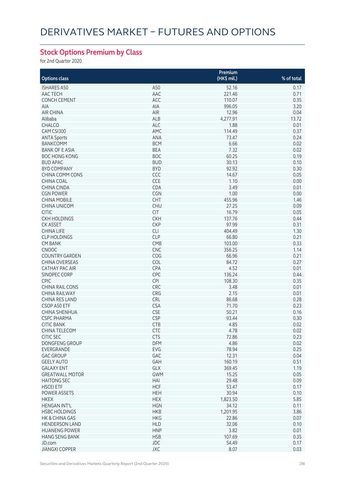## **Stock Options Premium by Class**

for 2nd Quarter 2020

|                        |            | Premium     |            |
|------------------------|------------|-------------|------------|
| <b>Options class</b>   |            | (HK\$ mil.) | % of total |
| <b>ISHARES A50</b>     | A50        | 52.16       | 0.17       |
| AAC TECH               | AAC        | 221.46      | 0.71       |
| <b>CONCH CEMENT</b>    | ACC        | 110.07      | 0.35       |
| <b>AIA</b>             | AIA        | 996.05      | 3.20       |
| <b>AIR CHINA</b>       | AIR        | 12.96       | 0.04       |
| Alibaba                | ALB        | 4,277.91    | 13.72      |
| CHALCO                 | <b>ALC</b> | 1.88        | 0.01       |
| CAM CSI300             | AMC        | 114.49      | 0.37       |
| <b>ANTA Sports</b>     | ANA        | 73.47       | 0.24       |
| <b>BANKCOMM</b>        | <b>BCM</b> | 6.66        | 0.02       |
| <b>BANK OF E ASIA</b>  | <b>BEA</b> | 7.32        | 0.02       |
| <b>BOC HONG KONG</b>   | <b>BOC</b> | 60.25       | 0.19       |
| <b>BUD APAC</b>        | <b>BUD</b> | 30.13       | 0.10       |
| <b>BYD COMPANY</b>     | <b>BYD</b> | 92.92       | 0.30       |
| CHINA COMM CONS        | CCC        | 14.67       | 0.05       |
| CHINA COAL             | CCE        | 1.10        | 0.00       |
| <b>CHINA CINDA</b>     | CDA        | 3.49        | 0.01       |
| <b>CGN POWER</b>       | CGN        | 1.00        | 0.00       |
|                        |            | 455.96      |            |
| <b>CHINA MOBILE</b>    | CHT        |             | 1.46       |
| <b>CHINA UNICOM</b>    | <b>CHU</b> | 27.25       | 0.09       |
| <b>CITIC</b>           | <b>CIT</b> | 16.79       | 0.05       |
| <b>CKH HOLDINGS</b>    | <b>CKH</b> | 137.76      | 0.44       |
| <b>CK ASSET</b>        | <b>CKP</b> | 97.99       | 0.31       |
| CHINA LIFE             | <b>CLI</b> | 404.49      | 1.30       |
| <b>CLP HOLDINGS</b>    | <b>CLP</b> | 66.80       | 0.21       |
| <b>CM BANK</b>         | <b>CMB</b> | 103.00      | 0.33       |
| <b>CNOOC</b>           | CNC        | 356.25      | 1.14       |
| <b>COUNTRY GARDEN</b>  | COG        | 66.96       | 0.21       |
| <b>CHINA OVERSEAS</b>  | COL        | 84.72       | 0.27       |
| <b>CATHAY PAC AIR</b>  | CPA        | 4.52        | 0.01       |
| SINOPEC CORP           | CPC        | 136.24      | 0.44       |
| <b>CPIC</b>            | <b>CPI</b> | 108.30      | 0.35       |
| <b>CHINA RAIL CONS</b> | CRC        | 3.48        | 0.01       |
| CHINA RAILWAY          | CRG        | 2.15        | 0.01       |
| CHINA RES LAND         | CRL        | 86.68       | 0.28       |
| CSOP A50 ETF           | <b>CSA</b> | 71.70       | 0.23       |
| <b>CHINA SHENHUA</b>   | <b>CSE</b> | 50.21       | 0.16       |
| <b>CSPC PHARMA</b>     | <b>CSP</b> | 93.44       | 0.30       |
| <b>CITIC BANK</b>      | CTB        | 4.85        | 0.02       |
| <b>CHINA TELECOM</b>   | <b>CTC</b> | 4.78        | 0.02       |
| <b>CITIC SEC</b>       | <b>CTS</b> | 72.86       | 0.23       |
| <b>DONGFENG GROUP</b>  | <b>DFM</b> | 4.86        | 0.02       |
| EVERGRANDE             | EVG        | 78.94       | 0.25       |
| <b>GAC GROUP</b>       | GAC        | 12.31       | 0.04       |
| <b>GEELY AUTO</b>      | GAH        | 160.19      | 0.51       |
| <b>GALAXY ENT</b>      | GLX        | 369.45      | 1.19       |
| <b>GREATWALL MOTOR</b> | <b>GWM</b> | 15.25       | 0.05       |
| <b>HAITONG SEC</b>     | HAI        | 29.48       | 0.09       |
| <b>HSCEI ETF</b>       | <b>HCF</b> | 53.47       | 0.17       |
| POWER ASSETS           | <b>HEH</b> | 30.94       | 0.10       |
| <b>HKEX</b>            | <b>HEX</b> | 1,823.50    | 5.85       |
| <b>HENGAN INT'L</b>    | <b>HGN</b> | 34.12       | 0.11       |
| <b>HSBC HOLDINGS</b>   | <b>HKB</b> | 1,201.95    | 3.86       |
|                        |            |             |            |
| HK & CHINA GAS         | <b>HKG</b> | 22.86       | 0.07       |
| <b>HENDERSON LAND</b>  | <b>HLD</b> | 32.06       | 0.10       |
| <b>HUANENG POWER</b>   | <b>HNP</b> | 3.82        | 0.01       |
| <b>HANG SENG BANK</b>  | <b>HSB</b> | 107.69      | 0.35       |
| JD.com                 | <b>JDC</b> | 54.49       | 0.17       |
| <b>JIANGXI COPPER</b>  | JXC        | 8.07        | 0.03       |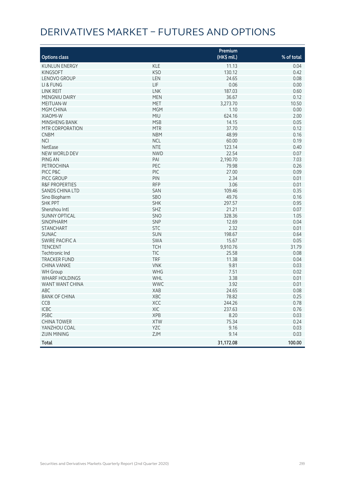# DERIVATIVES MARKET – FUTURES AND OPTIONS

|                           |            | Premium     |            |
|---------------------------|------------|-------------|------------|
| <b>Options class</b>      |            | (HK\$ mil.) | % of total |
| <b>KUNLUN ENERGY</b>      | <b>KLE</b> | 11.13       | 0.04       |
| <b>KINGSOFT</b>           | <b>KSO</b> | 130.12      | 0.42       |
| LENOVO GROUP              | LEN        | 24.65       | 0.08       |
| LI & FUNG                 | <b>LIF</b> | 0.06        | 0.00       |
| <b>LINK REIT</b>          | <b>LNK</b> | 187.03      | 0.60       |
| MENGNIU DAIRY             | <b>MEN</b> | 36.67       | 0.12       |
| MEITUAN-W                 | MET        | 3,273.70    | 10.50      |
| MGM CHINA                 | <b>MGM</b> | 1.10        | 0.00       |
| <b>XIAOMI-W</b>           | MIU        | 624.16      | 2.00       |
| MINSHENG BANK             | <b>MSB</b> | 14.15       | 0.05       |
| <b>MTR CORPORATION</b>    | <b>MTR</b> | 37.70       | 0.12       |
| <b>CNBM</b>               | <b>NBM</b> | 48.99       | 0.16       |
| <b>NCI</b>                | <b>NCL</b> | 60.00       | 0.19       |
| NetEase                   | <b>NTE</b> | 123.14      | 0.40       |
| NEW WORLD DEV             | <b>NWD</b> | 22.54       | 0.07       |
| <b>PING AN</b>            | PAI        | 2,190.70    | 7.03       |
| <b>PETROCHINA</b>         | PEC        | 79.98       | 0.26       |
| PICC P&C                  | PIC        | 27.00       | 0.09       |
| PICC GROUP                | PIN        | 2.34        | 0.01       |
| <b>R&amp;F PROPERTIES</b> | <b>RFP</b> | 3.06        | 0.01       |
| <b>SANDS CHINA LTD</b>    | SAN        | 109.46      | 0.35       |
| Sino Biopharm             | SBO        | 49.76       | 0.16       |
| <b>SHK PPT</b>            | <b>SHK</b> | 297.57      | 0.95       |
| Shenzhou Intl             | <b>SHZ</b> | 21.21       | 0.07       |
| <b>SUNNY OPTICAL</b>      | SNO        | 328.36      | 1.05       |
| <b>SINOPHARM</b>          | SNP        | 12.69       | 0.04       |
| <b>STANCHART</b>          | <b>STC</b> | 2.32        | 0.01       |
| <b>SUNAC</b>              | SUN        | 198.67      | 0.64       |
| <b>SWIRE PACIFIC A</b>    | <b>SWA</b> | 15.67       | 0.05       |
| <b>TENCENT</b>            | <b>TCH</b> | 9,910.76    | 31.79      |
| Techtronic Ind            | TIC        | 25.58       | 0.08       |
| <b>TRACKER FUND</b>       | <b>TRF</b> | 11.38       | 0.04       |
| <b>CHINA VANKE</b>        | <b>VNK</b> | 9.81        | 0.03       |
| <b>WH Group</b>           | <b>WHG</b> | 7.51        | 0.02       |
| <b>WHARF HOLDINGS</b>     | WHL        | 3.38        | 0.01       |
| WANT WANT CHINA           | <b>WWC</b> | 3.92        | 0.01       |
| <b>ABC</b>                | <b>XAB</b> | 24.65       | 0.08       |
| <b>BANK OF CHINA</b>      | XBC        | 78.82       | 0.25       |
| CCB                       | XCC        | 244.26      | 0.78       |
| <b>ICBC</b>               | XIC        | 237.63      | 0.76       |
| PSBC                      | <b>XPB</b> | 8.20        | 0.03       |
| <b>CHINA TOWER</b>        | XTW        | 75.34       | 0.24       |
| YANZHOU COAL              | YZC        | 9.16        | 0.03       |
| <b>ZIJIN MINING</b>       | ZJM        | 9.14        | 0.03       |
| Total                     |            | 31,172.08   | 100.00     |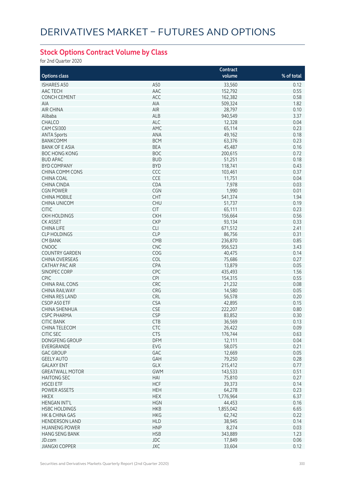## **Stock Options Contract Volume by Class**

for 2nd Quarter 2020

|                        |                 | Contract  |            |
|------------------------|-----------------|-----------|------------|
| <b>Options class</b>   |                 | volume    | % of total |
| <b>ISHARES A50</b>     | A50             | 33,560    | 0.12       |
| AAC TECH               | AAC             | 152,792   | 0.55       |
| <b>CONCH CEMENT</b>    | ACC             | 162,382   | 0.58       |
| <b>AIA</b>             | AIA             | 509,324   | 1.82       |
|                        |                 |           |            |
| <b>AIR CHINA</b>       | AIR             | 28,797    | 0.10       |
| Alibaba                | ALB             | 940,549   | 3.37       |
| <b>CHALCO</b>          | ALC             | 12,328    | 0.04       |
| CAM CSI300             | AMC             | 65,114    | 0.23       |
| <b>ANTA Sports</b>     | ANA             | 49,162    | 0.18       |
| <b>BANKCOMM</b>        | <b>BCM</b>      | 63,376    | 0.23       |
| <b>BANK OF E ASIA</b>  | <b>BEA</b>      | 45,487    | 0.16       |
| <b>BOC HONG KONG</b>   | <b>BOC</b>      | 200,615   | 0.72       |
| <b>BUD APAC</b>        | <b>BUD</b>      | 51,251    | 0.18       |
| <b>BYD COMPANY</b>     | <b>BYD</b>      | 118,741   | 0.43       |
| CHINA COMM CONS        | CCC             | 103,461   | 0.37       |
| CHINA COAL             | CCE             | 11,751    | 0.04       |
| <b>CHINA CINDA</b>     | CDA             | 7,978     | 0.03       |
| <b>CGN POWER</b>       | CGN             | 1,990     | 0.01       |
| <b>CHINA MOBILE</b>    | <b>CHT</b>      | 541,374   | 1.94       |
| <b>CHINA UNICOM</b>    | <b>CHU</b>      | 51,737    | 0.19       |
| <b>CITIC</b>           | <b>CIT</b>      | 65,111    | 0.23       |
| <b>CKH HOLDINGS</b>    | <b>CKH</b>      | 156,664   | 0.56       |
| <b>CK ASSET</b>        | <b>CKP</b>      | 93,134    | 0.33       |
| <b>CHINA LIFE</b>      | <b>CLI</b>      | 671,512   | 2.41       |
| <b>CLP HOLDINGS</b>    | <b>CLP</b>      | 86,756    | 0.31       |
| <b>CM BANK</b>         | CMB             | 236,870   | 0.85       |
|                        | <b>CNC</b>      |           |            |
| <b>CNOOC</b>           |                 | 956,523   | 3.43       |
| <b>COUNTRY GARDEN</b>  | COG             | 40,475    | 0.14       |
| <b>CHINA OVERSEAS</b>  | COL             | 75,686    | 0.27       |
| <b>CATHAY PAC AIR</b>  | CPA             | 13,879    | 0.05       |
| SINOPEC CORP           | CPC             | 435,493   | 1.56       |
| <b>CPIC</b>            | <b>CPI</b>      | 154,315   | 0.55       |
| <b>CHINA RAIL CONS</b> | CRC             | 21,232    | 0.08       |
| <b>CHINA RAILWAY</b>   | CRG             | 14,580    | 0.05       |
| CHINA RES LAND         | CRL             | 56,578    | 0.20       |
| CSOP A50 ETF           | <b>CSA</b>      | 42,895    | 0.15       |
| <b>CHINA SHENHUA</b>   | <b>CSE</b>      | 222,207   | 0.80       |
| <b>CSPC PHARMA</b>     | <b>CSP</b>      | 83,852    | 0.30       |
| CHIC BANK              | CI <sub>R</sub> | 36,569    | 0.13       |
| CHINA TELECOM          | <b>CTC</b>      | 26,422    | 0.09       |
| <b>CITIC SEC</b>       | <b>CTS</b>      | 176,744   | 0.63       |
| DONGFENG GROUP         | <b>DFM</b>      | 12,111    | 0.04       |
| EVERGRANDE             | EVG             | 58,075    | 0.21       |
| <b>GAC GROUP</b>       | GAC             | 12,669    | 0.05       |
| <b>GEELY AUTO</b>      | GAH             | 79,250    | 0.28       |
| <b>GALAXY ENT</b>      | GLX             | 215,412   | 0.77       |
| <b>GREATWALL MOTOR</b> | <b>GWM</b>      | 143,533   | 0.51       |
| <b>HAITONG SEC</b>     | HAI             | 75,810    | 0.27       |
| <b>HSCEI ETF</b>       | <b>HCF</b>      | 39,373    | 0.14       |
| POWER ASSETS           | <b>HEH</b>      | 64,278    | 0.23       |
| <b>HKEX</b>            | <b>HEX</b>      | 1,776,964 | 6.37       |
| <b>HENGAN INT'L</b>    | <b>HGN</b>      |           | 0.16       |
|                        |                 | 44,453    |            |
| <b>HSBC HOLDINGS</b>   | <b>HKB</b>      | 1,855,042 | 6.65       |
| HK & CHINA GAS         | <b>HKG</b>      | 62,742    | 0.22       |
| <b>HENDERSON LAND</b>  | <b>HLD</b>      | 38,945    | 0.14       |
| <b>HUANENG POWER</b>   | <b>HNP</b>      | 8,274     | 0.03       |
| <b>HANG SENG BANK</b>  | <b>HSB</b>      | 343,889   | 1.23       |
| JD.com                 | <b>JDC</b>      | 17,849    | 0.06       |
| <b>JIANGXI COPPER</b>  | JXC             | 33,604    | 0.12       |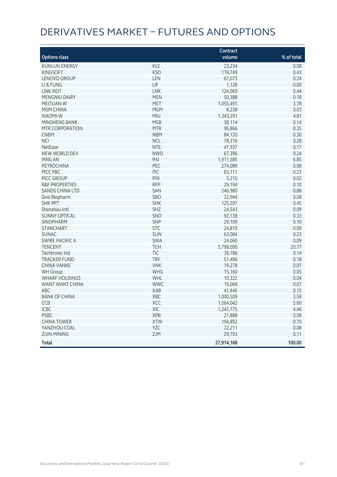# DERIVATIVES MARKET – FUTURES AND OPTIONS

|                           |            | Contract   |            |
|---------------------------|------------|------------|------------|
| <b>Options class</b>      |            | volume     | % of total |
| <b>KUNLUN ENERGY</b>      | <b>KLE</b> | 23,234     | 0.08       |
| <b>KINGSOFT</b>           | <b>KSO</b> | 119,749    | 0.43       |
| LENOVO GROUP              | LEN        | 67,073     | 0.24       |
| LI & FUNG                 | LIF        | 1,128      | 0.00       |
| LINK REIT                 | <b>LNK</b> | 124,069    | 0.44       |
| MENGNIU DAIRY             | <b>MEN</b> | 50,388     | 0.18       |
| MEITUAN-W                 | MET        | 1,055,491  | 3.78       |
| MGM CHINA                 | <b>MGM</b> | 8,238      | 0.03       |
| XIAOMI-W                  | <b>MIU</b> | 1,343,291  | 4.81       |
| MINSHENG BANK             | <b>MSB</b> | 38,114     | 0.14       |
| MTR CORPORATION           | <b>MTR</b> | 96,866     | 0.35       |
| <b>CNBM</b>               | <b>NBM</b> | 84,120     | 0.30       |
| <b>NCI</b>                | <b>NCL</b> | 78,316     | 0.28       |
| NetEase                   | <b>NTE</b> | 47,937     | 0.17       |
| NEW WORLD DEV             | <b>NWD</b> | 67,396     | 0.24       |
| <b>PING AN</b>            | PAI        | 1,911,385  | 6.85       |
| PETROCHINA                | PEC        | 274,089    | 0.98       |
| PICC P&C                  | PIC        | 63,111     | 0.23       |
| PICC GROUP                | PIN        | 5,210      | 0.02       |
| <b>R&amp;F PROPERTIES</b> | <b>RFP</b> | 29,194     | 0.10       |
| <b>SANDS CHINA LTD</b>    | SAN        | 246,980    | 0.88       |
| Sino Biopharm             | SBO        | 22,944     | 0.08       |
| <b>SHK PPT</b>            | <b>SHK</b> | 125,397    | 0.45       |
| Shenzhou Intl             | SHZ        | 24,543     | 0.09       |
| <b>SUNNY OPTICAL</b>      | SNO        | 92,138     | 0.33       |
| SINOPHARM                 | SNP        | 29,109     | 0.10       |
| <b>STANCHART</b>          | <b>STC</b> | 24,819     | 0.09       |
| <b>SUNAC</b>              | <b>SUN</b> | 63,084     | 0.23       |
| <b>SWIRE PACIFIC A</b>    | SWA        | 24,060     | 0.09       |
| <b>TENCENT</b>            | <b>TCH</b> | 5,798,090  | 20.77      |
| Techtronic Ind            | <b>TIC</b> | 39,186     | 0.14       |
| <b>TRACKER FUND</b>       | <b>TRF</b> | 51,496     | 0.18       |
| <b>CHINA VANKE</b>        | <b>VNK</b> | 19,278     | 0.07       |
| <b>WH</b> Group           | WHG        | 15,160     | 0.05       |
| <b>WHARF HOLDINGS</b>     | WHL        | 10,322     | 0.04       |
| WANT WANT CHINA           | <b>WWC</b> | 19,068     | 0.07       |
| ABC                       | XAB        | 41,446     | 0.15       |
| <b>BANK OF CHINA</b>      | XBC        | 1,000,509  | 3.58       |
| CCB                       | XCC        | 1,564,042  | 5.60       |
| ICBC                      | XIC        | 1,243,775  | 4.46       |
| <b>PSBC</b>               | <b>XPB</b> | 21,888     | 0.08       |
| <b>CHINA TOWER</b>        | <b>XTW</b> | 194,892    | 0.70       |
| YANZHOU COAL              | YZC        | 22,211     | 0.08       |
| <b>ZIJIN MINING</b>       | ZJM        | 29,793     | 0.11       |
| <b>Total</b>              |            | 27,914,168 | 100.00     |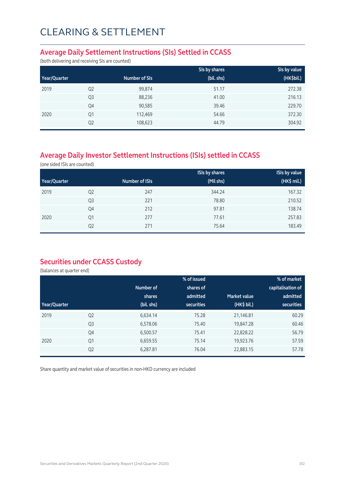#### **Average Daily Settlement Instructions (SIs) Settled in CCASS**

(both delivering and receiving SIs are counted)

|              |                |               | SIs by shares | Sis by value |
|--------------|----------------|---------------|---------------|--------------|
| Year/Quarter |                | Number of SIs | (bil. shs)    | (HK\$bil.)   |
| 2019         | Q <sub>2</sub> | 99,874        | 51.17         | 272.38       |
|              | Q <sub>3</sub> | 88,236        | 41.00         | 216.13       |
|              | Q4             | 90,585        | 39.46         | 229.70       |
| 2020         | Q1             | 112,469       | 54.66         | 372.30       |
|              | Q <sub>2</sub> | 108,623       | 44.79         | 304.92       |

## **Average Daily Investor Settlement Instructions (ISIs) settled in CCASS**

(one sided ISIs are counted)

|              |                |                | <b>ISIs by shares</b> | <b>ISIs by value</b> |
|--------------|----------------|----------------|-----------------------|----------------------|
| Year/Quarter |                | Number of ISIs | (Mil shs)             | (HK\$ mil.)          |
| 2019         | Q <sub>2</sub> | 247            | 344.24                | 167.32               |
|              | Q <sub>3</sub> | 221            | 78.80                 | 210.52               |
|              | Q4             | 212            | 97.81                 | 138.74               |
| 2020         | Q1             | 277            | 77.61                 | 257.83               |
|              | Q <sub>2</sub> | 271            | 75.64                 | 183.49               |

### **Securities under CCASS Custody**

(balances at quarter end)

|              |                |            | % of issued       |                     | % of market       |
|--------------|----------------|------------|-------------------|---------------------|-------------------|
|              |                | Number of  | shares of         |                     | capitalisation of |
|              |                | shares     | admitted          | <b>Market value</b> | admitted          |
| Year/Quarter |                | (bil. shs) | <b>securities</b> | (HK\$ bil.)         | <b>securities</b> |
| 2019         | Q <sub>2</sub> | 6,634.14   | 75.28             | 21,146.81           | 60.29             |
|              | Q <sub>3</sub> | 6,578.06   | 75.40             | 19,847.28           | 60.46             |
|              | Q4             | 6,500.57   | 75.41             | 22,828.22           | 56.79             |
| 2020         | Q1             | 6,659.55   | 75.14             | 19,923.76           | 57.59             |
|              | Q <sub>2</sub> | 6,287.81   | 76.04             | 22,883.15           | 57.78             |

Share quantity and market value of securities in non-HKD currency are included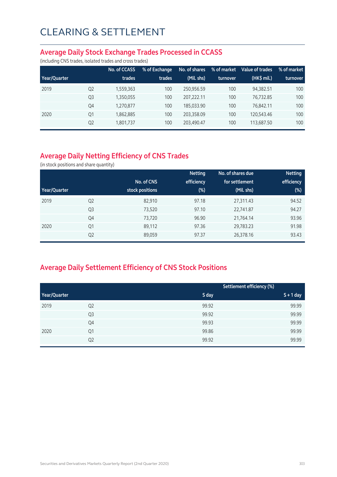#### **Average Daily Stock Exchange Trades Processed in CCASS**

(including CNS trades, isolated trades and cross trades)

|              |                | No. of CCASS | % of Exchange | No. of shares | % of market | Value of trades | % of market |
|--------------|----------------|--------------|---------------|---------------|-------------|-----------------|-------------|
| Year/Quarter |                | trades       | trades        | (Mil. shs)    | turnover    | (HK\$ mil.)     | turnover    |
| 2019         | Q <sub>2</sub> | 1,559,363    | 100           | 250.956.59    | 100         | 94.382.51       | 100         |
|              | Q <sub>3</sub> | 1,350,055    | 100           | 207.222.11    | 100         | 76.732.85       | 100         |
|              | Q4             | 1,270,877    | 100           | 185.033.90    | 100         | 76.842.11       | 100         |
| 2020         | Q1             | 1,862,885    | 100           | 203.358.09    | 100         | 120,543.46      | 100         |
|              | Q <sub>2</sub> | 1,801,737    | 100           | 203,490.47    | 100         | 113,687.50      | 100         |

## **Average Daily Netting Efficiency of CNS Trades**

(in stock positions and share quantity)

|              |                |                 | <b>Netting</b> | No. of shares due | <b>Netting</b> |
|--------------|----------------|-----------------|----------------|-------------------|----------------|
|              |                | No. of CNS      | efficiency     | for settlement    | efficiency     |
| Year/Quarter |                | stock positions | $(\%)$         | (Mil. shs)        | $(\%)$         |
| 2019         | Q <sub>2</sub> | 82,910          | 97.18          | 27,311.43         | 94.52          |
|              | Q <sub>3</sub> | 73,520          | 97.10          | 22,741.87         | 94.27          |
|              | Q4             | 73,720          | 96.90          | 21,764.14         | 93.96          |
| 2020         | Q1             | 89,112          | 97.36          | 29,783.23         | 91.98          |
|              | Q <sub>2</sub> | 89,059          | 97.37          | 26,378.16         | 93.43          |

## **Average Daily Settlement Efficiency of CNS Stock Positions**

|              |                |       | Settlement efficiency (%) |
|--------------|----------------|-------|---------------------------|
| Year/Quarter |                | S day | $S + 1$ day               |
| 2019         | Q <sub>2</sub> | 99.92 | 99.99                     |
|              | Q <sub>3</sub> | 99.92 | 99.99                     |
|              | Q4             | 99.93 | 99.99                     |
| 2020         | Q1             | 99.86 | 99.99                     |
|              | Q <sub>2</sub> | 99.92 | 99.99                     |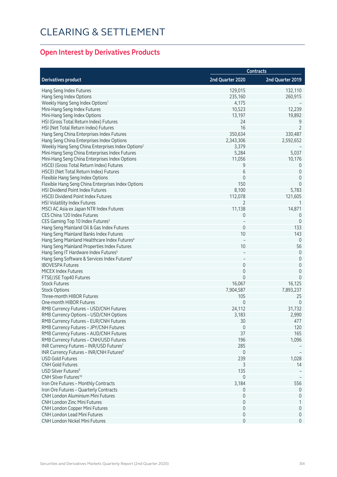## **Open Interest by Derivatives Products**

|                                                               | <b>Contracts</b> |                  |  |
|---------------------------------------------------------------|------------------|------------------|--|
| <b>Derivatives product</b>                                    | 2nd Quarter 2020 | 2nd Quarter 2019 |  |
| Hang Seng Index Futures                                       | 129,015          | 132,110          |  |
| Hang Seng Index Options                                       | 235,160          | 260,915          |  |
| Weekly Hang Seng Index Options <sup>1</sup>                   | 4,175            |                  |  |
| Mini-Hang Seng Index Futures                                  | 10,523           | 12,239           |  |
| Mini-Hang Seng Index Options                                  | 13,197           | 19,892           |  |
| HSI (Gross Total Return Index) Futures                        | 24               | 9                |  |
| HSI (Net Total Return Index) Futures                          | 16               | $\overline{2}$   |  |
| Hang Seng China Enterprises Index Futures                     | 350,634          | 330,487          |  |
| Hang Seng China Enterprises Index Options                     | 2,343,306        | 2,592,652        |  |
| Weekly Hang Seng China Enterprises Index Options <sup>2</sup> | 3,379            |                  |  |
| Mini-Hang Seng China Enterprises Index Futures                | 5,284            | 5,037            |  |
| Mini-Hang Seng China Enterprises Index Options                | 11,056           | 10,176           |  |
| HSCEI (Gross Total Return Index) Futures                      | 9                | 0                |  |
| HSCEI (Net Total Return Index) Futures                        | 6                | $\mathbf 0$      |  |
| Flexible Hang Seng Index Options                              | $\mathbf 0$      | 0                |  |
| Flexible Hang Seng China Enterprises Index Options            | 150              | $\mathbf 0$      |  |
| <b>HSI Dividend Point Index Futures</b>                       | 8,100            | 5,783            |  |
| <b>HSCEI Dividend Point Index Futures</b>                     | 112,078          | 121,605          |  |
| HSI Volatility Index Futures                                  | 2                | -1               |  |
| MSCI AC Asia ex Japan NTR Index Futures                       | 11,138           | 14,871           |  |
| CES China 120 Index Futures                                   | 0                | 0                |  |
| CES Gaming Top 10 Index Futures <sup>3</sup>                  |                  | $\mathbf 0$      |  |
| Hang Seng Mainland Oil & Gas Index Futures                    | $\mathbf 0$      | 133              |  |
| Hang Seng Mainland Banks Index Futures                        | 10               | 143              |  |
| Hang Seng Mainland Healthcare Index Futures <sup>4</sup>      |                  | $\overline{0}$   |  |
| Hang Seng Mainland Properties Index Futures                   | 10               | 56               |  |
| Hang Seng IT Hardware Index Futures <sup>5</sup>              |                  | $\mathbf 0$      |  |
| Hang Seng Software & Services Index Futures <sup>6</sup>      |                  | $\mathbf 0$      |  |
| <b>IBOVESPA Futures</b>                                       | $\mathbf 0$      | $\mathbf 0$      |  |
| MICEX Index Futures                                           | 0                | $\mathbf 0$      |  |
| FTSE/JSE Top40 Futures                                        | $\mathbf{0}$     | $\mathbf 0$      |  |
| <b>Stock Futures</b>                                          | 16,067           | 16,125           |  |
| <b>Stock Options</b>                                          | 7,904,587        | 7,893,237        |  |
| Three-month HIBOR Futures                                     | 105              | 25               |  |
| One-month HIBOR Futures                                       | $\Omega$         | $\overline{0}$   |  |
| RMB Currency Futures - USD/CNH Futures                        | 24,112           | 31,732           |  |
| RMB Currency Options - USD/CNH Options                        | 3,183            | 2,990            |  |
| RMB Currency Futures - EUR/CNH Futures                        | 30               | 477              |  |
| RMB Currency Futures - JPY/CNH Futures                        | $\mathbf 0$      | 120              |  |
| RMB Currency Futures - AUD/CNH Futures                        | 37               | 165              |  |
| RMB Currency Futures - CNH/USD Futures                        | 196              | 1,096            |  |
| INR Currency Futures - INR/USD Futures7                       | 285              |                  |  |
|                                                               | $\mathsf{O}$     |                  |  |
| INR Currency Futures - INR/CNH Futures <sup>8</sup>           | 239              |                  |  |
| <b>USD Gold Futures</b><br><b>CNH Gold Futures</b>            |                  | 1,028            |  |
|                                                               | 3<br>135         | 14               |  |
| USD Silver Futures <sup>9</sup>                               |                  |                  |  |
| CNH Silver Futures <sup>10</sup>                              | 0                |                  |  |
| Iron Ore Futures - Monthly Contracts                          | 3,184            | 556              |  |
| Iron Ore Futures - Quarterly Contracts                        | 0                | 0                |  |
| CNH London Aluminium Mini Futures                             | $\mathbf 0$      | $\overline{0}$   |  |
| <b>CNH London Zinc Mini Futures</b>                           | $\mathbf 0$      | 1                |  |
| CNH London Copper Mini Futures                                | $\overline{0}$   | $\mathbf 0$      |  |
| <b>CNH London Lead Mini Futures</b>                           | $\overline{0}$   | 0                |  |
| CNH London Nickel Mini Futures                                | $\overline{0}$   | $\mathbf 0$      |  |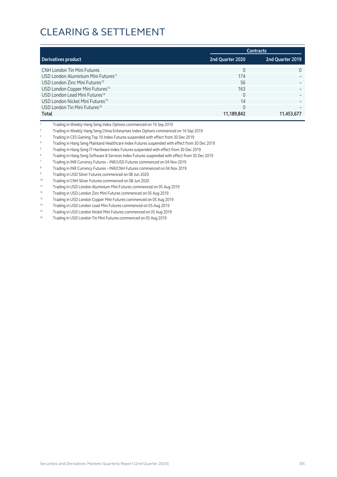|                                                 |                  | <b>Contracts</b> |
|-------------------------------------------------|------------------|------------------|
| Derivatives product                             | 2nd Quarter 2020 | 2nd Quarter 2019 |
| <b>CNH London Tin Mini Futures</b>              | $\Omega$         | $\Omega$         |
| USD London Aluminium Mini Futures <sup>11</sup> | 174              |                  |
| USD London Zinc Mini Futures <sup>12</sup>      | 56               |                  |
| USD London Copper Mini Futures <sup>13</sup>    | 163              |                  |
| USD London Lead Mini Futures <sup>14</sup>      | $\Omega$         |                  |
| USD London Nickel Mini Futures <sup>15</sup>    | 14               |                  |
| USD London Tin Mini Futures <sup>16</sup>       |                  |                  |
| Total                                           | 11,189,842       | 11,453,677       |

- <sup>1</sup> Trading in Weekly Hang Seng Index Options commenced on 16 Sep 2019
- <sup>2</sup> Trading in Weekly Hang Seng China Enterprises Index Options commenced on 16 Sep 2019
- <sup>3</sup> Trading in CES Gaming Top 10 Index Futures suspended with effect from 30 Dec 2019
- <sup>4</sup> Trading in Hang Seng Mainland Healthcare Index Futures suspended with effect from 30 Dec 2019
- <sup>5</sup> Trading in Hang Seng IT Hardware Index Futures suspended with effect from 30 Dec 2019
- <sup>6</sup> Trading in Hang Seng Software & Services Index Futures suspended with effect from 30 Dec 2019
- <sup>7</sup> Trading in INR Currency Futures INR/USD Futures commenced on 04 Nov 2019
- <sup>8</sup> Trading in INR Currency Futures INR/CNH Futures commenced on 04 Nov 2019
- <sup>9</sup> Trading in USD Silver Futures commenced on 08 Jun 2020
- <sup>10</sup> Trading in CNH Silver Futures commenced on 08 Jun 2020
- <sup>11</sup> Trading in USD London Aluminium Mini Futures commenced on 05 Aug 2019
- <sup>12</sup> Trading in USD London Zinc Mini Futures commenced on 05 Aug 2019
- 13 Trading in USD London Copper Mini Futures commenced on 05 Aug 2019
- 14 Trading in USD London Lead Mini Futures commenced on 05 Aug 2019
- 15 Trading in USD London Nickel Mini Futures commenced on 05 Aug 2019
- 16 Trading in USD London Tin Mini Futures commenced on 05 Aug 2019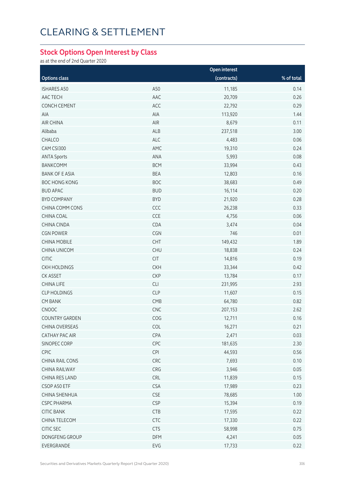#### **Stock Options Open Interest by Class**

as at the end of 2nd Quarter 2020

|                        |            | <b>Open interest</b> |            |  |
|------------------------|------------|----------------------|------------|--|
| <b>Options class</b>   |            | (contracts)          | % of total |  |
| <b>ISHARES A50</b>     | A50        | 11,185               | 0.14       |  |
| AAC TECH               | AAC        | 20,709               | 0.26       |  |
| CONCH CEMENT           | ACC        | 22,792               | 0.29       |  |
| AIA                    | AIA        | 113,920              | 1.44       |  |
| <b>AIR CHINA</b>       | AIR        | 8,679                | 0.11       |  |
| Alibaba                | <b>ALB</b> | 237,518              | 3.00       |  |
| CHALCO                 | ALC        | 4,483                | 0.06       |  |
| CAM CSI300             | AMC        | 19,310               | 0.24       |  |
| <b>ANTA Sports</b>     | ANA        | 5,993                | 0.08       |  |
| <b>BANKCOMM</b>        | <b>BCM</b> | 33,994               | 0.43       |  |
| <b>BANK OF E ASIA</b>  | <b>BEA</b> | 12,803               | 0.16       |  |
| <b>BOC HONG KONG</b>   | <b>BOC</b> | 38,683               | 0.49       |  |
| <b>BUD APAC</b>        | <b>BUD</b> | 16,114               | 0.20       |  |
| <b>BYD COMPANY</b>     | <b>BYD</b> | 21,920               | 0.28       |  |
| CHINA COMM CONS        | CCC        | 26,238               | 0.33       |  |
| CHINA COAL             | CCE        | 4,756                | 0.06       |  |
| CHINA CINDA            | CDA        | 3,474                | 0.04       |  |
| <b>CGN POWER</b>       | CGN        | 746                  | 0.01       |  |
| <b>CHINA MOBILE</b>    | CHT        | 149,432              | 1.89       |  |
| CHINA UNICOM           | <b>CHU</b> | 18,838               | 0.24       |  |
| <b>CITIC</b>           | <b>CIT</b> | 14,816               | 0.19       |  |
| <b>CKH HOLDINGS</b>    | <b>CKH</b> | 33,344               | 0.42       |  |
| CK ASSET               | <b>CKP</b> | 13,784               | 0.17       |  |
| CHINA LIFE             | CLI        | 231,995              | 2.93       |  |
| <b>CLP HOLDINGS</b>    | <b>CLP</b> | 11,607               | 0.15       |  |
| <b>CM BANK</b>         | CMB        | 64,780               | 0.82       |  |
| CNOOC                  | CNC        | 207,153              | 2.62       |  |
| <b>COUNTRY GARDEN</b>  | COG        | 12,711               | 0.16       |  |
| CHINA OVERSEAS         | COL        | 16,271               | 0.21       |  |
| <b>CATHAY PAC AIR</b>  | CPA        | 2,471                | 0.03       |  |
| SINOPEC CORP           | CPC        | 181,635              | 2.30       |  |
| CPIC                   | <b>CPI</b> | 44,593               | 0.56       |  |
| <b>CHINA RAIL CONS</b> | CRC        | 7,693                | 0.10       |  |
| CHINA RAILWAY          | CRG        | 3,946                | 0.05       |  |
| CHINA RES LAND         | <b>CRL</b> | 11,839               | 0.15       |  |
| CSOP A50 ETF           | <b>CSA</b> | 17,989               | 0.23       |  |
| CHINA SHENHUA          | CSE        | 78,685               | 1.00       |  |
| <b>CSPC PHARMA</b>     | <b>CSP</b> | 15,394               | 0.19       |  |
| <b>CITIC BANK</b>      | CTB        | 17,595               | 0.22       |  |
| CHINA TELECOM          | <b>CTC</b> | 17,330               | 0.22       |  |
| CITIC SEC              | <b>CTS</b> | 58,998               | 0.75       |  |
| DONGFENG GROUP         | DFM        | 4,241                | 0.05       |  |
| EVERGRANDE             | EVG        | 17,733               | 0.22       |  |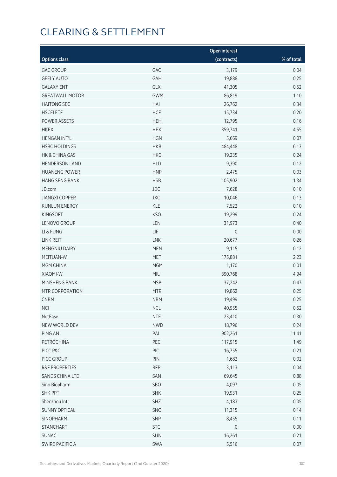|                           |            | Open interest |            |
|---------------------------|------------|---------------|------------|
| <b>Options class</b>      |            | (contracts)   | % of total |
| <b>GAC GROUP</b>          | GAC        | 3,179         | 0.04       |
| <b>GEELY AUTO</b>         | GAH        | 19,888        | 0.25       |
| <b>GALAXY ENT</b>         | GLX        | 41,305        | 0.52       |
| <b>GREATWALL MOTOR</b>    | <b>GWM</b> | 86,819        | 1.10       |
| <b>HAITONG SEC</b>        | HAI        | 26,762        | 0.34       |
| <b>HSCEI ETF</b>          | <b>HCF</b> | 15,734        | 0.20       |
| POWER ASSETS              | <b>HEH</b> | 12,795        | 0.16       |
| <b>HKEX</b>               | <b>HEX</b> | 359,741       | 4.55       |
| <b>HENGAN INT'L</b>       | <b>HGN</b> | 5,669         | 0.07       |
| <b>HSBC HOLDINGS</b>      | <b>HKB</b> | 484,448       | 6.13       |
| HK & CHINA GAS            | <b>HKG</b> | 19,235        | 0.24       |
| <b>HENDERSON LAND</b>     | <b>HLD</b> | 9,390         | 0.12       |
| <b>HUANENG POWER</b>      | <b>HNP</b> | 2,475         | 0.03       |
| HANG SENG BANK            | <b>HSB</b> | 105,902       | 1.34       |
| JD.com                    | JDC        | 7,628         | 0.10       |
| <b>JIANGXI COPPER</b>     | <b>JXC</b> | 10,046        | 0.13       |
| <b>KUNLUN ENERGY</b>      | KLE        | 7,522         | 0.10       |
| KINGSOFT                  | <b>KSO</b> | 19,299        | 0.24       |
| LENOVO GROUP              | LEN        | 31,973        | 0.40       |
| LI & FUNG                 | LIF        | $\mathbf 0$   | 0.00       |
| LINK REIT                 | <b>LNK</b> | 20,677        | 0.26       |
| MENGNIU DAIRY             | <b>MEN</b> | 9,115         | 0.12       |
| MEITUAN-W                 | <b>MET</b> | 175,881       | 2.23       |
| MGM CHINA                 | <b>MGM</b> | 1,170         | 0.01       |
| XIAOMI-W                  | MIU        | 390,768       | 4.94       |
| MINSHENG BANK             | <b>MSB</b> | 37,242        | 0.47       |
| MTR CORPORATION           | <b>MTR</b> | 19,862        | 0.25       |
| <b>CNBM</b>               | <b>NBM</b> | 19,499        | 0.25       |
| <b>NCI</b>                | <b>NCL</b> | 40,955        | 0.52       |
| NetEase                   | <b>NTE</b> | 23,410        | 0.30       |
| NEW WORLD DEV             | <b>NWD</b> | 18,796        | 0.24       |
| PING AN                   | PAI        | 902,261       | 11.41      |
| PETROCHINA                | PEC        | 117,915       | 1.49       |
| PICC P&C                  | PIC        | 16,755        | 0.21       |
| PICC GROUP                | PIN        | 1,682         | 0.02       |
| <b>R&amp;F PROPERTIES</b> | <b>RFP</b> | 3,113         | 0.04       |
| SANDS CHINA LTD           | SAN        | 69,645        | 0.88       |
| Sino Biopharm             | SBO        | 4,097         | 0.05       |
| <b>SHK PPT</b>            | <b>SHK</b> | 19,931        | 0.25       |
| Shenzhou Intl             | SHZ        | 4,183         | 0.05       |
| <b>SUNNY OPTICAL</b>      | SNO        | 11,315        | 0.14       |
| SINOPHARM                 | SNP        | 8,455         | 0.11       |
| <b>STANCHART</b>          | <b>STC</b> | $\mathbf 0$   | 0.00       |
| SUNAC                     | SUN        | 16,261        | 0.21       |
| SWIRE PACIFIC A           | SWA        | 5,516         | 0.07       |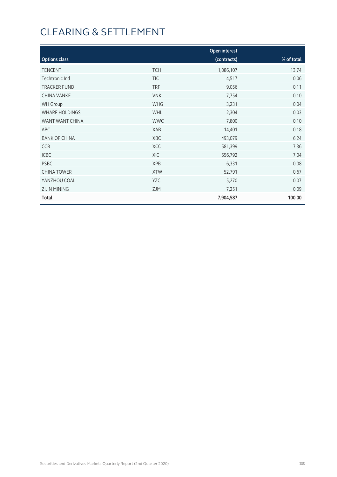|                       |            | Open interest |            |
|-----------------------|------------|---------------|------------|
| <b>Options class</b>  |            | (contracts)   | % of total |
| <b>TENCENT</b>        | <b>TCH</b> | 1,086,107     | 13.74      |
| Techtronic Ind        | <b>TIC</b> | 4,517         | 0.06       |
| <b>TRACKER FUND</b>   | <b>TRF</b> | 9,056         | 0.11       |
| CHINA VANKE           | <b>VNK</b> | 7,754         | 0.10       |
| <b>WH Group</b>       | <b>WHG</b> | 3,231         | 0.04       |
| <b>WHARF HOLDINGS</b> | <b>WHL</b> | 2,304         | 0.03       |
| WANT WANT CHINA       | <b>WWC</b> | 7,800         | 0.10       |
| ABC                   | XAB        | 14,401        | 0.18       |
| <b>BANK OF CHINA</b>  | XBC        | 493,079       | 6.24       |
| CCB                   | XCC        | 581,399       | 7.36       |
| <b>ICBC</b>           | <b>XIC</b> | 556,792       | 7.04       |
| <b>PSBC</b>           | <b>XPB</b> | 6,331         | 0.08       |
| <b>CHINA TOWER</b>    | <b>XTW</b> | 52,791        | 0.67       |
| YANZHOU COAL          | YZC        | 5,270         | 0.07       |
| <b>ZIJIN MINING</b>   | ZJM        | 7,251         | 0.09       |
| Total                 |            | 7,904,587     | 100.00     |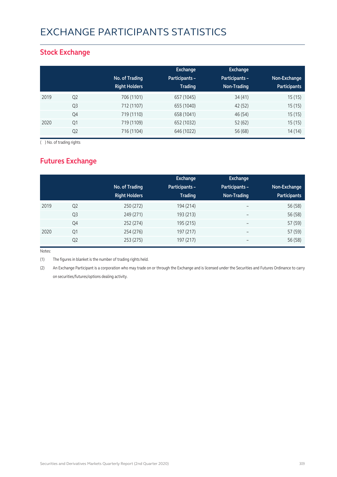# EXCHANGE PARTICIPANTS STATISTICS

### **Stock Exchange**

|      |                |                      | Exchange              | <b>Exchange</b> |                     |
|------|----------------|----------------------|-----------------------|-----------------|---------------------|
|      |                | No. of Trading       | <b>Participants -</b> | Participants -  | Non-Exchange        |
|      |                | <b>Right Holders</b> | <b>Trading</b>        | Non-Trading     | <b>Participants</b> |
| 2019 | Q <sub>2</sub> | 706 (1101)           | 657 (1045)            | 34(41)          | 15(15)              |
|      | Q <sub>3</sub> | 712 (1107)           | 655 (1040)            | 42 (52)         | 15(15)              |
|      | Q4             | 719 (1110)           | 658 (1041)            | 46 (54)         | 15(15)              |
| 2020 | Q <sub>1</sub> | 719 (1109)           | 652 (1032)            | 52 (62)         | 15(15)              |
|      | Q <sub>2</sub> | 716 (1104)           | 646 (1022)            | 56 (68)         | 14(14)              |

( ) No. of trading rights

## **Futures Exchange**

|      |                | No. of Trading<br><b>Right Holders</b> | Exchange<br><b>Participants -</b><br><b>Trading</b> | Exchange<br>Participants -<br>Non-Trading | Non-Exchange<br><b>Participants</b> |
|------|----------------|----------------------------------------|-----------------------------------------------------|-------------------------------------------|-------------------------------------|
| 2019 | Q <sub>2</sub> | 250 (272)                              | 194 (214)                                           | $\overline{\phantom{0}}$                  | 56 (58)                             |
|      | Q3             | 249 (271)                              | 193 (213)                                           | $\overline{\phantom{0}}$                  | 56 (58)                             |
|      | Q4             | 252 (274)                              | 195 (215)                                           | $\overline{\phantom{m}}$                  | 57 (59)                             |
| 2020 | Q1             | 254 (276)                              | 197 (217)                                           | $\overline{\phantom{0}}$                  | 57 (59)                             |
|      | Q <sub>2</sub> | 253 (275)                              | 197 (217)                                           | -                                         | 56 (58)                             |

Notes:

(1) The figures in blanket is the number of trading rights held.

(2) An Exchange Participant is a corporation who may trade on or through the Exchange and is licensed under the Securities and Futures Ordinance to carry on securities/futures/options dealing activity.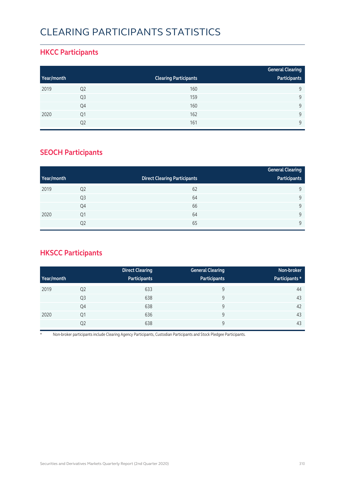# CLEARING PARTICIPANTS STATISTICS

### **HKCC Participants**

|            |                |                              | <b>General Clearing</b> |
|------------|----------------|------------------------------|-------------------------|
| Year/month |                | <b>Clearing Participants</b> | Participants            |
| 2019       | Q <sub>2</sub> | 160                          | 9                       |
|            | Q <sub>3</sub> | 159                          | 9                       |
|            | Q4             | 160                          | $\mathsf{Q}$            |
| 2020       | Q1             | 162                          | $\mathsf{Q}$            |
|            | Q2             | 161                          | $\mathsf{Q}$            |

## **SEOCH Participants**

|            |                |                                     | <b>General Clearing</b> |
|------------|----------------|-------------------------------------|-------------------------|
| Year/month |                | <b>Direct Clearing Participants</b> | Participants            |
| 2019       | Q <sub>2</sub> | 62                                  | 9                       |
|            | Q <sub>3</sub> | 64                                  | 9                       |
|            | Q4             | 66                                  | 9                       |
| 2020       | Q <sub>1</sub> | 64                                  | 9                       |
|            | Q <sub>2</sub> | 65                                  | 9                       |

## **HKSCC Participants**

|            |                | <b>Direct Clearing</b> | <b>General Clearing</b> | Non-broker     |
|------------|----------------|------------------------|-------------------------|----------------|
| Year/month |                | Participants           | Participants            | Participants * |
| 2019       | Q <sub>2</sub> | 633                    | 9                       | 44             |
|            | Q <sub>3</sub> | 638                    | 9                       | 43             |
|            | Q4             | 638                    | 9                       | 42             |
| 2020       | Q1             | 636                    | 9                       | 43             |
|            | Q <sub>2</sub> | 638                    | 9                       | 43             |

\* Non-broker participants include Clearing Agency Participants, Custodian Participants and Stock Pledgee Participants.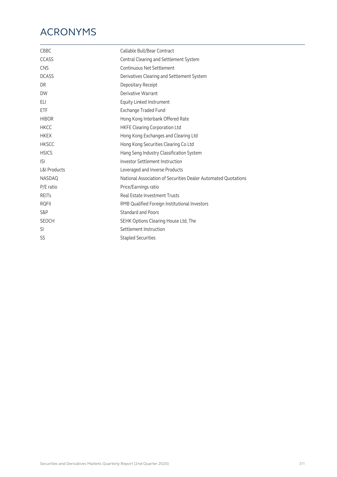# ACRONYMS

| Callable Bull/Bear Contract                                    |
|----------------------------------------------------------------|
| Central Clearing and Settlement System                         |
| Continuous Net Settlement                                      |
| Derivatives Clearing and Settlement System                     |
| Depositary Receipt                                             |
| Derivative Warrant                                             |
| Equity Linked Instrument                                       |
| Exchange Traded Fund                                           |
| Hong Kong Interbank Offered Rate                               |
| <b>HKFE Clearing Corporation Ltd</b>                           |
| Hong Kong Exchanges and Clearing Ltd                           |
| Hong Kong Securities Clearing Co Ltd                           |
| Hang Seng Industry Classification System                       |
| <b>Investor Settlement Instruction</b>                         |
| Leveraged and Inverse Products                                 |
| National Association of Securities Dealer Automated Ouotations |
| Price/Earnings ratio                                           |
| Real Estate Investment Trusts                                  |
| RMB Qualified Foreign Institutional Investors                  |
| <b>Standard and Poors</b>                                      |
| SEHK Options Clearing House Ltd, The                           |
| Settlement Instruction                                         |
| <b>Stapled Securities</b>                                      |
|                                                                |